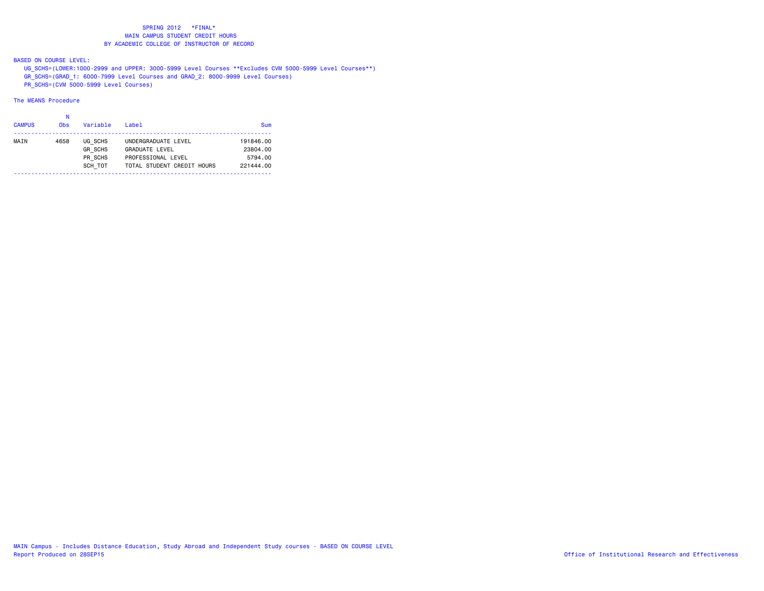BASED ON COURSE LEVEL:

UG\_SCHS=(LOWER:1000-2999 and UPPER: 3000-5999 Level Courses \*\*Excludes CVM 5000-5999 Level Courses\*\*)

GR\_SCHS=(GRAD\_1: 6000-7999 Level Courses and GRAD\_2: 8000-9999 Level Courses)

PR\_SCHS=(CVM 5000-5999 Level Courses)

# The MEANS Procedure

#### na na kaominina amin'ny fivondronan-kaominin'i No

| <b>CAMPUS</b> | <b>Obs</b> | Variable       | Label                      | Sum       |
|---------------|------------|----------------|----------------------------|-----------|
| MAIN          | 4658       | UG SCHS        | UNDERGRADUATE LEVEL        | 191846.00 |
|               |            | <b>GR SCHS</b> | <b>GRADUATE LEVEL</b>      | 23804.00  |
|               |            | PR SCHS        | PROFESSIONAL LEVEL         | 5794.00   |
|               |            | SCH TOT        | TOTAL STUDENT CREDIT HOURS | 221444.00 |
|               |            |                |                            |           |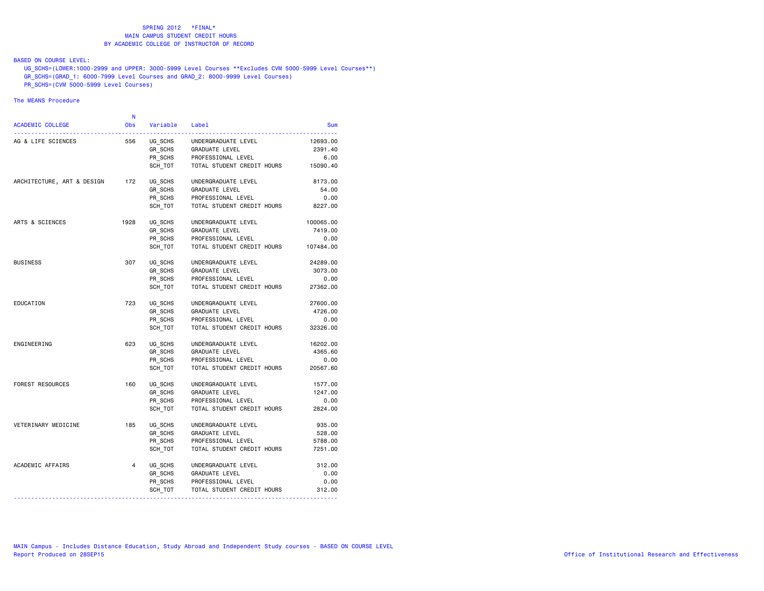## BASED ON COURSE LEVEL:

 UG\_SCHS=(LOWER:1000-2999 and UPPER: 3000-5999 Level Courses \*\*Excludes CVM 5000-5999 Level Courses\*\*) GR\_SCHS=(GRAD\_1: 6000-7999 Level Courses and GRAD\_2: 8000-9999 Level Courses)

PR\_SCHS=(CVM 5000-5999 Level Courses)

# The MEANS Procedure

|                            | N    |                    |                            |            |
|----------------------------|------|--------------------|----------------------------|------------|
| <b>ACADEMIC COLLEGE</b>    | Obs  | Variable           | Label                      | <b>Sum</b> |
| AG & LIFE SCIENCES         | 556  | UG SCHS            | UNDERGRADUATE LEVEL        | 12693.00   |
|                            |      | GR_SCHS<br>PR_SCHS | GRADUATE LEVEL             | 2391.40    |
|                            |      |                    | PROFESSIONAL LEVEL         | 6.00       |
|                            |      | SCH TOT            | TOTAL STUDENT CREDIT HOURS | 15090.40   |
| ARCHITECTURE, ART & DESIGN | 172  | UG_SCHS            | UNDERGRADUATE LEVEL        | 8173.00    |
|                            |      | GR SCHS            | GRADUATE LEVEL             | 54.00      |
|                            |      | PR SCHS            | PROFESSIONAL LEVEL         | 0.00       |
|                            |      | SCH TOT            | TOTAL STUDENT CREDIT HOURS | 8227.00    |
| ARTS & SCIENCES            | 1928 | UG SCHS            | UNDERGRADUATE LEVEL        | 100065.00  |
|                            |      | GR SCHS            | GRADUATE LEVEL             | 7419.00    |
|                            |      | PR SCHS            | PROFESSIONAL LEVEL         | 0.00       |
|                            |      | SCH TOT            | TOTAL STUDENT CREDIT HOURS | 107484.00  |
| <b>BUSINESS</b>            | 307  | UG SCHS            | UNDERGRADUATE LEVEL        | 24289.00   |
|                            |      | GR SCHS            | GRADUATE LEVEL             | 3073.00    |
|                            |      | PR_SCHS            | PROFESSIONAL LEVEL         | 0.00       |
|                            |      | SCH TOT            | TOTAL STUDENT CREDIT HOURS | 27362.00   |
| EDUCATION                  | 723  | UG SCHS            | UNDERGRADUATE LEVEL        | 27600.00   |
|                            |      | GR SCHS            | GRADUATE LEVEL             | 4726.00    |
|                            |      | PR SCHS            | PROFESSIONAL LEVEL         | 0.00       |
|                            |      | SCH TOT            | TOTAL STUDENT CREDIT HOURS | 32326.00   |
| ENGINEERING                | 623  | UG SCHS            | UNDERGRADUATE LEVEL        | 16202.00   |
|                            |      | GR SCHS            | <b>GRADUATE LEVEL</b>      | 4365.60    |
|                            |      | PR SCHS            | PROFESSIONAL LEVEL         | 0.00       |
|                            |      | SCH TOT            | TOTAL STUDENT CREDIT HOURS | 20567.60   |
| <b>FOREST RESOURCES</b>    | 160  | UG SCHS            | UNDERGRADUATE LEVEL        | 1577.00    |
|                            |      | GR_SCHS            | GRADUATE LEVEL             | 1247.00    |
|                            |      | PR SCHS            | PROFESSIONAL LEVEL         | 0.00       |
|                            |      | SCH TOT            | TOTAL STUDENT CREDIT HOURS | 2824.00    |
| VETERINARY MEDICINE        | 185  | UG_SCHS            | UNDERGRADUATE LEVEL        | 935.00     |
|                            |      | $GR\_SCHS$         | <b>GRADUATE LEVEL</b>      | 528.00     |
|                            |      | PR SCHS            | PROFESSIONAL LEVEL         | 5788.00    |
|                            |      | SCH TOT            | TOTAL STUDENT CREDIT HOURS | 7251.00    |
| ACADEMIC AFFAIRS           | 4    | UG SCHS            | UNDERGRADUATE LEVEL        | 312.00     |
|                            |      | GR SCHS            | GRADUATE LEVEL             | 0.00       |
|                            |      | PR SCHS            | PROFESSIONAL LEVEL         | 0.00       |
|                            |      | SCH_TOT            | TOTAL STUDENT CREDIT HOURS | 312.00     |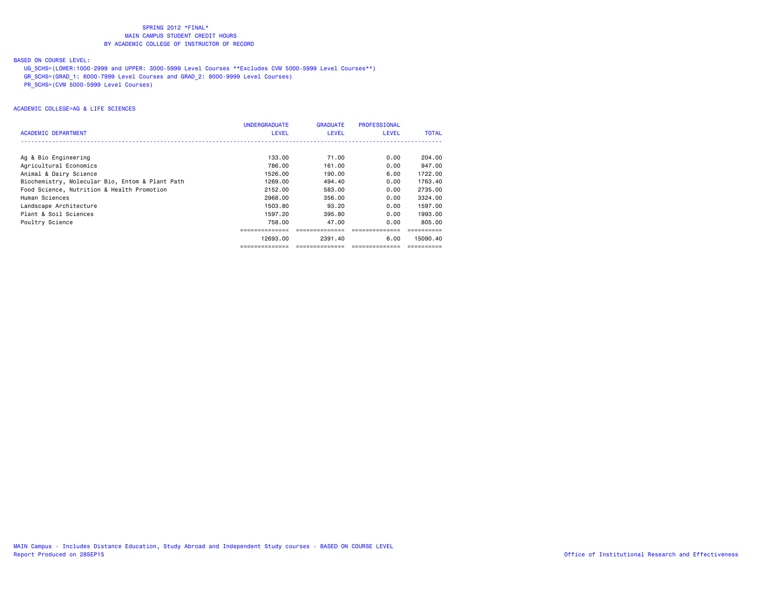### BASED ON COURSE LEVEL:

UG\_SCHS=(LOWER:1000-2999 and UPPER: 3000-5999 Level Courses \*\*Excludes CVM 5000-5999 Level Courses\*\*)

GR\_SCHS=(GRAD\_1: 6000-7999 Level Courses and GRAD\_2: 8000-9999 Level Courses)

PR\_SCHS=(CVM 5000-5999 Level Courses)

|                                                 | <b>UNDERGRADUATE</b> | <b>GRADUATE</b> | <b>PROFESSIONAL</b> |              |
|-------------------------------------------------|----------------------|-----------------|---------------------|--------------|
| <b>ACADEMIC DEPARTMENT</b>                      | <b>LEVEL</b>         | <b>LEVEL</b>    | <b>LEVEL</b>        | <b>TOTAL</b> |
|                                                 |                      |                 |                     |              |
| Ag & Bio Engineering                            | 133.00               | 71.00           | 0.00                | 204,00       |
| Agricultural Economics                          | 786.00               | 161.00          | 0.00                | 947,00       |
| Animal & Dairy Science                          | 1526.00              | 190.00          | 6.00                | 1722.00      |
| Biochemistry, Molecular Bio, Entom & Plant Path | 1269.00              | 494.40          | 0.00                | 1763.40      |
| Food Science, Nutrition & Health Promotion      | 2152.00              | 583,00          | 0.00                | 2735.00      |
| Human Sciences                                  | 2968,00              | 356,00          | 0.00                | 3324.00      |
| Landscape Architecture                          | 1503.80              | 93.20           | 0.00                | 1597.00      |
| Plant & Soil Sciences                           | 1597.20              | 395.80          | 0.00                | 1993.00      |
| Poultry Science                                 | 758.00               | 47.00           | 0.00                | 805,00       |
|                                                 |                      |                 |                     |              |
|                                                 | 12693.00             | 2391.40         | 6.00                | 15090.40     |
|                                                 |                      |                 |                     |              |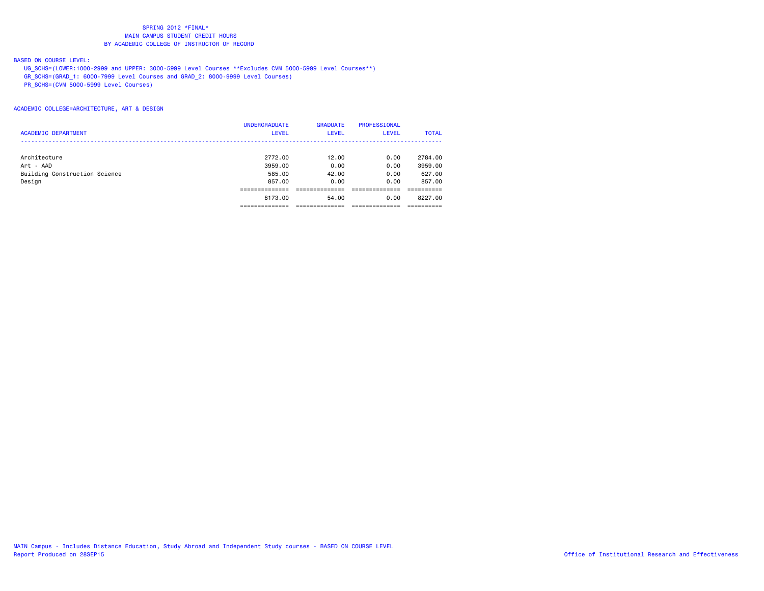### BASED ON COURSE LEVEL:

UG\_SCHS=(LOWER:1000-2999 and UPPER: 3000-5999 Level Courses \*\*Excludes CVM 5000-5999 Level Courses\*\*)

GR\_SCHS=(GRAD\_1: 6000-7999 Level Courses and GRAD\_2: 8000-9999 Level Courses)

PR\_SCHS=(CVM 5000-5999 Level Courses)

### ACADEMIC COLLEGE=ARCHITECTURE, ART & DESIGN

|                               | <b>UNDERGRADUATE</b> | <b>GRADUATE</b> | <b>PROFESSIONAL</b> |              |
|-------------------------------|----------------------|-----------------|---------------------|--------------|
| <b>ACADEMIC DEPARTMENT</b>    | <b>LEVEL</b>         | <b>LEVEL</b>    | <b>LEVEL</b>        | <b>TOTAL</b> |
|                               |                      |                 |                     |              |
| Architecture                  | 2772.00              | 12.00           | 0.00                | 2784.00      |
| Art - AAD                     | 3959.00              | 0.00            | 0.00                | 3959.00      |
| Building Construction Science | 585,00               | 42.00           | 0.00                | 627.00       |
| Design                        | 857,00               | 0.00            | 0.00                | 857,00       |
|                               |                      |                 |                     |              |
|                               | 8173.00              | 54.00           | 0.00                | 8227.00      |
|                               |                      |                 |                     |              |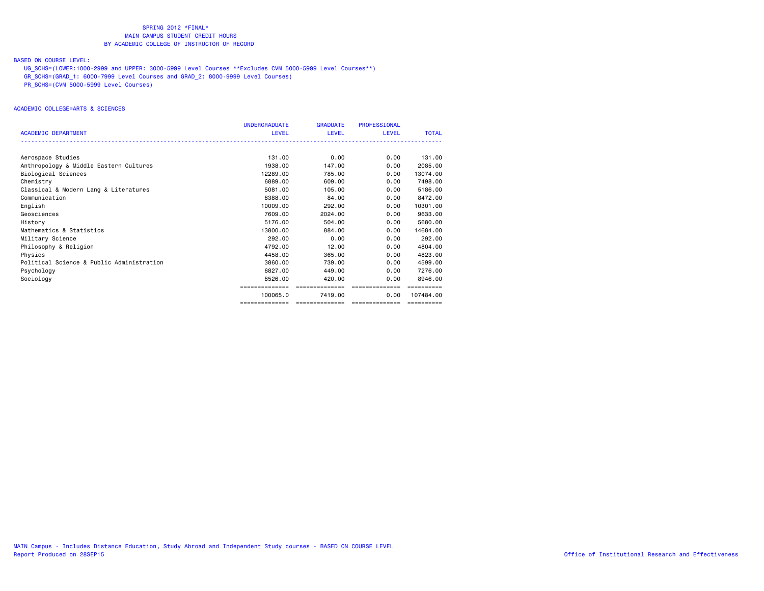### BASED ON COURSE LEVEL:

UG\_SCHS=(LOWER:1000-2999 and UPPER: 3000-5999 Level Courses \*\*Excludes CVM 5000-5999 Level Courses\*\*)

GR\_SCHS=(GRAD\_1: 6000-7999 Level Courses and GRAD\_2: 8000-9999 Level Courses)

PR\_SCHS=(CVM 5000-5999 Level Courses)

#### ACADEMIC COLLEGE=ARTS & SCIENCES

|                                           | <b>UNDERGRADUATE</b> | <b>GRADUATE</b> | <b>PROFESSIONAL</b> |              |
|-------------------------------------------|----------------------|-----------------|---------------------|--------------|
| <b>ACADEMIC DEPARTMENT</b>                | <b>LEVEL</b>         | LEVEL           | <b>LEVEL</b>        | <b>TOTAL</b> |
|                                           |                      |                 |                     |              |
| Aerospace Studies                         | 131.00               | 0.00            | 0.00                | 131.00       |
| Anthropology & Middle Eastern Cultures    | 1938,00              | 147,00          | 0.00                | 2085.00      |
| Biological Sciences                       | 12289.00             | 785,00          | 0.00                | 13074.00     |
| Chemistry                                 | 6889,00              | 609,00          | 0.00                | 7498.00      |
| Classical & Modern Lang & Literatures     | 5081.00              | 105,00          | 0.00                | 5186.00      |
| Communication                             | 8388.00              | 84.00           | 0.00                | 8472.00      |
| English                                   | 10009.00             | 292,00          | 0.00                | 10301.00     |
| Geosciences                               | 7609.00              | 2024.00         | 0.00                | 9633,00      |
| History                                   | 5176.00              | 504.00          | 0.00                | 5680.00      |
| Mathematics & Statistics                  | 13800.00             | 884.00          | 0.00                | 14684,00     |
| Military Science                          | 292.00               | 0.00            | 0.00                | 292.00       |
| Philosophy & Religion                     | 4792.00              | 12.00           | 0.00                | 4804.00      |
| Physics                                   | 4458.00              | 365,00          | 0.00                | 4823.00      |
| Political Science & Public Administration | 3860.00              | 739.00          | 0.00                | 4599.00      |
| Psychology                                | 6827.00              | 449.00          | 0.00                | 7276.00      |
| Sociology                                 | 8526.00              | 420,00          | 0.00                | 8946.00      |
|                                           |                      | ==============  |                     |              |
|                                           | 100065.0             | 7419.00         | 0.00                | 107484.00    |
|                                           | ==============       | --------------- | ---------------     | ==========   |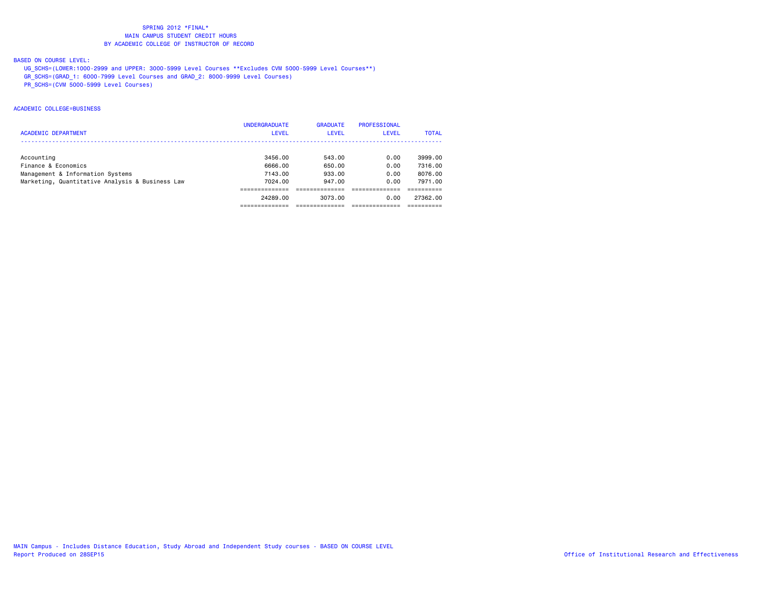## BASED ON COURSE LEVEL:

- UG\_SCHS=(LOWER:1000-2999 and UPPER: 3000-5999 Level Courses \*\*Excludes CVM 5000-5999 Level Courses\*\*)
- GR\_SCHS=(GRAD\_1: 6000-7999 Level Courses and GRAD\_2: 8000-9999 Level Courses)
- PR\_SCHS=(CVM 5000-5999 Level Courses)

#### ACADEMIC COLLEGE=BUSINESS

|                                                 | <b>UNDERGRADUATE</b> | <b>GRADUATE</b> | PROFESSIONAL |              |
|-------------------------------------------------|----------------------|-----------------|--------------|--------------|
| <b>ACADEMIC DEPARTMENT</b>                      | LEVEL                | <b>LEVEL</b>    | <b>LEVEL</b> | <b>TOTAL</b> |
|                                                 |                      |                 |              |              |
| Accounting                                      | 3456.00              | 543.00          | 0.00         | 3999.00      |
| Finance & Economics                             | 6666.00              | 650.00          | 0.00         | 7316.00      |
| Management & Information Systems                | 7143.00              | 933.00          | 0.00         | 8076.00      |
| Marketing, Quantitative Analysis & Business Law | 7024.00              | 947.00          | 0.00         | 7971.00      |
|                                                 |                      |                 |              |              |
|                                                 | 24289.00             | 3073.00         | 0.00         | 27362.00     |
|                                                 |                      |                 |              |              |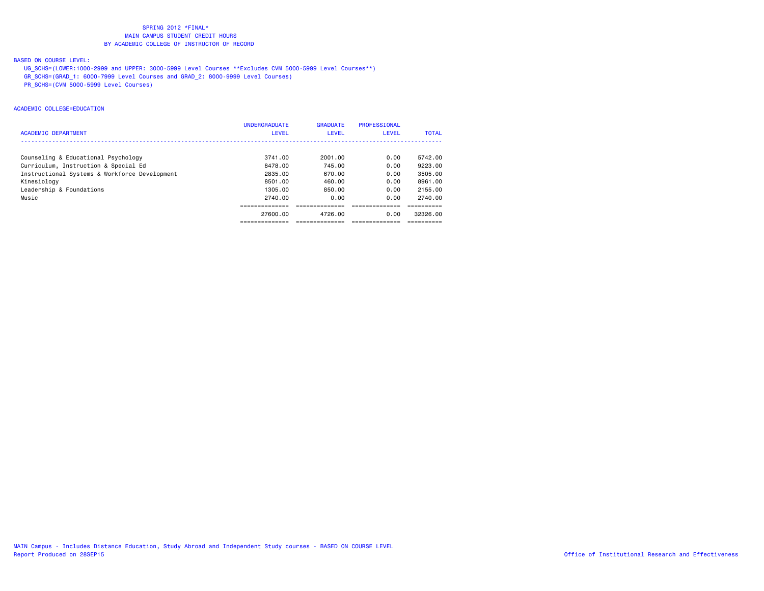## BASED ON COURSE LEVEL:

- UG\_SCHS=(LOWER:1000-2999 and UPPER: 3000-5999 Level Courses \*\*Excludes CVM 5000-5999 Level Courses\*\*)
- GR\_SCHS=(GRAD\_1: 6000-7999 Level Courses and GRAD\_2: 8000-9999 Level Courses)
- PR\_SCHS=(CVM 5000-5999 Level Courses)

#### ACADEMIC COLLEGE=EDUCATION

|                                               | <b>UNDERGRADUATE</b> | <b>GRADUATE</b> | PROFESSIONAL |              |
|-----------------------------------------------|----------------------|-----------------|--------------|--------------|
| <b>ACADEMIC DEPARTMENT</b>                    | <b>LEVEL</b>         | <b>LEVEL</b>    | <b>LEVEL</b> | <b>TOTAL</b> |
|                                               |                      |                 |              |              |
| Counseling & Educational Psychology           | 3741.00              | 2001.00         | 0.00         | 5742.00      |
| Curriculum, Instruction & Special Ed          | 8478.00              | 745.00          | 0.00         | 9223.00      |
| Instructional Systems & Workforce Development | 2835.00              | 670.00          | 0.00         | 3505.00      |
| Kinesiology                                   | 8501.00              | 460.00          | 0.00         | 8961,00      |
| Leadership & Foundations                      | 1305.00              | 850.00          | 0.00         | 2155.00      |
| Music                                         | 2740.00              | 0.00            | 0.00         | 2740.00      |
|                                               |                      |                 |              |              |
|                                               | 27600.00             | 4726.00         | 0.00         | 32326.00     |
|                                               |                      |                 |              |              |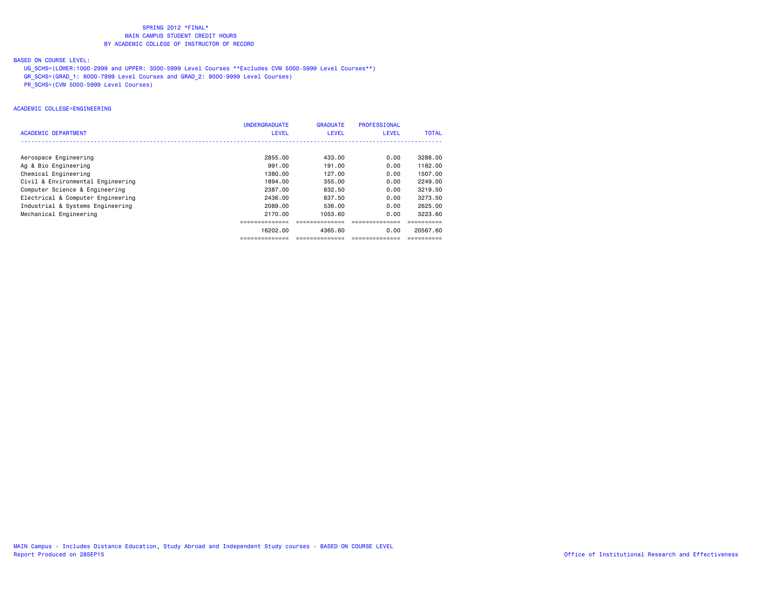## BASED ON COURSE LEVEL:

- UG\_SCHS=(LOWER:1000-2999 and UPPER: 3000-5999 Level Courses \*\*Excludes CVM 5000-5999 Level Courses\*\*)
- GR\_SCHS=(GRAD\_1: 6000-7999 Level Courses and GRAD\_2: 8000-9999 Level Courses)
- PR\_SCHS=(CVM 5000-5999 Level Courses)

#### ACADEMIC COLLEGE=ENGINEERING

|                                   | <b>UNDERGRADUATE</b> | <b>GRADUATE</b> | <b>PROFESSIONAL</b> |              |
|-----------------------------------|----------------------|-----------------|---------------------|--------------|
| ACADEMIC DEPARTMENT               | <b>LEVEL</b>         | <b>LEVEL</b>    | <b>LEVEL</b>        | <b>TOTAL</b> |
|                                   |                      |                 |                     |              |
| Aerospace Engineering             | 2855.00              | 433.00          | 0.00                | 3288.00      |
| Ag & Bio Engineering              | 991,00               | 191.00          | 0.00                | 1182.00      |
| Chemical Engineering              | 1380.00              | 127.00          | 0.00                | 1507.00      |
| Civil & Environmental Engineering | 1894.00              | 355.00          | 0.00                | 2249.00      |
| Computer Science & Engineering    | 2387.00              | 832.50          | 0.00                | 3219.50      |
| Electrical & Computer Engineering | 2436.00              | 837.50          | 0.00                | 3273.50      |
| Industrial & Systems Engineering  | 2089.00              | 536.00          | 0.00                | 2625.00      |
| Mechanical Engineering            | 2170.00              | 1053.60         | 0.00                | 3223.60      |
|                                   |                      |                 |                     |              |
|                                   | 16202.00             | 4365.60         | 0.00                | 20567.60     |
|                                   |                      |                 |                     |              |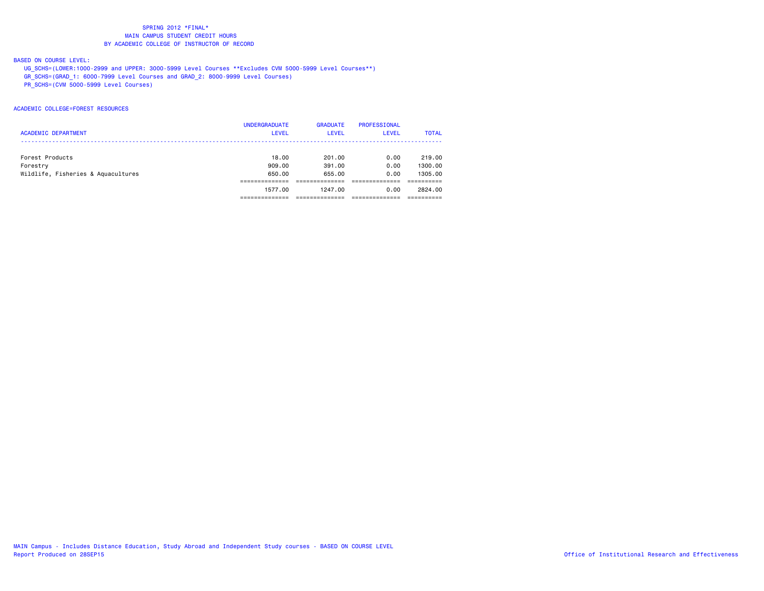### BASED ON COURSE LEVEL:

UG\_SCHS=(LOWER:1000-2999 and UPPER: 3000-5999 Level Courses \*\*Excludes CVM 5000-5999 Level Courses\*\*)

GR\_SCHS=(GRAD\_1: 6000-7999 Level Courses and GRAD\_2: 8000-9999 Level Courses)

PR\_SCHS=(CVM 5000-5999 Level Courses)

#### ACADEMIC COLLEGE=FOREST RESOURCES

|                                    | <b>UNDERGRADUATE</b> | <b>GRADUATE</b> | <b>PROFESSIONAL</b> |              |
|------------------------------------|----------------------|-----------------|---------------------|--------------|
| <b>ACADEMIC DEPARTMENT</b>         | <b>LEVEL</b>         | <b>LEVEL</b>    | LEVEL               | <b>TOTAL</b> |
|                                    |                      |                 |                     |              |
| Forest Products                    | 18,00                | 201.00          | 0.00                | 219,00       |
| Forestry                           | 909,00               | 391.00          | 0.00                | 1300.00      |
| Wildlife, Fisheries & Aquacultures | 650.00               | 655.00          | 0.00                | 1305.00      |
|                                    |                      |                 |                     |              |
|                                    | 1577.00              | 1247.00         | 0.00                | 2824.00      |
|                                    |                      |                 |                     |              |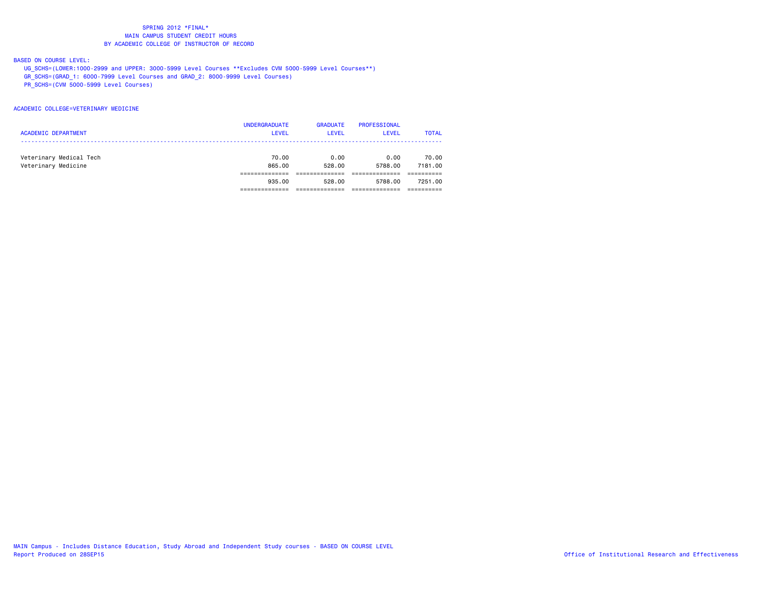### BASED ON COURSE LEVEL:

- UG\_SCHS=(LOWER:1000-2999 and UPPER: 3000-5999 Level Courses \*\*Excludes CVM 5000-5999 Level Courses\*\*)
- GR\_SCHS=(GRAD\_1: 6000-7999 Level Courses and GRAD\_2: 8000-9999 Level Courses)
- PR\_SCHS=(CVM 5000-5999 Level Courses)

#### ACADEMIC COLLEGE=VETERINARY MEDICINE

| <b>ACADEMIC DEPARTMENT</b>                     | <b>UNDERGRADUATE</b><br><b>LEVEL</b> | <b>GRADUATE</b><br><b>LEVEL</b> | PROFESSIONAL<br>LEVEL | <b>TOTAL</b>     |
|------------------------------------------------|--------------------------------------|---------------------------------|-----------------------|------------------|
| Veterinary Medical Tech<br>Veterinary Medicine | 70.00<br>865,00                      | 0.00<br>528.00                  | 0.00<br>5788.00       | 70.00<br>7181.00 |
|                                                | 935.00                               | 528.00                          | 5788.00               | 7251.00          |
|                                                |                                      |                                 |                       |                  |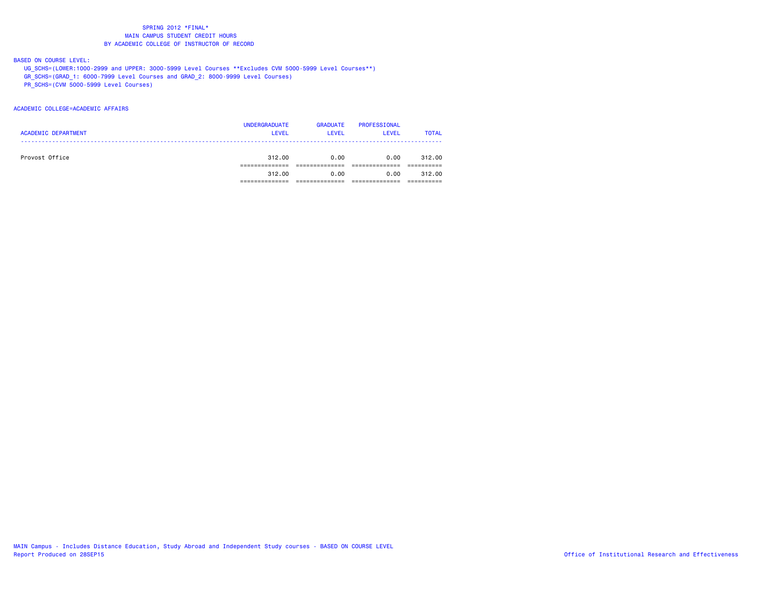### BASED ON COURSE LEVEL:

- UG\_SCHS=(LOWER:1000-2999 and UPPER: 3000-5999 Level Courses \*\*Excludes CVM 5000-5999 Level Courses\*\*)
- GR\_SCHS=(GRAD\_1: 6000-7999 Level Courses and GRAD\_2: 8000-9999 Level Courses)
- PR\_SCHS=(CVM 5000-5999 Level Courses)

#### ACADEMIC COLLEGE=ACADEMIC AFFAIRS

|                            | <b>UNDERGRADUATE</b> | <b>GRADUATE</b> | PROFESSIONAL |              |
|----------------------------|----------------------|-----------------|--------------|--------------|
| <b>ACADEMIC DEPARTMENT</b> | <b>LEVEL</b>         | <b>LEVEL</b>    | <b>LEVEL</b> | <b>TOTAL</b> |
|                            |                      |                 |              |              |
|                            |                      |                 |              |              |
| Provost Office             | 312.00               | 0.00            | 0.00         | 312,00       |
|                            |                      |                 |              |              |
|                            | 312.00               | 0.00            | 0.00         | 312.00       |
|                            |                      |                 |              |              |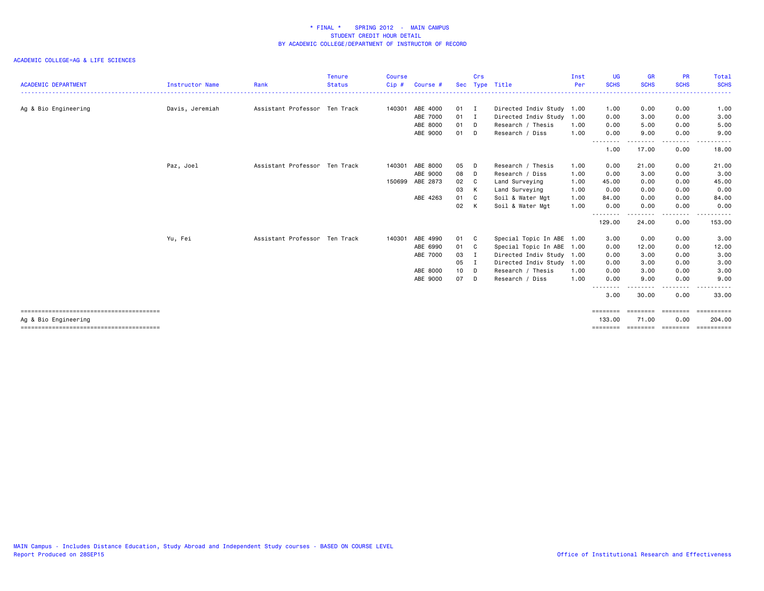### ACADEMIC COLLEGE=AG & LIFE SCIENCES

| <b>ACADEMIC DEPARTMENT</b> | Instructor Name | Rank                          | <b>Tenure</b><br><b>Status</b> | Course<br>Cip # | Course # |              | Crs | Sec Type Title            | Inst<br>Per | <b>UG</b><br><b>SCHS</b> | <b>GR</b><br><b>SCHS</b> | <b>PR</b><br><b>SCHS</b> | Total<br><b>SCHS</b> |
|----------------------------|-----------------|-------------------------------|--------------------------------|-----------------|----------|--------------|-----|---------------------------|-------------|--------------------------|--------------------------|--------------------------|----------------------|
|                            |                 |                               |                                |                 |          |              |     |                           |             |                          |                          |                          |                      |
| Ag & Bio Engineering       | Davis, Jeremiah | Assistant Professor Ten Track |                                | 140301          | ABE 4000 | $01 \quad I$ |     | Directed Indiv Study 1.00 |             | 1.00                     | 0.00                     | 0.00                     | 1.00                 |
|                            |                 |                               |                                |                 | ABE 7000 | $01$ I       |     | Directed Indiv Study      | 1.00        | 0.00                     | 3.00                     | 0.00                     | 3.00                 |
|                            |                 |                               |                                |                 | ABE 8000 | 01 D         |     | Research / Thesis         | 1.00        | 0.00                     | 5.00                     | 0.00                     | 5.00                 |
|                            |                 |                               |                                |                 | ABE 9000 | 01 D         |     | Research / Diss           | 1.00        | 0.00                     | 9.00<br>.                | 0.00<br>.                | 9.00                 |
|                            |                 |                               |                                |                 |          |              |     |                           |             | 1.00                     | 17.00                    | 0.00                     | 18.00                |
|                            | Paz, Joel       | Assistant Professor Ten Track |                                | 140301          | ABE 8000 | 05 D         |     | Research / Thesis         | 1.00        | 0.00                     | 21.00                    | 0.00                     | 21.00                |
|                            |                 |                               |                                |                 | ABE 9000 | 08 D         |     | Research / Diss           | 1.00        | 0.00                     | 3.00                     | 0.00                     | 3.00                 |
|                            |                 |                               |                                | 150699          | ABE 2873 | 02 C         |     | Land Surveying            | 1.00        | 45.00                    | 0.00                     | 0.00                     | 45.00                |
|                            |                 |                               |                                |                 |          | 03           | K   | Land Surveying            | 1.00        | 0.00                     | 0.00                     | 0.00                     | 0.00                 |
|                            |                 |                               |                                |                 | ABE 4263 | 01           | C.  | Soil & Water Mgt          | 1.00        | 84.00                    | 0.00                     | 0.00                     | 84.00                |
|                            |                 |                               |                                |                 |          | 02           | K   | Soil & Water Mgt          | 1.00        | 0.00                     | 0.00                     | 0.00                     | 0.00                 |
|                            |                 |                               |                                |                 |          |              |     |                           |             | - - - -<br>129.00        | 24.00                    | 0.00                     | 153.00               |
|                            | Yu, Fei         | Assistant Professor Ten Track |                                | 140301          | ABE 4990 | 01 C         |     | Special Topic In ABE 1.00 |             | 3.00                     | 0.00                     | 0.00                     | 3.00                 |
|                            |                 |                               |                                |                 | ABE 6990 | 01 C         |     | Special Topic In ABE 1.00 |             | 0.00                     | 12.00                    | 0.00                     | 12.00                |
|                            |                 |                               |                                |                 | ABE 7000 | 03           | I   | Directed Indiv Study 1.00 |             | 0.00                     | 3.00                     | 0.00                     | 3.00                 |
|                            |                 |                               |                                |                 |          | 05           | Ι.  | Directed Indiv Study      | 1.00        | 0.00                     | 3.00                     | 0.00                     | 3.00                 |
|                            |                 |                               |                                |                 | ABE 8000 | 10           | D   | Research / Thesis         | 1.00        | 0.00                     | 3.00                     | 0.00                     | 3.00                 |
|                            |                 |                               |                                |                 | ABE 9000 | 07           | D   | Research / Diss           | 1.00        | 0.00                     | 9.00                     | 0.00                     | 9.00                 |
|                            |                 |                               |                                |                 |          |              |     |                           |             |                          | -----                    | .                        | $\cdots$             |
|                            |                 |                               |                                |                 |          |              |     |                           |             | 3.00                     | 30.00                    | 0.00                     | 33.00                |
|                            |                 |                               |                                |                 |          |              |     |                           |             | ========                 | ========                 | ========                 | <b>ESSESSESS</b>     |
| Ag & Bio Engineering       |                 |                               |                                |                 |          |              |     |                           |             | 133,00                   | 71.00                    | 0.00                     | 204.00               |
|                            |                 |                               |                                |                 |          |              |     |                           |             | ========                 | ---------                | ========                 | ==========           |

MAIN Campus - Includes Distance Education, Study Abroad and Independent Study courses - BASED ON COURSE LEVEL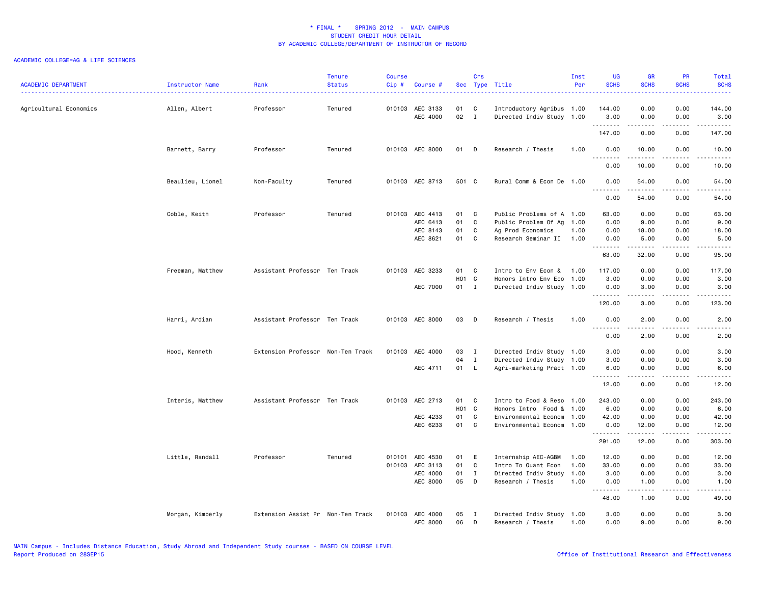| <b>ACADEMIC DEPARTMENT</b> | Instructor Name  | Rank                              | <b>Tenure</b><br><b>Status</b> | <b>Course</b><br>Cip# | Course #                    |          | Crs               | Sec Type Title                                         | Inst<br>Per | <b>UG</b><br><b>SCHS</b>                                                                                                                                                                                                                                                                                                                                                                                                                                                                         | <b>GR</b><br><b>SCHS</b> | PR<br><b>SCHS</b>                           | Total<br><b>SCHS</b>                                                                                                                                          |
|----------------------------|------------------|-----------------------------------|--------------------------------|-----------------------|-----------------------------|----------|-------------------|--------------------------------------------------------|-------------|--------------------------------------------------------------------------------------------------------------------------------------------------------------------------------------------------------------------------------------------------------------------------------------------------------------------------------------------------------------------------------------------------------------------------------------------------------------------------------------------------|--------------------------|---------------------------------------------|---------------------------------------------------------------------------------------------------------------------------------------------------------------|
| Agricultural Economics     | Allen, Albert    | Professor                         | Tenured                        |                       | 010103 AEC 3133<br>AEC 4000 | 01<br>02 | C<br>$\mathbf{I}$ | Introductory Agribus 1.00<br>Directed Indiv Study 1.00 |             | 144.00<br>3.00                                                                                                                                                                                                                                                                                                                                                                                                                                                                                   | 0.00<br>0.00             | 0.00<br>0.00                                | 144.00<br>3.00                                                                                                                                                |
|                            |                  |                                   |                                |                       |                             |          |                   |                                                        |             | .<br>147.00                                                                                                                                                                                                                                                                                                                                                                                                                                                                                      | .<br>0.00                | .<br>0.00                                   | 147.00                                                                                                                                                        |
|                            | Barnett, Barry   | Professor                         | Tenured                        |                       | 010103 AEC 8000             | 01 D     |                   | Research / Thesis                                      | 1.00        | 0.00                                                                                                                                                                                                                                                                                                                                                                                                                                                                                             | 10.00                    | 0.00                                        | 10.00                                                                                                                                                         |
|                            |                  |                                   |                                |                       |                             |          |                   |                                                        |             | .<br>0.00                                                                                                                                                                                                                                                                                                                                                                                                                                                                                        | 10.00                    | .<br>0.00                                   | .<br>10.00                                                                                                                                                    |
|                            | Beaulieu, Lionel | Non-Faculty                       | Tenured                        |                       | 010103 AEC 8713             | 501 C    |                   | Rural Comm & Econ De 1.00                              |             | 0.00<br>$\sim$ $\sim$ $\sim$<br>.                                                                                                                                                                                                                                                                                                                                                                                                                                                                | 54.00                    | 0.00<br>$\sim$ $\sim$ $\sim$ $\sim$         | 54.00<br>$\frac{1}{2} \left( \frac{1}{2} \right) \left( \frac{1}{2} \right) \left( \frac{1}{2} \right) \left( \frac{1}{2} \right) \left( \frac{1}{2} \right)$ |
|                            |                  |                                   |                                |                       |                             |          |                   |                                                        |             | 0.00                                                                                                                                                                                                                                                                                                                                                                                                                                                                                             | 54.00                    | 0.00                                        | 54.00                                                                                                                                                         |
|                            | Coble, Keith     | Professor                         | Tenured                        |                       | 010103 AEC 4413             | 01 C     |                   | Public Problems of A 1.00                              |             | 63.00                                                                                                                                                                                                                                                                                                                                                                                                                                                                                            | 0.00                     | 0.00                                        | 63.00                                                                                                                                                         |
|                            |                  |                                   |                                |                       | AEC 6413                    | 01       | C.                | Public Problem Of Ag                                   | 1.00        | 0.00                                                                                                                                                                                                                                                                                                                                                                                                                                                                                             | 9.00                     | 0.00                                        | 9.00                                                                                                                                                          |
|                            |                  |                                   |                                |                       | AEC 8143                    | 01       | C                 | Ag Prod Economics                                      | 1.00        | 0.00                                                                                                                                                                                                                                                                                                                                                                                                                                                                                             | 18.00                    | 0.00                                        | 18.00                                                                                                                                                         |
|                            |                  |                                   |                                |                       | AEC 8621                    | 01       | C                 | Research Seminar II                                    | 1.00        | 0.00<br>.                                                                                                                                                                                                                                                                                                                                                                                                                                                                                        | 5.00<br>.                | 0.00<br>.                                   | 5.00<br>$\sim$ $\sim$ $\sim$ $\sim$ $\sim$                                                                                                                    |
|                            |                  |                                   |                                |                       |                             |          |                   |                                                        |             | 63.00                                                                                                                                                                                                                                                                                                                                                                                                                                                                                            | 32.00                    | 0.00                                        | 95.00                                                                                                                                                         |
|                            | Freeman, Matthew | Assistant Professor Ten Track     |                                |                       | 010103 AEC 3233             | 01 C     |                   | Intro to Env Econ &                                    | 1.00        | 117.00                                                                                                                                                                                                                                                                                                                                                                                                                                                                                           | 0.00                     | 0.00                                        | 117.00                                                                                                                                                        |
|                            |                  |                                   |                                |                       |                             | H01 C    |                   | Honors Intro Env Eco                                   | 1.00        | 3.00                                                                                                                                                                                                                                                                                                                                                                                                                                                                                             | 0.00                     | 0.00                                        | 3.00                                                                                                                                                          |
|                            |                  |                                   |                                |                       | AEC 7000                    | 01 I     |                   | Directed Indiv Study 1.00                              |             | 0.00                                                                                                                                                                                                                                                                                                                                                                                                                                                                                             | 3.00                     | 0.00                                        | 3.00                                                                                                                                                          |
|                            |                  |                                   |                                |                       |                             |          |                   |                                                        |             | $\begin{array}{cccccccccccccc} \multicolumn{2}{c}{} & \multicolumn{2}{c}{} & \multicolumn{2}{c}{} & \multicolumn{2}{c}{} & \multicolumn{2}{c}{} & \multicolumn{2}{c}{} & \multicolumn{2}{c}{} & \multicolumn{2}{c}{} & \multicolumn{2}{c}{} & \multicolumn{2}{c}{} & \multicolumn{2}{c}{} & \multicolumn{2}{c}{} & \multicolumn{2}{c}{} & \multicolumn{2}{c}{} & \multicolumn{2}{c}{} & \multicolumn{2}{c}{} & \multicolumn{2}{c}{} & \multicolumn{2}{c}{} & \multicolumn{2}{c}{} & \$<br>120.00 | .<br>3.00                | .<br>0.00                                   | .<br>123.00                                                                                                                                                   |
|                            | Harri, Ardian    | Assistant Professor Ten Track     |                                |                       | 010103 AEC 8000             | 03       | D D               | Research / Thesis                                      | 1.00        | 0.00                                                                                                                                                                                                                                                                                                                                                                                                                                                                                             | 2.00                     | 0.00                                        | 2.00                                                                                                                                                          |
|                            |                  |                                   |                                |                       |                             |          |                   |                                                        |             | .                                                                                                                                                                                                                                                                                                                                                                                                                                                                                                |                          | .                                           | .                                                                                                                                                             |
|                            |                  |                                   |                                |                       |                             |          |                   |                                                        |             | 0.00                                                                                                                                                                                                                                                                                                                                                                                                                                                                                             | 2.00                     | 0.00                                        | 2.00                                                                                                                                                          |
|                            | Hood, Kenneth    | Extension Professor Non-Ten Track |                                | 010103                | AEC 4000                    | 03       | $\mathbf{I}$      | Directed Indiv Study 1.00                              |             | 3.00                                                                                                                                                                                                                                                                                                                                                                                                                                                                                             | 0.00                     | 0.00                                        | 3.00                                                                                                                                                          |
|                            |                  |                                   |                                |                       |                             | 04       | $\mathbf{I}$      | Directed Indiv Study 1.00                              |             | 3.00                                                                                                                                                                                                                                                                                                                                                                                                                                                                                             | 0.00                     | 0.00                                        | 3.00                                                                                                                                                          |
|                            |                  |                                   |                                |                       | AEC 4711                    | 01 L     |                   | Agri-marketing Pract 1.00                              |             | 6.00<br>.                                                                                                                                                                                                                                                                                                                                                                                                                                                                                        | 0.00                     | 0.00<br>.                                   | 6.00<br>.                                                                                                                                                     |
|                            |                  |                                   |                                |                       |                             |          |                   |                                                        |             | 12.00                                                                                                                                                                                                                                                                                                                                                                                                                                                                                            | 0.00                     | 0.00                                        | 12.00                                                                                                                                                         |
|                            | Interis, Matthew | Assistant Professor Ten Track     |                                |                       | 010103 AEC 2713             | 01 C     |                   | Intro to Food & Reso 1.00                              |             | 243.00                                                                                                                                                                                                                                                                                                                                                                                                                                                                                           | 0.00                     | 0.00                                        | 243.00                                                                                                                                                        |
|                            |                  |                                   |                                |                       |                             | H01 C    |                   | Honors Intro Food & 1.00                               |             | 6.00                                                                                                                                                                                                                                                                                                                                                                                                                                                                                             | 0.00                     | 0.00                                        | 6.00                                                                                                                                                          |
|                            |                  |                                   |                                |                       | AEC 4233                    | 01       | $\mathbf{C}$      | Environmental Econom 1.00                              |             | 42.00                                                                                                                                                                                                                                                                                                                                                                                                                                                                                            | 0.00                     | 0.00                                        | 42.00                                                                                                                                                         |
|                            |                  |                                   |                                |                       | AEC 6233                    | 01       | C                 | Environmental Econom 1.00                              |             | 0.00                                                                                                                                                                                                                                                                                                                                                                                                                                                                                             | 12.00                    | 0.00                                        | 12.00                                                                                                                                                         |
|                            |                  |                                   |                                |                       |                             |          |                   |                                                        |             | .<br>291.00                                                                                                                                                                                                                                                                                                                                                                                                                                                                                      | .<br>12.00               | $\omega$ $\omega$ $\omega$ $\omega$<br>0.00 | .<br>303.00                                                                                                                                                   |
|                            | Little, Randall  | Professor                         | Tenured                        |                       | 010101 AEC 4530             | 01 E     |                   | Internship AEC-AGBM                                    | 1.00        | 12.00                                                                                                                                                                                                                                                                                                                                                                                                                                                                                            | 0.00                     | 0.00                                        | 12.00                                                                                                                                                         |
|                            |                  |                                   |                                | 010103                | AEC 3113                    | 01       | $\mathbf{C}$      | Intro To Quant Econ                                    | 1.00        | 33.00                                                                                                                                                                                                                                                                                                                                                                                                                                                                                            | 0.00                     | 0.00                                        | 33.00                                                                                                                                                         |
|                            |                  |                                   |                                |                       | AEC 4000                    | 01       | $\mathbf{I}$      | Directed Indiv Study                                   | 1.00        | 3.00                                                                                                                                                                                                                                                                                                                                                                                                                                                                                             | 0.00                     | 0.00                                        | 3.00                                                                                                                                                          |
|                            |                  |                                   |                                |                       | AEC 8000                    | 05       | $\Box$            | Research / Thesis                                      | 1.00        | 0.00                                                                                                                                                                                                                                                                                                                                                                                                                                                                                             | 1.00                     | 0.00                                        | 1.00                                                                                                                                                          |
|                            |                  |                                   |                                |                       |                             |          |                   |                                                        |             | .<br>48.00                                                                                                                                                                                                                                                                                                                                                                                                                                                                                       | .<br>1.00                | $\sim$ $\sim$ $\sim$<br>0.00                | .<br>49.00                                                                                                                                                    |
|                            |                  |                                   |                                |                       |                             |          |                   |                                                        |             |                                                                                                                                                                                                                                                                                                                                                                                                                                                                                                  |                          |                                             |                                                                                                                                                               |
|                            | Morgan, Kimberly | Extension Assist Pr Non-Ten Track |                                |                       | 010103 AEC 4000<br>AEC 8000 | 05<br>06 | $\mathbf{I}$<br>D | Directed Indiv Study 1.00<br>Research / Thesis         | 1.00        | 3.00<br>0.00                                                                                                                                                                                                                                                                                                                                                                                                                                                                                     | 0.00<br>9.00             | 0.00<br>0.00                                | 3.00<br>9.00                                                                                                                                                  |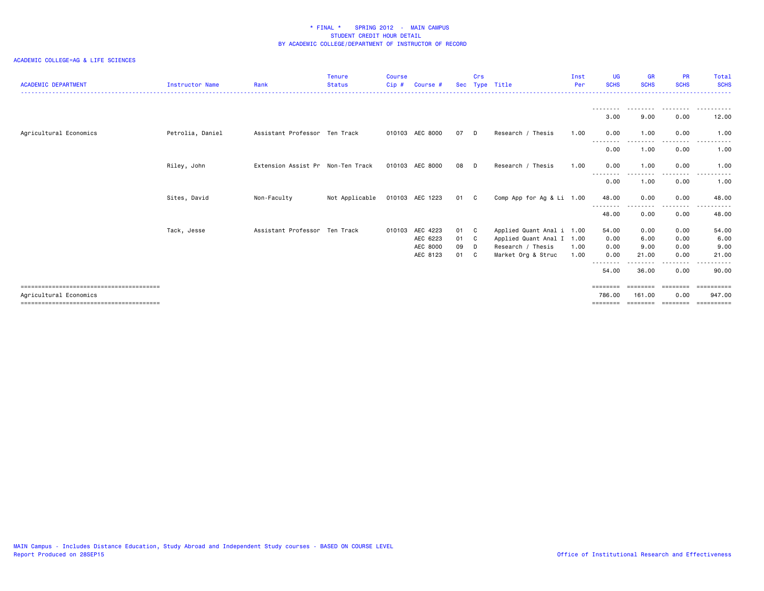| <b>ACADEMIC DEPARTMENT</b> | <b>Instructor Name</b> | Rank                              | <b>Tenure</b><br><b>Status</b> | <b>Course</b><br>Cip # | Course #        |      | Crs            | Sec Type Title            | Inst<br>Per | <b>UG</b><br><b>SCHS</b> | <b>GR</b><br><b>SCHS</b> | <b>PR</b><br><b>SCHS</b> | Total<br><b>SCHS</b>                                                                                                                        |
|----------------------------|------------------------|-----------------------------------|--------------------------------|------------------------|-----------------|------|----------------|---------------------------|-------------|--------------------------|--------------------------|--------------------------|---------------------------------------------------------------------------------------------------------------------------------------------|
|                            |                        |                                   |                                |                        |                 |      |                |                           |             | 3.00                     | 9.00                     | .<br>0.00                | 12.00                                                                                                                                       |
| Agricultural Economics     | Petrolia, Daniel       | Assistant Professor Ten Track     |                                |                        | 010103 AEC 8000 | 07   | - D            | Research / Thesis         | 1.00        | 0.00                     | 1.00                     | 0.00                     | 1.00                                                                                                                                        |
|                            |                        |                                   |                                |                        |                 |      |                |                           |             | --------<br>0.00         | ---------<br>1.00        | ---------<br>0.00        | ----------<br>1.00                                                                                                                          |
|                            | Riley, John            | Extension Assist Pr Non-Ten Track |                                |                        | 010103 AEC 8000 | 08   | - D            | Research / Thesis         | 1.00        | 0.00<br>--------         | 1.00<br>---------        | 0.00<br>.                | 1.00<br>$\frac{1}{2} \left( \frac{1}{2} \right) \left( \frac{1}{2} \right) \left( \frac{1}{2} \right) \left( \frac{1}{2} \right)$<br>------ |
|                            |                        |                                   |                                |                        |                 |      |                |                           |             | 0.00                     | 1.00                     | 0.00                     | 1.00                                                                                                                                        |
|                            | Sites, David           | Non-Faculty                       | Not Applicable                 |                        | 010103 AEC 1223 | 01 C |                | Comp App for Ag & Li 1.00 |             | 48.00                    | 0.00                     | 0.00<br>----             | 48.00                                                                                                                                       |
|                            |                        |                                   |                                |                        |                 |      |                |                           |             | 48.00                    | 0.00                     | 0.00                     | 48.00                                                                                                                                       |
|                            | Tack, Jesse            | Assistant Professor Ten Track     |                                | 010103                 | AEC 4223        | 01   | C.             | Applied Quant Anal i 1.00 |             | 54.00                    | 0.00                     | 0.00                     | 54.00                                                                                                                                       |
|                            |                        |                                   |                                |                        | AEC 6223        | 01   | $\mathbf{C}$   | Applied Quant Anal I 1.00 |             | 0.00                     | 6.00                     | 0.00                     | 6.00                                                                                                                                        |
|                            |                        |                                   |                                |                        | AEC 8000        | 09   | D              | Research / Thesis         | 1.00        | 0.00                     | 9.00                     | 0.00                     | 9.00                                                                                                                                        |
|                            |                        |                                   |                                |                        | AEC 8123        | 01   | C <sub>c</sub> | Market Org & Struc        | 1.00        | 0.00                     | 21.00<br>------          | 0.00<br>.                | 21.00                                                                                                                                       |
|                            |                        |                                   |                                |                        |                 |      |                |                           |             | 54.00                    | 36.00                    | 0.00                     | 90.00                                                                                                                                       |
|                            |                        |                                   |                                |                        |                 |      |                |                           |             | ========                 | ========                 |                          | ==========                                                                                                                                  |
| Agricultural Economics     |                        |                                   |                                |                        |                 |      |                |                           |             | 786.00                   | 161,00                   | 0.00                     | 947.00                                                                                                                                      |
|                            |                        |                                   |                                |                        |                 |      |                |                           |             | =======                  | --------                 | ========                 |                                                                                                                                             |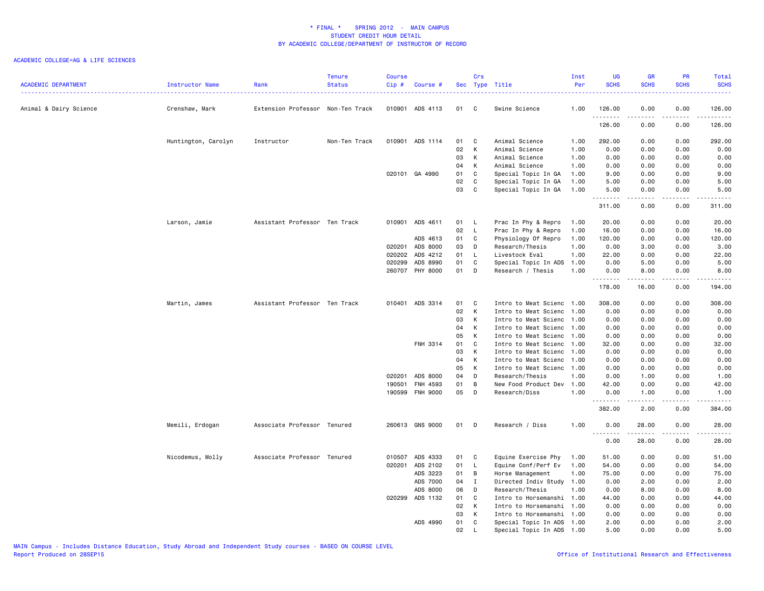| <b>ACADEMIC DEPARTMENT</b> | Instructor Name     | Rank                              | Tenure<br><b>Status</b> | <b>Course</b><br>Cip# | Course #                    |          | Crs               | Sec Type Title                        | Inst<br>Per  | <b>UG</b><br><b>SCHS</b> | <b>GR</b><br><b>SCHS</b> | PR<br><b>SCHS</b>            | Total<br><b>SCHS</b> |
|----------------------------|---------------------|-----------------------------------|-------------------------|-----------------------|-----------------------------|----------|-------------------|---------------------------------------|--------------|--------------------------|--------------------------|------------------------------|----------------------|
| Animal & Dairy Science     | Crenshaw, Mark      | Extension Professor Non-Ten Track |                         |                       | 010901 ADS 4113             | 01       | $\mathbf{C}$      | Swine Science                         | 1.00         | 126.00<br>.              | 0.00                     | 0.00<br>.                    | 126.00<br>.          |
|                            |                     |                                   |                         |                       |                             |          |                   |                                       |              | 126.00                   | 0.00                     | 0.00                         | 126.00               |
|                            | Huntington, Carolyn | Instructor                        | Non-Ten Track           |                       | 010901 ADS 1114             | 01       | C                 | Animal Science                        | 1.00         | 292.00                   | 0.00                     | 0.00                         | 292.00               |
|                            |                     |                                   |                         |                       |                             | 02       | К                 | Animal Science                        | 1.00         | 0.00                     | 0.00                     | 0.00                         | 0.00                 |
|                            |                     |                                   |                         |                       |                             | 03       | К                 | Animal Science                        | 1.00         | 0.00                     | 0.00                     | 0.00                         | 0.00                 |
|                            |                     |                                   |                         |                       |                             | 04       | К                 | Animal Science                        | 1.00         | 0.00                     | 0.00                     | 0.00                         | 0.00                 |
|                            |                     |                                   |                         |                       | 020101 GA 4990              | 01       | C                 | Special Topic In GA                   | 1.00         | 9.00                     | 0.00                     | 0.00                         | 9.00                 |
|                            |                     |                                   |                         |                       |                             | 02       | C                 | Special Topic In GA                   | 1.00         | 5.00                     | 0.00                     | 0.00                         | 5.00                 |
|                            |                     |                                   |                         |                       |                             | 03       | C                 | Special Topic In GA                   | 1.00         | 5.00<br>.                | 0.00<br>.                | 0.00<br>$\sim$ $\sim$ $\sim$ | 5.00<br>.            |
|                            |                     |                                   |                         |                       |                             |          |                   |                                       |              | 311.00                   | 0.00                     | 0.00                         | 311.00               |
|                            | Larson, Jamie       | Assistant Professor Ten Track     |                         |                       | 010901 ADS 4611             | 01       | - L               | Prac In Phy & Repro                   | 1.00         | 20.00                    | 0.00                     | 0.00                         | 20.00                |
|                            |                     |                                   |                         |                       |                             | 02       | $\mathsf{L}$      | Prac In Phy & Repro                   | 1.00         | 16.00                    | 0.00                     | 0.00                         | 16.00                |
|                            |                     |                                   |                         |                       | ADS 4613                    | 01       | C                 | Physiology Of Repro                   | 1.00         | 120.00                   | 0.00                     | 0.00                         | 120.00               |
|                            |                     |                                   |                         |                       | 020201 ADS 8000             | 03       | D                 | Research/Thesis                       | 1.00         | 0.00                     | 3.00                     | 0.00                         | 3.00                 |
|                            |                     |                                   |                         | 020202                | ADS 4212                    | 01       | L.                | Livestock Eval                        | 1.00         | 22.00                    | 0.00                     | 0.00                         | 22.00                |
|                            |                     |                                   |                         | 020299                | ADS 8990                    | 01       | C                 | Special Topic In ADS                  | 1.00         | 0.00                     | 5.00                     | 0.00                         | 5.00                 |
|                            |                     |                                   |                         |                       | 260707 PHY 8000             | 01       | D                 | Research / Thesis                     | 1.00         | 0.00<br><u>.</u>         | 8.00<br>$- - - - -$      | 0.00<br>.                    | 8.00<br>.            |
|                            |                     |                                   |                         |                       |                             |          |                   |                                       |              | 178.00                   | 16.00                    | 0.00                         | 194.00               |
|                            | Martin, James       | Assistant Professor Ten Track     |                         |                       | 010401 ADS 3314             | 01       | C                 | Intro to Meat Scienc                  | 1.00         | 308.00                   | 0.00                     | 0.00                         | 308.00               |
|                            |                     |                                   |                         |                       |                             | 02       | K                 | Intro to Meat Scienc                  | 1.00         | 0.00                     | 0.00                     | 0.00                         | 0.00                 |
|                            |                     |                                   |                         |                       |                             | 03       | К                 | Intro to Meat Scienc                  | 1.00         | 0.00                     | 0.00                     | 0.00                         | 0.00                 |
|                            |                     |                                   |                         |                       |                             | 04       | К                 | Intro to Meat Scienc                  | 1.00         | 0.00                     | 0.00                     | 0.00                         | 0.00                 |
|                            |                     |                                   |                         |                       |                             | 05       | K                 | Intro to Meat Scienc                  | 1.00         | 0.00                     | 0.00                     | 0.00                         | 0.00                 |
|                            |                     |                                   |                         |                       | FNH 3314                    | 01       | C                 | Intro to Meat Scienc                  | 1.00         | 32.00                    | 0.00                     | 0.00                         | 32.00                |
|                            |                     |                                   |                         |                       |                             | 03       | K                 | Intro to Meat Scienc                  | 1.00         | 0.00                     | 0.00                     | 0.00                         | 0.00                 |
|                            |                     |                                   |                         |                       |                             | 04       | К                 | Intro to Meat Scienc                  | 1.00         | 0.00                     | 0.00                     | 0.00                         | 0.00                 |
|                            |                     |                                   |                         |                       |                             | 05       | K                 | Intro to Meat Scienc 1.00             |              | 0.00                     | 0.00                     | 0.00                         | 0.00                 |
|                            |                     |                                   |                         |                       | 020201 ADS 8000             | 04       | D                 | Research/Thesis                       | 1.00         | 0.00                     | 1.00                     | 0.00                         | 1.00                 |
|                            |                     |                                   |                         | 190501<br>190599      | FNH 4593<br><b>FNH 9000</b> | 01<br>05 | B<br>D            | New Food Product Dev<br>Research/Diss | 1.00<br>1.00 | 42.00<br>0.00            | 0.00<br>1.00             | 0.00<br>0.00                 | 42.00<br>1.00        |
|                            |                     |                                   |                         |                       |                             |          |                   |                                       |              | .<br>382.00              | .<br>2.00                | .<br>0.00                    | .<br>384.00          |
|                            | Memili, Erdogan     | Associate Professor Tenured       |                         |                       | 260613 GNS 9000             | 01       | D D               | Research / Diss                       | 1.00         | 0.00                     | 28.00                    | 0.00                         | 28.00                |
|                            |                     |                                   |                         |                       |                             |          |                   |                                       |              | .                        | .                        | .                            | .                    |
|                            |                     |                                   |                         |                       |                             |          |                   |                                       |              | 0.00                     | 28.00                    | 0.00                         | 28.00                |
|                            | Nicodemus, Molly    | Associate Professor Tenured       |                         | 010507                | ADS 4333                    | 01       | $\mathbf{C}$      | Equine Exercise Phy                   | 1.00         | 51.00                    | 0.00                     | 0.00                         | 51.00                |
|                            |                     |                                   |                         | 020201                | ADS 2102                    | 01       | <b>L</b>          | Equine Conf/Perf Ev                   | 1.00         | 54.00                    | 0.00                     | 0.00                         | 54.00                |
|                            |                     |                                   |                         |                       | ADS 3223                    | 01       | B                 | Horse Management                      | 1.00         | 75.00                    | 0.00                     | 0.00                         | 75.00                |
|                            |                     |                                   |                         |                       | ADS 7000                    | 04       | $\mathbf{I}$      | Directed Indiv Study                  | 1.00         | 0.00                     | 2.00                     | 0.00                         | 2.00                 |
|                            |                     |                                   |                         |                       | ADS 8000                    | 06       | D                 | Research/Thesis                       | 1.00         | 0.00                     | 8.00                     | 0.00                         | 8.00                 |
|                            |                     |                                   |                         |                       | 020299 ADS 1132             | 01       | C                 | Intro to Horsemanshi                  | 1.00         | 44.00                    | 0.00                     | 0.00                         | 44.00                |
|                            |                     |                                   |                         |                       |                             | 02       | K                 | Intro to Horsemanshi                  | 1.00         | 0.00                     | 0.00                     | 0.00                         | 0.00                 |
|                            |                     |                                   |                         |                       |                             | 03       | К                 | Intro to Horsemanshi                  | 1.00         | 0.00                     | 0.00                     | 0.00                         | 0.00                 |
|                            |                     |                                   |                         |                       | ADS 4990                    | 01<br>02 | C<br>$\mathbf{I}$ | Special Topic In ADS                  | 1.00<br>1.00 | 2.00<br>5.00             | 0.00<br>0.00             | 0.00<br>0.00                 | 2.00<br>5.00         |
|                            |                     |                                   |                         |                       |                             |          |                   | Special Topic In ADS                  |              |                          |                          |                              |                      |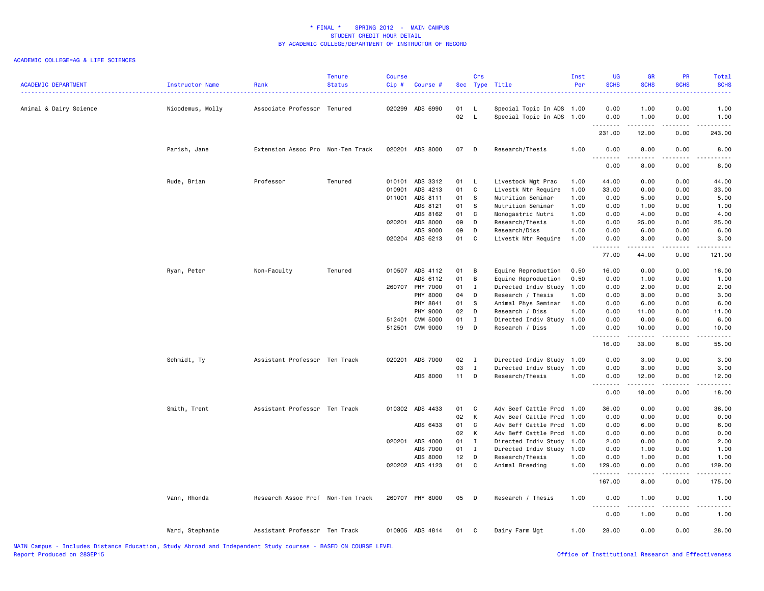| <b>ACADEMIC DEPARTMENT</b> | Instructor Name  | Rank                              | Tenure<br><b>Status</b> | <b>Course</b><br>Cip# | Course #        |          | Crs                 | Sec Type Title                                         | Inst<br>Per | <b>UG</b><br><b>SCHS</b> | <b>GR</b><br><b>SCHS</b>                                                                                                                                     | PR<br><b>SCHS</b>                   | <b>Total</b><br><b>SCHS</b><br>.                                                                                                                             |
|----------------------------|------------------|-----------------------------------|-------------------------|-----------------------|-----------------|----------|---------------------|--------------------------------------------------------|-------------|--------------------------|--------------------------------------------------------------------------------------------------------------------------------------------------------------|-------------------------------------|--------------------------------------------------------------------------------------------------------------------------------------------------------------|
| Animal & Dairy Science     | Nicodemus, Molly | Associate Professor Tenured       |                         |                       | 020299 ADS 6990 | 01<br>02 | - L<br>$\mathsf{L}$ | Special Topic In ADS 1.00<br>Special Topic In ADS 1.00 |             | 0.00<br>0.00             | 1.00<br>1.00                                                                                                                                                 | 0.00<br>0.00                        | 1.00<br>1.00                                                                                                                                                 |
|                            |                  |                                   |                         |                       |                 |          |                     |                                                        |             | 231.00                   | 12.00                                                                                                                                                        | $\sim$ $\sim$ $\sim$ $\sim$<br>0.00 | المتماما<br>243.00                                                                                                                                           |
|                            | Parish, Jane     | Extension Assoc Pro Non-Ten Track |                         |                       | 020201 ADS 8000 | 07       | D                   | Research/Thesis                                        | 1.00        | 0.00<br>.                | 8.00<br>$\frac{1}{2} \left( \frac{1}{2} \right) \left( \frac{1}{2} \right) \left( \frac{1}{2} \right) \left( \frac{1}{2} \right) \left( \frac{1}{2} \right)$ | 0.00<br>.                           | 8.00<br>د د د د د                                                                                                                                            |
|                            |                  |                                   |                         |                       |                 |          |                     |                                                        |             | 0.00                     | 8.00                                                                                                                                                         | 0.00                                | 8.00                                                                                                                                                         |
|                            | Rude, Brian      | Professor                         | Tenured                 | 010101                | ADS 3312        | 01       | $\mathsf{L}$        | Livestock Mgt Prac                                     | 1.00        | 44.00                    | 0.00                                                                                                                                                         | 0.00                                | 44.00                                                                                                                                                        |
|                            |                  |                                   |                         | 010901                | ADS 4213        | 01       | $\mathbf c$         | Livestk Ntr Require                                    | 1.00        | 33.00                    | 0.00                                                                                                                                                         | 0.00                                | 33.00                                                                                                                                                        |
|                            |                  |                                   |                         | 011001                | ADS 8111        | 01       | s.                  | Nutrition Seminar                                      | 1.00        | 0.00                     | 5.00                                                                                                                                                         | 0.00                                | 5.00                                                                                                                                                         |
|                            |                  |                                   |                         |                       | ADS 8121        | 01       | s.                  | Nutrition Seminar                                      | 1.00        | 0.00                     | 1.00                                                                                                                                                         | 0.00                                | 1.00                                                                                                                                                         |
|                            |                  |                                   |                         |                       | ADS 8162        | 01       | C                   | Monogastric Nutri                                      | 1.00        | 0.00                     | 4.00                                                                                                                                                         | 0.00                                | 4.00                                                                                                                                                         |
|                            |                  |                                   |                         | 020201                | ADS 8000        | 09       | D                   | Research/Thesis                                        | 1.00        | 0.00                     | 25.00                                                                                                                                                        | 0.00                                | 25.00                                                                                                                                                        |
|                            |                  |                                   |                         |                       | ADS 9000        | 09       | D                   | Research/Diss                                          | 1.00        | 0.00                     | 6.00                                                                                                                                                         | 0.00                                | 6.00                                                                                                                                                         |
|                            |                  |                                   |                         |                       | 020204 ADS 6213 | 01       | C                   | Livestk Ntr Require                                    | 1.00        | 0.00<br>.                | 3.00<br><b>.</b>                                                                                                                                             | 0.00<br>د د د د                     | 3.00<br>.                                                                                                                                                    |
|                            |                  |                                   |                         |                       |                 |          |                     |                                                        |             | 77.00                    | 44.00                                                                                                                                                        | 0.00                                | 121.00                                                                                                                                                       |
|                            | Ryan, Peter      | Non-Faculty                       | Tenured                 |                       | 010507 ADS 4112 | 01       | B                   | Equine Reproduction                                    | 0.50        | 16.00                    | 0.00                                                                                                                                                         | 0.00                                | 16.00                                                                                                                                                        |
|                            |                  |                                   |                         |                       |                 |          |                     |                                                        |             |                          |                                                                                                                                                              |                                     |                                                                                                                                                              |
|                            |                  |                                   |                         |                       | ADS 6112        | 01       | B                   | Equine Reproduction                                    | 0.50        | 0.00                     | 1.00                                                                                                                                                         | 0.00                                | 1.00                                                                                                                                                         |
|                            |                  |                                   |                         |                       | 260707 PHY 7000 | 01       | $\mathbf{I}$        | Directed Indiv Study                                   | 1.00        | 0.00                     | 2.00                                                                                                                                                         | 0.00                                | 2.00                                                                                                                                                         |
|                            |                  |                                   |                         |                       | <b>PHY 8000</b> | 04       | D                   | Research / Thesis                                      | 1.00        | 0.00                     | 3.00                                                                                                                                                         | 0.00                                | 3.00                                                                                                                                                         |
|                            |                  |                                   |                         |                       | PHY 8841        | 01       | S                   | Animal Phys Seminar                                    | 1.00        | 0.00                     | 6.00                                                                                                                                                         | 0.00                                | 6.00                                                                                                                                                         |
|                            |                  |                                   |                         |                       | <b>PHY 9000</b> | 02       | D                   | Research / Diss                                        | 1.00        | 0.00                     | 11.00                                                                                                                                                        | 0.00                                | 11.00                                                                                                                                                        |
|                            |                  |                                   |                         | 512401                | <b>CVM 5000</b> | 01       | $\mathbf{I}$        | Directed Indiv Study                                   | 1.00        | 0.00                     | 0.00                                                                                                                                                         | 6.00                                | 6.00                                                                                                                                                         |
|                            |                  |                                   |                         | 512501                | <b>CVM 9000</b> | 19       | D                   | Research / Diss                                        | 1.00        | 0.00<br>.                | 10.00<br>-----                                                                                                                                               | 0.00<br>.                           | 10.00<br>د د د د د                                                                                                                                           |
|                            |                  |                                   |                         |                       |                 |          |                     |                                                        |             | 16.00                    | 33.00                                                                                                                                                        | 6.00                                | 55.00                                                                                                                                                        |
|                            | Schmidt, Ty      | Assistant Professor Ten Track     |                         | 020201                | ADS 7000        | 02       | $\mathbf{I}$        | Directed Indiv Study                                   | 1.00        | 0.00                     | 3.00                                                                                                                                                         | 0.00                                | 3.00                                                                                                                                                         |
|                            |                  |                                   |                         |                       |                 | 03       | $\mathbf{I}$        | Directed Indiv Study                                   | 1.00        | 0.00                     | 3.00                                                                                                                                                         | 0.00                                | 3.00                                                                                                                                                         |
|                            |                  |                                   |                         |                       | ADS 8000        | $11$ D   |                     | Research/Thesis                                        | 1.00        | 0.00                     | 12.00                                                                                                                                                        | 0.00                                | 12.00                                                                                                                                                        |
|                            |                  |                                   |                         |                       |                 |          |                     |                                                        |             | .<br>0.00                | $- - - - -$<br>18.00                                                                                                                                         | د د د د<br>0.00                     | .<br>18.00                                                                                                                                                   |
|                            | Smith, Trent     | Assistant Professor Ten Track     |                         |                       | 010302 ADS 4433 | 01       | C                   | Adv Beef Cattle Prod                                   | 1.00        | 36.00                    | 0.00                                                                                                                                                         | 0.00                                | 36.00                                                                                                                                                        |
|                            |                  |                                   |                         |                       |                 | 02       | K                   | Adv Beef Cattle Prod                                   | 1.00        | 0.00                     | 0.00                                                                                                                                                         | 0.00                                | 0.00                                                                                                                                                         |
|                            |                  |                                   |                         |                       | ADS 6433        | 01       | C                   | Adv Beff Cattle Prod                                   | 1.00        | 0.00                     | 6.00                                                                                                                                                         | 0.00                                | 6.00                                                                                                                                                         |
|                            |                  |                                   |                         |                       |                 | 02       | K                   | Adv Beff Cattle Prod                                   | 1.00        | 0.00                     | 0.00                                                                                                                                                         | 0.00                                | 0.00                                                                                                                                                         |
|                            |                  |                                   |                         | 020201                | ADS 4000        | 01       | I                   | Directed Indiv Study                                   | 1.00        | 2.00                     | 0.00                                                                                                                                                         | 0.00                                | 2.00                                                                                                                                                         |
|                            |                  |                                   |                         |                       | ADS 7000        | 01       | $\mathbf I$         | Directed Indiv Study                                   | 1.00        | 0.00                     | 1.00                                                                                                                                                         | 0.00                                | 1.00                                                                                                                                                         |
|                            |                  |                                   |                         |                       | ADS 8000        | 12       | $\Box$              | Research/Thesis                                        | 1.00        | 0.00                     | 1.00                                                                                                                                                         | 0.00                                | 1.00                                                                                                                                                         |
|                            |                  |                                   |                         |                       | 020202 ADS 4123 | 01       | C                   | Animal Breeding                                        | 1.00        | 129.00                   | 0.00                                                                                                                                                         | 0.00                                | 129.00                                                                                                                                                       |
|                            |                  |                                   |                         |                       |                 |          |                     |                                                        |             | .<br>167.00              | 8.00                                                                                                                                                         | .<br>0.00                           | د د د د د<br>175.00                                                                                                                                          |
|                            | Vann, Rhonda     | Research Assoc Prof Non-Ten Track |                         |                       | 260707 PHY 8000 | 05       | D                   | Research / Thesis                                      | 1.00        | 0.00                     | 1.00                                                                                                                                                         | 0.00                                | 1.00                                                                                                                                                         |
|                            |                  |                                   |                         |                       |                 |          |                     |                                                        |             | .<br>0.00                | .<br>1.00                                                                                                                                                    | .<br>0.00                           | $\frac{1}{2} \left( \frac{1}{2} \right) \left( \frac{1}{2} \right) \left( \frac{1}{2} \right) \left( \frac{1}{2} \right) \left( \frac{1}{2} \right)$<br>1.00 |
|                            | Ward, Stephanie  | Assistant Professor Ten Track     |                         |                       | 010905 ADS 4814 | 01       | $\mathbf{C}$        | Dairy Farm Mgt                                         | 1.00        | 28.00                    | 0.00                                                                                                                                                         | 0.00                                | 28.00                                                                                                                                                        |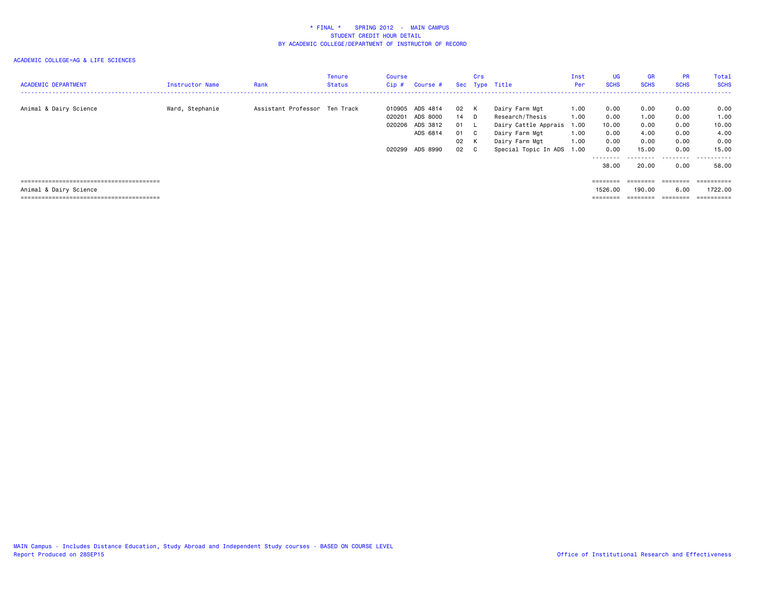| <b>ACADEMIC DEPARTMENT</b> | <b>Instructor Name</b> | Rank                          | Tenure<br>Status | Course<br>Cip#             | Course #                                                        |                                              | Crs | Sec Type Title                                                                                                        | Inst<br>Per                                  | <b>UG</b><br><b>SCHS</b>                                           | <b>GR</b><br><b>SCHS</b>                               | <b>PR</b><br><b>SCHS</b>                                          | Total<br><b>SCHS</b>                                                 |
|----------------------------|------------------------|-------------------------------|------------------|----------------------------|-----------------------------------------------------------------|----------------------------------------------|-----|-----------------------------------------------------------------------------------------------------------------------|----------------------------------------------|--------------------------------------------------------------------|--------------------------------------------------------|-------------------------------------------------------------------|----------------------------------------------------------------------|
| Animal & Dairy Science     | Ward, Stephanie        | Assistant Professor Ten Track |                  | 010905<br>020201<br>020206 | ADS 4814<br>ADS 8000<br>ADS 3812<br>ADS 6814<br>020299 ADS 8990 | 02 K<br>14 D<br>01 L<br>01 C<br>02 K<br>02 C |     | Dairy Farm Mgt<br>Research/Thesis<br>Dairy Cattle Apprais<br>Dairy Farm Mgt<br>Dairy Farm Mgt<br>Special Topic In ADS | 1.00<br>1.00<br>1.00<br>1.00<br>1.00<br>1.00 | 0.00<br>0.00<br>10.00<br>0.00<br>0.00<br>0.00<br>--------<br>38,00 | 0.00<br>1.00<br>0.00<br>4.00<br>0.00<br>15.00<br>20,00 | 0.00<br>0.00<br>0.00<br>0.00<br>0.00<br>0.00<br>---------<br>0.00 | 0.00<br>1.00<br>10.00<br>4.00<br>0.00<br>15.00<br>.<br>$ -$<br>58.00 |
|                            |                        |                               |                  |                            |                                                                 |                                              |     |                                                                                                                       |                                              | $=$ = = = = = = =                                                  | ========                                               |                                                                   | ==========                                                           |
| Animal & Dairy Science     |                        |                               |                  |                            |                                                                 |                                              |     |                                                                                                                       |                                              | 1526.00                                                            | 190.00                                                 | 6.00                                                              | 1722.00                                                              |
|                            |                        |                               |                  |                            |                                                                 |                                              |     |                                                                                                                       |                                              | $=$ = = = = = = =                                                  | ========                                               | ========                                                          | ==========                                                           |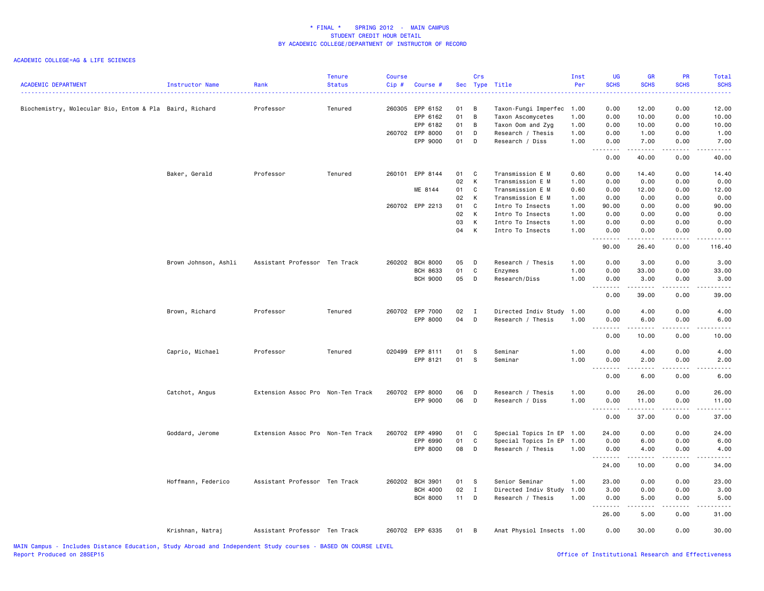| <b>ACADEMIC DEPARTMENT</b>                              | Instructor Name      | Rank                              | <b>Tenure</b><br><b>Status</b> | Course<br>Cip# | Course #                           |          | Crs                 | Sec Type Title                            | Inst<br>Per  | <b>UG</b><br><b>SCHS</b>                                                                                                                                                                                                                                                                                                                                                                                                                                                               | <b>GR</b><br><b>SCHS</b> | PR<br><b>SCHS</b>                           | Total<br><b>SCHS</b>                                                                                                                                         |
|---------------------------------------------------------|----------------------|-----------------------------------|--------------------------------|----------------|------------------------------------|----------|---------------------|-------------------------------------------|--------------|----------------------------------------------------------------------------------------------------------------------------------------------------------------------------------------------------------------------------------------------------------------------------------------------------------------------------------------------------------------------------------------------------------------------------------------------------------------------------------------|--------------------------|---------------------------------------------|--------------------------------------------------------------------------------------------------------------------------------------------------------------|
| Biochemistry, Molecular Bio, Entom & Pla Baird, Richard |                      | Professor                         | Tenured                        |                | 260305 EPP 6152<br>EPP 6162        | 01<br>01 | B<br>$\overline{B}$ | Taxon-Fungi Imperfec<br>Taxon Ascomycetes | 1.00<br>1.00 | 0.00<br>0.00                                                                                                                                                                                                                                                                                                                                                                                                                                                                           | 12.00<br>10.00           | 0.00<br>0.00                                | 12.00<br>10.00                                                                                                                                               |
|                                                         |                      |                                   |                                |                | EPP 6182                           | 01       | B                   | Taxon Oom and Zyg                         | 1.00         | 0.00                                                                                                                                                                                                                                                                                                                                                                                                                                                                                   | 10.00                    | 0.00                                        | 10.00                                                                                                                                                        |
|                                                         |                      |                                   |                                |                | 260702 EPP 8000                    | 01       | D                   | Research / Thesis                         | 1.00         | 0.00                                                                                                                                                                                                                                                                                                                                                                                                                                                                                   | 1.00                     | 0.00                                        | 1.00                                                                                                                                                         |
|                                                         |                      |                                   |                                |                | EPP 9000                           | 01       | D                   | Research / Diss                           | 1.00         | 0.00<br>.                                                                                                                                                                                                                                                                                                                                                                                                                                                                              | 7.00<br>.                | 0.00<br>$\sim$ $\sim$ $\sim$ $\sim$         | 7.00<br>$\frac{1}{2} \left( \frac{1}{2} \right) \left( \frac{1}{2} \right) \left( \frac{1}{2} \right) \left( \frac{1}{2} \right) \left( \frac{1}{2} \right)$ |
|                                                         |                      |                                   |                                |                |                                    |          |                     |                                           |              | 0.00                                                                                                                                                                                                                                                                                                                                                                                                                                                                                   | 40.00                    | 0.00                                        | 40.00                                                                                                                                                        |
|                                                         | Baker, Gerald        | Professor                         | Tenured                        |                | 260101 EPP 8144                    | 01       | C                   | Transmission E M                          | 0.60         | 0.00                                                                                                                                                                                                                                                                                                                                                                                                                                                                                   | 14.40                    | 0.00                                        | 14.40                                                                                                                                                        |
|                                                         |                      |                                   |                                |                |                                    | 02       | К                   | Transmission E M                          | 1.00         | 0.00                                                                                                                                                                                                                                                                                                                                                                                                                                                                                   | 0.00                     | 0.00                                        | 0.00                                                                                                                                                         |
|                                                         |                      |                                   |                                |                | ME 8144                            | 01       | C                   | Transmission E M                          | 0.60         | 0.00                                                                                                                                                                                                                                                                                                                                                                                                                                                                                   | 12.00                    | 0.00                                        | 12.00                                                                                                                                                        |
|                                                         |                      |                                   |                                |                |                                    | 02       | K                   | Transmission E M                          | 1.00         | 0.00                                                                                                                                                                                                                                                                                                                                                                                                                                                                                   | 0.00                     | 0.00                                        | 0.00                                                                                                                                                         |
|                                                         |                      |                                   |                                |                | 260702 EPP 2213                    | 01       | C                   | Intro To Insects                          | 1.00         | 90.00                                                                                                                                                                                                                                                                                                                                                                                                                                                                                  | 0.00                     | 0.00                                        | 90.00                                                                                                                                                        |
|                                                         |                      |                                   |                                |                |                                    | 02       | K                   | Intro To Insects                          | 1.00         | 0.00                                                                                                                                                                                                                                                                                                                                                                                                                                                                                   | 0.00                     | 0.00                                        | 0.00                                                                                                                                                         |
|                                                         |                      |                                   |                                |                |                                    | 03       | К                   | Intro To Insects                          | 1.00         | 0.00                                                                                                                                                                                                                                                                                                                                                                                                                                                                                   | 0.00                     | 0.00                                        | 0.00                                                                                                                                                         |
|                                                         |                      |                                   |                                |                |                                    | 04       | К                   | Intro To Insects                          | 1.00         | 0.00<br>.                                                                                                                                                                                                                                                                                                                                                                                                                                                                              | 0.00<br>.                | 0.00<br>$\sim$ $\sim$ $\sim$ $\sim$         | 0.00<br>.                                                                                                                                                    |
|                                                         |                      |                                   |                                |                |                                    |          |                     |                                           |              | 90.00                                                                                                                                                                                                                                                                                                                                                                                                                                                                                  | 26.40                    | 0.00                                        | 116.40                                                                                                                                                       |
|                                                         | Brown Johnson, Ashli | Assistant Professor Ten Track     |                                |                | 260202 BCH 8000                    | 05       | $\mathsf{D}$        | Research / Thesis                         | 1.00         | 0.00                                                                                                                                                                                                                                                                                                                                                                                                                                                                                   | 3.00                     | 0.00                                        | 3.00                                                                                                                                                         |
|                                                         |                      |                                   |                                |                | <b>BCH 8633</b>                    | 01       | $\mathbf{C}$        | Enzymes                                   | 1.00         | 0.00                                                                                                                                                                                                                                                                                                                                                                                                                                                                                   | 33.00                    | 0.00                                        | 33.00                                                                                                                                                        |
|                                                         |                      |                                   |                                |                | <b>BCH 9000</b>                    | 05       | D                   | Research/Diss                             | 1.00         | 0.00                                                                                                                                                                                                                                                                                                                                                                                                                                                                                   | 3.00<br><b>.</b>         | 0.00<br>$\frac{1}{2}$                       | 3.00<br>$- - - - -$                                                                                                                                          |
|                                                         |                      |                                   |                                |                |                                    |          |                     |                                           |              | $\frac{1}{2}$<br>0.00                                                                                                                                                                                                                                                                                                                                                                                                                                                                  | 39.00                    | 0.00                                        | 39.00                                                                                                                                                        |
|                                                         | Brown, Richard       | Professor                         | Tenured                        |                | 260702 EPP 7000                    | 02       | $\mathbf{I}$        | Directed Indiv Study                      | 1.00         | 0.00                                                                                                                                                                                                                                                                                                                                                                                                                                                                                   | 4.00                     | 0.00                                        | 4.00                                                                                                                                                         |
|                                                         |                      |                                   |                                |                | EPP 8000                           | 04       | D                   | Research / Thesis                         | 1.00         | 0.00                                                                                                                                                                                                                                                                                                                                                                                                                                                                                   | 6.00                     | 0.00<br>$\omega$ $\omega$ $\omega$ $\omega$ | 6.00<br>$\frac{1}{2}$                                                                                                                                        |
|                                                         |                      |                                   |                                |                |                                    |          |                     |                                           |              | .<br>0.00                                                                                                                                                                                                                                                                                                                                                                                                                                                                              | .<br>10.00               | 0.00                                        | 10.00                                                                                                                                                        |
|                                                         | Caprio, Michael      | Professor                         | Tenured                        |                | 020499 EPP 8111                    | 01       | - S                 | Seminar                                   | 1.00         | 0.00                                                                                                                                                                                                                                                                                                                                                                                                                                                                                   | 4.00                     | 0.00                                        | 4.00                                                                                                                                                         |
|                                                         |                      |                                   |                                |                | EPP 8121                           | 01       | s                   | Seminar                                   | 1.00         | 0.00                                                                                                                                                                                                                                                                                                                                                                                                                                                                                   | 2.00                     | 0.00                                        | 2.00                                                                                                                                                         |
|                                                         |                      |                                   |                                |                |                                    |          |                     |                                           |              | $\begin{array}{cccccccccccccc} \multicolumn{2}{c}{} & \multicolumn{2}{c}{} & \multicolumn{2}{c}{} & \multicolumn{2}{c}{} & \multicolumn{2}{c}{} & \multicolumn{2}{c}{} & \multicolumn{2}{c}{} & \multicolumn{2}{c}{} & \multicolumn{2}{c}{} & \multicolumn{2}{c}{} & \multicolumn{2}{c}{} & \multicolumn{2}{c}{} & \multicolumn{2}{c}{} & \multicolumn{2}{c}{} & \multicolumn{2}{c}{} & \multicolumn{2}{c}{} & \multicolumn{2}{c}{} & \multicolumn{2}{c}{} & \multicolumn{2}{c}{} & \$ | .                        | .                                           | .                                                                                                                                                            |
|                                                         |                      |                                   |                                |                |                                    |          |                     |                                           |              | 0.00                                                                                                                                                                                                                                                                                                                                                                                                                                                                                   | 6.00                     | 0.00                                        | 6.00                                                                                                                                                         |
|                                                         | Catchot, Angus       | Extension Assoc Pro Non-Ten Track |                                |                | 260702 EPP 8000                    | 06       | D                   | Research / Thesis                         | 1.00         | 0.00                                                                                                                                                                                                                                                                                                                                                                                                                                                                                   | 26.00                    | 0.00                                        | 26.00                                                                                                                                                        |
|                                                         |                      |                                   |                                |                | EPP 9000                           | 06       | D                   | Research / Diss                           | 1.00         | 0.00                                                                                                                                                                                                                                                                                                                                                                                                                                                                                   | 11.00                    | 0.00                                        | 11.00                                                                                                                                                        |
|                                                         |                      |                                   |                                |                |                                    |          |                     |                                           |              | --------<br>0.00                                                                                                                                                                                                                                                                                                                                                                                                                                                                       | <u>.</u><br>37.00        | .<br>0.00                                   | .<br>37.00                                                                                                                                                   |
|                                                         | Goddard, Jerome      | Extension Assoc Pro Non-Ten Track |                                | 260702         | EPP 4990                           | 01       | C                   | Special Topics In EP                      | 1.00         | 24.00                                                                                                                                                                                                                                                                                                                                                                                                                                                                                  | 0.00                     | 0.00                                        | 24.00                                                                                                                                                        |
|                                                         |                      |                                   |                                |                | EPP 6990                           | 01       | C                   | Special Topics In EP                      | 1.00         | 0.00                                                                                                                                                                                                                                                                                                                                                                                                                                                                                   | 6.00                     | 0.00                                        | 6.00                                                                                                                                                         |
|                                                         |                      |                                   |                                |                | EPP 8000                           | 08       | D                   | Research / Thesis                         | 1.00         | 0.00                                                                                                                                                                                                                                                                                                                                                                                                                                                                                   | 4.00                     | 0.00                                        | 4.00                                                                                                                                                         |
|                                                         |                      |                                   |                                |                |                                    |          |                     |                                           |              | .<br>24.00                                                                                                                                                                                                                                                                                                                                                                                                                                                                             | $\frac{1}{2}$<br>10.00   | .<br>0.00                                   | $   -$<br>34.00                                                                                                                                              |
|                                                         |                      |                                   |                                |                |                                    | 01       | <b>S</b>            |                                           |              |                                                                                                                                                                                                                                                                                                                                                                                                                                                                                        |                          |                                             |                                                                                                                                                              |
|                                                         | Hoffmann, Federico   | Assistant Professor Ten Track     |                                |                | 260202 BCH 3901<br><b>BCH 4000</b> | 02       | $\mathbf I$         | Senior Seminar<br>Directed Indiv Study    | 1.00<br>1.00 | 23.00<br>3.00                                                                                                                                                                                                                                                                                                                                                                                                                                                                          | 0.00<br>0.00             | 0.00<br>0.00                                | 23.00<br>3.00                                                                                                                                                |
|                                                         |                      |                                   |                                |                | <b>BCH 8000</b>                    | $11$ D   |                     | Research / Thesis                         | 1.00         | 0.00                                                                                                                                                                                                                                                                                                                                                                                                                                                                                   | 5.00                     | 0.00                                        | 5.00                                                                                                                                                         |
|                                                         |                      |                                   |                                |                |                                    |          |                     |                                           |              | .                                                                                                                                                                                                                                                                                                                                                                                                                                                                                      | .                        | .                                           | د د د د د                                                                                                                                                    |
|                                                         |                      |                                   |                                |                |                                    |          |                     |                                           |              | 26.00                                                                                                                                                                                                                                                                                                                                                                                                                                                                                  | 5.00                     | 0.00                                        | 31.00                                                                                                                                                        |
|                                                         | Krishnan, Natraj     | Assistant Professor Ten Track     |                                |                | 260702 EPP 6335                    | 01       | B                   | Anat Physiol Insects 1.00                 |              | 0.00                                                                                                                                                                                                                                                                                                                                                                                                                                                                                   | 30.00                    | 0.00                                        | 30.00                                                                                                                                                        |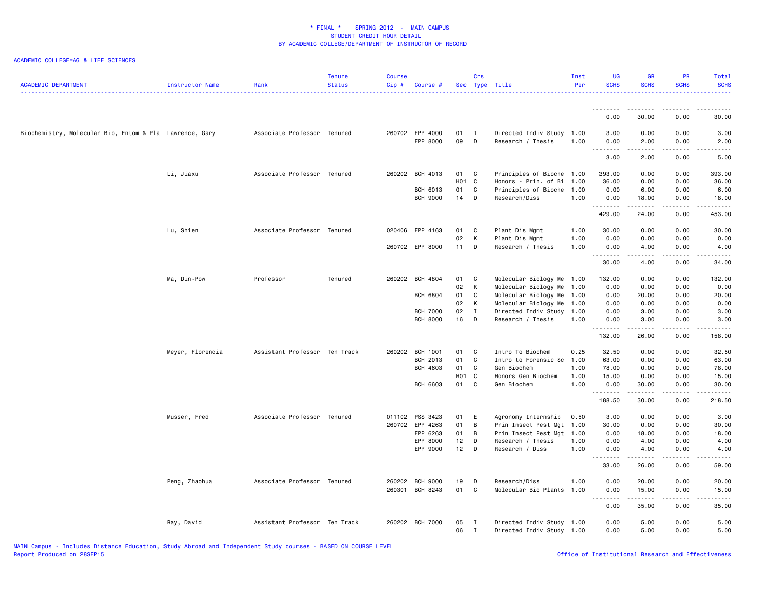| <b>ACADEMIC DEPARTMENT</b>                              | Instructor Name  | Rank                          | <b>Tenure</b><br><b>Status</b> | <b>Course</b><br>Cip# | Course #                    |          | Crs               | Sec Type Title                                         | Inst<br>Per | <b>UG</b><br><b>SCHS</b> | <b>GR</b><br><b>SCHS</b> | PR<br><b>SCHS</b>                   | <b>Total</b><br><b>SCHS</b>                                                                                                                                  |
|---------------------------------------------------------|------------------|-------------------------------|--------------------------------|-----------------------|-----------------------------|----------|-------------------|--------------------------------------------------------|-------------|--------------------------|--------------------------|-------------------------------------|--------------------------------------------------------------------------------------------------------------------------------------------------------------|
|                                                         |                  |                               |                                |                       |                             |          |                   |                                                        |             | <b></b><br>0.00          | <u>.</u><br>30.00        | $\frac{1}{2}$<br>0.00               | . <b>.</b> .<br>30.00                                                                                                                                        |
|                                                         |                  |                               |                                |                       |                             |          |                   |                                                        |             |                          |                          |                                     |                                                                                                                                                              |
| Biochemistry, Molecular Bio, Entom & Pla Lawrence, Gary |                  | Associate Professor Tenured   |                                |                       | 260702 EPP 4000<br>EPP 8000 | 01<br>09 | $\mathbf{I}$<br>D | Directed Indiv Study 1.00<br>Research / Thesis         | 1.00        | 3.00<br>0.00<br>.        | 0.00<br>2.00<br>-----    | 0.00<br>0.00<br>.                   | 3.00<br>2.00<br>-----                                                                                                                                        |
|                                                         |                  |                               |                                |                       |                             |          |                   |                                                        |             | 3.00                     | 2.00                     | 0.00                                | 5.00                                                                                                                                                         |
|                                                         | Li, Jiaxu        | Associate Professor Tenured   |                                |                       | 260202 BCH 4013             | 01       | C                 | Principles of Bioche                                   | 1.00        | 393.00                   | 0.00                     | 0.00                                | 393.00                                                                                                                                                       |
|                                                         |                  |                               |                                |                       |                             | H01 C    |                   | Honors - Prin. of Bi                                   | 1.00        | 36.00                    | 0.00                     | 0.00                                | 36.00                                                                                                                                                        |
|                                                         |                  |                               |                                |                       | <b>BCH 6013</b>             | 01       | C                 | Principles of Bioche                                   | 1.00        | 0.00                     | 6.00                     | 0.00                                | 6.00                                                                                                                                                         |
|                                                         |                  |                               |                                |                       | <b>BCH 9000</b>             | 14       | D                 | Research/Diss                                          | 1.00        | 0.00<br>.                | 18.00<br>.               | 0.00<br>.                           | 18.00<br>.                                                                                                                                                   |
|                                                         |                  |                               |                                |                       |                             |          |                   |                                                        |             | 429.00                   | 24.00                    | 0.00                                | 453.00                                                                                                                                                       |
|                                                         | Lu, Shien        | Associate Professor Tenured   |                                |                       | 020406 EPP 4163             | 01       | C                 | Plant Dis Mgmt                                         | 1.00        | 30.00                    | 0.00                     | 0.00                                | 30.00                                                                                                                                                        |
|                                                         |                  |                               |                                |                       |                             | 02       | K                 | Plant Dis Mgmt                                         | 1.00        | 0.00                     | 0.00                     | 0.00                                | 0.00                                                                                                                                                         |
|                                                         |                  |                               |                                |                       | 260702 EPP 8000             | $11$ D   |                   | Research / Thesis                                      | 1.00        | 0.00<br>.                | 4.00                     | 0.00<br>$\sim$ $\sim$ $\sim$ $\sim$ | 4.00<br>.                                                                                                                                                    |
|                                                         |                  |                               |                                |                       |                             |          |                   |                                                        |             | 30.00                    | 4.00                     | 0.00                                | 34.00                                                                                                                                                        |
|                                                         | Ma, Din-Pow      | Professor                     | Tenured                        |                       | 260202 BCH 4804             | 01       | C                 | Molecular Biology Me                                   | 1.00        | 132.00                   | 0.00                     | 0.00                                | 132.00                                                                                                                                                       |
|                                                         |                  |                               |                                |                       |                             | 02       | K                 | Molecular Biology Me                                   | 1.00        | 0.00                     | 0.00                     | 0.00                                | 0.00                                                                                                                                                         |
|                                                         |                  |                               |                                |                       | <b>BCH 6804</b>             | 01       | C                 | Molecular Biology Me                                   | 1.00        | 0.00                     | 20.00                    | 0.00                                | 20.00                                                                                                                                                        |
|                                                         |                  |                               |                                |                       |                             | 02       | К                 | Molecular Biology Me                                   | 1.00        | 0.00                     | 0.00                     | 0.00                                | 0.00                                                                                                                                                         |
|                                                         |                  |                               |                                |                       | <b>BCH 7000</b>             | 02       | $\mathbf{I}$      | Directed Indiv Study 1.00                              |             | 0.00                     | 3.00                     | 0.00                                | 3.00                                                                                                                                                         |
|                                                         |                  |                               |                                |                       | <b>BCH 8000</b>             | 16       | D                 | Research / Thesis                                      | 1.00        | 0.00<br>.                | 3.00                     | 0.00<br>.                           | 3.00<br>.                                                                                                                                                    |
|                                                         |                  |                               |                                |                       |                             |          |                   |                                                        |             | 132.00                   | 26.00                    | 0.00                                | 158.00                                                                                                                                                       |
|                                                         | Meyer, Florencia | Assistant Professor Ten Track |                                | 260202                | <b>BCH 1001</b>             | 01       | C                 | Intro To Biochem                                       | 0.25        | 32.50                    | 0.00                     | 0.00                                | 32.50                                                                                                                                                        |
|                                                         |                  |                               |                                |                       | BCH 2013                    | 01       | C                 | Intro to Forensic Sc                                   | 1.00        | 63.00                    | 0.00                     | 0.00                                | 63.00                                                                                                                                                        |
|                                                         |                  |                               |                                |                       | <b>BCH 4603</b>             | 01       | C                 | Gen Biochem                                            | 1.00        | 78.00                    | 0.00                     | 0.00                                | 78.00                                                                                                                                                        |
|                                                         |                  |                               |                                |                       |                             | H01 C    |                   | Honors Gen Biochem                                     | 1.00        | 15.00                    | 0.00                     | 0.00                                | 15.00                                                                                                                                                        |
|                                                         |                  |                               |                                |                       | <b>BCH 6603</b>             | 01       | C                 | Gen Biochem                                            | 1.00        | 0.00<br>.                | 30.00<br>.               | 0.00<br>.                           | 30.00<br>.                                                                                                                                                   |
|                                                         |                  |                               |                                |                       |                             |          |                   |                                                        |             | 188.50                   | 30.00                    | 0.00                                | 218.50                                                                                                                                                       |
|                                                         | Musser, Fred     | Associate Professor Tenured   |                                |                       | 011102 PSS 3423             | 01       | E                 | Agronomy Internship                                    | 0.50        | 3.00                     | 0.00                     | 0.00                                | 3.00                                                                                                                                                         |
|                                                         |                  |                               |                                |                       | 260702 EPP 4263             | 01       | B                 | Prin Insect Pest Mgt                                   | 1.00        | 30.00                    | 0.00                     | 0.00                                | 30.00                                                                                                                                                        |
|                                                         |                  |                               |                                |                       | EPP 6263                    | 01       | B                 | Prin Insect Pest Mgt                                   | 1.00        | 0.00                     | 18.00                    | 0.00                                | 18.00                                                                                                                                                        |
|                                                         |                  |                               |                                |                       | EPP 8000                    | 12       | $\mathsf D$       | Research / Thesis                                      | 1.00        | 0.00                     | 4.00                     | 0.00                                | 4.00                                                                                                                                                         |
|                                                         |                  |                               |                                |                       | EPP 9000                    | 12       | D                 | Research / Diss                                        | 1.00        | 0.00<br>.                | 4.00<br>.                | 0.00<br>$\sim$ $\sim$ $\sim$ $\sim$ | 4.00<br>$\frac{1}{2} \left( \frac{1}{2} \right) \left( \frac{1}{2} \right) \left( \frac{1}{2} \right) \left( \frac{1}{2} \right) \left( \frac{1}{2} \right)$ |
|                                                         |                  |                               |                                |                       |                             |          |                   |                                                        |             | 33.00                    | 26.00                    | 0.00                                | 59.00                                                                                                                                                        |
|                                                         | Peng, Zhaohua    | Associate Professor Tenured   |                                |                       | 260202 BCH 9000             | 19       | D                 | Research/Diss                                          | 1.00        | 0.00                     | 20.00                    | 0.00                                | 20.00                                                                                                                                                        |
|                                                         |                  |                               |                                | 260301                | <b>BCH 8243</b>             | 01       | C                 | Molecular Bio Plants                                   | 1.00        | 0.00                     | 15.00                    | 0.00                                | 15.00                                                                                                                                                        |
|                                                         |                  |                               |                                |                       |                             |          |                   |                                                        |             | .<br>0.00                | .<br>35.00               | .<br>0.00                           | د د د د د<br>35.00                                                                                                                                           |
|                                                         |                  | Assistant Professor Ten Track |                                |                       | 260202 BCH 7000             | 05       |                   |                                                        |             | 0.00                     | 5.00                     | 0.00                                | 5.00                                                                                                                                                         |
|                                                         | Ray, David       |                               |                                |                       |                             | 06       | I<br>$\mathbf{I}$ | Directed Indiv Study 1.00<br>Directed Indiv Study 1.00 |             | 0.00                     | 5.00                     | 0.00                                | 5.00                                                                                                                                                         |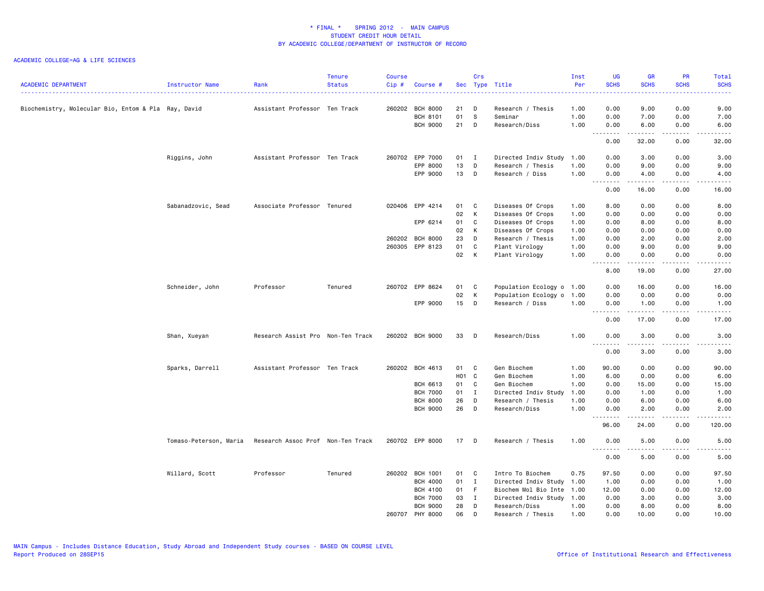| <b>ACADEMIC DEPARTMENT</b>                           | Instructor Name        | Rank                              | <b>Tenure</b><br><b>Status</b> | <b>Course</b><br>Cip# | Course #        |       | Crs            | Sec Type Title            | Inst<br>Per | <b>UG</b><br><b>SCHS</b> | <b>GR</b><br><b>SCHS</b> | <b>PR</b><br><b>SCHS</b>     | Total<br><b>SCHS</b>                                                                                                                                         |
|------------------------------------------------------|------------------------|-----------------------------------|--------------------------------|-----------------------|-----------------|-------|----------------|---------------------------|-------------|--------------------------|--------------------------|------------------------------|--------------------------------------------------------------------------------------------------------------------------------------------------------------|
|                                                      |                        | ----------------                  |                                |                       |                 |       |                |                           | ------      |                          |                          |                              | بالأباء                                                                                                                                                      |
| Biochemistry, Molecular Bio, Entom & Pla  Ray, David |                        | Assistant Professor Ten Track     |                                |                       | 260202 BCH 8000 | 21    | D              | Research / Thesis         | 1.00        | 0.00                     | 9.00                     | 0.00                         | 9.00                                                                                                                                                         |
|                                                      |                        |                                   |                                |                       | <b>BCH 8101</b> | 01    | -S             | Seminar                   | 1.00        | 0.00                     | 7.00                     | 0.00                         | 7.00                                                                                                                                                         |
|                                                      |                        |                                   |                                |                       | <b>BCH 9000</b> | 21    | D              | Research/Diss             | 1.00        | 0.00                     | 6.00                     | 0.00<br>$\sim$ $\sim$ $\sim$ | 6.00                                                                                                                                                         |
|                                                      |                        |                                   |                                |                       |                 |       |                |                           |             | 0.00                     | 32.00                    | 0.00                         | 32.00                                                                                                                                                        |
|                                                      | Riggins, John          | Assistant Professor Ten Track     |                                |                       | 260702 EPP 7000 | 01    | $\mathbf{I}$   | Directed Indiv Study      | 1.00        | 0.00                     | 3.00                     | 0.00                         | 3.00                                                                                                                                                         |
|                                                      |                        |                                   |                                |                       | EPP 8000        | 13    | D              | Research / Thesis         | 1.00        | 0.00                     | 9.00                     | 0.00                         | 9.00                                                                                                                                                         |
|                                                      |                        |                                   |                                |                       | EPP 9000        | 13    | $\Box$         | Research / Diss           | 1.00        | 0.00<br>.                | 4.00<br>.                | 0.00<br>.                    | 4.00<br>$\frac{1}{2} \left( \frac{1}{2} \right) \left( \frac{1}{2} \right) \left( \frac{1}{2} \right) \left( \frac{1}{2} \right) \left( \frac{1}{2} \right)$ |
|                                                      |                        |                                   |                                |                       |                 |       |                |                           |             | 0.00                     | 16.00                    | 0.00                         | 16.00                                                                                                                                                        |
|                                                      | Sabanadzovic, Sead     | Associate Professor Tenured       |                                |                       | 020406 EPP 4214 | 01    | <b>C</b>       | Diseases Of Crops         | 1.00        | 8.00                     | 0.00                     | 0.00                         | 8.00                                                                                                                                                         |
|                                                      |                        |                                   |                                |                       |                 | 02    | K              | Diseases Of Crops         | 1.00        | 0.00                     | 0.00                     | 0.00                         | 0.00                                                                                                                                                         |
|                                                      |                        |                                   |                                |                       | EPP 6214        | 01    | C              | Diseases Of Crops         | 1.00        | 0.00                     | 8.00                     | 0.00                         | 8.00                                                                                                                                                         |
|                                                      |                        |                                   |                                |                       |                 | 02    | K              | Diseases Of Crops         | 1.00        | 0.00                     | 0.00                     | 0.00                         | 0.00                                                                                                                                                         |
|                                                      |                        |                                   |                                |                       | 260202 BCH 8000 | 23    | D              | Research / Thesis         | 1.00        | 0.00                     | 2.00                     | 0.00                         | 2.00                                                                                                                                                         |
|                                                      |                        |                                   |                                |                       | 260305 EPP 8123 | 01    | C              | Plant Virology            | 1.00        | 0.00                     | 9.00                     | 0.00                         | 9.00                                                                                                                                                         |
|                                                      |                        |                                   |                                |                       |                 | 02 K  |                | Plant Virology            | 1.00        | 0.00<br><u>.</u>         | 0.00<br>.                | 0.00<br>.                    | 0.00<br>$- - - - -$                                                                                                                                          |
|                                                      |                        |                                   |                                |                       |                 |       |                |                           |             | 8.00                     | 19.00                    | 0.00                         | 27.00                                                                                                                                                        |
|                                                      | Schneider, John        | Professor                         | Tenured                        |                       | 260702 EPP 8624 | 01    | $\mathbf{C}$   | Population Ecology o 1.00 |             | 0.00                     | 16.00                    | 0.00                         | 16.00                                                                                                                                                        |
|                                                      |                        |                                   |                                |                       |                 | 02    | K              | Population Ecology o      | 1.00        | 0.00                     | 0.00                     | 0.00                         | 0.00                                                                                                                                                         |
|                                                      |                        |                                   |                                |                       | EPP 9000        | 15    | D              | Research / Diss           | 1.00        | 0.00<br><u>.</u>         | 1.00<br>.                | 0.00<br>.                    | 1.00<br>$\frac{1}{2} \left( \frac{1}{2} \right) \left( \frac{1}{2} \right) \left( \frac{1}{2} \right) \left( \frac{1}{2} \right) \left( \frac{1}{2} \right)$ |
|                                                      |                        |                                   |                                |                       |                 |       |                |                           |             | 0.00                     | 17.00                    | 0.00                         | 17.00                                                                                                                                                        |
|                                                      | Shan, Xueyan           | Research Assist Pro Non-Ten Track |                                |                       | 260202 BCH 9000 | 33    | $\Box$         | Research/Diss             | 1.00        | 0.00                     | 3.00<br>د د د د د        | 0.00<br>.                    | 3.00<br>$\frac{1}{2} \left( \frac{1}{2} \right) \left( \frac{1}{2} \right) \left( \frac{1}{2} \right) \left( \frac{1}{2} \right) \left( \frac{1}{2} \right)$ |
|                                                      |                        |                                   |                                |                       |                 |       |                |                           |             | 0.00                     | 3.00                     | 0.00                         | 3.00                                                                                                                                                         |
|                                                      | Sparks, Darrell        | Assistant Professor Ten Track     |                                |                       | 260202 BCH 4613 | 01    | C <sub>1</sub> | Gen Biochem               | 1.00        | 90.00                    | 0.00                     | 0.00                         | 90.00                                                                                                                                                        |
|                                                      |                        |                                   |                                |                       |                 | H01 C |                | Gen Biochem               | 1.00        | 6.00                     | 0.00                     | 0.00                         | 6.00                                                                                                                                                         |
|                                                      |                        |                                   |                                |                       | BCH 6613        | 01    | $\mathbf{C}$   | Gen Biochem               | 1.00        | 0.00                     | 15.00                    | 0.00                         | 15.00                                                                                                                                                        |
|                                                      |                        |                                   |                                |                       | <b>BCH 7000</b> | 01    | $\mathbf{I}$   | Directed Indiv Study      | 1.00        | 0.00                     | 1.00                     | 0.00                         | 1.00                                                                                                                                                         |
|                                                      |                        |                                   |                                |                       | <b>BCH 8000</b> | 26    | D              | Research / Thesis         | 1.00        | 0.00                     | 6.00                     | 0.00                         | 6.00                                                                                                                                                         |
|                                                      |                        |                                   |                                |                       | <b>BCH 9000</b> | 26    | D              | Research/Diss             | 1.00        | 0.00<br>.                | 2.00<br><u>.</u>         | 0.00<br>.                    | 2.00<br>$- - - - -$                                                                                                                                          |
|                                                      |                        |                                   |                                |                       |                 |       |                |                           |             | 96.00                    | 24.00                    | 0.00                         | 120,00                                                                                                                                                       |
|                                                      | Tomaso-Peterson, Maria | Research Assoc Prof Non-Ten Track |                                |                       | 260702 EPP 8000 | 17    | $\mathsf{D}$   | Research / Thesis         | 1.00        | 0.00<br>1.1.1.1.1.1.1    | 5.00<br>.                | 0.00<br>.                    | 5.00<br>.                                                                                                                                                    |
|                                                      |                        |                                   |                                |                       |                 |       |                |                           |             | 0.00                     | 5.00                     | 0.00                         | 5.00                                                                                                                                                         |
|                                                      | Willard, Scott         | Professor                         | Tenured                        |                       | 260202 BCH 1001 | 01    | $\mathbf{C}$   | Intro To Biochem          | 0.75        | 97.50                    | 0.00                     | 0.00                         | 97.50                                                                                                                                                        |
|                                                      |                        |                                   |                                |                       | <b>BCH 4000</b> | 01    | $\mathbf{I}$   | Directed Indiv Study      | 1.00        | 1.00                     | 0.00                     | 0.00                         | 1.00                                                                                                                                                         |
|                                                      |                        |                                   |                                |                       | <b>BCH 4100</b> | 01    | - F            | Biochem Mol Bio Inte      | 1.00        | 12.00                    | 0.00                     | 0.00                         | 12.00                                                                                                                                                        |
|                                                      |                        |                                   |                                |                       | <b>BCH 7000</b> | 03    | $\mathbf{I}$   | Directed Indiv Study      | 1.00        | 0.00                     | 3.00                     | 0.00                         | 3.00                                                                                                                                                         |
|                                                      |                        |                                   |                                |                       | <b>BCH 9000</b> | 28    | D              | Research/Diss             | 1.00        | 0.00                     | 8.00                     | 0.00                         | 8.00                                                                                                                                                         |
|                                                      |                        |                                   |                                |                       | 260707 PHY 8000 | 06    | D              | Research / Thesis         | 1.00        | 0.00                     | 10.00                    | 0.00                         | 10.00                                                                                                                                                        |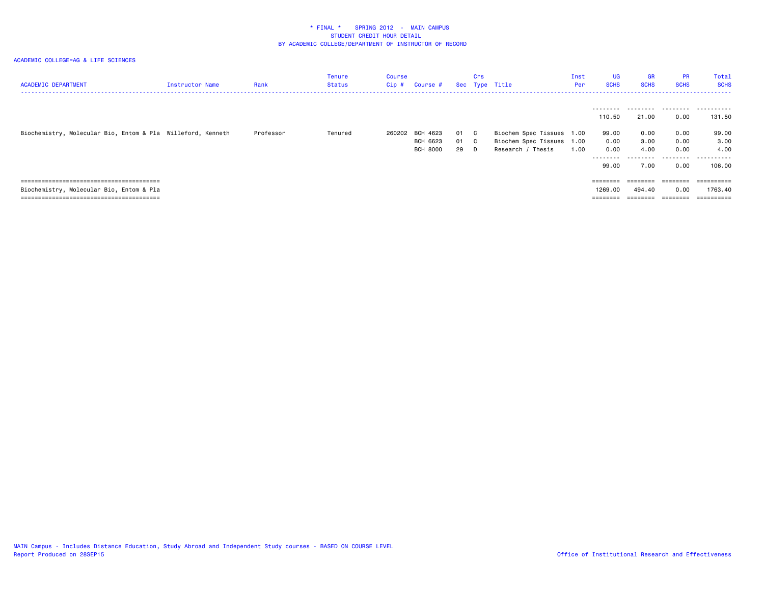| <b>ACADEMIC DEPARTMENT</b>                                  | Instructor Name | Rank      | Tenure<br>Status | Course<br>Cip# | Course #                    |            | Crs  | Sec Type Title                                 | Inst<br><b>Per</b> | <b>UG</b><br><b>SCHS</b>                 | <b>GR</b><br><b>SCHS</b>  | <b>PR</b><br><b>SCHS</b>     | Total<br><b>SCHS</b>                |
|-------------------------------------------------------------|-----------------|-----------|------------------|----------------|-----------------------------|------------|------|------------------------------------------------|--------------------|------------------------------------------|---------------------------|------------------------------|-------------------------------------|
| Biochemistry, Molecular Bio, Entom & Pla Willeford, Kenneth |                 | Professor | Tenured          |                | 260202 BCH 4623             |            | 01 C | Biochem Spec Tissues 1.00                      |                    | ---------<br>110.50<br>99.00             | .<br>21.00<br>0.00        | .<br>0.00<br>0.00            | .<br>131.50<br>99.00                |
|                                                             |                 |           |                  |                | BCH 6623<br><b>BCH 8000</b> | 01 C<br>29 | D.   | Biochem Spec Tissues 1.00<br>Research / Thesis | 1.00               | 0.00<br>0.00<br>---------                | 3.00<br>4.00<br>--------- | 0.00<br>0.00<br>.            | 3.00<br>4.00<br>.                   |
|                                                             |                 |           |                  |                |                             |            |      |                                                |                    | 99.00                                    | 7.00                      | 0.00                         | 106,00                              |
| Biochemistry, Molecular Bio, Entom & Pla                    |                 |           |                  |                |                             |            |      |                                                |                    | $=$ = = = = = = =<br>1269,00<br>======== | 494,40                    | ========<br>0.00<br>======== | ==========<br>1763.40<br>========== |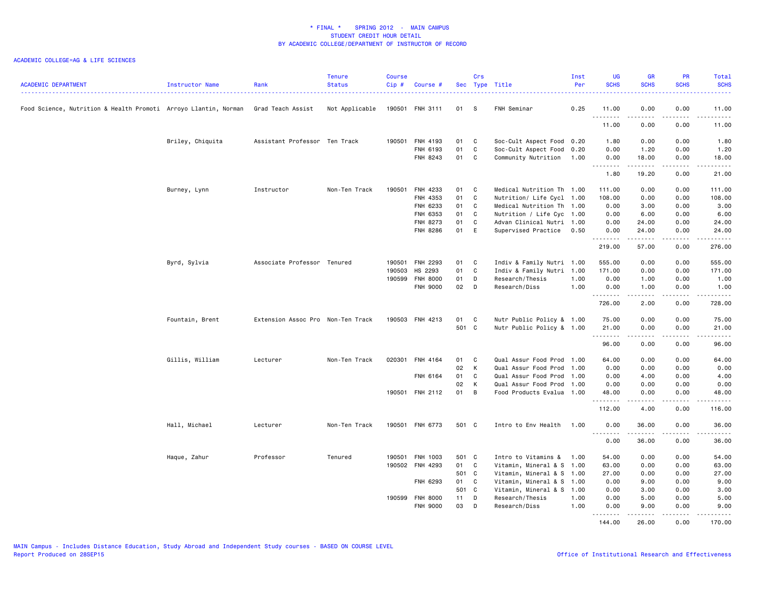| <b>ACADEMIC DEPARTMENT</b>                                       | Instructor Name  | Rank                              | <b>Tenure</b><br><b>Status</b> | <b>Course</b><br>Cip# | Course #        |       | Crs | Sec Type Title            | Inst<br>Per | <b>UG</b><br><b>SCHS</b> | <b>GR</b><br><b>SCHS</b> | PR<br><b>SCHS</b> | Total<br><b>SCHS</b><br><u>.</u> |
|------------------------------------------------------------------|------------------|-----------------------------------|--------------------------------|-----------------------|-----------------|-------|-----|---------------------------|-------------|--------------------------|--------------------------|-------------------|----------------------------------|
| Food Science, Nutrition & Health Promoti  Arroyo Llantin, Norman |                  | Grad Teach Assist                 | Not Applicable                 |                       | 190501 FNH 3111 | 01 S  |     | FNH Seminar               | 0.25        | 11.00                    | 0.00<br>.                | 0.00<br>د د د د   | 11.00<br>.                       |
|                                                                  |                  |                                   |                                |                       |                 |       |     |                           |             | .<br>11.00               | 0.00                     | 0.00              | 11.00                            |
|                                                                  | Briley, Chiquita | Assistant Professor Ten Track     |                                |                       | 190501 FNH 4193 | 01    | C   | Soc-Cult Aspect Food 0.20 |             | 1.80                     | 0.00                     | 0.00              | 1.80                             |
|                                                                  |                  |                                   |                                |                       | FNH 6193        | 01    | C   | Soc-Cult Aspect Food 0.20 |             | 0.00                     | 1.20                     | 0.00              | 1.20                             |
|                                                                  |                  |                                   |                                |                       | FNH 8243        | 01    | C   | Community Nutrition 1.00  |             | 0.00<br>.                | 18.00<br>.               | 0.00<br>.         | 18.00<br>.                       |
|                                                                  |                  |                                   |                                |                       |                 |       |     |                           |             | 1.80                     | 19.20                    | 0.00              | 21.00                            |
|                                                                  | Burney, Lynn     | Instructor                        | Non-Ten Track                  | 190501                | FNH 4233        | 01    | C   | Medical Nutrition Th 1.00 |             | 111.00                   | 0.00                     | 0.00              | 111.00                           |
|                                                                  |                  |                                   |                                |                       | FNH 4353        | 01    | C   | Nutrition/ Life Cycl 1.00 |             | 108.00                   | 0.00                     | 0.00              | 108.00                           |
|                                                                  |                  |                                   |                                |                       | FNH 6233        | 01    | C   | Medical Nutrition Th 1.00 |             | 0.00                     | 3.00                     | 0.00              | 3.00                             |
|                                                                  |                  |                                   |                                |                       | FNH 6353        | 01    | C   | Nutrition / Life Cyc 1.00 |             | 0.00                     | 6.00                     | 0.00              | 6.00                             |
|                                                                  |                  |                                   |                                |                       | FNH 8273        | 01    | C   | Advan Clinical Nutri 1.00 |             | 0.00                     | 24.00                    | 0.00              | 24.00                            |
|                                                                  |                  |                                   |                                |                       | FNH 8286        | 01 E  |     | Supervised Practice       | 0.50        | 0.00<br><u>.</u>         | 24.00<br>.               | 0.00<br>.         | 24.00<br>.                       |
|                                                                  |                  |                                   |                                |                       |                 |       |     |                           |             | 219.00                   | 57.00                    | 0.00              | 276.00                           |
|                                                                  | Byrd, Sylvia     | Associate Professor Tenured       |                                |                       | 190501 FNH 2293 | 01    | C   | Indiv & Family Nutri 1.00 |             | 555.00                   | 0.00                     | 0.00              | 555.00                           |
|                                                                  |                  |                                   |                                | 190503                | HS 2293         | 01    | C   | Indiv & Family Nutri 1.00 |             | 171.00                   | 0.00                     | 0.00              | 171.00                           |
|                                                                  |                  |                                   |                                |                       | 190599 FNH 8000 | 01    | D   | Research/Thesis           | 1.00        | 0.00                     | 1.00                     | 0.00              | 1.00                             |
|                                                                  |                  |                                   |                                |                       | FNH 9000        | 02    | D   | Research/Diss             | 1.00        | 0.00<br>.                | 1.00<br>$- - - -$        | 0.00<br>.         | 1.00<br>.                        |
|                                                                  |                  |                                   |                                |                       |                 |       |     |                           |             | 726.00                   | 2.00                     | 0.00              | 728.00                           |
|                                                                  | Fountain, Brent  | Extension Assoc Pro Non-Ten Track |                                |                       | 190503 FNH 4213 | 01    | C   | Nutr Public Policy & 1.00 |             | 75.00                    | 0.00                     | 0.00              | 75.00                            |
|                                                                  |                  |                                   |                                |                       |                 | 501 C |     | Nutr Public Policy & 1.00 |             | 21.00<br>.               | 0.00<br>.                | 0.00<br>.         | 21.00<br>.                       |
|                                                                  |                  |                                   |                                |                       |                 |       |     |                           |             | 96.00                    | 0.00                     | 0.00              | 96.00                            |
|                                                                  | Gillis, William  | Lecturer                          | Non-Ten Track                  | 020301                | FNH 4164        | 01    | C   | Qual Assur Food Prod 1.00 |             | 64.00                    | 0.00                     | 0.00              | 64.00                            |
|                                                                  |                  |                                   |                                |                       |                 | 02    | K   | Qual Assur Food Prod 1.00 |             | 0.00                     | 0.00                     | 0.00              | 0.00                             |
|                                                                  |                  |                                   |                                |                       | FNH 6164        | 01    | C   | Qual Assur Food Prod 1.00 |             | 0.00                     | 4.00                     | 0.00              | 4.00                             |
|                                                                  |                  |                                   |                                |                       |                 | 02    | K   | Qual Assur Food Prod 1.00 |             | 0.00                     | 0.00                     | 0.00              | 0.00                             |
|                                                                  |                  |                                   |                                |                       | 190501 FNH 2112 | 01    | B   | Food Products Evalua 1.00 |             | 48.00<br>.               | 0.00<br>.                | 0.00<br>.         | 48.00<br>.                       |
|                                                                  |                  |                                   |                                |                       |                 |       |     |                           |             | 112.00                   | 4.00                     | 0.00              | 116.00                           |
|                                                                  | Hall, Michael    | Lecturer                          | Non-Ten Track                  |                       | 190501 FNH 6773 | 501 C |     | Intro to Env Health 1.00  |             | 0.00                     | 36.00                    | 0.00              | 36.00                            |
|                                                                  |                  |                                   |                                |                       |                 |       |     |                           |             | .<br>0.00                | .<br>36.00               | .<br>0.00         | .<br>36.00                       |
|                                                                  | Haque, Zahur     | Professor                         | Tenured                        | 190501                | FNH 1003        | 501 C |     | Intro to Vitamins &       | 1.00        | 54.00                    | 0.00                     | 0.00              | 54.00                            |
|                                                                  |                  |                                   |                                |                       | 190502 FNH 4293 | 01    | C   | Vitamin, Mineral & S 1.00 |             | 63.00                    | 0.00                     | 0.00              | 63.00                            |
|                                                                  |                  |                                   |                                |                       |                 | 501 C |     | Vitamin, Mineral & S 1.00 |             | 27.00                    | 0.00                     | 0.00              | 27.00                            |
|                                                                  |                  |                                   |                                |                       | FNH 6293        | 01    | C   | Vitamin, Mineral & S 1.00 |             | 0.00                     | 9.00                     | 0.00              | 9.00                             |
|                                                                  |                  |                                   |                                |                       |                 | 501 C |     | Vitamin, Mineral & S 1.00 |             | 0.00                     | 3.00                     | 0.00              | 3.00                             |
|                                                                  |                  |                                   |                                |                       | 190599 FNH 8000 | 11    | D   | Research/Thesis           | 1.00        | 0.00                     | 5.00                     | 0.00              | 5.00                             |
|                                                                  |                  |                                   |                                |                       | FNH 9000        | 03    | D   | Research/Diss             | 1.00        | 0.00<br>.                | 9.00                     | 0.00              | 9.00                             |
|                                                                  |                  |                                   |                                |                       |                 |       |     |                           |             | 144.00                   | 26.00                    | 0.00              | 170.00                           |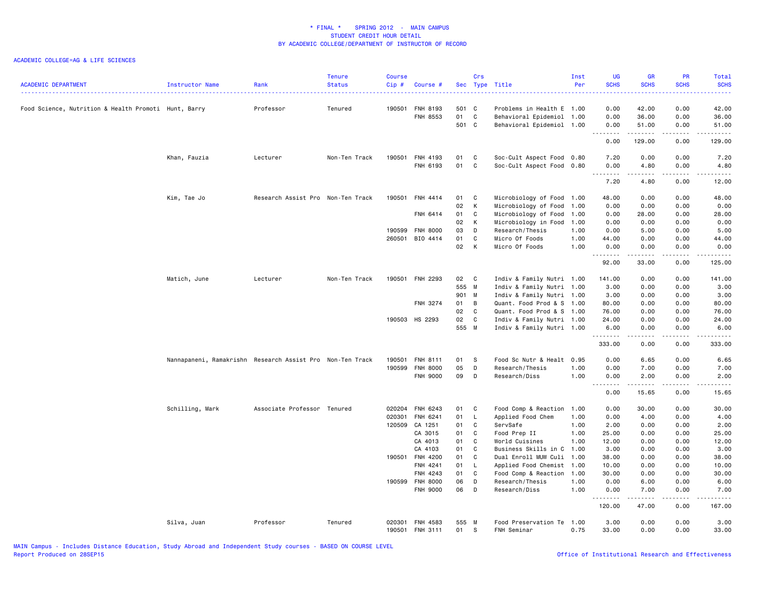| <b>ACADEMIC DEPARTMENT</b>                           | Instructor Name                                           | Rank                              | <b>Tenure</b><br><b>Status</b> | <b>Course</b><br>Cip# | Course #                    |             | Crs            | Sec Type Title                           | Inst<br>Per | <b>UG</b><br><b>SCHS</b><br>$\frac{1}{2} \left( \frac{1}{2} \right) \left( \frac{1}{2} \right) \left( \frac{1}{2} \right) \left( \frac{1}{2} \right)$ | <b>GR</b><br><b>SCHS</b>                                                                                                                                       | PR<br><b>SCHS</b>                   | Total<br><b>SCHS</b>                                                                                                              |
|------------------------------------------------------|-----------------------------------------------------------|-----------------------------------|--------------------------------|-----------------------|-----------------------------|-------------|----------------|------------------------------------------|-------------|-------------------------------------------------------------------------------------------------------------------------------------------------------|----------------------------------------------------------------------------------------------------------------------------------------------------------------|-------------------------------------|-----------------------------------------------------------------------------------------------------------------------------------|
| Food Science, Nutrition & Health Promoti Hunt, Barry |                                                           | Professor                         | Tenured                        |                       | 190501 FNH 8193             | 501 C       |                | Problems in Health E 1.00                |             | 0.00                                                                                                                                                  | 42.00                                                                                                                                                          | 0.00                                | 42.00                                                                                                                             |
|                                                      |                                                           |                                   |                                |                       | FNH 8553                    | 01          | C              | Behavioral Epidemiol 1.00                |             | 0.00                                                                                                                                                  | 36.00                                                                                                                                                          | 0.00                                | 36.00                                                                                                                             |
|                                                      |                                                           |                                   |                                |                       |                             | 501 C       |                | Behavioral Epidemiol 1.00                |             | 0.00                                                                                                                                                  | 51.00                                                                                                                                                          | 0.00                                | 51.00                                                                                                                             |
|                                                      |                                                           |                                   |                                |                       |                             |             |                |                                          |             | .<br>0.00                                                                                                                                             | $\frac{1}{2} \left( \frac{1}{2} \right) \left( \frac{1}{2} \right) \left( \frac{1}{2} \right) \left( \frac{1}{2} \right) \left( \frac{1}{2} \right)$<br>129.00 | $\sim$ $\sim$ $\sim$ $\sim$<br>0.00 | $\sim$ $\sim$ $\sim$ $\sim$ $\sim$<br>129.00                                                                                      |
|                                                      | Khan, Fauzia                                              | Lecturer                          | Non-Ten Track                  |                       | 190501 FNH 4193             | 01          | C              | Soc-Cult Aspect Food 0.80                |             | 7.20                                                                                                                                                  | 0.00                                                                                                                                                           | 0.00                                | 7.20                                                                                                                              |
|                                                      |                                                           |                                   |                                |                       | FNH 6193                    | 01          | C              | Soc-Cult Aspect Food 0.80                |             | 0.00<br>$\sim$ $\sim$ $\sim$                                                                                                                          | 4.80                                                                                                                                                           | 0.00<br>$\sim$ $\sim$ $\sim$        | 4.80<br>$\frac{1}{2} \left( \frac{1}{2} \right) \left( \frac{1}{2} \right) \left( \frac{1}{2} \right) \left( \frac{1}{2} \right)$ |
|                                                      |                                                           |                                   |                                |                       |                             |             |                |                                          |             | 7.20                                                                                                                                                  | 4.80                                                                                                                                                           | 0.00                                | 12.00                                                                                                                             |
|                                                      | Kim, Tae Jo                                               | Research Assist Pro Non-Ten Track |                                | 190501                | FNH 4414                    | 01          | C              | Microbiology of Food 1.00                |             | 48.00                                                                                                                                                 | 0.00                                                                                                                                                           | 0.00                                | 48.00                                                                                                                             |
|                                                      |                                                           |                                   |                                |                       |                             | 02          | К              | Microbiology of Food                     | 1.00        | 0.00                                                                                                                                                  | 0.00                                                                                                                                                           | 0.00                                | 0.00                                                                                                                              |
|                                                      |                                                           |                                   |                                |                       | FNH 6414                    | 01          | C              | Microbiology of Food                     | 1.00        | 0.00                                                                                                                                                  | 28.00                                                                                                                                                          | 0.00                                | 28.00                                                                                                                             |
|                                                      |                                                           |                                   |                                |                       |                             | 02          | К              | Microbiology in Food 1.00                |             | 0.00                                                                                                                                                  | 0.00                                                                                                                                                           | 0.00                                | 0.00                                                                                                                              |
|                                                      |                                                           |                                   |                                | 190599                | <b>FNH 8000</b>             | 03          | D              | Research/Thesis                          | 1.00        | 0.00                                                                                                                                                  | 5.00                                                                                                                                                           | 0.00                                | 5.00                                                                                                                              |
|                                                      |                                                           |                                   |                                |                       | 260501 BIO 4414             | 01          | $\mathtt{C}$   | Micro Of Foods                           | 1.00        | 44.00                                                                                                                                                 | 0.00                                                                                                                                                           | 0.00                                | 44.00                                                                                                                             |
|                                                      |                                                           |                                   |                                |                       |                             | 02          | K              | Micro Of Foods                           | 1.00        | 0.00<br>.                                                                                                                                             | 0.00<br>.                                                                                                                                                      | 0.00<br>$\sim$ $\sim$ $\sim$        | 0.00<br>.                                                                                                                         |
|                                                      |                                                           |                                   |                                |                       |                             |             |                |                                          |             | 92.00                                                                                                                                                 | 33.00                                                                                                                                                          | 0.00                                | 125.00                                                                                                                            |
|                                                      | Matich, June                                              | Lecturer                          | Non-Ten Track                  |                       | 190501 FNH 2293             | 02 C        |                | Indiv & Family Nutri 1.00                |             | 141.00                                                                                                                                                | 0.00                                                                                                                                                           | 0.00                                | 141.00                                                                                                                            |
|                                                      |                                                           |                                   |                                |                       |                             | 555 M       |                | Indiv & Family Nutri 1.00                |             | 3.00                                                                                                                                                  | 0.00                                                                                                                                                           | 0.00                                | 3.00                                                                                                                              |
|                                                      |                                                           |                                   |                                |                       |                             | 901 M       |                | Indiv & Family Nutri 1.00                |             | 3.00                                                                                                                                                  | 0.00                                                                                                                                                           | 0.00                                | 3.00                                                                                                                              |
|                                                      |                                                           |                                   |                                |                       | FNH 3274                    | 01          | $\overline{B}$ | Quant. Food Prod & S 1.00                |             | 80.00                                                                                                                                                 | 0.00                                                                                                                                                           | 0.00                                | 80.00                                                                                                                             |
|                                                      |                                                           |                                   |                                |                       |                             | 02          | $\mathbf{C}$   | Quant. Food Prod & S 1.00                |             | 76.00                                                                                                                                                 | 0.00                                                                                                                                                           | 0.00                                | 76.00                                                                                                                             |
|                                                      |                                                           |                                   |                                |                       | 190503 HS 2293              | 02          | C              | Indiv & Family Nutri 1.00                |             | 24.00                                                                                                                                                 | 0.00                                                                                                                                                           | 0.00                                | 24.00                                                                                                                             |
|                                                      |                                                           |                                   |                                |                       |                             | 555 M       |                | Indiv & Family Nutri 1.00                |             | 6.00<br>.                                                                                                                                             | 0.00<br>-----                                                                                                                                                  | 0.00<br>.                           | 6.00                                                                                                                              |
|                                                      |                                                           |                                   |                                |                       |                             |             |                |                                          |             | 333.00                                                                                                                                                | 0.00                                                                                                                                                           | 0.00                                | 333.00                                                                                                                            |
|                                                      | Nannapaneni, Ramakrishn Research Assist Pro Non-Ten Track |                                   |                                | 190501                | <b>FNH 8111</b>             | 01          | - S            | Food Sc Nutr & Healt 0.95                |             | 0.00                                                                                                                                                  | 6.65                                                                                                                                                           | 0.00                                | 6.65                                                                                                                              |
|                                                      |                                                           |                                   |                                | 190599                | <b>FNH 8000</b>             | 05          | D              | Research/Thesis                          | 1.00        | 0.00                                                                                                                                                  | 7.00                                                                                                                                                           | 0.00                                | 7.00                                                                                                                              |
|                                                      |                                                           |                                   |                                |                       | FNH 9000                    | 09          | D              | Research/Diss                            | 1.00        | 0.00<br>.                                                                                                                                             | 2.00<br>. <b>.</b>                                                                                                                                             | 0.00<br>.                           | 2.00<br>$    -$                                                                                                                   |
|                                                      |                                                           |                                   |                                |                       |                             |             |                |                                          |             | 0.00                                                                                                                                                  | 15.65                                                                                                                                                          | 0.00                                | 15.65                                                                                                                             |
|                                                      | Schilling, Mark                                           | Associate Professor Tenured       |                                | 020204                | FNH 6243                    | 01          | $\mathbf{C}$   | Food Comp & Reaction                     | 1.00        | 0.00                                                                                                                                                  | 30.00                                                                                                                                                          | 0.00                                | 30.00                                                                                                                             |
|                                                      |                                                           |                                   |                                | 020301                | FNH 6241                    | 01          | $\mathsf{L}$   | Applied Food Chem                        | 1.00        | 0.00                                                                                                                                                  | 4.00                                                                                                                                                           | 0.00                                | 4.00                                                                                                                              |
|                                                      |                                                           |                                   |                                | 120509                | CA 1251                     | 01          | C              | ServSafe                                 | 1.00        | 2.00                                                                                                                                                  | 0.00                                                                                                                                                           | 0.00                                | 2.00                                                                                                                              |
|                                                      |                                                           |                                   |                                |                       | CA 3015                     | 01          | C              | Food Prep II                             | 1.00        | 25.00                                                                                                                                                 | 0.00                                                                                                                                                           | 0.00                                | 25.00                                                                                                                             |
|                                                      |                                                           |                                   |                                |                       | CA 4013                     | 01          | C.             | World Cuisines                           | 1.00        | 12.00                                                                                                                                                 | 0.00                                                                                                                                                           | 0.00                                | 12.00                                                                                                                             |
|                                                      |                                                           |                                   |                                |                       | CA 4103                     | 01          | C              | Business Skills in C                     | 1.00        | 3.00                                                                                                                                                  | 0.00                                                                                                                                                           | 0.00                                | 3.00                                                                                                                              |
|                                                      |                                                           |                                   |                                | 190501                | FNH 4200                    | 01          | $\mathsf{C}$   | Dual Enroll MUW Culi                     | 1.00        | 38.00                                                                                                                                                 | 0.00                                                                                                                                                           | 0.00                                | 38.00                                                                                                                             |
|                                                      |                                                           |                                   |                                |                       | FNH 4241                    | 01          | L              | Applied Food Chemist                     | 1.00        | 10.00                                                                                                                                                 | 0.00                                                                                                                                                           | 0.00                                | 10.00                                                                                                                             |
|                                                      |                                                           |                                   |                                |                       | FNH 4243                    | 01          | C              | Food Comp & Reaction                     | 1.00        | 30.00                                                                                                                                                 | 0.00                                                                                                                                                           | 0.00                                | 30.00                                                                                                                             |
|                                                      |                                                           |                                   |                                | 190599                | <b>FNH 8000</b>             | 06          | D              | Research/Thesis                          | 1.00        | 0.00                                                                                                                                                  | 6.00                                                                                                                                                           | 0.00                                | 6.00                                                                                                                              |
|                                                      |                                                           |                                   |                                |                       | FNH 9000                    | 06          | D              | Research/Diss                            | 1.00        | 0.00<br>.                                                                                                                                             | 7.00<br>.                                                                                                                                                      | 0.00<br>.                           | 7.00<br>.                                                                                                                         |
|                                                      |                                                           |                                   |                                |                       |                             |             |                |                                          |             | 120.00                                                                                                                                                | 47.00                                                                                                                                                          | 0.00                                | 167.00                                                                                                                            |
|                                                      | Silva, Juan                                               | Professor                         | Tenured                        | 020301                | FNH 4583<br>190501 FNH 3111 | 555 M<br>01 | <b>S</b>       | Food Preservation Te 1.00<br>FNH Seminar | 0.75        | 3.00<br>33.00                                                                                                                                         | 0.00<br>0.00                                                                                                                                                   | 0.00<br>0.00                        | 3.00<br>33.00                                                                                                                     |
|                                                      |                                                           |                                   |                                |                       |                             |             |                |                                          |             |                                                                                                                                                       |                                                                                                                                                                |                                     |                                                                                                                                   |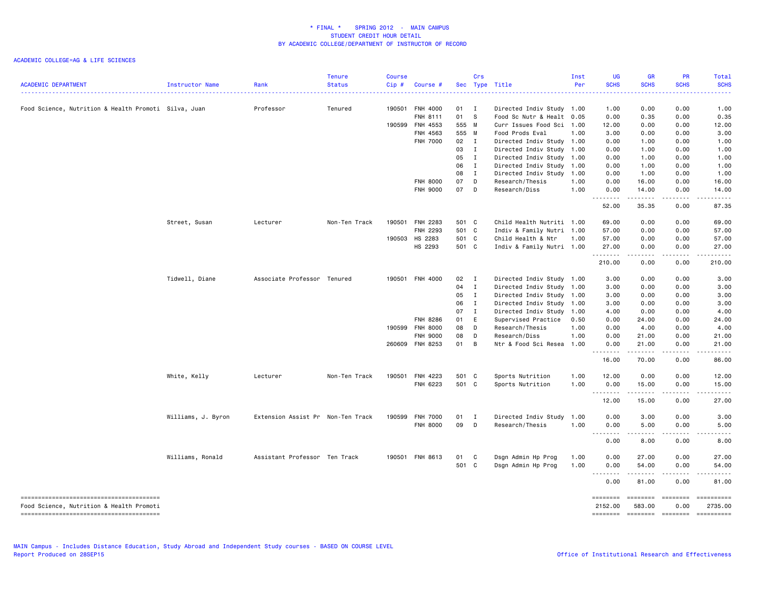| <b>ACADEMIC DEPARTMENT</b>                           | Instructor Name    | Rank                              | <b>Tenure</b><br><b>Status</b> | Course<br>Cip# | Course #        |              | Crs          | Sec Type Title            | Inst<br>Per | <b>UG</b><br><b>SCHS</b> | <b>GR</b><br><b>SCHS</b> | PR<br><b>SCHS</b>                                                                                                                                                                                                                                                                                                                                                                                                                                                                                                   | <b>Total</b><br><b>SCHS</b>                     |
|------------------------------------------------------|--------------------|-----------------------------------|--------------------------------|----------------|-----------------|--------------|--------------|---------------------------|-------------|--------------------------|--------------------------|---------------------------------------------------------------------------------------------------------------------------------------------------------------------------------------------------------------------------------------------------------------------------------------------------------------------------------------------------------------------------------------------------------------------------------------------------------------------------------------------------------------------|-------------------------------------------------|
|                                                      |                    |                                   |                                |                |                 |              |              |                           |             | 2222                     |                          |                                                                                                                                                                                                                                                                                                                                                                                                                                                                                                                     |                                                 |
| Food Science, Nutrition & Health Promoti Silva, Juan |                    | Professor                         | Tenured                        | 190501         | FNH 4000        | 01 I         |              | Directed Indiv Study 1.00 |             | 1.00                     | 0.00                     | 0.00                                                                                                                                                                                                                                                                                                                                                                                                                                                                                                                | 1.00                                            |
|                                                      |                    |                                   |                                |                | FNH 8111        | 01           | <b>S</b>     | Food Sc Nutr & Healt 0.05 |             | 0.00                     | 0.35                     | 0.00                                                                                                                                                                                                                                                                                                                                                                                                                                                                                                                | 0.35                                            |
|                                                      |                    |                                   |                                | 190599         | FNH 4553        | 555 M        |              | Curr Issues Food Sci 1.00 |             | 12.00                    | 0.00                     | 0.00                                                                                                                                                                                                                                                                                                                                                                                                                                                                                                                | 12.00                                           |
|                                                      |                    |                                   |                                |                | FNH 4563        | 555 M        |              | Food Prods Eval           | 1.00        | 3.00                     | 0.00                     | 0.00                                                                                                                                                                                                                                                                                                                                                                                                                                                                                                                | 3.00                                            |
|                                                      |                    |                                   |                                |                | FNH 7000        | 02 I         |              | Directed Indiv Study 1.00 |             | 0.00                     | 1.00                     | 0.00                                                                                                                                                                                                                                                                                                                                                                                                                                                                                                                | 1.00                                            |
|                                                      |                    |                                   |                                |                |                 | 03           | I            | Directed Indiv Study 1.00 |             | 0.00                     | 1.00                     | 0.00                                                                                                                                                                                                                                                                                                                                                                                                                                                                                                                | 1.00                                            |
|                                                      |                    |                                   |                                |                |                 | 05           | $\mathbf{I}$ | Directed Indiv Study 1.00 |             | 0.00                     | 1.00                     | 0.00                                                                                                                                                                                                                                                                                                                                                                                                                                                                                                                | 1.00                                            |
|                                                      |                    |                                   |                                |                |                 | 06           | $\mathbf{I}$ | Directed Indiv Study 1.00 |             | 0.00                     | 1.00                     | 0.00                                                                                                                                                                                                                                                                                                                                                                                                                                                                                                                | 1.00                                            |
|                                                      |                    |                                   |                                |                |                 | 08           |              |                           |             | 0.00                     |                          | 0.00                                                                                                                                                                                                                                                                                                                                                                                                                                                                                                                |                                                 |
|                                                      |                    |                                   |                                |                |                 |              | $\mathbf{I}$ | Directed Indiv Study 1.00 |             |                          | 1.00                     |                                                                                                                                                                                                                                                                                                                                                                                                                                                                                                                     | 1.00                                            |
|                                                      |                    |                                   |                                |                | <b>FNH 8000</b> | 07           | D            | Research/Thesis           | 1.00        | 0.00                     | 16.00                    | 0.00                                                                                                                                                                                                                                                                                                                                                                                                                                                                                                                | 16.00                                           |
|                                                      |                    |                                   |                                |                | <b>FNH 9000</b> | 07           | D            | Research/Diss             | 1.00        | 0.00<br>.                | 14.00                    | 0.00                                                                                                                                                                                                                                                                                                                                                                                                                                                                                                                | 14.00                                           |
|                                                      |                    |                                   |                                |                |                 |              |              |                           |             | 52.00                    | 35.35                    | 0.00                                                                                                                                                                                                                                                                                                                                                                                                                                                                                                                | 87.35                                           |
|                                                      | Street, Susan      | Lecturer                          | Non-Ten Track                  | 190501         | FNH 2283        | 501 C        |              | Child Health Nutriti 1.00 |             | 69.00                    | 0.00                     | 0.00                                                                                                                                                                                                                                                                                                                                                                                                                                                                                                                | 69.00                                           |
|                                                      |                    |                                   |                                |                | FNH 2293        | 501 C        |              | Indiv & Family Nutri 1.00 |             | 57.00                    | 0.00                     | 0.00                                                                                                                                                                                                                                                                                                                                                                                                                                                                                                                | 57.00                                           |
|                                                      |                    |                                   |                                | 190503         | HS 2283         | 501 C        |              | Child Health & Ntr        | 1.00        | 57.00                    | 0.00                     | 0.00                                                                                                                                                                                                                                                                                                                                                                                                                                                                                                                | 57.00                                           |
|                                                      |                    |                                   |                                |                | HS 2293         | 501 C        |              | Indiv & Family Nutri 1.00 |             | 27.00<br>.               | 0.00                     | 0.00                                                                                                                                                                                                                                                                                                                                                                                                                                                                                                                | 27.00                                           |
|                                                      |                    |                                   |                                |                |                 |              |              |                           |             | 210.00                   | 0.00                     | 0.00                                                                                                                                                                                                                                                                                                                                                                                                                                                                                                                | 210.00                                          |
|                                                      | Tidwell, Diane     | Associate Professor Tenured       |                                |                | 190501 FNH 4000 | $02 \quad I$ |              | Directed Indiv Study 1.00 |             | 3.00                     | 0.00                     | 0.00                                                                                                                                                                                                                                                                                                                                                                                                                                                                                                                | 3.00                                            |
|                                                      |                    |                                   |                                |                |                 | 04           | $\mathbf I$  | Directed Indiv Study 1.00 |             | 3.00                     | 0.00                     | 0.00                                                                                                                                                                                                                                                                                                                                                                                                                                                                                                                | 3.00                                            |
|                                                      |                    |                                   |                                |                |                 | 05           | $\mathbf I$  | Directed Indiv Study 1.00 |             | 3.00                     | 0.00                     | 0.00                                                                                                                                                                                                                                                                                                                                                                                                                                                                                                                | 3.00                                            |
|                                                      |                    |                                   |                                |                |                 | 06           | $\mathbf{I}$ | Directed Indiv Study 1.00 |             | 3.00                     | 0.00                     | 0.00                                                                                                                                                                                                                                                                                                                                                                                                                                                                                                                | 3.00                                            |
|                                                      |                    |                                   |                                |                |                 | 07           | $\mathbf{I}$ | Directed Indiv Study 1.00 |             | 4.00                     | 0.00                     | 0.00                                                                                                                                                                                                                                                                                                                                                                                                                                                                                                                | 4.00                                            |
|                                                      |                    |                                   |                                |                | FNH 8286        | 01           | E            | Supervised Practice       | 0.50        | 0.00                     | 24.00                    | 0.00                                                                                                                                                                                                                                                                                                                                                                                                                                                                                                                | 24.00                                           |
|                                                      |                    |                                   |                                | 190599         | <b>FNH 8000</b> | 08           | D            | Research/Thesis           | 1.00        | 0.00                     | 4.00                     | 0.00                                                                                                                                                                                                                                                                                                                                                                                                                                                                                                                | 4.00                                            |
|                                                      |                    |                                   |                                |                | FNH 9000        | 08           | D            | Research/Diss             | 1.00        | 0.00                     | 21.00                    | 0.00                                                                                                                                                                                                                                                                                                                                                                                                                                                                                                                | 21.00                                           |
|                                                      |                    |                                   |                                |                | 260609 FNH 8253 | 01           | B            | Ntr & Food Sci Resea 1.00 |             | 0.00                     | 21.00                    | 0.00                                                                                                                                                                                                                                                                                                                                                                                                                                                                                                                | 21.00                                           |
|                                                      |                    |                                   |                                |                |                 |              |              |                           |             | .<br>16.00               | .<br>70.00               | د د د د<br>0.00                                                                                                                                                                                                                                                                                                                                                                                                                                                                                                     | .<br>86.00                                      |
|                                                      | White, Kelly       | Lecturer                          | Non-Ten Track                  | 190501         | FNH 4223        | 501 C        |              | Sports Nutrition          | 1.00        | 12.00                    | 0.00                     | 0.00                                                                                                                                                                                                                                                                                                                                                                                                                                                                                                                | 12.00                                           |
|                                                      |                    |                                   |                                |                | FNH 6223        | 501 C        |              | Sports Nutrition          | 1.00        | 0.00                     | 15.00                    | 0.00                                                                                                                                                                                                                                                                                                                                                                                                                                                                                                                | 15.00                                           |
|                                                      |                    |                                   |                                |                |                 |              |              |                           |             | .<br>12.00               | 15.00                    | 0.00                                                                                                                                                                                                                                                                                                                                                                                                                                                                                                                | 27.00                                           |
|                                                      | Williams, J. Byron | Extension Assist Pr Non-Ten Track |                                | 190599         | <b>FNH 7000</b> | 01           | $\mathbf{I}$ | Directed Indiv Study      | 1.00        | 0.00                     | 3.00                     | 0.00                                                                                                                                                                                                                                                                                                                                                                                                                                                                                                                | 3.00                                            |
|                                                      |                    |                                   |                                |                | <b>FNH 8000</b> | 09           | D            | Research/Thesis           | 1.00        | 0.00                     | 5.00                     | 0.00                                                                                                                                                                                                                                                                                                                                                                                                                                                                                                                | 5.00                                            |
|                                                      |                    |                                   |                                |                |                 |              |              |                           |             | .<br>0.00                | .<br>8.00                | .<br>0.00                                                                                                                                                                                                                                                                                                                                                                                                                                                                                                           | .<br>8.00                                       |
|                                                      | Williams, Ronald   | Assistant Professor Ten Track     |                                |                | 190501 FNH 8613 | 01           | $\mathbf{C}$ | Dsgn Admin Hp Prog        | 1.00        | 0.00                     | 27.00                    | 0.00                                                                                                                                                                                                                                                                                                                                                                                                                                                                                                                | 27.00                                           |
|                                                      |                    |                                   |                                |                |                 | 501 C        |              | Dsgn Admin Hp Prog        | 1.00        | 0.00                     | 54.00                    | 0.00                                                                                                                                                                                                                                                                                                                                                                                                                                                                                                                | 54.00                                           |
|                                                      |                    |                                   |                                |                |                 |              |              |                           |             | -----<br>$  -$<br>0.00   | .<br>81.00               | .<br>0.00                                                                                                                                                                                                                                                                                                                                                                                                                                                                                                           | .<br>81.00                                      |
|                                                      |                    |                                   |                                |                |                 |              |              |                           |             | ========                 |                          | $\begin{array}{c} \multicolumn{3}{c} {\color{blue} \textbf{2}} & \multicolumn{3}{c} {\color{blue} \textbf{3}} \\ \multicolumn{3}{c} {\color{blue} \textbf{4}} & \multicolumn{3}{c} {\color{blue} \textbf{5}} & \multicolumn{3}{c} {\color{blue} \textbf{6}} \\ \multicolumn{3}{c} {\color{blue} \textbf{5}} & \multicolumn{3}{c} {\color{blue} \textbf{6}} & \multicolumn{3}{c} {\color{blue} \textbf{6}} \\ \multicolumn{3}{c} {\color{blue} \textbf{6}} & \multicolumn{3}{c} {\color{blue} \textbf{6}} & \multic$ | ==========                                      |
| Food Science, Nutrition & Health Promoti             |                    |                                   |                                |                |                 |              |              |                           |             | 2152.00                  | 583.00                   | 0.00                                                                                                                                                                                                                                                                                                                                                                                                                                                                                                                | 2735.00<br>======== ======== ======== ========= |
|                                                      |                    |                                   |                                |                |                 |              |              |                           |             |                          |                          |                                                                                                                                                                                                                                                                                                                                                                                                                                                                                                                     |                                                 |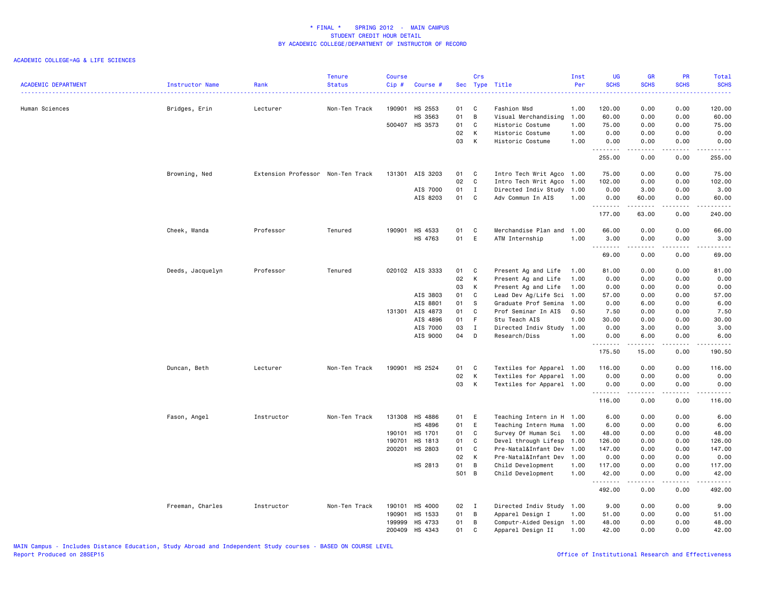| <b>ACADEMIC DEPARTMENT</b> | Instructor Name  | Rank                              | Tenure<br><b>Status</b> | <b>Course</b><br>Cip# | Course #        |       | Crs            | Sec Type Title            | Inst<br>Per | <b>UG</b><br><b>SCHS</b> | <b>GR</b><br><b>SCHS</b> | <b>PR</b><br><b>SCHS</b>     | Total<br><b>SCHS</b>                                                                                                                                           |
|----------------------------|------------------|-----------------------------------|-------------------------|-----------------------|-----------------|-------|----------------|---------------------------|-------------|--------------------------|--------------------------|------------------------------|----------------------------------------------------------------------------------------------------------------------------------------------------------------|
|                            |                  |                                   |                         |                       |                 |       |                |                           |             |                          |                          | .                            | د د د د د                                                                                                                                                      |
| Human Sciences             | Bridges, Erin    | Lecturer                          | Non-Ten Track           | 190901                | HS 2553         | 01    | C              | Fashion Msd               | 1.00        | 120.00                   | 0.00                     | 0.00                         | 120.00                                                                                                                                                         |
|                            |                  |                                   |                         |                       | HS 3563         | 01    | $\overline{B}$ | Visual Merchandising      | 1.00        | 60.00                    | 0.00                     | 0.00                         | 60.00                                                                                                                                                          |
|                            |                  |                                   |                         |                       | 500407 HS 3573  | 01    | C              | Historic Costume          | 1.00        | 75.00                    | 0.00                     | 0.00                         | 75.00                                                                                                                                                          |
|                            |                  |                                   |                         |                       |                 | 02    | K              | Historic Costume          | 1.00        | 0.00                     | 0.00                     | 0.00                         | 0.00                                                                                                                                                           |
|                            |                  |                                   |                         |                       |                 | 03    | К              | Historic Costume          | 1.00        | 0.00<br>.                | 0.00<br>-----            | 0.00<br>.                    | 0.00<br>.                                                                                                                                                      |
|                            |                  |                                   |                         |                       |                 |       |                |                           |             | 255.00                   | 0.00                     | 0.00                         | 255.00                                                                                                                                                         |
|                            | Browning, Ned    | Extension Professor Non-Ten Track |                         | 131301                | AIS 3203        | 01    | C              | Intro Tech Writ Agco 1.00 |             | 75.00                    | 0.00                     | 0.00                         | 75.00                                                                                                                                                          |
|                            |                  |                                   |                         |                       |                 | 02    | C              | Intro Tech Writ Agco      | 1.00        | 102.00                   | 0.00                     | 0.00                         | 102.00                                                                                                                                                         |
|                            |                  |                                   |                         |                       | AIS 7000        | 01    | I              | Directed Indiv Study 1.00 |             | 0.00                     | 3.00                     | 0.00                         | 3.00                                                                                                                                                           |
|                            |                  |                                   |                         |                       | AIS 8203        | 01    | C              | Adv Commun In AIS         | 1.00        | 0.00                     | 60.00                    | 0.00                         | 60.00                                                                                                                                                          |
|                            |                  |                                   |                         |                       |                 |       |                |                           |             | .<br>177.00              | .<br>63.00               | .<br>0.00                    | ------<br>240.00                                                                                                                                               |
|                            | Cheek, Wanda     | Professor                         | Tenured                 | 190901                | HS 4533         | 01    | C              | Merchandise Plan and      | 1.00        | 66.00                    | 0.00                     | 0.00                         | 66.00                                                                                                                                                          |
|                            |                  |                                   |                         |                       | HS 4763         | 01    | E              | ATM Internship            | 1.00        | 3.00<br>.                | 0.00<br>.                | 0.00<br>.                    | 3.00<br>.                                                                                                                                                      |
|                            |                  |                                   |                         |                       |                 |       |                |                           |             | 69.00                    | 0.00                     | 0.00                         | 69.00                                                                                                                                                          |
|                            | Deeds, Jacquelyn | Professor                         | Tenured                 |                       | 020102 AIS 3333 | 01    | C              | Present Ag and Life       | 1.00        | 81.00                    | 0.00                     | 0.00                         | 81.00                                                                                                                                                          |
|                            |                  |                                   |                         |                       |                 | 02    | K              | Present Ag and Life       | 1.00        | 0.00                     | 0.00                     | 0.00                         | 0.00                                                                                                                                                           |
|                            |                  |                                   |                         |                       |                 | 03    | K              | Present Ag and Life       | 1.00        | 0.00                     | 0.00                     | 0.00                         | 0.00                                                                                                                                                           |
|                            |                  |                                   |                         |                       | AIS 3803        | 01    | C              | Lead Dev Ag/Life Sci      | 1.00        | 57.00                    | 0.00                     | 0.00                         | 57.00                                                                                                                                                          |
|                            |                  |                                   |                         |                       | AIS 8801        | 01    | - S            | Graduate Prof Semina      | 1.00        | 0.00                     | 6.00                     | 0.00                         | 6.00                                                                                                                                                           |
|                            |                  |                                   |                         | 131301                | AIS 4873        | 01    | C              | Prof Seminar In AIS       | 0.50        | 7.50                     | 0.00                     | 0.00                         | 7.50                                                                                                                                                           |
|                            |                  |                                   |                         |                       | AIS 4896        | 01    | -F             | Stu Teach AIS             | 1.00        | 30.00                    | 0.00                     | 0.00                         | 30.00                                                                                                                                                          |
|                            |                  |                                   |                         |                       | AIS 7000        | 03    | $\mathbf{I}$   | Directed Indiv Study      | 1.00        | 0.00                     | 3.00                     | 0.00                         | 3.00                                                                                                                                                           |
|                            |                  |                                   |                         |                       | AIS 9000        | 04    | D              | Research/Diss             | 1.00        | 0.00                     | 6.00                     | 0.00                         | 6.00                                                                                                                                                           |
|                            |                  |                                   |                         |                       |                 |       |                |                           |             | .<br>175.50              | .<br>15.00               | $\sim$ $\sim$ $\sim$<br>0.00 | $\frac{1}{2} \left( \frac{1}{2} \right) \left( \frac{1}{2} \right) \left( \frac{1}{2} \right) \left( \frac{1}{2} \right) \left( \frac{1}{2} \right)$<br>190.50 |
|                            | Duncan, Beth     | Lecturer                          | Non-Ten Track           | 190901                | HS 2524         | 01    | C              | Textiles for Apparel 1.00 |             | 116.00                   | 0.00                     | 0.00                         | 116.00                                                                                                                                                         |
|                            |                  |                                   |                         |                       |                 | 02    | K              | Textiles for Apparel 1.00 |             | 0.00                     | 0.00                     | 0.00                         | 0.00                                                                                                                                                           |
|                            |                  |                                   |                         |                       |                 | 03    | K              | Textiles for Apparel 1.00 |             | 0.00                     | 0.00                     | 0.00                         | 0.00                                                                                                                                                           |
|                            |                  |                                   |                         |                       |                 |       |                |                           |             | .<br>116.00              | <u>.</u><br>0.00         | .<br>0.00                    | <u>.</u><br>116.00                                                                                                                                             |
|                            | Fason, Angel     | Instructor                        | Non-Ten Track           | 131308                | HS 4886         | 01    | E              | Teaching Intern in H 1.00 |             | 6.00                     | 0.00                     | 0.00                         | 6.00                                                                                                                                                           |
|                            |                  |                                   |                         |                       | HS 4896         | 01    | E              | Teaching Intern Huma      | 1.00        | 6.00                     | 0.00                     | 0.00                         | 6.00                                                                                                                                                           |
|                            |                  |                                   |                         | 190101                | HS 1701         | 01    | C              | Survey Of Human Sci       | 1.00        | 48.00                    | 0.00                     | 0.00                         | 48.00                                                                                                                                                          |
|                            |                  |                                   |                         | 190701                | HS 1813         | 01    | C              | Devel through Lifesp      | 1.00        | 126.00                   | 0.00                     | 0.00                         | 126.00                                                                                                                                                         |
|                            |                  |                                   |                         | 200201                | <b>HS 2803</b>  | 01    | C              | Pre-Natal&Infant Dev      | 1.00        | 147.00                   | 0.00                     | 0.00                         | 147.00                                                                                                                                                         |
|                            |                  |                                   |                         |                       |                 | 02    | K              | Pre-Natal&Infant Dev      | 1.00        | 0.00                     | 0.00                     | 0.00                         | 0.00                                                                                                                                                           |
|                            |                  |                                   |                         |                       | HS 2813         | 01    | B              | Child Development         | 1.00        | 117.00                   | 0.00                     | 0.00                         | 117.00                                                                                                                                                         |
|                            |                  |                                   |                         |                       |                 | 501 B |                | Child Development         | 1.00        | 42.00<br>.               | 0.00<br>.                | 0.00<br>.                    | 42.00<br>$\begin{array}{cccccccccc} \bullet & \bullet & \bullet & \bullet & \bullet & \bullet & \bullet & \bullet \end{array}$                                 |
|                            |                  |                                   |                         |                       |                 |       |                |                           |             | 492.00                   | 0.00                     | 0.00                         | 492.00                                                                                                                                                         |
|                            | Freeman, Charles | Instructor                        | Non-Ten Track           | 190101                | HS 4000         | 02 I  |                | Directed Indiv Study 1.00 |             | 9.00                     | 0.00                     | 0.00                         | 9.00                                                                                                                                                           |
|                            |                  |                                   |                         | 190901                | HS 1533         | 01    | $\overline{B}$ | Apparel Design I          | 1.00        | 51.00                    | 0.00                     | 0.00                         | 51.00                                                                                                                                                          |
|                            |                  |                                   |                         | 199999                | HS 4733         | 01    | B              | Computr-Aided Design      | 1.00        | 48.00                    | 0.00                     | 0.00                         | 48.00                                                                                                                                                          |
|                            |                  |                                   |                         | 200409                | HS 4343         | 01    | C.             | Apparel Design II         | 1.00        | 42.00                    | 0.00                     | 0.00                         | 42.00                                                                                                                                                          |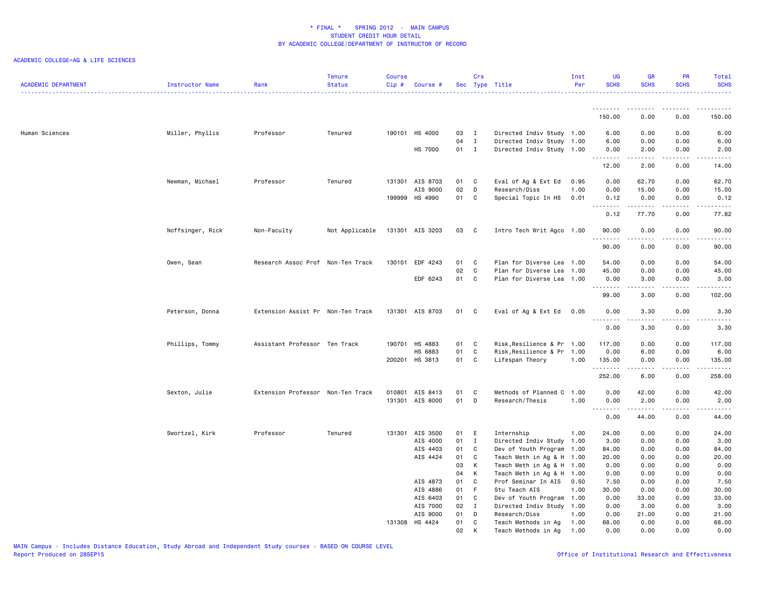| <b>ACADEMIC DEPARTMENT</b> | Instructor Name  | Rank                              | <b>Tenure</b><br><b>Status</b> | <b>Course</b><br>Cip# | Course #                    |          | Crs               | Sec Type Title                     | Inst<br>Per  | <b>UG</b><br><b>SCHS</b> | <b>GR</b><br><b>SCHS</b>                                                                                                       | <b>PR</b><br><b>SCHS</b>                                                                                                                                     | Total<br><b>SCHS</b>                                                                                                                                          |
|----------------------------|------------------|-----------------------------------|--------------------------------|-----------------------|-----------------------------|----------|-------------------|------------------------------------|--------------|--------------------------|--------------------------------------------------------------------------------------------------------------------------------|--------------------------------------------------------------------------------------------------------------------------------------------------------------|---------------------------------------------------------------------------------------------------------------------------------------------------------------|
|                            |                  |                                   |                                |                       |                             |          |                   |                                    |              | --------<br>150.00       | <u>.</u><br>0.00                                                                                                               | .<br>0.00                                                                                                                                                    | .<br>150.00                                                                                                                                                   |
|                            |                  |                                   |                                |                       |                             |          |                   |                                    |              |                          |                                                                                                                                |                                                                                                                                                              |                                                                                                                                                               |
| Human Sciences             | Miller, Phyllis  | Professor                         | Tenured                        |                       | 190101 HS 4000              | 03       | $\mathbf{I}$      | Directed Indiv Study 1.00          |              | 6.00                     | 0.00                                                                                                                           | 0.00                                                                                                                                                         | 6.00                                                                                                                                                          |
|                            |                  |                                   |                                |                       |                             | 04       | $\mathbf{I}$      | Directed Indiv Study 1.00          |              | 6.00                     | 0.00                                                                                                                           | 0.00                                                                                                                                                         | 6.00                                                                                                                                                          |
|                            |                  |                                   |                                |                       | <b>HS 7000</b>              | 01 I     |                   | Directed Indiv Study 1.00          |              | 0.00                     | 2.00                                                                                                                           | 0.00                                                                                                                                                         | 2.00                                                                                                                                                          |
|                            |                  |                                   |                                |                       |                             |          |                   |                                    |              | .<br>12.00               | .<br>2.00                                                                                                                      | .<br>0.00                                                                                                                                                    | <b>.</b><br>14.00                                                                                                                                             |
|                            | Newman, Michael  | Professor                         | Tenured                        |                       | 131301 AIS 8703             | 01 C     |                   | Eval of Ag & Ext Ed                | 0.95         | 0.00                     | 62.70                                                                                                                          | 0.00                                                                                                                                                         | 62.70                                                                                                                                                         |
|                            |                  |                                   |                                |                       | AIS 9000                    | 02       | D                 | Research/Diss                      | 1.00         | 0.00                     | 15.00                                                                                                                          | 0.00                                                                                                                                                         | 15.00                                                                                                                                                         |
|                            |                  |                                   |                                |                       | 199999 HS 4990              | 01       | C                 | Special Topic In HS                | 0.01         | 0.12                     | 0.00                                                                                                                           | 0.00                                                                                                                                                         | 0.12                                                                                                                                                          |
|                            |                  |                                   |                                |                       |                             |          |                   |                                    |              | .<br>0.12                | $\begin{array}{cccccccccc} \bullet & \bullet & \bullet & \bullet & \bullet & \bullet & \bullet & \bullet \end{array}$<br>77.70 | $\omega$ is a set of<br>0.00                                                                                                                                 | المتمامين<br>77.82                                                                                                                                            |
|                            |                  |                                   |                                |                       |                             |          |                   |                                    |              |                          |                                                                                                                                |                                                                                                                                                              |                                                                                                                                                               |
|                            | Noffsinger, Rick | Non-Faculty                       | Not Applicable                 |                       | 131301 AIS 3203             | 03       | $\mathbf{C}$      | Intro Tech Writ Agco 1.00          |              | 90.00<br>.               | 0.00                                                                                                                           | 0.00<br>.                                                                                                                                                    | 90.00<br>.                                                                                                                                                    |
|                            |                  |                                   |                                |                       |                             |          |                   |                                    |              | 90.00                    | 0.00                                                                                                                           | 0.00                                                                                                                                                         | 90.00                                                                                                                                                         |
|                            | Owen, Sean       | Research Assoc Prof Non-Ten Track |                                |                       | 130101 EDF 4243             | 01       | C C               | Plan for Diverse Lea 1.00          |              | 54.00                    | 0.00                                                                                                                           | 0.00                                                                                                                                                         | 54.00                                                                                                                                                         |
|                            |                  |                                   |                                |                       |                             | 02       | C                 | Plan for Diverse Lea               | 1.00         | 45.00                    | 0.00                                                                                                                           | 0.00                                                                                                                                                         | 45.00                                                                                                                                                         |
|                            |                  |                                   |                                |                       | EDF 6243                    | 01 C     |                   | Plan for Diverse Lea 1.00          |              | 0.00                     | 3.00                                                                                                                           | 0.00                                                                                                                                                         | 3.00                                                                                                                                                          |
|                            |                  |                                   |                                |                       |                             |          |                   |                                    |              | .<br>99.00               | <b>.</b><br>3.00                                                                                                               | $\frac{1}{2} \left( \frac{1}{2} \right) \left( \frac{1}{2} \right) \left( \frac{1}{2} \right) \left( \frac{1}{2} \right) \left( \frac{1}{2} \right)$<br>0.00 | $\begin{array}{cccccccccc} \bullet & \bullet & \bullet & \bullet & \bullet & \bullet & \bullet & \bullet \end{array}$<br>102.00                               |
|                            | Peterson, Donna  | Extension Assist Pr Non-Ten Track |                                |                       | 131301 AIS 8703             | 01 C     |                   | Eval of Ag & Ext Ed 0.05           |              | 0.00                     | 3.30                                                                                                                           | 0.00                                                                                                                                                         | 3.30                                                                                                                                                          |
|                            |                  |                                   |                                |                       |                             |          |                   |                                    |              | <u>.</u><br>0.00         | 3.30                                                                                                                           | 0.00                                                                                                                                                         | $\frac{1}{2} \left( \frac{1}{2} \right) \left( \frac{1}{2} \right) \left( \frac{1}{2} \right) \left( \frac{1}{2} \right) \left( \frac{1}{2} \right)$<br>3.30  |
|                            |                  |                                   |                                |                       |                             |          |                   |                                    |              |                          |                                                                                                                                |                                                                                                                                                              |                                                                                                                                                               |
|                            | Phillips, Tommy  | Assistant Professor Ten Track     |                                |                       | 190701 HS 4883              | 01 C     |                   | Risk, Resilience & Pr 1.00         |              | 117.00                   | 0.00                                                                                                                           | 0.00                                                                                                                                                         | 117.00                                                                                                                                                        |
|                            |                  |                                   |                                |                       | HS 6883                     | 01       | $\mathbf{C}$      | Risk, Resilience & Pr 1.00         |              | 0.00                     | 6.00                                                                                                                           | 0.00                                                                                                                                                         | 6.00                                                                                                                                                          |
|                            |                  |                                   |                                |                       | 200201 HS 3813              | 01 C     |                   | Lifespan Theory                    | 1.00         | 135.00<br>.              | 0.00<br><u>.</u>                                                                                                               | 0.00<br>.                                                                                                                                                    | 135.00<br><u>.</u>                                                                                                                                            |
|                            |                  |                                   |                                |                       |                             |          |                   |                                    |              | 252.00                   | 6.00                                                                                                                           | 0.00                                                                                                                                                         | 258.00                                                                                                                                                        |
|                            | Sexton, Julie    | Extension Professor Non-Ten Track |                                |                       | 010801 AIS 8413             | 01       | C                 | Methods of Planned C               | 1.00         | 0.00                     | 42.00                                                                                                                          | 0.00                                                                                                                                                         | 42.00                                                                                                                                                         |
|                            |                  |                                   |                                |                       | 131301 AIS 8000             | 01       | D                 | Research/Thesis                    | 1.00         | 0.00                     | 2.00                                                                                                                           | 0.00                                                                                                                                                         | 2.00                                                                                                                                                          |
|                            |                  |                                   |                                |                       |                             |          |                   |                                    |              | 0.00                     | 44.00                                                                                                                          | $\sim$ $\sim$ $\sim$<br>0.00                                                                                                                                 | $\frac{1}{2} \left( \frac{1}{2} \right) \left( \frac{1}{2} \right) \left( \frac{1}{2} \right) \left( \frac{1}{2} \right) \left( \frac{1}{2} \right)$<br>44.00 |
|                            |                  |                                   |                                |                       |                             |          |                   |                                    |              |                          |                                                                                                                                |                                                                                                                                                              |                                                                                                                                                               |
|                            | Swortzel, Kirk   | Professor                         | Tenured                        |                       | 131301 AIS 3500<br>AIS 4000 | 01<br>01 | E<br>$\mathbf{I}$ | Internship<br>Directed Indiv Study | 1.00<br>1.00 | 24.00<br>3.00            | 0.00<br>0.00                                                                                                                   | 0.00<br>0.00                                                                                                                                                 | 24.00<br>3.00                                                                                                                                                 |
|                            |                  |                                   |                                |                       | AIS 4403                    | 01       | C                 | Dev of Youth Program               | 1.00         | 84.00                    | 0.00                                                                                                                           | 0.00                                                                                                                                                         | 84.00                                                                                                                                                         |
|                            |                  |                                   |                                |                       | AIS 4424                    | 01       | $\mathbf c$       | Teach Meth in Ag & H 1.00          |              | 20.00                    | 0.00                                                                                                                           | 0.00                                                                                                                                                         | 20.00                                                                                                                                                         |
|                            |                  |                                   |                                |                       |                             | 03       | K                 | Teach Meth in Ag & H 1.00          |              | 0.00                     | 0.00                                                                                                                           | 0.00                                                                                                                                                         | 0.00                                                                                                                                                          |
|                            |                  |                                   |                                |                       |                             | 04       | K                 | Teach Meth in Ag & H 1.00          |              | 0.00                     | 0.00                                                                                                                           | 0.00                                                                                                                                                         | 0.00                                                                                                                                                          |
|                            |                  |                                   |                                |                       | AIS 4873                    | 01       | C                 | Prof Seminar In AIS                | 0.50         | 7.50                     | 0.00                                                                                                                           | 0.00                                                                                                                                                         | 7.50                                                                                                                                                          |
|                            |                  |                                   |                                |                       | AIS 4886                    | 01       | $-F$              | Stu Teach AIS                      | 1.00         | 30.00                    | 0.00                                                                                                                           | 0.00                                                                                                                                                         | 30.00                                                                                                                                                         |
|                            |                  |                                   |                                |                       | AIS 6403                    | 01       | C                 | Dev of Youth Program 1.00          |              | 0.00                     | 33.00                                                                                                                          | 0.00                                                                                                                                                         | 33.00                                                                                                                                                         |
|                            |                  |                                   |                                |                       | AIS 7000                    | 02       | $\mathbf{I}$      | Directed Indiv Study               | 1.00         | 0.00                     | 3.00                                                                                                                           | 0.00                                                                                                                                                         | 3.00                                                                                                                                                          |
|                            |                  |                                   |                                |                       | AIS 9000                    | 01       | D                 | Research/Diss                      | 1.00         | 0.00                     | 21.00                                                                                                                          | 0.00                                                                                                                                                         | 21.00                                                                                                                                                         |
|                            |                  |                                   |                                |                       | 131308 HS 4424              | 01       | C                 | Teach Methods in Ag                | 1.00         | 68.00                    | 0.00                                                                                                                           | 0.00                                                                                                                                                         | 68.00                                                                                                                                                         |
|                            |                  |                                   |                                |                       |                             | 02       | K                 | Teach Methods in Ag                | 1.00         | 0.00                     | 0.00                                                                                                                           | 0.00                                                                                                                                                         | 0.00                                                                                                                                                          |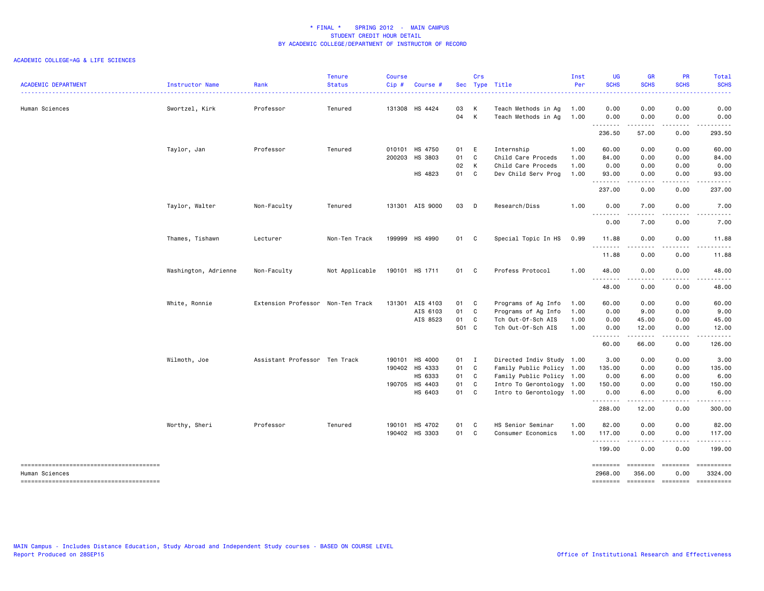| <b>ACADEMIC DEPARTMENT</b>                               | Instructor Name      | Rank                              | <b>Tenure</b><br><b>Status</b> | <b>Course</b><br>Cip# | Course #        |              | Crs          | Sec Type Title                             | Inst<br>Per  | UG<br><b>SCHS</b>   | <b>GR</b><br><b>SCHS</b> | <b>PR</b><br><b>SCHS</b>            | Total<br><b>SCHS</b>                                                                                                                                          |
|----------------------------------------------------------|----------------------|-----------------------------------|--------------------------------|-----------------------|-----------------|--------------|--------------|--------------------------------------------|--------------|---------------------|--------------------------|-------------------------------------|---------------------------------------------------------------------------------------------------------------------------------------------------------------|
|                                                          |                      | .                                 | <u>.</u>                       |                       |                 |              |              |                                            |              |                     |                          |                                     |                                                                                                                                                               |
| Human Sciences                                           | Swortzel, Kirk       | Professor                         | Tenured                        |                       | 131308 HS 4424  | 03 K<br>04 K |              | Teach Methods in Ag<br>Teach Methods in Ag | 1.00<br>1.00 | 0.00<br>0.00        | 0.00<br>0.00             | 0.00<br>0.00                        | 0.00<br>0.00                                                                                                                                                  |
|                                                          |                      |                                   |                                |                       |                 |              |              |                                            |              | .<br>236.50         | -----<br>57.00           | .<br>0.00                           | .<br>293.50                                                                                                                                                   |
|                                                          | Taylor, Jan          | Professor                         | Tenured                        |                       | 010101 HS 4750  | 01 E         |              | Internship                                 | 1.00         | 60.00               | 0.00                     | 0.00                                | 60.00                                                                                                                                                         |
|                                                          |                      |                                   |                                |                       | 200203 HS 3803  | 01           | $\mathbf{C}$ | Child Care Proceds                         | 1.00         | 84.00               | 0.00                     | 0.00                                | 84.00                                                                                                                                                         |
|                                                          |                      |                                   |                                |                       |                 | 02 K         |              | Child Care Proceds                         | 1.00         | 0.00                | 0.00                     | 0.00                                | 0.00                                                                                                                                                          |
|                                                          |                      |                                   |                                |                       | HS 4823         | 01 C         |              | Dev Child Serv Prog                        | 1.00         | 93.00<br>.          | 0.00<br>.                | 0.00<br>-----                       | 93.00<br>.                                                                                                                                                    |
|                                                          |                      |                                   |                                |                       |                 |              |              |                                            |              | 237.00              | 0.00                     | 0.00                                | 237.00                                                                                                                                                        |
|                                                          | Taylor, Walter       | Non-Faculty                       | Tenured                        |                       | 131301 AIS 9000 | 03 D         |              | Research/Diss                              | 1.00         | 0.00<br><u>.</u>    | 7.00<br>-----            | 0.00<br>.                           | 7.00<br>-----                                                                                                                                                 |
|                                                          |                      |                                   |                                |                       |                 |              |              |                                            |              | 0.00                | 7.00                     | 0.00                                | 7.00                                                                                                                                                          |
|                                                          | Thames, Tishawn      | Lecturer                          | Non-Ten Track                  |                       | 199999 HS 4990  | 01 C         |              | Special Topic In HS                        | 0.99         | 11.88               | 0.00                     | 0.00                                | 11.88                                                                                                                                                         |
|                                                          |                      |                                   |                                |                       |                 |              |              |                                            |              | .<br>11.88          | .<br>0.00                | $\sim$ $\sim$ $\sim$ $\sim$<br>0.00 | $\frac{1}{2} \left( \frac{1}{2} \right) \left( \frac{1}{2} \right) \left( \frac{1}{2} \right) \left( \frac{1}{2} \right) \left( \frac{1}{2} \right)$<br>11.88 |
|                                                          | Washington, Adrienne | Non-Faculty                       | Not Applicable                 |                       | 190101 HS 1711  | 01 C         |              | Profess Protocol                           | 1.00         | 48.00               | 0.00                     | 0.00                                | 48.00                                                                                                                                                         |
|                                                          |                      |                                   |                                |                       |                 |              |              |                                            |              | .<br>48.00          | .<br>0.00                | $\frac{1}{2}$<br>0.00               | .<br>48.00                                                                                                                                                    |
|                                                          | White, Ronnie        | Extension Professor Non-Ten Track |                                |                       | 131301 AIS 4103 | 01 C         |              | Programs of Ag Info                        | 1.00         | 60.00               | 0.00                     | 0.00                                | 60.00                                                                                                                                                         |
|                                                          |                      |                                   |                                |                       | AIS 6103        | 01 C         |              | Programs of Ag Info                        | 1.00         | 0.00                | 9.00                     | 0.00                                | 9.00                                                                                                                                                          |
|                                                          |                      |                                   |                                |                       | AIS 8523        | 01 C         |              | Tch Out-Of-Sch AIS                         | 1.00         | 0.00                | 45.00                    | 0.00                                | 45.00                                                                                                                                                         |
|                                                          |                      |                                   |                                |                       |                 | 501 C        |              | Tch Out-Of-Sch AIS                         | 1.00         | 0.00<br>.           | 12.00<br>.               | 0.00<br>.                           | 12.00<br>.                                                                                                                                                    |
|                                                          |                      |                                   |                                |                       |                 |              |              |                                            |              | 60.00               | 66.00                    | 0.00                                | 126.00                                                                                                                                                        |
|                                                          | Wilmoth, Joe         | Assistant Professor Ten Track     |                                |                       | 190101 HS 4000  | $01 \quad I$ |              | Directed Indiv Study 1.00                  |              | 3.00                | 0.00                     | 0.00                                | 3.00                                                                                                                                                          |
|                                                          |                      |                                   |                                |                       | 190402 HS 4333  | 01 C         |              | Family Public Policy 1.00                  |              | 135.00              | 0.00                     | 0.00                                | 135.00                                                                                                                                                        |
|                                                          |                      |                                   |                                |                       | HS 6333         | 01 C         |              | Family Public Policy 1.00                  |              | 0.00                | 6.00                     | 0.00                                | 6.00                                                                                                                                                          |
|                                                          |                      |                                   |                                |                       | 190705 HS 4403  | 01 C         |              | Intro To Gerontology 1.00                  |              | 150.00              | 0.00                     | 0.00                                | 150.00                                                                                                                                                        |
|                                                          |                      |                                   |                                |                       | HS 6403         | 01 C         |              | Intro to Gerontology 1.00                  |              | 0.00<br>.           | 6.00<br>.                | 0.00<br>.                           | 6.00<br>$- - - - - -$                                                                                                                                         |
|                                                          |                      |                                   |                                |                       |                 |              |              |                                            |              | 288.00              | 12.00                    | 0.00                                | 300.00                                                                                                                                                        |
|                                                          | Worthy, Sheri        | Professor                         | Tenured                        |                       | 190101 HS 4702  | 01 C         |              | HS Senior Seminar                          | 1.00         | 82.00               | 0.00                     | 0.00                                | 82.00                                                                                                                                                         |
|                                                          |                      |                                   |                                |                       | 190402 HS 3303  | 01 C         |              | Consumer Economics                         | 1.00         | 117.00<br>.         | 0.00<br>.                | 0.00<br>$\sim$ $\sim$ $\sim$        | 117.00<br><u>.</u>                                                                                                                                            |
|                                                          |                      |                                   |                                |                       |                 |              |              |                                            |              | 199.00              | 0.00                     | 0.00                                | 199.00                                                                                                                                                        |
| --------------------------------------<br>Human Sciences |                      |                                   |                                |                       |                 |              |              |                                            |              | ========<br>2968.00 | ========<br>356.00       | <b>Eccesses</b><br>0.00             | 3324.00                                                                                                                                                       |
|                                                          |                      |                                   |                                |                       |                 |              |              |                                            |              |                     |                          |                                     | -------- ------- -------- ---------                                                                                                                           |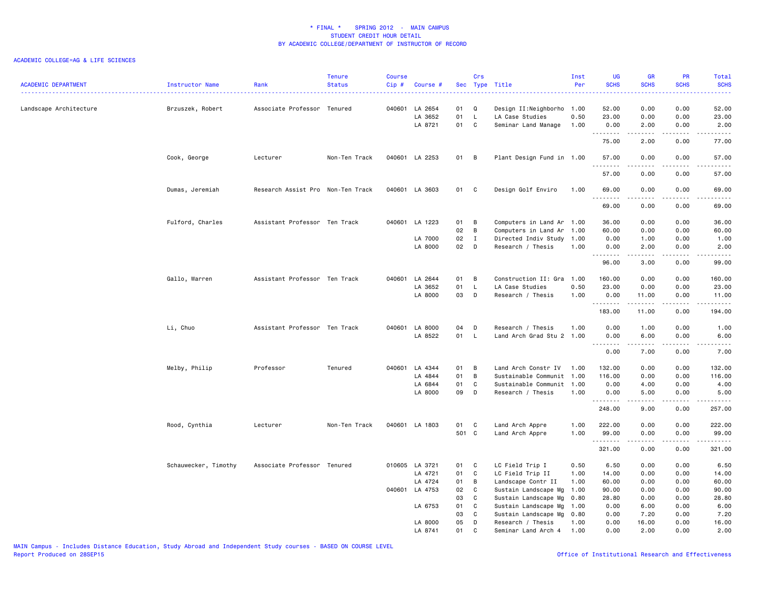| <b>ACADEMIC DEPARTMENT</b> | Instructor Name      | Rank                              | <b>Tenure</b><br><b>Status</b> | <b>Course</b><br>$Cip$ # | Course #                             |                | Crs                               | Sec Type Title                                                      | Inst<br>Per  | <b>UG</b><br><b>SCHS</b> | <b>GR</b><br><b>SCHS</b> | PR<br><b>SCHS</b>     | Total<br><b>SCHS</b><br>22222                                                                                                                                                                                                                                                                                                                                                                                                                                                                    |
|----------------------------|----------------------|-----------------------------------|--------------------------------|--------------------------|--------------------------------------|----------------|-----------------------------------|---------------------------------------------------------------------|--------------|--------------------------|--------------------------|-----------------------|--------------------------------------------------------------------------------------------------------------------------------------------------------------------------------------------------------------------------------------------------------------------------------------------------------------------------------------------------------------------------------------------------------------------------------------------------------------------------------------------------|
| Landscape Architecture     | Brzuszek, Robert     | Associate Professor Tenured       |                                |                          | 040601 LA 2654<br>LA 3652<br>LA 8721 | 01<br>01<br>01 | Q<br>$\mathsf{L}$<br>$\mathbf{C}$ | Design II:Neighborho 1.00<br>LA Case Studies<br>Seminar Land Manage | 0.50<br>1.00 | 52.00<br>23.00<br>0.00   | 0.00<br>0.00<br>2.00     | 0.00<br>0.00<br>0.00  | 52.00<br>23.00<br>2.00                                                                                                                                                                                                                                                                                                                                                                                                                                                                           |
|                            |                      |                                   |                                |                          |                                      |                |                                   |                                                                     |              | .<br>75.00               | .<br>2.00                | $\frac{1}{2}$<br>0.00 | -----<br>77.00                                                                                                                                                                                                                                                                                                                                                                                                                                                                                   |
|                            | Cook, George         | Lecturer                          | Non-Ten Track                  |                          | 040601 LA 2253                       | 01 B           |                                   | Plant Design Fund in 1.00                                           |              | 57.00<br>.               | 0.00                     | 0.00                  | 57.00<br>.                                                                                                                                                                                                                                                                                                                                                                                                                                                                                       |
|                            |                      |                                   |                                |                          |                                      |                |                                   |                                                                     |              | 57.00                    | 0.00                     | 0.00                  | 57.00                                                                                                                                                                                                                                                                                                                                                                                                                                                                                            |
|                            | Dumas, Jeremiah      | Research Assist Pro Non-Ten Track |                                |                          | 040601 LA 3603                       | 01 C           |                                   | Design Golf Enviro                                                  | 1.00         | 69.00<br><u>.</u>        | 0.00<br>.                | 0.00<br>$\frac{1}{2}$ | 69.00<br>$- - - - -$                                                                                                                                                                                                                                                                                                                                                                                                                                                                             |
|                            |                      |                                   |                                |                          |                                      |                |                                   |                                                                     |              | 69.00                    | 0.00                     | 0.00                  | 69.00                                                                                                                                                                                                                                                                                                                                                                                                                                                                                            |
|                            | Fulford, Charles     | Assistant Professor Ten Track     |                                |                          | 040601 LA 1223                       | 01             | B                                 | Computers in Land Ar 1.00                                           |              | 36.00                    | 0.00                     | 0.00                  | 36.00                                                                                                                                                                                                                                                                                                                                                                                                                                                                                            |
|                            |                      |                                   |                                |                          |                                      | 02             | B                                 | Computers in Land Ar                                                | 1.00         | 60.00                    | 0.00                     | 0.00                  | 60.00                                                                                                                                                                                                                                                                                                                                                                                                                                                                                            |
|                            |                      |                                   |                                |                          | LA 7000                              | 02             | $\mathbf{I}$                      | Directed Indiv Study                                                | 1.00         | 0.00                     | 1.00                     | 0.00                  | 1.00                                                                                                                                                                                                                                                                                                                                                                                                                                                                                             |
|                            |                      |                                   |                                |                          | LA 8000                              | 02             | D                                 | Research / Thesis                                                   | 1.00         | 0.00<br>.                | 2.00<br>.                | 0.00<br>.             | 2.00<br>.                                                                                                                                                                                                                                                                                                                                                                                                                                                                                        |
|                            |                      |                                   |                                |                          |                                      |                |                                   |                                                                     |              | 96.00                    | 3.00                     | 0.00                  | 99.00                                                                                                                                                                                                                                                                                                                                                                                                                                                                                            |
|                            | Gallo, Warren        | Assistant Professor Ten Track     |                                |                          | 040601 LA 2644                       | 01             | B                                 | Construction II: Gra                                                | 1.00         | 160.00                   | 0.00                     | 0.00                  | 160.00                                                                                                                                                                                                                                                                                                                                                                                                                                                                                           |
|                            |                      |                                   |                                |                          | LA 3652                              | 01             | $\mathsf{L}$                      | LA Case Studies                                                     | 0.50         | 23.00                    | 0.00                     | 0.00                  | 23.00                                                                                                                                                                                                                                                                                                                                                                                                                                                                                            |
|                            |                      |                                   |                                |                          | LA 8000                              | 03             | D                                 | Research / Thesis                                                   | 1.00         | 0.00<br>.                | 11.00<br>.               | 0.00<br>.             | 11.00<br>.                                                                                                                                                                                                                                                                                                                                                                                                                                                                                       |
|                            |                      |                                   |                                |                          |                                      |                |                                   |                                                                     |              | 183.00                   | 11.00                    | 0.00                  | 194.00                                                                                                                                                                                                                                                                                                                                                                                                                                                                                           |
|                            | Li, Chuo             | Assistant Professor Ten Track     |                                |                          | 040601 LA 8000                       | 04             | D                                 | Research / Thesis                                                   | 1.00         | 0.00                     | 1.00                     | 0.00                  | 1.00                                                                                                                                                                                                                                                                                                                                                                                                                                                                                             |
|                            |                      |                                   |                                |                          | LA 8522                              | 01             | $\mathsf{L}$                      | Land Arch Grad Stu 2 1.00                                           |              | 0.00                     | 6.00                     | 0.00                  | 6.00                                                                                                                                                                                                                                                                                                                                                                                                                                                                                             |
|                            |                      |                                   |                                |                          |                                      |                |                                   |                                                                     |              | <u>.</u><br>0.00         | .<br>7.00                | $\frac{1}{2}$<br>0.00 | .<br>7.00                                                                                                                                                                                                                                                                                                                                                                                                                                                                                        |
|                            | Melby, Philip        | Professor                         | Tenured                        |                          | 040601 LA 4344                       | 01             | B                                 | Land Arch Constr IV                                                 | 1.00         | 132.00                   | 0.00                     | 0.00                  | 132.00                                                                                                                                                                                                                                                                                                                                                                                                                                                                                           |
|                            |                      |                                   |                                |                          | LA 4844                              | 01             | B                                 | Sustainable Communit 1.00                                           |              | 116.00                   | 0.00                     | 0.00                  | 116.00                                                                                                                                                                                                                                                                                                                                                                                                                                                                                           |
|                            |                      |                                   |                                |                          | LA 6844                              | 01             | C                                 | Sustainable Communit                                                | 1.00         | 0.00                     | 4.00                     | 0.00                  | 4.00                                                                                                                                                                                                                                                                                                                                                                                                                                                                                             |
|                            |                      |                                   |                                |                          | LA 8000                              | 09             | D                                 | Research / Thesis                                                   | 1.00         | 0.00                     | 5.00                     | 0.00                  | 5.00                                                                                                                                                                                                                                                                                                                                                                                                                                                                                             |
|                            |                      |                                   |                                |                          |                                      |                |                                   |                                                                     |              | <u>.</u><br>248.00       | 9.00                     | 0.00                  | .<br>257.00                                                                                                                                                                                                                                                                                                                                                                                                                                                                                      |
|                            | Rood, Cynthia        | Lecturer                          | Non-Ten Track                  |                          | 040601 LA 1803                       | 01 C           |                                   | Land Arch Appre                                                     | 1.00         | 222.00                   | 0.00                     | 0.00                  | 222.00                                                                                                                                                                                                                                                                                                                                                                                                                                                                                           |
|                            |                      |                                   |                                |                          |                                      | 501 C          |                                   | Land Arch Appre                                                     | 1.00         | 99.00                    | 0.00                     | 0.00                  | 99.00                                                                                                                                                                                                                                                                                                                                                                                                                                                                                            |
|                            |                      |                                   |                                |                          |                                      |                |                                   |                                                                     |              | .<br>321.00              | .<br>0.00                | .<br>0.00             | $\begin{array}{cccccccccccccc} \multicolumn{2}{c}{} & \multicolumn{2}{c}{} & \multicolumn{2}{c}{} & \multicolumn{2}{c}{} & \multicolumn{2}{c}{} & \multicolumn{2}{c}{} & \multicolumn{2}{c}{} & \multicolumn{2}{c}{} & \multicolumn{2}{c}{} & \multicolumn{2}{c}{} & \multicolumn{2}{c}{} & \multicolumn{2}{c}{} & \multicolumn{2}{c}{} & \multicolumn{2}{c}{} & \multicolumn{2}{c}{} & \multicolumn{2}{c}{} & \multicolumn{2}{c}{} & \multicolumn{2}{c}{} & \multicolumn{2}{c}{} & \$<br>321.00 |
|                            | Schauwecker, Timothy | Associate Professor Tenured       |                                |                          | 010605 LA 3721                       | 01             | C                                 | LC Field Trip I                                                     | 0.50         | 6.50                     | 0.00                     | 0.00                  | 6.50                                                                                                                                                                                                                                                                                                                                                                                                                                                                                             |
|                            |                      |                                   |                                |                          | LA 4721                              | 01             | C                                 | LC Field Trip II                                                    | 1.00         | 14.00                    | 0.00                     | 0.00                  | 14.00                                                                                                                                                                                                                                                                                                                                                                                                                                                                                            |
|                            |                      |                                   |                                |                          | LA 4724                              | 01             | B                                 | Landscape Contr II                                                  | 1.00         | 60.00                    | 0.00                     | 0.00                  | 60.00                                                                                                                                                                                                                                                                                                                                                                                                                                                                                            |
|                            |                      |                                   |                                |                          | 040601 LA 4753                       | 02             | C                                 | Sustain Landscape Mg                                                | 1.00         | 90.00                    | 0.00                     | 0.00                  | 90.00                                                                                                                                                                                                                                                                                                                                                                                                                                                                                            |
|                            |                      |                                   |                                |                          |                                      | 03             | C                                 | Sustain Landscape Mg                                                | 0.80         | 28.80                    | 0.00                     | 0.00                  | 28.80                                                                                                                                                                                                                                                                                                                                                                                                                                                                                            |
|                            |                      |                                   |                                |                          | LA 6753                              | 01             | C                                 | Sustain Landscape Mg                                                | 1.00         | 0.00                     | 6.00                     | 0.00                  | 6.00                                                                                                                                                                                                                                                                                                                                                                                                                                                                                             |
|                            |                      |                                   |                                |                          |                                      | 03             | C                                 | Sustain Landscape Mg                                                | 0.80         | 0.00                     | 7.20                     | 0.00                  | 7.20                                                                                                                                                                                                                                                                                                                                                                                                                                                                                             |
|                            |                      |                                   |                                |                          | LA 8000                              | 05             | D                                 | Research / Thesis                                                   | 1.00         | 0.00                     | 16.00                    | 0.00                  | 16.00                                                                                                                                                                                                                                                                                                                                                                                                                                                                                            |
|                            |                      |                                   |                                |                          | LA 8741                              | 01             | $\mathbf{C}$                      | Seminar Land Arch 4                                                 | 1.00         | 0.00                     | 2.00                     | 0.00                  | 2.00                                                                                                                                                                                                                                                                                                                                                                                                                                                                                             |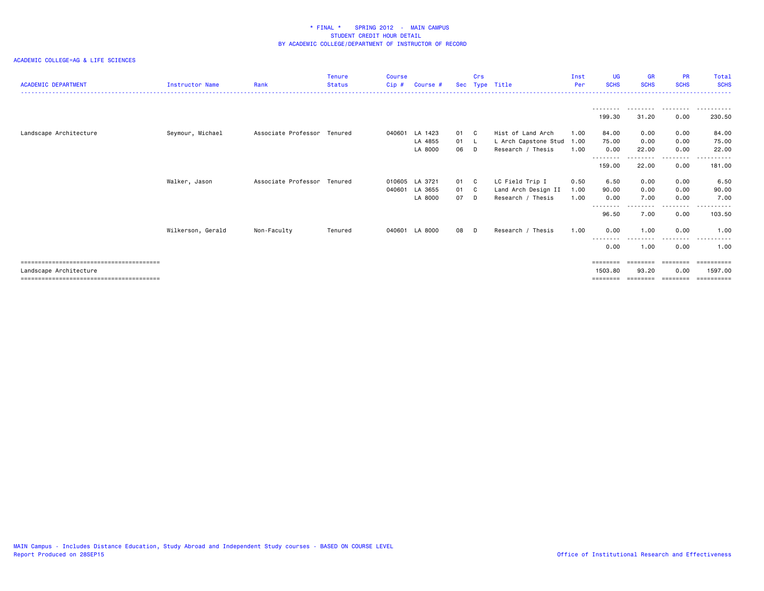| <b>ACADEMIC DEPARTMENT</b> | Instructor Name   | Rank                | <b>Tenure</b><br><b>Status</b> | <b>Course</b><br>Cip# | Course # |      | Crs | Sec Type Title       | Inst<br>Per | <b>UG</b><br><b>SCHS</b> | <b>GR</b><br><b>SCHS</b>  | <b>PR</b><br><b>SCHS</b> | Total<br><b>SCHS</b> |
|----------------------------|-------------------|---------------------|--------------------------------|-----------------------|----------|------|-----|----------------------|-------------|--------------------------|---------------------------|--------------------------|----------------------|
|                            |                   |                     |                                |                       |          |      |     |                      |             |                          |                           |                          |                      |
|                            |                   |                     |                                |                       |          |      |     |                      |             | 199.30                   | 31.20                     | 0.00                     | 230.50               |
| Landscape Architecture     | Seymour, Michael  | Associate Professor | Tenured                        | 040601                | LA 1423  | 01 C |     | Hist of Land Arch    | 1.00        | 84.00                    | 0.00                      | 0.00                     | 84.00                |
|                            |                   |                     |                                |                       | LA 4855  | 01 L |     | L Arch Capstone Stud | 1.00        | 75.00                    | 0.00                      | 0.00                     | 75.00                |
|                            |                   |                     |                                |                       | LA 8000  | 06   | D   | Research / Thesis    | 1.00        | 0.00<br>- - - - - - - -  | 22.00                     | 0.00<br>- - - - - - - -  | 22.00                |
|                            |                   |                     |                                |                       |          |      |     |                      |             | 159.00                   | 22.00                     | 0.00                     | 181.00               |
|                            | Walker, Jason     | Associate Professor | Tenured                        | 010605                | LA 3721  | 01 C |     | LC Field Trip I      | 0.50        | 6.50                     | 0.00                      | 0.00                     | 6.50                 |
|                            |                   |                     |                                | 040601                | LA 3655  | 01 C |     | Land Arch Design II  | 1.00        | 90.00                    | 0.00                      | 0.00                     | 90.00                |
|                            |                   |                     |                                |                       | LA 8000  | 07   | D.  | Research / Thesis    | 1.00        | 0.00                     | 7.00                      | 0.00                     | 7.00                 |
|                            |                   |                     |                                |                       |          |      |     |                      |             | --------<br>96.50        | 7.00                      | $\cdots$<br>0.00         | .<br>103.50          |
|                            | Wilkerson, Gerald | Non-Faculty         | Tenured                        | 040601                | LA 8000  | 08   | D.  | Research / Thesis    | 1.00        | 0.00<br>--------         | 1.00<br>- - - - - - - - - | 0.00<br>---------        | 1.00<br>.            |
|                            |                   |                     |                                |                       |          |      |     |                      |             | 0.00                     | 1.00                      | 0.00                     | 1.00                 |
|                            |                   |                     |                                |                       |          |      |     |                      |             | ========                 | ========                  |                          |                      |
| Landscape Architecture     |                   |                     |                                |                       |          |      |     |                      |             | 1503.80                  | 93.20                     | 0.00                     | 1597.00              |
|                            |                   |                     |                                |                       |          |      |     |                      |             | ========                 | ========                  | ---------                | ==========           |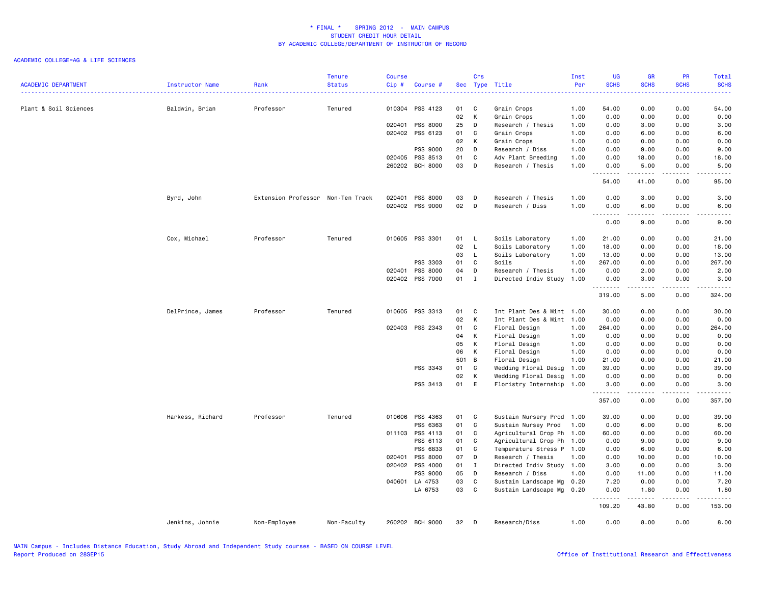|                            |                  |                                   | <b>Tenure</b> | Course |                 |       | Crs          |                           | Inst | UG          | <b>GR</b>   | PR                           | Total                  |
|----------------------------|------------------|-----------------------------------|---------------|--------|-----------------|-------|--------------|---------------------------|------|-------------|-------------|------------------------------|------------------------|
| <b>ACADEMIC DEPARTMENT</b> | Instructor Name  | Rank                              | <b>Status</b> | Cip#   | Course #        |       |              | Sec Type Title            | Per  | <b>SCHS</b> | <b>SCHS</b> | <b>SCHS</b>                  | <b>SCHS</b>            |
|                            |                  |                                   |               |        |                 |       |              |                           |      |             |             |                              |                        |
| Plant & Soil Sciences      | Baldwin, Brian   | Professor                         | Tenured       | 010304 | PSS 4123        | 01    | C            | Grain Crops               | 1.00 | 54.00       | 0.00        | 0.00                         | 54.00                  |
|                            |                  |                                   |               |        |                 | 02    | K            | Grain Crops               | 1.00 | 0.00        | 0.00        | 0.00                         | 0.00                   |
|                            |                  |                                   |               | 020401 | PSS 8000        | 25    | D            | Research / Thesis         | 1.00 | 0.00        | 3.00        | 0.00                         | 3.00                   |
|                            |                  |                                   |               | 020402 | PSS 6123        | 01    | C            | Grain Crops               | 1.00 | 0.00        | 6.00        | 0.00                         | 6.00                   |
|                            |                  |                                   |               |        |                 | 02    | K            | Grain Crops               | 1.00 | 0.00        | 0.00        | 0.00                         | 0.00                   |
|                            |                  |                                   |               |        | PSS 9000        | 20    | D            | Research / Diss           | 1.00 | 0.00        | 9.00        | 0.00                         | 9.00                   |
|                            |                  |                                   |               | 020405 | PSS 8513        | 01    | C            | Adv Plant Breeding        | 1.00 | 0.00        | 18.00       | 0.00                         | 18.00                  |
|                            |                  |                                   |               |        | 260202 BCH 8000 | 03    | D            | Research / Thesis         | 1.00 | 0.00        | 5.00        | 0.00                         | 5.00                   |
|                            |                  |                                   |               |        |                 |       |              |                           |      | .<br>54.00  | .<br>41.00  | .<br>0.00                    | $\frac{1}{2}$<br>95.00 |
|                            | Byrd, John       | Extension Professor Non-Ten Track |               | 020401 | PSS 8000        | 03    | D            | Research / Thesis         | 1.00 | 0.00        | 3.00        | 0.00                         | 3.00                   |
|                            |                  |                                   |               |        | 020402 PSS 9000 | 02    | D            | Research / Diss           | 1.00 | 0.00        | 6.00        | 0.00                         | 6.00                   |
|                            |                  |                                   |               |        |                 |       |              |                           |      | .<br>0.00   | .<br>9.00   | .<br>0.00                    | -----<br>9.00          |
|                            | Cox, Michael     | Professor                         | Tenured       |        | 010605 PSS 3301 | 01 L  |              | Soils Laboratory          | 1.00 | 21.00       | 0.00        | 0.00                         | 21.00                  |
|                            |                  |                                   |               |        |                 | 02    | $\mathsf{L}$ | Soils Laboratory          | 1.00 | 18.00       | 0.00        | 0.00                         | 18.00                  |
|                            |                  |                                   |               |        |                 | 03    | $\mathsf{L}$ | Soils Laboratory          | 1.00 | 13.00       | 0.00        | 0.00                         | 13.00                  |
|                            |                  |                                   |               |        | PSS 3303        | 01    | $\mathbf{C}$ | Soils                     | 1.00 | 267.00      | 0.00        | 0.00                         | 267.00                 |
|                            |                  |                                   |               | 020401 | PSS 8000        | 04    | D            | Research / Thesis         | 1.00 | 0.00        | 2.00        | 0.00                         | 2.00                   |
|                            |                  |                                   |               |        | 020402 PSS 7000 | 01    | $\mathbf{I}$ | Directed Indiv Study      | 1.00 | 0.00        | 3.00        | 0.00                         | 3.00                   |
|                            |                  |                                   |               |        |                 |       |              |                           |      | .<br>319.00 | .<br>5.00   | $\sim$ $\sim$ $\sim$<br>0.00 | .<br>324.00            |
|                            | DelPrince, James | Professor                         | Tenured       |        | 010605 PSS 3313 | 01    | $\mathbf{C}$ | Int Plant Des & Mint 1.00 |      | 30.00       | 0.00        | 0.00                         | 30.00                  |
|                            |                  |                                   |               |        |                 | 02    | K            | Int Plant Des & Mint 1.00 |      | 0.00        | 0.00        | 0.00                         | 0.00                   |
|                            |                  |                                   |               | 020403 | PSS 2343        | 01    | C            | Floral Design             | 1.00 | 264.00      | 0.00        | 0.00                         | 264.00                 |
|                            |                  |                                   |               |        |                 | 04    | К            | Floral Design             | 1.00 | 0.00        | 0.00        | 0.00                         | 0.00                   |
|                            |                  |                                   |               |        |                 | 05    | K            | Floral Design             | 1.00 | 0.00        | 0.00        | 0.00                         | 0.00                   |
|                            |                  |                                   |               |        |                 | 06    | K            | Floral Design             | 1.00 | 0.00        | 0.00        | 0.00                         | 0.00                   |
|                            |                  |                                   |               |        |                 | 501 B |              | Floral Design             | 1.00 | 21.00       | 0.00        | 0.00                         | 21.00                  |
|                            |                  |                                   |               |        | PSS 3343        | 01    | $\mathbf{C}$ | Wedding Floral Desig      | 1.00 | 39.00       | 0.00        | 0.00                         | 39.00                  |
|                            |                  |                                   |               |        |                 | 02    | K            | Wedding Floral Desig      | 1.00 | 0.00        | 0.00        | 0.00                         | 0.00                   |
|                            |                  |                                   |               |        | PSS 3413        | 01    | E            | Floristry Internship 1.00 |      | 3.00        | 0.00        | 0.00                         | 3.00                   |
|                            |                  |                                   |               |        |                 |       |              |                           |      | .<br>357.00 | .<br>0.00   | .<br>0.00                    | .<br>357.00            |
|                            | Harkess, Richard | Professor                         | Tenured       | 010606 | PSS 4363        | 01 C  |              | Sustain Nursery Prod 1.00 |      | 39.00       | 0.00        | 0.00                         | 39.00                  |
|                            |                  |                                   |               |        | PSS 6363        | 01    | $\mathbf c$  | Sustain Nursey Prod       | 1.00 | 0.00        | 6.00        | 0.00                         | 6.00                   |
|                            |                  |                                   |               | 011103 | PSS 4113        | 01    | C            | Agricultural Crop Ph 1.00 |      | 60.00       | 0.00        | 0.00                         | 60.00                  |
|                            |                  |                                   |               |        | PSS 6113        | 01    | C            | Agricultural Crop Ph 1.00 |      | 0.00        | 9.00        | 0.00                         | 9.00                   |
|                            |                  |                                   |               |        | PSS 6833        | 01    | C            | Temperature Stress P 1.00 |      | 0.00        | 6.00        | 0.00                         | 6.00                   |
|                            |                  |                                   |               | 020401 | PSS 8000        | 07    | D            | Research / Thesis         | 1.00 | 0.00        | 10.00       | 0.00                         | 10.00                  |
|                            |                  |                                   |               | 020402 | PSS 4000        | 01 I  |              | Directed Indiv Study 1.00 |      | 3.00        | 0.00        | 0.00                         | 3.00                   |
|                            |                  |                                   |               |        | PSS 9000        | 05    | D            | Research / Diss           | 1.00 | 0.00        | 11.00       | 0.00                         | 11.00                  |
|                            |                  |                                   |               | 040601 | LA 4753         | 03    | C            | Sustain Landscape Mg      | 0.20 | 7.20        | 0.00        | 0.00                         | 7.20                   |
|                            |                  |                                   |               |        | LA 6753         | 03    | C            | Sustain Landscape Mg 0.20 |      | 0.00        | 1.80        | 0.00                         | 1.80                   |
|                            |                  |                                   |               |        |                 |       |              |                           |      | .<br>109.20 | .<br>43.80  | .<br>0.00                    | .<br>153.00            |
|                            |                  |                                   |               |        |                 |       |              |                           |      |             |             |                              |                        |
|                            | Jenkins, Johnie  | Non-Employee                      | Non-Faculty   |        | 260202 BCH 9000 | 32    | $\mathsf{D}$ | Research/Diss             | 1.00 | 0.00        | 8.00        | 0.00                         | 8.00                   |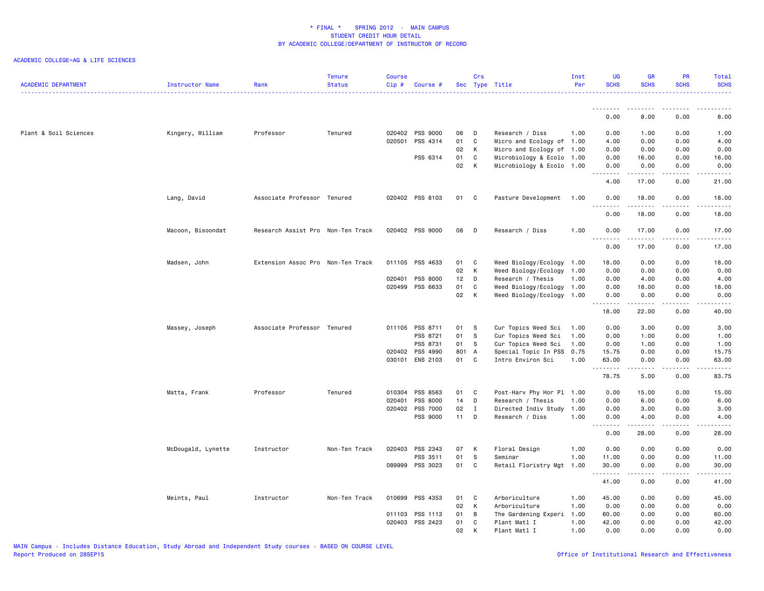| <b>ACADEMIC DEPARTMENT</b> | Instructor Name    | Rank                              | <b>Tenure</b><br><b>Status</b> | <b>Course</b><br>$Cip \#$ | Course #        |          | Crs          | Sec Type Title                                         | Inst<br>Per | <b>UG</b><br><b>SCHS</b>                                                                                                                                                                                                                                                                                                                                                                                                                                                               | <b>GR</b><br><b>SCHS</b>            | <b>PR</b><br><b>SCHS</b> | Total<br><b>SCHS</b><br>.                                                                                                                            |
|----------------------------|--------------------|-----------------------------------|--------------------------------|---------------------------|-----------------|----------|--------------|--------------------------------------------------------|-------------|----------------------------------------------------------------------------------------------------------------------------------------------------------------------------------------------------------------------------------------------------------------------------------------------------------------------------------------------------------------------------------------------------------------------------------------------------------------------------------------|-------------------------------------|--------------------------|------------------------------------------------------------------------------------------------------------------------------------------------------|
|                            |                    |                                   |                                |                           |                 |          |              |                                                        |             | .<br>0.00                                                                                                                                                                                                                                                                                                                                                                                                                                                                              | 8.00                                | 0.00                     | 8.00                                                                                                                                                 |
|                            |                    |                                   |                                |                           |                 |          |              |                                                        |             |                                                                                                                                                                                                                                                                                                                                                                                                                                                                                        |                                     |                          |                                                                                                                                                      |
| Plant & Soil Sciences      | Kingery, William   | Professor                         | Tenured                        |                           | 020402 PSS 9000 | 06       | D            | Research / Diss                                        | 1.00        | 0.00                                                                                                                                                                                                                                                                                                                                                                                                                                                                                   | 1.00                                | 0.00                     | 1.00                                                                                                                                                 |
|                            |                    |                                   |                                | 020501                    | PSS 4314        | 01       | $\mathbf c$  | Micro and Ecology of 1.00                              |             | 4.00                                                                                                                                                                                                                                                                                                                                                                                                                                                                                   | 0.00                                | 0.00                     | 4.00                                                                                                                                                 |
|                            |                    |                                   |                                |                           | PSS 6314        | 02<br>01 | K<br>C       | Micro and Ecology of 1.00<br>Microbiology & Ecolo 1.00 |             | 0.00<br>0.00                                                                                                                                                                                                                                                                                                                                                                                                                                                                           | 0.00<br>16.00                       | 0.00<br>0.00             | 0.00<br>16.00                                                                                                                                        |
|                            |                    |                                   |                                |                           |                 | 02       | К            | Microbiology & Ecolo 1.00                              |             | 0.00                                                                                                                                                                                                                                                                                                                                                                                                                                                                                   | 0.00                                | 0.00                     | 0.00                                                                                                                                                 |
|                            |                    |                                   |                                |                           |                 |          |              |                                                        |             | .                                                                                                                                                                                                                                                                                                                                                                                                                                                                                      | .                                   | د د د د                  | $\frac{1}{2} \left( \frac{1}{2} \right) \left( \frac{1}{2} \right) \left( \frac{1}{2} \right) \left( \frac{1}{2} \right) \left( \frac{1}{2} \right)$ |
|                            |                    |                                   |                                |                           |                 |          |              |                                                        |             | 4.00                                                                                                                                                                                                                                                                                                                                                                                                                                                                                   | 17.00                               | 0.00                     | 21.00                                                                                                                                                |
|                            | Lang, David        | Associate Professor Tenured       |                                |                           | 020402 PSS 8103 | 01 C     |              | Pasture Development 1.00                               |             | 0.00<br><u>.</u>                                                                                                                                                                                                                                                                                                                                                                                                                                                                       | 18.00<br>.                          | 0.00<br>.                | 18.00<br>.                                                                                                                                           |
|                            |                    |                                   |                                |                           |                 |          |              |                                                        |             | 0.00                                                                                                                                                                                                                                                                                                                                                                                                                                                                                   | 18.00                               | 0.00                     | 18.00                                                                                                                                                |
|                            | Macoon, Bisoondat  | Research Assist Pro Non-Ten Track |                                |                           | 020402 PSS 9000 | 08       | <b>D</b>     | Research / Diss                                        | 1.00        | 0.00                                                                                                                                                                                                                                                                                                                                                                                                                                                                                   | 17.00                               | 0.00                     | 17.00                                                                                                                                                |
|                            |                    |                                   |                                |                           |                 |          |              |                                                        |             | .<br>0.00                                                                                                                                                                                                                                                                                                                                                                                                                                                                              | .<br>17.00                          | .<br>0.00                | .<br>17.00                                                                                                                                           |
|                            |                    |                                   |                                |                           |                 |          |              |                                                        |             |                                                                                                                                                                                                                                                                                                                                                                                                                                                                                        |                                     |                          |                                                                                                                                                      |
|                            | Madsen, John       | Extension Assoc Pro Non-Ten Track |                                |                           | 011105 PSS 4633 | 01<br>02 | C<br>K       | Weed Biology/Ecology 1.00<br>Weed Biology/Ecology 1.00 |             | 18.00<br>0.00                                                                                                                                                                                                                                                                                                                                                                                                                                                                          | 0.00<br>0.00                        | 0.00<br>0.00             | 18.00<br>0.00                                                                                                                                        |
|                            |                    |                                   |                                |                           | 020401 PSS 8000 | 12       | D            | Research / Thesis                                      | 1.00        | 0.00                                                                                                                                                                                                                                                                                                                                                                                                                                                                                   | 4.00                                | 0.00                     | 4.00                                                                                                                                                 |
|                            |                    |                                   |                                |                           | 020499 PSS 6633 | 01       | C            | Weed Biology/Ecology 1.00                              |             | 0.00                                                                                                                                                                                                                                                                                                                                                                                                                                                                                   | 18.00                               | 0.00                     | 18.00                                                                                                                                                |
|                            |                    |                                   |                                |                           |                 | 02       | K            | Weed Biology/Ecology 1.00                              |             | 0.00                                                                                                                                                                                                                                                                                                                                                                                                                                                                                   | 0.00                                | 0.00                     | 0.00                                                                                                                                                 |
|                            |                    |                                   |                                |                           |                 |          |              |                                                        |             | $\begin{array}{cccccccccccccc} \multicolumn{2}{c}{} & \multicolumn{2}{c}{} & \multicolumn{2}{c}{} & \multicolumn{2}{c}{} & \multicolumn{2}{c}{} & \multicolumn{2}{c}{} & \multicolumn{2}{c}{} & \multicolumn{2}{c}{} & \multicolumn{2}{c}{} & \multicolumn{2}{c}{} & \multicolumn{2}{c}{} & \multicolumn{2}{c}{} & \multicolumn{2}{c}{} & \multicolumn{2}{c}{} & \multicolumn{2}{c}{} & \multicolumn{2}{c}{} & \multicolumn{2}{c}{} & \multicolumn{2}{c}{} & \multicolumn{2}{c}{} & \$ | الداعات عامات                       | .                        | $\frac{1}{2} \left( \frac{1}{2} \right) \left( \frac{1}{2} \right) \left( \frac{1}{2} \right) \left( \frac{1}{2} \right) \left( \frac{1}{2} \right)$ |
|                            |                    |                                   |                                |                           |                 |          |              |                                                        |             | 18.00                                                                                                                                                                                                                                                                                                                                                                                                                                                                                  | 22.00                               | 0.00                     | 40.00                                                                                                                                                |
|                            | Massey, Joseph     | Associate Professor Tenured       |                                |                           | 011105 PSS 8711 | 01       | <b>S</b>     | Cur Topics Weed Sci                                    | 1.00        | 0.00                                                                                                                                                                                                                                                                                                                                                                                                                                                                                   | 3.00                                | 0.00                     | 3.00                                                                                                                                                 |
|                            |                    |                                   |                                |                           | PSS 8721        | 01       | <b>S</b>     | Cur Topics Weed Sci                                    | 1.00        | 0.00                                                                                                                                                                                                                                                                                                                                                                                                                                                                                   | 1.00                                | 0.00                     | 1.00                                                                                                                                                 |
|                            |                    |                                   |                                |                           | PSS 8731        | 01       | s.           | Cur Topics Weed Sci                                    | 1.00        | 0.00                                                                                                                                                                                                                                                                                                                                                                                                                                                                                   | 1.00                                | 0.00                     | 1.00                                                                                                                                                 |
|                            |                    |                                   |                                |                           | 020402 PSS 4990 | 801 A    |              | Special Topic In PSS                                   | 0.75        | 15.75                                                                                                                                                                                                                                                                                                                                                                                                                                                                                  | 0.00                                | 0.00                     | 15.75                                                                                                                                                |
|                            |                    |                                   |                                |                           | 030101 ENS 2103 | 01       | C            | Intro Environ Sci                                      | 1.00        | 63.00<br>.                                                                                                                                                                                                                                                                                                                                                                                                                                                                             | 0.00<br>$\frac{1}{2}$               | 0.00<br>.                | 63.00<br>د د د د د                                                                                                                                   |
|                            |                    |                                   |                                |                           |                 |          |              |                                                        |             | 78.75                                                                                                                                                                                                                                                                                                                                                                                                                                                                                  | 5.00                                | 0.00                     | 83.75                                                                                                                                                |
|                            | Matta, Frank       | Professor                         | Tenured                        | 010304                    | PSS 8563        | 01       | C            | Post-Harv Phy Hor Pl 1.00                              |             | 0.00                                                                                                                                                                                                                                                                                                                                                                                                                                                                                   | 15.00                               | 0.00                     | 15.00                                                                                                                                                |
|                            |                    |                                   |                                | 020401                    | PSS 8000        | 14       | D            | Research / Thesis                                      | 1.00        | 0.00                                                                                                                                                                                                                                                                                                                                                                                                                                                                                   | 6.00                                | 0.00                     | 6.00                                                                                                                                                 |
|                            |                    |                                   |                                |                           | 020402 PSS 7000 | 02       | $\mathbf{I}$ | Directed Indiv Study                                   | 1.00        | 0.00                                                                                                                                                                                                                                                                                                                                                                                                                                                                                   | 3.00                                | 0.00                     | 3.00                                                                                                                                                 |
|                            |                    |                                   |                                |                           | PSS 9000        | 11       | D            | Research / Diss                                        | 1.00        | 0.00<br>.                                                                                                                                                                                                                                                                                                                                                                                                                                                                              | 4.00<br><b>.</b>                    | 0.00<br>22222            | 4.00<br>22222                                                                                                                                        |
|                            |                    |                                   |                                |                           |                 |          |              |                                                        |             | 0.00                                                                                                                                                                                                                                                                                                                                                                                                                                                                                   | 28.00                               | 0.00                     | 28.00                                                                                                                                                |
|                            | McDougald, Lynette | Instructor                        | Non-Ten Track                  |                           | 020403 PSS 2343 | 07       | K            | Floral Design                                          | 1.00        | 0.00                                                                                                                                                                                                                                                                                                                                                                                                                                                                                   | 0.00                                | 0.00                     | 0.00                                                                                                                                                 |
|                            |                    |                                   |                                |                           | PSS 3511        | 01       | s            | Seminar                                                | 1.00        | 11.00                                                                                                                                                                                                                                                                                                                                                                                                                                                                                  | 0.00                                | 0.00                     | 11.00                                                                                                                                                |
|                            |                    |                                   |                                |                           | 089999 PSS 3023 | 01       | C            | Retail Floristry Mgt                                   | 1.00        | 30.00<br>.                                                                                                                                                                                                                                                                                                                                                                                                                                                                             | 0.00<br>$\sim$ $\sim$ $\sim$ $\sim$ | 0.00<br>.                | 30.00<br>.                                                                                                                                           |
|                            |                    |                                   |                                |                           |                 |          |              |                                                        |             | 41.00                                                                                                                                                                                                                                                                                                                                                                                                                                                                                  | 0.00                                | 0.00                     | 41.00                                                                                                                                                |
|                            | Meints, Paul       | Instructor                        | Non-Ten Track                  | 010699                    | PSS 4353        | 01       | $\mathbf{C}$ | Arboriculture                                          | 1.00        | 45.00                                                                                                                                                                                                                                                                                                                                                                                                                                                                                  | 0.00                                | 0.00                     | 45.00                                                                                                                                                |
|                            |                    |                                   |                                |                           |                 | 02       | K            | Arboriculture                                          | 1.00        | 0.00                                                                                                                                                                                                                                                                                                                                                                                                                                                                                   | 0.00                                | 0.00                     | 0.00                                                                                                                                                 |
|                            |                    |                                   |                                |                           | 011103 PSS 1113 | 01       | B            | The Gardening Experi                                   | 1.00        | 60.00                                                                                                                                                                                                                                                                                                                                                                                                                                                                                  | 0.00                                | 0.00                     | 60.00                                                                                                                                                |
|                            |                    |                                   |                                |                           | 020403 PSS 2423 | 01       | C.           | Plant Matl I                                           | 1.00        | 42.00                                                                                                                                                                                                                                                                                                                                                                                                                                                                                  | 0.00                                | 0.00                     | 42.00                                                                                                                                                |
|                            |                    |                                   |                                |                           |                 | 02       | K            | Plant Matl I                                           | 1.00        | 0.00                                                                                                                                                                                                                                                                                                                                                                                                                                                                                   | 0.00                                | 0.00                     | 0.00                                                                                                                                                 |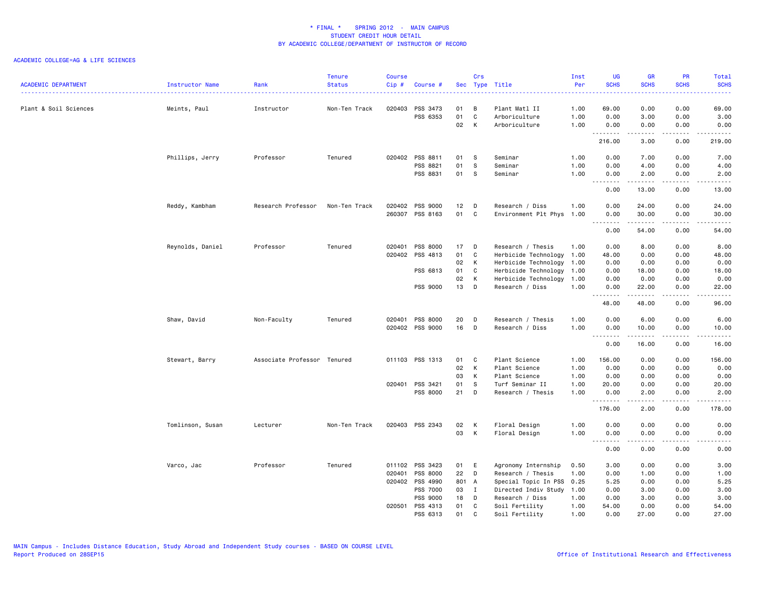| <b>ACADEMIC DEPARTMENT</b> | Instructor Name  | Rank                        | <b>Tenure</b><br><b>Status</b> | <b>Course</b><br>$Cip$ # | Course #             |       | Crs            | Sec Type Title                 | Inst<br>Per  | <b>UG</b><br><b>SCHS</b> | <b>GR</b><br><b>SCHS</b>                                                                                                                                      | PR<br><b>SCHS</b>            | Total<br><b>SCHS</b>                                                                                                                                           |
|----------------------------|------------------|-----------------------------|--------------------------------|--------------------------|----------------------|-------|----------------|--------------------------------|--------------|--------------------------|---------------------------------------------------------------------------------------------------------------------------------------------------------------|------------------------------|----------------------------------------------------------------------------------------------------------------------------------------------------------------|
|                            |                  |                             | Non-Ten Track                  | 020403                   |                      | 01    | B              |                                | .            |                          |                                                                                                                                                               |                              | 22222                                                                                                                                                          |
| Plant & Soil Sciences      | Meints, Paul     | Instructor                  |                                |                          | PSS 3473<br>PSS 6353 | 01    | $\mathbf c$    | Plant Matl II<br>Arboriculture | 1.00<br>1.00 | 69.00<br>0.00            | 0.00<br>3.00                                                                                                                                                  | 0.00<br>0.00                 | 69.00<br>3.00                                                                                                                                                  |
|                            |                  |                             |                                |                          |                      | 02    | К              | Arboriculture                  | 1.00         | 0.00                     | 0.00                                                                                                                                                          | 0.00                         | 0.00                                                                                                                                                           |
|                            |                  |                             |                                |                          |                      |       |                |                                |              | .<br>216.00              | .<br>3.00                                                                                                                                                     | .<br>0.00                    | 219.00                                                                                                                                                         |
|                            | Phillips, Jerry  | Professor                   | Tenured                        |                          | 020402 PSS 8811      | 01    | <b>S</b>       | Seminar                        | 1.00         | 0.00                     | 7.00                                                                                                                                                          | 0.00                         | 7.00                                                                                                                                                           |
|                            |                  |                             |                                |                          | PSS 8821             | 01    | s              | Seminar                        | 1.00         | 0.00                     | 4.00                                                                                                                                                          | 0.00                         | 4.00                                                                                                                                                           |
|                            |                  |                             |                                |                          | PSS 8831             | 01    | S              | Seminar                        | 1.00         | 0.00                     | 2.00                                                                                                                                                          | 0.00<br>.                    | 2.00<br>.                                                                                                                                                      |
|                            |                  |                             |                                |                          |                      |       |                |                                |              | 0.00                     | 13.00                                                                                                                                                         | 0.00                         | 13.00                                                                                                                                                          |
|                            | Reddy, Kambham   | Research Professor          | Non-Ten Track                  | 020402                   | PSS 9000             | 12    | D              | Research / Diss                | 1.00         | 0.00                     | 24.00                                                                                                                                                         | 0.00                         | 24.00                                                                                                                                                          |
|                            |                  |                             |                                |                          | 260307 PSS 8163      | 01    | C              | Environment Plt Phys           | 1.00         | 0.00                     | 30.00                                                                                                                                                         | 0.00                         | 30.00                                                                                                                                                          |
|                            |                  |                             |                                |                          |                      |       |                |                                |              | .<br>0.00                | .<br>54.00                                                                                                                                                    | .<br>0.00                    | .<br>54.00                                                                                                                                                     |
|                            | Reynolds, Daniel | Professor                   | Tenured                        |                          | 020401 PSS 8000      | 17 D  |                | Research / Thesis              | 1.00         | 0.00                     | 8.00                                                                                                                                                          | 0.00                         | 8.00                                                                                                                                                           |
|                            |                  |                             |                                | 020402                   | PSS 4813             | 01    | C              | Herbicide Technology           | 1.00         | 48.00                    | 0.00                                                                                                                                                          | 0.00                         | 48.00                                                                                                                                                          |
|                            |                  |                             |                                |                          |                      | 02    | К              | Herbicide Technology 1.00      |              | 0.00                     | 0.00                                                                                                                                                          | 0.00                         | 0.00                                                                                                                                                           |
|                            |                  |                             |                                |                          | PSS 6813             | 01    | C              | Herbicide Technology           | 1.00         | 0.00                     | 18.00                                                                                                                                                         | 0.00                         | 18.00                                                                                                                                                          |
|                            |                  |                             |                                |                          |                      | 02    | K              | Herbicide Technology           | 1.00         | 0.00                     | 0.00                                                                                                                                                          | 0.00                         | 0.00                                                                                                                                                           |
|                            |                  |                             |                                |                          | PSS 9000             | 13    | D              | Research / Diss                | 1.00         | 0.00                     | 22.00                                                                                                                                                         | 0.00                         | 22.00                                                                                                                                                          |
|                            |                  |                             |                                |                          |                      |       |                |                                |              | .<br>48.00               | $\frac{1}{2} \left( \frac{1}{2} \right) \left( \frac{1}{2} \right) \left( \frac{1}{2} \right) \left( \frac{1}{2} \right) \left( \frac{1}{2} \right)$<br>48.00 | $\sim$ $\sim$ $\sim$<br>0.00 | .<br>96.00                                                                                                                                                     |
|                            | Shaw, David      | Non-Faculty                 | Tenured                        |                          | 020401 PSS 8000      | 20    | D              | Research / Thesis              | 1.00         | 0.00                     | 6.00                                                                                                                                                          | 0.00                         | 6.00                                                                                                                                                           |
|                            |                  |                             |                                |                          | 020402 PSS 9000      | 16    | D              | Research / Diss                | 1.00         | 0.00                     | 10.00                                                                                                                                                         | 0.00                         | 10.00                                                                                                                                                          |
|                            |                  |                             |                                |                          |                      |       |                |                                |              | .<br>0.00                | .<br>16.00                                                                                                                                                    | .<br>0.00                    | .<br>16.00                                                                                                                                                     |
|                            | Stewart, Barry   | Associate Professor Tenured |                                |                          | 011103 PSS 1313      | 01    | C              | Plant Science                  | 1.00         | 156.00                   | 0.00                                                                                                                                                          | 0.00                         | 156.00                                                                                                                                                         |
|                            |                  |                             |                                |                          |                      | 02    | K              | Plant Science                  | 1.00         | 0.00                     | 0.00                                                                                                                                                          | 0.00                         | 0.00                                                                                                                                                           |
|                            |                  |                             |                                |                          |                      | 03    | К              | Plant Science                  | 1.00         | 0.00                     | 0.00                                                                                                                                                          | 0.00                         | 0.00                                                                                                                                                           |
|                            |                  |                             |                                |                          | 020401 PSS 3421      | 01    | s              | Turf Seminar II                | 1.00         | 20.00                    | 0.00                                                                                                                                                          | 0.00                         | 20.00                                                                                                                                                          |
|                            |                  |                             |                                |                          | PSS 8000             | 21    | D              | Research / Thesis              | 1.00         | 0.00                     | 2.00                                                                                                                                                          | 0.00                         | 2.00                                                                                                                                                           |
|                            |                  |                             |                                |                          |                      |       |                |                                |              | <u>.</u><br>176.00       | 2.00                                                                                                                                                          | 0.00                         | $\frac{1}{2} \left( \frac{1}{2} \right) \left( \frac{1}{2} \right) \left( \frac{1}{2} \right) \left( \frac{1}{2} \right) \left( \frac{1}{2} \right)$<br>178.00 |
|                            | Tomlinson, Susan | Lecturer                    | Non-Ten Track                  |                          | 020403 PSS 2343      | 02    | K              | Floral Design                  | 1.00         | 0.00                     | 0.00                                                                                                                                                          | 0.00                         | 0.00                                                                                                                                                           |
|                            |                  |                             |                                |                          |                      | 03    | K              | Floral Design                  | 1.00         | 0.00                     | 0.00                                                                                                                                                          | 0.00                         | 0.00                                                                                                                                                           |
|                            |                  |                             |                                |                          |                      |       |                |                                |              | .<br>0.00                | المتماما<br>0.00                                                                                                                                              | $\frac{1}{2}$<br>0.00        | .<br>0.00                                                                                                                                                      |
|                            | Varco, Jac       | Professor                   | Tenured                        | 011102                   | PSS 3423             | 01    | E              | Agronomy Internship            | 0.50         | 3.00                     | 0.00                                                                                                                                                          | 0.00                         | 3.00                                                                                                                                                           |
|                            |                  |                             |                                | 020401                   | PSS 8000             | 22    | D              | Research / Thesis              | 1.00         | 0.00                     | 1.00                                                                                                                                                          | 0.00                         | 1.00                                                                                                                                                           |
|                            |                  |                             |                                | 020402                   | PSS 4990             | 801 A |                | Special Topic In PSS           | 0.25         | 5.25                     | 0.00                                                                                                                                                          | 0.00                         | 5.25                                                                                                                                                           |
|                            |                  |                             |                                |                          | PSS 7000             | 03    | $\blacksquare$ | Directed Indiv Study           | 1.00         | 0.00                     | 3.00                                                                                                                                                          | 0.00                         | 3.00                                                                                                                                                           |
|                            |                  |                             |                                |                          | PSS 9000             | 18    | D              | Research / Diss                | 1.00         | 0.00                     | 3.00                                                                                                                                                          | 0.00                         | 3.00                                                                                                                                                           |
|                            |                  |                             |                                |                          | 020501 PSS 4313      | 01    | C              | Soil Fertility                 | 1.00         | 54.00                    | 0.00                                                                                                                                                          | 0.00                         | 54.00                                                                                                                                                          |
|                            |                  |                             |                                |                          | PSS 6313             | 01    | $\mathbf{C}$   | Soil Fertility                 | 1.00         | 0.00                     | 27.00                                                                                                                                                         | 0.00                         | 27.00                                                                                                                                                          |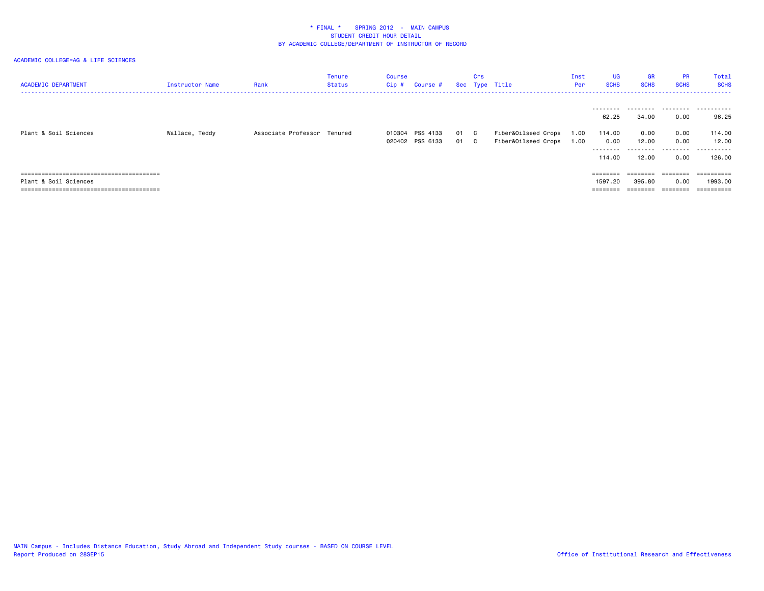| <b>ACADEMIC DEPARTMENT</b> | Instructor Name | Rank                        | Tenure<br>Status | Course<br>$Cip$ # | Course #        |      | Crs | Sec Type Title      | Inst<br>Per | UG<br><b>SCHS</b>            | <b>GR</b><br><b>SCHS</b> | <b>PR</b><br><b>SCHS</b> | Total<br><b>SCHS</b>                |
|----------------------------|-----------------|-----------------------------|------------------|-------------------|-----------------|------|-----|---------------------|-------------|------------------------------|--------------------------|--------------------------|-------------------------------------|
| Plant & Soil Sciences      | Wallace, Teddy  | Associate Professor Tenured |                  |                   | 010304 PSS 4133 | 01 C |     | Fiber&Oilseed Crops | 1.00        | ---------<br>62.25<br>114.00 | 34.00<br>0.00            | 0.00<br>0.00             | <br>96.25<br>114.00                 |
|                            |                 |                             |                  |                   | 020402 PSS 6133 | 01 C |     | Fiber&Oilseed Crops | 1.00        | 0.00<br>---------<br>114,00  | 12.00<br>------<br>12.00 | 0.00<br>.<br>0.00        | 12.00<br>.<br>126.00                |
| Plant & Soil Sciences      |                 |                             |                  |                   |                 |      |     |                     |             | $=$ = = = = = = =<br>1597.20 | ========<br>395.80       | ========<br>0.00         | ==========<br>1993.00<br>========== |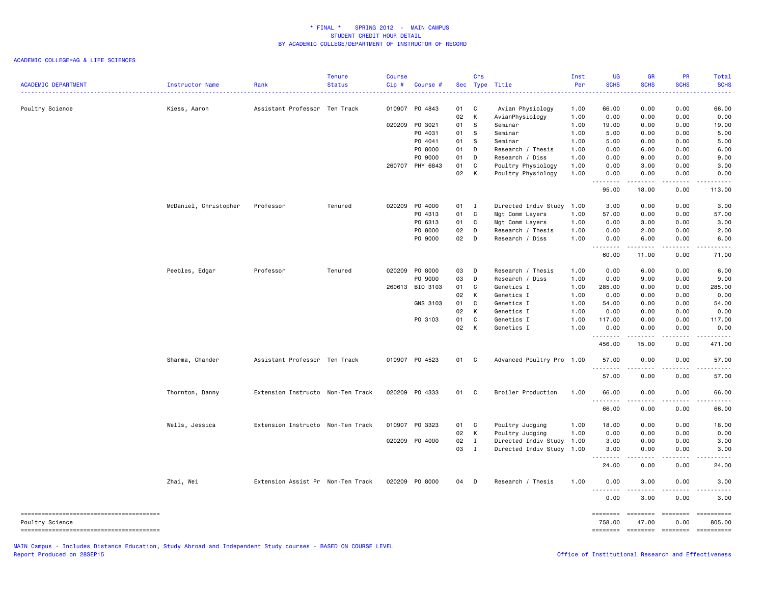| <b>ACADEMIC DEPARTMENT</b> | Instructor Name       | Rank                              | <b>Tenure</b><br><b>Status</b> | <b>Course</b><br>Cip# | Course #        |      | Crs          | Sec Type Title            | Inst<br>Per | UG<br><b>SCHS</b> | GR<br><b>SCHS</b> | PR<br><b>SCHS</b>                   | Total<br><b>SCHS</b>                       |
|----------------------------|-----------------------|-----------------------------------|--------------------------------|-----------------------|-----------------|------|--------------|---------------------------|-------------|-------------------|-------------------|-------------------------------------|--------------------------------------------|
|                            |                       |                                   |                                |                       |                 |      |              |                           |             |                   |                   |                                     |                                            |
| Poultry Science            | Kiess, Aaron          | Assistant Professor Ten Track     |                                |                       | 010907 PO 4843  | 01   | $\mathbf{C}$ | Avian Physiology          | 1.00        | 66.00             | 0.00              | 0.00                                | 66.00                                      |
|                            |                       |                                   |                                |                       |                 | 02   | K            | AvianPhysiology           | 1.00        | 0.00              | 0.00              | 0.00                                | 0.00                                       |
|                            |                       |                                   |                                | 020209                | PO 3021         | 01   | <b>S</b>     | Seminar                   | 1.00        | 19.00             | 0.00              | 0.00                                | 19.00                                      |
|                            |                       |                                   |                                |                       | PO 4031         | 01   | S            | Seminar                   | 1.00        | 5.00              | 0.00              | 0.00                                | 5.00                                       |
|                            |                       |                                   |                                |                       | P0 4041         | 01   | - S          | Seminar                   | 1.00        | 5.00              | 0.00              | 0.00                                | 5.00                                       |
|                            |                       |                                   |                                |                       | P0 8000         | 01   | D            | Research / Thesis         | 1.00        | 0.00              | 6.00              | 0.00                                | 6.00                                       |
|                            |                       |                                   |                                |                       | PO 9000         | 01   | D            | Research / Diss           | 1.00        | 0.00              | 9.00              | 0.00                                | 9.00                                       |
|                            |                       |                                   |                                |                       | 260707 PHY 6843 | 01   | C            | Poultry Physiology        | 1.00        | 0.00              | 3.00              | 0.00                                | 3.00                                       |
|                            |                       |                                   |                                |                       |                 | 02   | K            | Poultry Physiology        | 1.00        | 0.00<br>.         | 0.00<br>.         | 0.00<br>.                           | 0.00<br>.                                  |
|                            |                       |                                   |                                |                       |                 |      |              |                           |             | 95.00             | 18.00             | 0.00                                | 113.00                                     |
|                            | McDaniel, Christopher | Professor                         | Tenured                        | 020209                | P0 4000         | 01 I |              | Directed Indiv Study      | 1.00        | 3.00              | 0.00              | 0.00                                | 3.00                                       |
|                            |                       |                                   |                                |                       | PO 4313         | 01   | $\mathbf{C}$ | Mgt Comm Layers           | 1.00        | 57.00             | 0.00              | 0.00                                | 57.00                                      |
|                            |                       |                                   |                                |                       | PO 6313         | 01   | $\mathbf C$  | Mgt Comm Layers           | 1.00        | 0.00              | 3.00              | 0.00                                | 3.00                                       |
|                            |                       |                                   |                                |                       | P0 8000         | 02   | D            | Research / Thesis         | 1.00        | 0.00              | 2.00              | 0.00                                | 2.00                                       |
|                            |                       |                                   |                                |                       | PO 9000         | 02   | $\mathsf{D}$ | Research / Diss           | 1.00        | 0.00<br>.         | 6.00<br>.         | 0.00<br>$\sim$ $\sim$ $\sim$ $\sim$ | 6.00<br>$\sim$ $\sim$ $\sim$ $\sim$ $\sim$ |
|                            |                       |                                   |                                |                       |                 |      |              |                           |             | 60.00             | 11.00             | 0.00                                | 71.00                                      |
|                            | Peebles, Edgar        | Professor                         | Tenured                        |                       | 020209 P0 8000  | 03   | D            | Research / Thesis         | 1.00        | 0.00              | 6.00              | 0.00                                | 6.00                                       |
|                            |                       |                                   |                                |                       | PO 9000         | 03   | D            | Research / Diss           | 1.00        | 0.00              | 9.00              | 0.00                                | 9.00                                       |
|                            |                       |                                   |                                |                       | 260613 BIO 3103 | 01   | C            | Genetics I                | 1.00        | 285.00            | 0.00              | 0.00                                | 285.00                                     |
|                            |                       |                                   |                                |                       |                 | 02   | K            | Genetics I                | 1.00        | 0.00              | 0.00              | 0.00                                | 0.00                                       |
|                            |                       |                                   |                                |                       | GNS 3103        | 01   | C            | Genetics I                | 1.00        | 54.00             | 0.00              | 0.00                                | 54.00                                      |
|                            |                       |                                   |                                |                       |                 | 02   | К            | Genetics I                | 1.00        | 0.00              | 0.00              | 0.00                                | 0.00                                       |
|                            |                       |                                   |                                |                       | PO 3103         | 01   | $\mathtt{C}$ | Genetics I                | 1.00        | 117.00            | 0.00              | 0.00                                | 117.00                                     |
|                            |                       |                                   |                                |                       |                 | 02   | K            | Genetics I                | 1.00        | 0.00              | 0.00              | 0.00                                | 0.00                                       |
|                            |                       |                                   |                                |                       |                 |      |              |                           |             | .<br>456.00       | .<br>15.00        | .<br>0.00                           | ------<br>471.00                           |
|                            |                       |                                   |                                |                       |                 |      |              |                           |             |                   |                   |                                     |                                            |
|                            | Sharma, Chander       | Assistant Professor Ten Track     |                                |                       | 010907 P0 4523  | 01 C |              | Advanced Poultry Pro 1.00 |             | 57.00<br>.        | 0.00<br>.         | 0.00<br>.                           | 57.00<br>.                                 |
|                            |                       |                                   |                                |                       |                 |      |              |                           |             | 57.00             | 0.00              | 0.00                                | 57.00                                      |
|                            | Thornton, Danny       | Extension Instructo Non-Ten Track |                                |                       | 020209 P0 4333  | 01 C |              | Broiler Production        | 1.00        | 66.00<br>.        | 0.00<br>.         | 0.00<br>.                           | 66.00<br>.                                 |
|                            |                       |                                   |                                |                       |                 |      |              |                           |             | 66.00             | 0.00              | 0.00                                | 66.00                                      |
|                            | Wells, Jessica        | Extension Instructo Non-Ten Track |                                |                       | 010907 P0 3323  | 01   | $\mathbf{C}$ | Poultry Judging           | 1.00        | 18.00             | 0.00              | 0.00                                | 18.00                                      |
|                            |                       |                                   |                                |                       |                 | 02   | $\mathsf{K}$ | Poultry Judging           | 1.00        | 0.00              | 0.00              | 0.00                                | 0.00                                       |
|                            |                       |                                   |                                |                       | 020209 P0 4000  | 02   | $\mathbf{I}$ | Directed Indiv Study      | 1.00        | 3.00              | 0.00              | 0.00                                | 3.00                                       |
|                            |                       |                                   |                                |                       |                 | 03   | $\mathbf{I}$ | Directed Indiv Study 1.00 |             | 3.00<br><u>.</u>  | 0.00<br>.         | 0.00<br>.                           | 3.00<br>.                                  |
|                            |                       |                                   |                                |                       |                 |      |              |                           |             | 24.00             | 0.00              | 0.00                                | 24.00                                      |
|                            | Zhai, Wei             | Extension Assist Pr Non-Ten Track |                                |                       | 020209 P0 8000  | 04   | $\Box$       | Research / Thesis         | 1.00        | 0.00<br>.         | 3.00<br>.         | 0.00<br>$\sim$ $\sim$ $\sim$ $\sim$ | 3.00<br>.                                  |
|                            |                       |                                   |                                |                       |                 |      |              |                           |             | 0.00              | 3.00              | 0.00                                | 3.00                                       |
|                            |                       |                                   |                                |                       |                 |      |              |                           |             | ========          |                   | essesses                            | ==========                                 |
| Poultry Science            |                       |                                   |                                |                       |                 |      |              |                           |             | 758,00            | 47.00             | 0.00                                | 805.00                                     |
|                            |                       |                                   |                                |                       |                 |      |              |                           |             |                   |                   |                                     | ======== ======== ======== =========       |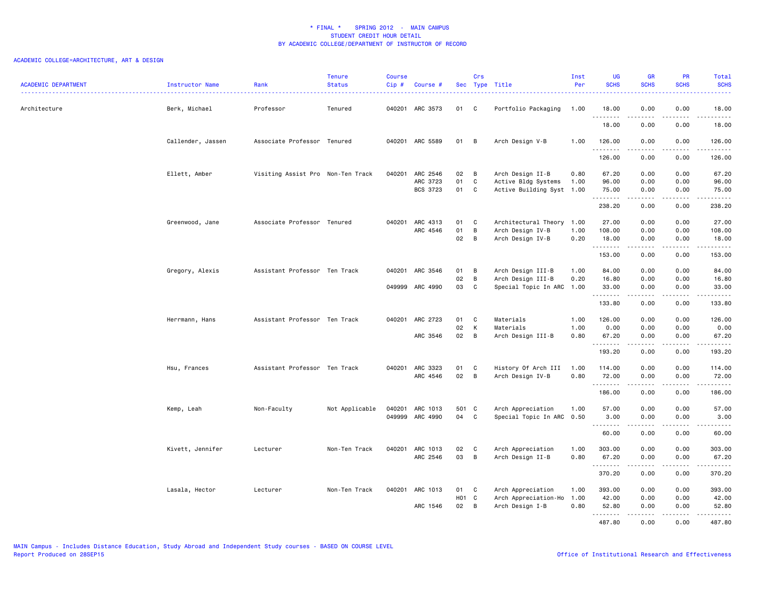### ACADEMIC COLLEGE=ARCHITECTURE, ART & DESIGN

| <b>ACADEMIC DEPARTMENT</b> | Instructor Name   | Rank                              | <b>Tenure</b><br><b>Status</b> | Course<br>Cip# | Course #             |          | Crs               | Sec Type Title                                   | Inst<br>Per | <b>UG</b><br><b>SCHS</b> | <b>GR</b><br><b>SCHS</b> | PR<br><b>SCHS</b>     | Total<br><b>SCHS</b>                                                                                                 |
|----------------------------|-------------------|-----------------------------------|--------------------------------|----------------|----------------------|----------|-------------------|--------------------------------------------------|-------------|--------------------------|--------------------------|-----------------------|----------------------------------------------------------------------------------------------------------------------|
| Architecture               | Berk, Michael     | Professor                         | Tenured                        |                | 040201 ARC 3573      | 01 C     |                   | Portfolio Packaging                              | 1.00        | 18.00<br><u>.</u>        | 0.00                     | 0.00<br>.             | 18.00<br><u>.</u>                                                                                                    |
|                            |                   |                                   |                                |                |                      |          |                   |                                                  |             | 18.00                    | 0.00                     | 0.00                  | 18.00                                                                                                                |
|                            | Callender, Jassen | Associate Professor Tenured       |                                |                | 040201 ARC 5589      | 01       | B                 | Arch Design V-B                                  | 1.00        | 126.00<br>.              | 0.00<br>.                | 0.00<br>.             | 126.00<br><u>.</u>                                                                                                   |
|                            |                   |                                   |                                |                |                      |          |                   |                                                  |             | 126.00                   | 0.00                     | 0.00                  | 126.00                                                                                                               |
|                            | Ellett, Amber     | Visiting Assist Pro Non-Ten Track |                                |                | 040201 ARC 2546      | 02 B     |                   | Arch Design II-B                                 | 0.80        | 67.20                    | 0.00                     | 0.00                  | 67.20                                                                                                                |
|                            |                   |                                   |                                |                | ARC 3723<br>BCS 3723 | 01<br>01 | C<br>$\mathbf{C}$ | Active Bldg Systems<br>Active Building Syst 1.00 | 1.00        | 96.00<br>75.00           | 0.00<br>0.00             | 0.00<br>0.00          | 96.00<br>75.00                                                                                                       |
|                            |                   |                                   |                                |                |                      |          |                   |                                                  |             | .<br>238.20              | <u>.</u><br>0.00         | . <b>.</b><br>0.00    | 238.20                                                                                                               |
|                            | Greenwood, Jane   | Associate Professor Tenured       |                                |                | 040201 ARC 4313      | 01       | $\mathbf{C}$      | Architectural Theory 1.00                        |             | 27.00                    | 0.00                     | 0.00                  | 27.00                                                                                                                |
|                            |                   |                                   |                                |                | ARC 4546             | 01       | B                 | Arch Design IV-B                                 | 1.00        | 108.00                   | 0.00                     | 0.00                  | 108.00                                                                                                               |
|                            |                   |                                   |                                |                |                      | 02 B     |                   | Arch Design IV-B                                 | 0.20        | 18.00<br>.               | 0.00<br><u>.</u>         | 0.00<br>. <b>.</b>    | 18.00<br>.                                                                                                           |
|                            |                   |                                   |                                |                |                      |          |                   |                                                  |             | 153.00                   | 0.00                     | 0.00                  | 153.00                                                                                                               |
|                            | Gregory, Alexis   | Assistant Professor Ten Track     |                                |                | 040201 ARC 3546      | 01       | B                 | Arch Design III-B                                | 1.00        | 84.00                    | 0.00                     | 0.00                  | 84.00                                                                                                                |
|                            |                   |                                   |                                |                |                      | 02       | B                 | Arch Design III-B                                | 0.20        | 16.80                    | 0.00                     | 0.00                  | 16.80                                                                                                                |
|                            |                   |                                   |                                |                | 049999 ARC 4990      | 03       | $\mathbf{C}$      | Special Topic In ARC                             | 1.00        | 33.00<br>.               | 0.00<br>.                | 0.00<br>.             | 33.00<br>.                                                                                                           |
|                            |                   |                                   |                                |                |                      |          |                   |                                                  |             | 133.80                   | 0.00                     | 0.00                  | 133.80                                                                                                               |
|                            | Herrmann, Hans    | Assistant Professor Ten Track     |                                |                | 040201 ARC 2723      | 01       | C                 | Materials                                        | 1.00        | 126.00                   | 0.00                     | 0.00                  | 126.00                                                                                                               |
|                            |                   |                                   |                                |                |                      | 02       | к                 | Materials                                        | 1.00        | 0.00                     | 0.00                     | 0.00                  | 0.00                                                                                                                 |
|                            |                   |                                   |                                |                | ARC 3546             | 02       | $\overline{B}$    | Arch Design III-B                                | 0.80        | 67.20<br>.               | 0.00<br>.                | 0.00<br>.             | 67.20<br>.                                                                                                           |
|                            |                   |                                   |                                |                |                      |          |                   |                                                  |             | 193.20                   | 0.00                     | 0.00                  | 193.20                                                                                                               |
|                            | Hsu, Frances      | Assistant Professor Ten Track     |                                |                | 040201 ARC 3323      | 01       | $\mathbf{C}$      | History Of Arch III                              | 1.00        | 114.00                   | 0.00                     | 0.00                  | 114.00                                                                                                               |
|                            |                   |                                   |                                |                | ARC 4546             | 02 B     |                   | Arch Design IV-B                                 | 0.80        | 72.00<br><b></b>         | 0.00<br>.                | 0.00<br>.             | 72.00<br>$\begin{array}{cccccccccc} \bullet & \bullet & \bullet & \bullet & \bullet & \bullet & \bullet \end{array}$ |
|                            |                   |                                   |                                |                |                      |          |                   |                                                  |             | 186.00                   | 0.00                     | 0.00                  | 186.00                                                                                                               |
|                            | Kemp, Leah        | Non-Faculty                       | Not Applicable                 |                | 040201 ARC 1013      | 501 C    |                   | Arch Appreciation                                | 1.00        | 57.00                    | 0.00                     | 0.00                  | 57.00                                                                                                                |
|                            |                   |                                   |                                |                | 049999 ARC 4990      | 04       | <b>C</b>          | Special Topic In ARC 0.50                        |             | 3.00<br>.                | 0.00<br>.                | 0.00<br>.             | 3.00<br>.                                                                                                            |
|                            |                   |                                   |                                |                |                      |          |                   |                                                  |             | 60.00                    | 0.00                     | 0.00                  | 60.00                                                                                                                |
|                            | Kivett, Jennifer  | Lecturer                          | Non-Ten Track                  |                | 040201 ARC 1013      | 02       | $\mathbf{C}$      | Arch Appreciation                                | 1.00        | 303.00                   | 0.00                     | 0.00                  | 303.00                                                                                                               |
|                            |                   |                                   |                                |                | ARC 2546             | 03       | $\overline{B}$    | Arch Design II-B                                 | 0.80        | 67.20<br>.               | 0.00                     | 0.00<br>$- - - -$     | 67.20<br>.                                                                                                           |
|                            |                   |                                   |                                |                |                      |          |                   |                                                  |             | 370.20                   | 0.00                     | 0.00                  | 370.20                                                                                                               |
|                            | Lasala, Hector    | Lecturer                          | Non-Ten Track                  |                | 040201 ARC 1013      | 01       | C C               | Arch Appreciation                                | 1.00        | 393.00                   | 0.00                     | 0.00                  | 393.00                                                                                                               |
|                            |                   |                                   |                                |                |                      | H01 C    |                   | Arch Appreciation-Ho                             | 1.00        | 42.00                    | 0.00                     | 0.00                  | 42.00                                                                                                                |
|                            |                   |                                   |                                |                | ARC 1546             | 02       | $\overline{B}$    | Arch Design I-B                                  | 0.80        | 52.80                    | 0.00                     | 0.00                  | 52.80                                                                                                                |
|                            |                   |                                   |                                |                |                      |          |                   |                                                  |             | .<br>487.80              | .<br>0.00                | $\frac{1}{2}$<br>0.00 | .<br>487.80                                                                                                          |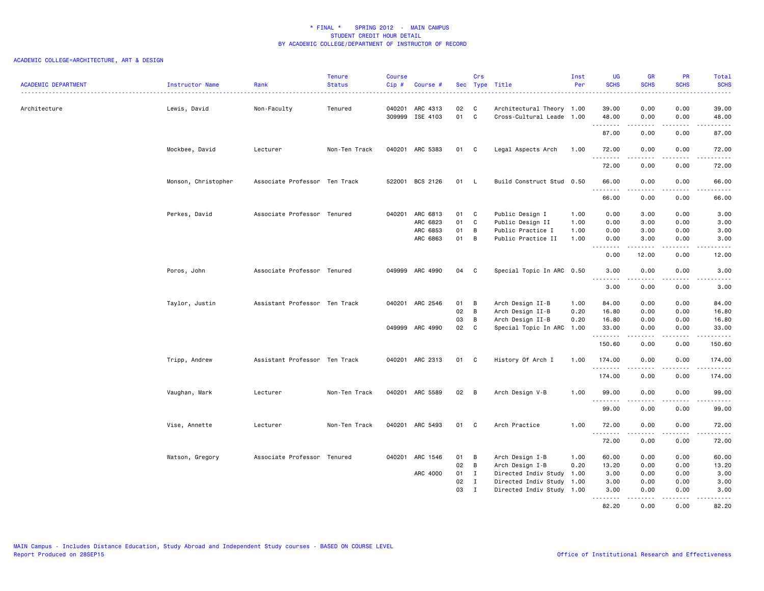### ACADEMIC COLLEGE=ARCHITECTURE, ART & DESIGN

| <b>ACADEMIC DEPARTMENT</b> | <b>Instructor Name</b> | Rank                          | <b>Tenure</b><br><b>Status</b> | <b>Course</b><br>$Cip$ # | Course #                    |          | Crs          | Sec Type Title                                         | Inst<br>Per | <b>UG</b><br><b>SCHS</b> | <b>GR</b><br><b>SCHS</b> | PR<br><b>SCHS</b> | Total<br><b>SCHS</b>                                                                                                                                                                    |
|----------------------------|------------------------|-------------------------------|--------------------------------|--------------------------|-----------------------------|----------|--------------|--------------------------------------------------------|-------------|--------------------------|--------------------------|-------------------|-----------------------------------------------------------------------------------------------------------------------------------------------------------------------------------------|
| Architecture               | Lewis, David           | Non-Faculty                   | Tenured                        | 040201                   | ARC 4313<br>309999 ISE 4103 | 02<br>01 | C<br>C       | Architectural Theory 1.00<br>Cross-Cultural Leade 1.00 |             | 39.00<br>48.00           | 0.00<br>0.00             | 0.00<br>0.00      | 39.00<br>48.00                                                                                                                                                                          |
|                            |                        |                               |                                |                          |                             |          |              |                                                        |             | .<br>87.00               | .<br>0.00                | 0.00              | $\sim$ $\sim$ $\sim$ $\sim$<br>87.00                                                                                                                                                    |
|                            | Mockbee, David         | Lecturer                      | Non-Ten Track                  |                          | 040201 ARC 5383             | 01       | $\mathbf{C}$ | Legal Aspects Arch                                     | 1.00        | 72.00                    | 0.00<br>.                | 0.00<br>.         | 72.00<br>.                                                                                                                                                                              |
|                            |                        |                               |                                |                          |                             |          |              |                                                        |             | 72.00                    | 0.00                     | 0.00              | 72.00                                                                                                                                                                                   |
|                            | Monson, Christopher    | Associate Professor Ten Track |                                | 522001                   | BCS 2126                    | 01 L     |              | Build Construct Stud 0.50                              |             | 66.00<br>.               | 0.00<br>.                | 0.00<br>.         | 66.00<br>د د د د د                                                                                                                                                                      |
|                            |                        |                               |                                |                          |                             |          |              |                                                        |             | 66.00                    | 0.00                     | 0.00              | 66.00                                                                                                                                                                                   |
|                            | Perkes, David          | Associate Professor Tenured   |                                | 040201                   | ARC 6813                    | 01       | C            | Public Design I                                        | 1.00        | 0.00                     | 3.00                     | 0.00              | 3.00                                                                                                                                                                                    |
|                            |                        |                               |                                |                          | ARC 6823                    | 01       | C            | Public Design II                                       | 1.00        | 0.00                     | 3.00                     | 0.00              | 3.00                                                                                                                                                                                    |
|                            |                        |                               |                                |                          | ARC 6853                    | 01       | B            | Public Practice I                                      | 1.00        | 0.00                     | 3.00                     | 0.00              | 3.00                                                                                                                                                                                    |
|                            |                        |                               |                                |                          | ARC 6863                    | 01       | B            | Public Practice II                                     | 1.00        | 0.00<br>.                | 3.00<br>.                | 0.00<br>د د د د   | 3.00<br>.                                                                                                                                                                               |
|                            |                        |                               |                                |                          |                             |          |              |                                                        |             | 0.00                     | 12.00                    | 0.00              | 12.00                                                                                                                                                                                   |
|                            | Poros, John            | Associate Professor Tenured   |                                |                          | 049999 ARC 4990             | 04       | - C          | Special Topic In ARC 0.50                              |             | 3.00<br>.                | 0.00<br>.                | 0.00<br>.         | 3.00<br>.                                                                                                                                                                               |
|                            |                        |                               |                                |                          |                             |          |              |                                                        |             | 3.00                     | 0.00                     | 0.00              | 3.00                                                                                                                                                                                    |
|                            | Taylor, Justin         | Assistant Professor Ten Track |                                | 040201                   | ARC 2546                    | 01       | B            | Arch Design II-B                                       | 1.00        | 84.00                    | 0.00                     | 0.00              | 84.00                                                                                                                                                                                   |
|                            |                        |                               |                                |                          |                             | 02       | B            | Arch Design II-B                                       | 0.20        | 16.80                    | 0.00                     | 0.00              | 16.80                                                                                                                                                                                   |
|                            |                        |                               |                                |                          |                             | 03       | B            | Arch Design II-B                                       | 0.20        | 16.80                    | 0.00                     | 0.00              | 16.80                                                                                                                                                                                   |
|                            |                        |                               |                                |                          | 049999 ARC 4990             | 02       | C            | Special Topic In ARC                                   | 1.00        | 33.00                    | 0.00                     | 0.00              | 33.00<br>$\frac{1}{2} \left( \frac{1}{2} \right) \left( \frac{1}{2} \right) \left( \frac{1}{2} \right) \left( \frac{1}{2} \right) \left( \frac{1}{2} \right)$                           |
|                            |                        |                               |                                |                          |                             |          |              |                                                        |             | 150.60                   | 0.00                     | 0.00              | 150.60                                                                                                                                                                                  |
|                            | Tripp, Andrew          | Assistant Professor Ten Track |                                |                          | 040201 ARC 2313             | 01       | $\mathbf{C}$ | History Of Arch I                                      | 1.00        | 174.00                   | 0.00                     | 0.00              | 174.00<br>.                                                                                                                                                                             |
|                            |                        |                               |                                |                          |                             |          |              |                                                        |             | 174.00                   | 0.00                     | 0.00              | 174.00                                                                                                                                                                                  |
|                            | Vaughan, Mark          | Lecturer                      | Non-Ten Track                  | 040201                   | ARC 5589                    | 02       | B            | Arch Design V-B                                        | 1.00        | 99.00                    | 0.00                     | 0.00              | 99.00                                                                                                                                                                                   |
|                            |                        |                               |                                |                          |                             |          |              |                                                        |             | .<br>99.00               | 0.00                     | 0.00              | د د د د د<br>99.00                                                                                                                                                                      |
|                            | Vise, Annette          | Lecturer                      | Non-Ten Track                  | 040201                   | ARC 5493                    | 01       | C            | Arch Practice                                          | 1.00        | 72.00                    | 0.00                     | 0.00              | 72.00                                                                                                                                                                                   |
|                            |                        |                               |                                |                          |                             |          |              |                                                        |             | .<br>72.00               | .<br>0.00                | .<br>0.00         | د د د د د<br>72.00                                                                                                                                                                      |
|                            | Watson, Gregory        | Associate Professor Tenured   |                                | 040201                   | ARC 1546                    | 01       | в            | Arch Design I-B                                        | 1.00        | 60.00                    | 0.00                     | 0.00              | 60.00                                                                                                                                                                                   |
|                            |                        |                               |                                |                          |                             | 02       | B            | Arch Design I-B                                        | 0.20        | 13.20                    | 0.00                     | 0.00              | 13.20                                                                                                                                                                                   |
|                            |                        |                               |                                |                          | ARC 4000                    | 01       | $\mathbf I$  | Directed Indiv Study                                   | 1.00        | 3.00                     | 0.00                     | 0.00              | 3.00                                                                                                                                                                                    |
|                            |                        |                               |                                |                          |                             | 02       | $\mathbf{I}$ | Directed Indiv Study                                   | 1.00        | 3.00                     | 0.00                     | 0.00              | 3.00                                                                                                                                                                                    |
|                            |                        |                               |                                |                          |                             | 03       | I            | Directed Indiv Study 1.00                              |             | 3.00<br><u>.</u>         | 0.00<br><u>.</u>         | 0.00<br>.         | 3.00<br>$\frac{1}{2} \left( \frac{1}{2} \right) \left( \frac{1}{2} \right) \left( \frac{1}{2} \right) \left( \frac{1}{2} \right) \left( \frac{1}{2} \right) \left( \frac{1}{2} \right)$ |
|                            |                        |                               |                                |                          |                             |          |              |                                                        |             | 82.20                    | 0.00                     | 0.00              | 82.20                                                                                                                                                                                   |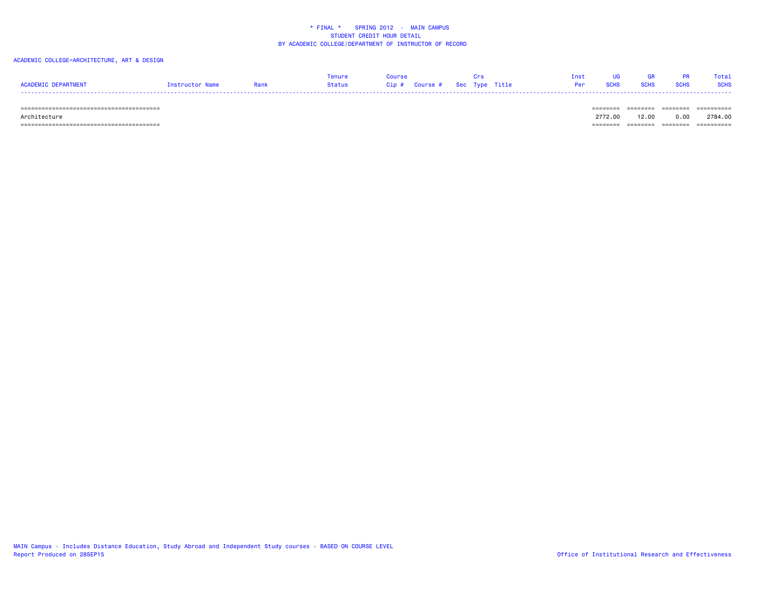### ACADEMIC COLLEGE=ARCHITECTURE, ART & DESIGN

|                     |                 | Tenure | Course                        |                                | Inst UG GR PR | Total |
|---------------------|-----------------|--------|-------------------------------|--------------------------------|---------------|-------|
| ACADEMIC DEPARTMENT | Instructor Name | Status | Cip # Course # Sec Type Title | <b>Per SCHS SCHS SCHS SCHS</b> |               |       |
|                     |                 |        |                               |                                |               |       |

======================================== ======== ======== ======== ==========

 Architecture 2772.00 12.00 0.00 2784.00======================================== ======== ======== ======== ==========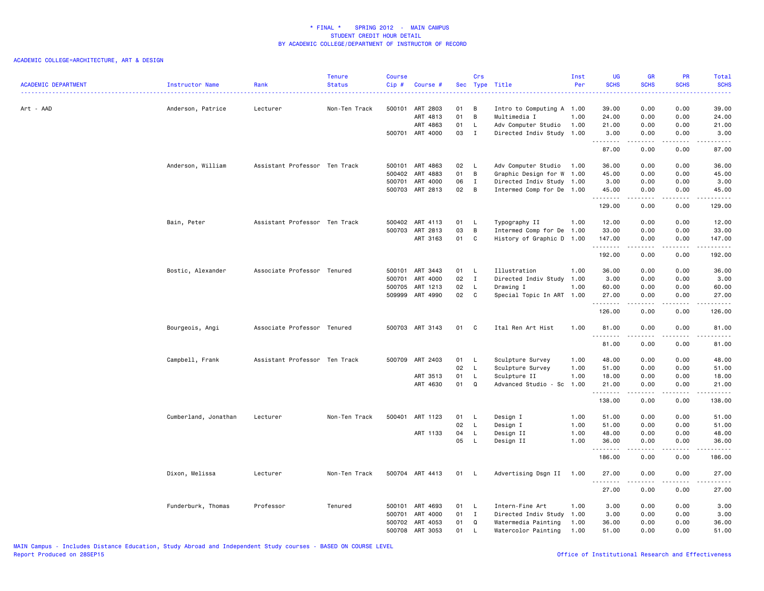| <b>ACADEMIC DEPARTMENT</b> | Instructor Name      | Rank                          | <b>Tenure</b><br><b>Status</b> | <b>Course</b><br>Cip# | Course #        |      | Crs          | Sec Type Title            | Inst<br>Per | <b>UG</b><br><b>SCHS</b> | <b>GR</b><br><b>SCHS</b> | PR<br><b>SCHS</b> | Total<br><b>SCHS</b><br>. |
|----------------------------|----------------------|-------------------------------|--------------------------------|-----------------------|-----------------|------|--------------|---------------------------|-------------|--------------------------|--------------------------|-------------------|---------------------------|
| Art - AAD                  | Anderson, Patrice    | Lecturer                      | Non-Ten Track                  | 500101                | ART 2803        | 01   | B            | Intro to Computing A 1.00 |             | 39.00                    | 0.00                     | 0.00              | 39.00                     |
|                            |                      |                               |                                |                       | ART 4813        | 01   | B            | Multimedia I              | 1.00        | 24.00                    | 0.00                     | 0.00              | 24.00                     |
|                            |                      |                               |                                |                       | ART 4863        | 01   | $\mathsf{L}$ | Adv Computer Studio       | 1.00        | 21.00                    | 0.00                     | 0.00              | 21.00                     |
|                            |                      |                               |                                |                       | 500701 ART 4000 | 03   | $\mathbf{I}$ | Directed Indiv Study      | 1.00        | 3.00<br>.                | 0.00<br>.                | 0.00<br>.         | 3.00<br>.                 |
|                            |                      |                               |                                |                       |                 |      |              |                           |             | 87.00                    | 0.00                     | 0.00              | 87.00                     |
|                            | Anderson, William    | Assistant Professor Ten Track |                                |                       | 500101 ART 4863 | 02   | - L          | Adv Computer Studio       | 1.00        | 36.00                    | 0.00                     | 0.00              | 36.00                     |
|                            |                      |                               |                                |                       | 500402 ART 4883 | 01   | B            | Graphic Design for W 1.00 |             | 45.00                    | 0.00                     | 0.00              | 45.00                     |
|                            |                      |                               |                                | 500701                | ART 4000        | 06   | $\mathbf{I}$ | Directed Indiv Study 1.00 |             | 3.00                     | 0.00                     | 0.00              | 3.00                      |
|                            |                      |                               |                                |                       | 500703 ART 2813 | 02   | B            | Intermed Comp for De 1.00 |             | 45.00<br>.               | 0.00<br>.                | 0.00<br>.         | 45.00<br>.                |
|                            |                      |                               |                                |                       |                 |      |              |                           |             | 129.00                   | 0.00                     | 0.00              | 129.00                    |
|                            | Bain, Peter          | Assistant Professor Ten Track |                                |                       | 500402 ART 4113 | 01   | - L          | Typography II             | 1.00        | 12.00                    | 0.00                     | 0.00              | 12.00                     |
|                            |                      |                               |                                |                       | 500703 ART 2813 | 03   | B            | Intermed Comp for De      | 1.00        | 33.00                    | 0.00                     | 0.00              | 33.00                     |
|                            |                      |                               |                                |                       | ART 3163        | 01   | C            | History of Graphic D 1.00 |             | 147.00<br>.              | 0.00<br>.                | 0.00<br>.         | 147.00<br><u>.</u>        |
|                            |                      |                               |                                |                       |                 |      |              |                           |             | 192.00                   | 0.00                     | 0.00              | 192.00                    |
|                            | Bostic, Alexander    | Associate Professor Tenured   |                                |                       | 500101 ART 3443 | 01   | - L          | Illustration              | 1.00        | 36.00                    | 0.00                     | 0.00              | 36.00                     |
|                            |                      |                               |                                | 500701                | ART 4000        | 02   | $\mathbf{I}$ | Directed Indiv Study 1.00 |             | 3.00                     | 0.00                     | 0.00              | 3.00                      |
|                            |                      |                               |                                | 500705                | ART 1213        | 02   | $\mathsf{L}$ | Drawing I                 | 1.00        | 60.00                    | 0.00                     | 0.00              | 60.00                     |
|                            |                      |                               |                                |                       | 509999 ART 4990 | 02   | C            | Special Topic In ART 1.00 |             | 27.00                    | 0.00                     | 0.00              | 27.00                     |
|                            |                      |                               |                                |                       |                 |      |              |                           |             | .<br>126.00              | .<br>0.00                | .<br>0.00         | .<br>126.00               |
|                            | Bourgeois, Angi      | Associate Professor Tenured   |                                |                       | 500703 ART 3143 | 01   | C            | Ital Ren Art Hist         | 1.00        | 81.00                    | 0.00                     | 0.00              | 81.00                     |
|                            |                      |                               |                                |                       |                 |      |              |                           |             | 81.00                    | 0.00                     | 0.00              | 81.00                     |
|                            | Campbell, Frank      | Assistant Professor Ten Track |                                |                       | 500709 ART 2403 | 01   | $\mathsf{L}$ | Sculpture Survey          | 1.00        | 48.00                    | 0.00                     | 0.00              | 48.00                     |
|                            |                      |                               |                                |                       |                 | 02   | L.           | Sculpture Survey          | 1.00        | 51.00                    | 0.00                     | 0.00              | 51.00                     |
|                            |                      |                               |                                |                       | ART 3513        | 01   | L.           | Sculpture II              | 1.00        | 18.00                    | 0.00                     | 0.00              | 18.00                     |
|                            |                      |                               |                                |                       | ART 4630        | 01   | Q            | Advanced Studio - Sc      | 1.00        | 21.00<br><u>.</u>        | 0.00<br>$- - - - -$      | 0.00<br>.         | 21.00<br><u>.</u>         |
|                            |                      |                               |                                |                       |                 |      |              |                           |             | 138.00                   | 0.00                     | 0.00              | 138.00                    |
|                            | Cumberland, Jonathan | Lecturer                      | Non-Ten Track                  |                       | 500401 ART 1123 | 01   | $\mathsf{L}$ | Design I                  | 1.00        | 51.00                    | 0.00                     | 0.00              | 51.00                     |
|                            |                      |                               |                                |                       |                 | 02   | $\mathsf{L}$ | Design I                  | 1.00        | 51.00                    | 0.00                     | 0.00              | 51.00                     |
|                            |                      |                               |                                |                       | ART 1133        | 04   | L            | Design II                 | 1.00        | 48.00                    | 0.00                     | 0.00              | 48.00                     |
|                            |                      |                               |                                |                       |                 | 05   | L            | Design II                 | 1.00        | 36.00<br>.               | 0.00<br>.                | 0.00<br>.         | 36.00<br>------           |
|                            |                      |                               |                                |                       |                 |      |              |                           |             | 186.00                   | 0.00                     | 0.00              | 186.00                    |
|                            | Dixon, Melissa       | Lecturer                      | Non-Ten Track                  |                       | 500704 ART 4413 | 01   | <b>L</b>     | Advertising Dsgn II       | 1.00        | 27.00<br>.               | 0.00                     | 0.00<br>.         | 27.00<br>.                |
|                            |                      |                               |                                |                       |                 |      |              |                           |             | 27.00                    | 0.00                     | 0.00              | 27.00                     |
|                            | Funderburk, Thomas   | Professor                     | Tenured                        |                       | 500101 ART 4693 | 01 L |              | Intern-Fine Art           | 1.00        | 3.00                     | 0.00                     | 0.00              | 3.00                      |
|                            |                      |                               |                                | 500701                | ART 4000        | 01   | $\mathbf{I}$ | Directed Indiv Study      | 1.00        | 3.00                     | 0.00                     | 0.00              | 3.00                      |
|                            |                      |                               |                                |                       | 500702 ART 4053 | 01   | Q            | Watermedia Painting       | 1.00        | 36.00                    | 0.00                     | 0.00              | 36.00                     |
|                            |                      |                               |                                |                       | 500708 ART 3053 | 01   | L.           | Watercolor Painting       | 1.00        | 51.00                    | 0.00                     | 0.00              | 51.00                     |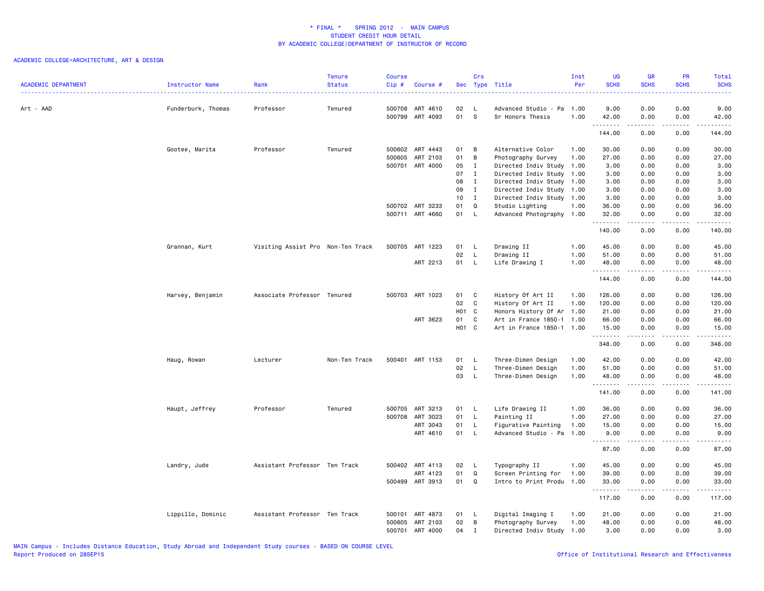| <b>ACADEMIC DEPARTMENT</b> | Instructor Name    | Rank                              | <b>Tenure</b><br><b>Status</b> | <b>Course</b><br>$Cip$ # | Course #                    |                   | Crs            | Sec Type Title                           | Inst<br>Per  | <b>UG</b><br><b>SCHS</b>  | <b>GR</b><br><b>SCHS</b> | PR<br><b>SCHS</b>            | Total<br><b>SCHS</b><br>. |
|----------------------------|--------------------|-----------------------------------|--------------------------------|--------------------------|-----------------------------|-------------------|----------------|------------------------------------------|--------------|---------------------------|--------------------------|------------------------------|---------------------------|
| Art - AAD                  | Funderburk, Thomas | Professor                         | Tenured                        | 500708                   | ART 4610<br>500799 ART 4093 | 02<br>01          | L,<br><b>S</b> | Advanced Studio - Pa<br>Sr Honors Thesis | 1.00<br>1.00 | 9.00<br>42.00             | 0.00<br>0.00             | 0.00<br>0.00                 | 9.00<br>42.00             |
|                            |                    |                                   |                                |                          |                             |                   |                |                                          |              | .<br>144.00               | .<br>0.00                | .<br>0.00                    | .<br>144.00               |
|                            |                    | Professor                         | Tenured                        | 500602                   | ART 4443                    | 01                | В              | Alternative Color                        | 1.00         | 30.00                     | 0.00                     | 0.00                         | 30.00                     |
|                            | Gootee, Marita     |                                   |                                | 500605                   | ART 2103                    | 01                | B              | Photography Survey                       | 1.00         | 27.00                     | 0.00                     | 0.00                         | 27.00                     |
|                            |                    |                                   |                                |                          | 500701 ART 4000             | 05                | $\mathbf{I}$   | Directed Indiv Study                     | 1.00         | 3.00                      | 0.00                     | 0.00                         | 3.00                      |
|                            |                    |                                   |                                |                          |                             | 07                | $\mathbf{I}$   | Directed Indiv Study                     | 1.00         | 3.00                      | 0.00                     | 0.00                         | 3.00                      |
|                            |                    |                                   |                                |                          |                             | 08                | $\mathbf{I}$   | Directed Indiv Study                     | 1.00         | 3.00                      | 0.00                     | 0.00                         | 3.00                      |
|                            |                    |                                   |                                |                          |                             | 09                | $\mathbf{I}$   | Directed Indiv Study 1.00                |              | 3.00                      | 0.00                     | 0.00                         | 3.00                      |
|                            |                    |                                   |                                |                          |                             | 10 <sub>1</sub>   | $\mathbf{I}$   | Directed Indiv Study 1.00                |              | 3.00                      | 0.00                     | 0.00                         | 3.00                      |
|                            |                    |                                   |                                |                          | 500702 ART 3233             | 01                | Q              | Studio Lighting                          | 1.00         | 36.00                     | 0.00                     | 0.00                         | 36.00                     |
|                            |                    |                                   |                                |                          | 500711 ART 4660             | 01                | $\mathsf{L}$   | Advanced Photography 1.00                |              | 32.00                     | 0.00<br>.                | 0.00<br>.                    | 32.00<br>.                |
|                            |                    |                                   |                                |                          |                             |                   |                |                                          |              | 140.00                    | 0.00                     | 0.00                         | 140.00                    |
|                            | Grannan, Kurt      | Visiting Assist Pro Non-Ten Track |                                | 500705                   | ART 1223                    | 01                | - L            | Drawing II                               | 1.00         | 45.00                     | 0.00                     | 0.00                         | 45.00                     |
|                            |                    |                                   |                                |                          |                             | 02                | L              | Drawing II                               | 1.00         | 51.00                     | 0.00                     | 0.00                         | 51.00                     |
|                            |                    |                                   |                                |                          | ART 2213                    | 01                | $\mathsf{L}$   | Life Drawing I                           | 1.00         | 48.00                     | 0.00                     | 0.00                         | 48.00                     |
|                            |                    |                                   |                                |                          |                             |                   |                |                                          |              | <u>.</u><br>144.00        | - - - - -<br>0.00        | .<br>0.00                    | .<br>144.00               |
|                            | Harvey, Benjamin   | Associate Professor Tenured       |                                |                          | 500703 ART 1023             | 01                | C              | History Of Art II                        | 1.00         | 126.00                    | 0.00                     | 0.00                         | 126.00                    |
|                            |                    |                                   |                                |                          |                             | 02                | C              | History Of Art II                        | 1.00         | 120.00                    | 0.00                     | 0.00                         | 120.00                    |
|                            |                    |                                   |                                |                          |                             | H <sub>01</sub> C |                | Honors History Of Ar                     | 1.00         | 21.00                     | 0.00                     | 0.00                         | 21.00                     |
|                            |                    |                                   |                                |                          | ART 3623                    | 01                | C              | Art in France 1850-1 1.00                |              | 66.00                     | 0.00                     | 0.00                         | 66.00                     |
|                            |                    |                                   |                                |                          |                             | H <sub>01</sub> C |                | Art in France 1850-1 1.00                |              | 15.00                     | 0.00                     | 0.00                         | 15.00                     |
|                            |                    |                                   |                                |                          |                             |                   |                |                                          |              | - - - - - - - -<br>348.00 | .<br>0.00                | .<br>0.00                    | .<br>348.00               |
|                            | Haug, Rowan        | Lecturer                          | Non-Ten Track                  |                          | 500401 ART 1153             | 01                | - L            | Three-Dimen Design                       | 1.00         | 42.00                     | 0.00                     | 0.00                         | 42.00                     |
|                            |                    |                                   |                                |                          |                             | 02                | $\mathsf{L}$   | Three-Dimen Design                       | 1.00         | 51.00                     | 0.00                     | 0.00                         | 51.00                     |
|                            |                    |                                   |                                |                          |                             | 03                | L              | Three-Dimen Design                       | 1.00         | 48.00                     | 0.00                     | 0.00                         | 48.00                     |
|                            |                    |                                   |                                |                          |                             |                   |                |                                          |              | .<br>141.00               | .<br>0.00                | .<br>0.00                    | .<br>141.00               |
|                            | Haupt, Jeffrey     | Professor                         | Tenured                        |                          | 500705 ART 3213             | 01 L              |                | Life Drawing II                          | 1.00         | 36.00                     | 0.00                     | 0.00                         | 36.00                     |
|                            |                    |                                   |                                | 500708                   | ART 3023                    | 01                | $\mathsf{L}$   | Painting II                              | 1.00         | 27.00                     | 0.00                     | 0.00                         | 27.00                     |
|                            |                    |                                   |                                |                          | ART 3043                    | 01                | L.             | Figurative Painting                      | 1.00         | 15.00                     | 0.00                     | 0.00                         | 15.00                     |
|                            |                    |                                   |                                |                          | ART 4610                    | 01 L              |                | Advanced Studio - Pa                     | 1.00         | 9.00<br>.                 | 0.00<br>د د د د          | 0.00<br>$\sim$ $\sim$ $\sim$ | 9.00<br><b>.</b>          |
|                            |                    |                                   |                                |                          |                             |                   |                |                                          |              | 87.00                     | 0.00                     | 0.00                         | 87.00                     |
|                            | Landry, Jude       | Assistant Professor Ten Track     |                                |                          | 500402 ART 4113             | 02                | - L            | Typography II                            | 1.00         | 45.00                     | 0.00                     | 0.00                         | 45.00                     |
|                            |                    |                                   |                                |                          | ART 4123                    | 01                | Q              | Screen Printing for                      | 1.00         | 39.00                     | 0.00                     | 0.00                         | 39.00                     |
|                            |                    |                                   |                                |                          | 500499 ART 3913             | 01                | Q              | Intro to Print Produ                     | 1.00         | 33.00<br><u>.</u>         | 0.00<br>.                | 0.00<br>.                    | 33.00<br>.                |
|                            |                    |                                   |                                |                          |                             |                   |                |                                          |              | 117.00                    | 0.00                     | 0.00                         | 117.00                    |
|                            | Lippillo, Dominic  | Assistant Professor Ten Track     |                                |                          | 500101 ART 4873             | 01                | $\mathsf{L}$   | Digital Imaging I                        | 1.00         | 21.00                     | 0.00                     | 0.00                         | 21.00                     |
|                            |                    |                                   |                                | 500605                   | ART 2103                    | 02                | B              | Photography Survey                       | 1.00         | 48.00                     | 0.00                     | 0.00                         | 48.00                     |
|                            |                    |                                   |                                | 500701                   | ART 4000                    | 04                | I              | Directed Indiv Study 1.00                |              | 3.00                      | 0.00                     | 0.00                         | 3.00                      |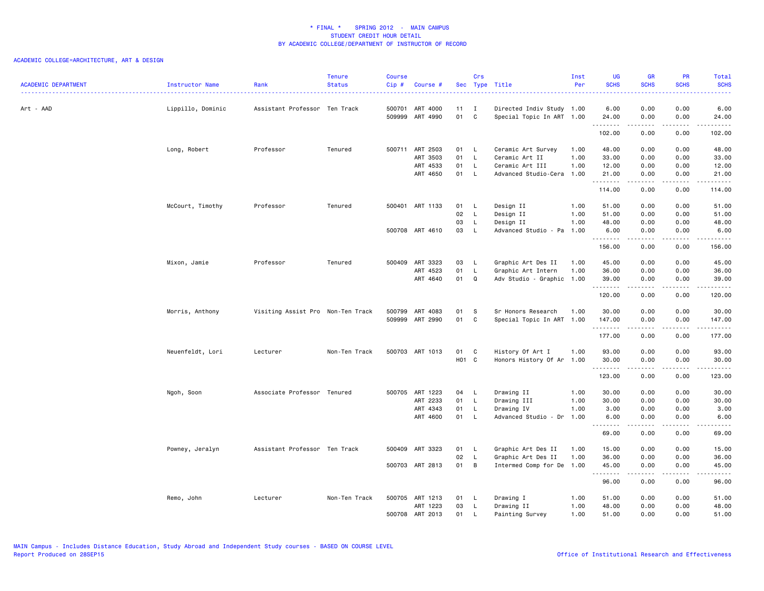| <b>ACADEMIC DEPARTMENT</b> | Instructor Name   | Rank                              | <b>Tenure</b><br><b>Status</b> | <b>Course</b><br>Cip# | Course #                           |          | Crs               | Sec Type Title                                         | Inst<br>Per | <b>UG</b><br><b>SCHS</b> | <b>GR</b><br><b>SCHS</b>                                                                                                                                     | PR<br><b>SCHS</b>            | Total<br><b>SCHS</b><br>. |
|----------------------------|-------------------|-----------------------------------|--------------------------------|-----------------------|------------------------------------|----------|-------------------|--------------------------------------------------------|-------------|--------------------------|--------------------------------------------------------------------------------------------------------------------------------------------------------------|------------------------------|---------------------------|
| Art - AAD                  | Lippillo, Dominic | Assistant Professor Ten Track     |                                |                       | 500701 ART 4000<br>509999 ART 4990 | 11<br>01 | $\mathbf{I}$<br>C | Directed Indiv Study 1.00<br>Special Topic In ART 1.00 |             | 6.00<br>24.00            | 0.00<br>0.00                                                                                                                                                 | 0.00<br>0.00                 | 6.00<br>24.00             |
|                            |                   |                                   |                                |                       |                                    |          |                   |                                                        |             | .<br>102.00              | .<br>0.00                                                                                                                                                    | -----<br>0.00                | <b></b><br>102.00         |
|                            | Long, Robert      | Professor                         | Tenured                        |                       | 500711 ART 2503                    | 01 L     |                   | Ceramic Art Survey                                     | 1.00        | 48.00                    | 0.00                                                                                                                                                         | 0.00                         | 48.00                     |
|                            |                   |                                   |                                |                       | ART 3503                           | 01       | L.                | Ceramic Art II                                         | 1.00        | 33.00                    | 0.00                                                                                                                                                         | 0.00                         | 33.00                     |
|                            |                   |                                   |                                |                       | ART 4533                           | 01       | $\mathsf{L}$      | Ceramic Art III                                        | 1.00        | 12.00                    | 0.00                                                                                                                                                         | 0.00                         | 12.00                     |
|                            |                   |                                   |                                |                       | ART 4650                           | 01 L     |                   | Advanced Studio-Cera                                   | 1.00        | 21.00<br>.               | 0.00<br>$\frac{1}{2} \left( \frac{1}{2} \right) \left( \frac{1}{2} \right) \left( \frac{1}{2} \right) \left( \frac{1}{2} \right) \left( \frac{1}{2} \right)$ | 0.00<br>.                    | 21.00<br><u>.</u>         |
|                            |                   |                                   |                                |                       |                                    |          |                   |                                                        |             | 114.00                   | 0.00                                                                                                                                                         | 0.00                         | 114.00                    |
|                            | McCourt, Timothy  | Professor                         | Tenured                        |                       | 500401 ART 1133                    | 01 L     |                   | Design II                                              | 1.00        | 51.00                    | 0.00                                                                                                                                                         | 0.00                         | 51.00                     |
|                            |                   |                                   |                                |                       |                                    | 02       | $\mathsf{L}$      | Design II                                              | 1.00        | 51.00                    | 0.00                                                                                                                                                         | 0.00                         | 51.00                     |
|                            |                   |                                   |                                |                       |                                    | 03       | L.                | Design II                                              | 1.00        | 48.00                    | 0.00                                                                                                                                                         | 0.00                         | 48.00                     |
|                            |                   |                                   |                                |                       | 500708 ART 4610                    | 03       | L.                | Advanced Studio - Pa                                   | 1.00        | 6.00<br>.                | 0.00<br>.                                                                                                                                                    | 0.00<br>.                    | 6.00<br>.                 |
|                            |                   |                                   |                                |                       |                                    |          |                   |                                                        |             | 156.00                   | 0.00                                                                                                                                                         | 0.00                         | 156.00                    |
|                            | Mixon, Jamie      | Professor                         | Tenured                        |                       | 500409 ART 3323                    | 03       | $\mathsf{L}$      | Graphic Art Des II                                     | 1.00        | 45.00                    | 0.00                                                                                                                                                         | 0.00                         | 45.00                     |
|                            |                   |                                   |                                |                       | ART 4523                           | 01       | L.                | Graphic Art Intern                                     | 1.00        | 36.00                    | 0.00                                                                                                                                                         | 0.00                         | 36.00                     |
|                            |                   |                                   |                                |                       | ART 4640                           | 01       | Q                 | Adv Studio - Graphic 1.00                              |             | 39.00                    | 0.00                                                                                                                                                         | 0.00                         | 39.00                     |
|                            |                   |                                   |                                |                       |                                    |          |                   |                                                        |             | .<br>120.00              | .<br>0.00                                                                                                                                                    | .<br>0.00                    | .<br>120.00               |
|                            |                   |                                   |                                |                       |                                    |          |                   |                                                        |             |                          |                                                                                                                                                              |                              |                           |
|                            | Morris, Anthony   | Visiting Assist Pro Non-Ten Track |                                | 500799                | ART 4083<br>509999 ART 2990        | 01<br>01 | S<br>C            | Sr Honors Research                                     | 1.00        | 30.00                    | 0.00<br>0.00                                                                                                                                                 | 0.00                         | 30.00                     |
|                            |                   |                                   |                                |                       |                                    |          |                   | Special Topic In ART 1.00                              |             | 147.00<br>.              | .                                                                                                                                                            | 0.00<br>.                    | 147.00<br>.               |
|                            |                   |                                   |                                |                       |                                    |          |                   |                                                        |             | 177.00                   | 0.00                                                                                                                                                         | 0.00                         | 177.00                    |
|                            | Neuenfeldt, Lori  | Lecturer                          | Non-Ten Track                  |                       | 500703 ART 1013                    | 01       | $\mathbf{C}$      | History Of Art I                                       | 1.00        | 93.00                    | 0.00                                                                                                                                                         | 0.00                         | 93.00                     |
|                            |                   |                                   |                                |                       |                                    | HO1 C    |                   | Honors History Of Ar 1.00                              |             | 30.00                    | 0.00                                                                                                                                                         | 0.00                         | 30.00                     |
|                            |                   |                                   |                                |                       |                                    |          |                   |                                                        |             | .<br>123.00              | .<br>0.00                                                                                                                                                    | $\sim$ $\sim$ $\sim$<br>0.00 | .<br>123.00               |
|                            | Ngoh, Soon        | Associate Professor Tenured       |                                |                       | 500705 ART 1223                    | 04       | - L               | Drawing II                                             | 1.00        | 30.00                    | 0.00                                                                                                                                                         | 0.00                         | 30.00                     |
|                            |                   |                                   |                                |                       | ART 2233                           | 01       | L                 | Drawing III                                            | 1.00        | 30.00                    | 0.00                                                                                                                                                         | 0.00                         | 30.00                     |
|                            |                   |                                   |                                |                       | ART 4343                           | 01       | L                 | Drawing IV                                             | 1.00        | 3.00                     | 0.00                                                                                                                                                         | 0.00                         | 3.00                      |
|                            |                   |                                   |                                |                       | ART 4600                           | 01       | L.                | Advanced Studio - Dr                                   | 1.00        | 6.00                     | 0.00                                                                                                                                                         | 0.00                         | 6.00                      |
|                            |                   |                                   |                                |                       |                                    |          |                   |                                                        |             | .<br>69.00               | د د د د<br>0.00                                                                                                                                              | .<br>0.00                    | -----<br>69.00            |
|                            | Powney, Jeralyn   | Assistant Professor Ten Track     |                                |                       | 500409 ART 3323                    | 01       | $\mathsf{L}$      | Graphic Art Des II                                     | 1.00        | 15.00                    | 0.00                                                                                                                                                         | 0.00                         | 15.00                     |
|                            |                   |                                   |                                |                       |                                    | 02       | L                 | Graphic Art Des II                                     | 1.00        | 36.00                    | 0.00                                                                                                                                                         | 0.00                         | 36.00                     |
|                            |                   |                                   |                                |                       | 500703 ART 2813                    | 01       | $\overline{B}$    | Intermed Comp for De                                   | 1.00        | 45.00<br>.               | 0.00<br>-----                                                                                                                                                | 0.00<br>.                    | 45.00<br>.                |
|                            |                   |                                   |                                |                       |                                    |          |                   |                                                        |             | 96.00                    | 0.00                                                                                                                                                         | 0.00                         | 96.00                     |
|                            | Remo, John        | Lecturer                          | Non-Ten Track                  |                       | 500705 ART 1213                    | 01 L     |                   | Drawing I                                              | 1.00        | 51.00                    | 0.00                                                                                                                                                         | 0.00                         | 51.00                     |
|                            |                   |                                   |                                |                       | ART 1223                           | 03       | $\mathsf{L}$      | Drawing II                                             | 1.00        | 48.00                    | 0.00                                                                                                                                                         | 0.00                         | 48.00                     |
|                            |                   |                                   |                                |                       | 500708 ART 2013                    | 01       | L.                | Painting Survey                                        | 1.00        | 51.00                    | 0.00                                                                                                                                                         | 0.00                         | 51.00                     |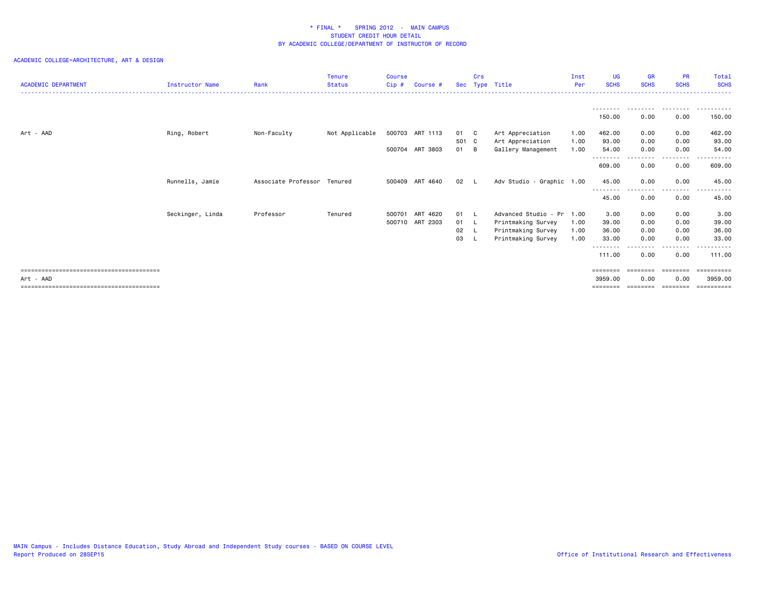|                            |                  |                     | <b>Tenure</b>  | Course |                 |              | Crs |                           | Inst | <b>UG</b>                  | <b>GR</b>   | <b>PR</b>          | Total            |
|----------------------------|------------------|---------------------|----------------|--------|-----------------|--------------|-----|---------------------------|------|----------------------------|-------------|--------------------|------------------|
| <b>ACADEMIC DEPARTMENT</b> | Instructor Name  | Rank                | <b>Status</b>  | Cip#   | Course #        | <b>Sec</b>   |     | Type Title                | Per  | <b>SCHS</b>                | <b>SCHS</b> | <b>SCHS</b>        | <b>SCHS</b>      |
|                            |                  |                     |                |        |                 |              |     |                           |      |                            |             |                    |                  |
|                            |                  |                     |                |        |                 |              |     |                           |      | 150.00                     | 0.00        | .<br>0.00          | 150.00           |
| Art - AAD                  | Ring, Robert     | Non-Faculty         | Not Applicable |        | 500703 ART 1113 | 01 C         |     | Art Appreciation          | 1.00 | 462.00                     | 0.00        | 0.00               | 462.00           |
|                            |                  |                     |                |        |                 | 501 C        |     | Art Appreciation          | 1.00 | 93.00                      | 0.00        | 0.00               | 93.00            |
|                            |                  |                     |                |        | 500704 ART 3803 | 01 B         |     | Gallery Management        | 1.00 | 54.00<br>--------          | 0.00<br>.   | 0.00<br>.          | 54.00<br>.       |
|                            |                  |                     |                |        |                 |              |     |                           |      | 609.00                     | 0.00        | 0.00               | 609.00           |
|                            | Runnells, Jamie  | Associate Professor | Tenured        |        | 500409 ART 4640 | 02           |     | Adv Studio - Graphic 1.00 |      | 45.00                      | 0.00        | 0.00               | 45.00            |
|                            |                  |                     |                |        |                 |              |     |                           |      | <u>.</u><br>45.00          | 0.00        | .<br>0.00          | 45.00            |
|                            | Seckinger, Linda | Professor           | Tenured        | 500701 | ART 4620        | $01 \quad L$ |     | Advanced Studio - Pr      | 1.00 | 3.00                       | 0.00        | 0.00               | 3.00             |
|                            |                  |                     |                |        | 500710 ART 2303 | 01 L         |     | Printmaking Survey        | 1.00 | 39.00                      | 0.00        | 0.00               | 39.00            |
|                            |                  |                     |                |        |                 | 02 L         |     | Printmaking Survey        | 1.00 | 36.00                      | 0.00        | 0.00               | 36.00            |
|                            |                  |                     |                |        |                 | 03           |     | Printmaking Survey        | 1.00 | 33.00<br>- - - - - - - - - | 0.00        | 0.00<br>. <b>.</b> | 33.00<br>.       |
|                            |                  |                     |                |        |                 |              |     |                           |      | 111.00                     | 0.00        | 0.00               | 111.00           |
|                            |                  |                     |                |        |                 |              |     |                           |      | ========                   | ========    | ---------          | <b>Expressed</b> |
| Art - AAD                  |                  |                     |                |        |                 |              |     |                           |      | 3959.00                    | 0.00        | 0.00               | 3959.00          |
|                            |                  |                     |                |        |                 |              |     |                           |      |                            |             |                    | ==========       |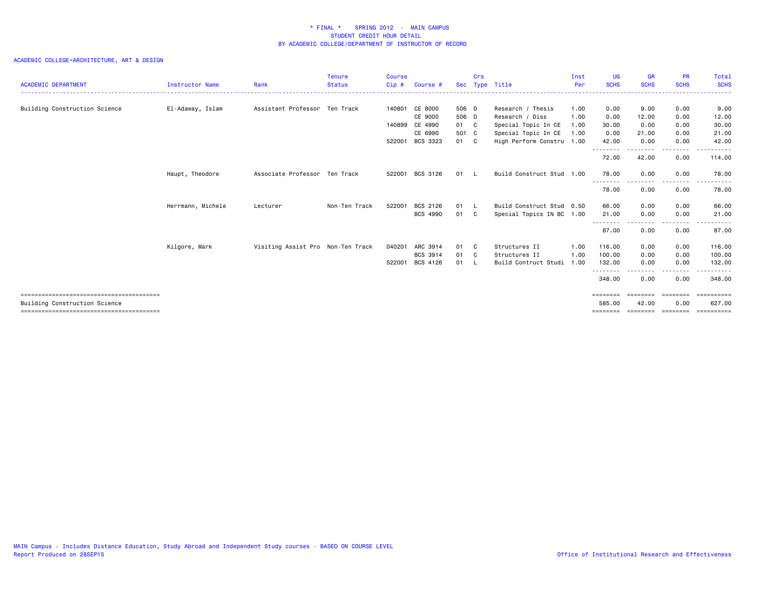| <b>ACADEMIC DEPARTMENT</b>    | <b>Instructor Name</b> | Rank                              | <b>Tenure</b><br><b>Status</b> | <b>Course</b><br>Cip # | Course #        |       | Crs | Sec Type Title            | Inst<br>Per | <b>UG</b><br><b>SCHS</b>           | <b>GR</b><br><b>SCHS</b>      | <b>PR</b><br><b>SCHS</b>                                                                                                          | Total<br><b>SCHS</b>                     |
|-------------------------------|------------------------|-----------------------------------|--------------------------------|------------------------|-----------------|-------|-----|---------------------------|-------------|------------------------------------|-------------------------------|-----------------------------------------------------------------------------------------------------------------------------------|------------------------------------------|
| Building Construction Science | El-Adaway, Islam       | Assistant Professor Ten Track     |                                |                        | 140801 CE 8000  | 506 D |     | Research / Thesis         | 1.00        | 0.00                               | 9.00                          | 0.00                                                                                                                              | 9.00                                     |
|                               |                        |                                   |                                |                        | CE 9000         | 506 D |     | Research / Diss           | 1.00        | 0.00                               | 12.00                         | 0.00                                                                                                                              | 12.00                                    |
|                               |                        |                                   |                                |                        | 140899 CE 4990  | 01 C  |     | Special Topic In CE       | 1.00        | 30.00                              | 0.00                          | 0.00                                                                                                                              | 30.00                                    |
|                               |                        |                                   |                                |                        | CE 6990         | 501 C |     | Special Topic In CE       | 1.00        | 0.00                               | 21.00                         | 0.00                                                                                                                              | 21.00                                    |
|                               |                        |                                   |                                |                        | 522001 BCS 3323 | 01 C  |     | High Perform Constru 1.00 |             | 42.00                              | 0.00                          | 0.00                                                                                                                              | 42.00                                    |
|                               |                        |                                   |                                |                        |                 |       |     |                           |             | .<br>72.00                         | 42.00                         | .<br>0.00                                                                                                                         | .<br>114.00                              |
|                               | Haupt, Theodore        | Associate Professor Ten Track     |                                |                        | 522001 BCS 3126 | 01 L  |     | Build Construct Stud 1.00 |             | 78.00<br>- - - - - - - -           | 0.00                          | 0.00                                                                                                                              | 78.00                                    |
|                               |                        |                                   |                                |                        |                 |       |     |                           |             | 78.00                              | 0.00                          | 0.00                                                                                                                              | 78.00                                    |
|                               | Herrmann, Michele      | Lecturer                          | Non-Ten Track                  | 522001                 | BCS 2126        | 01 L  |     | Build Construct Stud 0.50 |             | 66.00                              | 0.00                          | 0.00                                                                                                                              | 66.00                                    |
|                               |                        |                                   |                                |                        | <b>BCS 4990</b> | 01 C  |     | Special Topics IN BC 1.00 |             | 21.00                              | 0.00                          | 0.00                                                                                                                              | 21.00                                    |
|                               |                        |                                   |                                |                        |                 |       |     |                           |             | --------<br>87.00                  | 0.00                          | .<br>0.00                                                                                                                         | 87.00                                    |
|                               | Kilgore, Mark          | Visiting Assist Pro Non-Ten Track |                                |                        | 040201 ARC 3914 | 01 C  |     | Structures II             | 1.00        | 116.00                             | 0.00                          | 0.00                                                                                                                              | 116.00                                   |
|                               |                        |                                   |                                |                        | BCS 3914        | 01 C  |     | Structures II             | 1.00        | 100.00                             | 0.00                          | 0.00                                                                                                                              | 100.00                                   |
|                               |                        |                                   |                                | 522001                 | BCS 4126        | 01    | - 1 | Build Contruct Studi      | 1.00        | 132.00                             | 0.00                          | 0.00                                                                                                                              | 132.00                                   |
|                               |                        |                                   |                                |                        |                 |       |     |                           |             | - - - - - - - - <b>-</b><br>348.00 | 0.00                          | $\frac{1}{2} \left( \frac{1}{2} \right) \left( \frac{1}{2} \right) \left( \frac{1}{2} \right) \left( \frac{1}{2} \right)$<br>0.00 | .<br>348.00                              |
| Building Construction Science |                        |                                   |                                |                        |                 |       |     |                           |             | ========<br>585,00<br>--------     | eeeeeee<br>42.00<br>--------- | ---------<br>0.00<br>---------                                                                                                    | <b>ESSESSESS</b><br>627.00<br>========== |
|                               |                        |                                   |                                |                        |                 |       |     |                           |             |                                    |                               |                                                                                                                                   |                                          |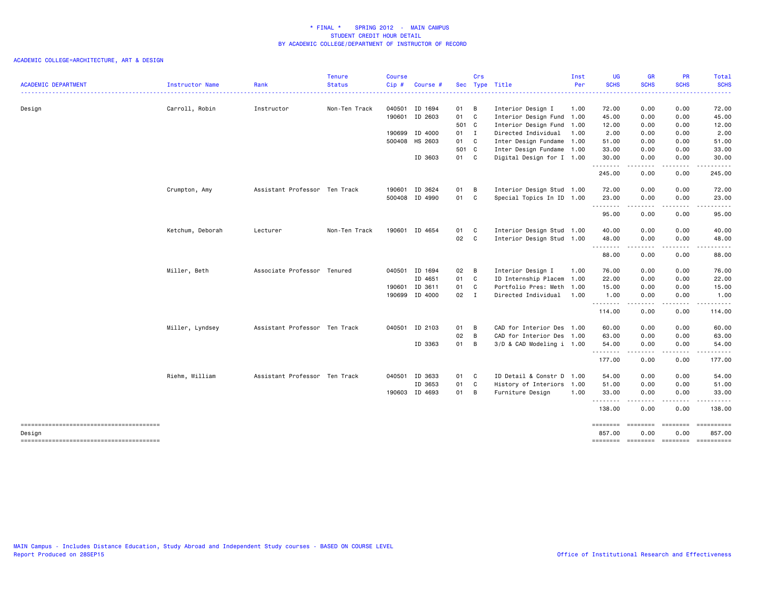|                                                  |                  |                               | <b>Tenure</b> | <b>Course</b> |                |              | Crs |                           | Inst | <b>UG</b>         | <b>GR</b>                                                                                                                                                    | <b>PR</b>                                                                                                                         | Total                                                                                                                              |
|--------------------------------------------------|------------------|-------------------------------|---------------|---------------|----------------|--------------|-----|---------------------------|------|-------------------|--------------------------------------------------------------------------------------------------------------------------------------------------------------|-----------------------------------------------------------------------------------------------------------------------------------|------------------------------------------------------------------------------------------------------------------------------------|
| <b>ACADEMIC DEPARTMENT</b>                       | Instructor Name  | Rank                          | Status        | Cip#          | Course         |              |     | Sec Type Title            | Per  | <b>SCHS</b>       | <b>SCHS</b>                                                                                                                                                  | <b>SCHS</b>                                                                                                                       | <b>SCHS</b><br>.                                                                                                                   |
| Design                                           | Carroll, Robin   | Instructor                    | Non-Ten Track |               | 040501 ID 1694 | 01 B         |     | Interior Design I         | 1.00 | 72.00             | 0.00                                                                                                                                                         | 0.00                                                                                                                              | 72.00                                                                                                                              |
|                                                  |                  |                               |               |               | 190601 ID 2603 | 01 C         |     | Interior Design Fund 1.00 |      | 45.00             | 0.00                                                                                                                                                         | 0.00                                                                                                                              | 45.00                                                                                                                              |
|                                                  |                  |                               |               |               |                | 501 C        |     | Interior Design Fund 1.00 |      | 12.00             | 0.00                                                                                                                                                         | 0.00                                                                                                                              | 12.00                                                                                                                              |
|                                                  |                  |                               |               |               | 190699 ID 4000 | $01 \quad I$ |     | Directed Individual       | 1.00 | 2.00              | 0.00                                                                                                                                                         | 0.00                                                                                                                              | 2.00                                                                                                                               |
|                                                  |                  |                               |               |               | 500408 HS 2603 | 01 C         |     | Inter Design Fundame 1.00 |      | 51.00             | 0.00                                                                                                                                                         | 0.00                                                                                                                              | 51.00                                                                                                                              |
|                                                  |                  |                               |               |               |                | 501 C        |     | Inter Design Fundame 1.00 |      | 33.00             | 0.00                                                                                                                                                         | 0.00                                                                                                                              | 33.00                                                                                                                              |
|                                                  |                  |                               |               |               | ID 3603        | 01 C         |     | Digital Design for I 1.00 |      | 30.00<br>.        | 0.00<br><u>.</u>                                                                                                                                             | 0.00<br>.                                                                                                                         | 30.00<br>.                                                                                                                         |
|                                                  |                  |                               |               |               |                |              |     |                           |      | 245.00            | 0.00                                                                                                                                                         | 0.00                                                                                                                              | 245.00                                                                                                                             |
|                                                  | Crumpton, Amy    | Assistant Professor Ten Track |               |               | 190601 ID 3624 | 01           | B   | Interior Design Stud 1.00 |      | 72.00             | 0.00                                                                                                                                                         | 0.00                                                                                                                              | 72.00                                                                                                                              |
|                                                  |                  |                               |               |               | 500408 ID 4990 | 01           | C   | Special Topics In ID 1.00 |      | 23.00<br>.        | 0.00<br>.                                                                                                                                                    | 0.00<br>-----                                                                                                                     | 23.00<br>------                                                                                                                    |
|                                                  |                  |                               |               |               |                |              |     |                           |      | 95.00             | 0.00                                                                                                                                                         | 0.00                                                                                                                              | 95.00                                                                                                                              |
|                                                  | Ketchum, Deborah | Lecturer                      | Non-Ten Track |               | 190601 ID 4654 | 01 C         |     | Interior Design Stud 1.00 |      | 40.00             | 0.00                                                                                                                                                         | 0.00                                                                                                                              | 40.00                                                                                                                              |
|                                                  |                  |                               |               |               |                | 02 C         |     | Interior Design Stud 1.00 |      | 48.00<br>-------- | 0.00<br>-----                                                                                                                                                | 0.00<br>.                                                                                                                         | 48.00<br>------                                                                                                                    |
|                                                  |                  |                               |               |               |                |              |     |                           |      | 88.00             | 0.00                                                                                                                                                         | 0.00                                                                                                                              | 88.00                                                                                                                              |
|                                                  | Miller, Beth     | Associate Professor Tenured   |               |               | 040501 ID 1694 | 02           | B   | Interior Design I         | 1.00 | 76.00             | 0.00                                                                                                                                                         | 0.00                                                                                                                              | 76.00                                                                                                                              |
|                                                  |                  |                               |               |               | ID 4651        | 01 C         |     | ID Internship Placem      | 1.00 | 22.00             | 0.00                                                                                                                                                         | 0.00                                                                                                                              | 22.00                                                                                                                              |
|                                                  |                  |                               |               |               | 190601 ID 3611 | 01 C         |     | Portfolio Pres: Meth 1.00 |      | 15.00             | 0.00                                                                                                                                                         | 0.00                                                                                                                              | 15.00                                                                                                                              |
|                                                  |                  |                               |               |               | 190699 ID 4000 | $02 \quad I$ |     | Directed Individual       | 1.00 | 1.00<br>.         | 0.00                                                                                                                                                         | 0.00                                                                                                                              | 1.00                                                                                                                               |
|                                                  |                  |                               |               |               |                |              |     |                           |      | 114.00            | 0.00                                                                                                                                                         | 0.00                                                                                                                              | 114.00                                                                                                                             |
|                                                  | Miller, Lyndsey  | Assistant Professor Ten Track |               |               | 040501 ID 2103 | 01           | B   | CAD for Interior Des 1.00 |      | 60.00             | 0.00                                                                                                                                                         | 0.00                                                                                                                              | 60.00                                                                                                                              |
|                                                  |                  |                               |               |               |                | 02           | B   | CAD for Interior Des 1.00 |      | 63.00             | 0.00                                                                                                                                                         | 0.00                                                                                                                              | 63.00                                                                                                                              |
|                                                  |                  |                               |               |               | ID 3363        | 01 B         |     | 3/D & CAD Modeling i 1.00 |      | 54.00             | 0.00<br>$\frac{1}{2} \left( \frac{1}{2} \right) \left( \frac{1}{2} \right) \left( \frac{1}{2} \right) \left( \frac{1}{2} \right) \left( \frac{1}{2} \right)$ | 0.00<br>.                                                                                                                         | 54.00<br>$\begin{array}{cccccccccccccc} \bullet & \bullet & \bullet & \bullet & \bullet & \bullet & \bullet & \bullet \end{array}$ |
|                                                  |                  |                               |               |               |                |              |     |                           |      | 177.00            | 0.00                                                                                                                                                         | 0.00                                                                                                                              | 177.00                                                                                                                             |
|                                                  | Riehm, William   | Assistant Professor Ten Track |               |               | 040501 ID 3633 | 01 C         |     | ID Detail & Constr D 1.00 |      | 54.00             | 0.00                                                                                                                                                         | 0.00                                                                                                                              | 54.00                                                                                                                              |
|                                                  |                  |                               |               |               | ID 3653        | 01           | C   | History of Interiors 1.00 |      | 51.00             | 0.00                                                                                                                                                         | 0.00                                                                                                                              | 51.00                                                                                                                              |
|                                                  |                  |                               |               |               | 190603 ID 4693 | 01 B         |     | Furniture Design          | 1.00 | 33.00<br><b></b>  | 0.00<br>.                                                                                                                                                    | 0.00<br>$\frac{1}{2} \left( \frac{1}{2} \right) \left( \frac{1}{2} \right) \left( \frac{1}{2} \right) \left( \frac{1}{2} \right)$ | 33.00<br>.                                                                                                                         |
|                                                  |                  |                               |               |               |                |              |     |                           |      | 138.00            | 0.00                                                                                                                                                         | 0.00                                                                                                                              | 138.00                                                                                                                             |
|                                                  |                  |                               |               |               |                |              |     |                           |      | ========          | ========                                                                                                                                                     | ========                                                                                                                          | <b>Experience</b>                                                                                                                  |
| Design<br>-------------------------------------- |                  |                               |               |               |                |              |     |                           |      | 857.00            | 0.00                                                                                                                                                         | 0.00                                                                                                                              | 857.00<br>-------- ------- ------- ---------                                                                                       |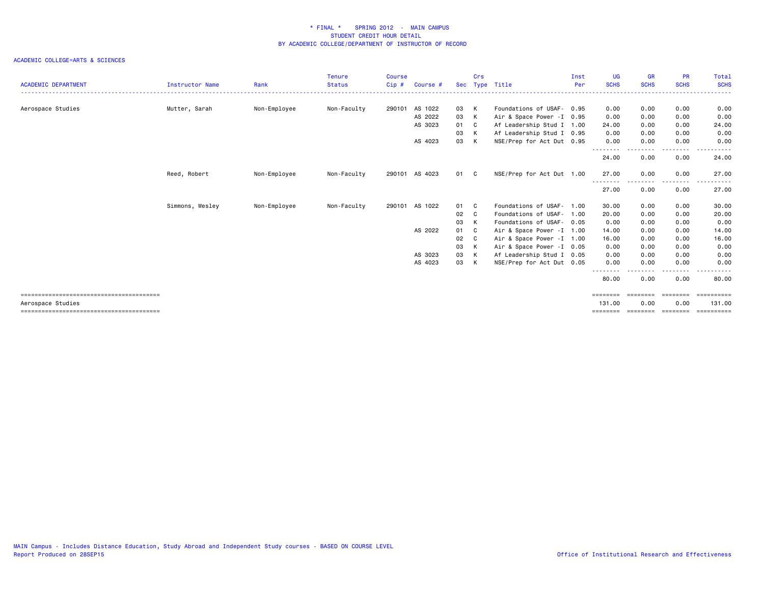| <b>ACADEMIC DEPARTMENT</b> | Instructor Name | Rank         | <b>Tenure</b><br><b>Status</b> | Course<br>Cip# | Course # |          | Crs    | Sec Type Title             | Inst<br>Per | <b>UG</b><br><b>SCHS</b>                                                                                                                | <b>GR</b><br><b>SCHS</b> | <b>PR</b><br><b>SCHS</b> | Total<br><b>SCHS</b> |
|----------------------------|-----------------|--------------|--------------------------------|----------------|----------|----------|--------|----------------------------|-------------|-----------------------------------------------------------------------------------------------------------------------------------------|--------------------------|--------------------------|----------------------|
| Aerospace Studies          | Mutter, Sarah   | Non-Employee | Non-Faculty                    | 290101         | AS 1022  | 03       | K      | Foundations of USAF- 0.95  |             | 0.00                                                                                                                                    | 0.00                     | 0.00                     | 0.00                 |
|                            |                 |              |                                |                | AS 2022  | 03       | K      | Air & Space Power - I 0.95 |             | 0.00                                                                                                                                    | 0.00                     | 0.00                     | 0.00                 |
|                            |                 |              |                                |                | AS 3023  | 01       | C.     | Af Leadership Stud I 1.00  |             | 24.00                                                                                                                                   | 0.00                     | 0.00                     | 24.00                |
|                            |                 |              |                                |                |          |          |        | Af Leadership Stud I 0.95  |             |                                                                                                                                         | 0.00                     |                          | 0.00                 |
|                            |                 |              |                                |                | AS 4023  | 03<br>03 | K<br>K |                            |             | 0.00<br>0.00                                                                                                                            | 0.00                     | 0.00<br>0.00             | 0.00                 |
|                            |                 |              |                                |                |          |          |        | NSE/Prep for Act Dut 0.95  |             | ---------                                                                                                                               |                          | - - - -                  | <u>.</u>             |
|                            |                 |              |                                |                |          |          |        |                            |             | 24.00                                                                                                                                   | 0.00                     | 0.00                     | 24.00                |
|                            | Reed, Robert    | Non-Employee | Non-Faculty                    | 290101         | AS 4023  | 01 C     |        | NSE/Prep for Act Dut 1.00  |             | 27.00                                                                                                                                   | 0.00                     | 0.00                     | 27.00                |
|                            |                 |              |                                |                |          |          |        |                            |             | ----<br>27.00                                                                                                                           | 0.00                     | 0.00                     | 27.00                |
|                            | Simmons, Wesley | Non-Employee | Non-Faculty                    | 290101         | AS 1022  | 01       | C.     | Foundations of USAF- 1.00  |             | 30.00                                                                                                                                   | 0.00                     | 0.00                     | 30.00                |
|                            |                 |              |                                |                |          | 02       | C.     | Foundations of USAF-       | 1.00        | 20.00                                                                                                                                   | 0.00                     | 0.00                     | 20.00                |
|                            |                 |              |                                |                |          | 03       | K      | Foundations of USAF- 0.05  |             | 0.00                                                                                                                                    | 0.00                     | 0.00                     | 0.00                 |
|                            |                 |              |                                |                | AS 2022  | 01       | C      | Air & Space Power - I 1.00 |             | 14.00                                                                                                                                   | 0.00                     | 0.00                     | 14.00                |
|                            |                 |              |                                |                |          | 02       | C.     | Air & Space Power - I 1.00 |             | 16.00                                                                                                                                   | 0.00                     | 0.00                     | 16.00                |
|                            |                 |              |                                |                |          | 03       | K      | Air & Space Power -I 0.05  |             | 0.00                                                                                                                                    | 0.00                     | 0.00                     | 0.00                 |
|                            |                 |              |                                |                | AS 3023  | 03       | K      | Af Leadership Stud I 0.05  |             | 0.00                                                                                                                                    | 0.00                     | 0.00                     | 0.00                 |
|                            |                 |              |                                |                | AS 4023  | 03 K     |        | NSE/Prep for Act Dut 0.05  |             | 0.00                                                                                                                                    | 0.00                     | 0.00                     | 0.00                 |
|                            |                 |              |                                |                |          |          |        |                            |             | $\frac{1}{2} \left( \frac{1}{2} \right) \left( \frac{1}{2} \right) \left( \frac{1}{2} \right) \left( \frac{1}{2} \right)$<br>.<br>80.00 | 0.00                     | --------<br>0.00         | .<br>80.00           |
|                            |                 |              |                                |                |          |          |        |                            |             | ========                                                                                                                                | ========                 | ========                 | <b>Expressed</b>     |
| Aerospace Studies          |                 |              |                                |                |          |          |        |                            |             | 131.00                                                                                                                                  | 0.00                     | 0.00                     | 131.00               |
|                            |                 |              |                                |                |          |          |        |                            |             | ========                                                                                                                                | ========                 | ---------                | <b>Expressed</b>     |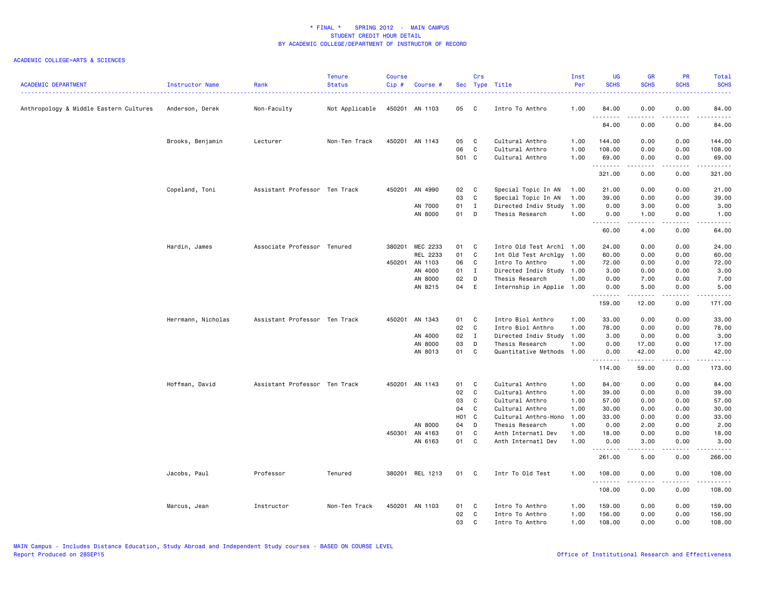| <b>ACADEMIC DEPARTMENT</b>             | Instructor Name    | Rank                          | <b>Tenure</b><br><b>Status</b> | <b>Course</b><br>Cip# | Course #        |                   | Crs          | Sec Type Title            | Inst<br>Per | UG<br><b>SCHS</b> | <b>GR</b><br><b>SCHS</b> | PR<br><b>SCHS</b>     | <b>Total</b><br><b>SCHS</b>                                                                                                                                  |
|----------------------------------------|--------------------|-------------------------------|--------------------------------|-----------------------|-----------------|-------------------|--------------|---------------------------|-------------|-------------------|--------------------------|-----------------------|--------------------------------------------------------------------------------------------------------------------------------------------------------------|
| Anthropology & Middle Eastern Cultures | Anderson, Derek    | Non-Faculty                   | Not Applicable                 |                       | 450201 AN 1103  | 05                | $\mathbf{C}$ | Intro To Anthro           | 1.00        | 84.00             | 0.00                     | 0.00<br>.             | 84.00<br>.                                                                                                                                                   |
|                                        |                    |                               |                                |                       |                 |                   |              |                           |             | 84.00             | 0.00                     | 0.00                  | 84.00                                                                                                                                                        |
|                                        | Brooks, Benjamin   | Lecturer                      | Non-Ten Track                  |                       | 450201 AN 1143  | 05                | C            | Cultural Anthro           | 1.00        | 144.00            | 0.00                     | 0.00                  | 144.00                                                                                                                                                       |
|                                        |                    |                               |                                |                       |                 | 06                | C            | Cultural Anthro           | 1.00        | 108.00            | 0.00                     | 0.00                  | 108.00                                                                                                                                                       |
|                                        |                    |                               |                                |                       |                 | 501 C             |              | Cultural Anthro           | 1.00        | 69.00<br>.        | 0.00<br>.                | 0.00<br>.             | 69.00                                                                                                                                                        |
|                                        |                    |                               |                                |                       |                 |                   |              |                           |             | 321.00            | 0.00                     | 0.00                  | 321.00                                                                                                                                                       |
|                                        | Copeland, Toni     | Assistant Professor Ten Track |                                | 450201                | AN 4990         | 02                | $\mathbf{C}$ | Special Topic In AN       | 1.00        | 21.00             | 0.00                     | 0.00                  | 21.00                                                                                                                                                        |
|                                        |                    |                               |                                |                       |                 | 03                | C            | Special Topic In AN       | 1.00        | 39.00             | 0.00                     | 0.00                  | 39.00                                                                                                                                                        |
|                                        |                    |                               |                                |                       | AN 7000         | 01                | $\mathbf{I}$ | Directed Indiv Study      | 1.00        | 0.00              | 3.00                     | 0.00                  | 3.00                                                                                                                                                         |
|                                        |                    |                               |                                |                       | AN 8000         | 01                | D            | Thesis Research           | 1.00        | 0.00<br>.         | 1.00<br>.                | 0.00<br>د د د د       | 1.00<br>$\frac{1}{2} \left( \frac{1}{2} \right) \left( \frac{1}{2} \right) \left( \frac{1}{2} \right) \left( \frac{1}{2} \right) \left( \frac{1}{2} \right)$ |
|                                        |                    |                               |                                |                       |                 |                   |              |                           |             | 60.00             | 4.00                     | 0.00                  | 64.00                                                                                                                                                        |
|                                        | Hardin, James      | Associate Professor Tenured   |                                | 380201                | MEC 2233        | 01                | C            | Intro Old Test Archl 1.00 |             | 24.00             | 0.00                     | 0.00                  | 24.00                                                                                                                                                        |
|                                        |                    |                               |                                |                       | REL 2233        | 01                | C            | Int Old Test Archlgy 1.00 |             | 60.00             | 0.00                     | 0.00                  | 60.00                                                                                                                                                        |
|                                        |                    |                               |                                |                       | 450201 AN 1103  | 06                | C            | Intro To Anthro           | 1.00        | 72.00             | 0.00                     | 0.00                  | 72.00                                                                                                                                                        |
|                                        |                    |                               |                                |                       | AN 4000         | 01                | $\mathbf{I}$ | Directed Indiv Study 1.00 |             | 3.00              | 0.00                     | 0.00                  | 3.00                                                                                                                                                         |
|                                        |                    |                               |                                |                       | AN 8000         | 02                | D            | Thesis Research           | 1.00        | 0.00              | 7.00                     | 0.00                  | 7.00                                                                                                                                                         |
|                                        |                    |                               |                                |                       | AN 8215         | 04                | E            | Internship in Applie 1.00 |             | 0.00              | 5.00<br>د د د د د        | 0.00<br>.             | 5.00<br>.                                                                                                                                                    |
|                                        |                    |                               |                                |                       |                 |                   |              |                           |             | .<br>159.00       | 12.00                    | 0.00                  | 171.00                                                                                                                                                       |
|                                        | Herrmann, Nicholas | Assistant Professor Ten Track |                                | 450201                | AN 1343         | 01                | C            | Intro Biol Anthro         | 1.00        | 33.00             | 0.00                     | 0.00                  | 33.00                                                                                                                                                        |
|                                        |                    |                               |                                |                       |                 | 02                | C            | Intro Biol Anthro         | 1.00        | 78.00             | 0.00                     | 0.00                  | 78.00                                                                                                                                                        |
|                                        |                    |                               |                                |                       | AN 4000         | 02                | $\mathbf{I}$ | Directed Indiv Study      | 1.00        | 3.00              | 0.00                     | 0.00                  | 3.00                                                                                                                                                         |
|                                        |                    |                               |                                |                       | AN 8000         | 03                | D            | Thesis Research           | 1.00        | 0.00              | 17.00                    | 0.00                  | 17.00                                                                                                                                                        |
|                                        |                    |                               |                                |                       | AN 8013         | 01                | C.           | Quantitative Methods      | 1.00        | 0.00<br>.         | 42.00<br><b>.</b>        | 0.00<br>.             | 42.00<br>.                                                                                                                                                   |
|                                        |                    |                               |                                |                       |                 |                   |              |                           |             | 114.00            | 59.00                    | 0.00                  | 173.00                                                                                                                                                       |
|                                        | Hoffman, David     | Assistant Professor Ten Track |                                |                       | 450201 AN 1143  | 01                | C            | Cultural Anthro           | 1.00        | 84.00             | 0.00                     | 0.00                  | 84.00                                                                                                                                                        |
|                                        |                    |                               |                                |                       |                 | 02                | C            | Cultural Anthro           | 1.00        | 39.00             | 0.00                     | 0.00                  | 39.00                                                                                                                                                        |
|                                        |                    |                               |                                |                       |                 | 03                | C            | Cultural Anthro           | 1.00        | 57.00             | 0.00                     | 0.00                  | 57.00                                                                                                                                                        |
|                                        |                    |                               |                                |                       |                 | 04                | C            | Cultural Anthro           | 1.00        | 30.00             | 0.00                     | 0.00                  | 30.00                                                                                                                                                        |
|                                        |                    |                               |                                |                       |                 | H <sub>01</sub> C |              | Cultural Anthro-Hono      | 1.00        | 33.00             | 0.00                     | 0.00                  | 33.00                                                                                                                                                        |
|                                        |                    |                               |                                |                       | AN 8000         | 04                | D            | Thesis Research           | 1.00        | 0.00              | 2.00                     | 0.00                  | 2.00                                                                                                                                                         |
|                                        |                    |                               |                                |                       | 450301 AN 4163  | 01                | C            | Anth Internatl Dev        | 1.00        | 18.00             | 0.00                     | 0.00                  | 18.00                                                                                                                                                        |
|                                        |                    |                               |                                |                       | AN 6163         | 01 C              |              | Anth Internatl Dev        | 1.00        | 0.00<br>.         | 3.00<br>.                | 0.00<br>$\frac{1}{2}$ | 3.00<br>.                                                                                                                                                    |
|                                        |                    |                               |                                |                       |                 |                   |              |                           |             | 261.00            | 5.00                     | 0.00                  | 266.00                                                                                                                                                       |
|                                        | Jacobs, Paul       | Professor                     | Tenured                        |                       | 380201 REL 1213 | 01                | $\mathbf{C}$ | Intr To Old Test          | 1.00        | 108.00<br>.       | 0.00                     | 0.00                  | 108.00<br>.                                                                                                                                                  |
|                                        |                    |                               |                                |                       |                 |                   |              |                           |             | 108.00            | 0.00                     | 0.00                  | 108.00                                                                                                                                                       |
|                                        | Marcus, Jean       | Instructor                    | Non-Ten Track                  |                       | 450201 AN 1103  | 01                | C            | Intro To Anthro           | 1.00        | 159.00            | 0.00                     | 0.00                  | 159.00                                                                                                                                                       |
|                                        |                    |                               |                                |                       |                 | 02                | C            | Intro To Anthro           | 1.00        | 156.00            | 0.00                     | 0.00                  | 156.00                                                                                                                                                       |
|                                        |                    |                               |                                |                       |                 | 03                | C            | Intro To Anthro           | 1.00        | 108.00            | 0.00                     | 0.00                  | 108.00                                                                                                                                                       |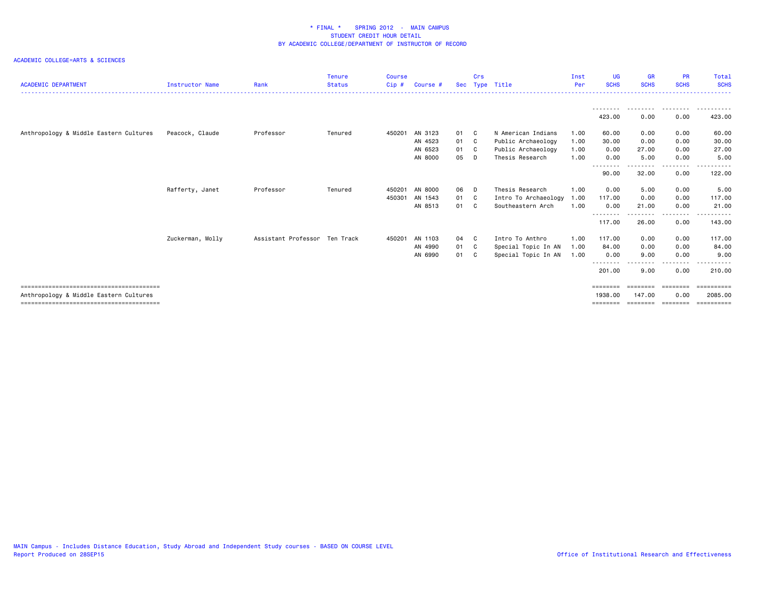| <b>ACADEMIC DEPARTMENT</b>             | <b>Instructor Name</b> | Rank                          | <b>Tenure</b><br><b>Status</b> | <b>Course</b><br>Cip# | Course # | <b>Sec</b> | Crs | Type Title           | Inst<br>Per | <b>UG</b><br><b>SCHS</b> | <b>GR</b><br><b>SCHS</b> | <b>PR</b><br><b>SCHS</b> | Total<br><b>SCHS</b>  |
|----------------------------------------|------------------------|-------------------------------|--------------------------------|-----------------------|----------|------------|-----|----------------------|-------------|--------------------------|--------------------------|--------------------------|-----------------------|
|                                        |                        |                               |                                |                       |          |            |     |                      |             |                          |                          | ---------                |                       |
|                                        |                        |                               |                                |                       |          |            |     |                      |             | 423.00                   | 0.00                     | 0.00                     | 423.00                |
| Anthropology & Middle Eastern Cultures | Peacock, Claude        | Professor                     | Tenured                        | 450201                | AN 3123  | 01 C       |     | N American Indians   | 1.00        | 60.00                    | 0.00                     | 0.00                     | 60.00                 |
|                                        |                        |                               |                                |                       | AN 4523  | 01 C       |     | Public Archaeology   | 1.00        | 30.00                    | 0.00                     | 0.00                     | 30.00                 |
|                                        |                        |                               |                                |                       | AN 6523  | 01         | - C | Public Archaeology   | 1.00        | 0.00                     | 27.00                    | 0.00                     | 27.00                 |
|                                        |                        |                               |                                |                       | AN 8000  | 05         | D   | Thesis Research      | 1.00        | 0.00<br>--------         | 5.00                     | 0.00                     | 5.00                  |
|                                        |                        |                               |                                |                       |          |            |     |                      |             | 90.00                    | 32.00                    | 0.00                     | 122.00                |
|                                        | Rafferty, Janet        | Professor                     | Tenured                        | 450201                | AN 8000  | 06         | D.  | Thesis Research      | 1.00        | 0.00                     | 5.00                     | 0.00                     | 5.00                  |
|                                        |                        |                               |                                | 450301                | AN 1543  | 01 C       |     | Intro To Archaeology | 1.00        | 117.00                   | 0.00                     | 0.00                     | 117.00                |
|                                        |                        |                               |                                |                       | AN 8513  | 01         | C.  | Southeastern Arch    | 1.00        | 0.00                     | 21.00                    | 0.00                     | 21.00                 |
|                                        |                        |                               |                                |                       |          |            |     |                      |             | --------<br>117.00       | -----<br>26.00           | . <u>.</u> .<br>0.00     | - - - - - -<br>143.00 |
|                                        | Zuckerman, Molly       | Assistant Professor Ten Track |                                | 450201                | AN 1103  | 04 C       |     | Intro To Anthro      | 1.00        | 117.00                   | 0.00                     | 0.00                     | 117.00                |
|                                        |                        |                               |                                |                       | AN 4990  | 01 C       |     | Special Topic In AN  | 1.00        | 84.00                    | 0.00                     | 0.00                     | 84.00                 |
|                                        |                        |                               |                                |                       | AN 6990  | 01 C       |     | Special Topic In AN  | 1.00        | 0.00                     | 9.00                     | 0.00                     | 9.00                  |
|                                        |                        |                               |                                |                       |          |            |     |                      |             | --------<br>201.00       | 9.00                     | .<br>0.00                | 210.00                |
|                                        |                        |                               |                                |                       |          |            |     |                      |             | ========                 | ========                 | ========                 | ==========            |
| Anthropology & Middle Eastern Cultures |                        |                               |                                |                       |          |            |     |                      |             | 1938.00                  | 147.00                   | 0.00                     | 2085.00               |
|                                        |                        |                               |                                |                       |          |            |     |                      |             | ========                 | --------                 | eessees                  | eeeeeeee              |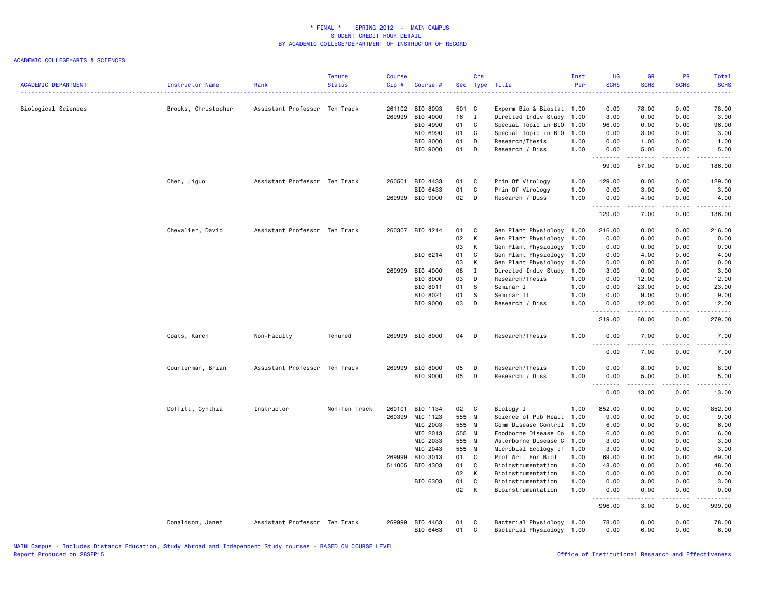| <b>ACADEMIC DEPARTMENT</b> | <b>Instructor Name</b> | Rank                          | <b>Tenure</b><br><b>Status</b> | Course<br>Cip# | Course #             |          | Crs          | Sec Type Title                                         | Inst<br>Per | <b>UG</b><br><b>SCHS</b> | <b>GR</b><br><b>SCHS</b>                                                                                                                             | PR<br><b>SCHS</b> | <b>Total</b><br><b>SCHS</b>                                                                                                                                  |
|----------------------------|------------------------|-------------------------------|--------------------------------|----------------|----------------------|----------|--------------|--------------------------------------------------------|-------------|--------------------------|------------------------------------------------------------------------------------------------------------------------------------------------------|-------------------|--------------------------------------------------------------------------------------------------------------------------------------------------------------|
|                            |                        |                               |                                |                |                      |          |              |                                                        |             |                          |                                                                                                                                                      |                   | .                                                                                                                                                            |
| Biological Sciences        | Brooks, Christopher    | Assistant Professor Ten Track |                                |                | 261102 BIO 8093      | 501 C    |              | Experm Bio & Biostat 1.00                              |             | 0.00                     | 78.00                                                                                                                                                | 0.00              | 78.00                                                                                                                                                        |
|                            |                        |                               |                                | 269999         | BIO 4000             | 16       | $\mathbf{I}$ | Directed Indiv Study                                   | 1.00        | 3.00                     | 0.00                                                                                                                                                 | 0.00              | 3.00                                                                                                                                                         |
|                            |                        |                               |                                |                | BIO 4990             | 01       | C            | Special Topic in BIO                                   | 1.00        | 96.00                    | 0.00                                                                                                                                                 | 0.00              | 96.00                                                                                                                                                        |
|                            |                        |                               |                                |                | BIO 6990             | 01       | C            | Special Topic in BIO                                   | 1.00        | 0.00                     | 3.00                                                                                                                                                 | 0.00              | 3.00                                                                                                                                                         |
|                            |                        |                               |                                |                | BIO 8000             | 01       | D            | Research/Thesis                                        | 1.00        | 0.00                     | 1.00                                                                                                                                                 | 0.00              | 1.00                                                                                                                                                         |
|                            |                        |                               |                                |                | BIO 9000             | 01       | D            | Research / Diss                                        | 1.00        | 0.00<br>.                | 5.00<br>المتمامين                                                                                                                                    | 0.00<br>.         | 5.00<br>.                                                                                                                                                    |
|                            |                        |                               |                                |                |                      |          |              |                                                        |             | 99.00                    | 87.00                                                                                                                                                | 0.00              | 186.00                                                                                                                                                       |
|                            | Chen, Jiguo            | Assistant Professor Ten Track |                                | 260501         | BIO 4433             | 01       | C            | Prin Of Virology                                       | 1.00        | 129.00                   | 0.00                                                                                                                                                 | 0.00              | 129.00                                                                                                                                                       |
|                            |                        |                               |                                |                | BIO 6433             | 01       | C            | Prin Of Virology                                       | 1.00        | 0.00                     | 3.00                                                                                                                                                 | 0.00              | 3.00                                                                                                                                                         |
|                            |                        |                               |                                |                | 269999 BIO 9000      | 02       | $\Box$       | Research / Diss                                        | 1.00        | 0.00<br>.                | 4.00<br>-----                                                                                                                                        | 0.00<br>.         | 4.00<br>.                                                                                                                                                    |
|                            |                        |                               |                                |                |                      |          |              |                                                        |             | 129.00                   | 7.00                                                                                                                                                 | 0.00              | 136.00                                                                                                                                                       |
|                            | Chevalier, David       | Assistant Professor Ten Track |                                |                | 260307 BIO 4214      | 01       | C            | Gen Plant Physiology 1.00                              |             | 216.00                   | 0.00                                                                                                                                                 | 0.00              | 216.00                                                                                                                                                       |
|                            |                        |                               |                                |                |                      | 02       | K            | Gen Plant Physiology                                   | 1.00        | 0.00                     | 0.00                                                                                                                                                 | 0.00              | 0.00                                                                                                                                                         |
|                            |                        |                               |                                |                |                      | 03       | К            | Gen Plant Physiology                                   | 1.00        | 0.00                     | 0.00                                                                                                                                                 | 0.00              | 0.00                                                                                                                                                         |
|                            |                        |                               |                                |                | BIO 6214             | 01       | $\mathtt{C}$ | Gen Plant Physiology                                   | 1.00        | 0.00                     | 4.00                                                                                                                                                 | 0.00              | 4.00                                                                                                                                                         |
|                            |                        |                               |                                |                |                      | 03       | к            | Gen Plant Physiology                                   | 1.00        | 0.00                     | 0.00                                                                                                                                                 | 0.00              | 0.00                                                                                                                                                         |
|                            |                        |                               |                                | 269999         | BIO 4000             | 08       | $\mathbf{I}$ | Directed Indiv Study                                   | 1.00        | 3.00                     | 0.00                                                                                                                                                 | 0.00              | 3.00                                                                                                                                                         |
|                            |                        |                               |                                |                | BIO 8000             | 03       | D            | Research/Thesis                                        | 1.00        | 0.00                     | 12.00                                                                                                                                                | 0.00              | 12.00                                                                                                                                                        |
|                            |                        |                               |                                |                | BIO 8011             | 01       | s.           | Seminar I                                              | 1.00        | 0.00                     | 23.00                                                                                                                                                | 0.00              | 23.00                                                                                                                                                        |
|                            |                        |                               |                                |                | BIO 8021             | 01       | S            | Seminar II                                             | 1.00        | 0.00                     | 9.00                                                                                                                                                 | 0.00              | 9.00                                                                                                                                                         |
|                            |                        |                               |                                |                | BIO 9000             | 03       | D            | Research / Diss                                        | 1.00        | 0.00                     | 12.00                                                                                                                                                | 0.00              | 12.00                                                                                                                                                        |
|                            |                        |                               |                                |                |                      |          |              |                                                        |             | .<br>219.00              | .<br>60.00                                                                                                                                           | .<br>0.00         | .<br>279.00                                                                                                                                                  |
|                            | Coats, Karen           | Non-Faculty                   | Tenured                        |                | 269999 BIO 8000      | 04       | D            | Research/Thesis                                        | 1.00        | 0.00<br>.                | 7.00<br>.                                                                                                                                            | 0.00<br>د د د د   | 7.00<br>$\frac{1}{2} \left( \frac{1}{2} \right) \left( \frac{1}{2} \right) \left( \frac{1}{2} \right) \left( \frac{1}{2} \right) \left( \frac{1}{2} \right)$ |
|                            |                        |                               |                                |                |                      |          |              |                                                        |             | 0.00                     | 7.00                                                                                                                                                 | 0.00              | 7.00                                                                                                                                                         |
|                            | Counterman, Brian      | Assistant Professor Ten Track |                                | 269999         | BIO 8000             | 05       | D            | Research/Thesis                                        | 1.00        | 0.00                     | 8.00                                                                                                                                                 | 0.00              | 8.00                                                                                                                                                         |
|                            |                        |                               |                                |                | BIO 9000             | 05       | D            | Research / Diss                                        | 1.00        | 0.00                     | 5.00                                                                                                                                                 | 0.00              | 5.00                                                                                                                                                         |
|                            |                        |                               |                                |                |                      |          |              |                                                        |             | .                        | $\frac{1}{2} \left( \frac{1}{2} \right) \left( \frac{1}{2} \right) \left( \frac{1}{2} \right) \left( \frac{1}{2} \right) \left( \frac{1}{2} \right)$ | .                 | .                                                                                                                                                            |
|                            |                        |                               |                                |                |                      |          |              |                                                        |             | 0.00                     | 13.00                                                                                                                                                | 0.00              | 13.00                                                                                                                                                        |
|                            | Doffitt, Cynthia       | Instructor                    | Non-Ten Track                  | 260101         | BIO 1134             | 02 C     |              | Biology I                                              | 1.00        | 852.00                   | 0.00                                                                                                                                                 | 0.00              | 852.00                                                                                                                                                       |
|                            |                        |                               |                                | 260399         | MIC 1123             | 555 M    |              | Science of Pub Healt 1.00                              |             | 9.00                     | 0.00                                                                                                                                                 | 0.00              | 9.00                                                                                                                                                         |
|                            |                        |                               |                                |                | MIC 2003             | 555 M    |              | Comm Disease Control                                   | 1.00        | 6.00                     | 0.00                                                                                                                                                 | 0.00              | 6.00                                                                                                                                                         |
|                            |                        |                               |                                |                | MIC 2013             | 555 M    |              | Foodborne Disease Co                                   | 1.00        | 6.00                     | 0.00                                                                                                                                                 | 0.00              | 6.00                                                                                                                                                         |
|                            |                        |                               |                                |                | MIC 2033             | 555 M    |              | Waterborne Disease C                                   | 1.00        | 3.00                     | 0.00                                                                                                                                                 | 0.00              | 3.00                                                                                                                                                         |
|                            |                        |                               |                                |                | MIC 2043             | 555 M    |              | Microbial Ecology of 1.00                              |             | 3.00                     | 0.00                                                                                                                                                 | 0.00              | 3.00                                                                                                                                                         |
|                            |                        |                               |                                | 269999         | BIO 3013             | 01       | C            | Prof Writ For Biol                                     | 1.00        | 69.00                    | 0.00                                                                                                                                                 | 0.00              | 69.00                                                                                                                                                        |
|                            |                        |                               |                                |                | 511005 BIO 4303      | 01       | C            | Bioinstrumentation                                     | 1.00        | 48.00                    | 0.00                                                                                                                                                 | 0.00              | 48.00                                                                                                                                                        |
|                            |                        |                               |                                |                |                      | 02       | K            | Bioinstrumentation                                     | 1.00        | 0.00                     | 0.00                                                                                                                                                 | 0.00              | 0.00                                                                                                                                                         |
|                            |                        |                               |                                |                | BIO 6303             | 01       | C            | Bioinstrumentation                                     | 1.00        | 0.00                     | 3.00                                                                                                                                                 | 0.00              | 3.00                                                                                                                                                         |
|                            |                        |                               |                                |                |                      | 02       | К            | Bioinstrumentation                                     | 1.00        | 0.00<br>.                | 0.00<br>.                                                                                                                                            | 0.00<br>.         | 0.00<br>.                                                                                                                                                    |
|                            |                        |                               |                                |                |                      |          |              |                                                        |             | 996.00                   | 3.00                                                                                                                                                 | 0.00              | 999.00                                                                                                                                                       |
|                            | Donaldson, Janet       | Assistant Professor Ten Track |                                | 269999         | BIO 4463<br>BIO 6463 | 01<br>01 | C<br>C       | Bacterial Physiology 1.00<br>Bacterial Physiology 1.00 |             | 78.00<br>0.00            | 0.00<br>6.00                                                                                                                                         | 0.00<br>0.00      | 78.00<br>6.00                                                                                                                                                |
|                            |                        |                               |                                |                |                      |          |              |                                                        |             |                          |                                                                                                                                                      |                   |                                                                                                                                                              |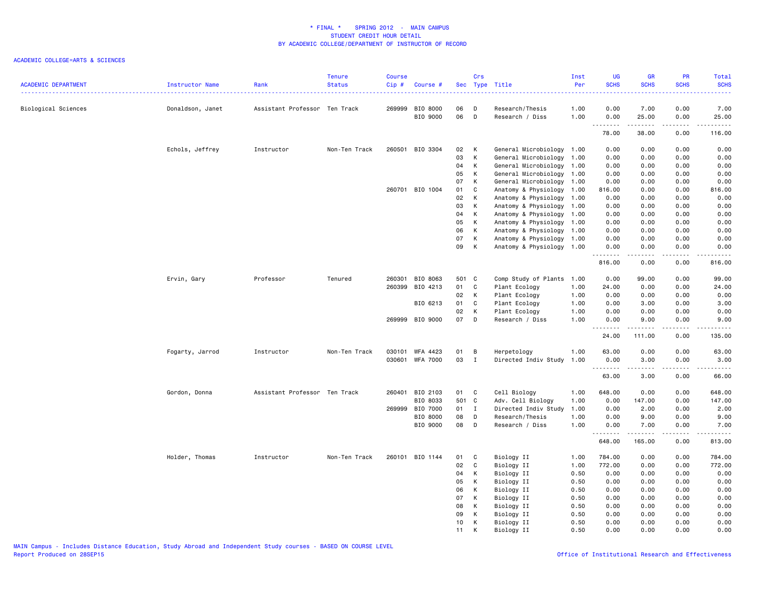| <b>ACADEMIC DEPARTMENT</b> | Instructor Name  | Rank                          | <b>Tenure</b><br><b>Status</b> | <b>Course</b><br>Cip# | Course #                    |          | Crs          | Sec Type Title                                    | Inst<br>Per  | <b>UG</b><br><b>SCHS</b> | <b>GR</b><br><b>SCHS</b> | PR<br><b>SCHS</b> | Total<br><b>SCHS</b><br>.                                                                                                                                      |
|----------------------------|------------------|-------------------------------|--------------------------------|-----------------------|-----------------------------|----------|--------------|---------------------------------------------------|--------------|--------------------------|--------------------------|-------------------|----------------------------------------------------------------------------------------------------------------------------------------------------------------|
| Biological Sciences        | Donaldson, Janet | Assistant Professor Ten Track |                                |                       | 269999 BIO 8000<br>BIO 9000 | 06<br>06 | D<br>D       | Research/Thesis<br>Research / Diss                | 1.00<br>1.00 | 0.00<br>0.00             | 7.00<br>25.00            | 0.00<br>0.00      | 7.00<br>25.00                                                                                                                                                  |
|                            |                  |                               |                                |                       |                             |          |              |                                                   |              | .<br>78.00               | ------<br>38.00          | .<br>0.00         | .<br>116.00                                                                                                                                                    |
|                            |                  |                               |                                |                       |                             |          |              |                                                   |              |                          |                          |                   |                                                                                                                                                                |
|                            | Echols, Jeffrey  | Instructor                    | Non-Ten Track                  |                       | 260501 BIO 3304             | 02       | K            | General Microbiology 1.00                         |              | 0.00                     | 0.00                     | 0.00              | 0.00                                                                                                                                                           |
|                            |                  |                               |                                |                       |                             | 03       | К            | General Microbiology 1.00                         |              | 0.00                     | 0.00                     | 0.00              | 0.00                                                                                                                                                           |
|                            |                  |                               |                                |                       |                             | 04       | K            | General Microbiology 1.00                         |              | 0.00                     | 0.00                     | 0.00              | 0.00                                                                                                                                                           |
|                            |                  |                               |                                |                       |                             | 05       | К            | General Microbiology 1.00                         |              | 0.00                     | 0.00                     | 0.00              | 0.00                                                                                                                                                           |
|                            |                  |                               |                                |                       |                             | 07       | K            | General Microbiology                              | 1.00         | 0.00                     | 0.00                     | 0.00              | 0.00                                                                                                                                                           |
|                            |                  |                               |                                |                       | 260701 BIO 1004             | 01       | C<br>K       | Anatomy & Physiology 1.00                         |              | 816.00<br>0.00           | 0.00                     | 0.00<br>0.00      | 816.00                                                                                                                                                         |
|                            |                  |                               |                                |                       |                             | 02<br>03 | К            | Anatomy & Physiology 1.00<br>Anatomy & Physiology | 1.00         | 0.00                     | 0.00<br>0.00             | 0.00              | 0.00<br>0.00                                                                                                                                                   |
|                            |                  |                               |                                |                       |                             | 04       | K            | Anatomy & Physiology 1.00                         |              | 0.00                     | 0.00                     | 0.00              | 0.00                                                                                                                                                           |
|                            |                  |                               |                                |                       |                             | 05       | к            | Anatomy & Physiology                              | 1.00         | 0.00                     | 0.00                     | 0.00              | 0.00                                                                                                                                                           |
|                            |                  |                               |                                |                       |                             | 06       | K            | Anatomy & Physiology 1.00                         |              | 0.00                     | 0.00                     | 0.00              | 0.00                                                                                                                                                           |
|                            |                  |                               |                                |                       |                             | 07       | К            | Anatomy & Physiology 1.00                         |              | 0.00                     | 0.00                     | 0.00              | 0.00                                                                                                                                                           |
|                            |                  |                               |                                |                       |                             | 09       | К            | Anatomy & Physiology 1.00                         |              | 0.00                     | 0.00                     | 0.00              | 0.00                                                                                                                                                           |
|                            |                  |                               |                                |                       |                             |          |              |                                                   |              | .<br>816.00              | .<br>0.00                | د د د د<br>0.00   | $\frac{1}{2} \left( \frac{1}{2} \right) \left( \frac{1}{2} \right) \left( \frac{1}{2} \right) \left( \frac{1}{2} \right) \left( \frac{1}{2} \right)$<br>816.00 |
|                            | Ervin, Gary      | Professor                     | Tenured                        |                       | 260301 BIO 8063             | 501 C    |              | Comp Study of Plants                              | 1.00         | 0.00                     | 99.00                    | 0.00              | 99.00                                                                                                                                                          |
|                            |                  |                               |                                |                       | 260399 BIO 4213             | 01       | C            | Plant Ecology                                     | 1.00         | 24.00                    | 0.00                     | 0.00              | 24.00                                                                                                                                                          |
|                            |                  |                               |                                |                       |                             | 02       | K            | Plant Ecology                                     | 1.00         | 0.00                     | 0.00                     | 0.00              | 0.00                                                                                                                                                           |
|                            |                  |                               |                                |                       | BIO 6213                    | 01       | C            | Plant Ecology                                     | 1.00         | 0.00                     | 3.00                     | 0.00              | 3.00                                                                                                                                                           |
|                            |                  |                               |                                |                       |                             | 02       | K            | Plant Ecology                                     | 1.00         | 0.00                     | 0.00                     | 0.00              | 0.00                                                                                                                                                           |
|                            |                  |                               |                                |                       | 269999 BIO 9000             | 07       | D            | Research / Diss                                   | 1.00         | 0.00                     | 9.00                     | 0.00              | 9.00                                                                                                                                                           |
|                            |                  |                               |                                |                       |                             |          |              |                                                   |              | .<br>24.00               | 111.00                   | .<br>0.00         | .<br>135.00                                                                                                                                                    |
|                            | Fogarty, Jarrod  | Instructor                    | Non-Ten Track                  |                       | 030101 WFA 4423             | 01       | B            | Herpetology                                       | 1.00         | 63.00                    | 0.00                     | 0.00              | 63.00                                                                                                                                                          |
|                            |                  |                               |                                |                       | 030601 WFA 7000             | 03       | $\mathbf{I}$ | Directed Indiv Study                              | 1.00         | 0.00                     | 3.00                     | 0.00              | 3.00                                                                                                                                                           |
|                            |                  |                               |                                |                       |                             |          |              |                                                   |              | .                        | <u>.</u>                 | . <b>.</b>        | $\omega$ is a set of                                                                                                                                           |
|                            |                  |                               |                                |                       |                             |          |              |                                                   |              | 63.00                    | 3.00                     | 0.00              | 66.00                                                                                                                                                          |
|                            | Gordon, Donna    | Assistant Professor Ten Track |                                |                       | 260401 BIO 2103             | 01 C     |              | Cell Biology                                      | 1.00         | 648.00                   | 0.00                     | 0.00              | 648.00                                                                                                                                                         |
|                            |                  |                               |                                |                       | BIO 8033                    | 501 C    |              | Adv. Cell Biology                                 | 1.00         | 0.00                     | 147.00                   | 0.00              | 147.00                                                                                                                                                         |
|                            |                  |                               |                                |                       | 269999 BIO 7000             | 01 I     |              | Directed Indiv Study                              | 1.00         | 0.00                     | 2.00                     | 0.00              | 2.00                                                                                                                                                           |
|                            |                  |                               |                                |                       | BIO 8000                    | 80       | D            | Research/Thesis                                   | 1.00         | 0.00                     | 9.00                     | 0.00              | 9.00                                                                                                                                                           |
|                            |                  |                               |                                |                       | BIO 9000                    | 08       | D            | Research / Diss                                   | 1.00         | 0.00<br>.                | 7.00<br>. <b>.</b>       | 0.00<br>.         | 7.00                                                                                                                                                           |
|                            |                  |                               |                                |                       |                             |          |              |                                                   |              | 648.00                   | 165.00                   | 0.00              | 813.00                                                                                                                                                         |
|                            | Holder, Thomas   | Instructor                    | Non-Ten Track                  |                       | 260101 BIO 1144             | 01       | C            | Biology II                                        | 1.00         | 784.00                   | 0.00                     | 0.00              | 784.00                                                                                                                                                         |
|                            |                  |                               |                                |                       |                             | 02       | C            | Biology II                                        | 1.00         | 772.00                   | 0.00                     | 0.00              | 772.00                                                                                                                                                         |
|                            |                  |                               |                                |                       |                             | 04       | К            | Biology II                                        | 0.50         | 0.00                     | 0.00                     | 0.00              | 0.00                                                                                                                                                           |
|                            |                  |                               |                                |                       |                             | 05       | K            | Biology II                                        | 0.50         | 0.00                     | 0.00                     | 0.00              | 0.00                                                                                                                                                           |
|                            |                  |                               |                                |                       |                             | 06       | К            | Biology II                                        | 0.50         | 0.00                     | 0.00                     | 0.00              | 0.00                                                                                                                                                           |
|                            |                  |                               |                                |                       |                             | 07       | K            | Biology II                                        | 0.50         | 0.00                     | 0.00                     | 0.00              | 0.00                                                                                                                                                           |
|                            |                  |                               |                                |                       |                             | 08       | К            | Biology II                                        | 0.50         | 0.00                     | 0.00                     | 0.00              | 0.00                                                                                                                                                           |
|                            |                  |                               |                                |                       |                             | 09       | K            | Biology II                                        | 0.50         | 0.00                     | 0.00                     | 0.00              | 0.00                                                                                                                                                           |
|                            |                  |                               |                                |                       |                             | 10       | К            | Biology II                                        | 0.50         | 0.00                     | 0.00                     | 0.00              | 0.00                                                                                                                                                           |
|                            |                  |                               |                                |                       |                             | 11       | К            | Biology II                                        | 0.50         | 0.00                     | 0.00                     | 0.00              | 0.00                                                                                                                                                           |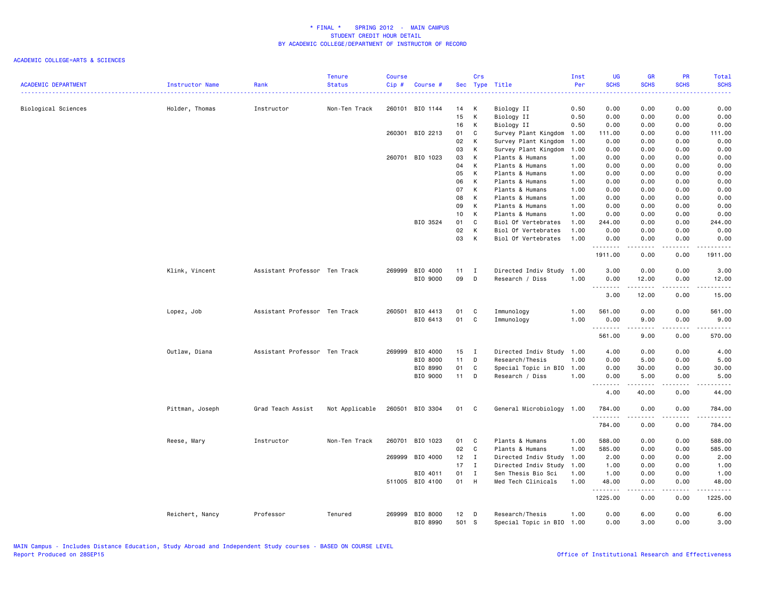|                            |                        |                               | <b>Tenure</b>  | <b>Course</b> |                 |        | Crs          |                           | Inst | UG                                                                                                                                                                                                                                                                                                                                                                                                                                                                                             | <b>GR</b>   | PR                   | Total                           |
|----------------------------|------------------------|-------------------------------|----------------|---------------|-----------------|--------|--------------|---------------------------|------|------------------------------------------------------------------------------------------------------------------------------------------------------------------------------------------------------------------------------------------------------------------------------------------------------------------------------------------------------------------------------------------------------------------------------------------------------------------------------------------------|-------------|----------------------|---------------------------------|
| <b>ACADEMIC DEPARTMENT</b> | <b>Instructor Name</b> | Rank                          | <b>Status</b>  | Cip#          | Course #        |        |              | Sec Type Title            | Per  | <b>SCHS</b>                                                                                                                                                                                                                                                                                                                                                                                                                                                                                    | <b>SCHS</b> | <b>SCHS</b>          | <b>SCHS</b>                     |
|                            |                        | Instructor                    | Non-Ten Track  |               | 260101 BIO 1144 | 14     | K            | Biology II                | 0.50 | 0.00                                                                                                                                                                                                                                                                                                                                                                                                                                                                                           | 0.00        | 0.00                 | 0.00                            |
| Biological Sciences        | Holder, Thomas         |                               |                |               |                 | 15     | K            | Biology II                | 0.50 | 0.00                                                                                                                                                                                                                                                                                                                                                                                                                                                                                           | 0.00        | 0.00                 | 0.00                            |
|                            |                        |                               |                |               |                 | 16     | K            | Biology II                | 0.50 | 0.00                                                                                                                                                                                                                                                                                                                                                                                                                                                                                           | 0.00        | 0.00                 | 0.00                            |
|                            |                        |                               |                |               | 260301 BIO 2213 | 01     | C            | Survey Plant Kingdom      | 1.00 | 111.00                                                                                                                                                                                                                                                                                                                                                                                                                                                                                         | 0.00        | 0.00                 | 111.00                          |
|                            |                        |                               |                |               |                 | 02     | K            | Survey Plant Kingdom      | 1.00 | 0.00                                                                                                                                                                                                                                                                                                                                                                                                                                                                                           | 0.00        | 0.00                 | 0.00                            |
|                            |                        |                               |                |               |                 | 03     | K            | Survey Plant Kingdom      | 1.00 | 0.00                                                                                                                                                                                                                                                                                                                                                                                                                                                                                           | 0.00        | 0.00                 | 0.00                            |
|                            |                        |                               |                |               | 260701 BIO 1023 | 03     | К            | Plants & Humans           | 1.00 | 0.00                                                                                                                                                                                                                                                                                                                                                                                                                                                                                           | 0.00        | 0.00                 | 0.00                            |
|                            |                        |                               |                |               |                 | 04     | K            | Plants & Humans           | 1.00 | 0.00                                                                                                                                                                                                                                                                                                                                                                                                                                                                                           | 0.00        | 0.00                 | 0.00                            |
|                            |                        |                               |                |               |                 |        | K            |                           |      |                                                                                                                                                                                                                                                                                                                                                                                                                                                                                                |             |                      |                                 |
|                            |                        |                               |                |               |                 | 05     |              | Plants & Humans           | 1.00 | 0.00                                                                                                                                                                                                                                                                                                                                                                                                                                                                                           | 0.00        | 0.00                 | 0.00                            |
|                            |                        |                               |                |               |                 | 06     | K            | Plants & Humans           | 1.00 | 0.00                                                                                                                                                                                                                                                                                                                                                                                                                                                                                           | 0.00        | 0.00                 | 0.00                            |
|                            |                        |                               |                |               |                 | 07     | K            | Plants & Humans           | 1.00 | 0.00                                                                                                                                                                                                                                                                                                                                                                                                                                                                                           | 0.00        | 0.00                 | 0.00                            |
|                            |                        |                               |                |               |                 | 08     | K            | Plants & Humans           | 1.00 | 0.00                                                                                                                                                                                                                                                                                                                                                                                                                                                                                           | 0.00        | 0.00                 | 0.00                            |
|                            |                        |                               |                |               |                 | 09     | K            | Plants & Humans           | 1.00 | 0.00                                                                                                                                                                                                                                                                                                                                                                                                                                                                                           | 0.00        | 0.00                 | 0.00                            |
|                            |                        |                               |                |               |                 | 10     | K            | Plants & Humans           | 1.00 | 0.00                                                                                                                                                                                                                                                                                                                                                                                                                                                                                           | 0.00        | 0.00                 | 0.00                            |
|                            |                        |                               |                |               | BIO 3524        | 01     | C            | Biol Of Vertebrates       | 1.00 | 244.00                                                                                                                                                                                                                                                                                                                                                                                                                                                                                         | 0.00        | 0.00                 | 244.00                          |
|                            |                        |                               |                |               |                 | 02     | К            | Biol Of Vertebrates       | 1.00 | 0.00                                                                                                                                                                                                                                                                                                                                                                                                                                                                                           | 0.00        | 0.00                 | 0.00                            |
|                            |                        |                               |                |               |                 | 03     | К            | Biol Of Vertebrates       | 1.00 | 0.00<br>$\begin{array}{cccccccccccccc} \multicolumn{2}{c}{} & \multicolumn{2}{c}{} & \multicolumn{2}{c}{} & \multicolumn{2}{c}{} & \multicolumn{2}{c}{} & \multicolumn{2}{c}{} & \multicolumn{2}{c}{} & \multicolumn{2}{c}{} & \multicolumn{2}{c}{} & \multicolumn{2}{c}{} & \multicolumn{2}{c}{} & \multicolumn{2}{c}{} & \multicolumn{2}{c}{} & \multicolumn{2}{c}{} & \multicolumn{2}{c}{} & \multicolumn{2}{c}{} & \multicolumn{2}{c}{} & \multicolumn{2}{c}{} & \multicolumn{2}{c}{} & \$ | 0.00<br>.   | 0.00<br>$\sim$ - - - | 0.00<br>.                       |
|                            |                        |                               |                |               |                 |        |              |                           |      | 1911.00                                                                                                                                                                                                                                                                                                                                                                                                                                                                                        | 0.00        | 0.00                 | 1911.00                         |
|                            | Klink, Vincent         | Assistant Professor Ten Track |                |               | 269999 BIO 4000 | 11     | $\mathbf{I}$ | Directed Indiv Study      | 1.00 | 3.00                                                                                                                                                                                                                                                                                                                                                                                                                                                                                           | 0.00        | 0.00                 | 3.00                            |
|                            |                        |                               |                |               | BIO 9000        | 09     | $\mathsf{D}$ | Research / Diss           | 1.00 | 0.00                                                                                                                                                                                                                                                                                                                                                                                                                                                                                           | 12.00       | 0.00                 | 12.00                           |
|                            |                        |                               |                |               |                 |        |              |                           |      | .                                                                                                                                                                                                                                                                                                                                                                                                                                                                                              | -----       | $\frac{1}{2}$        | $\frac{1}{2}$                   |
|                            |                        |                               |                |               |                 |        |              |                           |      | 3.00                                                                                                                                                                                                                                                                                                                                                                                                                                                                                           | 12.00       | 0.00                 | 15.00                           |
|                            | Lopez, Job             | Assistant Professor Ten Track |                | 260501        | BIO 4413        | 01     | C            | Immunology                | 1.00 | 561.00                                                                                                                                                                                                                                                                                                                                                                                                                                                                                         | 0.00        | 0.00                 | 561.00                          |
|                            |                        |                               |                |               | BIO 6413        | 01     | C            | Immunology                | 1.00 | 0.00<br>.                                                                                                                                                                                                                                                                                                                                                                                                                                                                                      | 9.00<br>.   | 0.00<br>-----        | 9.00<br>. <u>.</u>              |
|                            |                        |                               |                |               |                 |        |              |                           |      | 561.00                                                                                                                                                                                                                                                                                                                                                                                                                                                                                         | 9.00        | 0.00                 | 570.00                          |
|                            | Outlaw, Diana          | Assistant Professor Ten Track |                | 269999        | BIO 4000        | 15     | $\mathbf{I}$ | Directed Indiv Study 1.00 |      | 4.00                                                                                                                                                                                                                                                                                                                                                                                                                                                                                           | 0.00        | 0.00                 | 4.00                            |
|                            |                        |                               |                |               | BIO 8000        | 11     | D            | Research/Thesis           | 1.00 | 0.00                                                                                                                                                                                                                                                                                                                                                                                                                                                                                           | 5.00        | 0.00                 | 5.00                            |
|                            |                        |                               |                |               | BIO 8990        | 01     | C            | Special Topic in BIO      | 1.00 | 0.00                                                                                                                                                                                                                                                                                                                                                                                                                                                                                           | 30.00       | 0.00                 | 30.00                           |
|                            |                        |                               |                |               | BIO 9000        | $11 -$ | D            | Research / Diss           | 1.00 | 0.00                                                                                                                                                                                                                                                                                                                                                                                                                                                                                           | 5.00        | 0.00                 | 5.00                            |
|                            |                        |                               |                |               |                 |        |              |                           |      | <u>.</u><br>4.00                                                                                                                                                                                                                                                                                                                                                                                                                                                                               | .<br>40.00  | $- - -$<br>0.00      | -----<br>44.00                  |
|                            | Pittman, Joseph        | Grad Teach Assist             | Not Applicable |               | 260501 BIO 3304 | 01     | C            | General Microbiology 1.00 |      | 784.00                                                                                                                                                                                                                                                                                                                                                                                                                                                                                         | 0.00        | 0.00                 | 784.00                          |
|                            |                        |                               |                |               |                 |        |              |                           |      | 1.1.1.1.1.1                                                                                                                                                                                                                                                                                                                                                                                                                                                                                    | .           | د د د د              | .                               |
|                            |                        |                               |                |               |                 |        |              |                           |      | 784.00                                                                                                                                                                                                                                                                                                                                                                                                                                                                                         | 0.00        | 0.00                 | 784.00                          |
|                            | Reese, Mary            | Instructor                    | Non-Ten Track  | 260701        | BIO 1023        | 01     | C            | Plants & Humans           | 1.00 | 588.00                                                                                                                                                                                                                                                                                                                                                                                                                                                                                         | 0.00        | 0.00                 | 588.00                          |
|                            |                        |                               |                |               |                 | 02     | C            | Plants & Humans           | 1.00 | 585.00                                                                                                                                                                                                                                                                                                                                                                                                                                                                                         | 0.00        | 0.00                 | 585.00                          |
|                            |                        |                               |                | 269999        | BIO 4000        | 12     | $\mathbf{I}$ | Directed Indiv Study      | 1.00 | 2.00                                                                                                                                                                                                                                                                                                                                                                                                                                                                                           | 0.00        | 0.00                 | 2.00                            |
|                            |                        |                               |                |               |                 | 17     | $\mathbf{I}$ | Directed Indiv Study      | 1.00 | 1.00                                                                                                                                                                                                                                                                                                                                                                                                                                                                                           | 0.00        | 0.00                 | 1.00                            |
|                            |                        |                               |                |               | BIO 4011        | 01     | $\mathbf{I}$ | Sen Thesis Bio Sci        | 1.00 | 1.00                                                                                                                                                                                                                                                                                                                                                                                                                                                                                           | 0.00        | 0.00                 | 1.00                            |
|                            |                        |                               |                |               | 511005 BIO 4100 | 01     | H            | Med Tech Clinicals        | 1.00 | 48.00                                                                                                                                                                                                                                                                                                                                                                                                                                                                                          | 0.00        | 0.00                 | 48.00                           |
|                            |                        |                               |                |               |                 |        |              |                           |      | .<br>1225.00                                                                                                                                                                                                                                                                                                                                                                                                                                                                                   | .<br>0.00   | .<br>0.00            | $\alpha$ is a single<br>1225.00 |
|                            | Reichert, Nancy        | Professor                     | Tenured        |               | 269999 BIO 8000 | $12$ D |              | Research/Thesis           | 1.00 | 0.00                                                                                                                                                                                                                                                                                                                                                                                                                                                                                           | 6.00        | 0.00                 | 6.00                            |
|                            |                        |                               |                |               | BIO 8990        | 501 S  |              | Special Topic in BIO      | 1.00 | 0.00                                                                                                                                                                                                                                                                                                                                                                                                                                                                                           | 3,00        | 0.00                 | 3.00                            |
|                            |                        |                               |                |               |                 |        |              |                           |      |                                                                                                                                                                                                                                                                                                                                                                                                                                                                                                |             |                      |                                 |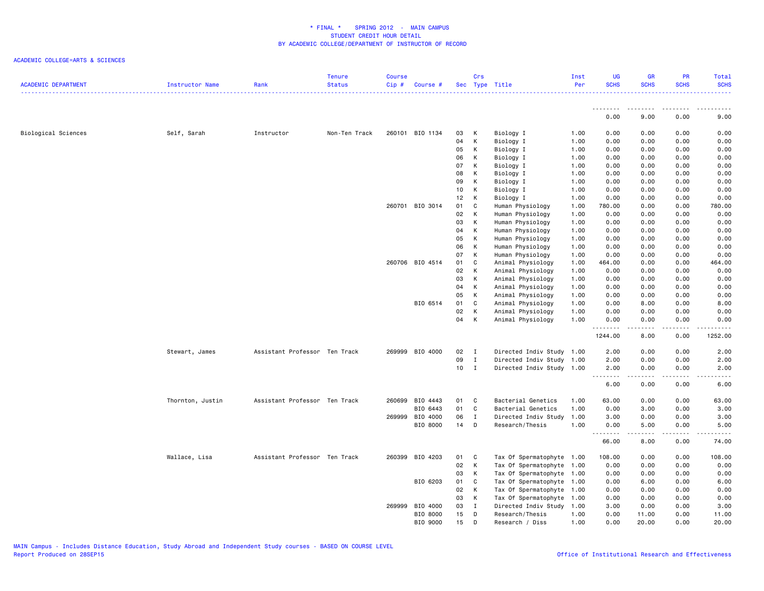|                            |                  |                               | <b>Tenure</b> | Course |                 |        | Crs          |                           | Inst | UG          | <b>GR</b>           | PR                  | Total               |
|----------------------------|------------------|-------------------------------|---------------|--------|-----------------|--------|--------------|---------------------------|------|-------------|---------------------|---------------------|---------------------|
| <b>ACADEMIC DEPARTMENT</b> | Instructor Name  | Rank                          | <b>Status</b> | Cip#   | Course #        |        |              | Sec Type Title            | Per  | <b>SCHS</b> | <b>SCHS</b>         | <b>SCHS</b>         | <b>SCHS</b>         |
|                            |                  |                               |               |        |                 |        |              |                           |      | --------    | .                   | .                   |                     |
|                            |                  |                               |               |        |                 |        |              |                           |      | 0.00        | 9.00                | 0.00                | 9.00                |
| Biological Sciences        | Self, Sarah      | Instructor                    | Non-Ten Track |        | 260101 BIO 1134 | 03     | K            | Biology I                 | 1.00 | 0.00        | 0.00                | 0.00                | 0.00                |
|                            |                  |                               |               |        |                 | 04     | K            | Biology I                 | 1.00 | 0.00        | 0.00                | 0.00                | 0.00                |
|                            |                  |                               |               |        |                 | 05     | K            | Biology I                 | 1.00 | 0.00        | 0.00                | 0.00                | 0.00                |
|                            |                  |                               |               |        |                 | 06     | К            | Biology I                 | 1.00 | 0.00        | 0.00                | 0.00                | 0.00                |
|                            |                  |                               |               |        |                 | 07     | K            | Biology I                 | 1.00 | 0.00        | 0.00                | 0.00                | 0.00                |
|                            |                  |                               |               |        |                 | 08     | K            | Biology I                 | 1.00 | 0.00        | 0.00                | 0.00                | 0.00                |
|                            |                  |                               |               |        |                 | 09     | К            | Biology I                 | 1.00 | 0.00        | 0.00                | 0.00                | 0.00                |
|                            |                  |                               |               |        |                 | 10     | K            | Biology I                 | 1.00 | 0.00        | 0.00                | 0.00                | 0.00                |
|                            |                  |                               |               |        |                 | 12     | K            | Biology I                 | 1.00 | 0.00        | 0.00                | 0.00                | 0.00                |
|                            |                  |                               |               |        | 260701 BIO 3014 | 01     | C            | Human Physiology          | 1.00 | 780.00      | 0.00                | 0.00                | 780.00              |
|                            |                  |                               |               |        |                 | 02     | K            | Human Physiology          | 1.00 | 0.00        | 0.00                | 0.00                | 0.00                |
|                            |                  |                               |               |        |                 | 03     | K            | Human Physiology          | 1.00 | 0.00        | 0.00                | 0.00                | 0.00                |
|                            |                  |                               |               |        |                 | 04     | К            | Human Physiology          | 1.00 | 0.00        | 0.00                | 0.00                | 0.00                |
|                            |                  |                               |               |        |                 | 05     | K            | Human Physiology          | 1.00 | 0.00        | 0.00                | 0.00                | 0.00                |
|                            |                  |                               |               |        |                 | 06     | K            | Human Physiology          | 1.00 | 0.00        | 0.00                | 0.00                | 0.00                |
|                            |                  |                               |               |        |                 | 07     | K            | Human Physiology          | 1.00 | 0.00        | 0.00                | 0.00                | 0.00                |
|                            |                  |                               |               |        | 260706 BIO 4514 | 01     | $\mathbf c$  | Animal Physiology         | 1.00 | 464.00      | 0.00                | 0.00                | 464.00              |
|                            |                  |                               |               |        |                 | 02     | K            | Animal Physiology         | 1.00 | 0.00        | 0.00                | 0.00                | 0.00                |
|                            |                  |                               |               |        |                 | 03     | K            | Animal Physiology         | 1.00 | 0.00        | 0.00                | 0.00                | 0.00                |
|                            |                  |                               |               |        |                 | 04     | K            | Animal Physiology         | 1.00 | 0.00        | 0.00                | 0.00                | 0.00                |
|                            |                  |                               |               |        |                 | 05     | K            | Animal Physiology         | 1.00 | 0.00        | 0.00                | 0.00                | 0.00                |
|                            |                  |                               |               |        | BIO 6514        | 01     | C            | Animal Physiology         | 1.00 | 0.00        | 8.00                | 0.00                | 8.00                |
|                            |                  |                               |               |        |                 | 02     | K            | Animal Physiology         | 1.00 | 0.00        | 0.00                | 0.00                | 0.00                |
|                            |                  |                               |               |        |                 | 04     | K            | Animal Physiology         | 1.00 | 0.00        | 0.00                | 0.00                | 0.00                |
|                            |                  |                               |               |        |                 |        |              |                           |      | .           | -----               | -----               | .                   |
|                            |                  |                               |               |        |                 |        |              |                           |      | 1244.00     | 8.00                | 0.00                | 1252.00             |
|                            | Stewart, James   | Assistant Professor Ten Track |               |        | 269999 BIO 4000 | 02     | $\mathbf{I}$ | Directed Indiv Study 1.00 |      | 2.00        | 0.00                | 0.00                | 2.00                |
|                            |                  |                               |               |        |                 | 09     | $\mathbf{I}$ | Directed Indiv Study 1.00 |      | 2.00        | 0.00                | 0.00                | 2.00                |
|                            |                  |                               |               |        |                 | $10$ I |              | Directed Indiv Study 1.00 |      | 2.00        | 0.00                | 0.00                | 2.00                |
|                            |                  |                               |               |        |                 |        |              |                           |      | .<br>6.00   | $- - - - -$<br>0.00 | $- - - - -$<br>0.00 | $- - - - -$<br>6.00 |
|                            | Thornton, Justin | Assistant Professor Ten Track |               | 260699 | BIO 4443        | 01     | C            | Bacterial Genetics        | 1.00 | 63.00       | 0.00                | 0.00                | 63.00               |
|                            |                  |                               |               |        | BIO 6443        | 01     | C            | Bacterial Genetics        | 1.00 | 0.00        | 3.00                | 0.00                | 3.00                |
|                            |                  |                               |               | 269999 | BIO 4000        | 06     | $\mathbf{I}$ | Directed Indiv Study      | 1.00 | 3.00        | 0.00                | 0.00                | 3.00                |
|                            |                  |                               |               |        | BIO 8000        | 14     | D            | Research/Thesis           | 1.00 | 0.00        | 5.00                | 0.00                | 5.00                |
|                            |                  |                               |               |        |                 |        |              |                           |      | 66.00       | 8.00                | .<br>0.00           | 74.00               |
|                            | Wallace, Lisa    | Assistant Professor Ten Track |               |        | 260399 BIO 4203 | 01     | C            | Tax Of Spermatophyte 1.00 |      | 108.00      | 0.00                | 0.00                | 108.00              |
|                            |                  |                               |               |        |                 | 02     | K            | Tax Of Spermatophyte      | 1.00 | 0.00        | 0.00                | 0.00                | 0.00                |
|                            |                  |                               |               |        |                 | 03     | K            | Tax Of Spermatophyte      | 1.00 | 0.00        | 0.00                | 0.00                | 0.00                |
|                            |                  |                               |               |        | BIO 6203        | 01     | C            | Tax Of Spermatophyte      | 1.00 | 0.00        | 6.00                | 0.00                | 6.00                |
|                            |                  |                               |               |        |                 | 02     | K            | Tax Of Spermatophyte      | 1.00 | 0.00        | 0.00                | 0.00                | 0.00                |
|                            |                  |                               |               |        |                 | 03     | К            | Tax Of Spermatophyte      | 1.00 | 0.00        | 0.00                | 0.00                | 0.00                |
|                            |                  |                               |               |        | 269999 BIO 4000 | 03     | $\mathbf{I}$ | Directed Indiv Study      | 1.00 | 3.00        | 0.00                | 0.00                | 3.00                |
|                            |                  |                               |               |        | BIO 8000        | 15     | D            | Research/Thesis           | 1.00 | 0.00        | 11.00               | 0.00                | 11.00               |
|                            |                  |                               |               |        | BIO 9000        | 15     | D            | Research / Diss           | 1.00 | 0.00        | 20.00               | 0.00                | 20.00               |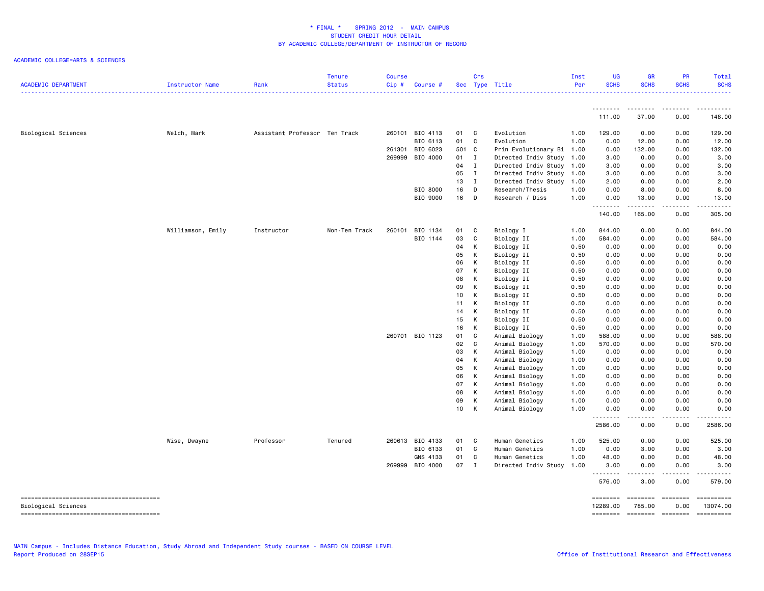| <b>ACADEMIC DEPARTMENT</b> | Instructor Name   | Rank                          | <b>Tenure</b><br><b>Status</b> | <b>Course</b><br>Cip# | Course #        |          | Crs          | Sec Type Title                   | Inst<br>Per  | <b>UG</b><br><b>SCHS</b> | <b>GR</b><br><b>SCHS</b> | PR<br><b>SCHS</b>                                                                                                                                                                                                                                                                                                                                                                                                                                                                      | <b>Total</b><br><b>SCHS</b> |
|----------------------------|-------------------|-------------------------------|--------------------------------|-----------------------|-----------------|----------|--------------|----------------------------------|--------------|--------------------------|--------------------------|----------------------------------------------------------------------------------------------------------------------------------------------------------------------------------------------------------------------------------------------------------------------------------------------------------------------------------------------------------------------------------------------------------------------------------------------------------------------------------------|-----------------------------|
|                            |                   |                               |                                |                       |                 |          |              |                                  |              | <u>.</u>                 | --------                 | .                                                                                                                                                                                                                                                                                                                                                                                                                                                                                      | .                           |
|                            |                   |                               |                                |                       |                 |          |              |                                  |              | 111.00                   | 37.00                    | 0.00                                                                                                                                                                                                                                                                                                                                                                                                                                                                                   | 148.00                      |
| Biological Sciences        | Welch, Mark       | Assistant Professor Ten Track |                                |                       | 260101 BIO 4113 | 01 C     |              | Evolution                        | 1.00         | 129.00                   | 0.00                     | 0.00                                                                                                                                                                                                                                                                                                                                                                                                                                                                                   | 129.00                      |
|                            |                   |                               |                                |                       | BIO 6113        | 01       | C            | Evolution                        | 1.00         | 0.00                     | 12.00                    | 0.00                                                                                                                                                                                                                                                                                                                                                                                                                                                                                   | 12.00                       |
|                            |                   |                               |                                | 261301                | BIO 6023        | 501 C    |              | Prin Evolutionary Bi 1.00        |              | 0.00                     | 132.00                   | 0.00                                                                                                                                                                                                                                                                                                                                                                                                                                                                                   | 132.00                      |
|                            |                   |                               |                                | 269999                | BIO 4000        | 01       | $\mathbf{I}$ | Directed Indiv Study 1.00        |              | 3.00                     | 0.00                     | 0.00                                                                                                                                                                                                                                                                                                                                                                                                                                                                                   | 3.00                        |
|                            |                   |                               |                                |                       |                 | 04       | $\mathbf{I}$ | Directed Indiv Study 1.00        |              | 3.00                     | 0.00                     | 0.00                                                                                                                                                                                                                                                                                                                                                                                                                                                                                   | 3.00                        |
|                            |                   |                               |                                |                       |                 | 05       | $\mathbf{I}$ | Directed Indiv Study 1.00        |              | 3.00                     | 0.00                     | 0.00                                                                                                                                                                                                                                                                                                                                                                                                                                                                                   | 3.00                        |
|                            |                   |                               |                                |                       |                 | 13       | $\mathbf{I}$ | Directed Indiv Study 1.00        |              | 2.00                     | 0.00                     | 0.00                                                                                                                                                                                                                                                                                                                                                                                                                                                                                   | 2.00                        |
|                            |                   |                               |                                |                       | BIO 8000        | 16       | D            | Research/Thesis                  | 1.00         | 0.00                     | 8.00                     | 0.00                                                                                                                                                                                                                                                                                                                                                                                                                                                                                   | 8.00                        |
|                            |                   |                               |                                |                       | BIO 9000        | 16       | D            | Research / Diss                  | 1.00         | 0.00<br>.                | 13.00<br>. <b>.</b>      | 0.00<br>.                                                                                                                                                                                                                                                                                                                                                                                                                                                                              | 13.00<br>.                  |
|                            |                   |                               |                                |                       |                 |          |              |                                  |              | 140.00                   | 165.00                   | 0.00                                                                                                                                                                                                                                                                                                                                                                                                                                                                                   | 305.00                      |
|                            | Williamson, Emily | Instructor                    | Non-Ten Track                  | 260101                | BIO 1134        | 01       | C            | Biology I                        | 1.00         | 844.00                   | 0.00                     | 0.00                                                                                                                                                                                                                                                                                                                                                                                                                                                                                   | 844.00                      |
|                            |                   |                               |                                |                       | BIO 1144        | 03       | C            | Biology II                       | 1.00         | 584.00                   | 0.00                     | 0.00                                                                                                                                                                                                                                                                                                                                                                                                                                                                                   | 584.00                      |
|                            |                   |                               |                                |                       |                 | 04       | К            | Biology II                       | 0.50         | 0.00                     | 0.00                     | 0.00                                                                                                                                                                                                                                                                                                                                                                                                                                                                                   | 0.00                        |
|                            |                   |                               |                                |                       |                 | 05       | К            | Biology II                       | 0.50         | 0.00                     | 0.00                     | 0.00                                                                                                                                                                                                                                                                                                                                                                                                                                                                                   | 0.00                        |
|                            |                   |                               |                                |                       |                 | 06       | К            | Biology II                       | 0.50         | 0.00                     | 0.00                     | 0.00                                                                                                                                                                                                                                                                                                                                                                                                                                                                                   | 0.00                        |
|                            |                   |                               |                                |                       |                 | 07       | K            | Biology II                       | 0.50         | 0.00                     | 0.00                     | 0.00                                                                                                                                                                                                                                                                                                                                                                                                                                                                                   | 0.00                        |
|                            |                   |                               |                                |                       |                 | 08       | K            | Biology II                       | 0.50         | 0.00                     | 0.00                     | 0.00                                                                                                                                                                                                                                                                                                                                                                                                                                                                                   | 0.00                        |
|                            |                   |                               |                                |                       |                 | 09       | К            | Biology II                       | 0.50         | 0.00                     | 0.00                     | 0.00                                                                                                                                                                                                                                                                                                                                                                                                                                                                                   | 0.00                        |
|                            |                   |                               |                                |                       |                 | 10       | К            | Biology II                       | 0.50         | 0.00                     | 0.00                     | 0.00                                                                                                                                                                                                                                                                                                                                                                                                                                                                                   | 0.00                        |
|                            |                   |                               |                                |                       |                 | 11       | К            | Biology II                       | 0.50         | 0.00                     | 0.00                     | 0.00                                                                                                                                                                                                                                                                                                                                                                                                                                                                                   | 0.00                        |
|                            |                   |                               |                                |                       |                 | 14       | К            | Biology II                       | 0.50         | 0.00                     | 0.00                     | 0.00                                                                                                                                                                                                                                                                                                                                                                                                                                                                                   | 0.00                        |
|                            |                   |                               |                                |                       |                 | 15       | к            | Biology II                       | 0.50         | 0.00                     | 0.00                     | 0.00                                                                                                                                                                                                                                                                                                                                                                                                                                                                                   | 0.00                        |
|                            |                   |                               |                                |                       |                 | 16       | К            | Biology II                       | 0.50         | 0.00                     | 0.00                     | 0.00                                                                                                                                                                                                                                                                                                                                                                                                                                                                                   | 0.00                        |
|                            |                   |                               |                                |                       | 260701 BIO 1123 | 01       | C            | Animal Biology                   | 1.00         | 588.00                   | 0.00                     | 0.00                                                                                                                                                                                                                                                                                                                                                                                                                                                                                   | 588.00                      |
|                            |                   |                               |                                |                       |                 | 02       | C            | Animal Biology                   | 1.00         | 570.00                   | 0.00                     | 0.00                                                                                                                                                                                                                                                                                                                                                                                                                                                                                   | 570.00                      |
|                            |                   |                               |                                |                       |                 | 03<br>04 | К<br>К       | Animal Biology                   | 1.00         | 0.00                     | 0.00                     | 0.00                                                                                                                                                                                                                                                                                                                                                                                                                                                                                   | 0.00                        |
|                            |                   |                               |                                |                       |                 | 05       | К            | Animal Biology<br>Animal Biology | 1.00<br>1.00 | 0.00<br>0.00             | 0.00<br>0.00             | 0.00<br>0.00                                                                                                                                                                                                                                                                                                                                                                                                                                                                           | 0.00<br>0.00                |
|                            |                   |                               |                                |                       |                 | 06       | K            | Animal Biology                   | 1.00         | 0.00                     | 0.00                     | 0.00                                                                                                                                                                                                                                                                                                                                                                                                                                                                                   | 0.00                        |
|                            |                   |                               |                                |                       |                 | 07       | К            | Animal Biology                   | 1.00         | 0.00                     | 0.00                     | 0.00                                                                                                                                                                                                                                                                                                                                                                                                                                                                                   | 0.00                        |
|                            |                   |                               |                                |                       |                 | 08       | К            | Animal Biology                   | 1.00         | 0.00                     | 0.00                     | 0.00                                                                                                                                                                                                                                                                                                                                                                                                                                                                                   | 0.00                        |
|                            |                   |                               |                                |                       |                 | 09       | К            | Animal Biology                   | 1.00         | 0.00                     | 0.00                     | 0.00                                                                                                                                                                                                                                                                                                                                                                                                                                                                                   | 0.00                        |
|                            |                   |                               |                                |                       |                 | 10       | К            | Animal Biology                   | 1.00         | 0.00                     | 0.00                     | 0.00                                                                                                                                                                                                                                                                                                                                                                                                                                                                                   | 0.00                        |
|                            |                   |                               |                                |                       |                 |          |              |                                  |              | .<br>2586.00             | .<br>0.00                | .<br>0.00                                                                                                                                                                                                                                                                                                                                                                                                                                                                              | .<br>2586.00                |
|                            | Wise, Dwayne      | Professor                     | Tenured                        | 260613                | BIO 4133        | 01       | C            | Human Genetics                   | 1.00         | 525.00                   | 0.00                     | 0.00                                                                                                                                                                                                                                                                                                                                                                                                                                                                                   | 525.00                      |
|                            |                   |                               |                                |                       | BIO 6133        | 01       | C            | Human Genetics                   | 1.00         | 0.00                     | 3.00                     | 0.00                                                                                                                                                                                                                                                                                                                                                                                                                                                                                   | 3.00                        |
|                            |                   |                               |                                |                       | GNS 4133        | 01       | C            | Human Genetics                   | 1.00         | 48.00                    | 0.00                     | 0.00                                                                                                                                                                                                                                                                                                                                                                                                                                                                                   | 48.00                       |
|                            |                   |                               |                                | 269999                | BIO 4000        | 07       | $\mathbf I$  | Directed Indiv Study             | 1.00         | 3.00                     | 0.00                     | 0.00                                                                                                                                                                                                                                                                                                                                                                                                                                                                                   | 3.00                        |
|                            |                   |                               |                                |                       |                 |          |              |                                  |              | .<br>576.00              | 3.00                     | 0.00                                                                                                                                                                                                                                                                                                                                                                                                                                                                                   | 579.00                      |
| Biological Sciences        |                   |                               |                                |                       |                 |          |              |                                  |              | ========<br>12289.00     | ========<br>785.00       | <b>ESSESSE</b><br>0.00                                                                                                                                                                                                                                                                                                                                                                                                                                                                 | ==========<br>13074.00      |
|                            |                   |                               |                                |                       |                 |          |              |                                  |              | ========                 | ========                 | $\begin{array}{cccccccccc} \multicolumn{2}{c}{} & \multicolumn{2}{c}{} & \multicolumn{2}{c}{} & \multicolumn{2}{c}{} & \multicolumn{2}{c}{} & \multicolumn{2}{c}{} & \multicolumn{2}{c}{} & \multicolumn{2}{c}{} & \multicolumn{2}{c}{} & \multicolumn{2}{c}{} & \multicolumn{2}{c}{} & \multicolumn{2}{c}{} & \multicolumn{2}{c}{} & \multicolumn{2}{c}{} & \multicolumn{2}{c}{} & \multicolumn{2}{c}{} & \multicolumn{2}{c}{} & \multicolumn{2}{c}{} & \multicolumn{2}{c}{} & \mult$ | ==========                  |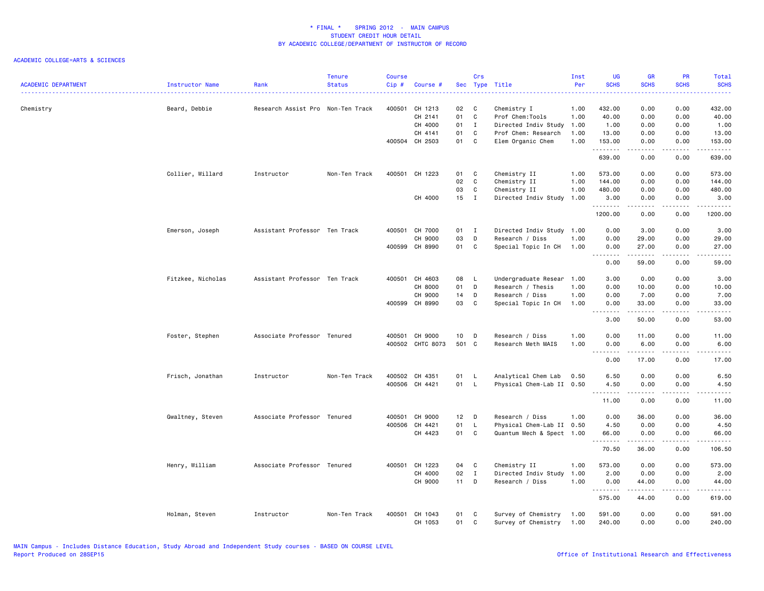|                            |                      |                                   | <b>Tenure</b> | <b>Course</b> |                  |        | Crs          |                           | Inst | UG                 | <b>GR</b>                                                                                                                                                                                | PR                                  | Total                          |
|----------------------------|----------------------|-----------------------------------|---------------|---------------|------------------|--------|--------------|---------------------------|------|--------------------|------------------------------------------------------------------------------------------------------------------------------------------------------------------------------------------|-------------------------------------|--------------------------------|
| <b>ACADEMIC DEPARTMENT</b> | Instructor Name<br>. | Rank                              | <b>Status</b> | Cip#          | Course #         |        |              | Sec Type Title            | Per  | <b>SCHS</b>        | <b>SCHS</b>                                                                                                                                                                              | <b>SCHS</b>                         | <b>SCHS</b>                    |
| Chemistry                  | Beard, Debbie        | Research Assist Pro Non-Ten Track |               | 400501        | CH 1213          | 02     | C            | Chemistry I               | 1.00 | 432.00             | 0.00                                                                                                                                                                                     | 0.00                                | 432.00                         |
|                            |                      |                                   |               |               | CH 2141          | 01     | $\mathbf c$  | Prof Chem:Tools           | 1.00 | 40.00              | 0.00                                                                                                                                                                                     | 0.00                                | 40.00                          |
|                            |                      |                                   |               |               | CH 4000          | 01     | $\mathbf{I}$ | Directed Indiv Study      | 1.00 | 1.00               | 0.00                                                                                                                                                                                     | 0.00                                | 1.00                           |
|                            |                      |                                   |               |               | CH 4141          | 01     | $\mathbf c$  | Prof Chem: Research       | 1.00 | 13.00              | 0.00                                                                                                                                                                                     | 0.00                                | 13.00                          |
|                            |                      |                                   |               |               | 400504 CH 2503   | 01     | C            | Elem Organic Chem         | 1.00 | 153.00             | 0.00                                                                                                                                                                                     | 0.00                                | 153.00                         |
|                            |                      |                                   |               |               |                  |        |              |                           |      | .<br>639.00        | .<br>0.00                                                                                                                                                                                | .<br>0.00                           | $\omega$ is a single<br>639.00 |
|                            | Collier, Willard     | Instructor                        | Non-Ten Track | 400501        | CH 1223          | 01     | C            | Chemistry II              | 1.00 | 573.00             | 0.00                                                                                                                                                                                     | 0.00                                | 573.00                         |
|                            |                      |                                   |               |               |                  | 02     | C            | Chemistry II              | 1.00 | 144.00             | 0.00                                                                                                                                                                                     | 0.00                                | 144.00                         |
|                            |                      |                                   |               |               |                  | 03     | C            | Chemistry II              | 1.00 | 480.00             | 0.00                                                                                                                                                                                     | 0.00                                | 480.00                         |
|                            |                      |                                   |               |               | CH 4000          | $15$ I |              | Directed Indiv Study      | 1.00 | 3.00<br>.          | 0.00<br>.                                                                                                                                                                                | 0.00<br>.                           | 3.00<br>.                      |
|                            |                      |                                   |               |               |                  |        |              |                           |      | 1200.00            | 0.00                                                                                                                                                                                     | 0.00                                | 1200.00                        |
|                            | Emerson, Joseph      | Assistant Professor Ten Track     |               | 400501        | CH 7000          | 01     | $\mathbf{I}$ | Directed Indiv Study 1.00 |      | 0.00               | 3.00                                                                                                                                                                                     | 0.00                                | 3.00                           |
|                            |                      |                                   |               |               | CH 9000          | 03     | D            | Research / Diss           | 1.00 | 0.00               | 29.00                                                                                                                                                                                    | 0.00                                | 29.00                          |
|                            |                      |                                   |               |               | 400599 CH 8990   | 01 C   |              | Special Topic In CH       | 1.00 | 0.00               | 27.00                                                                                                                                                                                    | 0.00                                | 27.00                          |
|                            |                      |                                   |               |               |                  |        |              |                           |      | .<br>0.00          | $\frac{1}{2} \left( \frac{1}{2} \right) \left( \frac{1}{2} \right) \left( \frac{1}{2} \right) \left( \frac{1}{2} \right) \left( \frac{1}{2} \right) \left( \frac{1}{2} \right)$<br>59.00 | .<br>0.00                           | د د د د د<br>59.00             |
|                            | Fitzkee, Nicholas    | Assistant Professor Ten Track     |               | 400501        | CH 4603          | 08     | - L          | Undergraduate Resear      | 1.00 | 3.00               | 0.00                                                                                                                                                                                     | 0.00                                | 3.00                           |
|                            |                      |                                   |               |               | CH 8000          | 01     | D            | Research / Thesis         | 1.00 | 0.00               | 10.00                                                                                                                                                                                    | 0.00                                | 10.00                          |
|                            |                      |                                   |               |               | CH 9000          | 14     | $\mathsf{D}$ | Research / Diss           | 1.00 | 0.00               | 7.00                                                                                                                                                                                     | 0.00                                | 7.00                           |
|                            |                      |                                   |               |               | 400599 CH 8990   | 03     | C            | Special Topic In CH       | 1.00 | 0.00               | 33.00                                                                                                                                                                                    | 0.00                                | 33.00                          |
|                            |                      |                                   |               |               |                  |        |              |                           |      | . <b>.</b><br>3.00 | .<br>50.00                                                                                                                                                                               | $\sim$ $\sim$ $\sim$ $\sim$<br>0.00 | $- - - -$<br>53.00             |
|                            | Foster, Stephen      | Associate Professor Tenured       |               | 400501        | CH 9000          | 10     | $\Box$       | Research / Diss           | 1.00 | 0.00               | 11.00                                                                                                                                                                                    | 0.00                                | 11.00                          |
|                            |                      |                                   |               |               | 400502 CHTC 8073 | 501 C  |              | Research Meth MAIS        | 1.00 | 0.00               | 6.00                                                                                                                                                                                     | 0.00                                | 6.00                           |
|                            |                      |                                   |               |               |                  |        |              |                           |      | .                  | $- - - - -$                                                                                                                                                                              | .                                   | د د د د د                      |
|                            |                      |                                   |               |               |                  |        |              |                           |      | 0.00               | 17.00                                                                                                                                                                                    | 0.00                                | 17.00                          |
|                            | Frisch, Jonathan     | Instructor                        | Non-Ten Track |               | 400502 CH 4351   | 01     | - L          | Analytical Chem Lab       | 0.50 | 6.50               | 0.00                                                                                                                                                                                     | 0.00                                | 6.50                           |
|                            |                      |                                   |               |               | 400506 CH 4421   | 01     | - L          | Physical Chem-Lab II 0.50 |      | 4.50<br>.          | 0.00<br><b>.</b>                                                                                                                                                                         | 0.00<br>.                           | 4.50<br>المستمد                |
|                            |                      |                                   |               |               |                  |        |              |                           |      | 11.00              | 0.00                                                                                                                                                                                     | 0.00                                | 11.00                          |
|                            | Gwaltney, Steven     | Associate Professor Tenured       |               | 400501        | CH 9000          | $12$ D |              | Research / Diss           | 1.00 | 0.00               | 36.00                                                                                                                                                                                    | 0.00                                | 36.00                          |
|                            |                      |                                   |               | 400506        | CH 4421          | 01     | $\mathsf{L}$ | Physical Chem-Lab II      | 0.50 | 4.50               | 0.00                                                                                                                                                                                     | 0.00                                | 4.50                           |
|                            |                      |                                   |               |               | CH 4423          | 01     | C            | Quantum Mech & Spect 1.00 |      | 66.00              | 0.00                                                                                                                                                                                     | 0.00                                | 66.00                          |
|                            |                      |                                   |               |               |                  |        |              |                           |      | .<br>70.50         | $\frac{1}{2} \left( \frac{1}{2} \right) \left( \frac{1}{2} \right) \left( \frac{1}{2} \right) \left( \frac{1}{2} \right) \left( \frac{1}{2} \right)$<br>36.00                            | .<br>0.00                           | .<br>106.50                    |
|                            | Henry, William       | Associate Professor Tenured       |               | 400501        | CH 1223          | 04     | C            | Chemistry II              | 1.00 | 573.00             | 0.00                                                                                                                                                                                     | 0.00                                | 573.00                         |
|                            |                      |                                   |               |               | CH 4000          | 02     | $\mathbf{I}$ | Directed Indiv Study      | 1.00 | 2.00               | 0.00                                                                                                                                                                                     | 0.00                                | 2.00                           |
|                            |                      |                                   |               |               | CH 9000          | 11     | D            | Research / Diss           | 1.00 | 0.00               | 44.00                                                                                                                                                                                    | 0.00                                | 44.00                          |
|                            |                      |                                   |               |               |                  |        |              |                           |      | <u>.</u><br>575.00 | .<br>44.00                                                                                                                                                                               | .<br>0.00                           | $\omega$ is a single<br>619.00 |
|                            | Holman, Steven       | Instructor                        | Non-Ten Track | 400501        | CH 1043          | 01     | C            | Survey of Chemistry       | 1.00 | 591.00             | 0.00                                                                                                                                                                                     | 0.00                                | 591.00                         |
|                            |                      |                                   |               |               | CH 1053          | 01     | C            | Survey of Chemistry       | 1.00 | 240.00             | 0.00                                                                                                                                                                                     | 0.00                                | 240.00                         |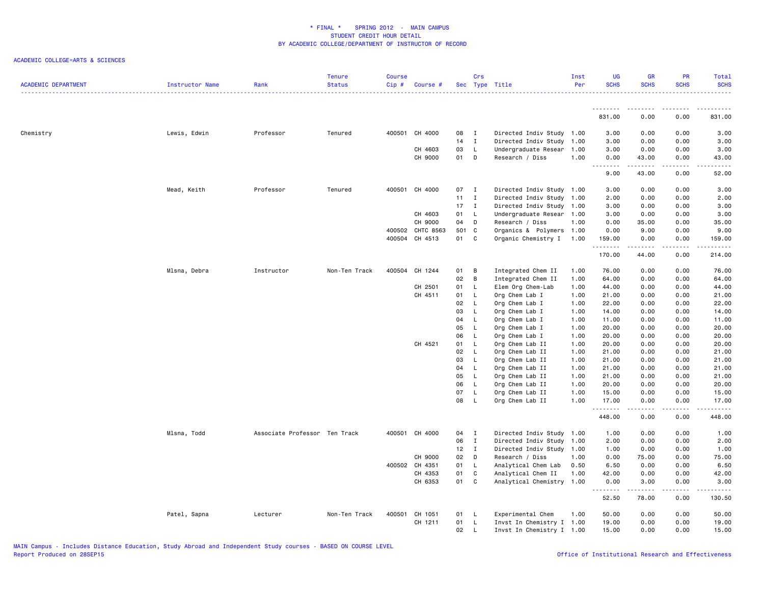| <b>ACADEMIC DEPARTMENT</b> | Instructor Name | Rank                          | <b>Tenure</b><br><b>Status</b> | <b>Course</b><br>Cip# | Course #         |              | Crs          | Sec Type Title            | Inst<br>Per | <b>UG</b><br><b>SCHS</b> | <b>GR</b><br><b>SCHS</b>                                                                                                                                      | PR<br><b>SCHS</b> | Total<br><b>SCHS</b>    |
|----------------------------|-----------------|-------------------------------|--------------------------------|-----------------------|------------------|--------------|--------------|---------------------------|-------------|--------------------------|---------------------------------------------------------------------------------------------------------------------------------------------------------------|-------------------|-------------------------|
|                            |                 |                               |                                |                       |                  |              |              |                           |             | .<br>831.00              | 0.00                                                                                                                                                          | 0.00              | 831.00                  |
|                            |                 |                               |                                |                       |                  |              |              |                           |             |                          |                                                                                                                                                               |                   |                         |
| Chemistry                  | Lewis, Edwin    | Professor                     | Tenured                        |                       | 400501 CH 4000   | 08           | $\mathbf{I}$ | Directed Indiv Study 1.00 |             | 3.00                     | 0.00                                                                                                                                                          | 0.00              | 3.00                    |
|                            |                 |                               |                                |                       |                  | 14           | $\mathbf{I}$ | Directed Indiv Study 1.00 |             | 3.00                     | 0.00                                                                                                                                                          | 0.00              | 3.00                    |
|                            |                 |                               |                                |                       | CH 4603          | 03           | L.           | Undergraduate Resear 1.00 |             | 3.00                     | 0.00                                                                                                                                                          | 0.00              | 3.00                    |
|                            |                 |                               |                                |                       | CH 9000          | 01           | D            | Research / Diss           | 1.00        | 0.00<br>.                | 43.00                                                                                                                                                         | 0.00              | 43.00                   |
|                            |                 |                               |                                |                       |                  |              |              |                           |             | 9.00                     | 43.00                                                                                                                                                         | 0.00              | 52.00                   |
|                            | Mead, Keith     | Professor                     | Tenured                        |                       | 400501 CH 4000   | 07 I         |              | Directed Indiv Study 1.00 |             | 3.00                     | 0.00                                                                                                                                                          | 0.00              | 3.00                    |
|                            |                 |                               |                                |                       |                  | $11 \quad I$ |              | Directed Indiv Study 1.00 |             | 2.00                     | 0.00                                                                                                                                                          | 0.00              | 2.00                    |
|                            |                 |                               |                                |                       |                  | $17$ I       |              | Directed Indiv Study 1.00 |             | 3.00                     | 0.00                                                                                                                                                          | 0.00              | 3.00                    |
|                            |                 |                               |                                |                       | CH 4603          | 01           | L.           | Undergraduate Resear 1.00 |             | 3.00                     | 0.00                                                                                                                                                          | 0.00              | 3.00                    |
|                            |                 |                               |                                |                       | CH 9000          | 04           | D            | Research / Diss           | 1.00        | 0.00                     | 35.00                                                                                                                                                         | 0.00              | 35.00                   |
|                            |                 |                               |                                |                       | 400502 CHTC 8563 | 501 C        |              | Organics & Polymers 1.00  |             | 0.00                     | 9.00                                                                                                                                                          | 0.00              | 9.00                    |
|                            |                 |                               |                                |                       | 400504 CH 4513   | 01 C         |              | Organic Chemistry I 1.00  |             | 159.00                   | 0.00                                                                                                                                                          | 0.00              | 159.00                  |
|                            |                 |                               |                                |                       |                  |              |              |                           |             | .<br>170.00              | $- - - - -$<br>44.00                                                                                                                                          | .<br>0.00         | $- - - - - -$<br>214.00 |
|                            | Mlsna, Debra    | Instructor                    | Non-Ten Track                  |                       | 400504 CH 1244   | 01           | B            | Integrated Chem II        | 1.00        | 76.00                    | 0.00                                                                                                                                                          | 0.00              | 76.00                   |
|                            |                 |                               |                                |                       |                  | 02           | B            | Integrated Chem II        | 1.00        | 64.00                    | 0.00                                                                                                                                                          | 0.00              | 64.00                   |
|                            |                 |                               |                                |                       | CH 2501          | 01           | L.           | Elem Org Chem-Lab         | 1.00        | 44.00                    | 0.00                                                                                                                                                          | 0.00              | 44.00                   |
|                            |                 |                               |                                |                       | CH 4511          | 01           | L.           | Org Chem Lab I            | 1.00        | 21.00                    | 0.00                                                                                                                                                          | 0.00              | 21.00                   |
|                            |                 |                               |                                |                       |                  | 02           | L.           | Org Chem Lab I            | 1.00        | 22.00                    | 0.00                                                                                                                                                          | 0.00              | 22.00                   |
|                            |                 |                               |                                |                       |                  | 03           | L            | Org Chem Lab I            | 1.00        | 14.00                    | 0.00                                                                                                                                                          | 0.00              | 14.00                   |
|                            |                 |                               |                                |                       |                  | 04           | L            | Org Chem Lab I            | 1.00        | 11.00                    | 0.00                                                                                                                                                          | 0.00              | 11.00                   |
|                            |                 |                               |                                |                       |                  | 05           | L            | Org Chem Lab I            | 1.00        | 20.00                    | 0.00                                                                                                                                                          | 0.00              | 20.00                   |
|                            |                 |                               |                                |                       |                  | 06           | L.           | Org Chem Lab I            | 1.00        | 20.00                    | 0.00                                                                                                                                                          | 0.00              | 20.00                   |
|                            |                 |                               |                                |                       | CH 4521          | 01           | L.           | Org Chem Lab II           | 1.00        | 20.00                    | 0.00                                                                                                                                                          | 0.00              | 20.00                   |
|                            |                 |                               |                                |                       |                  | 02           | L.           | Org Chem Lab II           | 1.00        | 21.00                    | 0.00                                                                                                                                                          | 0.00              | 21.00                   |
|                            |                 |                               |                                |                       |                  | 03           | L.           | Org Chem Lab II           | 1.00        | 21.00                    | 0.00                                                                                                                                                          | 0.00              | 21.00                   |
|                            |                 |                               |                                |                       |                  | 04           | L.           | Org Chem Lab II           | 1.00        | 21.00                    | 0.00                                                                                                                                                          | 0.00              | 21.00                   |
|                            |                 |                               |                                |                       |                  | 05           | L.           | Org Chem Lab II           | 1.00        | 21.00                    | 0.00                                                                                                                                                          | 0.00              | 21.00                   |
|                            |                 |                               |                                |                       |                  | 06           | L            | Org Chem Lab II           | 1.00        | 20.00                    | 0.00                                                                                                                                                          | 0.00              | 20.00                   |
|                            |                 |                               |                                |                       |                  | 07           | L.           | Org Chem Lab II           | 1.00        | 15.00                    | 0.00                                                                                                                                                          | 0.00              | 15.00                   |
|                            |                 |                               |                                |                       |                  | 08           | L.           | Org Chem Lab II           | 1.00        | 17.00                    | 0.00                                                                                                                                                          | 0.00              | 17.00                   |
|                            |                 |                               |                                |                       |                  |              |              |                           |             | .<br>448.00              | $\frac{1}{2} \left( \frac{1}{2} \right) \left( \frac{1}{2} \right) \left( \frac{1}{2} \right) \left( \frac{1}{2} \right) \left( \frac{1}{2} \right)$<br>0.00  | الأعامات<br>0.00  | .<br>448.00             |
|                            | Mlsna, Todd     | Associate Professor Ten Track |                                |                       | 400501 CH 4000   | 04           | $\mathbf I$  | Directed Indiv Study 1.00 |             | 1.00                     | 0.00                                                                                                                                                          | 0.00              | 1.00                    |
|                            |                 |                               |                                |                       |                  | 06           | $\mathbf{I}$ | Directed Indiv Study 1.00 |             | 2.00                     | 0.00                                                                                                                                                          | 0.00              | 2.00                    |
|                            |                 |                               |                                |                       |                  | $12$ I       |              | Directed Indiv Study 1.00 |             | 1.00                     | 0.00                                                                                                                                                          | 0.00              | 1.00                    |
|                            |                 |                               |                                |                       | CH 9000          | 02           | D            | Research / Diss           | 1.00        | 0.00                     | 75.00                                                                                                                                                         | 0.00              | 75.00                   |
|                            |                 |                               |                                |                       | 400502 CH 4351   | 01           | L            | Analytical Chem Lab       | 0.50        | 6.50                     | 0.00                                                                                                                                                          | 0.00              | 6.50                    |
|                            |                 |                               |                                |                       | CH 4353          | 01           | C            | Analytical Chem II        | 1.00        | 42.00                    | 0.00                                                                                                                                                          | 0.00              | 42.00                   |
|                            |                 |                               |                                |                       | CH 6353          | 01           | C            | Analytical Chemistry 1.00 |             | 0.00                     | 3.00                                                                                                                                                          | 0.00              | 3.00                    |
|                            |                 |                               |                                |                       |                  |              |              |                           |             | .<br>52.50               | $\frac{1}{2} \left( \frac{1}{2} \right) \left( \frac{1}{2} \right) \left( \frac{1}{2} \right) \left( \frac{1}{2} \right) \left( \frac{1}{2} \right)$<br>78.00 | .<br>0.00         | .<br>130.50             |
|                            | Patel, Sapna    | Lecturer                      | Non-Ten Track                  |                       | 400501 CH 1051   | 01           | - L          | Experimental Chem         | 1.00        | 50.00                    | 0.00                                                                                                                                                          | 0.00              | 50.00                   |
|                            |                 |                               |                                |                       | CH 1211          | 01           | L            | Invst In Chemistry I 1.00 |             | 19.00                    | 0.00                                                                                                                                                          | 0.00              | 19.00                   |
|                            |                 |                               |                                |                       |                  | 02           | $\mathsf{L}$ | Invst In Chemistry I 1.00 |             | 15.00                    | 0.00                                                                                                                                                          | 0.00              | 15.00                   |
|                            |                 |                               |                                |                       |                  |              |              |                           |             |                          |                                                                                                                                                               |                   |                         |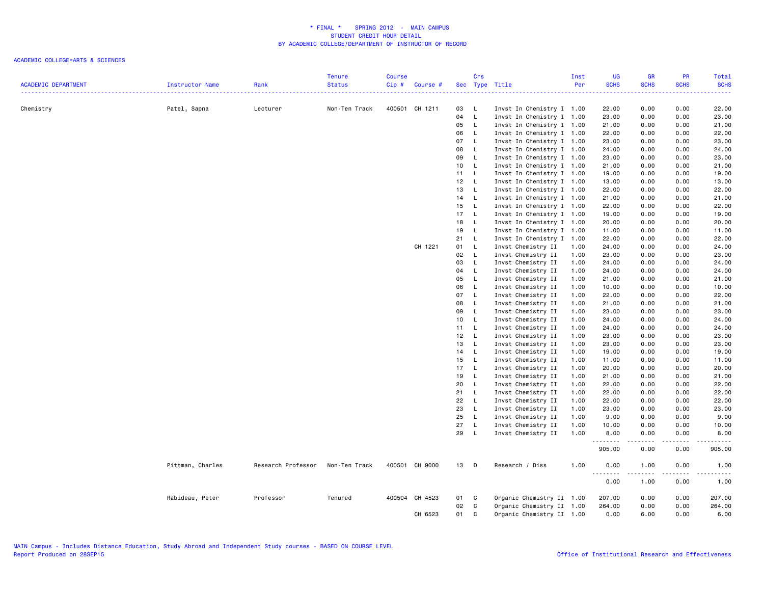| <b>ACADEMIC DEPARTMENT</b> | Instructor Name  | Rank               | <b>Tenure</b><br><b>Status</b> | Course<br>Cip# | Course #       |      | Crs          | Sec Type Title            | Inst<br>Per | UG<br><b>SCHS</b> | <b>GR</b><br><b>SCHS</b> | PR<br><b>SCHS</b>    | Total<br><b>SCHS</b>                                                                                                                                                            |
|----------------------------|------------------|--------------------|--------------------------------|----------------|----------------|------|--------------|---------------------------|-------------|-------------------|--------------------------|----------------------|---------------------------------------------------------------------------------------------------------------------------------------------------------------------------------|
|                            |                  |                    |                                |                |                |      |              |                           |             |                   |                          |                      | 22222                                                                                                                                                                           |
| Chemistry                  | Patel, Sapna     | Lecturer           | Non-Ten Track                  |                | 400501 CH 1211 | 03   | - L          | Invst In Chemistry I 1.00 |             | 22.00             | 0.00                     | 0.00                 | 22.00                                                                                                                                                                           |
|                            |                  |                    |                                |                |                | 04   | $\mathsf{L}$ | Invst In Chemistry I 1.00 |             | 23.00             | 0.00                     | 0.00                 | 23.00                                                                                                                                                                           |
|                            |                  |                    |                                |                |                | 05   | $\mathsf{L}$ | Invst In Chemistry I 1.00 |             | 21.00             | 0.00                     | 0.00                 | 21.00                                                                                                                                                                           |
|                            |                  |                    |                                |                |                | 06   | $\mathsf{L}$ | Invst In Chemistry I 1.00 |             | 22.00             | 0.00                     | 0.00                 | 22.00                                                                                                                                                                           |
|                            |                  |                    |                                |                |                | 07   | $\mathsf{L}$ | Invst In Chemistry I 1.00 |             | 23.00             | 0.00                     | 0.00                 | 23.00                                                                                                                                                                           |
|                            |                  |                    |                                |                |                | 08   | $\mathsf{L}$ | Invst In Chemistry I 1.00 |             | 24.00             | 0.00                     | 0.00                 | 24.00                                                                                                                                                                           |
|                            |                  |                    |                                |                |                | 09   | $\mathsf{L}$ | Invst In Chemistry I 1.00 |             | 23.00             | 0.00                     | 0.00                 | 23.00                                                                                                                                                                           |
|                            |                  |                    |                                |                |                | 10   | $\mathsf{L}$ | Invst In Chemistry I 1.00 |             | 21.00             | 0.00                     | 0.00                 | 21.00                                                                                                                                                                           |
|                            |                  |                    |                                |                |                | 11 L |              | Invst In Chemistry I 1.00 |             | 19.00             | 0.00                     | 0.00                 | 19.00                                                                                                                                                                           |
|                            |                  |                    |                                |                |                | 12 L |              | Invst In Chemistry I 1.00 |             | 13.00             | 0.00                     | 0.00                 | 13.00                                                                                                                                                                           |
|                            |                  |                    |                                |                |                | 13   | $\mathsf{L}$ | Invst In Chemistry I 1.00 |             | 22.00             | 0.00                     | 0.00                 | 22.00                                                                                                                                                                           |
|                            |                  |                    |                                |                |                | 14   | $\mathsf{L}$ | Invst In Chemistry I 1.00 |             | 21.00             | 0.00                     | 0.00                 | 21.00                                                                                                                                                                           |
|                            |                  |                    |                                |                |                | 15   | $\mathsf{L}$ | Invst In Chemistry I 1.00 |             | 22.00             | 0.00                     | 0.00                 | 22.00                                                                                                                                                                           |
|                            |                  |                    |                                |                |                | 17   | $\mathsf{L}$ | Invst In Chemistry I 1.00 |             | 19.00             | 0.00                     | 0.00                 | 19.00                                                                                                                                                                           |
|                            |                  |                    |                                |                |                | 18   | $\mathsf{L}$ | Invst In Chemistry I 1.00 |             |                   | 0.00                     |                      | 20.00                                                                                                                                                                           |
|                            |                  |                    |                                |                |                |      |              |                           |             | 20.00             |                          | 0.00                 |                                                                                                                                                                                 |
|                            |                  |                    |                                |                |                | 19   | $\mathsf{L}$ | Invst In Chemistry I 1.00 |             | 11.00             | 0.00                     | 0.00                 | 11.00                                                                                                                                                                           |
|                            |                  |                    |                                |                |                | 21   | $\mathsf{L}$ | Invst In Chemistry I 1.00 |             | 22.00             | 0.00                     | 0.00                 | 22.00                                                                                                                                                                           |
|                            |                  |                    |                                |                | CH 1221        | 01   | $\mathsf{L}$ | Invst Chemistry II        | 1.00        | 24.00             | 0.00                     | 0.00                 | 24.00                                                                                                                                                                           |
|                            |                  |                    |                                |                |                | 02   | $\mathsf{L}$ | Invst Chemistry II        | 1.00        | 23.00             | 0.00                     | 0.00                 | 23.00                                                                                                                                                                           |
|                            |                  |                    |                                |                |                | 03   | L            | Invst Chemistry II        | 1.00        | 24.00             | 0.00                     | 0.00                 | 24.00                                                                                                                                                                           |
|                            |                  |                    |                                |                |                | 04   | $\mathsf{L}$ | Invst Chemistry II        | 1.00        | 24.00             | 0.00                     | 0.00                 | 24.00                                                                                                                                                                           |
|                            |                  |                    |                                |                |                | 05   | $\mathsf{L}$ | Invst Chemistry II        | 1.00        | 21.00             | 0.00                     | 0.00                 | 21.00                                                                                                                                                                           |
|                            |                  |                    |                                |                |                | 06   | $\mathsf{L}$ | Invst Chemistry II        | 1.00        | 10.00             | 0.00                     | 0.00                 | 10.00                                                                                                                                                                           |
|                            |                  |                    |                                |                |                | 07   | $\mathsf{L}$ | Invst Chemistry II        | 1.00        | 22.00             | 0.00                     | 0.00                 | 22.00                                                                                                                                                                           |
|                            |                  |                    |                                |                |                | 08   | $\mathsf{L}$ | Invst Chemistry II        | 1.00        | 21.00             | 0.00                     | 0.00                 | 21.00                                                                                                                                                                           |
|                            |                  |                    |                                |                |                | 09   | $\mathsf{L}$ | Invst Chemistry II        | 1.00        | 23.00             | 0.00                     | 0.00                 | 23.00                                                                                                                                                                           |
|                            |                  |                    |                                |                |                | 10   | $\mathsf{L}$ | Invst Chemistry II        | 1.00        | 24.00             | 0.00                     | 0.00                 | 24.00                                                                                                                                                                           |
|                            |                  |                    |                                |                |                | 11 L |              | Invst Chemistry II        | 1.00        | 24.00             | 0.00                     | 0.00                 | 24.00                                                                                                                                                                           |
|                            |                  |                    |                                |                |                | 12   | $\mathsf{L}$ | Invst Chemistry II        | 1.00        | 23.00             | 0.00                     | 0.00                 | 23.00                                                                                                                                                                           |
|                            |                  |                    |                                |                |                | 13   | $\mathsf{L}$ | Invst Chemistry II        | 1.00        | 23.00             | 0.00                     | 0.00                 | 23.00                                                                                                                                                                           |
|                            |                  |                    |                                |                |                | 14 L |              | Invst Chemistry II        | 1.00        | 19.00             | 0.00                     | 0.00                 | 19.00                                                                                                                                                                           |
|                            |                  |                    |                                |                |                | 15   | $\mathsf{L}$ | Invst Chemistry II        | 1.00        | 11.00             | 0.00                     | 0.00                 | 11.00                                                                                                                                                                           |
|                            |                  |                    |                                |                |                | 17   | $\mathsf{L}$ | Invst Chemistry II        | 1.00        | 20.00             | 0.00                     | 0.00                 | 20.00                                                                                                                                                                           |
|                            |                  |                    |                                |                |                | 19   | $\mathsf{L}$ | Invst Chemistry II        | 1.00        | 21.00             | 0.00                     | 0.00                 | 21.00                                                                                                                                                                           |
|                            |                  |                    |                                |                |                | 20   | $\mathsf{L}$ | Invst Chemistry II        | 1.00        | 22.00             | 0.00                     | 0.00                 | 22.00                                                                                                                                                                           |
|                            |                  |                    |                                |                |                | 21   | $\mathsf{L}$ | Invst Chemistry II        | 1.00        | 22.00             | 0.00                     | 0.00                 | 22.00                                                                                                                                                                           |
|                            |                  |                    |                                |                |                | 22   | L.           | Invst Chemistry II        | 1.00        | 22.00             | 0.00                     | 0.00                 | 22.00                                                                                                                                                                           |
|                            |                  |                    |                                |                |                | 23   | $\mathsf{L}$ | Invst Chemistry II        | 1.00        | 23.00             | 0.00                     | 0.00                 | 23.00                                                                                                                                                                           |
|                            |                  |                    |                                |                |                | 25   | $\mathsf{L}$ | Invst Chemistry II        | 1.00        | 9.00              | 0.00                     | 0.00                 | 9.00                                                                                                                                                                            |
|                            |                  |                    |                                |                |                | 27   | $\mathsf{L}$ | Invst Chemistry II        | 1.00        | 10.00             | 0.00                     | 0.00                 | 10.00                                                                                                                                                                           |
|                            |                  |                    |                                |                |                | 29   | $\mathsf{L}$ | Invst Chemistry II        | 1.00        | 8.00              | 0.00                     | 0.00                 | 8.00                                                                                                                                                                            |
|                            |                  |                    |                                |                |                |      |              |                           |             | .                 | .                        | $\sim$ $\sim$ $\sim$ | $\frac{1}{2} \left( \frac{1}{2} \right) \left( \frac{1}{2} \right) \left( \frac{1}{2} \right) \left( \frac{1}{2} \right) \left( \frac{1}{2} \right) \left( \frac{1}{2} \right)$ |
|                            |                  |                    |                                |                |                |      |              |                           |             | 905.00            | 0.00                     | 0.00                 | 905.00                                                                                                                                                                          |
|                            | Pittman, Charles | Research Professor | Non-Ten Track                  |                | 400501 CH 9000 | 13   | $\mathsf{D}$ | Research / Diss           | 1.00        | 0.00<br><u>.</u>  | 1.00<br>.                | 0.00<br>.            | 1.00<br><u>.</u>                                                                                                                                                                |
|                            |                  |                    |                                |                |                |      |              |                           |             | 0.00              | 1.00                     | 0.00                 | 1.00                                                                                                                                                                            |
|                            | Rabideau, Peter  | Professor          | Tenured                        |                | 400504 CH 4523 | 01   | C            | Organic Chemistry II 1.00 |             | 207.00            | 0.00                     | 0.00                 | 207.00                                                                                                                                                                          |
|                            |                  |                    |                                |                |                | 02   | C            | Organic Chemistry II 1.00 |             | 264.00            | 0.00                     | 0.00                 | 264.00                                                                                                                                                                          |
|                            |                  |                    |                                |                | CH 6523        | 01   | C            | Organic Chemistry II 1.00 |             | 0.00              | 6.00                     | 0.00                 | 6.00                                                                                                                                                                            |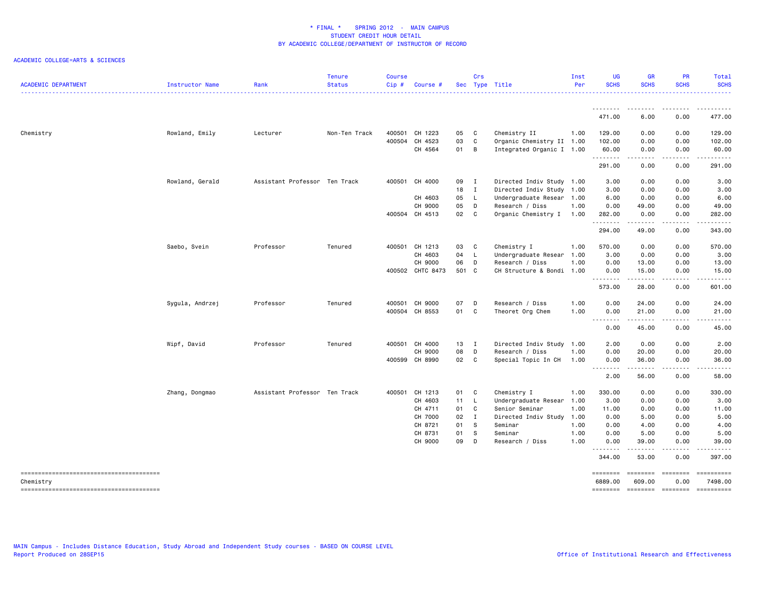| <b>ACADEMIC DEPARTMENT</b> | Instructor Name | Rank                          | <b>Tenure</b><br><b>Status</b> | <b>Course</b><br>$Cip$ # | Course #         |       | Crs      | Sec Type Title            | Inst<br>Per | <b>UG</b><br><b>SCHS</b>                                         | <b>GR</b><br><b>SCHS</b> | <b>PR</b><br><b>SCHS</b> | Total<br><b>SCHS</b>                 |
|----------------------------|-----------------|-------------------------------|--------------------------------|--------------------------|------------------|-------|----------|---------------------------|-------------|------------------------------------------------------------------|--------------------------|--------------------------|--------------------------------------|
|                            |                 |                               | .                              |                          |                  |       |          |                           |             |                                                                  |                          |                          | .                                    |
|                            |                 |                               |                                |                          |                  |       |          |                           |             | 471.00                                                           | 6.00                     | 0.00                     | 477.00                               |
| Chemistry                  | Rowland, Emily  | Lecturer                      | Non-Ten Track                  | 400501                   | CH 1223          | 05    | C        | Chemistry II              | 1.00        | 129.00                                                           | 0.00                     | 0.00                     | 129.00                               |
|                            |                 |                               |                                |                          | 400504 CH 4523   | 03 C  |          | Organic Chemistry II 1.00 |             | 102.00                                                           | 0.00                     | 0.00                     | 102.00                               |
|                            |                 |                               |                                |                          | CH 4564          | 01 B  |          | Integrated Organic I 1.00 |             | 60.00<br>.                                                       | 0.00<br>.                | 0.00<br>.                | 60.00<br>.                           |
|                            |                 |                               |                                |                          |                  |       |          |                           |             | 291.00                                                           | 0.00                     | 0.00                     | 291.00                               |
|                            | Rowland, Gerald | Assistant Professor Ten Track |                                |                          | 400501 CH 4000   | 09 I  |          | Directed Indiv Study 1.00 |             | 3.00                                                             | 0.00                     | 0.00                     | 3.00                                 |
|                            |                 |                               |                                |                          |                  | 18 I  |          | Directed Indiv Study 1.00 |             | 3.00                                                             | 0.00                     | 0.00                     | 3.00                                 |
|                            |                 |                               |                                |                          | CH 4603          | 05 L  |          | Undergraduate Resear 1.00 |             | 6.00                                                             | 0.00                     | 0.00                     | 6.00                                 |
|                            |                 |                               |                                |                          | CH 9000          | 05    | D        | Research / Diss           | 1.00        | 0.00                                                             | 49.00                    | 0.00                     | 49.00                                |
|                            |                 |                               |                                |                          | 400504 CH 4513   | 02 C  |          | Organic Chemistry I       | 1.00        | 282.00<br>.                                                      | 0.00<br>.                | 0.00<br>المتمامين        | 282.00<br>.                          |
|                            |                 |                               |                                |                          |                  |       |          |                           |             | 294.00                                                           | 49.00                    | 0.00                     | 343.00                               |
|                            | Saebo, Svein    | Professor                     | Tenured                        |                          | 400501 CH 1213   | 03 C  |          | Chemistry I               | 1.00        | 570.00                                                           | 0.00                     | 0.00                     | 570.00                               |
|                            |                 |                               |                                |                          | CH 4603          | 04 L  |          | Undergraduate Resear 1.00 |             | 3.00                                                             | 0.00                     | 0.00                     | 3.00                                 |
|                            |                 |                               |                                |                          | CH 9000          | 06    | D        | Research / Diss           | 1.00        | 0.00                                                             | 13.00                    | 0.00                     | 13.00                                |
|                            |                 |                               |                                |                          |                  | 501 C |          |                           |             |                                                                  |                          | 0.00                     | 15.00                                |
|                            |                 |                               |                                |                          | 400502 CHTC 8473 |       |          | CH Structure & Bondi 1.00 |             | 0.00                                                             | 15.00<br>.               | .                        | .                                    |
|                            |                 |                               |                                |                          |                  |       |          |                           |             | 573.00                                                           | 28.00                    | 0.00                     | 601.00                               |
|                            | Sygula, Andrzej | Professor                     | Tenured                        |                          | 400501 CH 9000   | 07    | D        | Research / Diss           | 1.00        | 0.00                                                             | 24.00                    | 0.00                     | 24.00                                |
|                            |                 |                               |                                |                          | 400504 CH 8553   | 01 C  |          | Theoret Org Chem          | 1.00        | 0.00                                                             | 21.00                    | 0.00                     | 21.00                                |
|                            |                 |                               |                                |                          |                  |       |          |                           |             | .<br>0.00                                                        | <u>.</u><br>45.00        | .<br>0.00                | .<br>45.00                           |
|                            | Wipf, David     | Professor                     | Tenured                        |                          | 400501 CH 4000   | 13 I  |          | Directed Indiv Study 1.00 |             | 2.00                                                             | 0.00                     | 0.00                     | 2.00                                 |
|                            |                 |                               |                                |                          | CH 9000          | 08    | D        | Research / Diss           | 1.00        | 0.00                                                             | 20.00                    | 0.00                     | 20.00                                |
|                            |                 |                               |                                |                          | 400599 CH 8990   | 02 C  |          | Special Topic In CH       | 1.00        | 0.00                                                             | 36.00                    | 0.00                     | 36.00                                |
|                            |                 |                               |                                |                          |                  |       |          |                           |             | $\omega$ is $\omega$ in $\omega$<br>$\sim$ $\sim$ $\sim$<br>2.00 | المتمالين<br>56.00       | المتمالين<br>0.00        | .<br>58.00                           |
|                            | Zhang, Dongmao  | Assistant Professor Ten Track |                                |                          | 400501 CH 1213   | 01    | C        | Chemistry I               | 1.00        | 330.00                                                           | 0.00                     | 0.00                     | 330.00                               |
|                            |                 |                               |                                |                          | CH 4603          | 11 L  |          | Undergraduate Resear      | 1.00        | 3.00                                                             | 0.00                     | 0.00                     | 3.00                                 |
|                            |                 |                               |                                |                          | CH 4711          | 01    | C.       | Senior Seminar            | 1.00        | 11.00                                                            | 0.00                     | 0.00                     | 11.00                                |
|                            |                 |                               |                                |                          | CH 7000          | 02 I  |          | Directed Indiv Study      | 1.00        | 0.00                                                             | 5.00                     | 0.00                     | 5.00                                 |
|                            |                 |                               |                                |                          | CH 8721          | 01    | s        | Seminar                   | 1.00        | 0.00                                                             | 4.00                     | 0.00                     | 4.00                                 |
|                            |                 |                               |                                |                          | CH 8731          | 01    | <b>S</b> | Seminar                   | 1.00        | 0.00                                                             | 5.00                     | 0.00                     | 5.00                                 |
|                            |                 |                               |                                |                          | CH 9000          | 09    | D        | Research / Diss           | 1.00        | 0.00                                                             | 39.00                    | 0.00                     | 39.00                                |
|                            |                 |                               |                                |                          |                  |       |          |                           |             | .<br>344.00                                                      | 53.00                    | 0.00                     | 397.00                               |
| Chemistry                  |                 |                               |                                |                          |                  |       |          |                           |             | ========<br>6889,00                                              | ========<br>609.00       | 0.00                     | ==========<br>7498.00                |
|                            |                 |                               |                                |                          |                  |       |          |                           |             |                                                                  |                          |                          | ======== ======== ======== ========= |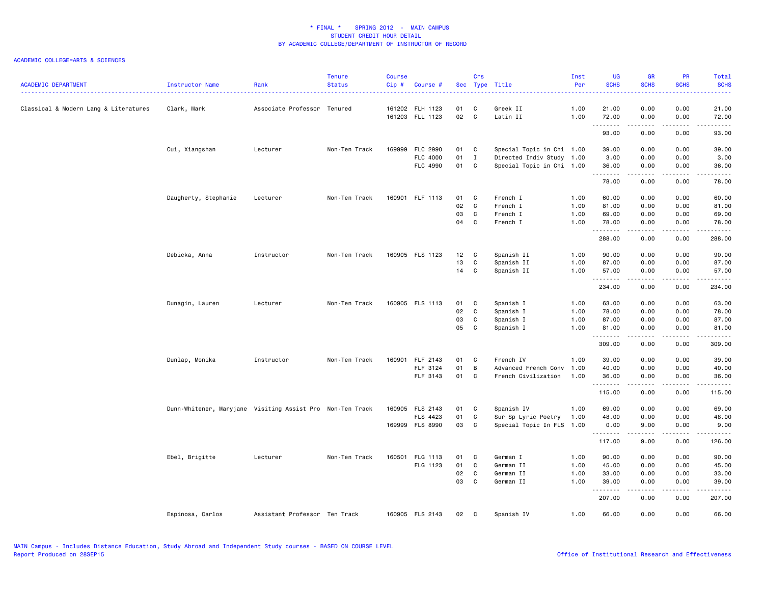| <b>ACADEMIC DEPARTMENT</b>            | Instructor Name                                           | Rank                          | <b>Tenure</b><br><b>Status</b> | Course<br>$Cip \#$ | Course #        |          | Crs            | Sec Type Title            | Inst<br>Per  | <b>UG</b><br><b>SCHS</b> | <b>GR</b><br><b>SCHS</b> | <b>PR</b><br><b>SCHS</b><br>.       | Total<br><b>SCHS</b><br>والمستناء |
|---------------------------------------|-----------------------------------------------------------|-------------------------------|--------------------------------|--------------------|-----------------|----------|----------------|---------------------------|--------------|--------------------------|--------------------------|-------------------------------------|-----------------------------------|
| Classical & Modern Lang & Literatures | Clark, Mark                                               | Associate Professor Tenured   |                                |                    | 161202 FLH 1123 | 01       | C              | Greek II                  | 1.00         | 21.00                    | 0.00                     | 0.00                                | 21.00                             |
|                                       |                                                           |                               |                                |                    | 161203 FLL 1123 | 02       | $\mathbf{C}$   | Latin II                  | 1.00         | 72.00<br>.               | 0.00<br>.                | 0.00<br>.                           | 72.00<br>.                        |
|                                       |                                                           |                               |                                |                    |                 |          |                |                           |              | 93.00                    | 0.00                     | 0.00                                | 93.00                             |
|                                       | Cui, Xiangshan                                            | Lecturer                      | Non-Ten Track                  |                    | 169999 FLC 2990 | 01 C     |                | Special Topic in Chi 1.00 |              | 39.00                    | 0.00                     | 0.00                                | 39.00                             |
|                                       |                                                           |                               |                                |                    | FLC 4000        | 01       | $\mathbf{I}$   | Directed Indiv Study 1.00 |              | 3.00                     | 0.00                     | 0.00                                | 3.00                              |
|                                       |                                                           |                               |                                |                    | FLC 4990        | 01       | C              | Special Topic in Chi 1.00 |              | 36.00<br>.               | 0.00<br>.                | 0.00<br>$\sim$ $\sim$ $\sim$ $\sim$ | 36.00<br>.                        |
|                                       |                                                           |                               |                                |                    |                 |          |                |                           |              | 78.00                    | 0.00                     | 0.00                                | 78.00                             |
|                                       | Daugherty, Stephanie                                      | Lecturer                      | Non-Ten Track                  |                    | 160901 FLF 1113 | 01       | C              | French I                  | 1.00         | 60.00                    | 0.00                     | 0.00                                | 60.00                             |
|                                       |                                                           |                               |                                |                    |                 | 02       | C              | French I                  | 1.00         | 81.00                    | 0.00                     | 0.00                                | 81.00                             |
|                                       |                                                           |                               |                                |                    |                 | 03       | C              | French I                  | 1.00         | 69.00                    | 0.00                     | 0.00                                | 69.00                             |
|                                       |                                                           |                               |                                |                    |                 | 04       | C              | French I                  | 1.00         | 78.00<br>.               | 0.00<br>.                | 0.00<br>.                           | 78.00<br>.                        |
|                                       |                                                           |                               |                                |                    |                 |          |                |                           |              | 288.00                   | 0.00                     | 0.00                                | 288.00                            |
|                                       | Debicka, Anna                                             | Instructor                    | Non-Ten Track                  |                    | 160905 FLS 1123 | 12       | $\mathbf{C}$   | Spanish II                | 1.00         | 90.00                    | 0.00                     | 0.00                                | 90.00                             |
|                                       |                                                           |                               |                                |                    |                 | 13       | C              | Spanish II                | 1.00         | 87.00                    | 0.00                     | 0.00                                | 87.00                             |
|                                       |                                                           |                               |                                |                    |                 | 14       | C              | Spanish II                | 1.00         | 57.00                    | 0.00                     | 0.00                                | 57.00                             |
|                                       |                                                           |                               |                                |                    |                 |          |                |                           |              | .<br>234.00              | .<br>0.00                | $   -$<br>0.00                      | .<br>234.00                       |
|                                       | Dunagin, Lauren                                           | Lecturer                      | Non-Ten Track                  |                    | 160905 FLS 1113 | 01       | C              | Spanish I                 | 1.00         | 63.00                    | 0.00                     | 0.00                                | 63.00                             |
|                                       |                                                           |                               |                                |                    |                 | 02       | $\mathbf c$    | Spanish I                 | 1.00         | 78.00                    | 0.00                     | 0.00                                | 78.00                             |
|                                       |                                                           |                               |                                |                    |                 | 03       | C              | Spanish I                 | 1.00         | 87.00                    | 0.00                     | 0.00                                | 87.00                             |
|                                       |                                                           |                               |                                |                    |                 | 05       | C              | Spanish I                 | 1.00         | 81.00                    | 0.00                     | 0.00                                | 81.00                             |
|                                       |                                                           |                               |                                |                    |                 |          |                |                           |              | .<br>309.00              | .<br>0.00                | .<br>0.00                           | .<br>309.00                       |
|                                       | Dunlap, Monika                                            | Instructor                    | Non-Ten Track                  |                    | 160901 FLF 2143 | 01       | C              | French IV                 | 1.00         | 39.00                    | 0.00                     | 0.00                                | 39.00                             |
|                                       |                                                           |                               |                                |                    | FLF 3124        | 01       | $\overline{B}$ | Advanced French Conv      | 1.00         | 40.00                    | 0.00                     | 0.00                                | 40.00                             |
|                                       |                                                           |                               |                                |                    | FLF 3143        | 01 C     |                | French Civilization       | 1.00         | 36.00                    | 0.00                     | 0.00                                | 36.00                             |
|                                       |                                                           |                               |                                |                    |                 |          |                |                           |              | .<br>115.00              | .<br>0.00                | $\sim$ $\sim$ $\sim$ $\sim$<br>0.00 | .<br>115.00                       |
|                                       | Dunn-Whitener, Maryjane Visiting Assist Pro Non-Ten Track |                               |                                |                    | 160905 FLS 2143 | 01       | C              | Spanish IV                | 1.00         | 69.00                    | 0.00                     | 0.00                                | 69.00                             |
|                                       |                                                           |                               |                                |                    | FLS 4423        | 01       | C              | Sur Sp Lyric Poetry       | 1.00         | 48.00                    | 0.00                     | 0.00                                | 48.00                             |
|                                       |                                                           |                               |                                |                    | 169999 FLS 8990 | 03       | C              | Special Topic In FLS 1.00 |              | 0.00                     | 9.00                     | 0.00                                | 9.00                              |
|                                       |                                                           |                               |                                |                    |                 |          |                |                           |              | .<br>117.00              | .<br>9.00                | .<br>0.00                           | .<br>126.00                       |
|                                       |                                                           |                               |                                |                    |                 |          |                |                           |              |                          |                          |                                     |                                   |
|                                       | Ebel, Brigitte                                            | Lecturer                      | Non-Ten Track                  |                    | 160501 FLG 1113 | 01       | C              | German I                  | 1.00         | 90.00                    | 0.00                     | 0.00                                | 90.00                             |
|                                       |                                                           |                               |                                |                    | FLG 1123        | 01<br>02 | C<br>C         | German II<br>German II    | 1.00<br>1.00 | 45.00<br>33.00           | 0.00<br>0.00             | 0.00<br>0.00                        | 45.00<br>33.00                    |
|                                       |                                                           |                               |                                |                    |                 | 03       | C              | German II                 | 1.00         | 39.00                    | 0.00                     | 0.00                                | 39.00                             |
|                                       |                                                           |                               |                                |                    |                 |          |                |                           |              | .<br>207.00              | .<br>0.00                | $\sim$ $\sim$ $\sim$ $\sim$<br>0.00 | وبالمستريث<br>207.00              |
|                                       |                                                           |                               |                                |                    |                 |          |                |                           |              |                          |                          |                                     |                                   |
|                                       | Espinosa, Carlos                                          | Assistant Professor Ten Track |                                |                    | 160905 FLS 2143 | 02       | C              | Spanish IV                | 1.00         | 66.00                    | 0.00                     | 0.00                                | 66.00                             |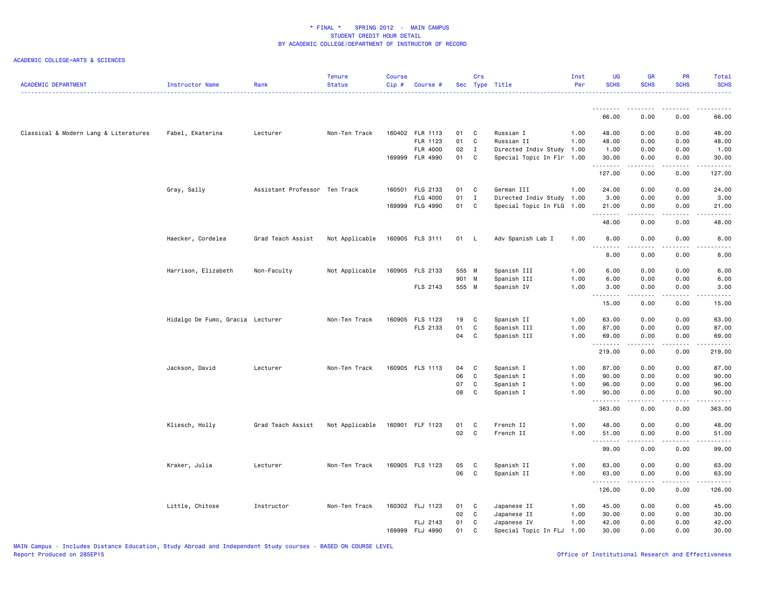| <b>ACADEMIC DEPARTMENT</b>            | Instructor Name                  | Rank                          | <b>Tenure</b><br><b>Status</b> | <b>Course</b><br>Cip# | Course #                    |            | Crs          | Sec Type Title            | Inst<br>Per | <b>UG</b><br><b>SCHS</b> | <b>GR</b><br><b>SCHS</b>                                                                                                                                     | <b>PR</b><br><b>SCHS</b>            | Total<br><b>SCHS</b><br>. |
|---------------------------------------|----------------------------------|-------------------------------|--------------------------------|-----------------------|-----------------------------|------------|--------------|---------------------------|-------------|--------------------------|--------------------------------------------------------------------------------------------------------------------------------------------------------------|-------------------------------------|---------------------------|
|                                       |                                  |                               |                                |                       |                             |            |              |                           |             | .                        | .                                                                                                                                                            | .                                   | .                         |
|                                       |                                  |                               |                                |                       |                             |            |              |                           |             | 66.00                    | 0.00                                                                                                                                                         | 0.00                                | 66.00                     |
| Classical & Modern Lang & Literatures | Fabel, Ekaterina                 | Lecturer                      | Non-Ten Track                  |                       | 160402 FLR 1113             | 01 C       |              | Russian I                 | 1.00        | 48.00                    | 0.00                                                                                                                                                         | 0.00                                | 48.00                     |
|                                       |                                  |                               |                                |                       | FLR 1123                    | 01         | C            | Russian II                | 1.00        | 48.00                    | 0.00                                                                                                                                                         | 0.00                                | 48.00                     |
|                                       |                                  |                               |                                |                       | FLR 4000<br>169999 FLR 4990 | 02<br>01 C | $\mathbf{I}$ | Directed Indiv Study 1.00 |             | 1.00<br>30.00            | 0.00<br>0.00                                                                                                                                                 | 0.00<br>0.00                        | 1.00<br>30.00             |
|                                       |                                  |                               |                                |                       |                             |            |              | Special Topic In Flr 1.00 |             | .                        | .                                                                                                                                                            | د د د د                             | .                         |
|                                       |                                  |                               |                                |                       |                             |            |              |                           |             | 127.00                   | 0.00                                                                                                                                                         | 0.00                                | 127.00                    |
|                                       | Gray, Sally                      | Assistant Professor Ten Track |                                |                       | 160501 FLG 2133             | 01         | $\mathbf{C}$ | German III                | 1.00        | 24.00                    | 0.00                                                                                                                                                         | 0.00                                | 24.00                     |
|                                       |                                  |                               |                                |                       | FLG 4000                    | 01         | $\mathbf{I}$ | Directed Indiv Study 1.00 |             | 3.00                     | 0.00                                                                                                                                                         | 0.00                                | 3.00                      |
|                                       |                                  |                               |                                |                       | 169999 FLG 4990             | 01         | $\mathbf{C}$ | Special Topic In FLG 1.00 |             | 21.00<br>.               | 0.00<br>.                                                                                                                                                    | 0.00<br>$\sim$ $\sim$ $\sim$ $\sim$ | 21.00<br>.                |
|                                       |                                  |                               |                                |                       |                             |            |              |                           |             | 48.00                    | 0.00                                                                                                                                                         | 0.00                                | 48.00                     |
|                                       | Haecker, Cordelea                | Grad Teach Assist             | Not Applicable                 |                       | 160905 FLS 3111             | 01 L       |              | Adv Spanish Lab I         | 1.00        | 8.00<br><u>.</u>         | 0.00                                                                                                                                                         | 0.00                                | 8.00                      |
|                                       |                                  |                               |                                |                       |                             |            |              |                           |             | 8.00                     | 0.00                                                                                                                                                         | 0.00                                | 8.00                      |
|                                       | Harrison, Elizabeth              | Non-Faculty                   | Not Applicable                 |                       | 160905 FLS 2133             | 555 M      |              | Spanish III               | 1.00        | 6.00                     | 0.00                                                                                                                                                         | 0.00                                | 6.00                      |
|                                       |                                  |                               |                                |                       |                             | 901 M      |              | Spanish III               | 1.00        | 6.00                     | 0.00                                                                                                                                                         | 0.00                                | 6.00                      |
|                                       |                                  |                               |                                |                       | FLS 2143                    | 555 M      |              | Spanish IV                | 1.00        | 3.00                     | 0.00                                                                                                                                                         | 0.00                                | 3.00                      |
|                                       |                                  |                               |                                |                       |                             |            |              |                           |             | .<br>15.00               | .<br>0.00                                                                                                                                                    | د د د د<br>0.00                     | .<br>15.00                |
|                                       | Hidalgo De Fumo, Gracia Lecturer |                               | Non-Ten Track                  |                       | 160905 FLS 1123             | 19         | C.           | Spanish II                | 1.00        | 63.00                    | 0.00                                                                                                                                                         | 0.00                                | 63.00                     |
|                                       |                                  |                               |                                |                       | FLS 2133                    | 01         | C            | Spanish III               | 1.00        | 87.00                    | 0.00                                                                                                                                                         | 0.00                                | 87.00                     |
|                                       |                                  |                               |                                |                       |                             | 04         | $\mathbf{C}$ | Spanish III               | 1.00        | 69.00<br>.               | 0.00<br>$\frac{1}{2} \left( \frac{1}{2} \right) \left( \frac{1}{2} \right) \left( \frac{1}{2} \right) \left( \frac{1}{2} \right) \left( \frac{1}{2} \right)$ | 0.00<br>.                           | 69.00<br>.                |
|                                       |                                  |                               |                                |                       |                             |            |              |                           |             | 219.00                   | 0.00                                                                                                                                                         | 0.00                                | 219.00                    |
|                                       | Jackson, David                   | Lecturer                      | Non-Ten Track                  |                       | 160905 FLS 1113             | 04         | C            | Spanish I                 | 1.00        | 87.00                    | 0.00                                                                                                                                                         | 0.00                                | 87.00                     |
|                                       |                                  |                               |                                |                       |                             | 06         | C            | Spanish I                 | 1.00        | 90.00                    | 0.00                                                                                                                                                         | 0.00                                | 90.00                     |
|                                       |                                  |                               |                                |                       |                             | 07         | C            | Spanish I                 | 1.00        | 96.00                    | 0.00                                                                                                                                                         | 0.00                                | 96.00                     |
|                                       |                                  |                               |                                |                       |                             | 08         | C            | Spanish I                 | 1.00        | 90.00<br>.               | 0.00                                                                                                                                                         | 0.00<br>$\sim$ $\sim$ $\sim$        | 90.00<br>د د د د د        |
|                                       |                                  |                               |                                |                       |                             |            |              |                           |             | 363.00                   | 0.00                                                                                                                                                         | 0.00                                | 363.00                    |
|                                       | Kliesch, Holly                   | Grad Teach Assist             | Not Applicable                 |                       | 160901 FLF 1123             | 01         | $\mathbf{C}$ | French II                 | 1.00        | 48.00                    | 0.00                                                                                                                                                         | 0.00                                | 48.00                     |
|                                       |                                  |                               |                                |                       |                             | 02 C       |              | French II                 | 1.00        | 51.00                    | 0.00                                                                                                                                                         | 0.00                                | 51.00                     |
|                                       |                                  |                               |                                |                       |                             |            |              |                           |             | .<br>99.00               | -----<br>0.00                                                                                                                                                | .<br>0.00                           | .<br>99.00                |
|                                       | Kraker, Julia                    | Lecturer                      | Non-Ten Track                  |                       | 160905 FLS 1123             | 05         | $\mathbf{C}$ | Spanish II                | 1.00        | 63.00                    | 0.00                                                                                                                                                         | 0.00                                | 63.00                     |
|                                       |                                  |                               |                                |                       |                             | 06         | $\mathbf{C}$ | Spanish II                | 1.00        | 63.00                    | 0.00                                                                                                                                                         | 0.00                                | 63.00                     |
|                                       |                                  |                               |                                |                       |                             |            |              |                           |             | .<br>126.00              | -----<br>0.00                                                                                                                                                | .<br>0.00                           | .<br>126.00               |
|                                       | Little, Chitose                  | Instructor                    | Non-Ten Track                  |                       | 160302 FLJ 1123             | 01 C       |              | Japanese II               | 1.00        | 45.00                    | 0.00                                                                                                                                                         | 0.00                                | 45.00                     |
|                                       |                                  |                               |                                |                       |                             | 02 C       |              | Japanese II               | 1.00        | 30.00                    | 0.00                                                                                                                                                         | 0.00                                | 30.00                     |
|                                       |                                  |                               |                                |                       | FLJ 2143                    | 01         | C            | Japanese IV               | 1.00        | 42.00                    | 0.00                                                                                                                                                         | 0.00                                | 42.00                     |
|                                       |                                  |                               |                                |                       | 169999 FLJ 4990             | 01         | C            | Special Topic In FLJ      | 1.00        | 30.00                    | 0.00                                                                                                                                                         | 0.00                                | 30.00                     |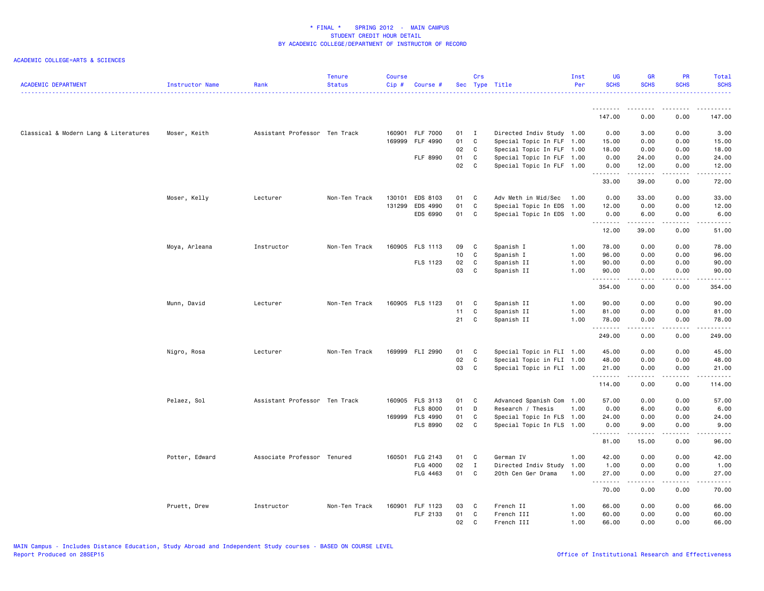| <b>ACADEMIC DEPARTMENT</b>            | Instructor Name | Rank                          | Tenure<br><b>Status</b> | Course<br>Cip# | Course #        |    | Crs          | Sec Type Title            | Inst<br>Per | <b>UG</b><br><b>SCHS</b> | <b>GR</b><br><b>SCHS</b>                                                                                                                                     | PR<br><b>SCHS</b> | Total<br><b>SCHS</b>   |
|---------------------------------------|-----------------|-------------------------------|-------------------------|----------------|-----------------|----|--------------|---------------------------|-------------|--------------------------|--------------------------------------------------------------------------------------------------------------------------------------------------------------|-------------------|------------------------|
|                                       |                 |                               |                         |                |                 |    |              |                           |             | .                        |                                                                                                                                                              |                   |                        |
|                                       |                 |                               |                         |                |                 |    |              |                           |             | 147.00                   | 0.00                                                                                                                                                         | 0.00              | 147.00                 |
| Classical & Modern Lang & Literatures | Moser, Keith    | Assistant Professor Ten Track |                         |                | 160901 FLF 7000 | 01 | $\mathbf{I}$ | Directed Indiv Study 1.00 |             | 0.00                     | 3.00                                                                                                                                                         | 0.00              | 3.00                   |
|                                       |                 |                               |                         |                | 169999 FLF 4990 | 01 | $\mathbf c$  | Special Topic In FLF 1.00 |             | 15.00                    | 0.00                                                                                                                                                         | 0.00              | 15.00                  |
|                                       |                 |                               |                         |                |                 | 02 | C            | Special Topic In FLF 1.00 |             | 18.00                    | 0.00                                                                                                                                                         | 0.00              | 18.00                  |
|                                       |                 |                               |                         |                | FLF 8990        | 01 | C            | Special Topic In FLF 1.00 |             | 0.00                     | 24.00                                                                                                                                                        | 0.00              | 24.00                  |
|                                       |                 |                               |                         |                |                 | 02 | C            | Special Topic In FLF 1.00 |             | 0.00<br>.                | 12.00<br>.                                                                                                                                                   | 0.00<br>.         | 12.00<br>.             |
|                                       |                 |                               |                         |                |                 |    |              |                           |             | 33.00                    | 39.00                                                                                                                                                        | 0.00              | 72.00                  |
|                                       | Moser, Kelly    | Lecturer                      | Non-Ten Track           | 130101         | EDS 8103        | 01 | C            | Adv Meth in Mid/Sec       | 1.00        | 0.00                     | 33.00                                                                                                                                                        | 0.00              | 33.00                  |
|                                       |                 |                               |                         | 131299         | EDS 4990        | 01 | C            | Special Topic In EDS 1.00 |             | 12.00                    | 0.00                                                                                                                                                         | 0.00              | 12.00                  |
|                                       |                 |                               |                         |                | EDS 6990        | 01 | C            | Special Topic In EDS 1.00 |             | 0.00<br>.                | 6.00<br>.                                                                                                                                                    | 0.00<br>.         | 6.00<br>.              |
|                                       |                 |                               |                         |                |                 |    |              |                           |             | 12.00                    | 39.00                                                                                                                                                        | 0.00              | 51.00                  |
|                                       | Moya, Arleana   | Instructor                    | Non-Ten Track           |                | 160905 FLS 1113 | 09 | C            | Spanish I                 | 1.00        | 78.00                    | 0.00                                                                                                                                                         | 0.00              | 78.00                  |
|                                       |                 |                               |                         |                |                 | 10 | C            | Spanish I                 | 1.00        | 96.00                    | 0.00                                                                                                                                                         | 0.00              | 96.00                  |
|                                       |                 |                               |                         |                | FLS 1123        | 02 | C            | Spanish II                | 1.00        | 90.00                    | 0.00                                                                                                                                                         | 0.00              | 90.00                  |
|                                       |                 |                               |                         |                |                 | 03 | C            | Spanish II                | 1.00        | 90.00<br>.               | 0.00                                                                                                                                                         | 0.00              | 90.00<br>$\frac{1}{2}$ |
|                                       |                 |                               |                         |                |                 |    |              |                           |             | 354.00                   | 0.00                                                                                                                                                         | 0.00              | 354.00                 |
|                                       | Munn, David     | Lecturer                      | Non-Ten Track           |                | 160905 FLS 1123 | 01 | C            | Spanish II                | 1.00        | 90.00                    | 0.00                                                                                                                                                         | 0.00              | 90.00                  |
|                                       |                 |                               |                         |                |                 | 11 | $\mathbb{C}$ | Spanish II                | 1.00        | 81.00                    | 0.00                                                                                                                                                         | 0.00              | 81.00                  |
|                                       |                 |                               |                         |                |                 | 21 | C            | Spanish II                | 1.00        | 78.00<br>.               | 0.00<br>.                                                                                                                                                    | 0.00<br>.         | 78.00<br>.             |
|                                       |                 |                               |                         |                |                 |    |              |                           |             | 249.00                   | 0.00                                                                                                                                                         | 0.00              | 249.00                 |
|                                       | Nigro, Rosa     | Lecturer                      | Non-Ten Track           |                | 169999 FLI 2990 | 01 | C            | Special Topic in FLI 1.00 |             | 45.00                    | 0.00                                                                                                                                                         | 0.00              | 45.00                  |
|                                       |                 |                               |                         |                |                 | 02 | C            | Special Topic in FLI 1.00 |             | 48.00                    | 0.00                                                                                                                                                         | 0.00              | 48.00                  |
|                                       |                 |                               |                         |                |                 | 03 | C            | Special Topic in FLI 1.00 |             | 21.00<br>.               | 0.00<br>.                                                                                                                                                    | 0.00<br>.         | 21.00<br>.             |
|                                       |                 |                               |                         |                |                 |    |              |                           |             | 114.00                   | 0.00                                                                                                                                                         | 0.00              | 114.00                 |
|                                       | Pelaez, Sol     | Assistant Professor Ten Track |                         |                | 160905 FLS 3113 | 01 | C            | Advanced Spanish Com 1.00 |             | 57.00                    | 0.00                                                                                                                                                         | 0.00              | 57.00                  |
|                                       |                 |                               |                         |                | <b>FLS 8000</b> | 01 | D            | Research / Thesis         | 1.00        | 0.00                     | 6.00                                                                                                                                                         | 0.00              | 6.00                   |
|                                       |                 |                               |                         |                | 169999 FLS 4990 | 01 | C            | Special Topic In FLS 1.00 |             | 24.00                    | 0.00                                                                                                                                                         | 0.00              | 24.00                  |
|                                       |                 |                               |                         |                | FLS 8990        | 02 | $\mathbf{C}$ | Special Topic In FLS 1.00 |             | 0.00<br>.                | 9.00<br>$\frac{1}{2} \left( \frac{1}{2} \right) \left( \frac{1}{2} \right) \left( \frac{1}{2} \right) \left( \frac{1}{2} \right) \left( \frac{1}{2} \right)$ | 0.00<br>.         | 9.00<br>.              |
|                                       |                 |                               |                         |                |                 |    |              |                           |             | 81.00                    | 15.00                                                                                                                                                        | 0.00              | 96.00                  |
|                                       | Potter, Edward  | Associate Professor Tenured   |                         |                | 160501 FLG 2143 | 01 | C            | German IV                 | 1.00        | 42.00                    | 0.00                                                                                                                                                         | 0.00              | 42.00                  |
|                                       |                 |                               |                         |                | FLG 4000        | 02 | $\mathbf{I}$ | Directed Indiv Study      | 1.00        | 1.00                     | 0.00                                                                                                                                                         | 0.00              | 1.00                   |
|                                       |                 |                               |                         |                | FLG 4463        | 01 | C            | 20th Cen Ger Drama        | 1.00        | 27.00<br>.               | 0.00                                                                                                                                                         | 0.00              | 27.00<br>.             |
|                                       |                 |                               |                         |                |                 |    |              |                           |             | 70.00                    | 0.00                                                                                                                                                         | 0.00              | 70.00                  |
|                                       | Pruett, Drew    | Instructor                    | Non-Ten Track           |                | 160901 FLF 1123 | 03 | C            | French II                 | 1.00        | 66.00                    | 0.00                                                                                                                                                         | 0.00              | 66.00                  |
|                                       |                 |                               |                         |                | FLF 2133        | 01 | C            | French III                | 1.00        | 60.00                    | 0.00                                                                                                                                                         | 0.00              | 60.00                  |
|                                       |                 |                               |                         |                |                 | 02 | $\mathbf{C}$ | French III                | 1.00        | 66.00                    | 0.00                                                                                                                                                         | 0.00              | 66.00                  |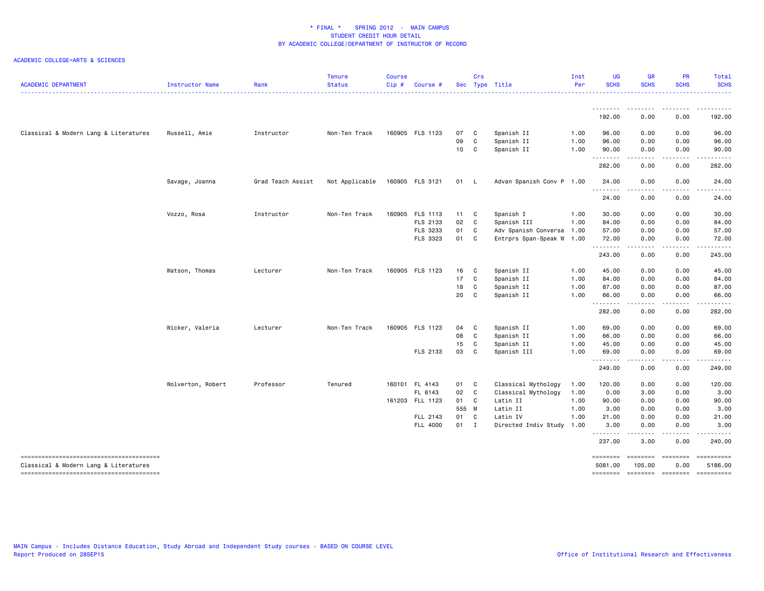|                                       |                   | Rank              | <b>Status</b>  | Cip#   | <b>Course</b>   |        |              | Sec Type Title            | Per  | <b>SCHS</b>                     | <b>SCHS</b>                          | <b>SCHS</b>           | <b>SCHS</b>                                        |
|---------------------------------------|-------------------|-------------------|----------------|--------|-----------------|--------|--------------|---------------------------|------|---------------------------------|--------------------------------------|-----------------------|----------------------------------------------------|
|                                       |                   |                   |                |        |                 |        |              |                           |      | --------                        | $\cdots$                             |                       | .                                                  |
|                                       |                   |                   |                |        |                 |        |              |                           |      | 192.00                          | 0.00                                 | 0.00                  | 192.00                                             |
| Classical & Modern Lang & Literatures | Russell, Amie     | Instructor        | Non-Ten Track  |        | 160905 FLS 1123 | 07 C   |              | Spanish II                | 1.00 | 96.00                           | 0.00                                 | 0.00                  | 96.00                                              |
|                                       |                   |                   |                |        |                 | 09     | C            | Spanish II                | 1.00 | 96.00                           | 0.00                                 | 0.00                  | 96.00                                              |
|                                       |                   |                   |                |        |                 | 10     | $\mathbf{C}$ | Spanish II                | 1.00 | 90.00<br>.                      | 0.00                                 | 0.00                  | 90.00                                              |
|                                       |                   |                   |                |        |                 |        |              |                           |      | 282.00                          | 0.00                                 | 0.00                  | 282.00                                             |
|                                       | Savage, Joanna    | Grad Teach Assist | Not Applicable |        | 160905 FLS 3121 | 01 L   |              | Advan Spanish Conv P 1.00 |      | 24.00                           | 0.00                                 | 0.00                  | 24.00                                              |
|                                       |                   |                   |                |        |                 |        |              |                           |      | .<br>24.00                      | 0.00                                 | 0.00                  | 24.00                                              |
|                                       | Vozzo, Rosa       | Instructor        | Non-Ten Track  | 160905 | FLS 1113        | 11 C   |              | Spanish I                 | 1.00 | 30.00                           | 0.00                                 | 0.00                  | 30.00                                              |
|                                       |                   |                   |                |        | FLS 2133        | 02     | $\mathbf c$  | Spanish III               | 1.00 | 84.00                           | 0.00                                 | 0.00                  | 84.00                                              |
|                                       |                   |                   |                |        | FLS 3233        | 01     | C            | Adv Spanish Conversa 1.00 |      | 57.00                           | 0.00                                 | 0.00                  | 57.00                                              |
|                                       |                   |                   |                |        | FLS 3323        | 01     | C            | Entrprs Span-Speak W 1.00 |      | 72.00<br>.                      | 0.00<br>$\sim$ $\sim$ $\sim$ $\sim$  | 0.00<br>.             | 72.00<br>.                                         |
|                                       |                   |                   |                |        |                 |        |              |                           |      | 243.00                          | 0.00                                 | 0.00                  | 243.00                                             |
|                                       | Watson, Thomas    | Lecturer          | Non-Ten Track  |        | 160905 FLS 1123 | 16     | C            | Spanish II                | 1.00 | 45.00                           | 0.00                                 | 0.00                  | 45.00                                              |
|                                       |                   |                   |                |        |                 | 17     | C            | Spanish II                | 1.00 | 84.00                           | 0.00                                 | 0.00                  | 84.00                                              |
|                                       |                   |                   |                |        |                 | 18     | $\mathbf c$  | Spanish II                | 1.00 | 87.00                           | 0.00                                 | 0.00                  | 87.00                                              |
|                                       |                   |                   |                |        |                 | 20     | C            | Spanish II                | 1.00 | 66.00<br>.                      | 0.00<br>.                            | 0.00<br>$\frac{1}{2}$ | 66.00<br>$- - - - -$                               |
|                                       |                   |                   |                |        |                 |        |              |                           |      | 282.00                          | 0.00                                 | 0.00                  | 282.00                                             |
|                                       | Wicker, Valeria   | Lecturer          | Non-Ten Track  |        | 160905 FLS 1123 | 04 C   |              | Spanish II                | 1.00 | 69.00                           | 0.00                                 | 0.00                  | 69.00                                              |
|                                       |                   |                   |                |        |                 | 08     | $\mathbf c$  | Spanish II                | 1.00 | 66.00                           | 0.00                                 | 0.00                  | 66.00                                              |
|                                       |                   |                   |                |        |                 | 15     | C            | Spanish II                | 1.00 | 45.00                           | 0.00                                 | 0.00                  | 45.00                                              |
|                                       |                   |                   |                |        | FLS 2133        | 03     | $\mathbf{C}$ | Spanish III               | 1.00 | 69.00<br>.                      | 0.00<br>----                         | 0.00                  | 69.00<br>.                                         |
|                                       |                   |                   |                |        |                 |        |              |                           |      | 249.00                          | 0.00                                 | 0.00                  | 249.00                                             |
|                                       | Wolverton, Robert | Professor         | Tenured        |        | 160101 FL 4143  | 01 C   |              | Classical Mythology       | 1.00 | 120.00                          | 0.00                                 | 0.00                  | 120.00                                             |
|                                       |                   |                   |                |        | FL 6143         | 02 C   |              | Classical Mythology       | 1.00 | 0.00                            | 3.00                                 | 0.00                  | 3.00                                               |
|                                       |                   |                   |                |        | 161203 FLL 1123 | 01 C   |              | Latin II                  | 1.00 | 90.00                           | 0.00                                 | 0.00                  | 90.00                                              |
|                                       |                   |                   |                |        |                 | 555 M  |              | Latin II                  | 1.00 | 3.00                            | 0.00                                 | 0.00                  | 3.00                                               |
|                                       |                   |                   |                |        | FLL 2143        | 01 C   |              | Latin IV                  | 1.00 | 21.00                           | 0.00                                 | 0.00                  | 21.00                                              |
|                                       |                   |                   |                |        | FLL 4000        | $01$ I |              | Directed Indiv Study 1.00 |      | 3.00<br>.                       | 0.00<br>.                            | 0.00<br>.             | 3.00<br>.                                          |
|                                       |                   |                   |                |        |                 |        |              |                           |      | 237.00                          | 3.00                                 | 0.00                  | 240.00                                             |
| Classical & Modern Lang & Literatures |                   |                   |                |        |                 |        |              |                           |      | ========<br>5081.00<br>======== | ========<br>105.00<br><b>ESSESSE</b> | $=$ ========<br>0.00  | <b>EDEDEDEDE</b><br>5186.00<br>------------------- |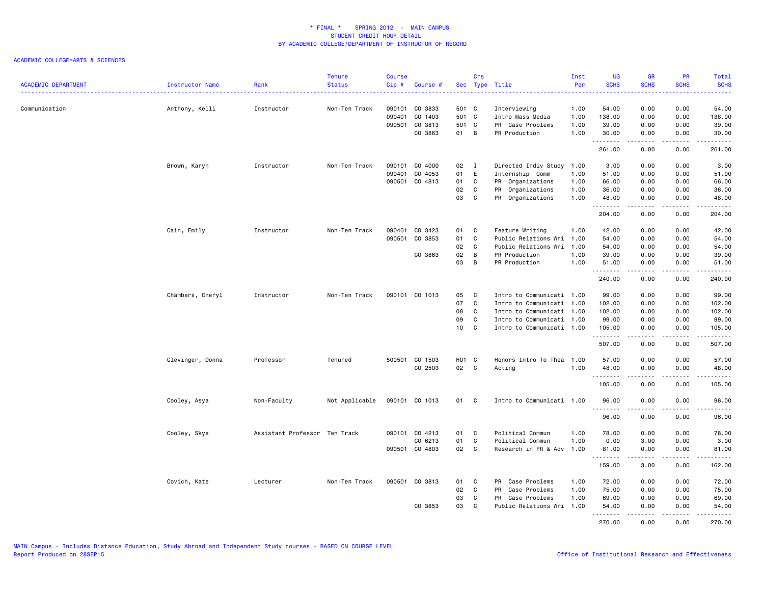| <b>ACADEMIC DEPARTMENT</b> | Instructor Name  | Rank                          | <b>Tenure</b><br><b>Status</b> | <b>Course</b><br>$Cip \#$ | Course #       |                   | Crs          | Sec Type Title            | Inst<br>Per | UG<br><b>SCHS</b> | <b>GR</b><br><b>SCHS</b>    | PR<br><b>SCHS</b>           | Total<br><b>SCHS</b>                                                                                                                                          |
|----------------------------|------------------|-------------------------------|--------------------------------|---------------------------|----------------|-------------------|--------------|---------------------------|-------------|-------------------|-----------------------------|-----------------------------|---------------------------------------------------------------------------------------------------------------------------------------------------------------|
| Communication              |                  |                               | Non-Ten Track                  |                           | 090101 CO 3833 | 501 C             |              | Interviewing              | 1.00        | 54.00             | 0.00                        | 0.00                        | .<br>54.00                                                                                                                                                    |
|                            | Anthony, Kelli   | Instructor                    |                                | 090401                    | CO 1403        | 501 C             |              | Intro Mass Media          | 1.00        | 138.00            | 0.00                        | 0.00                        | 138.00                                                                                                                                                        |
|                            |                  |                               |                                |                           | 090501 CO 3813 | 501 C             |              | PR Case Problems          | 1.00        | 39.00             | 0.00                        | 0.00                        | 39.00                                                                                                                                                         |
|                            |                  |                               |                                |                           | CO 3863        | 01 B              |              | PR Production             | 1.00        | 30.00             | 0.00                        | 0.00                        | 30.00                                                                                                                                                         |
|                            |                  |                               |                                |                           |                |                   |              |                           |             | .                 | $\sim$ $\sim$ $\sim$ $\sim$ | $\sim$ $\sim$ $\sim$ $\sim$ | .                                                                                                                                                             |
|                            |                  |                               |                                |                           |                |                   |              |                           |             | 261.00            | 0.00                        | 0.00                        | 261.00                                                                                                                                                        |
|                            | Brown, Karyn     | Instructor                    | Non-Ten Track                  |                           | 090101 CO 4000 | 02 I              |              | Directed Indiv Study      | 1.00        | 3.00              | 0.00                        | 0.00                        | 3.00                                                                                                                                                          |
|                            |                  |                               |                                |                           | 090401 CO 4053 | 01                | E            | Internship Comm           | 1.00        | 51.00             | 0.00                        | 0.00                        | 51.00                                                                                                                                                         |
|                            |                  |                               |                                |                           | 090501 CO 4813 | 01                | C            | PR Organizations          | 1.00        | 66.00             | 0.00                        | 0.00                        | 66.00                                                                                                                                                         |
|                            |                  |                               |                                |                           |                | 02                | $\mathbf{C}$ | PR Organizations          | 1.00        | 36.00             | 0.00                        | 0.00                        | 36.00                                                                                                                                                         |
|                            |                  |                               |                                |                           |                | 03                | $\mathbf{C}$ | PR Organizations          | 1.00        | 48.00<br>.        | 0.00<br>.                   | 0.00<br>.                   | 48.00<br>$\frac{1}{2} \left( \frac{1}{2} \right) \left( \frac{1}{2} \right) \left( \frac{1}{2} \right) \left( \frac{1}{2} \right) \left( \frac{1}{2} \right)$ |
|                            |                  |                               |                                |                           |                |                   |              |                           |             | 204.00            | 0.00                        | 0.00                        | 204.00                                                                                                                                                        |
|                            | Cain, Emily      | Instructor                    | Non-Ten Track                  |                           | 090401 CO 3423 | 01                | C            | Feature Writing           | 1.00        | 42.00             | 0.00                        | 0.00                        | 42.00                                                                                                                                                         |
|                            |                  |                               |                                |                           | 090501 CO 3853 | 01                | C            | Public Relations Wri 1.00 |             | 54.00             | 0.00                        | 0.00                        | 54.00                                                                                                                                                         |
|                            |                  |                               |                                |                           |                | 02                | $\mathbf{C}$ | Public Relations Wri 1.00 |             | 54.00             | 0.00                        | 0.00                        | 54.00                                                                                                                                                         |
|                            |                  |                               |                                |                           | CO 3863        | 02                | B            | PR Production             | 1.00        | 39.00             | 0.00                        | 0.00                        | 39.00                                                                                                                                                         |
|                            |                  |                               |                                |                           |                | 03                | B            | PR Production             | 1.00        | 51.00<br>.        | 0.00<br>.                   | 0.00<br>.                   | 51.00<br>.                                                                                                                                                    |
|                            |                  |                               |                                |                           |                |                   |              |                           |             | 240.00            | 0.00                        | 0.00                        | 240.00                                                                                                                                                        |
|                            | Chambers, Cheryl | Instructor                    | Non-Ten Track                  |                           | 090101 CO 1013 | 05                | $\mathbf{C}$ | Intro to Communicati 1.00 |             | 99.00             | 0.00                        | 0.00                        | 99.00                                                                                                                                                         |
|                            |                  |                               |                                |                           |                | 07                | C            | Intro to Communicati 1.00 |             | 102.00            | 0.00                        | 0.00                        | 102.00                                                                                                                                                        |
|                            |                  |                               |                                |                           |                | 08                | C            | Intro to Communicati 1.00 |             | 102.00            | 0.00                        | 0.00                        | 102.00                                                                                                                                                        |
|                            |                  |                               |                                |                           |                | 09                | C            | Intro to Communicati 1.00 |             | 99.00             | 0.00                        | 0.00                        | 99.00                                                                                                                                                         |
|                            |                  |                               |                                |                           |                | 10                | C            | Intro to Communicati 1.00 |             | 105.00<br>.       | 0.00<br>د د د د             | 0.00<br>$\omega$ is a set   | 105.00<br>.                                                                                                                                                   |
|                            |                  |                               |                                |                           |                |                   |              |                           |             | 507.00            | 0.00                        | 0.00                        | 507.00                                                                                                                                                        |
|                            | Clevinger, Donna | Professor                     | Tenured                        |                           | 500501 CO 1503 | H <sub>01</sub> C |              | Honors Intro To Thea 1.00 |             | 57.00             | 0.00                        | 0.00                        | 57.00                                                                                                                                                         |
|                            |                  |                               |                                |                           | CO 2503        | 02 C              |              | Acting                    | 1.00        | 48.00             | 0.00                        | 0.00                        | 48.00                                                                                                                                                         |
|                            |                  |                               |                                |                           |                |                   |              |                           |             | .<br>105.00       | .<br>0.00                   | .<br>0.00                   | .<br>105.00                                                                                                                                                   |
|                            | Cooley, Asya     | Non-Faculty                   | Not Applicable                 |                           | 090101 CO 1013 | 01 C              |              | Intro to Communicati 1.00 |             | 96.00             | 0.00                        | 0.00                        | 96.00                                                                                                                                                         |
|                            |                  |                               |                                |                           |                |                   |              |                           |             | .<br>96.00        | .<br>0.00                   | 0.00                        | $\frac{1}{2} \left( \frac{1}{2} \right) \left( \frac{1}{2} \right) \left( \frac{1}{2} \right) \left( \frac{1}{2} \right) \left( \frac{1}{2} \right)$<br>96.00 |
|                            | Cooley, Skye     | Assistant Professor Ten Track |                                |                           | 090101 CO 4213 | 01                | $\mathbf{C}$ | Political Commun          | 1.00        | 78.00             | 0.00                        | 0.00                        | 78.00                                                                                                                                                         |
|                            |                  |                               |                                |                           | CO 6213        | 01                | C            | Political Commun          | 1.00        | 0.00              | 3.00                        | 0.00                        | 3.00                                                                                                                                                          |
|                            |                  |                               |                                |                           | 090501 CO 4803 | 02                | $\mathbf{C}$ | Research in PR & Adv      | 1.00        | 81.00             | 0.00                        | 0.00                        | 81.00                                                                                                                                                         |
|                            |                  |                               |                                |                           |                |                   |              |                           |             | .                 | .                           | .                           | .                                                                                                                                                             |
|                            |                  |                               |                                |                           |                |                   |              |                           |             | 159.00            | 3.00                        | 0.00                        | 162.00                                                                                                                                                        |
|                            | Covich, Kate     | Lecturer                      | Non-Ten Track                  |                           | 090501 CO 3813 | 01                | C.           | PR Case Problems          | 1.00        | 72.00             | 0.00                        | 0.00                        | 72.00                                                                                                                                                         |
|                            |                  |                               |                                |                           |                | 02                | C            | PR Case Problems          | 1.00        | 75.00             | 0.00                        | 0.00                        | 75.00                                                                                                                                                         |
|                            |                  |                               |                                |                           |                | 03                | C            | PR Case Problems          | 1.00        | 69.00             | 0.00                        | 0.00                        | 69.00                                                                                                                                                         |
|                            |                  |                               |                                |                           | CO 3853        | 03                | C            | Public Relations Wri      | 1.00        | 54.00<br>.        | 0.00<br>.                   | 0.00<br>$- - - -$           | 54.00<br>.                                                                                                                                                    |
|                            |                  |                               |                                |                           |                |                   |              |                           |             | 270.00            | 0.00                        | 0.00                        | 270.00                                                                                                                                                        |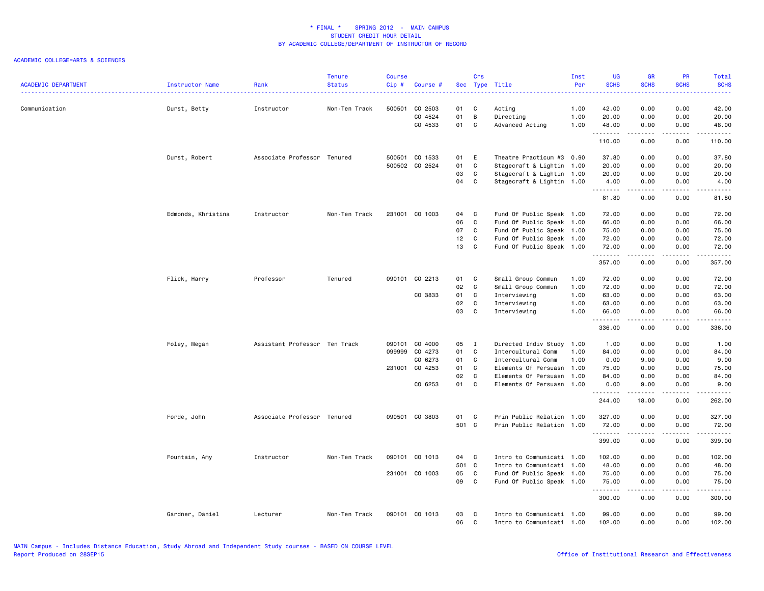| <b>ACADEMIC DEPARTMENT</b> | Instructor Name    | Rank                          | <b>Tenure</b><br><b>Status</b> | Course<br>Cip# | Course #       |       | Crs            | Sec Type Title            | Inst<br>Per | <b>UG</b><br><b>SCHS</b>                                                                                                                                                                                                                                                                                                                                                                                                                                                                       | <b>GR</b><br><b>SCHS</b>        | <b>PR</b><br><b>SCHS</b>            | Total<br><b>SCHS</b>                                                                                                                                         |
|----------------------------|--------------------|-------------------------------|--------------------------------|----------------|----------------|-------|----------------|---------------------------|-------------|------------------------------------------------------------------------------------------------------------------------------------------------------------------------------------------------------------------------------------------------------------------------------------------------------------------------------------------------------------------------------------------------------------------------------------------------------------------------------------------------|---------------------------------|-------------------------------------|--------------------------------------------------------------------------------------------------------------------------------------------------------------|
|                            | <u>.</u>           |                               |                                |                |                |       |                |                           |             |                                                                                                                                                                                                                                                                                                                                                                                                                                                                                                |                                 |                                     | .                                                                                                                                                            |
| Communication              | Durst, Betty       | Instructor                    | Non-Ten Track                  | 500501         | CO 2503        | 01    | C              | Acting                    | 1.00        | 42.00                                                                                                                                                                                                                                                                                                                                                                                                                                                                                          | 0.00                            | 0.00                                | 42.00                                                                                                                                                        |
|                            |                    |                               |                                |                | CO 4524        | 01    | $\,$ B         | Directing                 | 1.00        | 20.00                                                                                                                                                                                                                                                                                                                                                                                                                                                                                          | 0.00                            | 0.00                                | 20.00                                                                                                                                                        |
|                            |                    |                               |                                |                | CO 4533        | 01 C  |                | Advanced Acting           | 1.00        | 48.00<br>.                                                                                                                                                                                                                                                                                                                                                                                                                                                                                     | 0.00<br>.                       | 0.00<br>.                           | 48.00<br>.                                                                                                                                                   |
|                            |                    |                               |                                |                |                |       |                |                           |             | 110.00                                                                                                                                                                                                                                                                                                                                                                                                                                                                                         | 0.00                            | 0.00                                | 110.00                                                                                                                                                       |
|                            | Durst, Robert      | Associate Professor Tenured   |                                |                | 500501 CO 1533 | 01    | E              | Theatre Practicum #3 0.90 |             | 37.80                                                                                                                                                                                                                                                                                                                                                                                                                                                                                          | 0.00                            | 0.00                                | 37.80                                                                                                                                                        |
|                            |                    |                               |                                |                | 500502 CO 2524 | 01    | C              | Stagecraft & Lightin 1.00 |             | 20.00                                                                                                                                                                                                                                                                                                                                                                                                                                                                                          | 0.00                            | 0.00                                | 20.00                                                                                                                                                        |
|                            |                    |                               |                                |                |                | 03    | C              | Stagecraft & Lightin 1.00 |             | 20.00                                                                                                                                                                                                                                                                                                                                                                                                                                                                                          | 0.00                            | 0.00                                | 20.00                                                                                                                                                        |
|                            |                    |                               |                                |                |                | 04    | C              | Stagecraft & Lightin 1.00 |             | 4.00<br>$\begin{array}{cccccccccccccc} \multicolumn{2}{c}{} & \multicolumn{2}{c}{} & \multicolumn{2}{c}{} & \multicolumn{2}{c}{} & \multicolumn{2}{c}{} & \multicolumn{2}{c}{} & \multicolumn{2}{c}{} & \multicolumn{2}{c}{} & \multicolumn{2}{c}{} & \multicolumn{2}{c}{} & \multicolumn{2}{c}{} & \multicolumn{2}{c}{} & \multicolumn{2}{c}{} & \multicolumn{2}{c}{} & \multicolumn{2}{c}{} & \multicolumn{2}{c}{} & \multicolumn{2}{c}{} & \multicolumn{2}{c}{} & \multicolumn{2}{c}{} & \$ | 0.00<br>.                       | 0.00<br>$\frac{1}{2}$               | 4.00<br>$\frac{1}{2} \left( \frac{1}{2} \right) \left( \frac{1}{2} \right) \left( \frac{1}{2} \right) \left( \frac{1}{2} \right) \left( \frac{1}{2} \right)$ |
|                            |                    |                               |                                |                |                |       |                |                           |             | 81.80                                                                                                                                                                                                                                                                                                                                                                                                                                                                                          | 0.00                            | 0.00                                | 81.80                                                                                                                                                        |
|                            | Edmonds, Khristina | Instructor                    | Non-Ten Track                  |                | 231001 CO 1003 | 04    | $\mathbf{C}$   | Fund Of Public Speak 1.00 |             | 72.00                                                                                                                                                                                                                                                                                                                                                                                                                                                                                          | 0.00                            | 0.00                                | 72.00                                                                                                                                                        |
|                            |                    |                               |                                |                |                | 06    | C              | Fund Of Public Speak 1.00 |             | 66.00                                                                                                                                                                                                                                                                                                                                                                                                                                                                                          | 0.00                            | 0.00                                | 66.00                                                                                                                                                        |
|                            |                    |                               |                                |                |                | 07    | C              | Fund Of Public Speak 1.00 |             | 75.00                                                                                                                                                                                                                                                                                                                                                                                                                                                                                          | 0.00                            | 0.00                                | 75.00                                                                                                                                                        |
|                            |                    |                               |                                |                |                | 12    | $\mathbf{C}$   | Fund Of Public Speak 1.00 |             | 72.00                                                                                                                                                                                                                                                                                                                                                                                                                                                                                          | 0.00                            | 0.00                                | 72.00                                                                                                                                                        |
|                            |                    |                               |                                |                |                | 13    | C              | Fund Of Public Speak 1.00 |             | 72.00<br>.                                                                                                                                                                                                                                                                                                                                                                                                                                                                                     | 0.00<br>-----                   | 0.00<br>.                           | 72.00<br>.                                                                                                                                                   |
|                            |                    |                               |                                |                |                |       |                |                           |             | 357.00                                                                                                                                                                                                                                                                                                                                                                                                                                                                                         | 0.00                            | 0.00                                | 357.00                                                                                                                                                       |
|                            | Flick, Harry       | Professor                     | Tenured                        |                | 090101 CO 2213 | 01    | $\mathbf{C}$   | Small Group Commun        | 1.00        | 72.00                                                                                                                                                                                                                                                                                                                                                                                                                                                                                          | 0.00                            | 0.00                                | 72.00                                                                                                                                                        |
|                            |                    |                               |                                |                |                | 02    | $\mathbf{C}$   | Small Group Commun        | 1.00        | 72.00                                                                                                                                                                                                                                                                                                                                                                                                                                                                                          | 0.00                            | 0.00                                | 72.00                                                                                                                                                        |
|                            |                    |                               |                                |                | CO 3833        | 01    | C              | Interviewing              | 1.00        | 63.00                                                                                                                                                                                                                                                                                                                                                                                                                                                                                          | 0.00                            | 0.00                                | 63.00                                                                                                                                                        |
|                            |                    |                               |                                |                |                | 02    | C              | Interviewing              | 1.00        | 63.00                                                                                                                                                                                                                                                                                                                                                                                                                                                                                          | 0.00                            | 0.00                                | 63.00                                                                                                                                                        |
|                            |                    |                               |                                |                |                | 03    | $\mathbf C$    | Interviewing              | 1.00        | 66.00<br>.                                                                                                                                                                                                                                                                                                                                                                                                                                                                                     | 0.00<br>.                       | 0.00<br>.                           | 66.00<br>.                                                                                                                                                   |
|                            |                    |                               |                                |                |                |       |                |                           |             | 336.00                                                                                                                                                                                                                                                                                                                                                                                                                                                                                         | 0.00                            | 0.00                                | 336.00                                                                                                                                                       |
|                            | Foley, Megan       | Assistant Professor Ten Track |                                | 090101         | CO 4000        | 05    | $\blacksquare$ | Directed Indiv Study      | 1.00        | 1.00                                                                                                                                                                                                                                                                                                                                                                                                                                                                                           | 0.00                            | 0.00                                | 1.00                                                                                                                                                         |
|                            |                    |                               |                                | 099999         | CO 4273        | 01    | $\mathbf{C}$   | Intercultural Comm        | 1.00        | 84.00                                                                                                                                                                                                                                                                                                                                                                                                                                                                                          | 0.00                            | 0.00                                | 84.00                                                                                                                                                        |
|                            |                    |                               |                                |                | CO 6273        | 01    | $\mathbf{C}$   | Intercultural Comm        | 1.00        | 0.00                                                                                                                                                                                                                                                                                                                                                                                                                                                                                           | 9.00                            | 0.00                                | 9.00                                                                                                                                                         |
|                            |                    |                               |                                |                | 231001 CO 4253 | 01    | $\mathbf{C}$   | Elements Of Persuasn      | 1.00        | 75.00                                                                                                                                                                                                                                                                                                                                                                                                                                                                                          | 0.00                            | 0.00                                | 75.00                                                                                                                                                        |
|                            |                    |                               |                                |                |                | 02    | C              | Elements Of Persuasn      | 1.00        | 84.00                                                                                                                                                                                                                                                                                                                                                                                                                                                                                          | 0.00                            | 0.00                                | 84.00                                                                                                                                                        |
|                            |                    |                               |                                |                | CO 6253        | 01    | $\mathbf C$    | Elements Of Persuasn 1.00 |             | 0.00                                                                                                                                                                                                                                                                                                                                                                                                                                                                                           | 9.00                            | 0.00                                | 9.00                                                                                                                                                         |
|                            |                    |                               |                                |                |                |       |                |                           |             | <b></b><br>244.00                                                                                                                                                                                                                                                                                                                                                                                                                                                                              | <b><i><u>.</u></i></b><br>18.00 | .<br>0.00                           | المتمالين<br>262.00                                                                                                                                          |
|                            | Forde, John        | Associate Professor Tenured   |                                |                | 090501 CO 3803 | 01    | $\mathbf{C}$   | Prin Public Relation 1.00 |             | 327.00                                                                                                                                                                                                                                                                                                                                                                                                                                                                                         | 0.00                            | 0.00                                | 327.00                                                                                                                                                       |
|                            |                    |                               |                                |                |                | 501 C |                | Prin Public Relation 1.00 |             | 72.00                                                                                                                                                                                                                                                                                                                                                                                                                                                                                          | 0.00                            | 0.00                                | 72.00                                                                                                                                                        |
|                            |                    |                               |                                |                |                |       |                |                           |             | .<br>399.00                                                                                                                                                                                                                                                                                                                                                                                                                                                                                    | .<br>0.00                       | $\sim$ $\sim$ $\sim$ $\sim$<br>0.00 | $\begin{array}{cccccccccccccc} \bullet & \bullet & \bullet & \bullet & \bullet & \bullet & \bullet & \bullet \end{array}$<br>399.00                          |
|                            | Fountain, Amy      | Instructor                    | Non-Ten Track                  |                | 090101 CO 1013 | 04 C  |                | Intro to Communicati 1.00 |             | 102.00                                                                                                                                                                                                                                                                                                                                                                                                                                                                                         | 0.00                            | 0.00                                | 102.00                                                                                                                                                       |
|                            |                    |                               |                                |                |                | 501 C |                | Intro to Communicati 1.00 |             | 48.00                                                                                                                                                                                                                                                                                                                                                                                                                                                                                          | 0.00                            | 0.00                                | 48.00                                                                                                                                                        |
|                            |                    |                               |                                |                | 231001 CO 1003 | 05    | $\mathbf{C}$   | Fund Of Public Speak 1.00 |             | 75.00                                                                                                                                                                                                                                                                                                                                                                                                                                                                                          | 0.00                            | 0.00                                | 75.00                                                                                                                                                        |
|                            |                    |                               |                                |                |                | 09    | $\mathbf C$    | Fund Of Public Speak 1.00 |             | 75.00<br>.                                                                                                                                                                                                                                                                                                                                                                                                                                                                                     | 0.00<br>.                       | 0.00<br>.                           | 75.00<br>.                                                                                                                                                   |
|                            |                    |                               |                                |                |                |       |                |                           |             | 300.00                                                                                                                                                                                                                                                                                                                                                                                                                                                                                         | 0.00                            | 0.00                                | 300.00                                                                                                                                                       |
|                            | Gardner, Daniel    | Lecturer                      | Non-Ten Track                  |                | 090101 CO 1013 | 03    | C              | Intro to Communicati 1.00 |             | 99.00                                                                                                                                                                                                                                                                                                                                                                                                                                                                                          | 0.00                            | 0.00                                | 99.00                                                                                                                                                        |
|                            |                    |                               |                                |                |                | 06    | C.             | Intro to Communicati 1.00 |             | 102.00                                                                                                                                                                                                                                                                                                                                                                                                                                                                                         | 0.00                            | 0.00                                | 102.00                                                                                                                                                       |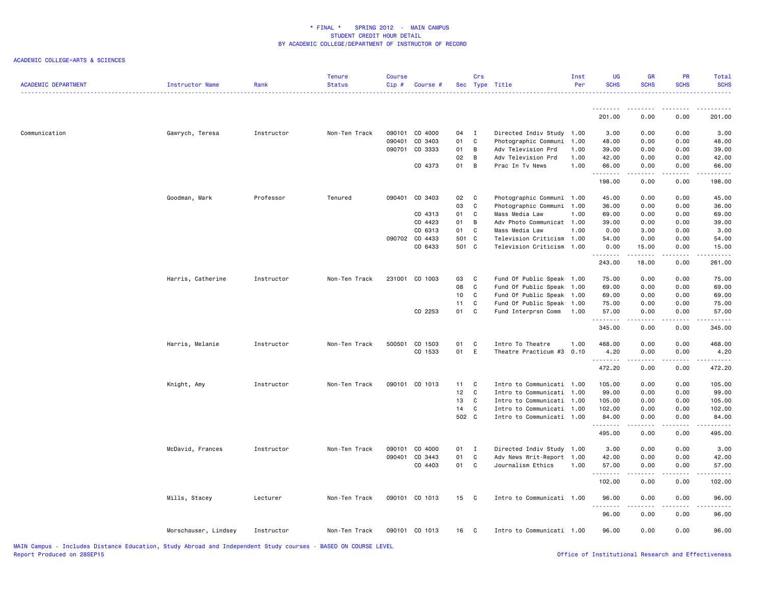| <b>ACADEMIC DEPARTMENT</b> | Instructor Name      | Rank       | <b>Tenure</b><br><b>Status</b> | <b>Course</b><br>Cip# | Course #       |       | Crs            | Sec Type Title            | Inst<br>Per | <b>UG</b><br><b>SCHS</b> | <b>GR</b><br><b>SCHS</b> | <b>PR</b><br><b>SCHS</b>                    | Total<br><b>SCHS</b><br>.                                                                                   |
|----------------------------|----------------------|------------|--------------------------------|-----------------------|----------------|-------|----------------|---------------------------|-------------|--------------------------|--------------------------|---------------------------------------------|-------------------------------------------------------------------------------------------------------------|
|                            |                      |            |                                |                       |                |       |                |                           |             | <u>.</u>                 |                          | - - - -                                     |                                                                                                             |
|                            |                      |            |                                |                       |                |       |                |                           |             | 201.00                   | 0.00                     | 0.00                                        | 201.00                                                                                                      |
| Communication              | Gawrych, Teresa      | Instructor | Non-Ten Track                  | 090101                | CO 4000        | 04    | $\mathbf{I}$   | Directed Indiv Study 1.00 |             | 3.00                     | 0.00                     | 0.00                                        | 3.00                                                                                                        |
|                            |                      |            |                                | 090401                | CO 3403        | 01    | C              | Photographic Communi      | 1.00        | 48.00                    | 0.00                     | 0.00                                        | 48.00                                                                                                       |
|                            |                      |            |                                | 090701                | CO 3333        | 01    | B              | Adv Television Prd        | 1.00        | 39.00                    | 0.00                     | 0.00                                        | 39.00                                                                                                       |
|                            |                      |            |                                |                       |                | 02    | B              | Adv Television Prd        | 1.00        | 42.00                    | 0.00                     | 0.00                                        | 42.00                                                                                                       |
|                            |                      |            |                                |                       | CO 4373        | 01    | B              | Prac In Tv News           | 1.00        | 66.00<br>.               | 0.00<br>.                | 0.00<br>.                                   | 66.00<br>.                                                                                                  |
|                            |                      |            |                                |                       |                |       |                |                           |             | 198.00                   | 0.00                     | 0.00                                        | 198.00                                                                                                      |
|                            | Goodman, Mark        | Professor  | Tenured                        | 090401                | CO 3403        | 02    | $\mathbf{C}$   | Photographic Communi 1.00 |             | 45.00                    | 0.00                     | 0.00                                        | 45.00                                                                                                       |
|                            |                      |            |                                |                       |                | 03    | C              | Photographic Communi      | 1.00        | 36.00                    | 0.00                     | 0.00                                        | 36.00                                                                                                       |
|                            |                      |            |                                |                       | CO 4313        | 01    | C              | Mass Media Law            | 1.00        | 69.00                    | 0.00                     | 0.00                                        | 69.00                                                                                                       |
|                            |                      |            |                                |                       | CO 4423        | 01    | B              | Adv Photo Communicat 1.00 |             | 39.00                    | 0.00                     | 0.00                                        | 39.00                                                                                                       |
|                            |                      |            |                                |                       | CO 6313        | 01    | C              | Mass Media Law            | 1.00        | 0.00                     | 3.00                     | 0.00                                        | 3.00                                                                                                        |
|                            |                      |            |                                |                       | 090702 CO 4433 | 501 C |                | Television Criticism 1.00 |             | 54.00                    | 0.00                     | 0.00                                        | 54.00                                                                                                       |
|                            |                      |            |                                |                       | CO 6433        | 501 C |                | Television Criticism      | 1.00        | 0.00<br>.                | 15.00                    | 0.00<br>$\frac{1}{2}$                       | 15.00<br>.                                                                                                  |
|                            |                      |            |                                |                       |                |       |                |                           |             | 243.00                   | 18.00                    | 0.00                                        | 261.00                                                                                                      |
|                            | Harris, Catherine    | Instructor | Non-Ten Track                  | 231001                | CO 1003        | 03    | C              | Fund Of Public Speak 1.00 |             | 75.00                    | 0.00                     | 0.00                                        | 75.00                                                                                                       |
|                            |                      |            |                                |                       |                | 08    | C              | Fund Of Public Speak 1.00 |             | 69.00                    | 0.00                     | 0.00                                        | 69.00                                                                                                       |
|                            |                      |            |                                |                       |                | 10    | C              | Fund Of Public Speak 1.00 |             | 69.00                    | 0.00                     | 0.00                                        | 69.00                                                                                                       |
|                            |                      |            |                                |                       |                | 11    | C              | Fund Of Public Speak 1.00 |             | 75.00                    | 0.00                     | 0.00                                        | 75.00                                                                                                       |
|                            |                      |            |                                |                       | CO 2253        | 01    | C              | Fund Interprsn Comm       | 1.00        | 57.00<br>.               | 0.00<br>.                | 0.00<br>$\sim$ $\sim$ $\sim$                | 57.00<br>.                                                                                                  |
|                            |                      |            |                                |                       |                |       |                |                           |             | 345.00                   | 0.00                     | 0.00                                        | 345.00                                                                                                      |
|                            | Harris, Melanie      | Instructor | Non-Ten Track                  |                       | 500501 CO 1503 | 01    | C              | Intro To Theatre          | 1.00        | 468.00                   | 0.00                     | 0.00                                        | 468.00                                                                                                      |
|                            |                      |            |                                |                       | CO 1533        | 01    | E              | Theatre Practicum #3      | 0.10        | 4.20                     | 0.00                     | 0.00                                        | 4.20                                                                                                        |
|                            |                      |            |                                |                       |                |       |                |                           |             | .<br>472.20              | .<br>0.00                | .<br>0.00                                   | <u>.</u><br>472.20                                                                                          |
|                            | Knight, Amy          | Instructor | Non-Ten Track                  | 090101                | CO 1013        | 11    | C              | Intro to Communicati 1.00 |             | 105.00                   | 0.00                     | 0.00                                        | 105.00                                                                                                      |
|                            |                      |            |                                |                       |                | 12    | $\mathbf{C}$   | Intro to Communicati 1.00 |             | 99.00                    | 0.00                     | 0.00                                        | 99.00                                                                                                       |
|                            |                      |            |                                |                       |                | 13    | C.             | Intro to Communicati 1.00 |             | 105.00                   | 0.00                     | 0.00                                        | 105.00                                                                                                      |
|                            |                      |            |                                |                       |                | 14    | C              | Intro to Communicati 1.00 |             | 102.00                   | 0.00                     | 0.00                                        | 102.00                                                                                                      |
|                            |                      |            |                                |                       |                | 502 C |                | Intro to Communicati 1.00 |             | 84.00                    | 0.00<br>-----            | 0.00<br>.                                   | 84.00                                                                                                       |
|                            |                      |            |                                |                       |                |       |                |                           |             | .<br>495.00              | 0.00                     | 0.00                                        | $\begin{array}{cccccccccccccc} \circ & \circ & \circ & \circ & \circ & \circ & \circ \end{array}$<br>495.00 |
|                            | McDavid, Frances     | Instructor | Non-Ten Track                  | 090101                | CO 4000        | 01    | $\blacksquare$ | Directed Indiv Study 1.00 |             | 3.00                     | 0.00                     | 0.00                                        | 3.00                                                                                                        |
|                            |                      |            |                                | 090401                | CO 3443        | 01    | C              | Adv News Writ-Report 1.00 |             | 42.00                    | 0.00                     | 0.00                                        | 42.00                                                                                                       |
|                            |                      |            |                                |                       | CO 4403        | 01    | C              | Journalism Ethics         | 1.00        | 57.00                    | 0.00                     | 0.00                                        | 57.00                                                                                                       |
|                            |                      |            |                                |                       |                |       |                |                           |             | .<br>102.00              | .<br>0.00                | $\omega$ $\omega$ $\omega$ $\omega$<br>0.00 | .<br>102.00                                                                                                 |
|                            | Mills, Stacey        | Lecturer   | Non-Ten Track                  |                       | 090101 CO 1013 | 15 C  |                | Intro to Communicati 1.00 |             | 96.00                    | 0.00                     | 0.00                                        | 96.00                                                                                                       |
|                            |                      |            |                                |                       |                |       |                |                           |             | 96.00                    | 0.00                     | 0.00                                        | $\frac{1}{2}$<br>96.00                                                                                      |
|                            | Morschauser, Lindsey | Instructor | Non-Ten Track                  |                       | 090101 CO 1013 | 16    | $\mathbf{C}$   | Intro to Communicati 1.00 |             | 96.00                    | 0.00                     | 0.00                                        | 96.00                                                                                                       |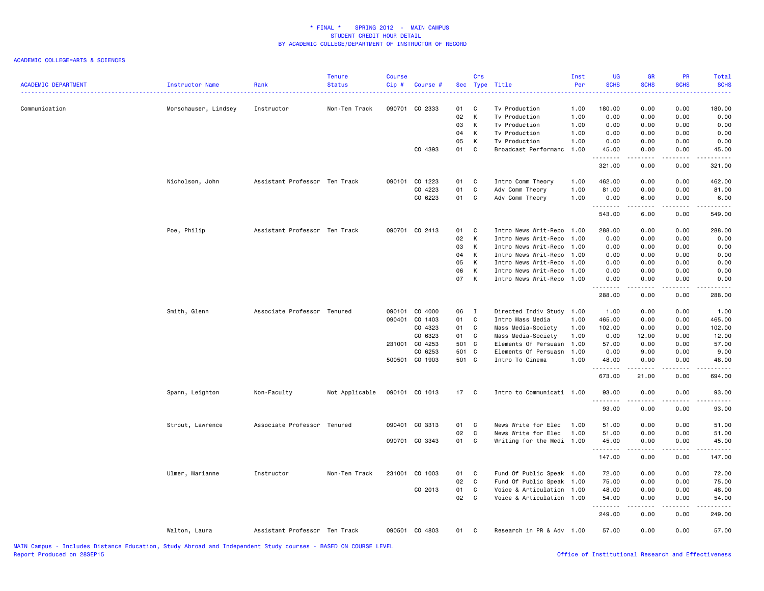| <b>ACADEMIC DEPARTMENT</b> | Instructor Name      | Rank                          | <b>Tenure</b><br><b>Status</b> | Course<br>Cip# | Course #       |       | Crs          | Sec Type Title            | Inst<br>Per | UG<br><b>SCHS</b> | <b>GR</b><br><b>SCHS</b>                                                                                                                                     | PR<br><b>SCHS</b> | Total<br><b>SCHS</b> |
|----------------------------|----------------------|-------------------------------|--------------------------------|----------------|----------------|-------|--------------|---------------------------|-------------|-------------------|--------------------------------------------------------------------------------------------------------------------------------------------------------------|-------------------|----------------------|
| Communication              | Morschauser, Lindsey | Instructor                    | Non-Ten Track                  |                | 090701 CO 2333 | 01    | C            | Tv Production             | 1.00        | 180.00            | 0.00                                                                                                                                                         | 0.00              | 180.00               |
|                            |                      |                               |                                |                |                | 02    | К            | Tv Production             | 1.00        | 0.00              | 0.00                                                                                                                                                         | 0.00              | 0.00                 |
|                            |                      |                               |                                |                |                | 03    | K            | Tv Production             | 1.00        | 0.00              | 0.00                                                                                                                                                         | 0.00              | 0.00                 |
|                            |                      |                               |                                |                |                | 04    | К            | Tv Production             | 1.00        | 0.00              | 0.00                                                                                                                                                         | 0.00              | 0.00                 |
|                            |                      |                               |                                |                |                | 05    | К            | Tv Production             | 1.00        | 0.00              | 0.00                                                                                                                                                         | 0.00              | 0.00                 |
|                            |                      |                               |                                |                | CO 4393        | 01    | C            | Broadcast Performanc      | 1.00        | 45.00<br>.        | 0.00<br>$\frac{1}{2} \left( \frac{1}{2} \right) \left( \frac{1}{2} \right) \left( \frac{1}{2} \right) \left( \frac{1}{2} \right) \left( \frac{1}{2} \right)$ | 0.00<br>.         | 45.00<br><u>.</u>    |
|                            |                      |                               |                                |                |                |       |              |                           |             | 321.00            | 0.00                                                                                                                                                         | 0.00              | 321.00               |
|                            | Nicholson, John      | Assistant Professor Ten Track |                                |                | 090101 CO 1223 | 01    | C            | Intro Comm Theory         | 1.00        | 462.00            | 0.00                                                                                                                                                         | 0.00              | 462.00               |
|                            |                      |                               |                                |                | CO 4223        | 01    | C            | Adv Comm Theory           | 1.00        | 81.00             | 0.00                                                                                                                                                         | 0.00              | 81.00                |
|                            |                      |                               |                                |                | CO 6223        | 01    | $\mathbf C$  | Adv Comm Theory           | 1.00        | 0.00<br>.         | 6.00<br>.                                                                                                                                                    | 0.00<br>.         | 6.00<br>.            |
|                            |                      |                               |                                |                |                |       |              |                           |             | 543.00            | 6.00                                                                                                                                                         | 0.00              | 549.00               |
|                            | Poe, Philip          | Assistant Professor Ten Track |                                |                | 090701 CO 2413 | 01    | C            | Intro News Writ-Repo 1.00 |             | 288.00            | 0.00                                                                                                                                                         | 0.00              | 288.00               |
|                            |                      |                               |                                |                |                | 02    | K            | Intro News Writ-Repo      | 1.00        | 0.00              | 0.00                                                                                                                                                         | 0.00              | 0.00                 |
|                            |                      |                               |                                |                |                | 03    | K            | Intro News Writ-Repo 1.00 |             | 0.00              | 0.00                                                                                                                                                         | 0.00              | 0.00                 |
|                            |                      |                               |                                |                |                | 04    | K            | Intro News Writ-Repo 1.00 |             | 0.00              | 0.00                                                                                                                                                         | 0.00              | 0.00                 |
|                            |                      |                               |                                |                |                | 05    | К            | Intro News Writ-Repo 1.00 |             | 0.00              | 0.00                                                                                                                                                         | 0.00              | 0.00                 |
|                            |                      |                               |                                |                |                | 06    | к            | Intro News Writ-Repo 1.00 |             | 0.00              | 0.00                                                                                                                                                         | 0.00              | 0.00                 |
|                            |                      |                               |                                |                |                | 07    | K            | Intro News Writ-Repo 1.00 |             | 0.00<br>.         | 0.00<br>.                                                                                                                                                    | 0.00<br>.         | 0.00<br>.            |
|                            |                      |                               |                                |                |                |       |              |                           |             | 288.00            | 0.00                                                                                                                                                         | 0.00              | 288.00               |
|                            | Smith, Glenn         | Associate Professor Tenured   |                                | 090101         | CO 4000        | 06    | $\mathbf{I}$ | Directed Indiv Study 1.00 |             | 1.00              | 0.00                                                                                                                                                         | 0.00              | 1.00                 |
|                            |                      |                               |                                |                | 090401 CO 1403 | 01    | $\mathbf C$  | Intro Mass Media          | 1.00        | 465.00            | 0.00                                                                                                                                                         | 0.00              | 465.00               |
|                            |                      |                               |                                |                | CO 4323        | 01    | C            | Mass Media-Society        | 1.00        | 102.00            | 0.00                                                                                                                                                         | 0.00              | 102.00               |
|                            |                      |                               |                                |                | CO 6323        | 01    | C            | Mass Media-Society        | 1.00        | 0.00              | 12.00                                                                                                                                                        | 0.00              | 12.00                |
|                            |                      |                               |                                |                | 231001 CO 4253 | 501 C |              | Elements Of Persuasn      | 1.00        | 57.00             | 0.00                                                                                                                                                         | 0.00              | 57.00                |
|                            |                      |                               |                                |                | CO 6253        | 501 C |              | Elements Of Persuasn      | 1.00        | 0.00              | 9.00                                                                                                                                                         | 0.00              | 9.00                 |
|                            |                      |                               |                                |                | 500501 CO 1903 | 501 C |              | Intro To Cinema           | 1.00        | 48.00<br>.        | 0.00                                                                                                                                                         | 0.00              | 48.00                |
|                            |                      |                               |                                |                |                |       |              |                           |             | 673.00            | 21.00                                                                                                                                                        | 0.00              | 694.00               |
|                            | Spann, Leighton      | Non-Faculty                   | Not Applicable                 |                | 090101 CO 1013 | 17 C  |              | Intro to Communicati 1.00 |             | 93.00<br>.        | 0.00<br>.                                                                                                                                                    | 0.00              | 93.00<br>.           |
|                            |                      |                               |                                |                |                |       |              |                           |             | 93.00             | 0.00                                                                                                                                                         | 0.00              | 93.00                |
|                            | Strout, Lawrence     | Associate Professor Tenured   |                                |                | 090401 CO 3313 | 01    | C            | News Write for Elec       | 1.00        | 51.00             | 0.00                                                                                                                                                         | 0.00              | 51.00                |
|                            |                      |                               |                                |                |                | 02    | C            | News Write for Elec       | 1.00        | 51.00             | 0.00                                                                                                                                                         | 0.00              | 51.00                |
|                            |                      |                               |                                |                | 090701 CO 3343 | 01    | C            | Writing for the Medi 1.00 |             | 45.00<br>.        | 0.00                                                                                                                                                         | 0.00<br>.         | 45.00                |
|                            |                      |                               |                                |                |                |       |              |                           |             | 147.00            | 0.00                                                                                                                                                         | 0.00              | 147.00               |
|                            | Ulmer, Marianne      | Instructor                    | Non-Ten Track                  | 231001         | CO 1003        | 01    | C            | Fund Of Public Speak 1.00 |             | 72.00             | 0.00                                                                                                                                                         | 0.00              | 72.00                |
|                            |                      |                               |                                |                |                | 02    | C            | Fund Of Public Speak 1.00 |             | 75.00             | 0.00                                                                                                                                                         | 0.00              | 75.00                |
|                            |                      |                               |                                |                | CO 2013        | 01    | $\mathtt{C}$ | Voice & Articulation 1.00 |             | 48.00             | 0.00                                                                                                                                                         | 0.00              | 48.00                |
|                            |                      |                               |                                |                |                | 02    | C            | Voice & Articulation 1.00 |             | 54.00             | 0.00                                                                                                                                                         | 0.00              | 54.00                |
|                            |                      |                               |                                |                |                |       |              |                           |             | 249.00            | 0.00                                                                                                                                                         | 0.00              | 249.00               |
|                            | Walton, Laura        | Assistant Professor Ten Track |                                |                | 090501 CO 4803 | 01    | $\mathbf{C}$ | Research in PR & Adv 1.00 |             | 57.00             | 0.00                                                                                                                                                         | 0.00              | 57.00                |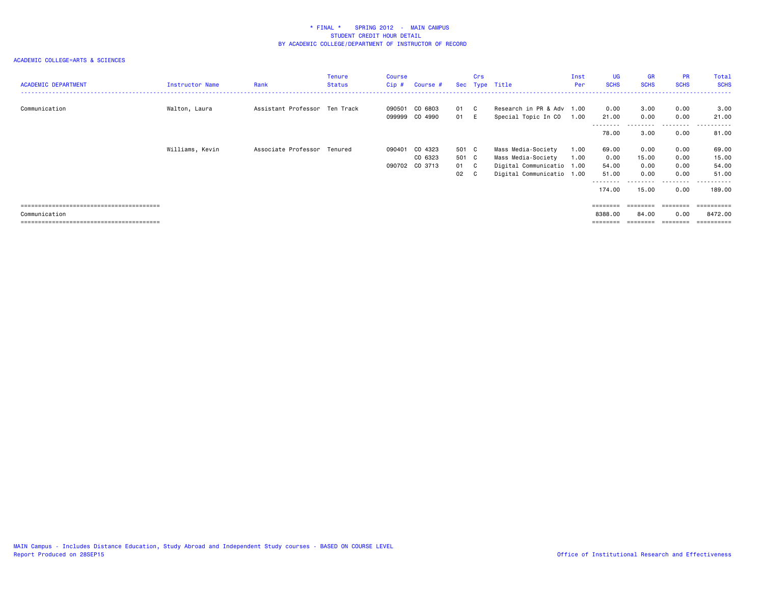| <b>ACADEMIC DEPARTMENT</b> | Instructor Name | Rank                          | <b>Tenure</b><br>Status | <b>Course</b><br>Cip # | Course #                         |               | Crs | Sec Type Title                                   | Inst<br>Per | <b>UG</b><br><b>SCHS</b> | <b>GR</b><br><b>SCHS</b> | <b>PR</b><br><b>SCHS</b> | Total<br><b>SCHS</b> |
|----------------------------|-----------------|-------------------------------|-------------------------|------------------------|----------------------------------|---------------|-----|--------------------------------------------------|-------------|--------------------------|--------------------------|--------------------------|----------------------|
| Communication              | Walton, Laura   | Assistant Professor Ten Track |                         |                        | 090501 CO 6803<br>099999 CO 4990 | 01 C<br>01 E  |     | Research in PR & Adv 1.00<br>Special Topic In CO | 1.00        | 0.00<br>21.00            | 3.00<br>0.00             | 0.00<br>0.00             | 3.00<br>21.00        |
|                            |                 |                               |                         |                        |                                  |               |     |                                                  |             | 78.00                    | 3.00                     | ---------<br>0.00        | .<br>81.00           |
|                            | Williams, Kevin | Associate Professor Tenured   |                         |                        | 090401 CO 4323<br>CO 6323        | 501 C         |     | Mass Media-Society                               | 1.00        | 69.00                    | 0.00                     | 0.00                     | 69.00<br>15.00       |
|                            |                 |                               |                         |                        | 090702 CO 3713                   | 501 C<br>01 C |     | Mass Media-Society<br>Digital Communicatio 1.00  | 1.00        | 0.00<br>54.00            | 15.00<br>0.00            | 0.00<br>0.00             | 54.00                |
|                            |                 |                               |                         |                        |                                  | 02 C          |     | Digital Communicatio 1.00                        |             | 51.00<br>--------        | 0.00                     | 0.00<br>.                | 51.00<br>. <b>.</b>  |
|                            |                 |                               |                         |                        |                                  |               |     |                                                  |             | 174.00                   | 15.00                    | 0.00                     | 189.00               |
|                            |                 |                               |                         |                        |                                  |               |     |                                                  |             | ========                 | ========                 | ========                 | ==========           |
| Communication              |                 |                               |                         |                        |                                  |               |     |                                                  |             | 8388.00                  | 84.00                    | 0.00                     | 8472.00              |
|                            |                 |                               |                         |                        |                                  |               |     |                                                  |             | $=$ = = = = = = =        | ========                 | ========                 | ==========           |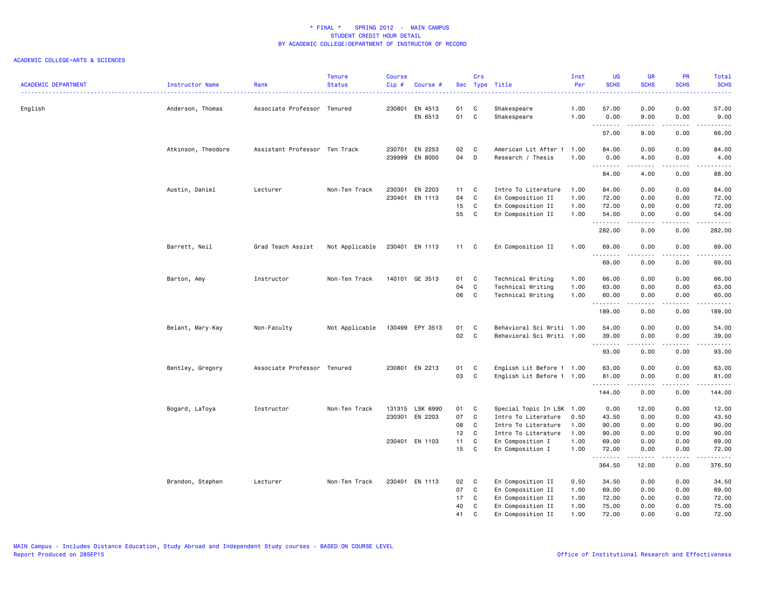| <b>ACADEMIC DEPARTMENT</b> | Instructor Name    | Rank                          | <b>Tenure</b><br><b>Status</b> | <b>Course</b><br>Cip# | Course #                         |                    | Crs                          | Sec Type Title                            | Inst<br>Per  | <b>UG</b><br><b>SCHS</b> | <b>GR</b><br><b>SCHS</b>                                                                                                                                     | PR<br><b>SCHS</b>                   | Total<br><b>SCHS</b><br>22222  |
|----------------------------|--------------------|-------------------------------|--------------------------------|-----------------------|----------------------------------|--------------------|------------------------------|-------------------------------------------|--------------|--------------------------|--------------------------------------------------------------------------------------------------------------------------------------------------------------|-------------------------------------|--------------------------------|
| English                    | Anderson, Thomas   | Associate Professor Tenured   |                                |                       | 230801 EN 4513<br>EN 6513        | 01<br>01           | C<br>C                       | Shakespeare<br>Shakespeare                | 1.00<br>1.00 | 57.00<br>0.00            | 0.00<br>9.00                                                                                                                                                 | 0.00<br>0.00                        | 57.00<br>9.00                  |
|                            |                    |                               |                                |                       |                                  |                    |                              |                                           |              | .<br>57.00               | .<br>9.00                                                                                                                                                    | .<br>0.00                           | $\omega$ is a set of<br>66.00  |
|                            | Atkinson, Theodore | Assistant Professor Ten Track |                                |                       | 230701 EN 2253<br>239999 EN 8000 | 02<br>04 D         | $\mathbf{C}$                 | American Lit After 1<br>Research / Thesis | 1.00<br>1.00 | 84.00<br>0.00<br>.       | 0.00<br>4.00<br><b>.</b>                                                                                                                                     | 0.00<br>0.00<br>.                   | 84.00<br>4.00<br>$\frac{1}{2}$ |
|                            |                    |                               |                                |                       |                                  |                    |                              |                                           |              | 84.00                    | 4.00                                                                                                                                                         | 0.00                                | 88.00                          |
|                            | Austin, Daniel     | Lecturer                      | Non-Ten Track                  |                       | 230301 EN 2203<br>230401 EN 1113 | $11 \quad C$<br>04 | C                            | Intro To Literature<br>En Composition II  | 1.00<br>1.00 | 84.00<br>72.00           | 0.00<br>0.00                                                                                                                                                 | 0.00<br>0.00                        | 84.00<br>72.00                 |
|                            |                    |                               |                                |                       |                                  |                    |                              |                                           |              |                          |                                                                                                                                                              |                                     |                                |
|                            |                    |                               |                                |                       |                                  | 15<br>55           | $\mathbf{C}$<br>$\mathbf{C}$ | En Composition II<br>En Composition II    | 1.00<br>1.00 | 72.00<br>54.00           | 0.00<br>0.00                                                                                                                                                 | 0.00<br>0.00                        | 72.00<br>54.00                 |
|                            |                    |                               |                                |                       |                                  |                    |                              |                                           |              | .<br>282.00              | .<br>0.00                                                                                                                                                    | .<br>0.00                           | .<br>282.00                    |
|                            | Barrett, Neil      | Grad Teach Assist             | Not Applicable                 |                       | 230401 EN 1113                   | $11 \quad C$       |                              | En Composition II                         | 1.00         | 69.00                    | 0.00                                                                                                                                                         | 0.00                                | 69.00                          |
|                            |                    |                               |                                |                       |                                  |                    |                              |                                           |              | --------<br>69.00        | -----<br>0.00                                                                                                                                                | .<br>0.00                           | .<br>69.00                     |
|                            | Barton, Amy        | Instructor                    | Non-Ten Track                  |                       | 140101 GE 3513                   | 01                 | C                            | Technical Writing                         | 1.00         | 66.00                    | 0.00                                                                                                                                                         | 0.00                                | 66.00                          |
|                            |                    |                               |                                |                       |                                  | 04                 | $\mathbf c$                  | Technical Writing                         | 1.00         | 63.00                    | 0.00                                                                                                                                                         | 0.00                                | 63.00                          |
|                            |                    |                               |                                |                       |                                  | 06                 | C                            | Technical Writing                         | 1.00         | 60.00<br>.               | 0.00<br>-----                                                                                                                                                | 0.00<br>.                           | 60.00<br>.                     |
|                            |                    |                               |                                |                       |                                  |                    |                              |                                           |              | 189.00                   | 0.00                                                                                                                                                         | 0.00                                | 189.00                         |
|                            | Belant, Mary-Kay   | Non-Faculty                   | Not Applicable                 |                       | 130499 EPY 3513                  | 01                 | $\mathbf{C}$                 | Behavioral Sci Writi 1.00                 |              | 54.00                    | 0.00                                                                                                                                                         | 0.00                                | 54.00                          |
|                            |                    |                               |                                |                       |                                  | 02                 | $\mathbf{C}$                 | Behavioral Sci Writi 1.00                 |              | 39.00                    | 0.00<br>.                                                                                                                                                    | 0.00<br>$\sim$ $\sim$ $\sim$        | 39.00<br>-----                 |
|                            |                    |                               |                                |                       |                                  |                    |                              |                                           |              | 93.00                    | 0.00                                                                                                                                                         | 0.00                                | 93.00                          |
|                            | Bentley, Gregory   | Associate Professor Tenured   |                                |                       | 230801 EN 2213                   | 01                 | $\mathbf{C}$                 | English Lit Before 1 1.00                 |              | 63.00                    | 0.00                                                                                                                                                         | 0.00                                | 63.00                          |
|                            |                    |                               |                                |                       |                                  | 03                 | C                            | English Lit Before 1 1.00                 |              | 81.00<br>.               | 0.00<br>$\frac{1}{2} \left( \frac{1}{2} \right) \left( \frac{1}{2} \right) \left( \frac{1}{2} \right) \left( \frac{1}{2} \right) \left( \frac{1}{2} \right)$ | 0.00<br>$\sim$ $\sim$ $\sim$ $\sim$ | 81.00<br>.                     |
|                            |                    |                               |                                |                       |                                  |                    |                              |                                           |              | 144.00                   | 0.00                                                                                                                                                         | 0.00                                | 144.00                         |
|                            | Bogard, LaToya     | Instructor                    | Non-Ten Track                  |                       | 131315 LSK 6990                  | 01 C               |                              | Special Topic In LSK 1.00                 |              | 0.00                     | 12.00                                                                                                                                                        | 0.00                                | 12.00                          |
|                            |                    |                               |                                |                       | 230301 EN 2203                   | 07                 | C.                           | Intro To Literature                       | 0.50         | 43.50                    | 0.00                                                                                                                                                         | 0.00                                | 43.50                          |
|                            |                    |                               |                                |                       |                                  | 08                 | $\mathbf{C}$                 | Intro To Literature                       | 1.00         | 90.00                    | 0.00                                                                                                                                                         | 0.00                                | 90.00                          |
|                            |                    |                               |                                |                       |                                  | 12 <sub>2</sub>    | $\mathbf{C}$                 | Intro To Literature                       | 1.00         | 90.00                    | 0.00                                                                                                                                                         | 0.00                                | 90.00                          |
|                            |                    |                               |                                |                       | 230401 EN 1103                   | 11 C               |                              | En Composition I                          | 1.00         | 69.00                    | 0.00                                                                                                                                                         | 0.00                                | 69.00                          |
|                            |                    |                               |                                |                       |                                  | 15                 | $\mathbf{C}$                 | En Composition I                          | 1.00         | 72.00                    | 0.00                                                                                                                                                         | 0.00                                | 72.00                          |
|                            |                    |                               |                                |                       |                                  |                    |                              |                                           |              | .<br>364.50              | -----<br>12.00                                                                                                                                               | $\sim$ $\sim$ $\sim$<br>0.00        | .<br>376.50                    |
|                            | Brandon, Stephen   | Lecturer                      | Non-Ten Track                  |                       | 230401 EN 1113                   | 02                 | $\mathbf{C}$                 | En Composition II                         | 0.50         | 34.50                    | 0.00                                                                                                                                                         | 0.00                                | 34.50                          |
|                            |                    |                               |                                |                       |                                  | 07                 | C                            | En Composition II                         | 1.00         | 69.00                    | 0.00                                                                                                                                                         | 0.00                                | 69.00                          |
|                            |                    |                               |                                |                       |                                  | 17                 | C                            | En Composition II                         | 1.00         | 72.00                    | 0.00                                                                                                                                                         | 0.00                                | 72.00                          |
|                            |                    |                               |                                |                       |                                  | 40                 | C                            | En Composition II                         | 1.00         | 75.00                    | 0.00                                                                                                                                                         | 0.00                                | 75.00                          |
|                            |                    |                               |                                |                       |                                  | 41                 | C                            | En Composition II                         | 1.00         | 72.00                    | 0.00                                                                                                                                                         | 0.00                                | 72.00                          |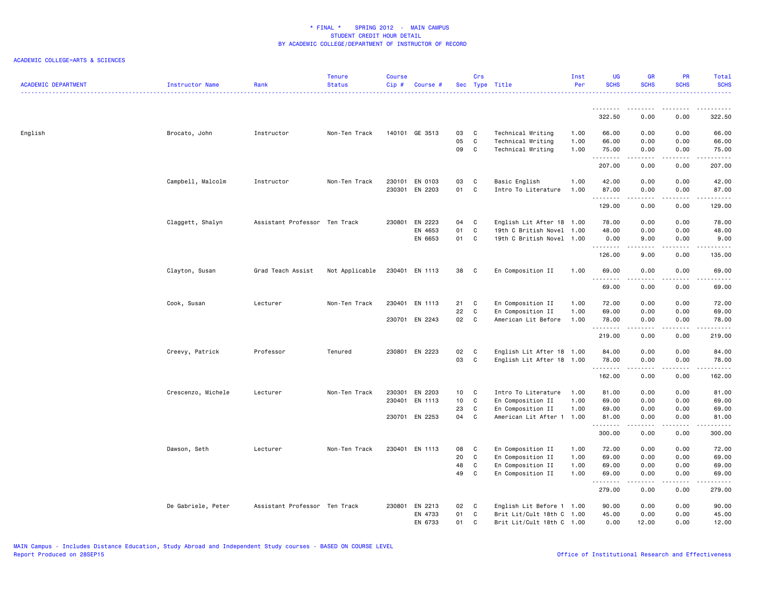| <b>ACADEMIC DEPARTMENT</b> | Instructor Name    | Rank                          | <b>Tenure</b><br><b>Status</b> | <b>Course</b><br>Cip# | Course #           |          | Crs               | Sec Type Title                                    | Inst<br>Per | <b>UG</b><br><b>SCHS</b> | <b>GR</b><br><b>SCHS</b> | PR<br><b>SCHS</b>                   | Total<br><b>SCHS</b> |
|----------------------------|--------------------|-------------------------------|--------------------------------|-----------------------|--------------------|----------|-------------------|---------------------------------------------------|-------------|--------------------------|--------------------------|-------------------------------------|----------------------|
|                            |                    |                               |                                |                       |                    |          |                   |                                                   |             | <u>.</u>                 |                          |                                     |                      |
|                            |                    |                               |                                |                       |                    |          |                   |                                                   |             | 322.50                   | 0.00                     | 0.00                                | 322.50               |
| English                    | Brocato, John      | Instructor                    | Non-Ten Track                  |                       | 140101 GE 3513     | 03       | C.                | Technical Writing                                 | 1.00        | 66.00                    | 0.00                     | 0.00                                | 66.00                |
|                            |                    |                               |                                |                       |                    | 05       | $\mathbf c$       | Technical Writing                                 | 1.00        | 66.00                    | 0.00                     | 0.00                                | 66.00                |
|                            |                    |                               |                                |                       |                    | 09       | $\mathbf{C}$      | Technical Writing                                 | 1.00        | 75.00<br>.               | 0.00                     | 0.00                                | 75.00<br>.           |
|                            |                    |                               |                                |                       |                    |          |                   |                                                   |             | 207.00                   | 0.00                     | 0.00                                | 207.00               |
|                            | Campbell, Malcolm  | Instructor                    | Non-Ten Track                  |                       | 230101 EN 0103     | 03       | C                 | Basic English                                     | 1.00        | 42.00                    | 0.00                     | 0.00                                | 42.00                |
|                            |                    |                               |                                | 230301                | EN 2203            | 01       | C                 | Intro To Literature                               | 1.00        | 87.00                    | 0.00                     | 0.00                                | 87.00                |
|                            |                    |                               |                                |                       |                    |          |                   |                                                   |             | .<br>129.00              | .<br>0.00                | $\sim$ $\sim$ $\sim$ $\sim$<br>0.00 | .<br>129.00          |
|                            |                    |                               |                                |                       |                    |          |                   |                                                   |             |                          |                          |                                     |                      |
|                            | Claggett, Shalyn   | Assistant Professor Ten Track |                                | 230801                | EN 2223            | 04       | C.                | English Lit After 18 1.00                         |             | 78.00                    | 0.00                     | 0.00                                | 78.00                |
|                            |                    |                               |                                |                       | EN 4653<br>EN 6653 | 01<br>01 | C<br>$\mathbb{C}$ | 19th C British Novel<br>19th C British Novel 1.00 | 1.00        | 48.00<br>0.00            | 0.00<br>9.00             | 0.00<br>0.00                        | 48.00<br>9.00        |
|                            |                    |                               |                                |                       |                    |          |                   |                                                   |             | .                        | .                        | $\sim$ $\sim$ $\sim$ $\sim$         | .                    |
|                            |                    |                               |                                |                       |                    |          |                   |                                                   |             | 126.00                   | 9.00                     | 0.00                                | 135.00               |
|                            | Clayton, Susan     | Grad Teach Assist             | Not Applicable                 |                       | 230401 EN 1113     | 38 C     |                   | En Composition II                                 | 1.00        | 69.00<br>.               | 0.00                     | 0.00                                | 69.00<br>.           |
|                            |                    |                               |                                |                       |                    |          |                   |                                                   |             | 69.00                    | 0.00                     | 0.00                                | 69.00                |
|                            | Cook, Susan        | Lecturer                      | Non-Ten Track                  |                       | 230401 EN 1113     | 21       | C                 | En Composition II                                 | 1.00        | 72.00                    | 0.00                     | 0.00                                | 72.00                |
|                            |                    |                               |                                |                       |                    | 22       | $\mathtt{C}$      | En Composition II                                 | 1.00        | 69.00                    | 0.00                     | 0.00                                | 69.00                |
|                            |                    |                               |                                |                       | 230701 EN 2243     | 02       | $\mathbf{C}$      | American Lit Before                               | 1.00        | 78.00<br>.               | 0.00                     | 0.00<br>$\sim$ $\sim$ $\sim$ $\sim$ | 78.00<br>.           |
|                            |                    |                               |                                |                       |                    |          |                   |                                                   |             | 219.00                   | 0.00                     | 0.00                                | 219.00               |
|                            | Creevy, Patrick    | Professor                     | Tenured                        |                       | 230801 EN 2223     | 02       | C                 | English Lit After 18 1.00                         |             | 84.00                    | 0.00                     | 0.00                                | 84.00                |
|                            |                    |                               |                                |                       |                    | 03       | C                 | English Lit After 18 1.00                         |             | 78.00                    | 0.00                     | 0.00                                | 78.00                |
|                            |                    |                               |                                |                       |                    |          |                   |                                                   |             | .<br>162.00              | .<br>0.00                | .<br>0.00                           | .<br>162.00          |
|                            | Crescenzo, Michele | Lecturer                      | Non-Ten Track                  | 230301                | EN 2203            | 10       | C                 | Intro To Literature                               | 1.00        | 81.00                    | 0.00                     | 0.00                                | 81.00                |
|                            |                    |                               |                                | 230401                | EN 1113            | 10       | C                 | En Composition II                                 | 1.00        | 69.00                    | 0.00                     | 0.00                                | 69.00                |
|                            |                    |                               |                                |                       |                    | 23       | C                 | En Composition II                                 | 1.00        | 69.00                    | 0.00                     | 0.00                                | 69.00                |
|                            |                    |                               |                                |                       | 230701 EN 2253     | 04       | C                 | American Lit After 1                              | 1.00        | 81.00<br>.               | 0.00                     | 0.00<br>.                           | 81.00<br>.           |
|                            |                    |                               |                                |                       |                    |          |                   |                                                   |             | 300.00                   | 0.00                     | 0.00                                | 300.00               |
|                            | Dawson, Seth       | Lecturer                      | Non-Ten Track                  |                       | 230401 EN 1113     | 08       | C                 | En Composition II                                 | 1.00        | 72.00                    | 0.00                     | 0.00                                | 72.00                |
|                            |                    |                               |                                |                       |                    | 20       | C                 | En Composition II                                 | 1.00        | 69.00                    | 0.00                     | 0.00                                | 69.00                |
|                            |                    |                               |                                |                       |                    | 48       | C                 | En Composition II                                 | 1.00        | 69.00                    | 0.00                     | 0.00                                | 69.00                |
|                            |                    |                               |                                |                       |                    | 49       | C                 | En Composition II                                 | 1.00        | 69.00<br>.               | 0.00<br>.                | 0.00<br>$\sim$ $\sim$ $\sim$ $\sim$ | 69.00<br>.           |
|                            |                    |                               |                                |                       |                    |          |                   |                                                   |             | 279.00                   | 0.00                     | 0.00                                | 279.00               |
|                            | De Gabriele, Peter | Assistant Professor Ten Track |                                |                       | 230801 EN 2213     | 02 C     |                   | English Lit Before 1 1.00                         |             | 90.00                    | 0.00                     | 0.00                                | 90.00                |
|                            |                    |                               |                                |                       | EN 4733            | 01       | C                 | Brit Lit/Cult 18th C 1.00                         |             | 45.00                    | 0.00                     | 0.00                                | 45.00                |
|                            |                    |                               |                                |                       | EN 6733            | 01       | C                 | Brit Lit/Cult 18th C 1.00                         |             | 0.00                     | 12.00                    | 0.00                                | 12.00                |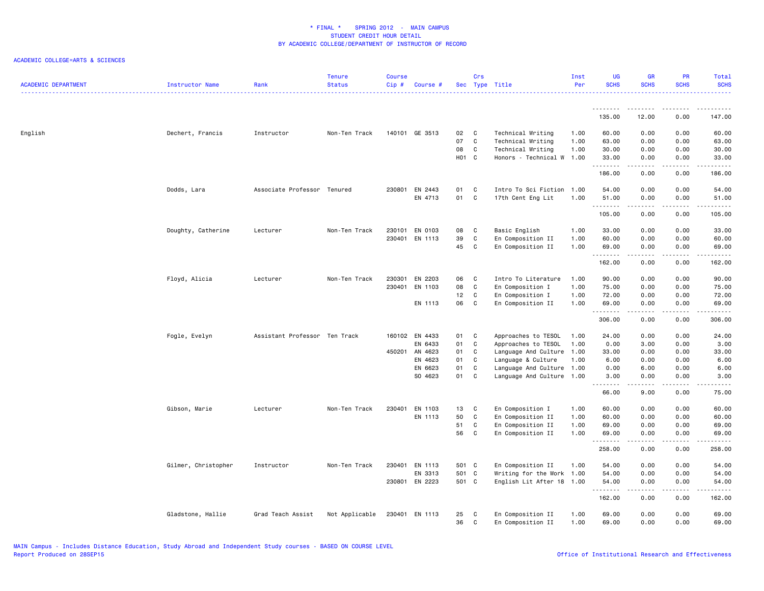| <b>ACADEMIC DEPARTMENT</b> | Instructor Name     | Rank                          | <b>Tenure</b><br><b>Status</b> | <b>Course</b><br>Cip# | Course #       |       | Crs          | Sec Type Title            | Inst<br>Per | UG<br><b>SCHS</b> | <b>GR</b><br><b>SCHS</b> | PR<br><b>SCHS</b>                   | Total<br><b>SCHS</b>                                                                                                                                          |
|----------------------------|---------------------|-------------------------------|--------------------------------|-----------------------|----------------|-------|--------------|---------------------------|-------------|-------------------|--------------------------|-------------------------------------|---------------------------------------------------------------------------------------------------------------------------------------------------------------|
|                            |                     |                               |                                |                       |                |       |              |                           |             | .<br>135.00       | .<br>12.00               | .<br>0.00                           | .<br>147.00                                                                                                                                                   |
| English                    |                     | Instructor                    | Non-Ten Track                  |                       | 140101 GE 3513 | 02    | C            | Technical Writing         | 1.00        | 60.00             | 0.00                     | 0.00                                | 60.00                                                                                                                                                         |
|                            | Dechert, Francis    |                               |                                |                       |                | 07    | $\mathbf{C}$ | Technical Writing         | 1.00        | 63.00             | 0.00                     | 0.00                                | 63.00                                                                                                                                                         |
|                            |                     |                               |                                |                       |                | 08    | $\mathbf{C}$ | Technical Writing         | 1.00        | 30.00             | 0.00                     | 0.00                                | 30.00                                                                                                                                                         |
|                            |                     |                               |                                |                       |                | H01 C |              | Honors - Technical W      | 1.00        | 33.00             | 0.00                     | 0.00                                | 33.00                                                                                                                                                         |
|                            |                     |                               |                                |                       |                |       |              |                           |             | .<br>186.00       | .<br>0.00                | $\sim$ $\sim$ $\sim$ $\sim$<br>0.00 | د د د د د<br>186.00                                                                                                                                           |
|                            | Dodds, Lara         | Associate Professor Tenured   |                                |                       | 230801 EN 2443 | 01    | C            | Intro To Sci Fiction 1.00 |             | 54.00             | 0.00                     | 0.00                                | 54.00                                                                                                                                                         |
|                            |                     |                               |                                |                       | EN 4713        | 01    | $\mathbf{C}$ | 17th Cent Eng Lit         | 1.00        | 51.00<br>.        | 0.00<br>.                | 0.00<br>.                           | 51.00<br>.                                                                                                                                                    |
|                            |                     |                               |                                |                       |                |       |              |                           |             | 105.00            | 0.00                     | 0.00                                | 105.00                                                                                                                                                        |
|                            | Doughty, Catherine  | Lecturer                      | Non-Ten Track                  |                       | 230101 EN 0103 | 08    | C            | Basic English             | 1.00        | 33.00             | 0.00                     | 0.00                                | 33.00                                                                                                                                                         |
|                            |                     |                               |                                |                       | 230401 EN 1113 | 39    | C            | En Composition II         | 1.00        | 60.00             | 0.00                     | 0.00                                | 60.00                                                                                                                                                         |
|                            |                     |                               |                                |                       |                | 45    | $\mathbf{C}$ | En Composition II         | 1.00        | 69.00<br>.        | 0.00<br><b>.</b>         | 0.00<br>.                           | 69.00<br>.                                                                                                                                                    |
|                            |                     |                               |                                |                       |                |       |              |                           |             | 162.00            | 0.00                     | 0.00                                | 162.00                                                                                                                                                        |
|                            | Floyd, Alicia       | Lecturer                      | Non-Ten Track                  |                       | 230301 EN 2203 | 06    | C.           | Intro To Literature       | 1.00        | 90.00             | 0.00                     | 0.00                                | 90.00                                                                                                                                                         |
|                            |                     |                               |                                |                       | 230401 EN 1103 | 80    | C            | En Composition I          | 1.00        | 75.00             | 0.00                     | 0.00                                | 75.00                                                                                                                                                         |
|                            |                     |                               |                                |                       |                | 12    | $\mathbf{C}$ | En Composition I          | 1.00        | 72.00             | 0.00                     | 0.00                                | 72.00                                                                                                                                                         |
|                            |                     |                               |                                |                       | EN 1113        | 06    | $\mathbf{C}$ | En Composition II         | 1.00        | 69.00<br>.        | 0.00<br>د د د د          | 0.00<br>.                           | 69.00<br>$\frac{1}{2} \left( \frac{1}{2} \right) \left( \frac{1}{2} \right) \left( \frac{1}{2} \right) \left( \frac{1}{2} \right) \left( \frac{1}{2} \right)$ |
|                            |                     |                               |                                |                       |                |       |              |                           |             | 306.00            | 0.00                     | 0.00                                | 306.00                                                                                                                                                        |
|                            | Fogle, Evelyn       | Assistant Professor Ten Track |                                |                       | 160102 EN 4433 | 01    | $\mathbf{C}$ | Approaches to TESOL       | 1.00        | 24.00             | 0.00                     | 0.00                                | 24.00                                                                                                                                                         |
|                            |                     |                               |                                |                       | EN 6433        | 01    | C            | Approaches to TESOL       | 1.00        | 0.00              | 3.00                     | 0.00                                | 3.00                                                                                                                                                          |
|                            |                     |                               |                                |                       | 450201 AN 4623 | 01    | $\mathbf c$  | Language And Culture      | 1.00        | 33.00             | 0.00                     | 0.00                                | 33.00                                                                                                                                                         |
|                            |                     |                               |                                |                       | EN 4623        | 01    | C            | Language & Culture        | 1.00        | 6.00              | 0.00                     | 0.00                                | 6.00                                                                                                                                                          |
|                            |                     |                               |                                |                       | EN 6623        | 01    | C            | Language And Culture      | 1.00        | 0.00              | 6.00                     | 0.00                                | 6.00                                                                                                                                                          |
|                            |                     |                               |                                |                       | SO 4623        | 01 C  |              | Language And Culture 1.00 |             | 3.00<br>.         | 0.00<br>.                | 0.00<br>$\frac{1}{2}$               | 3.00<br>-----                                                                                                                                                 |
|                            |                     |                               |                                |                       |                |       |              |                           |             | 66.00             | 9.00                     | 0.00                                | 75.00                                                                                                                                                         |
|                            | Gibson, Marie       | Lecturer                      | Non-Ten Track                  |                       | 230401 EN 1103 | 13    | $\mathbf{C}$ | En Composition I          | 1.00        | 60.00             | 0.00                     | 0.00                                | 60.00                                                                                                                                                         |
|                            |                     |                               |                                |                       | EN 1113        | 50    | C            | En Composition II         | 1.00        | 60.00             | 0.00                     | 0.00                                | 60.00                                                                                                                                                         |
|                            |                     |                               |                                |                       |                | 51    | C            | En Composition II         | 1.00        | 69.00             | 0.00                     | 0.00                                | 69.00                                                                                                                                                         |
|                            |                     |                               |                                |                       |                | 56    | C            | En Composition II         | 1.00        | 69.00<br>.        | 0.00<br>.                | 0.00<br>.                           | 69.00<br>.                                                                                                                                                    |
|                            |                     |                               |                                |                       |                |       |              |                           |             | 258.00            | 0.00                     | 0.00                                | 258.00                                                                                                                                                        |
|                            | Gilmer, Christopher | Instructor                    | Non-Ten Track                  | 230401                | EN 1113        | 501 C |              | En Composition II         | 1.00        | 54.00             | 0.00                     | 0.00                                | 54.00                                                                                                                                                         |
|                            |                     |                               |                                |                       | EN 3313        | 501 C |              | Writing for the Work 1.00 |             | 54.00             | 0.00                     | 0.00                                | 54.00                                                                                                                                                         |
|                            |                     |                               |                                |                       | 230801 EN 2223 | 501 C |              | English Lit After 18      | 1.00        | 54.00<br>.        | 0.00<br>22222            | 0.00<br>.                           | 54.00<br>.                                                                                                                                                    |
|                            |                     |                               |                                |                       |                |       |              |                           |             | 162.00            | 0.00                     | 0.00                                | 162.00                                                                                                                                                        |
|                            | Gladstone, Hallie   | Grad Teach Assist             | Not Applicable                 |                       | 230401 EN 1113 | 25    | C            | En Composition II         | 1.00        | 69.00             | 0.00                     | 0.00                                | 69.00                                                                                                                                                         |
|                            |                     |                               |                                |                       |                | 36    | C.           | En Composition II         | 1.00        | 69.00             | 0.00                     | 0.00                                | 69.00                                                                                                                                                         |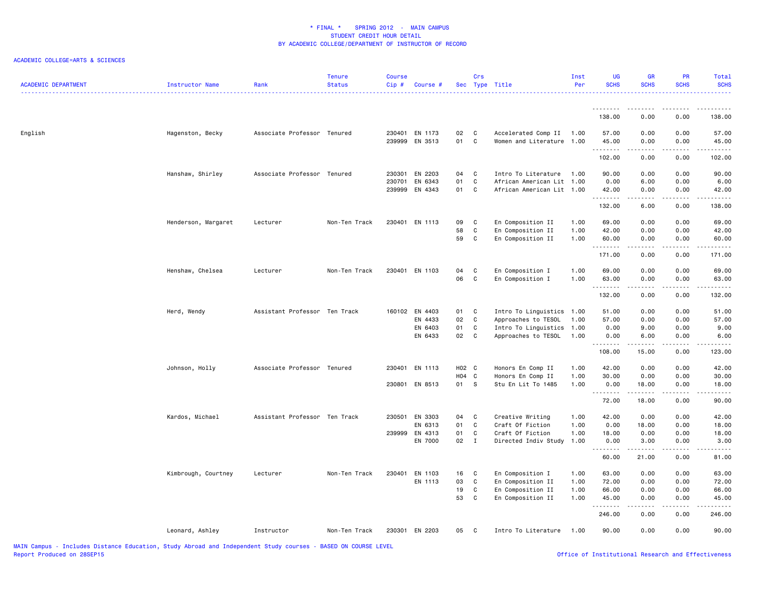| <b>ACADEMIC DEPARTMENT</b> | Instructor Name     | Rank                          | <b>Tenure</b><br><b>Status</b> | <b>Course</b><br>Cip # | Course #                                        |                      | Crs                                               | Sec Type Title                                                                                       | Inst<br>Per                  | <b>UG</b><br><b>SCHS</b>         | <b>GR</b><br><b>SCHS</b>                                                                                                                                     | PR<br><b>SCHS</b>            | Total<br><b>SCHS</b>             |
|----------------------------|---------------------|-------------------------------|--------------------------------|------------------------|-------------------------------------------------|----------------------|---------------------------------------------------|------------------------------------------------------------------------------------------------------|------------------------------|----------------------------------|--------------------------------------------------------------------------------------------------------------------------------------------------------------|------------------------------|----------------------------------|
|                            |                     |                               |                                |                        |                                                 |                      |                                                   |                                                                                                      |                              | <u>.</u><br>138.00               | 0.00                                                                                                                                                         | 0.00                         | 138.00                           |
| English                    | Hagenston, Becky    | Associate Professor Tenured   |                                |                        | 230401 EN 1173<br>239999 EN 3513                | 02<br>01             | C<br>C                                            | Accelerated Comp II<br>Women and Literature 1.00                                                     | 1.00                         | 57.00<br>45.00                   | 0.00<br>0.00                                                                                                                                                 | 0.00<br>0.00                 | 57.00<br>45.00                   |
|                            |                     |                               |                                |                        |                                                 |                      |                                                   |                                                                                                      |                              | .<br>102.00                      | $\cdots$<br>0.00                                                                                                                                             | .<br>0.00                    | 102.00                           |
|                            | Hanshaw, Shirley    | Associate Professor Tenured   |                                | 230701                 | 230301 EN 2203<br>EN 6343<br>239999 EN 4343     | 04<br>01<br>01       | C<br>$\mathbf{C}$<br>C                            | Intro To Literature<br>African American Lit 1.00<br>African American Lit 1.00                        | 1.00                         | 90.00<br>0.00<br>42.00           | 0.00<br>6.00<br>0.00                                                                                                                                         | 0.00<br>0.00<br>0.00         | 90.00<br>6.00<br>42.00           |
|                            |                     |                               |                                |                        |                                                 |                      |                                                   |                                                                                                      |                              | .<br>132.00                      | 6.00                                                                                                                                                         | 0.00                         | .<br>138.00                      |
|                            | Henderson, Margaret | Lecturer                      | Non-Ten Track                  |                        | 230401 EN 1113                                  | 09<br>58<br>59       | C<br>$\mathtt{C}$<br>$\mathbf{C}$                 | En Composition II<br>En Composition II<br>En Composition II                                          | 1.00<br>1.00<br>1.00         | 69.00<br>42.00<br>60.00          | 0.00<br>0.00<br>0.00                                                                                                                                         | 0.00<br>0.00<br>0.00         | 69.00<br>42.00<br>60.00          |
|                            |                     |                               |                                |                        |                                                 |                      |                                                   |                                                                                                      |                              | .<br>171.00                      | $\frac{1}{2} \left( \frac{1}{2} \right) \left( \frac{1}{2} \right) \left( \frac{1}{2} \right) \left( \frac{1}{2} \right) \left( \frac{1}{2} \right)$<br>0.00 | .<br>0.00                    | .<br>171.00                      |
|                            | Henshaw, Chelsea    | Lecturer                      | Non-Ten Track                  |                        | 230401 EN 1103                                  | 04<br>06             | C<br>$\mathbf{C}$                                 | En Composition I<br>En Composition I                                                                 | 1.00<br>1.00                 | 69.00<br>63.00                   | 0.00<br>0.00                                                                                                                                                 | 0.00<br>0.00                 | 69.00<br>63.00                   |
|                            |                     |                               |                                |                        |                                                 |                      |                                                   |                                                                                                      |                              | .<br>132.00                      | 0.00                                                                                                                                                         | 0.00                         | 132.00                           |
|                            | Herd, Wendy         | Assistant Professor Ten Track |                                |                        | 160102 EN 4403<br>EN 4433<br>EN 6403<br>EN 6433 | 01<br>02<br>01<br>02 | C<br>$\mathbf{C}$<br>C<br>C                       | Intro To Linguistics 1.00<br>Approaches to TESOL<br>Intro To Linguistics 1.00<br>Approaches to TESOL | 1.00<br>1.00                 | 51.00<br>57.00<br>0.00<br>0.00   | 0.00<br>0.00<br>9.00<br>6.00                                                                                                                                 | 0.00<br>0.00<br>0.00<br>0.00 | 51.00<br>57.00<br>9.00<br>6.00   |
|                            |                     |                               |                                |                        |                                                 |                      |                                                   |                                                                                                      |                              | .<br>108.00                      | 15.00                                                                                                                                                        | 0.00                         | 123.00                           |
|                            | Johnson, Holly      | Associate Professor Tenured   |                                |                        | 230401 EN 1113<br>230801 EN 8513                | H02 C<br>H04 C<br>01 | s                                                 | Honors En Comp II<br>Honors En Comp II<br>Stu En Lit To 1485                                         | 1.00<br>1.00<br>1.00         | 42.00<br>30.00<br>0.00           | 0.00<br>0.00<br>18.00                                                                                                                                        | 0.00<br>0.00<br>0.00         | 42.00<br>30.00<br>18.00          |
|                            |                     |                               |                                |                        |                                                 |                      |                                                   |                                                                                                      |                              | .<br>72.00                       | 18.00                                                                                                                                                        | 0.00                         | 90.00                            |
|                            | Kardos, Michael     | Assistant Professor Ten Track |                                | 230501                 | EN 3303<br>EN 6313<br>239999 EN 4313<br>EN 7000 | 04<br>01<br>01<br>02 | C<br>$\mathbf{C}$<br>$\mathbf{C}$<br>$\mathbf{I}$ | Creative Writing<br>Craft Of Fiction<br>Craft Of Fiction<br>Directed Indiv Study 1.00                | 1.00<br>1.00<br>1.00         | 42.00<br>0.00<br>18.00<br>0.00   | 0.00<br>18.00<br>0.00<br>3.00                                                                                                                                | 0.00<br>0.00<br>0.00<br>0.00 | 42.00<br>18.00<br>18.00<br>3.00  |
|                            |                     |                               |                                |                        |                                                 |                      |                                                   |                                                                                                      |                              | .<br>60.00                       | .<br>21.00                                                                                                                                                   | .<br>0.00                    | .<br>81.00                       |
|                            | Kimbrough, Courtney | Lecturer                      | Non-Ten Track                  | 230401                 | EN 1103<br>EN 1113                              | 16<br>03<br>19<br>53 | C<br>C<br>C<br>C                                  | En Composition I<br>En Composition II<br>En Composition II<br>En Composition II                      | 1.00<br>1.00<br>1.00<br>1.00 | 63.00<br>72.00<br>66.00<br>45.00 | 0.00<br>0.00<br>0.00<br>0.00                                                                                                                                 | 0.00<br>0.00<br>0.00<br>0.00 | 63.00<br>72.00<br>66.00<br>45.00 |
|                            |                     |                               |                                |                        |                                                 |                      |                                                   |                                                                                                      |                              | .<br>246.00                      | $\frac{1}{2} \left( \frac{1}{2} \right) \left( \frac{1}{2} \right) \left( \frac{1}{2} \right) \left( \frac{1}{2} \right)$<br>0.00                            | .<br>0.00                    | .<br>246.00                      |
|                            | Leonard, Ashley     | Instructor                    | Non-Ten Track                  |                        | 230301 EN 2203                                  | 05                   | $\mathbf{C}$                                      | Intro To Literature                                                                                  | 1.00                         | 90.00                            | 0.00                                                                                                                                                         | 0.00                         | 90.00                            |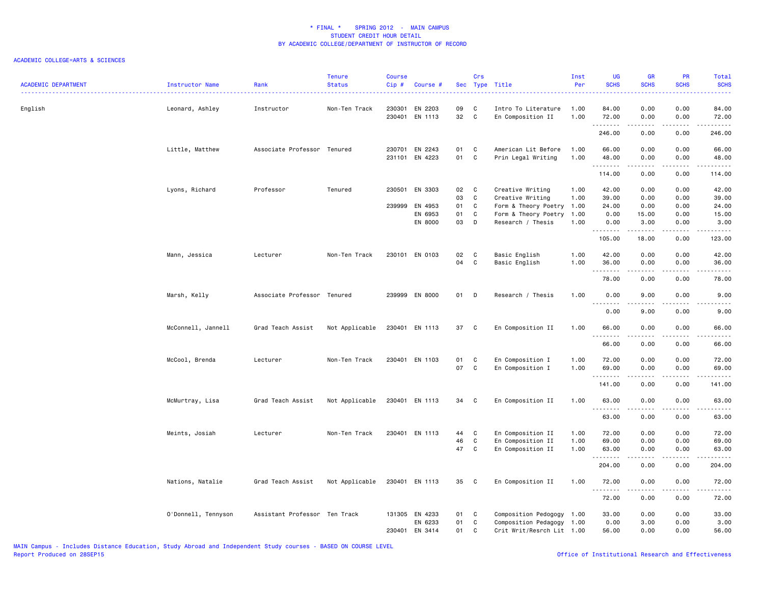| <b>ACADEMIC DEPARTMENT</b> | Instructor Name     | Rank                          | <b>Tenure</b><br><b>Status</b> | Course<br>Cip# | Course #                         |          | Crs                 | Sec Type Title                           | Inst<br>Per  | <b>UG</b><br><b>SCHS</b> | <b>GR</b><br><b>SCHS</b> | PR<br><b>SCHS</b>     | Total<br><b>SCHS</b>                                                                                                                                          |
|----------------------------|---------------------|-------------------------------|--------------------------------|----------------|----------------------------------|----------|---------------------|------------------------------------------|--------------|--------------------------|--------------------------|-----------------------|---------------------------------------------------------------------------------------------------------------------------------------------------------------|
| English                    | Leonard, Ashley     | Instructor                    | Non-Ten Track                  |                | 230301 EN 2203<br>230401 EN 1113 | 09<br>32 | C<br>$\overline{C}$ | Intro To Literature<br>En Composition II | 1.00<br>1.00 | 84.00<br>72.00           | 0.00<br>0.00             | 0.00<br>0.00          | 84.00<br>72.00                                                                                                                                                |
|                            |                     |                               |                                |                |                                  |          |                     |                                          |              | .<br>246.00              | <b>.</b><br>0.00         | .<br>0.00             | .<br>246.00                                                                                                                                                   |
|                            | Little, Matthew     | Associate Professor Tenured   |                                |                | 230701 EN 2243                   | 01       | C                   | American Lit Before                      | 1.00         | 66.00                    | 0.00                     | 0.00                  | 66.00                                                                                                                                                         |
|                            |                     |                               |                                |                | 231101 EN 4223                   | 01       | $\mathbf{C}$        | Prin Legal Writing                       | 1.00         | 48.00                    | 0.00                     | 0.00                  | 48.00<br>.                                                                                                                                                    |
|                            |                     |                               |                                |                |                                  |          |                     |                                          |              | 114.00                   | 0.00                     | 0.00                  | 114.00                                                                                                                                                        |
|                            | Lyons, Richard      | Professor                     | Tenured                        |                | 230501 EN 3303                   | 02       | $\mathbf{C}$        | Creative Writing                         | 1.00         | 42.00                    | 0.00                     | 0.00                  | 42.00                                                                                                                                                         |
|                            |                     |                               |                                |                |                                  | 03       | C                   | Creative Writing                         | 1.00         | 39.00                    | 0.00                     | 0.00                  | 39.00                                                                                                                                                         |
|                            |                     |                               |                                | 239999         | EN 4953                          | 01       | $\mathbf{C}$        | Form & Theory Poetry                     | 1.00         | 24.00                    | 0.00                     | 0.00                  | 24.00                                                                                                                                                         |
|                            |                     |                               |                                |                | EN 6953                          | 01       | C                   | Form & Theory Poetry                     | 1.00         | 0.00                     | 15.00                    | 0.00                  | 15.00                                                                                                                                                         |
|                            |                     |                               |                                |                | EN 8000                          | 03       | D                   | Research / Thesis                        | 1.00         | 0.00<br><u>.</u>         | 3.00<br>$- - - - -$      | 0.00<br>.             | 3.00<br>.                                                                                                                                                     |
|                            |                     |                               |                                |                |                                  |          |                     |                                          |              | 105.00                   | 18.00                    | 0.00                  | 123.00                                                                                                                                                        |
|                            | Mann, Jessica       | Lecturer                      | Non-Ten Track                  |                | 230101 EN 0103                   | 02       | $\mathbf{C}$        | Basic English                            | 1.00         | 42.00                    | 0.00                     | 0.00                  | 42.00                                                                                                                                                         |
|                            |                     |                               |                                |                |                                  | 04       | C                   | Basic English                            | 1.00         | 36.00                    | 0.00                     | 0.00                  | 36.00                                                                                                                                                         |
|                            |                     |                               |                                |                |                                  |          |                     |                                          |              | .                        |                          | د د د د               | $\sim$                                                                                                                                                        |
|                            |                     |                               |                                |                |                                  |          |                     |                                          |              | 78.00                    | 0.00                     | 0.00                  | 78.00                                                                                                                                                         |
|                            | Marsh, Kelly        | Associate Professor Tenured   |                                |                | 239999 EN 8000                   | 01 D     |                     | Research / Thesis                        | 1.00         | 0.00<br>.                | 9.00<br>.                | 0.00<br>$\frac{1}{2}$ | 9.00<br>.                                                                                                                                                     |
|                            |                     |                               |                                |                |                                  |          |                     |                                          |              | 0.00                     | 9.00                     | 0.00                  | 9.00                                                                                                                                                          |
|                            | McConnell, Jannell  | Grad Teach Assist             | Not Applicable                 |                | 230401 EN 1113                   | 37 C     |                     | En Composition II                        | 1.00         | 66.00                    | 0.00                     | 0.00                  | 66.00                                                                                                                                                         |
|                            |                     |                               |                                |                |                                  |          |                     |                                          |              | .<br>66.00               | .<br>0.00                | .<br>0.00             | د د د د د<br>66.00                                                                                                                                            |
|                            |                     |                               |                                |                |                                  |          |                     |                                          |              |                          |                          |                       |                                                                                                                                                               |
|                            | McCool, Brenda      | Lecturer                      | Non-Ten Track                  |                | 230401 EN 1103                   | 01       | C                   | En Composition I                         | 1.00         | 72.00                    | 0.00                     | 0.00                  | 72.00                                                                                                                                                         |
|                            |                     |                               |                                |                |                                  | 07       | $\mathbf{C}$        | En Composition I                         | 1.00         | 69.00                    | 0.00                     | 0.00                  | 69.00<br>د د د د د                                                                                                                                            |
|                            |                     |                               |                                |                |                                  |          |                     |                                          |              | 141.00                   | 0.00                     | 0.00                  | 141.00                                                                                                                                                        |
|                            | McMurtray, Lisa     | Grad Teach Assist             | Not Applicable                 |                | 230401 EN 1113                   | 34 C     |                     | En Composition II                        | 1.00         | 63.00<br><u>.</u>        | 0.00<br>.                | 0.00<br>$\frac{1}{2}$ | 63.00<br>$\frac{1}{2} \left( \frac{1}{2} \right) \left( \frac{1}{2} \right) \left( \frac{1}{2} \right) \left( \frac{1}{2} \right) \left( \frac{1}{2} \right)$ |
|                            |                     |                               |                                |                |                                  |          |                     |                                          |              | 63.00                    | 0.00                     | 0.00                  | 63.00                                                                                                                                                         |
|                            | Meints, Josiah      | Lecturer                      | Non-Ten Track                  |                | 230401 EN 1113                   | 44       | C                   | En Composition II                        | 1.00         | 72.00                    | 0.00                     | 0.00                  | 72.00                                                                                                                                                         |
|                            |                     |                               |                                |                |                                  | 46       | C                   | En Composition II                        | 1.00         | 69.00                    | 0.00                     | 0.00                  | 69.00                                                                                                                                                         |
|                            |                     |                               |                                |                |                                  | 47       | $\mathbf c$         | En Composition II                        | 1.00         | 63.00                    | 0.00                     | 0.00                  | 63.00                                                                                                                                                         |
|                            |                     |                               |                                |                |                                  |          |                     |                                          |              | .<br>204.00              | .<br>0.00                | .<br>0.00             | .<br>204.00                                                                                                                                                   |
|                            | Nations, Natalie    | Grad Teach Assist             | Not Applicable                 |                | 230401 EN 1113                   | 35 C     |                     | En Composition II                        | 1.00         | 72.00                    | 0.00                     | 0.00                  | 72.00                                                                                                                                                         |
|                            |                     |                               |                                |                |                                  |          |                     |                                          |              | <u>.</u>                 |                          | .                     | $\frac{1}{2}$                                                                                                                                                 |
|                            |                     |                               |                                |                |                                  |          |                     |                                          |              | 72.00                    | 0.00                     | 0.00                  | 72.00                                                                                                                                                         |
|                            | O'Donnell, Tennyson | Assistant Professor Ten Track |                                |                | 131305 EN 4233                   | 01       | C                   | Composition Pedogogy 1.00                |              | 33.00                    | 0.00                     | 0.00                  | 33.00                                                                                                                                                         |
|                            |                     |                               |                                |                | EN 6233                          | 01       | C                   | Composition Pedagogy                     | 1.00         | 0.00                     | 3.00                     | 0.00                  | 3.00                                                                                                                                                          |
|                            |                     |                               |                                |                | 230401 EN 3414                   | 01       | C                   | Crit Writ/Resrch Lit 1.00                |              | 56.00                    | 0.00                     | 0.00                  | 56.00                                                                                                                                                         |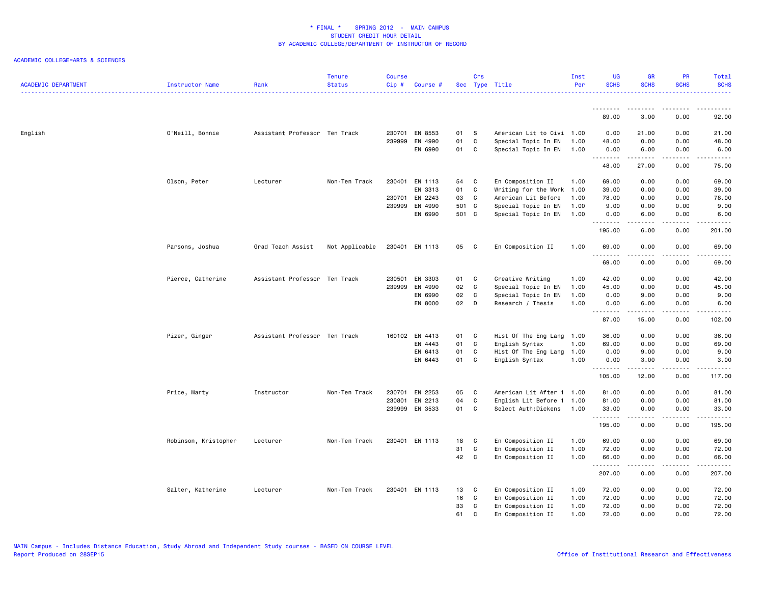| <b>ACADEMIC DEPARTMENT</b> | Instructor Name      | Rank                          | <b>Tenure</b><br><b>Status</b> | <b>Course</b><br>Cip# | Course #       |        | Crs          | Sec Type Title            | Inst<br>Per | <b>UG</b><br><b>SCHS</b> | <b>GR</b><br><b>SCHS</b>                                                                                                                                     | <b>PR</b><br><b>SCHS</b> | Total<br><b>SCHS</b>  |
|----------------------------|----------------------|-------------------------------|--------------------------------|-----------------------|----------------|--------|--------------|---------------------------|-------------|--------------------------|--------------------------------------------------------------------------------------------------------------------------------------------------------------|--------------------------|-----------------------|
|                            |                      |                               |                                |                       |                |        |              |                           |             |                          |                                                                                                                                                              |                          |                       |
|                            |                      |                               |                                |                       |                |        |              |                           |             | .<br>89.00               | .<br>3.00                                                                                                                                                    | .<br>0.00                | 92.00                 |
| English                    | O'Neill, Bonnie      | Assistant Professor Ten Track |                                |                       | 230701 EN 8553 | 01     | s            | American Lit to Civi 1.00 |             | 0.00                     | 21.00                                                                                                                                                        | 0.00                     | 21.00                 |
|                            |                      |                               |                                | 239999                | EN 4990        | 01     | C            | Special Topic In EN       | 1.00        | 48.00                    | 0.00                                                                                                                                                         | 0.00                     | 48.00                 |
|                            |                      |                               |                                |                       | EN 6990        | 01 C   |              | Special Topic In EN 1.00  |             | 0.00<br>.                | 6.00<br><u>.</u>                                                                                                                                             | 0.00<br>.                | 6.00<br>$\frac{1}{2}$ |
|                            |                      |                               |                                |                       |                |        |              |                           |             | 48.00                    | 27.00                                                                                                                                                        | 0.00                     | 75.00                 |
|                            | Olson, Peter         | Lecturer                      | Non-Ten Track                  |                       | 230401 EN 1113 | 54     | <b>C</b>     | En Composition II         | 1.00        | 69.00                    | 0.00                                                                                                                                                         | 0.00                     | 69.00                 |
|                            |                      |                               |                                |                       | EN 3313        | 01     | C            | Writing for the Work      | 1.00        | 39.00                    | 0.00                                                                                                                                                         | 0.00                     | 39.00                 |
|                            |                      |                               |                                |                       | 230701 EN 2243 | 03     | C            | American Lit Before       | 1.00        | 78.00                    | 0.00                                                                                                                                                         | 0.00                     | 78.00                 |
|                            |                      |                               |                                |                       | 239999 EN 4990 | 501 C  |              | Special Topic In EN       | 1.00        | 9.00                     | 0.00                                                                                                                                                         | 0.00                     | 9.00                  |
|                            |                      |                               |                                |                       | EN 6990        | 501 C  |              | Special Topic In EN       | 1.00        | 0.00                     | 6.00                                                                                                                                                         | 0.00                     | 6.00                  |
|                            |                      |                               |                                |                       |                |        |              |                           |             | .<br>195.00              | .<br>6.00                                                                                                                                                    | .<br>0.00                | .<br>201.00           |
|                            | Parsons, Joshua      | Grad Teach Assist             | Not Applicable                 |                       | 230401 EN 1113 | 05 C   |              | En Composition II         | 1.00        | 69.00                    | 0.00                                                                                                                                                         | 0.00                     | 69.00                 |
|                            |                      |                               |                                |                       |                |        |              |                           |             | .<br>69.00               | .<br>0.00                                                                                                                                                    | .<br>0.00                | $\sim$<br>69.00       |
|                            |                      |                               |                                |                       |                |        |              |                           |             |                          |                                                                                                                                                              |                          |                       |
|                            | Pierce, Catherine    | Assistant Professor Ten Track |                                |                       | 230501 EN 3303 | 01 C   |              | Creative Writing          | 1.00        | 42.00                    | 0.00                                                                                                                                                         | 0.00                     | 42.00                 |
|                            |                      |                               |                                |                       | 239999 EN 4990 | 02     | C            | Special Topic In EN       | 1.00        | 45.00                    | 0.00                                                                                                                                                         | 0.00                     | 45.00                 |
|                            |                      |                               |                                |                       | EN 6990        | 02     | $\mathbf{C}$ | Special Topic In EN       | 1.00        | 0.00                     | 9.00                                                                                                                                                         | 0.00                     | 9.00                  |
|                            |                      |                               |                                |                       | EN 8000        | $02$ D |              | Research / Thesis         | 1.00        | 0.00<br>.                | 6.00<br>$\frac{1}{2} \left( \frac{1}{2} \right) \left( \frac{1}{2} \right) \left( \frac{1}{2} \right) \left( \frac{1}{2} \right) \left( \frac{1}{2} \right)$ | 0.00<br>.                | 6.00<br>.             |
|                            |                      |                               |                                |                       |                |        |              |                           |             | 87.00                    | 15.00                                                                                                                                                        | 0.00                     | 102.00                |
|                            | Pizer, Ginger        | Assistant Professor Ten Track |                                |                       | 160102 EN 4413 | 01 C   |              | Hist Of The Eng Lang 1.00 |             | 36.00                    | 0.00                                                                                                                                                         | 0.00                     | 36.00                 |
|                            |                      |                               |                                |                       | EN 4443        | 01     | $\mathbf{C}$ | English Syntax            | 1.00        | 69.00                    | 0.00                                                                                                                                                         | 0.00                     | 69.00                 |
|                            |                      |                               |                                |                       | EN 6413        | 01     | C            | Hist Of The Eng Lang      | 1.00        | 0.00                     | 9.00                                                                                                                                                         | 0.00                     | 9.00                  |
|                            |                      |                               |                                |                       | EN 6443        | 01     | C            | English Syntax            | 1.00        | 0.00                     | 3.00                                                                                                                                                         | 0.00                     | 3.00                  |
|                            |                      |                               |                                |                       |                |        |              |                           |             | .<br>105.00              | المتمالين<br>12.00                                                                                                                                           | .<br>0.00                | .<br>117.00           |
|                            | Price, Marty         | Instructor                    | Non-Ten Track                  |                       | 230701 EN 2253 | 05     | <b>C</b>     | American Lit After 1 1.00 |             | 81.00                    | 0.00                                                                                                                                                         | 0.00                     | 81.00                 |
|                            |                      |                               |                                |                       | 230801 EN 2213 | 04     | C            | English Lit Before 1      | 1.00        | 81.00                    | 0.00                                                                                                                                                         | 0.00                     | 81.00                 |
|                            |                      |                               |                                |                       | 239999 EN 3533 | 01 C   |              | Select Auth:Dickens       | 1.00        | 33.00                    | 0.00                                                                                                                                                         | 0.00                     | 33.00                 |
|                            |                      |                               |                                |                       |                |        |              |                           |             | .<br>195.00              | $- - - - -$<br>0.00                                                                                                                                          | .<br>0.00                | .<br>195.00           |
|                            | Robinson, Kristopher | Lecturer                      | Non-Ten Track                  |                       | 230401 EN 1113 | 18     | <b>C</b>     | En Composition II         | 1.00        | 69.00                    | 0.00                                                                                                                                                         | 0.00                     | 69.00                 |
|                            |                      |                               |                                |                       |                | 31     | C            | En Composition II         | 1.00        | 72.00                    | 0.00                                                                                                                                                         | 0.00                     | 72.00                 |
|                            |                      |                               |                                |                       |                | 42 C   |              | En Composition II         | 1.00        | 66.00                    | 0.00                                                                                                                                                         | 0.00                     | 66.00                 |
|                            |                      |                               |                                |                       |                |        |              |                           |             | .<br>207.00              | 0.00                                                                                                                                                         | .<br>0.00                | .<br>207.00           |
|                            |                      |                               |                                |                       |                |        |              |                           |             |                          |                                                                                                                                                              |                          |                       |
|                            | Salter, Katherine    | Lecturer                      | Non-Ten Track                  |                       | 230401 EN 1113 | 13     | <b>C</b>     | En Composition II         | 1.00        | 72.00                    | 0.00                                                                                                                                                         | 0.00                     | 72.00                 |
|                            |                      |                               |                                |                       |                | 16     | $\mathbf{C}$ | En Composition II         | 1.00        | 72.00                    | 0.00                                                                                                                                                         | 0.00                     | 72.00                 |
|                            |                      |                               |                                |                       |                | 33     | $\mathbf c$  | En Composition II         | 1.00        | 72.00                    | 0.00                                                                                                                                                         | 0.00                     | 72.00                 |
|                            |                      |                               |                                |                       |                | 61     | C            | En Composition II         | 1.00        | 72.00                    | 0.00                                                                                                                                                         | 0.00                     | 72.00                 |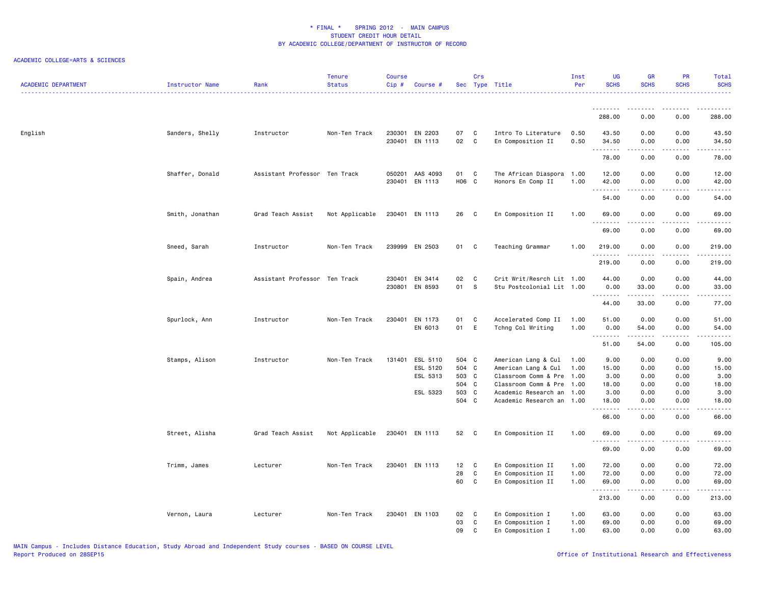| <b>ACADEMIC DEPARTMENT</b> | Instructor Name | Rank                          | Tenure<br><b>Status</b> | <b>Course</b><br>Cip# | Course #                                            |                                                    | Crs                          | Sec Type Title                                                                                                                                                 | Inst<br>Per  | <b>UG</b><br><b>SCHS</b>                        | <b>GR</b><br><b>SCHS</b>                                                                                                                                                        | PR<br><b>SCHS</b>                            | Total<br><b>SCHS</b>                            |
|----------------------------|-----------------|-------------------------------|-------------------------|-----------------------|-----------------------------------------------------|----------------------------------------------------|------------------------------|----------------------------------------------------------------------------------------------------------------------------------------------------------------|--------------|-------------------------------------------------|---------------------------------------------------------------------------------------------------------------------------------------------------------------------------------|----------------------------------------------|-------------------------------------------------|
|                            |                 |                               |                         |                       |                                                     |                                                    |                              |                                                                                                                                                                |              | .                                               | $\frac{1}{2} \left( \frac{1}{2} \right) \left( \frac{1}{2} \right) \left( \frac{1}{2} \right) \left( \frac{1}{2} \right) \left( \frac{1}{2} \right) \left( \frac{1}{2} \right)$ | $\frac{1}{2}$                                | .                                               |
|                            |                 |                               |                         |                       |                                                     |                                                    |                              |                                                                                                                                                                |              | 288.00                                          | 0.00                                                                                                                                                                            | 0.00                                         | 288.00                                          |
| English                    | Sanders, Shelly | Instructor                    | Non-Ten Track           |                       | 230301 EN 2203<br>230401 EN 1113                    | 07<br>02                                           | $\mathbf{C}$<br>$\mathbf{C}$ | Intro To Literature<br>En Composition II                                                                                                                       | 0.50<br>0.50 | 43.50<br>34.50<br>.                             | 0.00<br>0.00<br>.                                                                                                                                                               | 0.00<br>0.00<br>.                            | 43.50<br>34.50<br>$\cdots$                      |
|                            |                 |                               |                         |                       |                                                     |                                                    |                              |                                                                                                                                                                |              | 78.00                                           | 0.00                                                                                                                                                                            | 0.00                                         | 78.00                                           |
|                            | Shaffer, Donald | Assistant Professor Ten Track |                         |                       | 050201 AAS 4093<br>230401 EN 1113                   | 01<br>H06 C                                        | $\mathbf{C}$                 | The African Diaspora 1.00<br>Honors En Comp II                                                                                                                 | 1.00         | 12.00<br>42.00<br>.                             | 0.00<br>0.00                                                                                                                                                                    | 0.00<br>0.00<br>$\frac{1}{2}$                | 12.00<br>42.00<br>.                             |
|                            |                 |                               |                         |                       |                                                     |                                                    |                              |                                                                                                                                                                |              | 54.00                                           | 0.00                                                                                                                                                                            | 0.00                                         | 54.00                                           |
|                            | Smith, Jonathan | Grad Teach Assist             | Not Applicable          |                       | 230401 EN 1113                                      | 26                                                 | $\mathbf{C}$                 | En Composition II                                                                                                                                              | 1.00         | 69.00<br>.                                      | 0.00                                                                                                                                                                            | 0.00                                         | 69.00                                           |
|                            |                 |                               |                         |                       |                                                     |                                                    |                              |                                                                                                                                                                |              | 69.00                                           | 0.00                                                                                                                                                                            | 0.00                                         | 69.00                                           |
|                            | Sneed, Sarah    | Instructor                    | Non-Ten Track           |                       | 239999 EN 2503                                      | 01                                                 | C                            | Teaching Grammar                                                                                                                                               | 1.00         | 219.00<br>.                                     | 0.00                                                                                                                                                                            | 0.00<br>----                                 | 219.00<br>.                                     |
|                            |                 |                               |                         |                       |                                                     |                                                    |                              |                                                                                                                                                                |              | 219.00                                          | 0.00                                                                                                                                                                            | 0.00                                         | 219.00                                          |
|                            | Spain, Andrea   | Assistant Professor Ten Track |                         |                       | 230401 EN 3414<br>230801 EN 8593                    | 02<br>01                                           | $\mathbf{C}$<br><b>S</b>     | Crit Writ/Resrch Lit 1.00<br>Stu Postcolonial Lit 1.00                                                                                                         |              | 44.00<br>0.00<br>.                              | 0.00<br>33.00<br>.                                                                                                                                                              | 0.00<br>0.00<br>د د د د                      | 44.00<br>33.00<br>.                             |
|                            |                 |                               |                         |                       |                                                     |                                                    |                              |                                                                                                                                                                |              | 44.00                                           | 33.00                                                                                                                                                                           | 0.00                                         | 77.00                                           |
|                            | Spurlock, Ann   | Instructor                    | Non-Ten Track           |                       | 230401 EN 1173<br>EN 6013                           | 01<br>01                                           | C.<br>E                      | Accelerated Comp II<br>Tchng Col Writing                                                                                                                       | 1.00<br>1.00 | 51.00<br>0.00                                   | 0.00<br>54.00                                                                                                                                                                   | 0.00<br>0.00                                 | 51.00<br>54.00                                  |
|                            |                 |                               |                         |                       |                                                     |                                                    |                              |                                                                                                                                                                |              | .<br>51.00                                      | $\frac{1}{2} \left( \frac{1}{2} \right) \left( \frac{1}{2} \right) \left( \frac{1}{2} \right) \left( \frac{1}{2} \right) \left( \frac{1}{2} \right)$<br>54.00                   | $\frac{1}{2}$<br>0.00                        | $\cdots$<br>105.00                              |
|                            | Stamps, Alison  | Instructor                    | Non-Ten Track           |                       | 131401 ESL 5110<br>ESL 5120<br>ESL 5313<br>ESL 5323 | 504 C<br>504 C<br>503 C<br>504 C<br>503 C<br>504 C |                              | American Lang & Cul<br>American Lang & Cul<br>Classroom Comm & Pre 1.00<br>Classroom Comm & Pre 1.00<br>Academic Research an 1.00<br>Academic Research an 1.00 | 1.00<br>1.00 | 9.00<br>15.00<br>3.00<br>18.00<br>3.00<br>18.00 | 0.00<br>0.00<br>0.00<br>0.00<br>0.00<br>0.00                                                                                                                                    | 0.00<br>0.00<br>0.00<br>0.00<br>0.00<br>0.00 | 9.00<br>15.00<br>3.00<br>18.00<br>3.00<br>18.00 |
|                            |                 |                               |                         |                       |                                                     |                                                    |                              |                                                                                                                                                                |              | .<br>66.00                                      | 0.00                                                                                                                                                                            | $\sim$ $\sim$ $\sim$ $\sim$<br>0.00          | .<br>66.00                                      |
|                            | Street, Alisha  | Grad Teach Assist             | Not Applicable          |                       | 230401 EN 1113                                      | 52 C                                               |                              | En Composition II                                                                                                                                              | 1.00         | 69.00<br>.                                      | 0.00<br>.                                                                                                                                                                       | 0.00<br>$\frac{1}{2}$                        | 69.00<br>.                                      |
|                            |                 |                               |                         |                       |                                                     |                                                    |                              |                                                                                                                                                                |              | 69.00                                           | 0.00                                                                                                                                                                            | 0.00                                         | 69.00                                           |
|                            | Trimm, James    | Lecturer                      | Non-Ten Track           |                       | 230401 EN 1113                                      | 12 C                                               |                              | En Composition II                                                                                                                                              | 1.00         | 72.00                                           | 0.00                                                                                                                                                                            | 0.00                                         | 72.00                                           |
|                            |                 |                               |                         |                       |                                                     | 28<br>60                                           | C<br>$\mathbf{C}$            | En Composition II                                                                                                                                              | 1.00<br>1.00 | 72.00<br>69.00                                  | 0.00                                                                                                                                                                            | 0.00<br>0.00                                 | 72.00<br>69.00                                  |
|                            |                 |                               |                         |                       |                                                     |                                                    |                              | En Composition II                                                                                                                                              |              | .                                               | 0.00                                                                                                                                                                            |                                              | .                                               |
|                            |                 |                               |                         |                       |                                                     |                                                    |                              |                                                                                                                                                                |              | 213.00                                          | 0.00                                                                                                                                                                            | 0.00                                         | 213.00                                          |
|                            | Vernon, Laura   | Lecturer                      | Non-Ten Track           |                       | 230401 EN 1103                                      | 02                                                 | $\mathbf{C}$                 | En Composition I                                                                                                                                               | 1.00         | 63.00                                           | 0.00                                                                                                                                                                            | 0.00                                         | 63.00                                           |
|                            |                 |                               |                         |                       |                                                     | 03<br>09                                           | C<br>C                       | En Composition I<br>En Composition I                                                                                                                           | 1.00<br>1.00 | 69.00<br>63.00                                  | 0.00<br>0.00                                                                                                                                                                    | 0.00<br>0.00                                 | 69.00<br>63.00                                  |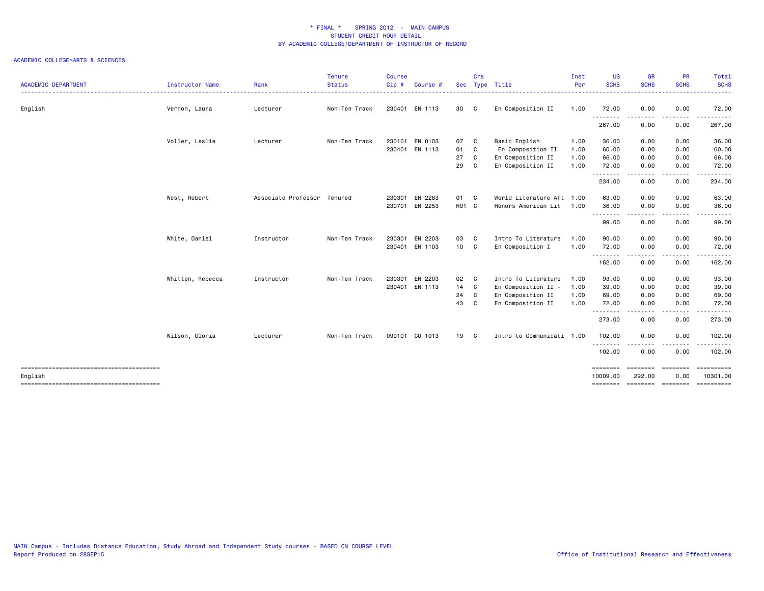| <b>ACADEMIC DEPARTMENT</b> | <b>Instructor Name</b> | Rank                        | <b>Tenure</b><br><b>Status</b> | Course<br>$Cip$ # | Course $#$     | <b>Sec</b>        | Crs | Type Title                | Inst<br>Per | <b>UG</b><br><b>SCHS</b> | <b>GR</b><br><b>SCHS</b> | <b>PR</b><br><b>SCHS</b>                                                                                                                                                                                                                                                                                                                                                                                                                                                                                                    | Total<br><b>SCHS</b>   |
|----------------------------|------------------------|-----------------------------|--------------------------------|-------------------|----------------|-------------------|-----|---------------------------|-------------|--------------------------|--------------------------|-----------------------------------------------------------------------------------------------------------------------------------------------------------------------------------------------------------------------------------------------------------------------------------------------------------------------------------------------------------------------------------------------------------------------------------------------------------------------------------------------------------------------------|------------------------|
| English                    | Vernon, Laura          | Lecturer                    | Non-Ten Track                  |                   | 230401 EN 1113 | 30 C              |     | En Composition II         | 1.00        | 72.00                    | 0.00                     | 0.00                                                                                                                                                                                                                                                                                                                                                                                                                                                                                                                        | .<br>72.00             |
|                            |                        |                             |                                |                   |                |                   |     |                           |             | .                        | .                        | .                                                                                                                                                                                                                                                                                                                                                                                                                                                                                                                           | .                      |
|                            |                        |                             |                                |                   |                |                   |     |                           |             | 267.00                   | 0.00                     | 0.00                                                                                                                                                                                                                                                                                                                                                                                                                                                                                                                        | 267.00                 |
|                            | Voller, Leslie         | Lecturer                    | Non-Ten Track                  |                   | 230101 EN 0103 | 07 C              |     | Basic English             | 1.00        | 36.00                    | 0.00                     | 0.00                                                                                                                                                                                                                                                                                                                                                                                                                                                                                                                        | 36.00                  |
|                            |                        |                             |                                |                   | 230401 EN 1113 | 01 C              |     | En Composition II         | 1.00        | 60.00                    | 0.00                     | 0.00                                                                                                                                                                                                                                                                                                                                                                                                                                                                                                                        | 60.00                  |
|                            |                        |                             |                                |                   |                | 27                | C.  | En Composition II         | 1.00        | 66.00                    | 0.00                     | 0.00                                                                                                                                                                                                                                                                                                                                                                                                                                                                                                                        | 66.00                  |
|                            |                        |                             |                                |                   |                | 29                | C   | En Composition II         | 1.00        | 72.00                    | 0.00                     | 0.00                                                                                                                                                                                                                                                                                                                                                                                                                                                                                                                        | 72.00                  |
|                            |                        |                             |                                |                   |                |                   |     |                           |             | .<br>234.00              | 0.00                     | 0.00                                                                                                                                                                                                                                                                                                                                                                                                                                                                                                                        | 234.00                 |
|                            | West, Robert           | Associate Professor Tenured |                                | 230301            | EN 2283        | 01 C              |     | World Literature Aft 1.00 |             | 63.00                    | 0.00                     | 0.00                                                                                                                                                                                                                                                                                                                                                                                                                                                                                                                        | 63.00                  |
|                            |                        |                             |                                | 230701            | EN 2253        | H <sub>01</sub> C |     | Honors American Lit 1.00  |             | 36.00                    | 0.00                     | 0.00                                                                                                                                                                                                                                                                                                                                                                                                                                                                                                                        | 36.00                  |
|                            |                        |                             |                                |                   |                |                   |     |                           |             | .<br>99.00               | .<br>0.00                | .<br>0.00                                                                                                                                                                                                                                                                                                                                                                                                                                                                                                                   | .<br>99.00             |
|                            | White, Daniel          | Instructor                  | Non-Ten Track                  | 230301            | EN 2203        | 03 C              |     | Intro To Literature       | 1.00        | 90.00                    | 0.00                     | 0.00                                                                                                                                                                                                                                                                                                                                                                                                                                                                                                                        | 90.00                  |
|                            |                        |                             |                                |                   | 230401 EN 1103 | 10 C              |     | En Composition I          | 1.00        | 72.00                    | 0.00                     | 0.00                                                                                                                                                                                                                                                                                                                                                                                                                                                                                                                        | 72.00                  |
|                            |                        |                             |                                |                   |                |                   |     |                           |             | .<br>162.00              | .<br>0.00                | .<br>0.00                                                                                                                                                                                                                                                                                                                                                                                                                                                                                                                   | .<br>162.00            |
|                            | Whitten, Rebecca       | Instructor                  | Non-Ten Track                  | 230301            | EN 2203        | 02 C              |     | Intro To Literature       | 1.00        | 93.00                    | 0.00                     | 0.00                                                                                                                                                                                                                                                                                                                                                                                                                                                                                                                        | 93.00                  |
|                            |                        |                             |                                |                   | 230401 EN 1113 | 14 C              |     | En Composition II -       | 1.00        | 39.00                    | 0.00                     | 0.00                                                                                                                                                                                                                                                                                                                                                                                                                                                                                                                        | 39.00                  |
|                            |                        |                             |                                |                   |                | 24                | C   | En Composition II         | 1.00        | 69.00                    | 0.00                     | 0.00                                                                                                                                                                                                                                                                                                                                                                                                                                                                                                                        | 69.00                  |
|                            |                        |                             |                                |                   |                | 43                | C   | En Composition II         | 1.00        | 72.00                    | 0.00                     | 0.00                                                                                                                                                                                                                                                                                                                                                                                                                                                                                                                        | 72.00                  |
|                            |                        |                             |                                |                   |                |                   |     |                           |             | .<br>273.00              | .<br>0.00                | .<br>0.00                                                                                                                                                                                                                                                                                                                                                                                                                                                                                                                   | . <b>.</b> .<br>273.00 |
|                            | Wilson, Gloria         | Lecturer                    | Non-Ten Track                  |                   | 090101 CO 1013 | 19 C              |     | Intro to Communicati 1.00 |             | 102.00                   | 0.00                     | 0.00                                                                                                                                                                                                                                                                                                                                                                                                                                                                                                                        | 102.00                 |
|                            |                        |                             |                                |                   |                |                   |     |                           |             | .<br>102.00              | 0.00                     | 0.00                                                                                                                                                                                                                                                                                                                                                                                                                                                                                                                        | .<br>102.00            |
| English                    |                        |                             |                                |                   |                |                   |     |                           |             | ========<br>10009.00     | ========<br>292.00       | $\begin{array}{c} \multicolumn{3}{c} {\color{blue} \textbf{2}} & \multicolumn{3}{c} {\color{blue} \textbf{3}} \\ \multicolumn{3}{c} {\color{blue} \textbf{4}} & \multicolumn{3}{c} {\color{blue} \textbf{5}} & \multicolumn{3}{c} {\color{blue} \textbf{6}} \\ \multicolumn{3}{c} {\color{blue} \textbf{5}} & \multicolumn{3}{c} {\color{blue} \textbf{6}} & \multicolumn{3}{c} {\color{blue} \textbf{6}} \\ \multicolumn{3}{c} {\color{blue} \textbf{6}} & \multicolumn{3}{c} {\color{blue} \textbf{6}} & \multic$<br>0.00 | ==========<br>10301.00 |
|                            |                        |                             |                                |                   |                |                   |     |                           |             | ========                 |                          | =================                                                                                                                                                                                                                                                                                                                                                                                                                                                                                                           | <b>Expressed</b>       |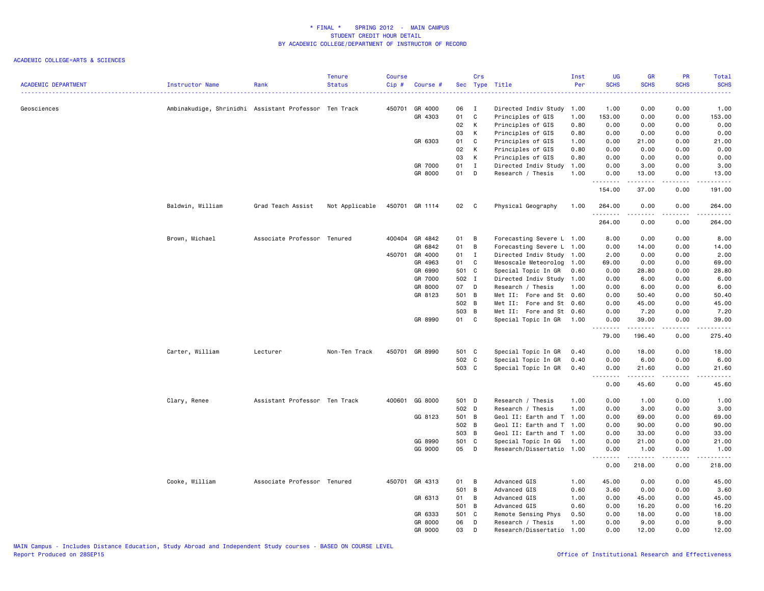| <b>ACADEMIC DEPARTMENT</b> | Instructor Name                                       | Rank                          | <b>Tenure</b><br><b>Status</b> | <b>Course</b><br>Cip# | Course #       |       | Crs          | Sec Type Title            | Inst<br>Per | UG<br><b>SCHS</b> | <b>GR</b><br><b>SCHS</b> | PR<br><b>SCHS</b>                           | Total<br><b>SCHS</b>                                                                                                               |
|----------------------------|-------------------------------------------------------|-------------------------------|--------------------------------|-----------------------|----------------|-------|--------------|---------------------------|-------------|-------------------|--------------------------|---------------------------------------------|------------------------------------------------------------------------------------------------------------------------------------|
| Geosciences                | Ambinakudige, Shrinidhi Assistant Professor Ten Track |                               |                                | 450701                | GR 4000        | 06    | $\mathbf{I}$ | Directed Indiv Study 1.00 |             | 1.00              | 0.00                     | 0.00                                        | 1.00                                                                                                                               |
|                            |                                                       |                               |                                |                       | GR 4303        | 01    | $\mathtt{C}$ | Principles of GIS         | 1.00        | 153.00            | 0.00                     | 0.00                                        | 153.00                                                                                                                             |
|                            |                                                       |                               |                                |                       |                | 02    | К            | Principles of GIS         | 0.80        | 0.00              | 0.00                     | 0.00                                        | 0.00                                                                                                                               |
|                            |                                                       |                               |                                |                       |                | 03    | К            | Principles of GIS         | 0.80        | 0.00              | 0.00                     | 0.00                                        | 0.00                                                                                                                               |
|                            |                                                       |                               |                                |                       | GR 6303        | 01    | C            | Principles of GIS         | 1.00        | 0.00              | 21.00                    | 0.00                                        | 21.00                                                                                                                              |
|                            |                                                       |                               |                                |                       |                | 02    | К            | Principles of GIS         | 0.80        | 0.00              | 0.00                     | 0.00                                        | 0.00                                                                                                                               |
|                            |                                                       |                               |                                |                       |                | 03    | К            | Principles of GIS         | 0.80        | 0.00              | 0.00                     | 0.00                                        | 0.00                                                                                                                               |
|                            |                                                       |                               |                                |                       | GR 7000        | 01    | I            | Directed Indiv Study      | 1.00        | 0.00              | 3.00                     | 0.00                                        | 3.00                                                                                                                               |
|                            |                                                       |                               |                                |                       | GR 8000        | 01    | D            | Research / Thesis         | 1.00        | 0.00<br>.         | 13.00<br>.               | 0.00<br>.                                   | 13.00<br>.                                                                                                                         |
|                            |                                                       |                               |                                |                       |                |       |              |                           |             | 154.00            | 37.00                    | 0.00                                        | 191.00                                                                                                                             |
|                            | Baldwin, William                                      | Grad Teach Assist             | Not Applicable                 |                       | 450701 GR 1114 | 02 C  |              | Physical Geography        | 1.00        | 264.00            | 0.00                     | 0.00                                        | 264.00                                                                                                                             |
|                            |                                                       |                               |                                |                       |                |       |              |                           |             | 264.00            | 0.00                     | 0.00                                        | 264.00                                                                                                                             |
|                            | Brown, Michael                                        | Associate Professor Tenured   |                                |                       | 400404 GR 4842 | 01    | B            | Forecasting Severe L 1.00 |             | 8.00              | 0.00                     | 0.00                                        | 8.00                                                                                                                               |
|                            |                                                       |                               |                                |                       | GR 6842        | 01    | B            | Forecasting Severe L 1.00 |             | 0.00              | 14.00                    | 0.00                                        | 14.00                                                                                                                              |
|                            |                                                       |                               |                                | 450701                | GR 4000        | 01    | $\mathbf{I}$ | Directed Indiv Study 1.00 |             | 2.00              | 0.00                     | 0.00                                        | 2.00                                                                                                                               |
|                            |                                                       |                               |                                |                       | GR 4963        | 01    | C            | Mesoscale Meteorolog      | 1.00        | 69.00             | 0.00                     | 0.00                                        | 69.00                                                                                                                              |
|                            |                                                       |                               |                                |                       | GR 6990        | 501 C |              | Special Topic In GR       | 0.60        | 0.00              | 28.80                    | 0.00                                        | 28.80                                                                                                                              |
|                            |                                                       |                               |                                |                       | GR 7000        | 502 I |              | Directed Indiv Study 1.00 |             | 0.00              | 6.00                     | 0.00                                        | 6.00                                                                                                                               |
|                            |                                                       |                               |                                |                       | GR 8000        | 07    | D            | Research / Thesis         | 1.00        | 0.00              | 6.00                     | 0.00                                        | 6.00                                                                                                                               |
|                            |                                                       |                               |                                |                       | GR 8123        | 501   | B            | Met II: Fore and St 0.60  |             | 0.00              | 50.40                    | 0.00                                        | 50.40                                                                                                                              |
|                            |                                                       |                               |                                |                       |                | 502 B |              | Met II: Fore and St 0.60  |             | 0.00              | 45.00                    | 0.00                                        | 45.00                                                                                                                              |
|                            |                                                       |                               |                                |                       |                | 503 B |              | Met II: Fore and St 0.60  |             | 0.00              | 7.20                     | 0.00                                        | 7.20                                                                                                                               |
|                            |                                                       |                               |                                |                       | GR 8990        | 01 C  |              | Special Topic In GR       | 1.00        | 0.00<br>.         | 39.00<br>.               | 0.00<br>$\omega$ $\omega$ $\omega$ $\omega$ | 39.00<br>.                                                                                                                         |
|                            |                                                       |                               |                                |                       |                |       |              |                           |             | 79.00             | 196.40                   | 0.00                                        | 275.40                                                                                                                             |
|                            | Carter, William                                       | Lecturer                      | Non-Ten Track                  |                       | 450701 GR 8990 | 501 C |              | Special Topic In GR       | 0.40        | 0.00              | 18.00                    | 0.00                                        | 18.00                                                                                                                              |
|                            |                                                       |                               |                                |                       |                | 502 C |              | Special Topic In GR       | 0.40        | 0.00              | 6.00                     | 0.00                                        | 6.00                                                                                                                               |
|                            |                                                       |                               |                                |                       |                | 503 C |              | Special Topic In GR       | 0.40        | 0.00              | 21.60                    | 0.00                                        | 21.60                                                                                                                              |
|                            |                                                       |                               |                                |                       |                |       |              |                           |             | <u>.</u><br>0.00  | 45.60                    | 0.00                                        | $\frac{1}{2} \left( \frac{1}{2} \right) \left( \frac{1}{2} \right) \left( \frac{1}{2} \right) \left( \frac{1}{2} \right)$<br>45.60 |
|                            | Clary, Renee                                          | Assistant Professor Ten Track |                                |                       | 400601 GG 8000 | 501 D |              | Research / Thesis         | 1.00        | 0.00              | 1.00                     | 0.00                                        | 1.00                                                                                                                               |
|                            |                                                       |                               |                                |                       |                | 502 D |              | Research / Thesis         | 1.00        | 0.00              | 3.00                     | 0.00                                        | 3.00                                                                                                                               |
|                            |                                                       |                               |                                |                       | GG 8123        | 501 B |              | Geol II: Earth and T 1.00 |             | 0.00              | 69.00                    | 0.00                                        | 69.00                                                                                                                              |
|                            |                                                       |                               |                                |                       |                | 502 B |              | Geol II: Earth and T 1.00 |             | 0.00              | 90.00                    | 0.00                                        | 90.00                                                                                                                              |
|                            |                                                       |                               |                                |                       |                | 503 B |              | Geol II: Earth and T 1.00 |             | 0.00              | 33.00                    | 0.00                                        | 33.00                                                                                                                              |
|                            |                                                       |                               |                                |                       | GG 8990        | 501 C |              | Special Topic In GG       | 1.00        | 0.00              | 21.00                    | 0.00                                        | 21.00                                                                                                                              |
|                            |                                                       |                               |                                |                       | GG 9000        | 05    | D            | Research/Dissertatio 1.00 |             | 0.00<br>.         | 1.00<br>.                | 0.00<br>.                                   | 1.00<br>.                                                                                                                          |
|                            |                                                       |                               |                                |                       |                |       |              |                           |             | 0.00              | 218.00                   | 0.00                                        | 218.00                                                                                                                             |
|                            | Cooke, William                                        | Associate Professor Tenured   |                                |                       | 450701 GR 4313 | 01    | B            | Advanced GIS              | 1.00        | 45.00             | 0.00                     | 0.00                                        | 45.00                                                                                                                              |
|                            |                                                       |                               |                                |                       |                | 501 B |              | Advanced GIS              | 0.60        | 3.60              | 0.00                     | 0.00                                        | 3.60                                                                                                                               |
|                            |                                                       |                               |                                |                       | GR 6313        | 01    | В            | Advanced GIS              | 1.00        | 0.00              | 45.00                    | 0.00                                        | 45.00                                                                                                                              |
|                            |                                                       |                               |                                |                       |                | 501   | B            | Advanced GIS              | 0.60        | 0.00              | 16.20                    | 0.00                                        | 16.20                                                                                                                              |
|                            |                                                       |                               |                                |                       | GR 6333        | 501   | C            | Remote Sensing Phys       | 0.50        | 0.00              | 18.00                    | 0.00                                        | 18.00                                                                                                                              |
|                            |                                                       |                               |                                |                       | GR 8000        | 06    | D            | Research / Thesis         | 1.00        | 0.00              | 9.00                     | 0.00                                        | 9.00                                                                                                                               |
|                            |                                                       |                               |                                |                       | GR 9000        | 03    | D            | Research/Dissertatio      | 1.00        | 0.00              | 12.00                    | 0.00                                        | 12.00                                                                                                                              |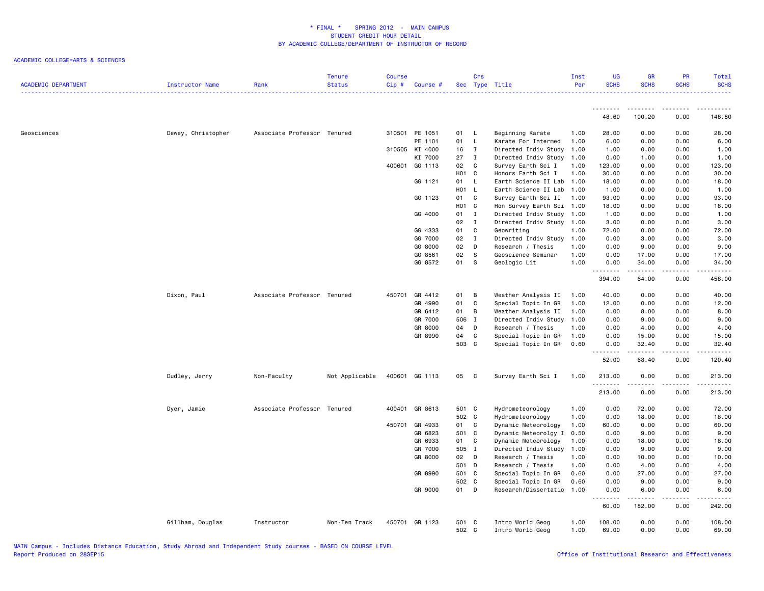| <b>ACADEMIC DEPARTMENT</b> | Instructor Name    | Rank                        | <b>Tenure</b><br><b>Status</b> | Course<br>$Cip$ # | Course #       |                | Crs          | Sec Type Title                       | Inst<br>Per  | <b>UG</b><br><b>SCHS</b>                                                                                                                                     | <b>GR</b><br><b>SCHS</b> | <b>PR</b><br><b>SCHS</b> | Total<br><b>SCHS</b>                                                                                                                                           |
|----------------------------|--------------------|-----------------------------|--------------------------------|-------------------|----------------|----------------|--------------|--------------------------------------|--------------|--------------------------------------------------------------------------------------------------------------------------------------------------------------|--------------------------|--------------------------|----------------------------------------------------------------------------------------------------------------------------------------------------------------|
|                            |                    |                             |                                |                   |                |                |              |                                      |              | 48.60                                                                                                                                                        | 100.20                   | 0.00                     | 148.80                                                                                                                                                         |
|                            |                    |                             |                                |                   |                |                |              |                                      |              |                                                                                                                                                              |                          |                          |                                                                                                                                                                |
| Geosciences                | Dewey, Christopher | Associate Professor Tenured |                                |                   | 310501 PE 1051 | 01 L           |              | Beginning Karate                     | 1.00         | 28.00                                                                                                                                                        | 0.00                     | 0.00                     | 28.00                                                                                                                                                          |
|                            |                    |                             |                                |                   | PE 1101        | 01 L           |              | Karate For Intermed                  | 1.00         | 6.00                                                                                                                                                         | 0.00                     | 0.00                     | 6.00                                                                                                                                                           |
|                            |                    |                             |                                | 310505            | KI 4000        | 16             | $\mathbf{I}$ | Directed Indiv Study 1.00            |              | 1.00                                                                                                                                                         | 0.00                     | 0.00                     | 1.00                                                                                                                                                           |
|                            |                    |                             |                                |                   | KI 7000        | 27             | $\mathbf{I}$ | Directed Indiv Study 1.00            |              | 0.00                                                                                                                                                         | 1.00                     | 0.00                     | 1.00                                                                                                                                                           |
|                            |                    |                             |                                | 400601            | GG 1113        | 02             | C            | Survey Earth Sci I                   | 1.00         | 123.00                                                                                                                                                       | 0.00                     | 0.00                     | 123.00                                                                                                                                                         |
|                            |                    |                             |                                |                   |                | HO1 C          |              | Honors Earth Sci I                   | 1.00         | 30.00                                                                                                                                                        | 0.00                     | 0.00                     | 30.00                                                                                                                                                          |
|                            |                    |                             |                                |                   | GG 1121        | 01             | L            | Earth Science II Lab                 | 1.00         | 18.00                                                                                                                                                        | 0.00                     | 0.00                     | 18.00                                                                                                                                                          |
|                            |                    |                             |                                |                   |                | H01 L          |              | Earth Science II Lab 1.00            |              | 1.00                                                                                                                                                         | 0.00                     | 0.00                     | 1.00                                                                                                                                                           |
|                            |                    |                             |                                |                   | GG 1123        | 01             | C            | Survey Earth Sci II                  | 1.00         | 93.00                                                                                                                                                        | 0.00                     | 0.00                     | 93.00                                                                                                                                                          |
|                            |                    |                             |                                |                   |                | <b>HO1</b>     | $\mathbf c$  | Hon Survey Earth Sci 1.00            |              | 18.00                                                                                                                                                        | 0.00                     | 0.00                     | 18.00                                                                                                                                                          |
|                            |                    |                             |                                |                   | GG 4000        | 01             | $\mathbf{I}$ | Directed Indiv Study 1.00            |              | 1.00                                                                                                                                                         | 0.00                     | 0.00                     | 1.00                                                                                                                                                           |
|                            |                    |                             |                                |                   |                | 02             | $\mathbf{I}$ | Directed Indiv Study 1.00            |              | 3.00                                                                                                                                                         | 0.00                     | 0.00                     | 3.00                                                                                                                                                           |
|                            |                    |                             |                                |                   | GG 4333        | 01             | C            | Geowriting                           | 1.00         | 72.00                                                                                                                                                        | 0.00                     | 0.00                     | 72.00                                                                                                                                                          |
|                            |                    |                             |                                |                   | GG 7000        | 02             | $\mathbf{I}$ | Directed Indiv Study                 | 1.00         | 0.00                                                                                                                                                         | 3.00                     | 0.00                     | 3.00                                                                                                                                                           |
|                            |                    |                             |                                |                   | GG 8000        | 02             | D            | Research / Thesis                    | 1.00         | 0.00                                                                                                                                                         | 9.00                     | 0.00                     | 9.00                                                                                                                                                           |
|                            |                    |                             |                                |                   | GG 8561        | 02             | s            | Geoscience Seminar                   | 1.00         | 0.00                                                                                                                                                         | 17.00                    | 0.00                     | 17.00                                                                                                                                                          |
|                            |                    |                             |                                |                   | GG 8572        | 01             | <b>S</b>     | Geologic Lit                         | 1.00         | 0.00<br><u>.</u>                                                                                                                                             | 34.00                    | 0.00<br>.                | 34.00<br>.                                                                                                                                                     |
|                            |                    |                             |                                |                   |                |                |              |                                      |              | 394.00                                                                                                                                                       | 64.00                    | 0.00                     | 458.00                                                                                                                                                         |
|                            | Dixon, Paul        | Associate Professor Tenured |                                | 450701            | GR 4412        | 01             | B            | Weather Analysis II                  | 1.00         | 40.00                                                                                                                                                        | 0.00                     | 0.00                     | 40.00                                                                                                                                                          |
|                            |                    |                             |                                |                   | GR 4990        | 01             | C            | Special Topic In GR                  | 1.00         | 12.00                                                                                                                                                        | 0.00                     | 0.00                     | 12.00                                                                                                                                                          |
|                            |                    |                             |                                |                   | GR 6412        | 01             | B            | Weather Analysis II                  | 1.00         | 0.00                                                                                                                                                         | 8.00                     | 0.00                     | 8.00                                                                                                                                                           |
|                            |                    |                             |                                |                   | GR 7000        | 506            | $\mathbf I$  | Directed Indiv Study                 | 1.00         | 0.00                                                                                                                                                         | 9.00                     | 0.00                     | 9.00                                                                                                                                                           |
|                            |                    |                             |                                |                   | GR 8000        | 04             | D            | Research / Thesis                    | 1.00         | 0.00                                                                                                                                                         | 4.00                     | 0.00                     | 4.00                                                                                                                                                           |
|                            |                    |                             |                                |                   | GR 8990        | 04             | C            | Special Topic In GR                  | 1.00         | 0.00                                                                                                                                                         | 15.00                    | 0.00                     | 15.00                                                                                                                                                          |
|                            |                    |                             |                                |                   |                | 503            | c            | Special Topic In GR                  | 0.60         | 0.00                                                                                                                                                         | 32.40                    | 0.00                     | 32.40                                                                                                                                                          |
|                            |                    |                             |                                |                   |                |                |              |                                      |              | 52.00                                                                                                                                                        | 68.40                    | 0.00                     | 120.40                                                                                                                                                         |
|                            | Dudley, Jerry      | Non-Faculty                 | Not Applicable                 |                   | 400601 GG 1113 | 05 C           |              | Survey Earth Sci I                   | 1.00         | 213.00<br>.                                                                                                                                                  | 0.00<br>-----            | 0.00<br>.                | 213.00<br>$\frac{1}{2} \left( \frac{1}{2} \right) \left( \frac{1}{2} \right) \left( \frac{1}{2} \right) \left( \frac{1}{2} \right) \left( \frac{1}{2} \right)$ |
|                            |                    |                             |                                |                   |                |                |              |                                      |              | 213.00                                                                                                                                                       | 0.00                     | 0.00                     | 213.00                                                                                                                                                         |
|                            | Dyer, Jamie        | Associate Professor Tenured |                                |                   | 400401 GR 8613 | 501 C          |              | Hydrometeorology                     | 1.00         | 0.00                                                                                                                                                         | 72.00                    | 0.00                     | 72.00                                                                                                                                                          |
|                            |                    |                             |                                |                   |                | 502 C          |              | Hydrometeorology                     | 1.00         | 0.00                                                                                                                                                         | 18.00                    | 0.00                     | 18.00                                                                                                                                                          |
|                            |                    |                             |                                | 450701            | GR 4933        | 01             | $\mathbf c$  | Dynamic Meteorology                  | 1.00         | 60.00                                                                                                                                                        | 0.00                     | 0.00                     | 60.00                                                                                                                                                          |
|                            |                    |                             |                                |                   | GR 6823        | 501 C          |              | Dynamic Meteorolgy I                 | 0.50         | 0.00                                                                                                                                                         | 9.00                     | 0.00                     | 9.00                                                                                                                                                           |
|                            |                    |                             |                                |                   | GR 6933        | 01             | C            | Dynamic Meteorology                  | 1.00         | 0.00                                                                                                                                                         | 18.00                    | 0.00                     | 18.00                                                                                                                                                          |
|                            |                    |                             |                                |                   | GR 7000        | 505            | $\mathbf{I}$ | Directed Indiv Study                 | 1.00         | 0.00                                                                                                                                                         | 9.00                     | 0.00                     | 9.00                                                                                                                                                           |
|                            |                    |                             |                                |                   | GR 8000        | 02             | D            | Research / Thesis                    | 1.00         | 0.00                                                                                                                                                         | 10.00                    | 0.00                     | 10.00                                                                                                                                                          |
|                            |                    |                             |                                |                   |                | 501 D          |              | Research / Thesis                    | 1.00         | 0.00                                                                                                                                                         | 4.00                     | 0.00                     | 4.00                                                                                                                                                           |
|                            |                    |                             |                                |                   | GR 8990        | 501            | C            | Special Topic In GR                  | 0.60         | 0.00                                                                                                                                                         | 27.00                    | 0.00                     | 27.00                                                                                                                                                          |
|                            |                    |                             |                                |                   |                | 502            | <b>C</b>     | Special Topic In GR                  | 0.60         | 0.00                                                                                                                                                         | 9.00                     | 0.00                     | 9.00                                                                                                                                                           |
|                            |                    |                             |                                |                   | GR 9000        | 01             | D            | Research/Dissertatio 1.00            |              | 0.00<br>$\frac{1}{2} \left( \frac{1}{2} \right) \left( \frac{1}{2} \right) \left( \frac{1}{2} \right) \left( \frac{1}{2} \right) \left( \frac{1}{2} \right)$ | 6.00<br>.                | 0.00<br>.                | 6.00<br>$- - - - -$                                                                                                                                            |
|                            |                    |                             |                                |                   |                |                |              |                                      |              | 60.00                                                                                                                                                        | 182.00                   | 0.00                     | 242.00                                                                                                                                                         |
|                            | Gillham, Douglas   | Instructor                  | Non-Ten Track                  |                   | 450701 GR 1123 | 501 C<br>502 C |              | Intro World Geog<br>Intro World Geog | 1.00<br>1.00 | 108.00<br>69.00                                                                                                                                              | 0.00<br>0.00             | 0.00<br>0.00             | 108.00<br>69.00                                                                                                                                                |
|                            |                    |                             |                                |                   |                |                |              |                                      |              |                                                                                                                                                              |                          |                          |                                                                                                                                                                |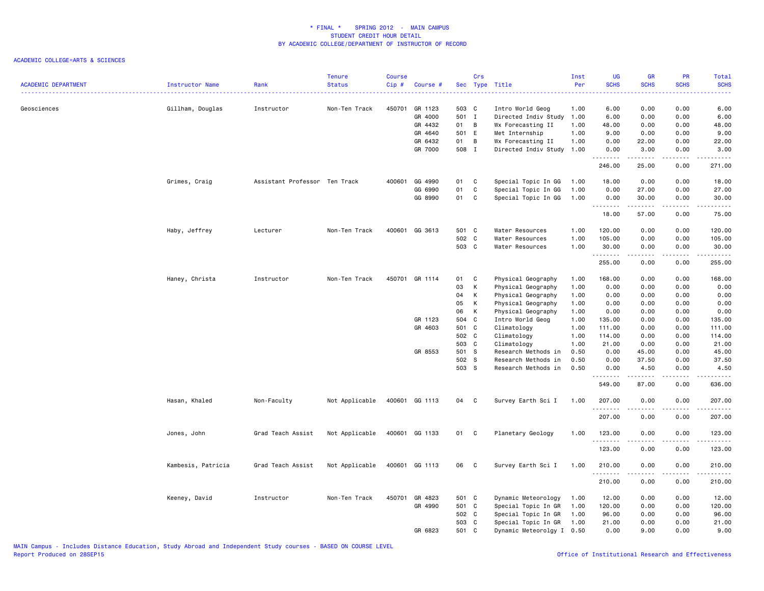| <b>ACADEMIC DEPARTMENT</b> | Instructor Name    | Rank                          | <b>Tenure</b><br><b>Status</b> | <b>Course</b><br>Cip# | Course #       |       | Crs                        | Sec Type Title            | Inst<br>Per | UG<br><b>SCHS</b> | <b>GR</b><br><b>SCHS</b> | PR<br><b>SCHS</b> | Total<br><b>SCHS</b><br>.                                                                                                                                     |
|----------------------------|--------------------|-------------------------------|--------------------------------|-----------------------|----------------|-------|----------------------------|---------------------------|-------------|-------------------|--------------------------|-------------------|---------------------------------------------------------------------------------------------------------------------------------------------------------------|
| Geosciences                | Gillham, Douglas   | Instructor                    | Non-Ten Track                  | 450701                | GR 1123        | 503 C |                            | Intro World Geog          | 1.00        | 6.00              | 0.00                     | 0.00              | 6.00                                                                                                                                                          |
|                            |                    |                               |                                |                       | GR 4000        | 501 I |                            | Directed Indiv Study      | 1.00        | 6.00              | 0.00                     | 0.00              | 6.00                                                                                                                                                          |
|                            |                    |                               |                                |                       | GR 4432        | 01    | $\overline{B}$             | Wx Forecasting II         | 1.00        | 48.00             | 0.00                     | 0.00              | 48.00                                                                                                                                                         |
|                            |                    |                               |                                |                       | GR 4640        | 501 E |                            | Met Internship            | 1.00        | 9.00              | 0.00                     | 0.00              | 9.00                                                                                                                                                          |
|                            |                    |                               |                                |                       | GR 6432        | 01    | B                          | Wx Forecasting II         | 1.00        | 0.00              | 22.00                    | 0.00              | 22.00                                                                                                                                                         |
|                            |                    |                               |                                |                       | GR 7000        | 508 I |                            | Directed Indiv Study      | 1.00        | 0.00<br>.         | 3.00<br>.                | 0.00<br>.         | 3.00<br>.                                                                                                                                                     |
|                            |                    |                               |                                |                       |                |       |                            |                           |             | 246.00            | 25.00                    | 0.00              | 271.00                                                                                                                                                        |
|                            | Grimes, Craig      | Assistant Professor Ten Track |                                | 400601                | GG 4990        | 01    | <b>C</b>                   | Special Topic In GG       | 1.00        | 18.00             | 0.00                     | 0.00              | 18.00                                                                                                                                                         |
|                            |                    |                               |                                |                       | GG 6990        | 01    | C                          | Special Topic In GG       | 1.00        | 0.00              | 27.00                    | 0.00              | 27.00                                                                                                                                                         |
|                            |                    |                               |                                |                       | GG 8990        | 01    | C                          | Special Topic In GG       | 1.00        | 0.00<br><u>.</u>  | 30.00<br>.               | 0.00<br>.         | 30.00<br>$\frac{1}{2} \left( \frac{1}{2} \right) \left( \frac{1}{2} \right) \left( \frac{1}{2} \right) \left( \frac{1}{2} \right) \left( \frac{1}{2} \right)$ |
|                            |                    |                               |                                |                       |                |       |                            |                           |             | 18.00             | 57.00                    | 0.00              | 75.00                                                                                                                                                         |
|                            | Haby, Jeffrey      | Lecturer                      | Non-Ten Track                  |                       | 400601 GG 3613 | 501 C |                            | Water Resources           | 1.00        | 120.00            | 0.00                     | 0.00              | 120.00                                                                                                                                                        |
|                            |                    |                               |                                |                       |                | 502 C |                            | Water Resources           | 1.00        | 105.00            | 0.00                     | 0.00              | 105.00                                                                                                                                                        |
|                            |                    |                               |                                |                       |                | 503 C |                            | Water Resources           | 1.00        | 30.00<br>.        | 0.00                     | 0.00<br>.         | 30.00<br>.                                                                                                                                                    |
|                            |                    |                               |                                |                       |                |       |                            |                           |             | 255.00            | 0.00                     | 0.00              | 255.00                                                                                                                                                        |
|                            | Haney, Christa     | Instructor                    | Non-Ten Track                  |                       | 450701 GR 1114 | 01    | C                          | Physical Geography        | 1.00        | 168.00            | 0.00                     | 0.00              | 168.00                                                                                                                                                        |
|                            |                    |                               |                                |                       |                | 03    | K                          | Physical Geography        | 1.00        | 0.00              | 0.00                     | 0.00              | 0.00                                                                                                                                                          |
|                            |                    |                               |                                |                       |                | 04    | К                          | Physical Geography        | 1.00        | 0.00              | 0.00                     | 0.00              | 0.00                                                                                                                                                          |
|                            |                    |                               |                                |                       |                | 05    | K                          | Physical Geography        | 1.00        | 0.00              | 0.00                     | 0.00              | 0.00                                                                                                                                                          |
|                            |                    |                               |                                |                       |                | 06    | K                          | Physical Geography        | 1.00        | 0.00              | 0.00                     | 0.00              | 0.00                                                                                                                                                          |
|                            |                    |                               |                                |                       | GR 1123        | 504 C |                            | Intro World Geog          | 1.00        | 135.00            | 0.00                     | 0.00              | 135.00                                                                                                                                                        |
|                            |                    |                               |                                |                       | GR 4603        | 501 C |                            | Climatology               | 1.00        | 111.00            | 0.00                     | 0.00              | 111.00                                                                                                                                                        |
|                            |                    |                               |                                |                       |                | 502 C |                            | Climatology               | 1.00        | 114.00            | 0.00                     | 0.00              | 114.00                                                                                                                                                        |
|                            |                    |                               |                                |                       |                | 503 C |                            | Climatology               | 1.00        | 21.00             | 0.00                     | 0.00              | 21.00                                                                                                                                                         |
|                            |                    |                               |                                |                       | GR 8553        | 501 S |                            | Research Methods in       | 0.50        | 0.00              | 45.00                    | 0.00              | 45.00                                                                                                                                                         |
|                            |                    |                               |                                |                       |                | 502 S |                            | Research Methods in       | 0.50        | 0.00              | 37.50                    | 0.00              | 37.50                                                                                                                                                         |
|                            |                    |                               |                                |                       |                | 503 S |                            | Research Methods in       | 0.50        | 0.00              | 4.50                     | 0.00              | 4.50<br>$\sim$ $\sim$ $\sim$ $\sim$ $\sim$                                                                                                                    |
|                            |                    |                               |                                |                       |                |       |                            |                           |             | 549.00            | 87.00                    | 0.00              | 636.00                                                                                                                                                        |
|                            | Hasan, Khaled      | Non-Faculty                   | Not Applicable                 |                       | 400601 GG 1113 | 04 C  |                            | Survey Earth Sci I        | 1.00        | 207.00<br>.       | 0.00                     | 0.00              | 207.00<br>$\omega$ is $\omega$ in $\omega$ in                                                                                                                 |
|                            |                    |                               |                                |                       |                |       |                            |                           |             | 207.00            | 0.00                     | 0.00              | 207.00                                                                                                                                                        |
|                            | Jones, John        | Grad Teach Assist             | Not Applicable                 |                       | 400601 GG 1133 | 01    | $\overline{\phantom{a}}$ C | Planetary Geology         | 1.00        | 123.00            | 0.00                     | 0.00              | 123.00                                                                                                                                                        |
|                            |                    |                               |                                |                       |                |       |                            |                           |             | .<br>123.00       | 0.00                     | .<br>0.00         | .<br>123.00                                                                                                                                                   |
|                            | Kambesis, Patricia | Grad Teach Assist             | Not Applicable                 |                       | 400601 GG 1113 | 06    | $\mathbf{C}$               | Survey Earth Sci I        | 1.00        | 210.00            | 0.00                     | 0.00              | 210.00                                                                                                                                                        |
|                            |                    |                               |                                |                       |                |       |                            |                           |             | .<br>210.00       | $- - - - -$<br>0.00      | .<br>0.00         | .<br>210.00                                                                                                                                                   |
|                            | Keeney, David      | Instructor                    | Non-Ten Track                  | 450701                | GR 4823        | 501 C |                            | Dynamic Meteorology       | 1.00        | 12.00             | 0.00                     | 0.00              | 12.00                                                                                                                                                         |
|                            |                    |                               |                                |                       | GR 4990        | 501 C |                            | Special Topic In GR       | 1.00        | 120.00            | 0.00                     | 0.00              | 120.00                                                                                                                                                        |
|                            |                    |                               |                                |                       |                | 502 C |                            | Special Topic In GR       | 1.00        | 96.00             | 0.00                     | 0.00              | 96.00                                                                                                                                                         |
|                            |                    |                               |                                |                       |                | 503 C |                            | Special Topic In GR       | 1.00        | 21.00             | 0.00                     | 0.00              | 21.00                                                                                                                                                         |
|                            |                    |                               |                                |                       | GR 6823        | 501 C |                            | Dynamic Meteorolgy I 0.50 |             | 0.00              | 9.00                     | 0.00              | 9.00                                                                                                                                                          |
|                            |                    |                               |                                |                       |                |       |                            |                           |             |                   |                          |                   |                                                                                                                                                               |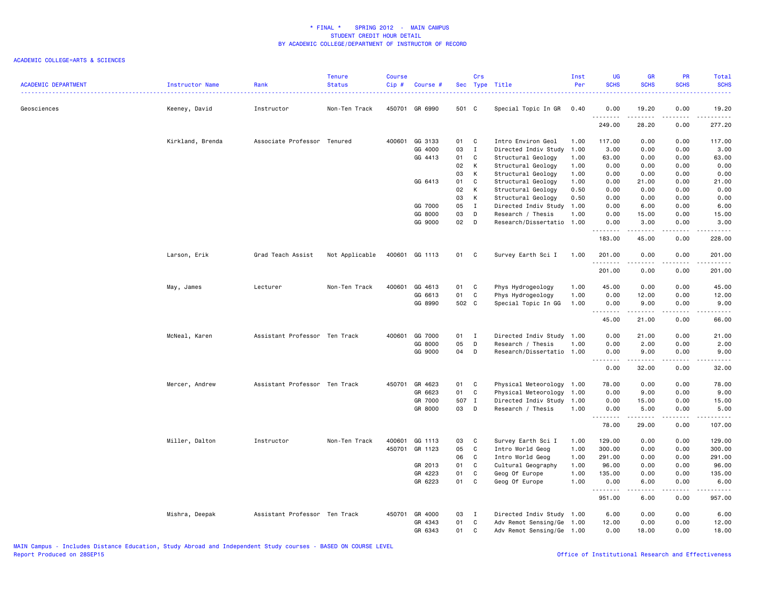| <b>ACADEMIC DEPARTMENT</b> | Instructor Name  | Rank                          | <b>Tenure</b><br><b>Status</b> | <b>Course</b><br>Cip# | Course #       |       | Crs          | Sec Type Title            | Inst<br>Per | <b>UG</b><br><b>SCHS</b> | <b>GR</b><br><b>SCHS</b>                                                                                                                                     | <b>PR</b><br><b>SCHS</b>            | Total<br><b>SCHS</b><br>$\frac{1}{2} \left( \frac{1}{2} \right) \left( \frac{1}{2} \right) \left( \frac{1}{2} \right) \left( \frac{1}{2} \right)$            |
|----------------------------|------------------|-------------------------------|--------------------------------|-----------------------|----------------|-------|--------------|---------------------------|-------------|--------------------------|--------------------------------------------------------------------------------------------------------------------------------------------------------------|-------------------------------------|--------------------------------------------------------------------------------------------------------------------------------------------------------------|
| Geosciences                | Keeney, David    | Instructor                    | Non-Ten Track                  |                       | 450701 GR 6990 | 501 C |              | Special Topic In GR       | 0.40        | 0.00<br><u>.</u>         | 19.20<br>.                                                                                                                                                   | 0.00<br>.                           | 19.20<br>. <b>.</b>                                                                                                                                          |
|                            |                  |                               |                                |                       |                |       |              |                           |             | 249.00                   | 28.20                                                                                                                                                        | 0.00                                | 277.20                                                                                                                                                       |
|                            | Kirkland, Brenda | Associate Professor Tenured   |                                |                       | 400601 GG 3133 | 01 C  |              | Intro Environ Geol        | 1.00        | 117.00                   | 0.00                                                                                                                                                         | 0.00                                | 117.00                                                                                                                                                       |
|                            |                  |                               |                                |                       | GG 4000        | 03    | $\mathbf{I}$ | Directed Indiv Study      | 1.00        | 3.00                     | 0.00                                                                                                                                                         | 0.00                                | 3.00                                                                                                                                                         |
|                            |                  |                               |                                |                       | GG 4413        | 01    | C            | Structural Geology        | 1.00        | 63.00                    | 0.00                                                                                                                                                         | 0.00                                | 63.00                                                                                                                                                        |
|                            |                  |                               |                                |                       |                | 02    | K            | Structural Geology        | 1.00        | 0.00                     | 0.00                                                                                                                                                         | 0.00                                | 0.00                                                                                                                                                         |
|                            |                  |                               |                                |                       |                | 03    | K            | Structural Geology        | 1.00        | 0.00                     | 0.00                                                                                                                                                         | 0.00                                | 0.00                                                                                                                                                         |
|                            |                  |                               |                                |                       | GG 6413        | 01    | C            | Structural Geology        | 1.00        | 0.00                     | 21.00                                                                                                                                                        | 0.00                                | 21.00                                                                                                                                                        |
|                            |                  |                               |                                |                       |                | 02    | K            | Structural Geology        | 0.50        | 0.00                     | 0.00                                                                                                                                                         | 0.00                                | 0.00                                                                                                                                                         |
|                            |                  |                               |                                |                       |                | 03    | K            | Structural Geology        | 0.50        | 0.00                     | 0.00                                                                                                                                                         | 0.00                                | 0.00                                                                                                                                                         |
|                            |                  |                               |                                |                       | GG 7000        | 05    | $\mathbf{I}$ | Directed Indiv Study      | 1.00        | 0.00                     | 6.00                                                                                                                                                         | 0.00                                | 6.00                                                                                                                                                         |
|                            |                  |                               |                                |                       | GG 8000        | 03    | D            | Research / Thesis         | 1.00        | 0.00                     | 15.00                                                                                                                                                        | 0.00                                | 15.00                                                                                                                                                        |
|                            |                  |                               |                                |                       | GG 9000        | 02 D  |              | Research/Dissertatio      | 1.00        | 0.00<br>.                | 3.00<br>$- - - - -$                                                                                                                                          | 0.00<br>.                           | 3.00                                                                                                                                                         |
|                            |                  |                               |                                |                       |                |       |              |                           |             | 183.00                   | 45.00                                                                                                                                                        | 0.00                                | 228.00                                                                                                                                                       |
|                            | Larson, Erik     | Grad Teach Assist             | Not Applicable                 |                       | 400601 GG 1113 | 01    | C            | Survey Earth Sci I        | 1.00        | 201.00<br>.              | 0.00<br>.                                                                                                                                                    | 0.00<br>.                           | 201.00<br>.                                                                                                                                                  |
|                            |                  |                               |                                |                       |                |       |              |                           |             | 201.00                   | 0.00                                                                                                                                                         | 0.00                                | 201.00                                                                                                                                                       |
|                            | May, James       | Lecturer                      | Non-Ten Track                  | 400601                | GG 4613        | 01 C  |              | Phys Hydrogeology         | 1.00        | 45.00                    | 0.00                                                                                                                                                         | 0.00                                | 45.00                                                                                                                                                        |
|                            |                  |                               |                                |                       | GG 6613        | 01    | C            | Phys Hydrogeology         | 1.00        | 0.00                     | 12.00                                                                                                                                                        | 0.00                                | 12.00                                                                                                                                                        |
|                            |                  |                               |                                |                       | GG 8990        | 502 C |              | Special Topic In GG       | 1.00        | 0.00<br>.                | 9.00<br>.                                                                                                                                                    | 0.00<br>.                           | 9.00<br>بالالالالا                                                                                                                                           |
|                            |                  |                               |                                |                       |                |       |              |                           |             | 45.00                    | 21.00                                                                                                                                                        | 0.00                                | 66.00                                                                                                                                                        |
|                            | McNeal, Karen    | Assistant Professor Ten Track |                                | 400601                | GG 7000        | 01    | $\mathbf{I}$ | Directed Indiv Study 1.00 |             | 0.00                     | 21.00                                                                                                                                                        | 0.00                                | 21.00                                                                                                                                                        |
|                            |                  |                               |                                |                       | GG 8000        | 05    | D            | Research / Thesis         | 1.00        | 0.00                     | 2.00                                                                                                                                                         | 0.00                                | 2.00                                                                                                                                                         |
|                            |                  |                               |                                |                       | GG 9000        | 04 D  |              | Research/Dissertatio 1.00 |             | 0.00<br>.                | 9.00<br><b><i><u>.</u></i></b>                                                                                                                               | 0.00<br>$\sim$ $\sim$ $\sim$ $\sim$ | 9.00<br>$\frac{1}{2} \left( \frac{1}{2} \right) \left( \frac{1}{2} \right) \left( \frac{1}{2} \right) \left( \frac{1}{2} \right) \left( \frac{1}{2} \right)$ |
|                            |                  |                               |                                |                       |                |       |              |                           |             | 0.00                     | 32.00                                                                                                                                                        | 0.00                                | 32.00                                                                                                                                                        |
|                            | Mercer, Andrew   | Assistant Professor Ten Track |                                |                       | 450701 GR 4623 | 01 C  |              | Physical Meteorology 1.00 |             | 78.00                    | 0.00                                                                                                                                                         | 0.00                                | 78.00                                                                                                                                                        |
|                            |                  |                               |                                |                       | GR 6623        | 01 C  |              | Physical Meteorology      | 1.00        | 0.00                     | 9.00                                                                                                                                                         | 0.00                                | 9.00                                                                                                                                                         |
|                            |                  |                               |                                |                       | GR 7000        | 507 I |              | Directed Indiv Study 1.00 |             | 0.00                     | 15.00                                                                                                                                                        | 0.00                                | 15.00                                                                                                                                                        |
|                            |                  |                               |                                |                       | GR 8000        | 03 D  |              | Research / Thesis         | 1.00        | 0.00<br>.                | 5.00<br>$\frac{1}{2} \left( \frac{1}{2} \right) \left( \frac{1}{2} \right) \left( \frac{1}{2} \right) \left( \frac{1}{2} \right) \left( \frac{1}{2} \right)$ | 0.00<br>.                           | 5.00<br>------                                                                                                                                               |
|                            |                  |                               |                                |                       |                |       |              |                           |             | 78.00                    | 29.00                                                                                                                                                        | 0.00                                | 107.00                                                                                                                                                       |
|                            | Miller, Dalton   | Instructor                    | Non-Ten Track                  | 400601                | GG 1113        | 03    | C            | Survey Earth Sci I        | 1.00        | 129.00                   | 0.00                                                                                                                                                         | 0.00                                | 129.00                                                                                                                                                       |
|                            |                  |                               |                                | 450701                | GR 1123        | 05    | $\mathbf{C}$ | Intro World Geog          | 1.00        | 300.00                   | 0.00                                                                                                                                                         | 0.00                                | 300.00                                                                                                                                                       |
|                            |                  |                               |                                |                       |                | 06    | C            | Intro World Geog          | 1.00        | 291.00                   | 0.00                                                                                                                                                         | 0.00                                | 291.00                                                                                                                                                       |
|                            |                  |                               |                                |                       | GR 2013        | 01    | $\mathbf{C}$ | Cultural Geography        | 1.00        | 96.00                    | 0.00                                                                                                                                                         | 0.00                                | 96.00                                                                                                                                                        |
|                            |                  |                               |                                |                       | GR 4223        | 01    | $\mathbf{C}$ | Geog Of Europe            | 1.00        | 135.00                   | 0.00                                                                                                                                                         | 0.00                                | 135.00                                                                                                                                                       |
|                            |                  |                               |                                |                       | GR 6223        | 01 C  |              | Geog Of Europe            | 1.00        | 0.00<br>.                | 6.00<br>.                                                                                                                                                    | 0.00<br>$- - - -$                   | 6.00<br>$- - - - - - -$                                                                                                                                      |
|                            |                  |                               |                                |                       |                |       |              |                           |             | 951.00                   | 6.00                                                                                                                                                         | 0.00                                | 957.00                                                                                                                                                       |
|                            | Mishra, Deepak   | Assistant Professor Ten Track |                                |                       | 450701 GR 4000 | 03 I  |              | Directed Indiv Study 1.00 |             | 6.00                     | 0.00                                                                                                                                                         | 0.00                                | 6.00                                                                                                                                                         |
|                            |                  |                               |                                |                       | GR 4343        | 01    | C            | Adv Remot Sensing/Ge 1.00 |             | 12.00                    | 0.00                                                                                                                                                         | 0.00                                | 12.00                                                                                                                                                        |
|                            |                  |                               |                                |                       | GR 6343        | 01    | C            | Adv Remot Sensing/Ge 1.00 |             | 0.00                     | 18.00                                                                                                                                                        | 0.00                                | 18.00                                                                                                                                                        |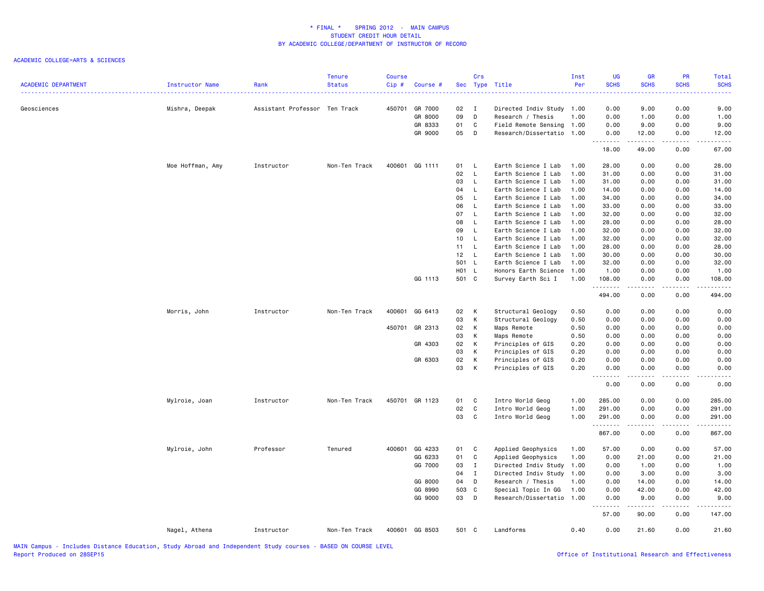| <b>ACADEMIC DEPARTMENT</b> | Instructor Name  | Rank                          | <b>Tenure</b><br><b>Status</b> | <b>Course</b><br>Cip# | Course #           |          | Crs               | Sec Type Title                                 | Inst<br>Per | UG<br><b>SCHS</b> | GR<br><b>SCHS</b>                                                                                                                                                                       | PR<br><b>SCHS</b> | Total<br><b>SCHS</b> |
|----------------------------|------------------|-------------------------------|--------------------------------|-----------------------|--------------------|----------|-------------------|------------------------------------------------|-------------|-------------------|-----------------------------------------------------------------------------------------------------------------------------------------------------------------------------------------|-------------------|----------------------|
| Geosciences                | Mishra, Deepak   | Assistant Professor Ten Track |                                | 450701                | GR 7000<br>GR 8000 | 02<br>09 | $\mathbf{I}$<br>D | Directed Indiv Study 1.00<br>Research / Thesis | 1.00        | 0.00<br>0.00      | 9.00<br>1.00                                                                                                                                                                            | 0.00<br>0.00      | 9.00<br>1.00         |
|                            |                  |                               |                                |                       | GR 8333            | 01       | C                 | Field Remote Sensing 1.00                      |             | 0.00              | 9.00                                                                                                                                                                                    | 0.00              | 9.00                 |
|                            |                  |                               |                                |                       | GR 9000            | 05       | D                 | Research/Dissertatio 1.00                      |             | 0.00              | 12.00                                                                                                                                                                                   | 0.00              | 12.00                |
|                            |                  |                               |                                |                       |                    |          |                   |                                                |             | .<br>18.00        | .<br>49.00                                                                                                                                                                              | 0.00              | المتمامات<br>67.00   |
|                            | Moe Hoffman, Amy | Instructor                    | Non-Ten Track                  |                       | 400601 GG 1111     | 01 L     |                   | Earth Science I Lab                            | 1.00        | 28.00             | 0.00                                                                                                                                                                                    | 0.00              | 28.00                |
|                            |                  |                               |                                |                       |                    | 02       | $\mathsf{L}$      | Earth Science I Lab                            | 1.00        | 31.00             | 0.00                                                                                                                                                                                    | 0.00              | 31.00                |
|                            |                  |                               |                                |                       |                    | 03       | L.                | Earth Science I Lab                            | 1.00        | 31.00             | 0.00                                                                                                                                                                                    | 0.00              | 31.00                |
|                            |                  |                               |                                |                       |                    | 04       | L                 | Earth Science I Lab                            | 1.00        | 14.00             | 0.00                                                                                                                                                                                    | 0.00              | 14.00                |
|                            |                  |                               |                                |                       |                    | 05       | L.                | Earth Science I Lab                            | 1.00        | 34.00             | 0.00                                                                                                                                                                                    | 0.00              | 34.00                |
|                            |                  |                               |                                |                       |                    | 06       | L.                | Earth Science I Lab                            | 1.00        | 33.00             | 0.00                                                                                                                                                                                    | 0.00              | 33.00                |
|                            |                  |                               |                                |                       |                    | 07       | $\mathsf{L}$      | Earth Science I Lab                            | 1.00        | 32.00             | 0.00                                                                                                                                                                                    | 0.00              | 32.00                |
|                            |                  |                               |                                |                       |                    | 08       | L.                | Earth Science I Lab                            | 1.00        | 28.00             | 0.00                                                                                                                                                                                    | 0.00              | 28.00                |
|                            |                  |                               |                                |                       |                    | 09       | L                 | Earth Science I Lab                            | 1.00        | 32.00             | 0.00                                                                                                                                                                                    | 0.00              | 32.00                |
|                            |                  |                               |                                |                       |                    | 10       | L.                | Earth Science I Lab                            | 1.00        | 32.00             | 0.00                                                                                                                                                                                    | 0.00              | 32.00                |
|                            |                  |                               |                                |                       |                    | 11       | L                 | Earth Science I Lab                            | 1.00        | 28.00             | 0.00                                                                                                                                                                                    | 0.00              | 28.00                |
|                            |                  |                               |                                |                       |                    | 12       | <b>L</b>          | Earth Science I Lab                            | 1.00        | 30.00             | 0.00                                                                                                                                                                                    | 0.00              | 30.00                |
|                            |                  |                               |                                |                       |                    | 501 L    |                   | Earth Science I Lab                            | 1.00        | 32.00             | 0.00                                                                                                                                                                                    | 0.00              | 32.00                |
|                            |                  |                               |                                |                       |                    | H01 L    |                   | Honors Earth Science                           | 1.00        | 1.00              | 0.00                                                                                                                                                                                    | 0.00              | 1.00                 |
|                            |                  |                               |                                |                       | GG 1113            | 501 C    |                   | Survey Earth Sci I                             | 1.00        | 108.00            | 0.00                                                                                                                                                                                    | 0.00              | 108.00               |
|                            |                  |                               |                                |                       |                    |          |                   |                                                |             | .<br>494.00       | .<br>0.00                                                                                                                                                                               | $   -$<br>0.00    | .<br>494.00          |
|                            | Morris, John     | Instructor                    | Non-Ten Track                  |                       | 400601 GG 6413     | 02       | К                 | Structural Geology                             | 0.50        | 0.00              | 0.00                                                                                                                                                                                    | 0.00              | 0.00                 |
|                            |                  |                               |                                |                       |                    | 03       | К                 | Structural Geology                             | 0.50        | 0.00              | 0.00                                                                                                                                                                                    | 0.00              | 0.00                 |
|                            |                  |                               |                                | 450701                | GR 2313            | 02       | К                 | Maps Remote                                    | 0.50        | 0.00              | 0.00                                                                                                                                                                                    | 0.00              | 0.00                 |
|                            |                  |                               |                                |                       |                    | 03       | К                 | Maps Remote                                    | 0.50        | 0.00              | 0.00                                                                                                                                                                                    | 0.00              | 0.00                 |
|                            |                  |                               |                                |                       | GR 4303            | 02       | К                 | Principles of GIS                              | 0.20        | 0.00              | 0.00                                                                                                                                                                                    | 0.00              | 0.00                 |
|                            |                  |                               |                                |                       |                    | 03       | К                 | Principles of GIS                              | 0.20        | 0.00              | 0.00                                                                                                                                                                                    | 0.00              | 0.00                 |
|                            |                  |                               |                                |                       | GR 6303            | 02       | К                 | Principles of GIS                              | 0.20        | 0.00              | 0.00                                                                                                                                                                                    | 0.00              | 0.00                 |
|                            |                  |                               |                                |                       |                    | 03       | К                 | Principles of GIS                              | 0.20        | 0.00              | 0.00                                                                                                                                                                                    | 0.00              | 0.00                 |
|                            |                  |                               |                                |                       |                    |          |                   |                                                |             | .<br>0.00         | $\frac{1}{2} \left( \frac{1}{2} \right) \left( \frac{1}{2} \right) \left( \frac{1}{2} \right) \left( \frac{1}{2} \right) \left( \frac{1}{2} \right) \left( \frac{1}{2} \right)$<br>0.00 | .<br>0.00         | المستوطن<br>0.00     |
|                            | Mylroie, Joan    | Instructor                    | Non-Ten Track                  |                       | 450701 GR 1123     | 01       | C                 | Intro World Geog                               | 1.00        | 285.00            | 0.00                                                                                                                                                                                    | 0.00              | 285.00               |
|                            |                  |                               |                                |                       |                    | 02       | C                 | Intro World Geog                               | 1.00        | 291.00            | 0.00                                                                                                                                                                                    | 0.00              | 291.00               |
|                            |                  |                               |                                |                       |                    | 03       | C                 | Intro World Geog                               | 1.00        | 291.00            | 0.00                                                                                                                                                                                    | 0.00              | 291.00               |
|                            |                  |                               |                                |                       |                    |          |                   |                                                |             | .<br>867.00       | .<br>0.00                                                                                                                                                                               | $   -$<br>0.00    | .<br>867.00          |
|                            | Mylroie, John    | Professor                     | Tenured                        |                       | 400601 GG 4233     | 01       | C                 | Applied Geophysics                             | 1.00        | 57.00             | 0.00                                                                                                                                                                                    | 0.00              | 57.00                |
|                            |                  |                               |                                |                       | GG 6233            | 01       | C                 | Applied Geophysics                             | 1.00        | 0.00              | 21.00                                                                                                                                                                                   | 0.00              | 21.00                |
|                            |                  |                               |                                |                       | GG 7000            | 03       | $\mathbf{I}$      | Directed Indiv Study                           | 1.00        | 0.00              | 1.00                                                                                                                                                                                    | 0.00              | 1.00                 |
|                            |                  |                               |                                |                       |                    | 04       | Ι.                | Directed Indiv Study 1.00                      |             | 0.00              | 3.00                                                                                                                                                                                    | 0.00              | 3.00                 |
|                            |                  |                               |                                |                       | GG 8000            | 04       | D                 | Research / Thesis                              | 1.00        | 0.00              | 14.00                                                                                                                                                                                   | 0.00              | 14.00                |
|                            |                  |                               |                                |                       | GG 8990            | 503      | C                 | Special Topic In GG                            | 1.00        | 0.00              | 42.00                                                                                                                                                                                   | 0.00              | 42.00                |
|                            |                  |                               |                                |                       | GG 9000            | 03       | D                 | Research/Dissertatio 1.00                      |             | 0.00              | 9.00                                                                                                                                                                                    | 0.00              | 9.00                 |
|                            |                  |                               |                                |                       |                    |          |                   |                                                |             | .<br>57.00        | -----<br>90.00                                                                                                                                                                          | 0.00              | .<br>147.00          |
|                            |                  |                               |                                |                       |                    |          |                   |                                                |             |                   |                                                                                                                                                                                         |                   |                      |
|                            | Nagel, Athena    | Instructor                    | Non-Ten Track                  |                       | 400601 GG 8503     | 501 C    |                   | Landforms                                      | 0.40        | 0.00              | 21.60                                                                                                                                                                                   | 0.00              | 21.60                |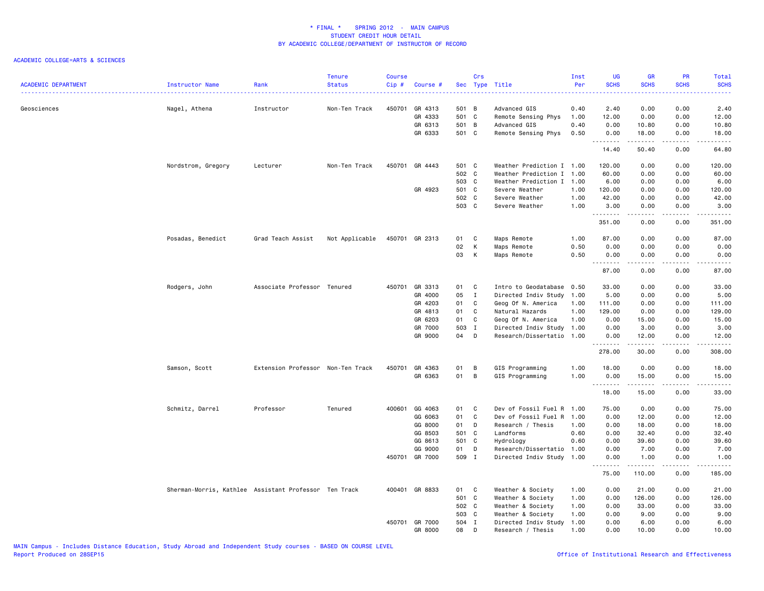|                            |                                                       |                                   | <b>Tenure</b>  | <b>Course</b> |                |       | Crs          |                           | Inst | <b>UG</b>                                                                                                                                                                                                                                                                                                                                                                                                                                                                                       | <b>GR</b>   | PR                    | Total                                                                                                                                                        |
|----------------------------|-------------------------------------------------------|-----------------------------------|----------------|---------------|----------------|-------|--------------|---------------------------|------|-------------------------------------------------------------------------------------------------------------------------------------------------------------------------------------------------------------------------------------------------------------------------------------------------------------------------------------------------------------------------------------------------------------------------------------------------------------------------------------------------|-------------|-----------------------|--------------------------------------------------------------------------------------------------------------------------------------------------------------|
| <b>ACADEMIC DEPARTMENT</b> | Instructor Name                                       | Rank                              | <b>Status</b>  | Cip#          | Course #       |       |              | Sec Type Title            | Per  | <b>SCHS</b>                                                                                                                                                                                                                                                                                                                                                                                                                                                                                     | <b>SCHS</b> | <b>SCHS</b>           | <b>SCHS</b><br>.                                                                                                                                             |
| Geosciences                |                                                       | Instructor                        | Non-Ten Track  |               | 450701 GR 4313 | 501 B |              | Advanced GIS              | 0.40 | 2.40                                                                                                                                                                                                                                                                                                                                                                                                                                                                                            | 0.00        | 0.00                  | 2.40                                                                                                                                                         |
|                            | Nagel, Athena                                         |                                   |                |               | GR 4333        | 501 C |              | Remote Sensing Phys       | 1.00 | 12.00                                                                                                                                                                                                                                                                                                                                                                                                                                                                                           | 0.00        | 0.00                  | 12.00                                                                                                                                                        |
|                            |                                                       |                                   |                |               | GR 6313        | 501 B |              | Advanced GIS              | 0.40 | 0.00                                                                                                                                                                                                                                                                                                                                                                                                                                                                                            | 10.80       | 0.00                  | 10.80                                                                                                                                                        |
|                            |                                                       |                                   |                |               | GR 6333        | 501 C |              | Remote Sensing Phys       | 0.50 | 0.00                                                                                                                                                                                                                                                                                                                                                                                                                                                                                            | 18.00       | 0.00                  | 18.00                                                                                                                                                        |
|                            |                                                       |                                   |                |               |                |       |              |                           |      | $\begin{array}{cccccccccccccc} \multicolumn{2}{c}{} & \multicolumn{2}{c}{} & \multicolumn{2}{c}{} & \multicolumn{2}{c}{} & \multicolumn{2}{c}{} & \multicolumn{2}{c}{} & \multicolumn{2}{c}{} & \multicolumn{2}{c}{} & \multicolumn{2}{c}{} & \multicolumn{2}{c}{} & \multicolumn{2}{c}{} & \multicolumn{2}{c}{} & \multicolumn{2}{c}{} & \multicolumn{2}{c}{} & \multicolumn{2}{c}{} & \multicolumn{2}{c}{} & \multicolumn{2}{c}{} & \multicolumn{2}{c}{} & \multicolumn{2}{c}{} & \$<br>14.40 | .<br>50.40  | .<br>0.00             | .<br>64.80                                                                                                                                                   |
|                            |                                                       |                                   |                |               | 450701 GR 4443 | 501 C |              | Weather Prediction I 1.00 |      | 120.00                                                                                                                                                                                                                                                                                                                                                                                                                                                                                          | 0.00        | 0.00                  | 120.00                                                                                                                                                       |
|                            | Nordstrom, Gregory                                    | Lecturer                          | Non-Ten Track  |               |                | 502 C |              | Weather Prediction I      | 1.00 | 60.00                                                                                                                                                                                                                                                                                                                                                                                                                                                                                           | 0.00        | 0.00                  | 60.00                                                                                                                                                        |
|                            |                                                       |                                   |                |               |                | 503 C |              | Weather Prediction I 1.00 |      | 6.00                                                                                                                                                                                                                                                                                                                                                                                                                                                                                            | 0.00        | 0.00                  | 6.00                                                                                                                                                         |
|                            |                                                       |                                   |                |               | GR 4923        | 501 C |              | Severe Weather            | 1.00 | 120.00                                                                                                                                                                                                                                                                                                                                                                                                                                                                                          | 0.00        | 0.00                  | 120.00                                                                                                                                                       |
|                            |                                                       |                                   |                |               |                | 502 C |              | Severe Weather            | 1.00 | 42.00                                                                                                                                                                                                                                                                                                                                                                                                                                                                                           | 0.00        | 0.00                  | 42.00                                                                                                                                                        |
|                            |                                                       |                                   |                |               |                | 503 C |              | Severe Weather            | 1.00 | 3.00                                                                                                                                                                                                                                                                                                                                                                                                                                                                                            | 0.00        | 0.00                  | 3.00                                                                                                                                                         |
|                            |                                                       |                                   |                |               |                |       |              |                           |      | .<br>351.00                                                                                                                                                                                                                                                                                                                                                                                                                                                                                     | 0.00        | $\frac{1}{2}$<br>0.00 | .<br>351.00                                                                                                                                                  |
|                            | Posadas, Benedict                                     | Grad Teach Assist                 | Not Applicable |               | 450701 GR 2313 | 01    | C            | Maps Remote               | 1.00 | 87.00                                                                                                                                                                                                                                                                                                                                                                                                                                                                                           | 0.00        | 0.00                  | 87.00                                                                                                                                                        |
|                            |                                                       |                                   |                |               |                | 02    | K            | Maps Remote               | 0.50 | 0.00                                                                                                                                                                                                                                                                                                                                                                                                                                                                                            | 0.00        | 0.00                  | 0.00                                                                                                                                                         |
|                            |                                                       |                                   |                |               |                | 03    | K            | Maps Remote               | 0.50 | 0.00<br>.                                                                                                                                                                                                                                                                                                                                                                                                                                                                                       | 0.00<br>.   | 0.00<br>.             | 0.00<br>$\frac{1}{2} \left( \frac{1}{2} \right) \left( \frac{1}{2} \right) \left( \frac{1}{2} \right) \left( \frac{1}{2} \right) \left( \frac{1}{2} \right)$ |
|                            |                                                       |                                   |                |               |                |       |              |                           |      | 87.00                                                                                                                                                                                                                                                                                                                                                                                                                                                                                           | 0.00        | 0.00                  | 87.00                                                                                                                                                        |
|                            | Rodgers, John                                         | Associate Professor Tenured       |                |               | 450701 GR 3313 | 01 C  |              | Intro to Geodatabase 0.50 |      | 33.00                                                                                                                                                                                                                                                                                                                                                                                                                                                                                           | 0.00        | 0.00                  | 33.00                                                                                                                                                        |
|                            |                                                       |                                   |                |               | GR 4000        | 05    | $\mathbf{I}$ | Directed Indiv Study      | 1.00 | 5.00                                                                                                                                                                                                                                                                                                                                                                                                                                                                                            | 0.00        | 0.00                  | 5.00                                                                                                                                                         |
|                            |                                                       |                                   |                |               | GR 4203        | 01    | $\mathbf{C}$ | Geog Of N. America        | 1.00 | 111.00                                                                                                                                                                                                                                                                                                                                                                                                                                                                                          | 0.00        | 0.00                  | 111.00                                                                                                                                                       |
|                            |                                                       |                                   |                |               | GR 4813        | 01    | $\mathbf{C}$ | Natural Hazards           | 1.00 | 129.00                                                                                                                                                                                                                                                                                                                                                                                                                                                                                          | 0.00        | 0.00                  | 129.00                                                                                                                                                       |
|                            |                                                       |                                   |                |               | GR 6203        | 01    | C            | Geog Of N. America        | 1.00 | 0.00                                                                                                                                                                                                                                                                                                                                                                                                                                                                                            | 15.00       | 0.00                  | 15.00                                                                                                                                                        |
|                            |                                                       |                                   |                |               | GR 7000        | 503 I |              | Directed Indiv Study 1.00 |      | 0.00                                                                                                                                                                                                                                                                                                                                                                                                                                                                                            | 3.00        | 0.00                  | 3.00                                                                                                                                                         |
|                            |                                                       |                                   |                |               | GR 9000        | 04 D  |              | Research/Dissertatio 1.00 |      | 0.00<br>.                                                                                                                                                                                                                                                                                                                                                                                                                                                                                       | 12.00<br>.  | 0.00<br>.             | 12.00<br>.                                                                                                                                                   |
|                            |                                                       |                                   |                |               |                |       |              |                           |      | 278.00                                                                                                                                                                                                                                                                                                                                                                                                                                                                                          | 30.00       | 0.00                  | 308.00                                                                                                                                                       |
|                            | Samson, Scott                                         | Extension Professor Non-Ten Track |                |               | 450701 GR 4363 | 01    | B            | GIS Programming           | 1.00 | 18.00                                                                                                                                                                                                                                                                                                                                                                                                                                                                                           | 0.00        | 0.00                  | 18.00                                                                                                                                                        |
|                            |                                                       |                                   |                |               | GR 6363        | 01    | B            | GIS Programming           | 1.00 | 0.00                                                                                                                                                                                                                                                                                                                                                                                                                                                                                            | 15.00       | 0.00                  | 15.00                                                                                                                                                        |
|                            |                                                       |                                   |                |               |                |       |              |                           |      | .<br>18.00                                                                                                                                                                                                                                                                                                                                                                                                                                                                                      | .<br>15.00  | .<br>0.00             | .<br>33.00                                                                                                                                                   |
|                            | Schmitz, Darrel                                       | Professor                         | Tenured        |               | 400601 GG 4063 | 01 C  |              | Dev of Fossil Fuel R 1.00 |      | 75.00                                                                                                                                                                                                                                                                                                                                                                                                                                                                                           | 0.00        | 0.00                  | 75.00                                                                                                                                                        |
|                            |                                                       |                                   |                |               | GG 6063        | 01    | C.           | Dev of Fossil Fuel R      | 1.00 | 0.00                                                                                                                                                                                                                                                                                                                                                                                                                                                                                            | 12.00       | 0.00                  | 12.00                                                                                                                                                        |
|                            |                                                       |                                   |                |               | GG 8000        | 01    | $\mathsf{D}$ | Research / Thesis         | 1.00 | 0.00                                                                                                                                                                                                                                                                                                                                                                                                                                                                                            | 18.00       | 0.00                  | 18.00                                                                                                                                                        |
|                            |                                                       |                                   |                |               | GG 8503        | 501 C |              | Landforms                 | 0.60 | 0.00                                                                                                                                                                                                                                                                                                                                                                                                                                                                                            | 32.40       | 0.00                  | 32.40                                                                                                                                                        |
|                            |                                                       |                                   |                |               | GG 8613        | 501 C |              | Hydrology                 | 0.60 | 0.00                                                                                                                                                                                                                                                                                                                                                                                                                                                                                            | 39.60       | 0.00                  | 39.60                                                                                                                                                        |
|                            |                                                       |                                   |                |               | GG 9000        | 01    | D            | Research/Dissertatio      | 1.00 | 0.00                                                                                                                                                                                                                                                                                                                                                                                                                                                                                            | 7.00        | 0.00                  | 7.00                                                                                                                                                         |
|                            |                                                       |                                   |                |               | 450701 GR 7000 | 509 I |              | Directed Indiv Study 1.00 |      | 0.00<br>.                                                                                                                                                                                                                                                                                                                                                                                                                                                                                       | 1.00<br>.   | 0.00<br>.             | 1.00<br>.                                                                                                                                                    |
|                            |                                                       |                                   |                |               |                |       |              |                           |      | 75.00                                                                                                                                                                                                                                                                                                                                                                                                                                                                                           | 110.00      | 0.00                  | 185.00                                                                                                                                                       |
|                            | Sherman-Morris, Kathlee Assistant Professor Ten Track |                                   |                |               | 400401 GR 8833 | 01    | C            | Weather & Society         | 1.00 | 0.00                                                                                                                                                                                                                                                                                                                                                                                                                                                                                            | 21.00       | 0.00                  | 21.00                                                                                                                                                        |
|                            |                                                       |                                   |                |               |                | 501 C |              | Weather & Society         | 1.00 | 0.00                                                                                                                                                                                                                                                                                                                                                                                                                                                                                            | 126.00      | 0.00                  | 126.00                                                                                                                                                       |
|                            |                                                       |                                   |                |               |                | 502 C |              | Weather & Society         | 1.00 | 0.00                                                                                                                                                                                                                                                                                                                                                                                                                                                                                            | 33.00       | 0.00                  | 33.00                                                                                                                                                        |
|                            |                                                       |                                   |                |               |                | 503 C |              | Weather & Society         | 1.00 | 0.00                                                                                                                                                                                                                                                                                                                                                                                                                                                                                            | 9.00        | 0.00                  | 9.00                                                                                                                                                         |
|                            |                                                       |                                   |                |               | 450701 GR 7000 | 504 I |              | Directed Indiv Study      | 1.00 | 0.00                                                                                                                                                                                                                                                                                                                                                                                                                                                                                            | 6.00        | 0.00                  | 6.00                                                                                                                                                         |
|                            |                                                       |                                   |                |               | GR 8000        | 08    | D            | Research / Thesis         | 1.00 | 0.00                                                                                                                                                                                                                                                                                                                                                                                                                                                                                            | 10.00       | 0.00                  | 10.00                                                                                                                                                        |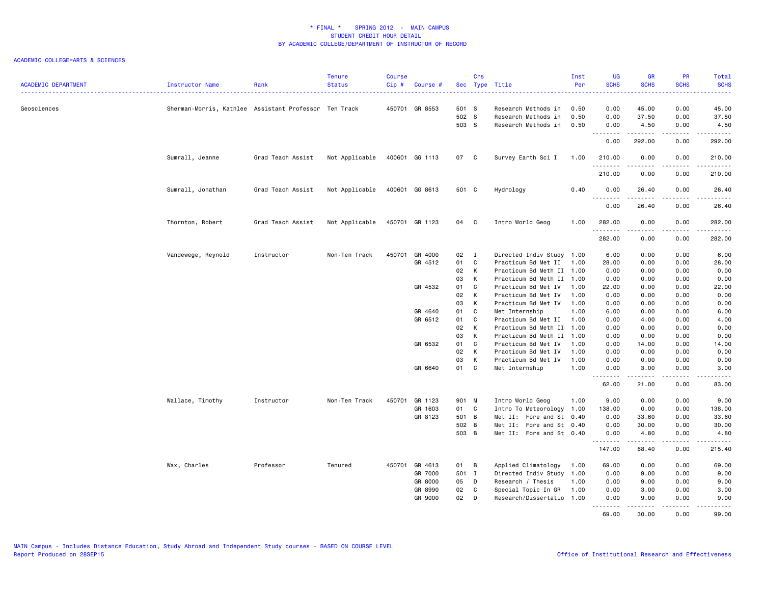| <b>ACADEMIC DEPARTMENT</b> | <b>Instructor Name</b>                                | Rank              | <b>Tenure</b><br><b>Status</b> | <b>Course</b><br>Cip# | Course #       |       | Crs            | Sec Type Title            | Inst<br>Per | <b>UG</b><br><b>SCHS</b>              | <b>GR</b><br><b>SCHS</b>                                                                                                                                      | PR<br><b>SCHS</b>                   | Total<br><b>SCHS</b>                                                                                                                                         |
|----------------------------|-------------------------------------------------------|-------------------|--------------------------------|-----------------------|----------------|-------|----------------|---------------------------|-------------|---------------------------------------|---------------------------------------------------------------------------------------------------------------------------------------------------------------|-------------------------------------|--------------------------------------------------------------------------------------------------------------------------------------------------------------|
| Geosciences                | Sherman-Morris, Kathlee Assistant Professor Ten Track |                   |                                |                       | 450701 GR 8553 | 501 S |                | Research Methods in       | 0.50        | 0.00                                  | 45.00                                                                                                                                                         | 0.00                                | المستملك<br>45.00                                                                                                                                            |
|                            |                                                       |                   |                                |                       |                | 502 S |                | Research Methods in       | 0.50        | 0.00                                  | 37.50                                                                                                                                                         | 0.00                                | 37.50                                                                                                                                                        |
|                            |                                                       |                   |                                |                       |                | 503 S |                | Research Methods in       | 0.50        | 0.00                                  | 4.50                                                                                                                                                          | 0.00                                | 4.50                                                                                                                                                         |
|                            |                                                       |                   |                                |                       |                |       |                |                           |             | <u>.</u>                              | . <b>.</b>                                                                                                                                                    | .                                   | ------                                                                                                                                                       |
|                            |                                                       |                   |                                |                       |                |       |                |                           |             | 0.00                                  | 292.00                                                                                                                                                        | 0.00                                | 292.00                                                                                                                                                       |
|                            | Sumrall, Jeanne                                       | Grad Teach Assist | Not Applicable                 |                       | 400601 GG 1113 | 07 C  |                | Survey Earth Sci I        | 1.00        | 210.00<br>.                           | 0.00<br>-----                                                                                                                                                 | 0.00<br>$\sim$ $\sim$ $\sim$ $\sim$ | 210.00<br>1.1.1.1.1                                                                                                                                          |
|                            |                                                       |                   |                                |                       |                |       |                |                           |             | 210.00                                | 0.00                                                                                                                                                          | 0.00                                | 210.00                                                                                                                                                       |
|                            | Sumrall, Jonathan                                     | Grad Teach Assist | Not Applicable                 |                       | 400601 GG 8613 | 501 C |                | Hydrology                 | 0.40        | 0.00<br>$\sim$ $\sim$ $\sim$          | 26.40                                                                                                                                                         | 0.00                                | 26.40<br>$\frac{1}{2} \left( \frac{1}{2} \right) \left( \frac{1}{2} \right) \left( \frac{1}{2} \right) \left( \frac{1}{2} \right)$                           |
|                            |                                                       |                   |                                |                       |                |       |                |                           |             | 0.00                                  | 26.40                                                                                                                                                         | 0.00                                | 26.40                                                                                                                                                        |
|                            | Thornton, Robert                                      | Grad Teach Assist | Not Applicable                 |                       | 450701 GR 1123 | 04 C  |                | Intro World Geog          | 1.00        | 282.00                                | 0.00                                                                                                                                                          | 0.00                                | 282.00<br>.                                                                                                                                                  |
|                            |                                                       |                   |                                |                       |                |       |                |                           |             | 282.00                                | 0.00                                                                                                                                                          | 0.00                                | 282.00                                                                                                                                                       |
|                            | Vandewege, Reynold                                    | Instructor        | Non-Ten Track                  | 450701                | GR 4000        | 02    | $\blacksquare$ | Directed Indiv Study 1.00 |             | 6.00                                  | 0.00                                                                                                                                                          | 0.00                                | 6.00                                                                                                                                                         |
|                            |                                                       |                   |                                |                       | GR 4512        | 01    | $\mathbf c$    | Practicum Bd Met II       | 1.00        | 28.00                                 | 0.00                                                                                                                                                          | 0.00                                | 28.00                                                                                                                                                        |
|                            |                                                       |                   |                                |                       |                | 02    | $\mathsf{K}$   | Practicum Bd Meth II 1.00 |             | 0.00                                  | 0.00                                                                                                                                                          | 0.00                                | 0.00                                                                                                                                                         |
|                            |                                                       |                   |                                |                       |                | 03    | $\mathsf{K}$   | Practicum Bd Meth II 1.00 |             | 0.00                                  | 0.00                                                                                                                                                          | 0.00                                | 0.00                                                                                                                                                         |
|                            |                                                       |                   |                                |                       | GR 4532        | 01    | C              | Practicum Bd Met IV       | 1.00        | 22.00                                 | 0.00                                                                                                                                                          | 0.00                                | 22.00                                                                                                                                                        |
|                            |                                                       |                   |                                |                       |                | 02    | $\mathsf{K}$   | Practicum Bd Met IV       | 1.00        | 0.00                                  | 0.00                                                                                                                                                          | 0.00                                | 0.00                                                                                                                                                         |
|                            |                                                       |                   |                                |                       |                | 03    | K              | Practicum Bd Met IV       | 1.00        | 0.00                                  | 0.00                                                                                                                                                          | 0.00                                | 0.00                                                                                                                                                         |
|                            |                                                       |                   |                                |                       | GR 4640        | 01    | C              | Met Internship            | 1.00        | 6.00                                  | 0.00                                                                                                                                                          | 0.00                                | 6.00                                                                                                                                                         |
|                            |                                                       |                   |                                |                       | GR 6512        | 01    | C              | Practicum Bd Met II       | 1.00        | 0.00                                  | 4.00                                                                                                                                                          | 0.00                                | 4.00                                                                                                                                                         |
|                            |                                                       |                   |                                |                       |                | 02    | $\mathsf{K}$   | Practicum Bd Meth II      | 1.00        | 0.00                                  | 0.00                                                                                                                                                          | 0.00                                | 0.00                                                                                                                                                         |
|                            |                                                       |                   |                                |                       |                | 03    | K              | Practicum Bd Meth II 1.00 |             | 0.00                                  | 0.00                                                                                                                                                          | 0.00                                | 0.00                                                                                                                                                         |
|                            |                                                       |                   |                                |                       | GR 6532        | 01    | $\overline{C}$ | Practicum Bd Met IV       | 1.00        | 0.00                                  | 14.00                                                                                                                                                         | 0.00                                | 14.00                                                                                                                                                        |
|                            |                                                       |                   |                                |                       |                | 02    | K              | Practicum Bd Met IV       | 1.00        | 0.00                                  | 0.00                                                                                                                                                          | 0.00                                | 0.00                                                                                                                                                         |
|                            |                                                       |                   |                                |                       |                | 03    | K              | Practicum Bd Met IV       | 1.00        | 0.00                                  | 0.00                                                                                                                                                          | 0.00                                | 0.00                                                                                                                                                         |
|                            |                                                       |                   |                                |                       | GR 6640        | 01 C  |                | Met Internship            | 1.00        | 0.00                                  | 3.00                                                                                                                                                          | 0.00                                | 3.00                                                                                                                                                         |
|                            |                                                       |                   |                                |                       |                |       |                |                           |             | .<br>62.00                            | 21.00                                                                                                                                                         | $\sim$ $\sim$ $\sim$ $\sim$<br>0.00 | .<br>83.00                                                                                                                                                   |
|                            | Wallace, Timothy                                      | Instructor        | Non-Ten Track                  | 450701                | GR 1123        | 901 M |                | Intro World Geog          | 1.00        | 9.00                                  | 0.00                                                                                                                                                          | 0.00                                | 9.00                                                                                                                                                         |
|                            |                                                       |                   |                                |                       | GR 1603        | 01 C  |                | Intro To Meteorology      | 1.00        | 138.00                                | 0.00                                                                                                                                                          | 0.00                                | 138.00                                                                                                                                                       |
|                            |                                                       |                   |                                |                       | GR 8123        | 501 B |                | Met II: Fore and St 0.40  |             | 0.00                                  | 33.60                                                                                                                                                         | 0.00                                | 33.60                                                                                                                                                        |
|                            |                                                       |                   |                                |                       |                | 502 B |                | Met II: Fore and St 0.40  |             | 0.00                                  | 30.00                                                                                                                                                         | 0.00                                | 30.00                                                                                                                                                        |
|                            |                                                       |                   |                                |                       |                | 503 B |                | Met II: Fore and St 0.40  |             | 0.00<br>.                             | 4.80                                                                                                                                                          | 0.00<br>.                           | 4.80                                                                                                                                                         |
|                            |                                                       |                   |                                |                       |                |       |                |                           |             | 147.00                                | $\frac{1}{2} \left( \frac{1}{2} \right) \left( \frac{1}{2} \right) \left( \frac{1}{2} \right) \left( \frac{1}{2} \right) \left( \frac{1}{2} \right)$<br>68.40 | 0.00                                | .<br>215.40                                                                                                                                                  |
|                            | Wax, Charles                                          | Professor         | Tenured                        |                       | 450701 GR 4613 | 01 B  |                | Applied Climatology       | 1.00        | 69.00                                 | 0.00                                                                                                                                                          | 0.00                                | 69.00                                                                                                                                                        |
|                            |                                                       |                   |                                |                       | GR 7000        | 501 I |                | Directed Indiv Study 1.00 |             | 0.00                                  | 9.00                                                                                                                                                          | 0.00                                | 9.00                                                                                                                                                         |
|                            |                                                       |                   |                                |                       | GR 8000        | 05    | $\Box$         | Research / Thesis         | 1.00        | 0.00                                  | 9.00                                                                                                                                                          | 0.00                                | 9.00                                                                                                                                                         |
|                            |                                                       |                   |                                |                       | GR 8990        | 02    | $\mathbf{C}$   | Special Topic In GR       | 1.00        | 0.00                                  | 3.00                                                                                                                                                          | 0.00                                | 3.00                                                                                                                                                         |
|                            |                                                       |                   |                                |                       | GR 9000        | 02    | D              | Research/Dissertatio 1.00 |             | 0.00<br><b><i><u><u>.</u></u></i></b> | 9.00<br>$\frac{1}{2} \left( \frac{1}{2} \right) \left( \frac{1}{2} \right) \left( \frac{1}{2} \right) \left( \frac{1}{2} \right) \left( \frac{1}{2} \right)$  | 0.00<br>.                           | 9.00<br>$\frac{1}{2} \left( \frac{1}{2} \right) \left( \frac{1}{2} \right) \left( \frac{1}{2} \right) \left( \frac{1}{2} \right) \left( \frac{1}{2} \right)$ |
|                            |                                                       |                   |                                |                       |                |       |                |                           |             | 69.00                                 | 30.00                                                                                                                                                         | 0.00                                | 99.00                                                                                                                                                        |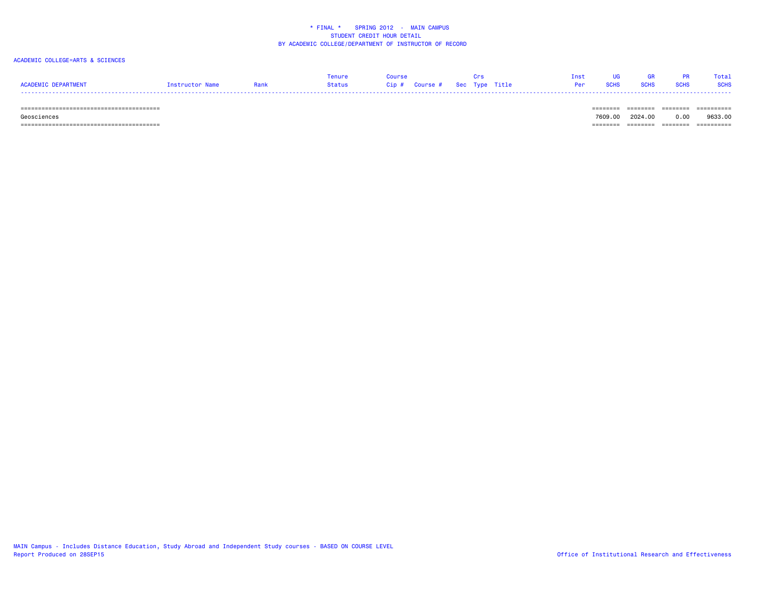#### ACADEMIC COLLEGE=ARTS & SCIENCES

|                     |                 |      | Tenure | Course |  |  | Inst UG GR PR Total            |  |
|---------------------|-----------------|------|--------|--------|--|--|--------------------------------|--|
| ACADEMIC DEPARTMENT | Instructor Name | Rank |        |        |  |  | <b>Per SCHS SCHS SCHS SCHS</b> |  |
|                     |                 |      |        |        |  |  |                                |  |

#### ======================================== ======== ======== ======== ==========

 Geosciences 7609.00 2024.00 0.00 9633.00======================================== ======== ======== ======== ==========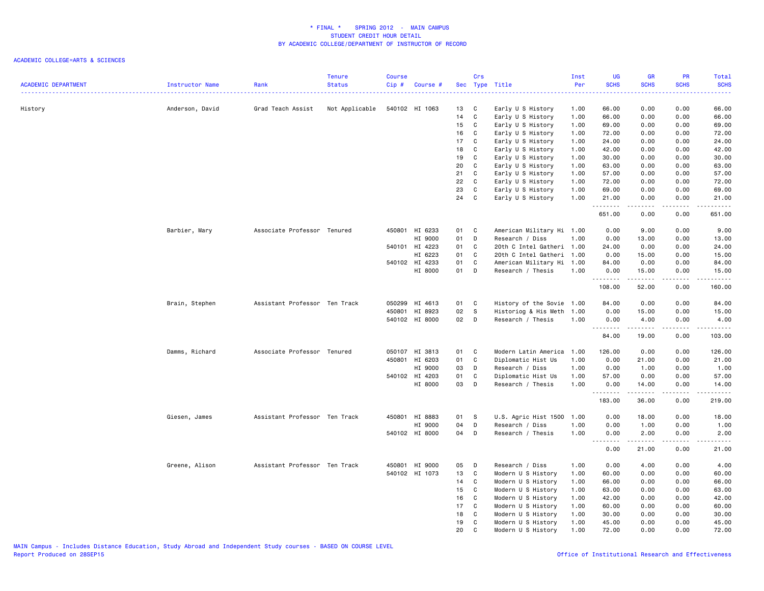| <b>ACADEMIC DEPARTMENT</b> | Instructor Name | Rank                          | <b>Tenure</b><br><b>Status</b> | <b>Course</b><br>Cip# | Course #       |      | Crs          | Sec Type Title            | Inst<br>Per | <b>UG</b><br><b>SCHS</b> | <b>GR</b><br><b>SCHS</b>                                                                                                                                      | PR<br><b>SCHS</b> | Total<br><b>SCHS</b>          |
|----------------------------|-----------------|-------------------------------|--------------------------------|-----------------------|----------------|------|--------------|---------------------------|-------------|--------------------------|---------------------------------------------------------------------------------------------------------------------------------------------------------------|-------------------|-------------------------------|
|                            |                 |                               |                                |                       |                |      |              |                           |             |                          |                                                                                                                                                               |                   | .                             |
| History                    | Anderson, David | Grad Teach Assist             | Not Applicable                 |                       | 540102 HI 1063 | 13   | $\mathbf{C}$ | Early U S History         | 1.00        | 66.00                    | 0.00                                                                                                                                                          | 0.00              | 66.00                         |
|                            |                 |                               |                                |                       |                | 14   | C            | Early U S History         | 1.00        | 66.00                    | 0.00                                                                                                                                                          | 0.00              | 66.00                         |
|                            |                 |                               |                                |                       |                | 15   | $\mathbf{C}$ | Early U S History         | 1.00        | 69.00                    | 0.00                                                                                                                                                          | 0.00              | 69.00                         |
|                            |                 |                               |                                |                       |                | 16   | C            | Early U S History         | 1.00        | 72.00                    | 0.00                                                                                                                                                          | 0.00              | 72.00                         |
|                            |                 |                               |                                |                       |                | 17   | C            | Early U S History         | 1.00        | 24.00                    | 0.00                                                                                                                                                          | 0.00              | 24.00                         |
|                            |                 |                               |                                |                       |                | 18   | C            | Early U S History         | 1.00        | 42.00                    | 0.00                                                                                                                                                          | 0.00              | 42.00                         |
|                            |                 |                               |                                |                       |                | 19   | C            | Early U S History         | 1.00        | 30.00                    | 0.00                                                                                                                                                          | 0.00              | 30.00                         |
|                            |                 |                               |                                |                       |                | 20   | C            | Early U S History         | 1.00        | 63.00                    | 0.00                                                                                                                                                          | 0.00              | 63.00                         |
|                            |                 |                               |                                |                       |                | 21   | C            | Early U S History         | 1.00        | 57.00                    | 0.00                                                                                                                                                          | 0.00              | 57.00                         |
|                            |                 |                               |                                |                       |                | 22   | $\mathbf{C}$ | Early U S History         | 1.00        | 72.00                    | 0.00                                                                                                                                                          | 0.00              | 72.00                         |
|                            |                 |                               |                                |                       |                | 23   | C            | Early U S History         | 1.00        | 69.00                    | 0.00                                                                                                                                                          | 0.00              | 69.00                         |
|                            |                 |                               |                                |                       |                | 24   | C            | Early U S History         | 1.00        | 21.00                    | 0.00                                                                                                                                                          | 0.00              | 21.00                         |
|                            |                 |                               |                                |                       |                |      |              |                           |             | .<br>651.00              | 22222<br>0.00                                                                                                                                                 | .<br>0.00         | .<br>651.00                   |
|                            | Barbier, Mary   | Associate Professor Tenured   |                                |                       | 450801 HI 6233 | 01   | <b>C</b>     | American Military Hi 1.00 |             | 0.00                     | 9.00                                                                                                                                                          | 0.00              | 9.00                          |
|                            |                 |                               |                                |                       | HI 9000        | 01   | D            | Research / Diss           | 1.00        | 0.00                     | 13.00                                                                                                                                                         | 0.00              | 13.00                         |
|                            |                 |                               |                                |                       | 540101 HI 4223 | 01   | C            | 20th C Intel Gatheri 1.00 |             | 24.00                    | 0.00                                                                                                                                                          | 0.00              | 24.00                         |
|                            |                 |                               |                                |                       | HI 6223        | 01   | $\mathbf{C}$ | 20th C Intel Gatheri 1.00 |             | 0.00                     | 15.00                                                                                                                                                         | 0.00              | 15.00                         |
|                            |                 |                               |                                |                       | 540102 HI 4233 | 01   | $\mathbf{C}$ | American Military Hi 1.00 |             | 84.00                    | 0.00                                                                                                                                                          | 0.00              | 84.00                         |
|                            |                 |                               |                                |                       | HI 8000        | 01 D |              | Research / Thesis         | 1.00        | 0.00                     | 15.00                                                                                                                                                         | 0.00              | 15.00                         |
|                            |                 |                               |                                |                       |                |      |              |                           |             | .<br>108.00              | $\frac{1}{2} \left( \frac{1}{2} \right) \left( \frac{1}{2} \right) \left( \frac{1}{2} \right) \left( \frac{1}{2} \right) \left( \frac{1}{2} \right)$<br>52.00 | د د د د<br>0.00   | د د د د د<br>160.00           |
|                            | Brain, Stephen  | Assistant Professor Ten Track |                                |                       | 050299 HI 4613 | 01 C |              | History of the Sovie 1.00 |             | 84.00                    | 0.00                                                                                                                                                          | 0.00              | 84.00                         |
|                            |                 |                               |                                |                       | 450801 HI 8923 | 02   | $\mathbf{s}$ | Historiog & His Meth      | 1.00        | 0.00                     | 15.00                                                                                                                                                         | 0.00              | 15.00                         |
|                            |                 |                               |                                |                       | 540102 HI 8000 | 02 D |              | Research / Thesis         | 1.00        | 0.00                     | 4.00                                                                                                                                                          | 0.00              | 4.00                          |
|                            |                 |                               |                                |                       |                |      |              |                           |             | <u>.</u><br>84.00        | .<br>19.00                                                                                                                                                    | .<br>0.00         | .<br>103.00                   |
|                            | Damms, Richard  | Associate Professor Tenured   |                                |                       | 050107 HI 3813 | 01 C |              | Modern Latin America      | 1.00        | 126.00                   | 0.00                                                                                                                                                          | 0.00              | 126.00                        |
|                            |                 |                               |                                |                       | 450801 HI 6203 | 01   | $\mathbf{C}$ | Diplomatic Hist Us        | 1.00        | 0.00                     | 21.00                                                                                                                                                         | 0.00              | 21.00                         |
|                            |                 |                               |                                |                       | HI 9000        | 03   | D            | Research / Diss           | 1.00        | 0.00                     | 1.00                                                                                                                                                          | 0.00              | 1.00                          |
|                            |                 |                               |                                |                       | 540102 HI 4203 | 01   | C            | Diplomatic Hist Us        | 1.00        | 57.00                    | 0.00                                                                                                                                                          | 0.00              | 57.00                         |
|                            |                 |                               |                                |                       | HI 8000        | 03   | D            | Research / Thesis         | 1.00        | 0.00                     | 14.00                                                                                                                                                         | 0.00              | 14.00                         |
|                            |                 |                               |                                |                       |                |      |              |                           |             | .<br>183.00              | . <b>.</b><br>36.00                                                                                                                                           | .<br>0.00         | .<br>219.00                   |
|                            | Giesen, James   | Assistant Professor Ten Track |                                |                       | 450801 HI 8883 | 01   | - S          | U.S. Agric Hist 1500      | 1.00        | 0.00                     | 18.00                                                                                                                                                         | 0.00              | 18.00                         |
|                            |                 |                               |                                |                       | HI 9000        | 04   | D            | Research / Diss           | 1.00        | 0.00                     | 1.00                                                                                                                                                          | 0.00              | 1.00                          |
|                            |                 |                               |                                |                       | 540102 HI 8000 | 04 D |              | Research / Thesis         | 1.00        | 0.00                     | 2.00                                                                                                                                                          | 0.00              | 2.00                          |
|                            |                 |                               |                                |                       |                |      |              |                           |             | . <b>.</b><br>0.00       | .<br>21.00                                                                                                                                                    | .<br>0.00         | $\omega$ is a set of<br>21.00 |
|                            | Greene, Alison  | Assistant Professor Ten Track |                                |                       | 450801 HI 9000 | 05   | $\Box$       | Research / Diss           | 1.00        | 0.00                     | 4.00                                                                                                                                                          | 0.00              | 4.00                          |
|                            |                 |                               |                                |                       | 540102 HI 1073 | 13   | C            | Modern U S History        | 1.00        | 60.00                    | 0.00                                                                                                                                                          | 0.00              | 60.00                         |
|                            |                 |                               |                                |                       |                | 14   | C            | Modern U S History        | 1.00        | 66.00                    | 0.00                                                                                                                                                          | 0.00              | 66.00                         |
|                            |                 |                               |                                |                       |                | 15   | $\mathbf{C}$ | Modern U S History        | 1.00        | 63.00                    | 0.00                                                                                                                                                          | 0.00              | 63.00                         |
|                            |                 |                               |                                |                       |                | 16   | C            | Modern U S History        | 1.00        | 42.00                    | 0.00                                                                                                                                                          | 0.00              | 42.00                         |
|                            |                 |                               |                                |                       |                | 17   | C            | Modern U S History        | 1.00        | 60.00                    | 0.00                                                                                                                                                          | 0.00              | 60.00                         |
|                            |                 |                               |                                |                       |                | 18   | C            | Modern U S History        | 1.00        | 30.00                    | 0.00                                                                                                                                                          | 0.00              | 30.00                         |
|                            |                 |                               |                                |                       |                | 19   | C            | Modern U S History        | 1.00        | 45.00                    | 0.00                                                                                                                                                          | 0.00              | 45.00                         |
|                            |                 |                               |                                |                       |                | 20   | C            | Modern U S History        | 1.00        | 72.00                    | 0.00                                                                                                                                                          | 0.00              | 72.00                         |
|                            |                 |                               |                                |                       |                |      |              |                           |             |                          |                                                                                                                                                               |                   |                               |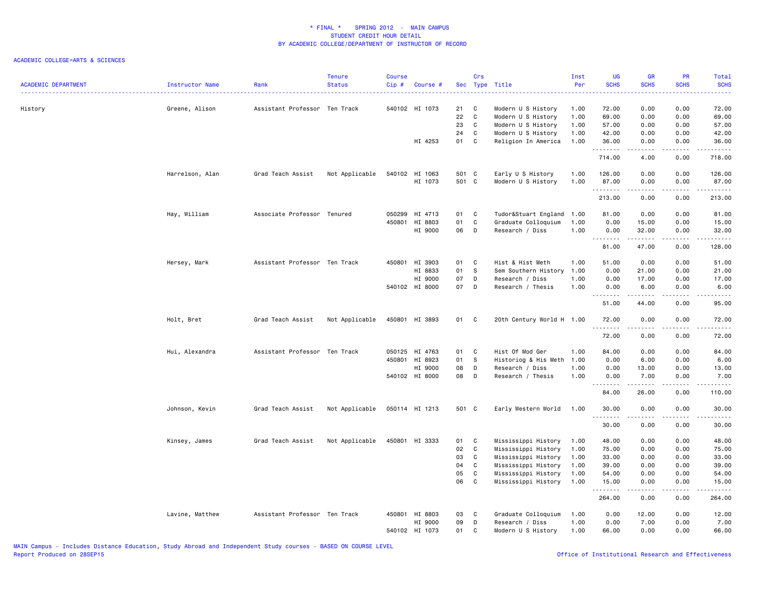| <b>ACADEMIC DEPARTMENT</b> | Instructor Name | Rank                          | <b>Tenure</b><br><b>Status</b> | <b>Course</b><br>Cip# | Course #       |       | Crs          | Sec Type Title            | Inst<br>Per | <b>UG</b><br><b>SCHS</b> | <b>GR</b><br><b>SCHS</b>                                                                                                                                      | PR<br><b>SCHS</b>                   | Total<br><b>SCHS</b><br>$\frac{1}{2} \left( \frac{1}{2} \right) \left( \frac{1}{2} \right) \left( \frac{1}{2} \right) \left( \frac{1}{2} \right)$                               |
|----------------------------|-----------------|-------------------------------|--------------------------------|-----------------------|----------------|-------|--------------|---------------------------|-------------|--------------------------|---------------------------------------------------------------------------------------------------------------------------------------------------------------|-------------------------------------|---------------------------------------------------------------------------------------------------------------------------------------------------------------------------------|
| History                    | Greene, Alison  | Assistant Professor Ten Track |                                |                       | 540102 HI 1073 | 21    | C            | Modern U S History        | 1.00        | 72.00                    | 0.00                                                                                                                                                          | 0.00                                | 72.00                                                                                                                                                                           |
|                            |                 |                               |                                |                       |                | 22    | C            | Modern U S History        | 1.00        | 69.00                    | 0.00                                                                                                                                                          | 0.00                                | 69.00                                                                                                                                                                           |
|                            |                 |                               |                                |                       |                | 23    | C            | Modern U S History        | 1.00        | 57.00                    | 0.00                                                                                                                                                          | 0.00                                | 57.00                                                                                                                                                                           |
|                            |                 |                               |                                |                       |                | 24    | C            | Modern U S History        | 1.00        | 42.00                    | 0.00                                                                                                                                                          | 0.00                                | 42.00                                                                                                                                                                           |
|                            |                 |                               |                                |                       | HI 4253        | 01    | C            | Religion In America       | 1.00        | 36.00<br>.               | 0.00<br><u>.</u>                                                                                                                                              | 0.00<br>.                           | 36.00<br>.                                                                                                                                                                      |
|                            |                 |                               |                                |                       |                |       |              |                           |             | 714.00                   | 4.00                                                                                                                                                          | 0.00                                | 718.00                                                                                                                                                                          |
|                            | Harrelson, Alan | Grad Teach Assist             | Not Applicable                 |                       | 540102 HI 1063 | 501 C |              | Early U S History         | 1.00        | 126.00                   | 0.00                                                                                                                                                          | 0.00                                | 126.00                                                                                                                                                                          |
|                            |                 |                               |                                |                       | HI 1073        | 501 C |              | Modern U S History        | 1.00        | 87.00                    | 0.00                                                                                                                                                          | 0.00                                | 87.00                                                                                                                                                                           |
|                            |                 |                               |                                |                       |                |       |              |                           |             | .                        | .                                                                                                                                                             | .                                   | $\frac{1}{2} \left( \frac{1}{2} \right) \left( \frac{1}{2} \right) \left( \frac{1}{2} \right) \left( \frac{1}{2} \right) \left( \frac{1}{2} \right) \left( \frac{1}{2} \right)$ |
|                            |                 |                               |                                |                       |                |       |              |                           |             | 213.00                   | 0.00                                                                                                                                                          | 0.00                                | 213.00                                                                                                                                                                          |
|                            | Hay, William    | Associate Professor Tenured   |                                |                       | 050299 HI 4713 | 01    | C            | Tudor&Stuart England      | 1.00        | 81.00                    | 0.00                                                                                                                                                          | 0.00                                | 81.00                                                                                                                                                                           |
|                            |                 |                               |                                |                       | 450801 HI 8803 | 01    | C            | Graduate Colloquium       | 1.00        | 0.00                     | 15.00                                                                                                                                                         | 0.00                                | 15.00                                                                                                                                                                           |
|                            |                 |                               |                                |                       | HI 9000        | 06    | D            | Research / Diss           | 1.00        | 0.00                     | 32.00                                                                                                                                                         | 0.00                                | 32.00                                                                                                                                                                           |
|                            |                 |                               |                                |                       |                |       |              |                           |             | .<br>81.00               | $\frac{1}{2} \left( \frac{1}{2} \right) \left( \frac{1}{2} \right) \left( \frac{1}{2} \right) \left( \frac{1}{2} \right) \left( \frac{1}{2} \right)$<br>47.00 | $\sim$ $\sim$ $\sim$ $\sim$<br>0.00 | .<br>128.00                                                                                                                                                                     |
|                            | Hersey, Mark    | Assistant Professor Ten Track |                                |                       | 450801 HI 3903 | 01    | $\mathbf{C}$ | Hist & Hist Meth          | 1.00        | 51.00                    | 0.00                                                                                                                                                          | 0.00                                | 51.00                                                                                                                                                                           |
|                            |                 |                               |                                |                       | HI 8833        | 01    | s            | Sem Southern History      | 1.00        | 0.00                     | 21.00                                                                                                                                                         | 0.00                                | 21.00                                                                                                                                                                           |
|                            |                 |                               |                                |                       | HI 9000        | 07    | D            | Research / Diss           | 1.00        | 0.00                     | 17.00                                                                                                                                                         | 0.00                                | 17.00                                                                                                                                                                           |
|                            |                 |                               |                                |                       | 540102 HI 8000 | 07    | D            | Research / Thesis         | 1.00        | 0.00                     | 6.00                                                                                                                                                          | 0.00                                | 6.00                                                                                                                                                                            |
|                            |                 |                               |                                |                       |                |       |              |                           |             | .<br>51.00               | <u>.</u><br>44.00                                                                                                                                             | $- - - -$<br>0.00                   | د د د د د<br>95.00                                                                                                                                                              |
|                            | Holt, Bret      | Grad Teach Assist             | Not Applicable                 |                       | 450801 HI 3893 | 01    | $\mathbf{C}$ | 20th Century World H 1.00 |             | 72.00<br>.               | 0.00<br>.                                                                                                                                                     | 0.00<br>$\sim$ $\sim$ $\sim$        | 72.00<br>.                                                                                                                                                                      |
|                            |                 |                               |                                |                       |                |       |              |                           |             | 72.00                    | 0.00                                                                                                                                                          | 0.00                                | 72.00                                                                                                                                                                           |
|                            | Hui, Alexandra  | Assistant Professor Ten Track |                                |                       | 050125 HI 4763 | 01    | C            | Hist Of Mod Ger           | 1.00        | 84.00                    | 0.00                                                                                                                                                          | 0.00                                | 84.00                                                                                                                                                                           |
|                            |                 |                               |                                |                       | 450801 HI 8923 | 01    | - S          | Historiog & His Meth      | 1.00        | 0.00                     | 6.00                                                                                                                                                          | 0.00                                | 6.00                                                                                                                                                                            |
|                            |                 |                               |                                |                       | HI 9000        | 08    | D            | Research / Diss           | 1.00        | 0.00                     | 13.00                                                                                                                                                         | 0.00                                | 13.00                                                                                                                                                                           |
|                            |                 |                               |                                |                       | 540102 HI 8000 | 08    | D            | Research / Thesis         | 1.00        | 0.00                     | 7.00                                                                                                                                                          | 0.00                                | 7.00                                                                                                                                                                            |
|                            |                 |                               |                                |                       |                |       |              |                           |             | .<br>84.00               | <b>.</b><br>26.00                                                                                                                                             | $- - - -$<br>0.00                   | .<br>110.00                                                                                                                                                                     |
|                            | Johnson, Kevin  | Grad Teach Assist             | Not Applicable                 |                       | 050114 HI 1213 | 501 C |              | Early Western World       | 1.00        | 30.00<br><u>.</u>        | 0.00<br>.                                                                                                                                                     | 0.00<br>.                           | 30.00<br>.                                                                                                                                                                      |
|                            |                 |                               |                                |                       |                |       |              |                           |             | 30.00                    | 0.00                                                                                                                                                          | 0.00                                | 30.00                                                                                                                                                                           |
|                            | Kinsey, James   | Grad Teach Assist             | Not Applicable                 |                       | 450801 HI 3333 | 01    | C            | Mississippi History       | 1.00        | 48.00                    | 0.00                                                                                                                                                          | 0.00                                | 48.00                                                                                                                                                                           |
|                            |                 |                               |                                |                       |                | 02    | C            | Mississippi History       | 1.00        | 75.00                    | 0.00                                                                                                                                                          | 0.00                                | 75.00                                                                                                                                                                           |
|                            |                 |                               |                                |                       |                | 03    | C            | Mississippi History       | 1.00        | 33.00                    | 0.00                                                                                                                                                          | 0.00                                | 33.00                                                                                                                                                                           |
|                            |                 |                               |                                |                       |                | 04    | C            | Mississippi History       | 1.00        | 39.00                    | 0.00                                                                                                                                                          | 0.00                                | 39.00                                                                                                                                                                           |
|                            |                 |                               |                                |                       |                | 05    | C            | Mississippi History       | 1.00        | 54.00                    | 0.00                                                                                                                                                          | 0.00                                | 54.00                                                                                                                                                                           |
|                            |                 |                               |                                |                       |                | 06    | C            | Mississippi History       | 1.00        | 15.00<br>.               | 0.00<br>.                                                                                                                                                     | 0.00<br>$\frac{1}{2}$               | 15.00<br>.                                                                                                                                                                      |
|                            |                 |                               |                                |                       |                |       |              |                           |             | 264.00                   | 0.00                                                                                                                                                          | 0.00                                | 264.00                                                                                                                                                                          |
|                            | Lavine, Matthew | Assistant Professor Ten Track |                                |                       | 450801 HI 8803 | 03    | C.           | Graduate Colloquium       | 1.00        | 0.00                     | 12.00                                                                                                                                                         | 0.00                                | 12.00                                                                                                                                                                           |
|                            |                 |                               |                                |                       | HI 9000        | 09    | D            | Research / Diss           | 1.00        | 0.00                     | 7.00                                                                                                                                                          | 0.00                                | 7.00                                                                                                                                                                            |
|                            |                 |                               |                                |                       | 540102 HI 1073 | 01    | C            | Modern U S History        | 1.00        | 66.00                    | 0.00                                                                                                                                                          | 0.00                                | 66.00                                                                                                                                                                           |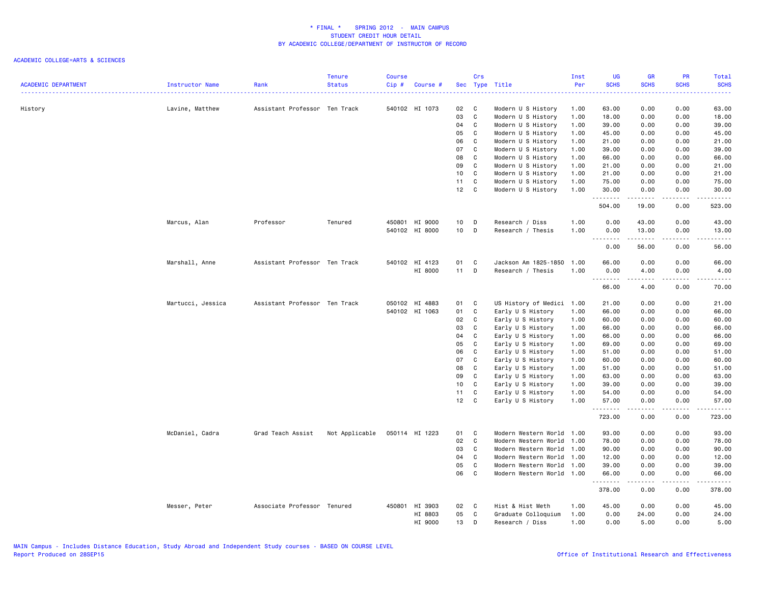|                            |                   |                               | <b>Tenure</b>  | <b>Course</b> |                |                 | Crs          |                                          | Inst         | UG                           | <b>GR</b>        | PR                                  | Total          |
|----------------------------|-------------------|-------------------------------|----------------|---------------|----------------|-----------------|--------------|------------------------------------------|--------------|------------------------------|------------------|-------------------------------------|----------------|
| <b>ACADEMIC DEPARTMENT</b> | Instructor Name   | Rank                          | <b>Status</b>  | Cip#          | Course #       |                 |              | Sec Type Title                           | Per          | <b>SCHS</b>                  | <b>SCHS</b>      | <b>SCHS</b>                         | <b>SCHS</b>    |
|                            |                   |                               |                |               | 540102 HI 1073 | 02              | C            |                                          |              | 63.00                        | 0.00             | 0.00                                | 63.00          |
| History                    | Lavine, Matthew   | Assistant Professor Ten Track |                |               |                | 03              | C            | Modern U S History<br>Modern U S History | 1.00<br>1.00 | 18.00                        | 0.00             | 0.00                                | 18.00          |
|                            |                   |                               |                |               |                | 04              | C            | Modern U S History                       | 1.00         | 39.00                        | 0.00             | 0.00                                | 39.00          |
|                            |                   |                               |                |               |                | 05              | $\mathbf c$  | Modern U S History                       | 1.00         | 45.00                        | 0.00             | 0.00                                | 45.00          |
|                            |                   |                               |                |               |                | 06              | C            | Modern U S History                       | 1.00         | 21.00                        | 0.00             | 0.00                                |                |
|                            |                   |                               |                |               |                | 07              |              |                                          |              | 39.00                        |                  |                                     | 21.00          |
|                            |                   |                               |                |               |                | 08              | C            | Modern U S History                       | 1.00         | 66.00                        | 0.00             | 0.00                                | 39.00          |
|                            |                   |                               |                |               |                | 09              | C<br>C       | Modern U S History                       | 1.00<br>1.00 | 21.00                        | 0.00<br>0.00     | 0.00<br>0.00                        | 66.00<br>21.00 |
|                            |                   |                               |                |               |                |                 |              | Modern U S History                       |              |                              |                  |                                     |                |
|                            |                   |                               |                |               |                | 10              | C            | Modern U S History                       | 1.00         | 21.00                        | 0.00             | 0.00                                | 21.00          |
|                            |                   |                               |                |               |                | 11              | C            | Modern U S History                       | 1.00         | 75.00                        | 0.00             | 0.00                                | 75.00          |
|                            |                   |                               |                |               |                | 12              | C            | Modern U S History                       | 1.00         | 30.00<br>.                   | 0.00<br><b>.</b> | 0.00<br>.                           | 30.00<br>.     |
|                            |                   |                               |                |               |                |                 |              |                                          |              | 504.00                       | 19.00            | 0.00                                | 523.00         |
|                            | Marcus, Alan      | Professor                     | Tenured        |               | 450801 HI 9000 | 10 <sub>1</sub> | D            | Research / Diss                          | 1.00         | 0.00                         | 43.00            | 0.00                                | 43.00          |
|                            |                   |                               |                |               | 540102 HI 8000 | 10 D            |              | Research / Thesis                        | 1.00         | 0.00<br>$\sim$ $\sim$ $\sim$ | 13.00            | 0.00<br>.                           | 13.00<br>.     |
|                            |                   |                               |                |               |                |                 |              |                                          |              | 0.00                         | 56.00            | 0.00                                | 56.00          |
|                            | Marshall, Anne    | Assistant Professor Ten Track |                |               | 540102 HI 4123 | 01              | C            | Jackson Am 1825-1850                     | 1.00         | 66.00                        | 0.00             | 0.00                                | 66.00          |
|                            |                   |                               |                |               | HI 8000        | $11$ D          |              | Research / Thesis                        | 1.00         | 0.00                         | 4.00             | 0.00                                | 4.00           |
|                            |                   |                               |                |               |                |                 |              |                                          |              | .<br>66.00                   | .<br>4.00        | .<br>0.00                           | .<br>70.00     |
|                            | Martucci, Jessica | Assistant Professor Ten Track |                |               | 050102 HI 4883 | 01              | C            | US History of Medici 1.00                |              | 21.00                        | 0.00             | 0.00                                | 21.00          |
|                            |                   |                               |                |               | 540102 HI 1063 | 01              | C            | Early U S History                        | 1.00         | 66.00                        | 0.00             | 0.00                                | 66.00          |
|                            |                   |                               |                |               |                | 02              | C            | Early U S History                        | 1.00         | 60.00                        | 0.00             | 0.00                                | 60.00          |
|                            |                   |                               |                |               |                | 03              | C            | Early U S History                        | 1.00         | 66.00                        | 0.00             | 0.00                                | 66.00          |
|                            |                   |                               |                |               |                | 04              | C            | Early U S History                        | 1.00         | 66.00                        | 0.00             | 0.00                                | 66.00          |
|                            |                   |                               |                |               |                | 05              | C            | Early U S History                        | 1.00         | 69.00                        | 0.00             | 0.00                                | 69.00          |
|                            |                   |                               |                |               |                | 06              | C            | Early U S History                        | 1.00         | 51.00                        | 0.00             | 0.00                                | 51.00          |
|                            |                   |                               |                |               |                | 07              | C            | Early U S History                        | 1.00         | 60.00                        | 0.00             | 0.00                                | 60.00          |
|                            |                   |                               |                |               |                | 08              | C            | Early U S History                        | 1.00         | 51.00                        | 0.00             | 0.00                                | 51.00          |
|                            |                   |                               |                |               |                | 09              | C            | Early U S History                        | 1.00         | 63.00                        | 0.00             | 0.00                                | 63.00          |
|                            |                   |                               |                |               |                | 10              | C            | Early U S History                        | 1.00         | 39.00                        | 0.00             | 0.00                                | 39.00          |
|                            |                   |                               |                |               |                | 11              | C            | Early U S History                        | 1.00         | 54.00                        | 0.00             | 0.00                                | 54.00          |
|                            |                   |                               |                |               |                | $12 \quad C$    |              | Early U S History                        | 1.00         | 57.00                        | 0.00             | 0.00                                | 57.00          |
|                            |                   |                               |                |               |                |                 |              |                                          |              | .<br>723.00                  | 0.00             | .<br>0.00                           | .<br>723.00    |
|                            | McDaniel, Cadra   | Grad Teach Assist             | Not Applicable |               | 050114 HI 1223 | 01              | C            | Modern Western World                     | 1.00         | 93.00                        | 0.00             | 0.00                                | 93.00          |
|                            |                   |                               |                |               |                | 02              | C            | Modern Western World                     | 1.00         | 78.00                        | 0.00             | 0.00                                | 78.00          |
|                            |                   |                               |                |               |                | 03              | C            | Modern Western World                     | 1.00         | 90.00                        | 0.00             | 0.00                                | 90.00          |
|                            |                   |                               |                |               |                | 04              | C            | Modern Western World                     | 1.00         | 12.00                        | 0.00             | 0.00                                | 12.00          |
|                            |                   |                               |                |               |                | 05              | C            | Modern Western World                     | 1.00         | 39.00                        | 0.00             | 0.00                                | 39.00          |
|                            |                   |                               |                |               |                | 06              | C            | Modern Western World 1.00                |              | 66.00                        | 0.00             | 0.00                                | 66.00          |
|                            |                   |                               |                |               |                |                 |              |                                          |              | .<br>378.00                  | .<br>0.00        | $\sim$ $\sim$ $\sim$ $\sim$<br>0.00 | .<br>378.00    |
|                            | Messer, Peter     | Associate Professor Tenured   |                |               | 450801 HI 3903 | 02              | $\mathbf{C}$ | Hist & Hist Meth                         | 1.00         | 45.00                        | 0.00             | 0.00                                | 45.00          |
|                            |                   |                               |                |               | HI 8803        | 05              | C.           | Graduate Colloquium                      | 1.00         | 0.00                         | 24.00            | 0.00                                | 24.00          |
|                            |                   |                               |                |               | HI 9000        | 13              | D            | Research / Diss                          | 1.00         | 0.00                         | 5.00             | 0.00                                | 5.00           |
|                            |                   |                               |                |               |                |                 |              |                                          |              |                              |                  |                                     |                |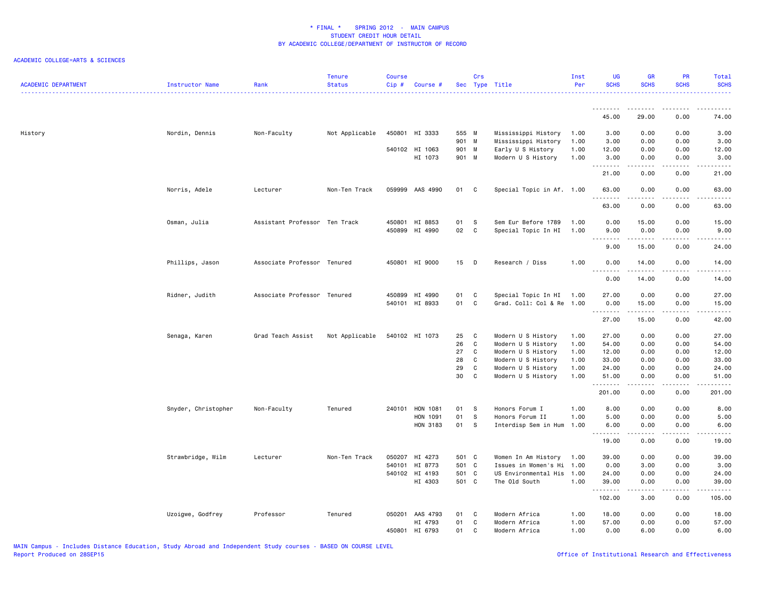| <b>ACADEMIC DEPARTMENT</b> | Instructor Name     | Rank                          | Tenure<br><b>Status</b> | Course<br>Cip# | Course #                         |                | Crs          | Sec Type Title                                   | Inst<br>Per  | <b>UG</b><br><b>SCHS</b> | <b>GR</b><br><b>SCHS</b> | PR<br><b>SCHS</b>            | Total<br><b>SCHS</b>   |
|----------------------------|---------------------|-------------------------------|-------------------------|----------------|----------------------------------|----------------|--------------|--------------------------------------------------|--------------|--------------------------|--------------------------|------------------------------|------------------------|
|                            |                     |                               |                         |                |                                  |                |              |                                                  |              | .<br>45.00               | 29.00                    | 0.00                         | 74.00                  |
|                            |                     |                               |                         |                |                                  |                |              |                                                  |              |                          |                          |                              |                        |
| History                    | Nordin, Dennis      | Non-Faculty                   | Not Applicable          |                | 450801 HI 3333                   | 555 M<br>901 M |              | Mississippi History<br>Mississippi History       | 1.00<br>1.00 | 3.00<br>3.00             | 0.00<br>0.00             | 0.00<br>0.00                 | 3.00<br>3.00           |
|                            |                     |                               |                         |                | 540102 HI 1063                   | 901 M          |              | Early U S History                                | 1.00         | 12.00                    | 0.00                     | 0.00                         | 12.00                  |
|                            |                     |                               |                         |                | HI 1073                          | 901 M          |              | Modern U S History                               | 1.00         | 3.00                     | 0.00                     | 0.00                         | 3.00                   |
|                            |                     |                               |                         |                |                                  |                |              |                                                  |              | 21.00                    | 0.00                     | 0.00                         | -----<br>21.00         |
|                            | Norris, Adele       | Lecturer                      | Non-Ten Track           |                | 059999 AAS 4990                  | 01             | $\mathbf{C}$ | Special Topic in Af. 1.00                        |              | 63.00                    | 0.00                     | 0.00                         | 63.00                  |
|                            |                     |                               |                         |                |                                  |                |              |                                                  |              | .<br>63.00               | 0.00                     | $\sim$ $\sim$ $\sim$<br>0.00 | $    -$<br>63.00       |
|                            | Osman, Julia        | Assistant Professor Ten Track |                         |                | 450801 HI 8853                   | 01             | S            | Sem Eur Before 1789                              | 1.00         | 0.00                     | 15.00                    | 0.00                         | 15.00                  |
|                            |                     |                               |                         |                | 450899 HI 4990                   | 02             | C            | Special Topic In HI                              | 1.00         | 9.00                     | 0.00                     | 0.00                         | 9.00                   |
|                            |                     |                               |                         |                |                                  |                |              |                                                  |              | .<br>9.00                | $- - - - -$<br>15.00     | $\frac{1}{2}$<br>0.00        | $\frac{1}{2}$<br>24.00 |
|                            | Phillips, Jason     | Associate Professor Tenured   |                         |                | 450801 HI 9000                   | 15 D           |              | Research / Diss                                  | 1.00         | 0.00                     | 14.00                    | 0.00                         | 14.00                  |
|                            |                     |                               |                         |                |                                  |                |              |                                                  |              | - - -<br>.<br>0.00       | 14.00                    | 0.00                         | .<br>14.00             |
|                            |                     |                               |                         |                |                                  |                | C            |                                                  |              |                          |                          |                              |                        |
|                            | Ridner, Judith      | Associate Professor Tenured   |                         |                | 450899 HI 4990<br>540101 HI 8933 | 01<br>01       | C            | Special Topic In HI<br>Grad. Coll: Col & Re 1.00 | 1.00         | 27.00<br>0.00            | 0.00<br>15.00            | 0.00<br>0.00                 | 27.00<br>15.00         |
|                            |                     |                               |                         |                |                                  |                |              |                                                  |              | .                        | .                        | .                            | .                      |
|                            |                     |                               |                         |                |                                  |                |              |                                                  |              | 27.00                    | 15.00                    | 0.00                         | 42.00                  |
|                            | Senaga, Karen       | Grad Teach Assist             | Not Applicable          |                | 540102 HI 1073                   | 25             | $\mathbf{C}$ | Modern U S History                               | 1.00         | 27.00                    | 0.00                     | 0.00                         | 27.00                  |
|                            |                     |                               |                         |                |                                  | 26             | C            | Modern U S History                               | 1.00         | 54.00                    | 0.00                     | 0.00                         | 54.00                  |
|                            |                     |                               |                         |                |                                  | 27             | C            | Modern U S History                               | 1.00         | 12.00                    | 0.00                     | 0.00                         | 12.00                  |
|                            |                     |                               |                         |                |                                  | 28             | $\mathsf{C}$ | Modern U S History                               | 1.00         | 33.00                    | 0.00                     | 0.00                         | 33.00                  |
|                            |                     |                               |                         |                |                                  | 29<br>30       | C<br>C       | Modern U S History<br>Modern U S History         | 1.00<br>1.00 | 24.00<br>51.00           | 0.00<br>0.00             | 0.00<br>0.00                 | 24.00<br>51.00         |
|                            |                     |                               |                         |                |                                  |                |              |                                                  |              | .                        | .                        | $\sim$ $\sim$ $\sim$         | .                      |
|                            |                     |                               |                         |                |                                  |                |              |                                                  |              | 201.00                   | 0.00                     | 0.00                         | 201.00                 |
|                            | Snyder, Christopher | Non-Faculty                   | Tenured                 | 240101         | HON 1081                         | 01             | S            | Honors Forum I                                   | 1.00         | 8.00                     | 0.00                     | 0.00                         | 8.00                   |
|                            |                     |                               |                         |                | <b>HON 1091</b>                  | 01             | S            | Honors Forum II                                  | 1.00         | 5.00                     | 0.00                     | 0.00                         | 5.00                   |
|                            |                     |                               |                         |                | <b>HON 3183</b>                  | 01             | <b>S</b>     | Interdisp Sem in Hum                             | 1.00         | 6.00<br>.                | 0.00<br><u>.</u>         | 0.00<br>.                    | 6.00<br>.              |
|                            |                     |                               |                         |                |                                  |                |              |                                                  |              | 19.00                    | 0.00                     | 0.00                         | 19.00                  |
|                            | Strawbridge, Wilm   | Lecturer                      | Non-Ten Track           | 050207         | HI 4273                          | 501 C          |              | Women In Am History                              | 1.00         | 39.00                    | 0.00                     | 0.00                         | 39.00                  |
|                            |                     |                               |                         |                | 540101 HI 8773                   | 501 C          |              | Issues in Women's Hi                             | 1.00         | 0.00                     | 3.00                     | 0.00                         | 3.00                   |
|                            |                     |                               |                         |                | 540102 HI 4193                   | 501 C          |              | US Environmental His 1.00                        |              | 24.00                    | 0.00                     | 0.00                         | 24.00                  |
|                            |                     |                               |                         |                | HI 4303                          | 501 C          |              | The Old South                                    | 1.00         | 39.00<br>.               | 0.00                     | 0.00                         | 39.00<br>.             |
|                            |                     |                               |                         |                |                                  |                |              |                                                  |              | 102.00                   | 3.00                     | 0.00                         | 105.00                 |
|                            | Uzoigwe, Godfrey    | Professor                     | Tenured                 |                | 050201 AAS 4793                  | 01             | C            | Modern Africa                                    | 1.00         | 18.00                    | 0.00                     | 0.00                         | 18.00                  |
|                            |                     |                               |                         |                | HI 4793                          | 01             | C            | Modern Africa                                    | 1.00         | 57.00                    | 0.00                     | 0.00                         | 57.00                  |
|                            |                     |                               |                         | 450801         | HI 6793                          | 01             | C            | Modern Africa                                    | 1.00         | 0.00                     | 6.00                     | 0.00                         | 6.00                   |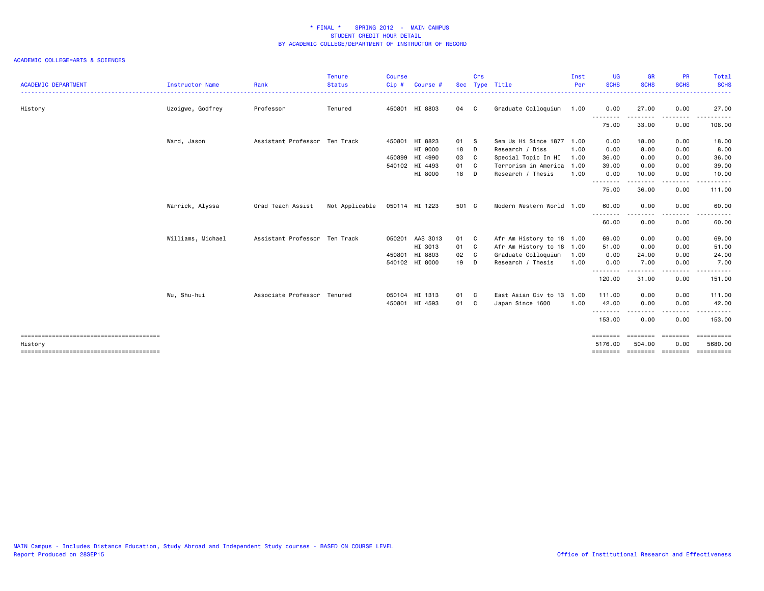| $Cip$ #<br>Type Title<br><b>SCHS</b><br><b>SCHS</b><br><b>SCHS</b><br><b>ACADEMIC DEPARTMENT</b><br>Rank<br><b>Instructor Name</b><br><b>Status</b><br>Sec<br>Per<br>Course # | <b>SCHS</b><br>$\frac{1}{2} \left( \frac{1}{2} \right) \left( \frac{1}{2} \right) \left( \frac{1}{2} \right) \left( \frac{1}{2} \right) \left( \frac{1}{2} \right)$<br>27.00 |
|-------------------------------------------------------------------------------------------------------------------------------------------------------------------------------|------------------------------------------------------------------------------------------------------------------------------------------------------------------------------|
|                                                                                                                                                                               |                                                                                                                                                                              |
| Graduate Colloquium<br>Uzoigwe, Godfrey<br>Professor<br>450801 HI 8803<br>04 C<br>1.00<br>27.00<br>0.00<br>History<br>Tenured<br>0.00<br>.<br>--------<br>.                   | .                                                                                                                                                                            |
| 75.00<br>33.00<br>0.00                                                                                                                                                        | 108.00                                                                                                                                                                       |
| Assistant Professor Ten Track<br>450801 HI 8823<br>Ward, Jason<br>01 S<br>Sem Us Hi Since 1877<br>0.00<br>18.00<br>0.00<br>1.00                                               | 18.00                                                                                                                                                                        |
| HI 9000<br>18 D<br>Research / Diss<br>1.00<br>0.00<br>8.00<br>0.00                                                                                                            | 8.00                                                                                                                                                                         |
| 450899 HI 4990<br>03 C<br>Special Topic In HI<br>1.00<br>36.00<br>0.00<br>0.00                                                                                                | 36.00                                                                                                                                                                        |
| 540102 HI 4493<br>01 C<br>Terrorism in America<br>1.00<br>39.00<br>0.00<br>0.00                                                                                               | 39.00                                                                                                                                                                        |
| HI 8000<br>18 D<br>Research / Thesis<br>1.00<br>0.00<br>10.00<br>0.00<br>.<br>.                                                                                               | 10.00<br>.                                                                                                                                                                   |
| --------<br>75.00<br>36.00<br>0.00                                                                                                                                            | 111.00                                                                                                                                                                       |
| Warrick, Alyssa<br>Grad Teach Assist<br>Not Applicable<br>050114 HI 1223<br>501 C<br>Modern Western World 1.00<br>60.00<br>0.00<br>0.00                                       | 60.00                                                                                                                                                                        |
| - - - - - - - - <b>-</b><br>. <b>.</b><br>0.00<br>60.00<br>0.00                                                                                                               | .<br>60.00                                                                                                                                                                   |
| Williams, Michael<br>Assistant Professor Ten Track<br>050201 AAS 3013<br>Afr Am History to 18 1.00<br>01 C<br>69.00<br>0.00<br>0.00                                           | 69.00                                                                                                                                                                        |
| HI 3013<br>01 C<br>Afr Am History to 18 1.00<br>51.00<br>0.00<br>0.00                                                                                                         | 51.00                                                                                                                                                                        |
| 450801 HI 8803<br>Graduate Colloquium<br>02 C<br>1.00<br>0.00<br>24.00<br>0.00                                                                                                | 24.00                                                                                                                                                                        |
| 19 D<br>1.00<br>0.00<br>7.00<br>0.00<br>540102 HI 8000<br>Research / Thesis                                                                                                   | 7.00                                                                                                                                                                         |
| ---<br>----<br>120.00<br>31.00<br>0.00                                                                                                                                        | -----<br>151.00                                                                                                                                                              |
| Associate Professor Tenured<br>East Asian Civ to 13<br>Wu, Shu-hui<br>050104 HI 1313<br>1.00<br>111.00<br>0.00<br>0.00<br>01 C                                                | 111.00                                                                                                                                                                       |
| 450801 HI 4593<br>Japan Since 1600<br>1.00<br>42.00<br>0.00<br>01 C<br>0.00                                                                                                   | 42.00                                                                                                                                                                        |
| <u>.</u><br>.<br>153.00<br>0.00<br>0.00                                                                                                                                       | .<br>153.00                                                                                                                                                                  |
| ========<br>========<br>========                                                                                                                                              | ==========                                                                                                                                                                   |
| 5176.00<br>0.00<br>504.00<br>History<br>economic concepts<br>========                                                                                                         | 5680.00<br>==========                                                                                                                                                        |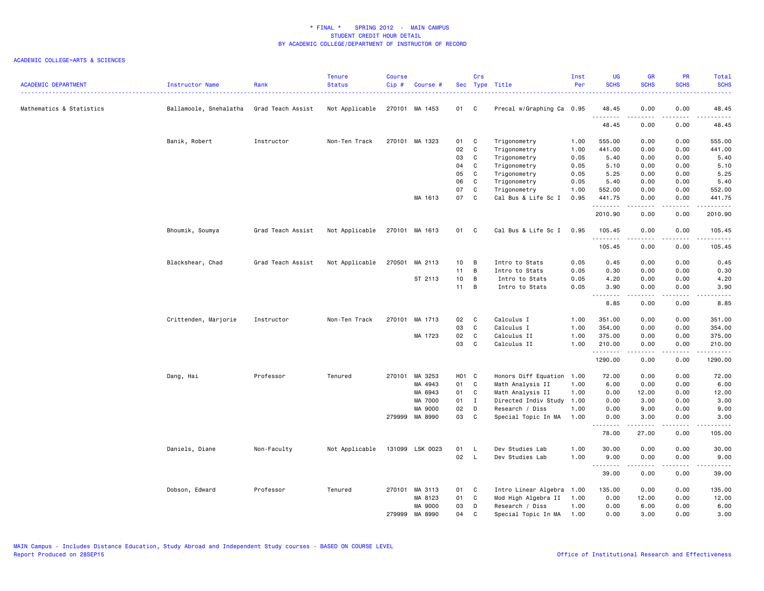| <b>ACADEMIC DEPARTMENT</b> | Instructor Name        | Rank              | <b>Tenure</b><br><b>Status</b> | Course<br>Cip# | Course #        |                   | Crs          | Sec Type Title            | Inst<br>Per | <b>UG</b><br><b>SCHS</b>                                           | <b>GR</b><br><b>SCHS</b> | PR<br><b>SCHS</b>                   | Total<br><b>SCHS</b><br>2222.                                                                                                                                 |
|----------------------------|------------------------|-------------------|--------------------------------|----------------|-----------------|-------------------|--------------|---------------------------|-------------|--------------------------------------------------------------------|--------------------------|-------------------------------------|---------------------------------------------------------------------------------------------------------------------------------------------------------------|
| Mathematics & Statistics   | Ballamoole, Snehalatha | Grad Teach Assist | Not Applicable                 |                | 270101 MA 1453  | 01 C              |              | Precal w/Graphing Ca 0.95 |             | 48.45                                                              | 0.00                     | 0.00                                | 48.45                                                                                                                                                         |
|                            |                        |                   |                                |                |                 |                   |              |                           |             | .<br>48.45                                                         | 0.00                     | .<br>0.00                           | $\frac{1}{2} \left( \frac{1}{2} \right) \left( \frac{1}{2} \right) \left( \frac{1}{2} \right) \left( \frac{1}{2} \right) \left( \frac{1}{2} \right)$<br>48.45 |
|                            | Banik, Robert          | Instructor        | Non-Ten Track                  |                | 270101 MA 1323  | 01                | $\mathbf{C}$ | Trigonometry              | 1.00        | 555.00                                                             | 0.00                     | 0.00                                | 555.00                                                                                                                                                        |
|                            |                        |                   |                                |                |                 | 02                | $\mathbf C$  | Trigonometry              | 1.00        | 441.00                                                             | 0.00                     | 0.00                                | 441.00                                                                                                                                                        |
|                            |                        |                   |                                |                |                 | 03                | C            | Trigonometry              | 0.05        | 5.40                                                               | 0.00                     | 0.00                                | 5.40                                                                                                                                                          |
|                            |                        |                   |                                |                |                 | 04                | $\mathtt{C}$ | Trigonometry              | 0.05        | 5.10                                                               | 0.00                     | 0.00                                | 5.10                                                                                                                                                          |
|                            |                        |                   |                                |                |                 | 05                | C            | Trigonometry              | 0.05        | 5.25                                                               | 0.00                     | 0.00                                | 5.25                                                                                                                                                          |
|                            |                        |                   |                                |                |                 | 06                | C            | Trigonometry              | 0.05        | 5.40                                                               | 0.00                     | 0.00                                | 5.40                                                                                                                                                          |
|                            |                        |                   |                                |                |                 | 07                | C            | Trigonometry              | 1.00        | 552.00                                                             | 0.00                     | 0.00                                | 552.00                                                                                                                                                        |
|                            |                        |                   |                                |                | MA 1613         | 07                | C            | Cal Bus & Life Sc I       | 0.95        | 441.75                                                             | 0.00                     | 0.00                                | 441.75<br>.                                                                                                                                                   |
|                            |                        |                   |                                |                |                 |                   |              |                           |             | .<br>2010.90                                                       | 0.00                     | $\sim$ $\sim$ $\sim$ $\sim$<br>0.00 | 2010.90                                                                                                                                                       |
|                            | Bhoumik, Soumya        | Grad Teach Assist | Not Applicable                 |                | 270101 MA 1613  | 01 C              |              | Cal Bus & Life Sc I       | 0.95        | 105.45<br>.                                                        | 0.00                     | 0.00<br>$- - -$                     | 105.45<br>$- - - - - -$                                                                                                                                       |
|                            |                        |                   |                                |                |                 |                   |              |                           |             | 105.45                                                             | 0.00                     | 0.00                                | 105.45                                                                                                                                                        |
|                            | Blackshear, Chad       | Grad Teach Assist | Not Applicable                 |                | 270501 MA 2113  | 10                | B            | Intro to Stats            | 0.05        | 0.45                                                               | 0.00                     | 0.00                                | 0.45                                                                                                                                                          |
|                            |                        |                   |                                |                |                 | 11 B              |              | Intro to Stats            | 0.05        | 0.30                                                               | 0.00                     | 0.00                                | 0.30                                                                                                                                                          |
|                            |                        |                   |                                |                | ST 2113         | 10                | B            | Intro to Stats            | 0.05        | 4.20                                                               | 0.00                     | 0.00                                | 4.20                                                                                                                                                          |
|                            |                        |                   |                                |                |                 | 11                | B            | Intro to Stats            | 0.05        | 3.90                                                               | 0.00                     | 0.00                                | 3.90                                                                                                                                                          |
|                            |                        |                   |                                |                |                 |                   |              |                           |             | $\sim$ $\sim$ $\sim$ $\sim$<br>$\sim$ $\sim$ $\sim$ $\sim$<br>8.85 | 0.00                     | .<br>0.00                           | 8.85                                                                                                                                                          |
|                            | Crittenden, Marjorie   | Instructor        | Non-Ten Track                  |                | 270101 MA 1713  | 02                | $\mathbf{C}$ | Calculus I                | 1.00        | 351.00                                                             | 0.00                     | 0.00                                | 351.00                                                                                                                                                        |
|                            |                        |                   |                                |                |                 | 03                | C            | Calculus I                | 1.00        | 354.00                                                             | 0.00                     | 0.00                                | 354.00                                                                                                                                                        |
|                            |                        |                   |                                |                | MA 1723         | 02                | $\mathbf C$  | Calculus II               | 1.00        | 375.00                                                             | 0.00                     | 0.00                                | 375.00                                                                                                                                                        |
|                            |                        |                   |                                |                |                 | 03                | C            | Calculus II               | 1.00        | 210.00                                                             | 0.00                     | 0.00                                | 210.00                                                                                                                                                        |
|                            |                        |                   |                                |                |                 |                   |              |                           |             | .<br>1290.00                                                       | .<br>0.00                | .<br>0.00                           | .<br>1290.00                                                                                                                                                  |
|                            | Dang, Hai              | Professor         | Tenured                        |                | 270101 MA 3253  | H <sub>01</sub> C |              | Honors Diff Equation 1.00 |             | 72.00                                                              | 0.00                     | 0.00                                | 72.00                                                                                                                                                         |
|                            |                        |                   |                                |                | MA 4943         | 01 C              |              | Math Analysis II          | 1.00        | 6.00                                                               | 0.00                     | 0.00                                | 6.00                                                                                                                                                          |
|                            |                        |                   |                                |                | MA 6943         | 01 C              |              | Math Analysis II          | 1.00        | 0.00                                                               | 12.00                    | 0.00                                | 12.00                                                                                                                                                         |
|                            |                        |                   |                                |                | MA 7000         | 01                | $\mathbf{I}$ | Directed Indiv Study      | 1.00        | 0.00                                                               | 3.00                     | 0.00                                | 3.00                                                                                                                                                          |
|                            |                        |                   |                                |                | MA 9000         | 02                | D            | Research / Diss           | 1.00        | 0.00                                                               | 9.00                     | 0.00                                | 9.00                                                                                                                                                          |
|                            |                        |                   |                                |                | 279999 MA 8990  | 03                | C            | Special Topic In MA       | 1.00        | 0.00<br>.                                                          | 3.00<br>-----            | 0.00<br>.                           | 3.00                                                                                                                                                          |
|                            |                        |                   |                                |                |                 |                   |              |                           |             | 78.00                                                              | 27.00                    | 0.00                                | 105.00                                                                                                                                                        |
|                            | Daniels, Diane         | Non-Faculty       | Not Applicable                 |                | 131099 LSK 0023 | 01 L              |              | Dev Studies Lab           | 1.00        | 30.00                                                              | 0.00                     | 0.00                                | 30.00                                                                                                                                                         |
|                            |                        |                   |                                |                |                 | 02                | $\mathsf{L}$ | Dev Studies Lab           | 1.00        | 9.00<br>.                                                          | 0.00                     | 0.00<br>.                           | 9.00<br>.                                                                                                                                                     |
|                            |                        |                   |                                |                |                 |                   |              |                           |             | 39.00                                                              | 0.00                     | 0.00                                | 39.00                                                                                                                                                         |
|                            | Dobson, Edward         | Professor         | Tenured                        |                | 270101 MA 3113  | 01                | $\mathbf{C}$ | Intro Linear Algebra      | 1.00        | 135.00                                                             | 0.00                     | 0.00                                | 135.00                                                                                                                                                        |
|                            |                        |                   |                                |                | MA 8123         | 01                | $\mathbf{C}$ | Mod High Algebra II       | 1.00        | 0.00                                                               | 12.00                    | 0.00                                | 12.00                                                                                                                                                         |
|                            |                        |                   |                                |                | MA 9000         | 03                | D            | Research / Diss           | 1.00        | 0.00                                                               | 6.00                     | 0.00                                | 6.00                                                                                                                                                          |
|                            |                        |                   |                                | 279999         | MA 8990         | 04                | C            | Special Topic In MA       | 1.00        | 0.00                                                               | 3.00                     | 0.00                                | 3.00                                                                                                                                                          |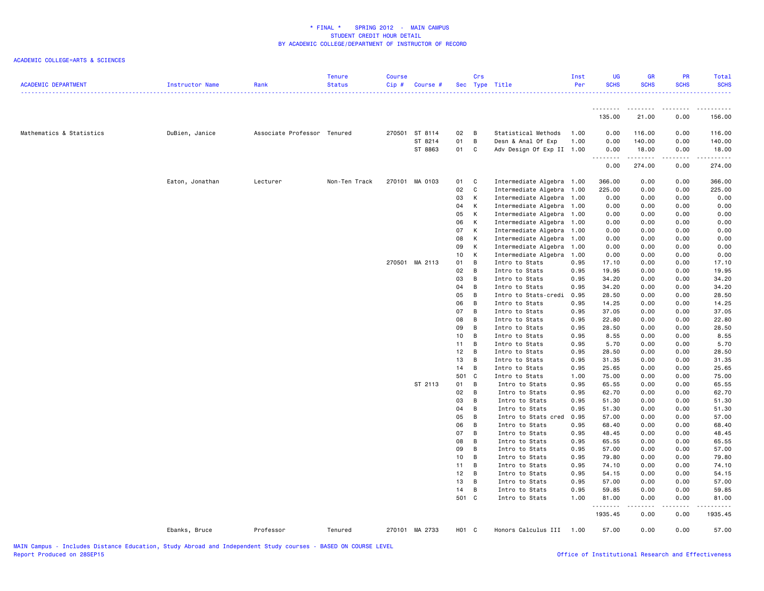| <b>ACADEMIC DEPARTMENT</b> | Instructor Name | Rank                        | <b>Tenure</b><br><b>Status</b> | <b>Course</b><br>Cip# | Course #       |          | Crs          | Sec Type Title                                         | Inst<br>Per  | <b>UG</b><br><b>SCHS</b> | <b>GR</b><br><b>SCHS</b> | PR<br><b>SCHS</b>                                                                                                                                    | <b>Total</b><br><b>SCHS</b> |
|----------------------------|-----------------|-----------------------------|--------------------------------|-----------------------|----------------|----------|--------------|--------------------------------------------------------|--------------|--------------------------|--------------------------|------------------------------------------------------------------------------------------------------------------------------------------------------|-----------------------------|
|                            |                 |                             |                                |                       |                |          |              |                                                        |              | .                        | .                        | $\frac{1}{2} \left( \frac{1}{2} \right) \left( \frac{1}{2} \right) \left( \frac{1}{2} \right) \left( \frac{1}{2} \right) \left( \frac{1}{2} \right)$ | . <u>.</u> .                |
|                            |                 |                             |                                |                       |                |          |              |                                                        |              | 135.00                   | 21.00                    | 0.00                                                                                                                                                 | 156.00                      |
| Mathematics & Statistics   | DuBien, Janice  | Associate Professor Tenured |                                | 270501                | ST 8114        | 02       | B            | Statistical Methods                                    | 1.00         | 0.00                     | 116.00                   | 0.00                                                                                                                                                 | 116.00                      |
|                            |                 |                             |                                |                       | ST 8214        | 01       | B            | Desn & Anal Of Exp                                     | 1.00         | 0.00                     | 140.00                   | 0.00                                                                                                                                                 | 140.00                      |
|                            |                 |                             |                                |                       | ST 8863        | 01       | C            | Adv Design Of Exp II 1.00                              |              | 0.00<br>$\sim$ $\sim$ .  | 18.00                    | 0.00<br>.                                                                                                                                            | 18.00                       |
|                            |                 |                             |                                |                       |                |          |              |                                                        |              | .<br>0.00                | .<br>274.00              | 0.00                                                                                                                                                 | ------<br>274.00            |
|                            | Eaton, Jonathan | Lecturer                    | Non-Ten Track                  |                       | 270101 MA 0103 | 01       | C            | Intermediate Algebra 1.00                              |              | 366.00                   | 0.00                     | 0.00                                                                                                                                                 | 366.00                      |
|                            |                 |                             |                                |                       |                | 02       | $\mathtt{C}$ | Intermediate Algebra 1.00                              |              | 225.00                   | 0.00                     | 0.00                                                                                                                                                 | 225.00                      |
|                            |                 |                             |                                |                       |                | 03       | К            | Intermediate Algebra 1.00                              |              | 0.00                     | 0.00                     | 0.00                                                                                                                                                 | 0.00                        |
|                            |                 |                             |                                |                       |                | 04       | к            | Intermediate Algebra 1.00                              |              | 0.00                     | 0.00                     | 0.00                                                                                                                                                 | 0.00                        |
|                            |                 |                             |                                |                       |                | 05       | к            | Intermediate Algebra 1.00                              |              | 0.00                     | 0.00                     | 0.00                                                                                                                                                 | 0.00                        |
|                            |                 |                             |                                |                       |                | 06       | к            | Intermediate Algebra 1.00                              |              | 0.00                     | 0.00                     | 0.00                                                                                                                                                 | 0.00                        |
|                            |                 |                             |                                |                       |                | 07       | К            | Intermediate Algebra 1.00                              |              | 0.00                     | 0.00                     | 0.00                                                                                                                                                 | 0.00                        |
|                            |                 |                             |                                |                       |                | 08<br>09 | К<br>К       | Intermediate Algebra 1.00<br>Intermediate Algebra 1.00 |              | 0.00<br>0.00             | 0.00<br>0.00             | 0.00<br>0.00                                                                                                                                         | 0.00<br>0.00                |
|                            |                 |                             |                                |                       |                | 10       | К            | Intermediate Algebra                                   | 1.00         | 0.00                     | 0.00                     | 0.00                                                                                                                                                 | 0.00                        |
|                            |                 |                             |                                |                       | 270501 MA 2113 | 01       | B            | Intro to Stats                                         | 0.95         | 17.10                    | 0.00                     | 0.00                                                                                                                                                 | 17.10                       |
|                            |                 |                             |                                |                       |                | 02       | B            | Intro to Stats                                         | 0.95         | 19.95                    | 0.00                     | 0.00                                                                                                                                                 | 19.95                       |
|                            |                 |                             |                                |                       |                | 03       | B            | Intro to Stats                                         | 0.95         | 34.20                    | 0.00                     | 0.00                                                                                                                                                 | 34.20                       |
|                            |                 |                             |                                |                       |                | 04       | B            | Intro to Stats                                         | 0.95         | 34.20                    | 0.00                     | 0.00                                                                                                                                                 | 34.20                       |
|                            |                 |                             |                                |                       |                | 05       | B            | Intro to Stats-credi                                   | 0.95         | 28.50                    | 0.00                     | 0.00                                                                                                                                                 | 28.50                       |
|                            |                 |                             |                                |                       |                | 06       | B            | Intro to Stats                                         | 0.95         | 14.25                    | 0.00                     | 0.00                                                                                                                                                 | 14.25                       |
|                            |                 |                             |                                |                       |                | 07       | B            | Intro to Stats                                         | 0.95         | 37.05                    | 0.00                     | 0.00                                                                                                                                                 | 37.05                       |
|                            |                 |                             |                                |                       |                | 08       | B            | Intro to Stats                                         | 0.95         | 22.80                    | 0.00                     | 0.00                                                                                                                                                 | 22.80                       |
|                            |                 |                             |                                |                       |                | 09       | B            | Intro to Stats                                         | 0.95         | 28.50                    | 0.00                     | 0.00                                                                                                                                                 | 28.50                       |
|                            |                 |                             |                                |                       |                | 10       | B            | Intro to Stats                                         | 0.95         | 8.55                     | 0.00                     | 0.00                                                                                                                                                 | 8.55                        |
|                            |                 |                             |                                |                       |                | 11       | B<br>B       | Intro to Stats                                         | 0.95         | 5.70                     | 0.00                     | 0.00                                                                                                                                                 | 5.70                        |
|                            |                 |                             |                                |                       |                | 12<br>13 | B            | Intro to Stats<br>Intro to Stats                       | 0.95<br>0.95 | 28.50<br>31.35           | 0.00<br>0.00             | 0.00<br>0.00                                                                                                                                         | 28.50<br>31.35              |
|                            |                 |                             |                                |                       |                | 14       | B            | Intro to Stats                                         | 0.95         | 25.65                    | 0.00                     | 0.00                                                                                                                                                 | 25.65                       |
|                            |                 |                             |                                |                       |                | 501      | C            | Intro to Stats                                         | 1.00         | 75.00                    | 0.00                     | 0.00                                                                                                                                                 | 75.00                       |
|                            |                 |                             |                                |                       | ST 2113        | 01       | B            | Intro to Stats                                         | 0.95         | 65.55                    | 0.00                     | 0.00                                                                                                                                                 | 65.55                       |
|                            |                 |                             |                                |                       |                | 02       | B            | Intro to Stats                                         | 0.95         | 62.70                    | 0.00                     | 0.00                                                                                                                                                 | 62.70                       |
|                            |                 |                             |                                |                       |                | 03       | B            | Intro to Stats                                         | 0.95         | 51.30                    | 0.00                     | 0.00                                                                                                                                                 | 51.30                       |
|                            |                 |                             |                                |                       |                | 04       | B            | Intro to Stats                                         | 0.95         | 51.30                    | 0.00                     | 0.00                                                                                                                                                 | 51.30                       |
|                            |                 |                             |                                |                       |                | 05       | B            | Intro to Stats cred                                    | 0.95         | 57.00                    | 0.00                     | 0.00                                                                                                                                                 | 57.00                       |
|                            |                 |                             |                                |                       |                | 06       | B            | Intro to Stats                                         | 0.95         | 68.40                    | 0.00                     | 0.00                                                                                                                                                 | 68.40                       |
|                            |                 |                             |                                |                       |                | 07       | B            | Intro to Stats                                         | 0.95         | 48.45                    | 0.00                     | 0.00                                                                                                                                                 | 48.45                       |
|                            |                 |                             |                                |                       |                | 08       | B            | Intro to Stats                                         | 0.95         | 65.55                    | 0.00                     | 0.00                                                                                                                                                 | 65.55                       |
|                            |                 |                             |                                |                       |                | 09       | B            | Intro to Stats                                         | 0.95         | 57.00                    | 0.00                     | 0.00                                                                                                                                                 | 57.00                       |
|                            |                 |                             |                                |                       |                | 10       | B            | Intro to Stats                                         | 0.95         | 79.80                    | 0.00                     | 0.00                                                                                                                                                 | 79.80                       |
|                            |                 |                             |                                |                       |                | 11       | B            | Intro to Stats                                         | 0.95         | 74.10                    | 0.00                     | 0.00                                                                                                                                                 | 74.10                       |
|                            |                 |                             |                                |                       |                | 12       | B            | Intro to Stats                                         | 0.95         | 54.15                    | 0.00                     | 0.00                                                                                                                                                 | 54.15                       |
|                            |                 |                             |                                |                       |                | 13       | B            | Intro to Stats                                         | 0.95         | 57.00                    | 0.00                     | 0.00                                                                                                                                                 | 57.00                       |
|                            |                 |                             |                                |                       |                | 14       | B            | Intro to Stats                                         | 0.95         | 59.85                    | 0.00                     | 0.00                                                                                                                                                 | 59.85                       |
|                            |                 |                             |                                |                       |                | 501 C    |              | Intro to Stats                                         | 1.00         | 81.00<br>.               | 0.00<br>-----            | 0.00<br>.                                                                                                                                            | 81.00<br>.                  |
|                            |                 |                             |                                |                       |                |          |              |                                                        |              | 1935.45                  | 0.00                     | 0.00                                                                                                                                                 | 1935.45                     |
|                            | Ebanks, Bruce   | Professor                   | Tenured                        |                       | 270101 MA 2733 | H01 C    |              | Honors Calculus III 1.00                               |              | 57.00                    | 0.00                     | 0.00                                                                                                                                                 | 57.00                       |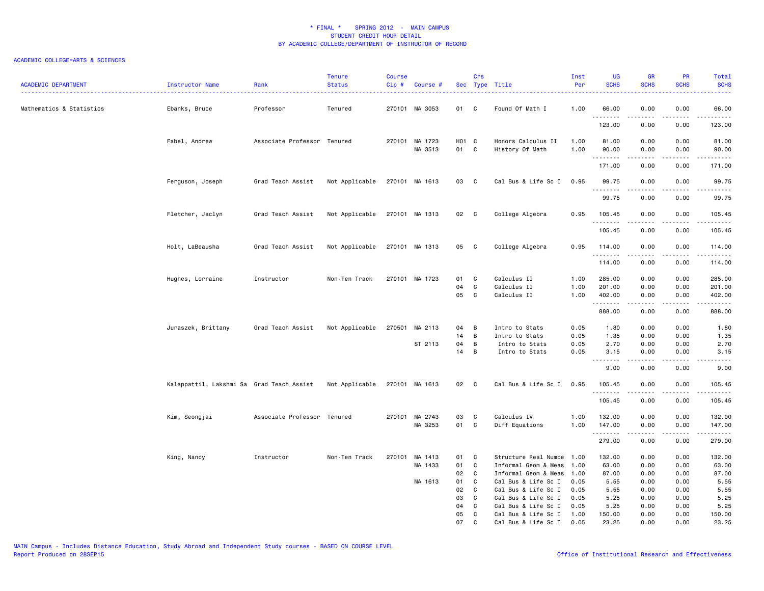| <b>ACADEMIC DEPARTMENT</b> | Instructor Name                           | Rank                        | <b>Tenure</b><br><b>Status</b> | Course<br>Cip# | Course #                  |                  | Crs                              | Sec Type Title                                                       | Inst<br>Per          | <b>UG</b><br><b>SCHS</b>                                           | <b>GR</b><br><b>SCHS</b> | PR<br><b>SCHS</b>            | Total<br><b>SCHS</b>                                                                                                                                          |
|----------------------------|-------------------------------------------|-----------------------------|--------------------------------|----------------|---------------------------|------------------|----------------------------------|----------------------------------------------------------------------|----------------------|--------------------------------------------------------------------|--------------------------|------------------------------|---------------------------------------------------------------------------------------------------------------------------------------------------------------|
| Mathematics & Statistics   | Ebanks, Bruce                             | Professor                   | Tenured                        |                | 270101 MA 3053            | 01 C             |                                  | Found Of Math I                                                      | 1.00                 | 66.00                                                              | 0.00                     | 0.00<br>.                    | 66.00<br>$\frac{1}{2} \left( \frac{1}{2} \right) \left( \frac{1}{2} \right) \left( \frac{1}{2} \right) \left( \frac{1}{2} \right) \left( \frac{1}{2} \right)$ |
|                            |                                           |                             |                                |                |                           |                  |                                  |                                                                      |                      | 123.00                                                             | 0.00                     | 0.00                         | 123.00                                                                                                                                                        |
|                            | Fabel, Andrew                             | Associate Professor Tenured |                                |                | 270101 MA 1723<br>MA 3513 | H01 C<br>01 C    |                                  | Honors Calculus II<br>History Of Math                                | 1.00<br>1.00         | 81.00<br>90.00                                                     | 0.00<br>0.00             | 0.00<br>0.00                 | 81.00<br>90.00                                                                                                                                                |
|                            |                                           |                             |                                |                |                           |                  |                                  |                                                                      |                      | .<br>171.00                                                        | 0.00                     | 0.00                         | .<br>171.00                                                                                                                                                   |
|                            | Ferguson, Joseph                          | Grad Teach Assist           | Not Applicable                 |                | 270101 MA 1613            | 03               | $\overline{\phantom{a}}$ C       | Cal Bus & Life Sc I                                                  | 0.95                 | 99.75                                                              | 0.00                     | 0.00                         | 99.75                                                                                                                                                         |
|                            |                                           |                             |                                |                |                           |                  |                                  |                                                                      |                      | .<br>99.75                                                         | 0.00                     | 0.00                         | $\frac{1}{2} \left( \frac{1}{2} \right) \left( \frac{1}{2} \right) \left( \frac{1}{2} \right) \left( \frac{1}{2} \right)$<br>99.75                            |
|                            | Fletcher, Jaclyn                          | Grad Teach Assist           | Not Applicable                 |                | 270101 MA 1313            | 02 C             |                                  | College Algebra                                                      | 0.95                 | 105.45<br>.                                                        | 0.00<br>.                | 0.00<br>-----                | 105.45<br>.                                                                                                                                                   |
|                            |                                           |                             |                                |                |                           |                  |                                  |                                                                      |                      | 105.45                                                             | 0.00                     | 0.00                         | 105.45                                                                                                                                                        |
|                            | Holt, LaBeausha                           | Grad Teach Assist           | Not Applicable                 |                | 270101 MA 1313            | 05 C             |                                  | College Algebra                                                      | 0.95                 | 114.00<br>.                                                        | 0.00                     | 0.00<br>.                    | 114.00<br>.                                                                                                                                                   |
|                            |                                           |                             |                                |                |                           |                  |                                  |                                                                      |                      | 114.00                                                             | 0.00                     | 0.00                         | 114.00                                                                                                                                                        |
|                            | Hughes, Lorraine                          | Instructor                  | Non-Ten Track                  |                | 270101 MA 1723            | 01<br>04<br>05 C | C<br>$\mathbf c$                 | Calculus II<br>Calculus II<br>Calculus II                            | 1.00<br>1.00<br>1.00 | 285.00<br>201.00<br>402.00                                         | 0.00<br>0.00<br>0.00     | 0.00<br>0.00<br>0.00         | 285.00<br>201.00<br>402.00                                                                                                                                    |
|                            |                                           |                             |                                |                |                           |                  |                                  |                                                                      |                      | .<br>888.00                                                        | 0.00                     | .<br>0.00                    | ------<br>888.00                                                                                                                                              |
|                            | Juraszek, Brittany                        | Grad Teach Assist           | Not Applicable                 |                | 270501 MA 2113            | 04               | B                                | Intro to Stats                                                       | 0.05                 | 1.80                                                               | 0.00                     | 0.00                         | 1.80                                                                                                                                                          |
|                            |                                           |                             |                                |                | ST 2113                   | 14<br>04         | $\overline{B}$<br>$\overline{B}$ | Intro to Stats<br>Intro to Stats                                     | 0.05<br>0.05         | 1.35<br>2.70                                                       | 0.00<br>0.00             | 0.00<br>0.00                 | 1.35<br>2.70                                                                                                                                                  |
|                            |                                           |                             |                                |                |                           | 14               | B                                | Intro to Stats                                                       | 0.05                 | 3.15<br>$\sim$ $\sim$ $\sim$ $\sim$<br>$\sim$ $\sim$ $\sim$ $\sim$ | 0.00<br>.                | 0.00<br>$\sim$ $\sim$ $\sim$ | 3.15<br>.                                                                                                                                                     |
|                            |                                           |                             |                                |                |                           |                  |                                  |                                                                      |                      | 9.00                                                               | 0.00                     | 0.00                         | 9.00                                                                                                                                                          |
|                            | Kalappattil, Lakshmi Sa Grad Teach Assist |                             | Not Applicable                 |                | 270101 MA 1613            | 02 C             |                                  | Cal Bus & Life Sc I                                                  | 0.95                 | 105.45<br><u>.</u>                                                 | 0.00<br>.                | 0.00<br>.                    | 105.45<br>-------                                                                                                                                             |
|                            |                                           |                             |                                |                |                           |                  |                                  |                                                                      |                      | 105.45                                                             | 0.00                     | 0.00                         | 105.45                                                                                                                                                        |
|                            | Kim, Seongjai                             | Associate Professor Tenured |                                |                | 270101 MA 2743<br>MA 3253 | 03<br>01         | $\mathbf{C}$<br>$\mathbf{C}$     | Calculus IV<br>Diff Equations                                        | 1.00<br>1.00         | 132.00<br>147.00                                                   | 0.00<br>0.00             | 0.00<br>0.00                 | 132.00<br>147.00                                                                                                                                              |
|                            |                                           |                             |                                |                |                           |                  |                                  |                                                                      |                      | .<br>279.00                                                        | .<br>0.00                | د د د د<br>0.00              | <u>.</u><br>279.00                                                                                                                                            |
|                            | King, Nancy                               | Instructor                  | Non-Ten Track                  | 270101         | MA 1413<br>MA 1433        | 01<br>01<br>02   | <b>C</b><br>C<br>C               | Structure Real Numbe<br>Informal Geom & Meas<br>Informal Geom & Meas | 1.00<br>1.00<br>1.00 | 132.00<br>63.00<br>87.00                                           | 0.00<br>0.00<br>0.00     | 0.00<br>0.00<br>0.00         | 132.00<br>63.00<br>87.00                                                                                                                                      |
|                            |                                           |                             |                                |                | MA 1613                   | 01               | C                                | Cal Bus & Life Sc I                                                  | 0.05                 | 5.55                                                               | 0.00                     | 0.00                         | 5.55                                                                                                                                                          |
|                            |                                           |                             |                                |                |                           | 02<br>03         | C<br>C                           | Cal Bus & Life Sc I<br>Cal Bus & Life Sc I                           | 0.05<br>0.05         | 5.55<br>5.25                                                       | 0.00<br>0.00             | 0.00<br>0.00                 | 5.55<br>5.25                                                                                                                                                  |
|                            |                                           |                             |                                |                |                           | 04               | C                                | Cal Bus & Life Sc I                                                  | 0.05                 | 5.25                                                               | 0.00                     | 0.00                         | 5.25                                                                                                                                                          |
|                            |                                           |                             |                                |                |                           | 05               | C                                | Cal Bus & Life Sc I                                                  | 1.00                 | 150.00                                                             | 0.00                     | 0.00                         | 150.00                                                                                                                                                        |
|                            |                                           |                             |                                |                |                           | 07               | C                                | Cal Bus & Life Sc I                                                  | 0.05                 | 23.25                                                              | 0.00                     | 0.00                         | 23.25                                                                                                                                                         |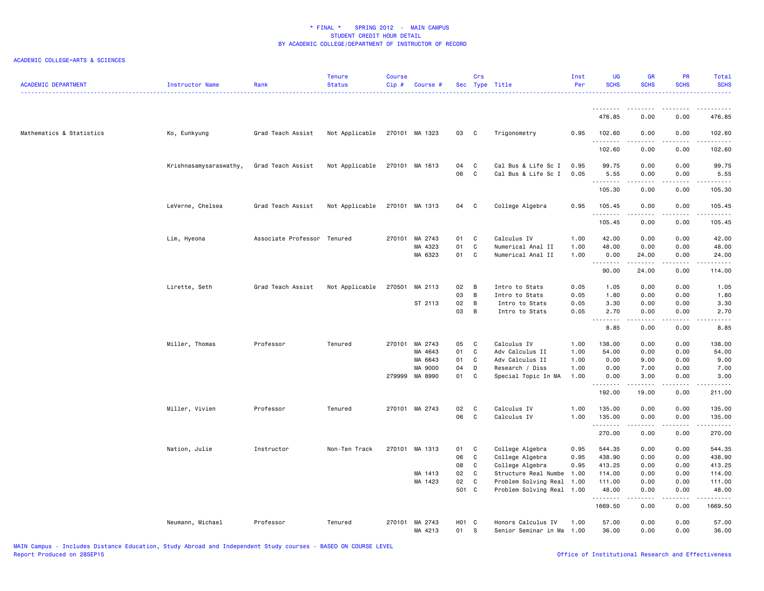| <b>ACADEMIC DEPARTMENT</b> | Instructor Name        | Rank                        | <b>Tenure</b><br><b>Status</b> | Course<br>Cip# | Course #                  |               | Crs                           | Sec Type Title                             | Inst<br>Per  | <b>UG</b><br><b>SCHS</b>                                                                                                                                                                                                                                                                                                                                                                                                                                                                       | <b>GR</b><br><b>SCHS</b>                                                                                                                                     | <b>PR</b><br><b>SCHS</b>            | Total<br><b>SCHS</b><br>.                                                                                   |
|----------------------------|------------------------|-----------------------------|--------------------------------|----------------|---------------------------|---------------|-------------------------------|--------------------------------------------|--------------|------------------------------------------------------------------------------------------------------------------------------------------------------------------------------------------------------------------------------------------------------------------------------------------------------------------------------------------------------------------------------------------------------------------------------------------------------------------------------------------------|--------------------------------------------------------------------------------------------------------------------------------------------------------------|-------------------------------------|-------------------------------------------------------------------------------------------------------------|
|                            |                        |                             |                                |                |                           |               |                               |                                            |              | .                                                                                                                                                                                                                                                                                                                                                                                                                                                                                              |                                                                                                                                                              |                                     |                                                                                                             |
|                            |                        |                             |                                |                |                           |               |                               |                                            |              | 476.85                                                                                                                                                                                                                                                                                                                                                                                                                                                                                         | 0.00                                                                                                                                                         | 0.00                                | 476.85                                                                                                      |
| Mathematics & Statistics   | Ko, Eunkyung           | Grad Teach Assist           | Not Applicable                 |                | 270101 MA 1323            | 03 C          |                               | Trigonometry                               | 0.95         | 102.60<br>.                                                                                                                                                                                                                                                                                                                                                                                                                                                                                    | 0.00                                                                                                                                                         | 0.00                                | 102.60                                                                                                      |
|                            |                        |                             |                                |                |                           |               |                               |                                            |              | 102.60                                                                                                                                                                                                                                                                                                                                                                                                                                                                                         | 0.00                                                                                                                                                         | 0.00                                | 102.60                                                                                                      |
|                            | Krishnasamysaraswathy, | Grad Teach Assist           | Not Applicable                 |                | 270101 MA 1613            | 04            | C                             | Cal Bus & Life Sc I                        | 0.95         | 99.75                                                                                                                                                                                                                                                                                                                                                                                                                                                                                          | 0.00                                                                                                                                                         | 0.00                                | 99.75                                                                                                       |
|                            |                        |                             |                                |                |                           | 06            | C                             | Cal Bus & Life Sc I                        | 0.05         | 5.55<br>$\begin{array}{cccccccccccccc} \multicolumn{2}{c}{} & \multicolumn{2}{c}{} & \multicolumn{2}{c}{} & \multicolumn{2}{c}{} & \multicolumn{2}{c}{} & \multicolumn{2}{c}{} & \multicolumn{2}{c}{} & \multicolumn{2}{c}{} & \multicolumn{2}{c}{} & \multicolumn{2}{c}{} & \multicolumn{2}{c}{} & \multicolumn{2}{c}{} & \multicolumn{2}{c}{} & \multicolumn{2}{c}{} & \multicolumn{2}{c}{} & \multicolumn{2}{c}{} & \multicolumn{2}{c}{} & \multicolumn{2}{c}{} & \multicolumn{2}{c}{} & \$ | 0.00<br>.                                                                                                                                                    | 0.00<br>.                           | 5.55<br>د د د د د د                                                                                         |
|                            |                        |                             |                                |                |                           |               |                               |                                            |              | 105.30                                                                                                                                                                                                                                                                                                                                                                                                                                                                                         | 0.00                                                                                                                                                         | 0.00                                | 105.30                                                                                                      |
|                            | LeVerne, Chelsea       | Grad Teach Assist           | Not Applicable                 |                | 270101 MA 1313            | 04 C          |                               | College Algebra                            | 0.95         | 105.45<br>.                                                                                                                                                                                                                                                                                                                                                                                                                                                                                    | 0.00                                                                                                                                                         | 0.00<br>$\sim$ $\sim$ $\sim$ $\sim$ | 105.45<br>.                                                                                                 |
|                            |                        |                             |                                |                |                           |               |                               |                                            |              | 105.45                                                                                                                                                                                                                                                                                                                                                                                                                                                                                         | 0.00                                                                                                                                                         | 0.00                                | 105.45                                                                                                      |
|                            | Lim, Hyeona            | Associate Professor Tenured |                                |                | 270101 MA 2743            | 01            | $\mathbf{C}$                  | Calculus IV                                | 1.00         | 42.00                                                                                                                                                                                                                                                                                                                                                                                                                                                                                          | 0.00                                                                                                                                                         | 0.00                                | 42.00                                                                                                       |
|                            |                        |                             |                                |                | MA 4323<br>MA 6323        | 01<br>01      | $\mathbf c$<br>C <sub>c</sub> | Numerical Anal II                          | 1.00<br>1.00 | 48.00                                                                                                                                                                                                                                                                                                                                                                                                                                                                                          | 0.00                                                                                                                                                         | 0.00<br>0.00                        | 48.00<br>24.00                                                                                              |
|                            |                        |                             |                                |                |                           |               |                               | Numerical Anal II                          |              | 0.00<br>.                                                                                                                                                                                                                                                                                                                                                                                                                                                                                      | 24.00<br>.                                                                                                                                                   | .                                   | $\begin{array}{cccccccccc} \bullet & \bullet & \bullet & \bullet & \bullet & \bullet & \bullet \end{array}$ |
|                            |                        |                             |                                |                |                           |               |                               |                                            |              | 90.00                                                                                                                                                                                                                                                                                                                                                                                                                                                                                          | 24.00                                                                                                                                                        | 0.00                                | 114.00                                                                                                      |
|                            | Lirette, Seth          | Grad Teach Assist           | Not Applicable                 | 270501         | MA 2113                   | 02            | B                             | Intro to Stats                             | 0.05         | 1.05                                                                                                                                                                                                                                                                                                                                                                                                                                                                                           | 0.00                                                                                                                                                         | 0.00                                | 1.05                                                                                                        |
|                            |                        |                             |                                |                |                           | 03            | B                             | Intro to Stats                             | 0.05         | 1.80                                                                                                                                                                                                                                                                                                                                                                                                                                                                                           | 0.00                                                                                                                                                         | 0.00                                | 1.80                                                                                                        |
|                            |                        |                             |                                |                | ST 2113                   | 02            | $\overline{B}$                | Intro to Stats                             | 0.05         | 3.30                                                                                                                                                                                                                                                                                                                                                                                                                                                                                           | 0.00                                                                                                                                                         | 0.00                                | 3.30                                                                                                        |
|                            |                        |                             |                                |                |                           | 03            | $\overline{B}$                | Intro to Stats                             | 0.05         | 2.70<br>.                                                                                                                                                                                                                                                                                                                                                                                                                                                                                      | 0.00<br>.                                                                                                                                                    | 0.00<br>.                           | 2.70<br>.                                                                                                   |
|                            |                        |                             |                                |                |                           |               |                               |                                            |              | 8.85                                                                                                                                                                                                                                                                                                                                                                                                                                                                                           | 0.00                                                                                                                                                         | 0.00                                | 8.85                                                                                                        |
|                            | Miller, Thomas         | Professor                   | Tenured                        |                | 270101 MA 2743            | 05            | $\mathbf{C}$                  | Calculus IV                                | 1.00         | 138.00                                                                                                                                                                                                                                                                                                                                                                                                                                                                                         | 0.00                                                                                                                                                         | 0.00                                | 138.00                                                                                                      |
|                            |                        |                             |                                |                | MA 4643                   | 01            | C                             | Adv Calculus II                            | 1.00         | 54.00                                                                                                                                                                                                                                                                                                                                                                                                                                                                                          | 0.00                                                                                                                                                         | 0.00                                | 54.00                                                                                                       |
|                            |                        |                             |                                |                | MA 6643                   | 01            | C                             | Adv Calculus II                            | 1.00         | 0.00                                                                                                                                                                                                                                                                                                                                                                                                                                                                                           | 9.00                                                                                                                                                         | 0.00                                | 9.00                                                                                                        |
|                            |                        |                             |                                |                | MA 9000                   | 04            | $\mathsf{D}$                  | Research / Diss                            | 1.00         | 0.00                                                                                                                                                                                                                                                                                                                                                                                                                                                                                           | 7.00                                                                                                                                                         | 0.00                                | 7.00                                                                                                        |
|                            |                        |                             |                                |                | 279999 MA 8990            | 01            | <b>C</b>                      | Special Topic In MA                        | 1.00         | 0.00<br>.                                                                                                                                                                                                                                                                                                                                                                                                                                                                                      | 3.00<br>.                                                                                                                                                    | 0.00<br>.                           | 3.00<br>$- - - - - - -$                                                                                     |
|                            |                        |                             |                                |                |                           |               |                               |                                            |              | 192.00                                                                                                                                                                                                                                                                                                                                                                                                                                                                                         | 19.00                                                                                                                                                        | 0.00                                | 211.00                                                                                                      |
|                            | Miller, Vivien         | Professor                   | Tenured                        |                | 270101 MA 2743            | 02            | C                             | Calculus IV                                | 1.00         | 135.00                                                                                                                                                                                                                                                                                                                                                                                                                                                                                         | 0.00                                                                                                                                                         | 0.00                                | 135.00                                                                                                      |
|                            |                        |                             |                                |                |                           | 06            | $\mathbf{C}$                  | Calculus IV                                | 1.00         | 135.00<br><u>.</u>                                                                                                                                                                                                                                                                                                                                                                                                                                                                             | 0.00<br>.                                                                                                                                                    | 0.00<br>.                           | 135.00<br>.                                                                                                 |
|                            |                        |                             |                                |                |                           |               |                               |                                            |              | 270.00                                                                                                                                                                                                                                                                                                                                                                                                                                                                                         | 0.00                                                                                                                                                         | 0.00                                | 270.00                                                                                                      |
|                            | Nation, Julie          | Instructor                  | Non-Ten Track                  |                | 270101 MA 1313            | 01            | $\mathbf{C}$                  | College Algebra                            | 0.95         | 544.35                                                                                                                                                                                                                                                                                                                                                                                                                                                                                         | 0.00                                                                                                                                                         | 0.00                                | 544.35                                                                                                      |
|                            |                        |                             |                                |                |                           | 06            | C                             | College Algebra                            | 0.95         | 438.90                                                                                                                                                                                                                                                                                                                                                                                                                                                                                         | 0.00                                                                                                                                                         | 0.00                                | 438.90                                                                                                      |
|                            |                        |                             |                                |                |                           | 08            | C                             | College Algebra                            | 0.95         | 413.25                                                                                                                                                                                                                                                                                                                                                                                                                                                                                         | 0.00                                                                                                                                                         | 0.00                                | 413.25                                                                                                      |
|                            |                        |                             |                                |                | MA 1413                   | 02            | $\mathbf{C}$                  | Structure Real Numbe                       | 1.00         | 114.00                                                                                                                                                                                                                                                                                                                                                                                                                                                                                         | 0.00                                                                                                                                                         | 0.00                                | 114.00                                                                                                      |
|                            |                        |                             |                                |                | MA 1423                   | 02            | C                             | Problem Solving Real                       | 1.00         | 111.00                                                                                                                                                                                                                                                                                                                                                                                                                                                                                         | 0.00                                                                                                                                                         | 0.00                                | 111.00                                                                                                      |
|                            |                        |                             |                                |                |                           | 501 C         |                               | Problem Solving Real 1.00                  |              | 48.00<br>.                                                                                                                                                                                                                                                                                                                                                                                                                                                                                     | 0.00<br>$\frac{1}{2} \left( \frac{1}{2} \right) \left( \frac{1}{2} \right) \left( \frac{1}{2} \right) \left( \frac{1}{2} \right) \left( \frac{1}{2} \right)$ | 0.00<br>.                           | 48.00<br>.                                                                                                  |
|                            |                        |                             |                                |                |                           |               |                               |                                            |              | 1669.50                                                                                                                                                                                                                                                                                                                                                                                                                                                                                        | 0.00                                                                                                                                                         | 0.00                                | 1669.50                                                                                                     |
|                            | Neumann, Michael       | Professor                   | Tenured                        |                | 270101 MA 2743<br>MA 4213 | H01 C<br>01 S |                               | Honors Calculus IV<br>Senior Seminar in Ma | 1.00<br>1.00 | 57.00<br>36.00                                                                                                                                                                                                                                                                                                                                                                                                                                                                                 | 0.00<br>0.00                                                                                                                                                 | 0.00<br>0.00                        | 57.00<br>36.00                                                                                              |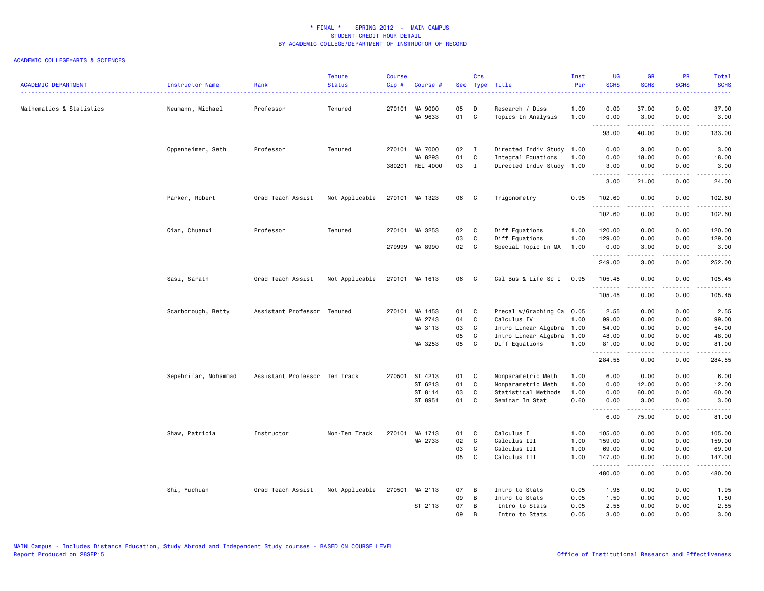| <b>ACADEMIC DEPARTMENT</b> |                      |                               | <b>Tenure</b>  | <b>Course</b> | Course #        |     | Crs            |                           | Inst<br>Per | <b>UG</b><br><b>SCHS</b> | <b>GR</b><br><b>SCHS</b> | PR<br><b>SCHS</b>                                                                                                                 | Total<br><b>SCHS</b>                                                                                                                                         |
|----------------------------|----------------------|-------------------------------|----------------|---------------|-----------------|-----|----------------|---------------------------|-------------|--------------------------|--------------------------|-----------------------------------------------------------------------------------------------------------------------------------|--------------------------------------------------------------------------------------------------------------------------------------------------------------|
|                            | Instructor Name      | Rank                          | <b>Status</b>  | Cip#          |                 |     |                | Sec Type Title            |             |                          |                          |                                                                                                                                   | .                                                                                                                                                            |
| Mathematics & Statistics   | Neumann, Michael     | Professor                     | Tenured        |               | 270101 MA 9000  | 05  | D              | Research / Diss           | 1.00        | 0.00                     | 37.00                    | 0.00                                                                                                                              | 37.00                                                                                                                                                        |
|                            |                      |                               |                |               | MA 9633         | 01  | C              | Topics In Analysis        | 1.00        | 0.00<br>.                | 3.00<br>$- - - - -$      | 0.00<br>.                                                                                                                         | 3.00<br><u>.</u>                                                                                                                                             |
|                            |                      |                               |                |               |                 |     |                |                           |             | 93.00                    | 40.00                    | 0.00                                                                                                                              | 133.00                                                                                                                                                       |
|                            | Oppenheimer, Seth    | Professor                     | Tenured        |               | 270101 MA 7000  | 02  | $\blacksquare$ | Directed Indiv Study 1.00 |             | 0.00                     | 3.00                     | 0.00                                                                                                                              | 3.00                                                                                                                                                         |
|                            |                      |                               |                |               | MA 8293         | 01  | C              | Integral Equations        | 1.00        | 0.00                     | 18.00                    | 0.00                                                                                                                              | 18.00                                                                                                                                                        |
|                            |                      |                               |                |               | 380201 REL 4000 | 03  | $\mathbf{I}$   | Directed Indiv Study 1.00 |             | 3.00<br>.                | 0.00<br><u>.</u>         | 0.00<br>.                                                                                                                         | 3.00<br>$\frac{1}{2} \left( \frac{1}{2} \right) \left( \frac{1}{2} \right) \left( \frac{1}{2} \right) \left( \frac{1}{2} \right) \left( \frac{1}{2} \right)$ |
|                            |                      |                               |                |               |                 |     |                |                           |             | 3.00                     | 21.00                    | 0.00                                                                                                                              | 24.00                                                                                                                                                        |
|                            | Parker, Robert       | Grad Teach Assist             | Not Applicable |               | 270101 MA 1323  | 06  | C              | Trigonometry              | 0.95        | 102.60<br>.              | 0.00<br>.                | 0.00<br>$\frac{1}{2} \left( \frac{1}{2} \right) \left( \frac{1}{2} \right) \left( \frac{1}{2} \right) \left( \frac{1}{2} \right)$ | 102.60                                                                                                                                                       |
|                            |                      |                               |                |               |                 |     |                |                           |             | 102.60                   | 0.00                     | 0.00                                                                                                                              | 102.60                                                                                                                                                       |
|                            | Qian, Chuanxi        | Professor                     | Tenured        |               | 270101 MA 3253  | 02  | C              | Diff Equations            | 1.00        | 120.00                   | 0.00                     | 0.00                                                                                                                              | 120.00                                                                                                                                                       |
|                            |                      |                               |                |               |                 | 03  | C              | Diff Equations            | 1.00        | 129.00                   | 0.00                     | 0.00                                                                                                                              | 129.00                                                                                                                                                       |
|                            |                      |                               |                |               | 279999 MA 8990  | 02  | C              | Special Topic In MA       | 1.00        | 0.00<br>.                | 3.00<br>22222            | 0.00<br>.                                                                                                                         | 3.00<br>.                                                                                                                                                    |
|                            |                      |                               |                |               |                 |     |                |                           |             | 249.00                   | 3.00                     | 0.00                                                                                                                              | 252.00                                                                                                                                                       |
|                            | Sasi, Sarath         | Grad Teach Assist             | Not Applicable |               | 270101 MA 1613  | 06  | $\mathbf{C}$   | Cal Bus & Life Sc I 0.95  |             | 105.45                   | 0.00                     | 0.00                                                                                                                              | 105.45                                                                                                                                                       |
|                            |                      |                               |                |               |                 |     |                |                           |             | .<br>105.45              | .<br>0.00                | .<br>0.00                                                                                                                         | 1.1.1.1.1<br>105.45                                                                                                                                          |
|                            | Scarborough, Betty   | Assistant Professor Tenured   |                |               | 270101 MA 1453  | 01  | C              | Precal w/Graphing Ca 0.05 |             | 2.55                     | 0.00                     | 0.00                                                                                                                              | 2.55                                                                                                                                                         |
|                            |                      |                               |                |               | MA 2743         | 04  | C              | Calculus IV               | 1.00        | 99.00                    | 0.00                     | 0.00                                                                                                                              | 99.00                                                                                                                                                        |
|                            |                      |                               |                |               | MA 3113         | 03  | C              | Intro Linear Algebra 1.00 |             | 54.00                    | 0.00                     | 0.00                                                                                                                              | 54.00                                                                                                                                                        |
|                            |                      |                               |                |               |                 | 05  | C              | Intro Linear Algebra      | 1.00        | 48.00                    | 0.00                     | 0.00                                                                                                                              | 48.00                                                                                                                                                        |
|                            |                      |                               |                |               | MA 3253         | 05  | $\mathbf c$    | Diff Equations            | 1.00        | 81.00<br><u>.</u>        | 0.00                     | 0.00                                                                                                                              | 81.00<br>د د د د د                                                                                                                                           |
|                            |                      |                               |                |               |                 |     |                |                           |             | 284.55                   | 0.00                     | 0.00                                                                                                                              | 284.55                                                                                                                                                       |
|                            | Sepehrifar, Mohammad | Assistant Professor Ten Track |                |               | 270501 ST 4213  | 01  | C              | Nonparametric Meth        | 1.00        | 6.00                     | 0.00                     | 0.00                                                                                                                              | 6.00                                                                                                                                                         |
|                            |                      |                               |                |               | ST 6213         | 01  | C              | Nonparametric Meth        | 1.00        | 0.00                     | 12.00                    | 0.00                                                                                                                              | 12.00                                                                                                                                                        |
|                            |                      |                               |                |               | ST 8114         | 03  | C              | Statistical Methods       | 1.00        | 0.00                     | 60.00                    | 0.00                                                                                                                              | 60.00                                                                                                                                                        |
|                            |                      |                               |                |               | ST 8951         | 01  | C              | Seminar In Stat           | 0.60        | 0.00<br>.                | 3.00<br>.                | 0.00<br>.                                                                                                                         | 3.00<br>.                                                                                                                                                    |
|                            |                      |                               |                |               |                 |     |                |                           |             | 6.00                     | 75.00                    | 0.00                                                                                                                              | 81.00                                                                                                                                                        |
|                            | Shaw, Patricia       | Instructor                    | Non-Ten Track  | 270101        | MA 1713         | 01  | C              | Calculus I                | 1.00        | 105.00                   | 0.00                     | 0.00                                                                                                                              | 105.00                                                                                                                                                       |
|                            |                      |                               |                |               | MA 2733         | 02  | C              | Calculus III              | 1.00        | 159.00                   | 0.00                     | 0.00                                                                                                                              | 159.00                                                                                                                                                       |
|                            |                      |                               |                |               |                 | 03  | C              | Calculus III              | 1.00        | 69.00                    | 0.00                     | 0.00                                                                                                                              | 69.00                                                                                                                                                        |
|                            |                      |                               |                |               |                 | 05  | C              | Calculus III              | 1.00        | 147.00<br>.              | 0.00                     | 0.00<br>.                                                                                                                         | 147.00<br>.                                                                                                                                                  |
|                            |                      |                               |                |               |                 |     |                |                           |             | 480.00                   | 0.00                     | 0.00                                                                                                                              | 480.00                                                                                                                                                       |
|                            | Shi, Yuchuan         | Grad Teach Assist             | Not Applicable |               | 270501 MA 2113  | 07  | B              | Intro to Stats            | 0.05        | 1.95                     | 0.00                     | 0.00                                                                                                                              | 1.95                                                                                                                                                         |
|                            |                      |                               |                |               |                 | 09  | B              | Intro to Stats            | 0.05        | 1.50                     | 0.00                     | 0.00                                                                                                                              | 1.50                                                                                                                                                         |
|                            |                      |                               |                |               | ST 2113         | 07  | B              | Intro to Stats            | 0.05        | 2.55                     | 0.00                     | 0.00                                                                                                                              | 2.55                                                                                                                                                         |
|                            |                      |                               |                |               |                 | 0.9 | <b>B</b>       | Intro to Stats            | 0.05        | 3.00                     | 0.00                     | 0.00                                                                                                                              | 3.00                                                                                                                                                         |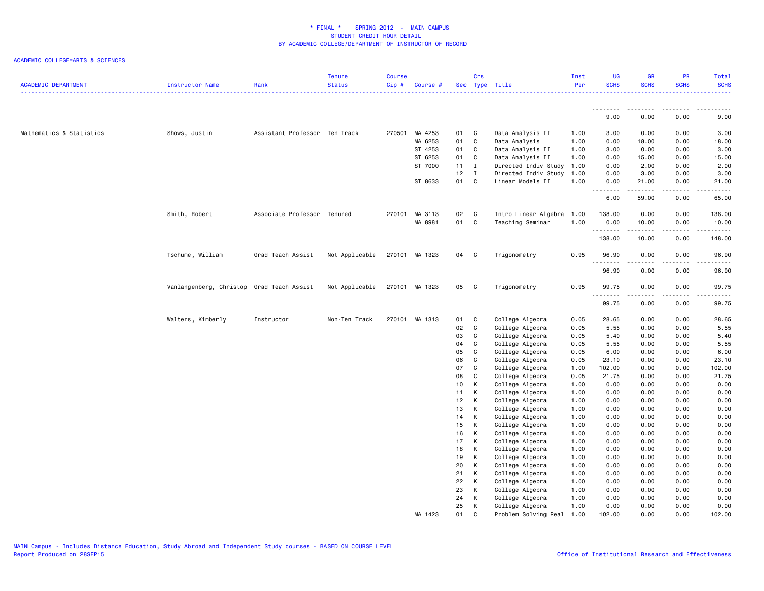| <b>ACADEMIC DEPARTMENT</b> | Instructor Name         | Rank                          | <b>Tenure</b><br><b>Status</b> | <b>Course</b><br>$Cip$ # | Course #       |      | Crs          | Sec Type Title       | Inst<br>Per | UG<br><b>SCHS</b> | <b>GR</b><br><b>SCHS</b> | PR<br><b>SCHS</b>                   | Total<br><b>SCHS</b><br>.                                                                                                                                     |
|----------------------------|-------------------------|-------------------------------|--------------------------------|--------------------------|----------------|------|--------------|----------------------|-------------|-------------------|--------------------------|-------------------------------------|---------------------------------------------------------------------------------------------------------------------------------------------------------------|
|                            |                         |                               |                                |                          |                |      |              |                      |             | .                 | <u>.</u>                 | .                                   | $\frac{1}{2}$                                                                                                                                                 |
|                            |                         |                               |                                |                          |                |      |              |                      |             | 9.00              | 0.00                     | 0.00                                | 9.00                                                                                                                                                          |
| Mathematics & Statistics   | Shows, Justin           | Assistant Professor Ten Track |                                |                          | 270501 MA 4253 | 01 C |              | Data Analysis II     | 1.00        | 3.00              | 0.00                     | 0.00                                | 3.00                                                                                                                                                          |
|                            |                         |                               |                                |                          | MA 6253        | 01   | $\mathbf c$  | Data Analysis        | 1.00        | 0.00              | 18.00                    | 0.00                                | 18.00                                                                                                                                                         |
|                            |                         |                               |                                |                          | ST 4253        | 01   | C            | Data Analysis II     | 1.00        | 3.00              | 0.00                     | 0.00                                | 3.00                                                                                                                                                          |
|                            |                         |                               |                                |                          | ST 6253        | 01   | C            | Data Analysis II     | 1.00        | 0.00              | 15.00                    | 0.00                                | 15.00                                                                                                                                                         |
|                            |                         |                               |                                |                          | ST 7000        | 11   | $\mathbf{I}$ | Directed Indiv Study | 1.00        | 0.00              | 2.00                     | 0.00                                | 2.00                                                                                                                                                          |
|                            |                         |                               |                                |                          |                | 12   | $\mathbf{I}$ | Directed Indiv Study | 1.00        | 0.00              | 3.00                     | 0.00                                | 3.00                                                                                                                                                          |
|                            |                         |                               |                                |                          | ST 8633        | 01   | $\mathbf{C}$ | Linear Models II     | 1.00        | 0.00<br>.         | 21.00<br><b>.</b>        | 0.00<br>$\sim$ $\sim$ $\sim$ $\sim$ | 21.00<br>$\frac{1}{2} \left( \frac{1}{2} \right) \left( \frac{1}{2} \right) \left( \frac{1}{2} \right) \left( \frac{1}{2} \right) \left( \frac{1}{2} \right)$ |
|                            |                         |                               |                                |                          |                |      |              |                      |             | 6.00              | 59.00                    | 0.00                                | 65.00                                                                                                                                                         |
|                            | Smith, Robert           | Associate Professor Tenured   |                                |                          | 270101 MA 3113 | 02   | $\mathbf{C}$ | Intro Linear Algebra | 1.00        | 138.00            | 0.00                     | 0.00                                | 138.00                                                                                                                                                        |
|                            |                         |                               |                                |                          | MA 8981        | 01 C |              | Teaching Seminar     | 1.00        | 0.00<br>.         | 10.00<br>.               | 0.00<br>.                           | 10.00                                                                                                                                                         |
|                            |                         |                               |                                |                          |                |      |              |                      |             | 138.00            | 10.00                    | 0.00                                | 148.00                                                                                                                                                        |
|                            | Tschume, William        | Grad Teach Assist             | Not Applicable                 |                          | 270101 MA 1323 | 04 C |              | Trigonometry         | 0.95        | 96.90<br>.        | 0.00                     | 0.00                                | 96.90                                                                                                                                                         |
|                            |                         |                               |                                |                          |                |      |              |                      |             | 96.90             | 0.00                     | 0.00                                | 96.90                                                                                                                                                         |
|                            | Vanlangenberg, Christop | Grad Teach Assist             | Not Applicable                 |                          | 270101 MA 1323 | 05   | $\mathbf{C}$ | Trigonometry         | 0.95        | 99.75<br>.        | 0.00<br>.                | 0.00<br>$- - -$                     | 99.75<br>.                                                                                                                                                    |
|                            |                         |                               |                                |                          |                |      |              |                      |             | 99.75             | 0.00                     | 0.00                                | 99.75                                                                                                                                                         |
|                            | Walters, Kimberly       | Instructor                    | Non-Ten Track                  |                          | 270101 MA 1313 | 01   | $\mathbf{C}$ | College Algebra      | 0.05        | 28.65             | 0.00                     | 0.00                                | 28.65                                                                                                                                                         |
|                            |                         |                               |                                |                          |                | 02   | $\mathbf c$  | College Algebra      | 0.05        | 5.55              | 0.00                     | 0.00                                | 5.55                                                                                                                                                          |
|                            |                         |                               |                                |                          |                | 03   | C            | College Algebra      | 0.05        | 5.40              | 0.00                     | 0.00                                | 5.40                                                                                                                                                          |
|                            |                         |                               |                                |                          |                | 04   | $\mathtt{C}$ | College Algebra      | 0.05        | 5.55              | 0.00                     | 0.00                                | 5.55                                                                                                                                                          |
|                            |                         |                               |                                |                          |                | 05   | C            | College Algebra      | 0.05        | 6.00              | 0.00                     | 0.00                                | 6.00                                                                                                                                                          |
|                            |                         |                               |                                |                          |                | 06   | $\mathtt{C}$ | College Algebra      | 0.05        | 23.10             | 0.00                     | 0.00                                | 23.10                                                                                                                                                         |
|                            |                         |                               |                                |                          |                | 07   | C            | College Algebra      | 1.00        | 102.00            | 0.00                     | 0.00                                | 102.00                                                                                                                                                        |
|                            |                         |                               |                                |                          |                | 08   | C            | College Algebra      | 0.05        | 21.75             | 0.00                     | 0.00                                | 21.75                                                                                                                                                         |
|                            |                         |                               |                                |                          |                | 10   | К            | College Algebra      | 1.00        | 0.00              | 0.00                     | 0.00                                | 0.00                                                                                                                                                          |
|                            |                         |                               |                                |                          |                | 11   | K            | College Algebra      | 1.00        | 0.00              | 0.00                     | 0.00                                | 0.00                                                                                                                                                          |
|                            |                         |                               |                                |                          |                | 12   | К            | College Algebra      | 1.00        | 0.00              | 0.00                     | 0.00                                | 0.00                                                                                                                                                          |
|                            |                         |                               |                                |                          |                | 13   | K            | College Algebra      | 1.00        | 0.00              | 0.00                     | 0.00                                | 0.00                                                                                                                                                          |
|                            |                         |                               |                                |                          |                | 14   | K            | College Algebra      | 1.00        | 0.00              | 0.00                     | 0.00                                | 0.00                                                                                                                                                          |
|                            |                         |                               |                                |                          |                | 15   | K            | College Algebra      | 1.00        | 0.00              | 0.00                     | 0.00                                | 0.00                                                                                                                                                          |
|                            |                         |                               |                                |                          |                | 16   | K            | College Algebra      | 1.00        | 0.00              | 0.00                     | 0.00                                | 0.00                                                                                                                                                          |
|                            |                         |                               |                                |                          |                | 17   | К            | College Algebra      | 1.00        | 0.00              | 0.00                     | 0.00                                | 0.00                                                                                                                                                          |
|                            |                         |                               |                                |                          |                | 18   | K            | College Algebra      | 1.00        | 0.00              | 0.00                     | 0.00                                | 0.00                                                                                                                                                          |
|                            |                         |                               |                                |                          |                | 19   | К            | College Algebra      | 1.00        | 0.00              | 0.00                     | 0.00                                | 0.00                                                                                                                                                          |
|                            |                         |                               |                                |                          |                | 20   | К            | College Algebra      | 1.00        | 0.00              | 0.00                     | 0.00                                | 0.00                                                                                                                                                          |
|                            |                         |                               |                                |                          |                | 21   | К            | College Algebra      | 1.00        | 0.00              | 0.00                     | 0.00                                | 0.00                                                                                                                                                          |
|                            |                         |                               |                                |                          |                | 22   | К            | College Algebra      | 1.00        | 0.00              | 0.00                     | 0.00                                | 0.00                                                                                                                                                          |
|                            |                         |                               |                                |                          |                | 23   | К            | College Algebra      | 1.00        | 0.00              | 0.00                     | 0.00                                | 0.00                                                                                                                                                          |
|                            |                         |                               |                                |                          |                | 24   | К            | College Algebra      | 1.00        | 0.00              | 0.00                     | 0.00                                | 0.00                                                                                                                                                          |
|                            |                         |                               |                                |                          |                | 25   | К            | College Algebra      | 1.00        | 0.00              | 0.00                     | 0.00                                | 0.00                                                                                                                                                          |
|                            |                         |                               |                                |                          | MA 1423        | 01   | C            | Problem Solving Real | 1.00        | 102.00            | 0.00                     | 0.00                                | 102.00                                                                                                                                                        |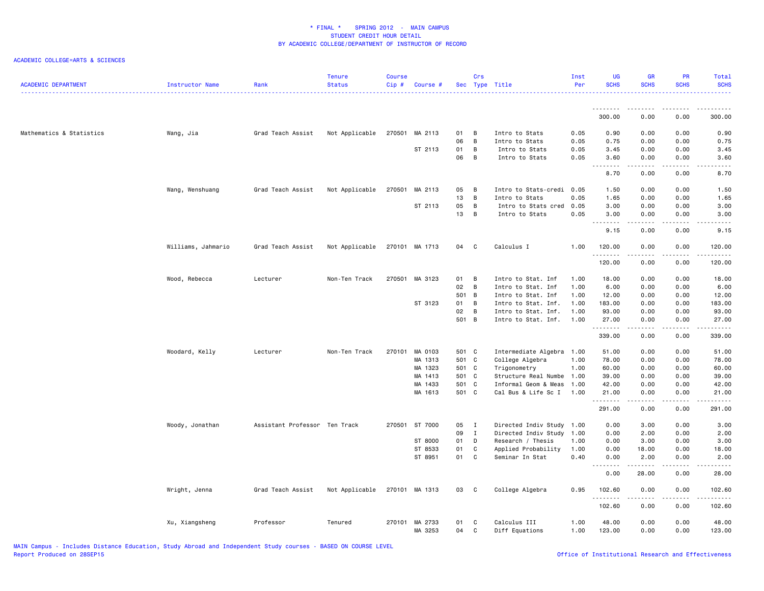| <b>ACADEMIC DEPARTMENT</b> | <b>Instructor Name</b> | Rank                          | <b>Tenure</b><br><b>Status</b> | Course<br>Cip# | Course #                  |          | Crs            | Sec Type Title                 | Inst<br>Per  | UG<br><b>SCHS</b> | <b>GR</b><br><b>SCHS</b>            | <b>PR</b><br><b>SCHS</b> | <b>Total</b><br><b>SCHS</b>                                                                                                                                  |
|----------------------------|------------------------|-------------------------------|--------------------------------|----------------|---------------------------|----------|----------------|--------------------------------|--------------|-------------------|-------------------------------------|--------------------------|--------------------------------------------------------------------------------------------------------------------------------------------------------------|
|                            |                        |                               |                                |                |                           |          |                |                                |              | .                 |                                     |                          |                                                                                                                                                              |
|                            |                        |                               |                                |                |                           |          |                |                                |              | 300.00            | 0.00                                | 0.00                     | 300.00                                                                                                                                                       |
| Mathematics & Statistics   | Wang, Jia              | Grad Teach Assist             | Not Applicable                 |                | 270501 MA 2113            | 01       | $\overline{B}$ | Intro to Stats                 | 0.05         | 0.90              | 0.00                                | 0.00                     | 0.90                                                                                                                                                         |
|                            |                        |                               |                                |                |                           | 06       | $\overline{B}$ | Intro to Stats                 | 0.05         | 0.75              | 0.00                                | 0.00                     | 0.75                                                                                                                                                         |
|                            |                        |                               |                                |                | ST 2113                   | 01       | $\overline{B}$ | Intro to Stats                 | 0.05         | 3.45              | 0.00                                | 0.00                     | 3.45                                                                                                                                                         |
|                            |                        |                               |                                |                |                           | 06       | $\overline{B}$ | Intro to Stats                 | 0.05         | 3.60<br>.         | 0.00                                | 0.00                     | 3.60                                                                                                                                                         |
|                            |                        |                               |                                |                |                           |          |                |                                |              | 8.70              | 0.00                                | 0.00                     | 8.70                                                                                                                                                         |
|                            | Wang, Wenshuang        | Grad Teach Assist             | Not Applicable                 |                | 270501 MA 2113            | 05       | $\overline{B}$ | Intro to Stats-credi 0.05      |              | 1.50              | 0.00                                | 0.00                     | 1.50                                                                                                                                                         |
|                            |                        |                               |                                |                |                           | 13       | $\overline{B}$ | Intro to Stats                 | 0.05         | 1.65              | 0.00                                | 0.00                     | 1.65                                                                                                                                                         |
|                            |                        |                               |                                |                | ST 2113                   | 05       | $\overline{B}$ | Intro to Stats cred            | 0.05         | 3.00              | 0.00                                | 0.00                     | 3.00                                                                                                                                                         |
|                            |                        |                               |                                |                |                           | 13       | $\overline{B}$ | Intro to Stats                 | 0.05         | 3.00<br>.         | 0.00<br>$\sim$ $\sim$ $\sim$ $\sim$ | 0.00<br>.                | 3.00<br>$\frac{1}{2} \left( \frac{1}{2} \right) \left( \frac{1}{2} \right) \left( \frac{1}{2} \right) \left( \frac{1}{2} \right) \left( \frac{1}{2} \right)$ |
|                            |                        |                               |                                |                |                           |          |                |                                |              | 9.15              | 0.00                                | 0.00                     | 9.15                                                                                                                                                         |
|                            | Williams, Jahmario     | Grad Teach Assist             | Not Applicable                 |                | 270101 MA 1713            | 04 C     |                | Calculus I                     | 1.00         | 120.00<br>.       | 0.00                                | 0.00                     | 120.00<br>.                                                                                                                                                  |
|                            |                        |                               |                                |                |                           |          |                |                                |              | 120.00            | 0.00                                | 0.00                     | 120.00                                                                                                                                                       |
|                            | Wood, Rebecca          | Lecturer                      | Non-Ten Track                  |                | 270501 MA 3123            | 01 B     |                | Intro to Stat. Inf             | 1.00         | 18.00             | 0.00                                | 0.00                     | 18.00                                                                                                                                                        |
|                            |                        |                               |                                |                |                           | 02       | B              | Intro to Stat. Inf             | 1.00         | 6.00              | 0.00                                | 0.00                     | 6.00                                                                                                                                                         |
|                            |                        |                               |                                |                |                           | 501 B    |                | Intro to Stat. Inf             | 1.00         | 12.00             | 0.00                                | 0.00                     | 12.00                                                                                                                                                        |
|                            |                        |                               |                                |                | ST 3123                   | 01 B     |                | Intro to Stat. Inf.            | 1.00         | 183.00            | 0.00                                | 0.00                     | 183.00                                                                                                                                                       |
|                            |                        |                               |                                |                |                           | 02       | $\overline{B}$ | Intro to Stat. Inf.            | 1.00         | 93.00             | 0.00                                | 0.00                     | 93.00                                                                                                                                                        |
|                            |                        |                               |                                |                |                           | 501 B    |                | Intro to Stat. Inf.            | 1.00         | 27.00<br>.        | 0.00                                | 0.00                     | 27.00<br>.                                                                                                                                                   |
|                            |                        |                               |                                |                |                           |          |                |                                |              | 339.00            | 0.00                                | 0.00                     | 339.00                                                                                                                                                       |
|                            | Woodard, Kelly         | Lecturer                      | Non-Ten Track                  | 270101         | MA 0103                   | 501 C    |                | Intermediate Algebra 1.00      |              | 51.00             | 0.00                                | 0.00                     | 51.00                                                                                                                                                        |
|                            |                        |                               |                                |                | MA 1313                   | 501 C    |                | College Algebra                | 1.00         | 78.00             | 0.00                                | 0.00                     | 78.00                                                                                                                                                        |
|                            |                        |                               |                                |                | MA 1323                   | 501 C    |                | Trigonometry                   | 1.00         | 60.00             | 0.00                                | 0.00                     | 60.00                                                                                                                                                        |
|                            |                        |                               |                                |                | MA 1413                   | 501 C    |                | Structure Real Numbe           | 1.00         | 39.00             | 0.00                                | 0.00                     | 39.00                                                                                                                                                        |
|                            |                        |                               |                                |                | MA 1433                   | 501 C    |                | Informal Geom & Meas           | 1.00         | 42.00             | 0.00                                | 0.00                     | 42.00                                                                                                                                                        |
|                            |                        |                               |                                |                | MA 1613                   | 501 C    |                | Cal Bus & Life Sc I            | 1.00         | 21.00<br>.        | 0.00                                | 0.00<br>.                | 21.00<br>$\sim$ $\sim$ $\sim$ $\sim$ $\sim$                                                                                                                  |
|                            |                        |                               |                                |                |                           |          |                |                                |              | 291.00            | 0.00                                | 0.00                     | 291.00                                                                                                                                                       |
|                            | Woody, Jonathan        | Assistant Professor Ten Track |                                |                | 270501 ST 7000            | 05 I     |                | Directed Indiv Study 1.00      |              | 0.00              | 3.00                                | 0.00                     | 3.00                                                                                                                                                         |
|                            |                        |                               |                                |                |                           | 09       | $\mathbf I$    | Directed Indiv Study           | 1.00         | 0.00              | 2.00                                | 0.00                     | 2.00                                                                                                                                                         |
|                            |                        |                               |                                |                | ST 8000                   | 01       | $\mathsf{D}$   | Research / Thesis              | 1.00         | 0.00              | 3.00                                | 0.00                     | 3.00                                                                                                                                                         |
|                            |                        |                               |                                |                | ST 8533                   | 01       | $\mathbf{C}$   | Applied Probability            | 1.00         | 0.00              | 18.00                               | 0.00                     | 18.00                                                                                                                                                        |
|                            |                        |                               |                                |                | ST 8951                   | 01       | C              | Seminar In Stat                | 0.40         | 0.00<br>.         | 2.00                                | 0.00<br>.                | 2.00<br>$\frac{1}{2}$                                                                                                                                        |
|                            |                        |                               |                                |                |                           |          |                |                                |              | 0.00              | .<br>28.00                          | 0.00                     | 28.00                                                                                                                                                        |
|                            | Wright, Jenna          | Grad Teach Assist             | Not Applicable                 |                | 270101 MA 1313            | 03 C     |                | College Algebra                | 0.95         | 102.60            | 0.00                                | 0.00                     | 102.60                                                                                                                                                       |
|                            |                        |                               |                                |                |                           |          |                |                                |              | .<br>102.60       | -----<br>0.00                       | د د د د<br>0.00          | 102.60                                                                                                                                                       |
|                            | Xu, Xiangsheng         | Professor                     | Tenured                        |                | 270101 MA 2733<br>MA 3253 | 01<br>04 | C<br>C         | Calculus III<br>Diff Equations | 1.00<br>1.00 | 48.00<br>123.00   | 0.00<br>0.00                        | 0.00<br>0.00             | 48.00<br>123.00                                                                                                                                              |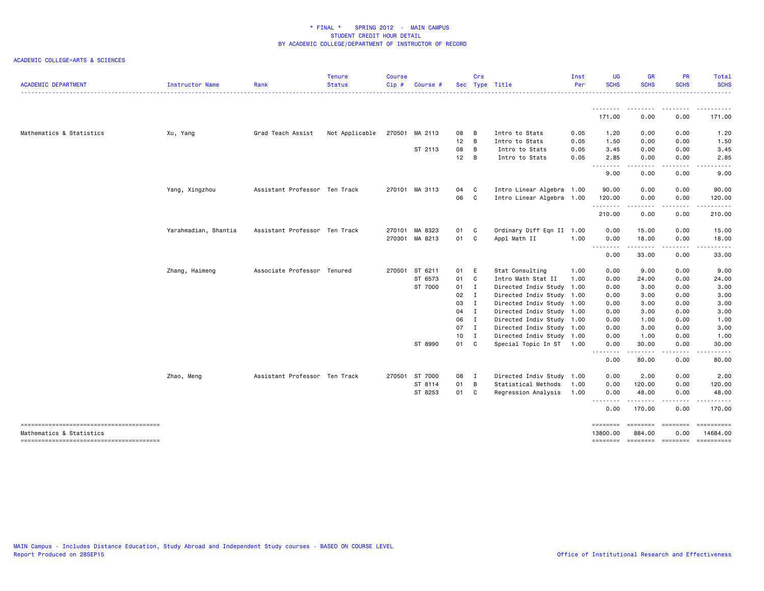| <b>ACADEMIC DEPARTMENT</b> | Instructor Name      | Rank                          | <b>Tenure</b><br><b>Status</b> | <b>Course</b><br>Cip# | Course         |        | Crs          | Sec Type Title            | Inst<br>Per | <b>UG</b><br><b>SCHS</b> | <b>GR</b><br><b>SCHS</b>     | <b>PR</b><br><b>SCHS</b> | Total<br><b>SCHS</b> |
|----------------------------|----------------------|-------------------------------|--------------------------------|-----------------------|----------------|--------|--------------|---------------------------|-------------|--------------------------|------------------------------|--------------------------|----------------------|
|                            |                      |                               |                                |                       |                |        |              |                           |             | --------                 | ---------                    | <u>.</u>                 | .                    |
|                            |                      |                               |                                |                       |                |        |              |                           |             | 171.00                   | 0.00                         | 0.00                     | 171.00               |
| Mathematics & Statistics   | Xu, Yang             | Grad Teach Assist             | Not Applicable                 | 270501                | MA 2113        | 08     | В            | Intro to Stats            | 0.05        | 1.20                     | 0.00                         | 0.00                     | 1.20                 |
|                            |                      |                               |                                |                       |                | 12     | B            | Intro to Stats            | 0.05        | 1.50                     | 0.00                         | 0.00                     | 1.50                 |
|                            |                      |                               |                                |                       | ST 2113        | 08     | B            | Intro to Stats            | 0.05        | 3.45                     | 0.00                         | 0.00                     | 3.45                 |
|                            |                      |                               |                                |                       |                | 12     | B            | Intro to Stats            | 0.05        | 2.85<br>.                | 0.00                         | 0.00                     | 2.85                 |
|                            |                      |                               |                                |                       |                |        |              |                           |             | 9.00                     | -----<br>0.00                | .<br>0.00                | .<br>9.00            |
|                            | Yang, Xingzhou       | Assistant Professor Ten Track |                                |                       | 270101 MA 3113 | 04     | C            | Intro Linear Algebra 1.00 |             | 90.00                    | 0.00                         | 0.00                     | 90.00                |
|                            |                      |                               |                                |                       |                | 06     | $\mathbf{C}$ | Intro Linear Algebra 1.00 |             | 120.00                   | 0.00                         | 0.00                     | 120.00               |
|                            |                      |                               |                                |                       |                |        |              |                           |             | .<br>210.00              | .<br>0.00                    | . <b>.</b><br>0.00       | <u>.</u><br>210.00   |
|                            | Yarahmadian, Shantia | Assistant Professor Ten Track |                                |                       | 270101 MA 8323 | 01     | C            | Ordinary Diff Eqn II 1.00 |             | 0.00                     | 15.00                        | 0.00                     | 15.00                |
|                            |                      |                               |                                |                       | 270301 MA 8213 | 01     | C            | Appl Math II              | 1.00        | 0.00                     | 18.00                        | 0.00                     | 18.00                |
|                            |                      |                               |                                |                       |                |        |              |                           |             | 0.00                     | .<br>33.00                   | .<br>0.00                | .<br>33.00           |
|                            | Zhang, Haimeng       | Associate Professor Tenured   |                                |                       | 270501 ST 6211 | 01     | E            | Stat Consulting           | 1.00        | 0.00                     | 9.00                         | 0.00                     | 9.00                 |
|                            |                      |                               |                                |                       | ST 6573        | 01     | C            | Intro Math Stat II        | 1.00        | 0.00                     | 24.00                        | 0.00                     | 24.00                |
|                            |                      |                               |                                |                       | ST 7000        | $01$ I |              | Directed Indiv Study 1.00 |             | 0.00                     | 3.00                         | 0.00                     | 3.00                 |
|                            |                      |                               |                                |                       |                | 02     | I            | Directed Indiv Study 1.00 |             | 0.00                     | 3.00                         | 0.00                     | 3.00                 |
|                            |                      |                               |                                |                       |                | 03     | $\mathbf{I}$ | Directed Indiv Study 1.00 |             | 0.00                     | 3.00                         | 0.00                     | 3.00                 |
|                            |                      |                               |                                |                       |                | 04     | $\mathbf{I}$ | Directed Indiv Study 1.00 |             | 0.00                     | 3.00                         | 0.00                     | 3.00                 |
|                            |                      |                               |                                |                       |                | 06 I   |              | Directed Indiv Study 1.00 |             | 0.00                     | 1.00                         | 0.00                     | 1.00                 |
|                            |                      |                               |                                |                       |                | 07 I   |              | Directed Indiv Study 1.00 |             | 0.00                     | 3.00                         | 0.00                     | 3.00                 |
|                            |                      |                               |                                |                       |                | $10$ I |              | Directed Indiv Study 1.00 |             | 0.00                     | 1.00                         | 0.00                     | 1.00                 |
|                            |                      |                               |                                |                       | ST 8990        | 01     | C            | Special Topic In ST 1.00  |             | 0.00<br>.                | 30.00<br>.                   | 0.00                     | 30.00                |
|                            |                      |                               |                                |                       |                |        |              |                           |             | 0.00                     | 80.00                        | 0.00                     | 80.00                |
|                            | Zhao, Meng           | Assistant Professor Ten Track |                                | 270501                | ST 7000        | 08     | - I          | Directed Indiv Study 1.00 |             | 0.00                     | 2.00                         | 0.00                     | 2.00                 |
|                            |                      |                               |                                |                       | ST 8114        | 01     | B            | Statistical Methods       | 1.00        | 0.00                     | 120.00                       | 0.00                     | 120.00               |
|                            |                      |                               |                                |                       | ST 8253        | 01     | C            | Regression Analysis       | 1.00        | 0.00                     | 48.00                        | 0.00                     | 48.00                |
|                            |                      |                               |                                |                       |                |        |              |                           |             | 0.00                     | 170.00                       | 0.00                     | 170.00               |
|                            |                      |                               |                                |                       |                |        |              |                           |             | ========                 | ========                     | ========                 | ==========           |
| Mathematics & Statistics   |                      |                               |                                |                       |                |        |              |                           |             | 13800.00<br>========     | 884.00<br>--------- -------- | 0.00                     | 14684.00             |
|                            |                      |                               |                                |                       |                |        |              |                           |             |                          |                              |                          |                      |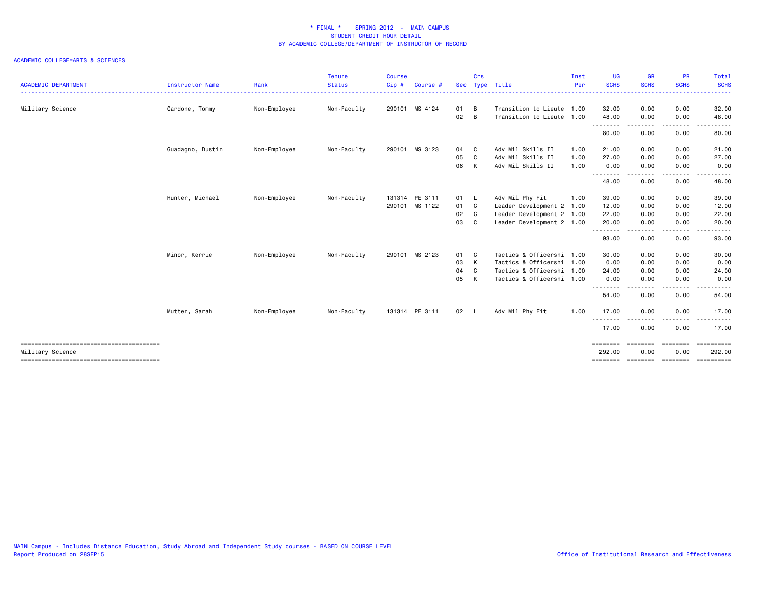|                                        |                  |              | <b>Tenure</b> | <b>Course</b> |                |      | Crs |                           | Inst | UG                | <b>GR</b>   | <b>PR</b>                                                                                                                         | Total                                                                                                                                    |
|----------------------------------------|------------------|--------------|---------------|---------------|----------------|------|-----|---------------------------|------|-------------------|-------------|-----------------------------------------------------------------------------------------------------------------------------------|------------------------------------------------------------------------------------------------------------------------------------------|
| <b>ACADEMIC DEPARTMENT</b>             | Instructor Name  | Rank         | <b>Status</b> | Cip#          | Course #       |      |     | Sec Type Title            | Per  | <b>SCHS</b>       | <b>SCHS</b> | <b>SCHS</b>                                                                                                                       | <b>SCHS</b><br>$\frac{1}{2} \left( \frac{1}{2} \right) \left( \frac{1}{2} \right) \left( \frac{1}{2} \right) \left( \frac{1}{2} \right)$ |
| Military Science                       | Cardone, Tommy   | Non-Employee | Non-Faculty   |               | 290101 MS 4124 | 01   | B   | Transition to Lieute 1.00 |      | 32.00             | 0.00        | 0.00                                                                                                                              | 32.00                                                                                                                                    |
|                                        |                  |              |               |               |                | 02   | B   | Transition to Lieute 1.00 |      | 48.00             | 0.00        | 0.00                                                                                                                              | 48.00                                                                                                                                    |
|                                        |                  |              |               |               |                |      |     |                           |      | .<br>80.00        | 0.00        | ----<br>0.00                                                                                                                      | 80.00                                                                                                                                    |
|                                        | Guadagno, Dustin | Non-Employee | Non-Faculty   |               | 290101 MS 3123 | 04   | C   | Adv Mil Skills II         | 1.00 | 21.00             | 0.00        | 0.00                                                                                                                              | 21.00                                                                                                                                    |
|                                        |                  |              |               |               |                | 05   | C   | Adv Mil Skills II         | 1.00 | 27.00             | 0.00        | 0.00                                                                                                                              | 27.00                                                                                                                                    |
|                                        |                  |              |               |               |                | 06   | К   | Adv Mil Skills II         | 1.00 | 0.00<br>.         | 0.00        | 0.00                                                                                                                              | 0.00                                                                                                                                     |
|                                        |                  |              |               |               |                |      |     |                           |      | 48.00             | 0.00        | $\frac{1}{2} \left( \frac{1}{2} \right) \left( \frac{1}{2} \right) \left( \frac{1}{2} \right) \left( \frac{1}{2} \right)$<br>0.00 | 48.00                                                                                                                                    |
|                                        | Hunter, Michael  | Non-Employee | Non-Faculty   |               | 131314 PE 3111 | 01 L |     | Adv Mil Phy Fit           | 1.00 | 39.00             | 0.00        | 0.00                                                                                                                              | 39.00                                                                                                                                    |
|                                        |                  |              |               |               | 290101 MS 1122 | 01 C |     | Leader Development 2 1.00 |      | 12.00             | 0.00        | 0.00                                                                                                                              | 12.00                                                                                                                                    |
|                                        |                  |              |               |               |                | 02   | C.  | Leader Development 2 1.00 |      | 22.00             | 0.00        | 0.00                                                                                                                              | 22.00                                                                                                                                    |
|                                        |                  |              |               |               |                | 03   | C.  | Leader Development 2 1.00 |      | 20.00             | 0.00        | 0.00                                                                                                                              | 20.00                                                                                                                                    |
|                                        |                  |              |               |               |                |      |     |                           |      | .<br>93.00        | 0.00        | 0.00                                                                                                                              | 93.00                                                                                                                                    |
|                                        | Minor, Kerrie    | Non-Employee | Non-Faculty   |               | 290101 MS 2123 | 01   | - C | Tactics & Officershi 1.00 |      | 30.00             | 0.00        | 0.00                                                                                                                              | 30.00                                                                                                                                    |
|                                        |                  |              |               |               |                | 03   | к   | Tactics & Officershi 1.00 |      | 0.00              | 0.00        | 0.00                                                                                                                              | 0.00                                                                                                                                     |
|                                        |                  |              |               |               |                | 04   | C.  | Tactics & Officershi 1.00 |      | 24.00             | 0.00        | 0.00                                                                                                                              | 24.00                                                                                                                                    |
|                                        |                  |              |               |               |                | 05   | к   | Tactics & Officershi 1.00 |      | 0.00              | 0.00        | 0.00                                                                                                                              | 0.00                                                                                                                                     |
|                                        |                  |              |               |               |                |      |     |                           |      | --------<br>54.00 | 0.00        | - - - -<br>0.00                                                                                                                   | 54.00                                                                                                                                    |
|                                        | Mutter, Sarah    | Non-Employee | Non-Faculty   |               | 131314 PE 3111 | 02 L |     | Adv Mil Phy Fit           | 1.00 | 17.00             | 0.00        | 0.00                                                                                                                              | 17.00                                                                                                                                    |
|                                        |                  |              |               |               |                |      |     |                           |      | $\cdots$<br>17.00 | 0.00        | 0.00                                                                                                                              | 17.00                                                                                                                                    |
|                                        |                  |              |               |               |                |      |     |                           |      | ========          | ========    | ========                                                                                                                          | ==========                                                                                                                               |
| Military Science                       |                  |              |               |               |                |      |     |                           |      | 292.00            | 0.00        | 0.00                                                                                                                              | 292.00                                                                                                                                   |
| -------------------------------------- |                  |              |               |               |                |      |     |                           |      |                   |             |                                                                                                                                   | -------- -------- -------- ----------                                                                                                    |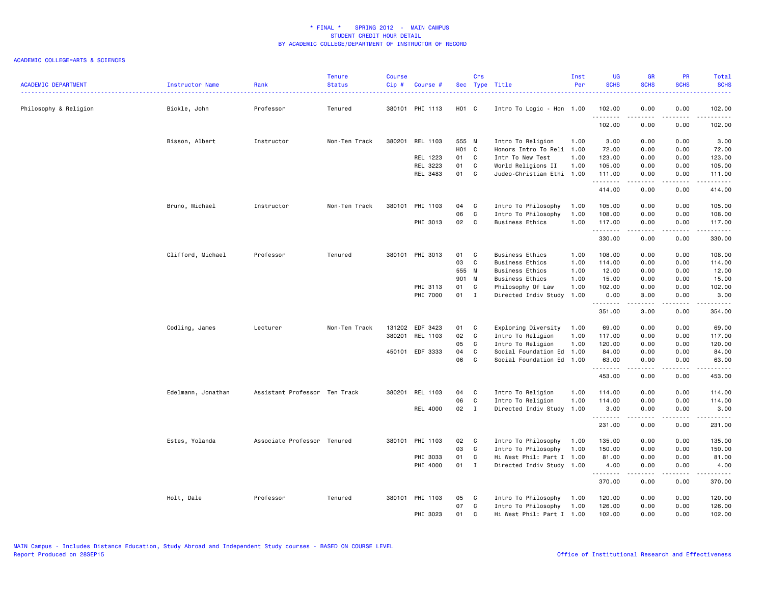| <b>ACADEMIC DEPARTMENT</b> | Instructor Name    | Rank                          | <b>Tenure</b><br><b>Status</b> | <b>Course</b><br>Cip# | Course #        |                   | Crs          | Sec Type Title            | Inst<br>Per | <b>UG</b><br><b>SCHS</b> | <b>GR</b><br><b>SCHS</b>                                                                                                                                     | PR<br><b>SCHS</b>     | Total<br><b>SCHS</b><br><u>.</u>                                                                                                    |
|----------------------------|--------------------|-------------------------------|--------------------------------|-----------------------|-----------------|-------------------|--------------|---------------------------|-------------|--------------------------|--------------------------------------------------------------------------------------------------------------------------------------------------------------|-----------------------|-------------------------------------------------------------------------------------------------------------------------------------|
| Philosophy & Religion      | Bickle, John       | Professor                     | Tenured                        |                       | 380101 PHI 1113 | H <sub>01</sub> C |              | Intro To Logic - Hon 1.00 |             | 102.00                   | 0.00                                                                                                                                                         | 0.00                  | 102.00                                                                                                                              |
|                            |                    |                               |                                |                       |                 |                   |              |                           |             | .<br>102.00              | 0.00                                                                                                                                                         | .<br>0.00             | .<br>102.00                                                                                                                         |
|                            | Bisson, Albert     | Instructor                    | Non-Ten Track                  |                       | 380201 REL 1103 | 555 M             |              | Intro To Religion         | 1.00        | 3.00                     | 0.00                                                                                                                                                         | 0.00                  | 3.00                                                                                                                                |
|                            |                    |                               |                                |                       |                 | H01 C             |              | Honors Intro To Reli 1.00 |             | 72.00                    | 0.00                                                                                                                                                         | 0.00                  | 72.00                                                                                                                               |
|                            |                    |                               |                                |                       | REL 1223        | 01 C              |              | Intr To New Test          | 1.00        | 123.00                   | 0.00                                                                                                                                                         | 0.00                  | 123.00                                                                                                                              |
|                            |                    |                               |                                |                       | REL 3223        | 01                | $\mathbf{C}$ | World Religions II        | 1.00        | 105.00                   | 0.00                                                                                                                                                         | 0.00                  | 105.00                                                                                                                              |
|                            |                    |                               |                                |                       | REL 3483        | 01                | C            | Judeo-Christian Ethi 1.00 |             | 111.00<br>.              | 0.00<br>$\frac{1}{2} \left( \frac{1}{2} \right) \left( \frac{1}{2} \right) \left( \frac{1}{2} \right) \left( \frac{1}{2} \right) \left( \frac{1}{2} \right)$ | 0.00<br>.             | 111.00<br>$\begin{array}{cccccccccc} \bullet & \bullet & \bullet & \bullet & \bullet & \bullet & \bullet & \bullet \end{array}$     |
|                            |                    |                               |                                |                       |                 |                   |              |                           |             | 414.00                   | 0.00                                                                                                                                                         | 0.00                  | 414.00                                                                                                                              |
|                            | Bruno, Michael     | Instructor                    | Non-Ten Track                  |                       | 380101 PHI 1103 | 04                | $\mathbf{C}$ | Intro To Philosophy       | 1.00        | 105.00                   | 0.00                                                                                                                                                         | 0.00                  | 105.00                                                                                                                              |
|                            |                    |                               |                                |                       |                 | 06                | C            | Intro To Philosophy       | 1.00        | 108.00                   | 0.00                                                                                                                                                         | 0.00                  | 108.00                                                                                                                              |
|                            |                    |                               |                                |                       | PHI 3013        | 02                | $\mathbf{C}$ | <b>Business Ethics</b>    | 1.00        | 117.00<br>.              | 0.00<br>.                                                                                                                                                    | 0.00<br>.             | 117.00<br>$\begin{array}{cccccccccccccc} \bullet & \bullet & \bullet & \bullet & \bullet & \bullet & \bullet & \bullet \end{array}$ |
|                            |                    |                               |                                |                       |                 |                   |              |                           |             | 330.00                   | 0.00                                                                                                                                                         | 0.00                  | 330.00                                                                                                                              |
|                            | Clifford, Michael  | Professor                     | Tenured                        |                       | 380101 PHI 3013 | 01                | $\mathbf{C}$ | <b>Business Ethics</b>    | 1.00        | 108.00                   | 0.00                                                                                                                                                         | 0.00                  | 108.00                                                                                                                              |
|                            |                    |                               |                                |                       |                 | 03                | $\mathbf{C}$ | <b>Business Ethics</b>    | 1.00        | 114.00                   | 0.00                                                                                                                                                         | 0.00                  | 114.00                                                                                                                              |
|                            |                    |                               |                                |                       |                 | 555 M             |              | <b>Business Ethics</b>    | 1.00        | 12.00                    | 0.00                                                                                                                                                         | 0.00                  | 12.00                                                                                                                               |
|                            |                    |                               |                                |                       |                 | 901 M             |              | <b>Business Ethics</b>    | 1.00        | 15.00                    | 0.00                                                                                                                                                         | 0.00                  | 15.00                                                                                                                               |
|                            |                    |                               |                                |                       | PHI 3113        | 01                | C            | Philosophy Of Law         | 1.00        | 102.00                   | 0.00                                                                                                                                                         | 0.00                  | 102.00                                                                                                                              |
|                            |                    |                               |                                |                       | PHI 7000        | 01                | $\mathbf{I}$ | Directed Indiv Study      | 1.00        | 0.00<br>.                | 3.00<br><b>.</b>                                                                                                                                             | 0.00<br>.             | 3.00<br>.                                                                                                                           |
|                            |                    |                               |                                |                       |                 |                   |              |                           |             | 351.00                   | 3.00                                                                                                                                                         | 0.00                  | 354.00                                                                                                                              |
|                            | Codling, James     | Lecturer                      | Non-Ten Track                  |                       | 131202 EDF 3423 | 01 C              |              | Exploring Diversity       | 1.00        | 69.00                    | 0.00                                                                                                                                                         | 0.00                  | 69.00                                                                                                                               |
|                            |                    |                               |                                |                       | 380201 REL 1103 | 02                | C            | Intro To Religion         | 1.00        | 117.00                   | 0.00                                                                                                                                                         | 0.00                  | 117.00                                                                                                                              |
|                            |                    |                               |                                |                       |                 | 05                | $\mathbf{C}$ | Intro To Religion         | 1.00        | 120.00                   | 0.00                                                                                                                                                         | 0.00                  | 120.00                                                                                                                              |
|                            |                    |                               |                                |                       | 450101 EDF 3333 | 04                | C            | Social Foundation Ed      | 1.00        | 84.00                    | 0.00                                                                                                                                                         | 0.00                  | 84.00                                                                                                                               |
|                            |                    |                               |                                |                       |                 | 06                | C            | Social Foundation Ed 1.00 |             | 63.00<br>.               | 0.00<br>$- - - - -$                                                                                                                                          | 0.00<br>.             | 63.00<br>.                                                                                                                          |
|                            |                    |                               |                                |                       |                 |                   |              |                           |             | 453.00                   | 0.00                                                                                                                                                         | 0.00                  | 453.00                                                                                                                              |
|                            | Edelmann, Jonathan | Assistant Professor Ten Track |                                |                       | 380201 REL 1103 | 04                | C            | Intro To Religion         | 1.00        | 114.00                   | 0.00                                                                                                                                                         | 0.00                  | 114.00                                                                                                                              |
|                            |                    |                               |                                |                       |                 | 06                | $\mathbf c$  | Intro To Religion         | 1.00        | 114.00                   | 0.00                                                                                                                                                         | 0.00                  | 114.00                                                                                                                              |
|                            |                    |                               |                                |                       | REL 4000        | $02 \qquad I$     |              | Directed Indiv Study      | 1.00        | 3.00<br>.                | 0.00<br>-----                                                                                                                                                | 0.00<br>.             | 3.00<br>.                                                                                                                           |
|                            |                    |                               |                                |                       |                 |                   |              |                           |             | 231.00                   | 0.00                                                                                                                                                         | 0.00                  | 231.00                                                                                                                              |
|                            | Estes, Yolanda     | Associate Professor Tenured   |                                |                       | 380101 PHI 1103 | 02                | $\mathbf{C}$ | Intro To Philosophy       | 1.00        | 135.00                   | 0.00                                                                                                                                                         | 0.00                  | 135.00                                                                                                                              |
|                            |                    |                               |                                |                       |                 | 03                | C            | Intro To Philosophy       | 1.00        | 150.00                   | 0.00                                                                                                                                                         | 0.00                  | 150.00                                                                                                                              |
|                            |                    |                               |                                |                       | PHI 3033        | 01                | $\mathbf{C}$ | Hi West Phil: Part I 1.00 |             | 81.00                    | 0.00                                                                                                                                                         | 0.00                  | 81.00                                                                                                                               |
|                            |                    |                               |                                |                       | PHI 4000        | 01                | $\mathbf{I}$ | Directed Indiv Study 1.00 |             | 4.00<br>.                | 0.00<br>.                                                                                                                                                    | 0.00<br>$\frac{1}{2}$ | 4.00<br><u>.</u>                                                                                                                    |
|                            |                    |                               |                                |                       |                 |                   |              |                           |             | 370.00                   | 0.00                                                                                                                                                         | 0.00                  | 370.00                                                                                                                              |
|                            | Holt, Dale         | Professor                     | Tenured                        |                       | 380101 PHI 1103 | 05                | C            | Intro To Philosophy       | 1.00        | 120.00                   | 0.00                                                                                                                                                         | 0.00                  | 120.00                                                                                                                              |
|                            |                    |                               |                                |                       |                 | 07                | C            | Intro To Philosophy       | 1.00        | 126.00                   | 0.00                                                                                                                                                         | 0.00                  | 126.00                                                                                                                              |
|                            |                    |                               |                                |                       | PHI 3023        | 01                | C            | Hi West Phil: Part I 1.00 |             | 102.00                   | 0.00                                                                                                                                                         | 0.00                  | 102.00                                                                                                                              |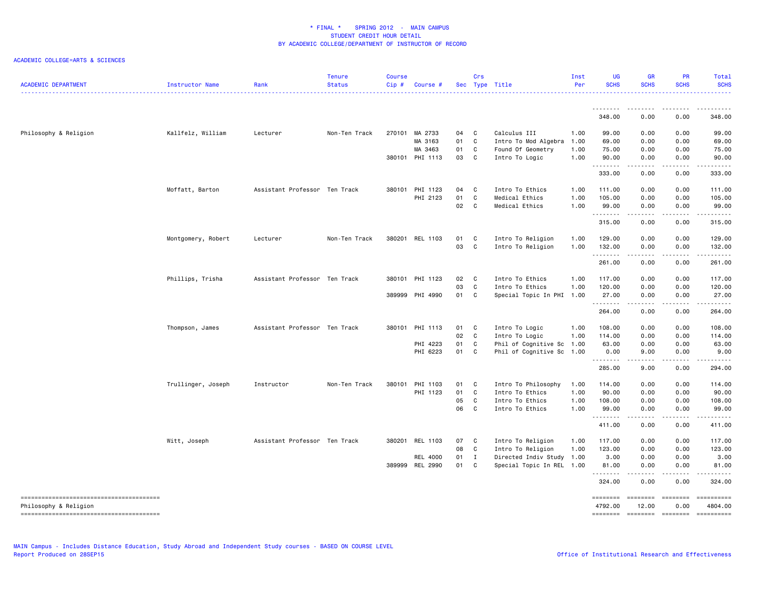| <b>ACADEMIC DEPARTMENT</b> | Instructor Name    | Rank                          | <b>Tenure</b><br><b>Status</b> | <b>Course</b><br>Cip# | Course #        |      | Crs          | Sec Type Title            | Inst<br>Per | <b>UG</b><br><b>SCHS</b> | <b>GR</b><br><b>SCHS</b>                                                                                                                                                        | <b>PR</b><br><b>SCHS</b>            | Total<br><b>SCHS</b>                                                                                                                                                                     |
|----------------------------|--------------------|-------------------------------|--------------------------------|-----------------------|-----------------|------|--------------|---------------------------|-------------|--------------------------|---------------------------------------------------------------------------------------------------------------------------------------------------------------------------------|-------------------------------------|------------------------------------------------------------------------------------------------------------------------------------------------------------------------------------------|
|                            |                    |                               |                                |                       |                 |      |              |                           |             |                          | $\frac{1}{2} \left( \frac{1}{2} \right) \left( \frac{1}{2} \right) \left( \frac{1}{2} \right) \left( \frac{1}{2} \right) \left( \frac{1}{2} \right) \left( \frac{1}{2} \right)$ |                                     |                                                                                                                                                                                          |
|                            |                    |                               |                                |                       |                 |      |              |                           |             | 348.00                   | 0.00                                                                                                                                                                            | 0.00                                | 348.00                                                                                                                                                                                   |
| Philosophy & Religion      | Kallfelz, William  | Lecturer                      | Non-Ten Track                  |                       | 270101 MA 2733  | 04 C |              | Calculus III              | 1.00        | 99.00                    | 0.00                                                                                                                                                                            | 0.00                                | 99.00                                                                                                                                                                                    |
|                            |                    |                               |                                |                       | MA 3163         | 01   | $\mathbf{C}$ | Intro To Mod Algebra      | 1.00        | 69.00                    | 0.00                                                                                                                                                                            | 0.00                                | 69.00                                                                                                                                                                                    |
|                            |                    |                               |                                |                       | MA 3463         | 01   | $\mathbf{C}$ | Found Of Geometry         | 1.00        | 75.00                    | 0.00                                                                                                                                                                            | 0.00                                | 75.00                                                                                                                                                                                    |
|                            |                    |                               |                                |                       | 380101 PHI 1113 | 03   | $\mathbf{C}$ | Intro To Logic            | 1.00        | 90.00<br>.               | 0.00<br>$\frac{1}{2} \left( \frac{1}{2} \right) \left( \frac{1}{2} \right) \left( \frac{1}{2} \right) \left( \frac{1}{2} \right) \left( \frac{1}{2} \right)$                    | 0.00<br>.                           | 90.00<br>.                                                                                                                                                                               |
|                            |                    |                               |                                |                       |                 |      |              |                           |             | 333.00                   | 0.00                                                                                                                                                                            | 0.00                                | 333.00                                                                                                                                                                                   |
|                            | Moffatt, Barton    | Assistant Professor Ten Track |                                |                       | 380101 PHI 1123 | 04   | C.           | Intro To Ethics           | 1.00        | 111.00                   | 0.00                                                                                                                                                                            | 0.00                                | 111.00                                                                                                                                                                                   |
|                            |                    |                               |                                |                       | PHI 2123        | 01   | C            | Medical Ethics            | 1.00        | 105.00                   | 0.00                                                                                                                                                                            | 0.00                                | 105.00                                                                                                                                                                                   |
|                            |                    |                               |                                |                       |                 | 02   | $\mathbf{C}$ | Medical Ethics            | 1.00        | 99.00<br>.               | 0.00<br>$- - - - -$                                                                                                                                                             | 0.00<br>.                           | 99.00<br><u>.</u>                                                                                                                                                                        |
|                            |                    |                               |                                |                       |                 |      |              |                           |             | 315.00                   | 0.00                                                                                                                                                                            | 0.00                                | 315.00                                                                                                                                                                                   |
|                            | Montgomery, Robert | Lecturer                      | Non-Ten Track                  |                       | 380201 REL 1103 | 01   | C.           | Intro To Religion         | 1.00        | 129.00                   | 0.00                                                                                                                                                                            | 0.00                                | 129.00                                                                                                                                                                                   |
|                            |                    |                               |                                |                       |                 | 03   | $\mathbf{C}$ | Intro To Religion         | 1.00        | 132.00                   | 0.00                                                                                                                                                                            | 0.00                                | 132.00                                                                                                                                                                                   |
|                            |                    |                               |                                |                       |                 |      |              |                           |             | .<br>261,00              | د د د د د<br>0.00                                                                                                                                                               | .<br>0.00                           | .<br>261.00                                                                                                                                                                              |
|                            | Phillips, Trisha   | Assistant Professor Ten Track |                                | 380101                | PHI 1123        | 02   | $\mathbf{C}$ | Intro To Ethics           | 1.00        | 117.00                   | 0.00                                                                                                                                                                            | 0.00                                | 117.00                                                                                                                                                                                   |
|                            |                    |                               |                                |                       |                 | 03   | $\mathbf{C}$ | Intro To Ethics           | 1.00        | 120.00                   | 0.00                                                                                                                                                                            | 0.00                                | 120.00                                                                                                                                                                                   |
|                            |                    |                               |                                |                       | 389999 PHI 4990 | 01   | $\mathbf{C}$ | Special Topic In PHI 1.00 |             | 27.00<br>.               | 0.00<br>.                                                                                                                                                                       | 0.00<br>د د د د                     | 27.00<br>$\begin{array}{cccccccccc} \bullet & \bullet & \bullet & \bullet & \bullet & \bullet & \bullet \end{array}$                                                                     |
|                            |                    |                               |                                |                       |                 |      |              |                           |             | 264.00                   | 0.00                                                                                                                                                                            | 0.00                                | 264.00                                                                                                                                                                                   |
|                            | Thompson, James    | Assistant Professor Ten Track |                                |                       | 380101 PHI 1113 | 01 C |              | Intro To Logic            | 1.00        | 108.00                   | 0.00                                                                                                                                                                            | 0.00                                | 108.00                                                                                                                                                                                   |
|                            |                    |                               |                                |                       |                 | 02   | $\mathbf{C}$ | Intro To Logic            | 1.00        | 114.00                   | 0.00                                                                                                                                                                            | 0.00                                | 114.00                                                                                                                                                                                   |
|                            |                    |                               |                                |                       | PHI 4223        | 01   | $\mathbf{C}$ | Phil of Cognitive Sc 1.00 |             | 63.00                    | 0.00                                                                                                                                                                            | 0.00                                | 63.00                                                                                                                                                                                    |
|                            |                    |                               |                                |                       | PHI 6223        | 01   | $\mathbf{C}$ | Phil of Cognitive Sc 1.00 |             | 0.00<br>.                | 9.00<br>-----                                                                                                                                                                   | 0.00<br>.                           | 9.00                                                                                                                                                                                     |
|                            |                    |                               |                                |                       |                 |      |              |                           |             | 285.00                   | 9.00                                                                                                                                                                            | 0.00                                | 294.00                                                                                                                                                                                   |
|                            | Trullinger, Joseph | Instructor                    | Non-Ten Track                  | 380101                | PHI 1103        | 01   | $\mathbf{C}$ | Intro To Philosophy       | 1.00        | 114.00                   | 0.00                                                                                                                                                                            | 0.00                                | 114.00                                                                                                                                                                                   |
|                            |                    |                               |                                |                       | PHI 1123        | 01   | $\mathbf{C}$ | Intro To Ethics           | 1.00        | 90.00                    | 0.00                                                                                                                                                                            | 0.00                                | 90.00                                                                                                                                                                                    |
|                            |                    |                               |                                |                       |                 | 05   | $\mathbf{C}$ | Intro To Ethics           | 1.00        | 108.00                   | 0.00                                                                                                                                                                            | 0.00                                | 108.00                                                                                                                                                                                   |
|                            |                    |                               |                                |                       |                 | 06   | $\mathbf{C}$ | Intro To Ethics           | 1.00        | 99.00<br>.               | 0.00<br>$\frac{1}{2} \left( \frac{1}{2} \right) \left( \frac{1}{2} \right) \left( \frac{1}{2} \right) \left( \frac{1}{2} \right) \left( \frac{1}{2} \right)$                    | 0.00<br>د د د د                     | 99.00<br>$\frac{1}{2} \left( \frac{1}{2} \right) \left( \frac{1}{2} \right) \left( \frac{1}{2} \right) \left( \frac{1}{2} \right) \left( \frac{1}{2} \right) \left( \frac{1}{2} \right)$ |
|                            |                    |                               |                                |                       |                 |      |              |                           |             | 411.00                   | 0.00                                                                                                                                                                            | 0.00                                | 411.00                                                                                                                                                                                   |
|                            | Witt, Joseph       | Assistant Professor Ten Track |                                | 380201                | REL 1103        | 07   | $\mathbf{C}$ | Intro To Religion         | 1.00        | 117.00                   | 0.00                                                                                                                                                                            | 0.00                                | 117.00                                                                                                                                                                                   |
|                            |                    |                               |                                |                       |                 | 08   | $\mathbf c$  | Intro To Religion         | 1.00        | 123.00                   | 0.00                                                                                                                                                                            | 0.00                                | 123.00                                                                                                                                                                                   |
|                            |                    |                               |                                |                       | <b>REL 4000</b> | 01 I |              | Directed Indiv Study 1.00 |             | 3.00                     | 0.00                                                                                                                                                                            | 0.00                                | 3.00                                                                                                                                                                                     |
|                            |                    |                               |                                |                       | 389999 REL 2990 | 01   | C.           | Special Topic In REL 1.00 |             | 81.00<br>.               | 0.00<br>.                                                                                                                                                                       | 0.00<br>$\sim$ $\sim$ $\sim$ $\sim$ | 81.00<br>.                                                                                                                                                                               |
|                            |                    |                               |                                |                       |                 |      |              |                           |             | 324.00                   | 0.00                                                                                                                                                                            | 0.00                                | 324.00                                                                                                                                                                                   |
| Philosophy & Religion      |                    |                               |                                |                       |                 |      |              |                           |             | ========<br>4792.00      | ========<br>12.00                                                                                                                                                               | 0.00                                | ==========<br>4804.00                                                                                                                                                                    |
|                            |                    |                               |                                |                       |                 |      |              |                           |             | ========                 | <b>EDEDEDED</b>                                                                                                                                                                 |                                     |                                                                                                                                                                                          |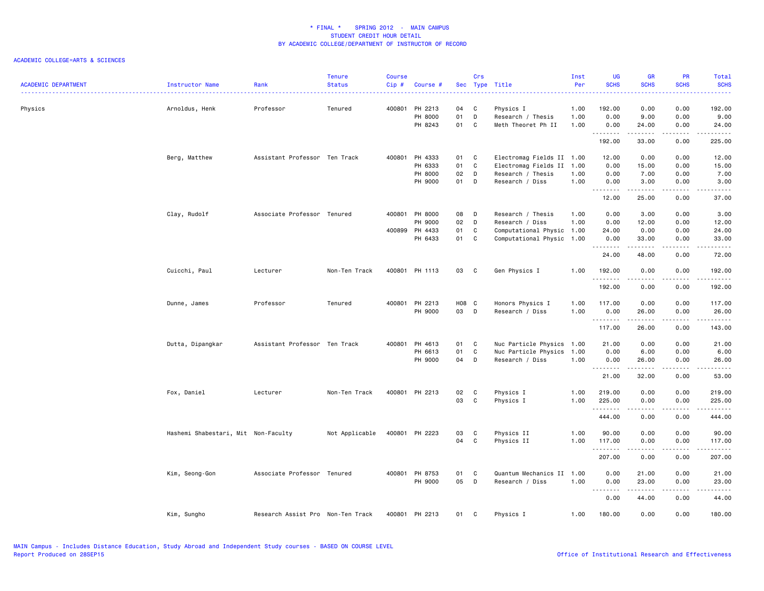| <b>ACADEMIC DEPARTMENT</b> | Instructor Name                     | Rank                              | <b>Tenure</b><br><b>Status</b> | <b>Course</b><br>Cip# | Course #                  |          | Crs               | Sec Type Title                            | Inst<br>Per  | <b>UG</b><br><b>SCHS</b> | <b>GR</b><br><b>SCHS</b>                                                                                                                                      | <b>PR</b><br><b>SCHS</b> | Total<br><b>SCHS</b><br>. |
|----------------------------|-------------------------------------|-----------------------------------|--------------------------------|-----------------------|---------------------------|----------|-------------------|-------------------------------------------|--------------|--------------------------|---------------------------------------------------------------------------------------------------------------------------------------------------------------|--------------------------|---------------------------|
| Physics                    | Arnoldus, Henk                      | Professor                         | Tenured                        |                       | 400801 PH 2213<br>PH 8000 | 04<br>01 | C<br>D            | Physics I<br>Research / Thesis            | 1.00<br>1.00 | 192.00<br>0.00           | 0.00<br>9.00                                                                                                                                                  | 0.00<br>0.00             | 192.00<br>9.00            |
|                            |                                     |                                   |                                |                       | PH 8243                   | 01       | C                 | Meth Theoret Ph II                        | 1.00         | 0.00<br>.                | 24.00<br>.                                                                                                                                                    | 0.00<br>.                | 24.00<br>.                |
|                            |                                     |                                   |                                |                       |                           |          |                   |                                           |              | 192.00                   | 33.00                                                                                                                                                         | 0.00                     | 225.00                    |
|                            | Berg, Matthew                       | Assistant Professor Ten Track     |                                |                       | 400801 PH 4333            | 01 C     |                   | Electromag Fields II 1.00                 |              | 12.00                    | 0.00                                                                                                                                                          | 0.00                     | 12.00                     |
|                            |                                     |                                   |                                |                       | PH 6333<br>PH 8000        | 01<br>02 | $\mathbf{C}$<br>D | Electromag Fields II<br>Research / Thesis | 1.00<br>1.00 | 0.00<br>0.00             | 15.00<br>7.00                                                                                                                                                 | 0.00<br>0.00             | 15.00<br>7.00             |
|                            |                                     |                                   |                                |                       | PH 9000                   | 01       | D                 | Research / Diss                           | 1.00         | 0.00                     | 3.00                                                                                                                                                          | 0.00                     | 3.00                      |
|                            |                                     |                                   |                                |                       |                           |          |                   |                                           |              | 12.00                    | .<br>25.00                                                                                                                                                    | .<br>0.00                | المستسب<br>37.00          |
|                            | Clay, Rudolf                        | Associate Professor Tenured       |                                |                       | 400801 PH 8000            | 08       | D                 | Research / Thesis                         | 1.00         | 0.00                     | 3.00                                                                                                                                                          | 0.00                     | 3.00                      |
|                            |                                     |                                   |                                |                       | PH 9000                   | 02       | D                 | Research / Diss                           | 1.00         | 0.00                     | 12.00                                                                                                                                                         | 0.00                     | 12.00                     |
|                            |                                     |                                   |                                |                       | 400899 PH 4433            | 01       | C                 | Computational Physic 1.00                 |              | 24.00                    | 0.00                                                                                                                                                          | 0.00                     | 24.00                     |
|                            |                                     |                                   |                                |                       | PH 6433                   | 01 C     |                   | Computational Physic 1.00                 |              | 0.00<br>.                | 33.00<br>-----                                                                                                                                                | 0.00<br>.                | 33.00<br>.                |
|                            |                                     |                                   |                                |                       |                           |          |                   |                                           |              | 24.00                    | 48.00                                                                                                                                                         | 0.00                     | 72.00                     |
|                            | Cuicchi, Paul                       | Lecturer                          | Non-Ten Track                  |                       | 400801 PH 1113            | 03       | C                 | Gen Physics I                             | 1.00         | 192.00                   | 0.00                                                                                                                                                          | 0.00                     | 192.00<br>.               |
|                            |                                     |                                   |                                |                       |                           |          |                   |                                           |              | <u>.</u><br>192.00       | <u>.</u><br>0.00                                                                                                                                              | .<br>0.00                | 192.00                    |
|                            | Dunne, James                        | Professor                         | Tenured                        | 400801                | PH 2213                   | H08 C    |                   | Honors Physics I                          | 1.00         | 117.00                   | 0.00                                                                                                                                                          | 0.00                     | 117.00                    |
|                            |                                     |                                   |                                |                       | PH 9000                   | 03       | $\mathsf{D}$      | Research / Diss                           | 1.00         | 0.00                     | 26.00<br>.                                                                                                                                                    | 0.00<br>.                | 26.00<br>.                |
|                            |                                     |                                   |                                |                       |                           |          |                   |                                           |              | 117.00                   | 26.00                                                                                                                                                         | 0.00                     | 143.00                    |
|                            | Dutta, Dipangkar                    | Assistant Professor Ten Track     |                                |                       | 400801 PH 4613            | 01 C     |                   | Nuc Particle Physics                      | 1.00         | 21.00                    | 0.00                                                                                                                                                          | 0.00                     | 21.00                     |
|                            |                                     |                                   |                                |                       | PH 6613                   | 01       | C.                | Nuc Particle Physics                      | 1.00         | 0.00                     | 6.00                                                                                                                                                          | 0.00                     | 6.00                      |
|                            |                                     |                                   |                                |                       | PH 9000                   | 04       | D                 | Research / Diss                           | 1.00         | 0.00<br>.                | 26.00<br>$\frac{1}{2} \left( \frac{1}{2} \right) \left( \frac{1}{2} \right) \left( \frac{1}{2} \right) \left( \frac{1}{2} \right) \left( \frac{1}{2} \right)$ | 0.00<br>$   -$           | 26.00<br>.                |
|                            |                                     |                                   |                                |                       |                           |          |                   |                                           |              | 21.00                    | 32.00                                                                                                                                                         | 0.00                     | 53.00                     |
|                            | Fox, Daniel                         | Lecturer                          | Non-Ten Track                  |                       | 400801 PH 2213            | 02       | C                 | Physics I                                 | 1.00         | 219.00                   | 0.00                                                                                                                                                          | 0.00                     | 219.00                    |
|                            |                                     |                                   |                                |                       |                           | 03       | C.                | Physics I                                 | 1.00         | 225.00<br>.              | 0.00<br>.                                                                                                                                                     | 0.00<br>.                | 225.00<br>.               |
|                            |                                     |                                   |                                |                       |                           |          |                   |                                           |              | 444.00                   | 0.00                                                                                                                                                          | 0.00                     | 444.00                    |
|                            | Hashemi Shabestari, Mit Non-Faculty |                                   | Not Applicable                 |                       | 400801 PH 2223            | 03       | C                 | Physics II                                | 1.00         | 90.00                    | 0.00                                                                                                                                                          | 0.00                     | 90.00                     |
|                            |                                     |                                   |                                |                       |                           | 04       | $\mathbf{C}$      | Physics II                                | 1.00         | 117.00<br>.              | 0.00<br>.                                                                                                                                                     | 0.00<br>.                | 117.00<br>.               |
|                            |                                     |                                   |                                |                       |                           |          |                   |                                           |              | 207.00                   | 0.00                                                                                                                                                          | 0.00                     | 207.00                    |
|                            | Kim, Seong-Gon                      | Associate Professor Tenured       |                                |                       | 400801 PH 8753            | 01       | C                 | Quantum Mechanics II                      | 1.00         | 0.00                     | 21.00                                                                                                                                                         | 0.00                     | 21.00                     |
|                            |                                     |                                   |                                |                       | PH 9000                   | 05       | D                 | Research / Diss                           | 1.00         | 0.00                     | 23.00                                                                                                                                                         | 0.00                     | 23.00                     |
|                            |                                     |                                   |                                |                       |                           |          |                   |                                           |              | <b></b><br>0.00          | .<br>44.00                                                                                                                                                    | .<br>0.00                | .<br>44.00                |
|                            | Kim, Sungho                         | Research Assist Pro Non-Ten Track |                                | 400801                | PH 2213                   | 01       | <b>C</b>          | Physics I                                 | 1.00         | 180.00                   | 0.00                                                                                                                                                          | 0.00                     | 180.00                    |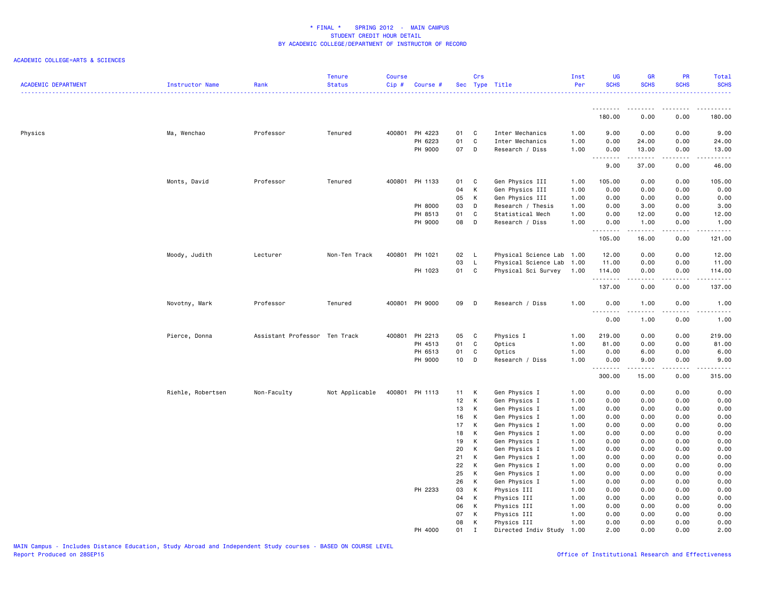| <b>ACADEMIC DEPARTMENT</b> | Instructor Name   | Rank                          | Tenure<br><b>Status</b> | <b>Course</b><br>Cip# | Course #       |                 | Crs          | Sec Type Title            | Inst<br>Per | UG<br><b>SCHS</b> | <b>GR</b><br><b>SCHS</b>                                                                                                                                      | PR<br><b>SCHS</b>                   | Total<br><b>SCHS</b>                                                                                                            |
|----------------------------|-------------------|-------------------------------|-------------------------|-----------------------|----------------|-----------------|--------------|---------------------------|-------------|-------------------|---------------------------------------------------------------------------------------------------------------------------------------------------------------|-------------------------------------|---------------------------------------------------------------------------------------------------------------------------------|
|                            |                   |                               |                         |                       |                |                 |              |                           |             | <u>.</u>          |                                                                                                                                                               |                                     |                                                                                                                                 |
|                            |                   |                               |                         |                       |                |                 |              |                           |             | 180.00            | 0.00                                                                                                                                                          | 0.00                                | 180.00                                                                                                                          |
| Physics                    | Ma, Wenchao       | Professor                     | Tenured                 |                       | 400801 PH 4223 | 01              | C            | Inter Mechanics           | 1.00        | 9.00              | 0.00                                                                                                                                                          | 0.00                                | 9.00                                                                                                                            |
|                            |                   |                               |                         |                       | PH 6223        | 01              | C            | Inter Mechanics           | 1.00        | 0.00              | 24.00                                                                                                                                                         | 0.00                                | 24.00                                                                                                                           |
|                            |                   |                               |                         |                       | PH 9000        | 07              | D            | Research / Diss           | 1.00        | 0.00<br>.         | 13.00<br>-----                                                                                                                                                | 0.00<br>.                           | 13.00<br>$\sim$ $\sim$ $\sim$ $\sim$ $\sim$                                                                                     |
|                            |                   |                               |                         |                       |                |                 |              |                           |             | 9.00              | 37.00                                                                                                                                                         | 0.00                                | 46.00                                                                                                                           |
|                            | Monts, David      | Professor                     | Tenured                 |                       | 400801 PH 1133 | 01              | C            | Gen Physics III           | 1.00        | 105.00            | 0.00                                                                                                                                                          | 0.00                                | 105.00                                                                                                                          |
|                            |                   |                               |                         |                       |                | 04              | K            | Gen Physics III           | 1.00        | 0.00              | 0.00                                                                                                                                                          | 0.00                                | 0.00                                                                                                                            |
|                            |                   |                               |                         |                       |                | 05              | K            | Gen Physics III           | 1.00        | 0.00              | 0.00                                                                                                                                                          | 0.00                                | 0.00                                                                                                                            |
|                            |                   |                               |                         |                       | PH 8000        | 03              | D            | Research / Thesis         | 1.00        | 0.00              | 3.00                                                                                                                                                          | 0.00                                | 3.00                                                                                                                            |
|                            |                   |                               |                         |                       | PH 8513        | 01              | C            | Statistical Mech          | 1.00        | 0.00              | 12.00                                                                                                                                                         | 0.00                                | 12.00                                                                                                                           |
|                            |                   |                               |                         |                       | PH 9000        | 08              | D            | Research / Diss           | 1.00        | 0.00              | 1.00                                                                                                                                                          | 0.00                                | 1.00                                                                                                                            |
|                            |                   |                               |                         |                       |                |                 |              |                           |             | .<br>105.00       | $\frac{1}{2} \left( \frac{1}{2} \right) \left( \frac{1}{2} \right) \left( \frac{1}{2} \right) \left( \frac{1}{2} \right) \left( \frac{1}{2} \right)$<br>16.00 | الدامات ب<br>0.00                   | .<br>121.00                                                                                                                     |
|                            | Moody, Judith     | Lecturer                      | Non-Ten Track           | 400801                | PH 1021        | 02              | - L          | Physical Science Lab 1.00 |             | 12.00             | 0.00                                                                                                                                                          | 0.00                                | 12.00                                                                                                                           |
|                            |                   |                               |                         |                       |                | 03              | $\mathsf{L}$ | Physical Science Lab 1.00 |             | 11.00             | 0.00                                                                                                                                                          | 0.00                                | 11.00                                                                                                                           |
|                            |                   |                               |                         |                       | PH 1023        | 01              | C            | Physical Sci Survey       | 1.00        | 114.00            | 0.00                                                                                                                                                          | 0.00                                | 114.00                                                                                                                          |
|                            |                   |                               |                         |                       |                |                 |              |                           |             | .<br>137.00       | -----<br>0.00                                                                                                                                                 | .<br>0.00                           | $\begin{array}{cccccccccc} \bullet & \bullet & \bullet & \bullet & \bullet & \bullet & \bullet & \bullet \end{array}$<br>137.00 |
|                            | Novotny, Mark     | Professor                     | Tenured                 |                       | 400801 PH 9000 | 09              | D            | Research / Diss           | 1.00        | 0.00              | 1.00                                                                                                                                                          | 0.00                                | 1.00                                                                                                                            |
|                            |                   |                               |                         |                       |                |                 |              |                           |             | .<br>0.00         | .<br>1.00                                                                                                                                                     | $\sim$ $\sim$ $\sim$<br>0.00        | .<br>1.00                                                                                                                       |
|                            | Pierce, Donna     | Assistant Professor Ten Track |                         | 400801                | PH 2213        | 05              | $\mathbf{C}$ | Physics I                 | 1.00        | 219.00            | 0.00                                                                                                                                                          | 0.00                                | 219.00                                                                                                                          |
|                            |                   |                               |                         |                       | PH 4513        | 01              | C            | Optics                    | 1.00        | 81.00             | 0.00                                                                                                                                                          | 0.00                                | 81.00                                                                                                                           |
|                            |                   |                               |                         |                       | PH 6513        | 01              | C            | Optics                    | 1.00        | 0.00              | 6.00                                                                                                                                                          | 0.00                                | 6.00                                                                                                                            |
|                            |                   |                               |                         |                       | PH 9000        | 10 <sub>1</sub> | D            | Research / Diss           | 1.00        | 0.00              | 9.00                                                                                                                                                          | 0.00                                | 9.00                                                                                                                            |
|                            |                   |                               |                         |                       |                |                 |              |                           |             | .<br>300.00       | 15.00                                                                                                                                                         | $\sim$ $\sim$ $\sim$ $\sim$<br>0.00 | د د د د د<br>315.00                                                                                                             |
|                            | Riehle, Robertsen | Non-Faculty                   | Not Applicable          | 400801                | PH 1113        | 11              | K            | Gen Physics I             | 1.00        | 0.00              | 0.00                                                                                                                                                          | 0.00                                | 0.00                                                                                                                            |
|                            |                   |                               |                         |                       |                | 12              | K            | Gen Physics I             | 1.00        | 0.00              | 0.00                                                                                                                                                          | 0.00                                | 0.00                                                                                                                            |
|                            |                   |                               |                         |                       |                | 13              | K            | Gen Physics I             | 1.00        | 0.00              | 0.00                                                                                                                                                          | 0.00                                | 0.00                                                                                                                            |
|                            |                   |                               |                         |                       |                | 16              | К            | Gen Physics I             | 1.00        | 0.00              | 0.00                                                                                                                                                          | 0.00                                | 0.00                                                                                                                            |
|                            |                   |                               |                         |                       |                | 17              | K            | Gen Physics I             | 1.00        | 0.00              | 0.00                                                                                                                                                          | 0.00                                | 0.00                                                                                                                            |
|                            |                   |                               |                         |                       |                | 18              | K            | Gen Physics I             | 1.00        | 0.00              | 0.00                                                                                                                                                          | 0.00                                | 0.00                                                                                                                            |
|                            |                   |                               |                         |                       |                | 19              | K            | Gen Physics I             | 1.00        | 0.00              | 0.00                                                                                                                                                          | 0.00                                | 0.00                                                                                                                            |
|                            |                   |                               |                         |                       |                | 20              | К            | Gen Physics I             | 1.00        | 0.00              | 0.00                                                                                                                                                          | 0.00                                | 0.00                                                                                                                            |
|                            |                   |                               |                         |                       |                | 21              | К            | Gen Physics I             | 1.00        | 0.00              | 0.00                                                                                                                                                          | 0.00                                | 0.00                                                                                                                            |
|                            |                   |                               |                         |                       |                | 22              | К            | Gen Physics I             | 1.00        | 0.00              | 0.00                                                                                                                                                          | 0.00                                | 0.00                                                                                                                            |
|                            |                   |                               |                         |                       |                | 25              | К            | Gen Physics I             | 1.00        | 0.00              | 0.00                                                                                                                                                          | 0.00                                | 0.00                                                                                                                            |
|                            |                   |                               |                         |                       |                | 26              | K            | Gen Physics I             | 1.00        | 0.00              | 0.00                                                                                                                                                          | 0.00                                | 0.00                                                                                                                            |
|                            |                   |                               |                         |                       | PH 2233        | 03              | К            | Physics III               | 1.00        | 0.00              | 0.00                                                                                                                                                          | 0.00                                | 0.00                                                                                                                            |
|                            |                   |                               |                         |                       |                | 04              | К            | Physics III               | 1.00        | 0.00              | 0.00                                                                                                                                                          | 0.00                                | 0.00                                                                                                                            |
|                            |                   |                               |                         |                       |                | 06              | K            | Physics III               | 1.00        | 0.00              | 0.00                                                                                                                                                          | 0.00                                | 0.00                                                                                                                            |
|                            |                   |                               |                         |                       |                | 07              | К            | Physics III               | 1.00        | 0.00              | 0.00                                                                                                                                                          | 0.00                                | 0.00                                                                                                                            |
|                            |                   |                               |                         |                       |                | 08              | К            | Physics III               | 1.00        | 0.00              | 0.00                                                                                                                                                          | 0.00                                | 0.00                                                                                                                            |
|                            |                   |                               |                         |                       | PH 4000        | 01              | $\mathbf I$  | Directed Indiv Study      | 1.00        | 2.00              | 0.00                                                                                                                                                          | 0.00                                | 2.00                                                                                                                            |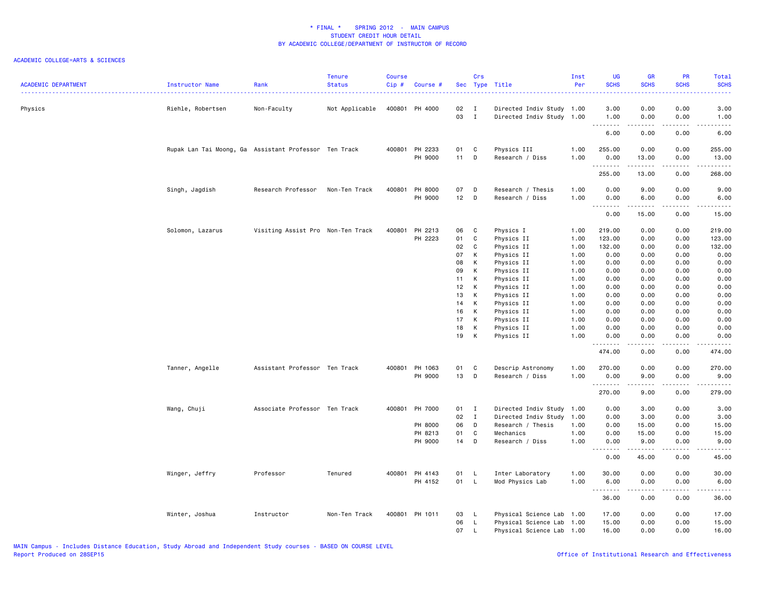| <b>ACADEMIC DEPARTMENT</b> | Instructor Name                                       | Rank                              | <b>Tenure</b><br><b>Status</b> | <b>Course</b><br>Cip# | Course #                  |              | Crs                          | Sec Type Title                                         | Inst<br>Per  | UG<br><b>SCHS</b><br>22222 | <b>GR</b><br><b>SCHS</b>                                                                                                                             | PR<br><b>SCHS</b><br>$\omega = \omega / \omega$ | <b>Total</b><br><b>SCHS</b><br>22222                                                                                      |
|----------------------------|-------------------------------------------------------|-----------------------------------|--------------------------------|-----------------------|---------------------------|--------------|------------------------------|--------------------------------------------------------|--------------|----------------------------|------------------------------------------------------------------------------------------------------------------------------------------------------|-------------------------------------------------|---------------------------------------------------------------------------------------------------------------------------|
| Physics                    | Riehle, Robertsen                                     | Non-Faculty                       | Not Applicable                 |                       | 400801 PH 4000            | 02<br>03     | $\mathbf{I}$<br>$\mathbf{I}$ | Directed Indiv Study 1.00<br>Directed Indiv Study 1.00 |              | 3.00<br>1.00               | 0.00<br>0.00                                                                                                                                         | 0.00<br>0.00                                    | 3.00<br>1.00                                                                                                              |
|                            |                                                       |                                   |                                |                       |                           |              |                              |                                                        |              | .<br>6.00                  | .<br>0.00                                                                                                                                            | $\sim$ $\sim$ $\sim$<br>0.00                    | .<br>6.00                                                                                                                 |
|                            |                                                       |                                   |                                |                       |                           |              |                              |                                                        |              | 255.00                     |                                                                                                                                                      |                                                 |                                                                                                                           |
|                            | Rupak Lan Tai Moong, Ga Assistant Professor Ten Track |                                   |                                |                       | 400801 PH 2233<br>PH 9000 | 01<br>$11$ D | C                            | Physics III<br>Research / Diss                         | 1.00<br>1.00 | 0.00                       | 0.00<br>13.00                                                                                                                                        | 0.00<br>0.00                                    | 255.00<br>13.00                                                                                                           |
|                            |                                                       |                                   |                                |                       |                           |              |                              |                                                        |              | .                          | $\frac{1}{2} \left( \frac{1}{2} \right) \left( \frac{1}{2} \right) \left( \frac{1}{2} \right) \left( \frac{1}{2} \right) \left( \frac{1}{2} \right)$ | د د د د                                         | $\begin{array}{cccccccccccccc} \bullet & \bullet & \bullet & \bullet & \bullet & \bullet & \bullet & \bullet \end{array}$ |
|                            |                                                       |                                   |                                |                       |                           |              |                              |                                                        |              | 255.00                     | 13.00                                                                                                                                                | 0.00                                            | 268.00                                                                                                                    |
|                            | Singh, Jagdish                                        | Research Professor                | Non-Ten Track                  | 400801                | PH 8000                   | 07           | D                            | Research / Thesis                                      | 1.00         | 0.00                       | 9.00                                                                                                                                                 | 0.00                                            | 9.00                                                                                                                      |
|                            |                                                       |                                   |                                |                       | PH 9000                   | $12$ D       |                              | Research / Diss                                        | 1.00         | 0.00<br>.                  | 6.00<br><b>.</b>                                                                                                                                     | 0.00<br>.                                       | 6.00<br>$\frac{1}{2}$                                                                                                     |
|                            |                                                       |                                   |                                |                       |                           |              |                              |                                                        |              | 0.00                       | 15.00                                                                                                                                                | 0.00                                            | 15.00                                                                                                                     |
|                            | Solomon, Lazarus                                      | Visiting Assist Pro Non-Ten Track |                                |                       | 400801 PH 2213            | 06           | $\mathbf{C}$                 | Physics I                                              | 1.00         | 219.00                     | 0.00                                                                                                                                                 | 0.00                                            | 219.00                                                                                                                    |
|                            |                                                       |                                   |                                |                       | PH 2223                   | 01           | C                            | Physics II                                             | 1.00         | 123.00                     | 0.00                                                                                                                                                 | 0.00                                            | 123.00                                                                                                                    |
|                            |                                                       |                                   |                                |                       |                           | 02           | $\mathbf c$                  | Physics II                                             | 1.00         | 132.00                     | 0.00                                                                                                                                                 | 0.00                                            | 132.00                                                                                                                    |
|                            |                                                       |                                   |                                |                       |                           | 07           | К                            | Physics II                                             | 1.00         | 0.00                       | 0.00                                                                                                                                                 | 0.00                                            | 0.00                                                                                                                      |
|                            |                                                       |                                   |                                |                       |                           | 08           | К                            | Physics II                                             | 1.00         | 0.00                       | 0.00                                                                                                                                                 | 0.00                                            | 0.00                                                                                                                      |
|                            |                                                       |                                   |                                |                       |                           | 09           | K                            | Physics II                                             | 1.00         | 0.00                       | 0.00                                                                                                                                                 | 0.00                                            | 0.00                                                                                                                      |
|                            |                                                       |                                   |                                |                       |                           | 11           | К                            | Physics II                                             | 1.00         | 0.00                       | 0.00                                                                                                                                                 | 0.00                                            | 0.00                                                                                                                      |
|                            |                                                       |                                   |                                |                       |                           | 12           | K                            | Physics II                                             | 1.00         | 0.00                       | 0.00                                                                                                                                                 | 0.00                                            | 0.00                                                                                                                      |
|                            |                                                       |                                   |                                |                       |                           | 13           | K                            | Physics II                                             | 1.00         | 0.00                       | 0.00                                                                                                                                                 | 0.00                                            | 0.00                                                                                                                      |
|                            |                                                       |                                   |                                |                       |                           | 14           | K                            | Physics II                                             | 1.00         | 0.00                       | 0.00                                                                                                                                                 | 0.00                                            | 0.00                                                                                                                      |
|                            |                                                       |                                   |                                |                       |                           | 16           | K                            | Physics II                                             | 1.00         | 0.00                       | 0.00                                                                                                                                                 | 0.00                                            | 0.00                                                                                                                      |
|                            |                                                       |                                   |                                |                       |                           | 17<br>18     | K<br>К                       | Physics II                                             | 1.00<br>1.00 | 0.00<br>0.00               | 0.00<br>0.00                                                                                                                                         | 0.00<br>0.00                                    | 0.00<br>0.00                                                                                                              |
|                            |                                                       |                                   |                                |                       |                           | 19           | К                            | Physics II<br>Physics II                               | 1.00         | 0.00                       | 0.00                                                                                                                                                 | 0.00                                            | 0.00                                                                                                                      |
|                            |                                                       |                                   |                                |                       |                           |              |                              |                                                        |              | .                          |                                                                                                                                                      | $\sim$ $\sim$ $\sim$ $\sim$                     |                                                                                                                           |
|                            |                                                       |                                   |                                |                       |                           |              |                              |                                                        |              | 474.00                     | 0.00                                                                                                                                                 | 0.00                                            | 474.00                                                                                                                    |
|                            | Tanner, Angelle                                       | Assistant Professor Ten Track     |                                |                       | 400801 PH 1063            | 01           | C                            | Descrip Astronomy                                      | 1.00         | 270.00                     | 0.00                                                                                                                                                 | 0.00                                            | 270.00                                                                                                                    |
|                            |                                                       |                                   |                                |                       | PH 9000                   | 13           | D                            | Research / Diss                                        | 1.00         | 0.00                       | 9.00                                                                                                                                                 | 0.00                                            | 9.00<br>.                                                                                                                 |
|                            |                                                       |                                   |                                |                       |                           |              |                              |                                                        |              | .<br>270.00                | 9.00                                                                                                                                                 | 0.00                                            | 279.00                                                                                                                    |
|                            | Wang, Chuji                                           | Associate Professor Ten Track     |                                |                       | 400801 PH 7000            | 01 I         |                              | Directed Indiv Study 1.00                              |              | 0.00                       | 3.00                                                                                                                                                 | 0.00                                            | 3.00                                                                                                                      |
|                            |                                                       |                                   |                                |                       |                           | 02           | $\mathbf{I}$                 | Directed Indiv Study                                   | 1.00         | 0.00                       | 3.00                                                                                                                                                 | 0.00                                            | 3.00                                                                                                                      |
|                            |                                                       |                                   |                                |                       | PH 8000                   | 06           | D                            | Research / Thesis                                      | 1.00         | 0.00                       | 15.00                                                                                                                                                | 0.00                                            | 15.00                                                                                                                     |
|                            |                                                       |                                   |                                |                       | PH 8213                   | 01           | C                            | Mechanics                                              | 1.00         | 0.00                       | 15.00                                                                                                                                                | 0.00                                            | 15.00                                                                                                                     |
|                            |                                                       |                                   |                                |                       | PH 9000                   | 14 D         |                              | Research / Diss                                        | 1.00         | 0.00<br>.                  | 9.00<br>.                                                                                                                                            | 0.00<br>.                                       | 9.00<br>.                                                                                                                 |
|                            |                                                       |                                   |                                |                       |                           |              |                              |                                                        |              | 0.00                       | 45.00                                                                                                                                                | 0.00                                            | 45.00                                                                                                                     |
|                            | Winger, Jeffry                                        | Professor                         | Tenured                        |                       | 400801 PH 4143            | 01           | - L                          | Inter Laboratory                                       | 1.00         | 30.00                      | 0.00                                                                                                                                                 | 0.00                                            | 30.00                                                                                                                     |
|                            |                                                       |                                   |                                |                       | PH 4152                   | 01           | $\mathsf{L}$                 | Mod Physics Lab                                        | 1.00         | 6.00                       | 0.00                                                                                                                                                 | 0.00                                            | 6.00                                                                                                                      |
|                            |                                                       |                                   |                                |                       |                           |              |                              |                                                        |              | .<br>36.00                 | .<br>0.00                                                                                                                                            | .<br>0.00                                       | .<br>36.00                                                                                                                |
|                            |                                                       |                                   |                                |                       |                           |              |                              |                                                        |              |                            |                                                                                                                                                      |                                                 |                                                                                                                           |
|                            | Winter, Joshua                                        | Instructor                        | Non-Ten Track                  |                       | 400801 PH 1011            | 03           | $\mathsf{L}$                 | Physical Science Lab 1.00                              |              | 17.00                      | 0.00                                                                                                                                                 | 0.00                                            | 17.00                                                                                                                     |
|                            |                                                       |                                   |                                |                       |                           | 06<br>07     | L.                           | Physical Science Lab 1.00                              |              | 15.00<br>16.00             | 0.00<br>0.00                                                                                                                                         | 0.00<br>0.00                                    | 15.00<br>16.00                                                                                                            |
|                            |                                                       |                                   |                                |                       |                           |              | $\mathsf{L}$                 | Physical Science Lab 1.00                              |              |                            |                                                                                                                                                      |                                                 |                                                                                                                           |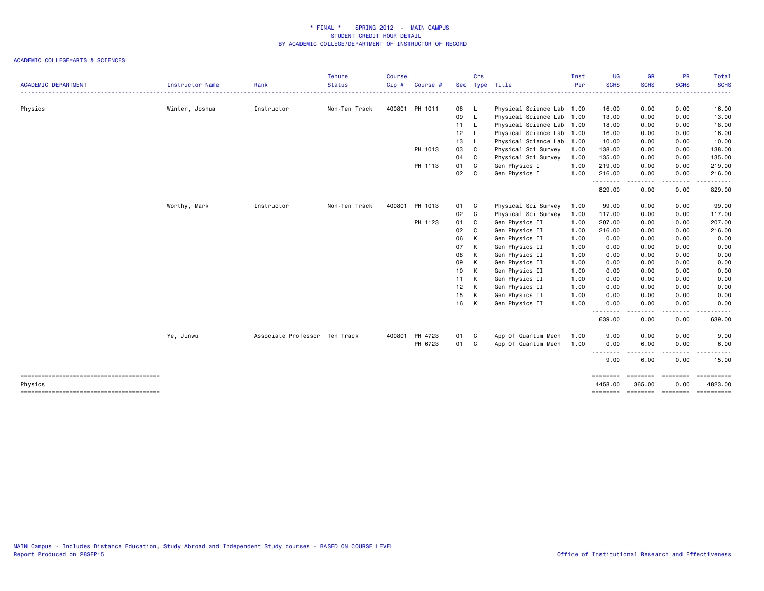|                                                   |                        |                               | <b>Tenure</b>                           | <b>Course</b> |                |      | Crs          |                                        | Inst | <b>UG</b>           | GR                 | <b>PR</b>                                                                                                                         | Total            |
|---------------------------------------------------|------------------------|-------------------------------|-----------------------------------------|---------------|----------------|------|--------------|----------------------------------------|------|---------------------|--------------------|-----------------------------------------------------------------------------------------------------------------------------------|------------------|
| <b>ACADEMIC DEPARTMENT</b>                        | <b>Instructor Name</b> | Rank<br>-----                 | <b>Status</b><br>---------------------- | Cip#          | Course $#$     |      |              | Sec Type Title<br>-------------------- | Per  | <b>SCHS</b><br>.    | <b>SCHS</b>        | <b>SCHS</b><br>.                                                                                                                  | <b>SCHS</b><br>. |
| Physics                                           | Winter, Joshua         | Instructor                    | Non-Ten Track                           |               | 400801 PH 1011 | 08 L |              | Physical Science Lab 1.00              |      | 16.00               | 0.00               | 0.00                                                                                                                              | 16.00            |
|                                                   |                        |                               |                                         |               |                | 09   | $\mathsf{L}$ | Physical Science Lab 1.00              |      | 13.00               | 0.00               | 0.00                                                                                                                              | 13.00            |
|                                                   |                        |                               |                                         |               |                | 11 L |              | Physical Science Lab 1.00              |      | 18.00               | 0.00               | 0.00                                                                                                                              | 18.00            |
|                                                   |                        |                               |                                         |               |                | 12   | $\mathsf{L}$ | Physical Science Lab 1.00              |      | 16.00               | 0.00               | 0.00                                                                                                                              | 16.00            |
|                                                   |                        |                               |                                         |               |                | 13   | - L          | Physical Science Lab 1.00              |      | 10.00               | 0.00               | 0.00                                                                                                                              | 10.00            |
|                                                   |                        |                               |                                         |               | PH 1013        | 03   | C            | Physical Sci Survey                    | 1.00 | 138.00              | 0.00               | 0.00                                                                                                                              | 138.00           |
|                                                   |                        |                               |                                         |               |                | 04   | C            | Physical Sci Survey                    | 1.00 | 135.00              | 0.00               | 0.00                                                                                                                              | 135.00           |
|                                                   |                        |                               |                                         |               | PH 1113        | 01   | C            | Gen Physics I                          | 1.00 | 219.00              | 0.00               | 0.00                                                                                                                              | 219.00           |
|                                                   |                        |                               |                                         |               |                | 02   |              | Gen Physics I                          | 1.00 | 216.00<br>.         | 0.00<br>-----      | 0.00<br>$   -$                                                                                                                    | 216.00<br>.      |
|                                                   |                        |                               |                                         |               |                |      |              |                                        |      | 829.00              | 0.00               | 0.00                                                                                                                              | 829.00           |
|                                                   | Worthy, Mark           | Instructor                    | Non-Ten Track                           | 400801        | PH 1013        | 01 C |              | Physical Sci Survey                    | 1.00 | 99.00               | 0.00               | 0.00                                                                                                                              | 99.00            |
|                                                   |                        |                               |                                         |               |                | 02   | $\mathbf{C}$ | Physical Sci Survey                    | 1.00 | 117.00              | 0.00               | 0.00                                                                                                                              | 117.00           |
|                                                   |                        |                               |                                         |               | PH 1123        | 01   | C            | Gen Physics II                         | 1.00 | 207.00              | 0.00               | 0.00                                                                                                                              | 207.00           |
|                                                   |                        |                               |                                         |               |                | 02   | C.           | Gen Physics II                         | 1.00 | 216.00              | 0.00               | 0.00                                                                                                                              | 216.00           |
|                                                   |                        |                               |                                         |               |                | 06   | К            | Gen Physics II                         | 1.00 | 0.00                | 0.00               | 0.00                                                                                                                              | 0.00             |
|                                                   |                        |                               |                                         |               |                | 07   | K            | Gen Physics II                         | 1.00 | 0.00                | 0.00               | 0.00                                                                                                                              | 0.00             |
|                                                   |                        |                               |                                         |               |                | 08   | K            | Gen Physics II                         | 1.00 | 0.00                | 0.00               | 0.00                                                                                                                              | 0.00             |
|                                                   |                        |                               |                                         |               |                | 09   | K            | Gen Physics II                         | 1.00 | 0.00                | 0.00               | 0.00                                                                                                                              | 0.00             |
|                                                   |                        |                               |                                         |               |                | 10   | K            | Gen Physics II                         | 1.00 | 0.00                | 0.00               | 0.00                                                                                                                              | 0.00             |
|                                                   |                        |                               |                                         |               |                | 11   | К            | Gen Physics II                         | 1.00 | 0.00                | 0.00               | 0.00                                                                                                                              | 0.00             |
|                                                   |                        |                               |                                         |               |                | 12   | К            | Gen Physics II                         | 1.00 | 0.00                | 0.00               | 0.00                                                                                                                              | 0.00             |
|                                                   |                        |                               |                                         |               |                | 15   | К            | Gen Physics II                         | 1.00 | 0.00                | 0.00               | 0.00                                                                                                                              | 0.00             |
|                                                   |                        |                               |                                         |               |                | 16   | К            | Gen Physics II                         | 1.00 | 0.00<br>.           | 0.00               | 0.00<br>$\frac{1}{2} \left( \frac{1}{2} \right) \left( \frac{1}{2} \right) \left( \frac{1}{2} \right) \left( \frac{1}{2} \right)$ | 0.00             |
|                                                   |                        |                               |                                         |               |                |      |              |                                        |      | 639.00              | 0.00               | 0.00                                                                                                                              | 639.00           |
|                                                   | Ye, Jinwu              | Associate Professor Ten Track |                                         | 400801        | PH 4723        | 01 C |              | App Of Quantum Mech                    | 1.00 | 9.00                | 0.00               | 0.00                                                                                                                              | 9.00             |
|                                                   |                        |                               |                                         |               | PH 6723        | 01 C |              | App Of Quantum Mech                    | 1.00 | 0.00                | 6.00               | 0.00                                                                                                                              | 6.00             |
|                                                   |                        |                               |                                         |               |                |      |              |                                        |      | <u>.</u><br>9.00    | .<br>6.00          | . <b>.</b><br>0.00                                                                                                                | 15.00            |
| --------------------------------------<br>Physics |                        |                               |                                         |               |                |      |              |                                        |      | ========<br>4458.00 | ========<br>365.00 | <b>ESSESSES</b><br>0.00                                                                                                           | 4823.00          |
| --------------------------------------            |                        |                               |                                         |               |                |      |              |                                        |      | ========            | --------- -------- |                                                                                                                                   | ==========       |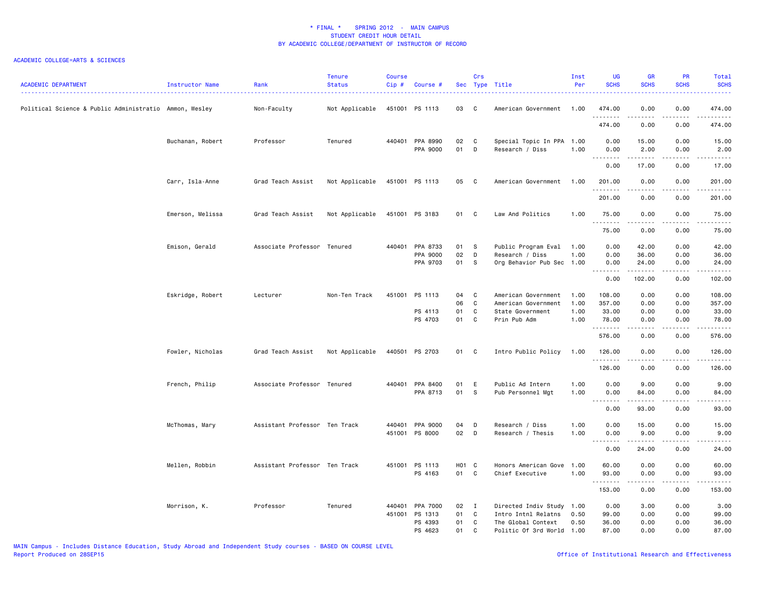| <b>ACADEMIC DEPARTMENT</b>                             | Instructor Name  | Rank                          | <b>Tenure</b><br><b>Status</b> | <b>Course</b><br>Cip# | Course #                             |                      | Crs                       | Sec Type Title                                                                 | Inst<br>Per                  | UG<br><b>SCHS</b>                  | <b>GR</b><br><b>SCHS</b>              | PR<br><b>SCHS</b>            | Total<br><b>SCHS</b>                                                                                                                                          |
|--------------------------------------------------------|------------------|-------------------------------|--------------------------------|-----------------------|--------------------------------------|----------------------|---------------------------|--------------------------------------------------------------------------------|------------------------------|------------------------------------|---------------------------------------|------------------------------|---------------------------------------------------------------------------------------------------------------------------------------------------------------|
| Political Science & Public Administratio Ammon, Wesley |                  | Non-Faculty                   | Not Applicable                 |                       | 451001 PS 1113                       | 03                   | - C                       | American Government                                                            | 1.00                         | 474.00<br>.                        | 0.00<br>22222                         | 0.00<br>.                    | 474.00<br>.                                                                                                                                                   |
|                                                        |                  |                               |                                |                       |                                      |                      |                           |                                                                                |                              | 474.00                             | 0.00                                  | 0.00                         | 474.00                                                                                                                                                        |
|                                                        | Buchanan, Robert | Professor                     | Tenured                        |                       | 440401 PPA 8990<br>PPA 9000          | 02<br>01             | C<br>D                    | Special Topic In PPA<br>Research / Diss                                        | 1.00<br>1.00                 | 0.00<br>0.00                       | 15.00<br>2.00                         | 0.00<br>0.00                 | 15.00<br>2.00                                                                                                                                                 |
|                                                        |                  |                               |                                |                       |                                      |                      |                           |                                                                                |                              | .<br>0.00                          | .<br>17.00                            | .<br>0.00                    | .<br>17.00                                                                                                                                                    |
|                                                        | Carr, Isla-Anne  | Grad Teach Assist             | Not Applicable                 |                       | 451001 PS 1113                       | 05                   | C <sub>c</sub>            | American Government                                                            | 1.00                         | 201.00<br>. <u>.</u>               | 0.00                                  | 0.00                         | 201.00<br>.                                                                                                                                                   |
|                                                        |                  |                               |                                |                       |                                      |                      |                           |                                                                                |                              | 201.00                             | 0.00                                  | 0.00                         | 201.00                                                                                                                                                        |
|                                                        | Emerson, Melissa | Grad Teach Assist             | Not Applicable                 |                       | 451001 PS 3183                       | 01                   | C                         | Law And Politics                                                               | 1.00                         | 75.00<br>.                         | 0.00<br>.                             | 0.00<br>.                    | 75.00<br>.                                                                                                                                                    |
|                                                        |                  |                               |                                |                       |                                      |                      |                           |                                                                                |                              | 75.00                              | 0.00                                  | 0.00                         | 75.00                                                                                                                                                         |
|                                                        | Emison, Gerald   | Associate Professor Tenured   |                                | 440401                | PPA 8733<br>PPA 9000<br>PPA 9703     | 01<br>02<br>01       | - S<br>D<br>- S           | Public Program Eval<br>Research / Diss<br>Org Behavior Pub Sec                 | 1.00<br>1.00<br>1.00         | 0.00<br>0.00<br>0.00<br><u>.</u>   | 42.00<br>36.00<br>24.00<br>. <u>.</u> | 0.00<br>0.00<br>0.00<br>.    | 42.00<br>36.00<br>24.00<br>.                                                                                                                                  |
|                                                        |                  |                               |                                |                       |                                      |                      |                           |                                                                                |                              | 0.00                               | 102.00                                | 0.00                         | 102.00                                                                                                                                                        |
|                                                        | Eskridge, Robert | Lecturer                      | Non-Ten Track                  |                       | 451001 PS 1113<br>PS 4113<br>PS 4703 | 04<br>06<br>01<br>01 | C<br>C<br>C<br>C          | American Government<br>American Government<br>State Government<br>Prin Pub Adm | 1.00<br>1.00<br>1.00<br>1.00 | 108.00<br>357.00<br>33.00<br>78.00 | 0.00<br>0.00<br>0.00<br>0.00          | 0.00<br>0.00<br>0.00<br>0.00 | 108.00<br>357.00<br>33.00<br>78.00                                                                                                                            |
|                                                        |                  |                               |                                |                       |                                      |                      |                           |                                                                                |                              | .                                  | .                                     | .                            | .                                                                                                                                                             |
|                                                        |                  |                               |                                |                       |                                      |                      |                           |                                                                                |                              | 576.00                             | 0.00                                  | 0.00                         | 576.00                                                                                                                                                        |
|                                                        | Fowler, Nicholas | Grad Teach Assist             | Not Applicable                 |                       | 440501 PS 2703                       | 01 C                 |                           | Intro Public Policy                                                            | 1.00                         | 126.00<br>.                        | 0.00                                  | 0.00<br>$- - - -$            | 126.00<br>.                                                                                                                                                   |
|                                                        |                  |                               |                                |                       |                                      |                      |                           |                                                                                |                              | 126.00                             | 0.00                                  | 0.00                         | 126.00                                                                                                                                                        |
|                                                        | French, Philip   | Associate Professor Tenured   |                                |                       | 440401 PPA 8400<br>PPA 8713          | 01<br>01             | E<br><b>S</b>             | Public Ad Intern<br>Pub Personnel Mgt                                          | 1.00<br>1.00                 | 0.00<br>0.00                       | 9.00<br>84.00                         | 0.00<br>0.00                 | 9.00<br>84.00                                                                                                                                                 |
|                                                        |                  |                               |                                |                       |                                      |                      |                           |                                                                                |                              | .<br>0.00                          | 93.00                                 | .<br>0.00                    | $\frac{1}{2} \left( \frac{1}{2} \right) \left( \frac{1}{2} \right) \left( \frac{1}{2} \right) \left( \frac{1}{2} \right) \left( \frac{1}{2} \right)$<br>93.00 |
|                                                        | McThomas, Mary   | Assistant Professor Ten Track |                                |                       | 440401 PPA 9000<br>451001 PS 8000    | 04<br>02             | D<br>D                    | Research / Diss<br>Research / Thesis                                           | 1.00<br>1.00                 | 0.00<br>0.00                       | 15.00<br>9.00                         | 0.00<br>0.00                 | 15.00<br>9.00                                                                                                                                                 |
|                                                        |                  |                               |                                |                       |                                      |                      |                           |                                                                                |                              | 0.00                               | 24.00                                 | $   -$<br>0.00               | 24.00                                                                                                                                                         |
|                                                        | Mellen, Robbin   | Assistant Professor Ten Track |                                |                       | 451001 PS 1113<br>PS 4163            | H01 C<br>01 C        |                           | Honors American Gove<br>Chief Executive                                        | 1.00<br>1.00                 | 60.00<br>93.00                     | 0.00<br>0.00                          | 0.00<br>0.00                 | 60.00<br>93.00                                                                                                                                                |
|                                                        |                  |                               |                                |                       |                                      |                      |                           |                                                                                |                              | .<br>153.00                        | 0.00                                  | 0.00                         | .<br>153.00                                                                                                                                                   |
|                                                        | Morrison, K.     | Professor                     | Tenured                        | 440401<br>451001      | PPA 7000<br>PS 1313<br>PS 4393       | 02<br>01<br>01       | $\blacksquare$<br>C<br>C. | Directed Indiv Study<br>Intro Intnl Relatns<br>The Global Context              | 1.00<br>0.50<br>0.50         | 0.00<br>99.00<br>36.00             | 3.00<br>0.00<br>0.00                  | 0.00<br>0.00<br>0.00         | 3.00<br>99.00<br>36.00                                                                                                                                        |
|                                                        |                  |                               |                                |                       | PS 4623                              | 01                   | C                         | Politic Of 3rd World                                                           | 1.00                         | 87.00                              | 0.00                                  | 0.00                         | 87.00                                                                                                                                                         |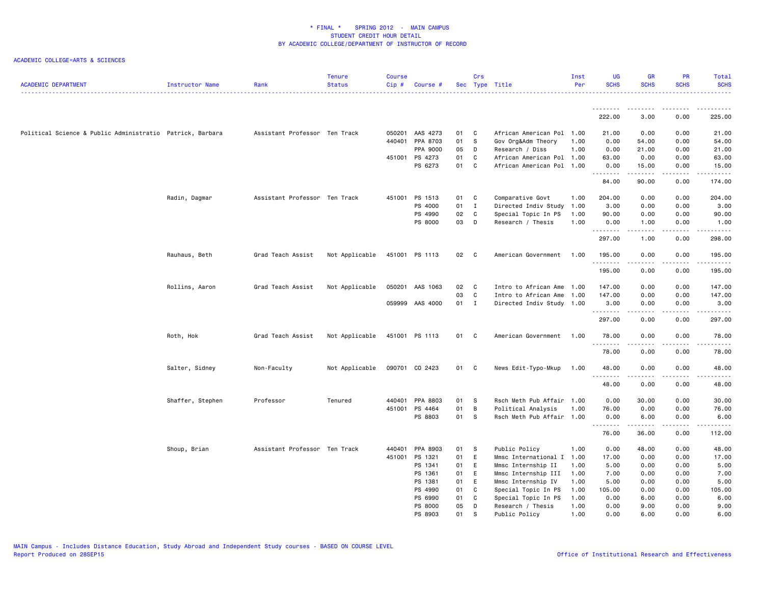| <b>ACADEMIC DEPARTMENT</b>                                | Instructor Name  | Rank                          | <b>Tenure</b><br><b>Status</b> | Course<br>Cip# | Course #        |      | Crs          | Sec Type Title            | Inst<br>Per  | <b>UG</b><br><b>SCHS</b> | <b>GR</b><br><b>SCHS</b>            | <b>PR</b><br><b>SCHS</b> | Total<br><b>SCHS</b>                                                                                                                                          |
|-----------------------------------------------------------|------------------|-------------------------------|--------------------------------|----------------|-----------------|------|--------------|---------------------------|--------------|--------------------------|-------------------------------------|--------------------------|---------------------------------------------------------------------------------------------------------------------------------------------------------------|
|                                                           |                  |                               |                                |                |                 |      |              |                           |              |                          |                                     |                          |                                                                                                                                                               |
|                                                           |                  |                               |                                |                |                 |      |              |                           |              | 222.00                   | 3.00                                | 0.00                     | 225.00                                                                                                                                                        |
| Political Science & Public Administratio Patrick, Barbara |                  | Assistant Professor Ten Track |                                |                | 050201 AAS 4273 | 01 C |              | African American Pol 1.00 |              | 21.00                    | 0.00                                | 0.00                     | 21.00                                                                                                                                                         |
|                                                           |                  |                               |                                |                | 440401 PPA 8703 | 01   | $\mathbf{s}$ | Gov Org&Adm Theory        | 1.00         | 0.00                     | 54.00                               | 0.00                     | 54.00                                                                                                                                                         |
|                                                           |                  |                               |                                |                | PPA 9000        | 05   | D            | Research / Diss           | 1.00         | 0.00                     | 21.00                               | 0.00                     | 21.00                                                                                                                                                         |
|                                                           |                  |                               |                                |                | 451001 PS 4273  | 01   | C            | African American Pol 1.00 |              | 63.00                    | 0.00                                | 0.00                     | 63.00                                                                                                                                                         |
|                                                           |                  |                               |                                |                | PS 6273         | 01 C |              | African American Pol 1.00 |              | 0.00<br>.                | 15.00<br>د د د د د                  | 0.00<br>.                | 15.00<br>.                                                                                                                                                    |
|                                                           |                  |                               |                                |                |                 |      |              |                           |              | 84.00                    | 90.00                               | 0.00                     | 174.00                                                                                                                                                        |
|                                                           | Radin, Dagmar    | Assistant Professor Ten Track |                                |                | 451001 PS 1513  | 01   | <b>C</b>     | Comparative Govt          | 1.00         | 204.00                   | 0.00                                | 0.00                     | 204.00                                                                                                                                                        |
|                                                           |                  |                               |                                |                | PS 4000         | 01   | $\mathbf{I}$ | Directed Indiv Study      | 1.00         | 3.00                     | 0.00                                | 0.00                     | 3.00                                                                                                                                                          |
|                                                           |                  |                               |                                |                | PS 4990         | 02   | $\mathbf{C}$ | Special Topic In PS       | 1.00         | 90.00                    | 0.00                                | 0.00                     | 90.00                                                                                                                                                         |
|                                                           |                  |                               |                                |                | PS 8000         | 03   | D            | Research / Thesis         | 1.00         | 0.00<br><u>.</u>         | 1.00<br>-----                       | 0.00<br>.                | 1.00<br>.                                                                                                                                                     |
|                                                           |                  |                               |                                |                |                 |      |              |                           |              | 297.00                   | 1.00                                | 0.00                     | 298.00                                                                                                                                                        |
|                                                           | Rauhaus, Beth    | Grad Teach Assist             | Not Applicable                 |                | 451001 PS 1113  | 02 C |              | American Government       | 1.00         | 195.00                   | 0.00                                | 0.00                     | 195.00                                                                                                                                                        |
|                                                           |                  |                               |                                |                |                 |      |              |                           |              | .<br>195.00              | -----<br>0.00                       | .<br>0.00                | <u>.</u><br>195.00                                                                                                                                            |
|                                                           | Rollins, Aaron   | Grad Teach Assist             | Not Applicable                 |                | 050201 AAS 1063 | 02   | $\mathbf{C}$ | Intro to African Ame 1.00 |              | 147.00                   | 0.00                                | 0.00                     | 147.00                                                                                                                                                        |
|                                                           |                  |                               |                                |                |                 | 03   | $\mathbf{C}$ | Intro to African Ame      | 1.00         | 147.00                   | 0.00                                | 0.00                     | 147.00                                                                                                                                                        |
|                                                           |                  |                               |                                |                | 059999 AAS 4000 | 01 I |              | Directed Indiv Study 1.00 |              | 3.00                     | 0.00                                | 0.00                     | 3.00                                                                                                                                                          |
|                                                           |                  |                               |                                |                |                 |      |              |                           |              | .<br>297.00              | $\sim$ $\sim$ $\sim$ $\sim$<br>0.00 | .<br>0.00                | د د د د د د<br>297.00                                                                                                                                         |
|                                                           | Roth, Hok        | Grad Teach Assist             | Not Applicable                 |                | 451001 PS 1113  | 01 C |              | American Government       | 1.00         | 78.00                    | 0.00                                | 0.00                     | 78.00                                                                                                                                                         |
|                                                           |                  |                               |                                |                |                 |      |              |                           |              | <u>.</u>                 | -----                               | .                        | $\frac{1}{2} \left( \frac{1}{2} \right) \left( \frac{1}{2} \right) \left( \frac{1}{2} \right) \left( \frac{1}{2} \right) \left( \frac{1}{2} \right)$          |
|                                                           |                  |                               |                                |                |                 |      |              |                           |              | 78.00                    | 0.00                                | 0.00                     | 78.00                                                                                                                                                         |
|                                                           | Salter, Sidney   | Non-Faculty                   | Not Applicable                 |                | 090701 CO 2423  | 01 C |              | News Edit-Typo-Mkup       | 1.00         | 48.00                    | 0.00                                | 0.00                     | 48.00                                                                                                                                                         |
|                                                           |                  |                               |                                |                |                 |      |              |                           |              | 48.00                    | 0.00                                | 0.00                     | $\frac{1}{2} \left( \frac{1}{2} \right) \left( \frac{1}{2} \right) \left( \frac{1}{2} \right) \left( \frac{1}{2} \right) \left( \frac{1}{2} \right)$<br>48.00 |
|                                                           |                  |                               |                                |                | 440401 PPA 8803 | 01   | <b>S</b>     | Rsch Meth Pub Affair      |              | 0.00                     |                                     | 0.00                     | 30.00                                                                                                                                                         |
|                                                           | Shaffer, Stephen | Professor                     | Tenured                        |                | 451001 PS 4464  | 01   | B            | Political Analysis        | 1.00<br>1.00 | 76.00                    | 30.00<br>0.00                       | 0.00                     | 76.00                                                                                                                                                         |
|                                                           |                  |                               |                                |                | PS 8803         | 01   | $\mathbf{s}$ | Rsch Meth Pub Affair 1.00 |              | 0.00                     | 6.00                                | 0.00                     | 6.00                                                                                                                                                          |
|                                                           |                  |                               |                                |                |                 |      |              |                           |              |                          | د د د د د                           | .                        | .                                                                                                                                                             |
|                                                           |                  |                               |                                |                |                 |      |              |                           |              | 76.00                    | 36.00                               | 0.00                     | 112.00                                                                                                                                                        |
|                                                           | Shoup, Brian     | Assistant Professor Ten Track |                                |                | 440401 PPA 8903 | 01 S |              | Public Policy             | 1.00         | 0.00                     | 48.00                               | 0.00                     | 48.00                                                                                                                                                         |
|                                                           |                  |                               |                                | 451001         | PS 1321         | 01   | E            | Mmsc International I      | 1.00         | 17.00                    | 0.00                                | 0.00                     | 17.00                                                                                                                                                         |
|                                                           |                  |                               |                                |                | PS 1341         | 01   | E            | Mmsc Internship II        | 1.00         | 5.00                     | 0.00                                | 0.00                     | 5.00                                                                                                                                                          |
|                                                           |                  |                               |                                |                | PS 1361         | 01   | E            | Mmsc Internship III       | 1.00         | 7.00                     | 0.00                                | 0.00                     | 7.00                                                                                                                                                          |
|                                                           |                  |                               |                                |                | PS 1381         | 01   | E            | Mmsc Internship IV        | 1.00         | 5.00                     | 0.00                                | 0.00                     | 5.00                                                                                                                                                          |
|                                                           |                  |                               |                                |                | PS 4990         | 01   | C            | Special Topic In PS       | 1.00         | 105.00                   | 0.00                                | 0.00                     | 105.00                                                                                                                                                        |
|                                                           |                  |                               |                                |                | PS 6990         | 01   | C            | Special Topic In PS       | 1.00         | 0.00                     | 6.00                                | 0.00                     | 6.00                                                                                                                                                          |
|                                                           |                  |                               |                                |                | PS 8000         | 05   | D            | Research / Thesis         | 1.00         | 0.00                     | 9.00                                | 0.00                     | 9.00                                                                                                                                                          |
|                                                           |                  |                               |                                |                | PS 8903         | 01   | S            | Public Policy             | 1.00         | 0.00                     | 6.00                                | 0.00                     | 6.00                                                                                                                                                          |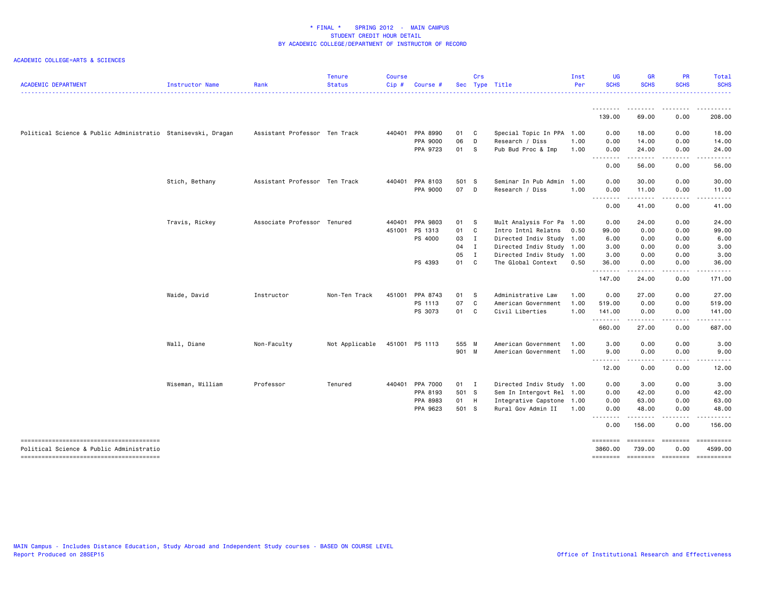| <b>ACADEMIC DEPARTMENT</b>                                                         | Instructor Name  | Rank                          | <b>Tenure</b><br><b>Status</b> | <b>Course</b><br>Cip# | Course         |       | Crs          | Sec Type Title            | Inst<br>Per | UG<br><b>SCHS</b>   | <b>GR</b><br><b>SCHS</b>   | PR<br><b>SCHS</b> | Total<br><b>SCHS</b> |
|------------------------------------------------------------------------------------|------------------|-------------------------------|--------------------------------|-----------------------|----------------|-------|--------------|---------------------------|-------------|---------------------|----------------------------|-------------------|----------------------|
|                                                                                    |                  |                               |                                |                       |                |       |              |                           |             | .<br>139.00         | 69.00                      | 0.00              | 208.00               |
| Political Science & Public Administratio Stanisevski, Dragan                       |                  | Assistant Professor Ten Track |                                | 440401                | PPA 8990       | 01    | C            | Special Topic In PPA 1.00 |             | 0.00                | 18.00                      | 0.00              | 18.00                |
|                                                                                    |                  |                               |                                |                       | PPA 9000       | 06    | D            | Research / Diss           | 1.00        | 0.00                | 14.00                      | 0.00              | 14.00                |
|                                                                                    |                  |                               |                                |                       | PPA 9723       | 01    | - S          | Pub Bud Proc & Imp        | 1.00        | 0.00                | 24.00                      | 0.00              | 24.00                |
|                                                                                    |                  |                               |                                |                       |                |       |              |                           |             | .<br>0.00           | ------<br>56.00            | .<br>0.00         | .<br>56.00           |
|                                                                                    | Stich, Bethany   | Assistant Professor Ten Track |                                | 440401                | PPA 8103       | 501 S |              | Seminar In Pub Admin 1.00 |             | 0.00                | 30.00                      | 0.00              | 30.00                |
|                                                                                    |                  |                               |                                |                       | PPA 9000       | 07    | D            | Research / Diss           | 1.00        | 0.00                | 11.00                      | 0.00              | 11.00                |
|                                                                                    |                  |                               |                                |                       |                |       |              |                           |             | 0.00                | <u>.</u><br>41.00          | .<br>0.00         | .<br>41.00           |
|                                                                                    | Travis, Rickey   | Associate Professor Tenured   |                                | 440401                | PPA 9803       | 01    | -S           | Mult Analysis For Pa 1.00 |             | 0.00                | 24.00                      | 0.00              | 24.00                |
|                                                                                    |                  |                               |                                | 451001                | PS 1313        | 01    | C            | Intro Intnl Relatns       | 0.50        | 99.00               | 0.00                       | 0.00              | 99.00                |
|                                                                                    |                  |                               |                                |                       | PS 4000        | 03    | $\mathbf{I}$ | Directed Indiv Study 1.00 |             | 6.00                | 0.00                       | 0.00              | 6.00                 |
|                                                                                    |                  |                               |                                |                       |                | 04    | $\mathbf{I}$ | Directed Indiv Study 1.00 |             | 3.00                | 0.00                       | 0.00              | 3.00                 |
|                                                                                    |                  |                               |                                |                       |                | 05    | I            | Directed Indiv Study 1.00 |             | 3.00                | 0.00                       | 0.00              | 3.00                 |
|                                                                                    |                  |                               |                                |                       | PS 4393        | 01    | C            | The Global Context        | 0.50        | 36.00<br>.          | 0.00<br>.                  | 0.00<br>.         | 36.00<br>.           |
|                                                                                    |                  |                               |                                |                       |                |       |              |                           |             | 147.00              | 24.00                      | 0.00              | 171.00               |
|                                                                                    | Waide, David     | Instructor                    | Non-Ten Track                  | 451001                | PPA 8743       | 01    | <b>S</b>     | Administrative Law        | 1.00        | 0.00                | 27.00                      | 0.00              | 27.00                |
|                                                                                    |                  |                               |                                |                       | PS 1113        | 07    | C            | American Government       | 1.00        | 519.00              | 0.00                       | 0.00              | 519.00               |
|                                                                                    |                  |                               |                                |                       | PS 3073        | 01    | C            | Civil Liberties           | 1.00        | 141.00              | 0.00                       | 0.00              | 141.00               |
|                                                                                    |                  |                               |                                |                       |                |       |              |                           |             | .<br>660.00         | .<br>27.00                 | .<br>0.00         | .<br>687.00          |
|                                                                                    | Wall, Diane      | Non-Faculty                   | Not Applicable                 |                       | 451001 PS 1113 | 555 M |              | American Government       | 1.00        | 3.00                | 0.00                       | 0.00              | 3.00                 |
|                                                                                    |                  |                               |                                |                       |                | 901 M |              | American Government       | 1.00        | 9.00                | 0.00                       | 0.00              | 9.00                 |
|                                                                                    |                  |                               |                                |                       |                |       |              |                           |             | 12.00               | 0.00                       | 0.00              | 12.00                |
|                                                                                    | Wiseman, William | Professor                     | Tenured                        | 440401                | PPA 7000       | 01 I  |              | Directed Indiv Study 1.00 |             | 0.00                | 3.00                       | 0.00              | 3.00                 |
|                                                                                    |                  |                               |                                |                       | PPA 8193       | 501 S |              | Sem In Intergovt Rel 1.00 |             | 0.00                | 42.00                      | 0.00              | 42.00                |
|                                                                                    |                  |                               |                                |                       | PPA 8983       | 01    | H            | Integrative Capstone 1.00 |             | 0.00                | 63.00                      | 0.00              | 63.00                |
|                                                                                    |                  |                               |                                |                       | PPA 9623       | 501 S |              | Rural Gov Admin II        | 1.00        | 0.00<br>.           | 48.00<br>.                 | 0.00<br>.         | 48.00<br>.           |
|                                                                                    |                  |                               |                                |                       |                |       |              |                           |             | 0.00                | 156.00                     | 0.00              | 156.00               |
| --------------------------------------<br>Political Science & Public Administratio |                  |                               |                                |                       |                |       |              |                           |             | ========<br>3860,00 | ======== =======<br>739.00 | 0.00              | 4599.00              |
| --------------------------------------                                             |                  |                               |                                |                       |                |       |              |                           |             | ========            | ======== =======           |                   |                      |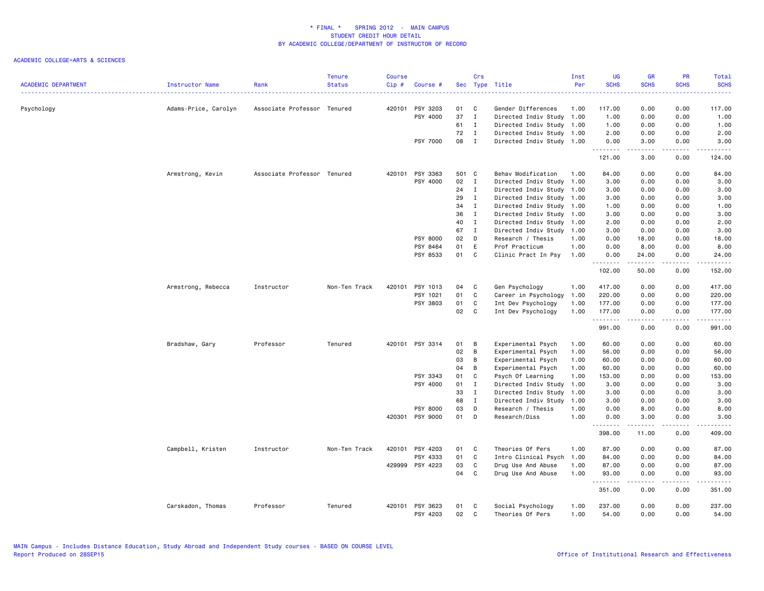| <b>ACADEMIC DEPARTMENT</b> | Instructor Name      | Rank                        | <b>Tenure</b><br><b>Status</b> | <b>Course</b><br>Cip# | Course #        |       | Crs          | Sec Type Title            | Inst<br>Per | <b>UG</b><br><b>SCHS</b> | <b>GR</b><br><b>SCHS</b> | <b>PR</b><br><b>SCHS</b>                                                                                                          | Total<br><b>SCHS</b> |
|----------------------------|----------------------|-----------------------------|--------------------------------|-----------------------|-----------------|-------|--------------|---------------------------|-------------|--------------------------|--------------------------|-----------------------------------------------------------------------------------------------------------------------------------|----------------------|
|                            |                      |                             |                                |                       |                 |       |              |                           |             |                          |                          | .                                                                                                                                 | د د د د د            |
| Psychology                 | Adams-Price, Carolyn | Associate Professor Tenured |                                |                       | 420101 PSY 3203 | 01    | <b>C</b>     | Gender Differences        | 1.00        | 117.00                   | 0.00                     | 0.00                                                                                                                              | 117.00               |
|                            |                      |                             |                                |                       | PSY 4000        | 37    | $\mathbf{I}$ | Directed Indiv Study 1.00 |             | 1.00                     | 0.00                     | 0.00                                                                                                                              | 1.00                 |
|                            |                      |                             |                                |                       |                 | 61    | $\mathbf{I}$ | Directed Indiv Study 1.00 |             | 1.00                     | 0.00                     | 0.00                                                                                                                              | 1.00                 |
|                            |                      |                             |                                |                       |                 | 72    | $\mathbf{I}$ | Directed Indiv Study 1.00 |             | 2.00                     | 0.00                     | 0.00                                                                                                                              | 2.00                 |
|                            |                      |                             |                                |                       | PSY 7000        | 08    | $\mathbf{I}$ | Directed Indiv Study 1.00 |             | 0.00<br>.                | 3.00<br>.                | 0.00<br>$\frac{1}{2} \left( \frac{1}{2} \right) \left( \frac{1}{2} \right) \left( \frac{1}{2} \right) \left( \frac{1}{2} \right)$ | 3.00<br>.            |
|                            |                      |                             |                                |                       |                 |       |              |                           |             | 121.00                   | 3.00                     | 0.00                                                                                                                              | 124.00               |
|                            | Armstrong, Kevin     | Associate Professor Tenured |                                |                       | 420101 PSY 3363 | 501 C |              | Behav Modification        | 1.00        | 84.00                    | 0.00                     | 0.00                                                                                                                              | 84.00                |
|                            |                      |                             |                                |                       | PSY 4000        | 02    | $\mathbf{I}$ | Directed Indiv Study      | 1.00        | 3.00                     | 0.00                     | 0.00                                                                                                                              | 3.00                 |
|                            |                      |                             |                                |                       |                 | 24    | $\mathbf{I}$ | Directed Indiv Study      | 1.00        | 3.00                     | 0.00                     | 0.00                                                                                                                              | 3.00                 |
|                            |                      |                             |                                |                       |                 | 29    | $\mathbf{I}$ | Directed Indiv Study 1.00 |             | 3.00                     | 0.00                     | 0.00                                                                                                                              | 3.00                 |
|                            |                      |                             |                                |                       |                 | 34    | $\mathbf{I}$ | Directed Indiv Study 1.00 |             | 1.00                     | 0.00                     | 0.00                                                                                                                              | 1.00                 |
|                            |                      |                             |                                |                       |                 | 36    | $\mathbf{I}$ | Directed Indiv Study 1.00 |             | 3.00                     | 0.00                     | 0.00                                                                                                                              | 3.00                 |
|                            |                      |                             |                                |                       |                 | 40    | $\mathbf{I}$ | Directed Indiv Study 1.00 |             | 2.00                     | 0.00                     | 0.00                                                                                                                              | 2.00                 |
|                            |                      |                             |                                |                       |                 | 67    | $\mathbf{I}$ | Directed Indiv Study 1.00 |             | 3.00                     | 0.00                     | 0.00                                                                                                                              | 3.00                 |
|                            |                      |                             |                                |                       | PSY 8000        | 02    | D            | Research / Thesis         | 1.00        | 0.00                     | 18.00                    | 0.00                                                                                                                              | 18.00                |
|                            |                      |                             |                                |                       | PSY 8464        | 01    | E            | Prof Practicum            | 1.00        | 0.00                     | 8.00                     | 0.00                                                                                                                              | 8.00                 |
|                            |                      |                             |                                |                       | PSY 8533        | 01 C  |              | Clinic Pract In Psy       | 1.00        | 0.00                     | 24.00                    | 0.00                                                                                                                              | 24.00                |
|                            |                      |                             |                                |                       |                 |       |              |                           |             | .<br>102.00              | $- - - - -$<br>50.00     | .<br>0.00                                                                                                                         | .<br>152.00          |
|                            |                      |                             |                                |                       |                 |       |              |                           |             |                          |                          |                                                                                                                                   |                      |
|                            | Armstrong, Rebecca   | Instructor                  | Non-Ten Track                  |                       | 420101 PSY 1013 | 04    | C.           | Gen Psychology            | 1.00        | 417.00                   | 0.00                     | 0.00                                                                                                                              | 417.00               |
|                            |                      |                             |                                |                       | PSY 1021        | 01    | $\mathbf c$  | Career in Psychology      | 1.00        | 220.00                   | 0.00                     | 0.00                                                                                                                              | 220.00               |
|                            |                      |                             |                                |                       | PSY 3803        | 01    | C.           | Int Dev Psychology        | 1.00        | 177.00                   | 0.00                     | 0.00                                                                                                                              | 177.00               |
|                            |                      |                             |                                |                       |                 | 02    | C            | Int Dev Psychology        | 1.00        | 177.00<br>.              | 0.00                     | 0.00<br>$\sim$ $\sim$ $\sim$                                                                                                      | 177.00<br>.          |
|                            |                      |                             |                                |                       |                 |       |              |                           |             | 991.00                   | 0.00                     | 0.00                                                                                                                              | 991.00               |
|                            | Bradshaw, Gary       | Professor                   | Tenured                        |                       | 420101 PSY 3314 | 01    | B            | Experimental Psych        | 1.00        | 60.00                    | 0.00                     | 0.00                                                                                                                              | 60.00                |
|                            |                      |                             |                                |                       |                 | 02    | B            | Experimental Psych        | 1.00        | 56.00                    | 0.00                     | 0.00                                                                                                                              | 56.00                |
|                            |                      |                             |                                |                       |                 | 03    | B            | Experimental Psych        | 1.00        | 60.00                    | 0.00                     | 0.00                                                                                                                              | 60.00                |
|                            |                      |                             |                                |                       |                 | 04    | B            | Experimental Psych        | 1.00        | 60.00                    | 0.00                     | 0.00                                                                                                                              | 60.00                |
|                            |                      |                             |                                |                       | PSY 3343        | 01    | C            | Psych Of Learning         | 1.00        | 153.00                   | 0.00                     | 0.00                                                                                                                              | 153.00               |
|                            |                      |                             |                                |                       | PSY 4000        | 01    | I            | Directed Indiv Study      | 1.00        | 3.00                     | 0.00                     | 0.00                                                                                                                              | 3.00                 |
|                            |                      |                             |                                |                       |                 | 33    | $\mathbf{I}$ | Directed Indiv Study      | 1.00        | 3.00                     | 0.00                     | 0.00                                                                                                                              | 3.00                 |
|                            |                      |                             |                                |                       |                 | 68    | I            | Directed Indiv Study      | 1.00        | 3.00                     | 0.00                     | 0.00                                                                                                                              | 3.00                 |
|                            |                      |                             |                                |                       | <b>PSY 8000</b> | 03    | D            | Research / Thesis         | 1.00        | 0.00                     | 8.00                     | 0.00                                                                                                                              | 8.00                 |
|                            |                      |                             |                                |                       | 420301 PSY 9000 | 01    | $\mathsf{D}$ | Research/Diss             | 1.00        | 0.00                     | 3.00                     | 0.00                                                                                                                              | 3.00                 |
|                            |                      |                             |                                |                       |                 |       |              |                           |             | .<br>398.00              | .<br>11.00               | .<br>0.00                                                                                                                         | د د د د د<br>409.00  |
|                            | Campbell, Kristen    | Instructor                  | Non-Ten Track                  |                       | 420101 PSY 4203 | 01    | $\mathbf{C}$ | Theories Of Pers          | 1.00        | 87.00                    | 0.00                     | 0.00                                                                                                                              | 87.00                |
|                            |                      |                             |                                |                       | PSY 4333        | 01    | $\mathbf{C}$ | Intro Clinical Psych      | 1.00        | 84.00                    | 0.00                     | 0.00                                                                                                                              | 84.00                |
|                            |                      |                             |                                | 429999                | PSY 4223        | 03    | C            | Drug Use And Abuse        | 1.00        | 87.00                    | 0.00                     | 0.00                                                                                                                              | 87.00                |
|                            |                      |                             |                                |                       |                 | 04    | C.           | Drug Use And Abuse        | 1.00        | 93.00                    | 0.00                     | 0.00                                                                                                                              | 93.00                |
|                            |                      |                             |                                |                       |                 |       |              |                           |             | .<br>351.00              | <b>.</b><br>0.00         | .<br>0.00                                                                                                                         | <u>.</u><br>351.00   |
|                            | Carskadon, Thomas    | Professor                   | Tenured                        | 420101                | PSY 3623        | 01    | C            | Social Psychology         | 1.00        | 237.00                   | 0.00                     | 0.00                                                                                                                              | 237.00               |
|                            |                      |                             |                                |                       | PSY 4203        | 02    | C            | Theories Of Pers          | 1.00        | 54.00                    | 0.00                     | 0.00                                                                                                                              | 54.00                |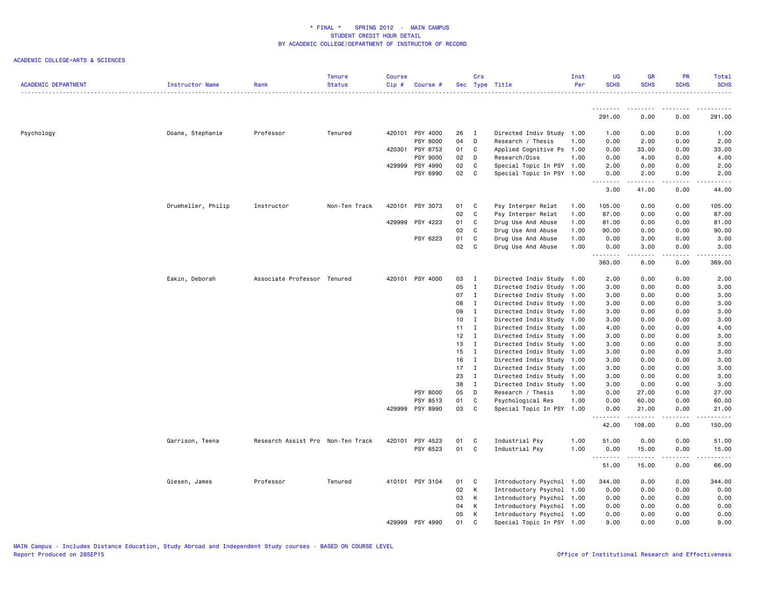| <b>ACADEMIC DEPARTMENT</b> | Instructor Name    | Rank                              | <b>Tenure</b><br><b>Status</b> | <b>Course</b><br>Cip# | Course #        |              | Crs          | Sec Type Title            | Inst<br>Per | UG<br><b>SCHS</b>  | <b>GR</b><br><b>SCHS</b> | PR<br><b>SCHS</b>                   | <b>Total</b><br><b>SCHS</b>                                                                                                                                  |
|----------------------------|--------------------|-----------------------------------|--------------------------------|-----------------------|-----------------|--------------|--------------|---------------------------|-------------|--------------------|--------------------------|-------------------------------------|--------------------------------------------------------------------------------------------------------------------------------------------------------------|
|                            |                    |                                   |                                |                       |                 |              |              |                           |             |                    |                          |                                     |                                                                                                                                                              |
|                            |                    |                                   |                                |                       |                 |              |              |                           |             | <u>.</u><br>291.00 | . <u>.</u><br>0.00       | .<br>0.00                           | 291.00                                                                                                                                                       |
| Psychology                 | Doane, Stephanie   | Professor                         | Tenured                        | 420101                | PSY 4000        | 26           | $\mathbf{I}$ | Directed Indiv Study 1.00 |             | 1.00               | 0.00                     | 0.00                                | 1.00                                                                                                                                                         |
|                            |                    |                                   |                                |                       | PSY 8000        | 04           | D            | Research / Thesis         | 1.00        | 0.00               | 2.00                     | 0.00                                | 2.00                                                                                                                                                         |
|                            |                    |                                   |                                |                       | 420301 PSY 6753 | 01           | C            | Applied Cognitive Ps      | 1.00        | 0.00               | 33.00                    | 0.00                                | 33.00                                                                                                                                                        |
|                            |                    |                                   |                                |                       | PSY 9000        | 02           | D            | Research/Diss             | 1.00        | 0.00               | 4.00                     | 0.00                                | 4.00                                                                                                                                                         |
|                            |                    |                                   |                                | 429999                | PSY 4990        | 02           | C            | Special Topic In PSY 1.00 |             | 2.00               | 0.00                     | 0.00                                | 2.00                                                                                                                                                         |
|                            |                    |                                   |                                |                       | PSY 6990        | 02           | C.           | Special Topic In PSY 1.00 |             | 0.00<br>.          | 2.00<br>-----            | 0.00<br>.                           | 2.00<br>.                                                                                                                                                    |
|                            |                    |                                   |                                |                       |                 |              |              |                           |             | 3.00               | 41.00                    | 0.00                                | 44.00                                                                                                                                                        |
|                            | Drumheller, Philip | Instructor                        | Non-Ten Track                  | 420101                | PSY 3073        | 01           | C            | Psy Interper Relat        | 1.00        | 105.00             | 0.00                     | 0.00                                | 105.00                                                                                                                                                       |
|                            |                    |                                   |                                |                       |                 | 02           | C            | Psy Interper Relat        | 1.00        | 87.00              | 0.00                     | 0.00                                | 87.00                                                                                                                                                        |
|                            |                    |                                   |                                |                       | 429999 PSY 4223 | 01           | C            | Drug Use And Abuse        | 1.00        | 81.00              | 0.00                     | 0.00                                | 81.00                                                                                                                                                        |
|                            |                    |                                   |                                |                       |                 | 02           | C.           | Drug Use And Abuse        | 1.00        | 90.00              | 0.00                     | 0.00                                | 90.00                                                                                                                                                        |
|                            |                    |                                   |                                |                       | PSY 6223        | 01           | C            | Drug Use And Abuse        | 1.00        | 0.00               | 3.00                     | 0.00                                | 3.00                                                                                                                                                         |
|                            |                    |                                   |                                |                       |                 | 02           | C.           | Drug Use And Abuse        | 1.00        | 0.00<br>.          | 3.00                     | 0.00<br>.                           | 3.00<br>$\frac{1}{2} \left( \frac{1}{2} \right) \left( \frac{1}{2} \right) \left( \frac{1}{2} \right) \left( \frac{1}{2} \right) \left( \frac{1}{2} \right)$ |
|                            |                    |                                   |                                |                       |                 |              |              |                           |             | 363.00             | 6.00                     | 0.00                                | 369.00                                                                                                                                                       |
|                            | Eakin, Deborah     | Associate Professor Tenured       |                                |                       | 420101 PSY 4000 | 03           | I            | Directed Indiv Study 1.00 |             | 2.00               | 0.00                     | 0.00                                | 2.00                                                                                                                                                         |
|                            |                    |                                   |                                |                       |                 | 05           | $\mathbf{I}$ | Directed Indiv Study 1.00 |             | 3.00               | 0.00                     | 0.00                                | 3.00                                                                                                                                                         |
|                            |                    |                                   |                                |                       |                 | 07           | $\mathbf{I}$ | Directed Indiv Study 1.00 |             | 3.00               | 0.00                     | 0.00                                | 3.00                                                                                                                                                         |
|                            |                    |                                   |                                |                       |                 | 08           | $\mathbf{I}$ | Directed Indiv Study 1.00 |             | 3.00               | 0.00                     | 0.00                                | 3.00                                                                                                                                                         |
|                            |                    |                                   |                                |                       |                 | 09           | $\mathbf{I}$ | Directed Indiv Study 1.00 |             | 3.00               | 0.00                     | 0.00                                | 3.00                                                                                                                                                         |
|                            |                    |                                   |                                |                       |                 | 10           | $\mathbf{I}$ | Directed Indiv Study 1.00 |             | 3.00               | 0.00                     | 0.00                                | 3.00                                                                                                                                                         |
|                            |                    |                                   |                                |                       |                 | $11 \quad I$ |              | Directed Indiv Study 1.00 |             | 4.00               | 0.00                     | 0.00                                | 4.00                                                                                                                                                         |
|                            |                    |                                   |                                |                       |                 | 12           | $\mathbf{I}$ | Directed Indiv Study 1.00 |             | 3.00               | 0.00                     | 0.00                                | 3.00                                                                                                                                                         |
|                            |                    |                                   |                                |                       |                 | 13           | $\mathbf{I}$ | Directed Indiv Study 1.00 |             | 3.00               | 0.00                     | 0.00                                | 3.00                                                                                                                                                         |
|                            |                    |                                   |                                |                       |                 | 15           | $\mathbf{I}$ | Directed Indiv Study 1.00 |             | 3.00               | 0.00                     | 0.00                                | 3.00                                                                                                                                                         |
|                            |                    |                                   |                                |                       |                 | 16           | $\mathbf{I}$ | Directed Indiv Study 1.00 |             | 3.00               | 0.00                     | 0.00                                | 3.00                                                                                                                                                         |
|                            |                    |                                   |                                |                       |                 | 17           | $\mathbf{I}$ | Directed Indiv Study 1.00 |             | 3.00               | 0.00                     | 0.00                                | 3.00                                                                                                                                                         |
|                            |                    |                                   |                                |                       |                 | 23           | $\mathbf{I}$ | Directed Indiv Study      | 1.00        | 3.00               | 0.00                     | 0.00                                | 3.00                                                                                                                                                         |
|                            |                    |                                   |                                |                       |                 | 38           | $\mathbf{I}$ | Directed Indiv Study 1.00 |             | 3.00               | 0.00                     | 0.00                                | 3.00                                                                                                                                                         |
|                            |                    |                                   |                                |                       | PSY 8000        | 05           | D            | Research / Thesis         | 1.00        | 0.00               | 27.00                    | 0.00                                | 27.00                                                                                                                                                        |
|                            |                    |                                   |                                |                       | PSY 8513        | 01           | C            | Psychological Res         | 1.00        | 0.00               | 60.00                    | 0.00                                | 60.00                                                                                                                                                        |
|                            |                    |                                   |                                |                       | 429999 PSY 8990 | 03           | C            | Special Topic In PSY 1.00 |             | 0.00<br>.          | 21.00<br>-----           | 0.00<br>$\sim$ $\sim$ $\sim$ $\sim$ | 21.00<br>.                                                                                                                                                   |
|                            |                    |                                   |                                |                       |                 |              |              |                           |             | 42.00              | 108.00                   | 0.00                                | 150.00                                                                                                                                                       |
|                            | Garrison, Teena    | Research Assist Pro Non-Ten Track |                                | 420101                | PSY 4523        | 01           | C            | Industrial Psy            | 1.00        | 51.00              | 0.00                     | 0.00                                | 51.00                                                                                                                                                        |
|                            |                    |                                   |                                |                       | PSY 6523        | 01           | C            | Industrial Psy            | 1.00        | 0.00               | 15.00                    | 0.00                                | 15.00                                                                                                                                                        |
|                            |                    |                                   |                                |                       |                 |              |              |                           |             | 51.00              | .<br>15.00               | .<br>0.00                           | .<br>66.00                                                                                                                                                   |
|                            | Giesen, James      | Professor                         | Tenured                        |                       | 410101 PSY 3104 | 01           | C            | Introductory Psychol 1.00 |             | 344.00             | 0.00                     | 0.00                                | 344.00                                                                                                                                                       |
|                            |                    |                                   |                                |                       |                 | 02           | K            | Introductory Psychol 1.00 |             | 0.00               | 0.00                     | 0.00                                | 0.00                                                                                                                                                         |
|                            |                    |                                   |                                |                       |                 | 03           | K            | Introductory Psychol 1.00 |             | 0.00               | 0.00                     | 0.00                                | 0.00                                                                                                                                                         |
|                            |                    |                                   |                                |                       |                 | 04           | K            | Introductory Psychol 1.00 |             | 0.00               | 0.00                     | 0.00                                | 0.00                                                                                                                                                         |
|                            |                    |                                   |                                |                       |                 | 05           | К            | Introductory Psychol 1.00 |             | 0.00               | 0.00                     | 0.00                                | 0.00                                                                                                                                                         |
|                            |                    |                                   |                                |                       | 429999 PSY 4990 | 01           | C            | Special Topic In PSY 1.00 |             | 9.00               | 0.00                     | 0.00                                | 9.00                                                                                                                                                         |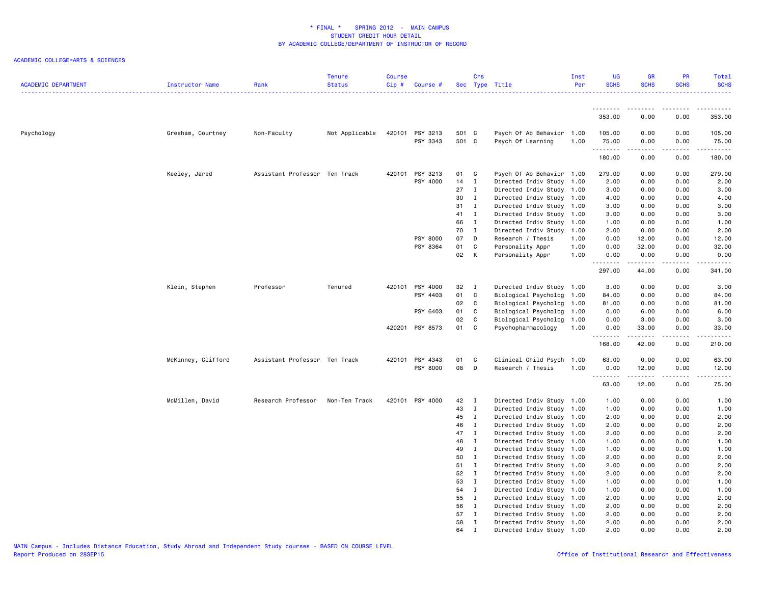| <b>ACADEMIC DEPARTMENT</b> | Instructor Name    | Rank                          | <b>Tenure</b><br><b>Status</b> | <b>Course</b><br>Cip# | Course #             |                | Crs            | Sec Type Title                                 | Inst<br>Per | UG<br><b>SCHS</b> | <b>GR</b><br><b>SCHS</b>                                                                                                                                                                | PR<br><b>SCHS</b>                   | <b>Total</b><br><b>SCHS</b>                                                                                                     |
|----------------------------|--------------------|-------------------------------|--------------------------------|-----------------------|----------------------|----------------|----------------|------------------------------------------------|-------------|-------------------|-----------------------------------------------------------------------------------------------------------------------------------------------------------------------------------------|-------------------------------------|---------------------------------------------------------------------------------------------------------------------------------|
|                            |                    |                               |                                |                       |                      |                |                |                                                |             | .                 |                                                                                                                                                                                         |                                     |                                                                                                                                 |
|                            |                    |                               |                                |                       |                      |                |                |                                                |             | 353.00            | 0.00                                                                                                                                                                                    | 0.00                                | 353.00                                                                                                                          |
| Psychology                 | Gresham, Courtney  | Non-Faculty                   | Not Applicable                 | 420101                | PSY 3213<br>PSY 3343 | 501 C<br>501 C |                | Psych Of Ab Behavior 1.00<br>Psych Of Learning | 1.00        | 105.00<br>75.00   | 0.00<br>0.00                                                                                                                                                                            | 0.00<br>0.00                        | 105.00<br>75.00                                                                                                                 |
|                            |                    |                               |                                |                       |                      |                |                |                                                |             | .<br>180.00       | $\frac{1}{2} \left( \frac{1}{2} \right) \left( \frac{1}{2} \right) \left( \frac{1}{2} \right) \left( \frac{1}{2} \right) \left( \frac{1}{2} \right) \left( \frac{1}{2} \right)$<br>0.00 | .<br>0.00                           | $\begin{array}{cccccccccc} \bullet & \bullet & \bullet & \bullet & \bullet & \bullet & \bullet & \bullet \end{array}$<br>180.00 |
|                            | Keeley, Jared      | Assistant Professor Ten Track |                                | 420101                | PSY 3213             | 01 C           |                | Psych Of Ab Behavior 1.00                      |             | 279.00            | 0.00                                                                                                                                                                                    | 0.00                                | 279.00                                                                                                                          |
|                            |                    |                               |                                |                       | PSY 4000             | 14             | $\mathbf{I}$   | Directed Indiv Study 1.00                      |             | 2.00              | 0.00                                                                                                                                                                                    | 0.00                                | 2.00                                                                                                                            |
|                            |                    |                               |                                |                       |                      | 27             | $\mathbf I$    | Directed Indiv Study 1.00                      |             | 3.00              | 0.00                                                                                                                                                                                    | 0.00                                | 3.00                                                                                                                            |
|                            |                    |                               |                                |                       |                      | 30             | $\mathbf{I}$   | Directed Indiv Study 1.00                      |             | 4.00              | 0.00                                                                                                                                                                                    | 0.00                                | 4.00                                                                                                                            |
|                            |                    |                               |                                |                       |                      | 31             | $\mathbf{I}$   | Directed Indiv Study 1.00                      |             | 3.00              | 0.00                                                                                                                                                                                    | 0.00                                | 3.00                                                                                                                            |
|                            |                    |                               |                                |                       |                      | 41             | $\mathbf{I}$   | Directed Indiv Study 1.00                      |             | 3.00              | 0.00                                                                                                                                                                                    | 0.00                                | 3.00                                                                                                                            |
|                            |                    |                               |                                |                       |                      | 66             | $\mathbf{I}$   | Directed Indiv Study 1.00                      |             | 1.00              | 0.00                                                                                                                                                                                    | 0.00                                | 1.00                                                                                                                            |
|                            |                    |                               |                                |                       |                      | 70             | $\mathbf{I}$   | Directed Indiv Study                           | 1.00        | 2.00              | 0.00                                                                                                                                                                                    | 0.00                                | 2.00                                                                                                                            |
|                            |                    |                               |                                |                       | PSY 8000             | 07             | D              | Research / Thesis                              | 1.00        | 0.00              | 12.00                                                                                                                                                                                   | 0.00                                | 12.00                                                                                                                           |
|                            |                    |                               |                                |                       | PSY 8364             | 01             | C              | Personality Appr                               | 1.00        | 0.00              | 32.00                                                                                                                                                                                   | 0.00                                | 32.00                                                                                                                           |
|                            |                    |                               |                                |                       |                      | 02             | $\mathsf{K}$   | Personality Appr                               | 1.00        | 0.00<br>.         | 0.00<br>.                                                                                                                                                                               | 0.00<br>$\sim$ $\sim$ $\sim$ $\sim$ | 0.00<br>.                                                                                                                       |
|                            |                    |                               |                                |                       |                      |                |                |                                                |             | 297.00            | 44.00                                                                                                                                                                                   | 0.00                                | 341.00                                                                                                                          |
|                            | Klein, Stephen     | Professor                     | Tenured                        | 420101                | PSY 4000             | 32             | $\blacksquare$ | Directed Indiv Study 1.00                      |             | 3.00              | 0.00                                                                                                                                                                                    | 0.00                                | 3.00                                                                                                                            |
|                            |                    |                               |                                |                       | PSY 4403             | 01             | C              | Biological Psycholog 1.00                      |             | 84.00             | 0.00                                                                                                                                                                                    | 0.00                                | 84.00                                                                                                                           |
|                            |                    |                               |                                |                       |                      | 02             | $\mathbf{C}$   | Biological Psycholog 1.00                      |             | 81.00             | 0.00                                                                                                                                                                                    | 0.00                                | 81.00                                                                                                                           |
|                            |                    |                               |                                |                       | PSY 6403             | 01             | C              | Biological Psycholog 1.00                      |             | 0.00              | 6.00                                                                                                                                                                                    | 0.00                                | 6.00                                                                                                                            |
|                            |                    |                               |                                |                       |                      | 02             | C              | Biological Psycholog 1.00                      |             | 0.00              | 3.00                                                                                                                                                                                    | 0.00                                | 3.00                                                                                                                            |
|                            |                    |                               |                                | 420201                | PSY 8573             | 01             | C              | Psychopharmacology                             | 1.00        | 0.00<br>.         | 33.00<br>.                                                                                                                                                                              | 0.00<br>.                           | 33.00<br>.                                                                                                                      |
|                            |                    |                               |                                |                       |                      |                |                |                                                |             | 168.00            | 42.00                                                                                                                                                                                   | 0.00                                | 210.00                                                                                                                          |
|                            | McKinney, Clifford | Assistant Professor Ten Track |                                | 420101                | PSY 4343             | 01             | $\mathbf{C}$   | Clinical Child Psych 1.00                      |             | 63.00             | 0.00                                                                                                                                                                                    | 0.00                                | 63.00                                                                                                                           |
|                            |                    |                               |                                |                       | PSY 8000             | 08             | D              | Research / Thesis                              | 1.00        | 0.00              | 12.00                                                                                                                                                                                   | 0.00                                | 12.00                                                                                                                           |
|                            |                    |                               |                                |                       |                      |                |                |                                                |             | .<br>63.00        | -----<br>12.00                                                                                                                                                                          | $- - -$<br>0.00                     | $\frac{1}{2}$<br>75.00                                                                                                          |
|                            | McMillen, David    | Research Professor            | Non-Ten Track                  |                       | 420101 PSY 4000      | 42             | $\mathbf{I}$   | Directed Indiv Study 1.00                      |             | 1.00              | 0.00                                                                                                                                                                                    | 0.00                                | 1.00                                                                                                                            |
|                            |                    |                               |                                |                       |                      | 43             | $\mathbf{I}$   | Directed Indiv Study 1.00                      |             | 1.00              | 0.00                                                                                                                                                                                    | 0.00                                | 1.00                                                                                                                            |
|                            |                    |                               |                                |                       |                      | 45             | $\mathbf{I}$   | Directed Indiv Study 1.00                      |             | 2.00              | 0.00                                                                                                                                                                                    | 0.00                                | 2.00                                                                                                                            |
|                            |                    |                               |                                |                       |                      | 46             | $\mathbf{I}$   | Directed Indiv Study 1.00                      |             | 2.00              | 0.00                                                                                                                                                                                    | 0.00                                | 2.00                                                                                                                            |
|                            |                    |                               |                                |                       |                      | 47             | $\mathbf{I}$   | Directed Indiv Study 1.00                      |             | 2.00              | 0.00                                                                                                                                                                                    | 0.00                                | 2.00                                                                                                                            |
|                            |                    |                               |                                |                       |                      | 48             | $\mathbf{I}$   | Directed Indiv Study 1.00                      |             | 1.00              | 0.00                                                                                                                                                                                    | 0.00                                | 1.00                                                                                                                            |
|                            |                    |                               |                                |                       |                      | 49             | $\mathbf{I}$   | Directed Indiv Study 1.00                      |             | 1.00              | 0.00                                                                                                                                                                                    | 0.00                                | 1.00                                                                                                                            |
|                            |                    |                               |                                |                       |                      | 50             | $\mathbf{I}$   | Directed Indiv Study 1.00                      |             | 2.00              | 0.00                                                                                                                                                                                    | 0.00                                | 2.00                                                                                                                            |
|                            |                    |                               |                                |                       |                      | 51             | $\mathbf{I}$   | Directed Indiv Study 1.00                      |             | 2.00              | 0.00                                                                                                                                                                                    | 0.00                                | 2.00                                                                                                                            |
|                            |                    |                               |                                |                       |                      | 52             | $\mathbf{I}$   | Directed Indiv Study 1.00                      |             | 2.00              | 0.00                                                                                                                                                                                    | 0.00                                | 2.00                                                                                                                            |
|                            |                    |                               |                                |                       |                      | 53             | $\mathbf{I}$   | Directed Indiv Study 1.00                      |             | 1.00              | 0.00                                                                                                                                                                                    | 0.00                                | 1.00                                                                                                                            |
|                            |                    |                               |                                |                       |                      | 54             | $\mathbf{I}$   | Directed Indiv Study 1.00                      |             | 1.00              | 0.00                                                                                                                                                                                    | 0.00                                | 1.00                                                                                                                            |
|                            |                    |                               |                                |                       |                      | 55             | $\mathbf{I}$   | Directed Indiv Study 1.00                      |             | 2.00              | 0.00                                                                                                                                                                                    | 0.00                                | 2.00                                                                                                                            |
|                            |                    |                               |                                |                       |                      | 56             | Ι.             | Directed Indiv Study 1.00                      |             | 2.00              | 0.00                                                                                                                                                                                    | 0.00                                | 2.00                                                                                                                            |
|                            |                    |                               |                                |                       |                      | 57             | $\mathbf I$    | Directed Indiv Study 1.00                      |             | 2.00              | 0.00                                                                                                                                                                                    | 0.00                                | 2.00                                                                                                                            |
|                            |                    |                               |                                |                       |                      | 58             | $\mathbf{I}$   | Directed Indiv Study 1.00                      |             | 2.00              | 0.00                                                                                                                                                                                    | 0.00                                | 2.00                                                                                                                            |
|                            |                    |                               |                                |                       |                      | 64             | $\mathbf{I}$   | Directed Indiv Study 1.00                      |             | 2.00              | 0.00                                                                                                                                                                                    | 0.00                                | 2.00                                                                                                                            |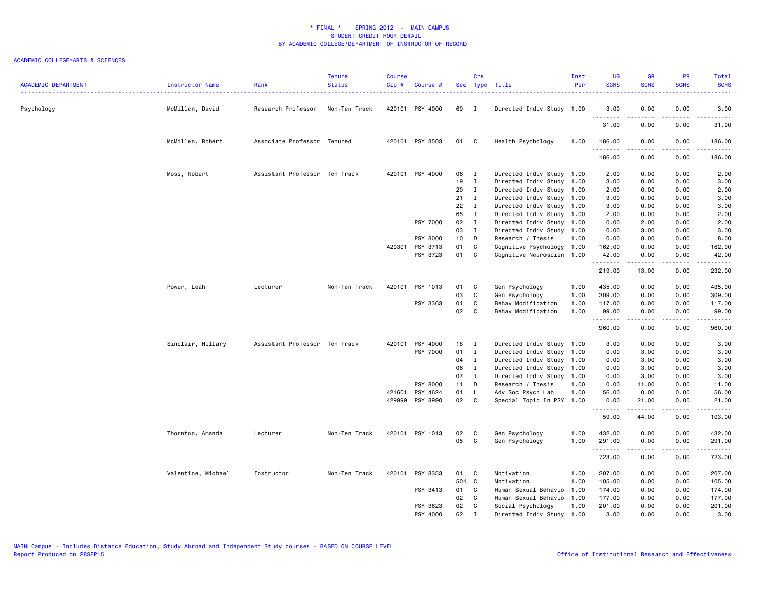| <b>ACADEMIC DEPARTMENT</b> | Instructor Name    | Rank                          | <b>Tenure</b><br><b>Status</b> | <b>Course</b><br>Cip# | Course #        |       | Crs            | Sec Type Title            | Inst<br>Per | <b>UG</b><br><b>SCHS</b> | <b>GR</b><br><b>SCHS</b> | PR<br><b>SCHS</b>     | Total<br><b>SCHS</b>                                                                                        |
|----------------------------|--------------------|-------------------------------|--------------------------------|-----------------------|-----------------|-------|----------------|---------------------------|-------------|--------------------------|--------------------------|-----------------------|-------------------------------------------------------------------------------------------------------------|
| Psychology                 | McMillen, David    | Research Professor            | Non-Ten Track                  |                       | 420101 PSY 4000 | 69    | $\blacksquare$ | Directed Indiv Study 1.00 |             | 3.00<br><u>.</u>         | 0.00<br>.                | 0.00<br>$\frac{1}{2}$ | 3.00<br>-----                                                                                               |
|                            |                    |                               |                                |                       |                 |       |                |                           |             | 31.00                    | 0.00                     | 0.00                  | 31.00                                                                                                       |
|                            | McMillen, Robert   | Associate Professor Tenured   |                                |                       | 420101 PSY 3503 | 01    | C              | Health Psychology         | 1.00        | 186.00                   | 0.00                     | 0.00                  | 186.00                                                                                                      |
|                            |                    |                               |                                |                       |                 |       |                |                           |             | 186.00                   | 0.00                     | 0.00                  | 186.00                                                                                                      |
|                            | Moss, Robert       | Assistant Professor Ten Track |                                |                       | 420101 PSY 4000 | 06    | $\mathbf{I}$   | Directed Indiv Study 1.00 |             | 2.00                     | 0.00                     | 0.00                  | 2.00                                                                                                        |
|                            |                    |                               |                                |                       |                 | 19    | $\mathbf{I}$   | Directed Indiv Study 1.00 |             | 3.00                     | 0.00                     | 0.00                  | 3.00                                                                                                        |
|                            |                    |                               |                                |                       |                 | 20    | $\mathbf{I}$   | Directed Indiv Study 1.00 |             | 2.00                     | 0.00                     | 0.00                  | 2.00                                                                                                        |
|                            |                    |                               |                                |                       |                 | 21    | $\mathbf{I}$   | Directed Indiv Study 1.00 |             | 3.00                     | 0.00                     | 0.00                  | 3.00                                                                                                        |
|                            |                    |                               |                                |                       |                 | 22    | $\mathbf{I}$   | Directed Indiv Study 1.00 |             | 3.00                     | 0.00                     | 0.00                  | 3.00                                                                                                        |
|                            |                    |                               |                                |                       |                 | 65    | $\mathbf{I}$   | Directed Indiv Study 1.00 |             | 2.00                     | 0.00                     | 0.00                  | 2.00                                                                                                        |
|                            |                    |                               |                                |                       | PSY 7000        | 02    | $\mathbf{I}$   | Directed Indiv Study 1.00 |             | 0.00                     | 2.00                     | 0.00                  | 2.00                                                                                                        |
|                            |                    |                               |                                |                       |                 | 03    | $\mathbf{I}$   | Directed Indiv Study 1.00 |             | 0.00                     | 3.00                     | 0.00                  | 3.00                                                                                                        |
|                            |                    |                               |                                |                       | PSY 8000        | 10    | D              | Research / Thesis         | 1.00        | 0.00                     | 8.00                     | 0.00                  | 8.00                                                                                                        |
|                            |                    |                               |                                | 420301                | PSY 3713        | 01    | C              | Cognitive Psychology 1.00 |             | 162.00                   | 0.00                     | 0.00                  | 162.00                                                                                                      |
|                            |                    |                               |                                |                       | PSY 3723        | 01    | C              | Cognitive Neuroscien 1.00 |             | 42.00<br>.               | 0.00<br>.                | 0.00                  | 42.00<br>.                                                                                                  |
|                            |                    |                               |                                |                       |                 |       |                |                           |             | 219.00                   | 13.00                    | 0.00                  | 232.00                                                                                                      |
|                            | Power, Leah        | Lecturer                      | Non-Ten Track                  | 420101                | PSY 1013        | 01    | C              | Gen Psychology            | 1.00        | 435.00                   | 0.00                     | 0.00                  | 435.00                                                                                                      |
|                            |                    |                               |                                |                       |                 | 03    | C              | Gen Psychology            | 1.00        | 309.00                   | 0.00                     | 0.00                  | 309.00                                                                                                      |
|                            |                    |                               |                                |                       | PSY 3363        | 01    | C              | Behav Modification        | 1.00        | 117.00                   | 0.00                     | 0.00                  | 117.00                                                                                                      |
|                            |                    |                               |                                |                       |                 | 02    | C              | Behav Modification        | 1.00        | 99.00<br>.               | 0.00<br>.                | 0.00<br>.             | 99.00                                                                                                       |
|                            |                    |                               |                                |                       |                 |       |                |                           |             | 960.00                   | 0.00                     | 0.00                  | 960.00                                                                                                      |
|                            | Sinclair, Hillary  | Assistant Professor Ten Track |                                | 420101                | PSY 4000        | 18    | $\mathbf{I}$   | Directed Indiv Study 1.00 |             | 3.00                     | 0.00                     | 0.00                  | 3.00                                                                                                        |
|                            |                    |                               |                                |                       | PSY 7000        | 01    | $\mathbf{I}$   | Directed Indiv Study 1.00 |             | 0.00                     | 3.00                     | 0.00                  | 3.00                                                                                                        |
|                            |                    |                               |                                |                       |                 | 04    | $\mathbf{I}$   | Directed Indiv Study 1.00 |             | 0.00                     | 3.00                     | 0.00                  | 3.00                                                                                                        |
|                            |                    |                               |                                |                       |                 | 06    | $\mathbf{I}$   | Directed Indiv Study      | 1.00        | 0.00                     | 3.00                     | 0.00                  | 3.00                                                                                                        |
|                            |                    |                               |                                |                       |                 | 07    | $\mathbf{I}$   | Directed Indiv Study 1.00 |             | 0.00                     | 3.00                     | 0.00                  | 3.00                                                                                                        |
|                            |                    |                               |                                |                       | PSY 8000        | 11    | D              | Research / Thesis         | 1.00        | 0.00                     | 11.00                    | 0.00                  | 11.00                                                                                                       |
|                            |                    |                               |                                | 421601                | PSY 4624        | 01    | - L            | Adv Soc Psych Lab         | 1.00        | 56.00                    | 0.00                     | 0.00                  | 56.00                                                                                                       |
|                            |                    |                               |                                | 429999                | PSY 8990        | 02    | $\mathbf c$    | Special Topic In PSY 1.00 |             | 0.00                     | 21.00                    | 0.00                  | 21.00<br>د د د د د                                                                                          |
|                            |                    |                               |                                |                       |                 |       |                |                           |             | 59.00                    | 44.00                    | 0.00                  | 103.00                                                                                                      |
|                            | Thornton, Amanda   | Lecturer                      | Non-Ten Track                  | 420101                | PSY 1013        | 02    | C              | Gen Psychology            | 1.00        | 432.00                   | 0.00                     | 0.00                  | 432.00                                                                                                      |
|                            |                    |                               |                                |                       |                 | 05    | C              | Gen Psychology            | 1.00        | 291.00                   | 0.00                     | 0.00                  | 291.00                                                                                                      |
|                            |                    |                               |                                |                       |                 |       |                |                           |             | .                        | .                        | .                     | $\begin{array}{cccccccccc} \bullet & \bullet & \bullet & \bullet & \bullet & \bullet & \bullet \end{array}$ |
|                            |                    |                               |                                |                       |                 |       |                |                           |             | 723.00                   | 0.00                     | 0.00                  | 723.00                                                                                                      |
|                            | Valentine, Michael | Instructor                    | Non-Ten Track                  | 420101                | PSY 3353        | 01    | C              | Motivation                | 1.00        | 207.00                   | 0.00                     | 0.00                  | 207.00                                                                                                      |
|                            |                    |                               |                                |                       |                 | 501 C |                | Motivation                | 1.00        | 105.00                   | 0.00                     | 0.00                  | 105.00                                                                                                      |
|                            |                    |                               |                                |                       | PSY 3413        | 01    | C              | Human Sexual Behavio      | 1.00        | 174.00                   | 0.00                     | 0.00                  | 174.00                                                                                                      |
|                            |                    |                               |                                |                       |                 | 02    | C              | Human Sexual Behavio      | 1.00        | 177.00                   | 0.00                     | 0.00                  | 177.00                                                                                                      |
|                            |                    |                               |                                |                       | PSY 3623        | 02    | C              | Social Psychology         | 1.00        | 201.00                   | 0.00                     | 0.00                  | 201.00                                                                                                      |
|                            |                    |                               |                                |                       | PSY 4000        | 62    | $\mathsf{T}$   | Directed Indiv Study 1.00 |             | 3.00                     | 0.00                     | 0.00                  | 3.00                                                                                                        |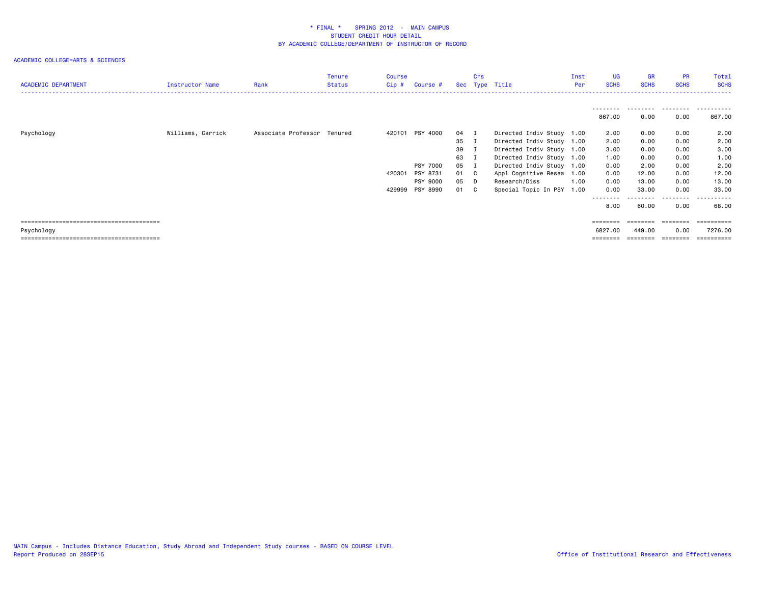| <b>ACADEMIC DEPARTMENT</b> | Instructor Name   | Rank                        | Tenure<br><b>Status</b> | Course<br>Cip# | Course #        |      | Crs | Sec Type Title            | Inst<br>Per | <b>UG</b><br><b>SCHS</b> | <b>GR</b><br><b>SCHS</b> | <b>PR</b><br><b>SCHS</b> | Total<br><b>SCHS</b> |
|----------------------------|-------------------|-----------------------------|-------------------------|----------------|-----------------|------|-----|---------------------------|-------------|--------------------------|--------------------------|--------------------------|----------------------|
|                            |                   |                             |                         |                |                 |      |     |                           |             |                          |                          | .                        |                      |
|                            |                   |                             |                         |                |                 |      |     |                           |             | 867.00                   | 0.00                     | 0.00                     | 867.00               |
| Psychology                 | Williams, Carrick | Associate Professor Tenured |                         | 420101         | PSY 4000        | 04   |     | Directed Indiv Study 1.00 |             | 2.00                     | 0.00                     | 0.00                     | 2.00                 |
|                            |                   |                             |                         |                |                 | 35 I |     | Directed Indiv Study 1.00 |             | 2.00                     | 0.00                     | 0.00                     | 2.00                 |
|                            |                   |                             |                         |                |                 | 39   |     | Directed Indiv Study 1.00 |             | 3.00                     | 0.00                     | 0.00                     | 3.00                 |
|                            |                   |                             |                         |                |                 | 63   |     | Directed Indiv Study 1.00 |             | 1.00                     | 0.00                     | 0.00                     | 1.00                 |
|                            |                   |                             |                         |                | <b>PSY 7000</b> | 05 I |     | Directed Indiv Study 1.00 |             | 0.00                     | 2.00                     | 0.00                     | 2.00                 |
|                            |                   |                             |                         | 420301         | PSY 8731        | 01 C |     | Appl Cognitive Resea      | 1.00        | 0.00                     | 12.00                    | 0.00                     | 12.00                |
|                            |                   |                             |                         |                | <b>PSY 9000</b> | 05 D |     | Research/Diss             | 1.00        | 0.00                     | 13.00                    | 0.00                     | 13.00                |
|                            |                   |                             |                         |                | 429999 PSY 8990 | 01 C |     | Special Topic In PSY 1.00 |             | 0.00                     | 33.00                    | 0.00                     | 33.00                |
|                            |                   |                             |                         |                |                 |      |     |                           |             | --------<br>8.00         | 60.00                    | --------<br>0.00         | .<br>68.00           |
|                            |                   |                             |                         |                |                 |      |     |                           |             | ========                 | ========                 | ========                 | <b>Expressed</b>     |
| Psychology                 |                   |                             |                         |                |                 |      |     |                           |             | 6827.00                  | 449.00                   | 0.00                     | 7276.00              |
|                            |                   |                             |                         |                |                 |      |     |                           |             | ========                 | ========                 | ========                 | ==========           |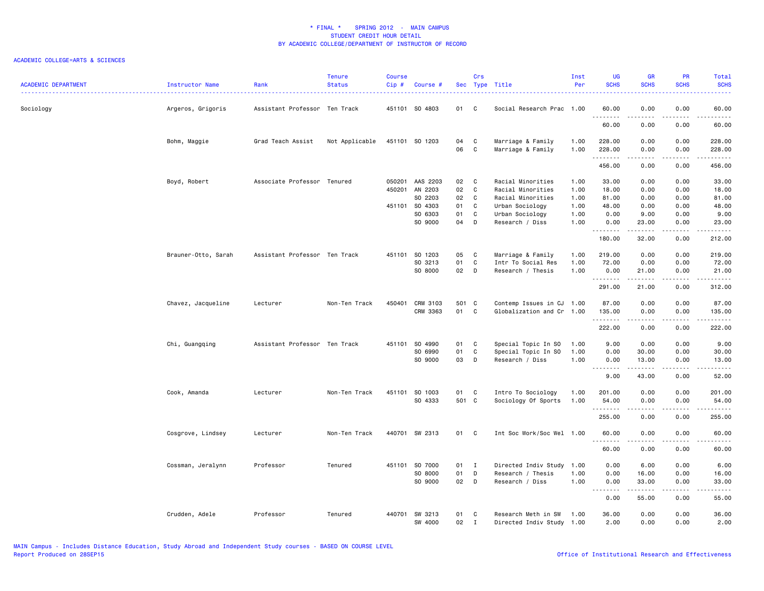| <b>ACADEMIC DEPARTMENT</b> | <b>Instructor Name</b> | Rank                          | <b>Tenure</b><br><b>Status</b> | <b>Course</b><br>Cip# | Course #       |       | Crs          | Sec Type Title            | Inst<br>Per | UG<br><b>SCHS</b>    | <b>GR</b><br><b>SCHS</b> | PR<br><b>SCHS</b>                   | <b>Total</b><br><b>SCHS</b>                   |
|----------------------------|------------------------|-------------------------------|--------------------------------|-----------------------|----------------|-------|--------------|---------------------------|-------------|----------------------|--------------------------|-------------------------------------|-----------------------------------------------|
| Sociology                  | Argeros, Grigoris      | Assistant Professor Ten Track |                                |                       | 451101 SO 4803 | 01    | C.           | Social Research Prac 1.00 |             | 60.00<br>.           | 0.00<br>.                | 0.00<br>$\sim$ $\sim$ $\sim$ $\sim$ | 60.00<br>د د د د د                            |
|                            |                        |                               |                                |                       |                |       |              |                           |             | 60.00                | 0.00                     | 0.00                                | 60.00                                         |
|                            | Bohm, Maggie           | Grad Teach Assist             | Not Applicable                 |                       | 451101 SO 1203 | 04    | C            | Marriage & Family         | 1.00        | 228.00               | 0.00                     | 0.00                                | 228.00                                        |
|                            |                        |                               |                                |                       |                | 06    | $\mathbf{C}$ | Marriage & Family         | 1.00        | 228.00<br>. <b>.</b> | 0.00                     | 0.00                                | 228.00<br>.                                   |
|                            |                        |                               |                                |                       |                |       |              |                           |             | 456.00               | 0.00                     | 0.00                                | 456.00                                        |
|                            | Boyd, Robert           | Associate Professor Tenured   |                                | 050201                | AAS 2203       | 02    | C            | Racial Minorities         | 1.00        | 33.00                | 0.00                     | 0.00                                | 33.00                                         |
|                            |                        |                               |                                | 450201                | AN 2203        | 02    | C            | Racial Minorities         | 1.00        | 18.00                | 0.00                     | 0.00                                | 18.00                                         |
|                            |                        |                               |                                |                       | SO 2203        | 02    | C            | Racial Minorities         | 1.00        | 81.00                | 0.00                     | 0.00                                | 81.00                                         |
|                            |                        |                               |                                |                       | 451101 SO 4303 | 01    | C            | Urban Sociology           | 1.00        | 48.00                | 0.00                     | 0.00                                | 48.00                                         |
|                            |                        |                               |                                |                       | SO 6303        | 01    | $\mathtt{C}$ | Urban Sociology           | 1.00        | 0.00                 | 9.00                     | 0.00                                | 9.00                                          |
|                            |                        |                               |                                |                       | SO 9000        | 04    | D            | Research / Diss           | 1.00        | 0.00<br>.            | 23.00<br>$- - - - -$     | 0.00<br>.                           | 23.00<br>.                                    |
|                            |                        |                               |                                |                       |                |       |              |                           |             | 180.00               | 32.00                    | 0.00                                | 212.00                                        |
|                            | Brauner-Otto, Sarah    | Assistant Professor Ten Track |                                |                       | 451101 S0 1203 | 05    | C            | Marriage & Family         | 1.00        | 219.00               | 0.00                     | 0.00                                | 219.00                                        |
|                            |                        |                               |                                |                       | SO 3213        | 01    | C            | Intr To Social Res        | 1.00        | 72.00                | 0.00                     | 0.00                                | 72.00                                         |
|                            |                        |                               |                                |                       | SO 8000        | 02 D  |              | Research / Thesis         | 1.00        | 0.00<br>.            | 21.00                    | 0.00                                | 21.00<br>.                                    |
|                            |                        |                               |                                |                       |                |       |              |                           |             | 291.00               | .<br>21.00               | .<br>0.00                           | 312.00                                        |
|                            | Chavez, Jacqueline     | Lecturer                      | Non-Ten Track                  | 450401                | CRM 3103       | 501 C |              | Contemp Issues in CJ 1.00 |             | 87.00                | 0.00                     | 0.00                                | 87.00                                         |
|                            |                        |                               |                                |                       | CRM 3363       | 01    | C            | Globalization and Cr 1.00 |             | 135.00<br>.          | 0.00<br>.                | 0.00<br>$\sim$ - - -                | 135.00<br>$\omega$ is $\omega$ in $\omega$ in |
|                            |                        |                               |                                |                       |                |       |              |                           |             | 222.00               | 0.00                     | 0.00                                | 222.00                                        |
|                            | Chi, Guangqing         | Assistant Professor Ten Track |                                | 451101                | SO 4990        | 01    | C.           | Special Topic In SO       | 1.00        | 9.00                 | 0.00                     | 0.00                                | 9.00                                          |
|                            |                        |                               |                                |                       | SO 6990        | 01    | C            | Special Topic In SO       | 1.00        | 0.00                 | 30.00                    | 0.00                                | 30.00                                         |
|                            |                        |                               |                                |                       | SO 9000        | 03    | D            | Research / Diss           | 1.00        | 0.00                 | 13.00                    | 0.00                                | 13.00                                         |
|                            |                        |                               |                                |                       |                |       |              |                           |             | .<br>9.00            | .<br>43.00               | .<br>0.00                           | .<br>52.00                                    |
|                            | Cook, Amanda           | Lecturer                      | Non-Ten Track                  | 451101                | SO 1003        | 01    | C            | Intro To Sociology        | 1.00        | 201.00               | 0.00                     | 0.00                                | 201.00                                        |
|                            |                        |                               |                                |                       | SO 4333        | 501 C |              | Sociology Of Sports       | 1.00        | 54.00                | 0.00                     | 0.00                                | 54.00                                         |
|                            |                        |                               |                                |                       |                |       |              |                           |             | .<br>255.00          | .<br>0.00                | .<br>0.00                           | .<br>255.00                                   |
|                            | Cosgrove, Lindsey      | Lecturer                      | Non-Ten Track                  |                       | 440701 SW 2313 | 01    | C            | Int Soc Work/Soc Wel 1.00 |             | 60.00                | 0.00                     | 0.00                                | 60.00                                         |
|                            |                        |                               |                                |                       |                |       |              |                           |             | .<br>60.00           | .<br>0.00                | د د د د<br>0.00                     | .<br>60.00                                    |
|                            | Cossman, Jeralynn      | Professor                     | Tenured                        | 451101                | SO 7000        | 01    | $\mathbf{I}$ | Directed Indiv Study      | 1.00        | 0.00                 | 6.00                     | 0.00                                | 6.00                                          |
|                            |                        |                               |                                |                       | SO 8000        | 01    | D            | Research / Thesis         | 1.00        | 0.00                 | 16.00                    | 0.00                                | 16.00                                         |
|                            |                        |                               |                                |                       | SO 9000        | 02 D  |              | Research / Diss           | 1.00        | 0.00                 | 33.00                    | 0.00                                | 33.00                                         |
|                            |                        |                               |                                |                       |                |       |              |                           |             | .<br>0.00            | .<br>55.00               | .<br>0.00                           | .<br>55.00                                    |
|                            | Crudden, Adele         | Professor                     | Tenured                        | 440701                | SW 3213        | 01    | C            | Research Meth in SW       | 1.00        | 36.00                | 0.00                     | 0.00                                | 36.00                                         |
|                            |                        |                               |                                |                       | SW 4000        | 02    | $\mathbf I$  | Directed Indiv Study 1.00 |             | 2.00                 | 0.00                     | 0.00                                | 2.00                                          |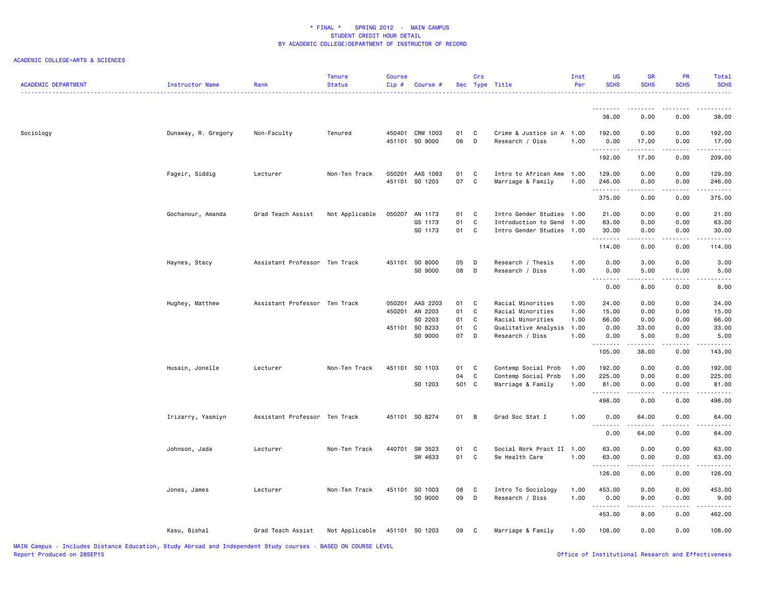| <b>ACADEMIC DEPARTMENT</b> | Instructor Name     | Rank                          | <b>Tenure</b><br><b>Status</b> | <b>Course</b><br>$Cip \#$ | Course #                          |          | Crs               | Sec Type Title                               | Inst<br>Per | UG<br><b>SCHS</b> | <b>GR</b><br><b>SCHS</b>                                                                                                                                     | PR<br><b>SCHS</b> | Total<br><b>SCHS</b>                                                                                                                                           |
|----------------------------|---------------------|-------------------------------|--------------------------------|---------------------------|-----------------------------------|----------|-------------------|----------------------------------------------|-------------|-------------------|--------------------------------------------------------------------------------------------------------------------------------------------------------------|-------------------|----------------------------------------------------------------------------------------------------------------------------------------------------------------|
|                            |                     |                               |                                |                           |                                   |          |                   |                                              |             | .<br>38.00        | 0.00                                                                                                                                                         | 0.00              | 38.00                                                                                                                                                          |
|                            |                     |                               |                                |                           |                                   |          |                   |                                              |             |                   |                                                                                                                                                              |                   |                                                                                                                                                                |
| Sociology                  | Dunaway, R. Gregory | Non-Faculty                   | Tenured                        |                           | 450401 CRM 1003<br>451101 SO 9000 | 01<br>06 | C<br>$\mathsf{D}$ | Crime & Justice in A 1.00<br>Research / Diss | 1.00        | 192.00<br>0.00    | 0.00<br>17.00                                                                                                                                                | 0.00<br>0.00      | 192.00<br>17.00                                                                                                                                                |
|                            |                     |                               |                                |                           |                                   |          |                   |                                              |             | .<br>192.00       | .<br>17.00                                                                                                                                                   | ----<br>0.00      | المستبدة<br>209.00                                                                                                                                             |
|                            | Fageir, Siddig      | Lecturer                      | Non-Ten Track                  | 050201                    | AAS 1063                          | 01       | C                 | Intro to African Ame                         | 1.00        | 129.00            | 0.00                                                                                                                                                         | 0.00              | 129.00                                                                                                                                                         |
|                            |                     |                               |                                | 451101                    | SO 1203                           | 07       | C                 | Marriage & Family                            | 1.00        | 246.00<br>.       | 0.00<br>.                                                                                                                                                    | 0.00<br>.         | 246.00<br><u>.</u>                                                                                                                                             |
|                            |                     |                               |                                |                           |                                   |          |                   |                                              |             | 375.00            | 0.00                                                                                                                                                         | 0.00              | 375.00                                                                                                                                                         |
|                            | Gochanour, Amanda   | Grad Teach Assist             | Not Applicable                 | 050207                    | AN 1173                           | 01       | C                 | Intro Gender Studies                         | 1.00        | 21.00             | 0.00                                                                                                                                                         | 0.00              | 21.00                                                                                                                                                          |
|                            |                     |                               |                                |                           | GS 1173                           | 01       | C                 | Introduction to Gend                         | 1.00        | 63.00             | 0.00                                                                                                                                                         | 0.00              | 63.00                                                                                                                                                          |
|                            |                     |                               |                                |                           | SO 1173                           | 01       | C                 | Intro Gender Studies 1.00                    |             | 30.00             | 0.00                                                                                                                                                         | 0.00              | 30.00                                                                                                                                                          |
|                            |                     |                               |                                |                           |                                   |          |                   |                                              |             | .<br>114.00       | $\frac{1}{2} \left( \frac{1}{2} \right) \left( \frac{1}{2} \right) \left( \frac{1}{2} \right) \left( \frac{1}{2} \right) \left( \frac{1}{2} \right)$<br>0.00 | .<br>0.00         | $\frac{1}{2} \left( \frac{1}{2} \right) \left( \frac{1}{2} \right) \left( \frac{1}{2} \right) \left( \frac{1}{2} \right) \left( \frac{1}{2} \right)$<br>114.00 |
|                            | Haynes, Stacy       | Assistant Professor Ten Track |                                |                           | 451101 SO 8000                    | 05       | D                 | Research / Thesis                            | 1.00        | 0.00              | 3.00                                                                                                                                                         | 0.00              | 3.00                                                                                                                                                           |
|                            |                     |                               |                                |                           | SO 9000                           | 08       | $\mathsf{D}$      | Research / Diss                              | 1.00        | 0.00              | 5.00                                                                                                                                                         | 0.00              | 5.00                                                                                                                                                           |
|                            |                     |                               |                                |                           |                                   |          |                   |                                              |             | د د د د<br>0.00   | 8.00                                                                                                                                                         | 0.00              | 8.00                                                                                                                                                           |
|                            |                     |                               |                                |                           |                                   |          |                   |                                              |             |                   |                                                                                                                                                              |                   |                                                                                                                                                                |
|                            | Hughey, Matthew     | Assistant Professor Ten Track |                                | 050201                    | AAS 2203                          | 01       | C                 | Racial Minorities                            | 1.00        | 24.00             | 0.00                                                                                                                                                         | 0.00              | 24.00                                                                                                                                                          |
|                            |                     |                               |                                | 450201                    | AN 2203                           | 01       | C                 | Racial Minorities                            | 1.00        | 15.00             | 0.00                                                                                                                                                         | 0.00              | 15.00                                                                                                                                                          |
|                            |                     |                               |                                |                           | SO 2203                           | 01       | C                 | Racial Minorities                            | 1.00        | 66.00             | 0.00                                                                                                                                                         | 0.00              | 66.00                                                                                                                                                          |
|                            |                     |                               |                                | 451101                    | SO 8233                           | 01       | C                 | Qualitative Analysis                         | 1.00        | 0.00              | 33.00                                                                                                                                                        | 0.00              | 33.00                                                                                                                                                          |
|                            |                     |                               |                                |                           | SO 9000                           | 07       | $\mathsf{D}$      | Research / Diss                              | 1.00        | 0.00<br>.         | 5.00<br>.                                                                                                                                                    | 0.00<br>.         | 5.00<br>.                                                                                                                                                      |
|                            |                     |                               |                                |                           |                                   |          |                   |                                              |             | 105.00            | 38.00                                                                                                                                                        | 0.00              | 143.00                                                                                                                                                         |
|                            | Husain, Jonelle     | Lecturer                      | Non-Ten Track                  |                           | 451101 SO 1103                    | 01       | C                 | Contemp Social Prob                          | 1.00        | 192.00            | 0.00                                                                                                                                                         | 0.00              | 192.00                                                                                                                                                         |
|                            |                     |                               |                                |                           |                                   | 04       | C                 | Contemp Social Prob                          | 1.00        | 225.00            | 0.00                                                                                                                                                         | 0.00              | 225.00                                                                                                                                                         |
|                            |                     |                               |                                |                           | SO 1203                           | 501 C    |                   | Marriage & Family                            | 1.00        | 81.00             | 0.00                                                                                                                                                         | 0.00              | 81.00                                                                                                                                                          |
|                            |                     |                               |                                |                           |                                   |          |                   |                                              |             | .                 |                                                                                                                                                              |                   | $\frac{1}{2} \left( \frac{1}{2} \right) \left( \frac{1}{2} \right) \left( \frac{1}{2} \right) \left( \frac{1}{2} \right)$                                      |
|                            |                     |                               |                                |                           |                                   |          |                   |                                              |             | 498.00            | 0.00                                                                                                                                                         | 0.00              | 498.00                                                                                                                                                         |
|                            | Irizarry, Yasmiyn   | Assistant Professor Ten Track |                                |                           | 451101 SO 8274                    | 01       | B                 | Grad Soc Stat I                              | 1.00        | 0.00<br>.         | 64.00                                                                                                                                                        | 0.00              | 64.00                                                                                                                                                          |
|                            |                     |                               |                                |                           |                                   |          |                   |                                              |             | 0.00              | 64.00                                                                                                                                                        | 0.00              | 64.00                                                                                                                                                          |
|                            | Johnson, Jada       | Lecturer                      | Non-Ten Track                  | 440701                    | SW 3523                           | 01       | C                 | Social Work Pract II 1.00                    |             | 63.00             | 0.00                                                                                                                                                         | 0.00              | 63.00                                                                                                                                                          |
|                            |                     |                               |                                |                           | SW 4633                           | 01       | C                 | Sw Health Care                               | 1.00        | 63.00             | 0.00                                                                                                                                                         | 0.00              | 63.00                                                                                                                                                          |
|                            |                     |                               |                                |                           |                                   |          |                   |                                              |             | .                 | -----                                                                                                                                                        | .                 | .                                                                                                                                                              |
|                            |                     |                               |                                |                           |                                   |          |                   |                                              |             | 126.00            | 0.00                                                                                                                                                         | 0.00              | 126.00                                                                                                                                                         |
|                            | Jones, James        | Lecturer                      | Non-Ten Track                  |                           | 451101 SO 1003                    | 08       | C                 | Intro To Sociology                           | 1.00        | 453.00            | 0.00                                                                                                                                                         | 0.00              | 453.00                                                                                                                                                         |
|                            |                     |                               |                                |                           | SO 9000                           | 09       | $\mathsf{D}$      | Research / Diss                              | 1.00        | 0.00              | 9.00                                                                                                                                                         | 0.00              | 9.00                                                                                                                                                           |
|                            |                     |                               |                                |                           |                                   |          |                   |                                              |             | .                 |                                                                                                                                                              |                   |                                                                                                                                                                |
|                            |                     |                               |                                |                           |                                   |          |                   |                                              |             | 453.00            | 9.00                                                                                                                                                         | 0.00              | 462.00                                                                                                                                                         |
|                            | Kasu, Bishal        | Grad Teach Assist             | Not Applicable                 |                           | 451101 SO 1203                    | 09       | $\mathbf{C}$      | Marriage & Family                            | 1.00        | 108.00            | 0.00                                                                                                                                                         | 0.00              | 108.00                                                                                                                                                         |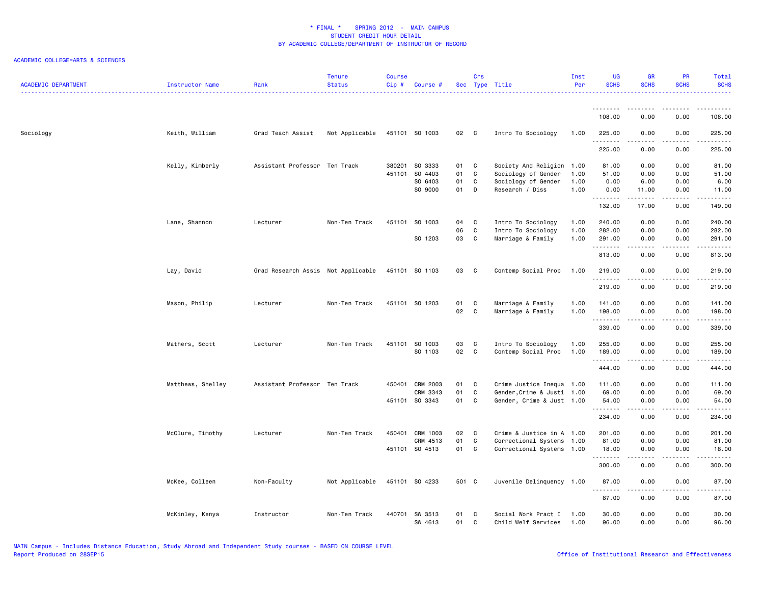| <b>ACADEMIC DEPARTMENT</b> | Instructor Name   | Rank                               | <b>Tenure</b><br><b>Status</b> | <b>Course</b><br>Cip# | Course #        |       | Crs          | Sec Type Title             | Inst<br>Per | UG<br><b>SCHS</b>                      | <b>GR</b><br><b>SCHS</b> | PR<br><b>SCHS</b>                   | Total<br><b>SCHS</b>      |
|----------------------------|-------------------|------------------------------------|--------------------------------|-----------------------|-----------------|-------|--------------|----------------------------|-------------|----------------------------------------|--------------------------|-------------------------------------|---------------------------|
|                            |                   |                                    |                                |                       |                 |       |              |                            |             | .<br>108.00                            | 0.00                     | 0.00                                | .<br>108.00               |
|                            |                   |                                    |                                |                       |                 |       |              |                            |             |                                        |                          |                                     |                           |
| Sociology                  | Keith, William    | Grad Teach Assist                  | Not Applicable                 |                       | 451101 SO 1003  | 02 C  |              | Intro To Sociology         | 1.00        | 225.00<br>.                            | 0.00                     | 0.00<br>.                           | 225.00<br>.               |
|                            |                   |                                    |                                |                       |                 |       |              |                            |             | 225.00                                 | 0.00                     | 0.00                                | 225.00                    |
|                            | Kelly, Kimberly   | Assistant Professor Ten Track      |                                | 380201                | SO 3333         | 01 C  |              | Society And Religion       | 1.00        | 81.00                                  | 0.00                     | 0.00                                | 81.00                     |
|                            |                   |                                    |                                | 451101                | SO 4403         | 01    | C            | Sociology of Gender        | 1.00        | 51.00                                  | 0.00                     | 0.00                                | 51.00                     |
|                            |                   |                                    |                                |                       | SO 6403         | 01    | C            | Sociology of Gender        | 1.00        | 0.00                                   | 6.00                     | 0.00                                | 6.00                      |
|                            |                   |                                    |                                |                       | SO 9000         | 01    | D            | Research / Diss            | 1.00        | 0.00<br>.                              | 11.00<br>.               | 0.00<br>.                           | 11.00<br>.                |
|                            |                   |                                    |                                |                       |                 |       |              |                            |             | 132.00                                 | 17.00                    | 0.00                                | 149.00                    |
|                            | Lane, Shannon     | Lecturer                           | Non-Ten Track                  | 451101                | SO 1003         | 04    | C            | Intro To Sociology         | 1.00        | 240.00                                 | 0.00                     | 0.00                                | 240.00                    |
|                            |                   |                                    |                                |                       |                 | 06    | C            | Intro To Sociology         | 1.00        | 282.00                                 | 0.00                     | 0.00                                | 282.00                    |
|                            |                   |                                    |                                |                       | SO 1203         | 03    | C            | Marriage & Family          | 1.00        | 291.00<br>.                            | 0.00<br>.                | 0.00<br>.                           | 291.00<br>.               |
|                            |                   |                                    |                                |                       |                 |       |              |                            |             | 813.00                                 | 0.00                     | 0.00                                | 813.00                    |
|                            | Lay, David        | Grad Research Assis Not Applicable |                                |                       | 451101 SO 1103  | 03    | $\mathbf{C}$ | Contemp Social Prob        | 1.00        | 219.00                                 | 0.00                     | 0.00                                | 219.00                    |
|                            |                   |                                    |                                |                       |                 |       |              |                            |             | . <u>.</u><br>219.00                   | 0.00                     | 0.00                                | $- - - - - - -$<br>219.00 |
|                            | Mason, Philip     | Lecturer                           | Non-Ten Track                  |                       | 451101 SO 1203  | 01    | C            | Marriage & Family          | 1.00        | 141.00                                 | 0.00                     | 0.00                                | 141.00                    |
|                            |                   |                                    |                                |                       |                 | 02    | $\mathbf c$  | Marriage & Family          | 1.00        | 198.00                                 | 0.00                     | 0.00                                | 198.00                    |
|                            |                   |                                    |                                |                       |                 |       |              |                            |             | .<br>339.00                            | المتمام<br>0.00          | $\sim$ $\sim$ $\sim$ $\sim$<br>0.00 | .<br>339.00               |
|                            | Mathers, Scott    | Lecturer                           | Non-Ten Track                  | 451101                | SO 1003         | 03    | C            | Intro To Sociology         | 1.00        | 255.00                                 | 0.00                     | 0.00                                | 255.00                    |
|                            |                   |                                    |                                |                       | SO 1103         | 02    | $\mathbf{C}$ | Contemp Social Prob        | 1.00        | 189.00<br>.                            | 0.00<br>.                | 0.00<br>$- - - -$                   | 189.00<br>$- - - - - - -$ |
|                            |                   |                                    |                                |                       |                 |       |              |                            |             | 444.00                                 | 0.00                     | 0.00                                | 444.00                    |
|                            | Matthews, Shelley | Assistant Professor Ten Track      |                                |                       | 450401 CRM 2003 | 01 C  |              | Crime Justice Inequa 1.00  |             | 111.00                                 | 0.00                     | 0.00                                | 111.00                    |
|                            |                   |                                    |                                |                       | CRM 3343        | 01    | C            | Gender, Crime & Justi 1.00 |             | 69.00                                  | 0.00                     | 0.00                                | 69.00                     |
|                            |                   |                                    |                                |                       | 451101 SO 3343  | 01    | C            | Gender, Crime & Just 1.00  |             | 54.00<br><b></b>                       | 0.00<br>.                | 0.00<br>.                           | 54.00<br>.                |
|                            |                   |                                    |                                |                       |                 |       |              |                            |             | 234.00                                 | 0.00                     | 0.00                                | 234.00                    |
|                            | McClure, Timothy  | Lecturer                           | Non-Ten Track                  |                       | 450401 CRM 1003 | 02    | $\mathbf{C}$ | Crime & Justice in A 1.00  |             | 201.00                                 | 0.00                     | 0.00                                | 201.00                    |
|                            |                   |                                    |                                |                       | CRM 4513        | 01    | C            | Correctional Systems       | 1.00        | 81.00                                  | 0.00                     | 0.00                                | 81.00                     |
|                            |                   |                                    |                                |                       | 451101 SO 4513  | 01    | C            | Correctional Systems 1.00  |             | 18.00<br><b><i><u><u>.</u></u></i></b> | 0.00<br>.                | 0.00<br>.                           | 18.00<br>.                |
|                            |                   |                                    |                                |                       |                 |       |              |                            |             | 300.00                                 | 0.00                     | 0.00                                | 300.00                    |
|                            | McKee, Colleen    | Non-Faculty                        | Not Applicable                 |                       | 451101 S0 4233  | 501 C |              | Juvenile Delinquency 1.00  |             | 87.00                                  | 0.00                     | 0.00                                | 87.00<br>.                |
|                            |                   |                                    |                                |                       |                 |       |              |                            |             | <u>.</u><br>87.00                      | .<br>0.00                | $- - - -$<br>0.00                   | 87.00                     |
|                            | McKinley, Kenya   | Instructor                         | Non-Ten Track                  | 440701                | SW 3513         | 01    | C            | Social Work Pract I        | 1.00        | 30.00                                  | 0.00                     | 0.00                                | 30.00                     |
|                            |                   |                                    |                                |                       | SW 4613         | 01    | C            | Child Welf Services        | 1.00        | 96.00                                  | 0.00                     | 0.00                                | 96.00                     |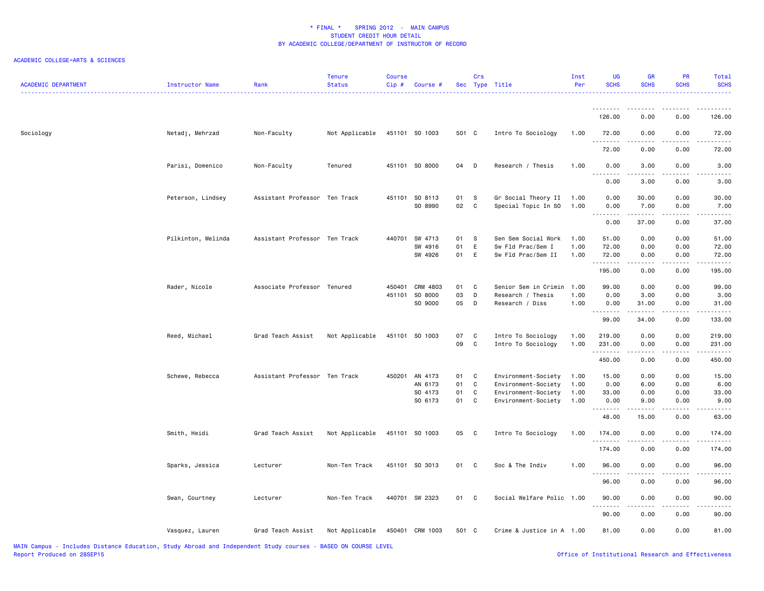| <b>ACADEMIC DEPARTMENT</b> | Instructor Name    | Rank                          | <b>Tenure</b><br><b>Status</b> | <b>Course</b><br>Cip# | Course #                                        |                      | Crs                   | Sec Type Title                                                                           | Inst<br>Per                  | <b>UG</b><br><b>SCHS</b>           | GR<br><b>SCHS</b>            | <b>PR</b><br><b>SCHS</b>     | Total<br><b>SCHS</b>           |
|----------------------------|--------------------|-------------------------------|--------------------------------|-----------------------|-------------------------------------------------|----------------------|-----------------------|------------------------------------------------------------------------------------------|------------------------------|------------------------------------|------------------------------|------------------------------|--------------------------------|
|                            |                    |                               |                                |                       |                                                 |                      |                       |                                                                                          |                              | <u>.</u><br>126.00                 | 0.00                         | 0.00                         | 126.00                         |
| Sociology                  | Netadj, Mehrzad    | Non-Faculty                   | Not Applicable                 |                       | 451101 SO 1003                                  | 501 C                |                       | Intro To Sociology                                                                       | 1.00                         | 72.00                              | 0.00                         | 0.00                         | 72.00                          |
|                            |                    |                               |                                |                       |                                                 |                      |                       |                                                                                          |                              | 72.00                              | 0.00                         | 0.00                         | 72.00                          |
|                            | Parisi, Domenico   | Non-Faculty                   | Tenured                        |                       | 451101 SO 8000                                  | 04                   | D                     | Research / Thesis                                                                        | 1.00                         | 0.00                               | 3.00                         | 0.00                         | 3.00                           |
|                            |                    |                               |                                |                       |                                                 |                      |                       |                                                                                          |                              | 0.00                               | 3.00                         | 0.00                         | 3.00                           |
|                            | Peterson, Lindsey  | Assistant Professor Ten Track |                                |                       | 451101 SO 8113<br>SO 8990                       | 01<br>02             | S<br>$\mathbf{C}$     | Gr Social Theory II<br>Special Topic In SO                                               | 1.00<br>1.00                 | 0.00<br>0.00                       | 30.00<br>7.00                | 0.00<br>0.00                 | 30.00<br>7.00                  |
|                            |                    |                               |                                |                       |                                                 |                      |                       |                                                                                          |                              | .<br>$  -$<br>0.00                 | .<br>37.00                   | .<br>0.00                    | 37.00                          |
|                            | Pilkinton, Melinda | Assistant Professor Ten Track |                                |                       | 440701 SW 4713<br>SW 4916<br>SW 4926            | 01<br>01<br>01       | -S<br>E<br>E          | Sen Sem Social Work<br>Sw Fld Prac/Sem I<br>Sw Fld Prac/Sem II                           | 1.00<br>1.00<br>1.00         | 51.00<br>72.00<br>72.00<br>.       | 0.00<br>0.00<br>0.00         | 0.00<br>0.00<br>0.00         | 51.00<br>72.00<br>72.00        |
|                            |                    |                               |                                |                       |                                                 |                      |                       |                                                                                          |                              | 195.00                             | 0.00                         | 0.00                         | 195.00                         |
|                            | Rader, Nicole      | Associate Professor Tenured   |                                | 450401                | CRM 4803<br>451101 SO 8000<br>SO 9000           | 01<br>03<br>05       | C<br>D<br>$\mathsf D$ | Senior Sem in Crimin<br>Research / Thesis<br>Research / Diss                             | 1.00<br>1.00<br>1.00         | 99.00<br>0.00<br>0.00              | 0.00<br>3.00<br>31.00        | 0.00<br>0.00<br>0.00         | 99.00<br>3.00<br>31.00         |
|                            |                    |                               |                                |                       |                                                 |                      |                       |                                                                                          |                              | $\sim$ $\sim$ $\sim$<br>.<br>99.00 | 34.00                        | 0.00                         | 133.00                         |
|                            | Reed, Michael      | Grad Teach Assist             | Not Applicable                 |                       | 451101 SO 1003                                  | 07<br>09             | C<br>$\mathbf c$      | Intro To Sociology<br>Intro To Sociology                                                 | 1.00<br>1.00                 | 219.00<br>231.00<br>.              | 0.00<br>0.00<br>.            | 0.00<br>0.00<br>.            | 219.00<br>231.00<br>.          |
|                            |                    |                               |                                |                       |                                                 |                      |                       |                                                                                          |                              | 450.00                             | 0.00                         | 0.00                         | 450.00                         |
|                            | Schewe, Rebecca    | Assistant Professor Ten Track |                                |                       | 450201 AN 4173<br>AN 6173<br>SO 4173<br>SO 6173 | 01<br>01<br>01<br>01 | C<br>C<br>C<br>C      | Environment-Society<br>Environment-Society<br>Environment-Society<br>Environment-Society | 1.00<br>1.00<br>1.00<br>1.00 | 15.00<br>0.00<br>33.00<br>0.00     | 0.00<br>6.00<br>0.00<br>9.00 | 0.00<br>0.00<br>0.00<br>0.00 | 15.00<br>6.00<br>33.00<br>9.00 |
|                            |                    |                               |                                |                       |                                                 |                      |                       |                                                                                          |                              | 48.00                              | 15.00                        | 0.00                         | 63.00                          |
|                            | Smith, Heidi       | Grad Teach Assist             | Not Applicable                 |                       | 451101 S0 1003                                  | 05                   | $\mathbf{C}$          | Intro To Sociology                                                                       | 1.00                         | 174.00<br>.                        | 0.00                         | 0.00                         | 174.00                         |
|                            |                    |                               |                                |                       |                                                 |                      |                       |                                                                                          |                              | 174.00                             | 0.00                         | 0.00                         | 174.00                         |
|                            | Sparks, Jessica    | Lecturer                      | Non-Ten Track                  |                       | 451101 SO 3013                                  | 01 C                 |                       | Soc & The Indiv                                                                          | 1.00                         | 96.00<br>.                         | 0.00                         | 0.00                         | 96.00                          |
|                            |                    |                               |                                |                       |                                                 |                      |                       |                                                                                          |                              | 96.00                              | 0.00                         | 0.00                         | 96.00                          |
|                            | Swan, Courtney     | Lecturer                      | Non-Ten Track                  |                       | 440701 SW 2323                                  | 01 C                 |                       | Social Welfare Polic 1.00                                                                |                              | 90.00<br>.                         | 0.00                         | 0.00<br>.                    | 90.00                          |
|                            |                    |                               |                                |                       |                                                 |                      |                       |                                                                                          |                              | 90.00                              | 0.00                         | 0.00                         | 90.00                          |
|                            | Vasquez, Lauren    | Grad Teach Assist             | Not Applicable                 |                       | 450401 CRM 1003                                 | 501 C                |                       | Crime & Justice in A 1.00                                                                |                              | 81.00                              | 0.00                         | 0.00                         | 81.00                          |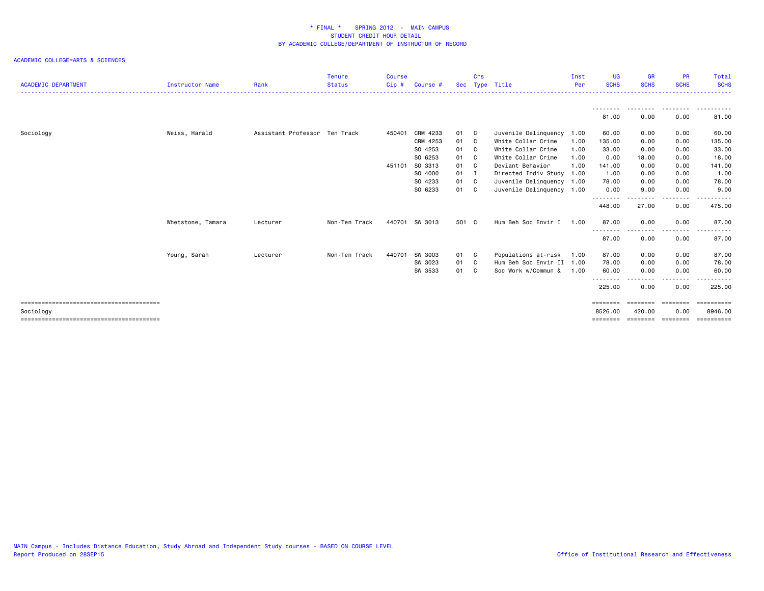| <b>ACADEMIC DEPARTMENT</b> | Instructor Name   | Rank                          | <b>Tenure</b><br><b>Status</b> | <b>Course</b><br>Cip # | Course #           |            | Crs            | Sec Type Title                           | Inst<br>Per  | <b>UG</b><br><b>SCHS</b> | <b>GR</b><br><b>SCHS</b> | <b>PR</b><br><b>SCHS</b> | Total<br><b>SCHS</b>  |
|----------------------------|-------------------|-------------------------------|--------------------------------|------------------------|--------------------|------------|----------------|------------------------------------------|--------------|--------------------------|--------------------------|--------------------------|-----------------------|
|                            |                   |                               |                                |                        |                    |            |                |                                          |              | - - - - - - - -<br>81.00 | .<br>0.00                | 0.00                     | 81.00                 |
|                            |                   |                               |                                |                        |                    |            |                |                                          |              |                          |                          |                          |                       |
| Sociology                  | Weiss, Harald     | Assistant Professor Ten Track |                                | 450401                 | CRM 4233           | 01 C       |                | Juvenile Delinquency 1.00                |              | 60.00                    | 0.00                     | 0.00                     | 60.00                 |
|                            |                   |                               |                                |                        | CRM 4253           | 01 C       |                | White Collar Crime<br>White Collar Crime | 1.00         | 135.00                   | 0.00                     | 0.00                     | 135.00                |
|                            |                   |                               |                                |                        | SO 4253<br>SO 6253 | 01<br>01 C | $\mathbf{C}$   | White Collar Crime                       | 1.00<br>1.00 | 33.00<br>0.00            | 0.00<br>18.00            | 0.00<br>0.00             | 33.00<br>18.00        |
|                            |                   |                               |                                | 451101                 | SO 3313            | 01         | C <sub>c</sub> | Deviant Behavior                         | 1.00         | 141.00                   | 0.00                     | 0.00                     | 141.00                |
|                            |                   |                               |                                |                        | SO 4000            | 01         |                | Directed Indiv Study 1.00                |              | 1.00                     | 0.00                     | 0.00                     | 1.00                  |
|                            |                   |                               |                                |                        | SO 4233            | 01         | C.             | Juvenile Delinquency 1.00                |              | 78.00                    | 0.00                     | 0.00                     | 78.00                 |
|                            |                   |                               |                                |                        | SO 6233            | 01 C       |                | Juvenile Delinquency 1.00                |              | 0.00                     | 9.00                     | 0.00                     | 9.00                  |
|                            |                   |                               |                                |                        |                    |            |                |                                          |              | --------                 | .                        | -----                    |                       |
|                            |                   |                               |                                |                        |                    |            |                |                                          |              | 448.00                   | 27.00                    | 0.00                     | 475.00                |
|                            | Whetstone, Tamara | Lecturer                      | Non-Ten Track                  |                        | 440701 SW 3013     | 501 C      |                | Hum Beh Soc Envir I 1.00                 |              | 87.00                    | 0.00                     | 0.00                     | 87.00                 |
|                            |                   |                               |                                |                        |                    |            |                |                                          |              | - - -<br>87.00           | 0.00                     | --------<br>0.00         | .<br>87.00            |
|                            | Young, Sarah      | Lecturer                      | Non-Ten Track                  | 440701                 | SW 3003            | 01 C       |                | Populations at-risk 1.00                 |              | 87.00                    | 0.00                     | 0.00                     | 87.00                 |
|                            |                   |                               |                                |                        | SW 3023            | 01         | - C            | Hum Beh Soc Envir II 1.00                |              | 78.00                    | 0.00                     | 0.00                     | 78.00                 |
|                            |                   |                               |                                |                        | SW 3533            | 01         |                | Soc Work w/Commun &                      | 1.00         | 60.00<br>--------        | 0.00                     | 0.00<br>--------         | 60.00<br>.            |
|                            |                   |                               |                                |                        |                    |            |                |                                          |              | 225.00                   | 0.00                     | 0.00                     | 225.00                |
|                            |                   |                               |                                |                        |                    |            |                |                                          |              | ========                 | <b>EBBEEBBE</b>          | ========                 | ==========            |
| Sociology                  |                   |                               |                                |                        |                    |            |                |                                          |              | 8526,00                  | 420,00                   | 0.00                     | 8946.00               |
|                            |                   |                               |                                |                        |                    |            |                |                                          |              |                          |                          | ========                 | $=$ = = = = = = = = = |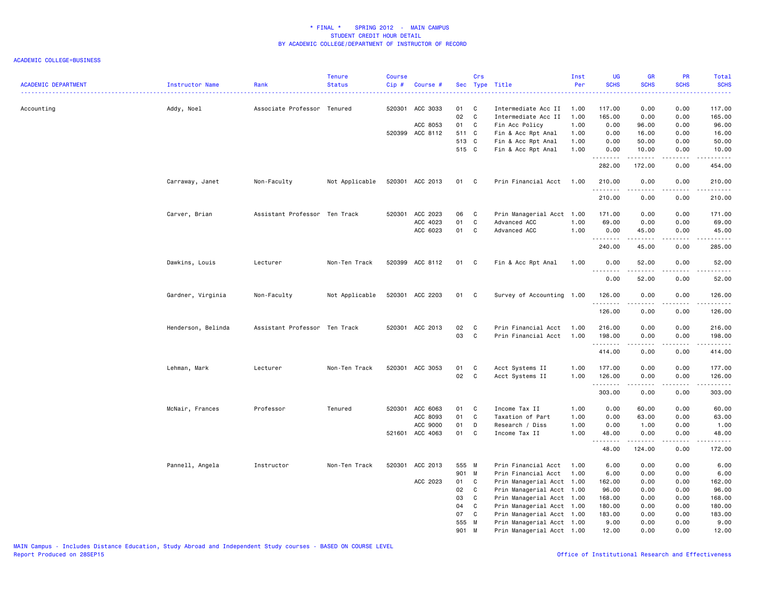| <b>ACADEMIC DEPARTMENT</b> | Instructor Name    | Rank                          | <b>Tenure</b><br><b>Status</b> | <b>Course</b><br>Cip# | Course #        |                | Crs               | Sec Type Title                             | Inst<br>Per  | UG<br><b>SCHS</b> | <b>GR</b><br><b>SCHS</b>                                                                                                                                     | PR<br><b>SCHS</b>                   | Total<br><b>SCHS</b>                                                                                                                                          |
|----------------------------|--------------------|-------------------------------|--------------------------------|-----------------------|-----------------|----------------|-------------------|--------------------------------------------|--------------|-------------------|--------------------------------------------------------------------------------------------------------------------------------------------------------------|-------------------------------------|---------------------------------------------------------------------------------------------------------------------------------------------------------------|
| Accounting                 | Addy, Noel         | Associate Professor Tenured   |                                |                       | 520301 ACC 3033 | 01<br>02       | $\mathbf{C}$<br>C | Intermediate Acc II<br>Intermediate Acc II | 1.00<br>1.00 | 117.00<br>165.00  | 0.00<br>0.00                                                                                                                                                 | 0.00<br>0.00                        | 117.00<br>165.00                                                                                                                                              |
|                            |                    |                               |                                |                       | ACC 8053        | 01             | C                 | Fin Acc Policy                             | 1.00         | 0.00              | 96.00                                                                                                                                                        | 0.00                                | 96.00                                                                                                                                                         |
|                            |                    |                               |                                |                       | 520399 ACC 8112 | 511 C          |                   | Fin & Acc Rpt Anal                         | 1.00         | 0.00              | 16.00                                                                                                                                                        | 0.00                                | 16.00                                                                                                                                                         |
|                            |                    |                               |                                |                       |                 | 513 C<br>515 C |                   | Fin & Acc Rpt Anal                         | 1.00         | 0.00              | 50.00                                                                                                                                                        | 0.00                                | 50.00                                                                                                                                                         |
|                            |                    |                               |                                |                       |                 |                |                   | Fin & Acc Rpt Anal                         | 1.00         | 0.00<br>.         | 10.00<br>.                                                                                                                                                   | 0.00<br>المتماما                    | 10.00<br>.                                                                                                                                                    |
|                            |                    |                               |                                |                       |                 |                |                   |                                            |              | 282.00            | 172.00                                                                                                                                                       | 0.00                                | 454.00                                                                                                                                                        |
|                            | Carraway, Janet    | Non-Faculty                   | Not Applicable                 |                       | 520301 ACC 2013 | 01 C           |                   | Prin Financial Acct                        | 1.00         | 210.00<br>.       | 0.00<br>.                                                                                                                                                    | 0.00<br>.                           | 210.00                                                                                                                                                        |
|                            |                    |                               |                                |                       |                 |                |                   |                                            |              | 210.00            | 0.00                                                                                                                                                         | 0.00                                | 210.00                                                                                                                                                        |
|                            | Carver, Brian      | Assistant Professor Ten Track |                                |                       | 520301 ACC 2023 | 06             | <b>C</b>          | Prin Managerial Acct 1.00                  |              | 171.00            | 0.00                                                                                                                                                         | 0.00                                | 171.00                                                                                                                                                        |
|                            |                    |                               |                                |                       | ACC 4023        | 01             | C                 | Advanced ACC                               | 1.00         | 69.00             | 0.00                                                                                                                                                         | 0.00                                | 69.00                                                                                                                                                         |
|                            |                    |                               |                                |                       | ACC 6023        | 01             | $\mathbf{C}$      | Advanced ACC                               | 1.00         | 0.00<br>.         | 45.00<br>.                                                                                                                                                   | 0.00<br>$\frac{1}{2}$               | 45.00<br>.                                                                                                                                                    |
|                            |                    |                               |                                |                       |                 |                |                   |                                            |              | 240.00            | 45.00                                                                                                                                                        | 0.00                                | 285.00                                                                                                                                                        |
|                            | Dawkins, Louis     | Lecturer                      | Non-Ten Track                  |                       | 520399 ACC 8112 | 01 C           |                   | Fin & Acc Rpt Anal                         | 1.00         | 0.00              | 52.00                                                                                                                                                        | 0.00                                | 52.00<br>$\frac{1}{2} \left( \frac{1}{2} \right) \left( \frac{1}{2} \right) \left( \frac{1}{2} \right) \left( \frac{1}{2} \right) \left( \frac{1}{2} \right)$ |
|                            |                    |                               |                                |                       |                 |                |                   |                                            |              | 0.00              | 52.00                                                                                                                                                        | 0.00                                | 52.00                                                                                                                                                         |
|                            | Gardner, Virginia  | Non-Faculty                   | Not Applicable                 |                       | 520301 ACC 2203 | 01 C           |                   | Survey of Accounting 1.00                  |              | 126.00<br>.       | 0.00<br>$\frac{1}{2} \left( \frac{1}{2} \right) \left( \frac{1}{2} \right) \left( \frac{1}{2} \right) \left( \frac{1}{2} \right) \left( \frac{1}{2} \right)$ | 0.00<br>.                           | 126.00<br>.                                                                                                                                                   |
|                            |                    |                               |                                |                       |                 |                |                   |                                            |              | 126.00            | 0.00                                                                                                                                                         | 0.00                                | 126.00                                                                                                                                                        |
|                            | Henderson, Belinda | Assistant Professor Ten Track |                                |                       | 520301 ACC 2013 | 02             | $\mathbf{C}$      | Prin Financial Acct                        | 1.00         | 216.00            | 0.00                                                                                                                                                         | 0.00                                | 216.00                                                                                                                                                        |
|                            |                    |                               |                                |                       |                 | 03             | $\mathbf{C}$      | Prin Financial Acct                        | 1.00         | 198.00            | 0.00                                                                                                                                                         | 0.00                                | 198.00                                                                                                                                                        |
|                            |                    |                               |                                |                       |                 |                |                   |                                            |              | .<br>414.00       | $\frac{1}{2} \left( \frac{1}{2} \right) \left( \frac{1}{2} \right) \left( \frac{1}{2} \right) \left( \frac{1}{2} \right) \left( \frac{1}{2} \right)$<br>0.00 | .<br>0.00                           | .<br>414.00                                                                                                                                                   |
|                            |                    |                               | Non-Ten Track                  |                       | 520301 ACC 3053 | 01             | C                 |                                            |              |                   |                                                                                                                                                              | 0.00                                |                                                                                                                                                               |
|                            | Lehman, Mark       | Lecturer                      |                                |                       |                 | 02             | $\overline{c}$    | Acct Systems II<br>Acct Systems II         | 1.00<br>1.00 | 177.00<br>126.00  | 0.00<br>0.00                                                                                                                                                 | 0.00                                | 177.00<br>126.00                                                                                                                                              |
|                            |                    |                               |                                |                       |                 |                |                   |                                            |              | .                 | <u>.</u>                                                                                                                                                     | .                                   |                                                                                                                                                               |
|                            |                    |                               |                                |                       |                 |                |                   |                                            |              | 303.00            | 0.00                                                                                                                                                         | 0.00                                | 303.00                                                                                                                                                        |
|                            | McNair, Frances    | Professor                     | Tenured                        |                       | 520301 ACC 6063 | 01             | $\mathbf{C}$      | Income Tax II                              | 1.00         | 0.00              | 60.00                                                                                                                                                        | 0.00                                | 60.00                                                                                                                                                         |
|                            |                    |                               |                                |                       | ACC 8093        | 01             | $\mathbf{C}$      | Taxation of Part                           | 1.00         | 0.00              | 63.00                                                                                                                                                        | 0.00                                | 63.00                                                                                                                                                         |
|                            |                    |                               |                                |                       | ACC 9000        | 01             | D                 | Research / Diss                            | 1.00         | 0.00              | 1.00                                                                                                                                                         | 0.00                                | 1.00                                                                                                                                                          |
|                            |                    |                               |                                |                       | 521601 ACC 4063 | 01             | C                 | Income Tax II                              | 1.00         | 48.00<br>.        | 0.00                                                                                                                                                         | 0.00<br>$\sim$ $\sim$ $\sim$ $\sim$ | 48.00<br>.                                                                                                                                                    |
|                            |                    |                               |                                |                       |                 |                |                   |                                            |              | 48.00             | 124.00                                                                                                                                                       | 0.00                                | 172.00                                                                                                                                                        |
|                            | Pannell, Angela    | Instructor                    | Non-Ten Track                  |                       | 520301 ACC 2013 | 555 M          |                   | Prin Financial Acct                        | 1.00         | 6.00              | 0.00                                                                                                                                                         | 0.00                                | 6.00                                                                                                                                                          |
|                            |                    |                               |                                |                       |                 | 901 M          |                   | Prin Financial Acct                        | 1.00         | 6.00              | 0.00                                                                                                                                                         | 0.00                                | 6.00                                                                                                                                                          |
|                            |                    |                               |                                |                       | ACC 2023        | 01             | C.                | Prin Managerial Acct 1.00                  |              | 162.00            | 0.00                                                                                                                                                         | 0.00                                | 162.00                                                                                                                                                        |
|                            |                    |                               |                                |                       |                 | 02             | C.                | Prin Managerial Acct 1.00                  |              | 96.00             | 0.00                                                                                                                                                         | 0.00                                | 96.00                                                                                                                                                         |
|                            |                    |                               |                                |                       |                 | 03             | C                 | Prin Managerial Acct 1.00                  |              | 168.00            | 0.00                                                                                                                                                         | 0.00                                | 168.00                                                                                                                                                        |
|                            |                    |                               |                                |                       |                 | 04             | $\mathbf c$       | Prin Managerial Acct 1.00                  |              | 180.00            | 0.00                                                                                                                                                         | 0.00                                | 180.00                                                                                                                                                        |
|                            |                    |                               |                                |                       |                 | 07             | C                 | Prin Managerial Acct 1.00                  |              | 183.00            | 0.00                                                                                                                                                         | 0.00                                | 183.00                                                                                                                                                        |
|                            |                    |                               |                                |                       |                 | 555 M          |                   | Prin Managerial Acct 1.00                  |              | 9.00              | 0.00                                                                                                                                                         | 0.00                                | 9.00                                                                                                                                                          |
|                            |                    |                               |                                |                       |                 | 901 M          |                   | Prin Managerial Acct 1.00                  |              | 12.00             | 0.00                                                                                                                                                         | 0.00                                | 12.00                                                                                                                                                         |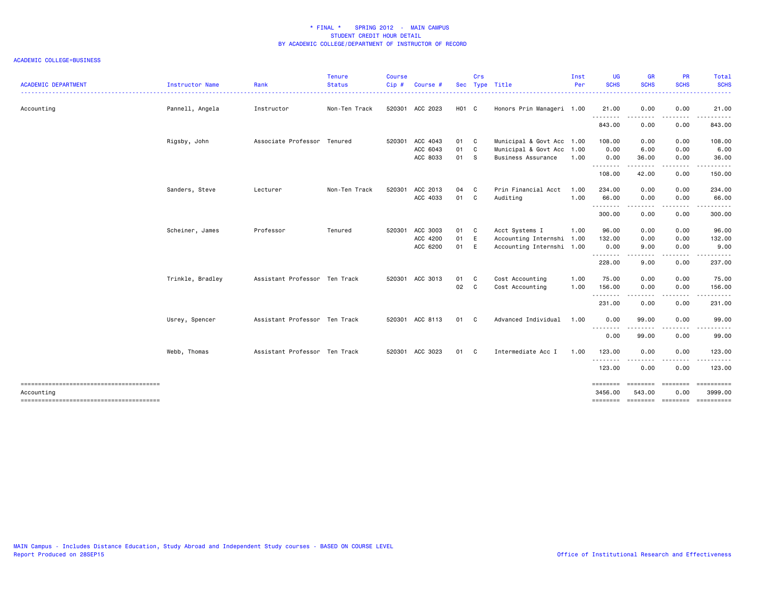| <b>ACADEMIC DEPARTMENT</b> | Instructor Name  | Rank                          | Tenure<br><b>Status</b><br>. | <b>Course</b><br>Cip#<br><b><i><u>AAAAAA</u></i></b> | Course #        |                   | Crs | Sec Type Title            | Inst<br>Per | UG<br><b>SCHS</b> | <b>GR</b><br><b>SCHS</b><br>. <u>.</u>                                                                                                                        | PR<br><b>SCHS</b><br>.                                                                                                            | Total<br><b>SCHS</b><br>. |
|----------------------------|------------------|-------------------------------|------------------------------|------------------------------------------------------|-----------------|-------------------|-----|---------------------------|-------------|-------------------|---------------------------------------------------------------------------------------------------------------------------------------------------------------|-----------------------------------------------------------------------------------------------------------------------------------|---------------------------|
| Accounting                 | Pannell, Angela  | Instructor                    | Non-Ten Track                |                                                      | 520301 ACC 2023 | H <sub>01</sub> C |     | Honors Prin Manageri 1.00 |             | 21.00<br>.        | 0.00                                                                                                                                                          | 0.00                                                                                                                              | 21.00                     |
|                            |                  |                               |                              |                                                      |                 |                   |     |                           |             | 843.00            | 0.00                                                                                                                                                          | 0.00                                                                                                                              | 843.00                    |
|                            | Rigsby, John     | Associate Professor Tenured   |                              | 520301                                               | ACC 4043        | 01 C              |     | Municipal & Govt Acc 1.00 |             | 108.00            | 0.00                                                                                                                                                          | 0.00                                                                                                                              | 108.00                    |
|                            |                  |                               |                              |                                                      | ACC 6043        | 01                | C   | Municipal & Govt Acc      | 1.00        | 0.00              | 6.00                                                                                                                                                          | 0.00                                                                                                                              | 6.00                      |
|                            |                  |                               |                              |                                                      | ACC 8033        | 01                | -S  | <b>Business Assurance</b> | 1.00        | 0.00<br>.         | 36.00<br>$\frac{1}{2} \left( \frac{1}{2} \right) \left( \frac{1}{2} \right) \left( \frac{1}{2} \right) \left( \frac{1}{2} \right) \left( \frac{1}{2} \right)$ | 0.00<br>$- - - -$                                                                                                                 | 36.00                     |
|                            |                  |                               |                              |                                                      |                 |                   |     |                           |             | 108.00            | 42.00                                                                                                                                                         | 0.00                                                                                                                              | 150.00                    |
|                            | Sanders, Steve   | Lecturer                      | Non-Ten Track                | 520301                                               | ACC 2013        | 04                | - C | Prin Financial Acct       | 1.00        | 234.00            | 0.00                                                                                                                                                          | 0.00                                                                                                                              | 234.00                    |
|                            |                  |                               |                              |                                                      | ACC 4033        | 01 C              |     | Auditing                  | 1.00        | 66.00             | 0.00                                                                                                                                                          | 0.00                                                                                                                              | 66.00                     |
|                            |                  |                               |                              |                                                      |                 |                   |     |                           |             | .<br>300.00       | 0.00                                                                                                                                                          | $\frac{1}{2}$<br>0.00                                                                                                             | .<br>300.00               |
|                            | Scheiner, James  | Professor                     | Tenured                      | 520301                                               | ACC 3003        | 01                | C C | Acct Systems I            | 1.00        | 96.00             | 0.00                                                                                                                                                          | 0.00                                                                                                                              | 96.00                     |
|                            |                  |                               |                              |                                                      | ACC 4200        | 01                | E   | Accounting Internshi 1.00 |             | 132.00            | 0.00                                                                                                                                                          | 0.00                                                                                                                              | 132.00                    |
|                            |                  |                               |                              |                                                      | ACC 6200        | 01 E              |     | Accounting Internshi 1.00 |             | 0.00              | 9.00                                                                                                                                                          | 0.00                                                                                                                              | 9.00                      |
|                            |                  |                               |                              |                                                      |                 |                   |     |                           |             | .<br>228.00       | -----<br>9.00                                                                                                                                                 | $\frac{1}{2} \left( \frac{1}{2} \right) \left( \frac{1}{2} \right) \left( \frac{1}{2} \right) \left( \frac{1}{2} \right)$<br>0.00 | -----<br>237.00           |
|                            | Trinkle, Bradley | Assistant Professor Ten Track |                              |                                                      | 520301 ACC 3013 | 01 C              |     | Cost Accounting           | 1.00        | 75.00             | 0.00                                                                                                                                                          | 0.00                                                                                                                              | 75.00                     |
|                            |                  |                               |                              |                                                      |                 | 02                | C   | Cost Accounting           | 1.00        | 156.00            | 0.00                                                                                                                                                          | 0.00                                                                                                                              | 156.00                    |
|                            |                  |                               |                              |                                                      |                 |                   |     |                           |             | .<br>231.00       | .<br>0.00                                                                                                                                                     | .<br>0.00                                                                                                                         | .<br>231.00               |
|                            | Usrey, Spencer   | Assistant Professor Ten Track |                              |                                                      | 520301 ACC 8113 | 01                | - C | Advanced Individual       | 1.00        | 0.00              | 99.00                                                                                                                                                         | 0.00                                                                                                                              | 99.00                     |
|                            |                  |                               |                              |                                                      |                 |                   |     |                           |             | .<br>0.00         | -----<br>99.00                                                                                                                                                | $\frac{1}{2}$<br>0.00                                                                                                             | 99.00                     |
|                            | Webb, Thomas     | Assistant Professor Ten Track |                              |                                                      | 520301 ACC 3023 | 01                | - C | Intermediate Acc I        | 1.00        | 123.00            | 0.00                                                                                                                                                          | 0.00                                                                                                                              | 123.00                    |
|                            |                  |                               |                              |                                                      |                 |                   |     |                           |             | .<br>123.00       | .<br>0.00                                                                                                                                                     | $\frac{1}{2} \left( \frac{1}{2} \right) \left( \frac{1}{2} \right) \left( \frac{1}{2} \right) \left( \frac{1}{2} \right)$<br>0.00 | .<br>123.00               |
|                            |                  |                               |                              |                                                      |                 |                   |     |                           |             | ========          |                                                                                                                                                               | ========                                                                                                                          | ESSESSESS                 |
| Accounting                 |                  |                               |                              |                                                      |                 |                   |     |                           |             | 3456.00           | 543.00                                                                                                                                                        | 0.00                                                                                                                              | 3999.00                   |
|                            |                  |                               |                              |                                                      |                 |                   |     |                           |             | ========          | ======== ========                                                                                                                                             |                                                                                                                                   | ==========                |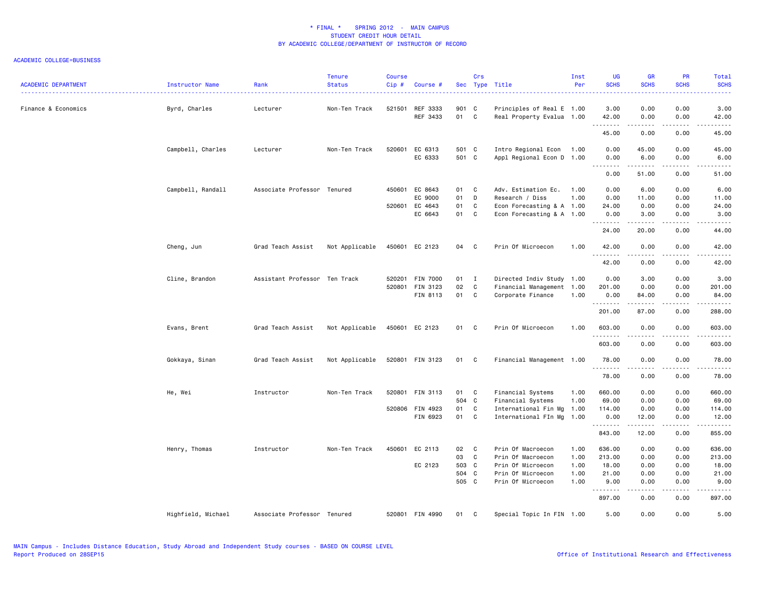| <b>ACADEMIC DEPARTMENT</b> | Instructor Name    | Rank                          | <b>Tenure</b><br><b>Status</b> | <b>Course</b><br>Cip# | Course #                    |                | Crs                            | Sec Type Title                                         | Inst<br>Per  | <b>UG</b><br><b>SCHS</b> | <b>GR</b><br><b>SCHS</b>                                                                                                                                     | <b>PR</b><br><b>SCHS</b>                                                                                                          | Total<br><b>SCHS</b>                                                                                                                                                  |
|----------------------------|--------------------|-------------------------------|--------------------------------|-----------------------|-----------------------------|----------------|--------------------------------|--------------------------------------------------------|--------------|--------------------------|--------------------------------------------------------------------------------------------------------------------------------------------------------------|-----------------------------------------------------------------------------------------------------------------------------------|-----------------------------------------------------------------------------------------------------------------------------------------------------------------------|
| Finance & Economics        | Byrd, Charles      | Lecturer                      | Non-Ten Track                  |                       | 521501 REF 3333<br>REF 3433 | 901 C<br>01 C  |                                | Principles of Real E 1.00<br>Real Property Evalua 1.00 |              | 3.00<br>42.00            | 0.00<br>0.00                                                                                                                                                 | 0.00<br>0.00                                                                                                                      | 3.00<br>42.00                                                                                                                                                         |
|                            |                    |                               |                                |                       |                             |                |                                |                                                        |              | <u>.</u><br>45.00        | .<br>0.00                                                                                                                                                    | .<br>0.00                                                                                                                         | $\frac{1}{2} \left( \frac{1}{2} \right) \left( \frac{1}{2} \right) \left( \frac{1}{2} \right) \left( \frac{1}{2} \right) \left( \frac{1}{2} \right)$<br>45.00         |
|                            | Campbell, Charles  | Lecturer                      | Non-Ten Track                  |                       | 520601 EC 6313<br>EC 6333   | 501 C<br>501 C |                                | Intro Regional Econ 1.00<br>Appl Regional Econ D 1.00  |              | 0.00<br>0.00<br>.        | 45.00<br>6.00<br>.                                                                                                                                           | 0.00<br>0.00<br>.                                                                                                                 | 45.00<br>6.00<br>$\frac{1}{2} \left( \frac{1}{2} \right) \left( \frac{1}{2} \right) \left( \frac{1}{2} \right) \left( \frac{1}{2} \right) \left( \frac{1}{2} \right)$ |
|                            |                    |                               |                                |                       |                             |                |                                |                                                        |              | 0.00                     | 51.00                                                                                                                                                        | 0.00                                                                                                                              | 51.00                                                                                                                                                                 |
|                            | Campbell, Randall  | Associate Professor Tenured   |                                |                       | 450601 EC 8643<br>EC 9000   | 01<br>01       | C <sub>1</sub><br>$\mathsf{D}$ | Adv. Estimation Ec.<br>Research / Diss                 | 1.00<br>1.00 | 0.00<br>0.00             | 6.00<br>11.00                                                                                                                                                | 0.00<br>0.00                                                                                                                      | 6.00<br>11.00                                                                                                                                                         |
|                            |                    |                               |                                |                       | 520601 EC 4643              | 01             |                                |                                                        |              |                          |                                                                                                                                                              | 0.00                                                                                                                              |                                                                                                                                                                       |
|                            |                    |                               |                                |                       | EC 6643                     | 01 C           | C                              | Econ Forecasting & A 1.00<br>Econ Forecasting & A 1.00 |              | 24.00<br>0.00            | 0.00<br>3.00                                                                                                                                                 | 0.00                                                                                                                              | 24.00<br>3.00                                                                                                                                                         |
|                            |                    |                               |                                |                       |                             |                |                                |                                                        |              | <u>.</u><br>24.00        | $- - - - -$<br>20.00                                                                                                                                         | .<br>0.00                                                                                                                         | $\frac{1}{2} \left( \frac{1}{2} \right) \left( \frac{1}{2} \right) \left( \frac{1}{2} \right) \left( \frac{1}{2} \right) \left( \frac{1}{2} \right)$<br>44.00         |
|                            | Cheng, Jun         | Grad Teach Assist             | Not Applicable                 |                       | 450601 EC 2123              | 04 C           |                                | Prin Of Microecon                                      | 1.00         | 42.00                    | 0.00                                                                                                                                                         | 0.00                                                                                                                              | 42.00                                                                                                                                                                 |
|                            |                    |                               |                                |                       |                             |                |                                |                                                        |              | .<br>42.00               | 0.00                                                                                                                                                         | $\sim$ $\sim$ $\sim$<br>0.00                                                                                                      | $\frac{1}{2} \left( \frac{1}{2} \right) \left( \frac{1}{2} \right) \left( \frac{1}{2} \right) \left( \frac{1}{2} \right) \left( \frac{1}{2} \right)$<br>42.00         |
|                            | Cline, Brandon     | Assistant Professor Ten Track |                                |                       | 520201 FIN 7000             | $01$ I         |                                | Directed Indiv Study 1.00                              |              | 0.00                     | 3.00                                                                                                                                                         | 0.00                                                                                                                              | 3.00                                                                                                                                                                  |
|                            |                    |                               |                                |                       | 520801 FIN 3123             | 02             | C                              | Financial Management 1.00                              |              | 201.00                   | 0.00                                                                                                                                                         | 0.00                                                                                                                              | 201.00                                                                                                                                                                |
|                            |                    |                               |                                |                       | FIN 8113                    | 01 C           |                                | Corporate Finance                                      | 1.00         | 0.00<br><u>.</u>         | 84.00<br>.                                                                                                                                                   | 0.00<br>.                                                                                                                         | 84.00<br>$- - - - - - -$                                                                                                                                              |
|                            |                    |                               |                                |                       |                             |                |                                |                                                        |              | 201.00                   | 87.00                                                                                                                                                        | 0.00                                                                                                                              | 288.00                                                                                                                                                                |
|                            | Evans, Brent       | Grad Teach Assist             | Not Applicable                 |                       | 450601 EC 2123              | 01 C           |                                | Prin Of Microecon                                      | 1.00         | 603.00                   | 0.00                                                                                                                                                         | 0.00                                                                                                                              | 603.00                                                                                                                                                                |
|                            |                    |                               |                                |                       |                             |                |                                |                                                        |              | .<br>603.00              | 0.00                                                                                                                                                         | $\frac{1}{2} \left( \frac{1}{2} \right) \left( \frac{1}{2} \right) \left( \frac{1}{2} \right) \left( \frac{1}{2} \right)$<br>0.00 | .<br>603.00                                                                                                                                                           |
|                            | Gokkaya, Sinan     | Grad Teach Assist             | Not Applicable                 |                       | 520801 FIN 3123             | 01 C           |                                | Financial Management 1.00                              |              | 78.00                    | 0.00                                                                                                                                                         | 0.00                                                                                                                              | 78.00                                                                                                                                                                 |
|                            |                    |                               |                                |                       |                             |                |                                |                                                        |              | .<br>78.00               | <u>.</u><br>0.00                                                                                                                                             | $\frac{1}{2}$<br>0.00                                                                                                             | .<br>78.00                                                                                                                                                            |
|                            | He, Wei            | Instructor                    | Non-Ten Track                  |                       | 520801 FIN 3113             | 01 C           |                                | Financial Systems                                      | 1.00         | 660.00                   | 0.00                                                                                                                                                         | 0.00                                                                                                                              | 660.00                                                                                                                                                                |
|                            |                    |                               |                                |                       |                             | 504 C          |                                | Financial Systems                                      | 1.00         | 69.00                    | 0.00                                                                                                                                                         | 0.00                                                                                                                              | 69.00                                                                                                                                                                 |
|                            |                    |                               |                                |                       | 520806 FIN 4923             | 01             | $\mathbf{C}$                   | International Fin Mg                                   | 1.00         | 114.00                   | 0.00                                                                                                                                                         | 0.00                                                                                                                              | 114.00                                                                                                                                                                |
|                            |                    |                               |                                |                       | FIN 6923                    | 01 C           |                                | International FIn Mg                                   | 1.00         | 0.00<br>.                | 12.00<br>.                                                                                                                                                   | 0.00<br>.                                                                                                                         | 12.00<br>.                                                                                                                                                            |
|                            |                    |                               |                                |                       |                             |                |                                |                                                        |              | 843.00                   | 12.00                                                                                                                                                        | 0.00                                                                                                                              | 855.00                                                                                                                                                                |
|                            | Henry, Thomas      | Instructor                    | Non-Ten Track                  |                       | 450601 EC 2113              | 02 C           |                                | Prin Of Macroecon                                      | 1.00         | 636.00                   | 0.00                                                                                                                                                         | 0.00                                                                                                                              | 636.00                                                                                                                                                                |
|                            |                    |                               |                                |                       |                             | 03             | $\mathbf{C}$                   | Prin Of Macroecon                                      | 1.00         | 213.00                   | 0.00                                                                                                                                                         | 0.00                                                                                                                              | 213.00                                                                                                                                                                |
|                            |                    |                               |                                |                       | EC 2123                     | 503 C          |                                | Prin Of Microecon                                      | 1.00         | 18.00                    | 0.00                                                                                                                                                         | 0.00                                                                                                                              | 18.00                                                                                                                                                                 |
|                            |                    |                               |                                |                       |                             | 504 C          |                                | Prin Of Microecon                                      | 1.00         | 21.00                    | 0.00                                                                                                                                                         | 0.00                                                                                                                              | 21.00                                                                                                                                                                 |
|                            |                    |                               |                                |                       |                             | 505 C          |                                | Prin Of Microecon                                      | 1.00         | 9.00                     | 0.00<br>$\frac{1}{2} \left( \frac{1}{2} \right) \left( \frac{1}{2} \right) \left( \frac{1}{2} \right) \left( \frac{1}{2} \right) \left( \frac{1}{2} \right)$ | 0.00<br>.                                                                                                                         | 9.00<br>$\begin{array}{cccccccccccccc} \bullet & \bullet & \bullet & \bullet & \bullet & \bullet & \bullet & \bullet \end{array}$                                     |
|                            |                    |                               |                                |                       |                             |                |                                |                                                        |              | 897.00                   | 0.00                                                                                                                                                         | 0.00                                                                                                                              | 897.00                                                                                                                                                                |
|                            | Highfield, Michael | Associate Professor Tenured   |                                |                       | 520801 FIN 4990             | 01             | C                              | Special Topic In FIN 1.00                              |              | 5.00                     | 0.00                                                                                                                                                         | 0.00                                                                                                                              | 5.00                                                                                                                                                                  |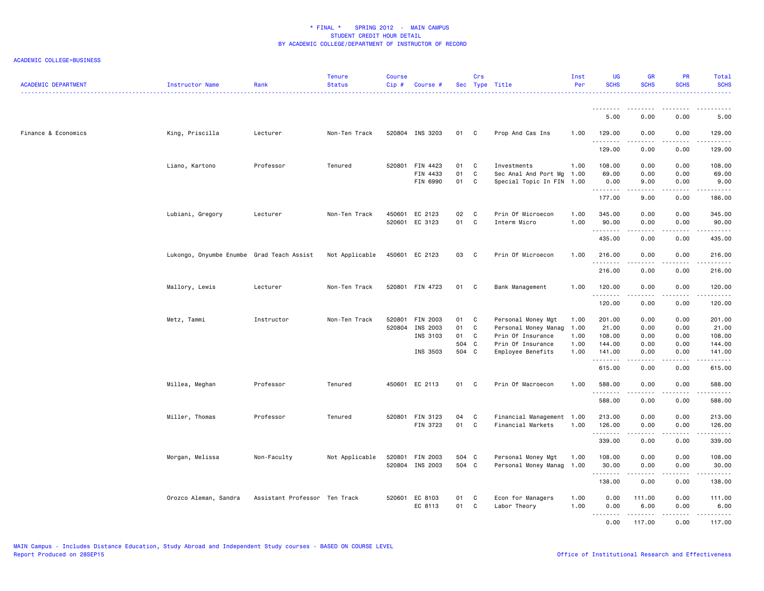| <b>ACADEMIC DEPARTMENT</b> | Instructor Name                           | Rank                          | <b>Tenure</b><br><b>Status</b> | <b>Course</b><br>Cip# | Course #                    |          | Crs          | Sec Type Title                                 | Inst<br>Per | <b>UG</b><br><b>SCHS</b> | <b>GR</b><br><b>SCHS</b> | PR<br><b>SCHS</b> | Total<br><b>SCHS</b>                                                                                                  |
|----------------------------|-------------------------------------------|-------------------------------|--------------------------------|-----------------------|-----------------------------|----------|--------------|------------------------------------------------|-------------|--------------------------|--------------------------|-------------------|-----------------------------------------------------------------------------------------------------------------------|
|                            |                                           |                               |                                |                       |                             |          |              |                                                |             | <u>.</u>                 | .                        | .                 |                                                                                                                       |
|                            |                                           |                               |                                |                       |                             |          |              |                                                |             | 5.00                     | 0.00                     | 0.00              | 5.00                                                                                                                  |
| Finance & Economics        | King, Priscilla                           | Lecturer                      | Non-Ten Track                  |                       | 520804 INS 3203             | 01 C     |              | Prop And Cas Ins                               | 1.00        | 129.00<br>.              | 0.00<br>.                | 0.00<br>.         | 129.00<br>. <b>.</b>                                                                                                  |
|                            |                                           |                               |                                |                       |                             |          |              |                                                |             | 129.00                   | 0.00                     | 0.00              | 129.00                                                                                                                |
|                            | Liano, Kartono                            | Professor                     | Tenured                        |                       | 520801 FIN 4423             | 01       | C            | Investments                                    | 1.00        | 108.00                   | 0.00                     | 0.00              | 108.00                                                                                                                |
|                            |                                           |                               |                                |                       | FIN 4433                    | 01       | C            | Sec Anal And Port Mg                           | 1.00        | 69.00                    | 0.00                     | 0.00              | 69.00                                                                                                                 |
|                            |                                           |                               |                                |                       | FIN 6990                    | 01       | C            | Special Topic In FIN 1.00                      |             | 0.00<br>.                | 9.00<br>.                | 0.00<br>.         | 9.00                                                                                                                  |
|                            |                                           |                               |                                |                       |                             |          |              |                                                |             | 177.00                   | 9.00                     | 0.00              | 186.00                                                                                                                |
|                            | Lubiani, Gregory                          | Lecturer                      | Non-Ten Track                  |                       | 450601 EC 2123              | 02       | C            | Prin Of Microecon                              | 1.00        | 345.00                   | 0.00                     | 0.00              | 345.00                                                                                                                |
|                            |                                           |                               |                                | 520601                | EC 3123                     | 01       | C            | Interm Micro                                   | 1.00        | 90.00<br>.               | 0.00<br>.                | 0.00<br>.         | 90.00                                                                                                                 |
|                            |                                           |                               |                                |                       |                             |          |              |                                                |             | 435.00                   | 0.00                     | 0.00              | 435.00                                                                                                                |
|                            | Lukongo, Onyumbe Enumbe Grad Teach Assist |                               | Not Applicable                 |                       | 450601 EC 2123              | 03       | $\mathbf{C}$ | Prin Of Microecon                              | 1.00        | 216.00                   | 0.00                     | 0.00              | 216.00                                                                                                                |
|                            |                                           |                               |                                |                       |                             |          |              |                                                |             | .<br>216.00              | .<br>0.00                | .<br>0.00         | .<br>216.00                                                                                                           |
|                            | Mallory, Lewis                            | Lecturer                      | Non-Ten Track                  |                       | 520801 FIN 4723             | 01 C     |              | Bank Management                                | 1.00        | 120.00                   | 0.00                     | 0.00              | 120.00                                                                                                                |
|                            |                                           |                               |                                |                       |                             |          |              |                                                |             | .                        | $- - - - -$              | .                 | .                                                                                                                     |
|                            |                                           |                               |                                |                       |                             |          |              |                                                |             | 120.00                   | 0.00                     | 0.00              | 120.00                                                                                                                |
|                            | Metz, Tammi                               | Instructor                    | Non-Ten Track                  | 520801                | FIN 2003                    | 01       | C            | Personal Money Mgt                             | 1.00        | 201.00                   | 0.00                     | 0.00              | 201.00                                                                                                                |
|                            |                                           |                               |                                |                       | 520804 INS 2003             | 01       | C            | Personal Money Manag                           | 1.00        | 21.00                    | 0.00                     | 0.00              | 21.00                                                                                                                 |
|                            |                                           |                               |                                |                       | INS 3103                    | 01       | C            | Prin Of Insurance                              | 1.00        | 108.00                   | 0.00                     | 0.00              | 108.00                                                                                                                |
|                            |                                           |                               |                                |                       |                             | 504 C    |              | Prin Of Insurance                              | 1.00        | 144.00                   | 0.00                     | 0.00              | 144.00                                                                                                                |
|                            |                                           |                               |                                |                       | INS 3503                    | 504 C    |              | Employee Benefits                              | 1.00        | 141.00<br>.              | 0.00                     | 0.00              | 141.00<br>$\begin{array}{cccccccccc} \bullet & \bullet & \bullet & \bullet & \bullet & \bullet & \bullet \end{array}$ |
|                            |                                           |                               |                                |                       |                             |          |              |                                                |             | 615.00                   | 0.00                     | 0.00              | 615.00                                                                                                                |
|                            | Millea, Meghan                            | Professor                     | Tenured                        |                       | 450601 EC 2113              | 01 C     |              | Prin Of Macroecon                              | 1.00        | 588.00                   | 0.00                     | 0.00              | 588.00                                                                                                                |
|                            |                                           |                               |                                |                       |                             |          |              |                                                |             | <u>.</u><br>588.00       | .<br>0.00                | .<br>0.00         | <u>.</u><br>588.00                                                                                                    |
|                            |                                           |                               |                                |                       |                             |          |              |                                                |             |                          |                          |                   |                                                                                                                       |
|                            | Miller, Thomas                            | Professor                     | Tenured                        |                       | 520801 FIN 3123<br>FIN 3723 | 04<br>01 | C<br>C       | Financial Management 1.00<br>Financial Markets | 1.00        | 213.00                   | 0.00                     | 0.00              | 213.00                                                                                                                |
|                            |                                           |                               |                                |                       |                             |          |              |                                                |             | 126.00<br>.              | 0.00<br>.                | 0.00<br>.         | 126.00<br>المتمالين                                                                                                   |
|                            |                                           |                               |                                |                       |                             |          |              |                                                |             | 339.00                   | 0.00                     | 0.00              | 339.00                                                                                                                |
|                            | Morgan, Melissa                           | Non-Faculty                   | Not Applicable                 |                       | 520801 FIN 2003             | 504 C    |              | Personal Money Mgt                             | 1.00        | 108.00                   | 0.00                     | 0.00              | 108.00                                                                                                                |
|                            |                                           |                               |                                |                       | 520804 INS 2003             | 504 C    |              | Personal Money Manag                           | 1.00        | 30.00<br>.               | 0.00<br><b>.</b> .       | 0.00<br>.         | 30.00<br>.                                                                                                            |
|                            |                                           |                               |                                |                       |                             |          |              |                                                |             | 138.00                   | 0.00                     | 0.00              | 138.00                                                                                                                |
|                            | Orozco Aleman, Sandra                     | Assistant Professor Ten Track |                                |                       | 520601 EC 8103              | 01       | $\mathbf{C}$ | Econ for Managers                              | 1.00        | 0.00                     | 111.00                   | 0.00              | 111.00                                                                                                                |
|                            |                                           |                               |                                |                       | EC 8113                     | 01 C     |              | Labor Theory                                   | 1.00        | 0.00                     | 6.00                     | 0.00              | 6.00                                                                                                                  |
|                            |                                           |                               |                                |                       |                             |          |              |                                                |             | .<br>0.00                | .<br>117.00              | د د د د<br>0.00   | .<br>117.00                                                                                                           |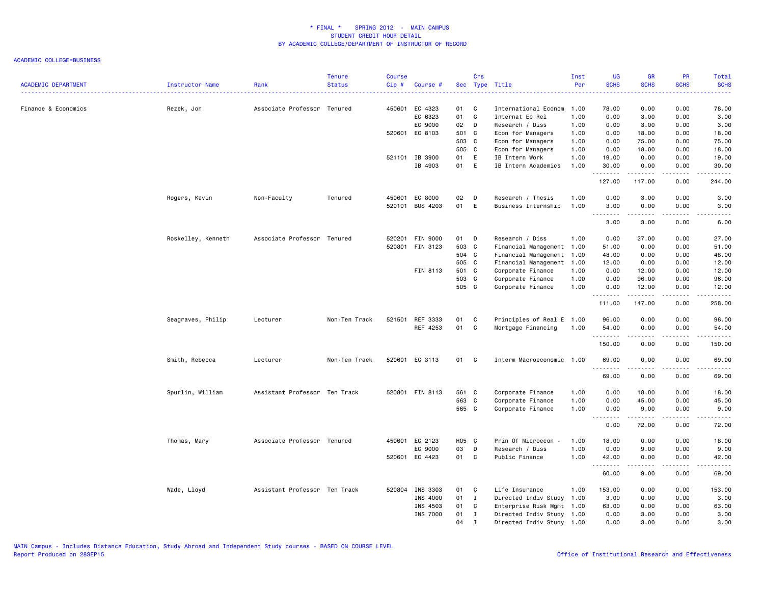|                            |                    |                               | <b>Tenure</b> | <b>Course</b> |                           |          | Crs          |                                         | Inst         | UG             | <b>GR</b>         | PR           | <b>Total</b>                                                                                                                                                  |
|----------------------------|--------------------|-------------------------------|---------------|---------------|---------------------------|----------|--------------|-----------------------------------------|--------------|----------------|-------------------|--------------|---------------------------------------------------------------------------------------------------------------------------------------------------------------|
| <b>ACADEMIC DEPARTMENT</b> | Instructor Name    | Rank                          | <b>Status</b> | Cip#          | Course #                  |          |              | Sec Type Title                          | Per          | <b>SCHS</b>    | <b>SCHS</b>       | <b>SCHS</b>  | <b>SCHS</b>                                                                                                                                                   |
| Finance & Economics        |                    |                               |               | 450601        | EC 4323                   | 01       | C            |                                         | 1.00         | 78.00          | 0.00              | 0.00         | 78.00                                                                                                                                                         |
|                            | Rezek, Jon         | Associate Professor Tenured   |               |               | EC 6323                   | 01       | C            | International Econom<br>Internat Ec Rel | 1.00         | 0.00           | 3.00              | 0.00         | 3.00                                                                                                                                                          |
|                            |                    |                               |               |               | EC 9000                   | 02       | $\mathsf{D}$ | Research / Diss                         | 1.00         | 0.00           | 3.00              | 0.00         | 3.00                                                                                                                                                          |
|                            |                    |                               |               |               | 520601 EC 8103            | 501 C    |              |                                         | 1.00         | 0.00           |                   | 0.00         |                                                                                                                                                               |
|                            |                    |                               |               |               |                           | 503 C    |              | Econ for Managers                       | 1.00         | 0.00           | 18.00<br>75.00    | 0.00         | 18.00<br>75.00                                                                                                                                                |
|                            |                    |                               |               |               |                           | 505 C    |              | Econ for Managers                       |              |                |                   |              |                                                                                                                                                               |
|                            |                    |                               |               |               |                           |          |              | Econ for Managers                       | 1.00         | 0.00           | 18.00             | 0.00         | 18.00                                                                                                                                                         |
|                            |                    |                               |               |               | 521101 IB 3900<br>IB 4903 | 01<br>01 | E<br>E       | IB Intern Work<br>IB Intern Academics   | 1.00<br>1.00 | 19.00<br>30.00 | 0.00<br>0.00      | 0.00<br>0.00 | 19.00<br>30.00                                                                                                                                                |
|                            |                    |                               |               |               |                           |          |              |                                         |              | .<br>127.00    | .<br>117.00       | .<br>0.00    | .<br>244.00                                                                                                                                                   |
|                            | Rogers, Kevin      | Non-Faculty                   | Tenured       | 450601        | EC 8000                   | 02       | $\Box$       | Research / Thesis                       | 1.00         | 0.00           | 3.00              | 0.00         | 3.00                                                                                                                                                          |
|                            |                    |                               |               | 520101        | <b>BUS 4203</b>           | 01       | E            | Business Internship                     | 1.00         | 3.00<br>.      | 0.00              | 0.00<br>.    | 3.00                                                                                                                                                          |
|                            |                    |                               |               |               |                           |          |              |                                         |              | 3.00           | 3.00              | 0.00         | 6.00                                                                                                                                                          |
|                            | Roskelley, Kenneth | Associate Professor Tenured   |               | 520201        | <b>FIN 9000</b>           | 01       | D            | Research / Diss                         | 1.00         | 0.00           | 27.00             | 0.00         | 27.00                                                                                                                                                         |
|                            |                    |                               |               | 520801        | FIN 3123                  | 503 C    |              | Financial Management                    | 1.00         | 51.00          | 0.00              | 0.00         | 51.00                                                                                                                                                         |
|                            |                    |                               |               |               |                           | 504 C    |              | Financial Management                    | 1.00         | 48.00          | 0.00              | 0.00         | 48.00                                                                                                                                                         |
|                            |                    |                               |               |               |                           | 505 C    |              | Financial Management                    | 1.00         | 12.00          | 0.00              | 0.00         | 12.00                                                                                                                                                         |
|                            |                    |                               |               |               | FIN 8113                  | 501 C    |              | Corporate Finance                       | 1.00         | 0.00           | 12.00             | 0.00         | 12.00                                                                                                                                                         |
|                            |                    |                               |               |               |                           | 503 C    |              | Corporate Finance                       | 1.00         | 0.00           | 96.00             | 0.00         | 96.00                                                                                                                                                         |
|                            |                    |                               |               |               |                           | 505 C    |              | Corporate Finance                       | 1.00         | 0.00           | 12.00             | 0.00         | 12.00                                                                                                                                                         |
|                            |                    |                               |               |               |                           |          |              |                                         |              | .<br>111.00    | .<br>147.00       | .<br>0.00    | .<br>258.00                                                                                                                                                   |
|                            | Seagraves, Philip  | Lecturer                      | Non-Ten Track | 521501        | REF 3333                  | 01       | C            | Principles of Real E 1.00               |              | 96.00          | 0.00              | 0.00         | 96.00                                                                                                                                                         |
|                            |                    |                               |               |               | REF 4253                  | 01       | C            | Mortgage Financing                      | 1.00         | 54.00<br>.     | 0.00              | 0.00<br>.    | 54.00<br>$\frac{1}{2} \left( \frac{1}{2} \right) \left( \frac{1}{2} \right) \left( \frac{1}{2} \right) \left( \frac{1}{2} \right) \left( \frac{1}{2} \right)$ |
|                            |                    |                               |               |               |                           |          |              |                                         |              | 150.00         | 0.00              | 0.00         | 150.00                                                                                                                                                        |
|                            | Smith, Rebecca     | Lecturer                      | Non-Ten Track |               | 520601 EC 3113            | 01       | C            | Interm Macroeconomic 1.00               |              | 69.00<br>.     | 0.00<br>-----     | 0.00<br>.    | 69.00<br>.                                                                                                                                                    |
|                            |                    |                               |               |               |                           |          |              |                                         |              | 69.00          | 0.00              | 0.00         | 69.00                                                                                                                                                         |
|                            | Spurlin, William   | Assistant Professor Ten Track |               |               | 520801 FIN 8113           | 561 C    |              | Corporate Finance                       | 1.00         | 0.00           | 18.00             | 0.00         | 18.00                                                                                                                                                         |
|                            |                    |                               |               |               |                           | 563 C    |              | Corporate Finance                       | 1.00         | 0.00           | 45.00             | 0.00         | 45.00                                                                                                                                                         |
|                            |                    |                               |               |               |                           | 565 C    |              | Corporate Finance                       | 1.00         | 0.00<br>.      | 9.00<br>المتمامين | 0.00<br>.    | 9.00<br>المتمالين                                                                                                                                             |
|                            |                    |                               |               |               |                           |          |              |                                         |              | 0.00           | 72.00             | 0.00         | 72.00                                                                                                                                                         |
|                            | Thomas, Mary       | Associate Professor Tenured   |               |               | 450601 EC 2123            | H05 C    |              | Prin Of Microecon -                     | 1.00         | 18.00          | 0.00              | 0.00         | 18.00                                                                                                                                                         |
|                            |                    |                               |               |               | EC 9000                   | 03       | D            | Research / Diss                         | 1.00         | 0.00           | 9.00              | 0.00         | 9.00                                                                                                                                                          |
|                            |                    |                               |               | 520601        | EC 4423                   | 01       | C            | Public Finance                          | 1.00         | 42.00<br>.     | 0.00<br>.         | 0.00<br>.    | 42.00<br>.                                                                                                                                                    |
|                            |                    |                               |               |               |                           |          |              |                                         |              | 60.00          | 9.00              | 0.00         | 69.00                                                                                                                                                         |
|                            | Wade, Lloyd        | Assistant Professor Ten Track |               |               | 520804 INS 3303           | 01       | $\mathbf{C}$ | Life Insurance                          | 1.00         | 153.00         | 0.00              | 0.00         | 153.00                                                                                                                                                        |
|                            |                    |                               |               |               | INS 4000                  | 01       | $\mathbf I$  | Directed Indiv Study                    | 1.00         | 3.00           | 0.00              | 0.00         | 3.00                                                                                                                                                          |
|                            |                    |                               |               |               | INS 4503                  | 01       | C            | Enterprise Risk Mgmt 1.00               |              | 63.00          | 0.00              | 0.00         | 63.00                                                                                                                                                         |
|                            |                    |                               |               |               | INS 7000                  | 01       | I            | Directed Indiv Study 1.00               |              | 0.00           | 3.00              | 0.00         | 3.00                                                                                                                                                          |
|                            |                    |                               |               |               |                           | 04       | $\mathbf I$  | Directed Indiv Study 1.00               |              | 0.00           | 3.00              | 0.00         | 3.00                                                                                                                                                          |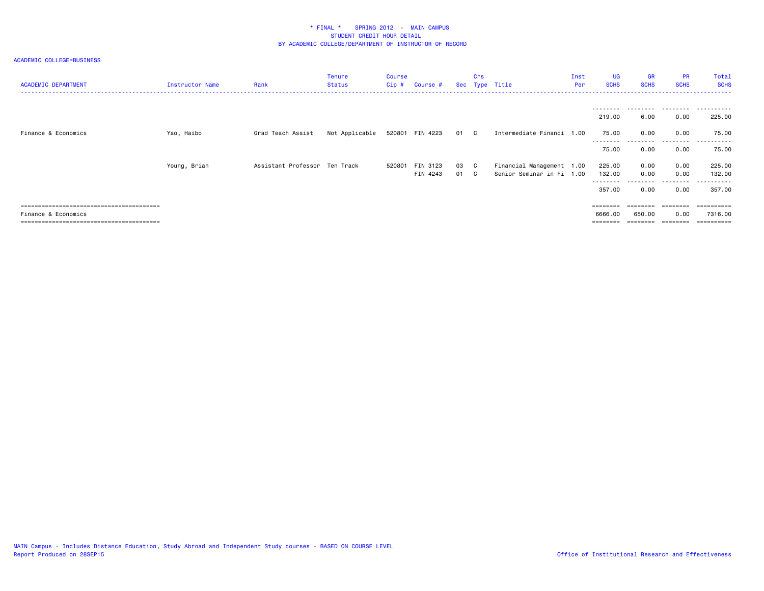| <b>ACADEMIC DEPARTMENT</b> | Instructor Name | Rank                          | <b>Tenure</b><br>Status | Course<br>$Cip$ # | Course #        |      | Crs          | Sec Type Title            | Inst<br>Per | UG<br><b>SCHS</b> | <b>GR</b><br><b>SCHS</b> | <b>PR</b><br><b>SCHS</b> | Total<br><b>SCHS</b> |
|----------------------------|-----------------|-------------------------------|-------------------------|-------------------|-----------------|------|--------------|---------------------------|-------------|-------------------|--------------------------|--------------------------|----------------------|
|                            |                 |                               |                         |                   |                 |      |              |                           |             |                   | 6.00                     | 0.00                     |                      |
| Finance & Economics        | Yao, Haibo      | Grad Teach Assist             | Not Applicable          |                   | 520801 FIN 4223 | 01 C |              | Intermediate Financi 1.00 |             | 219.00<br>75.00   | 0.00                     | 0.00                     | 225.00<br>75.00      |
|                            |                 |                               |                         |                   |                 |      |              |                           |             | --------<br>75.00 | .<br>0.00                | .<br>0.00                | .<br>75.00           |
|                            | Young, Brian    | Assistant Professor Ten Track |                         |                   | 520801 FIN 3123 | 03 C |              | Financial Management 1.00 |             | 225.00            | 0.00                     | 0.00                     | 225.00               |
|                            |                 |                               |                         |                   | FIN 4243        | 01   | $\mathbf{C}$ | Senior Seminar in Fi 1.00 |             | 132.00            | 0.00                     | 0.00                     | 132.00               |
|                            |                 |                               |                         |                   |                 |      |              |                           |             | .<br>357.00       | 0.00                     | 0.00                     | 357.00               |
|                            |                 |                               |                         |                   |                 |      |              |                           |             | ========          | ========                 | ========                 | =========            |
| Finance & Economics        |                 |                               |                         |                   |                 |      |              |                           |             | 6666.00           | 650.00                   | 0.00                     | 7316.00              |
|                            |                 |                               |                         |                   |                 |      |              |                           |             | ========          | ========                 | ========                 | ==========           |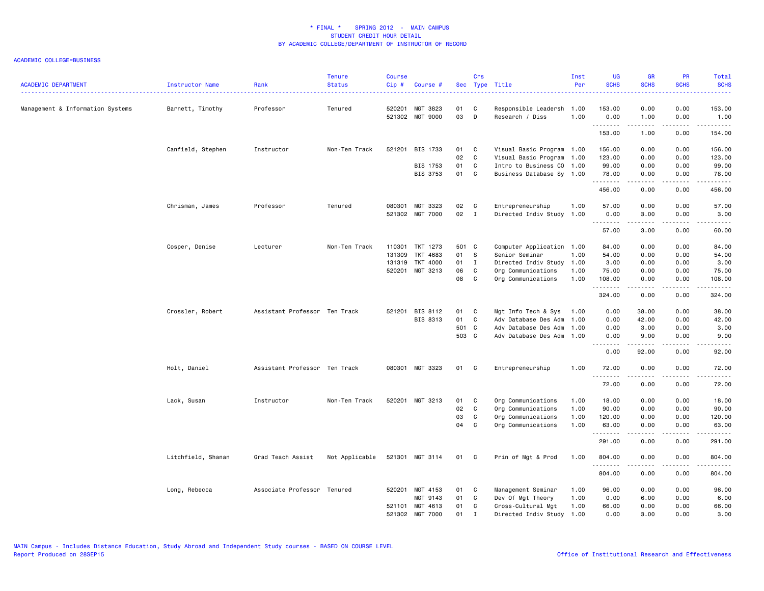| <b>ACADEMIC DEPARTMENT</b>       | Instructor Name    | Rank                          | <b>Tenure</b><br><b>Status</b> | <b>Course</b><br>Cip# | Course #                           |          | Crs          | Sec Type Title                          | Inst<br>Per  | <b>UG</b><br><b>SCHS</b> | <b>GR</b><br><b>SCHS</b> | <b>PR</b><br><b>SCHS</b>                                                                                                                                     | Total<br><b>SCHS</b>                                                                                                                                                                     |
|----------------------------------|--------------------|-------------------------------|--------------------------------|-----------------------|------------------------------------|----------|--------------|-----------------------------------------|--------------|--------------------------|--------------------------|--------------------------------------------------------------------------------------------------------------------------------------------------------------|------------------------------------------------------------------------------------------------------------------------------------------------------------------------------------------|
| Management & Information Systems | Barnett, Timothy   | Professor                     | Tenured                        |                       | 520201 MGT 3823<br>521302 MGT 9000 | 01<br>03 | C<br>D       | Responsible Leadersh<br>Research / Diss | 1.00<br>1.00 | 153.00<br>0.00           | 0.00<br>1.00             | 0.00<br>0.00                                                                                                                                                 | 153.00<br>1.00                                                                                                                                                                           |
|                                  |                    |                               |                                |                       |                                    |          |              |                                         |              | .<br>153.00              | .<br>1.00                | $\sim$ $\sim$ $\sim$<br>0.00                                                                                                                                 | .<br>154.00                                                                                                                                                                              |
|                                  | Canfield, Stephen  | Instructor                    | Non-Ten Track                  |                       | 521201 BIS 1733                    | 01       | C            | Visual Basic Program 1.00               |              | 156.00                   | 0.00                     | 0.00                                                                                                                                                         | 156.00                                                                                                                                                                                   |
|                                  |                    |                               |                                |                       |                                    | 02       | $\mathbf c$  | Visual Basic Program                    | 1.00         | 123.00                   | 0.00                     | 0.00                                                                                                                                                         | 123.00                                                                                                                                                                                   |
|                                  |                    |                               |                                |                       | BIS 1753                           | 01       | $\mathbf{C}$ | Intro to Business CO 1.00               |              | 99.00                    | 0.00                     | 0.00                                                                                                                                                         | 99.00                                                                                                                                                                                    |
|                                  |                    |                               |                                |                       | BIS 3753                           | 01       | $\mathbf{C}$ | Business Database Sy 1.00               |              | 78.00<br>.               | 0.00<br>.                | 0.00<br>$\frac{1}{2} \left( \frac{1}{2} \right) \left( \frac{1}{2} \right) \left( \frac{1}{2} \right) \left( \frac{1}{2} \right) \left( \frac{1}{2} \right)$ | 78.00<br>$\frac{1}{2} \left( \frac{1}{2} \right) \left( \frac{1}{2} \right) \left( \frac{1}{2} \right) \left( \frac{1}{2} \right) \left( \frac{1}{2} \right) \left( \frac{1}{2} \right)$ |
|                                  |                    |                               |                                |                       |                                    |          |              |                                         |              | 456.00                   | 0.00                     | 0.00                                                                                                                                                         | 456.00                                                                                                                                                                                   |
|                                  | Chrisman, James    | Professor                     | Tenured                        | 080301                | MGT 3323                           | 02       | $\mathbf{C}$ | Entrepreneurship                        | 1.00         | 57.00                    | 0.00                     | 0.00                                                                                                                                                         | 57.00                                                                                                                                                                                    |
|                                  |                    |                               |                                |                       | 521302 MGT 7000                    | 02       | $\mathbf{I}$ | Directed Indiv Study                    | 1.00         | 0.00<br>.                | 3.00<br>.                | 0.00<br>.                                                                                                                                                    | 3.00<br>$\omega$ is a set of                                                                                                                                                             |
|                                  |                    |                               |                                |                       |                                    |          |              |                                         |              | 57.00                    | 3.00                     | 0.00                                                                                                                                                         | 60.00                                                                                                                                                                                    |
|                                  | Cosper, Denise     | Lecturer                      | Non-Ten Track                  |                       | 110301 TKT 1273                    | 501 C    |              | Computer Application 1.00               |              | 84.00                    | 0.00                     | 0.00                                                                                                                                                         | 84.00                                                                                                                                                                                    |
|                                  |                    |                               |                                | 131309                | TKT 4683                           | 01       | s.           | Senior Seminar                          | 1.00         | 54.00                    | 0.00                     | 0.00                                                                                                                                                         | 54.00                                                                                                                                                                                    |
|                                  |                    |                               |                                | 131319                | TKT 4000                           | 01       | $\mathbf{I}$ | Directed Indiv Study                    | 1.00         | 3.00                     | 0.00                     | 0.00                                                                                                                                                         | 3.00                                                                                                                                                                                     |
|                                  |                    |                               |                                |                       | 520201 MGT 3213                    | 06       | C            | Org Communications                      | 1.00         | 75.00                    | 0.00                     | 0.00                                                                                                                                                         | 75.00                                                                                                                                                                                    |
|                                  |                    |                               |                                |                       |                                    | 08       | C.           | Org Communications                      | 1.00         | 108.00<br>.              | 0.00<br>.                | 0.00<br>.                                                                                                                                                    | 108.00<br>.                                                                                                                                                                              |
|                                  |                    |                               |                                |                       |                                    |          |              |                                         |              | 324.00                   | 0.00                     | 0.00                                                                                                                                                         | 324.00                                                                                                                                                                                   |
|                                  | Crossler, Robert   | Assistant Professor Ten Track |                                |                       | 521201 BIS 8112                    | 01       | C            | Mgt Info Tech & Sys                     | 1.00         | 0.00                     | 38.00                    | 0.00                                                                                                                                                         | 38.00                                                                                                                                                                                    |
|                                  |                    |                               |                                |                       | BIS 8313                           | 01       | C            | Adv Database Des Adm                    | 1.00         | 0.00                     | 42.00                    | 0.00                                                                                                                                                         | 42.00                                                                                                                                                                                    |
|                                  |                    |                               |                                |                       |                                    | 501 C    |              | Adv Database Des Adm                    | 1.00         | 0.00                     | 3.00                     | 0.00                                                                                                                                                         | 3.00                                                                                                                                                                                     |
|                                  |                    |                               |                                |                       |                                    | 503 C    |              | Adv Database Des Adm                    | 1.00         | 0.00<br>. <b>.</b>       | 9.00<br>.                | 0.00<br>.                                                                                                                                                    | 9.00<br>$\frac{1}{2} \left( \frac{1}{2} \right) \left( \frac{1}{2} \right) \left( \frac{1}{2} \right) \left( \frac{1}{2} \right) \left( \frac{1}{2} \right)$                             |
|                                  |                    |                               |                                |                       |                                    |          |              |                                         |              | 0.00                     | 92.00                    | 0.00                                                                                                                                                         | 92.00                                                                                                                                                                                    |
|                                  | Holt, Daniel       | Assistant Professor Ten Track |                                |                       | 080301 MGT 3323                    | 01       | $\mathbf{C}$ | Entrepreneurship                        | 1.00         | 72.00<br>.               | 0.00<br>.                | 0.00<br>.                                                                                                                                                    | 72.00<br>.                                                                                                                                                                               |
|                                  |                    |                               |                                |                       |                                    |          |              |                                         |              | 72.00                    | 0.00                     | 0.00                                                                                                                                                         | 72.00                                                                                                                                                                                    |
|                                  | Lack, Susan        | Instructor                    | Non-Ten Track                  |                       | 520201 MGT 3213                    | 01       | C            | Org Communications                      | 1.00         | 18.00                    | 0.00                     | 0.00                                                                                                                                                         | 18.00                                                                                                                                                                                    |
|                                  |                    |                               |                                |                       |                                    | 02       | $\mathbf c$  | Org Communications                      | 1.00         | 90.00                    | 0.00                     | 0.00                                                                                                                                                         | 90.00                                                                                                                                                                                    |
|                                  |                    |                               |                                |                       |                                    | 03       | C            | Org Communications                      | 1.00         | 120.00                   | 0.00                     | 0.00                                                                                                                                                         | 120.00                                                                                                                                                                                   |
|                                  |                    |                               |                                |                       |                                    | 04       | C            | Org Communications                      | 1.00         | 63.00<br>.               | 0.00<br>.                | 0.00<br>.                                                                                                                                                    | 63.00<br>.                                                                                                                                                                               |
|                                  |                    |                               |                                |                       |                                    |          |              |                                         |              | 291.00                   | 0.00                     | 0.00                                                                                                                                                         | 291.00                                                                                                                                                                                   |
|                                  | Litchfield, Shanan | Grad Teach Assist             | Not Applicable                 |                       | 521301 MGT 3114                    | 01 C     |              | Prin of Mgt & Prod                      | 1.00         | 804.00                   | 0.00                     | 0.00                                                                                                                                                         | 804.00                                                                                                                                                                                   |
|                                  |                    |                               |                                |                       |                                    |          |              |                                         |              | .<br>804.00              | 0.00                     | 0.00                                                                                                                                                         | .<br>804.00                                                                                                                                                                              |
|                                  | Long, Rebecca      | Associate Professor Tenured   |                                |                       | 520201 MGT 4153                    | 01       | C            | Management Seminar                      | 1.00         | 96.00                    | 0.00                     | 0.00                                                                                                                                                         | 96.00                                                                                                                                                                                    |
|                                  |                    |                               |                                |                       | MGT 9143                           | 01       | C            | Dev Of Mgt Theory                       | 1.00         | 0.00                     | 6.00                     | 0.00                                                                                                                                                         | 6.00                                                                                                                                                                                     |
|                                  |                    |                               |                                |                       | 521101 MGT 4613                    | 01       | C            | Cross-Cultural Mgt                      | 1.00         | 66.00                    | 0.00                     | 0.00                                                                                                                                                         | 66.00                                                                                                                                                                                    |
|                                  |                    |                               |                                | 521302                | MGT 7000                           | 01       | I            | Directed Indiv Study 1.00               |              | 0.00                     | 3.00                     | 0.00                                                                                                                                                         | 3.00                                                                                                                                                                                     |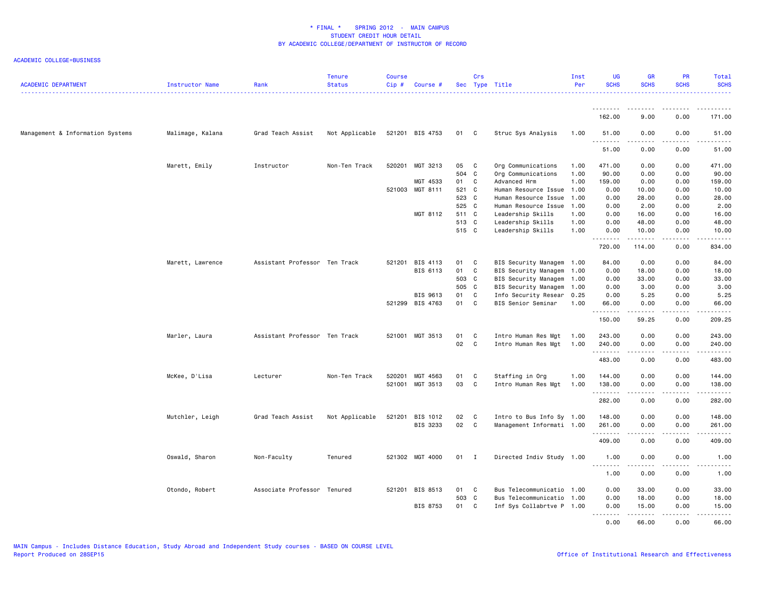| <u>.</u><br>162.00<br>9.00<br>0.00<br>171.00<br>Management & Information Systems<br>Malimage, Kalana<br>Grad Teach Assist<br>Not Applicable<br>521201 BIS 4753<br>01 C<br>Struc Sys Analysis<br>1.00<br>51.00<br>0.00<br>0.00<br>51.00<br>.<br>$\sim$ $\sim$ $\sim$<br>$\frac{1}{2} \left( \frac{1}{2} \right) \left( \frac{1}{2} \right) \left( \frac{1}{2} \right) \left( \frac{1}{2} \right) \left( \frac{1}{2} \right)$<br>.<br>51.00<br>0.00<br>0.00<br>51.00<br>Marett, Emily<br>Instructor<br>Non-Ten Track<br>520201<br>MGT 3213<br>05<br>$\mathbf{C}$<br>Org Communications<br>1.00<br>471.00<br>0.00<br>0.00<br>471.00<br>504 C<br>Org Communications<br>1.00<br>90.00<br>0.00<br>0.00<br>90.00<br>MGT 4533<br>01<br>C<br>Advanced Hrm<br>1.00<br>159.00<br>0.00<br>0.00<br>159.00<br>521 C<br>10.00<br>521003 MGT 8111<br>Human Resource Issue<br>1.00<br>0.00<br>10.00<br>0.00<br>523 C<br>Human Resource Issue<br>1.00<br>0.00<br>28.00<br>0.00<br>28.00<br>525 C<br>Human Resource Issue<br>1.00<br>0.00<br>2.00<br>0.00<br>2.00<br>511 C<br>MGT 8112<br>Leadership Skills<br>1.00<br>0.00<br>16.00<br>0.00<br>16.00<br>513 C<br>Leadership Skills<br>1.00<br>0.00<br>48.00<br>0.00<br>48.00<br>515 C<br>1.00<br>Leadership Skills<br>0.00<br>10.00<br>0.00<br>10.00<br>$\sim$ $\sim$ $\sim$ $\sim$<br>$\frac{1}{2} \left( \frac{1}{2} \right) \left( \frac{1}{2} \right) \left( \frac{1}{2} \right) \left( \frac{1}{2} \right) \left( \frac{1}{2} \right)$<br>720.00<br>114.00<br>834.00<br>0.00<br><b>BIS 4113</b><br>Marett, Lawrence<br>Assistant Professor Ten Track<br>521201<br>BIS Security Managem 1.00<br>84.00<br>0.00<br>0.00<br>84.00<br>01<br>C<br>BIS 6113<br>01<br>C<br>BIS Security Managem<br>18.00<br>1.00<br>0.00<br>18.00<br>0.00<br>503 C<br>BIS Security Managem<br>0.00<br>0.00<br>33.00<br>1.00<br>33.00<br>505 C<br>0.00<br>BIS Security Managem 1.00<br>0.00<br>3.00<br>3.00<br>BIS 9613<br>01 C<br>Info Security Resear<br>0.25<br>0.00<br>5.25<br>0.00<br>5.25<br>521299 BIS 4763<br>01 C<br>BIS Senior Seminar<br>1.00<br>66.00<br>0.00<br>0.00<br>66.00<br>.<br>.<br>$\sim$ $\sim$ $\sim$ $\sim$<br>$\frac{1}{2} \left( \frac{1}{2} \right) \left( \frac{1}{2} \right) \left( \frac{1}{2} \right) \left( \frac{1}{2} \right)$<br>150.00<br>59.25<br>0.00<br>209.25<br>Marler, Laura<br>Assistant Professor Ten Track<br>521001 MGT 3513<br>01<br>Intro Human Res Mgt<br>243.00<br>0.00<br>0.00<br>243.00<br>C<br>1.00<br>02<br>$\mathbf{C}$<br>Intro Human Res Mgt<br>1.00<br>240.00<br>0.00<br>0.00<br>240.00<br>.<br>.<br>.<br>483.00<br>483.00<br>0.00<br>0.00<br>McKee, D'Lisa<br>Non-Ten Track<br>520201<br>MGT 4563<br>01<br>C<br>Staffing in Org<br>1.00<br>144.00<br>0.00<br>0.00<br>144.00<br>Lecturer<br>03<br>C<br>521001<br>MGT 3513<br>Intro Human Res Mgt<br>1.00<br>138.00<br>0.00<br>0.00<br>138.00<br>.<br>-----<br>.<br>.<br>282.00<br>282.00<br>0.00<br>0.00 |
|------------------------------------------------------------------------------------------------------------------------------------------------------------------------------------------------------------------------------------------------------------------------------------------------------------------------------------------------------------------------------------------------------------------------------------------------------------------------------------------------------------------------------------------------------------------------------------------------------------------------------------------------------------------------------------------------------------------------------------------------------------------------------------------------------------------------------------------------------------------------------------------------------------------------------------------------------------------------------------------------------------------------------------------------------------------------------------------------------------------------------------------------------------------------------------------------------------------------------------------------------------------------------------------------------------------------------------------------------------------------------------------------------------------------------------------------------------------------------------------------------------------------------------------------------------------------------------------------------------------------------------------------------------------------------------------------------------------------------------------------------------------------------------------------------------------------------------------------------------------------------------------------------------------------------------------------------------------------------------------------------------------------------------------------------------------------------------------------------------------------------------------------------------------------------------------------------------------------------------------------------------------------------------------------------------------------------------------------------------------------------------------------------------------------------------------------------------------------------------------------------------------------------------------------------------------------------------------------------------------------------------------------------------------------------------------------------------------------------------------------------------------------------------------------------------------------------------------------------------------------------------------------------------------------------|
|                                                                                                                                                                                                                                                                                                                                                                                                                                                                                                                                                                                                                                                                                                                                                                                                                                                                                                                                                                                                                                                                                                                                                                                                                                                                                                                                                                                                                                                                                                                                                                                                                                                                                                                                                                                                                                                                                                                                                                                                                                                                                                                                                                                                                                                                                                                                                                                                                                                                                                                                                                                                                                                                                                                                                                                                                                                                                                                              |
|                                                                                                                                                                                                                                                                                                                                                                                                                                                                                                                                                                                                                                                                                                                                                                                                                                                                                                                                                                                                                                                                                                                                                                                                                                                                                                                                                                                                                                                                                                                                                                                                                                                                                                                                                                                                                                                                                                                                                                                                                                                                                                                                                                                                                                                                                                                                                                                                                                                                                                                                                                                                                                                                                                                                                                                                                                                                                                                              |
|                                                                                                                                                                                                                                                                                                                                                                                                                                                                                                                                                                                                                                                                                                                                                                                                                                                                                                                                                                                                                                                                                                                                                                                                                                                                                                                                                                                                                                                                                                                                                                                                                                                                                                                                                                                                                                                                                                                                                                                                                                                                                                                                                                                                                                                                                                                                                                                                                                                                                                                                                                                                                                                                                                                                                                                                                                                                                                                              |
|                                                                                                                                                                                                                                                                                                                                                                                                                                                                                                                                                                                                                                                                                                                                                                                                                                                                                                                                                                                                                                                                                                                                                                                                                                                                                                                                                                                                                                                                                                                                                                                                                                                                                                                                                                                                                                                                                                                                                                                                                                                                                                                                                                                                                                                                                                                                                                                                                                                                                                                                                                                                                                                                                                                                                                                                                                                                                                                              |
|                                                                                                                                                                                                                                                                                                                                                                                                                                                                                                                                                                                                                                                                                                                                                                                                                                                                                                                                                                                                                                                                                                                                                                                                                                                                                                                                                                                                                                                                                                                                                                                                                                                                                                                                                                                                                                                                                                                                                                                                                                                                                                                                                                                                                                                                                                                                                                                                                                                                                                                                                                                                                                                                                                                                                                                                                                                                                                                              |
|                                                                                                                                                                                                                                                                                                                                                                                                                                                                                                                                                                                                                                                                                                                                                                                                                                                                                                                                                                                                                                                                                                                                                                                                                                                                                                                                                                                                                                                                                                                                                                                                                                                                                                                                                                                                                                                                                                                                                                                                                                                                                                                                                                                                                                                                                                                                                                                                                                                                                                                                                                                                                                                                                                                                                                                                                                                                                                                              |
|                                                                                                                                                                                                                                                                                                                                                                                                                                                                                                                                                                                                                                                                                                                                                                                                                                                                                                                                                                                                                                                                                                                                                                                                                                                                                                                                                                                                                                                                                                                                                                                                                                                                                                                                                                                                                                                                                                                                                                                                                                                                                                                                                                                                                                                                                                                                                                                                                                                                                                                                                                                                                                                                                                                                                                                                                                                                                                                              |
|                                                                                                                                                                                                                                                                                                                                                                                                                                                                                                                                                                                                                                                                                                                                                                                                                                                                                                                                                                                                                                                                                                                                                                                                                                                                                                                                                                                                                                                                                                                                                                                                                                                                                                                                                                                                                                                                                                                                                                                                                                                                                                                                                                                                                                                                                                                                                                                                                                                                                                                                                                                                                                                                                                                                                                                                                                                                                                                              |
|                                                                                                                                                                                                                                                                                                                                                                                                                                                                                                                                                                                                                                                                                                                                                                                                                                                                                                                                                                                                                                                                                                                                                                                                                                                                                                                                                                                                                                                                                                                                                                                                                                                                                                                                                                                                                                                                                                                                                                                                                                                                                                                                                                                                                                                                                                                                                                                                                                                                                                                                                                                                                                                                                                                                                                                                                                                                                                                              |
|                                                                                                                                                                                                                                                                                                                                                                                                                                                                                                                                                                                                                                                                                                                                                                                                                                                                                                                                                                                                                                                                                                                                                                                                                                                                                                                                                                                                                                                                                                                                                                                                                                                                                                                                                                                                                                                                                                                                                                                                                                                                                                                                                                                                                                                                                                                                                                                                                                                                                                                                                                                                                                                                                                                                                                                                                                                                                                                              |
|                                                                                                                                                                                                                                                                                                                                                                                                                                                                                                                                                                                                                                                                                                                                                                                                                                                                                                                                                                                                                                                                                                                                                                                                                                                                                                                                                                                                                                                                                                                                                                                                                                                                                                                                                                                                                                                                                                                                                                                                                                                                                                                                                                                                                                                                                                                                                                                                                                                                                                                                                                                                                                                                                                                                                                                                                                                                                                                              |
|                                                                                                                                                                                                                                                                                                                                                                                                                                                                                                                                                                                                                                                                                                                                                                                                                                                                                                                                                                                                                                                                                                                                                                                                                                                                                                                                                                                                                                                                                                                                                                                                                                                                                                                                                                                                                                                                                                                                                                                                                                                                                                                                                                                                                                                                                                                                                                                                                                                                                                                                                                                                                                                                                                                                                                                                                                                                                                                              |
|                                                                                                                                                                                                                                                                                                                                                                                                                                                                                                                                                                                                                                                                                                                                                                                                                                                                                                                                                                                                                                                                                                                                                                                                                                                                                                                                                                                                                                                                                                                                                                                                                                                                                                                                                                                                                                                                                                                                                                                                                                                                                                                                                                                                                                                                                                                                                                                                                                                                                                                                                                                                                                                                                                                                                                                                                                                                                                                              |
|                                                                                                                                                                                                                                                                                                                                                                                                                                                                                                                                                                                                                                                                                                                                                                                                                                                                                                                                                                                                                                                                                                                                                                                                                                                                                                                                                                                                                                                                                                                                                                                                                                                                                                                                                                                                                                                                                                                                                                                                                                                                                                                                                                                                                                                                                                                                                                                                                                                                                                                                                                                                                                                                                                                                                                                                                                                                                                                              |
|                                                                                                                                                                                                                                                                                                                                                                                                                                                                                                                                                                                                                                                                                                                                                                                                                                                                                                                                                                                                                                                                                                                                                                                                                                                                                                                                                                                                                                                                                                                                                                                                                                                                                                                                                                                                                                                                                                                                                                                                                                                                                                                                                                                                                                                                                                                                                                                                                                                                                                                                                                                                                                                                                                                                                                                                                                                                                                                              |
|                                                                                                                                                                                                                                                                                                                                                                                                                                                                                                                                                                                                                                                                                                                                                                                                                                                                                                                                                                                                                                                                                                                                                                                                                                                                                                                                                                                                                                                                                                                                                                                                                                                                                                                                                                                                                                                                                                                                                                                                                                                                                                                                                                                                                                                                                                                                                                                                                                                                                                                                                                                                                                                                                                                                                                                                                                                                                                                              |
|                                                                                                                                                                                                                                                                                                                                                                                                                                                                                                                                                                                                                                                                                                                                                                                                                                                                                                                                                                                                                                                                                                                                                                                                                                                                                                                                                                                                                                                                                                                                                                                                                                                                                                                                                                                                                                                                                                                                                                                                                                                                                                                                                                                                                                                                                                                                                                                                                                                                                                                                                                                                                                                                                                                                                                                                                                                                                                                              |
|                                                                                                                                                                                                                                                                                                                                                                                                                                                                                                                                                                                                                                                                                                                                                                                                                                                                                                                                                                                                                                                                                                                                                                                                                                                                                                                                                                                                                                                                                                                                                                                                                                                                                                                                                                                                                                                                                                                                                                                                                                                                                                                                                                                                                                                                                                                                                                                                                                                                                                                                                                                                                                                                                                                                                                                                                                                                                                                              |
|                                                                                                                                                                                                                                                                                                                                                                                                                                                                                                                                                                                                                                                                                                                                                                                                                                                                                                                                                                                                                                                                                                                                                                                                                                                                                                                                                                                                                                                                                                                                                                                                                                                                                                                                                                                                                                                                                                                                                                                                                                                                                                                                                                                                                                                                                                                                                                                                                                                                                                                                                                                                                                                                                                                                                                                                                                                                                                                              |
|                                                                                                                                                                                                                                                                                                                                                                                                                                                                                                                                                                                                                                                                                                                                                                                                                                                                                                                                                                                                                                                                                                                                                                                                                                                                                                                                                                                                                                                                                                                                                                                                                                                                                                                                                                                                                                                                                                                                                                                                                                                                                                                                                                                                                                                                                                                                                                                                                                                                                                                                                                                                                                                                                                                                                                                                                                                                                                                              |
|                                                                                                                                                                                                                                                                                                                                                                                                                                                                                                                                                                                                                                                                                                                                                                                                                                                                                                                                                                                                                                                                                                                                                                                                                                                                                                                                                                                                                                                                                                                                                                                                                                                                                                                                                                                                                                                                                                                                                                                                                                                                                                                                                                                                                                                                                                                                                                                                                                                                                                                                                                                                                                                                                                                                                                                                                                                                                                                              |
|                                                                                                                                                                                                                                                                                                                                                                                                                                                                                                                                                                                                                                                                                                                                                                                                                                                                                                                                                                                                                                                                                                                                                                                                                                                                                                                                                                                                                                                                                                                                                                                                                                                                                                                                                                                                                                                                                                                                                                                                                                                                                                                                                                                                                                                                                                                                                                                                                                                                                                                                                                                                                                                                                                                                                                                                                                                                                                                              |
|                                                                                                                                                                                                                                                                                                                                                                                                                                                                                                                                                                                                                                                                                                                                                                                                                                                                                                                                                                                                                                                                                                                                                                                                                                                                                                                                                                                                                                                                                                                                                                                                                                                                                                                                                                                                                                                                                                                                                                                                                                                                                                                                                                                                                                                                                                                                                                                                                                                                                                                                                                                                                                                                                                                                                                                                                                                                                                                              |
|                                                                                                                                                                                                                                                                                                                                                                                                                                                                                                                                                                                                                                                                                                                                                                                                                                                                                                                                                                                                                                                                                                                                                                                                                                                                                                                                                                                                                                                                                                                                                                                                                                                                                                                                                                                                                                                                                                                                                                                                                                                                                                                                                                                                                                                                                                                                                                                                                                                                                                                                                                                                                                                                                                                                                                                                                                                                                                                              |
|                                                                                                                                                                                                                                                                                                                                                                                                                                                                                                                                                                                                                                                                                                                                                                                                                                                                                                                                                                                                                                                                                                                                                                                                                                                                                                                                                                                                                                                                                                                                                                                                                                                                                                                                                                                                                                                                                                                                                                                                                                                                                                                                                                                                                                                                                                                                                                                                                                                                                                                                                                                                                                                                                                                                                                                                                                                                                                                              |
|                                                                                                                                                                                                                                                                                                                                                                                                                                                                                                                                                                                                                                                                                                                                                                                                                                                                                                                                                                                                                                                                                                                                                                                                                                                                                                                                                                                                                                                                                                                                                                                                                                                                                                                                                                                                                                                                                                                                                                                                                                                                                                                                                                                                                                                                                                                                                                                                                                                                                                                                                                                                                                                                                                                                                                                                                                                                                                                              |
|                                                                                                                                                                                                                                                                                                                                                                                                                                                                                                                                                                                                                                                                                                                                                                                                                                                                                                                                                                                                                                                                                                                                                                                                                                                                                                                                                                                                                                                                                                                                                                                                                                                                                                                                                                                                                                                                                                                                                                                                                                                                                                                                                                                                                                                                                                                                                                                                                                                                                                                                                                                                                                                                                                                                                                                                                                                                                                                              |
|                                                                                                                                                                                                                                                                                                                                                                                                                                                                                                                                                                                                                                                                                                                                                                                                                                                                                                                                                                                                                                                                                                                                                                                                                                                                                                                                                                                                                                                                                                                                                                                                                                                                                                                                                                                                                                                                                                                                                                                                                                                                                                                                                                                                                                                                                                                                                                                                                                                                                                                                                                                                                                                                                                                                                                                                                                                                                                                              |
| $\mathbf{C}$                                                                                                                                                                                                                                                                                                                                                                                                                                                                                                                                                                                                                                                                                                                                                                                                                                                                                                                                                                                                                                                                                                                                                                                                                                                                                                                                                                                                                                                                                                                                                                                                                                                                                                                                                                                                                                                                                                                                                                                                                                                                                                                                                                                                                                                                                                                                                                                                                                                                                                                                                                                                                                                                                                                                                                                                                                                                                                                 |
| Grad Teach Assist<br>521201<br>02<br>Intro to Bus Info Sy 1.00<br>0.00<br>0.00<br>Mutchler, Leigh<br>Not Applicable<br>BIS 1012<br>148.00<br>148.00<br>02<br>BIS 3233<br>$\mathbf{C}$<br>Management Informati 1.00<br>261.00<br>0.00<br>0.00<br>261.00                                                                                                                                                                                                                                                                                                                                                                                                                                                                                                                                                                                                                                                                                                                                                                                                                                                                                                                                                                                                                                                                                                                                                                                                                                                                                                                                                                                                                                                                                                                                                                                                                                                                                                                                                                                                                                                                                                                                                                                                                                                                                                                                                                                                                                                                                                                                                                                                                                                                                                                                                                                                                                                                       |
| .<br>.<br>.<br>409.00<br>0.00<br>0.00<br>409.00                                                                                                                                                                                                                                                                                                                                                                                                                                                                                                                                                                                                                                                                                                                                                                                                                                                                                                                                                                                                                                                                                                                                                                                                                                                                                                                                                                                                                                                                                                                                                                                                                                                                                                                                                                                                                                                                                                                                                                                                                                                                                                                                                                                                                                                                                                                                                                                                                                                                                                                                                                                                                                                                                                                                                                                                                                                                              |
| Oswald, Sharon<br>0.00<br>0.00<br>Non-Faculty<br>Tenured<br>521302 MGT 4000<br>01<br>$\mathbf I$<br>Directed Indiv Study 1.00<br>1.00<br>1.00                                                                                                                                                                                                                                                                                                                                                                                                                                                                                                                                                                                                                                                                                                                                                                                                                                                                                                                                                                                                                                                                                                                                                                                                                                                                                                                                                                                                                                                                                                                                                                                                                                                                                                                                                                                                                                                                                                                                                                                                                                                                                                                                                                                                                                                                                                                                                                                                                                                                                                                                                                                                                                                                                                                                                                                |
| .<br>.<br>.<br>.                                                                                                                                                                                                                                                                                                                                                                                                                                                                                                                                                                                                                                                                                                                                                                                                                                                                                                                                                                                                                                                                                                                                                                                                                                                                                                                                                                                                                                                                                                                                                                                                                                                                                                                                                                                                                                                                                                                                                                                                                                                                                                                                                                                                                                                                                                                                                                                                                                                                                                                                                                                                                                                                                                                                                                                                                                                                                                             |
| 1.00<br>0.00<br>0.00<br>1.00                                                                                                                                                                                                                                                                                                                                                                                                                                                                                                                                                                                                                                                                                                                                                                                                                                                                                                                                                                                                                                                                                                                                                                                                                                                                                                                                                                                                                                                                                                                                                                                                                                                                                                                                                                                                                                                                                                                                                                                                                                                                                                                                                                                                                                                                                                                                                                                                                                                                                                                                                                                                                                                                                                                                                                                                                                                                                                 |
| Otondo, Robert<br>Associate Professor Tenured<br>521201<br>BIS 8513<br>01<br>C.<br>Bus Telecommunicatio<br>1.00<br>0.00<br>33.00<br>0.00<br>33.00                                                                                                                                                                                                                                                                                                                                                                                                                                                                                                                                                                                                                                                                                                                                                                                                                                                                                                                                                                                                                                                                                                                                                                                                                                                                                                                                                                                                                                                                                                                                                                                                                                                                                                                                                                                                                                                                                                                                                                                                                                                                                                                                                                                                                                                                                                                                                                                                                                                                                                                                                                                                                                                                                                                                                                            |
| 503 C<br>0.00<br>0.00<br>Bus Telecommunicatio 1.00<br>18.00<br>18.00                                                                                                                                                                                                                                                                                                                                                                                                                                                                                                                                                                                                                                                                                                                                                                                                                                                                                                                                                                                                                                                                                                                                                                                                                                                                                                                                                                                                                                                                                                                                                                                                                                                                                                                                                                                                                                                                                                                                                                                                                                                                                                                                                                                                                                                                                                                                                                                                                                                                                                                                                                                                                                                                                                                                                                                                                                                         |
| <b>BIS 8753</b><br>01<br>$\mathbf{C}$<br>Inf Sys Collabrtve P 1.00<br>0.00<br>15.00<br>0.00<br>15.00                                                                                                                                                                                                                                                                                                                                                                                                                                                                                                                                                                                                                                                                                                                                                                                                                                                                                                                                                                                                                                                                                                                                                                                                                                                                                                                                                                                                                                                                                                                                                                                                                                                                                                                                                                                                                                                                                                                                                                                                                                                                                                                                                                                                                                                                                                                                                                                                                                                                                                                                                                                                                                                                                                                                                                                                                         |
| .<br>.<br>-----<br>.<br>0.00<br>66.00<br>0.00<br>66.00                                                                                                                                                                                                                                                                                                                                                                                                                                                                                                                                                                                                                                                                                                                                                                                                                                                                                                                                                                                                                                                                                                                                                                                                                                                                                                                                                                                                                                                                                                                                                                                                                                                                                                                                                                                                                                                                                                                                                                                                                                                                                                                                                                                                                                                                                                                                                                                                                                                                                                                                                                                                                                                                                                                                                                                                                                                                       |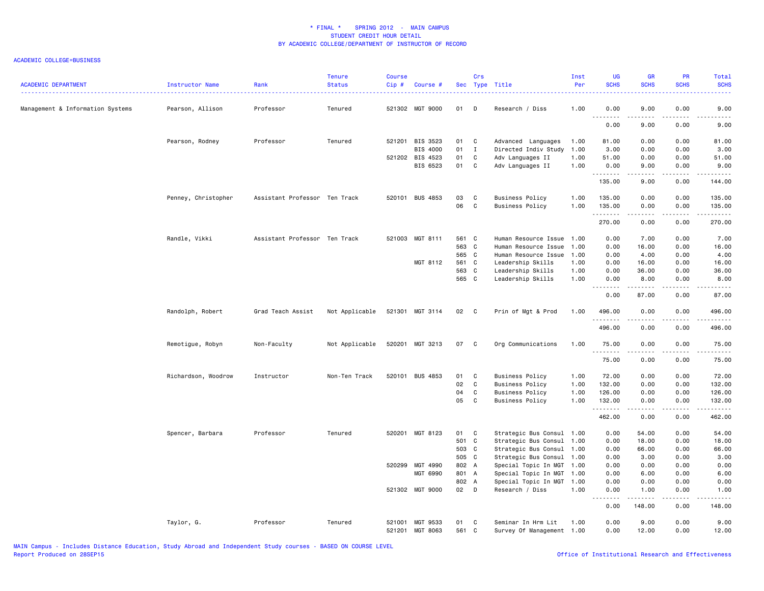| <b>ACADEMIC DEPARTMENT</b>       | Instructor Name     | Rank                          | <b>Tenure</b><br><b>Status</b> | <b>Course</b><br>Cip# | Course #                           |             | Crs          | Sec Type Title                                  | Inst<br>Per | <b>UG</b><br><b>SCHS</b> | <b>GR</b><br><b>SCHS</b>                                                                                                                                      | PR<br><b>SCHS</b>                   | Total<br><b>SCHS</b><br>.                                                                                                                                     |
|----------------------------------|---------------------|-------------------------------|--------------------------------|-----------------------|------------------------------------|-------------|--------------|-------------------------------------------------|-------------|--------------------------|---------------------------------------------------------------------------------------------------------------------------------------------------------------|-------------------------------------|---------------------------------------------------------------------------------------------------------------------------------------------------------------|
| Management & Information Systems | Pearson, Allison    | Professor                     | Tenured                        |                       | 521302 MGT 9000                    | 01          | D            | Research / Diss                                 | 1.00        | 0.00<br>.                | 9.00<br>.                                                                                                                                                     | 0.00                                | 9.00<br>.                                                                                                                                                     |
|                                  |                     |                               |                                |                       |                                    |             |              |                                                 |             | 0.00                     | 9.00                                                                                                                                                          | 0.00                                | 9.00                                                                                                                                                          |
|                                  | Pearson, Rodney     | Professor                     | Tenured                        |                       | 521201 BIS 3523                    | 01          | $\mathbf{C}$ | Advanced Languages                              | 1.00        | 81.00                    | 0.00                                                                                                                                                          | 0.00                                | 81.00                                                                                                                                                         |
|                                  |                     |                               |                                |                       | BIS 4000                           | 01          | $\mathbf{I}$ | Directed Indiv Study                            | 1.00        | 3.00                     | 0.00                                                                                                                                                          | 0.00                                | 3.00                                                                                                                                                          |
|                                  |                     |                               |                                |                       | 521202 BIS 4523                    | 01          | C            | Adv Languages II                                | 1.00        | 51.00                    | 0.00                                                                                                                                                          | 0.00                                | 51.00                                                                                                                                                         |
|                                  |                     |                               |                                |                       | BIS 6523                           | 01 C        |              | Adv Languages II                                | 1.00        | 0.00<br>.                | 9.00<br>.                                                                                                                                                     | 0.00<br>$\omega$ is a $\omega$      | 9.00<br>.                                                                                                                                                     |
|                                  |                     |                               |                                |                       |                                    |             |              |                                                 |             | 135.00                   | 9.00                                                                                                                                                          | 0.00                                | 144.00                                                                                                                                                        |
|                                  | Penney, Christopher | Assistant Professor Ten Track |                                |                       | 520101 BUS 4853                    | 03          | C            | <b>Business Policy</b>                          | 1.00        | 135.00                   | 0.00                                                                                                                                                          | 0.00                                | 135.00                                                                                                                                                        |
|                                  |                     |                               |                                |                       |                                    | 06          | C            | <b>Business Policy</b>                          | 1.00        | 135.00                   | 0.00                                                                                                                                                          | 0.00                                | 135.00                                                                                                                                                        |
|                                  |                     |                               |                                |                       |                                    |             |              |                                                 |             | .<br>270.00              | د د د د<br>0.00                                                                                                                                               | $\sim$ $\sim$ $\sim$ $\sim$<br>0.00 | .<br>270.00                                                                                                                                                   |
|                                  | Randle, Vikki       | Assistant Professor Ten Track |                                |                       | 521003 MGT 8111                    | 561 C       |              | Human Resource Issue 1.00                       |             | 0.00                     | 7.00                                                                                                                                                          | 0.00                                | 7.00                                                                                                                                                          |
|                                  |                     |                               |                                |                       |                                    | 563 C       |              | Human Resource Issue                            | 1.00        | 0.00                     | 16.00                                                                                                                                                         | 0.00                                | 16.00                                                                                                                                                         |
|                                  |                     |                               |                                |                       |                                    | 565 C       |              | Human Resource Issue                            | 1.00        | 0.00                     | 4.00                                                                                                                                                          | 0.00                                | 4.00                                                                                                                                                          |
|                                  |                     |                               |                                |                       | MGT 8112                           | 561 C       |              | Leadership Skills                               | 1.00        | 0.00                     | 16.00                                                                                                                                                         | 0.00                                | 16.00                                                                                                                                                         |
|                                  |                     |                               |                                |                       |                                    | 563 C       |              | Leadership Skills                               | 1.00        | 0.00                     | 36.00                                                                                                                                                         | 0.00                                | 36.00                                                                                                                                                         |
|                                  |                     |                               |                                |                       |                                    | 565 C       |              | Leadership Skills                               | 1.00        | 0.00                     | 8.00                                                                                                                                                          | 0.00                                | 8.00                                                                                                                                                          |
|                                  |                     |                               |                                |                       |                                    |             |              |                                                 |             | .<br>0.00                | $\frac{1}{2} \left( \frac{1}{2} \right) \left( \frac{1}{2} \right) \left( \frac{1}{2} \right) \left( \frac{1}{2} \right) \left( \frac{1}{2} \right)$<br>87.00 | .<br>0.00                           | $\frac{1}{2} \left( \frac{1}{2} \right) \left( \frac{1}{2} \right) \left( \frac{1}{2} \right) \left( \frac{1}{2} \right) \left( \frac{1}{2} \right)$<br>87.00 |
|                                  | Randolph, Robert    | Grad Teach Assist             | Not Applicable                 |                       | 521301 MGT 3114                    | 02 C        |              | Prin of Mgt & Prod                              | 1.00        | 496.00<br>.              | 0.00<br>.                                                                                                                                                     | 0.00<br>$\frac{1}{2}$               | 496.00<br>.                                                                                                                                                   |
|                                  |                     |                               |                                |                       |                                    |             |              |                                                 |             | 496.00                   | 0.00                                                                                                                                                          | 0.00                                | 496.00                                                                                                                                                        |
|                                  | Remotigue, Robyn    | Non-Faculty                   | Not Applicable                 |                       | 520201 MGT 3213                    | 07 C        |              | Org Communications                              | 1.00        | 75.00<br>.               | 0.00                                                                                                                                                          | 0.00                                | 75.00<br>.                                                                                                                                                    |
|                                  |                     |                               |                                |                       |                                    |             |              |                                                 |             | 75.00                    | 0.00                                                                                                                                                          | 0.00                                | 75.00                                                                                                                                                         |
|                                  | Richardson, Woodrow | Instructor                    | Non-Ten Track                  |                       | 520101 BUS 4853                    | 01          | $\mathbf{C}$ | <b>Business Policy</b>                          | 1.00        | 72.00                    | 0.00                                                                                                                                                          | 0.00                                | 72.00                                                                                                                                                         |
|                                  |                     |                               |                                |                       |                                    | 02          | C            | <b>Business Policy</b>                          | 1.00        | 132.00                   | 0.00                                                                                                                                                          | 0.00                                | 132.00                                                                                                                                                        |
|                                  |                     |                               |                                |                       |                                    | 04          | $\mathbf c$  | <b>Business Policy</b>                          | 1.00        | 126.00                   | 0.00                                                                                                                                                          | 0.00                                | 126.00                                                                                                                                                        |
|                                  |                     |                               |                                |                       |                                    | 05          | C            | <b>Business Policy</b>                          | 1.00        | 132.00                   | 0.00                                                                                                                                                          | 0.00                                | 132.00                                                                                                                                                        |
|                                  |                     |                               |                                |                       |                                    |             |              |                                                 |             | .<br>462.00              | .<br>0.00                                                                                                                                                     | .<br>0.00                           | $\begin{array}{cccccccccc} \bullet & \bullet & \bullet & \bullet & \bullet & \bullet & \bullet \end{array}$<br>462.00                                         |
|                                  | Spencer, Barbara    | Professor                     | Tenured                        |                       | 520201 MGT 8123                    | 01          | $\mathbf{C}$ | Strategic Bus Consul 1.00                       |             | 0.00                     | 54.00                                                                                                                                                         | 0.00                                | 54.00                                                                                                                                                         |
|                                  |                     |                               |                                |                       |                                    | 501 C       |              | Strategic Bus Consul                            | 1.00        | 0.00                     | 18.00                                                                                                                                                         | 0.00                                | 18.00                                                                                                                                                         |
|                                  |                     |                               |                                |                       |                                    | 503 C       |              | Strategic Bus Consul 1.00                       |             | 0.00                     | 66.00                                                                                                                                                         | 0.00                                | 66.00                                                                                                                                                         |
|                                  |                     |                               |                                |                       |                                    | 505 C       |              | Strategic Bus Consul 1.00                       |             | 0.00                     | 3.00                                                                                                                                                          | 0.00                                | 3.00                                                                                                                                                          |
|                                  |                     |                               |                                |                       | 520299 MGT 4990                    | 802 A       |              | Special Topic In MGT 1.00                       |             | 0.00                     | 0.00                                                                                                                                                          | 0.00                                | 0.00                                                                                                                                                          |
|                                  |                     |                               |                                |                       | MGT 6990                           | 801 A       |              | Special Topic In MGT 1.00                       |             | 0.00                     | 6.00                                                                                                                                                          | 0.00                                | 6.00                                                                                                                                                          |
|                                  |                     |                               |                                |                       |                                    | 802 A       |              | Special Topic In MGT 1.00                       |             | 0.00                     | 0.00                                                                                                                                                          | 0.00                                | 0.00                                                                                                                                                          |
|                                  |                     |                               |                                |                       | 521302 MGT 9000                    | $02$ D      |              | Research / Diss                                 | 1.00        | 0.00                     | 1.00                                                                                                                                                          | 0.00                                | 1.00                                                                                                                                                          |
|                                  |                     |                               |                                |                       |                                    |             |              |                                                 |             | .<br>0.00                | .<br>148.00                                                                                                                                                   | .<br>0.00                           | .<br>148.00                                                                                                                                                   |
|                                  | Taylor, G.          | Professor                     | Tenured                        |                       | 521001 MGT 9533<br>521201 MGT 8063 | 01<br>561 C | C            | Seminar In Hrm Lit<br>Survey Of Management 1.00 | 1.00        | 0.00<br>0.00             | 9.00<br>12.00                                                                                                                                                 | 0.00<br>0.00                        | 9.00<br>12.00                                                                                                                                                 |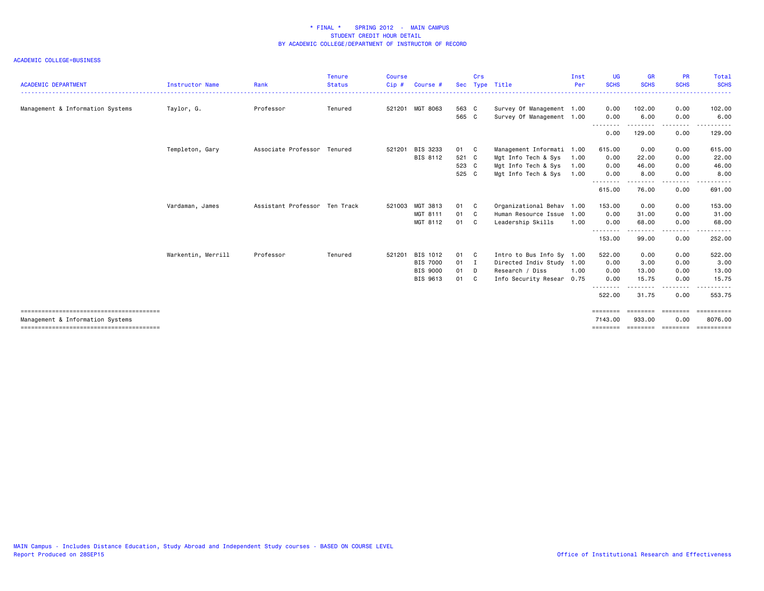| <b>ACADEMIC DEPARTMENT</b>       | Instructor Name    | Rank                          | <b>Tenure</b><br><b>Status</b> | <b>Course</b><br>$Cip$ # | Course #        | <b>Sec</b> | Crs | Type Title                | Inst<br>Per | <b>UG</b><br><b>SCHS</b> | <b>GR</b><br><b>SCHS</b>             | <b>PR</b><br><b>SCHS</b>                                                                                                | Total<br><b>SCHS</b>  |
|----------------------------------|--------------------|-------------------------------|--------------------------------|--------------------------|-----------------|------------|-----|---------------------------|-------------|--------------------------|--------------------------------------|-------------------------------------------------------------------------------------------------------------------------|-----------------------|
| Management & Information Systems | Taylor, G.         | Professor                     | Tenured                        |                          | 521201 MGT 8063 | 563 C      |     | Survey Of Management 1.00 |             | 0.00                     | 102.00                               | 0.00                                                                                                                    | 102.00                |
|                                  |                    |                               |                                |                          |                 | 565 C      |     | Survey Of Management 1.00 |             | 0.00                     | 6.00                                 | 0.00                                                                                                                    | 6.00                  |
|                                  |                    |                               |                                |                          |                 |            |     |                           |             | .<br>0.00                | .<br>129.00                          | --------<br>0.00                                                                                                        | .<br>129.00           |
|                                  | Templeton, Gary    | Associate Professor Tenured   |                                | 521201                   | BIS 3233        | 01 C       |     | Management Informati 1.00 |             | 615.00                   | 0.00                                 | 0.00                                                                                                                    | 615.00                |
|                                  |                    |                               |                                |                          | BIS 8112        | 521 C      |     | Mgt Info Tech & Sys       | 1.00        | 0.00                     | 22.00                                | 0.00                                                                                                                    | 22.00                 |
|                                  |                    |                               |                                |                          |                 | 523 C      |     | Mgt Info Tech & Sys       | 1.00        | 0.00                     | 46.00                                | 0.00                                                                                                                    | 46.00                 |
|                                  |                    |                               |                                |                          |                 | 525 C      |     | Mgt Info Tech & Sys       | 1.00        | 0.00                     | 8.00                                 | 0.00                                                                                                                    | 8.00                  |
|                                  |                    |                               |                                |                          |                 |            |     |                           |             | 615.00                   | 76.00                                | .<br>0.00                                                                                                               | 691.00                |
|                                  | Vardaman, James    | Assistant Professor Ten Track |                                |                          | 521003 MGT 3813 | 01         | C.  | Organizational Behav 1.00 |             | 153.00                   | 0.00                                 | 0.00                                                                                                                    | 153.00                |
|                                  |                    |                               |                                |                          | MGT 8111        | 01         | C.  | Human Resource Issue      | 1.00        | 0.00                     | 31.00                                | 0.00                                                                                                                    | 31.00                 |
|                                  |                    |                               |                                |                          | MGT 8112        | 01         | C.  | Leadership Skills         | 1.00        | 0.00                     | 68.00                                | 0.00                                                                                                                    | 68.00                 |
|                                  |                    |                               |                                |                          |                 |            |     |                           |             | 153.00                   | 99.00                                | ----<br>0.00                                                                                                            | 252.00                |
|                                  | Warkentin, Merrill | Professor                     | Tenured                        | 521201                   | BIS 1012        | 01 C       |     | Intro to Bus Info Sy 1.00 |             | 522.00                   | 0.00                                 | 0.00                                                                                                                    | 522.00                |
|                                  |                    |                               |                                |                          | <b>BIS 7000</b> | 01         | - 1 | Directed Indiv Study      | 1.00        | 0.00                     | 3.00                                 | 0.00                                                                                                                    | 3.00                  |
|                                  |                    |                               |                                |                          | <b>BIS 9000</b> | 01         | D.  | Research / Diss           | 1.00        | 0.00                     | 13.00                                | 0.00                                                                                                                    | 13.00                 |
|                                  |                    |                               |                                |                          | BIS 9613        | 01         | - C | Info Security Resear      | 0.75        | 0.00                     | 15.75                                | 0.00                                                                                                                    | 15.75                 |
|                                  |                    |                               |                                |                          |                 |            |     |                           |             | --------<br>522.00       | - - - - - - -<br>31.75               | $\begin{array}{cccccccccccccc} \bullet & \bullet & \bullet & \bullet & \bullet & \bullet & \bullet \end{array}$<br>0.00 | .<br>553.75           |
|                                  |                    |                               |                                |                          |                 |            |     |                           |             | ========                 | --------                             |                                                                                                                         | ==========            |
| Management & Information Systems |                    |                               |                                |                          |                 |            |     |                           |             | 7143.00                  | 933.00<br>======== ======== ======== | 0.00                                                                                                                    | 8076.00<br>========== |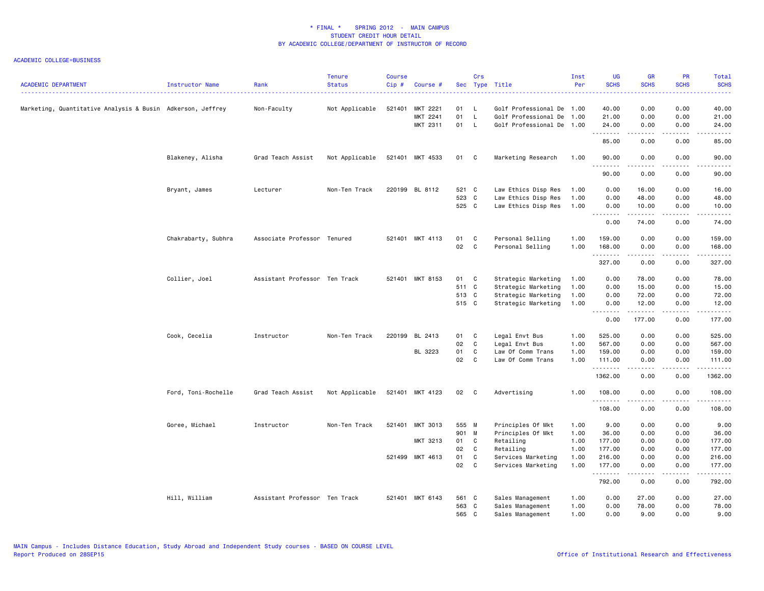| <b>ACADEMIC DEPARTMENT</b>                                 | Instructor Name     | Rank                          | <b>Tenure</b><br><b>Status</b> | <b>Course</b><br>$Cip \#$ | Course #        |          | Crs          | Sec Type Title            | Inst<br>Per  | <b>UG</b><br><b>SCHS</b> | <b>GR</b><br><b>SCHS</b>                                                                                                                                      | PR<br><b>SCHS</b>                   | Total<br><b>SCHS</b><br>والمستحدث                                                                                                                                                         |
|------------------------------------------------------------|---------------------|-------------------------------|--------------------------------|---------------------------|-----------------|----------|--------------|---------------------------|--------------|--------------------------|---------------------------------------------------------------------------------------------------------------------------------------------------------------|-------------------------------------|-------------------------------------------------------------------------------------------------------------------------------------------------------------------------------------------|
| Marketing, Quantitative Analysis & Busin Adkerson, Jeffrey |                     | Non-Faculty                   | Not Applicable                 | 521401                    | MKT 2221        | 01       | - L          | Golf Professional De 1.00 |              | 40.00                    | 0.00                                                                                                                                                          | 0.00                                | 40.00                                                                                                                                                                                     |
|                                                            |                     |                               |                                |                           | MKT 2241        | 01       | $\mathsf{L}$ | Golf Professional De      | 1.00         | 21.00                    | 0.00                                                                                                                                                          | 0.00                                | 21.00                                                                                                                                                                                     |
|                                                            |                     |                               |                                |                           | MKT 2311        | 01       | $\mathsf{L}$ | Golf Professional De 1.00 |              | 24.00<br>. <b>.</b>      | 0.00<br>.                                                                                                                                                     | 0.00<br>.                           | 24.00<br>.                                                                                                                                                                                |
|                                                            |                     |                               |                                |                           |                 |          |              |                           |              | 85.00                    | 0.00                                                                                                                                                          | 0.00                                | 85.00                                                                                                                                                                                     |
|                                                            | Blakeney, Alisha    | Grad Teach Assist             | Not Applicable                 |                           | 521401 MKT 4533 | 01 C     |              | Marketing Research        | 1.00         | 90.00<br>.               | 0.00<br>.                                                                                                                                                     | 0.00<br>$\sim$ $\sim$ $\sim$ $\sim$ | 90.00<br>د د د د د                                                                                                                                                                        |
|                                                            |                     |                               |                                |                           |                 |          |              |                           |              | 90.00                    | 0.00                                                                                                                                                          | 0.00                                | 90.00                                                                                                                                                                                     |
|                                                            | Bryant, James       | Lecturer                      | Non-Ten Track                  |                           | 220199 BL 8112  | 521 C    |              | Law Ethics Disp Res       | 1.00         | 0.00                     | 16.00                                                                                                                                                         | 0.00                                | 16.00                                                                                                                                                                                     |
|                                                            |                     |                               |                                |                           |                 | 523 C    |              | Law Ethics Disp Res       | 1.00         | 0.00                     | 48.00                                                                                                                                                         | 0.00                                | 48.00                                                                                                                                                                                     |
|                                                            |                     |                               |                                |                           |                 | 525 C    |              | Law Ethics Disp Res       | 1.00         | 0.00<br>.                | 10.00<br>$\frac{1}{2} \left( \frac{1}{2} \right) \left( \frac{1}{2} \right) \left( \frac{1}{2} \right) \left( \frac{1}{2} \right) \left( \frac{1}{2} \right)$ | 0.00<br>$\sim$ $\sim$ $\sim$ $\sim$ | 10.00<br>د د د د د                                                                                                                                                                        |
|                                                            |                     |                               |                                |                           |                 |          |              |                           |              | 0.00                     | 74.00                                                                                                                                                         | 0.00                                | 74.00                                                                                                                                                                                     |
|                                                            | Chakrabarty, Subhra | Associate Professor Tenured   |                                |                           | 521401 MKT 4113 | 01       | C            | Personal Selling          | 1.00         | 159.00                   | 0.00                                                                                                                                                          | 0.00                                | 159.00                                                                                                                                                                                    |
|                                                            |                     |                               |                                |                           |                 | 02       | $\mathbf{C}$ | Personal Selling          | 1.00         | 168.00<br>.              | 0.00<br>-----                                                                                                                                                 | 0.00<br>.                           | 168.00<br>بالمتمامي                                                                                                                                                                       |
|                                                            |                     |                               |                                |                           |                 |          |              |                           |              | 327.00                   | 0.00                                                                                                                                                          | 0.00                                | 327.00                                                                                                                                                                                    |
|                                                            | Collier, Joel       | Assistant Professor Ten Track |                                |                           | 521401 MKT 8153 | 01 C     |              | Strategic Marketing       | 1.00         | 0.00                     | 78.00                                                                                                                                                         | 0.00                                | 78.00                                                                                                                                                                                     |
|                                                            |                     |                               |                                |                           |                 | 511 C    |              | Strategic Marketing       | 1.00         | 0.00                     | 15.00                                                                                                                                                         | 0.00                                | 15.00                                                                                                                                                                                     |
|                                                            |                     |                               |                                |                           |                 | 513 C    |              | Strategic Marketing       | 1.00         | 0.00                     | 72.00                                                                                                                                                         | 0.00                                | 72.00                                                                                                                                                                                     |
|                                                            |                     |                               |                                |                           |                 | 515 C    |              | Strategic Marketing       | 1.00         | 0.00<br><u>.</u>         | 12.00                                                                                                                                                         | 0.00<br>$- - - -$                   | 12.00<br>.                                                                                                                                                                                |
|                                                            |                     |                               |                                |                           |                 |          |              |                           |              | 0.00                     | 177.00                                                                                                                                                        | 0.00                                | 177.00                                                                                                                                                                                    |
|                                                            | Cook, Cecelia       | Instructor                    | Non-Ten Track                  |                           | 220199 BL 2413  | 01       | C            | Legal Envt Bus            | 1.00         | 525.00                   | 0.00                                                                                                                                                          | 0.00                                | 525.00                                                                                                                                                                                    |
|                                                            |                     |                               |                                |                           |                 | 02       | $\mathbf{C}$ | Legal Envt Bus            | 1.00         | 567.00                   | 0.00                                                                                                                                                          | 0.00                                | 567.00                                                                                                                                                                                    |
|                                                            |                     |                               |                                |                           | BL 3223         | 01       | C            | Law Of Comm Trans         | 1.00         | 159.00                   | 0.00                                                                                                                                                          | 0.00                                | 159.00                                                                                                                                                                                    |
|                                                            |                     |                               |                                |                           |                 | 02       | C            | Law Of Comm Trans         | 1.00         | 111.00<br>.              | 0.00<br>-----                                                                                                                                                 | 0.00<br>.                           | 111.00<br>.                                                                                                                                                                               |
|                                                            |                     |                               |                                |                           |                 |          |              |                           |              | 1362.00                  | 0.00                                                                                                                                                          | 0.00                                | 1362.00                                                                                                                                                                                   |
|                                                            | Ford, Toni-Rochelle | Grad Teach Assist             | Not Applicable                 |                           | 521401 MKT 4123 | 02 C     |              | Advertising               | 1.00         | 108.00<br>.              | 0.00                                                                                                                                                          | 0.00                                | 108.00                                                                                                                                                                                    |
|                                                            |                     |                               |                                |                           |                 |          |              |                           |              | 108.00                   | 0.00                                                                                                                                                          | 0.00                                | 108.00                                                                                                                                                                                    |
|                                                            | Goree, Michael      | Instructor                    | Non-Ten Track                  | 521401                    | MKT 3013        | 555 M    |              | Principles Of Mkt         | 1.00         | 9.00                     | 0.00                                                                                                                                                          | 0.00                                | 9.00                                                                                                                                                                                      |
|                                                            |                     |                               |                                |                           |                 | 901 M    |              | Principles Of Mkt         | 1.00         | 36.00                    | 0.00                                                                                                                                                          | 0.00                                | 36.00                                                                                                                                                                                     |
|                                                            |                     |                               |                                |                           | MKT 3213        | 01<br>02 | C<br>C       | Retailing<br>Retailing    | 1.00<br>1.00 | 177.00<br>177.00         | 0.00<br>0.00                                                                                                                                                  | 0.00<br>0.00                        | 177.00<br>177.00                                                                                                                                                                          |
|                                                            |                     |                               |                                |                           | 521499 MKT 4613 | 01       | C            | Services Marketing        | 1.00         | 216.00                   | 0.00                                                                                                                                                          | 0.00                                | 216.00                                                                                                                                                                                    |
|                                                            |                     |                               |                                |                           |                 | 02       | C            | Services Marketing        | 1.00         | 177.00                   | 0.00                                                                                                                                                          | 0.00                                | 177.00                                                                                                                                                                                    |
|                                                            |                     |                               |                                |                           |                 |          |              |                           |              | .<br>792.00              | 0.00                                                                                                                                                          | 0.00                                | $\frac{1}{2} \left( \frac{1}{2} \right) \left( \frac{1}{2} \right) \left( \frac{1}{2} \right) \left( \frac{1}{2} \right) \left( \frac{1}{2} \right) \left( \frac{1}{2} \right)$<br>792.00 |
|                                                            | Hill, William       | Assistant Professor Ten Track |                                |                           | 521401 MKT 6143 | 561 C    |              | Sales Management          | 1.00         | 0.00                     | 27.00                                                                                                                                                         | 0.00                                | 27.00                                                                                                                                                                                     |
|                                                            |                     |                               |                                |                           |                 | 563 C    |              | Sales Management          | 1.00         | 0.00                     | 78.00                                                                                                                                                         | 0.00                                | 78.00                                                                                                                                                                                     |
|                                                            |                     |                               |                                |                           |                 | 565 C    |              | Sales Management          | 1.00         | 0.00                     | 9.00                                                                                                                                                          | 0.00                                | 9.00                                                                                                                                                                                      |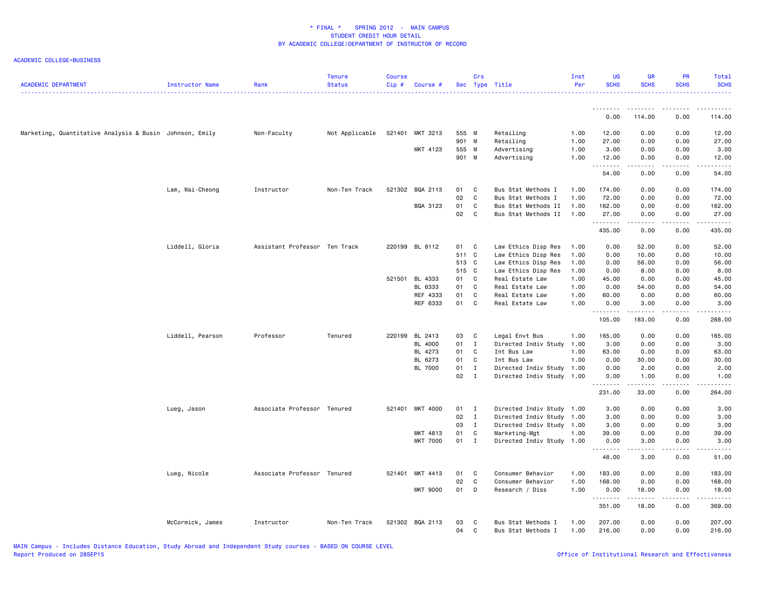| <b>ACADEMIC DEPARTMENT</b>                              | Instructor Name  | Rank                          | <b>Tenure</b><br><b>Status</b> | <b>Course</b><br>Cip# | Course #        |                | Crs          | Sec Type Title             | Inst<br>Per  | <b>UG</b><br><b>SCHS</b> | <b>GR</b><br><b>SCHS</b>                                                                                                                                     | <b>PR</b><br><b>SCHS</b> | Total<br><b>SCHS</b> |
|---------------------------------------------------------|------------------|-------------------------------|--------------------------------|-----------------------|-----------------|----------------|--------------|----------------------------|--------------|--------------------------|--------------------------------------------------------------------------------------------------------------------------------------------------------------|--------------------------|----------------------|
|                                                         |                  |                               |                                |                       |                 |                |              |                            |              | .<br>0.00                | 114.00                                                                                                                                                       | 0.00                     | 114.00               |
|                                                         |                  |                               |                                |                       |                 |                |              |                            |              |                          |                                                                                                                                                              |                          |                      |
| Marketing, Quantitative Analysis & Busin Johnson, Emily |                  | Non-Faculty                   | Not Applicable                 |                       | 521401 MKT 3213 | 555 M          |              | Retailing                  | 1.00         | 12.00                    | 0.00                                                                                                                                                         | 0.00                     | 12.00                |
|                                                         |                  |                               |                                |                       |                 | 901 M          |              | Retailing                  | 1.00         | 27.00                    | 0.00                                                                                                                                                         | 0.00                     | 27.00                |
|                                                         |                  |                               |                                |                       | MKT 4123        | 555 M<br>901 M |              | Advertising<br>Advertising | 1.00<br>1.00 | 3.00<br>12.00            | 0.00<br>0.00                                                                                                                                                 | 0.00<br>0.00             | 3.00<br>12.00        |
|                                                         |                  |                               |                                |                       |                 |                |              |                            |              | <u>.</u>                 |                                                                                                                                                              |                          |                      |
|                                                         |                  |                               |                                |                       |                 |                |              |                            |              | 54.00                    | 0.00                                                                                                                                                         | 0.00                     | 54.00                |
|                                                         | Lam, Wai-Cheong  | Instructor                    | Non-Ten Track                  |                       | 521302 BQA 2113 | 01             | C            | Bus Stat Methods I         | 1.00         | 174.00                   | 0.00                                                                                                                                                         | 0.00                     | 174.00               |
|                                                         |                  |                               |                                |                       |                 | 02             | C            | Bus Stat Methods I         | 1.00         | 72.00                    | 0.00                                                                                                                                                         | 0.00                     | 72.00                |
|                                                         |                  |                               |                                |                       | BQA 3123        | 01             | C            | Bus Stat Methods II        | 1.00         | 162.00                   | 0.00                                                                                                                                                         | 0.00                     | 162.00               |
|                                                         |                  |                               |                                |                       |                 | 02             | C            | Bus Stat Methods II        | 1.00         | 27.00<br>.               | 0.00                                                                                                                                                         | 0.00                     | 27.00<br>.           |
|                                                         |                  |                               |                                |                       |                 |                |              |                            |              | 435.00                   | 0.00                                                                                                                                                         | 0.00                     | 435.00               |
|                                                         | Liddell, Gloria  | Assistant Professor Ten Track |                                |                       | 220199 BL 8112  | 01             | C            | Law Ethics Disp Res        | 1.00         | 0.00                     | 52.00                                                                                                                                                        | 0.00                     | 52.00                |
|                                                         |                  |                               |                                |                       |                 | 511 C          |              | Law Ethics Disp Res        | 1.00         | 0.00                     | 10.00                                                                                                                                                        | 0.00                     | 10.00                |
|                                                         |                  |                               |                                |                       |                 | 513 C          |              | Law Ethics Disp Res        | 1.00         | 0.00                     | 56.00                                                                                                                                                        | 0.00                     | 56.00                |
|                                                         |                  |                               |                                |                       |                 | 515 C          |              | Law Ethics Disp Res        | 1.00         | 0.00                     | 8.00                                                                                                                                                         | 0.00                     | 8.00                 |
|                                                         |                  |                               |                                |                       | 521501 BL 4333  | 01             | C            | Real Estate Law            | 1.00         | 45.00                    | 0.00                                                                                                                                                         | 0.00                     | 45.00                |
|                                                         |                  |                               |                                |                       | BL 6333         | 01             | C            | Real Estate Law            | 1.00         | 0.00                     | 54.00                                                                                                                                                        | 0.00                     | 54.00                |
|                                                         |                  |                               |                                |                       | REF 4333        | 01             | C            | Real Estate Law            | 1.00         | 60.00                    | 0.00                                                                                                                                                         | 0.00                     | 60.00                |
|                                                         |                  |                               |                                |                       | REF 6333        | 01             | C            | Real Estate Law            | 1.00         | 0.00<br><u>.</u>         | 3.00<br><u>.</u>                                                                                                                                             | 0.00<br>.                | 3.00<br>. <u>.</u> . |
|                                                         |                  |                               |                                |                       |                 |                |              |                            |              | 105.00                   | 183.00                                                                                                                                                       | 0.00                     | 288.00               |
|                                                         | Liddell, Pearson | Professor                     | Tenured                        |                       | 220199 BL 2413  | 03             | C            | Legal Envt Bus             | 1.00         | 165.00                   | 0.00                                                                                                                                                         | 0.00                     | 165.00               |
|                                                         |                  |                               |                                |                       | BL 4000         | 01 I           |              | Directed Indiv Study       | 1.00         | 3.00                     | 0.00                                                                                                                                                         | 0.00                     | 3.00                 |
|                                                         |                  |                               |                                |                       | BL 4273         | 01             | C            | Int Bus Law                | 1.00         | 63.00                    | 0.00                                                                                                                                                         | 0.00                     | 63.00                |
|                                                         |                  |                               |                                |                       | BL 6273         | 01             | C            | Int Bus Law                | 1.00         | 0.00                     | 30.00                                                                                                                                                        | 0.00                     | 30.00                |
|                                                         |                  |                               |                                |                       | BL 7000         | 01             | $\mathbf{I}$ | Directed Indiv Study 1.00  |              | 0.00                     | 2.00                                                                                                                                                         | 0.00                     | 2.00                 |
|                                                         |                  |                               |                                |                       |                 | 02             | $\mathbf{I}$ | Directed Indiv Study 1.00  |              | 0.00<br>.                | 1.00<br>$- - - - -$                                                                                                                                          | 0.00<br>د د د د          | 1.00<br>.            |
|                                                         |                  |                               |                                |                       |                 |                |              |                            |              | 231.00                   | 33.00                                                                                                                                                        | 0.00                     | 264.00               |
|                                                         | Lueg, Jason      | Associate Professor Tenured   |                                |                       | 521401 MKT 4000 | $01$ I         |              | Directed Indiv Study 1.00  |              | 3.00                     | 0.00                                                                                                                                                         | 0.00                     | 3.00                 |
|                                                         |                  |                               |                                |                       |                 | 02             | $\mathbf{I}$ | Directed Indiv Study 1.00  |              | 3.00                     | 0.00                                                                                                                                                         | 0.00                     | 3.00                 |
|                                                         |                  |                               |                                |                       |                 | 03             | $\mathbf{I}$ | Directed Indiv Study 1.00  |              | 3.00                     | 0.00                                                                                                                                                         | 0.00                     | 3.00                 |
|                                                         |                  |                               |                                |                       | MKT 4813        | 01             | C            | Marketing-Mgt              | 1.00         | 39.00                    | 0.00                                                                                                                                                         | 0.00                     | 39.00                |
|                                                         |                  |                               |                                |                       | <b>MKT 7000</b> | 01             | $\mathbf{I}$ | Directed Indiv Study 1.00  |              | 0.00<br>.                | 3.00<br>$\frac{1}{2} \left( \frac{1}{2} \right) \left( \frac{1}{2} \right) \left( \frac{1}{2} \right) \left( \frac{1}{2} \right) \left( \frac{1}{2} \right)$ | 0.00<br>.                | 3.00<br>.            |
|                                                         |                  |                               |                                |                       |                 |                |              |                            |              | 48.00                    | 3.00                                                                                                                                                         | 0.00                     | 51.00                |
|                                                         | Lueg, Nicole     | Associate Professor Tenured   |                                | 521401                | MKT 4413        | 01             | C            | Consumer Behavior          | 1.00         | 183.00                   | 0.00                                                                                                                                                         | 0.00                     | 183.00               |
|                                                         |                  |                               |                                |                       |                 | 02             | $\mathbf c$  | Consumer Behavior          | 1.00         | 168.00                   | 0.00                                                                                                                                                         | 0.00                     | 168.00               |
|                                                         |                  |                               |                                |                       | <b>MKT 9000</b> | 01             | D            | Research / Diss            | 1.00         | 0.00                     | 18.00                                                                                                                                                        | 0.00                     | 18.00                |
|                                                         |                  |                               |                                |                       |                 |                |              |                            |              | .<br>351.00              | 18.00                                                                                                                                                        | د د د د<br>0.00          | 369.00               |
|                                                         | McCormick, James | Instructor                    | Non-Ten Track                  |                       | 521302 BQA 2113 | 03             | C            | Bus Stat Methods I         | 1.00         | 207.00                   | 0.00                                                                                                                                                         | 0.00                     | 207.00               |
|                                                         |                  |                               |                                |                       |                 | 04             | C            | Bus Stat Methods I         | 1.00         | 216.00                   | 0.00                                                                                                                                                         | 0.00                     | 216.00               |
|                                                         |                  |                               |                                |                       |                 |                |              |                            |              |                          |                                                                                                                                                              |                          |                      |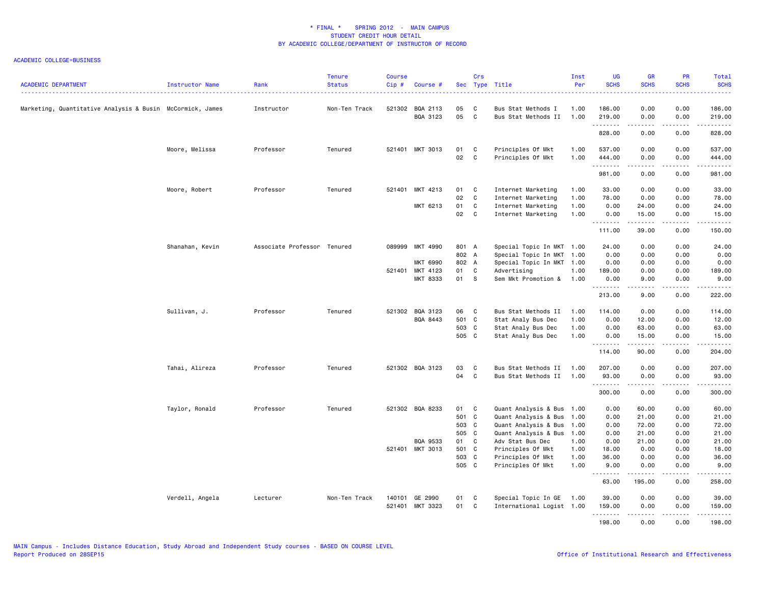| <b>ACADEMIC DEPARTMENT</b>                                | Instructor Name | Rank                        | <b>Tenure</b><br><b>Status</b> | <b>Course</b><br>Cip# | Course #                          |                                 | Crs                            | Sec Type Title                                                                                         | Inst<br>Per                  | UG<br><b>SCHS</b>              | <b>GR</b><br><b>SCHS</b>         | <b>PR</b><br><b>SCHS</b>     | Total<br><b>SCHS</b><br>وعاعاها                                                                                                          |
|-----------------------------------------------------------|-----------------|-----------------------------|--------------------------------|-----------------------|-----------------------------------|---------------------------------|--------------------------------|--------------------------------------------------------------------------------------------------------|------------------------------|--------------------------------|----------------------------------|------------------------------|------------------------------------------------------------------------------------------------------------------------------------------|
| Marketing, Quantitative Analysis & Busin McCormick, James |                 | Instructor                  | Non-Ten Track                  |                       | 521302 BQA 2113<br>BQA 3123       | 05<br>05                        | C<br>C.                        | Bus Stat Methods I<br>Bus Stat Methods II                                                              | 1.00<br>1.00                 | 186.00<br>219.00               | 0.00<br>0.00                     | 0.00<br>0.00                 | 186.00<br>219.00                                                                                                                         |
|                                                           |                 |                             |                                |                       |                                   |                                 |                                |                                                                                                        |                              | .<br>828.00                    | <u>.</u><br>0.00                 | -----<br>0.00                | .<br>828.00                                                                                                                              |
|                                                           | Moore, Melissa  | Professor                   | Tenured                        |                       | 521401 MKT 3013                   | 01<br>02                        | $\mathbf{C}$<br>$\overline{C}$ | Principles Of Mkt<br>Principles Of Mkt                                                                 | 1.00<br>1.00                 | 537.00<br>444.00<br>.          | 0.00<br>0.00<br>.                | 0.00<br>0.00<br>$- - - -$    | 537.00<br>444.00<br>.                                                                                                                    |
|                                                           |                 |                             |                                |                       |                                   |                                 |                                |                                                                                                        |                              | 981.00                         | 0.00                             | 0.00                         | 981.00                                                                                                                                   |
|                                                           | Moore, Robert   | Professor                   | Tenured                        |                       | 521401 MKT 4213                   | 01<br>02                        | $\mathbf{C}$<br>C              | Internet Marketing<br>Internet Marketing                                                               | 1.00<br>1.00                 | 33.00<br>78.00                 | 0.00<br>0.00                     | 0.00<br>0.00                 | 33.00<br>78.00                                                                                                                           |
|                                                           |                 |                             |                                |                       | MKT 6213                          | 01<br>02                        | C<br>C                         | Internet Marketing<br>Internet Marketing                                                               | 1.00<br>1.00                 | 0.00<br>0.00                   | 24.00<br>15.00                   | 0.00<br>0.00                 | 24.00<br>15.00                                                                                                                           |
|                                                           |                 |                             |                                |                       |                                   |                                 |                                |                                                                                                        |                              | 111.00                         | .<br>39.00                       | .<br>0.00                    | .<br>150.00                                                                                                                              |
|                                                           | Shanahan, Kevin | Associate Professor Tenured |                                | 089999                | MKT 4990<br><b>MKT 6990</b>       | 801 A<br>802 A<br>802 A         |                                | Special Topic In MKT 1.00<br>Special Topic In MKT 1.00<br>Special Topic In MKT 1.00                    |                              | 24.00<br>0.00<br>0.00          | 0.00<br>0.00<br>0.00             | 0.00<br>0.00<br>0.00         | 24.00<br>0.00<br>0.00                                                                                                                    |
|                                                           |                 |                             |                                |                       | 521401 MKT 4123<br>MKT 8333       | 01<br>01 S                      | $\mathbf{C}$                   | Advertising<br>Sem Mkt Promotion & 1.00                                                                | 1.00                         | 189.00<br>0.00<br><b></b>      | 0.00<br>9.00<br>.                | 0.00<br>0.00<br>.            | 189.00<br>9.00<br>.                                                                                                                      |
|                                                           |                 |                             |                                |                       |                                   |                                 |                                |                                                                                                        |                              | 213.00                         | 9.00                             | 0.00                         | 222.00                                                                                                                                   |
|                                                           | Sullivan, J.    | Professor                   | Tenured                        |                       | 521302 BQA 3123<br>BQA 8443       | 06 C<br>501 C<br>503 C<br>505 C |                                | Bus Stat Methods II<br>Stat Analy Bus Dec<br>Stat Analy Bus Dec<br>Stat Analy Bus Dec                  | 1.00<br>1.00<br>1.00<br>1.00 | 114.00<br>0.00<br>0.00<br>0.00 | 0.00<br>12.00<br>63.00<br>15.00  | 0.00<br>0.00<br>0.00<br>0.00 | 114.00<br>12.00<br>63.00<br>15.00                                                                                                        |
|                                                           |                 |                             |                                |                       |                                   |                                 |                                |                                                                                                        |                              | .<br>114.00                    | .<br>90.00                       | .<br>0.00                    | 204.00                                                                                                                                   |
|                                                           | Tahai, Alireza  | Professor                   | Tenured                        |                       | 521302 BQA 3123                   | 03<br>04                        | C<br>C <sub>c</sub>            | Bus Stat Methods II<br>Bus Stat Methods II                                                             | 1.00<br>1.00                 | 207.00<br>93.00                | 0.00<br>0.00<br>.                | 0.00<br>0.00<br>.            | 207.00<br>93.00<br>$\begin{array}{cccccccccc} \bullet & \bullet & \bullet & \bullet & \bullet & \bullet & \bullet & \bullet \end{array}$ |
|                                                           |                 |                             |                                |                       |                                   |                                 |                                |                                                                                                        |                              | 300.00                         | 0.00                             | 0.00                         | 300.00                                                                                                                                   |
|                                                           | Taylor, Ronald  | Professor                   | Tenured                        |                       | 521302 BQA 8233                   | 01 C<br>501 C<br>503 C<br>505 C |                                | Quant Analysis & Bus 1.00<br>Quant Analysis & Bus<br>Quant Analysis & Bus 1.00<br>Quant Analysis & Bus | 1.00<br>1.00                 | 0.00<br>0.00<br>0.00<br>0.00   | 60.00<br>21.00<br>72.00<br>21.00 | 0.00<br>0.00<br>0.00<br>0.00 | 60.00<br>21.00<br>72.00<br>21.00                                                                                                         |
|                                                           |                 |                             |                                |                       | BQA 9533<br>521401 MKT 3013       | 01<br>501 C<br>503 C<br>505 C   | $\mathbf{C}$                   | Adv Stat Bus Dec<br>Principles Of Mkt<br>Principles Of Mkt<br>Principles Of Mkt                        | 1.00<br>1.00<br>1.00<br>1.00 | 0.00<br>18.00<br>36.00<br>9.00 | 21.00<br>0.00<br>0.00<br>0.00    | 0.00<br>0.00<br>0.00<br>0.00 | 21.00<br>18.00<br>36.00<br>9.00                                                                                                          |
|                                                           |                 |                             |                                |                       |                                   |                                 |                                |                                                                                                        |                              | .<br>63.00                     | .<br>195.00                      | .<br>0.00                    | .<br>258.00                                                                                                                              |
|                                                           | Verdell, Angela | Lecturer                    | Non-Ten Track                  |                       | 140101 GE 2990<br>521401 MKT 3323 | 01<br>01 C                      | $\mathbf{C}$                   | Special Topic In GE<br>International Logist 1.00                                                       | 1.00                         | 39.00<br>159.00                | 0.00<br>0.00                     | 0.00<br>0.00                 | 39.00<br>159.00                                                                                                                          |
|                                                           |                 |                             |                                |                       |                                   |                                 |                                |                                                                                                        |                              | .<br>198.00                    | $- - - - -$<br>0.00              | .<br>0.00                    | .<br>198.00                                                                                                                              |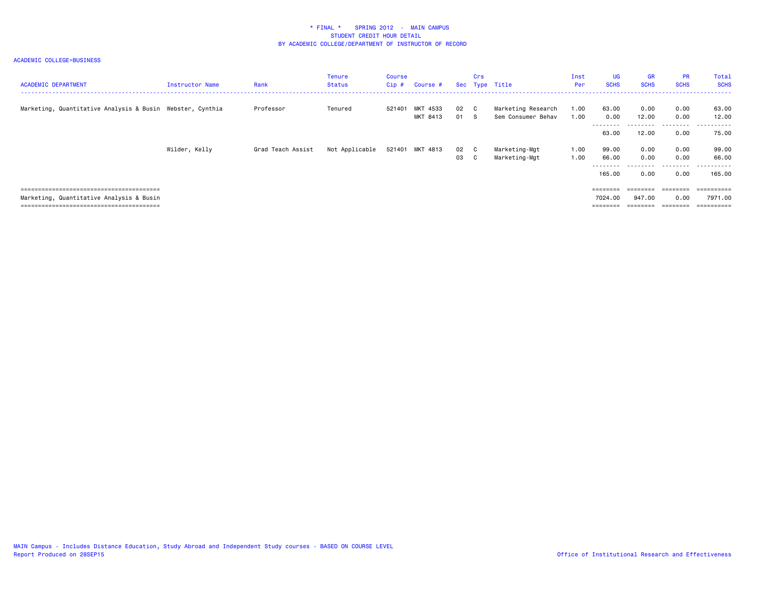| <b>ACADEMIC DEPARTMENT</b>                                | Instructor Name | Rank              | Tenure<br>Status | Course<br>Cip# | Course #             |              | Crs | Sec Type Title                           | Inst<br><b>Per</b> | <b>UG</b><br><b>SCHS</b>                 | <b>GR</b><br><b>SCHS</b> | <b>PR</b><br><b>SCHS</b> | Total<br><b>SCHS</b>                |
|-----------------------------------------------------------|-----------------|-------------------|------------------|----------------|----------------------|--------------|-----|------------------------------------------|--------------------|------------------------------------------|--------------------------|--------------------------|-------------------------------------|
| Marketing, Quantitative Analysis & Busin Webster, Cynthia |                 | Professor         | Tenured          | 521401         | MKT 4533<br>MKT 8413 | 02 C<br>01 S |     | Marketing Research<br>Sem Consumer Behav | 1.00<br>1.00       | 63.00<br>0.00                            | 0.00<br>12.00            | 0.00<br>0.00             | 63.00<br>12.00                      |
|                                                           |                 |                   |                  |                |                      |              |     |                                          |                    | ------<br>63.00                          | - - - - - -<br>12.00     | .<br>0.00                | ------<br>$ -$<br>75.00             |
|                                                           | Wilder, Kelly   | Grad Teach Assist | Not Applicable   |                | 521401 MKT 4813      | 02 C<br>03 C |     | Marketing-Mgt<br>Marketing-Mgt           | 1.00<br>1.00       | 99.00<br>66.00<br>--------               | 0.00<br>0.00<br>.        | 0.00<br>0.00<br>.        | 99.00<br>66.00<br>.                 |
|                                                           |                 |                   |                  |                |                      |              |     |                                          |                    | 165,00                                   | 0.00                     | 0.00                     | 165,00                              |
| Marketing, Quantitative Analysis & Busin                  |                 |                   |                  |                |                      |              |     |                                          |                    | ========<br>7024.00<br>$=$ = = = = = = = | 947.00                   | ========<br>0.00         | ==========<br>7971.00<br>========== |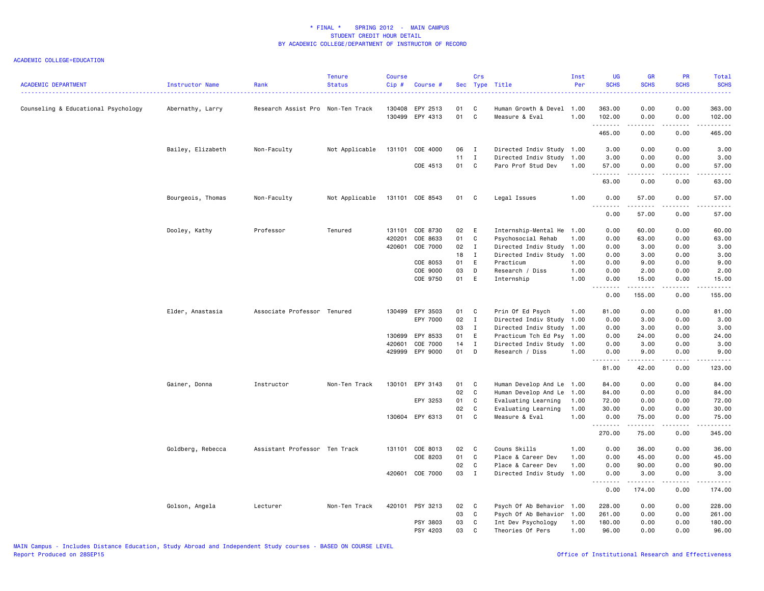| <b>ACADEMIC DEPARTMENT</b>          | Instructor Name   | Rank                              | <b>Tenure</b><br><b>Status</b> | <b>Course</b><br>Cip# | Course #                    |          | Crs            | Sec Type Title                                    | Inst<br>Per  | <b>UG</b><br><b>SCHS</b>      | <b>GR</b><br><b>SCHS</b> | PR<br><b>SCHS</b>                   | Total<br><b>SCHS</b>                                                                                                                                           |
|-------------------------------------|-------------------|-----------------------------------|--------------------------------|-----------------------|-----------------------------|----------|----------------|---------------------------------------------------|--------------|-------------------------------|--------------------------|-------------------------------------|----------------------------------------------------------------------------------------------------------------------------------------------------------------|
| Counseling & Educational Psychology | Abernathy, Larry  | Research Assist Pro Non-Ten Track |                                | 130408                | EPY 2513<br>130499 EPY 4313 | 01<br>01 | C<br>C         | Human Growth & Devel 1.00<br>Measure & Eval       | 1.00         | 363.00<br>102.00              | 0.00<br>0.00             | 0.00<br>0.00                        | 363.00<br>102.00                                                                                                                                               |
|                                     |                   |                                   |                                |                       |                             |          |                |                                                   |              | <u>.</u><br>465.00            | $- - - - -$<br>0.00      | .<br>0.00                           | المتمالي لماليا المالي<br>465.00                                                                                                                               |
|                                     | Bailey, Elizabeth | Non-Faculty                       | Not Applicable                 | 131101                | COE 4000                    | 06       | $\blacksquare$ | Directed Indiv Study 1.00                         |              | 3.00                          | 0.00                     | 0.00                                | 3.00                                                                                                                                                           |
|                                     |                   |                                   |                                |                       |                             | 11       | $\mathbf{I}$   | Directed Indiv Study 1.00                         |              | 3.00                          | 0.00                     | 0.00                                | 3.00                                                                                                                                                           |
|                                     |                   |                                   |                                |                       | COE 4513                    | 01 C     |                | Paro Prof Stud Dev                                | 1.00         | 57.00<br>$\sim$ $\sim$ $\sim$ | 0.00                     | 0.00<br>$\sim$ $\sim$ $\sim$ $\sim$ | 57.00<br>.                                                                                                                                                     |
|                                     |                   |                                   |                                |                       |                             |          |                |                                                   |              | 63.00                         | 0.00                     | 0.00                                | 63.00                                                                                                                                                          |
|                                     | Bourgeois, Thomas | Non-Faculty                       | Not Applicable                 |                       | 131101 COE 8543             | 01 C     |                | Legal Issues                                      | 1.00         | 0.00                          | 57.00                    | 0.00                                | 57.00                                                                                                                                                          |
|                                     |                   |                                   |                                |                       |                             |          |                |                                                   |              | <u>.</u><br>0.00              | .<br>57.00               | .<br>0.00                           | $\frac{1}{2} \left( \frac{1}{2} \right) \left( \frac{1}{2} \right) \left( \frac{1}{2} \right) \left( \frac{1}{2} \right) \left( \frac{1}{2} \right)$<br>57.00  |
|                                     | Dooley, Kathy     | Professor                         | Tenured                        |                       | 131101 COE 8730             | 02       | E              | Internship-Mental He 1.00                         |              | 0.00                          | 60.00                    | 0.00                                | 60.00                                                                                                                                                          |
|                                     |                   |                                   |                                | 420201                | COE 8633                    | 01       | C              | Psychosocial Rehab                                | 1.00         | 0.00                          | 63.00                    | 0.00                                | 63.00                                                                                                                                                          |
|                                     |                   |                                   |                                | 420601                | COE 7000                    | 02       | $\mathbf{I}$   | Directed Indiv Study                              | 1.00         | 0.00                          | 3.00                     | 0.00                                | 3.00                                                                                                                                                           |
|                                     |                   |                                   |                                |                       |                             | 18       | $\mathbf{I}$   | Directed Indiv Study                              | 1.00         | 0.00                          | 3.00                     | 0.00                                | 3.00                                                                                                                                                           |
|                                     |                   |                                   |                                |                       | COE 8053                    | 01       | E              | Practicum                                         | 1.00         | 0.00                          | 9.00                     | 0.00                                | 9.00                                                                                                                                                           |
|                                     |                   |                                   |                                |                       | COE 9000                    | 03       | D              | Research / Diss                                   | 1.00         | 0.00                          | 2.00                     | 0.00                                | 2.00                                                                                                                                                           |
|                                     |                   |                                   |                                |                       | COE 9750                    | 01       | E              | Internship                                        | 1.00         | 0.00<br>.                     | 15.00<br>.               | 0.00<br>.                           | 15.00<br>.                                                                                                                                                     |
|                                     |                   |                                   |                                |                       |                             |          |                |                                                   |              | 0.00                          | 155.00                   | 0.00                                | 155.00                                                                                                                                                         |
|                                     | Elder, Anastasia  | Associate Professor Tenured       |                                | 130499                | EPY 3503                    | 01       | <b>C</b>       | Prin Of Ed Psych                                  | 1.00         | 81.00                         | 0.00                     | 0.00                                | 81.00                                                                                                                                                          |
|                                     |                   |                                   |                                |                       | EPY 7000                    | 02       | $\mathbf{I}$   | Directed Indiv Study                              | 1.00         | 0.00                          | 3.00                     | 0.00                                | 3.00                                                                                                                                                           |
|                                     |                   |                                   |                                |                       |                             | 03       | $\mathbf I$    | Directed Indiv Study                              | 1.00         | 0.00                          | 3.00                     | 0.00                                | 3.00                                                                                                                                                           |
|                                     |                   |                                   |                                |                       | 130699 EPY 8533             | 01       | E.             | Practicum Tch Ed Psy                              | 1.00         | 0.00                          | 24.00                    | 0.00                                | 24.00                                                                                                                                                          |
|                                     |                   |                                   |                                | 420601                | COE 7000                    | 14       | $\mathbf{I}$   | Directed Indiv Study                              | 1.00         | 0.00                          | 3.00                     | 0.00                                | 3.00                                                                                                                                                           |
|                                     |                   |                                   |                                |                       | 429999 EPY 9000             | 01       | D              | Research / Diss                                   | 1.00         | 0.00                          | 9.00<br>.                | 0.00<br>$- - - -$                   | 9.00<br>$\frac{1}{2}$                                                                                                                                          |
|                                     |                   |                                   |                                |                       |                             |          |                |                                                   |              | 81.00                         | 42.00                    | 0.00                                | 123.00                                                                                                                                                         |
|                                     | Gainer, Donna     | Instructor                        | Non-Ten Track                  |                       | 130101 EPY 3143             | 01       | <b>C</b>       | Human Develop And Le 1.00                         |              | 84.00                         | 0.00                     | 0.00                                | 84.00                                                                                                                                                          |
|                                     |                   |                                   |                                |                       |                             | 02       | C              | Human Develop And Le                              | 1.00         | 84.00                         | 0.00                     | 0.00                                | 84.00                                                                                                                                                          |
|                                     |                   |                                   |                                |                       | EPY 3253                    | 01       | C              | Evaluating Learning                               | 1.00         | 72.00                         | 0.00                     | 0.00                                | 72.00                                                                                                                                                          |
|                                     |                   |                                   |                                |                       | 130604 EPY 6313             | 02<br>01 | C<br>C         | Evaluating Learning<br>Measure & Eval             | 1.00<br>1.00 | 30.00<br>0.00                 | 0.00<br>75.00            | 0.00<br>0.00                        | 30.00<br>75.00                                                                                                                                                 |
|                                     |                   |                                   |                                |                       |                             |          |                |                                                   |              | .<br>270.00                   | .<br>75.00               | .<br>0.00                           | <u>.</u><br>345.00                                                                                                                                             |
|                                     |                   |                                   |                                |                       |                             |          |                |                                                   |              |                               |                          |                                     |                                                                                                                                                                |
|                                     | Goldberg, Rebecca | Assistant Professor Ten Track     |                                |                       | 131101 COE 8013             | 02       | $\mathbf{C}$   | Couns Skills                                      | 1.00         | 0.00                          | 36.00                    | 0.00                                | 36.00                                                                                                                                                          |
|                                     |                   |                                   |                                |                       | COE 8203                    | 01<br>02 | C<br>C         | Place & Career Dev<br>Place & Career Dev          | 1.00<br>1.00 | 0.00<br>0.00                  | 45.00<br>90.00           | 0.00<br>0.00                        | 45.00<br>90.00                                                                                                                                                 |
|                                     |                   |                                   |                                |                       | 420601 COE 7000             | 03 I     |                | Directed Indiv Study                              | 1.00         | 0.00                          | 3.00                     | 0.00                                | 3.00                                                                                                                                                           |
|                                     |                   |                                   |                                |                       |                             |          |                |                                                   |              | 0.00                          | 174.00                   | 0.00                                | $\frac{1}{2} \left( \frac{1}{2} \right) \left( \frac{1}{2} \right) \left( \frac{1}{2} \right) \left( \frac{1}{2} \right) \left( \frac{1}{2} \right)$<br>174.00 |
|                                     |                   |                                   | Non-Ten Track                  |                       | 420101 PSY 3213             | 02       | $\mathbf{C}$   |                                                   |              | 228.00                        | 0.00                     | 0.00                                | 228.00                                                                                                                                                         |
|                                     | Golson, Angela    | Lecturer                          |                                |                       |                             | 03       | C              | Psych Of Ab Behavior 1.00<br>Psych Of Ab Behavior | 1.00         | 261.00                        | 0.00                     | 0.00                                | 261.00                                                                                                                                                         |
|                                     |                   |                                   |                                |                       | PSY 3803                    | 03       | C.             | Int Dev Psychology                                | 1.00         | 180.00                        | 0.00                     | 0.00                                | 180.00                                                                                                                                                         |
|                                     |                   |                                   |                                |                       | PSY 4203                    | 03       | C              | Theories Of Pers                                  | 1.00         | 96.00                         | 0.00                     | 0.00                                | 96.00                                                                                                                                                          |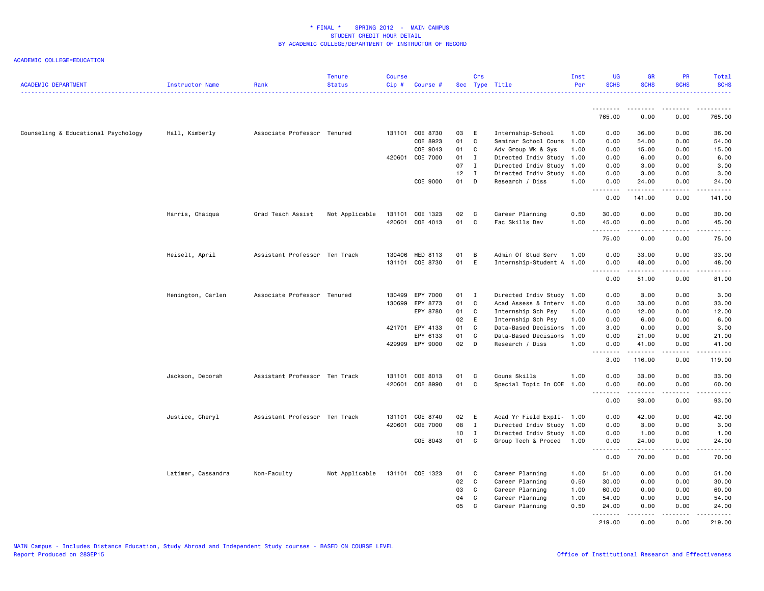| <b>ACADEMIC DEPARTMENT</b>          | Instructor Name    | Rank                          | <b>Tenure</b><br><b>Status</b> | <b>Course</b><br>Cip# | Course #        |                 | Crs               | Sec Type Title                             | Inst<br>Per  | UG<br><b>SCHS</b> | <b>GR</b><br><b>SCHS</b>                                                                                                                                     | PR<br><b>SCHS</b> | Total<br><b>SCHS</b> |
|-------------------------------------|--------------------|-------------------------------|--------------------------------|-----------------------|-----------------|-----------------|-------------------|--------------------------------------------|--------------|-------------------|--------------------------------------------------------------------------------------------------------------------------------------------------------------|-------------------|----------------------|
|                                     |                    |                               |                                |                       |                 |                 |                   |                                            |              |                   |                                                                                                                                                              |                   |                      |
|                                     |                    |                               |                                |                       |                 |                 |                   |                                            |              | 765.00            | 0.00                                                                                                                                                         | 0.00              | 765.00               |
| Counseling & Educational Psychology | Hall, Kimberly     | Associate Professor Tenured   |                                |                       | 131101 COE 8730 | 03              | E                 | Internship-School                          | 1.00         | 0.00              | 36.00                                                                                                                                                        | 0.00              | 36.00                |
|                                     |                    |                               |                                |                       | COE 8923        | 01              | $\mathbf{C}$      | Seminar School Couns                       | 1.00         | 0.00              | 54.00                                                                                                                                                        | 0.00              | 54.00                |
|                                     |                    |                               |                                |                       | COE 9043        | 01              | C                 | Adv Group Wk & Sys                         | 1.00         | 0.00              | 15.00                                                                                                                                                        | 0.00              | 15.00                |
|                                     |                    |                               |                                | 420601                | COE 7000        | 01              | Ι.                | Directed Indiv Study                       | 1.00         | 0.00              | 6.00                                                                                                                                                         | 0.00              | 6.00                 |
|                                     |                    |                               |                                |                       |                 | 07              | $\mathbf{I}$      | Directed Indiv Study                       | 1.00         | 0.00              | 3.00                                                                                                                                                         | 0.00              | 3.00                 |
|                                     |                    |                               |                                |                       |                 | $12$ I          |                   | Directed Indiv Study 1.00                  |              | 0.00              | 3.00                                                                                                                                                         | 0.00              | 3.00                 |
|                                     |                    |                               |                                |                       | COE 9000        | 01              | D                 | Research / Diss                            | 1.00         | 0.00<br>.         | 24.00<br>.                                                                                                                                                   | 0.00<br>.         | 24.00<br>.           |
|                                     |                    |                               |                                |                       |                 |                 |                   |                                            |              | 0.00              | 141.00                                                                                                                                                       | 0.00              | 141.00               |
|                                     | Harris, Chaiqua    | Grad Teach Assist             | Not Applicable                 | 131101                | COE 1323        | 02              | $\mathbf{C}$      | Career Planning                            | 0.50         | 30.00             | 0.00                                                                                                                                                         | 0.00              | 30.00                |
|                                     |                    |                               |                                |                       | 420601 COE 4013 | 01              | $\mathbf{C}$      | Fac Skills Dev                             | 1.00         | 45.00             | 0.00                                                                                                                                                         | 0.00              | 45.00                |
|                                     |                    |                               |                                |                       |                 |                 |                   |                                            |              | .<br>75.00        | $\frac{1}{2} \left( \frac{1}{2} \right) \left( \frac{1}{2} \right) \left( \frac{1}{2} \right) \left( \frac{1}{2} \right) \left( \frac{1}{2} \right)$<br>0.00 | .<br>0.00         | .<br>75.00           |
|                                     | Heiselt, April     | Assistant Professor Ten Track |                                | 130406                | HED 8113        | 01              | B                 | Admin Of Stud Serv                         | 1.00         | 0.00              | 33.00                                                                                                                                                        | 0.00              | 33.00                |
|                                     |                    |                               |                                |                       | 131101 COE 8730 | 01              | E                 | Internship-Student A 1.00                  |              | 0.00              | 48.00                                                                                                                                                        | 0.00              | 48.00                |
|                                     |                    |                               |                                |                       |                 |                 |                   |                                            |              | .<br>0.00         | .<br>81.00                                                                                                                                                   | .<br>0.00         | .<br>81.00           |
|                                     |                    |                               |                                |                       |                 |                 |                   |                                            |              |                   |                                                                                                                                                              |                   |                      |
|                                     | Henington, Carlen  | Associate Professor Tenured   |                                | 130499                | EPY 7000        | 01 I            |                   | Directed Indiv Study 1.00                  |              | 0.00              | 3.00                                                                                                                                                         | 0.00              | 3.00                 |
|                                     |                    |                               |                                | 130699                | EPY 8773        | 01              | $\mathbf c$       | Acad Assess & Interv 1.00                  |              | 0.00              | 33.00                                                                                                                                                        | 0.00              | 33.00                |
|                                     |                    |                               |                                |                       | EPY 8780        | 01<br>02        | $\mathbf{C}$<br>E | Internship Sch Psy                         | 1.00         | 0.00              | 12.00                                                                                                                                                        | 0.00<br>0.00      | 12.00                |
|                                     |                    |                               |                                | 421701                | EPY 4133        | 01              | C                 | Internship Sch Psy<br>Data-Based Decisions | 1.00<br>1.00 | 0.00<br>3.00      | 6.00<br>0.00                                                                                                                                                 | 0.00              | 6.00<br>3.00         |
|                                     |                    |                               |                                |                       | EPY 6133        | 01              | $\mathbf{C}$      | Data-Based Decisions                       | 1.00         | 0.00              | 21.00                                                                                                                                                        | 0.00              | 21.00                |
|                                     |                    |                               |                                |                       | 429999 EPY 9000 | 02              | D                 | Research / Diss                            | 1.00         | 0.00              | 41.00                                                                                                                                                        | 0.00              | 41.00                |
|                                     |                    |                               |                                |                       |                 |                 |                   |                                            |              | .<br>3.00         | .<br>116.00                                                                                                                                                  | .<br>0.00         | .<br>119.00          |
|                                     |                    |                               |                                |                       |                 |                 |                   |                                            |              |                   |                                                                                                                                                              |                   |                      |
|                                     | Jackson, Deborah   | Assistant Professor Ten Track |                                | 131101                | COE 8013        | 01              | C                 | Couns Skills                               | 1.00         | 0.00              | 33.00                                                                                                                                                        | 0.00              | 33.00                |
|                                     |                    |                               |                                | 420601                | COE 8990        | 01              | C                 | Special Topic In COE                       | 1.00         | 0.00<br>.         | 60.00<br>.                                                                                                                                                   | 0.00<br>.         | 60.00<br>.           |
|                                     |                    |                               |                                |                       |                 |                 |                   |                                            |              | 0.00              | 93.00                                                                                                                                                        | 0.00              | 93.00                |
|                                     | Justice, Cheryl    | Assistant Professor Ten Track |                                |                       | 131101 COE 8740 | 02 E            |                   | Acad Yr Field ExpII- 1.00                  |              | 0.00              | 42.00                                                                                                                                                        | 0.00              | 42.00                |
|                                     |                    |                               |                                | 420601                | COE 7000        | 08              | $\mathbf{I}$      | Directed Indiv Study 1.00                  |              | 0.00              | 3.00                                                                                                                                                         | 0.00              | 3.00                 |
|                                     |                    |                               |                                |                       |                 | 10 <sup>1</sup> | $\mathbf{I}$      | Directed Indiv Study 1.00                  |              | 0.00              | 1.00                                                                                                                                                         | 0.00              | 1.00                 |
|                                     |                    |                               |                                |                       | COE 8043        | 01 C            |                   | Group Tech & Proced                        | 1.00         | 0.00              | 24.00                                                                                                                                                        | 0.00              | 24.00                |
|                                     |                    |                               |                                |                       |                 |                 |                   |                                            |              | .<br>0.00         | $\frac{1}{2}$<br>70.00                                                                                                                                       | .<br>0.00         | .<br>70.00           |
|                                     | Latimer, Cassandra | Non-Faculty                   | Not Applicable                 |                       | 131101 COE 1323 | 01              | $\mathbf{C}$      | Career Planning                            | 1.00         | 51.00             | 0.00                                                                                                                                                         | 0.00              | 51.00                |
|                                     |                    |                               |                                |                       |                 | 02              | $\mathbf{C}$      | Career Planning                            | 0.50         | 30.00             | 0.00                                                                                                                                                         | 0.00              | 30.00                |
|                                     |                    |                               |                                |                       |                 | 03              | C                 | Career Planning                            | 1.00         | 60.00             | 0.00                                                                                                                                                         | 0.00              | 60.00                |
|                                     |                    |                               |                                |                       |                 | 04              | C                 | Career Planning                            | 1.00         | 54.00             | 0.00                                                                                                                                                         | 0.00              | 54.00                |
|                                     |                    |                               |                                |                       |                 | 05              | $\mathsf{C}$      | Career Planning                            | 0.50         | 24.00             | 0.00                                                                                                                                                         | 0.00              | 24.00                |
|                                     |                    |                               |                                |                       |                 |                 |                   |                                            |              | .<br>219.00       | $\frac{1}{2} \left( \frac{1}{2} \right) \left( \frac{1}{2} \right) \left( \frac{1}{2} \right) \left( \frac{1}{2} \right) \left( \frac{1}{2} \right)$<br>0.00 | .<br>0.00         | .<br>219.00          |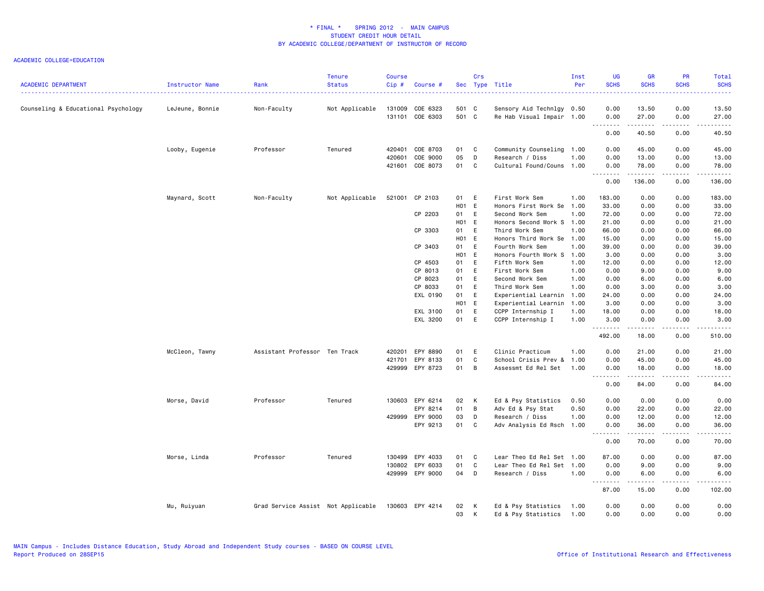| <b>ACADEMIC DEPARTMENT</b>          | Instructor Name | Rank                               | <b>Tenure</b><br><b>Status</b> | <b>Course</b><br>Cip# | Course #             |                | Crs    | Sec Type Title                               | Inst<br>Per  | <b>UG</b><br><b>SCHS</b> | <b>GR</b><br><b>SCHS</b> | PR<br><b>SCHS</b> | Total<br><b>SCHS</b> |
|-------------------------------------|-----------------|------------------------------------|--------------------------------|-----------------------|----------------------|----------------|--------|----------------------------------------------|--------------|--------------------------|--------------------------|-------------------|----------------------|
| Counseling & Educational Psychology | LeJeune, Bonnie | Non-Faculty                        | Not Applicable                 | 131009<br>131101      | COE 6323<br>COE 6303 | 501 C<br>501 C |        | Sensory Aid Technlgy 0.50                    |              | 0.00<br>0.00             | 13.50<br>27.00           | 0.00<br>0.00      | 13.50<br>27.00       |
|                                     |                 |                                    |                                |                       |                      |                |        | Re Hab Visual Impair 1.00                    |              | .                        | . <b>.</b>               | .                 | .                    |
|                                     |                 |                                    |                                |                       |                      |                |        |                                              |              | 0.00                     | 40.50                    | 0.00              | 40.50                |
|                                     | Looby, Eugenie  | Professor                          | Tenured                        | 420401                | COE 8703             | 01             | C      | Community Counseling 1.00                    |              | 0.00                     | 45.00                    | 0.00              | 45.00                |
|                                     |                 |                                    |                                | 420601                | COE 9000             | 05             | D      | Research / Diss                              | 1.00         | 0.00                     | 13.00                    | 0.00              | 13.00                |
|                                     |                 |                                    |                                | 421601                | COE 8073             | 01             | C      | Cultural Found/Couns 1.00                    |              | 0.00<br>.                | 78.00                    | 0.00<br>د د د د   | 78.00<br>.           |
|                                     |                 |                                    |                                |                       |                      |                |        |                                              |              | 0.00                     | 136.00                   | 0.00              | 136.00               |
|                                     | Maynard, Scott  | Non-Faculty                        | Not Applicable                 |                       | 521001 CP 2103       | 01             | E      | First Work Sem                               | 1.00         | 183.00                   | 0.00                     | 0.00              | 183.00               |
|                                     |                 |                                    |                                |                       |                      | H01 E          |        | Honors First Work Se                         | 1.00         | 33.00                    | 0.00                     | 0.00              | 33.00                |
|                                     |                 |                                    |                                |                       | CP 2203              | 01             | E      | Second Work Sem                              | 1.00         | 72.00                    | 0.00                     | 0.00              | 72.00                |
|                                     |                 |                                    |                                |                       |                      | H01 E          |        | Honors Second Work S 1.00                    |              | 21.00                    | 0.00                     | 0.00              | 21.00                |
|                                     |                 |                                    |                                |                       | CP 3303              | 01             | E      | Third Work Sem                               | 1.00         | 66.00                    | 0.00                     | 0.00              | 66.00                |
|                                     |                 |                                    |                                |                       |                      | H01 E          |        | Honors Third Work Se                         | 1.00         | 15.00                    | 0.00                     | 0.00              | 15.00                |
|                                     |                 |                                    |                                |                       | CP 3403              | 01             | E      | Fourth Work Sem                              | 1.00         | 39.00                    | 0.00                     | 0.00              | 39.00                |
|                                     |                 |                                    |                                |                       |                      | HO1 E          |        | Honors Fourth Work S                         | 1.00         | 3.00                     | 0.00                     | 0.00              | 3.00                 |
|                                     |                 |                                    |                                |                       | CP 4503              | 01             | E      | Fifth Work Sem                               | 1.00         | 12.00                    | 0.00                     | 0.00              | 12.00                |
|                                     |                 |                                    |                                |                       | CP 8013              | 01             | E      | First Work Sem                               | 1.00         | 0.00                     | 9.00                     | 0.00              | 9.00                 |
|                                     |                 |                                    |                                |                       | CP 8023<br>CP 8033   | 01<br>01       | E<br>E | Second Work Sem<br>Third Work Sem            | 1.00<br>1.00 | 0.00<br>0.00             | 6.00<br>3.00             | 0.00<br>0.00      | 6.00<br>3.00         |
|                                     |                 |                                    |                                |                       | EXL 0190             | 01             | E      |                                              | 1.00         | 24.00                    | 0.00                     | 0.00              | 24.00                |
|                                     |                 |                                    |                                |                       |                      | H01 E          |        | Experiential Learnin<br>Experiential Learnin | 1.00         | 3.00                     | 0.00                     | 0.00              | 3.00                 |
|                                     |                 |                                    |                                |                       | EXL 3100             | 01             | E      | CCPP Internship I                            | 1.00         | 18.00                    | 0.00                     | 0.00              | 18.00                |
|                                     |                 |                                    |                                |                       | EXL 3200             | 01             | E      | CCPP Internship I                            | 1.00         | 3.00                     | 0.00                     | 0.00              | 3.00                 |
|                                     |                 |                                    |                                |                       |                      |                |        |                                              |              | .<br>492.00              | <u>.</u><br>18.00        | .<br>0.00         | .<br>510.00          |
|                                     |                 |                                    |                                |                       |                      |                |        |                                              |              |                          |                          |                   |                      |
|                                     | McCleon, Tawny  | Assistant Professor Ten Track      |                                | 420201                | EPY 8890             | 01             | E      | Clinic Practicum                             | 1.00         | 0.00                     | 21.00                    | 0.00              | 21.00                |
|                                     |                 |                                    |                                | 421701                | EPY 8133             | 01             | C      | School Crisis Prev &                         | 1.00         | 0.00                     | 45.00                    | 0.00              | 45.00                |
|                                     |                 |                                    |                                | 429999                | EPY 8723             | 01             | B      | Assessmt Ed Rel Set                          | 1.00         | 0.00<br>.                | 18.00<br>.               | 0.00<br>.         | 18.00<br>.           |
|                                     |                 |                                    |                                |                       |                      |                |        |                                              |              | 0.00                     | 84.00                    | 0.00              | 84.00                |
|                                     | Morse, David    | Professor                          | Tenured                        | 130603                | EPY 6214             | 02             | K      | Ed & Psy Statistics                          | 0.50         | 0.00                     | 0.00                     | 0.00              | 0.00                 |
|                                     |                 |                                    |                                |                       | EPY 8214             | 01             | B      | Adv Ed & Psy Stat                            | 0.50         | 0.00                     | 22.00                    | 0.00              | 22.00                |
|                                     |                 |                                    |                                | 429999                | EPY 9000             | 03             | D      | Research / Diss                              | 1.00         | 0.00                     | 12.00                    | 0.00              | 12.00                |
|                                     |                 |                                    |                                |                       | EPY 9213             | 01             | C      | Adv Analysis Ed Rsch                         | 1.00         | 0.00<br>.                | 36.00<br>.               | 0.00<br>.         | 36.00<br>المتمامين   |
|                                     |                 |                                    |                                |                       |                      |                |        |                                              |              | 0.00                     | 70.00                    | 0.00              | 70.00                |
|                                     | Morse, Linda    | Professor                          | Tenured                        | 130499                | EPY 4033             | 01             | C      | Lear Theo Ed Rel Set 1.00                    |              | 87.00                    | 0.00                     | 0.00              | 87.00                |
|                                     |                 |                                    |                                | 130802                | EPY 6033             | 01             | C      | Lear Theo Ed Rel Set                         | 1.00         | 0.00                     | 9.00                     | 0.00              | 9.00                 |
|                                     |                 |                                    |                                | 429999                | EPY 9000             | 04             | D      | Research / Diss                              | 1.00         | 0.00                     | 6.00                     | 0.00              | 6.00                 |
|                                     |                 |                                    |                                |                       |                      |                |        |                                              |              | .<br>87.00               | .<br>15.00               | .<br>0.00         | .<br>102.00          |
|                                     | Mu, Ruiyuan     | Grad Service Assist Not Applicable |                                |                       | 130603 EPY 4214      | 02             | К      | Ed & Psy Statistics                          | 1.00         | 0.00                     | 0.00                     | 0.00              | 0.00                 |
|                                     |                 |                                    |                                |                       |                      | 03             | К      | Ed & Psy Statistics                          | 1.00         | 0.00                     | 0.00                     | 0.00              | 0.00                 |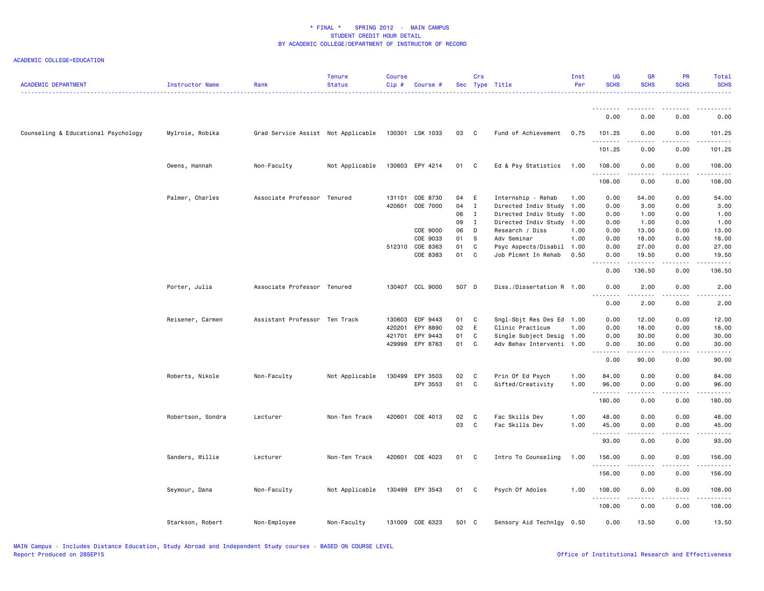| <b>ACADEMIC DEPARTMENT</b>          | Instructor Name   | Rank                               | <b>Tenure</b><br><b>Status</b> | <b>Course</b><br>Cip# | Course #        |       | Crs          | Sec Type Title            | Inst<br>Per | UG<br><b>SCHS</b>     | <b>GR</b><br><b>SCHS</b> | PR<br><b>SCHS</b>                   | Total<br><b>SCHS</b>   |
|-------------------------------------|-------------------|------------------------------------|--------------------------------|-----------------------|-----------------|-------|--------------|---------------------------|-------------|-----------------------|--------------------------|-------------------------------------|------------------------|
|                                     |                   |                                    |                                |                       |                 |       |              |                           |             |                       |                          |                                     |                        |
|                                     |                   |                                    |                                |                       |                 |       |              |                           |             | 0.00                  | 0.00                     | 0.00                                | 0.00                   |
| Counseling & Educational Psychology | Mylroie, Robika   | Grad Service Assist Not Applicable |                                |                       | 130301 LSK 1033 | 03 C  |              | Fund of Achievement       | 0.75        | 101.25<br>.           | 0.00                     | 0.00<br>$\sim$ $\sim$ $\sim$ $\sim$ | 101.25<br>.            |
|                                     |                   |                                    |                                |                       |                 |       |              |                           |             | 101.25                | 0.00                     | 0.00                                | 101.25                 |
|                                     | Owens, Hannah     | Non-Faculty                        | Not Applicable                 |                       | 130603 EPY 4214 | 01    | $\mathbf{C}$ | Ed & Psy Statistics       | 1.00        | 108.00<br>.           | 0.00<br>.                | 0.00<br>$\sim$ $\sim$ $\sim$ $\sim$ | 108.00<br>.            |
|                                     |                   |                                    |                                |                       |                 |       |              |                           |             | 108.00                | 0.00                     | 0.00                                | 108.00                 |
|                                     | Palmer, Charles   | Associate Professor Tenured        |                                | 131101                | COE 8730        | 04 E  |              | Internship - Rehab        | 1.00        | 0.00                  | 54.00                    | 0.00                                | 54.00                  |
|                                     |                   |                                    |                                | 420601                | COE 7000        | 04    | $\mathbf{I}$ | Directed Indiv Study      | 1.00        | 0.00                  | 3.00                     | 0.00                                | 3.00                   |
|                                     |                   |                                    |                                |                       |                 | 06    | $\mathbf I$  | Directed Indiv Study      | 1.00        | 0.00                  | 1.00                     | 0.00                                | 1.00                   |
|                                     |                   |                                    |                                |                       |                 | 09    | $\mathbf{I}$ | Directed Indiv Study      | 1.00        | 0.00                  | 1.00                     | 0.00                                | 1.00                   |
|                                     |                   |                                    |                                |                       | COE 9000        | 06    | D            | Research / Diss           | 1.00        | 0.00                  | 13.00                    | 0.00                                | 13.00                  |
|                                     |                   |                                    |                                |                       | COE 9033        | 01    | -S           | Adv Seminar               | 1.00        | 0.00                  | 18.00                    | 0.00                                | 18.00                  |
|                                     |                   |                                    |                                |                       | 512310 COE 8363 | 01    | C            | Psyc Aspects/Disabil      | 1.00        | 0.00                  | 27.00                    | 0.00                                | 27.00                  |
|                                     |                   |                                    |                                |                       | COE 8383        | 01    | C            | Job Plcmnt In Rehab       | 0.50        | 0.00<br>.             | 19.50<br>.               | 0.00<br>د د د د                     | 19.50<br>.             |
|                                     |                   |                                    |                                |                       |                 |       |              |                           |             | 0.00                  | 136.50                   | 0.00                                | 136.50                 |
|                                     | Porter, Julia     | Associate Professor Tenured        |                                |                       | 130407 CCL 9000 | 507 D |              | Diss./Dissertation R 1.00 |             | 0.00<br>$\frac{1}{2}$ | 2.00<br>-----            | 0.00<br>$- - - -$                   | 2.00<br>.              |
|                                     |                   |                                    |                                |                       |                 |       |              |                           |             | 0.00                  | 2.00                     | 0.00                                | 2.00                   |
|                                     | Reisener, Carmen  | Assistant Professor Ten Track      |                                | 130603                | EDF 9443        | 01    | $\mathbf{C}$ | Sngl-Sbjt Res Des Ed 1.00 |             | 0.00                  | 12.00                    | 0.00                                | 12.00                  |
|                                     |                   |                                    |                                | 420201                | EPY 8890        | 02    | E            | Clinic Practicum          | 1.00        | 0.00                  | 18.00                    | 0.00                                | 18.00                  |
|                                     |                   |                                    |                                | 421701                | EPY 9443        | 01    | C            |                           |             |                       |                          |                                     |                        |
|                                     |                   |                                    |                                |                       |                 |       |              | Single Subject Desig 1.00 |             | 0.00                  | 30.00                    | 0.00                                | 30.00                  |
|                                     |                   |                                    |                                | 429999                | EPY 8763        | 01    | $\mathbf{C}$ | Adv Behav Interventi 1.00 |             | 0.00<br>.             | 30.00<br>.               | 0.00<br>$   -$                      | 30.00<br>$\frac{1}{2}$ |
|                                     |                   |                                    |                                |                       |                 |       |              |                           |             | 0.00                  | 90.00                    | 0.00                                | 90.00                  |
|                                     | Roberts, Nikole   | Non-Faculty                        | Not Applicable                 | 130499                | EPY 3503        | 02    | $\mathbf{C}$ | Prin Of Ed Psych          | 1.00        | 84.00                 | 0.00                     | 0.00                                | 84.00                  |
|                                     |                   |                                    |                                |                       | EPY 3553        | 01    | $\mathbf{C}$ | Gifted/Creativity         | 1.00        | 96.00<br>.            | 0.00<br>.                | 0.00<br>.                           | 96.00<br>.             |
|                                     |                   |                                    |                                |                       |                 |       |              |                           |             | 180.00                | 0.00                     | 0.00                                | 180.00                 |
|                                     |                   |                                    |                                |                       |                 |       |              |                           |             |                       |                          |                                     |                        |
|                                     | Robertson, Sondra | Lecturer                           | Non-Ten Track                  | 420601                | COE 4013        | 02    | $\mathbf{C}$ | Fac Skills Dev            | 1.00        | 48.00                 | 0.00                     | 0.00                                | 48.00                  |
|                                     |                   |                                    |                                |                       |                 | 03    | $\mathbf{C}$ | Fac Skills Dev            | 1.00        | 45.00                 | 0.00                     | 0.00                                | 45.00                  |
|                                     |                   |                                    |                                |                       |                 |       |              |                           |             | .<br>93.00            | .<br>0.00                | $- - - -$<br>0.00                   | .<br>93.00             |
|                                     |                   |                                    |                                |                       |                 |       |              |                           |             |                       |                          |                                     |                        |
|                                     | Sanders, Willie   | Lecturer                           | Non-Ten Track                  |                       | 420601 COE 4023 | 01 C  |              | Intro To Counseling       | 1.00        | 156.00<br>.           | 0.00                     | 0.00<br>.                           | 156.00<br>.            |
|                                     |                   |                                    |                                |                       |                 |       |              |                           |             | 156.00                | 0.00                     | 0.00                                | 156.00                 |
|                                     | Seymour, Dana     | Non-Faculty                        | Not Applicable                 |                       | 130499 EPY 3543 | 01 C  |              | Psych Of Adoles           | 1.00        | 108.00<br>.           | 0.00<br>.                | 0.00<br>د د د د                     | 108.00<br>.            |
|                                     |                   |                                    |                                |                       |                 |       |              |                           |             | 108.00                | 0.00                     | 0.00                                | 108.00                 |
|                                     | Starkson, Robert  | Non-Employee                       | Non-Faculty                    |                       | 131009 COE 6323 | 501 C |              | Sensory Aid Technlgy 0.50 |             | 0.00                  | 13.50                    | 0.00                                | 13.50                  |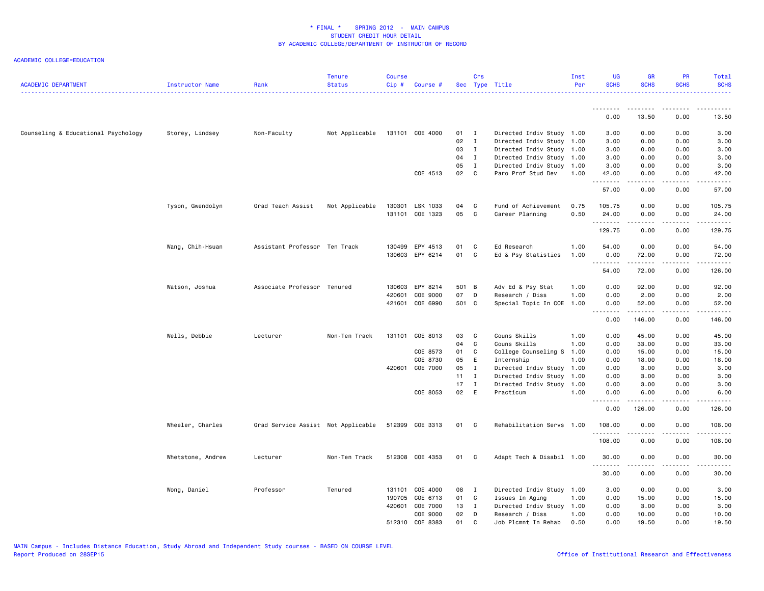| <b>ACADEMIC DEPARTMENT</b>          | Instructor Name   | Rank                               | <b>Tenure</b><br><b>Status</b> | <b>Course</b><br>Cip# | Course #        |        | Crs          | Sec Type Title            | Inst<br>Per | <b>UG</b><br><b>SCHS</b>                             | <b>GR</b><br><b>SCHS</b> | <b>PR</b><br><b>SCHS</b>            | Total<br><b>SCHS</b>                 |
|-------------------------------------|-------------------|------------------------------------|--------------------------------|-----------------------|-----------------|--------|--------------|---------------------------|-------------|------------------------------------------------------|--------------------------|-------------------------------------|--------------------------------------|
|                                     |                   |                                    |                                |                       |                 |        |              |                           |             | .<br>0.00                                            | .<br>13.50               | $\frac{1}{2}$<br>0.00               | 13.50                                |
| Counseling & Educational Psychology | Storey, Lindsey   | Non-Faculty                        | Not Applicable                 |                       | 131101 COE 4000 | $01$ I |              | Directed Indiv Study 1.00 |             | 3.00                                                 | 0.00                     | 0.00                                | 3.00                                 |
|                                     |                   |                                    |                                |                       |                 | 02     | $\mathbf{I}$ | Directed Indiv Study 1.00 |             | 3.00                                                 | 0.00                     | 0.00                                | 3.00                                 |
|                                     |                   |                                    |                                |                       |                 | 03     | $\mathbf{I}$ | Directed Indiv Study 1.00 |             | 3.00                                                 | 0.00                     | 0.00                                | 3.00                                 |
|                                     |                   |                                    |                                |                       |                 | 04     | $\mathbf I$  | Directed Indiv Study 1.00 |             | 3.00                                                 | 0.00                     | 0.00                                | 3.00                                 |
|                                     |                   |                                    |                                |                       |                 | 05     | $\mathbf{I}$ | Directed Indiv Study 1.00 |             | 3.00                                                 | 0.00                     | 0.00                                | 3.00                                 |
|                                     |                   |                                    |                                |                       | COE 4513        | 02     | C            | Paro Prof Stud Dev        | 1.00        | 42.00<br>.                                           | 0.00<br>-----            | 0.00<br>$\sim$ $\sim$ $\sim$        | 42.00<br>المتماما                    |
|                                     |                   |                                    |                                |                       |                 |        |              |                           |             | 57.00                                                | 0.00                     | 0.00                                | 57.00                                |
|                                     | Tyson, Gwendolyn  | Grad Teach Assist                  | Not Applicable                 |                       | 130301 LSK 1033 | 04     | C            | Fund of Achievement       | 0.75        | 105.75                                               | 0.00                     | 0.00                                | 105.75                               |
|                                     |                   |                                    |                                |                       | 131101 COE 1323 | 05     | C            | Career Planning           | 0.50        | 24.00<br>.                                           | 0.00<br>.                | 0.00<br>$\frac{1}{2}$               | 24.00<br>.                           |
|                                     |                   |                                    |                                |                       |                 |        |              |                           |             | 129.75                                               | 0.00                     | 0.00                                | 129.75                               |
|                                     | Wang, Chih-Hsuan  | Assistant Professor Ten Track      |                                |                       | 130499 EPY 4513 | 01     | C            | Ed Research               | 1.00        | 54.00                                                | 0.00                     | 0.00                                | 54.00                                |
|                                     |                   |                                    |                                |                       | 130603 EPY 6214 | 01     | C            | Ed & Psy Statistics       | 1.00        | 0.00                                                 | 72.00                    | 0.00                                | 72.00                                |
|                                     |                   |                                    |                                |                       |                 |        |              |                           |             | .                                                    | -----                    | $\sim$ $\sim$ $\sim$ $\sim$         | $\sim$ $\sim$ $\sim$ $\sim$          |
|                                     |                   |                                    |                                |                       |                 |        |              |                           |             | 54.00                                                | 72.00                    | 0.00                                | 126.00                               |
|                                     | Watson, Joshua    | Associate Professor Tenured        |                                |                       | 130603 EPY 8214 | 501 B  |              | Adv Ed & Psy Stat         | 1.00        | 0.00                                                 | 92.00                    | 0.00                                | 92.00                                |
|                                     |                   |                                    |                                | 420601                | COE 9000        | 07     | D            | Research / Diss           | 1.00        | 0.00                                                 | 2.00                     | 0.00                                | 2.00                                 |
|                                     |                   |                                    |                                |                       | 421601 COE 6990 | 501 C  |              | Special Topic In COE 1.00 |             | 0.00<br>$\sim$ $\sim$ $\sim$<br>$\sim$ $\sim$ $\sim$ | 52.00                    | 0.00<br>$\sim$ $\sim$ $\sim$ $\sim$ | 52.00<br>$\sim$ $\sim$ $\sim$ $\sim$ |
|                                     |                   |                                    |                                |                       |                 |        |              |                           |             | 0.00                                                 | 146.00                   | 0.00                                | 146.00                               |
|                                     | Wells, Debbie     | Lecturer                           | Non-Ten Track                  |                       | 131101 COE 8013 | 03     | C            | Couns Skills              | 1.00        | 0.00                                                 | 45.00                    | 0.00                                | 45.00                                |
|                                     |                   |                                    |                                |                       |                 | 04     | $\mathsf{C}$ | Couns Skills              | 1.00        | 0.00                                                 | 33.00                    | 0.00                                | 33.00                                |
|                                     |                   |                                    |                                |                       | COE 8573        | 01     | C            | College Counseling S 1.00 |             | 0.00                                                 | 15.00                    | 0.00                                | 15.00                                |
|                                     |                   |                                    |                                |                       | COE 8730        | 05     | E            | Internship                | 1.00        | 0.00                                                 | 18.00                    | 0.00                                | 18.00                                |
|                                     |                   |                                    |                                | 420601                | COE 7000        | 05     | Ι.           | Directed Indiv Study      | 1.00        | 0.00                                                 | 3.00                     | 0.00                                | 3.00                                 |
|                                     |                   |                                    |                                |                       |                 | 11     | $\mathbf{I}$ | Directed Indiv Study 1.00 |             | 0.00                                                 | 3.00                     | 0.00                                | 3.00                                 |
|                                     |                   |                                    |                                |                       |                 | 17     | $\mathbf{I}$ | Directed Indiv Study 1.00 |             | 0.00                                                 | 3.00                     | 0.00                                | 3.00                                 |
|                                     |                   |                                    |                                |                       | COE 8053        | 02 E   |              | Practicum                 | 1.00        | 0.00<br>.                                            | 6.00                     | 0.00<br>$- - - -$                   | 6.00<br>.                            |
|                                     |                   |                                    |                                |                       |                 |        |              |                           |             | 0.00                                                 | 126.00                   | 0.00                                | 126.00                               |
|                                     | Wheeler, Charles  | Grad Service Assist Not Applicable |                                |                       | 512399 COE 3313 | 01 C   |              | Rehabilitation Servs 1.00 |             | 108.00                                               | 0.00                     | 0.00                                | 108.00                               |
|                                     |                   |                                    |                                |                       |                 |        |              |                           |             | <u>.</u><br>108.00                                   | 0.00                     | ----<br>0.00                        | .<br>108.00                          |
|                                     | Whetstone, Andrew | Lecturer                           | Non-Ten Track                  |                       | 512308 COE 4353 | 01     | C            | Adapt Tech & Disabil 1.00 |             | 30.00                                                | 0.00                     | 0.00                                | 30.00                                |
|                                     |                   |                                    |                                |                       |                 |        |              |                           |             | .<br>30.00                                           | .<br>0.00                | .<br>0.00                           | .<br>30.00                           |
|                                     | Wong, Daniel      | Professor                          | Tenured                        | 131101                | COE 4000        | 08     | $\mathbf{I}$ | Directed Indiv Study 1.00 |             | 3.00                                                 | 0.00                     | 0.00                                | 3.00                                 |
|                                     |                   |                                    |                                | 190705                | COE 6713        | 01     | C            | Issues In Aging           | 1.00        | 0.00                                                 | 15.00                    | 0.00                                | 15.00                                |
|                                     |                   |                                    |                                | 420601                | COE 7000        | 13 I   |              | Directed Indiv Study 1.00 |             | 0.00                                                 | 3.00                     | 0.00                                | 3.00                                 |
|                                     |                   |                                    |                                |                       | COE 9000        | 02     | D            | Research / Diss           | 1.00        | 0.00                                                 | 10.00                    | 0.00                                | 10.00                                |
|                                     |                   |                                    |                                |                       | 512310 COE 8383 | 01     | C.           | Job Plcmnt In Rehab       | 0.50        | 0.00                                                 | 19.50                    | 0.00                                | 19.50                                |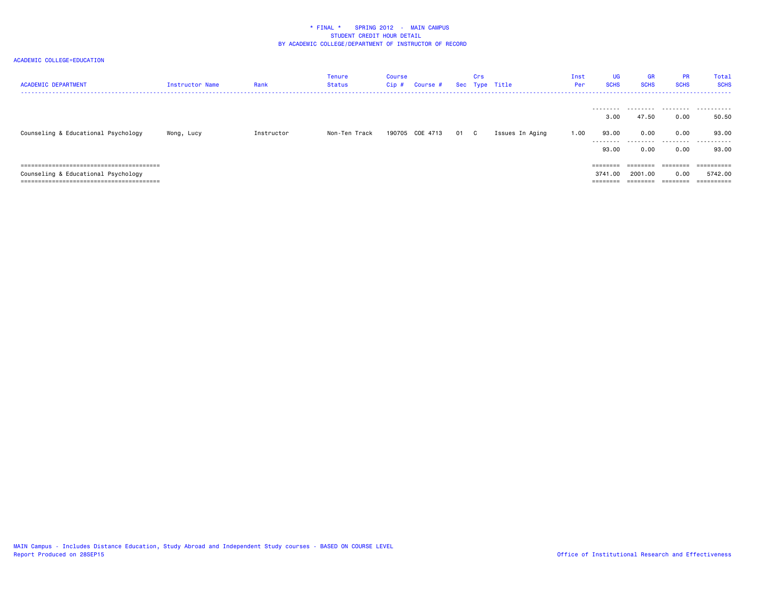| <b>ACADEMIC DEPARTMENT</b>          | <b>Instructor Name</b> | Rank       | Tenure<br>Status | Course<br>Cip# | Course #        |      | Crs | Sec Type Title  | Inst<br>Per | <b>UG</b><br><b>SCHS</b> | <b>GR</b><br><b>SCHS</b> | <b>PR</b><br><b>SCHS</b> | Total<br><b>SCHS</b> |
|-------------------------------------|------------------------|------------|------------------|----------------|-----------------|------|-----|-----------------|-------------|--------------------------|--------------------------|--------------------------|----------------------|
|                                     |                        |            |                  |                |                 |      |     |                 |             | .<br>3,00                | 47.50                    | 0.00                     | 50.50                |
| Counseling & Educational Psychology | Wong, Lucy             | Instructor | Non-Ten Track    |                | 190705 COE 4713 | 01 C |     | Issues In Aging | 1.00        | 93.00<br>.               | 0.00<br>.                | 0.00<br>.                | 93.00<br>.           |
|                                     |                        |            |                  |                |                 |      |     |                 |             | 93.00                    | 0.00                     | 0.00                     | 93.00                |
|                                     |                        |            |                  |                |                 |      |     |                 |             | ========                 | ---------<br>--------    | ========                 | ==========           |
| Counseling & Educational Psychology |                        |            |                  |                |                 |      |     |                 |             | .00.<br>3741             | 2001.00                  | 0.00                     | 5742.00              |
|                                     |                        |            |                  |                |                 |      |     |                 |             | ========                 |                          | ========                 | ==========           |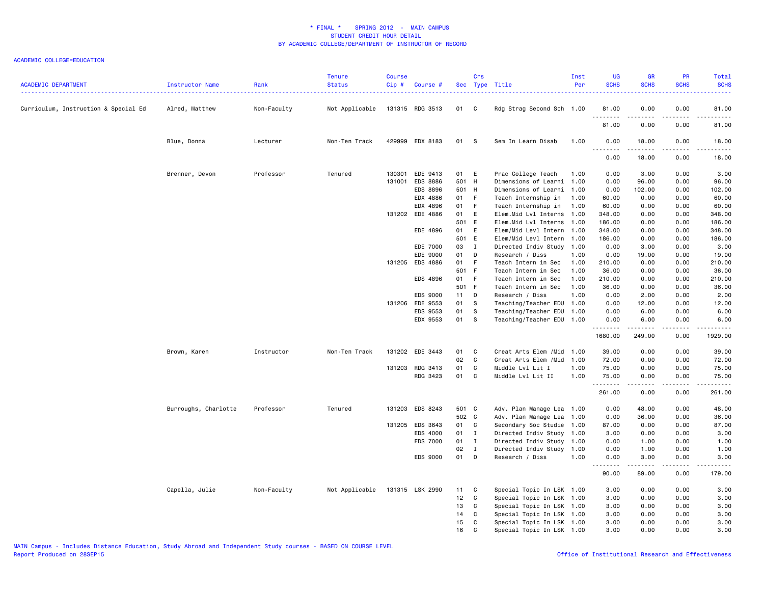| <b>ACADEMIC DEPARTMENT</b>           | Instructor Name      | Rank        | <b>Tenure</b><br><b>Status</b> | Course<br>Cip# | Course #        |        | Crs            | Sec Type Title             | Inst<br>Per | UG<br><b>SCHS</b> | <b>GR</b><br><b>SCHS</b>                                                                                                                                     | PR<br><b>SCHS</b>     | Total<br><b>SCHS</b> |
|--------------------------------------|----------------------|-------------|--------------------------------|----------------|-----------------|--------|----------------|----------------------------|-------------|-------------------|--------------------------------------------------------------------------------------------------------------------------------------------------------------|-----------------------|----------------------|
| Curriculum, Instruction & Special Ed | Alred, Matthew       | Non-Faculty | Not Applicable                 |                | 131315 RDG 3513 | 01 C   |                | Rdg Strag Second Sch 1.00  |             | 81.00<br>.        | 0.00                                                                                                                                                         | 0.00                  | 81.00<br>د د د د د   |
|                                      |                      |             |                                |                |                 |        |                |                            |             | 81.00             | .<br>0.00                                                                                                                                                    | $\frac{1}{2}$<br>0.00 | 81.00                |
|                                      | Blue, Donna          | Lecturer    | Non-Ten Track                  |                | 429999 EDX 8183 | 01     | s s            | Sem In Learn Disab         | 1.00        | 0.00<br>.         | 18.00<br>$- - - - - - -$                                                                                                                                     | 0.00<br>.             | 18.00<br>د د د د د   |
|                                      |                      |             |                                |                |                 |        |                |                            |             | 0.00              | 18.00                                                                                                                                                        | 0.00                  | 18.00                |
|                                      | Brenner, Devon       | Professor   | Tenured                        |                | 130301 EDE 9413 | 01 E   |                | Prac College Teach         | 1.00        | 0.00              | 3.00                                                                                                                                                         | 0.00                  | 3.00                 |
|                                      |                      |             |                                | 131001         | <b>EDS 8886</b> | 501 H  |                | Dimensions of Learni 1.00  |             | 0.00              | 96.00                                                                                                                                                        | 0.00                  | 96.00                |
|                                      |                      |             |                                |                | EDS 8896        | 501 H  |                | Dimensions of Learni 1.00  |             | 0.00              | 102.00                                                                                                                                                       | 0.00                  | 102.00               |
|                                      |                      |             |                                |                | EDX 4886        | 01     | $-F$           | Teach Internship in        | 1.00        | 60.00             | 0.00                                                                                                                                                         | 0.00                  | 60.00                |
|                                      |                      |             |                                |                | EDX 4896        | 01 F   |                | Teach Internship in        | 1.00        | 60.00             | 0.00                                                                                                                                                         | 0.00                  | 60.00                |
|                                      |                      |             |                                |                | 131202 EDE 4886 | 01     | E              | Elem.Mid Lvl Interns 1.00  |             | 348.00            | 0.00                                                                                                                                                         | 0.00                  | 348.00               |
|                                      |                      |             |                                |                |                 | 501 E  |                | Elem.Mid Lvl Interns 1.00  |             | 186.00            | 0.00                                                                                                                                                         | 0.00                  | 186.00               |
|                                      |                      |             |                                |                | EDE 4896        | 01     | E              | Elem/Mid Levl Intern       | 1.00        | 348.00            | 0.00                                                                                                                                                         | 0.00                  | 348.00               |
|                                      |                      |             |                                |                |                 | 501 E  |                | Elem/Mid Levl Intern 1.00  |             | 186.00            | 0.00                                                                                                                                                         | 0.00                  | 186.00               |
|                                      |                      |             |                                |                | EDE 7000        | 03     | $\mathbf{I}$   | Directed Indiv Study 1.00  |             | 0.00              | 3.00                                                                                                                                                         | 0.00                  | 3.00                 |
|                                      |                      |             |                                |                | EDE 9000        | 01     | D              | Research / Diss            | 1.00        | 0.00              | 19.00                                                                                                                                                        | 0.00                  | 19.00                |
|                                      |                      |             |                                |                | 131205 EDS 4886 | 01     | F              | Teach Intern in Sec        | 1.00        | 210.00            | 0.00                                                                                                                                                         | 0.00                  | 210.00               |
|                                      |                      |             |                                |                |                 | 501 F  |                | Teach Intern in Sec        | 1.00        | 36.00             | 0.00                                                                                                                                                         | 0.00                  | 36.00                |
|                                      |                      |             |                                |                | EDS 4896        | 01     | $-F$           | Teach Intern in Sec        | 1.00        | 210.00            | 0.00                                                                                                                                                         | 0.00                  | 210.00               |
|                                      |                      |             |                                |                |                 | 501 F  |                | Teach Intern in Sec        | 1.00        | 36.00             | 0.00                                                                                                                                                         | 0.00                  | 36.00                |
|                                      |                      |             |                                |                | EDS 9000        | $11$ D |                | Research / Diss            | 1.00        | 0.00              | 2.00                                                                                                                                                         | 0.00                  | 2.00                 |
|                                      |                      |             |                                |                | 131206 EDE 9553 | 01     | s              | Teaching/Teacher EDU 1.00  |             | 0.00              | 12.00                                                                                                                                                        | 0.00                  | 12.00                |
|                                      |                      |             |                                |                | EDS 9553        | 01     | S.             | Teaching/Teacher EDU 1.00  |             | 0.00              | 6.00                                                                                                                                                         | 0.00                  | 6.00                 |
|                                      |                      |             |                                |                | EDX 9553        | 01 S   |                | Teaching/Teacher EDU 1.00  |             | 0.00<br><u>.</u>  | 6.00                                                                                                                                                         | 0.00<br>$- - - -$     | 6.00<br>$    -$      |
|                                      |                      |             |                                |                |                 |        |                |                            |             | 1680.00           | 249.00                                                                                                                                                       | 0.00                  | 1929.00              |
|                                      | Brown, Karen         | Instructor  | Non-Ten Track                  |                | 131202 EDE 3443 | 01     | <b>C</b>       | Creat Arts Elem / Mid 1.00 |             | 39.00             | 0.00                                                                                                                                                         | 0.00                  | 39.00                |
|                                      |                      |             |                                |                |                 | 02     | $\mathbf c$    | Creat Arts Elem /Mid       | 1.00        | 72.00             | 0.00                                                                                                                                                         | 0.00                  | 72.00                |
|                                      |                      |             |                                |                | 131203 RDG 3413 | 01     | C              | Middle Lvl Lit I           | 1.00        | 75.00             | 0.00                                                                                                                                                         | 0.00                  | 75.00                |
|                                      |                      |             |                                |                | RDG 3423        | 01     | C <sub>c</sub> | Middle Lvl Lit II          | 1.00        | 75.00<br>.        | 0.00<br>-----                                                                                                                                                | 0.00<br>.             | 75.00<br>.           |
|                                      |                      |             |                                |                |                 |        |                |                            |             | 261.00            | 0.00                                                                                                                                                         | 0.00                  | 261.00               |
|                                      | Burroughs, Charlotte | Professor   | Tenured                        |                | 131203 EDS 8243 | 501 C  |                | Adv. Plan Manage Lea 1.00  |             | 0.00              | 48.00                                                                                                                                                        | 0.00                  | 48.00                |
|                                      |                      |             |                                |                |                 | 502 C  |                | Adv. Plan Manage Lea 1.00  |             | 0.00              | 36.00                                                                                                                                                        | 0.00                  | 36.00                |
|                                      |                      |             |                                |                | 131205 EDS 3643 | 01     | $\mathbf{C}$   | Secondary Soc Studie 1.00  |             | 87.00             | 0.00                                                                                                                                                         | 0.00                  | 87.00                |
|                                      |                      |             |                                |                | EDS 4000        | 01     | $\mathbf{I}$   | Directed Indiv Study 1.00  |             | 3.00              | 0.00                                                                                                                                                         | 0.00                  | 3.00                 |
|                                      |                      |             |                                |                | EDS 7000        | 01     | $\blacksquare$ | Directed Indiv Study 1.00  |             | 0.00              | 1.00                                                                                                                                                         | 0.00                  | 1.00                 |
|                                      |                      |             |                                |                |                 | 02     | $\mathbf{I}$   | Directed Indiv Study 1.00  |             | 0.00              | 1.00                                                                                                                                                         | 0.00                  | 1.00                 |
|                                      |                      |             |                                |                | EDS 9000        | 01     | D              | Research / Diss            | 1.00        | 0.00<br>.         | 3.00<br>$\frac{1}{2} \left( \frac{1}{2} \right) \left( \frac{1}{2} \right) \left( \frac{1}{2} \right) \left( \frac{1}{2} \right) \left( \frac{1}{2} \right)$ | 0.00<br>.             | 3.00<br>$\sim$       |
|                                      |                      |             |                                |                |                 |        |                |                            |             | 90.00             | 89.00                                                                                                                                                        | 0.00                  | 179.00               |
|                                      | Capella, Julie       | Non-Faculty | Not Applicable                 |                | 131315 LSK 2990 | 11     | C              | Special Topic In LSK 1.00  |             | 3.00              | 0.00                                                                                                                                                         | 0.00                  | 3.00                 |
|                                      |                      |             |                                |                |                 | 12     | C              | Special Topic In LSK 1.00  |             | 3.00              | 0.00                                                                                                                                                         | 0.00                  | 3.00                 |
|                                      |                      |             |                                |                |                 | 13     | C              | Special Topic In LSK 1.00  |             | 3.00              | 0.00                                                                                                                                                         | 0.00                  | 3.00                 |
|                                      |                      |             |                                |                |                 | 14     | C              | Special Topic In LSK 1.00  |             | 3.00              | 0.00                                                                                                                                                         | 0.00                  | 3.00                 |
|                                      |                      |             |                                |                |                 | 15     | C              | Special Topic In LSK 1.00  |             | 3.00              | 0.00                                                                                                                                                         | 0.00                  | 3.00                 |
|                                      |                      |             |                                |                |                 | 16     | C              | Special Topic In LSK 1.00  |             | 3.00              | 0.00                                                                                                                                                         | 0.00                  | 3.00                 |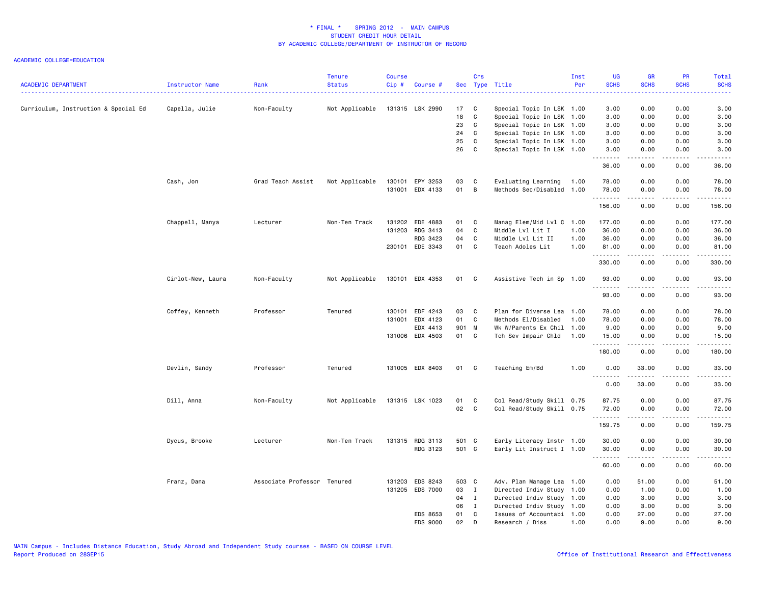| <b>ACADEMIC DEPARTMENT</b>           | Instructor Name   | Rank                        | <b>Tenure</b><br><b>Status</b> | <b>Course</b><br>Cip# | Course #        |       | Crs          | Sec Type Title            | Inst<br>Per | <b>UG</b><br><b>SCHS</b> | <b>GR</b><br><b>SCHS</b> | PR<br><b>SCHS</b> | Total<br><b>SCHS</b>                                                                                                                                          |
|--------------------------------------|-------------------|-----------------------------|--------------------------------|-----------------------|-----------------|-------|--------------|---------------------------|-------------|--------------------------|--------------------------|-------------------|---------------------------------------------------------------------------------------------------------------------------------------------------------------|
| Curriculum, Instruction & Special Ed | Capella, Julie    | Non-Faculty                 | Not Applicable                 |                       | 131315 LSK 2990 | 17    | <b>C</b>     | Special Topic In LSK 1.00 |             | 3.00                     | 0.00                     | 0.00              | 3.00                                                                                                                                                          |
|                                      |                   |                             |                                |                       |                 | 18    | $\mathbf c$  | Special Topic In LSK 1.00 |             | 3.00                     | 0.00                     | 0.00              | 3.00                                                                                                                                                          |
|                                      |                   |                             |                                |                       |                 | 23    | C            | Special Topic In LSK 1.00 |             | 3.00                     | 0.00                     | 0.00              | 3.00                                                                                                                                                          |
|                                      |                   |                             |                                |                       |                 | 24    | C            | Special Topic In LSK 1.00 |             | 3.00                     | 0.00                     | 0.00              | 3.00                                                                                                                                                          |
|                                      |                   |                             |                                |                       |                 | 25    | C            | Special Topic In LSK 1.00 |             | 3.00                     | 0.00                     | 0.00              | 3.00                                                                                                                                                          |
|                                      |                   |                             |                                |                       |                 | 26    | C            | Special Topic In LSK 1.00 |             | 3.00<br>.                | 0.00                     | 0.00<br>.         | 3.00<br>-----                                                                                                                                                 |
|                                      |                   |                             |                                |                       |                 |       |              |                           |             | 36.00                    | 0.00                     | 0.00              | 36.00                                                                                                                                                         |
|                                      | Cash, Jon         | Grad Teach Assist           | Not Applicable                 |                       | 130101 EPY 3253 | 03    | C            | Evaluating Learning       | 1.00        | 78.00                    | 0.00                     | 0.00              | 78.00                                                                                                                                                         |
|                                      |                   |                             |                                |                       | 131001 EDX 4133 | 01    | B            | Methods Sec/Disabled 1.00 |             | 78.00<br>.               | 0.00<br>.                | 0.00<br>.         | 78.00<br>.                                                                                                                                                    |
|                                      |                   |                             |                                |                       |                 |       |              |                           |             | 156.00                   | 0.00                     | 0.00              | 156.00                                                                                                                                                        |
|                                      | Chappell, Manya   | Lecturer                    | Non-Ten Track                  |                       | 131202 EDE 4883 | 01 C  |              | Manag Elem/Mid Lvl C 1.00 |             | 177.00                   | 0.00                     | 0.00              | 177.00                                                                                                                                                        |
|                                      |                   |                             |                                |                       | 131203 RDG 3413 | 04    | $\mathbf c$  | Middle Lvl Lit I          | 1.00        | 36.00                    | 0.00                     | 0.00              | 36.00                                                                                                                                                         |
|                                      |                   |                             |                                |                       | RDG 3423        | 04    | C            | Middle Lvl Lit II         | 1.00        | 36.00                    | 0.00                     | 0.00              | 36.00                                                                                                                                                         |
|                                      |                   |                             |                                |                       | 230101 EDE 3343 | 01 C  |              | Teach Adoles Lit          | 1.00        | 81.00<br>. <b>.</b>      | 0.00<br>.                | 0.00<br>.         | 81.00<br>.                                                                                                                                                    |
|                                      |                   |                             |                                |                       |                 |       |              |                           |             | 330.00                   | 0.00                     | 0.00              | 330.00                                                                                                                                                        |
|                                      | Cirlot-New, Laura | Non-Faculty                 | Not Applicable                 |                       | 130101 EDX 4353 | 01 C  |              | Assistive Tech in Sp 1.00 |             | 93.00<br>.               | 0.00<br>.                | 0.00<br>.         | 93.00<br>$\frac{1}{2} \left( \frac{1}{2} \right) \left( \frac{1}{2} \right) \left( \frac{1}{2} \right) \left( \frac{1}{2} \right) \left( \frac{1}{2} \right)$ |
|                                      |                   |                             |                                |                       |                 |       |              |                           |             | 93.00                    | 0.00                     | 0.00              | 93.00                                                                                                                                                         |
|                                      | Coffey, Kenneth   | Professor                   | Tenured                        |                       | 130101 EDF 4243 | 03    | $\mathbf{C}$ | Plan for Diverse Lea 1.00 |             | 78.00                    | 0.00                     | 0.00              | 78.00                                                                                                                                                         |
|                                      |                   |                             |                                |                       | 131001 EDX 4123 | 01    | C            | Methods El/Disabled       | 1.00        | 78.00                    | 0.00                     | 0.00              | 78.00                                                                                                                                                         |
|                                      |                   |                             |                                |                       | EDX 4413        | 901 M |              | Wk W/Parents Ex Chil 1.00 |             | 9.00                     | 0.00                     | 0.00              | 9.00                                                                                                                                                          |
|                                      |                   |                             |                                |                       | 131006 EDX 4503 | 01    | C            | Tch Sev Impair Chld       | 1.00        | 15.00<br>.               | 0.00<br>.                | 0.00<br>.         | 15.00<br>.                                                                                                                                                    |
|                                      |                   |                             |                                |                       |                 |       |              |                           |             | 180.00                   | 0.00                     | 0.00              | 180.00                                                                                                                                                        |
|                                      | Devlin, Sandy     | Professor                   | Tenured                        |                       | 131005 EDX 8403 | 01 C  |              | Teaching Em/Bd            | 1.00        | 0.00                     | 33.00                    | 0.00              | 33.00                                                                                                                                                         |
|                                      |                   |                             |                                |                       |                 |       |              |                           |             | <u>.</u><br>0.00         | 33.00                    | .<br>0.00         | .<br>33.00                                                                                                                                                    |
|                                      | Dill, Anna        | Non-Faculty                 | Not Applicable                 |                       | 131315 LSK 1023 | 01    | C            | Col Read/Study Skill 0.75 |             | 87.75                    | 0.00                     | 0.00              | 87.75                                                                                                                                                         |
|                                      |                   |                             |                                |                       |                 | 02    | C            | Col Read/Study Skill 0.75 |             | 72.00                    | 0.00<br>.                | 0.00              | 72.00                                                                                                                                                         |
|                                      |                   |                             |                                |                       |                 |       |              |                           |             | .<br>159.75              | 0.00                     | .<br>0.00         | .<br>159.75                                                                                                                                                   |
|                                      | Dycus, Brooke     | Lecturer                    | Non-Ten Track                  |                       | 131315 RDG 3113 | 501 C |              | Early Literacy Instr 1.00 |             | 30.00                    | 0.00                     | 0.00              | 30.00                                                                                                                                                         |
|                                      |                   |                             |                                |                       | RDG 3123        | 501 C |              | Early Lit Instruct I 1.00 |             | 30.00                    | 0.00                     | 0.00              | 30.00                                                                                                                                                         |
|                                      |                   |                             |                                |                       |                 |       |              |                           |             | . <b>.</b>               |                          | .                 | -----                                                                                                                                                         |
|                                      |                   |                             |                                |                       |                 |       |              |                           |             | 60.00                    | 0.00                     | 0.00              | 60.00                                                                                                                                                         |
|                                      | Franz, Dana       | Associate Professor Tenured |                                |                       | 131203 EDS 8243 | 503 C |              | Adv. Plan Manage Lea 1.00 |             | 0.00                     | 51.00                    | 0.00              | 51.00                                                                                                                                                         |
|                                      |                   |                             |                                |                       | 131205 EDS 7000 | 03    | $\mathbf{I}$ | Directed Indiv Study 1.00 |             | 0.00                     | 1.00                     | 0.00              | 1.00                                                                                                                                                          |
|                                      |                   |                             |                                |                       |                 | 04    | $\mathbf{I}$ | Directed Indiv Study 1.00 |             | 0.00                     | 3.00                     | 0.00              | 3.00                                                                                                                                                          |
|                                      |                   |                             |                                |                       |                 | 06    | $\mathbf{I}$ | Directed Indiv Study 1.00 |             | 0.00                     | 3.00                     | 0.00              | 3.00                                                                                                                                                          |
|                                      |                   |                             |                                |                       | EDS 8653        | 01    | $\mathbf{C}$ | Issues of Accountabi 1.00 |             | 0.00                     | 27.00                    | 0.00              | 27.00                                                                                                                                                         |
|                                      |                   |                             |                                |                       | EDS 9000        | 02    | D            | Research / Diss           | 1.00        | 0.00                     | 9.00                     | 0.00              | 9.00                                                                                                                                                          |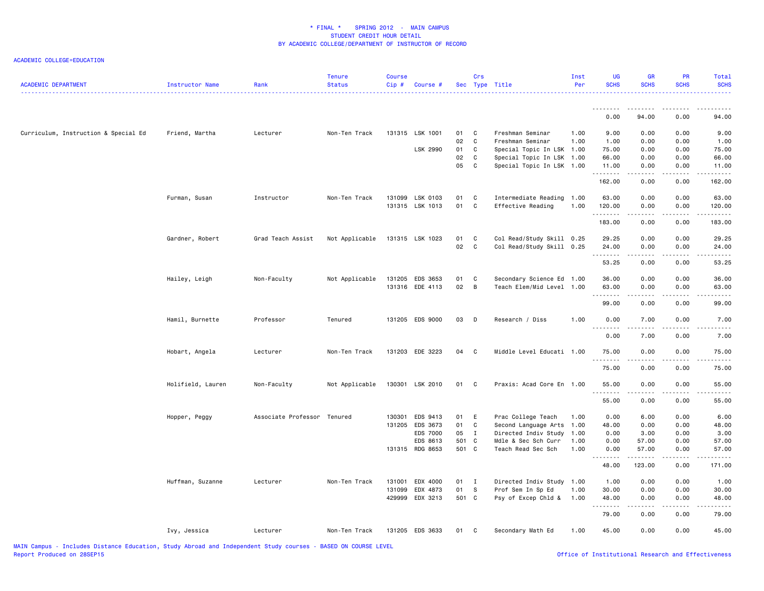| <b>ACADEMIC DEPARTMENT</b>           | Instructor Name   | Rank                        | <b>Tenure</b><br><b>Status</b> | <b>Course</b><br>Cip# | Course #        |        | Crs          | Sec Type Title            | Inst<br>Per | <b>UG</b><br><b>SCHS</b> | <b>GR</b><br><b>SCHS</b> | <b>PR</b><br><b>SCHS</b>                                                                                                          | Total<br><b>SCHS</b> |
|--------------------------------------|-------------------|-----------------------------|--------------------------------|-----------------------|-----------------|--------|--------------|---------------------------|-------------|--------------------------|--------------------------|-----------------------------------------------------------------------------------------------------------------------------------|----------------------|
|                                      |                   |                             |                                |                       |                 |        |              |                           |             | 0.00                     | 94.00                    | 0.00                                                                                                                              | 94.00                |
| Curriculum, Instruction & Special Ed | Friend, Martha    | Lecturer                    | Non-Ten Track                  |                       | 131315 LSK 1001 | 01     | C            | Freshman Seminar          | 1.00        | 9.00                     | 0.00                     | 0.00                                                                                                                              | 9.00                 |
|                                      |                   |                             |                                |                       |                 | 02     | C            | Freshman Seminar          | 1.00        | 1.00                     | 0.00                     | 0.00                                                                                                                              | 1.00                 |
|                                      |                   |                             |                                |                       | LSK 2990        | 01     | $\mathbf{C}$ | Special Topic In LSK 1.00 |             | 75.00                    | 0.00                     | 0.00                                                                                                                              | 75.00                |
|                                      |                   |                             |                                |                       |                 | 02     | $\mathbf c$  | Special Topic In LSK 1.00 |             | 66.00                    | 0.00                     | 0.00                                                                                                                              | 66.00                |
|                                      |                   |                             |                                |                       |                 | 05     | $\mathbb C$  | Special Topic In LSK 1.00 |             | 11.00<br>.               | 0.00                     | 0.00                                                                                                                              | 11.00                |
|                                      |                   |                             |                                |                       |                 |        |              |                           |             | 162.00                   | 0.00                     | 0.00                                                                                                                              | 162.00               |
|                                      | Furman, Susan     | Instructor                  | Non-Ten Track                  |                       | 131099 LSK 0103 | 01     | C            | Intermediate Reading 1.00 |             | 63.00                    | 0.00                     | 0.00                                                                                                                              | 63.00                |
|                                      |                   |                             |                                |                       | 131315 LSK 1013 | 01     | $\mathbf{C}$ | Effective Reading         | 1.00        | 120.00<br>.              | 0.00<br>$\frac{1}{2}$    | 0.00<br>$\sim$ $\sim$ $\sim$ $\sim$                                                                                               | 120.00<br>.          |
|                                      |                   |                             |                                |                       |                 |        |              |                           |             | 183.00                   | 0.00                     | 0.00                                                                                                                              | 183.00               |
|                                      | Gardner, Robert   | Grad Teach Assist           | Not Applicable                 |                       | 131315 LSK 1023 | 01     | C            | Col Read/Study Skill 0.25 |             | 29.25                    | 0.00                     | 0.00                                                                                                                              | 29.25                |
|                                      |                   |                             |                                |                       |                 | 02     | C            | Col Read/Study Skill 0.25 |             | 24.00<br>.               | 0.00<br>.                | 0.00<br>$\frac{1}{2} \left( \frac{1}{2} \right) \left( \frac{1}{2} \right) \left( \frac{1}{2} \right) \left( \frac{1}{2} \right)$ | 24.00<br>.           |
|                                      |                   |                             |                                |                       |                 |        |              |                           |             | 53.25                    | 0.00                     | 0.00                                                                                                                              | 53.25                |
|                                      | Hailey, Leigh     | Non-Faculty                 | Not Applicable                 |                       | 131205 EDS 3653 | 01     | C            | Secondary Science Ed 1.00 |             | 36.00                    | 0.00                     | 0.00                                                                                                                              | 36.00                |
|                                      |                   |                             |                                |                       | 131316 EDE 4113 | 02 B   |              | Teach Elem/Mid Level 1.00 |             | 63.00<br>.               | 0.00<br>.                | 0.00<br>.                                                                                                                         | 63.00<br>.           |
|                                      |                   |                             |                                |                       |                 |        |              |                           |             | 99.00                    | 0.00                     | 0.00                                                                                                                              | 99.00                |
|                                      | Hamil, Burnette   | Professor                   | Tenured                        |                       | 131205 EDS 9000 | 03     | $\mathsf{D}$ | Research / Diss           | 1.00        | 0.00<br>.                | 7.00<br>.                | 0.00<br>.                                                                                                                         | 7.00<br>.            |
|                                      |                   |                             |                                |                       |                 |        |              |                           |             | 0.00                     | 7.00                     | 0.00                                                                                                                              | 7.00                 |
|                                      | Hobart, Angela    | Lecturer                    | Non-Ten Track                  |                       | 131203 EDE 3223 | 04     | $\mathbf{C}$ | Middle Level Educati 1.00 |             | 75.00<br>.               | 0.00                     | 0.00                                                                                                                              | 75.00                |
|                                      |                   |                             |                                |                       |                 |        |              |                           |             | 75.00                    | 0.00                     | 0.00                                                                                                                              | 75.00                |
|                                      | Holifield, Lauren | Non-Faculty                 | Not Applicable                 |                       | 130301 LSK 2010 | 01 C   |              | Praxis: Acad Core En 1.00 |             | 55.00                    | 0.00                     | 0.00                                                                                                                              | 55.00                |
|                                      |                   |                             |                                |                       |                 |        |              |                           |             | .<br>55.00               | 0.00                     | 0.00                                                                                                                              | 55.00                |
|                                      | Hopper, Peggy     | Associate Professor Tenured |                                | 130301                | EDS 9413        | 01     | E            | Prac College Teach        | 1.00        | 0.00                     | 6.00                     | 0.00                                                                                                                              | 6.00                 |
|                                      |                   |                             |                                | 131205                | EDS 3673        | 01     | C            | Second Language Arts 1.00 |             | 48.00                    | 0.00                     | 0.00                                                                                                                              | 48.00                |
|                                      |                   |                             |                                |                       | EDS 7000        | 05     | $\mathbf{I}$ | Directed Indiv Study 1.00 |             | 0.00                     | 3.00                     | 0.00                                                                                                                              | 3.00                 |
|                                      |                   |                             |                                |                       | EDS 8613        | 501 C  |              | Mdle & Sec Sch Curr       | 1.00        | 0.00                     | 57.00                    | 0.00                                                                                                                              | 57.00                |
|                                      |                   |                             |                                |                       | 131315 RDG 8653 | 501 C  |              | Teach Read Sec Sch        | 1.00        | 0.00<br>.                | 57.00<br>-----           | 0.00<br>$\cdots$                                                                                                                  | 57.00<br>.           |
|                                      |                   |                             |                                |                       |                 |        |              |                           |             | 48.00                    | 123.00                   | 0.00                                                                                                                              | 171.00               |
|                                      | Huffman, Suzanne  | Lecturer                    | Non-Ten Track                  | 131001                | EDX 4000        | $01$ I |              | Directed Indiv Study 1.00 |             | 1.00                     | 0.00                     | 0.00                                                                                                                              | 1.00                 |
|                                      |                   |                             |                                | 131099                | EDX 4873        | 01     | - S          | Prof Sem In Sp Ed         | 1.00        | 30.00                    | 0.00                     | 0.00                                                                                                                              | 30.00                |
|                                      |                   |                             |                                | 429999                | EDX 3213        | 501 C  |              | Psy of Excep Chld &       | 1.00        | 48.00<br>.               | 0.00                     | 0.00                                                                                                                              | 48.00                |
|                                      |                   |                             |                                |                       |                 |        |              |                           |             | 79.00                    | 0.00                     | 0.00                                                                                                                              | 79.00                |
|                                      | Ivy, Jessica      | Lecturer                    | Non-Ten Track                  |                       | 131205 EDS 3633 | 01     | $\mathbf{C}$ | Secondary Math Ed         | 1.00        | 45.00                    | 0.00                     | 0.00                                                                                                                              | 45.00                |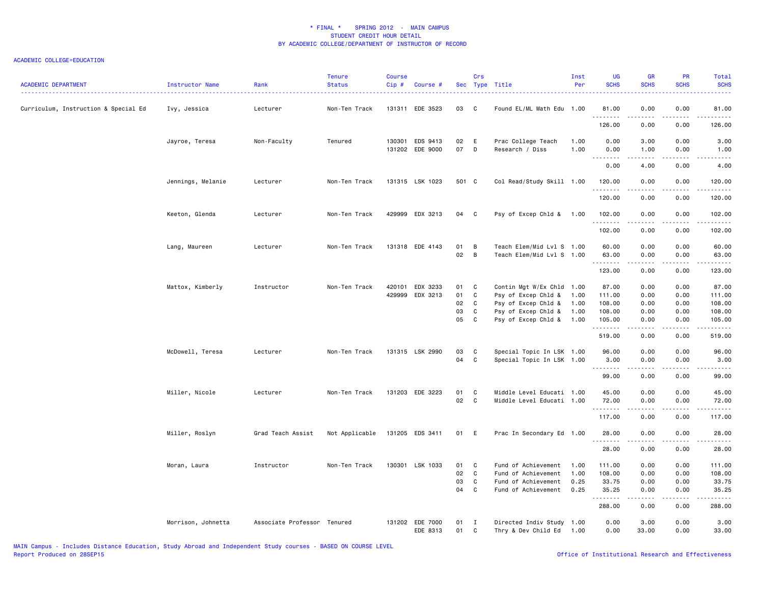| <b>ACADEMIC DEPARTMENT</b>           | Instructor Name    | Rank                        | Tenure<br><b>Status</b> | <b>Course</b><br>Cip# | Course #                           |          | Crs                          | Sec Type Title                                         | Inst<br>Per  | <b>UG</b><br><b>SCHS</b>                                                                                                                                                                                                                                                                                                                                                                                                                                                                        | <b>GR</b><br><b>SCHS</b> | PR<br><b>SCHS</b>                   | Total<br><b>SCHS</b>                                                                                                  |
|--------------------------------------|--------------------|-----------------------------|-------------------------|-----------------------|------------------------------------|----------|------------------------------|--------------------------------------------------------|--------------|-------------------------------------------------------------------------------------------------------------------------------------------------------------------------------------------------------------------------------------------------------------------------------------------------------------------------------------------------------------------------------------------------------------------------------------------------------------------------------------------------|--------------------------|-------------------------------------|-----------------------------------------------------------------------------------------------------------------------|
| Curriculum, Instruction & Special Ed | Ivy, Jessica       | Lecturer                    | Non-Ten Track           |                       | 131311 EDE 3523                    | 03       | C                            | Found EL/ML Math Edu 1.00                              |              | 81.00<br>.                                                                                                                                                                                                                                                                                                                                                                                                                                                                                      | 0.00<br>.                | 0.00<br>$\sim$ $\sim$ $\sim$        | 81.00<br>.                                                                                                            |
|                                      |                    |                             |                         |                       |                                    |          |                              |                                                        |              | 126.00                                                                                                                                                                                                                                                                                                                                                                                                                                                                                          | 0.00                     | 0.00                                | 126.00                                                                                                                |
|                                      | Jayroe, Teresa     | Non-Faculty                 | Tenured                 |                       | 130301 EDS 9413<br>131202 EDE 9000 | 02<br>07 | E<br>$\mathsf{D}$            | Prac College Teach<br>Research / Diss                  | 1.00<br>1.00 | 0.00<br>0.00                                                                                                                                                                                                                                                                                                                                                                                                                                                                                    | 3.00<br>1.00             | 0.00<br>0.00                        | 3.00<br>1.00                                                                                                          |
|                                      |                    |                             |                         |                       |                                    |          |                              |                                                        |              | --------<br>0.00                                                                                                                                                                                                                                                                                                                                                                                                                                                                                | .<br>4.00                | $\sim$ $\sim$ $\sim$ $\sim$<br>0.00 | د د د د د<br>$- - -$<br>4.00                                                                                          |
|                                      | Jennings, Melanie  | Lecturer                    | Non-Ten Track           |                       | 131315 LSK 1023                    | 501 C    |                              | Col Read/Study Skill 1.00                              |              | 120.00<br>.                                                                                                                                                                                                                                                                                                                                                                                                                                                                                     | 0.00                     | 0.00<br>.                           | 120.00<br>.                                                                                                           |
|                                      |                    |                             |                         |                       |                                    |          |                              |                                                        |              | 120.00                                                                                                                                                                                                                                                                                                                                                                                                                                                                                          | 0.00                     | 0.00                                | 120.00                                                                                                                |
|                                      | Keeton, Glenda     | Lecturer                    | Non-Ten Track           |                       | 429999 EDX 3213                    | 04       | $\mathbf{C}$                 | Psy of Excep Chld & 1.00                               |              | 102.00<br>.                                                                                                                                                                                                                                                                                                                                                                                                                                                                                     | 0.00<br>.                | 0.00<br>$\frac{1}{2}$               | 102.00<br>.                                                                                                           |
|                                      |                    |                             |                         |                       |                                    |          |                              |                                                        |              | 102.00                                                                                                                                                                                                                                                                                                                                                                                                                                                                                          | 0.00                     | 0.00                                | 102.00                                                                                                                |
|                                      | Lang, Maureen      | Lecturer                    | Non-Ten Track           |                       | 131318 EDE 4143                    | 01<br>02 | B<br>B                       | Teach Elem/Mid Lvl S 1.00<br>Teach Elem/Mid Lvl S 1.00 |              | 60.00<br>63.00<br><b></b>                                                                                                                                                                                                                                                                                                                                                                                                                                                                       | 0.00<br>0.00             | 0.00<br>0.00<br>.                   | 60.00<br>63.00<br>.                                                                                                   |
|                                      |                    |                             |                         |                       |                                    |          |                              |                                                        |              | 123.00                                                                                                                                                                                                                                                                                                                                                                                                                                                                                          | .<br>0.00                | 0.00                                | 123.00                                                                                                                |
|                                      | Mattox, Kimberly   | Instructor                  | Non-Ten Track           | 420101                | EDX 3233                           | 01       | $\mathbf{C}$                 | Contin Mgt W/Ex Chld 1.00                              |              | 87.00                                                                                                                                                                                                                                                                                                                                                                                                                                                                                           | 0.00                     | 0.00                                | 87.00                                                                                                                 |
|                                      |                    |                             |                         | 429999                | EDX 3213                           | 01       | C                            | Psy of Excep Chld &                                    | 1.00         | 111.00                                                                                                                                                                                                                                                                                                                                                                                                                                                                                          | 0.00                     | 0.00                                | 111.00                                                                                                                |
|                                      |                    |                             |                         |                       |                                    | 02       | C                            | Psy of Excep Chld &                                    | 1.00         | 108.00                                                                                                                                                                                                                                                                                                                                                                                                                                                                                          | 0.00                     | 0.00                                | 108.00                                                                                                                |
|                                      |                    |                             |                         |                       |                                    | 03       | C                            | Psy of Excep Chld &                                    | 1.00         | 108.00                                                                                                                                                                                                                                                                                                                                                                                                                                                                                          | 0.00                     | 0.00                                | 108.00                                                                                                                |
|                                      |                    |                             |                         |                       |                                    | 05       | C                            | Psy of Excep Chld &                                    | 1.00         | 105.00                                                                                                                                                                                                                                                                                                                                                                                                                                                                                          | 0.00                     | 0.00                                | 105.00                                                                                                                |
|                                      |                    |                             |                         |                       |                                    |          |                              |                                                        |              | .<br>519.00                                                                                                                                                                                                                                                                                                                                                                                                                                                                                     | د د د د<br>0.00          | .<br>0.00                           | $\begin{array}{cccccccccc} \bullet & \bullet & \bullet & \bullet & \bullet & \bullet & \bullet \end{array}$<br>519.00 |
|                                      | McDowell, Teresa   | Lecturer                    | Non-Ten Track           |                       | 131315 LSK 2990                    | 03       | C                            | Special Topic In LSK 1.00                              |              | 96.00                                                                                                                                                                                                                                                                                                                                                                                                                                                                                           | 0.00                     | 0.00                                | 96.00                                                                                                                 |
|                                      |                    |                             |                         |                       |                                    | 04       | C                            | Special Topic In LSK 1.00                              |              | 3.00                                                                                                                                                                                                                                                                                                                                                                                                                                                                                            | 0.00                     | 0.00                                | 3.00                                                                                                                  |
|                                      |                    |                             |                         |                       |                                    |          |                              |                                                        |              | $\begin{array}{cccccccccccccc} \multicolumn{2}{c}{} & \multicolumn{2}{c}{} & \multicolumn{2}{c}{} & \multicolumn{2}{c}{} & \multicolumn{2}{c}{} & \multicolumn{2}{c}{} & \multicolumn{2}{c}{} & \multicolumn{2}{c}{} & \multicolumn{2}{c}{} & \multicolumn{2}{c}{} & \multicolumn{2}{c}{} & \multicolumn{2}{c}{} & \multicolumn{2}{c}{} & \multicolumn{2}{c}{} & \multicolumn{2}{c}{} & \multicolumn{2}{c}{} & \multicolumn{2}{c}{} & \multicolumn{2}{c}{} & \multicolumn{2}{c}{} & \$<br>99.00 | -----<br>0.00            | .<br>0.00                           | .<br>99.00                                                                                                            |
|                                      | Miller, Nicole     | Lecturer                    | Non-Ten Track           |                       | 131203 EDE 3223                    | 01       | C                            | Middle Level Educati 1.00                              |              | 45.00                                                                                                                                                                                                                                                                                                                                                                                                                                                                                           | 0.00                     | 0.00                                | 45.00                                                                                                                 |
|                                      |                    |                             |                         |                       |                                    | 02       | C.                           | Middle Level Educati 1.00                              |              | 72.00                                                                                                                                                                                                                                                                                                                                                                                                                                                                                           | 0.00                     | 0.00                                | 72.00                                                                                                                 |
|                                      |                    |                             |                         |                       |                                    |          |                              |                                                        |              | .<br>117.00                                                                                                                                                                                                                                                                                                                                                                                                                                                                                     | .<br>0.00                | .<br>0.00                           | .<br>117.00                                                                                                           |
|                                      | Miller, Roslyn     | Grad Teach Assist           | Not Applicable          |                       | 131205 EDS 3411                    | 01 E     |                              | Prac In Secondary Ed 1.00                              |              | 28.00                                                                                                                                                                                                                                                                                                                                                                                                                                                                                           | 0.00                     | 0.00                                | 28.00                                                                                                                 |
|                                      |                    |                             |                         |                       |                                    |          |                              |                                                        |              | .<br>28.00                                                                                                                                                                                                                                                                                                                                                                                                                                                                                      | .<br>0.00                | $\sim$ $\sim$ $\sim$<br>0.00        | .<br>28.00                                                                                                            |
|                                      | Moran, Laura       | Instructor                  | Non-Ten Track           |                       | 130301 LSK 1033                    | 01       | C                            | Fund of Achievement                                    | 1.00         | 111.00                                                                                                                                                                                                                                                                                                                                                                                                                                                                                          | 0.00                     | 0.00                                | 111.00                                                                                                                |
|                                      |                    |                             |                         |                       |                                    | 02       | C                            | Fund of Achievement                                    | 1.00         | 108.00                                                                                                                                                                                                                                                                                                                                                                                                                                                                                          | 0.00                     | 0.00                                | 108.00                                                                                                                |
|                                      |                    |                             |                         |                       |                                    | 03       | C                            | Fund of Achievement                                    | 0.25         | 33.75                                                                                                                                                                                                                                                                                                                                                                                                                                                                                           | 0.00                     | 0.00                                | 33.75                                                                                                                 |
|                                      |                    |                             |                         |                       |                                    | 04       | $\mathbf c$                  | Fund of Achievement                                    | 0.25         | 35.25                                                                                                                                                                                                                                                                                                                                                                                                                                                                                           | 0.00                     | 0.00                                | 35.25                                                                                                                 |
|                                      |                    |                             |                         |                       |                                    |          |                              |                                                        |              | .<br>288.00                                                                                                                                                                                                                                                                                                                                                                                                                                                                                     | -----<br>0.00            | .<br>0.00                           | .<br>288.00                                                                                                           |
|                                      | Morrison, Johnetta | Associate Professor Tenured |                         |                       | 131202 EDE 7000<br>EDE 8313        | 01<br>01 | $\mathbf{I}$<br>$\mathbf{C}$ | Directed Indiv Study 1.00<br>Thry & Dev Child Ed       | 1.00         | 0.00<br>0.00                                                                                                                                                                                                                                                                                                                                                                                                                                                                                    | 3.00<br>33.00            | 0.00<br>0.00                        | 3.00<br>33.00                                                                                                         |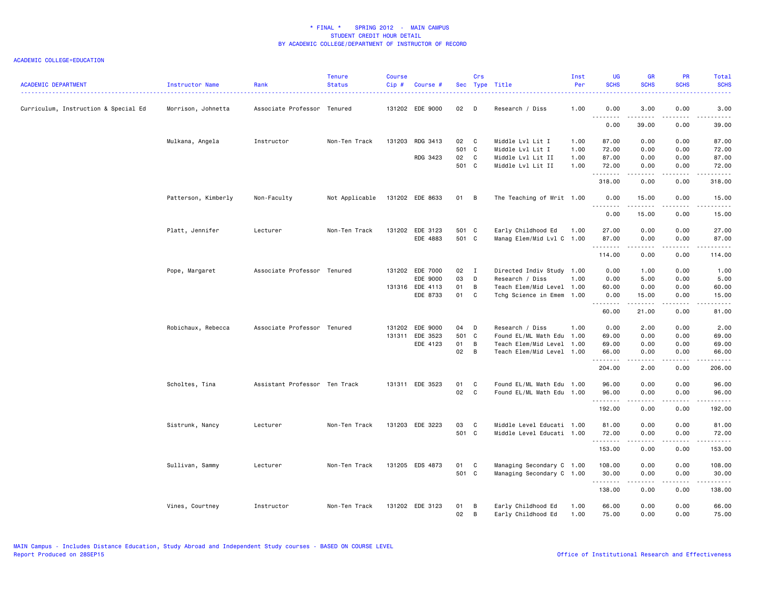| <b>ACADEMIC DEPARTMENT</b>           | Instructor Name     | Rank                          | <b>Tenure</b><br><b>Status</b> | <b>Course</b><br>$Cip$ # | Course #        |               | Crs          | Sec Type Title            | Inst<br>Per | <b>UG</b><br><b>SCHS</b> | <b>GR</b><br><b>SCHS</b> | PR<br><b>SCHS</b> | Total<br><b>SCHS</b> |
|--------------------------------------|---------------------|-------------------------------|--------------------------------|--------------------------|-----------------|---------------|--------------|---------------------------|-------------|--------------------------|--------------------------|-------------------|----------------------|
| Curriculum, Instruction & Special Ed | Morrison, Johnetta  | Associate Professor Tenured   |                                |                          | 131202 EDE 9000 | 02            | D            | Research / Diss           | 1.00        | 0.00<br>.                | 3.00<br>.                | 0.00<br>.         | 3.00<br>د د د د د    |
|                                      |                     |                               |                                |                          |                 |               |              |                           |             | 0.00                     | 39.00                    | 0.00              | 39.00                |
|                                      | Mulkana, Angela     | Instructor                    | Non-Ten Track                  | 131203                   | RDG 3413        | 02            | C            | Middle Lvl Lit I          | 1.00        | 87.00                    | 0.00                     | 0.00              | 87.00                |
|                                      |                     |                               |                                |                          |                 | 501 C         |              | Middle Lvl Lit I          | 1.00        | 72.00                    | 0.00                     | 0.00              | 72.00                |
|                                      |                     |                               |                                |                          | RDG 3423        | 02            | $\mathbf c$  | Middle Lvl Lit II         | 1.00        | 87.00                    | 0.00                     | 0.00              | 87.00                |
|                                      |                     |                               |                                |                          |                 | 501 C         |              | Middle Lvl Lit II         | 1.00        | 72.00<br>.               | 0.00<br>.                | 0.00<br>.         | 72.00<br>------      |
|                                      |                     |                               |                                |                          |                 |               |              |                           |             | 318.00                   | 0.00                     | 0.00              | 318.00               |
|                                      | Patterson, Kimberly | Non-Faculty                   | Not Applicable                 |                          | 131202 EDE 8633 | 01 B          |              | The Teaching of Writ 1.00 |             | 0.00                     | 15.00<br><u>.</u>        | 0.00<br>$- - - -$ | 15.00<br>$- - - -$   |
|                                      |                     |                               |                                |                          |                 |               |              |                           |             | 0.00                     | 15.00                    | 0.00              | 15.00                |
|                                      | Platt, Jennifer     | Lecturer                      | Non-Ten Track                  | 131202                   | EDE 3123        | 501 C         |              | Early Childhood Ed        | 1.00        | 27.00                    | 0.00                     | 0.00              | 27.00                |
|                                      |                     |                               |                                |                          | EDE 4883        | 501 C         |              | Manag Elem/Mid Lvl C 1.00 |             | 87.00<br>.               | 0.00<br>.                | 0.00<br>.         | 87.00<br>.           |
|                                      |                     |                               |                                |                          |                 |               |              |                           |             | 114.00                   | 0.00                     | 0.00              | 114.00               |
|                                      | Pope, Margaret      | Associate Professor Tenured   |                                |                          | 131202 EDE 7000 | $02 \qquad I$ |              | Directed Indiv Study 1.00 |             | 0.00                     | 1.00                     | 0.00              | 1.00                 |
|                                      |                     |                               |                                |                          | EDE 9000        | 03            | D            | Research / Diss           | 1.00        | 0.00                     | 5.00                     | 0.00              | 5.00                 |
|                                      |                     |                               |                                |                          | 131316 EDE 4113 | 01            | B            | Teach Elem/Mid Level 1.00 |             | 60.00                    | 0.00                     | 0.00              | 60.00                |
|                                      |                     |                               |                                |                          | EDE 8733        | 01            | C            | Tchg Science in Emem 1.00 |             | 0.00<br>.                | 15.00<br>.               | 0.00<br>.         | 15.00<br>.           |
|                                      |                     |                               |                                |                          |                 |               |              |                           |             | 60.00                    | 21.00                    | 0.00              | 81.00                |
|                                      | Robichaux, Rebecca  | Associate Professor Tenured   |                                |                          | 131202 EDE 9000 | 04            | D            | Research / Diss           | 1.00        | 0.00                     | 2.00                     | 0.00              | 2.00                 |
|                                      |                     |                               |                                | 131311                   | EDE 3523        | 501 C         |              | Found EL/ML Math Edu      | 1.00        | 69.00                    | 0.00                     | 0.00              | 69.00                |
|                                      |                     |                               |                                |                          | EDE 4123        | 01            | B            | Teach Elem/Mid Level      | 1.00        | 69.00                    | 0.00                     | 0.00              | 69.00                |
|                                      |                     |                               |                                |                          |                 | 02            | B            | Teach Elem/Mid Level 1.00 |             | 66.00<br>.               | 0.00<br>.                | 0.00<br>.         | 66.00<br>.           |
|                                      |                     |                               |                                |                          |                 |               |              |                           |             | 204.00                   | 2.00                     | 0.00              | 206.00               |
|                                      | Scholtes, Tina      | Assistant Professor Ten Track |                                |                          | 131311 EDE 3523 | 01            | C            | Found EL/ML Math Edu 1.00 |             | 96.00                    | 0.00                     | 0.00              | 96.00                |
|                                      |                     |                               |                                |                          |                 | 02            | $\mathbf{C}$ | Found EL/ML Math Edu 1.00 |             | 96.00<br><u>.</u>        | 0.00<br>.                | 0.00<br>.         | 96.00<br>.           |
|                                      |                     |                               |                                |                          |                 |               |              |                           |             | 192.00                   | 0.00                     | 0.00              | 192.00               |
|                                      | Sistrunk, Nancy     | Lecturer                      | Non-Ten Track                  |                          | 131203 EDE 3223 | 03            | C            | Middle Level Educati 1.00 |             | 81.00                    | 0.00                     | 0.00              | 81.00                |
|                                      |                     |                               |                                |                          |                 | 501 C         |              | Middle Level Educati 1.00 |             | 72.00<br>.               | 0.00<br>.                | 0.00<br>.         | 72.00<br>.           |
|                                      |                     |                               |                                |                          |                 |               |              |                           |             | 153.00                   | 0.00                     | 0.00              | 153.00               |
|                                      | Sullivan, Sammy     | Lecturer                      | Non-Ten Track                  |                          | 131205 EDS 4873 | 01            | C            | Managing Secondary C 1.00 |             | 108.00                   | 0.00                     | 0.00              | 108.00               |
|                                      |                     |                               |                                |                          |                 | 501 C         |              | Managing Secondary C 1.00 |             | 30.00                    | 0.00<br>.                | 0.00<br>.         | 30.00<br>.           |
|                                      |                     |                               |                                |                          |                 |               |              |                           |             | .<br>138.00              | 0.00                     | 0.00              | 138.00               |
|                                      | Vines, Courtney     | Instructor                    | Non-Ten Track                  |                          | 131202 EDE 3123 | 01            | B            | Early Childhood Ed        | 1.00        | 66.00                    | 0.00                     | 0.00              | 66.00                |
|                                      |                     |                               |                                |                          |                 | 02            | B            | Early Childhood Ed        | 1.00        | 75.00                    | 0.00                     | 0.00              | 75.00                |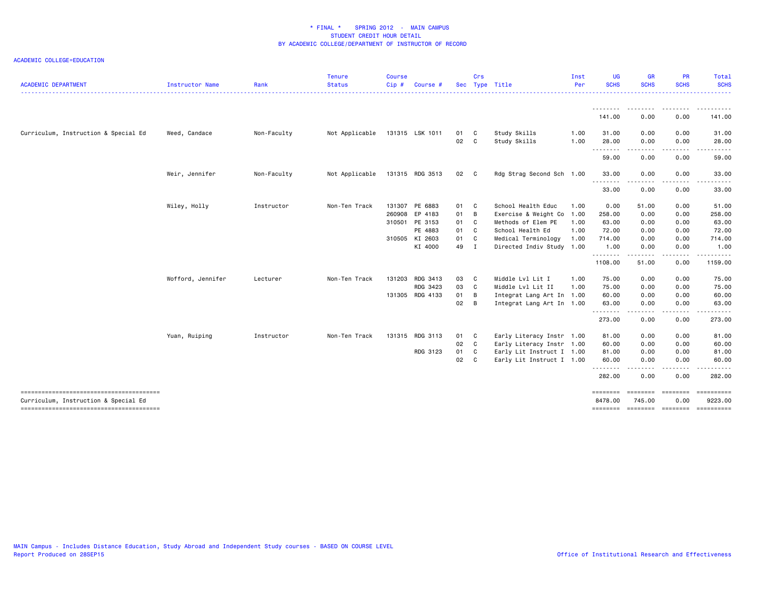| <b>ACADEMIC DEPARTMENT</b>                                                     | <b>Instructor Name</b> | Rank        | <b>Tenure</b><br><b>Status</b> | <b>Course</b><br>Cip# | Course #        |      | Crs            | Sec Type Title            | Inst<br>Per | <b>UG</b><br><b>SCHS</b> | <b>GR</b><br><b>SCHS</b>                                                                                                | PR<br><b>SCHS</b>                                                                                                                 | Total<br><b>SCHS</b>  |
|--------------------------------------------------------------------------------|------------------------|-------------|--------------------------------|-----------------------|-----------------|------|----------------|---------------------------|-------------|--------------------------|-------------------------------------------------------------------------------------------------------------------------|-----------------------------------------------------------------------------------------------------------------------------------|-----------------------|
|                                                                                |                        |             |                                |                       |                 |      |                |                           |             | .                        |                                                                                                                         |                                                                                                                                   |                       |
|                                                                                |                        |             |                                |                       |                 |      |                |                           |             | 141.00                   | 0.00                                                                                                                    | 0.00                                                                                                                              | 141.00                |
| Curriculum, Instruction & Special Ed                                           | Weed, Candace          | Non-Faculty | Not Applicable                 |                       | 131315 LSK 1011 | 01 C |                | Study Skills              | 1.00        | 31.00                    | 0.00                                                                                                                    | 0.00                                                                                                                              | 31.00                 |
|                                                                                |                        |             |                                |                       |                 | 02   | C              | Study Skills              | 1.00        | 28.00<br><u>.</u>        | 0.00<br>.                                                                                                               | 0.00<br>$\cdots$                                                                                                                  | 28.00<br>. <b>.</b> . |
|                                                                                |                        |             |                                |                       |                 |      |                |                           |             | 59.00                    | 0.00                                                                                                                    | 0.00                                                                                                                              | 59.00                 |
|                                                                                | Weir, Jennifer         | Non-Faculty | Not Applicable                 |                       | 131315 RDG 3513 | 02 C |                | Rdg Strag Second Sch 1.00 |             | 33.00<br>.               | 0.00<br>.                                                                                                               | 0.00<br>.                                                                                                                         | 33.00<br>.            |
|                                                                                |                        |             |                                |                       |                 |      |                |                           |             | 33.00                    | 0.00                                                                                                                    | 0.00                                                                                                                              | 33.00                 |
|                                                                                | Wiley, Holly           | Instructor  | Non-Ten Track                  |                       | 131307 PE 6883  | 01 C |                | School Health Educ        | 1.00        | 0.00                     | 51.00                                                                                                                   | 0.00                                                                                                                              | 51.00                 |
|                                                                                |                        |             |                                |                       | 260908 EP 4183  | 01   | B              | Exercise & Weight Co      | 1.00        | 258.00                   | 0.00                                                                                                                    | 0.00                                                                                                                              | 258.00                |
|                                                                                |                        |             |                                |                       | 310501 PE 3153  | 01   | C.             | Methods of Elem PE        | 1.00        | 63.00                    | 0.00                                                                                                                    | 0.00                                                                                                                              | 63.00                 |
|                                                                                |                        |             |                                |                       | PE 4883         | 01   | $\mathbf{C}$   | School Health Ed          | 1.00        | 72.00                    | 0.00                                                                                                                    | 0.00                                                                                                                              | 72.00                 |
|                                                                                |                        |             |                                |                       | 310505 KI 2603  | 01   | C              | Medical Terminology       | 1.00        | 714.00                   | 0.00                                                                                                                    | 0.00                                                                                                                              | 714.00                |
|                                                                                |                        |             |                                |                       | KI 4000         | 49   | I              | Directed Indiv Study 1.00 |             | 1.00<br>.                | 0.00<br>$\begin{array}{cccccccccccccc} \bullet & \bullet & \bullet & \bullet & \bullet & \bullet & \bullet \end{array}$ | 0.00<br>.                                                                                                                         | 1.00<br>.             |
|                                                                                |                        |             |                                |                       |                 |      |                |                           |             | 1108.00                  | 51.00                                                                                                                   | 0.00                                                                                                                              | 1159.00               |
|                                                                                | Wofford, Jennifer      | Lecturer    | Non-Ten Track                  |                       | 131203 RDG 3413 | 03   | C <sub>1</sub> | Middle Lvl Lit I          | 1.00        | 75.00                    | 0.00                                                                                                                    | 0.00                                                                                                                              | 75.00                 |
|                                                                                |                        |             |                                |                       | RDG 3423        | 03   | $\mathbf{C}$   | Middle Lvl Lit II         | 1.00        | 75.00                    | 0.00                                                                                                                    | 0.00                                                                                                                              | 75.00                 |
|                                                                                |                        |             |                                |                       | 131305 RDG 4133 | 01   | В              | Integrat Lang Art In 1.00 |             | 60.00                    | 0.00                                                                                                                    | 0.00                                                                                                                              | 60.00                 |
|                                                                                |                        |             |                                |                       |                 | 02   | B              | Integrat Lang Art In 1.00 |             | 63.00<br>.               | 0.00                                                                                                                    | 0.00<br>----                                                                                                                      | 63.00                 |
|                                                                                |                        |             |                                |                       |                 |      |                |                           |             | 273.00                   | 0.00                                                                                                                    | 0.00                                                                                                                              | 273.00                |
|                                                                                | Yuan, Ruiping          | Instructor  | Non-Ten Track                  |                       | 131315 RDG 3113 | 01 C |                | Early Literacy Instr 1.00 |             | 81.00                    | 0.00                                                                                                                    | 0.00                                                                                                                              | 81.00                 |
|                                                                                |                        |             |                                |                       |                 | 02   | $\mathbf{C}$   | Early Literacy Instr 1.00 |             | 60.00                    | 0.00                                                                                                                    | 0.00                                                                                                                              | 60.00                 |
|                                                                                |                        |             |                                |                       | RDG 3123        | 01   | C.             | Early Lit Instruct I 1.00 |             | 81.00                    | 0.00                                                                                                                    | 0.00                                                                                                                              | 81.00                 |
|                                                                                |                        |             |                                |                       |                 | 02   | C              | Early Lit Instruct I 1.00 |             | 60.00<br>- - - - - - - - | 0.00<br>.                                                                                                               | 0.00<br>$\frac{1}{2} \left( \frac{1}{2} \right) \left( \frac{1}{2} \right) \left( \frac{1}{2} \right) \left( \frac{1}{2} \right)$ | 60.00<br>.            |
|                                                                                |                        |             |                                |                       |                 |      |                |                           |             | 282.00                   | 0.00                                                                                                                    | 0.00                                                                                                                              | 282.00                |
|                                                                                |                        |             |                                |                       |                 |      |                |                           |             | ========<br>8478.00      | $= = = = = = = =$<br>745.00                                                                                             | ========<br>0.00                                                                                                                  | 9223.00               |
| Curriculum, Instruction & Special Ed<br>-------------------------------------- |                        |             |                                |                       |                 |      |                |                           |             | ========                 | ======== ========                                                                                                       |                                                                                                                                   | ==========            |
|                                                                                |                        |             |                                |                       |                 |      |                |                           |             |                          |                                                                                                                         |                                                                                                                                   |                       |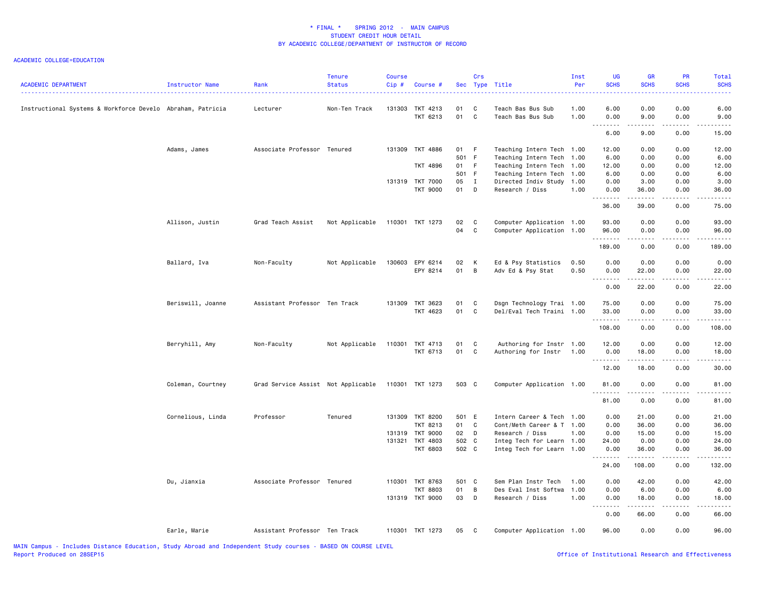| <b>ACADEMIC DEPARTMENT</b>                                 | Instructor Name   | Rank                               | <b>Tenure</b><br><b>Status</b> | <b>Course</b><br>Cip# | Course #             |          | Crs               | Sec Type Title                         | Inst<br>Per  | UG<br><b>SCHS</b>  | GR<br><b>SCHS</b> | PR<br><b>SCHS</b> | <b>Total</b><br><b>SCHS</b> |
|------------------------------------------------------------|-------------------|------------------------------------|--------------------------------|-----------------------|----------------------|----------|-------------------|----------------------------------------|--------------|--------------------|-------------------|-------------------|-----------------------------|
| Instructional Systems & Workforce Develo Abraham, Patricia |                   | Lecturer                           | Non-Ten Track                  | 131303                | TKT 4213<br>TKT 6213 | 01<br>01 | C<br>$\mathbf{C}$ | Teach Bas Bus Sub<br>Teach Bas Bus Sub | 1.00<br>1.00 | 6.00<br>0.00       | 0.00<br>9.00      | 0.00<br>0.00      | 6.00<br>9.00                |
|                                                            |                   |                                    |                                |                       |                      |          |                   |                                        |              | .<br>---<br>6.00   | -----<br>9.00     | .<br>0.00         | د د د د د<br>15.00          |
|                                                            | Adams, James      | Associate Professor Tenured        |                                |                       | 131309 TKT 4886      | 01 F     |                   | Teaching Intern Tech 1.00              |              | 12.00              | 0.00              | 0.00              | 12.00                       |
|                                                            |                   |                                    |                                |                       |                      | 501 F    |                   | Teaching Intern Tech 1.00              |              | 6.00               | 0.00              | 0.00              | 6.00                        |
|                                                            |                   |                                    |                                |                       | <b>TKT 4896</b>      | 01 F     |                   | Teaching Intern Tech 1.00              |              | 12.00              | 0.00              | 0.00              | 12.00                       |
|                                                            |                   |                                    |                                |                       |                      | 501 F    |                   | Teaching Intern Tech 1.00              |              | 6.00               | 0.00              | 0.00              | 6.00                        |
|                                                            |                   |                                    |                                |                       | 131319 TKT 7000      | 05 I     |                   | Directed Indiv Study 1.00              |              | 0.00               | 3.00              | 0.00              | 3.00                        |
|                                                            |                   |                                    |                                |                       | <b>TKT 9000</b>      | 01 D     |                   | Research / Diss                        | 1.00         | 0.00               | 36.00             | 0.00              | 36.00                       |
|                                                            |                   |                                    |                                |                       |                      |          |                   |                                        |              | .<br>36.00         | .<br>39.00        | 0.00              | .<br>75.00                  |
|                                                            |                   |                                    |                                |                       |                      |          |                   |                                        |              |                    |                   |                   |                             |
|                                                            | Allison, Justin   | Grad Teach Assist                  | Not Applicable                 |                       | 110301 TKT 1273      | 02       | $\mathbf{C}$      | Computer Application 1.00              |              | 93.00              | 0.00              | 0.00              | 93.00                       |
|                                                            |                   |                                    |                                |                       |                      | 04       | $\mathbf{C}$      | Computer Application 1.00              |              | 96.00              | 0.00              | 0.00              | 96.00                       |
|                                                            |                   |                                    |                                |                       |                      |          |                   |                                        |              | <u>.</u><br>189.00 | -----<br>0.00     | .<br>0.00         | .<br>189.00                 |
|                                                            |                   |                                    |                                |                       |                      |          |                   |                                        |              |                    |                   |                   |                             |
|                                                            | Ballard, Iva      | Non-Faculty                        | Not Applicable                 | 130603                | EPY 6214             | 02       | K                 | Ed & Psy Statistics                    | 0.50         | 0.00               | 0.00              | 0.00              | 0.00                        |
|                                                            |                   |                                    |                                |                       | EPY 8214             | 01       | $\overline{B}$    | Adv Ed & Psy Stat                      | 0.50         | 0.00               | 22.00             | 0.00              | 22.00                       |
|                                                            |                   |                                    |                                |                       |                      |          |                   |                                        |              | .<br>0.00          | 22.00             | .<br>0.00         | .<br>22.00                  |
|                                                            |                   |                                    |                                |                       |                      |          |                   |                                        |              |                    |                   |                   |                             |
|                                                            | Beriswill, Joanne | Assistant Professor Ten Track      |                                |                       | 131309 TKT 3623      | 01       | $\mathbf{C}$      | Dsgn Technology Trai 1.00              |              | 75.00              | 0.00              | 0.00              | 75.00                       |
|                                                            |                   |                                    |                                |                       | TKT 4623             | 01 C     |                   | Del/Eval Tech Traini 1.00              |              | 33.00              | 0.00              | 0.00              | 33.00                       |
|                                                            |                   |                                    |                                |                       |                      |          |                   |                                        |              | .<br>108.00        | 0.00              | .<br>0.00         | $\frac{1}{2}$<br>108.00     |
|                                                            |                   |                                    |                                |                       |                      |          |                   |                                        |              |                    |                   |                   |                             |
|                                                            | Berryhill, Amy    | Non-Faculty                        | Not Applicable                 |                       | 110301 TKT 4713      | 01       | $\mathbf{C}$      | Authoring for Instr 1.00               |              | 12.00              | 0.00              | 0.00              | 12.00                       |
|                                                            |                   |                                    |                                |                       | TKT 6713             | 01       | $\mathbf{C}$      | Authoring for Instr                    | 1.00         | 0.00               | 18.00             | 0.00              | 18.00                       |
|                                                            |                   |                                    |                                |                       |                      |          |                   |                                        |              | .                  | .                 | .                 | ه د د د د .                 |
|                                                            |                   |                                    |                                |                       |                      |          |                   |                                        |              | 12.00              | 18.00             | 0.00              | 30.00                       |
|                                                            | Coleman, Courtney | Grad Service Assist Not Applicable |                                |                       | 110301 TKT 1273      | 503 C    |                   | Computer Application 1.00              |              | 81.00              | 0.00              | 0.00              | 81.00                       |
|                                                            |                   |                                    |                                |                       |                      |          |                   |                                        |              | .                  | -----             | .                 | .                           |
|                                                            |                   |                                    |                                |                       |                      |          |                   |                                        |              | 81.00              | 0.00              | 0.00              | 81.00                       |
|                                                            | Cornelious, Linda | Professor                          | Tenured                        |                       | 131309 TKT 8200      | 501 E    |                   | Intern Career & Tech 1.00              |              | 0.00               | 21.00             | 0.00              | 21.00                       |
|                                                            |                   |                                    |                                |                       | TKT 8213             | 01       | $\mathbf{C}$      | Cont/Meth Career & T 1.00              |              | 0.00               | 36.00             | 0.00              | 36.00                       |
|                                                            |                   |                                    |                                |                       | 131319 TKT 9000      | 02 D     |                   | Research / Diss                        | 1.00         | 0.00               | 15.00             | 0.00              | 15.00                       |
|                                                            |                   |                                    |                                |                       | 131321 TKT 4803      | 502 C    |                   | Integ Tech for Learn 1.00              |              | 24.00              | 0.00              | 0.00              | 24.00                       |
|                                                            |                   |                                    |                                |                       | <b>TKT 6803</b>      | 502 C    |                   | Integ Tech for Learn 1.00              |              | 0.00               | 36.00             | 0.00              | 36.00                       |
|                                                            |                   |                                    |                                |                       |                      |          |                   |                                        |              | .<br>24.00         | <b></b><br>108.00 | .<br>0.00         | .<br>132.00                 |
|                                                            | Du, Jianxia       | Associate Professor Tenured        |                                |                       | 110301 TKT 8763      | 501 C    |                   | Sem Plan Instr Tech                    | 1.00         | 0.00               | 42.00             | 0.00              | 42.00                       |
|                                                            |                   |                                    |                                |                       | <b>TKT 8803</b>      | 01       | $\overline{B}$    | Des Eval Inst Softwa                   | 1.00         | 0.00               | 6.00              | 0.00              | 6.00                        |
|                                                            |                   |                                    |                                |                       | 131319 TKT 9000      | 03 D     |                   | Research / Diss                        | 1.00         | 0.00               | 18.00             | 0.00              | 18.00                       |
|                                                            |                   |                                    |                                |                       |                      |          |                   |                                        |              | .                  |                   | .                 | .                           |
|                                                            |                   |                                    |                                |                       |                      |          |                   |                                        |              | 0.00               | 66.00             | 0.00              | 66.00                       |
|                                                            | Earle, Marie      | Assistant Professor Ten Track      |                                |                       | 110301 TKT 1273      | 05       | $\mathbf{C}$      | Computer Application 1.00              |              | 96.00              | 0.00              | 0.00              | 96.00                       |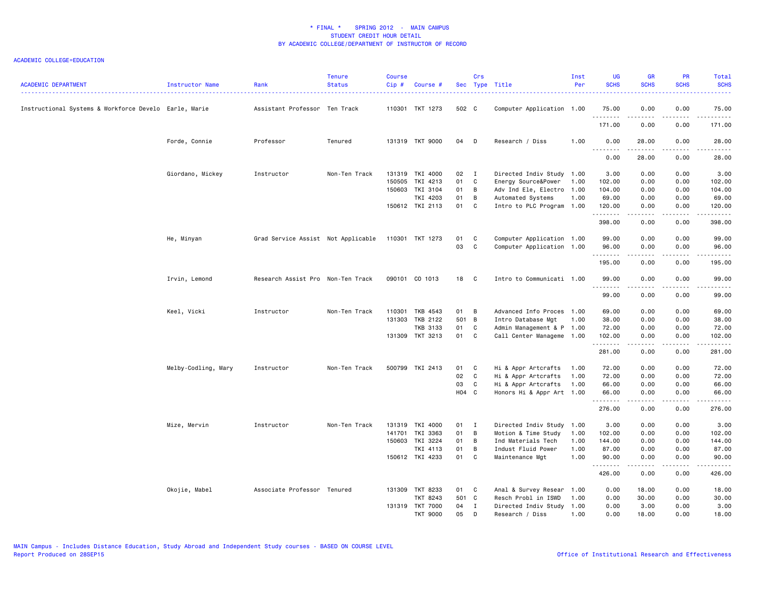| <b>ACADEMIC DEPARTMENT</b>                            | Instructor Name     | Rank                               | <b>Tenure</b><br><b>Status</b> | <b>Course</b><br>Cip# | Course #                           |       | Crs            | Sec Type Title                                  | Inst<br>Per | <b>UG</b><br><b>SCHS</b> | <b>GR</b><br><b>SCHS</b> | <b>PR</b><br><b>SCHS</b> | Total<br><b>SCHS</b>                                                                                                  |
|-------------------------------------------------------|---------------------|------------------------------------|--------------------------------|-----------------------|------------------------------------|-------|----------------|-------------------------------------------------|-------------|--------------------------|--------------------------|--------------------------|-----------------------------------------------------------------------------------------------------------------------|
| Instructional Systems & Workforce Develo Earle, Marie |                     | Assistant Professor Ten Track      |                                |                       | 110301 TKT 1273                    | 502 C |                | Computer Application 1.00                       |             | 75.00                    | 0.00                     | 0.00                     | 75.00                                                                                                                 |
|                                                       |                     |                                    |                                |                       |                                    |       |                |                                                 |             | <u>.</u><br>171.00       | $- - - - -$<br>0.00      | .<br>0.00                | .<br>171.00                                                                                                           |
|                                                       | Forde, Connie       | Professor                          | Tenured                        |                       | 131319 TKT 9000                    | 04    | D              | Research / Diss                                 | 1.00        | 0.00<br><u>.</u>         | 28.00                    | 0.00                     | 28.00<br>.                                                                                                            |
|                                                       |                     |                                    |                                |                       |                                    |       |                |                                                 |             | 0.00                     | 28.00                    | 0.00                     | 28.00                                                                                                                 |
|                                                       | Giordano, Mickey    | Instructor                         | Non-Ten Track                  |                       | 131319 TKI 4000                    | 02    | $\blacksquare$ | Directed Indiv Study 1.00                       |             | 3.00                     | 0.00                     | 0.00                     | 3.00                                                                                                                  |
|                                                       |                     |                                    |                                | 150505                | TKI 4213                           | 01    | $\mathbf{C}$   | Energy Source&Power                             | 1.00        | 102.00                   | 0.00                     | 0.00                     | 102.00                                                                                                                |
|                                                       |                     |                                    |                                |                       | 150603 TKI 3104                    | 01    | B              | Adv Ind Ele, Electro 1.00                       |             | 104.00                   | 0.00                     | 0.00                     | 104.00                                                                                                                |
|                                                       |                     |                                    |                                |                       | TKI 4203                           | 01    | B              | Automated Systems                               | 1.00        | 69.00                    | 0.00                     | 0.00                     | 69.00                                                                                                                 |
|                                                       |                     |                                    |                                |                       | 150612 TKI 2113                    | 01 C  |                | Intro to PLC Program 1.00                       |             | 120.00<br>.              | 0.00<br>-----            | 0.00<br>المتمالين        | 120.00<br>.                                                                                                           |
|                                                       |                     |                                    |                                |                       |                                    |       |                |                                                 |             | 398.00                   | 0.00                     | 0.00                     | 398.00                                                                                                                |
|                                                       | He, Minyan          | Grad Service Assist Not Applicable |                                |                       | 110301 TKT 1273                    | 01    | <b>C</b>       | Computer Application 1.00                       |             | 99.00                    | 0.00                     | 0.00                     | 99.00                                                                                                                 |
|                                                       |                     |                                    |                                |                       |                                    | 03    | C              | Computer Application 1.00                       |             | 96.00<br>.               | 0.00<br>2.2.2.2.2        | 0.00<br>.                | 96.00<br>.                                                                                                            |
|                                                       |                     |                                    |                                |                       |                                    |       |                |                                                 |             | 195.00                   | 0.00                     | 0.00                     | 195.00                                                                                                                |
|                                                       | Irvin, Lemond       | Research Assist Pro Non-Ten Track  |                                |                       | 090101 CO 1013                     | 18    | $\mathbf{C}$   | Intro to Communicati 1.00                       |             | 99.00                    | 0.00                     | 0.00                     | 99.00                                                                                                                 |
|                                                       |                     |                                    |                                |                       |                                    |       |                |                                                 |             | .<br>99.00               | 0.00                     | .<br>0.00                | .<br>99.00                                                                                                            |
|                                                       |                     |                                    |                                |                       |                                    | 01 B  |                |                                                 |             |                          |                          |                          |                                                                                                                       |
|                                                       | Keel, Vicki         | Instructor                         | Non-Ten Track                  |                       | 110301 TKB 4543<br>131303 TKB 2122 | 501 B |                | Advanced Info Proces 1.00<br>Intro Database Mgt | 1.00        | 69.00<br>38.00           | 0.00<br>0.00             | 0.00<br>0.00             | 69.00<br>38.00                                                                                                        |
|                                                       |                     |                                    |                                |                       | <b>TKB 3133</b>                    | 01    | C              | Admin Management & P 1.00                       |             | 72.00                    | 0.00                     | 0.00                     | 72.00                                                                                                                 |
|                                                       |                     |                                    |                                |                       | 131309 TKT 3213                    | 01    | C              | Call Center Manageme 1.00                       |             | 102.00                   | 0.00                     | 0.00                     | 102.00                                                                                                                |
|                                                       |                     |                                    |                                |                       |                                    |       |                |                                                 |             | .                        | <b>.</b>                 | .                        | $\begin{array}{cccccccccc} \bullet & \bullet & \bullet & \bullet & \bullet & \bullet & \bullet & \bullet \end{array}$ |
|                                                       |                     |                                    |                                |                       |                                    |       |                |                                                 |             | 281.00                   | 0.00                     | 0.00                     | 281.00                                                                                                                |
|                                                       | Melby-Codling, Mary | Instructor                         | Non-Ten Track                  |                       | 500799 TKI 2413                    | 01 C  |                | Hi & Appr Artcrafts                             | 1.00        | 72.00                    | 0.00                     | 0.00                     | 72.00                                                                                                                 |
|                                                       |                     |                                    |                                |                       |                                    | 02    | $\mathbf{C}$   | Hi & Appr Artcrafts                             | 1.00        | 72.00                    | 0.00                     | 0.00                     | 72.00                                                                                                                 |
|                                                       |                     |                                    |                                |                       |                                    | 03    | $\mathbf{C}$   | Hi & Appr Artcrafts                             | 1.00        | 66.00                    | 0.00                     | 0.00                     | 66.00                                                                                                                 |
|                                                       |                     |                                    |                                |                       |                                    | H04 C |                | Honors Hi & Appr Art 1.00                       |             | 66.00<br>.               | 0.00<br>.                | 0.00<br>.                | 66.00<br>.                                                                                                            |
|                                                       |                     |                                    |                                |                       |                                    |       |                |                                                 |             | 276.00                   | 0.00                     | 0.00                     | 276.00                                                                                                                |
|                                                       | Mize, Mervin        | Instructor                         | Non-Ten Track                  |                       | 131319 TKI 4000                    | 01 I  |                | Directed Indiv Study                            | 1.00        | 3.00                     | 0.00                     | 0.00                     | 3.00                                                                                                                  |
|                                                       |                     |                                    |                                | 141701                | TKI 3363                           | 01    | $\overline{B}$ | Motion & Time Study                             | 1.00        | 102.00                   | 0.00                     | 0.00                     | 102.00                                                                                                                |
|                                                       |                     |                                    |                                |                       | 150603 TKI 3224                    | 01    | B              | Ind Materials Tech                              | 1.00        | 144.00                   | 0.00                     | 0.00                     | 144.00                                                                                                                |
|                                                       |                     |                                    |                                |                       | TKI 4113                           | 01    | B              | Indust Fluid Power                              | 1.00        | 87.00                    | 0.00                     | 0.00                     | 87.00                                                                                                                 |
|                                                       |                     |                                    |                                |                       | 150612 TKI 4233                    | 01 C  |                | Maintenance Mgt                                 | 1.00        | 90.00<br>.               | 0.00<br>.                | 0.00<br>.                | 90.00<br>.                                                                                                            |
|                                                       |                     |                                    |                                |                       |                                    |       |                |                                                 |             | 426.00                   | 0.00                     | 0.00                     | 426.00                                                                                                                |
|                                                       | Okojie, Mabel       | Associate Professor Tenured        |                                |                       | 131309 TKT 8233                    | 01 C  |                | Anal & Survey Resear 1.00                       |             | 0.00                     | 18.00                    | 0.00                     | 18.00                                                                                                                 |
|                                                       |                     |                                    |                                |                       | TKT 8243                           | 501 C |                | Resch Probl in ISWD                             | 1.00        | 0.00                     | 30.00                    | 0.00                     | 30.00                                                                                                                 |
|                                                       |                     |                                    |                                |                       | 131319 TKT 7000                    | 04    | $\mathbf{I}$   | Directed Indiv Study 1.00                       |             | 0.00                     | 3.00                     | 0.00                     | 3.00                                                                                                                  |
|                                                       |                     |                                    |                                |                       | <b>TKT 9000</b>                    | 05    | D              | Research / Diss                                 | 1.00        | 0.00                     | 18.00                    | 0.00                     | 18.00                                                                                                                 |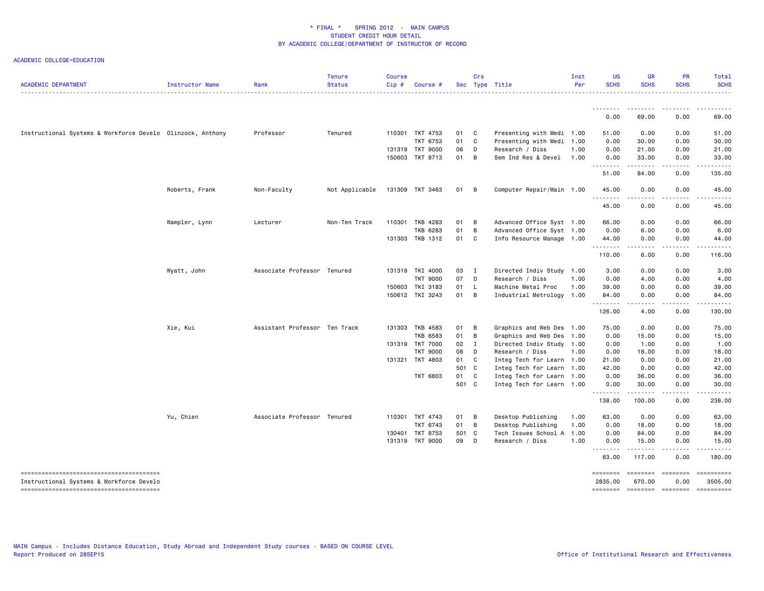| <b>ACADEMIC DEPARTMENT</b>                                 | Instructor Name | Rank                          | <b>Tenure</b><br><b>Status</b> | <b>Course</b><br>Cip# | <b>Course</b>   |       | Crs | Sec Type Title            | Inst<br>Per | <b>UG</b><br><b>SCHS</b>             | <b>GR</b><br><b>SCHS</b> | <b>PR</b><br><b>SCHS</b>            | Total<br><b>SCHS</b> |
|------------------------------------------------------------|-----------------|-------------------------------|--------------------------------|-----------------------|-----------------|-------|-----|---------------------------|-------------|--------------------------------------|--------------------------|-------------------------------------|----------------------|
|                                                            |                 |                               |                                |                       |                 |       |     |                           |             | <u>.</u><br>0.00                     | .<br>69.00               | $\cdots$<br>0.00                    | .<br>69.00           |
|                                                            |                 |                               |                                |                       |                 |       |     |                           |             |                                      |                          |                                     |                      |
| Instructional Systems & Workforce Develo Olinzock, Anthony |                 | Professor                     | Tenured                        |                       | 110301 TKT 4753 | 01    | C   | Presenting with Medi 1.00 |             | 51.00                                | 0.00                     | 0.00                                | 51.00                |
|                                                            |                 |                               |                                |                       | TKT 6753        | 01    | C   | Presenting with Medi 1.00 |             | 0.00                                 | 30.00                    | 0.00                                | 30.00                |
|                                                            |                 |                               |                                |                       | 131319 TKT 9000 | 06    | D   | Research / Diss           | 1.00        | 0.00                                 | 21.00                    | 0.00                                | 21.00                |
|                                                            |                 |                               |                                |                       | 150603 TKT 8713 | 01    | B   | Sem Ind Res & Devel 1.00  |             | 0.00                                 | 33.00<br>المتمام المتعاد | 0.00<br>$\sim$ $\sim$ $\sim$ $\sim$ | 33.00<br>.           |
|                                                            |                 |                               |                                |                       |                 |       |     |                           |             | .<br>51.00                           | 84.00                    | 0.00                                | 135.00               |
|                                                            | Roberts, Frank  | Non-Faculty                   | Not Applicable                 |                       | 131309 TKT 3463 | 01    | B   | Computer Repair/Main 1.00 |             | 45.00                                | 0.00                     | 0.00                                | 45.00                |
|                                                            |                 |                               |                                |                       |                 |       |     |                           |             | $\sim$ $\sim$ $\sim$ $\sim$<br>45.00 | 0.00                     | $\sim$ $\sim$ $\sim$ $\sim$<br>0.00 | 45.00                |
|                                                            |                 |                               |                                |                       |                 |       |     |                           |             |                                      |                          |                                     |                      |
|                                                            | Wampler, Lynn   | Lecturer                      | Non-Ten Track                  | 110301                | TKB 4283        | 01    | B   | Advanced Office Syst 1.00 |             | 66.00                                | 0.00                     | 0.00                                | 66.00                |
|                                                            |                 |                               |                                |                       | TKB 6283        | 01    | B   | Advanced Office Syst 1.00 |             | 0.00                                 | 6.00                     | 0.00                                | 6.00                 |
|                                                            |                 |                               |                                |                       | 131303 TKB 1312 | 01    | C   | Info Resource Manage 1.00 |             | 44.00<br>.                           | 0.00                     | 0.00                                | 44.00                |
|                                                            |                 |                               |                                |                       |                 |       |     |                           |             | 110.00                               | 6.00                     | 0.00                                | 116,00               |
|                                                            | Wyatt, John     | Associate Professor Tenured   |                                |                       | 131319 TKI 4000 | 03 I  |     | Directed Indiv Study 1.00 |             | 3.00                                 | 0.00                     | 0.00                                | 3.00                 |
|                                                            |                 |                               |                                |                       | <b>TKT 9000</b> | 07    | D   | Research / Diss           | 1.00        | 0.00                                 | 4.00                     | 0.00                                | 4.00                 |
|                                                            |                 |                               |                                |                       | 150603 TKI 3183 | 01    | L.  | Machine Metal Proc        | 1.00        | 39.00                                | 0.00                     | 0.00                                | 39.00                |
|                                                            |                 |                               |                                |                       | 150612 TKI 3243 | 01    | B   | Industrial Metrology 1.00 |             | 84.00                                | 0.00                     | 0.00                                | 84.00                |
|                                                            |                 |                               |                                |                       |                 |       |     |                           |             | .<br>126.00                          | 4.00                     | 0.00                                | 130,00               |
|                                                            | Xie, Kui        | Assistant Professor Ten Track |                                |                       | 131303 TKB 4583 | 01    | B   | Graphics and Web Des 1.00 |             | 75.00                                | 0.00                     | 0.00                                | 75.00                |
|                                                            |                 |                               |                                |                       | TKB 6583        | 01    | B   | Graphics and Web Des 1.00 |             | 0.00                                 | 15.00                    | 0.00                                | 15.00                |
|                                                            |                 |                               |                                |                       | 131319 TKT 7000 | 02    | Ι.  | Directed Indiv Study 1.00 |             | 0.00                                 | 1.00                     | 0.00                                | 1.00                 |
|                                                            |                 |                               |                                |                       | <b>TKT 9000</b> | 08    | D   | Research / Diss           | 1.00        | 0.00                                 | 18.00                    | 0.00                                | 18.00                |
|                                                            |                 |                               |                                |                       | 131321 TKT 4803 | 01    | C   | Integ Tech for Learn 1.00 |             | 21.00                                | 0.00                     | 0.00                                | 21.00                |
|                                                            |                 |                               |                                |                       |                 | 501 C |     | Integ Tech for Learn 1.00 |             | 42.00                                | 0.00                     | 0.00                                | 42.00                |
|                                                            |                 |                               |                                |                       | <b>TKT 6803</b> | 01    | C   | Integ Tech for Learn 1.00 |             | 0.00                                 | 36.00                    | 0.00                                | 36.00                |
|                                                            |                 |                               |                                |                       |                 | 501 C |     | Integ Tech for Learn 1.00 |             | 0.00                                 | 30.00                    | 0.00                                | 30.00                |
|                                                            |                 |                               |                                |                       |                 |       |     |                           |             | .<br>138.00                          | .<br>100.00              | .<br>0.00                           | .<br>238.00          |
|                                                            | Yu, Chien       | Associate Professor Tenured   |                                |                       | 110301 TKT 4743 | 01    | B   | Desktop Publishing        | 1.00        | 63.00                                | 0.00                     | 0.00                                | 63.00                |
|                                                            |                 |                               |                                |                       | TKT 6743        | 01    | B   | Desktop Publishing        | 1.00        | 0.00                                 | 18.00                    | 0.00                                | 18.00                |
|                                                            |                 |                               |                                | 130401                | <b>TKT 8753</b> | 501 C |     | Tech Issues School A      | 1.00        | 0.00                                 | 84.00                    | 0.00                                | 84.00                |
|                                                            |                 |                               |                                |                       | 131319 TKT 9000 | 09    | D   | Research / Diss           | 1.00        | 0.00                                 | 15.00                    | 0.00                                | 15.00                |
|                                                            |                 |                               |                                |                       |                 |       |     |                           |             | .<br>63.00                           | ------<br>117.00         | .<br>0.00                           | .<br>180.00          |
| --------------------------------------                     |                 |                               |                                |                       |                 |       |     |                           |             | ========                             | ========                 | $=$ ========                        |                      |
| Instructional Systems & Workforce Develo                   |                 |                               |                                |                       |                 |       |     |                           |             | 2835.00                              | 670.00                   | 0.00                                | 3505.00              |
|                                                            |                 |                               |                                |                       |                 |       |     |                           |             | ========                             | $=$ ========             | $=$ ========                        |                      |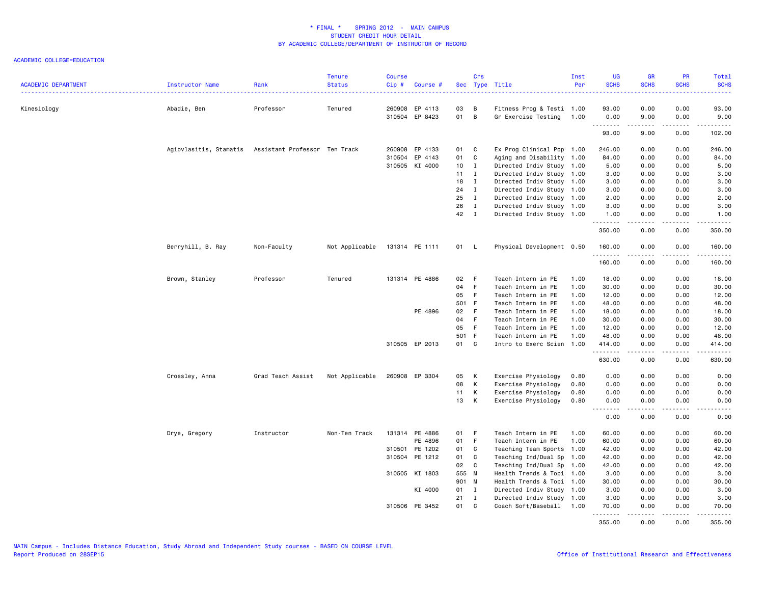| <b>ACADEMIC DEPARTMENT</b> | <b>Instructor Name</b> | Rank                          | <b>Tenure</b><br><b>Status</b> | <b>Course</b><br>$Cip$ # | Course #                  |          | Crs          | Sec Type Title                                   | Inst<br>Per | <b>UG</b><br><b>SCHS</b> | <b>GR</b><br><b>SCHS</b> | PR<br><b>SCHS</b>                                                                                                                                            | Total<br><b>SCHS</b>                                                                                                                                                                                                                                                                                                                                                                                                                                                                            |
|----------------------------|------------------------|-------------------------------|--------------------------------|--------------------------|---------------------------|----------|--------------|--------------------------------------------------|-------------|--------------------------|--------------------------|--------------------------------------------------------------------------------------------------------------------------------------------------------------|-------------------------------------------------------------------------------------------------------------------------------------------------------------------------------------------------------------------------------------------------------------------------------------------------------------------------------------------------------------------------------------------------------------------------------------------------------------------------------------------------|
|                            |                        |                               |                                |                          |                           |          |              |                                                  |             |                          |                          |                                                                                                                                                              |                                                                                                                                                                                                                                                                                                                                                                                                                                                                                                 |
| Kinesiology                | Abadie, Ben            | Professor                     | Tenured                        | 260908                   | EP 4113<br>310504 EP 8423 | 03<br>01 | B<br>B       | Fitness Prog & Testi 1.00<br>Gr Exercise Testing | 1.00        | 93.00<br>0.00            | 0.00<br>9.00             | 0.00<br>0.00                                                                                                                                                 | 93.00<br>9.00                                                                                                                                                                                                                                                                                                                                                                                                                                                                                   |
|                            |                        |                               |                                |                          |                           |          |              |                                                  |             | .<br>93.00               | .<br>9.00                | $\frac{1}{2} \left( \frac{1}{2} \right) \left( \frac{1}{2} \right) \left( \frac{1}{2} \right) \left( \frac{1}{2} \right) \left( \frac{1}{2} \right)$<br>0.00 | المتمالين<br>102.00                                                                                                                                                                                                                                                                                                                                                                                                                                                                             |
|                            | Agiovlasitis, Stamatis | Assistant Professor Ten Track |                                | 260908                   | EP 4133                   | 01       | $\mathbf{C}$ | Ex Prog Clinical Pop 1.00                        |             | 246.00                   | 0.00                     | 0.00                                                                                                                                                         | 246.00                                                                                                                                                                                                                                                                                                                                                                                                                                                                                          |
|                            |                        |                               |                                |                          | 310504 EP 4143            | 01       | C            | Aging and Disability 1.00                        |             | 84.00                    | 0.00                     | 0.00                                                                                                                                                         | 84.00                                                                                                                                                                                                                                                                                                                                                                                                                                                                                           |
|                            |                        |                               |                                |                          | 310505 KI 4000            | 10       | $\mathbf{I}$ | Directed Indiv Study 1.00                        |             | 5.00                     | 0.00                     | 0.00                                                                                                                                                         | 5.00                                                                                                                                                                                                                                                                                                                                                                                                                                                                                            |
|                            |                        |                               |                                |                          |                           | 11       | $\mathbf{I}$ | Directed Indiv Study 1.00                        |             | 3.00                     | 0.00                     | 0.00                                                                                                                                                         | 3.00                                                                                                                                                                                                                                                                                                                                                                                                                                                                                            |
|                            |                        |                               |                                |                          |                           | 18       | $\mathbf{I}$ | Directed Indiv Study 1.00                        |             | 3.00                     | 0.00                     | 0.00                                                                                                                                                         | 3.00                                                                                                                                                                                                                                                                                                                                                                                                                                                                                            |
|                            |                        |                               |                                |                          |                           | 24       | $\mathbf{I}$ | Directed Indiv Study 1.00                        |             | 3.00                     | 0.00                     | 0.00                                                                                                                                                         | 3.00                                                                                                                                                                                                                                                                                                                                                                                                                                                                                            |
|                            |                        |                               |                                |                          |                           | 25       | $\mathbf{I}$ | Directed Indiv Study 1.00                        |             | 2.00                     | 0.00                     | 0.00                                                                                                                                                         | 2.00                                                                                                                                                                                                                                                                                                                                                                                                                                                                                            |
|                            |                        |                               |                                |                          |                           | 26       | $\mathbf I$  | Directed Indiv Study 1.00                        |             | 3.00                     | 0.00                     | 0.00                                                                                                                                                         | 3.00                                                                                                                                                                                                                                                                                                                                                                                                                                                                                            |
|                            |                        |                               |                                |                          |                           | 42       | $\mathbf{I}$ | Directed Indiv Study 1.00                        |             | 1.00<br>.                | 0.00<br>.                | 0.00<br>2.2.2.2.2                                                                                                                                            | 1.00<br>$\begin{array}{cccccccccc} \bullet & \bullet & \bullet & \bullet & \bullet & \bullet & \bullet \end{array}$                                                                                                                                                                                                                                                                                                                                                                             |
|                            |                        |                               |                                |                          |                           |          |              |                                                  |             | 350.00                   | 0.00                     | 0.00                                                                                                                                                         | 350.00                                                                                                                                                                                                                                                                                                                                                                                                                                                                                          |
|                            | Berryhill, B. Ray      | Non-Faculty                   | Not Applicable                 |                          | 131314 PE 1111            | 01 L     |              | Physical Development 0.50                        |             | 160.00<br>.              | 0.00<br>.                | 0.00<br>.                                                                                                                                                    | 160.00                                                                                                                                                                                                                                                                                                                                                                                                                                                                                          |
|                            |                        |                               |                                |                          |                           |          |              |                                                  |             | 160.00                   | 0.00                     | 0.00                                                                                                                                                         | 160.00                                                                                                                                                                                                                                                                                                                                                                                                                                                                                          |
|                            | Brown, Stanley         | Professor                     | Tenured                        |                          | 131314 PE 4886            | 02       | - F          | Teach Intern in PE                               | 1.00        | 18.00                    | 0.00                     | 0.00                                                                                                                                                         | 18.00                                                                                                                                                                                                                                                                                                                                                                                                                                                                                           |
|                            |                        |                               |                                |                          |                           | 04       | - F          | Teach Intern in PE                               | 1.00        | 30.00                    | 0.00                     | 0.00                                                                                                                                                         | 30.00                                                                                                                                                                                                                                                                                                                                                                                                                                                                                           |
|                            |                        |                               |                                |                          |                           | 05       | - F          | Teach Intern in PE                               | 1.00        | 12.00                    | 0.00                     | 0.00                                                                                                                                                         | 12.00                                                                                                                                                                                                                                                                                                                                                                                                                                                                                           |
|                            |                        |                               |                                |                          |                           | 501 F    |              | Teach Intern in PE                               | 1.00        | 48.00                    | 0.00                     | 0.00                                                                                                                                                         | 48.00                                                                                                                                                                                                                                                                                                                                                                                                                                                                                           |
|                            |                        |                               |                                |                          | PE 4896                   | 02       | F            | Teach Intern in PE                               | 1.00        | 18.00                    | 0.00                     | 0.00                                                                                                                                                         | 18.00                                                                                                                                                                                                                                                                                                                                                                                                                                                                                           |
|                            |                        |                               |                                |                          |                           | 04       | -F           | Teach Intern in PE                               | 1.00        | 30.00                    | 0.00                     | 0.00                                                                                                                                                         | 30.00                                                                                                                                                                                                                                                                                                                                                                                                                                                                                           |
|                            |                        |                               |                                |                          |                           | 05       | - F          | Teach Intern in PE                               | 1.00        | 12.00                    | 0.00                     | 0.00                                                                                                                                                         | 12.00                                                                                                                                                                                                                                                                                                                                                                                                                                                                                           |
|                            |                        |                               |                                |                          |                           | 501 F    |              | Teach Intern in PE                               | 1.00        | 48.00                    | 0.00                     | 0.00                                                                                                                                                         | 48.00                                                                                                                                                                                                                                                                                                                                                                                                                                                                                           |
|                            |                        |                               |                                |                          | 310505 EP 2013            | 01       | C.           | Intro to Exerc Scien 1.00                        |             | 414.00<br>.              | 0.00<br>.                | 0.00<br>. <b>.</b>                                                                                                                                           | 414.00<br>.                                                                                                                                                                                                                                                                                                                                                                                                                                                                                     |
|                            |                        |                               |                                |                          |                           |          |              |                                                  |             | 630.00                   | 0.00                     | 0.00                                                                                                                                                         | 630.00                                                                                                                                                                                                                                                                                                                                                                                                                                                                                          |
|                            | Crossley, Anna         | Grad Teach Assist             | Not Applicable                 |                          | 260908 EP 3304            | 05       | K            | Exercise Physiology                              | 0.80        | 0.00                     | 0.00                     | 0.00                                                                                                                                                         | 0.00                                                                                                                                                                                                                                                                                                                                                                                                                                                                                            |
|                            |                        |                               |                                |                          |                           | 08       | К            | Exercise Physiology                              | 0.80        | 0.00                     | 0.00                     | 0.00                                                                                                                                                         | 0.00                                                                                                                                                                                                                                                                                                                                                                                                                                                                                            |
|                            |                        |                               |                                |                          |                           | 11       | К            | Exercise Physiology                              | 0.80        | 0.00                     | 0.00                     | 0.00                                                                                                                                                         | 0.00                                                                                                                                                                                                                                                                                                                                                                                                                                                                                            |
|                            |                        |                               |                                |                          |                           | 13       | К            | Exercise Physiology                              | 0.80        | 0.00<br>.                | 0.00<br>.                | 0.00<br>-----                                                                                                                                                | 0.00<br>.                                                                                                                                                                                                                                                                                                                                                                                                                                                                                       |
|                            |                        |                               |                                |                          |                           |          |              |                                                  |             | 0.00                     | 0.00                     | 0.00                                                                                                                                                         | 0.00                                                                                                                                                                                                                                                                                                                                                                                                                                                                                            |
|                            | Drye, Gregory          | Instructor                    | Non-Ten Track                  |                          | 131314 PE 4886            | 01       | - F          | Teach Intern in PE                               | 1.00        | 60.00                    | 0.00                     | 0.00                                                                                                                                                         | 60.00                                                                                                                                                                                                                                                                                                                                                                                                                                                                                           |
|                            |                        |                               |                                |                          | PE 4896                   | 01       | - F          | Teach Intern in PE                               | 1.00        | 60.00                    | 0.00                     | 0.00                                                                                                                                                         | 60.00                                                                                                                                                                                                                                                                                                                                                                                                                                                                                           |
|                            |                        |                               |                                |                          | 310501 PE 1202            | 01       | $\mathbf{C}$ | Teaching Team Sports 1.00                        |             | 42.00                    | 0.00                     | 0.00                                                                                                                                                         | 42.00                                                                                                                                                                                                                                                                                                                                                                                                                                                                                           |
|                            |                        |                               |                                |                          | 310504 PE 1212            | 01       | C            | Teaching Ind/Dual Sp                             | 1.00        | 42.00                    | 0.00                     | 0.00                                                                                                                                                         | 42.00                                                                                                                                                                                                                                                                                                                                                                                                                                                                                           |
|                            |                        |                               |                                |                          |                           | 02       | $\mathbf{C}$ | Teaching Ind/Dual Sp 1.00                        |             | 42.00                    | 0.00                     | 0.00                                                                                                                                                         | 42.00                                                                                                                                                                                                                                                                                                                                                                                                                                                                                           |
|                            |                        |                               |                                |                          | 310505 KI 1803            | 555 M    |              | Health Trends & Topi 1.00                        |             | 3.00                     | 0.00                     | 0.00                                                                                                                                                         | 3.00                                                                                                                                                                                                                                                                                                                                                                                                                                                                                            |
|                            |                        |                               |                                |                          |                           | 901 M    |              | Health Trends & Topi                             | 1.00        | 30.00                    | 0.00                     | 0.00                                                                                                                                                         | 30.00                                                                                                                                                                                                                                                                                                                                                                                                                                                                                           |
|                            |                        |                               |                                |                          | KI 4000                   | 01       | $\mathbf{I}$ | Directed Indiv Study 1.00                        |             | 3.00                     | 0.00                     | 0.00                                                                                                                                                         | 3.00                                                                                                                                                                                                                                                                                                                                                                                                                                                                                            |
|                            |                        |                               |                                |                          |                           | 21       | $\mathbf{I}$ | Directed Indiv Study 1.00                        |             | 3.00                     | 0.00                     | 0.00                                                                                                                                                         | 3.00                                                                                                                                                                                                                                                                                                                                                                                                                                                                                            |
|                            |                        |                               |                                |                          | 310506 PE 3452            | 01       | $\mathbf{C}$ | Coach Soft/Baseball                              | 1.00        | 70.00<br>.               | 0.00<br>. <b>.</b>       | 0.00<br>. <b>.</b>                                                                                                                                           | 70.00<br>$\begin{array}{cccccccccccccc} \multicolumn{2}{c}{} & \multicolumn{2}{c}{} & \multicolumn{2}{c}{} & \multicolumn{2}{c}{} & \multicolumn{2}{c}{} & \multicolumn{2}{c}{} & \multicolumn{2}{c}{} & \multicolumn{2}{c}{} & \multicolumn{2}{c}{} & \multicolumn{2}{c}{} & \multicolumn{2}{c}{} & \multicolumn{2}{c}{} & \multicolumn{2}{c}{} & \multicolumn{2}{c}{} & \multicolumn{2}{c}{} & \multicolumn{2}{c}{} & \multicolumn{2}{c}{} & \multicolumn{2}{c}{} & \multicolumn{2}{c}{} & \$ |
|                            |                        |                               |                                |                          |                           |          |              |                                                  |             | 355.00                   | 0.00                     | 0.00                                                                                                                                                         | 355.00                                                                                                                                                                                                                                                                                                                                                                                                                                                                                          |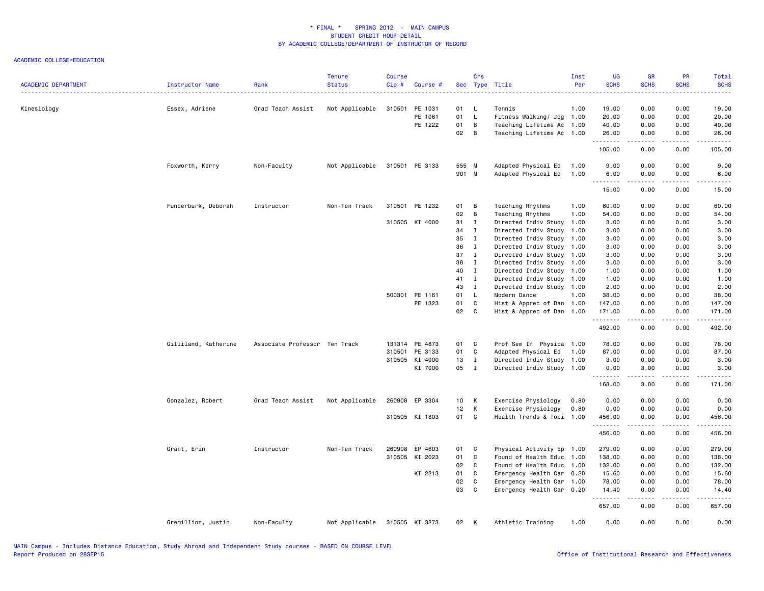| <b>ACADEMIC DEPARTMENT</b> | Instructor Name      | Rank                          | <b>Tenure</b><br><b>Status</b> | <b>Course</b><br>Cip# | Course #       |       | Crs                        | Sec Type Title            | Inst<br>Per | UG<br><b>SCHS</b> | <b>GR</b><br><b>SCHS</b>            | PR<br><b>SCHS</b>                   | Total<br><b>SCHS</b>                                                                                                                                          |
|----------------------------|----------------------|-------------------------------|--------------------------------|-----------------------|----------------|-------|----------------------------|---------------------------|-------------|-------------------|-------------------------------------|-------------------------------------|---------------------------------------------------------------------------------------------------------------------------------------------------------------|
| Kinesiology                | Essex, Adriene       | Grad Teach Assist             | Not Applicable                 | 310501                | PE 1031        | 01    | - L                        | Tennis                    | 1.00        | 19.00             | 0.00                                | 0.00                                | 19.00                                                                                                                                                         |
|                            |                      |                               |                                |                       | PE 1061        | 01    | $\mathsf{L}$               | Fitness Walking/ Jog 1.00 |             | 20.00             | 0.00                                | 0.00                                | 20.00                                                                                                                                                         |
|                            |                      |                               |                                |                       | PE 1222        | 01    | $\overline{B}$             | Teaching Lifetime Ac 1.00 |             | 40.00             | 0.00                                | 0.00                                | 40.00                                                                                                                                                         |
|                            |                      |                               |                                |                       |                | 02    | B                          | Teaching Lifetime Ac 1.00 |             | 26.00<br>.        | 0.00<br>.                           | 0.00<br>$\sim$ $\sim$ $\sim$ $\sim$ | 26.00<br>د د د د د                                                                                                                                            |
|                            |                      |                               |                                |                       |                |       |                            |                           |             | 105.00            | 0.00                                | 0.00                                | 105.00                                                                                                                                                        |
|                            | Foxworth, Kerry      | Non-Faculty                   | Not Applicable                 |                       | 310501 PE 3133 | 555 M |                            | Adapted Physical Ed       | 1.00        | 9.00              | 0.00                                | 0.00                                | 9.00                                                                                                                                                          |
|                            |                      |                               |                                |                       |                | 901 M |                            | Adapted Physical Ed       | 1.00        | 6.00              | 0.00                                | 0.00                                | 6.00                                                                                                                                                          |
|                            |                      |                               |                                |                       |                |       |                            |                           |             | .<br>15.00        | .<br>0.00                           | د د د د<br>0.00                     | $\frac{1}{2} \left( \frac{1}{2} \right) \left( \frac{1}{2} \right) \left( \frac{1}{2} \right) \left( \frac{1}{2} \right) \left( \frac{1}{2} \right)$<br>15.00 |
|                            | Funderburk, Deborah  | Instructor                    | Non-Ten Track                  |                       | 310501 PE 1232 | 01    | B                          | Teaching Rhythms          | 1.00        | 60.00             | 0.00                                | 0.00                                | 60.00                                                                                                                                                         |
|                            |                      |                               |                                |                       |                | 02    | $\overline{B}$             | Teaching Rhythms          | 1.00        | 54.00             | 0.00                                | 0.00                                | 54.00                                                                                                                                                         |
|                            |                      |                               |                                |                       | 310505 KI 4000 | 31    | $\mathbf{I}$               | Directed Indiv Study      | 1.00        | 3.00              | 0.00                                | 0.00                                | 3.00                                                                                                                                                          |
|                            |                      |                               |                                |                       |                | 34    | $\mathbf{I}$               | Directed Indiv Study      | 1.00        | 3.00              | 0.00                                | 0.00                                | 3.00                                                                                                                                                          |
|                            |                      |                               |                                |                       |                | 35    | $\mathbf{I}$               | Directed Indiv Study 1.00 |             | 3.00              | 0.00                                | 0.00                                | 3.00                                                                                                                                                          |
|                            |                      |                               |                                |                       |                | 36    | $\mathbf{I}$               | Directed Indiv Study 1.00 |             | 3.00              | 0.00                                | 0.00                                | 3.00                                                                                                                                                          |
|                            |                      |                               |                                |                       |                | 37    | $\mathbf{I}$               | Directed Indiv Study 1.00 |             | 3.00              | 0.00                                | 0.00                                | 3.00                                                                                                                                                          |
|                            |                      |                               |                                |                       |                | 38    | $\mathbf{I}$               | Directed Indiv Study 1.00 |             | 3.00              | 0.00                                | 0.00                                | 3.00                                                                                                                                                          |
|                            |                      |                               |                                |                       |                | 40    | $\mathbf{I}$               | Directed Indiv Study 1.00 |             | 1.00              | 0.00                                | 0.00                                | 1.00                                                                                                                                                          |
|                            |                      |                               |                                |                       |                | 41    | $\mathbf{I}$               | Directed Indiv Study 1.00 |             | 1.00              | 0.00                                | 0.00                                | 1.00                                                                                                                                                          |
|                            |                      |                               |                                |                       |                | 43    | $\mathbf{I}$               | Directed Indiv Study 1.00 |             | 2.00              | 0.00                                | 0.00                                | 2.00                                                                                                                                                          |
|                            |                      |                               |                                |                       | 500301 PE 1161 | 01    | - L                        | Modern Dance              | 1.00        | 38.00             | 0.00                                | 0.00                                | 38.00                                                                                                                                                         |
|                            |                      |                               |                                |                       | PE 1323        | 01    | C                          | Hist & Apprec of Dan 1.00 |             | 147.00            | 0.00                                | 0.00                                | 147.00                                                                                                                                                        |
|                            |                      |                               |                                |                       |                | 02    | C                          | Hist & Apprec of Dan 1.00 |             | 171.00            | 0.00                                | 0.00                                | 171.00                                                                                                                                                        |
|                            |                      |                               |                                |                       |                |       |                            |                           |             | .<br>492.00       | .<br>0.00                           | .<br>0.00                           | <u>.</u><br>492.00                                                                                                                                            |
|                            | Gilliland, Katherine | Associate Professor Ten Track |                                |                       | 131314 PE 4873 | 01 C  |                            | Prof Sem In Physica 1.00  |             | 78.00             | 0.00                                | 0.00                                | 78.00                                                                                                                                                         |
|                            |                      |                               |                                |                       | 310501 PE 3133 | 01    | C                          | Adapted Physical Ed 1.00  |             | 87.00             | 0.00                                | 0.00                                | 87.00                                                                                                                                                         |
|                            |                      |                               |                                |                       | 310505 KI 4000 | 13    | $\mathbf{I}$               | Directed Indiv Study 1.00 |             | 3.00              | 0.00                                | 0.00                                | 3.00                                                                                                                                                          |
|                            |                      |                               |                                |                       | KI 7000        | 05    | $\mathbf{I}$               | Directed Indiv Study 1.00 |             | 0.00<br>.         | 3.00<br>.                           | 0.00<br>.                           | 3.00<br>.                                                                                                                                                     |
|                            |                      |                               |                                |                       |                |       |                            |                           |             | 168.00            | 3.00                                | 0.00                                | 171.00                                                                                                                                                        |
|                            | Gonzalez, Robert     | Grad Teach Assist             | Not Applicable                 |                       | 260908 EP 3304 | 10 K  |                            | Exercise Physiology       | 0.80        | 0.00              | 0.00                                | 0.00                                | 0.00                                                                                                                                                          |
|                            |                      |                               |                                |                       |                | 12 K  |                            | Exercise Physiology       | 0.80        | 0.00              | 0.00                                | 0.00                                | 0.00                                                                                                                                                          |
|                            |                      |                               |                                |                       | 310505 KI 1803 | 01 C  |                            | Health Trends & Topi 1.00 |             | 456.00<br>.       | 0.00<br>$\sim$ $\sim$ $\sim$ $\sim$ | 0.00<br>.                           | 456.00<br>.                                                                                                                                                   |
|                            |                      |                               |                                |                       |                |       |                            |                           |             | 456.00            | 0.00                                | 0.00                                | 456.00                                                                                                                                                        |
|                            | Grant, Erin          | Instructor                    | Non-Ten Track                  |                       | 260908 EP 4603 | 01    | $\overline{\phantom{a}}$ C | Physical Activity Ep 1.00 |             | 279.00            | 0.00                                | 0.00                                | 279.00                                                                                                                                                        |
|                            |                      |                               |                                |                       | 310505 KI 2023 | 01    | C.                         | Found of Health Educ 1.00 |             | 138.00            | 0.00                                | 0.00                                | 138.00                                                                                                                                                        |
|                            |                      |                               |                                |                       |                | 02    | $\mathbf{C}$               | Found of Health Educ 1.00 |             | 132.00            | 0.00                                | 0.00                                | 132.00                                                                                                                                                        |
|                            |                      |                               |                                |                       | KI 2213        | 01    | C                          | Emergency Health Car 0.20 |             | 15.60             | 0.00                                | 0.00                                | 15.60                                                                                                                                                         |
|                            |                      |                               |                                |                       |                | 02    | C                          | Emergency Health Car 1.00 |             | 78.00             | 0.00                                | 0.00                                | 78.00                                                                                                                                                         |
|                            |                      |                               |                                |                       |                | 03    | C                          | Emergency Health Car 0.20 |             | 14.40             | 0.00                                | 0.00                                | 14.40                                                                                                                                                         |
|                            |                      |                               |                                |                       |                |       |                            |                           |             | .<br>657.00       | $- - - - -$<br>0.00                 | .<br>0.00                           | .<br>657.00                                                                                                                                                   |
|                            | Gremillion, Justin   | Non-Faculty                   | Not Applicable                 |                       | 310505 KI 3273 | 02    | K                          | Athletic Training         | 1.00        | 0.00              | 0.00                                | 0.00                                | 0.00                                                                                                                                                          |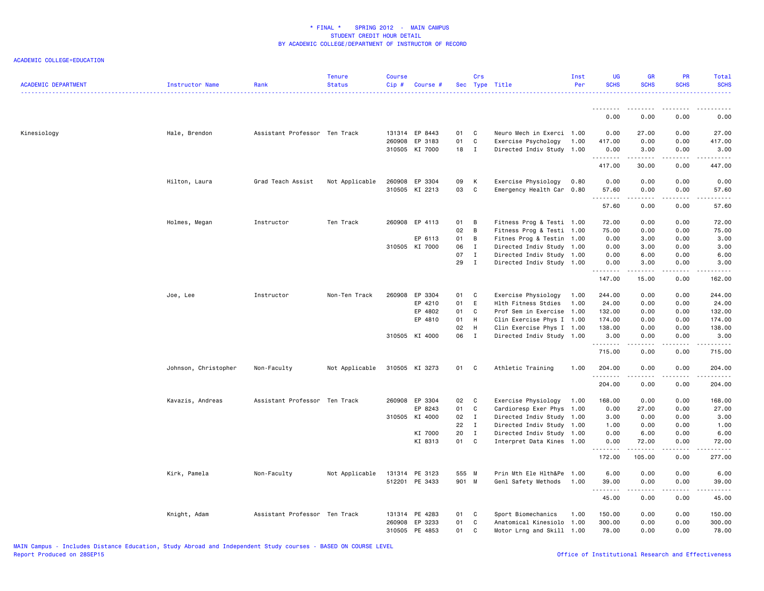| <b>ACADEMIC DEPARTMENT</b> | Instructor Name      | Rank                          | <b>Tenure</b><br><b>Status</b> | <b>Course</b><br>Cip # | Course #       |       | Crs            | Sec Type Title            | Inst<br>Per | <b>UG</b><br><b>SCHS</b> | GR<br><b>SCHS</b>                                                                                                                                            | PR<br><b>SCHS</b>     | <b>Total</b><br><b>SCHS</b>                                                                                          |
|----------------------------|----------------------|-------------------------------|--------------------------------|------------------------|----------------|-------|----------------|---------------------------|-------------|--------------------------|--------------------------------------------------------------------------------------------------------------------------------------------------------------|-----------------------|----------------------------------------------------------------------------------------------------------------------|
|                            |                      |                               |                                |                        |                |       |                |                           |             | 0.00                     | 0.00                                                                                                                                                         | 0.00                  | 0.00                                                                                                                 |
|                            |                      |                               |                                |                        |                |       |                |                           |             |                          |                                                                                                                                                              |                       |                                                                                                                      |
| Kinesiology                | Hale, Brendon        | Assistant Professor Ten Track |                                |                        | 131314 EP 8443 | 01    | C              | Neuro Mech in Exerci 1.00 |             | 0.00                     | 27.00                                                                                                                                                        | 0.00                  | 27.00                                                                                                                |
|                            |                      |                               |                                |                        | 260908 EP 3183 | 01    | $\mathbf c$    | Exercise Psychology       | 1.00        | 417.00                   | 0.00                                                                                                                                                         | 0.00                  | 417.00                                                                                                               |
|                            |                      |                               |                                |                        | 310505 KI 7000 | 18    | $\mathbf{I}$   | Directed Indiv Study 1.00 |             | 0.00<br>.                | 3.00<br>الداعات عامات                                                                                                                                        | 0.00<br>.             | 3.00<br>.                                                                                                            |
|                            |                      |                               |                                |                        |                |       |                |                           |             | 417.00                   | 30.00                                                                                                                                                        | 0.00                  | 447.00                                                                                                               |
|                            | Hilton, Laura        | Grad Teach Assist             | Not Applicable                 |                        | 260908 EP 3304 | 09    | K              | Exercise Physiology       | 0.80        | 0.00                     | 0.00                                                                                                                                                         | 0.00                  | 0.00                                                                                                                 |
|                            |                      |                               |                                |                        | 310505 KI 2213 | 03    | C              | Emergency Health Car 0.80 |             | 57.60<br>.               | 0.00<br>.                                                                                                                                                    | 0.00<br>.             | 57.60<br>.                                                                                                           |
|                            |                      |                               |                                |                        |                |       |                |                           |             | 57.60                    | 0.00                                                                                                                                                         | 0.00                  | 57.60                                                                                                                |
|                            | Holmes, Megan        | Instructor                    | Ten Track                      |                        | 260908 EP 4113 | 01    | B              | Fitness Prog & Testi 1.00 |             | 72.00                    | 0.00                                                                                                                                                         | 0.00                  | 72.00                                                                                                                |
|                            |                      |                               |                                |                        |                | 02    | $\overline{B}$ | Fitness Prog & Testi 1.00 |             | 75.00                    | 0.00                                                                                                                                                         | 0.00                  | 75.00                                                                                                                |
|                            |                      |                               |                                |                        | EP 6113        | 01    | B              | Fitnes Prog & Testin 1.00 |             | 0.00                     | 3.00                                                                                                                                                         | 0.00                  | 3.00                                                                                                                 |
|                            |                      |                               |                                |                        | 310505 KI 7000 | 06    | $\mathbf{I}$   | Directed Indiv Study 1.00 |             | 0.00                     | 3.00                                                                                                                                                         | 0.00                  | 3.00                                                                                                                 |
|                            |                      |                               |                                |                        |                | 07    | $\mathbf I$    | Directed Indiv Study 1.00 |             | 0.00                     | 6.00                                                                                                                                                         | 0.00                  | 6.00                                                                                                                 |
|                            |                      |                               |                                |                        |                | 29    | $\mathbf{I}$   | Directed Indiv Study 1.00 |             | 0.00<br>.                | 3.00<br>$\frac{1}{2} \left( \frac{1}{2} \right) \left( \frac{1}{2} \right) \left( \frac{1}{2} \right) \left( \frac{1}{2} \right) \left( \frac{1}{2} \right)$ | 0.00<br>.             | 3.00<br>.                                                                                                            |
|                            |                      |                               |                                |                        |                |       |                |                           |             | 147.00                   | 15.00                                                                                                                                                        | 0.00                  | 162.00                                                                                                               |
|                            | Joe, Lee             | Instructor                    | Non-Ten Track                  |                        | 260908 EP 3304 | 01    | C              | Exercise Physiology       | 1.00        | 244.00                   | 0.00                                                                                                                                                         | 0.00                  | 244.00                                                                                                               |
|                            |                      |                               |                                |                        | EP 4210        | 01    | E              | Hlth Fitness Stdies       | 1.00        | 24.00                    | 0.00                                                                                                                                                         | 0.00                  | 24.00                                                                                                                |
|                            |                      |                               |                                |                        | EP 4802        | 01    | C              | Prof Sem in Exercise 1.00 |             | 132.00                   | 0.00                                                                                                                                                         | 0.00                  | 132.00                                                                                                               |
|                            |                      |                               |                                |                        | EP 4810        | 01    | H              | Clin Exercise Phys I 1.00 |             | 174.00                   | 0.00                                                                                                                                                         | 0.00                  | 174.00                                                                                                               |
|                            |                      |                               |                                |                        |                | 02    | H              | Clin Exercise Phys I 1.00 |             | 138.00                   | 0.00                                                                                                                                                         | 0.00                  | 138.00                                                                                                               |
|                            |                      |                               |                                |                        | 310505 KI 4000 | 06    | $\mathbf{I}$   | Directed Indiv Study 1.00 |             | 3.00<br>.                | 0.00<br>.                                                                                                                                                    | 0.00<br>.             | 3.00<br>.                                                                                                            |
|                            |                      |                               |                                |                        |                |       |                |                           |             | 715.00                   | 0.00                                                                                                                                                         | 0.00                  | 715.00                                                                                                               |
|                            | Johnson, Christopher | Non-Faculty                   | Not Applicable                 |                        | 310505 KI 3273 | 01 C  |                | Athletic Training         | 1.00        | 204.00                   | 0.00                                                                                                                                                         | 0.00                  | 204.00                                                                                                               |
|                            |                      |                               |                                |                        |                |       |                |                           |             | .<br>204.00              | 0.00                                                                                                                                                         | $\frac{1}{2}$<br>0.00 | <u>.</u><br>204.00                                                                                                   |
|                            | Kavazis, Andreas     | Assistant Professor Ten Track |                                |                        | 260908 EP 3304 | 02    | $\mathbf{C}$   | Exercise Physiology       | 1.00        | 168.00                   | 0.00                                                                                                                                                         | 0.00                  | 168.00                                                                                                               |
|                            |                      |                               |                                |                        | EP 8243        | 01    | C              | Cardioresp Exer Phys      | 1.00        | 0.00                     | 27.00                                                                                                                                                        | 0.00                  | 27.00                                                                                                                |
|                            |                      |                               |                                |                        | 310505 KI 4000 | 02    | $\mathbf{I}$   | Directed Indiv Study 1.00 |             | 3.00                     | 0.00                                                                                                                                                         | 0.00                  | 3.00                                                                                                                 |
|                            |                      |                               |                                |                        |                | 22    | $\mathbf{I}$   | Directed Indiv Study 1.00 |             | 1.00                     | 0.00                                                                                                                                                         | 0.00                  | 1.00                                                                                                                 |
|                            |                      |                               |                                |                        | KI 7000        | 20    | $\mathbf{I}$   | Directed Indiv Study 1.00 |             | 0.00                     | 6.00                                                                                                                                                         | 0.00                  | 6.00                                                                                                                 |
|                            |                      |                               |                                |                        | KI 8313        | 01    | C              | Interpret Data Kines      | 1.00        | 0.00<br>.                | 72.00<br>.                                                                                                                                                   | 0.00<br>.             | 72.00<br>$\begin{array}{cccccccccc} \bullet & \bullet & \bullet & \bullet & \bullet & \bullet & \bullet \end{array}$ |
|                            |                      |                               |                                |                        |                |       |                |                           |             | 172.00                   | 105.00                                                                                                                                                       | 0.00                  | 277.00                                                                                                               |
|                            | Kirk, Pamela         | Non-Faculty                   | Not Applicable                 |                        | 131314 PE 3123 | 555 M |                | Prin Mth Ele Hlth&Pe      | 1.00        | 6.00                     | 0.00                                                                                                                                                         | 0.00                  | 6.00                                                                                                                 |
|                            |                      |                               |                                |                        | 512201 PE 3433 | 901 M |                | Genl Safety Methods       | 1.00        | 39.00<br>.               | 0.00<br>.                                                                                                                                                    | 0.00<br>.             | 39.00<br>.                                                                                                           |
|                            |                      |                               |                                |                        |                |       |                |                           |             | 45.00                    | 0.00                                                                                                                                                         | 0.00                  | 45.00                                                                                                                |
|                            | Knight, Adam         | Assistant Professor Ten Track |                                |                        | 131314 PE 4283 | 01    | C.             | Sport Biomechanics        | 1.00        | 150.00                   | 0.00                                                                                                                                                         | 0.00                  | 150.00                                                                                                               |
|                            |                      |                               |                                | 260908                 | EP 3233        | 01    | C              | Anatomical Kinesiolo 1.00 |             | 300.00                   | 0.00                                                                                                                                                         | 0.00                  | 300.00                                                                                                               |
|                            |                      |                               |                                |                        | 310505 PE 4853 | 01    | C              | Motor Lrng and Skill 1.00 |             | 78.00                    | 0.00                                                                                                                                                         | 0.00                  | 78.00                                                                                                                |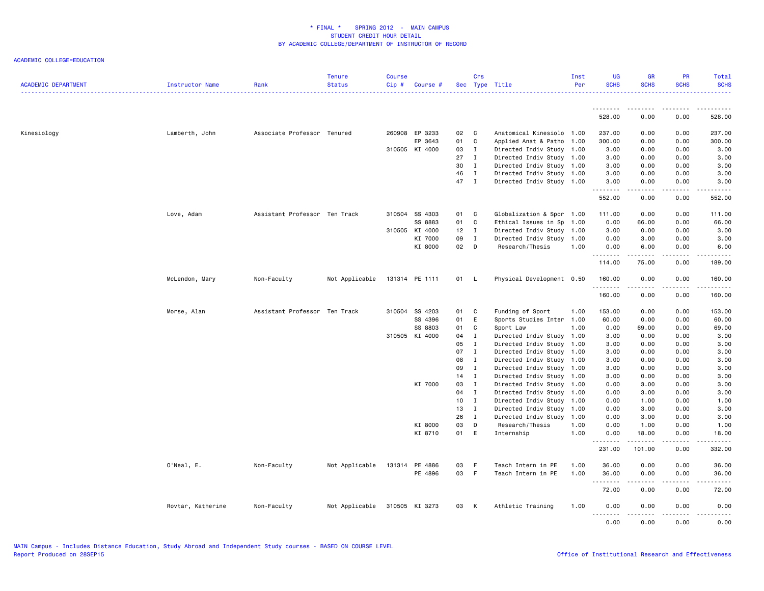| <b>ACADEMIC DEPARTMENT</b> | Instructor Name   | Rank                          | <b>Tenure</b><br><b>Status</b> | <b>Course</b><br>Cip# | Course #       |      | Crs          | Sec Type Title            | Inst<br>Per | <b>UG</b><br><b>SCHS</b>                                                                                                                                     | <b>GR</b><br><b>SCHS</b> | PR<br><b>SCHS</b>            | <b>Total</b><br><b>SCHS</b> |
|----------------------------|-------------------|-------------------------------|--------------------------------|-----------------------|----------------|------|--------------|---------------------------|-------------|--------------------------------------------------------------------------------------------------------------------------------------------------------------|--------------------------|------------------------------|-----------------------------|
|                            |                   |                               |                                |                       |                |      |              |                           |             |                                                                                                                                                              |                          |                              |                             |
|                            |                   |                               |                                |                       |                |      |              |                           |             | 528.00                                                                                                                                                       | 0.00                     | 0.00                         | 528.00                      |
| Kinesiology                | Lamberth, John    | Associate Professor Tenured   |                                |                       | 260908 EP 3233 | 02   | C            | Anatomical Kinesiolo 1.00 |             | 237.00                                                                                                                                                       | 0.00                     | 0.00                         | 237.00                      |
|                            |                   |                               |                                |                       | EP 3643        | 01   | C            | Applied Anat & Patho      | 1.00        | 300.00                                                                                                                                                       | 0.00                     | 0.00                         | 300.00                      |
|                            |                   |                               |                                |                       | 310505 KI 4000 | 03   | I            | Directed Indiv Study 1.00 |             | 3.00                                                                                                                                                         | 0.00                     | 0.00                         | 3.00                        |
|                            |                   |                               |                                |                       |                | 27   | I            | Directed Indiv Study 1.00 |             | 3.00                                                                                                                                                         | 0.00                     | 0.00                         | 3.00                        |
|                            |                   |                               |                                |                       |                | 30   | $\mathbf{I}$ | Directed Indiv Study 1.00 |             | 3.00                                                                                                                                                         | 0.00                     | 0.00                         | 3.00                        |
|                            |                   |                               |                                |                       |                | 46   | $\mathbf{I}$ | Directed Indiv Study 1.00 |             | 3.00                                                                                                                                                         | 0.00                     | 0.00                         | 3.00                        |
|                            |                   |                               |                                |                       |                | 47   | $\mathbf{I}$ | Directed Indiv Study 1.00 |             | 3.00<br>.                                                                                                                                                    | 0.00<br>$\cdots$         | 0.00<br>$\sim$ $\sim$ $\sim$ | 3.00                        |
|                            |                   |                               |                                |                       |                |      |              |                           |             | 552.00                                                                                                                                                       | 0.00                     | 0.00                         | 552.00                      |
|                            | Love, Adam        | Assistant Professor Ten Track |                                |                       | 310504 SS 4303 | 01   | C            | Globalization & Spor 1.00 |             | 111.00                                                                                                                                                       | 0.00                     | 0.00                         | 111.00                      |
|                            |                   |                               |                                |                       | SS 8883        | 01   | C            | Ethical Issues in Sp      | 1.00        | 0.00                                                                                                                                                         | 66.00                    | 0.00                         | 66.00                       |
|                            |                   |                               |                                |                       | 310505 KI 4000 | 12   | $\mathbf I$  | Directed Indiv Study 1.00 |             | 3.00                                                                                                                                                         | 0.00                     | 0.00                         | 3.00                        |
|                            |                   |                               |                                |                       | KI 7000        | 09   | $\mathbf I$  | Directed Indiv Study      | 1.00        | 0.00                                                                                                                                                         | 3.00                     | 0.00                         | 3.00                        |
|                            |                   |                               |                                |                       | KI 8000        | 02   | D            | Research/Thesis           | 1.00        | 0.00<br>.                                                                                                                                                    | 6.00                     | 0.00                         | 6.00                        |
|                            |                   |                               |                                |                       |                |      |              |                           |             | 114.00                                                                                                                                                       | 75.00                    | 0.00                         | 189.00                      |
|                            | McLendon, Mary    | Non-Faculty                   | Not Applicable                 |                       | 131314 PE 1111 | 01 L |              | Physical Development 0.50 |             | 160.00<br>.                                                                                                                                                  | 0.00                     | 0.00                         | 160.00<br>.                 |
|                            |                   |                               |                                |                       |                |      |              |                           |             | 160.00                                                                                                                                                       | 0.00                     | 0.00                         | 160.00                      |
|                            | Morse, Alan       | Assistant Professor Ten Track |                                |                       | 310504 SS 4203 | 01   | C            | Funding of Sport          | 1.00        | 153.00                                                                                                                                                       | 0.00                     | 0.00                         | 153.00                      |
|                            |                   |                               |                                |                       | SS 4396        | 01   | E            | Sports Studies Inter      | 1.00        | 60.00                                                                                                                                                        | 0.00                     | 0.00                         | 60.00                       |
|                            |                   |                               |                                |                       | SS 8803        | 01   | C            | Sport Law                 | 1.00        | 0.00                                                                                                                                                         | 69.00                    | 0.00                         | 69.00                       |
|                            |                   |                               |                                |                       | 310505 KI 4000 | 04   | $\mathbf I$  | Directed Indiv Study 1.00 |             | 3.00                                                                                                                                                         | 0.00                     | 0.00                         | 3.00                        |
|                            |                   |                               |                                |                       |                | 05   | $\mathbf I$  | Directed Indiv Study      | 1.00        | 3.00                                                                                                                                                         | 0.00                     | 0.00                         | 3.00                        |
|                            |                   |                               |                                |                       |                | 07   | $\mathbf{I}$ | Directed Indiv Study 1.00 |             | 3.00                                                                                                                                                         | 0.00                     | 0.00                         | 3.00                        |
|                            |                   |                               |                                |                       |                | 08   | $\mathbf{I}$ | Directed Indiv Study 1.00 |             | 3.00                                                                                                                                                         | 0.00                     | 0.00                         | 3.00                        |
|                            |                   |                               |                                |                       |                | 09   | $\mathbf{I}$ | Directed Indiv Study      | 1.00        | 3.00                                                                                                                                                         | 0.00                     | 0.00                         | 3.00                        |
|                            |                   |                               |                                |                       |                | 14   | $\mathbf{I}$ | Directed Indiv Study 1.00 |             | 3.00                                                                                                                                                         | 0.00                     | 0.00                         | 3.00                        |
|                            |                   |                               |                                |                       | KI 7000        | 03   | $\mathbf I$  | Directed Indiv Study 1.00 |             | 0.00                                                                                                                                                         | 3.00                     | 0.00                         | 3.00                        |
|                            |                   |                               |                                |                       |                | 04   | $\mathbf I$  | Directed Indiv Study      | 1.00        | 0.00                                                                                                                                                         | 3.00                     | 0.00                         | 3.00                        |
|                            |                   |                               |                                |                       |                | 10   | I            | Directed Indiv Study 1.00 |             | 0.00                                                                                                                                                         | 1.00                     | 0.00                         | 1.00                        |
|                            |                   |                               |                                |                       |                | 13   | $\mathbf{I}$ | Directed Indiv Study 1.00 |             | 0.00                                                                                                                                                         | 3.00                     | 0.00                         | 3.00                        |
|                            |                   |                               |                                |                       |                | 26   | I            | Directed Indiv Study      | 1.00        | 0.00                                                                                                                                                         | 3.00                     | 0.00                         | 3.00                        |
|                            |                   |                               |                                |                       | KI 8000        | 03   | D            | Research/Thesis           | 1.00        | 0.00                                                                                                                                                         | 1.00                     | 0.00                         | 1.00                        |
|                            |                   |                               |                                |                       | KI 8710        | 01   | E            | Internship                | 1.00        | 0.00<br>$\frac{1}{2} \left( \frac{1}{2} \right) \left( \frac{1}{2} \right) \left( \frac{1}{2} \right) \left( \frac{1}{2} \right) \left( \frac{1}{2} \right)$ | 18.00<br>$- - - - -$     | 0.00<br>.                    | 18.00<br>.                  |
|                            |                   |                               |                                |                       |                |      |              |                           |             | 231.00                                                                                                                                                       | 101.00                   | 0.00                         | 332.00                      |
|                            | O'Neal, E.        | Non-Faculty                   | Not Applicable                 | 131314                | PE 4886        | 03   | -F           | Teach Intern in PE        | 1.00        | 36.00                                                                                                                                                        | 0.00                     | 0.00                         | 36.00                       |
|                            |                   |                               |                                |                       | PE 4896        | 03   | F            | Teach Intern in PE        | 1.00        | 36.00<br><u>.</u>                                                                                                                                            | 0.00                     | 0.00                         | 36.00<br>.                  |
|                            |                   |                               |                                |                       |                |      |              |                           |             | 72.00                                                                                                                                                        | 0.00                     | 0.00                         | 72.00                       |
|                            | Rovtar, Katherine | Non-Faculty                   | Not Applicable                 |                       | 310505 KI 3273 | 03 K |              | Athletic Training         | 1.00        | 0.00<br>.                                                                                                                                                    | 0.00                     | 0.00<br>.                    | 0.00<br>$\frac{1}{2}$       |
|                            |                   |                               |                                |                       |                |      |              |                           |             | 0.00                                                                                                                                                         | 0.00                     | 0.00                         | 0.00                        |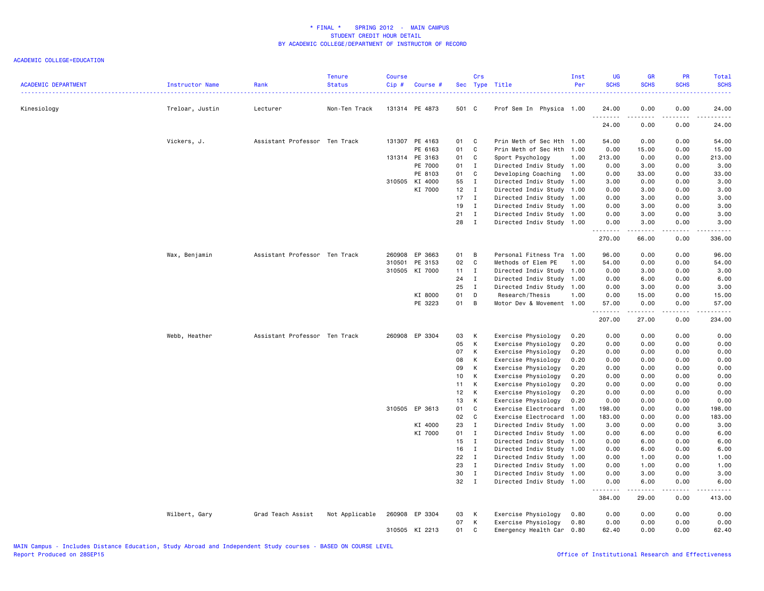| <b>ACADEMIC DEPARTMENT</b> | Instructor Name | Rank                          | Tenure<br><b>Status</b> | Course<br>Cip# | Course #       |            | Crs          | Sec Type Title                                         | Inst<br>Per | UG<br><b>SCHS</b>   | <b>GR</b><br><b>SCHS</b>                                                                                                                                     | PR<br><b>SCHS</b> | Total<br><b>SCHS</b> |
|----------------------------|-----------------|-------------------------------|-------------------------|----------------|----------------|------------|--------------|--------------------------------------------------------|-------------|---------------------|--------------------------------------------------------------------------------------------------------------------------------------------------------------|-------------------|----------------------|
| Kinesiology                | Treloar, Justin | Lecturer                      | Non-Ten Track           |                | 131314 PE 4873 | 501 C      |              | Prof Sem In Physica 1.00                               |             | 24.00               | 0.00                                                                                                                                                         | 0.00              | 24.00                |
|                            |                 |                               |                         |                |                |            |              |                                                        |             | . <b>.</b><br>24.00 | -----<br>0.00                                                                                                                                                | 0.00              | 24.00                |
|                            | Vickers, J.     | Assistant Professor Ten Track |                         |                | 131307 PE 4163 | 01         | C            | Prin Meth of Sec Hth 1.00                              |             | 54.00               | 0.00                                                                                                                                                         | 0.00              | 54.00                |
|                            |                 |                               |                         |                | PE 6163        | 01         | C            | Prin Meth of Sec Hth 1.00                              |             | 0.00                | 15.00                                                                                                                                                        | 0.00              | 15.00                |
|                            |                 |                               |                         |                | 131314 PE 3163 | 01         | C            | Sport Psychology                                       | 1.00        | 213.00              | 0.00                                                                                                                                                         | 0.00              | 213.00               |
|                            |                 |                               |                         |                | PE 7000        | 01         | $\mathbf I$  | Directed Indiv Study 1.00                              |             | 0.00                | 3.00                                                                                                                                                         | 0.00              | 3.00                 |
|                            |                 |                               |                         |                | PE 8103        | 01         | $\mathbf C$  | Developing Coaching                                    | 1.00        | 0.00                | 33.00                                                                                                                                                        | 0.00              | 33.00                |
|                            |                 |                               |                         | 310505         | KI 4000        | 55         | $\mathbf{I}$ | Directed Indiv Study 1.00                              |             | 3.00                | 0.00                                                                                                                                                         | 0.00              | 3.00                 |
|                            |                 |                               |                         |                | KI 7000        | $12$ I     |              | Directed Indiv Study 1.00                              |             | 0.00                | 3.00                                                                                                                                                         | 0.00              | 3.00                 |
|                            |                 |                               |                         |                |                | $17$ I     |              | Directed Indiv Study 1.00                              |             | 0.00                | 3.00                                                                                                                                                         | 0.00              | 3.00                 |
|                            |                 |                               |                         |                |                | 19         | $\mathbf{I}$ | Directed Indiv Study 1.00                              |             | 0.00                | 3.00                                                                                                                                                         | 0.00              | 3.00                 |
|                            |                 |                               |                         |                |                | 21         | $\mathbf{I}$ | Directed Indiv Study 1.00                              |             | 0.00                | 3.00                                                                                                                                                         | 0.00              | 3.00                 |
|                            |                 |                               |                         |                |                | 28         | $\mathbf{I}$ | Directed Indiv Study 1.00                              |             | 0.00<br>.           | 3.00<br>$\frac{1}{2} \left( \frac{1}{2} \right) \left( \frac{1}{2} \right) \left( \frac{1}{2} \right) \left( \frac{1}{2} \right) \left( \frac{1}{2} \right)$ | 0.00<br>.         | 3.00<br>.            |
|                            |                 |                               |                         |                |                |            |              |                                                        |             | 270.00              | 66.00                                                                                                                                                        | 0.00              | 336.00               |
|                            | Wax, Benjamin   | Assistant Professor Ten Track |                         |                | 260908 EP 3663 | 01         | в            | Personal Fitness Tra 1.00                              |             | 96.00               | 0.00                                                                                                                                                         | 0.00              | 96.00                |
|                            |                 |                               |                         | 310501         | PE 3153        | 02         | C            | Methods of Elem PE                                     | 1.00        | 54.00               | 0.00                                                                                                                                                         | 0.00              | 54.00                |
|                            |                 |                               |                         |                | 310505 KI 7000 | 11         | $\mathbf{I}$ | Directed Indiv Study 1.00                              |             | 0.00                | 3.00                                                                                                                                                         | 0.00              | 3.00                 |
|                            |                 |                               |                         |                |                | 24         | $\mathbf I$  | Directed Indiv Study 1.00                              |             | 0.00                | 6.00                                                                                                                                                         | 0.00              | 6.00                 |
|                            |                 |                               |                         |                |                | 25         | $\mathbf{I}$ | Directed Indiv Study 1.00                              |             | 0.00                | 3.00                                                                                                                                                         | 0.00              | 3.00                 |
|                            |                 |                               |                         |                | KI 8000        | 01         | D            | Research/Thesis                                        | 1.00        | 0.00                | 15.00                                                                                                                                                        | 0.00              | 15.00                |
|                            |                 |                               |                         |                | PE 3223        | 01         | B            | Motor Dev & Movement 1.00                              |             | 57.00               | 0.00                                                                                                                                                         | 0.00<br>.         | 57.00<br>.           |
|                            |                 |                               |                         |                |                |            |              |                                                        |             | .<br>207.00         | .<br>27.00                                                                                                                                                   | 0.00              | 234.00               |
|                            | Webb, Heather   | Assistant Professor Ten Track |                         |                | 260908 EP 3304 | 03         | к            | Exercise Physiology                                    | 0.20        | 0.00                | 0.00                                                                                                                                                         | 0.00              | 0.00                 |
|                            |                 |                               |                         |                |                | 05         | К            | Exercise Physiology                                    | 0.20        | 0.00                | 0.00                                                                                                                                                         | 0.00              | 0.00                 |
|                            |                 |                               |                         |                |                | 07         | К            | Exercise Physiology                                    | 0.20        | 0.00                | 0.00                                                                                                                                                         | 0.00              | 0.00                 |
|                            |                 |                               |                         |                |                | 08         | К            | Exercise Physiology                                    | 0.20        | 0.00                | 0.00                                                                                                                                                         | 0.00              | 0.00                 |
|                            |                 |                               |                         |                |                | 09         | K            | Exercise Physiology                                    | 0.20        | 0.00                | 0.00                                                                                                                                                         | 0.00              | 0.00                 |
|                            |                 |                               |                         |                |                | 10         | K            | Exercise Physiology                                    | 0.20        | 0.00                | 0.00                                                                                                                                                         | 0.00              | 0.00                 |
|                            |                 |                               |                         |                |                | 11         | K            | Exercise Physiology                                    | 0.20        | 0.00                | 0.00                                                                                                                                                         | 0.00              | 0.00                 |
|                            |                 |                               |                         |                |                | 12         | K            | Exercise Physiology                                    | 0.20        | 0.00                | 0.00                                                                                                                                                         | 0.00              | 0.00                 |
|                            |                 |                               |                         |                |                | 13         | К            | Exercise Physiology                                    | 0.20        | 0.00                | 0.00                                                                                                                                                         | 0.00              | 0.00                 |
|                            |                 |                               |                         |                | 310505 EP 3613 | 01         | C            | Exercise Electrocard                                   | 1.00        | 198.00              | 0.00                                                                                                                                                         | 0.00              | 198.00               |
|                            |                 |                               |                         |                |                | 02         | C            | Exercise Electrocard 1.00                              |             | 183.00              | 0.00                                                                                                                                                         | 0.00              | 183.00               |
|                            |                 |                               |                         |                | KI 4000        | 23         | $\mathbf I$  | Directed Indiv Study 1.00                              |             | 3.00                | 0.00                                                                                                                                                         | 0.00              | 3.00                 |
|                            |                 |                               |                         |                | KI 7000        | 01         | $\mathbf I$  | Directed Indiv Study 1.00                              |             | 0.00                | 6.00                                                                                                                                                         | 0.00              | 6.00                 |
|                            |                 |                               |                         |                |                | 15         | $\mathbf{I}$ | Directed Indiv Study 1.00                              |             | 0.00                | 6.00                                                                                                                                                         | 0.00              | 6.00                 |
|                            |                 |                               |                         |                |                | 16         | $\mathbf{I}$ | Directed Indiv Study 1.00                              |             | 0.00                | 6.00                                                                                                                                                         | 0.00              | 6.00                 |
|                            |                 |                               |                         |                |                | 22         | $\mathbf{I}$ | Directed Indiv Study 1.00                              |             | 0.00                | 1.00                                                                                                                                                         | 0.00              | 1.00                 |
|                            |                 |                               |                         |                |                | 23         | $\mathbf{I}$ | Directed Indiv Study 1.00                              |             | 0.00                | 1.00                                                                                                                                                         | 0.00              | 1.00                 |
|                            |                 |                               |                         |                |                | 30<br>32 I | $\mathbf{I}$ | Directed Indiv Study 1.00<br>Directed Indiv Study 1.00 |             | 0.00<br>0.00        | 3.00<br>6.00                                                                                                                                                 | 0.00<br>0.00      | 3.00<br>6.00         |
|                            |                 |                               |                         |                |                |            |              |                                                        |             | .<br>384.00         | $- - - - -$<br>29.00                                                                                                                                         | $- - - -$<br>0.00 | .<br>413.00          |
|                            |                 |                               |                         |                |                |            |              |                                                        |             |                     |                                                                                                                                                              |                   |                      |
|                            | Wilbert, Gary   | Grad Teach Assist             | Not Applicable          |                | 260908 EP 3304 | 03         | К            | Exercise Physiology                                    | 0.80        | 0.00                | 0.00                                                                                                                                                         | 0.00              | 0.00                 |
|                            |                 |                               |                         |                |                | 07         | К            | Exercise Physiology                                    | 0.80        | 0.00                | 0.00                                                                                                                                                         | 0.00              | 0.00                 |
|                            |                 |                               |                         |                | 310505 KI 2213 | 01         | C            | Emergency Health Car 0.80                              |             | 62.40               | 0.00                                                                                                                                                         | 0.00              | 62.40                |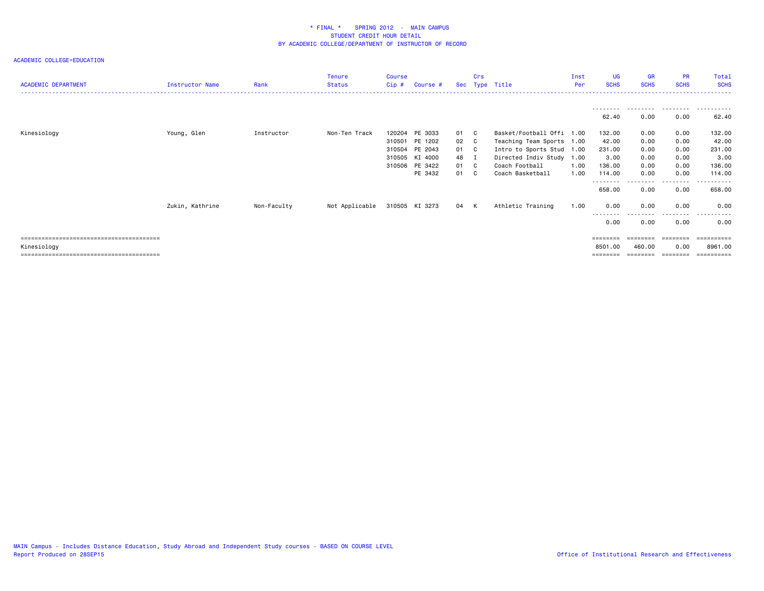| <b>ACADEMIC DEPARTMENT</b> | Instructor Name | Rank        | <b>Tenure</b><br><b>Status</b> | Course<br>$Cip$ # | Course #       |      | <b>Crs</b> | Sec Type Title            | Inst<br>Per | <b>UG</b><br><b>SCHS</b> | <b>GR</b><br><b>SCHS</b> | <b>PR</b><br><b>SCHS</b> | Total<br><b>SCHS</b> |
|----------------------------|-----------------|-------------|--------------------------------|-------------------|----------------|------|------------|---------------------------|-------------|--------------------------|--------------------------|--------------------------|----------------------|
|                            |                 |             |                                |                   |                |      |            |                           |             |                          |                          |                          |                      |
|                            |                 |             |                                |                   |                |      |            |                           |             |                          | ---------                | .                        |                      |
|                            |                 |             |                                |                   |                |      |            |                           |             | 62.40                    | 0.00                     | 0.00                     | 62.40                |
| Kinesiology                | Young, Glen     | Instructor  | Non-Ten Track                  | 120204            | PE 3033        | 01 C |            | Basket/Football Offi 1.00 |             | 132.00                   | 0.00                     | 0.00                     | 132.00               |
|                            |                 |             |                                |                   | 310501 PE 1202 | 02 C |            | Teaching Team Sports 1.00 |             | 42.00                    | 0.00                     | 0.00                     | 42.00                |
|                            |                 |             |                                |                   | 310504 PE 2043 | 01 C |            | Intro to Sports Stud 1.00 |             | 231.00                   | 0.00                     | 0.00                     | 231.00               |
|                            |                 |             |                                |                   | 310505 KI 4000 | 48 I |            | Directed Indiv Study 1.00 |             | 3.00                     | 0.00                     | 0.00                     | 3.00                 |
|                            |                 |             |                                |                   | 310506 PE 3422 | 01 C |            | Coach Football            | 1.00        | 136.00                   | 0.00                     | 0.00                     | 136.00               |
|                            |                 |             |                                |                   | PE 3432        | 01 C |            | Coach Basketball          | 1.00        | 114.00                   | 0.00                     | 0.00                     | 114.00               |
|                            |                 |             |                                |                   |                |      |            |                           |             | 658.00                   | 0.00                     | .<br>0.00                | .<br>658.00          |
|                            | Zukin, Kathrine | Non-Faculty | Not Applicable                 |                   | 310505 KI 3273 | 04 K |            | Athletic Training         | 1.00        | 0.00                     | 0.00                     | 0.00                     | 0.00                 |
|                            |                 |             |                                |                   |                |      |            |                           |             | 0.00                     | 0.00                     | - - - -<br>0.00          | 0.00                 |
|                            |                 |             |                                |                   |                |      |            |                           |             |                          |                          |                          |                      |
| Kinesiology                |                 |             |                                |                   |                |      |            |                           |             | 8501.00                  | 460.00                   | 0.00                     | 8961.00              |
|                            |                 |             |                                |                   |                |      |            |                           |             | ========                 | ========                 |                          | ==========           |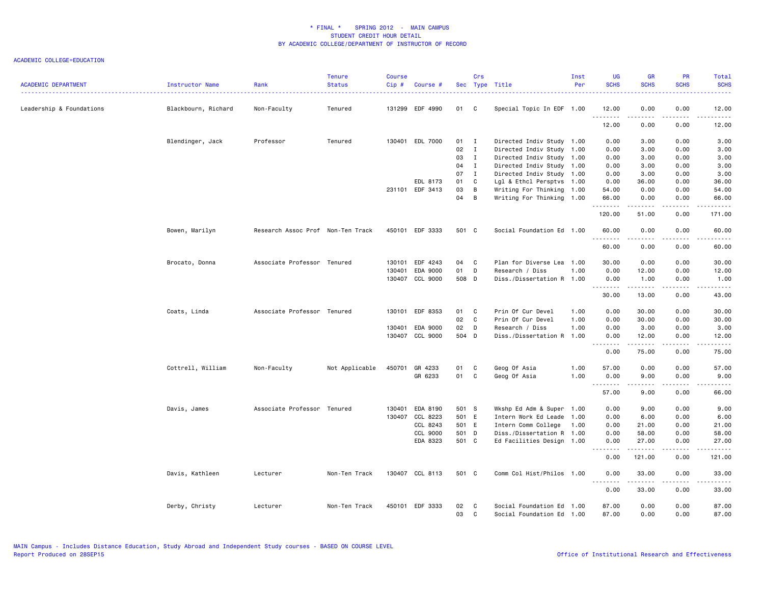| <b>ACADEMIC DEPARTMENT</b> | Instructor Name     | Rank                              | <b>Tenure</b><br><b>Status</b> | Course<br>Cip# | Course #        |        | Crs          | Sec Type Title            | Inst<br>Per | <b>UG</b><br><b>SCHS</b> | <b>GR</b><br><b>SCHS</b> | <b>PR</b><br><b>SCHS</b> | Total<br><b>SCHS</b>   |
|----------------------------|---------------------|-----------------------------------|--------------------------------|----------------|-----------------|--------|--------------|---------------------------|-------------|--------------------------|--------------------------|--------------------------|------------------------|
| Leadership & Foundations   | Blackbourn, Richard | Non-Faculty                       | Tenured                        |                | 131299 EDF 4990 | 01 C   |              | Special Topic In EDF 1.00 |             | 12.00                    | 0.00                     | 0.00                     | 12.00                  |
|                            |                     |                                   |                                |                |                 |        |              |                           |             | .<br>12.00               | 0.00                     | .<br>0.00                | 12.00                  |
|                            | Blendinger, Jack    | Professor                         | Tenured                        |                | 130401 EDL 7000 | $01$ I |              | Directed Indiv Study 1.00 |             | 0.00                     | 3.00                     | 0.00                     | 3.00                   |
|                            |                     |                                   |                                |                |                 | 02     | $\mathbf{I}$ | Directed Indiv Study 1.00 |             | 0.00                     | 3.00                     | 0.00                     | 3.00                   |
|                            |                     |                                   |                                |                |                 | 03     | $\mathbf{I}$ | Directed Indiv Study 1.00 |             | 0.00                     | 3.00                     | 0.00                     | 3.00                   |
|                            |                     |                                   |                                |                |                 | 04     | $\mathbf{I}$ | Directed Indiv Study 1.00 |             | 0.00                     | 3.00                     | 0.00                     | 3.00                   |
|                            |                     |                                   |                                |                |                 | 07 I   |              | Directed Indiv Study 1.00 |             | 0.00                     | 3.00                     | 0.00                     | 3.00                   |
|                            |                     |                                   |                                |                | EDL 8173        | 01     | $\mathbf{C}$ | Lgl & Ethcl Persptvs 1.00 |             | 0.00                     | 36.00                    | 0.00                     | 36.00                  |
|                            |                     |                                   |                                |                | 231101 EDF 3413 | 03     | B            | Writing For Thinking 1.00 |             | 54.00                    | 0.00                     | 0.00                     | 54.00                  |
|                            |                     |                                   |                                |                |                 | 04     | B            | Writing For Thinking 1.00 |             | 66.00<br>.               | 0.00<br>.                | 0.00<br>$- - - -$        | 66.00<br>$\frac{1}{2}$ |
|                            |                     |                                   |                                |                |                 |        |              |                           |             | 120.00                   | 51.00                    | 0.00                     | 171.00                 |
|                            | Bowen, Marilyn      | Research Assoc Prof Non-Ten Track |                                |                | 450101 EDF 3333 | 501 C  |              | Social Foundation Ed 1.00 |             | 60.00<br>. <b>.</b>      | 0.00<br>.                | 0.00<br>$- - - -$        | 60.00<br>.             |
|                            |                     |                                   |                                |                |                 |        |              |                           |             | 60.00                    | 0.00                     | 0.00                     | 60.00                  |
|                            | Brocato, Donna      | Associate Professor Tenured       |                                | 130101         | EDF 4243        | 04     | $\mathbf{C}$ | Plan for Diverse Lea 1.00 |             | 30.00                    | 0.00                     | 0.00                     | 30.00                  |
|                            |                     |                                   |                                | 130401         | EDA 9000        | 01 D   |              | Research / Diss           | 1.00        | 0.00                     | 12.00                    | 0.00                     | 12.00                  |
|                            |                     |                                   |                                |                | 130407 CCL 9000 | 508 D  |              | Diss./Dissertation R 1.00 |             | 0.00                     | 1.00                     | 0.00                     | 1.00                   |
|                            |                     |                                   |                                |                |                 |        |              |                           |             | .                        | .                        | .                        | ه د د د د .            |
|                            |                     |                                   |                                |                |                 |        |              |                           |             | 30.00                    | 13.00                    | 0.00                     | 43.00                  |
|                            | Coats, Linda        | Associate Professor Tenured       |                                | 130101         | EDF 8353        | 01     | $\mathbf{C}$ | Prin Of Cur Devel         | 1.00        | 0.00                     | 30.00                    | 0.00                     | 30.00                  |
|                            |                     |                                   |                                |                |                 | 02 C   |              | Prin Of Cur Devel         | 1.00        | 0.00                     | 30.00                    | 0.00                     | 30.00                  |
|                            |                     |                                   |                                |                | 130401 EDA 9000 | 02 D   |              | Research / Diss           | 1.00        | 0.00                     | 3.00                     | 0.00                     | 3.00                   |
|                            |                     |                                   |                                |                | 130407 CCL 9000 | 504 D  |              | Diss./Dissertation R      | 1.00        | 0.00<br>.                | 12.00<br>.               | 0.00<br>د د د د          | 12.00<br>$\frac{1}{2}$ |
|                            |                     |                                   |                                |                |                 |        |              |                           |             | 0.00                     | 75.00                    | 0.00                     | 75.00                  |
|                            | Cottrell, William   | Non-Faculty                       | Not Applicable                 | 450701         | GR 4233         | 01     | C            | Geog Of Asia              | 1.00        | 57.00                    | 0.00                     | 0.00                     | 57.00                  |
|                            |                     |                                   |                                |                | GR 6233         | 01     | $\mathbf{C}$ | Geog Of Asia              | 1.00        | 0.00                     | 9.00                     | 0.00                     | 9.00                   |
|                            |                     |                                   |                                |                |                 |        |              |                           |             | .<br>57.00               | .<br>9.00                | .<br>0.00                | .<br>66.00             |
|                            | Davis, James        | Associate Professor Tenured       |                                | 130401         | EDA 8190        | 501 S  |              | Wkshp Ed Adm & Super 1.00 |             | 0.00                     | 9.00                     | 0.00                     | 9.00                   |
|                            |                     |                                   |                                |                | 130407 CCL 8223 | 501 E  |              | Intern Work Ed Leade 1.00 |             | 0.00                     | 6.00                     | 0.00                     | 6.00                   |
|                            |                     |                                   |                                |                | CCL 8243        | 501 E  |              | Intern Comm College       | 1.00        | 0.00                     | 21.00                    | 0.00                     | 21.00                  |
|                            |                     |                                   |                                |                | CCL 9000        | 501 D  |              | Diss./Dissertation R 1.00 |             | 0.00                     | 58.00                    | 0.00                     | 58.00                  |
|                            |                     |                                   |                                |                | EDA 8323        | 501 C  |              | Ed Facilities Design 1.00 |             | 0.00<br>.                | 27.00                    | 0.00<br>.                | 27.00<br>.             |
|                            |                     |                                   |                                |                |                 |        |              |                           |             | 0.00                     | 121.00                   | 0.00                     | 121.00                 |
|                            | Davis, Kathleen     | Lecturer                          | Non-Ten Track                  |                | 130407 CCL 8113 | 501 C  |              | Comm Col Hist/Philos 1.00 |             | 0.00                     | 33.00                    | 0.00                     | 33.00                  |
|                            |                     |                                   |                                |                |                 |        |              |                           |             | .<br>0.00                | .<br>33.00               | د د د د<br>0.00          | .<br>33.00             |
|                            | Derby, Christy      | Lecturer                          | Non-Ten Track                  |                | 450101 EDF 3333 | 02     | $\mathbf{C}$ | Social Foundation Ed 1.00 |             | 87.00                    | 0.00                     | 0.00                     | 87.00                  |
|                            |                     |                                   |                                |                |                 | 03     | C            | Social Foundation Ed 1.00 |             | 87.00                    | 0.00                     | 0.00                     | 87.00                  |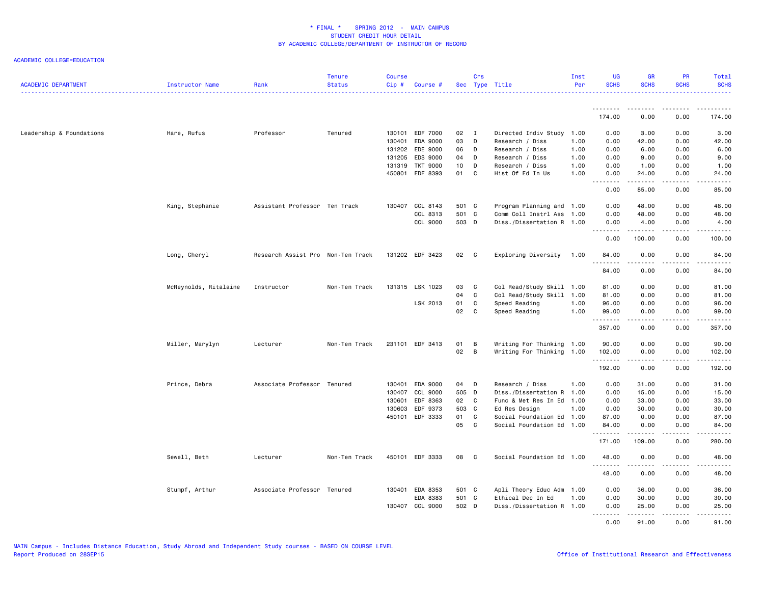| <b>ACADEMIC DEPARTMENT</b> | Instructor Name       | Rank                              | <b>Tenure</b><br><b>Status</b> | <b>Course</b><br>Cip# | Course #        |       | Crs            | Sec Type Title            | Inst<br>Per | UG<br><b>SCHS</b> | <b>GR</b><br><b>SCHS</b>                                                                                                                                     | PR<br><b>SCHS</b> | Total<br><b>SCHS</b>                                                                                                                                                                      |
|----------------------------|-----------------------|-----------------------------------|--------------------------------|-----------------------|-----------------|-------|----------------|---------------------------|-------------|-------------------|--------------------------------------------------------------------------------------------------------------------------------------------------------------|-------------------|-------------------------------------------------------------------------------------------------------------------------------------------------------------------------------------------|
|                            |                       |                                   |                                |                       |                 |       |                |                           |             |                   |                                                                                                                                                              |                   |                                                                                                                                                                                           |
|                            |                       |                                   |                                |                       |                 |       |                |                           |             | 174.00            | 0.00                                                                                                                                                         | 0.00              | 174.00                                                                                                                                                                                    |
| Leadership & Foundations   | Hare, Rufus           | Professor                         | Tenured                        | 130101                | EDF 7000        | 02    | $\blacksquare$ | Directed Indiv Study      | 1.00        | 0.00              | 3.00                                                                                                                                                         | 0.00              | 3.00                                                                                                                                                                                      |
|                            |                       |                                   |                                | 130401                | <b>EDA 9000</b> | 03    | D              | Research / Diss           | 1.00        | 0.00              | 42.00                                                                                                                                                        | 0.00              | 42.00                                                                                                                                                                                     |
|                            |                       |                                   |                                | 131202                | EDE 9000        | 06    | D              | Research / Diss           | 1.00        | 0.00              | 6.00                                                                                                                                                         | 0.00              | 6.00                                                                                                                                                                                      |
|                            |                       |                                   |                                | 131205                | EDS 9000        | 04    | D              | Research / Diss           | 1.00        | 0.00              | 9.00                                                                                                                                                         | 0.00              | 9.00                                                                                                                                                                                      |
|                            |                       |                                   |                                | 131319                | <b>TKT 9000</b> | 10    | D              | Research / Diss           | 1.00        | 0.00              | 1.00                                                                                                                                                         | 0.00              | 1.00                                                                                                                                                                                      |
|                            |                       |                                   |                                | 450801                | EDF 8393        | 01 C  |                | Hist Of Ed In Us          | 1.00        | 0.00<br>.         | 24.00<br>.                                                                                                                                                   | 0.00<br>.         | 24.00<br>.                                                                                                                                                                                |
|                            |                       |                                   |                                |                       |                 |       |                |                           |             | 0.00              | 85.00                                                                                                                                                        | 0.00              | 85.00                                                                                                                                                                                     |
|                            | King, Stephanie       | Assistant Professor Ten Track     |                                |                       | 130407 CCL 8143 | 501 C |                | Program Planning and 1.00 |             | 0.00              | 48.00                                                                                                                                                        | 0.00              | 48.00                                                                                                                                                                                     |
|                            |                       |                                   |                                |                       | CCL 8313        | 501 C |                | Comm Coll Instrl Ass 1.00 |             | 0.00              | 48.00                                                                                                                                                        | 0.00              | 48.00                                                                                                                                                                                     |
|                            |                       |                                   |                                |                       | CCL 9000        | 503 D |                | Diss./Dissertation R 1.00 |             | 0.00<br>.         | 4.00<br>.                                                                                                                                                    | 0.00<br>.         | 4.00<br>.                                                                                                                                                                                 |
|                            |                       |                                   |                                |                       |                 |       |                |                           |             | 0.00              | 100.00                                                                                                                                                       | 0.00              | 100.00                                                                                                                                                                                    |
|                            | Long, Cheryl          | Research Assist Pro Non-Ten Track |                                |                       | 131202 EDF 3423 | 02 C  |                | Exploring Diversity 1.00  |             | 84.00             | 0.00                                                                                                                                                         | 0.00              | 84.00                                                                                                                                                                                     |
|                            |                       |                                   |                                |                       |                 |       |                |                           |             | .<br>84.00        | .<br>0.00                                                                                                                                                    | .<br>0.00         | .<br>84.00                                                                                                                                                                                |
|                            | McReynolds, Ritalaine | Instructor                        | Non-Ten Track                  |                       | 131315 LSK 1023 | 03    | $\mathbf{C}$   | Col Read/Study Skill 1.00 |             | 81.00             | 0.00                                                                                                                                                         | 0.00              | 81.00                                                                                                                                                                                     |
|                            |                       |                                   |                                |                       |                 | 04    | C.             | Col Read/Study Skill 1.00 |             | 81.00             | 0.00                                                                                                                                                         | 0.00              | 81.00                                                                                                                                                                                     |
|                            |                       |                                   |                                |                       | LSK 2013        | 01    | C              | Speed Reading             | 1.00        | 96.00             | 0.00                                                                                                                                                         | 0.00              | 96.00                                                                                                                                                                                     |
|                            |                       |                                   |                                |                       |                 | 02    | C              | Speed Reading             | 1.00        | 99.00<br>.        | 0.00<br>$\frac{1}{2} \left( \frac{1}{2} \right) \left( \frac{1}{2} \right) \left( \frac{1}{2} \right) \left( \frac{1}{2} \right) \left( \frac{1}{2} \right)$ | 0.00<br>.         | 99.00<br>.                                                                                                                                                                                |
|                            |                       |                                   |                                |                       |                 |       |                |                           |             | 357.00            | 0.00                                                                                                                                                         | 0.00              | 357.00                                                                                                                                                                                    |
|                            | Miller, Marylyn       | Lecturer                          | Non-Ten Track                  |                       | 231101 EDF 3413 | 01    | $\overline{B}$ | Writing For Thinking 1.00 |             | 90.00             | 0.00                                                                                                                                                         | 0.00              | 90.00                                                                                                                                                                                     |
|                            |                       |                                   |                                |                       |                 | 02    | $\overline{B}$ | Writing For Thinking 1.00 |             | 102.00<br>.       | 0.00<br>$- - - - -$                                                                                                                                          | 0.00<br>د د د د   | 102.00<br>$\frac{1}{2} \left( \frac{1}{2} \right) \left( \frac{1}{2} \right) \left( \frac{1}{2} \right) \left( \frac{1}{2} \right) \left( \frac{1}{2} \right) \left( \frac{1}{2} \right)$ |
|                            |                       |                                   |                                |                       |                 |       |                |                           |             | 192.00            | 0.00                                                                                                                                                         | 0.00              | 192.00                                                                                                                                                                                    |
|                            | Prince, Debra         | Associate Professor Tenured       |                                | 130401                | EDA 9000        | 04 D  |                | Research / Diss           | 1.00        | 0.00              | 31.00                                                                                                                                                        | 0.00              | 31.00                                                                                                                                                                                     |
|                            |                       |                                   |                                | 130407                | CCL 9000        | 505 D |                | Diss./Dissertation R 1.00 |             | 0.00              | 15.00                                                                                                                                                        | 0.00              | 15.00                                                                                                                                                                                     |
|                            |                       |                                   |                                | 130601                | EDF 8363        | 02 C  |                | Func & Met Res In Ed 1.00 |             | 0.00              | 33.00                                                                                                                                                        | 0.00              | 33.00                                                                                                                                                                                     |
|                            |                       |                                   |                                | 130603                | EDF 9373        | 503 C |                | Ed Res Design             | 1.00        | 0.00              | 30.00                                                                                                                                                        | 0.00              | 30.00                                                                                                                                                                                     |
|                            |                       |                                   |                                | 450101                | EDF 3333        | 01    | $\mathbf{C}$   | Social Foundation Ed 1.00 |             | 87.00             | 0.00                                                                                                                                                         | 0.00              | 87.00                                                                                                                                                                                     |
|                            |                       |                                   |                                |                       |                 | 05    | $\mathbf{C}$   | Social Foundation Ed 1.00 |             | 84.00<br>.        | 0.00<br>د د د د د                                                                                                                                            | 0.00<br>د د د د   | 84.00<br>.                                                                                                                                                                                |
|                            |                       |                                   |                                |                       |                 |       |                |                           |             | 171.00            | 109.00                                                                                                                                                       | 0.00              | 280.00                                                                                                                                                                                    |
|                            | Sewell, Beth          | Lecturer                          | Non-Ten Track                  |                       | 450101 EDF 3333 | 08    | $\mathbf{C}$   | Social Foundation Ed 1.00 |             | 48.00             | 0.00                                                                                                                                                         | 0.00              | 48.00                                                                                                                                                                                     |
|                            |                       |                                   |                                |                       |                 |       |                |                           |             | 48.00             | 0.00                                                                                                                                                         | 0.00              | 48.00                                                                                                                                                                                     |
|                            | Stumpf, Arthur        | Associate Professor Tenured       |                                |                       | 130401 EDA 8353 | 501 C |                | Apli Theory Educ Adm 1.00 |             | 0.00              | 36.00                                                                                                                                                        | 0.00              | 36.00                                                                                                                                                                                     |
|                            |                       |                                   |                                |                       | EDA 8383        | 501 C |                | Ethical Dec In Ed         | 1.00        | 0.00              | 30.00                                                                                                                                                        | 0.00              | 30.00                                                                                                                                                                                     |
|                            |                       |                                   |                                |                       | 130407 CCL 9000 | 502 D |                | Diss./Dissertation R 1.00 |             | 0.00<br>.         | 25.00                                                                                                                                                        | 0.00<br>$- - - -$ | 25.00                                                                                                                                                                                     |
|                            |                       |                                   |                                |                       |                 |       |                |                           |             | 0.00              | 91.00                                                                                                                                                        | 0.00              | 91.00                                                                                                                                                                                     |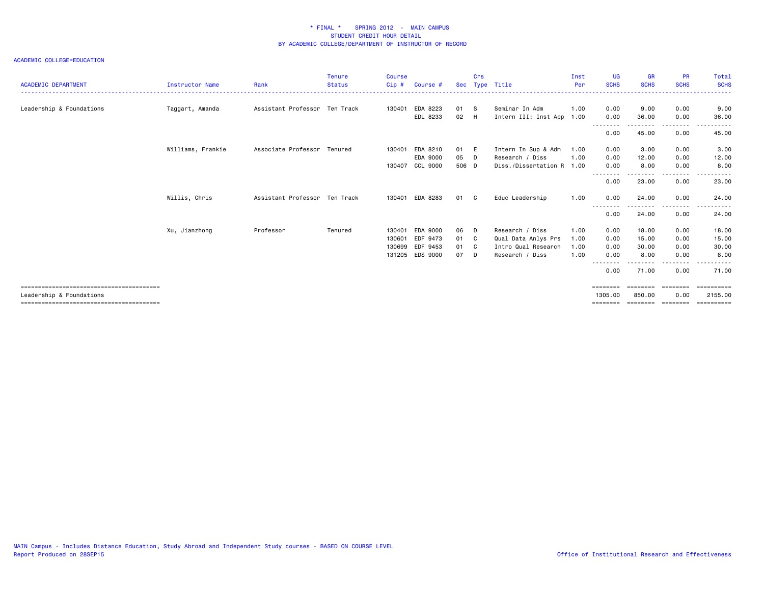| <b>ACADEMIC DEPARTMENT</b> | <b>Instructor Name</b> | Rank                          | <b>Tenure</b><br><b>Status</b> | <b>Course</b><br>Cip# | Course # |       | Crs          | Sec Type Title            | Inst<br>Per<br>. | <b>UG</b><br><b>SCHS</b> | <b>GR</b><br><b>SCHS</b> | <b>PR</b><br><b>SCHS</b> | Total<br><b>SCHS</b><br>. |
|----------------------------|------------------------|-------------------------------|--------------------------------|-----------------------|----------|-------|--------------|---------------------------|------------------|--------------------------|--------------------------|--------------------------|---------------------------|
| Leadership & Foundations   | Taggart, Amanda        | Assistant Professor Ten Track |                                | 130401                | EDA 8223 | 01 S  |              | Seminar In Adm            | 1.00             | 0.00                     | 9.00                     | 0.00                     | 9.00                      |
|                            |                        |                               |                                |                       | EDL 8233 | 02 H  |              | Intern III: Inst App      | 1.00             | 0.00                     | 36.00                    | 0.00<br>------           | 36.00                     |
|                            |                        |                               |                                |                       |          |       |              |                           |                  | 0.00                     | 45.00                    | 0.00                     | 45.00                     |
|                            | Williams, Frankie      | Associate Professor Tenured   |                                | 130401                | EDA 8210 | 01 E  |              | Intern In Sup & Adm       | 1.00             | 0.00                     | 3.00                     | 0.00                     | 3.00                      |
|                            |                        |                               |                                |                       | EDA 9000 | 05 D  |              | Research / Diss           | 1.00             | 0.00                     | 12.00                    | 0.00                     | 12.00                     |
|                            |                        |                               |                                | 130407                | CCL 9000 | 506 D |              | Diss./Dissertation R 1.00 |                  | 0.00                     | 8.00                     | 0.00                     | 8.00<br>-----             |
|                            |                        |                               |                                |                       |          |       |              |                           |                  | --------<br>0.00         | -----<br>23.00           | .<br>0.00                | 23.00                     |
|                            | Willis, Chris          | Assistant Professor Ten Track |                                | 130401                | EDA 8283 | 01    | $\mathbf{C}$ | Educ Leadership           | 1.00             | 0.00                     | 24.00                    | 0.00                     | 24.00                     |
|                            |                        |                               |                                |                       |          |       |              |                           |                  | --------<br>0.00         | --------<br>24.00        | ---------<br>0.00        | .<br>24.00                |
|                            | Xu, Jianzhong          | Professor                     | Tenured                        | 130401                | EDA 9000 | 06    | D            | Research / Diss           | 1.00             | 0.00                     | 18.00                    | 0.00                     | 18.00                     |
|                            |                        |                               |                                | 130601                | EDF 9473 | 01 C  |              | Qual Data Anlys Prs       | 1.00             | 0.00                     | 15.00                    | 0.00                     | 15.00                     |
|                            |                        |                               |                                | 130699                | EDF 9453 | 01 C  |              | Intro Qual Research       | 1.00             | 0.00                     | 30.00                    | 0.00                     | 30.00                     |
|                            |                        |                               |                                | 131205                | EDS 9000 | 07    | - D          | Research / Diss           | 1.00             | 0.00                     | 8.00                     | 0.00                     | 8.00                      |
|                            |                        |                               |                                |                       |          |       |              |                           |                  | - - - - - - - -<br>0.00  | .<br>71.00               | - - - - - -<br>0.00      | 71.00                     |
|                            |                        |                               |                                |                       |          |       |              |                           |                  | ========                 | ========                 | ========                 | $=$ = = = = = = = = =     |
| Leadership & Foundations   |                        |                               |                                |                       |          |       |              |                           |                  | 1305,00                  | 850,00                   | 0.00                     | 2155.00                   |
|                            |                        |                               |                                |                       |          |       |              |                           |                  | =======                  |                          | ========                 | ==========                |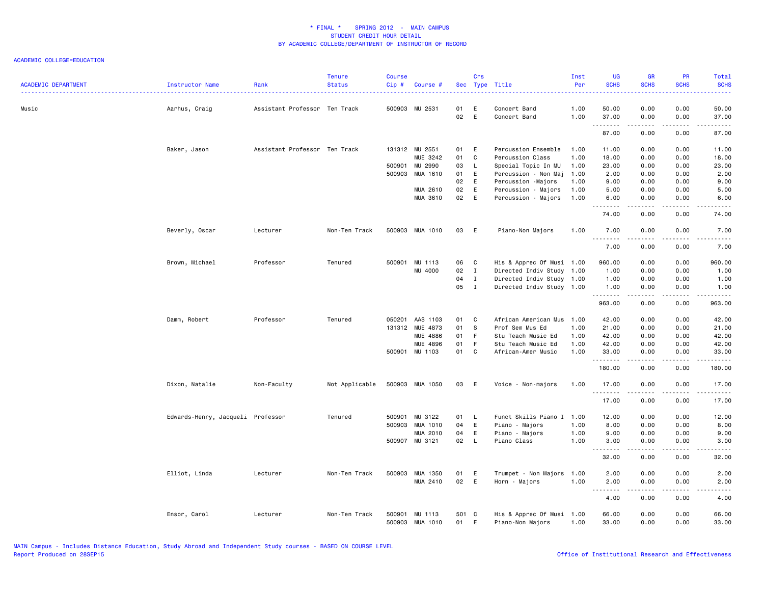| 50.00<br>0.00<br>0.00<br>50.00<br>Music<br>Assistant Professor Ten Track<br>500903 MU 2531<br>01<br>E<br>1.00<br>Aarhus, Craig<br>Concert Band<br>02<br>E<br>Concert Band<br>1.00<br>37.00<br>0.00<br>0.00<br>37.00<br>.<br>.<br>.<br>-----<br>87.00<br>87.00<br>0.00<br>0.00<br>Baker, Jason<br>Assistant Professor Ten Track<br>131312 MU 2551<br>01 E<br>Percussion Ensemble<br>1.00<br>11.00<br>0.00<br>0.00<br>11.00<br>MUE 3242<br>01<br>C<br>Percussion Class<br>1.00<br>18.00<br>0.00<br>0.00<br>18.00<br>500901 MU 2990<br>03<br>$\mathsf{L}$<br>Special Topic In MU<br>1.00<br>23.00<br>0.00<br>0.00<br>23.00<br>500903 MUA 1610<br>01<br>E<br>Percussion - Non Maj<br>1.00<br>2.00<br>0.00<br>0.00<br>2.00<br>02<br>9.00<br>E<br>Percussion -Majors<br>1.00<br>9.00<br>0.00<br>0.00<br>E<br>02<br>MUA 2610<br>Percussion - Majors<br>1.00<br>5.00<br>0.00<br>0.00<br>5.00<br>02<br>E<br>MUA 3610<br>Percussion - Majors<br>1.00<br>6.00<br>0.00<br>0.00<br>6.00<br>.<br>.<br>.<br>0.00<br>74.00<br>0.00<br>74.00<br>Beverly, Oscar<br>Lecturer<br>Non-Ten Track<br>500903 MUA 1010<br>03<br>E<br>Piano-Non Majors<br>1.00<br>7.00<br>0.00<br>0.00<br>7.00<br>.<br>.<br>$\frac{1}{2}$<br><b>.</b><br>7.00<br>0.00<br>0.00<br>7.00<br>Brown, Michael<br>Professor<br>500901 MU 1113<br>His & Apprec Of Musi 1.00<br>Tenured<br>06<br>$\mathbf{C}$<br>960.00<br>0.00<br>0.00<br>960.00<br>02<br>MU 4000<br>$\mathbf{I}$<br>Directed Indiv Study 1.00<br>0.00<br>1.00<br>1.00<br>0.00<br>04<br>$\mathbf{I}$<br>Directed Indiv Study 1.00<br>0.00<br>0.00<br>1.00<br>1.00<br>05<br>$\mathbf{I}$<br>Directed Indiv Study 1.00<br>0.00<br>1.00<br>1.00<br>0.00<br>.<br>.<br>$\sim$ - - -<br>------<br>963.00<br>0.00<br>963.00<br>0.00<br>Professor<br>050201<br>AAS 1103<br>01<br>C<br>African American Mus<br>42.00<br>42.00<br>Damm, Robert<br>Tenured<br>1.00<br>0.00<br>0.00<br>01<br>131312 MUE 4873<br>-S<br>Prof Sem Mus Ed<br>1.00<br>21.00<br>0.00<br>0.00<br>21.00<br>MUE 4886<br>01<br>- F<br>Stu Teach Music Ed<br>1.00<br>42.00<br>0.00<br>42.00<br>0.00<br>01<br>MUE 4896<br>- F<br>Stu Teach Music Ed<br>42.00<br>1.00<br>42.00<br>0.00<br>0.00<br>500901 MU 1103<br>01 C<br>1.00<br>0.00<br>0.00<br>33.00<br>African-Amer Music<br>33.00<br>.<br>.<br>.<br>.<br>180.00<br>0.00<br>0.00<br>180.00<br>Dixon, Natalie<br>500903 MUA 1050<br>03<br>Voice - Non-majors<br>Non-Faculty<br>Not Applicable<br>E<br>1.00<br>17.00<br>0.00<br>0.00<br>17.00<br>.<br>.<br>.<br>.<br>17.00<br>0.00<br>0.00<br>17.00<br>Funct Skills Piano I<br>MU 3122<br>Edwards-Henry, Jacqueli Professor<br>Tenured<br>500901<br>01<br>1.00<br>12.00<br>0.00<br>0.00<br>12.00<br>L,<br>04<br>E<br>8.00<br>500903 MUA 1010<br>Piano - Majors<br>1.00<br>8.00<br>0.00<br>0.00<br>04<br>E<br>MUA 2010<br>Piano - Majors<br>1.00<br>9.00<br>0.00<br>0.00<br>9.00<br>02<br>500907 MU 3121<br>$\mathsf{L}$<br>Piano Class<br>1.00<br>3.00<br>3.00<br>0.00<br>0.00<br>.<br>.<br>د د د د<br>.<br>32.00<br>0.00<br>0.00<br>32.00<br>Elliot, Linda<br>Lecturer<br>Non-Ten Track<br>500903 MUA 1350<br>01<br>E<br>Trumpet - Non Majors<br>1.00<br>2.00<br>0.00<br>0.00<br>2.00<br>02 E<br>MUA 2410<br>Horn - Majors<br>1.00<br>0.00<br>0.00<br>2.00<br>2.00<br>.<br><b>.</b><br>.<br>.<br>4.00<br>0.00<br>0.00<br>4.00<br>Ensor, Carol<br>Lecturer<br>Non-Ten Track<br>500901<br>MU 1113<br>501 C<br>His & Apprec Of Musi 1.00<br>66.00<br>0.00<br>0.00<br>66.00<br>500903 MUA 1010<br>01<br>E<br>Piano-Non Majors<br>1.00<br>33.00<br>0.00<br>0.00<br>33.00 | <b>ACADEMIC DEPARTMENT</b> | Instructor Name<br>. | Rank | <b>Tenure</b><br><b>Status</b> | <b>Course</b><br>Cip# | Course # | Crs | Sec Type Title | Inst<br>Per | <b>UG</b><br><b>SCHS</b> | <b>GR</b><br><b>SCHS</b> | PR<br><b>SCHS</b> | Total<br><b>SCHS</b> |
|-----------------------------------------------------------------------------------------------------------------------------------------------------------------------------------------------------------------------------------------------------------------------------------------------------------------------------------------------------------------------------------------------------------------------------------------------------------------------------------------------------------------------------------------------------------------------------------------------------------------------------------------------------------------------------------------------------------------------------------------------------------------------------------------------------------------------------------------------------------------------------------------------------------------------------------------------------------------------------------------------------------------------------------------------------------------------------------------------------------------------------------------------------------------------------------------------------------------------------------------------------------------------------------------------------------------------------------------------------------------------------------------------------------------------------------------------------------------------------------------------------------------------------------------------------------------------------------------------------------------------------------------------------------------------------------------------------------------------------------------------------------------------------------------------------------------------------------------------------------------------------------------------------------------------------------------------------------------------------------------------------------------------------------------------------------------------------------------------------------------------------------------------------------------------------------------------------------------------------------------------------------------------------------------------------------------------------------------------------------------------------------------------------------------------------------------------------------------------------------------------------------------------------------------------------------------------------------------------------------------------------------------------------------------------------------------------------------------------------------------------------------------------------------------------------------------------------------------------------------------------------------------------------------------------------------------------------------------------------------------------------------------------------------------------------------------------------------------------------------------------------------------------------------------------------------------------------------------------------------------------------------------------------------------------------------------------------------------------------------------------------------------------------------------------------------------------------------------------------------------------------------------------------------------------|----------------------------|----------------------|------|--------------------------------|-----------------------|----------|-----|----------------|-------------|--------------------------|--------------------------|-------------------|----------------------|
|                                                                                                                                                                                                                                                                                                                                                                                                                                                                                                                                                                                                                                                                                                                                                                                                                                                                                                                                                                                                                                                                                                                                                                                                                                                                                                                                                                                                                                                                                                                                                                                                                                                                                                                                                                                                                                                                                                                                                                                                                                                                                                                                                                                                                                                                                                                                                                                                                                                                                                                                                                                                                                                                                                                                                                                                                                                                                                                                                                                                                                                                                                                                                                                                                                                                                                                                                                                                                                                                                                                                               |                            |                      |      |                                |                       |          |     |                |             |                          |                          |                   |                      |
|                                                                                                                                                                                                                                                                                                                                                                                                                                                                                                                                                                                                                                                                                                                                                                                                                                                                                                                                                                                                                                                                                                                                                                                                                                                                                                                                                                                                                                                                                                                                                                                                                                                                                                                                                                                                                                                                                                                                                                                                                                                                                                                                                                                                                                                                                                                                                                                                                                                                                                                                                                                                                                                                                                                                                                                                                                                                                                                                                                                                                                                                                                                                                                                                                                                                                                                                                                                                                                                                                                                                               |                            |                      |      |                                |                       |          |     |                |             |                          |                          |                   |                      |
|                                                                                                                                                                                                                                                                                                                                                                                                                                                                                                                                                                                                                                                                                                                                                                                                                                                                                                                                                                                                                                                                                                                                                                                                                                                                                                                                                                                                                                                                                                                                                                                                                                                                                                                                                                                                                                                                                                                                                                                                                                                                                                                                                                                                                                                                                                                                                                                                                                                                                                                                                                                                                                                                                                                                                                                                                                                                                                                                                                                                                                                                                                                                                                                                                                                                                                                                                                                                                                                                                                                                               |                            |                      |      |                                |                       |          |     |                |             |                          |                          |                   |                      |
|                                                                                                                                                                                                                                                                                                                                                                                                                                                                                                                                                                                                                                                                                                                                                                                                                                                                                                                                                                                                                                                                                                                                                                                                                                                                                                                                                                                                                                                                                                                                                                                                                                                                                                                                                                                                                                                                                                                                                                                                                                                                                                                                                                                                                                                                                                                                                                                                                                                                                                                                                                                                                                                                                                                                                                                                                                                                                                                                                                                                                                                                                                                                                                                                                                                                                                                                                                                                                                                                                                                                               |                            |                      |      |                                |                       |          |     |                |             |                          |                          |                   |                      |
|                                                                                                                                                                                                                                                                                                                                                                                                                                                                                                                                                                                                                                                                                                                                                                                                                                                                                                                                                                                                                                                                                                                                                                                                                                                                                                                                                                                                                                                                                                                                                                                                                                                                                                                                                                                                                                                                                                                                                                                                                                                                                                                                                                                                                                                                                                                                                                                                                                                                                                                                                                                                                                                                                                                                                                                                                                                                                                                                                                                                                                                                                                                                                                                                                                                                                                                                                                                                                                                                                                                                               |                            |                      |      |                                |                       |          |     |                |             |                          |                          |                   |                      |
|                                                                                                                                                                                                                                                                                                                                                                                                                                                                                                                                                                                                                                                                                                                                                                                                                                                                                                                                                                                                                                                                                                                                                                                                                                                                                                                                                                                                                                                                                                                                                                                                                                                                                                                                                                                                                                                                                                                                                                                                                                                                                                                                                                                                                                                                                                                                                                                                                                                                                                                                                                                                                                                                                                                                                                                                                                                                                                                                                                                                                                                                                                                                                                                                                                                                                                                                                                                                                                                                                                                                               |                            |                      |      |                                |                       |          |     |                |             |                          |                          |                   |                      |
|                                                                                                                                                                                                                                                                                                                                                                                                                                                                                                                                                                                                                                                                                                                                                                                                                                                                                                                                                                                                                                                                                                                                                                                                                                                                                                                                                                                                                                                                                                                                                                                                                                                                                                                                                                                                                                                                                                                                                                                                                                                                                                                                                                                                                                                                                                                                                                                                                                                                                                                                                                                                                                                                                                                                                                                                                                                                                                                                                                                                                                                                                                                                                                                                                                                                                                                                                                                                                                                                                                                                               |                            |                      |      |                                |                       |          |     |                |             |                          |                          |                   |                      |
|                                                                                                                                                                                                                                                                                                                                                                                                                                                                                                                                                                                                                                                                                                                                                                                                                                                                                                                                                                                                                                                                                                                                                                                                                                                                                                                                                                                                                                                                                                                                                                                                                                                                                                                                                                                                                                                                                                                                                                                                                                                                                                                                                                                                                                                                                                                                                                                                                                                                                                                                                                                                                                                                                                                                                                                                                                                                                                                                                                                                                                                                                                                                                                                                                                                                                                                                                                                                                                                                                                                                               |                            |                      |      |                                |                       |          |     |                |             |                          |                          |                   |                      |
|                                                                                                                                                                                                                                                                                                                                                                                                                                                                                                                                                                                                                                                                                                                                                                                                                                                                                                                                                                                                                                                                                                                                                                                                                                                                                                                                                                                                                                                                                                                                                                                                                                                                                                                                                                                                                                                                                                                                                                                                                                                                                                                                                                                                                                                                                                                                                                                                                                                                                                                                                                                                                                                                                                                                                                                                                                                                                                                                                                                                                                                                                                                                                                                                                                                                                                                                                                                                                                                                                                                                               |                            |                      |      |                                |                       |          |     |                |             |                          |                          |                   |                      |
|                                                                                                                                                                                                                                                                                                                                                                                                                                                                                                                                                                                                                                                                                                                                                                                                                                                                                                                                                                                                                                                                                                                                                                                                                                                                                                                                                                                                                                                                                                                                                                                                                                                                                                                                                                                                                                                                                                                                                                                                                                                                                                                                                                                                                                                                                                                                                                                                                                                                                                                                                                                                                                                                                                                                                                                                                                                                                                                                                                                                                                                                                                                                                                                                                                                                                                                                                                                                                                                                                                                                               |                            |                      |      |                                |                       |          |     |                |             |                          |                          |                   |                      |
|                                                                                                                                                                                                                                                                                                                                                                                                                                                                                                                                                                                                                                                                                                                                                                                                                                                                                                                                                                                                                                                                                                                                                                                                                                                                                                                                                                                                                                                                                                                                                                                                                                                                                                                                                                                                                                                                                                                                                                                                                                                                                                                                                                                                                                                                                                                                                                                                                                                                                                                                                                                                                                                                                                                                                                                                                                                                                                                                                                                                                                                                                                                                                                                                                                                                                                                                                                                                                                                                                                                                               |                            |                      |      |                                |                       |          |     |                |             |                          |                          |                   |                      |
|                                                                                                                                                                                                                                                                                                                                                                                                                                                                                                                                                                                                                                                                                                                                                                                                                                                                                                                                                                                                                                                                                                                                                                                                                                                                                                                                                                                                                                                                                                                                                                                                                                                                                                                                                                                                                                                                                                                                                                                                                                                                                                                                                                                                                                                                                                                                                                                                                                                                                                                                                                                                                                                                                                                                                                                                                                                                                                                                                                                                                                                                                                                                                                                                                                                                                                                                                                                                                                                                                                                                               |                            |                      |      |                                |                       |          |     |                |             |                          |                          |                   |                      |
|                                                                                                                                                                                                                                                                                                                                                                                                                                                                                                                                                                                                                                                                                                                                                                                                                                                                                                                                                                                                                                                                                                                                                                                                                                                                                                                                                                                                                                                                                                                                                                                                                                                                                                                                                                                                                                                                                                                                                                                                                                                                                                                                                                                                                                                                                                                                                                                                                                                                                                                                                                                                                                                                                                                                                                                                                                                                                                                                                                                                                                                                                                                                                                                                                                                                                                                                                                                                                                                                                                                                               |                            |                      |      |                                |                       |          |     |                |             |                          |                          |                   |                      |
|                                                                                                                                                                                                                                                                                                                                                                                                                                                                                                                                                                                                                                                                                                                                                                                                                                                                                                                                                                                                                                                                                                                                                                                                                                                                                                                                                                                                                                                                                                                                                                                                                                                                                                                                                                                                                                                                                                                                                                                                                                                                                                                                                                                                                                                                                                                                                                                                                                                                                                                                                                                                                                                                                                                                                                                                                                                                                                                                                                                                                                                                                                                                                                                                                                                                                                                                                                                                                                                                                                                                               |                            |                      |      |                                |                       |          |     |                |             |                          |                          |                   |                      |
|                                                                                                                                                                                                                                                                                                                                                                                                                                                                                                                                                                                                                                                                                                                                                                                                                                                                                                                                                                                                                                                                                                                                                                                                                                                                                                                                                                                                                                                                                                                                                                                                                                                                                                                                                                                                                                                                                                                                                                                                                                                                                                                                                                                                                                                                                                                                                                                                                                                                                                                                                                                                                                                                                                                                                                                                                                                                                                                                                                                                                                                                                                                                                                                                                                                                                                                                                                                                                                                                                                                                               |                            |                      |      |                                |                       |          |     |                |             |                          |                          |                   |                      |
|                                                                                                                                                                                                                                                                                                                                                                                                                                                                                                                                                                                                                                                                                                                                                                                                                                                                                                                                                                                                                                                                                                                                                                                                                                                                                                                                                                                                                                                                                                                                                                                                                                                                                                                                                                                                                                                                                                                                                                                                                                                                                                                                                                                                                                                                                                                                                                                                                                                                                                                                                                                                                                                                                                                                                                                                                                                                                                                                                                                                                                                                                                                                                                                                                                                                                                                                                                                                                                                                                                                                               |                            |                      |      |                                |                       |          |     |                |             |                          |                          |                   |                      |
|                                                                                                                                                                                                                                                                                                                                                                                                                                                                                                                                                                                                                                                                                                                                                                                                                                                                                                                                                                                                                                                                                                                                                                                                                                                                                                                                                                                                                                                                                                                                                                                                                                                                                                                                                                                                                                                                                                                                                                                                                                                                                                                                                                                                                                                                                                                                                                                                                                                                                                                                                                                                                                                                                                                                                                                                                                                                                                                                                                                                                                                                                                                                                                                                                                                                                                                                                                                                                                                                                                                                               |                            |                      |      |                                |                       |          |     |                |             |                          |                          |                   |                      |
|                                                                                                                                                                                                                                                                                                                                                                                                                                                                                                                                                                                                                                                                                                                                                                                                                                                                                                                                                                                                                                                                                                                                                                                                                                                                                                                                                                                                                                                                                                                                                                                                                                                                                                                                                                                                                                                                                                                                                                                                                                                                                                                                                                                                                                                                                                                                                                                                                                                                                                                                                                                                                                                                                                                                                                                                                                                                                                                                                                                                                                                                                                                                                                                                                                                                                                                                                                                                                                                                                                                                               |                            |                      |      |                                |                       |          |     |                |             |                          |                          |                   |                      |
|                                                                                                                                                                                                                                                                                                                                                                                                                                                                                                                                                                                                                                                                                                                                                                                                                                                                                                                                                                                                                                                                                                                                                                                                                                                                                                                                                                                                                                                                                                                                                                                                                                                                                                                                                                                                                                                                                                                                                                                                                                                                                                                                                                                                                                                                                                                                                                                                                                                                                                                                                                                                                                                                                                                                                                                                                                                                                                                                                                                                                                                                                                                                                                                                                                                                                                                                                                                                                                                                                                                                               |                            |                      |      |                                |                       |          |     |                |             |                          |                          |                   |                      |
|                                                                                                                                                                                                                                                                                                                                                                                                                                                                                                                                                                                                                                                                                                                                                                                                                                                                                                                                                                                                                                                                                                                                                                                                                                                                                                                                                                                                                                                                                                                                                                                                                                                                                                                                                                                                                                                                                                                                                                                                                                                                                                                                                                                                                                                                                                                                                                                                                                                                                                                                                                                                                                                                                                                                                                                                                                                                                                                                                                                                                                                                                                                                                                                                                                                                                                                                                                                                                                                                                                                                               |                            |                      |      |                                |                       |          |     |                |             |                          |                          |                   |                      |
|                                                                                                                                                                                                                                                                                                                                                                                                                                                                                                                                                                                                                                                                                                                                                                                                                                                                                                                                                                                                                                                                                                                                                                                                                                                                                                                                                                                                                                                                                                                                                                                                                                                                                                                                                                                                                                                                                                                                                                                                                                                                                                                                                                                                                                                                                                                                                                                                                                                                                                                                                                                                                                                                                                                                                                                                                                                                                                                                                                                                                                                                                                                                                                                                                                                                                                                                                                                                                                                                                                                                               |                            |                      |      |                                |                       |          |     |                |             |                          |                          |                   |                      |
|                                                                                                                                                                                                                                                                                                                                                                                                                                                                                                                                                                                                                                                                                                                                                                                                                                                                                                                                                                                                                                                                                                                                                                                                                                                                                                                                                                                                                                                                                                                                                                                                                                                                                                                                                                                                                                                                                                                                                                                                                                                                                                                                                                                                                                                                                                                                                                                                                                                                                                                                                                                                                                                                                                                                                                                                                                                                                                                                                                                                                                                                                                                                                                                                                                                                                                                                                                                                                                                                                                                                               |                            |                      |      |                                |                       |          |     |                |             |                          |                          |                   |                      |
|                                                                                                                                                                                                                                                                                                                                                                                                                                                                                                                                                                                                                                                                                                                                                                                                                                                                                                                                                                                                                                                                                                                                                                                                                                                                                                                                                                                                                                                                                                                                                                                                                                                                                                                                                                                                                                                                                                                                                                                                                                                                                                                                                                                                                                                                                                                                                                                                                                                                                                                                                                                                                                                                                                                                                                                                                                                                                                                                                                                                                                                                                                                                                                                                                                                                                                                                                                                                                                                                                                                                               |                            |                      |      |                                |                       |          |     |                |             |                          |                          |                   |                      |
|                                                                                                                                                                                                                                                                                                                                                                                                                                                                                                                                                                                                                                                                                                                                                                                                                                                                                                                                                                                                                                                                                                                                                                                                                                                                                                                                                                                                                                                                                                                                                                                                                                                                                                                                                                                                                                                                                                                                                                                                                                                                                                                                                                                                                                                                                                                                                                                                                                                                                                                                                                                                                                                                                                                                                                                                                                                                                                                                                                                                                                                                                                                                                                                                                                                                                                                                                                                                                                                                                                                                               |                            |                      |      |                                |                       |          |     |                |             |                          |                          |                   |                      |
|                                                                                                                                                                                                                                                                                                                                                                                                                                                                                                                                                                                                                                                                                                                                                                                                                                                                                                                                                                                                                                                                                                                                                                                                                                                                                                                                                                                                                                                                                                                                                                                                                                                                                                                                                                                                                                                                                                                                                                                                                                                                                                                                                                                                                                                                                                                                                                                                                                                                                                                                                                                                                                                                                                                                                                                                                                                                                                                                                                                                                                                                                                                                                                                                                                                                                                                                                                                                                                                                                                                                               |                            |                      |      |                                |                       |          |     |                |             |                          |                          |                   |                      |
|                                                                                                                                                                                                                                                                                                                                                                                                                                                                                                                                                                                                                                                                                                                                                                                                                                                                                                                                                                                                                                                                                                                                                                                                                                                                                                                                                                                                                                                                                                                                                                                                                                                                                                                                                                                                                                                                                                                                                                                                                                                                                                                                                                                                                                                                                                                                                                                                                                                                                                                                                                                                                                                                                                                                                                                                                                                                                                                                                                                                                                                                                                                                                                                                                                                                                                                                                                                                                                                                                                                                               |                            |                      |      |                                |                       |          |     |                |             |                          |                          |                   |                      |
|                                                                                                                                                                                                                                                                                                                                                                                                                                                                                                                                                                                                                                                                                                                                                                                                                                                                                                                                                                                                                                                                                                                                                                                                                                                                                                                                                                                                                                                                                                                                                                                                                                                                                                                                                                                                                                                                                                                                                                                                                                                                                                                                                                                                                                                                                                                                                                                                                                                                                                                                                                                                                                                                                                                                                                                                                                                                                                                                                                                                                                                                                                                                                                                                                                                                                                                                                                                                                                                                                                                                               |                            |                      |      |                                |                       |          |     |                |             |                          |                          |                   |                      |
|                                                                                                                                                                                                                                                                                                                                                                                                                                                                                                                                                                                                                                                                                                                                                                                                                                                                                                                                                                                                                                                                                                                                                                                                                                                                                                                                                                                                                                                                                                                                                                                                                                                                                                                                                                                                                                                                                                                                                                                                                                                                                                                                                                                                                                                                                                                                                                                                                                                                                                                                                                                                                                                                                                                                                                                                                                                                                                                                                                                                                                                                                                                                                                                                                                                                                                                                                                                                                                                                                                                                               |                            |                      |      |                                |                       |          |     |                |             |                          |                          |                   |                      |
|                                                                                                                                                                                                                                                                                                                                                                                                                                                                                                                                                                                                                                                                                                                                                                                                                                                                                                                                                                                                                                                                                                                                                                                                                                                                                                                                                                                                                                                                                                                                                                                                                                                                                                                                                                                                                                                                                                                                                                                                                                                                                                                                                                                                                                                                                                                                                                                                                                                                                                                                                                                                                                                                                                                                                                                                                                                                                                                                                                                                                                                                                                                                                                                                                                                                                                                                                                                                                                                                                                                                               |                            |                      |      |                                |                       |          |     |                |             |                          |                          |                   |                      |
|                                                                                                                                                                                                                                                                                                                                                                                                                                                                                                                                                                                                                                                                                                                                                                                                                                                                                                                                                                                                                                                                                                                                                                                                                                                                                                                                                                                                                                                                                                                                                                                                                                                                                                                                                                                                                                                                                                                                                                                                                                                                                                                                                                                                                                                                                                                                                                                                                                                                                                                                                                                                                                                                                                                                                                                                                                                                                                                                                                                                                                                                                                                                                                                                                                                                                                                                                                                                                                                                                                                                               |                            |                      |      |                                |                       |          |     |                |             |                          |                          |                   |                      |
|                                                                                                                                                                                                                                                                                                                                                                                                                                                                                                                                                                                                                                                                                                                                                                                                                                                                                                                                                                                                                                                                                                                                                                                                                                                                                                                                                                                                                                                                                                                                                                                                                                                                                                                                                                                                                                                                                                                                                                                                                                                                                                                                                                                                                                                                                                                                                                                                                                                                                                                                                                                                                                                                                                                                                                                                                                                                                                                                                                                                                                                                                                                                                                                                                                                                                                                                                                                                                                                                                                                                               |                            |                      |      |                                |                       |          |     |                |             |                          |                          |                   |                      |
|                                                                                                                                                                                                                                                                                                                                                                                                                                                                                                                                                                                                                                                                                                                                                                                                                                                                                                                                                                                                                                                                                                                                                                                                                                                                                                                                                                                                                                                                                                                                                                                                                                                                                                                                                                                                                                                                                                                                                                                                                                                                                                                                                                                                                                                                                                                                                                                                                                                                                                                                                                                                                                                                                                                                                                                                                                                                                                                                                                                                                                                                                                                                                                                                                                                                                                                                                                                                                                                                                                                                               |                            |                      |      |                                |                       |          |     |                |             |                          |                          |                   |                      |
|                                                                                                                                                                                                                                                                                                                                                                                                                                                                                                                                                                                                                                                                                                                                                                                                                                                                                                                                                                                                                                                                                                                                                                                                                                                                                                                                                                                                                                                                                                                                                                                                                                                                                                                                                                                                                                                                                                                                                                                                                                                                                                                                                                                                                                                                                                                                                                                                                                                                                                                                                                                                                                                                                                                                                                                                                                                                                                                                                                                                                                                                                                                                                                                                                                                                                                                                                                                                                                                                                                                                               |                            |                      |      |                                |                       |          |     |                |             |                          |                          |                   |                      |
|                                                                                                                                                                                                                                                                                                                                                                                                                                                                                                                                                                                                                                                                                                                                                                                                                                                                                                                                                                                                                                                                                                                                                                                                                                                                                                                                                                                                                                                                                                                                                                                                                                                                                                                                                                                                                                                                                                                                                                                                                                                                                                                                                                                                                                                                                                                                                                                                                                                                                                                                                                                                                                                                                                                                                                                                                                                                                                                                                                                                                                                                                                                                                                                                                                                                                                                                                                                                                                                                                                                                               |                            |                      |      |                                |                       |          |     |                |             |                          |                          |                   |                      |
|                                                                                                                                                                                                                                                                                                                                                                                                                                                                                                                                                                                                                                                                                                                                                                                                                                                                                                                                                                                                                                                                                                                                                                                                                                                                                                                                                                                                                                                                                                                                                                                                                                                                                                                                                                                                                                                                                                                                                                                                                                                                                                                                                                                                                                                                                                                                                                                                                                                                                                                                                                                                                                                                                                                                                                                                                                                                                                                                                                                                                                                                                                                                                                                                                                                                                                                                                                                                                                                                                                                                               |                            |                      |      |                                |                       |          |     |                |             |                          |                          |                   |                      |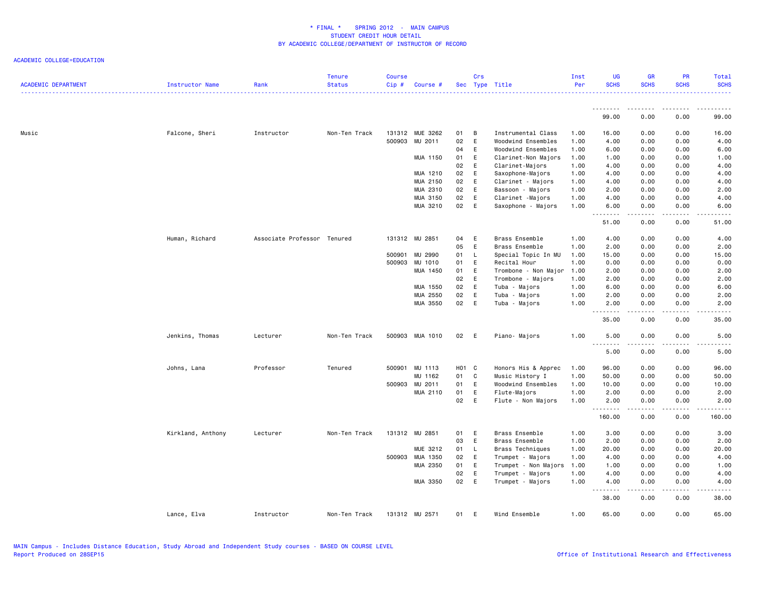| <b>ACADEMIC DEPARTMENT</b> | Instructor Name   | Rank                        | <b>Tenure</b><br><b>Status</b> | <b>Course</b><br>$Cip \#$ | Course #        |                   | Crs    | Sec Type Title                         | Inst<br>Per  | <b>UG</b><br><b>SCHS</b> | <b>GR</b><br><b>SCHS</b> | PR<br><b>SCHS</b>              | Total<br><b>SCHS</b><br>.                                                                                                                                     |
|----------------------------|-------------------|-----------------------------|--------------------------------|---------------------------|-----------------|-------------------|--------|----------------------------------------|--------------|--------------------------|--------------------------|--------------------------------|---------------------------------------------------------------------------------------------------------------------------------------------------------------|
|                            |                   |                             |                                |                           |                 |                   |        |                                        |              | <u>.</u><br>99.00        | .<br>0.00                | . <b>.</b><br>0.00             | 99.00                                                                                                                                                         |
|                            |                   |                             |                                |                           |                 |                   |        |                                        |              |                          |                          |                                |                                                                                                                                                               |
| Music                      | Falcone, Sheri    | Instructor                  | Non-Ten Track                  |                           | 131312 MUE 3262 | 01                | B      | Instrumental Class                     | 1.00         | 16.00                    | 0.00                     | 0.00                           | 16.00                                                                                                                                                         |
|                            |                   |                             |                                | 500903                    | MU 2011         | 02                | E      | Woodwind Ensembles                     | 1.00         | 4.00                     | 0.00                     | 0.00                           | 4.00                                                                                                                                                          |
|                            |                   |                             |                                |                           |                 | 04<br>01          | Ε<br>E | Woodwind Ensembles                     | 1.00         | 6.00                     | 0.00<br>0.00             | 0.00<br>0.00                   | 6.00                                                                                                                                                          |
|                            |                   |                             |                                |                           | MUA 1150        | 02                | E      | Clarinet-Non Majors<br>Clarinet-Majors | 1.00<br>1.00 | 1.00<br>4.00             | 0.00                     | 0.00                           | 1.00<br>4.00                                                                                                                                                  |
|                            |                   |                             |                                |                           | MUA 1210        | 02                | E      | Saxophone-Majors                       | 1.00         | 4.00                     | 0.00                     | 0.00                           | 4.00                                                                                                                                                          |
|                            |                   |                             |                                |                           | MUA 2150        | 02                | E      | Clarinet - Majors                      | 1.00         | 4.00                     | 0.00                     | 0.00                           | 4.00                                                                                                                                                          |
|                            |                   |                             |                                |                           | MUA 2310        | 02                | E      | Bassoon - Majors                       | 1.00         | 2.00                     | 0.00                     | 0.00                           | 2.00                                                                                                                                                          |
|                            |                   |                             |                                |                           | MUA 3150        | 02                | E      | Clarinet -Majors                       | 1.00         | 4.00                     | 0.00                     | 0.00                           | 4.00                                                                                                                                                          |
|                            |                   |                             |                                |                           | MUA 3210        | 02                | E      | Saxophone - Majors                     | 1.00         | 6.00                     | 0.00                     | 0.00                           | 6.00                                                                                                                                                          |
|                            |                   |                             |                                |                           |                 |                   |        |                                        |              | .<br>51.00               | .<br>0.00                | $\omega$ is a $\omega$<br>0.00 | $\frac{1}{2} \left( \frac{1}{2} \right) \left( \frac{1}{2} \right) \left( \frac{1}{2} \right) \left( \frac{1}{2} \right) \left( \frac{1}{2} \right)$<br>51.00 |
|                            |                   |                             |                                |                           |                 |                   |        |                                        |              |                          |                          |                                |                                                                                                                                                               |
|                            | Human, Richard    | Associate Professor Tenured |                                |                           | 131312 MU 2851  | 04                | E      | Brass Ensemble                         | 1.00         | 4.00                     | 0.00                     | 0.00                           | 4.00                                                                                                                                                          |
|                            |                   |                             |                                |                           |                 | 05                | E      | Brass Ensemble                         | 1.00         | 2.00                     | 0.00                     | 0.00                           | 2.00                                                                                                                                                          |
|                            |                   |                             |                                | 500901                    | MU 2990         | 01                | L.     | Special Topic In MU                    | 1.00         | 15.00                    | 0.00                     | 0.00                           | 15.00                                                                                                                                                         |
|                            |                   |                             |                                | 500903                    | MU 1010         | 01                | E      | Recital Hour                           | 1.00         | 0.00                     | 0.00                     | 0.00                           | 0.00                                                                                                                                                          |
|                            |                   |                             |                                |                           | MUA 1450        | 01                | E      | Trombone - Non Major                   | 1.00         | 2.00                     | 0.00                     | 0.00                           | 2.00                                                                                                                                                          |
|                            |                   |                             |                                |                           |                 | 02                | E      | Trombone - Majors                      | 1.00         | 2.00                     | 0.00                     | 0.00                           | 2.00                                                                                                                                                          |
|                            |                   |                             |                                |                           | MUA 1550        | 02                | E      | Tuba - Majors                          | 1.00         | 6.00                     | 0.00                     | 0.00                           | 6.00                                                                                                                                                          |
|                            |                   |                             |                                |                           | MUA 2550        | 02                | E      | Tuba - Majors                          | 1.00         | 2.00                     | 0.00                     | 0.00                           | 2.00                                                                                                                                                          |
|                            |                   |                             |                                |                           | MUA 3550        | 02                | E      | Tuba - Majors                          | 1.00         | 2.00<br>.                | 0.00                     | 0.00<br>$\sim$ $\sim$ $\sim$   | 2.00<br>-----                                                                                                                                                 |
|                            |                   |                             |                                |                           |                 |                   |        |                                        |              | 35.00                    | 0.00                     | 0.00                           | 35.00                                                                                                                                                         |
|                            | Jenkins, Thomas   | Lecturer                    | Non-Ten Track                  |                           | 500903 MUA 1010 | 02                | E      | Piano- Majors                          | 1.00         | 5.00<br><u>.</u>         | 0.00<br>.                | 0.00<br>$\frac{1}{2}$          | 5.00<br>.                                                                                                                                                     |
|                            |                   |                             |                                |                           |                 |                   |        |                                        |              | 5.00                     | 0.00                     | 0.00                           | 5.00                                                                                                                                                          |
|                            | Johns, Lana       | Professor                   | Tenured                        |                           | 500901 MU 1113  | H <sub>01</sub> C |        | Honors His & Apprec                    | 1.00         | 96.00                    | 0.00                     | 0.00                           | 96.00                                                                                                                                                         |
|                            |                   |                             |                                |                           | MU 1162         | 01                | C      | Music History I                        | 1.00         | 50.00                    | 0.00                     | 0.00                           | 50.00                                                                                                                                                         |
|                            |                   |                             |                                |                           | 500903 MU 2011  | 01                | E      | Woodwind Ensembles                     | 1.00         | 10.00                    | 0.00                     | 0.00                           | 10.00                                                                                                                                                         |
|                            |                   |                             |                                |                           | MUA 2110        | 01                | E      | Flute-Majors                           | 1.00         | 2.00                     | 0.00                     | 0.00                           | 2.00                                                                                                                                                          |
|                            |                   |                             |                                |                           |                 | 02                | E      | Flute - Non Majors                     | 1.00         | 2.00<br><u>.</u>         | 0.00<br>.                | 0.00<br>.                      | 2.00<br>.                                                                                                                                                     |
|                            |                   |                             |                                |                           |                 |                   |        |                                        |              | 160.00                   | 0.00                     | 0.00                           | 160.00                                                                                                                                                        |
|                            | Kirkland, Anthony | Lecturer                    | Non-Ten Track                  |                           | 131312 MU 2851  | 01                | E      | Brass Ensemble                         | 1.00         | 3.00                     | 0.00                     | 0.00                           | 3.00                                                                                                                                                          |
|                            |                   |                             |                                |                           |                 | 03                | E      | Brass Ensemble                         | 1.00         | 2.00                     | 0.00                     | 0.00                           | 2.00                                                                                                                                                          |
|                            |                   |                             |                                |                           | MUE 3212        | 01                | L.     | Brass Techniques                       | 1.00         | 20.00                    | 0.00                     | 0.00                           | 20.00                                                                                                                                                         |
|                            |                   |                             |                                | 500903                    | MUA 1350        | 02                | E      | Trumpet - Majors                       | 1.00         | 4.00                     | 0.00                     | 0.00                           | 4.00                                                                                                                                                          |
|                            |                   |                             |                                |                           | MUA 2350        | 01                | E      | Trumpet - Non Majors                   | 1.00         | 1.00                     | 0.00                     | 0.00                           | 1.00                                                                                                                                                          |
|                            |                   |                             |                                |                           |                 | 02                | E      | Trumpet - Majors                       | 1.00         | 4.00                     | 0.00                     | 0.00                           | 4.00                                                                                                                                                          |
|                            |                   |                             |                                |                           | MUA 3350        | 02                | E      | Trumpet - Majors                       | 1.00         | 4.00<br><u>.</u>         | 0.00<br>.                | 0.00<br>.                      | 4.00<br>.                                                                                                                                                     |
|                            |                   |                             |                                |                           |                 |                   |        |                                        |              | 38.00                    | 0.00                     | 0.00                           | 38.00                                                                                                                                                         |
|                            | Lance, Elva       | Instructor                  | Non-Ten Track                  |                           | 131312 MU 2571  | 01                | E      | Wind Ensemble                          | 1.00         | 65.00                    | 0.00                     | 0.00                           | 65.00                                                                                                                                                         |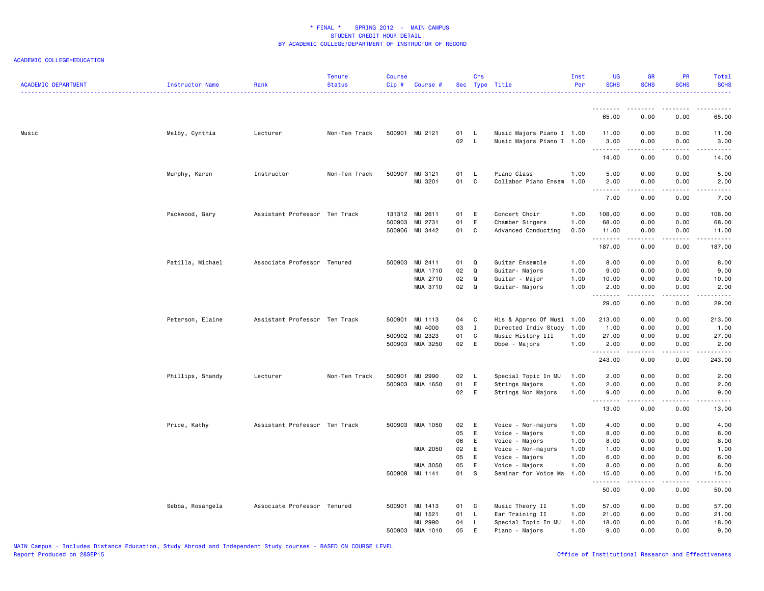| <b>ACADEMIC DEPARTMENT</b> | Instructor Name  | Rank                          | <b>Tenure</b><br><b>Status</b> | <b>Course</b><br>Cip# | Course #                   |          | Crs          | Sec Type Title                         | Inst<br>Per  | <b>UG</b><br><b>SCHS</b> | <b>GR</b><br><b>SCHS</b> | <b>PR</b><br><b>SCHS</b> | <b>Total</b><br><b>SCHS</b> |
|----------------------------|------------------|-------------------------------|--------------------------------|-----------------------|----------------------------|----------|--------------|----------------------------------------|--------------|--------------------------|--------------------------|--------------------------|-----------------------------|
|                            |                  |                               |                                |                       |                            |          |              |                                        |              | ---------                | <u> - - - - - - - -</u>  | .                        | .                           |
|                            |                  |                               |                                |                       |                            |          |              |                                        |              | 65.00                    | 0.00                     | 0.00                     | 65.00                       |
| Music                      | Melby, Cynthia   | Lecturer                      | Non-Ten Track                  |                       | 500901 MU 2121             | 01       | <b>L</b>     | Music Majors Piano I 1.00              |              | 11.00                    | 0.00                     | 0.00                     | 11.00                       |
|                            |                  |                               |                                |                       |                            | 02 L     |              | Music Majors Piano I 1.00              |              | 3.00<br><u>.</u>         | 0.00<br>$- - - - -$      | 0.00<br>.                | 3.00<br>.                   |
|                            |                  |                               |                                |                       |                            |          |              |                                        |              | 14.00                    | 0.00                     | 0.00                     | 14.00                       |
|                            | Murphy, Karen    | Instructor                    | Non-Ten Track                  |                       | 500907 MU 3121             | 01       | - L          | Piano Class                            | 1.00         | 5.00                     | 0.00                     | 0.00                     | 5.00                        |
|                            |                  |                               |                                |                       | MU 3201                    | 01       | C            | Collabor Piano Ensem                   | 1.00         | 2.00<br><u>.</u>         | 0.00                     | 0.00                     | 2.00<br>-----               |
|                            |                  |                               |                                |                       |                            |          |              |                                        |              | 7.00                     | 0.00                     | 0.00                     | 7.00                        |
|                            | Packwood, Gary   | Assistant Professor Ten Track |                                |                       | 131312 MU 2611             | 01       | E            | Concert Choir                          | 1.00         | 108.00                   | 0.00                     | 0.00                     | 108.00                      |
|                            |                  |                               |                                |                       | 500903 MU 2731             | 01       | E            | Chamber Singers                        | 1.00         | 68.00                    | 0.00                     | 0.00                     | 68.00                       |
|                            |                  |                               |                                | 500906                | MU 3442                    | 01       | C            | Advanced Conducting                    | 0.50         | 11.00<br>.               | 0.00<br>.                | 0.00<br>د د د د          | 11.00<br>------             |
|                            |                  |                               |                                |                       |                            |          |              |                                        |              | 187.00                   | 0.00                     | 0.00                     | 187.00                      |
|                            | Patilla, Michael | Associate Professor Tenured   |                                |                       | 500903 MU 2411             | 01       | Q            | Guitar Ensemble                        | 1.00         | 8.00                     | 0.00                     | 0.00                     | 8.00                        |
|                            |                  |                               |                                |                       | MUA 1710                   | 02       | Q            | Guitar- Majors                         | 1.00         | 9.00                     | 0.00                     | 0.00                     | 9.00                        |
|                            |                  |                               |                                |                       | MUA 2710                   | 02       | Q            | Guitar - Major                         | 1.00         | 10.00                    | 0.00                     | 0.00                     | 10.00                       |
|                            |                  |                               |                                |                       | MUA 3710                   | 02       | Q            | Guitar- Majors                         | 1.00         | 2.00<br><u>.</u>         | 0.00<br>.                | 0.00<br>.                | 2.00<br>.                   |
|                            |                  |                               |                                |                       |                            |          |              |                                        |              | 29.00                    | 0.00                     | 0.00                     | 29.00                       |
|                            | Peterson, Elaine | Assistant Professor Ten Track |                                |                       | 500901 MU 1113             | 04       | C            | His & Apprec Of Musi                   | 1.00         | 213.00                   | 0.00                     | 0.00                     | 213.00                      |
|                            |                  |                               |                                |                       | MU 4000                    | 03       | $\mathbf{I}$ | Directed Indiv Study                   | 1.00         | 1.00                     | 0.00                     | 0.00                     | 1.00                        |
|                            |                  |                               |                                |                       | 500902 MU 2323             | 01       | C            | Music History III                      | 1.00         | 27.00                    | 0.00                     | 0.00                     | 27.00                       |
|                            |                  |                               |                                |                       | 500903 MUA 3250            | 02       | E            | Oboe - Majors                          | 1.00         | 2.00<br>.                | 0.00<br>.                | 0.00<br>.                | 2.00<br><u>.</u>            |
|                            |                  |                               |                                |                       |                            |          |              |                                        |              | 243.00                   | 0.00                     | 0.00                     | 243.00                      |
|                            | Phillips, Shandy | Lecturer                      | Non-Ten Track                  | 500901                | MU 2990                    | 02       | - L          | Special Topic In MU                    | 1.00         | 2.00                     | 0.00                     | 0.00                     | 2.00                        |
|                            |                  |                               |                                |                       | 500903 MUA 1650            | 01       | E            | Strings Majors                         | 1.00         | 2.00                     | 0.00                     | 0.00                     | 2.00                        |
|                            |                  |                               |                                |                       |                            | 02 E     |              | Strings Non Majors                     | 1.00         | 9.00<br>.                | 0.00                     | 0.00                     | 9.00<br>$\frac{1}{2}$       |
|                            |                  |                               |                                |                       |                            |          |              |                                        |              | 13.00                    | 0.00                     | 0.00                     | 13.00                       |
|                            | Price, Kathy     | Assistant Professor Ten Track |                                |                       | 500903 MUA 1050            | 02       | E            | Voice - Non-majors                     | 1.00         | 4.00                     | 0.00                     | 0.00                     | 4.00                        |
|                            |                  |                               |                                |                       |                            | 05       | E            | Voice - Majors                         | 1.00         | 8.00                     | 0.00                     | 0.00                     | 8.00                        |
|                            |                  |                               |                                |                       |                            | 06       | E            | Voice - Majors                         | 1.00         | 8.00                     | 0.00                     | 0.00                     | 8.00                        |
|                            |                  |                               |                                |                       | MUA 2050                   | 02       | E            | Voice - Non-majors                     | 1.00         | 1.00                     | 0.00                     | 0.00                     | 1.00                        |
|                            |                  |                               |                                |                       |                            | 05       | E            | Voice - Majors                         | 1.00         | 6.00                     | 0.00                     | 0.00                     | 6.00                        |
|                            |                  |                               |                                |                       | MUA 3050<br>500908 MU 1141 | 05<br>01 | E<br>s.      | Voice - Majors<br>Seminar for Voice Ma | 1.00<br>1.00 | 8.00<br>15.00            | 0.00<br>0.00             | 0.00<br>0.00             | 8.00<br>15.00               |
|                            |                  |                               |                                |                       |                            |          |              |                                        |              | .                        | <b>.</b>                 | .                        | .                           |
|                            |                  |                               |                                |                       |                            |          |              |                                        |              | 50.00                    | 0.00                     | 0.00                     | 50.00                       |
|                            | Sebba, Rosangela | Associate Professor Tenured   |                                | 500901                | MU 1413                    | 01       | C            | Music Theory II                        | 1.00         | 57.00                    | 0.00                     | 0.00                     | 57.00                       |
|                            |                  |                               |                                |                       | MU 1521                    | 01       | $\mathsf{L}$ | Ear Training II                        | 1.00         | 21.00                    | 0.00                     | 0.00                     | 21.00                       |
|                            |                  |                               |                                |                       | MU 2990                    | 04       | L.           | Special Topic In MU                    | 1.00         | 18.00                    | 0.00                     | 0.00                     | 18.00                       |
|                            |                  |                               |                                |                       | 500903 MUA 1010            | 05       | E            | Piano - Majors                         | 1.00         | 9.00                     | 0.00                     | 0.00                     | 9.00                        |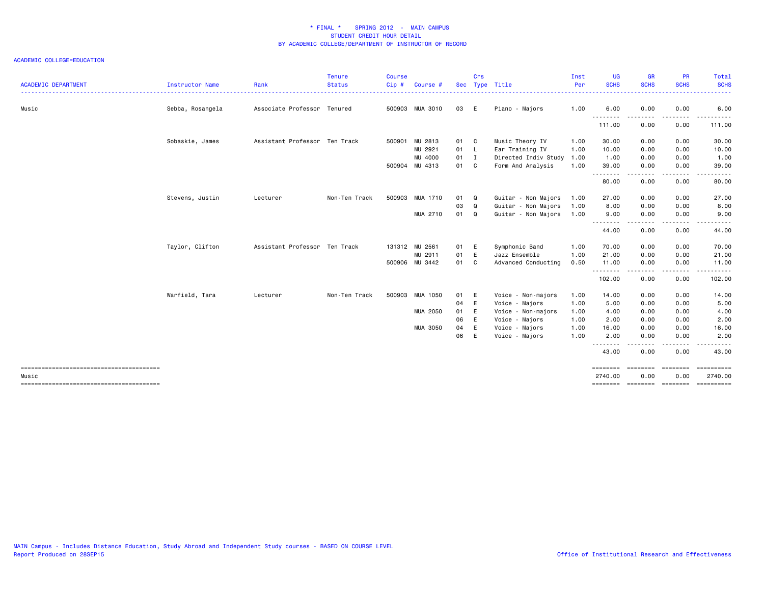| <b>ACADEMIC DEPARTMENT</b> | Instructor Name  | Rank                          | <b>Tenure</b><br><b>Status</b> | Course<br>Cip# | Course #        | Sec  | Crs         | Type Title                | Inst<br>Per | <b>UG</b><br><b>SCHS</b><br>. | <b>GR</b><br><b>SCHS</b>  | <b>PR</b><br><b>SCHS</b><br>. <u>.</u> . | Total<br><b>SCHS</b><br>.                                                                                                                                                                                                                                                                                                                                                                                                                                                                         |
|----------------------------|------------------|-------------------------------|--------------------------------|----------------|-----------------|------|-------------|---------------------------|-------------|-------------------------------|---------------------------|------------------------------------------|---------------------------------------------------------------------------------------------------------------------------------------------------------------------------------------------------------------------------------------------------------------------------------------------------------------------------------------------------------------------------------------------------------------------------------------------------------------------------------------------------|
| Music                      | Sebba, Rosangela | Associate Professor Tenured   |                                |                | 500903 MUA 3010 | 03 E |             | Piano - Majors            | 1.00        | 6.00                          | 0.00                      | 0.00                                     | 6.00                                                                                                                                                                                                                                                                                                                                                                                                                                                                                              |
|                            |                  |                               |                                |                |                 |      |             |                           |             | 111.00                        | 0.00                      | 0.00                                     | .<br>111.00                                                                                                                                                                                                                                                                                                                                                                                                                                                                                       |
|                            | Sobaskie, James  | Assistant Professor Ten Track |                                | 500901         | MU 2813         | 01 C |             | Music Theory IV           | 1.00        | 30.00                         | 0.00                      | 0.00                                     | 30.00                                                                                                                                                                                                                                                                                                                                                                                                                                                                                             |
|                            |                  |                               |                                |                | MU 2921         | 01   | - L         | Ear Training IV           | 1.00        | 10.00                         | 0.00                      | 0.00                                     | 10.00                                                                                                                                                                                                                                                                                                                                                                                                                                                                                             |
|                            |                  |                               |                                |                | MU 4000         | 01 I |             | Directed Indiv Study      | 1.00        | 1.00                          | 0.00                      | 0.00                                     | 1.00                                                                                                                                                                                                                                                                                                                                                                                                                                                                                              |
|                            |                  |                               |                                |                | 500904 MU 4313  | 01 C |             | Form And Analysis         | 1.00        | 39.00                         | 0.00                      | 0.00                                     | 39.00                                                                                                                                                                                                                                                                                                                                                                                                                                                                                             |
|                            |                  |                               |                                |                |                 |      |             |                           |             | .<br>80.00                    | .<br>0.00                 | -----<br>0.00                            | .<br>80.00                                                                                                                                                                                                                                                                                                                                                                                                                                                                                        |
|                            | Stevens, Justin  | Lecturer                      | Non-Ten Track                  |                | 500903 MUA 1710 | 01   | Q           | Guitar - Non Majors       | 1.00        | 27.00                         | 0.00                      | 0.00                                     | 27.00                                                                                                                                                                                                                                                                                                                                                                                                                                                                                             |
|                            |                  |                               |                                |                |                 | 03   | Q           | Guitar - Non Majors       | 1.00        | 8.00                          | 0.00                      | 0.00                                     | 8.00                                                                                                                                                                                                                                                                                                                                                                                                                                                                                              |
|                            |                  |                               |                                |                | MUA 2710        | 01   | $\mathbf Q$ | Guitar - Non Majors       | 1.00        | 9.00                          | 0.00                      | 0.00                                     | 9.00                                                                                                                                                                                                                                                                                                                                                                                                                                                                                              |
|                            |                  |                               |                                |                |                 |      |             |                           |             | .<br>44.00                    | .<br>0.00                 | .<br>0.00                                | 44.00                                                                                                                                                                                                                                                                                                                                                                                                                                                                                             |
|                            | Taylor, Clifton  | Assistant Professor Ten Track |                                |                | 131312 MU 2561  | 01   | E           | Symphonic Band            | 1.00        | 70.00                         | 0.00                      | 0.00                                     | 70.00                                                                                                                                                                                                                                                                                                                                                                                                                                                                                             |
|                            |                  |                               |                                |                | MU 2911         | 01   | E           | Jazz Ensemble             | 1.00        | 21.00                         | 0.00                      | 0.00                                     | 21.00                                                                                                                                                                                                                                                                                                                                                                                                                                                                                             |
|                            |                  |                               |                                |                | 500906 MU 3442  | 01   | C           | Advanced Conducting       | 0.50        | 11.00                         | 0.00                      | 0.00                                     | 11.00                                                                                                                                                                                                                                                                                                                                                                                                                                                                                             |
|                            |                  |                               |                                |                |                 |      |             |                           |             | .<br>102.00                   | .<br>0.00                 | .<br>0.00                                | 102.00                                                                                                                                                                                                                                                                                                                                                                                                                                                                                            |
|                            | Warfield, Tara   | Lecturer                      | Non-Ten Track                  | 500903         | MUA 1050        | 01   | E           | Voice - Non-majors        | 1.00        | 14.00                         | 0.00                      | 0.00                                     | 14.00                                                                                                                                                                                                                                                                                                                                                                                                                                                                                             |
|                            |                  |                               |                                |                |                 | 04   | E           | Voice - Majors            | 1.00        | 5.00                          | 0.00                      | 0.00                                     | 5.00                                                                                                                                                                                                                                                                                                                                                                                                                                                                                              |
|                            |                  |                               |                                |                | MUA 2050        | 01   | E           | Voice - Non-majors        | 1.00        | 4.00                          | 0.00                      | 0.00                                     | 4.00                                                                                                                                                                                                                                                                                                                                                                                                                                                                                              |
|                            |                  |                               |                                |                |                 | 06   | E           | Voice<br>Majors<br>$\sim$ | 1.00        | 2.00                          | 0.00                      | 0.00                                     | 2.00                                                                                                                                                                                                                                                                                                                                                                                                                                                                                              |
|                            |                  |                               |                                |                | MUA 3050        | 04   | E           | Voice - Majors            | 1.00        | 16.00                         | 0.00                      | 0.00                                     | 16.00                                                                                                                                                                                                                                                                                                                                                                                                                                                                                             |
|                            |                  |                               |                                |                |                 | 06   | E           | Voice - Majors            | 1.00        | 2.00                          | 0.00                      | 0.00                                     | 2.00                                                                                                                                                                                                                                                                                                                                                                                                                                                                                              |
|                            |                  |                               |                                |                |                 |      |             |                           |             | .<br>43.00                    | 0.00                      | $\frac{1}{2}$<br>0.00                    | 43.00                                                                                                                                                                                                                                                                                                                                                                                                                                                                                             |
|                            |                  |                               |                                |                |                 |      |             |                           |             | ========                      | ---------                 | ---------                                | <b>ESSESSESS</b>                                                                                                                                                                                                                                                                                                                                                                                                                                                                                  |
| Music                      |                  |                               |                                |                |                 |      |             |                           |             | 2740.00<br>========           | 0.00<br>======== ======== | 0.00                                     | 2740.00<br>$\begin{array}{cccccccccc} \multicolumn{2}{c}{} & \multicolumn{2}{c}{} & \multicolumn{2}{c}{} & \multicolumn{2}{c}{} & \multicolumn{2}{c}{} & \multicolumn{2}{c}{} & \multicolumn{2}{c}{} & \multicolumn{2}{c}{} & \multicolumn{2}{c}{} & \multicolumn{2}{c}{} & \multicolumn{2}{c}{} & \multicolumn{2}{c}{} & \multicolumn{2}{c}{} & \multicolumn{2}{c}{} & \multicolumn{2}{c}{} & \multicolumn{2}{c}{} & \multicolumn{2}{c}{} & \multicolumn{2}{c}{} & \multicolumn{2}{c}{} & \mult$ |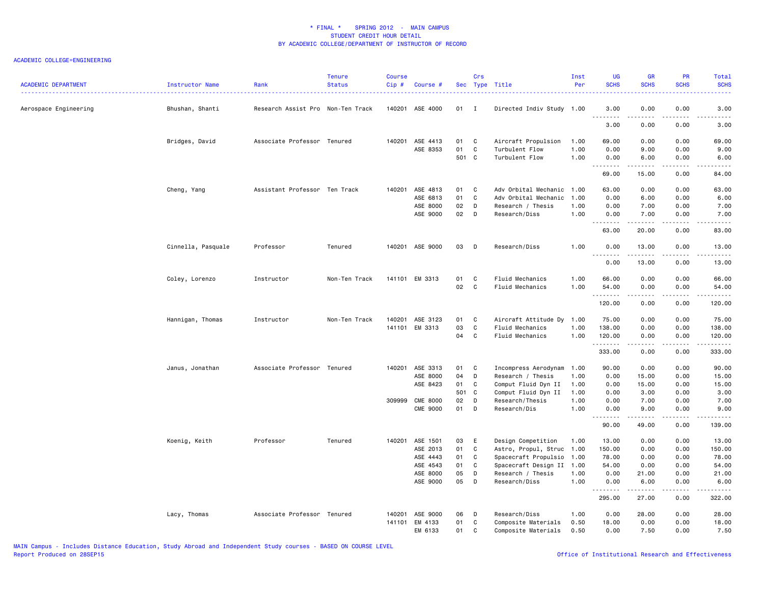| <b>ACADEMIC DEPARTMENT</b> | Instructor Name    | Rank                              | <b>Tenure</b><br><b>Status</b> | <b>Course</b><br>Cip# | Course #        |             | Crs            | Sec Type Title                   | Inst<br>Per  | <b>UG</b><br><b>SCHS</b> | <b>GR</b><br><b>SCHS</b> | <b>PR</b><br><b>SCHS</b> | Total<br><b>SCHS</b>                                                                                                                                          |
|----------------------------|--------------------|-----------------------------------|--------------------------------|-----------------------|-----------------|-------------|----------------|----------------------------------|--------------|--------------------------|--------------------------|--------------------------|---------------------------------------------------------------------------------------------------------------------------------------------------------------|
| Aerospace Engineering      | Bhushan, Shanti    | Research Assist Pro Non-Ten Track |                                |                       | 140201 ASE 4000 | 01          | $\blacksquare$ | Directed Indiv Study 1.00        |              | 3.00                     | 0.00                     | 0.00                     | 3.00<br>22222                                                                                                                                                 |
|                            |                    |                                   |                                |                       |                 |             |                |                                  |              | 3.00                     | .<br>0.00                | .<br>0.00                | 3.00                                                                                                                                                          |
|                            | Bridges, David     | Associate Professor Tenured       |                                |                       | 140201 ASE 4413 | 01          | C              | Aircraft Propulsion              | 1.00         | 69.00                    | 0.00                     | 0.00                     | 69.00                                                                                                                                                         |
|                            |                    |                                   |                                |                       | ASE 8353        | 01<br>501 C | C              | Turbulent Flow<br>Turbulent Flow | 1.00<br>1.00 | 0.00<br>0.00             | 9.00<br>6.00             | 0.00<br>0.00             | 9.00<br>6.00                                                                                                                                                  |
|                            |                    |                                   |                                |                       |                 |             |                |                                  |              | <u>.</u><br>69.00        | .<br>15.00               | .<br>0.00                | <b>.</b><br>84.00                                                                                                                                             |
|                            | Cheng, Yang        | Assistant Professor Ten Track     |                                |                       | 140201 ASE 4813 | 01          | <b>C</b>       | Adv Orbital Mechanic 1.00        |              | 63.00                    | 0.00                     | 0.00                     | 63.00                                                                                                                                                         |
|                            |                    |                                   |                                |                       | ASE 6813        | 01          | $\mathbf c$    | Adv Orbital Mechanic             | 1.00         | 0.00                     | 6.00                     | 0.00                     | 6.00                                                                                                                                                          |
|                            |                    |                                   |                                |                       | ASE 8000        | 02          | D              | Research / Thesis                | 1.00         | 0.00                     | 7.00                     | 0.00                     | 7.00                                                                                                                                                          |
|                            |                    |                                   |                                |                       | ASE 9000        | 02          | D              | Research/Diss                    | 1.00         | 0.00                     | 7.00<br>.                | 0.00<br>.                | 7.00<br>$\omega$ is $\omega$ in $\omega$                                                                                                                      |
|                            |                    |                                   |                                |                       |                 |             |                |                                  |              | 63.00                    | 20.00                    | 0.00                     | 83.00                                                                                                                                                         |
|                            | Cinnella, Pasquale | Professor                         | Tenured                        |                       | 140201 ASE 9000 | 03          | $\mathsf{D}$   | Research/Diss                    | 1.00         | 0.00<br>1.1.1.1.1.1.1    | 13.00<br>.               | 0.00<br>.                | 13.00<br>$\frac{1}{2} \left( \frac{1}{2} \right) \left( \frac{1}{2} \right) \left( \frac{1}{2} \right) \left( \frac{1}{2} \right) \left( \frac{1}{2} \right)$ |
|                            |                    |                                   |                                |                       |                 |             |                |                                  |              | 0.00                     | 13.00                    | 0.00                     | 13.00                                                                                                                                                         |
|                            | Coley, Lorenzo     | Instructor                        | Non-Ten Track                  |                       | 141101 EM 3313  | 01          | C              | Fluid Mechanics                  | 1.00         | 66.00                    | 0.00                     | 0.00                     | 66.00                                                                                                                                                         |
|                            |                    |                                   |                                |                       |                 | 02          | C              | Fluid Mechanics                  | 1.00         | 54.00<br>.               | 0.00<br>.                | 0.00<br>.                | 54.00<br>.                                                                                                                                                    |
|                            |                    |                                   |                                |                       |                 |             |                |                                  |              | 120.00                   | 0.00                     | 0.00                     | 120.00                                                                                                                                                        |
|                            | Hannigan, Thomas   | Instructor                        | Non-Ten Track                  |                       | 140201 ASE 3123 | 01          | C              | Aircraft Attitude Dy             | 1.00         | 75.00                    | 0.00                     | 0.00                     | 75.00                                                                                                                                                         |
|                            |                    |                                   |                                |                       | 141101 EM 3313  | 03          | C              | Fluid Mechanics                  | 1.00         | 138.00                   | 0.00                     | 0.00                     | 138.00                                                                                                                                                        |
|                            |                    |                                   |                                |                       |                 | 04          | $\mathbf{C}$   | Fluid Mechanics                  | 1.00         | 120.00<br><u>.</u>       | 0.00<br>$- - - - -$      | 0.00<br>.                | 120.00<br>.                                                                                                                                                   |
|                            |                    |                                   |                                |                       |                 |             |                |                                  |              | 333.00                   | 0.00                     | 0.00                     | 333.00                                                                                                                                                        |
|                            | Janus, Jonathan    | Associate Professor Tenured       |                                |                       | 140201 ASE 3313 | 01          | C.             | Incompress Aerodynam             | 1.00         | 90.00                    | 0.00                     | 0.00                     | 90.00                                                                                                                                                         |
|                            |                    |                                   |                                |                       | ASE 8000        | 04          | D              | Research / Thesis                | 1.00         | 0.00                     | 15.00                    | 0.00                     | 15.00                                                                                                                                                         |
|                            |                    |                                   |                                |                       | ASE 8423        | 01          | C              | Comput Fluid Dyn II              | 1.00         | 0.00                     | 15.00                    | 0.00                     | 15.00                                                                                                                                                         |
|                            |                    |                                   |                                |                       |                 | 501 C       |                | Comput Fluid Dyn II              | 1.00         | 0.00                     | 3.00                     | 0.00                     | 3.00                                                                                                                                                          |
|                            |                    |                                   |                                |                       | 309999 CME 8000 | 02          | D              | Research/Thesis                  | 1.00         | 0.00                     | 7.00                     | 0.00                     | 7.00                                                                                                                                                          |
|                            |                    |                                   |                                |                       | <b>CME 9000</b> | 01          | D              | Research/Dis                     | 1.00         | 0.00<br><b></b>          | 9.00<br>. <u>.</u>       | 0.00<br>.                | 9.00<br>.                                                                                                                                                     |
|                            |                    |                                   |                                |                       |                 |             |                |                                  |              | 90.00                    | 49.00                    | 0.00                     | 139.00                                                                                                                                                        |
|                            | Koenig, Keith      | Professor                         | Tenured                        |                       | 140201 ASE 1501 | 03          | E              | Design Competition               | 1.00         | 13.00                    | 0.00                     | 0.00                     | 13.00                                                                                                                                                         |
|                            |                    |                                   |                                |                       | ASE 2013        | 01          | C              | Astro, Propul, Struc             | 1.00         | 150.00                   | 0.00                     | 0.00                     | 150.00                                                                                                                                                        |
|                            |                    |                                   |                                |                       | ASE 4443        | 01          | C              | Spacecraft Propulsio             | 1.00         | 78.00                    | 0.00                     | 0.00                     | 78.00                                                                                                                                                         |
|                            |                    |                                   |                                |                       | ASE 4543        | 01          | C              | Spacecraft Design II             | 1.00         | 54.00                    | 0.00                     | 0.00                     | 54.00                                                                                                                                                         |
|                            |                    |                                   |                                |                       | ASE 8000        | 05          | D              | Research / Thesis                | 1.00         | 0.00                     | 21.00                    | 0.00                     | 21.00                                                                                                                                                         |
|                            |                    |                                   |                                |                       | ASE 9000        | 05          | D              | Research/Diss                    | 1.00         | 0.00                     | 6.00<br><b></b>          | 0.00<br>.                | 6.00<br>.                                                                                                                                                     |
|                            |                    |                                   |                                |                       |                 |             |                |                                  |              | 295.00                   | 27.00                    | 0.00                     | 322.00                                                                                                                                                        |
|                            | Lacy, Thomas       | Associate Professor Tenured       |                                |                       | 140201 ASE 9000 | 06          | D              | Research/Diss                    | 1.00         | 0.00                     | 28.00                    | 0.00                     | 28.00                                                                                                                                                         |
|                            |                    |                                   |                                |                       | 141101 EM 4133  | 01          | C              | Composite Materials              | 0.50         | 18.00                    | 0.00                     | 0.00                     | 18.00                                                                                                                                                         |
|                            |                    |                                   |                                |                       | EM 6133         | 01          | C              | Composite Materials              | 0.50         | 0.00                     | 7.50                     | 0.00                     | 7.50                                                                                                                                                          |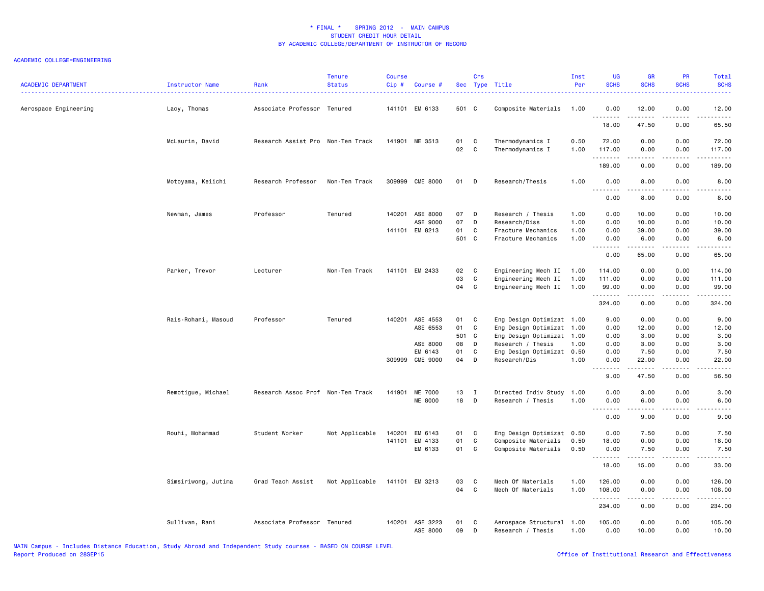| <b>ACADEMIC DEPARTMENT</b> | Instructor Name     | Rank                              | <b>Tenure</b><br><b>Status</b> | <b>Course</b><br>Cip# | Course #                    |                | Crs                    | Sec Type Title                                                    | Inst<br>Per          | UG<br><b>SCHS</b>         | <b>GR</b><br><b>SCHS</b> | PR<br><b>SCHS</b>                        | Total<br><b>SCHS</b>                                                                                                                                         |
|----------------------------|---------------------|-----------------------------------|--------------------------------|-----------------------|-----------------------------|----------------|------------------------|-------------------------------------------------------------------|----------------------|---------------------------|--------------------------|------------------------------------------|--------------------------------------------------------------------------------------------------------------------------------------------------------------|
| Aerospace Engineering      | Lacy, Thomas        | Associate Professor Tenured       |                                |                       | 141101 EM 6133              | 501 C          |                        | Composite Materials                                               | 1.00                 | 0.00                      | 12.00<br>.               | 0.00<br>$\omega$ is $\omega$ in $\omega$ | 12.00<br>$\begin{array}{cccccccccc} \bullet & \bullet & \bullet & \bullet & \bullet & \bullet & \bullet \end{array}$                                         |
|                            |                     |                                   |                                |                       |                             |                |                        |                                                                   |                      | 18.00                     | 47.50                    | 0.00                                     | 65.50                                                                                                                                                        |
|                            | McLaurin, David     | Research Assist Pro Non-Ten Track |                                |                       | 141901 ME 3513              | 01<br>02       | C<br>$\mathbf{C}$      | Thermodynamics I<br>Thermodynamics I                              | 0.50<br>1.00         | 72.00<br>117.00           | 0.00<br>0.00             | 0.00<br>0.00                             | 72.00<br>117.00                                                                                                                                              |
|                            |                     |                                   |                                |                       |                             |                |                        |                                                                   |                      | .<br>189.00               | .<br>0.00                | .<br>0.00                                | .<br>189.00                                                                                                                                                  |
|                            | Motoyama, Keiichi   | Research Professor                | Non-Ten Track                  |                       | 309999 CME 8000             | 01             | D                      | Research/Thesis                                                   | 1.00                 | 0.00<br>.                 | 8.00                     | 0.00                                     | 8.00<br>$\frac{1}{2}$                                                                                                                                        |
|                            |                     |                                   |                                |                       |                             |                |                        |                                                                   |                      | 0.00                      | 8.00                     | 0.00                                     | 8.00                                                                                                                                                         |
|                            | Newman, James       | Professor                         | Tenured                        |                       | 140201 ASE 8000<br>ASE 9000 | 07<br>07       | D<br>D                 | Research / Thesis<br>Research/Diss                                | 1.00<br>1.00         | 0.00<br>0.00              | 10.00<br>10.00           | 0.00<br>0.00                             | 10.00<br>10.00                                                                                                                                               |
|                            |                     |                                   |                                |                       | 141101 EM 8213              | 01<br>501 C    | C                      | Fracture Mechanics<br>Fracture Mechanics                          | 1.00<br>1.00         | 0.00<br>0.00<br><u>.</u>  | 39.00<br>6.00<br>-----   | 0.00<br>0.00<br>.                        | 39.00<br>6.00<br>.                                                                                                                                           |
|                            |                     |                                   |                                |                       |                             |                |                        |                                                                   |                      | 0.00                      | 65.00                    | 0.00                                     | 65.00                                                                                                                                                        |
|                            | Parker, Trevor      | Lecturer                          | Non-Ten Track                  |                       | 141101 EM 2433              | 02<br>03<br>04 | $\mathbf{C}$<br>C<br>C | Engineering Mech II<br>Engineering Mech II<br>Engineering Mech II | 1.00<br>1.00<br>1.00 | 114.00<br>111.00<br>99.00 | 0.00<br>0.00<br>0.00     | 0.00<br>0.00<br>0.00                     | 114.00<br>111.00<br>99.00                                                                                                                                    |
|                            |                     |                                   |                                |                       |                             |                |                        |                                                                   |                      | .<br>324.00               | .<br>0.00                | .<br>0.00                                | .<br>324.00                                                                                                                                                  |
|                            | Rais-Rohani, Masoud | Professor                         | Tenured                        |                       | 140201 ASE 4553             | 01             | C                      | Eng Design Optimizat 1.00                                         |                      | 9.00                      | 0.00                     | 0.00                                     | 9.00                                                                                                                                                         |
|                            |                     |                                   |                                |                       | ASE 6553                    | 01             | C                      | Eng Design Optimizat 1.00                                         |                      | 0.00                      | 12.00                    | 0.00                                     | 12.00                                                                                                                                                        |
|                            |                     |                                   |                                |                       |                             | 501 C          |                        | Eng Design Optimizat                                              | 1.00                 | 0.00                      | 3.00                     | 0.00                                     | 3.00                                                                                                                                                         |
|                            |                     |                                   |                                |                       | ASE 8000                    | 08             | D                      | Research / Thesis                                                 | 1.00                 | 0.00                      | 3.00                     | 0.00                                     | 3.00                                                                                                                                                         |
|                            |                     |                                   |                                |                       | EM 6143                     | 01             | C                      | Eng Design Optimizat 0.50                                         |                      | 0.00                      | 7.50                     | 0.00                                     | 7.50                                                                                                                                                         |
|                            |                     |                                   |                                |                       | 309999 CME 9000             | 04             | D                      | Research/Dis                                                      | 1.00                 | 0.00<br>.                 | 22.00<br>.               | 0.00<br>.                                | 22.00<br>.                                                                                                                                                   |
|                            |                     |                                   |                                |                       |                             |                |                        |                                                                   |                      | 9.00                      | 47.50                    | 0.00                                     | 56.50                                                                                                                                                        |
|                            | Remotigue, Michael  | Research Assoc Prof Non-Ten Track |                                |                       | 141901 ME 7000              | 13             | $\blacksquare$         | Directed Indiv Study 1.00                                         |                      | 0.00                      | 3.00                     | 0.00                                     | 3.00                                                                                                                                                         |
|                            |                     |                                   |                                |                       | <b>ME 8000</b>              | 18             | D                      | Research / Thesis                                                 | 1.00                 | 0.00<br><u>.</u>          | 6.00<br>.                | 0.00<br>.                                | 6.00<br>د د د د د                                                                                                                                            |
|                            |                     |                                   |                                |                       |                             |                |                        |                                                                   |                      | 0.00                      | 9.00                     | 0.00                                     | 9.00                                                                                                                                                         |
|                            | Rouhi, Mohammad     | Student Worker                    | Not Applicable                 | 140201                | EM 6143                     | 01 C           |                        | Eng Design Optimizat 0.50                                         |                      | 0.00                      | 7.50                     | 0.00                                     | 7.50                                                                                                                                                         |
|                            |                     |                                   |                                | 141101                | EM 4133                     | 01             | C                      | Composite Materials                                               | 0.50                 | 18.00                     | 0.00                     | 0.00                                     | 18.00                                                                                                                                                        |
|                            |                     |                                   |                                |                       | EM 6133                     | 01 C           |                        | Composite Materials                                               | 0.50                 | 0.00<br>.                 | 7.50<br>.                | 0.00<br>$\sim$ $\sim$ $\sim$ $\sim$      | 7.50<br>$\frac{1}{2} \left( \frac{1}{2} \right) \left( \frac{1}{2} \right) \left( \frac{1}{2} \right) \left( \frac{1}{2} \right) \left( \frac{1}{2} \right)$ |
|                            |                     |                                   |                                |                       |                             |                |                        |                                                                   |                      | 18.00                     | 15.00                    | 0.00                                     | 33.00                                                                                                                                                        |
|                            | Simsiriwong, Jutima | Grad Teach Assist                 | Not Applicable                 |                       | 141101 EM 3213              | 03<br>04       | C<br>$\mathbf{C}$      | Mech Of Materials                                                 | 1.00                 | 126.00                    | 0.00                     | 0.00                                     | 126.00                                                                                                                                                       |
|                            |                     |                                   |                                |                       |                             |                |                        | Mech Of Materials                                                 | 1.00                 | 108.00<br>.               | 0.00<br>.                | 0.00<br>.                                | 108.00<br>.                                                                                                                                                  |
|                            |                     |                                   |                                |                       |                             |                |                        |                                                                   |                      | 234.00                    | 0.00                     | 0.00                                     | 234.00                                                                                                                                                       |
|                            | Sullivan, Rani      | Associate Professor Tenured       |                                |                       | 140201 ASE 3223<br>ASE 8000 | 01<br>09       | C<br>D                 | Aerospace Structural 1.00<br>Research / Thesis                    | 1.00                 | 105.00<br>0.00            | 0.00<br>10.00            | 0.00<br>0.00                             | 105.00<br>10.00                                                                                                                                              |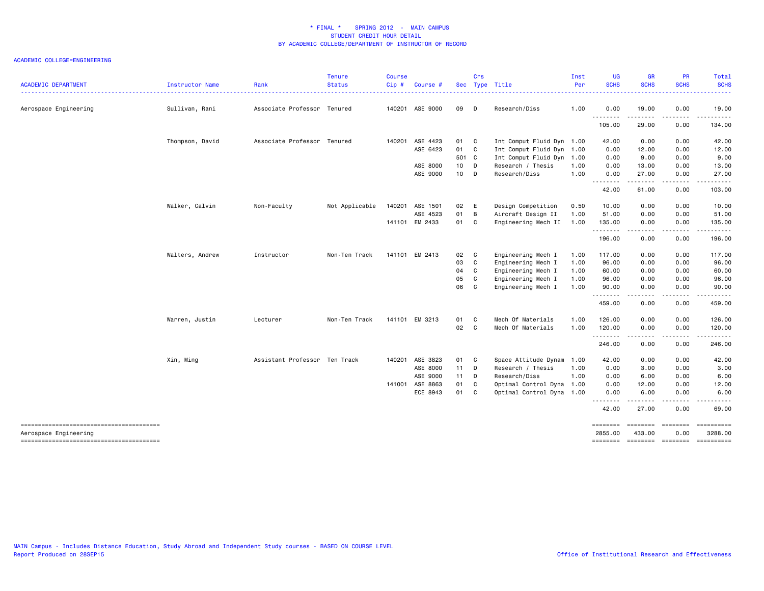| <b>ACADEMIC DEPARTMENT</b> | Instructor Name | Rank                          | <b>Tenure</b><br><b>Status</b> | Course<br>Cip# | Course          | Sec    | Crs          | Type Title                | Inst<br>Per | <b>UG</b><br><b>SCHS</b> | <b>GR</b><br><b>SCHS</b> | <b>PR</b><br><b>SCHS</b>            | Total<br><b>SCHS</b>                             |
|----------------------------|-----------------|-------------------------------|--------------------------------|----------------|-----------------|--------|--------------|---------------------------|-------------|--------------------------|--------------------------|-------------------------------------|--------------------------------------------------|
| Aerospace Engineering      | Sullivan, Rani  | Associate Professor Tenured   |                                |                | 140201 ASE 9000 | 09     | D            | Research/Diss             | 1.00        | 0.00                     | 19.00                    | 0.00                                | 19.00                                            |
|                            |                 |                               |                                |                |                 |        |              |                           |             | .                        |                          | $\sim$ $\sim$ $\sim$ $\sim$         | .                                                |
|                            |                 |                               |                                |                |                 |        |              |                           |             | 105.00                   | 29.00                    | 0.00                                | 134.00                                           |
|                            | Thompson, David | Associate Professor Tenured   |                                |                | 140201 ASE 4423 | 01 C   |              | Int Comput Fluid Dyn 1.00 |             | 42.00                    | 0.00                     | 0.00                                | 42.00                                            |
|                            |                 |                               |                                |                | ASE 6423        | 01 C   |              | Int Comput Fluid Dyn 1.00 |             | 0.00                     | 12.00                    | 0.00                                | 12.00                                            |
|                            |                 |                               |                                |                |                 | 501 C  |              | Int Comput Fluid Dyn 1.00 |             | 0.00                     | 9.00                     | 0.00                                | 9.00                                             |
|                            |                 |                               |                                |                | ASE 8000        | 10 D   |              | Research / Thesis         | 1.00        | 0.00                     | 13.00                    | 0.00                                | 13.00                                            |
|                            |                 |                               |                                |                | ASE 9000        | 10 D   |              | Research/Diss             | 1.00        | 0.00                     | 27.00                    | 0.00                                | 27.00                                            |
|                            |                 |                               |                                |                |                 |        |              |                           |             | .<br>42.00               | .<br>61.00               | .<br>0.00                           | .<br>103.00                                      |
|                            | Walker, Calvin  | Non-Faculty                   | Not Applicable                 | 140201         | ASE 1501        | 02 E   |              | Design Competition        | 0.50        | 10.00                    | 0.00                     | 0.00                                | 10.00                                            |
|                            |                 |                               |                                |                | ASE 4523        | 01     | B            | Aircraft Design II        | 1.00        | 51.00                    | 0.00                     | 0.00                                | 51.00                                            |
|                            |                 |                               |                                |                | 141101 EM 2433  | 01 C   |              | Engineering Mech II       | 1.00        | 135.00                   | 0.00                     | 0.00                                | 135.00                                           |
|                            |                 |                               |                                |                |                 |        |              |                           |             | .<br>196.00              | 0.00                     | $\sim$ $\sim$ $\sim$ $\sim$<br>0.00 | .<br>196.00                                      |
|                            | Walters, Andrew | Instructor                    | Non-Ten Track                  |                | 141101 EM 2413  | 02 C   |              | Engineering Mech I        | 1.00        | 117.00                   | 0.00                     | 0.00                                | 117.00                                           |
|                            |                 |                               |                                |                |                 | 03     | $\mathbf{C}$ | Engineering Mech I        | 1.00        | 96.00                    | 0.00                     | 0.00                                | 96.00                                            |
|                            |                 |                               |                                |                |                 | 04     | $\mathbf{C}$ | Engineering Mech I        | 1.00        | 60.00                    | 0.00                     | 0.00                                | 60.00                                            |
|                            |                 |                               |                                |                |                 | 05     | C            | Engineering Mech I        | 1.00        | 96.00                    | 0.00                     | 0.00                                | 96.00                                            |
|                            |                 |                               |                                |                |                 | 06     | $\mathbf{C}$ | Engineering Mech I        | 1.00        | 90.00                    | 0.00                     | 0.00                                | 90.00                                            |
|                            |                 |                               |                                |                |                 |        |              |                           |             | .<br>459.00              | $- - - - -$<br>0.00      | -----<br>0.00                       | .<br>459.00                                      |
|                            | Warren, Justin  | Lecturer                      | Non-Ten Track                  |                | 141101 EM 3213  | 01     | $\mathbf{C}$ | Mech Of Materials         | 1.00        | 126.00                   | 0.00                     | 0.00                                | 126.00                                           |
|                            |                 |                               |                                |                |                 | 02 C   |              | Mech Of Materials         | 1.00        | 120.00                   | 0.00                     | 0.00                                | 120.00                                           |
|                            |                 |                               |                                |                |                 |        |              |                           |             | .<br>246.00              | .<br>0.00                | .<br>0.00                           | .<br>246.00                                      |
|                            | Xin, Ming       | Assistant Professor Ten Track |                                |                | 140201 ASE 3823 | 01 C   |              | Space Attitude Dynam      | 1.00        | 42.00                    | 0.00                     | 0.00                                | 42.00                                            |
|                            |                 |                               |                                |                | ASE 8000        | $11$ D |              | Research / Thesis         | 1.00        | 0.00                     | 3.00                     | 0.00                                | 3.00                                             |
|                            |                 |                               |                                |                | ASE 9000        | $11$ D |              | Research/Diss             | 1.00        | 0.00                     | 6.00                     | 0.00                                | 6.00                                             |
|                            |                 |                               |                                | 141001         | ASE 8863        | 01     | $\mathbf{C}$ | Optimal Control Dyna 1.00 |             | 0.00                     | 12.00                    | 0.00                                | 12.00                                            |
|                            |                 |                               |                                |                | ECE 8943        | 01 C   |              | Optimal Control Dyna 1.00 |             | 0.00                     | 6.00                     | 0.00                                | 6.00                                             |
|                            |                 |                               |                                |                |                 |        |              |                           |             | .                        |                          |                                     |                                                  |
|                            |                 |                               |                                |                |                 |        |              |                           |             | 42.00                    | 27.00                    | 0.00                                | 69.00                                            |
|                            |                 |                               |                                |                |                 |        |              |                           |             | ========                 | ========                 | eessesse                            | ==========                                       |
| Aerospace Engineering      |                 |                               |                                |                |                 |        |              |                           |             | 2855.00                  | 433.00                   | 0.00                                | 3288.00<br>======== ======== ======== ========== |
|                            |                 |                               |                                |                |                 |        |              |                           |             |                          |                          |                                     |                                                  |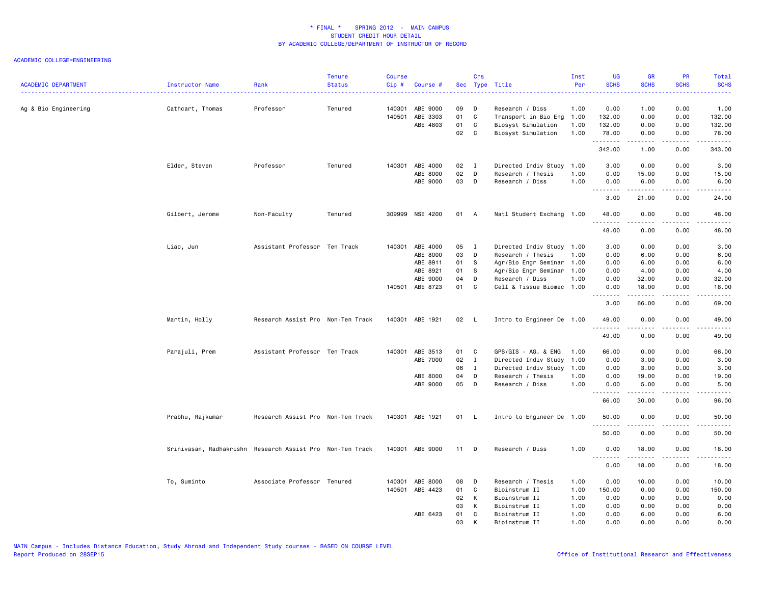| <b>ACADEMIC DEPARTMENT</b> | Instructor Name                                           | Rank                              | <b>Tenure</b><br><b>Status</b> | <b>Course</b><br>$Cip \#$ | Course #        |        | Crs          | Sec Type Title            | Inst<br>Per | UG<br><b>SCHS</b>                   | <b>GR</b><br><b>SCHS</b> | PR<br><b>SCHS</b>                   | Total<br><b>SCHS</b>                                                                                                                                          |
|----------------------------|-----------------------------------------------------------|-----------------------------------|--------------------------------|---------------------------|-----------------|--------|--------------|---------------------------|-------------|-------------------------------------|--------------------------|-------------------------------------|---------------------------------------------------------------------------------------------------------------------------------------------------------------|
| Ag & Bio Engineering       | Cathcart, Thomas                                          | Professor                         | Tenured                        | 140301                    | ABE 9000        | 09     | D            | Research / Diss           | 1.00        | 0.00                                | 1.00                     | 0.00                                | 1.00                                                                                                                                                          |
|                            |                                                           |                                   |                                | 140501                    | ABE 3303        | 01     | C            | Transport in Bio Eng      | 1.00        | 132.00                              | 0.00                     | 0.00                                | 132.00                                                                                                                                                        |
|                            |                                                           |                                   |                                |                           | ABE 4803        | 01     | $\mathbf{C}$ | Biosyst Simulation        | 1.00        | 132.00                              | 0.00                     | 0.00                                | 132.00                                                                                                                                                        |
|                            |                                                           |                                   |                                |                           |                 | 02     | C            | Biosyst Simulation        | 1.00        | 78.00<br>.                          | 0.00<br>.                | 0.00<br>$\sim$ $\sim$ $\sim$        | 78.00<br>.                                                                                                                                                    |
|                            |                                                           |                                   |                                |                           |                 |        |              |                           |             | 342.00                              | 1.00                     | 0.00                                | 343.00                                                                                                                                                        |
|                            | Elder, Steven                                             | Professor                         | Tenured                        |                           | 140301 ABE 4000 | 02 I   |              | Directed Indiv Study      | 1.00        | 3.00                                | 0.00                     | 0.00                                | 3.00                                                                                                                                                          |
|                            |                                                           |                                   |                                |                           | ABE 8000        | 02     | $\mathsf{D}$ | Research / Thesis         | 1.00        | 0.00                                | 15.00                    | 0.00                                | 15.00                                                                                                                                                         |
|                            |                                                           |                                   |                                |                           | ABE 9000        | 03     | D            | Research / Diss           | 1.00        | 0.00                                | 6.00                     | 0.00                                | 6.00                                                                                                                                                          |
|                            |                                                           |                                   |                                |                           |                 |        |              |                           |             | .<br>3.00                           | 21.00                    | $\sim$ $\sim$ $\sim$ $\sim$<br>0.00 | $\frac{1}{2} \left( \frac{1}{2} \right) \left( \frac{1}{2} \right) \left( \frac{1}{2} \right) \left( \frac{1}{2} \right) \left( \frac{1}{2} \right)$<br>24.00 |
|                            | Gilbert, Jerome                                           | Non-Faculty                       | Tenured                        |                           | 309999 NSE 4200 | 01     | A            | Natl Student Exchang 1.00 |             | 48.00                               | 0.00                     | 0.00                                | 48.00                                                                                                                                                         |
|                            |                                                           |                                   |                                |                           |                 |        |              |                           |             | .<br>48.00                          | .<br>0.00                | د د د د<br>0.00                     | $\frac{1}{2} \left( \frac{1}{2} \right) \left( \frac{1}{2} \right) \left( \frac{1}{2} \right) \left( \frac{1}{2} \right) \left( \frac{1}{2} \right)$<br>48.00 |
|                            | Liao, Jun                                                 | Assistant Professor Ten Track     |                                |                           | 140301 ABE 4000 | 05     | $\mathbf{I}$ | Directed Indiv Study 1.00 |             | 3.00                                | 0.00                     | 0.00                                | 3.00                                                                                                                                                          |
|                            |                                                           |                                   |                                |                           | ABE 8000        | 03     | D            | Research / Thesis         | 1.00        | 0.00                                | 6.00                     | 0.00                                | 6.00                                                                                                                                                          |
|                            |                                                           |                                   |                                |                           | ABE 8911        | 01     | - S          | Agr/Bio Engr Seminar 1.00 |             | 0.00                                | 6.00                     | 0.00                                | 6.00                                                                                                                                                          |
|                            |                                                           |                                   |                                |                           | ABE 8921        | 01     | -S           | Agr/Bio Engr Seminar      | 1.00        | 0.00                                | 4.00                     | 0.00                                | 4.00                                                                                                                                                          |
|                            |                                                           |                                   |                                |                           | ABE 9000        | 04     | D            | Research / Diss           | 1.00        | 0.00                                | 32.00                    | 0.00                                | 32.00                                                                                                                                                         |
|                            |                                                           |                                   |                                |                           | 140501 ABE 8723 | 01     | C            | Cell & Tissue Biomec      | 1.00        | 0.00                                | 18.00                    | 0.00                                | 18.00                                                                                                                                                         |
|                            |                                                           |                                   |                                |                           |                 |        |              |                           |             | .<br>3.00                           | الداعات عامات<br>66.00   | .<br>0.00                           | المتمامين<br>69.00                                                                                                                                            |
|                            | Martin, Holly                                             | Research Assist Pro Non-Ten Track |                                |                           | 140301 ABE 1921 | 02 L   |              | Intro to Engineer De 1.00 |             | 49.00                               | 0.00                     | 0.00                                | 49.00                                                                                                                                                         |
|                            |                                                           |                                   |                                |                           |                 |        |              |                           |             | .<br>49.00                          | 0.00                     | 0.00                                | -----<br>49.00                                                                                                                                                |
|                            | Parajuli, Prem                                            | Assistant Professor Ten Track     |                                |                           | 140301 ABE 3513 | 01     | <b>C</b>     | GPS/GIS - AG. & ENG       | 1.00        | 66.00                               | 0.00                     | 0.00                                | 66.00                                                                                                                                                         |
|                            |                                                           |                                   |                                |                           | ABE 7000        | 02     | $\mathbf{I}$ | Directed Indiv Study      | 1.00        | 0.00                                | 3.00                     | 0.00                                | 3.00                                                                                                                                                          |
|                            |                                                           |                                   |                                |                           |                 | 06     | $\mathbf{I}$ | Directed Indiv Study      | 1.00        | 0.00                                | 3.00                     | 0.00                                | 3.00                                                                                                                                                          |
|                            |                                                           |                                   |                                |                           | ABE 8000        | 04     | D            | Research / Thesis         | 1.00        | 0.00                                | 19.00                    | 0.00                                | 19.00                                                                                                                                                         |
|                            |                                                           |                                   |                                |                           | ABE 9000        | 05     | D            | Research / Diss           | 1.00        | 0.00                                | 5.00                     | 0.00                                | 5.00                                                                                                                                                          |
|                            |                                                           |                                   |                                |                           |                 |        |              |                           |             | .<br>66.00                          | .<br>30.00               | الدامات ب<br>0.00                   | $- - - - -$<br>96.00                                                                                                                                          |
|                            | Prabhu, Rajkumar                                          | Research Assist Pro Non-Ten Track |                                |                           | 140301 ABE 1921 | 01 L   |              | Intro to Engineer De 1.00 |             | 50.00                               | 0.00                     | 0.00                                | 50.00                                                                                                                                                         |
|                            |                                                           |                                   |                                |                           |                 |        |              |                           |             | 50.00                               | 0.00                     | 0.00                                | $- - - - -$<br>50.00                                                                                                                                          |
|                            | Srinivasan, Radhakrishn Research Assist Pro Non-Ten Track |                                   |                                |                           | 140301 ABE 9000 | $11$ D |              | Research / Diss           | 1.00        | 0.00<br>$\sim$ $\sim$ $\sim$ $\sim$ | 18.00                    | 0.00<br>$\sim$ $\sim$ $\sim$ $\sim$ | 18.00<br>.                                                                                                                                                    |
|                            |                                                           |                                   |                                |                           |                 |        |              |                           |             | 0.00                                | 18.00                    | 0.00                                | 18.00                                                                                                                                                         |
|                            | To, Suminto                                               | Associate Professor Tenured       |                                |                           | 140301 ABE 8000 | 08     | D            | Research / Thesis         | 1.00        | 0.00                                | 10.00                    | 0.00                                | 10.00                                                                                                                                                         |
|                            |                                                           |                                   |                                |                           | 140501 ABE 4423 | 01     | C            | Bioinstrum II             | 1.00        | 150.00                              | 0.00                     | 0.00                                | 150.00                                                                                                                                                        |
|                            |                                                           |                                   |                                |                           |                 | 02     | K            | Bioinstrum II             | 1.00        | 0.00                                | 0.00                     | 0.00                                | 0.00                                                                                                                                                          |
|                            |                                                           |                                   |                                |                           |                 | 03     | K            | Bioinstrum II             | 1.00        | 0.00                                | 0.00                     | 0.00                                | 0.00                                                                                                                                                          |
|                            |                                                           |                                   |                                |                           | ABE 6423        | 01     | C            | Bioinstrum II             | 1.00        | 0.00                                | 6.00                     | 0.00                                | 6.00                                                                                                                                                          |
|                            |                                                           |                                   |                                |                           |                 | 03     | К            | Bioinstrum II             | 1.00        | 0.00                                | 0.00                     | 0.00                                | 0.00                                                                                                                                                          |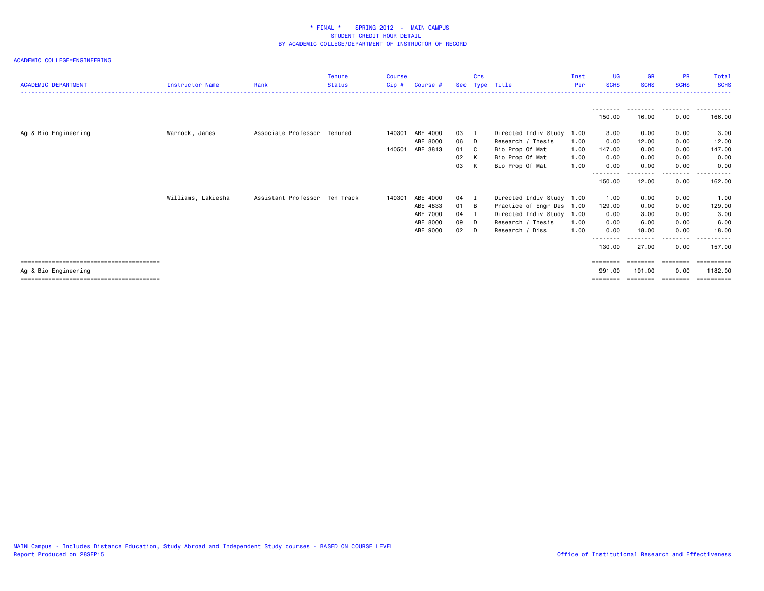|                            |                    |                               | <b>Tenure</b> | <b>Course</b> |          |     | Crs            |                           | Inst | <b>UG</b>          | <b>GR</b>   | <b>PR</b>   | Total                |
|----------------------------|--------------------|-------------------------------|---------------|---------------|----------|-----|----------------|---------------------------|------|--------------------|-------------|-------------|----------------------|
| <b>ACADEMIC DEPARTMENT</b> | Instructor Name    | Rank                          | <b>Status</b> | Cip#          | Course # | Sec |                | Type Title                | Per  | <b>SCHS</b>        | <b>SCHS</b> | <b>SCHS</b> | <b>SCHS</b>          |
|                            |                    |                               |               |               |          |     |                |                           |      |                    |             |             |                      |
|                            |                    |                               |               |               |          |     |                |                           |      |                    |             |             |                      |
|                            |                    |                               |               |               |          |     |                |                           |      | 150.00             | 16.00       | 0.00        | 166,00               |
| Ag & Bio Engineering       | Warnock, James     | Associate Professor Tenured   |               | 140301        | ABE 4000 | 03  |                | Directed Indiv Study      | 1.00 | 3.00               | 0.00        | 0.00        | 3.00                 |
|                            |                    |                               |               |               | ABE 8000 | 06  | D              | Research / Thesis         | 1.00 | 0.00               | 12.00       | 0.00        | 12.00                |
|                            |                    |                               |               | 140501        | ABE 3813 | 01  | $\mathbf{C}$   | Bio Prop Of Mat           | 1.00 | 147.00             | 0.00        | 0.00        | 147.00               |
|                            |                    |                               |               |               |          | 02  | K              | Bio Prop Of Mat           | 1.00 | 0.00               | 0.00        | 0.00        | 0.00                 |
|                            |                    |                               |               |               |          | 03  | K              | Bio Prop Of Mat           | 1.00 | 0.00               | 0.00        | 0.00        | 0.00                 |
|                            |                    |                               |               |               |          |     |                |                           |      | --------<br>150.00 | 12.00       | .<br>0.00   | .<br>$  -$<br>162.00 |
|                            | Williams, Lakiesha | Assistant Professor Ten Track |               | 140301        | ABE 4000 | 04  |                | Directed Indiv Study 1.00 |      | 1.00               | 0.00        | 0.00        | 1.00                 |
|                            |                    |                               |               |               | ABE 4833 | 01  | $\overline{B}$ | Practice of Engr Des 1.00 |      | 129.00             | 0.00        | 0.00        | 129.00               |
|                            |                    |                               |               |               | ABE 7000 | 04  | $\mathbf I$    | Directed Indiv Study 1.00 |      | 0.00               | 3.00        | 0.00        | 3.00                 |
|                            |                    |                               |               |               | ABE 8000 | 09  | D.             | Research / Thesis         | 1.00 | 0.00               | 6.00        | 0.00        | 6.00                 |
|                            |                    |                               |               |               | ABE 9000 | 02  | D.             | Research / Diss           | 1.00 | 0.00               | 18.00       | 0.00        | 18.00                |
|                            |                    |                               |               |               |          |     |                |                           |      | --------           |             | $\cdots$    |                      |
|                            |                    |                               |               |               |          |     |                |                           |      | 130.00             | 27.00       | 0.00        | 157.00               |
|                            |                    |                               |               |               |          |     |                |                           |      | ========           |             | ========    | ==========           |
| Ag & Bio Engineering       |                    |                               |               |               |          |     |                |                           |      | 991.00             | 191.00      | 0.00        | 1182.00              |
|                            |                    |                               |               |               |          |     |                |                           |      | ========           | ========    | ---------   | ==========           |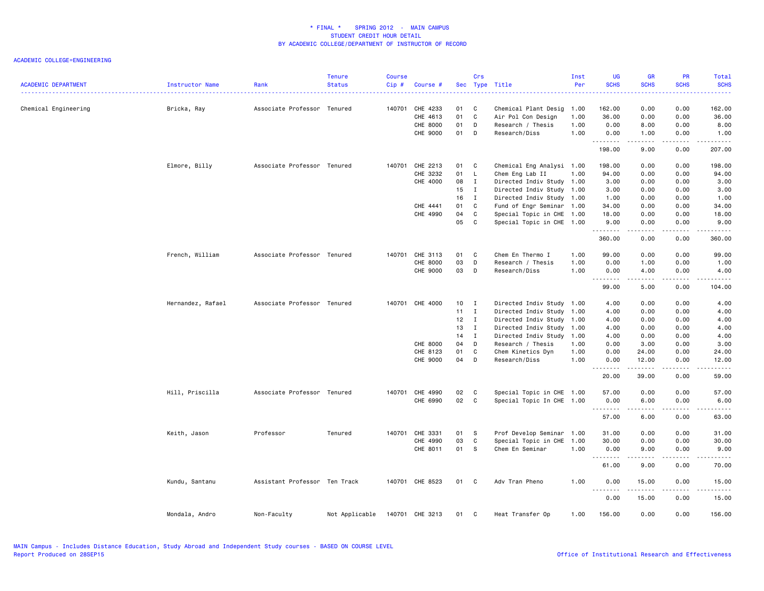| <b>ACADEMIC DEPARTMENT</b> | Instructor Name   | Rank                          | <b>Tenure</b><br><b>Status</b> | <b>Course</b><br>Cip# | Course #        |      | Crs          | Sec Type Title            | Inst<br>Per | <b>UG</b><br><b>SCHS</b> | <b>GR</b><br><b>SCHS</b> | PR<br><b>SCHS</b>     | Total<br><b>SCHS</b>                                                                                                                                           |
|----------------------------|-------------------|-------------------------------|--------------------------------|-----------------------|-----------------|------|--------------|---------------------------|-------------|--------------------------|--------------------------|-----------------------|----------------------------------------------------------------------------------------------------------------------------------------------------------------|
| Chemical Engineering       | Bricka, Ray       | Associate Professor Tenured   |                                | 140701                | CHE 4233        | 01   | C            | Chemical Plant Desig      | 1.00        | 162.00                   | 0.00                     | 0.00                  | 162.00                                                                                                                                                         |
|                            |                   |                               |                                |                       | CHE 4613        | 01   | C            | Air Pol Con Design        | 1.00        | 36.00                    | 0.00                     | 0.00                  | 36.00                                                                                                                                                          |
|                            |                   |                               |                                |                       | CHE 8000        | 01   | D            | Research / Thesis         | 1.00        | 0.00                     | 8.00                     | 0.00                  | 8.00                                                                                                                                                           |
|                            |                   |                               |                                |                       | CHE 9000        | 01   | D            | Research/Diss             | 1.00        | 0.00                     | 1.00                     | 0.00                  | 1.00                                                                                                                                                           |
|                            |                   |                               |                                |                       |                 |      |              |                           |             | .<br>198.00              | .<br>9.00                | د د د د<br>0.00       | ------<br>207.00                                                                                                                                               |
|                            | Elmore, Billy     | Associate Professor Tenured   |                                |                       | 140701 CHE 2213 | 01   | C            | Chemical Eng Analysi 1.00 |             | 198.00                   | 0.00                     | 0.00                  | 198.00                                                                                                                                                         |
|                            |                   |                               |                                |                       | CHE 3232        | 01   | L.           | Chem Eng Lab II           | 1.00        | 94.00                    | 0.00                     | 0.00                  | 94.00                                                                                                                                                          |
|                            |                   |                               |                                |                       | CHE 4000        | 08   | $\mathbf{I}$ | Directed Indiv Study 1.00 |             | 3.00                     | 0.00                     | 0.00                  | 3.00                                                                                                                                                           |
|                            |                   |                               |                                |                       |                 | 15   | $\mathbf{I}$ | Directed Indiv Study 1.00 |             | 3.00                     | 0.00                     | 0.00                  | 3.00                                                                                                                                                           |
|                            |                   |                               |                                |                       |                 | 16   | $\mathbf{I}$ | Directed Indiv Study 1.00 |             | 1.00                     | 0.00                     | 0.00                  | 1.00                                                                                                                                                           |
|                            |                   |                               |                                |                       | CHE 4441        | 01   | C            | Fund of Engr Seminar 1.00 |             | 34.00                    | 0.00                     | 0.00                  | 34.00                                                                                                                                                          |
|                            |                   |                               |                                |                       | CHE 4990        | 04   | C            | Special Topic in CHE      | 1.00        | 18.00                    | 0.00                     | 0.00                  | 18.00                                                                                                                                                          |
|                            |                   |                               |                                |                       |                 | 05   | C            | Special Topic in CHE 1.00 |             | 9.00<br>.                | 0.00<br>.                | 0.00<br>$\frac{1}{2}$ | 9.00<br>د د د د د                                                                                                                                              |
|                            |                   |                               |                                |                       |                 |      |              |                           |             | 360.00                   | 0.00                     | 0.00                  | 360.00                                                                                                                                                         |
|                            | French, William   | Associate Professor Tenured   |                                |                       | 140701 CHE 3113 | 01   | C            | Chem En Thermo I          | 1.00        | 99.00                    | 0.00                     | 0.00                  | 99.00                                                                                                                                                          |
|                            |                   |                               |                                |                       | CHE 8000        | 03   | D            | Research / Thesis         | 1.00        | 0.00                     | 1.00                     | 0.00                  | 1.00                                                                                                                                                           |
|                            |                   |                               |                                |                       | CHE 9000        | 03   | D            | Research/Diss             | 1.00        | 0.00                     | 4.00                     | 0.00                  | 4.00                                                                                                                                                           |
|                            |                   |                               |                                |                       |                 |      |              |                           |             | -----<br>99.00           | د د د د<br>5.00          | $- - - -$<br>0.00     | $\frac{1}{2} \left( \frac{1}{2} \right) \left( \frac{1}{2} \right) \left( \frac{1}{2} \right) \left( \frac{1}{2} \right) \left( \frac{1}{2} \right)$<br>104.00 |
|                            | Hernandez, Rafael | Associate Professor Tenured   |                                |                       | 140701 CHE 4000 | 10   | $\mathbf{I}$ | Directed Indiv Study 1.00 |             | 4.00                     | 0.00                     | 0.00                  | 4.00                                                                                                                                                           |
|                            |                   |                               |                                |                       |                 | 11   | $\mathbf{I}$ | Directed Indiv Study 1.00 |             | 4.00                     | 0.00                     | 0.00                  | 4.00                                                                                                                                                           |
|                            |                   |                               |                                |                       |                 | 12   | $\mathbf{I}$ | Directed Indiv Study 1.00 |             | 4.00                     | 0.00                     | 0.00                  | 4.00                                                                                                                                                           |
|                            |                   |                               |                                |                       |                 | 13   | $\mathbf{I}$ | Directed Indiv Study 1.00 |             | 4.00                     | 0.00                     | 0.00                  | 4.00                                                                                                                                                           |
|                            |                   |                               |                                |                       |                 | 14   | $\mathbf{I}$ | Directed Indiv Study 1.00 |             | 4.00                     | 0.00                     | 0.00                  | 4.00                                                                                                                                                           |
|                            |                   |                               |                                |                       | CHE 8000        | 04   | D            | Research / Thesis         | 1.00        | 0.00                     | 3.00                     | 0.00                  | 3.00                                                                                                                                                           |
|                            |                   |                               |                                |                       | CHE 8123        | 01   | C            | Chem Kinetics Dyn         | 1.00        | 0.00                     | 24.00                    | 0.00                  | 24.00                                                                                                                                                          |
|                            |                   |                               |                                |                       | CHE 9000        | 04   | D            | Research/Diss             | 1.00        | 0.00                     | 12.00                    | 0.00<br>.             | 12.00<br>المتمالي                                                                                                                                              |
|                            |                   |                               |                                |                       |                 |      |              |                           |             | .<br>20.00               | المتمامين<br>39.00       | 0.00                  | 59.00                                                                                                                                                          |
|                            | Hill, Priscilla   | Associate Professor Tenured   |                                |                       | 140701 CHE 4990 | 02   | C            | Special Topic in CHE 1.00 |             | 57.00                    | 0.00                     | 0.00                  | 57.00                                                                                                                                                          |
|                            |                   |                               |                                |                       | CHE 6990        | 02   | C            | Special Topic In CHE 1.00 |             | 0.00                     | 6.00                     | 0.00                  | 6.00                                                                                                                                                           |
|                            |                   |                               |                                |                       |                 |      |              |                           |             | .<br>57.00               | .<br>6.00                | -----<br>0.00         | .<br>63.00                                                                                                                                                     |
|                            | Keith, Jason      | Professor                     | Tenured                        | 140701                | CHE 3331        | 01   | - S          | Prof Develop Seminar      | 1.00        | 31.00                    | 0.00                     | 0.00                  | 31.00                                                                                                                                                          |
|                            |                   |                               |                                |                       | CHE 4990        | 03   | $\mathbf c$  | Special Topic in CHE      | 1.00        | 30.00                    | 0.00                     | 0.00                  | 30.00                                                                                                                                                          |
|                            |                   |                               |                                |                       | CHE 8011        | 01   | $\mathbf{s}$ | Chem En Seminar           | 1.00        | 0.00                     | 9.00                     | 0.00                  | 9.00                                                                                                                                                           |
|                            |                   |                               |                                |                       |                 |      |              |                           |             | .                        | .                        | .                     | .                                                                                                                                                              |
|                            |                   |                               |                                |                       |                 |      |              |                           |             | 61.00                    | 9.00                     | 0.00                  | 70.00                                                                                                                                                          |
|                            | Kundu, Santanu    | Assistant Professor Ten Track |                                |                       | 140701 CHE 8523 | 01 C |              | Adv Tran Pheno            | 1.00        | 0.00<br><u>.</u>         | 15.00<br>.               | 0.00<br>.             | 15.00<br>.                                                                                                                                                     |
|                            |                   |                               |                                |                       |                 |      |              |                           |             | 0.00                     | 15.00                    | 0.00                  | 15.00                                                                                                                                                          |
|                            | Mondala, Andro    | Non-Faculty                   | Not Applicable                 |                       | 140701 CHE 3213 | 01   | C            | Heat Transfer Op          | 1.00        | 156.00                   | 0.00                     | 0.00                  | 156.00                                                                                                                                                         |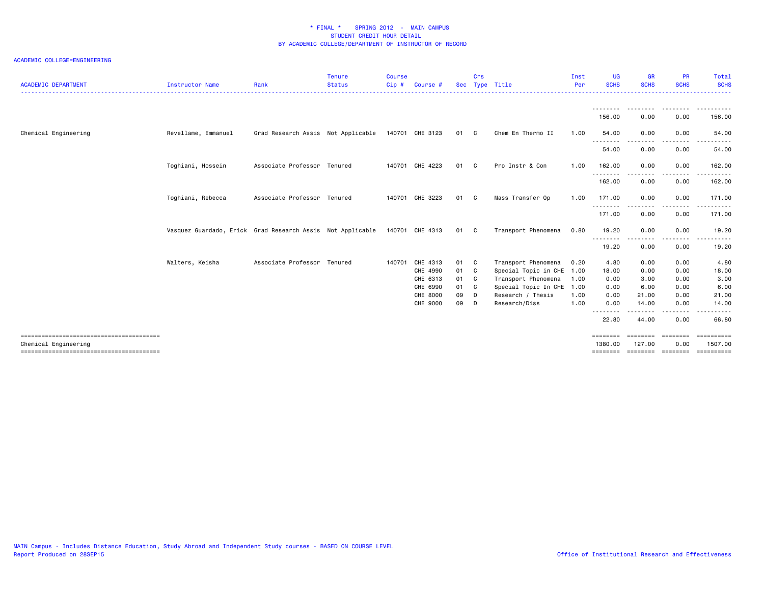| <b>ACADEMIC DEPARTMENT</b> | <b>Instructor Name</b>                                     | Rank                               | <b>Tenure</b><br><b>Status</b> | <b>Course</b><br>Cip# | Course #        |      | Crs | Sec Type Title            | Inst<br>Per | <b>UG</b><br><b>SCHS</b>           | <b>GR</b><br><b>SCHS</b> | <b>PR</b><br><b>SCHS</b>                                                                                                          | Total<br><b>SCHS</b>  |
|----------------------------|------------------------------------------------------------|------------------------------------|--------------------------------|-----------------------|-----------------|------|-----|---------------------------|-------------|------------------------------------|--------------------------|-----------------------------------------------------------------------------------------------------------------------------------|-----------------------|
|                            |                                                            |                                    |                                |                       |                 |      |     |                           |             | --------                           |                          | ---------                                                                                                                         | .                     |
|                            |                                                            |                                    |                                |                       |                 |      |     |                           |             | 156.00                             | 0.00                     | 0.00                                                                                                                              | 156.00                |
| Chemical Engineering       | Revellame, Emmanuel                                        | Grad Research Assis Not Applicable |                                |                       | 140701 CHE 3123 | 01 C |     | Chem En Thermo II         | 1.00        | 54,00<br>- - - - - - - -           | 0.00                     | 0.00                                                                                                                              | 54.00                 |
|                            |                                                            |                                    |                                |                       |                 |      |     |                           |             | 54.00                              | 0.00                     | 0.00                                                                                                                              | 54.00                 |
|                            | Toghiani, Hossein                                          | Associate Professor Tenured        |                                |                       | 140701 CHE 4223 | 01 C |     | Pro Instr & Con           | 1.00        | 162.00                             | 0.00                     | 0.00                                                                                                                              | 162.00                |
|                            |                                                            |                                    |                                |                       |                 |      |     |                           |             | .<br>162.00                        | 0.00                     | $\frac{1}{2} \left( \frac{1}{2} \right) \left( \frac{1}{2} \right) \left( \frac{1}{2} \right) \left( \frac{1}{2} \right)$<br>0.00 | - - - - - -<br>162.00 |
|                            | Toghiani, Rebecca                                          | Associate Professor Tenured        |                                |                       | 140701 CHE 3223 | 01 C |     | Mass Transfer Op          | 1.00        | 171.00                             | 0.00                     | 0.00                                                                                                                              | 171.00                |
|                            |                                                            |                                    |                                |                       |                 |      |     |                           |             | - - - - - - - - <b>-</b><br>171.00 | 0.00                     | 0.00                                                                                                                              | 171.00                |
|                            | Vasquez Guardado, Erick Grad Research Assis Not Applicable |                                    |                                |                       | 140701 CHE 4313 | 01 C |     | Transport Phenomena       | 0.80        | 19.20                              | 0.00                     | 0.00                                                                                                                              | 19.20                 |
|                            |                                                            |                                    |                                |                       |                 |      |     |                           |             | $- - -$<br>19.20                   | 0.00                     | 0.00                                                                                                                              | 19.20                 |
|                            | Walters, Keisha                                            | Associate Professor Tenured        |                                |                       | 140701 CHE 4313 | 01 C |     | Transport Phenomena       | 0.20        | 4.80                               | 0.00                     | 0.00                                                                                                                              | 4.80                  |
|                            |                                                            |                                    |                                |                       | CHE 4990        | 01 C |     | Special Topic in CHE 1.00 |             | 18.00                              | 0.00                     | 0.00                                                                                                                              | 18.00                 |
|                            |                                                            |                                    |                                |                       | CHE 6313        | 01 C |     | Transport Phenomena       | 1.00        | 0.00                               | 3.00                     | 0.00                                                                                                                              | 3.00                  |
|                            |                                                            |                                    |                                |                       | CHE 6990        | 01 C |     | Special Topic In CHE 1.00 |             | 0.00                               | 6.00                     | 0.00                                                                                                                              | 6.00                  |
|                            |                                                            |                                    |                                |                       | CHE 8000        | 09   | D   | Research / Thesis         | 1.00        | 0.00                               | 21.00                    | 0.00                                                                                                                              | 21.00                 |
|                            |                                                            |                                    |                                |                       | CHE 9000        | 09   | D   | Research/Diss             | 1.00        | 0.00                               | 14.00                    | 0.00                                                                                                                              | 14.00                 |
|                            |                                                            |                                    |                                |                       |                 |      |     |                           |             | --------<br>22.80                  | 44.00                    | 0.00                                                                                                                              | 66.80                 |
|                            |                                                            |                                    |                                |                       |                 |      |     |                           |             | ========                           | ========                 | ========                                                                                                                          | ==========            |
| Chemical Engineering       |                                                            |                                    |                                |                       |                 |      |     |                           |             | 1380.00<br>========                | 127,00<br>========       | 0.00<br>========                                                                                                                  | 1507.00<br>========== |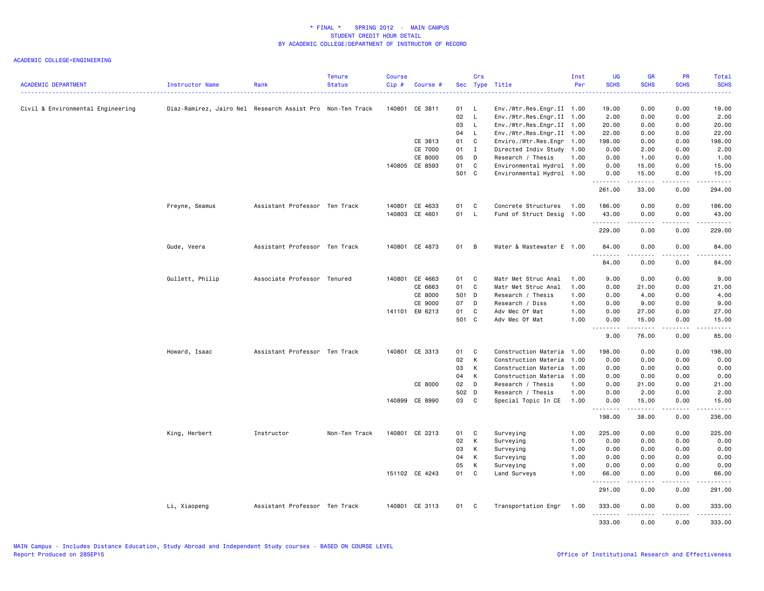| <b>ACADEMIC DEPARTMENT</b>        | Instructor Name                                           | Rank                          | <b>Tenure</b><br><b>Status</b> | <b>Course</b><br>Cip# | Course #       |       | Crs            | Sec Type Title            | Inst<br>Per | UG<br><b>SCHS</b>  | <b>GR</b><br><b>SCHS</b>                                                                                                                                      | PR<br><b>SCHS</b>                                                                                                                 | Total<br><b>SCHS</b>                                                                                                           |
|-----------------------------------|-----------------------------------------------------------|-------------------------------|--------------------------------|-----------------------|----------------|-------|----------------|---------------------------|-------------|--------------------|---------------------------------------------------------------------------------------------------------------------------------------------------------------|-----------------------------------------------------------------------------------------------------------------------------------|--------------------------------------------------------------------------------------------------------------------------------|
|                                   |                                                           |                               |                                |                       |                |       |                |                           |             |                    |                                                                                                                                                               |                                                                                                                                   |                                                                                                                                |
| Civil & Environmental Engineering | Diaz-Ramirez, Jairo Nel Research Assist Pro Non-Ten Track |                               |                                |                       | 140801 CE 3811 | 01    | - L            | Env./Wtr.Res.Engr.II 1.00 |             | 19.00              | 0.00                                                                                                                                                          | 0.00                                                                                                                              | 19.00                                                                                                                          |
|                                   |                                                           |                               |                                |                       |                | 02    | $\mathsf{L}$   | Env./Wtr.Res.Engr.II 1.00 |             | 2.00               | 0.00                                                                                                                                                          | 0.00                                                                                                                              | 2.00                                                                                                                           |
|                                   |                                                           |                               |                                |                       |                | 03    | $\mathsf{L}$   | Env./Wtr.Res.Engr.II 1.00 |             | 20.00              | 0.00                                                                                                                                                          | 0.00                                                                                                                              | 20.00                                                                                                                          |
|                                   |                                                           |                               |                                |                       |                | 04    | $\mathsf{L}$   | Env./Wtr.Res.Engr.II 1.00 |             | 22.00              | 0.00                                                                                                                                                          | 0.00                                                                                                                              | 22.00                                                                                                                          |
|                                   |                                                           |                               |                                |                       | CE 3813        | 01    | C              | Enviro./Wtr.Res.Engr 1.00 |             | 198.00             | 0.00                                                                                                                                                          | 0.00                                                                                                                              | 198.00                                                                                                                         |
|                                   |                                                           |                               |                                |                       | CE 7000        | 01    | $\mathbf{I}$   | Directed Indiv Study 1.00 |             | 0.00               | 2.00                                                                                                                                                          | 0.00                                                                                                                              | 2.00                                                                                                                           |
|                                   |                                                           |                               |                                |                       | CE 8000        | 05    | D              | Research / Thesis         | 1.00        | 0.00               | 1.00                                                                                                                                                          | 0.00                                                                                                                              | 1.00                                                                                                                           |
|                                   |                                                           |                               |                                |                       | 140805 CE 8593 | 01    | C              | Environmental Hydrol 1.00 |             | 0.00               | 15.00                                                                                                                                                         | 0.00                                                                                                                              | 15.00                                                                                                                          |
|                                   |                                                           |                               |                                |                       |                | 501 C |                | Environmental Hydrol 1.00 |             | 0.00<br>.          | 15.00<br>.                                                                                                                                                    | 0.00<br><u>.</u>                                                                                                                  | 15.00<br>.                                                                                                                     |
|                                   |                                                           |                               |                                |                       |                |       |                |                           |             | 261.00             | 33.00                                                                                                                                                         | 0.00                                                                                                                              | 294.00                                                                                                                         |
|                                   | Freyne, Seamus                                            | Assistant Professor Ten Track |                                |                       | 140801 CE 4633 | 01    | C              | Concrete Structures       | 1.00        | 186.00             | 0.00                                                                                                                                                          | 0.00                                                                                                                              | 186.00                                                                                                                         |
|                                   |                                                           |                               |                                |                       | 140803 CE 4601 | 01 L  |                | Fund of Struct Desig      | 1.00        | 43.00<br>.         | 0.00<br>.                                                                                                                                                     | 0.00<br>.                                                                                                                         | 43.00<br>$\begin{array}{cccccccccc} \bullet & \bullet & \bullet & \bullet & \bullet & \bullet & \bullet & \bullet \end{array}$ |
|                                   |                                                           |                               |                                |                       |                |       |                |                           |             | 229.00             | 0.00                                                                                                                                                          | 0.00                                                                                                                              | 229.00                                                                                                                         |
|                                   | Gude, Veera                                               | Assistant Professor Ten Track |                                |                       | 140801 CE 4873 | 01    | $\overline{B}$ | Water & Wastewater E 1.00 |             | 84.00<br>.         | 0.00                                                                                                                                                          | 0.00<br>.                                                                                                                         | 84.00<br>.                                                                                                                     |
|                                   |                                                           |                               |                                |                       |                |       |                |                           |             | 84.00              | 0.00                                                                                                                                                          | 0.00                                                                                                                              | 84.00                                                                                                                          |
|                                   | Gullett, Philip                                           | Associate Professor Tenured   |                                | 140801                | CE 4663        | 01    | C              | Matr Met Struc Anal       | 1.00        | 9.00               | 0.00                                                                                                                                                          | 0.00                                                                                                                              | 9.00                                                                                                                           |
|                                   |                                                           |                               |                                |                       | CE 6663        | 01    | C              | Matr Met Struc Anal       | 1.00        | 0.00               | 21.00                                                                                                                                                         | 0.00                                                                                                                              | 21.00                                                                                                                          |
|                                   |                                                           |                               |                                |                       | CE 8000        | 501 D |                | Research / Thesis         | 1.00        | 0.00               | 4.00                                                                                                                                                          | 0.00                                                                                                                              | 4.00                                                                                                                           |
|                                   |                                                           |                               |                                |                       | CE 9000        | 07    | D              | Research / Diss           | 1.00        | 0.00               | 9.00                                                                                                                                                          | 0.00                                                                                                                              | 9.00                                                                                                                           |
|                                   |                                                           |                               |                                |                       | 141101 EM 6213 | 01    | C              | Adv Mec Of Mat            | 1.00        | 0.00               | 27.00                                                                                                                                                         | 0.00                                                                                                                              | 27.00                                                                                                                          |
|                                   |                                                           |                               |                                |                       |                | 501 C |                | Adv Mec Of Mat            | 1.00        | 0.00<br><u>.</u>   | 15.00<br>.                                                                                                                                                    | 0.00<br>.                                                                                                                         | 15.00<br>.                                                                                                                     |
|                                   |                                                           |                               |                                |                       |                |       |                |                           |             | 9.00               | 76.00                                                                                                                                                         | 0.00                                                                                                                              | 85.00                                                                                                                          |
|                                   | Howard, Isaac                                             | Assistant Professor Ten Track |                                |                       | 140801 CE 3313 | 01    | C              | Construction Materia      | 1.00        | 198.00             | 0.00                                                                                                                                                          | 0.00                                                                                                                              | 198.00                                                                                                                         |
|                                   |                                                           |                               |                                |                       |                | 02    | K              | Construction Materia      | 1.00        | 0.00               | 0.00                                                                                                                                                          | 0.00                                                                                                                              | 0.00                                                                                                                           |
|                                   |                                                           |                               |                                |                       |                | 03    | K              | Construction Materia      | 1.00        | 0.00               | 0.00                                                                                                                                                          | 0.00                                                                                                                              | 0.00                                                                                                                           |
|                                   |                                                           |                               |                                |                       |                | 04    | K              | Construction Materia      | 1.00        | 0.00               | 0.00                                                                                                                                                          | 0.00                                                                                                                              | 0.00                                                                                                                           |
|                                   |                                                           |                               |                                |                       | CE 8000        | 02    | D              | Research / Thesis         | 1.00        | 0.00               | 21.00                                                                                                                                                         | 0.00                                                                                                                              | 21.00                                                                                                                          |
|                                   |                                                           |                               |                                |                       |                | 502 D |                | Research / Thesis         | 1.00        | 0.00               | 2.00                                                                                                                                                          | 0.00                                                                                                                              | 2.00                                                                                                                           |
|                                   |                                                           |                               |                                |                       | 140899 CE 8990 | 03    | C              | Special Topic In CE       | 1.00        | 0.00<br>. <b>.</b> | 15.00<br>$\frac{1}{2} \left( \frac{1}{2} \right) \left( \frac{1}{2} \right) \left( \frac{1}{2} \right) \left( \frac{1}{2} \right) \left( \frac{1}{2} \right)$ | 0.00<br>.                                                                                                                         | 15.00<br>ه د د د د                                                                                                             |
|                                   |                                                           |                               |                                |                       |                |       |                |                           |             | 198.00             | 38.00                                                                                                                                                         | 0.00                                                                                                                              | 236.00                                                                                                                         |
|                                   | King, Herbert                                             | Instructor                    | Non-Ten Track                  |                       | 140801 CE 2213 | 01    | C              | Surveying                 | 1.00        | 225.00             | 0.00                                                                                                                                                          | 0.00                                                                                                                              | 225.00                                                                                                                         |
|                                   |                                                           |                               |                                |                       |                | 02    | K              | Surveying                 | 1.00        | 0.00               | 0.00                                                                                                                                                          | 0.00                                                                                                                              | 0.00                                                                                                                           |
|                                   |                                                           |                               |                                |                       |                | 03    | К              | Surveying                 | 1.00        | 0.00               | 0.00                                                                                                                                                          | 0.00                                                                                                                              | 0.00                                                                                                                           |
|                                   |                                                           |                               |                                |                       |                | 04    | K              | Surveying                 | 1.00        | 0.00               | 0.00                                                                                                                                                          | 0.00                                                                                                                              | 0.00                                                                                                                           |
|                                   |                                                           |                               |                                |                       |                | 05    | K              | Surveying                 | 1.00        | 0.00               | 0.00                                                                                                                                                          | 0.00                                                                                                                              | 0.00                                                                                                                           |
|                                   |                                                           |                               |                                |                       | 151102 CE 4243 | 01    | C              | Land Surveys              | 1.00        | 66.00<br>.         | 0.00                                                                                                                                                          | 0.00<br>$\frac{1}{2} \left( \frac{1}{2} \right) \left( \frac{1}{2} \right) \left( \frac{1}{2} \right) \left( \frac{1}{2} \right)$ | 66.00                                                                                                                          |
|                                   |                                                           |                               |                                |                       |                |       |                |                           |             | 291.00             | 0.00                                                                                                                                                          | 0.00                                                                                                                              | 291.00                                                                                                                         |
|                                   | Li, Xiaopeng                                              | Assistant Professor Ten Track |                                |                       | 140801 CE 3113 | 01    | C.             | Transportation Engr       | 1.00        | 333.00<br>.        | 0.00<br>-----                                                                                                                                                 | 0.00<br>.                                                                                                                         | 333,00<br>.                                                                                                                    |
|                                   |                                                           |                               |                                |                       |                |       |                |                           |             | 333.00             | 0.00                                                                                                                                                          | 0.00                                                                                                                              | 333.00                                                                                                                         |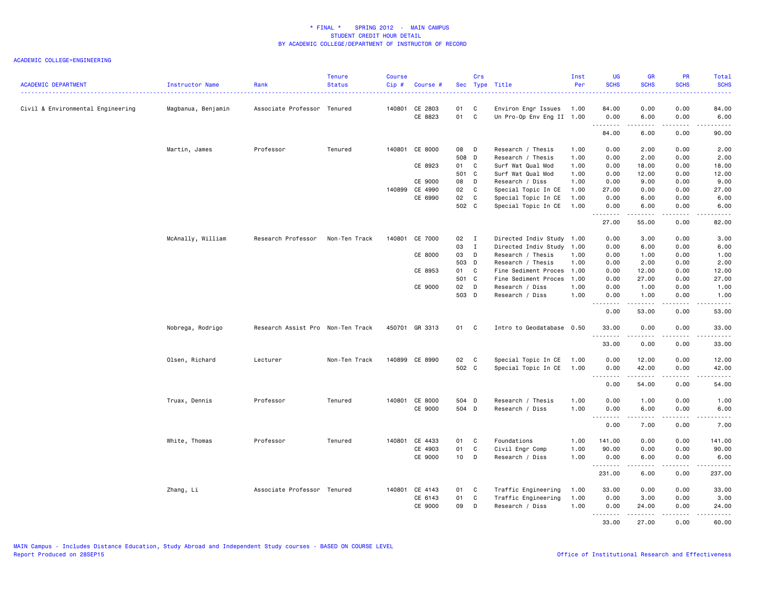| <b>ACADEMIC DEPARTMENT</b>        | Instructor Name    | Rank                              | <b>Tenure</b><br><b>Status</b> | <b>Course</b><br>Cip# | Course #                  |               | Crs              | Sec Type Title                                        | Inst<br>Per  | <b>UG</b><br><b>SCHS</b> | <b>GR</b><br><b>SCHS</b>                                                                                                                                     | PR<br><b>SCHS</b> | Total<br><b>SCHS</b><br>المتما                                                                                                                               |
|-----------------------------------|--------------------|-----------------------------------|--------------------------------|-----------------------|---------------------------|---------------|------------------|-------------------------------------------------------|--------------|--------------------------|--------------------------------------------------------------------------------------------------------------------------------------------------------------|-------------------|--------------------------------------------------------------------------------------------------------------------------------------------------------------|
| Civil & Environmental Engineering | Magbanua, Benjamin | Associate Professor Tenured       |                                |                       | 140801 CE 2803<br>CE 8823 | 01<br>01 C    | C                | Environ Engr Issues 1.00<br>Un Pro-Op Env Eng II 1.00 |              | 84.00<br>0.00            | 0.00<br>6.00                                                                                                                                                 | 0.00<br>0.00      | 84.00<br>6.00                                                                                                                                                |
|                                   |                    |                                   |                                |                       |                           |               |                  |                                                       |              | .                        | .                                                                                                                                                            | .                 | $\sim$ $\sim$ $\sim$ $\sim$                                                                                                                                  |
|                                   |                    |                                   |                                |                       |                           |               |                  |                                                       |              | 84.00                    | 6.00                                                                                                                                                         | 0.00              | 90.00                                                                                                                                                        |
|                                   | Martin, James      | Professor                         | Tenured                        |                       | 140801 CE 8000            | 08            | $\overline{D}$   | Research / Thesis                                     | 1.00         | 0.00                     | 2.00                                                                                                                                                         | 0.00              | 2.00                                                                                                                                                         |
|                                   |                    |                                   |                                |                       |                           | 508 D         |                  | Research / Thesis                                     | 1.00         | 0.00                     | 2.00                                                                                                                                                         | 0.00              | 2.00                                                                                                                                                         |
|                                   |                    |                                   |                                |                       | CE 8923                   | 01 C          |                  | Surf Wat Qual Mod                                     | 1.00         | 0.00                     | 18.00                                                                                                                                                        | 0.00              | 18.00                                                                                                                                                        |
|                                   |                    |                                   |                                |                       |                           | 501 C         |                  | Surf Wat Qual Mod                                     | 1.00         | 0.00                     | 12.00                                                                                                                                                        | 0.00              | 12.00                                                                                                                                                        |
|                                   |                    |                                   |                                |                       | CE 9000                   | 08            | D                | Research / Diss                                       | 1.00         | 0.00                     | 9.00                                                                                                                                                         | 0.00              | 9.00                                                                                                                                                         |
|                                   |                    |                                   |                                |                       | 140899 CE 4990            | 02            | $\mathbf{C}$     | Special Topic In CE                                   | 1.00         | 27.00                    | 0.00                                                                                                                                                         | 0.00              | 27.00                                                                                                                                                        |
|                                   |                    |                                   |                                |                       | CE 6990                   | 02            | $\mathbf{C}$     | Special Topic In CE                                   | 1.00         | 0.00                     | 6.00                                                                                                                                                         | 0.00              | 6.00                                                                                                                                                         |
|                                   |                    |                                   |                                |                       |                           | 502 C         |                  | Special Topic In CE                                   | 1.00         | 0.00<br>.                | 6.00<br>المتمامين                                                                                                                                            | 0.00<br>.         | 6.00<br>.                                                                                                                                                    |
|                                   |                    |                                   |                                |                       |                           |               |                  |                                                       |              | 27.00                    | 55.00                                                                                                                                                        | 0.00              | 82.00                                                                                                                                                        |
|                                   | McAnally, William  | Research Professor                | Non-Ten Track                  |                       | 140801 CE 7000            | $02 \qquad I$ |                  | Directed Indiv Study 1.00                             |              | 0.00                     | 3.00                                                                                                                                                         | 0.00              | 3.00                                                                                                                                                         |
|                                   |                    |                                   |                                |                       |                           | 03            | $\mathbf{I}$     | Directed Indiv Study                                  | 1.00         | 0.00                     | 6.00                                                                                                                                                         | 0.00              | 6.00                                                                                                                                                         |
|                                   |                    |                                   |                                |                       | CE 8000                   | 03            | D                | Research / Thesis                                     | 1.00         | 0.00                     | 1.00                                                                                                                                                         | 0.00              | 1.00                                                                                                                                                         |
|                                   |                    |                                   |                                |                       |                           | 503 D         |                  | Research / Thesis                                     | 1.00         | 0.00                     | 2.00                                                                                                                                                         | 0.00              | 2.00                                                                                                                                                         |
|                                   |                    |                                   |                                |                       | CE 8953                   | 01 C          |                  | Fine Sediment Proces 1.00                             |              | 0.00                     | 12.00                                                                                                                                                        | 0.00              | 12.00                                                                                                                                                        |
|                                   |                    |                                   |                                |                       |                           | 501 C         |                  | Fine Sediment Proces                                  | 1.00         | 0.00                     | 27.00                                                                                                                                                        | 0.00              | 27.00                                                                                                                                                        |
|                                   |                    |                                   |                                |                       | CE 9000                   | 02            | D                | Research / Diss                                       | 1.00         | 0.00                     | 1.00                                                                                                                                                         | 0.00              | 1.00                                                                                                                                                         |
|                                   |                    |                                   |                                |                       |                           | 503 D         |                  | Research / Diss                                       | 1.00         | 0.00<br>.                | 1.00<br>$\frac{1}{2} \left( \frac{1}{2} \right) \left( \frac{1}{2} \right) \left( \frac{1}{2} \right) \left( \frac{1}{2} \right) \left( \frac{1}{2} \right)$ | 0.00<br>.         | 1.00<br>$\frac{1}{2} \left( \frac{1}{2} \right) \left( \frac{1}{2} \right) \left( \frac{1}{2} \right) \left( \frac{1}{2} \right) \left( \frac{1}{2} \right)$ |
|                                   |                    |                                   |                                |                       |                           |               |                  |                                                       |              | 0.00                     | 53.00                                                                                                                                                        | 0.00              | 53.00                                                                                                                                                        |
|                                   | Nobrega, Rodrigo   | Research Assist Pro Non-Ten Track |                                |                       | 450701 GR 3313            | 01 C          |                  | Intro to Geodatabase 0.50                             |              | 33.00<br><u>.</u>        | 0.00<br>.                                                                                                                                                    | 0.00<br>.         | 33.00<br>.                                                                                                                                                   |
|                                   |                    |                                   |                                |                       |                           |               |                  |                                                       |              | 33.00                    | 0.00                                                                                                                                                         | 0.00              | 33.00                                                                                                                                                        |
|                                   | Olsen, Richard     | Lecturer                          | Non-Ten Track                  |                       | 140899 CE 8990            | 02            | $\mathbf{C}$     | Special Topic In CE                                   | 1.00         | 0.00                     | 12.00                                                                                                                                                        | 0.00              | 12.00                                                                                                                                                        |
|                                   |                    |                                   |                                |                       |                           | 502 C         |                  | Special Topic In CE                                   | 1.00         | 0.00<br>.                | 42.00                                                                                                                                                        | 0.00<br>.         | 42.00<br>.                                                                                                                                                   |
|                                   |                    |                                   |                                |                       |                           |               |                  |                                                       |              | 0.00                     | 54.00                                                                                                                                                        | 0.00              | 54.00                                                                                                                                                        |
|                                   | Truax, Dennis      | Professor                         | Tenured                        |                       | 140801 CE 8000            | 504 D         |                  | Research / Thesis                                     | 1.00         | 0.00                     | 1.00                                                                                                                                                         | 0.00              | 1.00                                                                                                                                                         |
|                                   |                    |                                   |                                |                       | CE 9000                   | 504 D         |                  | Research / Diss                                       | 1.00         | 0.00                     | 6.00                                                                                                                                                         | 0.00              | 6.00                                                                                                                                                         |
|                                   |                    |                                   |                                |                       |                           |               |                  |                                                       |              | .<br>0.00                | .<br>7.00                                                                                                                                                    | المتمالين<br>0.00 | .<br>7.00                                                                                                                                                    |
|                                   | White, Thomas      | Professor                         | Tenured                        |                       | 140801 CE 4433            | 01            | C                | Foundations                                           | 1.00         | 141.00                   | 0.00                                                                                                                                                         | 0.00              | 141.00                                                                                                                                                       |
|                                   |                    |                                   |                                |                       | CE 4903                   | 01            | C                | Civil Engr Comp                                       | 1.00         | 90.00                    | 0.00                                                                                                                                                         | 0.00              | 90.00                                                                                                                                                        |
|                                   |                    |                                   |                                |                       | CE 9000                   | $10$ D        |                  | Research / Diss                                       | 1.00         | 0.00                     | 6.00                                                                                                                                                         | 0.00              | 6.00                                                                                                                                                         |
|                                   |                    |                                   |                                |                       |                           |               |                  |                                                       |              | .<br>231.00              | 6.00                                                                                                                                                         | $- - - -$<br>0.00 | .<br>237.00                                                                                                                                                  |
|                                   |                    |                                   |                                |                       |                           |               |                  |                                                       |              |                          |                                                                                                                                                              |                   |                                                                                                                                                              |
|                                   | Zhang, Li          | Associate Professor Tenured       |                                |                       | 140801 CE 4143            | 01            | C<br>$\mathbf c$ | Traffic Engineering                                   | 1.00         | 33.00                    | 0.00                                                                                                                                                         | 0.00              | 33.00                                                                                                                                                        |
|                                   |                    |                                   |                                |                       | CE 6143<br>CE 9000        | 01<br>09      | D                | Traffic Engineering<br>Research / Diss                | 1.00<br>1.00 | 0.00<br>0.00             | 3.00<br>24.00                                                                                                                                                | 0.00<br>0.00      | 3.00<br>24.00                                                                                                                                                |
|                                   |                    |                                   |                                |                       |                           |               |                  |                                                       |              | .<br>33.00               | 27.00                                                                                                                                                        | .<br>0.00         | .<br>60.00                                                                                                                                                   |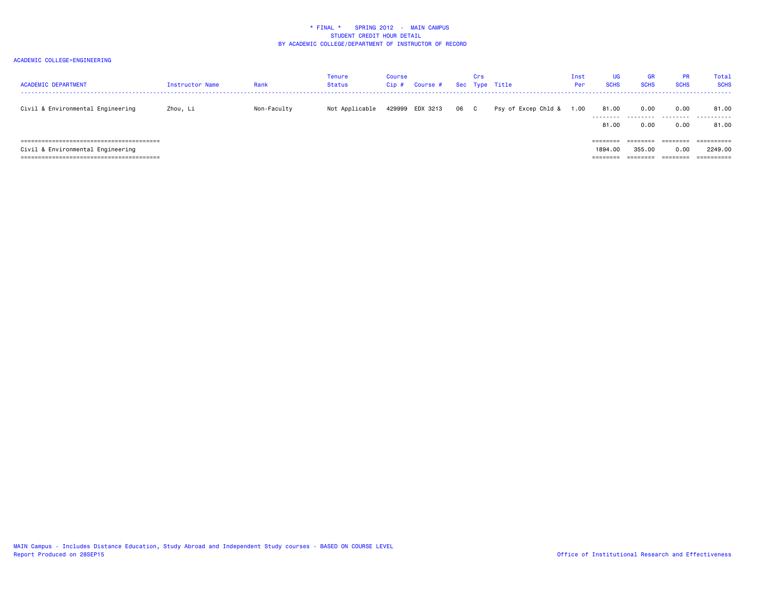| <b>ACADEMIC DEPARTMENT</b>        | Instructor Name | Rank        | Tenure<br>Status | Course<br>Cip# | Course #        |      | Crs | Sec Type Title      | Inst<br>Per | <b>UG</b><br><b>SCHS</b>        | <b>GR</b><br><b>SCHS</b>       | <b>PR</b><br><b>SCHS</b>     | Total<br><b>SCHS</b>                           |
|-----------------------------------|-----------------|-------------|------------------|----------------|-----------------|------|-----|---------------------|-------------|---------------------------------|--------------------------------|------------------------------|------------------------------------------------|
| Civil & Environmental Engineering | Zhou, Li        | Non-Faculty | Not Applicable   |                | 429999 EDX 3213 | 06 C |     | Psy of Excep Chld & | 1.00        | 81.00<br>.<br>81,00             | 0.00<br>.<br>0.00              | 0.00<br>.<br>0.00            | 81.00<br>.<br>81.00                            |
| Civil & Environmental Engineering |                 |             |                  |                |                 |      |     |                     |             | ========<br>1894.00<br>-------- | --------<br>355,00<br>-------- | ========<br>0.00<br>======== | ==========<br>2249.00<br>$=$ = = = = = = = = = |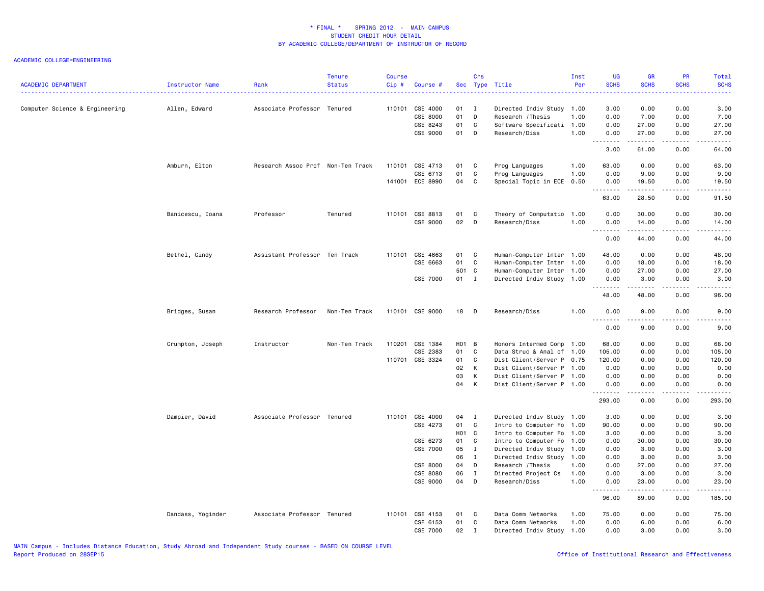| <b>ACADEMIC DEPARTMENT</b>     | Instructor Name   | Rank                              | <b>Tenure</b><br><b>Status</b> | <b>Course</b><br>Cip# | Course #             |                   | Crs               | Sec Type Title                       | Inst<br>Per  | <b>UG</b><br><b>SCHS</b> | <b>GR</b><br><b>SCHS</b>                                                                                                                                      | PR<br><b>SCHS</b> | <b>Total</b><br><b>SCHS</b>                                                                                                                                  |
|--------------------------------|-------------------|-----------------------------------|--------------------------------|-----------------------|----------------------|-------------------|-------------------|--------------------------------------|--------------|--------------------------|---------------------------------------------------------------------------------------------------------------------------------------------------------------|-------------------|--------------------------------------------------------------------------------------------------------------------------------------------------------------|
| Computer Science & Engineering | Allen, Edward     | Associate Professor Tenured       |                                | 110101                | CSE 4000             | 01                | $\blacksquare$    | Directed Indiv Study 1.00            |              | 3.00                     | 0.00                                                                                                                                                          | 0.00              | 3.00                                                                                                                                                         |
|                                |                   |                                   |                                |                       | CSE 8000             | 01                | D                 | Research / Thesis                    | 1.00         | 0.00                     | 7.00                                                                                                                                                          | 0.00              | 7.00                                                                                                                                                         |
|                                |                   |                                   |                                |                       | CSE 8243             | 01                | C                 | Software Specificati                 | 1.00         | 0.00                     | 27.00                                                                                                                                                         | 0.00              | 27.00                                                                                                                                                        |
|                                |                   |                                   |                                |                       | CSE 9000             | 01                | D                 | Research/Diss                        | 1.00         | 0.00                     | 27.00<br>.                                                                                                                                                    | 0.00<br>.         | 27.00<br>.                                                                                                                                                   |
|                                |                   |                                   |                                |                       |                      |                   |                   |                                      |              | 3.00                     | 61.00                                                                                                                                                         | 0.00              | 64.00                                                                                                                                                        |
|                                | Amburn, Elton     | Research Assoc Prof Non-Ten Track |                                |                       | 110101 CSE 4713      | 01                | C.                | Prog Languages                       | 1.00         | 63.00                    | 0.00                                                                                                                                                          | 0.00              | 63.00                                                                                                                                                        |
|                                |                   |                                   |                                |                       | CSE 6713             | 01                | C                 | Prog Languages                       | 1.00         | 0.00                     | 9.00                                                                                                                                                          | 0.00              | 9.00                                                                                                                                                         |
|                                |                   |                                   |                                |                       | 141001 ECE 8990      | 04                | C.                | Special Topic in ECE                 | 0.50         | 0.00<br>.                | 19.50<br>$\frac{1}{2} \left( \frac{1}{2} \right) \left( \frac{1}{2} \right) \left( \frac{1}{2} \right) \left( \frac{1}{2} \right) \left( \frac{1}{2} \right)$ | 0.00<br>.         | 19.50<br>.                                                                                                                                                   |
|                                |                   |                                   |                                |                       |                      |                   |                   |                                      |              | 63.00                    | 28.50                                                                                                                                                         | 0.00              | 91.50                                                                                                                                                        |
|                                | Banicescu, Ioana  | Professor                         | Tenured                        | 110101                | CSE 8813             | 01                | C                 | Theory of Computatio 1.00            |              | 0.00                     | 30.00                                                                                                                                                         | 0.00              | 30.00                                                                                                                                                        |
|                                |                   |                                   |                                |                       | CSE 9000             | 02                | D                 | Research/Diss                        | 1.00         | 0.00<br>.                | 14.00<br>المتمامين                                                                                                                                            | 0.00<br>الأعامات  | 14.00<br>المتمالين                                                                                                                                           |
|                                |                   |                                   |                                |                       |                      |                   |                   |                                      |              | 0.00                     | 44.00                                                                                                                                                         | 0.00              | 44.00                                                                                                                                                        |
|                                | Bethel, Cindy     | Assistant Professor Ten Track     |                                | 110101                | CSE 4663             | 01                | C                 | Human-Computer Inter 1.00            |              | 48.00                    | 0.00                                                                                                                                                          | 0.00              | 48.00                                                                                                                                                        |
|                                |                   |                                   |                                |                       | CSE 6663             | 01                | C                 | Human-Computer Inter 1.00            |              | 0.00                     | 18.00                                                                                                                                                         | 0.00              | 18.00                                                                                                                                                        |
|                                |                   |                                   |                                |                       |                      | 501               | C                 | Human-Computer Inter 1.00            |              | 0.00                     | 27.00                                                                                                                                                         | 0.00              | 27.00                                                                                                                                                        |
|                                |                   |                                   |                                |                       | CSE 7000             | 01                | $\mathbf{I}$      | Directed Indiv Study 1.00            |              | 0.00<br>.                | 3.00<br>$\frac{1}{2} \left( \frac{1}{2} \right) \left( \frac{1}{2} \right) \left( \frac{1}{2} \right) \left( \frac{1}{2} \right) \left( \frac{1}{2} \right)$  | 0.00<br>الدامات ب | 3.00<br>$\frac{1}{2} \left( \frac{1}{2} \right) \left( \frac{1}{2} \right) \left( \frac{1}{2} \right) \left( \frac{1}{2} \right) \left( \frac{1}{2} \right)$ |
|                                |                   |                                   |                                |                       |                      |                   |                   |                                      |              | 48.00                    | 48.00                                                                                                                                                         | 0.00              | 96.00                                                                                                                                                        |
|                                | Bridges, Susan    | Research Professor                | Non-Ten Track                  |                       | 110101 CSE 9000      | 18                | $\Box$            | Research/Diss                        | 1.00         | 0.00<br>- - - -          | 9.00                                                                                                                                                          | 0.00              | 9.00                                                                                                                                                         |
|                                |                   |                                   |                                |                       |                      |                   |                   |                                      |              | 0.00                     | 9.00                                                                                                                                                          | 0.00              | 9.00                                                                                                                                                         |
|                                | Crumpton, Joseph  | Instructor                        | Non-Ten Track                  | 110201                | CSE 1384             | H <sub>01</sub> B |                   | Honors Intermed Comp 1.00            |              | 68.00                    | 0.00                                                                                                                                                          | 0.00              | 68.00                                                                                                                                                        |
|                                |                   |                                   |                                |                       | CSE 2383             | 01                | C                 | Data Struc & Anal of 1.00            |              | 105.00                   | 0.00                                                                                                                                                          | 0.00              | 105.00                                                                                                                                                       |
|                                |                   |                                   |                                | 110701                | CSE 3324             | 01                | C                 | Dist Client/Server P 0.75            |              | 120.00                   | 0.00                                                                                                                                                          | 0.00              | 120.00                                                                                                                                                       |
|                                |                   |                                   |                                |                       |                      | 02                | К                 | Dist Client/Server P 1.00            |              | 0.00                     | 0.00                                                                                                                                                          | 0.00              | 0.00                                                                                                                                                         |
|                                |                   |                                   |                                |                       |                      | 03                | K                 | Dist Client/Server P 1.00            |              | 0.00                     | 0.00                                                                                                                                                          | 0.00              | 0.00                                                                                                                                                         |
|                                |                   |                                   |                                |                       |                      | 04                | K                 | Dist Client/Server P 1.00            |              | 0.00<br>.                | 0.00<br><u>.</u>                                                                                                                                              | 0.00<br>.         | 0.00<br><u>.</u>                                                                                                                                             |
|                                |                   |                                   |                                |                       |                      |                   |                   |                                      |              | 293.00                   | 0.00                                                                                                                                                          | 0.00              | 293.00                                                                                                                                                       |
|                                | Dampier, David    | Associate Professor Tenured       |                                | 110101                | CSE 4000             | 04                | I                 | Directed Indiv Study 1.00            |              | 3.00                     | 0.00                                                                                                                                                          | 0.00              | 3.00                                                                                                                                                         |
|                                |                   |                                   |                                |                       | CSE 4273             | 01                | C                 | Intro to Computer Fo                 | 1.00         | 90.00                    | 0.00                                                                                                                                                          | 0.00              | 90.00                                                                                                                                                        |
|                                |                   |                                   |                                |                       |                      | H <sub>01</sub> C |                   | Intro to Computer Fo                 | 1.00         | 3.00                     | 0.00                                                                                                                                                          | 0.00              | 3.00                                                                                                                                                         |
|                                |                   |                                   |                                |                       | CSE 6273             | 01                | C                 | Intro to Computer Fo                 | 1.00         | 0.00                     | 30.00                                                                                                                                                         | 0.00              | 30.00                                                                                                                                                        |
|                                |                   |                                   |                                |                       | CSE 7000             | 05                | $\mathbf{I}$      | Directed Indiv Study 1.00            |              | 0.00                     | 3.00                                                                                                                                                          | 0.00              | 3.00                                                                                                                                                         |
|                                |                   |                                   |                                |                       |                      | 06                | $\mathbf I$       | Directed Indiv Study 1.00            |              | 0.00                     | 3.00                                                                                                                                                          | 0.00              | 3.00                                                                                                                                                         |
|                                |                   |                                   |                                |                       | CSE 8000             | 04                | D                 | Research / Thesis                    | 1.00         | 0.00                     | 27.00                                                                                                                                                         | 0.00              | 27.00                                                                                                                                                        |
|                                |                   |                                   |                                |                       | CSE 8080<br>CSE 9000 | 06<br>04          | $\mathbf{I}$<br>D | Directed Project Cs<br>Research/Diss | 1.00<br>1.00 | 0.00<br>0.00             | 3.00<br>23.00                                                                                                                                                 | 0.00<br>0.00      | 3.00<br>23.00                                                                                                                                                |
|                                |                   |                                   |                                |                       |                      |                   |                   |                                      |              | .<br>96.00               | $\frac{1}{2} \left( \frac{1}{2} \right) \left( \frac{1}{2} \right) \left( \frac{1}{2} \right) \left( \frac{1}{2} \right) \left( \frac{1}{2} \right)$<br>89.00 | د د د د<br>0.00   | $\frac{1}{2} \left( \frac{1}{2} \right) \left( \frac{1}{2} \right) \left( \frac{1}{2} \right) \left( \frac{1}{2} \right)$<br>185.00                          |
|                                | Dandass, Yoginder | Associate Professor Tenured       |                                | 110101                | CSE 4153             | 01                | C.                | Data Comm Networks                   | 1.00         | 75.00                    | 0.00                                                                                                                                                          | 0.00              | 75.00                                                                                                                                                        |
|                                |                   |                                   |                                |                       | CSE 6153             | 01                | C                 | Data Comm Networks                   | 1.00         | 0.00                     | 6.00                                                                                                                                                          | 0.00              | 6.00                                                                                                                                                         |
|                                |                   |                                   |                                |                       | CSE 7000             | 02                | $\mathbf{I}$      | Directed Indiv Study 1.00            |              | 0.00                     | 3.00                                                                                                                                                          | 0.00              | 3.00                                                                                                                                                         |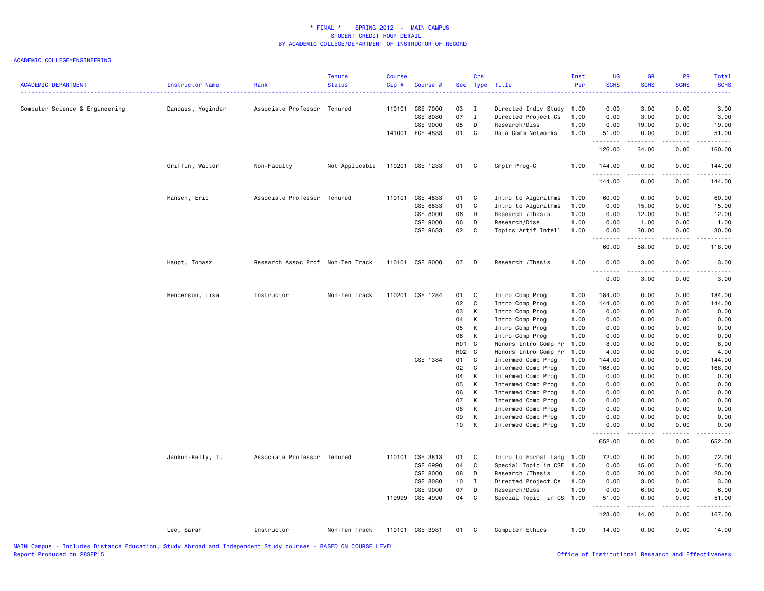| <b>ACADEMIC DEPARTMENT</b>     | Instructor Name   | Rank                              | <b>Tenure</b><br><b>Status</b> | <b>Course</b><br>Cip# | Course #        |                 | Crs               | Sec Type Title                           | Inst<br>Per  | UG<br><b>SCHS</b> | GR<br><b>SCHS</b> | PR<br><b>SCHS</b>     | Total<br><b>SCHS</b>                                                                                                                                                                     |
|--------------------------------|-------------------|-----------------------------------|--------------------------------|-----------------------|-----------------|-----------------|-------------------|------------------------------------------|--------------|-------------------|-------------------|-----------------------|------------------------------------------------------------------------------------------------------------------------------------------------------------------------------------------|
| Computer Science & Engineering | Dandass, Yoginder | Associate Professor Tenured       |                                | 110101                | CSE 7000        | 03              | $\mathbf{I}$      | Directed Indiv Study                     | 1.00         | 0.00              | 3.00              | 0.00                  | 3.00                                                                                                                                                                                     |
|                                |                   |                                   |                                |                       | CSE 8080        | 07              | $\mathbf{I}$      | Directed Project Cs                      | 1.00         | 0.00              | 3.00              | 0.00                  | 3.00                                                                                                                                                                                     |
|                                |                   |                                   |                                |                       | CSE 9000        | 05              | D                 | Research/Diss                            | 1.00         | 0.00              | 19.00             | 0.00                  | 19.00                                                                                                                                                                                    |
|                                |                   |                                   |                                |                       | 141001 ECE 4833 | 01              | C                 | Data Comm Networks                       | 1.00         | 51.00<br>.        | 0.00<br>د د د د د | 0.00<br>.             | 51.00<br>$\frac{1}{2} \left( \frac{1}{2} \right) \left( \frac{1}{2} \right) \left( \frac{1}{2} \right) \left( \frac{1}{2} \right) \left( \frac{1}{2} \right) \left( \frac{1}{2} \right)$ |
|                                |                   |                                   |                                |                       |                 |                 |                   |                                          |              | 126.00            | 34.00             | 0.00                  | 160.00                                                                                                                                                                                   |
|                                | Griffin, Walter   | Non-Faculty                       | Not Applicable                 |                       | 110201 CSE 1233 | 01              | $\mathbf{C}$      | Cmptr Prog-C                             | 1.00         | 144.00<br>.       | 0.00<br>.         | 0.00<br>$\frac{1}{2}$ | 144.00<br>.                                                                                                                                                                              |
|                                |                   |                                   |                                |                       |                 |                 |                   |                                          |              | 144.00            | 0.00              | 0.00                  | 144.00                                                                                                                                                                                   |
|                                | Hansen, Eric      | Associate Professor Tenured       |                                | 110101                | CSE 4833        | 01              | C                 | Intro to Algorithms                      | 1.00         | 60.00             | 0.00              | 0.00                  | 60.00                                                                                                                                                                                    |
|                                |                   |                                   |                                |                       | CSE 6833        | 01              | $\mathbf{C}$      | Intro to Algorithms                      | 1.00         | 0.00              | 15.00             | 0.00                  | 15.00                                                                                                                                                                                    |
|                                |                   |                                   |                                |                       | CSE 8000        | 06              | D                 | Research / Thesis                        | 1.00         | 0.00              | 12.00             | 0.00                  | 12.00                                                                                                                                                                                    |
|                                |                   |                                   |                                |                       | CSE 9000        | 06              | D                 | Research/Diss                            | 1.00         | 0.00              | 1.00              | 0.00                  | 1.00                                                                                                                                                                                     |
|                                |                   |                                   |                                |                       | CSE 9633        | 02              | C                 | Topics Artif Intell                      | 1.00         | 0.00<br>.         | 30.00<br>.        | 0.00<br>.             | 30.00<br>.                                                                                                                                                                               |
|                                |                   |                                   |                                |                       |                 |                 |                   |                                          |              | 60.00             | 58.00             | 0.00                  | 118.00                                                                                                                                                                                   |
|                                | Haupt, Tomasz     | Research Assoc Prof Non-Ten Track |                                |                       | 110101 CSE 8000 | 07 D            |                   | Research / Thesis                        | 1.00         | 0.00<br>.         | 3.00<br><b>.</b>  | 0.00<br>.             | 3.00<br>$\frac{1}{2}$                                                                                                                                                                    |
|                                |                   |                                   |                                |                       |                 |                 |                   |                                          |              | 0.00              | 3.00              | 0.00                  | 3.00                                                                                                                                                                                     |
|                                | Henderson, Lisa   | Instructor                        | Non-Ten Track                  |                       | 110201 CSE 1284 | 01              | C.                | Intro Comp Prog                          | 1.00         | 184.00            | 0.00              | 0.00                  | 184.00                                                                                                                                                                                   |
|                                |                   |                                   |                                |                       |                 | 02              | C.                | Intro Comp Prog                          | 1.00         | 144.00            | 0.00              | 0.00                  | 144.00                                                                                                                                                                                   |
|                                |                   |                                   |                                |                       |                 | 03              | K                 | Intro Comp Prog                          | 1.00         | 0.00              | 0.00              | 0.00                  | 0.00                                                                                                                                                                                     |
|                                |                   |                                   |                                |                       |                 | 04              | K                 | Intro Comp Prog                          | 1.00         | 0.00              | 0.00              | 0.00                  | 0.00                                                                                                                                                                                     |
|                                |                   |                                   |                                |                       |                 | 05              | K                 | Intro Comp Prog                          | 1.00         | 0.00              | 0.00              | 0.00                  | 0.00                                                                                                                                                                                     |
|                                |                   |                                   |                                |                       |                 | 06              | K                 | Intro Comp Prog                          | 1.00         | 0.00              | 0.00              | 0.00                  | 0.00                                                                                                                                                                                     |
|                                |                   |                                   |                                |                       |                 | H01 C           |                   | Honors Intro Comp Pr                     | 1.00         | 8.00              | 0.00              | 0.00                  | 8.00                                                                                                                                                                                     |
|                                |                   |                                   |                                |                       |                 | H02 C           |                   | Honors Intro Comp Pr                     | 1.00         | 4.00              | 0.00              | 0.00                  | 4.00                                                                                                                                                                                     |
|                                |                   |                                   |                                |                       | CSE 1384        | 01              | C.                | Intermed Comp Prog                       | 1.00         | 144.00            | 0.00              | 0.00                  | 144.00                                                                                                                                                                                   |
|                                |                   |                                   |                                |                       |                 | 02              | $\mathbf{C}$<br>K | Intermed Comp Prog                       | 1.00         | 168.00            | 0.00              | 0.00                  | 168.00                                                                                                                                                                                   |
|                                |                   |                                   |                                |                       |                 | 04<br>05        | K                 | Intermed Comp Prog<br>Intermed Comp Prog | 1.00<br>1.00 | 0.00<br>0.00      | 0.00<br>0.00      | 0.00<br>0.00          | 0.00<br>0.00                                                                                                                                                                             |
|                                |                   |                                   |                                |                       |                 | 06              | K                 | Intermed Comp Prog                       | 1.00         | 0.00              | 0.00              | 0.00                  | 0.00                                                                                                                                                                                     |
|                                |                   |                                   |                                |                       |                 | 07              | K                 | Intermed Comp Prog                       | 1.00         | 0.00              | 0.00              | 0.00                  | 0.00                                                                                                                                                                                     |
|                                |                   |                                   |                                |                       |                 | 08              | к                 | Intermed Comp Prog                       | 1.00         | 0.00              | 0.00              | 0.00                  | 0.00                                                                                                                                                                                     |
|                                |                   |                                   |                                |                       |                 | 09              | K                 | Intermed Comp Prog                       | 1.00         | 0.00              | 0.00              | 0.00                  | 0.00                                                                                                                                                                                     |
|                                |                   |                                   |                                |                       |                 | 10 <sup>1</sup> | K                 | Intermed Comp Prog                       | 1.00         | 0.00              | 0.00              | 0.00                  | 0.00                                                                                                                                                                                     |
|                                |                   |                                   |                                |                       |                 |                 |                   |                                          |              | .<br>652.00       | -----<br>0.00     | .<br>0.00             | .<br>652.00                                                                                                                                                                              |
|                                | Jankun-Kelly, T.  | Associate Professor Tenured       |                                | 110101                | CSE 3813        | 01              | $\mathbf{C}$      | Intro to Formal Lang 1.00                |              | 72.00             | 0.00              | 0.00                  | 72.00                                                                                                                                                                                    |
|                                |                   |                                   |                                |                       | CSE 6990        | 04              | C                 | Special Topic in CSE 1.00                |              | 0.00              | 15.00             | 0.00                  | 15.00                                                                                                                                                                                    |
|                                |                   |                                   |                                |                       | CSE 8000        | 08              | D                 | Research / Thesis                        | 1.00         | 0.00              | 20.00             | 0.00                  | 20.00                                                                                                                                                                                    |
|                                |                   |                                   |                                |                       | CSE 8080        | 10              | $\mathbf{I}$      | Directed Project Cs                      | 1.00         | 0.00              | 3.00              | 0.00                  | 3.00                                                                                                                                                                                     |
|                                |                   |                                   |                                |                       | CSE 9000        | 07              | D                 | Research/Diss                            | 1.00         | 0.00              | 6.00              | 0.00                  | 6.00                                                                                                                                                                                     |
|                                |                   |                                   |                                |                       | 119999 CSE 4990 | 04              | C.                | Special Topic in CS 1.00                 |              | 51.00<br>.        | 0.00<br>-----     | 0.00<br>.             | 51.00<br>.                                                                                                                                                                               |
|                                |                   |                                   |                                |                       |                 |                 |                   |                                          |              | 123.00            | 44.00             | 0.00                  | 167.00                                                                                                                                                                                   |
|                                | Lee, Sarah        | Instructor                        | Non-Ten Track                  |                       | 110101 CSE 3981 | 01              | $\mathbf{C}$      | Computer Ethics                          | 1.00         | 14.00             | 0.00              | 0.00                  | 14.00                                                                                                                                                                                    |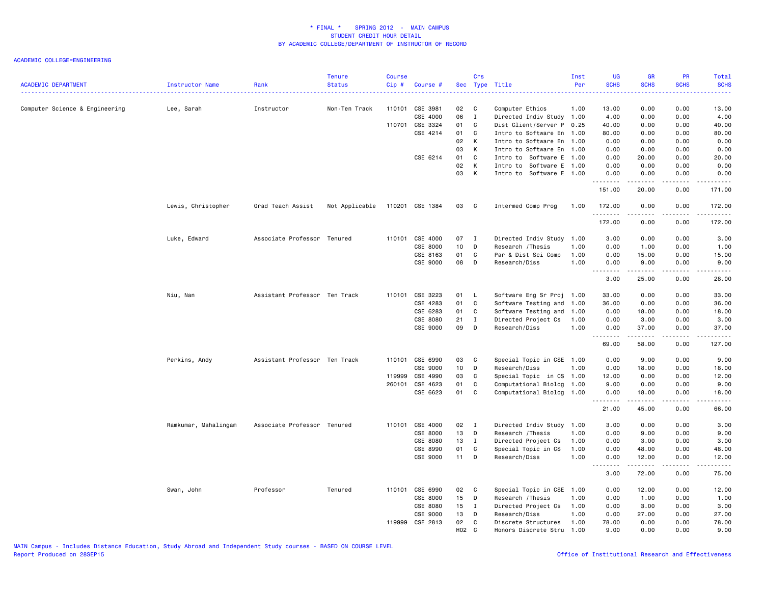| <b>ACADEMIC DEPARTMENT</b>     | Instructor Name      | Rank                          | <b>Tenure</b><br><b>Status</b> | <b>Course</b><br>Cip# | Course #        |              | Crs            | Sec Type Title            | Inst<br>Per | <b>UG</b><br><b>SCHS</b>                                       | <b>GR</b><br><b>SCHS</b>                                                                                                                                      | PR<br><b>SCHS</b><br>.       | Total<br><b>SCHS</b><br>22222                                                                                                                                 |
|--------------------------------|----------------------|-------------------------------|--------------------------------|-----------------------|-----------------|--------------|----------------|---------------------------|-------------|----------------------------------------------------------------|---------------------------------------------------------------------------------------------------------------------------------------------------------------|------------------------------|---------------------------------------------------------------------------------------------------------------------------------------------------------------|
| Computer Science & Engineering | Lee, Sarah           | Instructor                    | Non-Ten Track                  |                       | 110101 CSE 3981 | 02           | $\mathbf{C}$   | Computer Ethics           | 1.00        | 13.00                                                          | 0.00                                                                                                                                                          | 0.00                         | 13.00                                                                                                                                                         |
|                                |                      |                               |                                |                       | CSE 4000        | 06           | $\mathbf{I}$   | Directed Indiv Study 1.00 |             | 4.00                                                           | 0.00                                                                                                                                                          | 0.00                         | 4.00                                                                                                                                                          |
|                                |                      |                               |                                | 110701                | CSE 3324        | 01           | C              | Dist Client/Server P 0.25 |             | 40.00                                                          | 0.00                                                                                                                                                          | 0.00                         | 40.00                                                                                                                                                         |
|                                |                      |                               |                                |                       | CSE 4214        | 01           | C              | Intro to Software En 1.00 |             | 80.00                                                          | 0.00                                                                                                                                                          | 0.00                         | 80.00                                                                                                                                                         |
|                                |                      |                               |                                |                       |                 | 02           | Κ              | Intro to Software En 1.00 |             | 0.00                                                           | 0.00                                                                                                                                                          | 0.00                         | 0.00                                                                                                                                                          |
|                                |                      |                               |                                |                       |                 | 03           | K              | Intro to Software En 1.00 |             | 0.00                                                           | 0.00                                                                                                                                                          | 0.00                         | 0.00                                                                                                                                                          |
|                                |                      |                               |                                |                       | CSE 6214        | 01           | C              | Intro to Software E 1.00  |             | 0.00                                                           | 20.00                                                                                                                                                         | 0.00                         | 20.00                                                                                                                                                         |
|                                |                      |                               |                                |                       |                 | 02           | Κ              | Intro to Software E 1.00  |             | 0.00                                                           | 0.00                                                                                                                                                          | 0.00                         | 0.00                                                                                                                                                          |
|                                |                      |                               |                                |                       |                 | 03           | к              | Intro to Software E 1.00  |             | 0.00<br>.                                                      | 0.00<br>$\frac{1}{2} \left( \frac{1}{2} \right) \left( \frac{1}{2} \right) \left( \frac{1}{2} \right) \left( \frac{1}{2} \right) \left( \frac{1}{2} \right)$  | 0.00<br>.                    | 0.00<br>.                                                                                                                                                     |
|                                |                      |                               |                                |                       |                 |              |                |                           |             | 151.00                                                         | 20.00                                                                                                                                                         | 0.00                         | 171.00                                                                                                                                                        |
|                                | Lewis, Christopher   | Grad Teach Assist             | Not Applicable                 |                       | 110201 CSE 1384 | 03           | $\mathbf{C}$   | Intermed Comp Prog        | 1.00        | 172.00<br>.                                                    | 0.00                                                                                                                                                          | 0.00                         | 172.00<br>.                                                                                                                                                   |
|                                |                      |                               |                                |                       |                 |              |                |                           |             | 172.00                                                         | 0.00                                                                                                                                                          | 0.00                         | 172.00                                                                                                                                                        |
|                                | Luke, Edward         | Associate Professor Tenured   |                                |                       | 110101 CSE 4000 | 07           | $\blacksquare$ | Directed Indiv Study      | 1.00        | 3.00                                                           | 0.00                                                                                                                                                          | 0.00                         | 3.00                                                                                                                                                          |
|                                |                      |                               |                                |                       | CSE 8000        | 10           | D              | Research / Thesis         | 1.00        | 0.00                                                           | 1.00                                                                                                                                                          | 0.00                         | 1.00                                                                                                                                                          |
|                                |                      |                               |                                |                       | CSE 8163        | 01           | C              | Par & Dist Sci Comp       | 1.00        | 0.00                                                           | 15.00                                                                                                                                                         | 0.00                         | 15.00                                                                                                                                                         |
|                                |                      |                               |                                |                       | CSE 9000        | 08           | D              | Research/Diss             | 1.00        | 0.00                                                           | 9.00                                                                                                                                                          | 0.00                         | 9.00                                                                                                                                                          |
|                                |                      |                               |                                |                       |                 |              |                |                           |             | <u>.</u><br>3.00                                               | -----<br>25.00                                                                                                                                                | .<br>0.00                    | .<br>28.00                                                                                                                                                    |
|                                |                      |                               |                                |                       |                 |              |                |                           |             |                                                                |                                                                                                                                                               |                              |                                                                                                                                                               |
|                                | Niu, Nan             | Assistant Professor Ten Track |                                |                       | 110101 CSE 3223 | 01           | $\mathsf{L}$   | Software Eng Sr Proj 1.00 |             | 33.00                                                          | 0.00                                                                                                                                                          | 0.00                         | 33.00                                                                                                                                                         |
|                                |                      |                               |                                |                       | CSE 4283        | 01           | C              | Software Testing and      | 1.00        | 36.00                                                          | 0.00                                                                                                                                                          | 0.00                         | 36.00                                                                                                                                                         |
|                                |                      |                               |                                |                       | CSE 6283        | 01           | C              | Software Testing and      | 1.00        | 0.00                                                           | 18.00                                                                                                                                                         | 0.00                         | 18.00                                                                                                                                                         |
|                                |                      |                               |                                |                       | CSE 8080        | 21           | I              | Directed Project Cs       | 1.00        | 0.00                                                           | 3.00                                                                                                                                                          | 0.00                         | 3.00                                                                                                                                                          |
|                                |                      |                               |                                |                       | CSE 9000        | 09           | D              | Research/Diss             | 1.00        | 0.00<br><u>.</u>                                               | 37.00<br>.                                                                                                                                                    | 0.00<br>.                    | 37.00<br>.                                                                                                                                                    |
|                                |                      |                               |                                |                       |                 |              |                |                           |             | 69.00                                                          | 58.00                                                                                                                                                         | 0.00                         | 127.00                                                                                                                                                        |
|                                | Perkins, Andy        | Assistant Professor Ten Track |                                | 110101                | CSE 6990        | 03           | $\mathbf{C}$   | Special Topic in CSE 1.00 |             | 0.00                                                           | 9.00                                                                                                                                                          | 0.00                         | 9.00                                                                                                                                                          |
|                                |                      |                               |                                |                       | CSE 9000        | 10           | D              | Research/Diss             | 1.00        | 0.00                                                           | 18.00                                                                                                                                                         | 0.00                         | 18.00                                                                                                                                                         |
|                                |                      |                               |                                | 119999                | CSE 4990        | 03           | C              | Special Topic in CS 1.00  |             | 12.00                                                          | 0.00                                                                                                                                                          | 0.00                         | 12.00                                                                                                                                                         |
|                                |                      |                               |                                | 260101                | CSE 4623        | 01           | C              | Computational Biolog 1.00 |             | 9.00                                                           | 0.00                                                                                                                                                          | 0.00                         | 9.00                                                                                                                                                          |
|                                |                      |                               |                                |                       | CSE 6623        | 01           | C              | Computational Biolog 1.00 |             | 0.00<br>.                                                      | 18.00<br><u>.</u>                                                                                                                                             | 0.00<br>$- - -$              | 18.00<br>$\frac{1}{2} \left( \frac{1}{2} \right) \left( \frac{1}{2} \right) \left( \frac{1}{2} \right) \left( \frac{1}{2} \right) \left( \frac{1}{2} \right)$ |
|                                |                      |                               |                                |                       |                 |              |                |                           |             | 21.00                                                          | 45.00                                                                                                                                                         | 0.00                         | 66.00                                                                                                                                                         |
|                                | Ramkumar, Mahalingam | Associate Professor Tenured   |                                |                       | 110101 CSE 4000 | $02 \quad I$ |                | Directed Indiv Study 1.00 |             | 3.00                                                           | 0.00                                                                                                                                                          | 0.00                         | 3.00                                                                                                                                                          |
|                                |                      |                               |                                |                       | CSE 8000        | 13           | D              | Research / Thesis         | 1.00        | 0.00                                                           | 9.00                                                                                                                                                          | 0.00                         | 9.00                                                                                                                                                          |
|                                |                      |                               |                                |                       | CSE 8080        | 13           | $\mathbf{I}$   | Directed Project Cs       | 1.00        | 0.00                                                           | 3.00                                                                                                                                                          | 0.00                         | 3.00                                                                                                                                                          |
|                                |                      |                               |                                |                       | CSE 8990        | 01           | $\mathsf{C}$   | Special Topic in CS       | 1.00        | 0.00                                                           | 48.00                                                                                                                                                         | 0.00                         | 48.00                                                                                                                                                         |
|                                |                      |                               |                                |                       | CSE 9000        | 11           | D              | Research/Diss             | 1.00        | 0.00                                                           | 12.00                                                                                                                                                         | 0.00                         | 12.00                                                                                                                                                         |
|                                |                      |                               |                                |                       |                 |              |                |                           |             | $\omega_{\rm{eff}}$ and $\omega_{\rm{eff}}$<br>د د د د<br>3.00 | $\frac{1}{2} \left( \frac{1}{2} \right) \left( \frac{1}{2} \right) \left( \frac{1}{2} \right) \left( \frac{1}{2} \right) \left( \frac{1}{2} \right)$<br>72.00 | $\sim$ $\sim$ $\sim$<br>0.00 | $\sim$ $\sim$ $\sim$ $\sim$ $\sim$<br>75.00                                                                                                                   |
|                                | Swan, John           | Professor                     | Tenured                        |                       | 110101 CSE 6990 | 02 C         |                | Special Topic in CSE      | 1.00        | 0.00                                                           | 12.00                                                                                                                                                         | 0.00                         | 12.00                                                                                                                                                         |
|                                |                      |                               |                                |                       | CSE 8000        | 15           | D              | Research / Thesis         | 1.00        | 0.00                                                           | 1.00                                                                                                                                                          | 0.00                         | 1.00                                                                                                                                                          |
|                                |                      |                               |                                |                       | CSE 8080        | 15           | $\mathbf{I}$   | Directed Project Cs       | 1.00        | 0.00                                                           | 3.00                                                                                                                                                          | 0.00                         | 3.00                                                                                                                                                          |
|                                |                      |                               |                                |                       | CSE 9000        | 13           | D              | Research/Diss             | 1.00        | 0.00                                                           | 27.00                                                                                                                                                         | 0.00                         | 27.00                                                                                                                                                         |
|                                |                      |                               |                                | 119999                | CSE 2813        | 02           | C              | Discrete Structures       | 1.00        | 78.00                                                          | 0.00                                                                                                                                                          | 0.00                         | 78.00                                                                                                                                                         |
|                                |                      |                               |                                |                       |                 | H02 C        |                | Honors Discrete Stru      | 1.00        | 9.00                                                           | 0.00                                                                                                                                                          | 0.00                         | 9.00                                                                                                                                                          |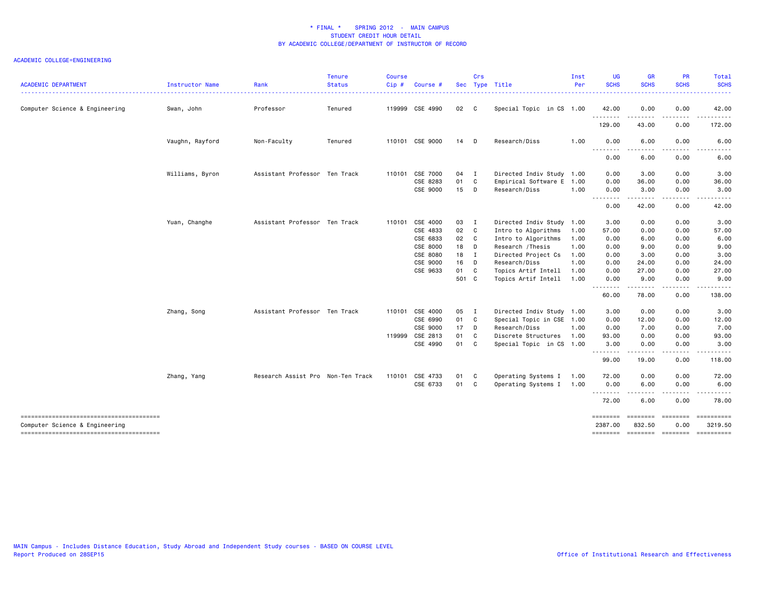| <b>ACADEMIC DEPARTMENT</b>                                               | Instructor Name | Rank                              | <b>Tenure</b><br><b>Status</b> | <b>Course</b><br>Cip# | Course #        |       | Crs          | Sec Type Title            | Inst<br>Per | <b>UG</b><br><b>SCHS</b> | <b>GR</b><br><b>SCHS</b> | <b>PR</b><br><b>SCHS</b> | Total<br><b>SCHS</b>  |
|--------------------------------------------------------------------------|-----------------|-----------------------------------|--------------------------------|-----------------------|-----------------|-------|--------------|---------------------------|-------------|--------------------------|--------------------------|--------------------------|-----------------------|
| Computer Science & Engineering                                           | Swan, John      | Professor                         | Tenured                        |                       | 119999 CSE 4990 | 02 C  |              | Special Topic in CS 1.00  |             | 42.00                    | 0.00                     | 0.00                     | 42.00                 |
|                                                                          |                 |                                   |                                |                       |                 |       |              |                           |             | .<br>129.00              | .<br>43.00               | $\cdots$<br>0.00         | .<br>172.00           |
|                                                                          | Vaughn, Rayford | Non-Faculty                       | Tenured                        |                       | 110101 CSE 9000 | 14 D  |              | Research/Diss             | 1.00        | 0.00<br>$\frac{1}{2}$    | 6.00                     | 0.00                     | 6.00                  |
|                                                                          |                 |                                   |                                |                       |                 |       |              |                           |             | 0.00                     | 6.00                     | 0.00                     | 6.00                  |
|                                                                          | Williams, Byron | Assistant Professor Ten Track     |                                | 110101                | CSE 7000        | 04    | <b>I</b>     | Directed Indiv Study 1.00 |             | 0.00                     | 3.00                     | 0.00                     | 3.00                  |
|                                                                          |                 |                                   |                                |                       | CSE 8283        | 01 C  |              | Empirical Software E 1.00 |             | 0.00                     | 36.00                    | 0.00                     | 36.00                 |
|                                                                          |                 |                                   |                                |                       | CSE 9000        | 15    | $\Box$       | Research/Diss             | 1.00        | 0.00<br>.                | 3.00<br>.                | 0.00<br>.                | 3.00<br>.             |
|                                                                          |                 |                                   |                                |                       |                 |       |              |                           |             | 0.00                     | 42.00                    | 0.00                     | 42.00                 |
|                                                                          | Yuan, Changhe   | Assistant Professor Ten Track     |                                | 110101                | CSE 4000        | 03    | I            | Directed Indiv Study 1.00 |             | 3.00                     | 0.00                     | 0.00                     | 3.00                  |
|                                                                          |                 |                                   |                                |                       | CSE 4833        | 02 C  |              | Intro to Algorithms       | 1.00        | 57.00                    | 0.00                     | 0.00                     | 57.00                 |
|                                                                          |                 |                                   |                                |                       | CSE 6833        | 02    | $\mathbf{C}$ | Intro to Algorithms       | 1.00        | 0.00                     | 6.00                     | 0.00                     | 6.00                  |
|                                                                          |                 |                                   |                                |                       | CSE 8000        | 18    | D            | Research / Thesis         | 1.00        | 0.00                     | 9.00                     | 0.00                     | 9.00                  |
|                                                                          |                 |                                   |                                |                       | CSE 8080        | 18    | I            | Directed Project Cs       | 1.00        | 0.00                     | 3.00                     | 0.00                     | 3.00                  |
|                                                                          |                 |                                   |                                |                       | CSE 9000        | 16    | D            | Research/Diss             | 1.00        | 0.00                     | 24.00                    | 0.00                     | 24.00                 |
|                                                                          |                 |                                   |                                |                       | CSE 9633        | 01    | C            | Topics Artif Intell       | 1.00        | 0.00                     | 27.00                    | 0.00                     | 27.00                 |
|                                                                          |                 |                                   |                                |                       |                 | 501 C |              | Topics Artif Intell       | 1.00        | 0.00<br>.                | 9.00<br>.                | 0.00<br>.                | 9.00<br>.             |
|                                                                          |                 |                                   |                                |                       |                 |       |              |                           |             | 60.00                    | 78.00                    | 0.00                     | 138.00                |
|                                                                          | Zhang, Song     | Assistant Professor Ten Track     |                                |                       | 110101 CSE 4000 | 05 I  |              | Directed Indiv Study 1.00 |             | 3.00                     | 0.00                     | 0.00                     | 3.00                  |
|                                                                          |                 |                                   |                                |                       | CSE 6990        | 01 C  |              | Special Topic in CSE 1.00 |             | 0.00                     | 12.00                    | 0.00                     | 12.00                 |
|                                                                          |                 |                                   |                                |                       | CSE 9000        | 17 D  |              | Research/Diss             | 1.00        | 0.00                     | 7.00                     | 0.00                     | 7.00                  |
|                                                                          |                 |                                   |                                | 119999                | CSE 2813        | 01    | C            | Discrete Structures       | 1.00        | 93.00                    | 0.00                     | 0.00                     | 93.00                 |
|                                                                          |                 |                                   |                                |                       | CSE 4990        | 01    | C            | Special Topic in CS 1.00  |             | 3.00<br>. <b>.</b>       | 0.00                     | 0.00                     | 3.00                  |
|                                                                          |                 |                                   |                                |                       |                 |       |              |                           |             | 99.00                    | 19.00                    | 0.00                     | 118.00                |
|                                                                          | Zhang, Yang     | Research Assist Pro Non-Ten Track |                                |                       | 110101 CSE 4733 | 01    | <b>C</b>     | Operating Systems I       | 1.00        | 72.00                    | 0.00                     | 0.00                     | 72.00                 |
|                                                                          |                 |                                   |                                |                       | CSE 6733        | 01 C  |              | Operating Systems I 1.00  |             | 0.00<br>.                | 6.00<br>. <b>.</b>       | 0.00<br>$\frac{1}{2}$    | 6.00                  |
|                                                                          |                 |                                   |                                |                       |                 |       |              |                           |             | 72.00                    | 6.00                     | 0.00                     | 78.00                 |
| --------------------------------------<br>Computer Science & Engineering |                 |                                   |                                |                       |                 |       |              |                           |             | ========<br>2387.00      | ========<br>832.50       | ========<br>0.00         | ==========<br>3219.50 |
|                                                                          |                 |                                   |                                |                       |                 |       |              |                           |             | ========                 | ======== ========        |                          | ==========            |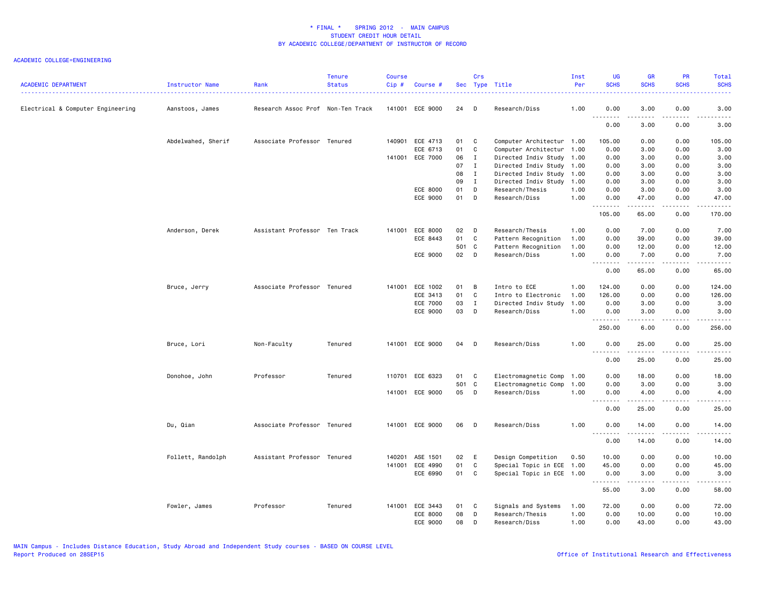| <b>ACADEMIC DEPARTMENT</b>        | Instructor Name    | Rank                              | <b>Tenure</b><br><b>Status</b> | <b>Course</b><br>Cip# | Course #        |       | Crs          | Sec Type Title            | Inst<br>Per | UG<br><b>SCHS</b> | <b>GR</b><br><b>SCHS</b>                                                                                                                                      | PR<br><b>SCHS</b>     | Total<br><b>SCHS</b>                                                                                                                                          |
|-----------------------------------|--------------------|-----------------------------------|--------------------------------|-----------------------|-----------------|-------|--------------|---------------------------|-------------|-------------------|---------------------------------------------------------------------------------------------------------------------------------------------------------------|-----------------------|---------------------------------------------------------------------------------------------------------------------------------------------------------------|
| Electrical & Computer Engineering | Aanstoos, James    | Research Assoc Prof Non-Ten Track |                                |                       | 141001 ECE 9000 | 24    | D            | Research/Diss             | 1.00        | 0.00<br>$- - -$   | 3.00                                                                                                                                                          | 0.00                  | 3.00                                                                                                                                                          |
|                                   |                    |                                   |                                |                       |                 |       |              |                           |             | 0.00              | 3.00                                                                                                                                                          | 0.00                  | 3.00                                                                                                                                                          |
|                                   | Abdelwahed, Sherif | Associate Professor Tenured       |                                |                       | 140901 ECE 4713 | 01    | C            | Computer Architectur 1.00 |             | 105.00            | 0.00                                                                                                                                                          | 0.00                  | 105.00                                                                                                                                                        |
|                                   |                    |                                   |                                |                       | ECE 6713        | 01    | C            | Computer Architectur      | 1.00        | 0.00              | 3.00                                                                                                                                                          | 0.00                  | 3.00                                                                                                                                                          |
|                                   |                    |                                   |                                |                       | 141001 ECE 7000 | 06    | $\mathbf{I}$ | Directed Indiv Study 1.00 |             | 0.00              | 3.00                                                                                                                                                          | 0.00                  | 3.00                                                                                                                                                          |
|                                   |                    |                                   |                                |                       |                 | 07    | $\mathbf I$  | Directed Indiv Study 1.00 |             | 0.00              | 3.00                                                                                                                                                          | 0.00                  | 3.00                                                                                                                                                          |
|                                   |                    |                                   |                                |                       |                 | 08    | $\mathbf{I}$ | Directed Indiv Study 1.00 |             | 0.00              | 3.00                                                                                                                                                          | 0.00                  | 3.00                                                                                                                                                          |
|                                   |                    |                                   |                                |                       |                 | 09    | $\mathbf{I}$ | Directed Indiv Study 1.00 |             | 0.00              | 3.00                                                                                                                                                          | 0.00                  | 3.00                                                                                                                                                          |
|                                   |                    |                                   |                                |                       | ECE 8000        | 01    | D            | Research/Thesis           | 1.00        | 0.00              | 3.00                                                                                                                                                          | 0.00                  | 3.00                                                                                                                                                          |
|                                   |                    |                                   |                                |                       | ECE 9000        | 01    | D            | Research/Diss             | 1.00        | 0.00<br>.         | 47.00<br>.                                                                                                                                                    | 0.00<br>.             | 47.00<br>.                                                                                                                                                    |
|                                   |                    |                                   |                                |                       |                 |       |              |                           |             | 105.00            | 65.00                                                                                                                                                         | 0.00                  | 170.00                                                                                                                                                        |
|                                   | Anderson, Derek    | Assistant Professor Ten Track     |                                |                       | 141001 ECE 8000 | 02    | D            | Research/Thesis           | 1.00        | 0.00              | 7.00                                                                                                                                                          | 0.00                  | 7.00                                                                                                                                                          |
|                                   |                    |                                   |                                |                       | ECE 8443        | 01    | C            | Pattern Recognition       | 1.00        | 0.00              | 39.00                                                                                                                                                         | 0.00                  | 39.00                                                                                                                                                         |
|                                   |                    |                                   |                                |                       |                 | 501 C |              | Pattern Recognition       | 1.00        | 0.00              | 12.00                                                                                                                                                         | 0.00                  | 12.00                                                                                                                                                         |
|                                   |                    |                                   |                                |                       | ECE 9000        | 02    | D            | Research/Diss             | 1.00        | 0.00              | 7.00                                                                                                                                                          | 0.00                  | 7.00                                                                                                                                                          |
|                                   |                    |                                   |                                |                       |                 |       |              |                           |             | .<br>0.00         | $\frac{1}{2} \left( \frac{1}{2} \right) \left( \frac{1}{2} \right) \left( \frac{1}{2} \right) \left( \frac{1}{2} \right) \left( \frac{1}{2} \right)$<br>65.00 | د د د د<br>0.00       | .<br>65.00                                                                                                                                                    |
|                                   | Bruce, Jerry       | Associate Professor Tenured       |                                |                       | 141001 ECE 1002 | 01    | B            | Intro to ECE              | 1.00        | 124.00            | 0.00                                                                                                                                                          | 0.00                  | 124.00                                                                                                                                                        |
|                                   |                    |                                   |                                |                       | ECE 3413        | 01    | C            | Intro to Electronic       | 1.00        | 126,00            | 0.00                                                                                                                                                          | 0.00                  | 126.00                                                                                                                                                        |
|                                   |                    |                                   |                                |                       | <b>ECE 7000</b> | 03    | $\mathbf{I}$ | Directed Indiv Study      | 1.00        | 0.00              | 3.00                                                                                                                                                          | 0.00                  | 3.00                                                                                                                                                          |
|                                   |                    |                                   |                                |                       | ECE 9000        | 03    | D            | Research/Diss             | 1.00        | 0.00              | 3.00                                                                                                                                                          | 0.00                  | 3.00                                                                                                                                                          |
|                                   |                    |                                   |                                |                       |                 |       |              |                           |             | .<br>250.00       | .<br>6.00                                                                                                                                                     | د د د د<br>0.00       | ------<br>256.00                                                                                                                                              |
|                                   | Bruce, Lori        | Non-Faculty                       | Tenured                        |                       | 141001 ECE 9000 | 04    | D            | Research/Diss             | 1.00        | 0.00<br>.         | 25.00                                                                                                                                                         | 0.00<br>.             | 25.00<br>.                                                                                                                                                    |
|                                   |                    |                                   |                                |                       |                 |       |              |                           |             | 0.00              | 25.00                                                                                                                                                         | 0.00                  | 25.00                                                                                                                                                         |
|                                   | Donohoe, John      | Professor                         | Tenured                        | 110701                | ECE 6323        | 01    | C            | Electromagnetic Comp      | 1.00        | 0.00              | 18.00                                                                                                                                                         | 0.00                  | 18.00                                                                                                                                                         |
|                                   |                    |                                   |                                |                       |                 | 501 C |              | Electromagnetic Comp      | 1.00        | 0.00              | 3.00                                                                                                                                                          | 0.00                  | 3.00                                                                                                                                                          |
|                                   |                    |                                   |                                |                       | 141001 ECE 9000 | 05 D  |              | Research/Diss             | 1.00        | 0.00              | 4.00                                                                                                                                                          | 0.00                  | 4.00                                                                                                                                                          |
|                                   |                    |                                   |                                |                       |                 |       |              |                           |             | .<br>0.00         | .<br>25.00                                                                                                                                                    | .<br>0.00             | $\frac{1}{2} \left( \frac{1}{2} \right) \left( \frac{1}{2} \right) \left( \frac{1}{2} \right) \left( \frac{1}{2} \right) \left( \frac{1}{2} \right)$<br>25.00 |
|                                   | Du, Qian           | Associate Professor Tenured       |                                |                       | 141001 ECE 9000 | 06    | D            | Research/Diss             | 1.00        | 0.00<br><u>.</u>  | 14.00                                                                                                                                                         | 0.00                  | 14.00                                                                                                                                                         |
|                                   |                    |                                   |                                |                       |                 |       |              |                           |             | 0.00              | $- - - - -$<br>14.00                                                                                                                                          | $\frac{1}{2}$<br>0.00 | .<br>14.00                                                                                                                                                    |
|                                   | Follett, Randolph  | Assistant Professor Tenured       |                                | 140201                | ASE 1501        | 02    | E            | Design Competition        | 0.50        | 10.00             | 0.00                                                                                                                                                          | 0.00                  | 10.00                                                                                                                                                         |
|                                   |                    |                                   |                                | 141001                | ECE 4990        | 01    | C            | Special Topic in ECE      | 1.00        | 45.00             | 0.00                                                                                                                                                          | 0.00                  | 45.00                                                                                                                                                         |
|                                   |                    |                                   |                                |                       | ECE 6990        | 01    | C            | Special Topic in ECE 1.00 |             | 0.00              | 3.00                                                                                                                                                          | 0.00                  | 3.00                                                                                                                                                          |
|                                   |                    |                                   |                                |                       |                 |       |              |                           |             | .<br>55.00        | .<br>3.00                                                                                                                                                     | .<br>0.00             | .<br>58.00                                                                                                                                                    |
|                                   | Fowler, James      | Professor                         | Tenured                        |                       | 141001 ECE 3443 | 01    | C            | Signals and Systems       | 1.00        | 72.00             | 0.00                                                                                                                                                          | 0.00                  | 72.00                                                                                                                                                         |
|                                   |                    |                                   |                                |                       | ECE 8000        | 08    | D            | Research/Thesis           | 1.00        | 0.00              | 10.00                                                                                                                                                         | 0.00                  | 10.00                                                                                                                                                         |
|                                   |                    |                                   |                                |                       | ECE 9000        | 08    | D            | Research/Diss             | 1.00        | 0.00              | 43.00                                                                                                                                                         | 0.00                  | 43.00                                                                                                                                                         |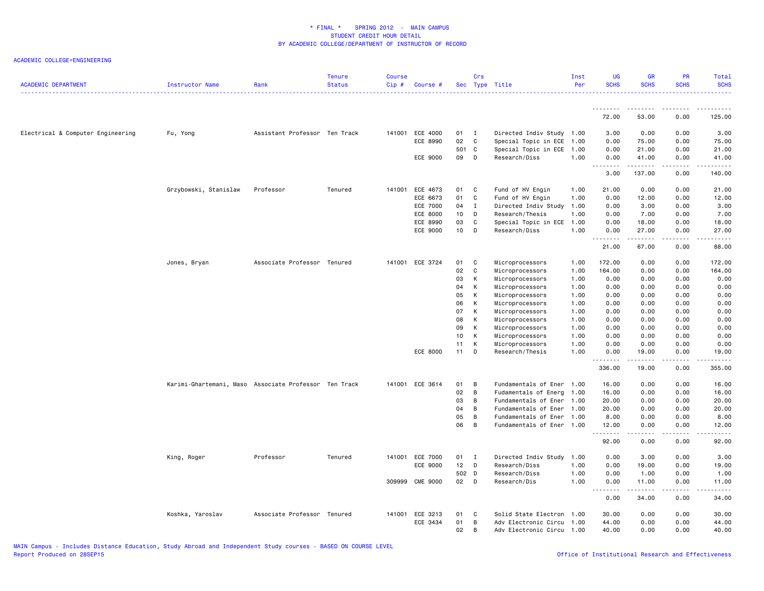| <u>.</u><br>.<br>.<br>$\frac{1}{2} \left( \frac{1}{2} \right) \left( \frac{1}{2} \right) \left( \frac{1}{2} \right) \left( \frac{1}{2} \right) \left( \frac{1}{2} \right) \left( \frac{1}{2} \right)$<br>72.00<br>53.00<br>0.00<br>125.00<br>3.00<br>Electrical & Computer Engineering<br>Assistant Professor Ten Track<br>141001 ECE 4000<br>01<br>Directed Indiv Study 1.00<br>3.00<br>0.00<br>0.00<br>Fu, Yong<br>$\blacksquare$<br>02<br>ECE 8990<br>C<br>Special Topic in ECE 1.00<br>75.00<br>0.00<br>75.00<br>0.00<br>501 C<br>Special Topic in ECE 1.00<br>0.00<br>0.00<br>21.00<br>21.00<br>09<br>ECE 9000<br>D<br>Research/Diss<br>1.00<br>0.00<br>41.00<br>0.00<br>41.00<br>.<br>.<br>.<br>.<br>3.00<br>137.00<br>0.00<br>140.00<br>141001 ECE 4673<br>Fund of HV Engin<br>21.00<br>Grzybowski, Stanislaw<br>Professor<br>Tenured<br>01<br>C<br>1.00<br>0.00<br>0.00<br>21.00<br>01<br>ECE 6673<br>C<br>Fund of HV Engin<br>1.00<br>0.00<br>12.00<br>0.00<br>12.00<br>ECE 7000<br>04<br>Directed Indiv Study<br>1.00<br>0.00<br>3.00<br>0.00<br>3.00<br>Ι.<br>10<br>7.00<br>ECE 8000<br>D<br>Research/Thesis<br>1.00<br>0.00<br>7.00<br>0.00<br>03<br>C<br>ECE 8990<br>Special Topic in ECE<br>1.00<br>0.00<br>18.00<br>0.00<br>18.00<br><b>ECE 9000</b><br>10<br>1.00<br>D<br>Research/Diss<br>0.00<br>27.00<br>0.00<br>27.00<br>.<br>المتمالين<br>الدامات ب<br>. د د د د<br>21.00<br>67.00<br>0.00<br>88.00<br>Jones, Bryan<br>Associate Professor Tenured<br>141001 ECE 3724<br>01<br>C<br>Microprocessors<br>1.00<br>172.00<br>0.00<br>0.00<br>172.00<br>02<br>C<br>Microprocessors<br>1.00<br>164.00<br>0.00<br>0.00<br>164.00<br>03<br>К<br>Microprocessors<br>1.00<br>0.00<br>0.00<br>0.00<br>0.00<br>04<br>К<br>Microprocessors<br>1.00<br>0.00<br>0.00<br>0.00<br>0.00<br>05<br>К<br>Microprocessors<br>1.00<br>0.00<br>0.00<br>0.00<br>0.00<br>06<br>К<br>Microprocessors<br>1.00<br>0.00<br>0.00<br>0.00<br>0.00<br>07<br>К<br>Microprocessors<br>1.00<br>0.00<br>0.00<br>0.00<br>0.00<br>08<br>К<br>Microprocessors<br>1.00<br>0.00<br>0.00<br>0.00<br>0.00<br>09<br>К<br>Microprocessors<br>1.00<br>0.00<br>0.00<br>0.00<br>0.00<br>10<br>К<br>Microprocessors<br>1.00<br>0.00<br>0.00<br>0.00<br>0.00<br>11<br>K<br>Microprocessors<br>1.00<br>0.00<br>0.00<br>0.00<br>0.00<br>ECE 8000<br>11<br>D<br>Research/Thesis<br>1.00<br>0.00<br>19.00<br>0.00<br>19.00<br>.<br><u>.</u><br>.<br>$- - - - - -$<br>336.00<br>19.00<br>0.00<br>355.00<br>Karimi-Ghartemani, Maso Associate Professor Ten Track<br>141001 ECE 3614<br>01<br>Fundamentals of Ener 1.00<br>16.00<br>0.00<br>0.00<br>16.00<br>B<br>02<br>B<br>Fudamentals of Energ<br>1.00<br>16.00<br>0.00<br>0.00<br>16.00<br>03<br>B<br>0.00<br>20.00<br>Fundamentals of Ener 1.00<br>20.00<br>0.00<br>04<br>B<br>0.00<br>20.00<br>Fundamentals of Ener 1.00<br>20.00<br>0.00<br>05<br>В<br>Fundamentals of Ener 1.00<br>8.00<br>0.00<br>0.00<br>8.00<br>06<br>B<br>Fundamentals of Ener 1.00<br>12.00<br>0.00<br>0.00<br>12.00<br>.<br>.<br>-----<br>.<br>0.00<br>92.00<br>0.00<br>92.00<br>King, Roger<br>Professor<br>Tenured<br>141001 ECE 7000<br>01<br>I<br>Directed Indiv Study<br>1.00<br>0.00<br>3.00<br>0.00<br>3.00<br>ECE 9000<br>12<br>D<br>Research/Diss<br>1.00<br>0.00<br>19.00<br>0.00<br>19.00<br>502 D<br>Research/Diss<br>1.00<br>0.00<br>1.00<br>0.00<br>1.00<br>02<br>1.00<br>309999 CME 9000<br>D<br>Research/Dis<br>0.00<br>11.00<br>0.00<br>11.00<br>.<br>د د د د د<br>.<br>.<br>0.00<br>34.00<br>0.00<br>34.00<br>141001 ECE 3213<br>01<br>Solid State Electron 1.00<br>30.00<br>0.00<br>0.00<br>30.00<br>Koshka, Yaroslav<br>Associate Professor Tenured<br>C<br>ECE 3434<br>01<br>B<br>0.00<br>0.00<br>Adv Electronic Circu 1.00<br>44.00<br>44.00<br>02<br>В<br>Adv Electronic Circu 1.00<br>40.00<br>0.00<br>0.00<br>40.00 | <b>ACADEMIC DEPARTMENT</b> | Instructor Name | Rank | <b>Tenure</b><br><b>Status</b> | <b>Course</b><br>Cip# | Course # | Crs | Sec Type Title | Inst<br>Per | <b>UG</b><br><b>SCHS</b> | <b>GR</b><br><b>SCHS</b> | PR<br><b>SCHS</b> | Total<br><b>SCHS</b> |
|----------------------------------------------------------------------------------------------------------------------------------------------------------------------------------------------------------------------------------------------------------------------------------------------------------------------------------------------------------------------------------------------------------------------------------------------------------------------------------------------------------------------------------------------------------------------------------------------------------------------------------------------------------------------------------------------------------------------------------------------------------------------------------------------------------------------------------------------------------------------------------------------------------------------------------------------------------------------------------------------------------------------------------------------------------------------------------------------------------------------------------------------------------------------------------------------------------------------------------------------------------------------------------------------------------------------------------------------------------------------------------------------------------------------------------------------------------------------------------------------------------------------------------------------------------------------------------------------------------------------------------------------------------------------------------------------------------------------------------------------------------------------------------------------------------------------------------------------------------------------------------------------------------------------------------------------------------------------------------------------------------------------------------------------------------------------------------------------------------------------------------------------------------------------------------------------------------------------------------------------------------------------------------------------------------------------------------------------------------------------------------------------------------------------------------------------------------------------------------------------------------------------------------------------------------------------------------------------------------------------------------------------------------------------------------------------------------------------------------------------------------------------------------------------------------------------------------------------------------------------------------------------------------------------------------------------------------------------------------------------------------------------------------------------------------------------------------------------------------------------------------------------------------------------------------------------------------------------------------------------------------------------------------------------------------------------------------------------------------------------------------------------------------------------------------------------------------------------------------------------------------------------------------------------------------------------------------------------------------------------------------------------------------------------------------------------------------------------------------------------------------------------------------------------------------------------------------------|----------------------------|-----------------|------|--------------------------------|-----------------------|----------|-----|----------------|-------------|--------------------------|--------------------------|-------------------|----------------------|
|                                                                                                                                                                                                                                                                                                                                                                                                                                                                                                                                                                                                                                                                                                                                                                                                                                                                                                                                                                                                                                                                                                                                                                                                                                                                                                                                                                                                                                                                                                                                                                                                                                                                                                                                                                                                                                                                                                                                                                                                                                                                                                                                                                                                                                                                                                                                                                                                                                                                                                                                                                                                                                                                                                                                                                                                                                                                                                                                                                                                                                                                                                                                                                                                                                                                                                                                                                                                                                                                                                                                                                                                                                                                                                                                                                                                                                        |                            |                 |      |                                |                       |          |     |                |             |                          |                          |                   |                      |
|                                                                                                                                                                                                                                                                                                                                                                                                                                                                                                                                                                                                                                                                                                                                                                                                                                                                                                                                                                                                                                                                                                                                                                                                                                                                                                                                                                                                                                                                                                                                                                                                                                                                                                                                                                                                                                                                                                                                                                                                                                                                                                                                                                                                                                                                                                                                                                                                                                                                                                                                                                                                                                                                                                                                                                                                                                                                                                                                                                                                                                                                                                                                                                                                                                                                                                                                                                                                                                                                                                                                                                                                                                                                                                                                                                                                                                        |                            |                 |      |                                |                       |          |     |                |             |                          |                          |                   |                      |
|                                                                                                                                                                                                                                                                                                                                                                                                                                                                                                                                                                                                                                                                                                                                                                                                                                                                                                                                                                                                                                                                                                                                                                                                                                                                                                                                                                                                                                                                                                                                                                                                                                                                                                                                                                                                                                                                                                                                                                                                                                                                                                                                                                                                                                                                                                                                                                                                                                                                                                                                                                                                                                                                                                                                                                                                                                                                                                                                                                                                                                                                                                                                                                                                                                                                                                                                                                                                                                                                                                                                                                                                                                                                                                                                                                                                                                        |                            |                 |      |                                |                       |          |     |                |             |                          |                          |                   |                      |
|                                                                                                                                                                                                                                                                                                                                                                                                                                                                                                                                                                                                                                                                                                                                                                                                                                                                                                                                                                                                                                                                                                                                                                                                                                                                                                                                                                                                                                                                                                                                                                                                                                                                                                                                                                                                                                                                                                                                                                                                                                                                                                                                                                                                                                                                                                                                                                                                                                                                                                                                                                                                                                                                                                                                                                                                                                                                                                                                                                                                                                                                                                                                                                                                                                                                                                                                                                                                                                                                                                                                                                                                                                                                                                                                                                                                                                        |                            |                 |      |                                |                       |          |     |                |             |                          |                          |                   |                      |
|                                                                                                                                                                                                                                                                                                                                                                                                                                                                                                                                                                                                                                                                                                                                                                                                                                                                                                                                                                                                                                                                                                                                                                                                                                                                                                                                                                                                                                                                                                                                                                                                                                                                                                                                                                                                                                                                                                                                                                                                                                                                                                                                                                                                                                                                                                                                                                                                                                                                                                                                                                                                                                                                                                                                                                                                                                                                                                                                                                                                                                                                                                                                                                                                                                                                                                                                                                                                                                                                                                                                                                                                                                                                                                                                                                                                                                        |                            |                 |      |                                |                       |          |     |                |             |                          |                          |                   |                      |
|                                                                                                                                                                                                                                                                                                                                                                                                                                                                                                                                                                                                                                                                                                                                                                                                                                                                                                                                                                                                                                                                                                                                                                                                                                                                                                                                                                                                                                                                                                                                                                                                                                                                                                                                                                                                                                                                                                                                                                                                                                                                                                                                                                                                                                                                                                                                                                                                                                                                                                                                                                                                                                                                                                                                                                                                                                                                                                                                                                                                                                                                                                                                                                                                                                                                                                                                                                                                                                                                                                                                                                                                                                                                                                                                                                                                                                        |                            |                 |      |                                |                       |          |     |                |             |                          |                          |                   |                      |
|                                                                                                                                                                                                                                                                                                                                                                                                                                                                                                                                                                                                                                                                                                                                                                                                                                                                                                                                                                                                                                                                                                                                                                                                                                                                                                                                                                                                                                                                                                                                                                                                                                                                                                                                                                                                                                                                                                                                                                                                                                                                                                                                                                                                                                                                                                                                                                                                                                                                                                                                                                                                                                                                                                                                                                                                                                                                                                                                                                                                                                                                                                                                                                                                                                                                                                                                                                                                                                                                                                                                                                                                                                                                                                                                                                                                                                        |                            |                 |      |                                |                       |          |     |                |             |                          |                          |                   |                      |
|                                                                                                                                                                                                                                                                                                                                                                                                                                                                                                                                                                                                                                                                                                                                                                                                                                                                                                                                                                                                                                                                                                                                                                                                                                                                                                                                                                                                                                                                                                                                                                                                                                                                                                                                                                                                                                                                                                                                                                                                                                                                                                                                                                                                                                                                                                                                                                                                                                                                                                                                                                                                                                                                                                                                                                                                                                                                                                                                                                                                                                                                                                                                                                                                                                                                                                                                                                                                                                                                                                                                                                                                                                                                                                                                                                                                                                        |                            |                 |      |                                |                       |          |     |                |             |                          |                          |                   |                      |
|                                                                                                                                                                                                                                                                                                                                                                                                                                                                                                                                                                                                                                                                                                                                                                                                                                                                                                                                                                                                                                                                                                                                                                                                                                                                                                                                                                                                                                                                                                                                                                                                                                                                                                                                                                                                                                                                                                                                                                                                                                                                                                                                                                                                                                                                                                                                                                                                                                                                                                                                                                                                                                                                                                                                                                                                                                                                                                                                                                                                                                                                                                                                                                                                                                                                                                                                                                                                                                                                                                                                                                                                                                                                                                                                                                                                                                        |                            |                 |      |                                |                       |          |     |                |             |                          |                          |                   |                      |
|                                                                                                                                                                                                                                                                                                                                                                                                                                                                                                                                                                                                                                                                                                                                                                                                                                                                                                                                                                                                                                                                                                                                                                                                                                                                                                                                                                                                                                                                                                                                                                                                                                                                                                                                                                                                                                                                                                                                                                                                                                                                                                                                                                                                                                                                                                                                                                                                                                                                                                                                                                                                                                                                                                                                                                                                                                                                                                                                                                                                                                                                                                                                                                                                                                                                                                                                                                                                                                                                                                                                                                                                                                                                                                                                                                                                                                        |                            |                 |      |                                |                       |          |     |                |             |                          |                          |                   |                      |
|                                                                                                                                                                                                                                                                                                                                                                                                                                                                                                                                                                                                                                                                                                                                                                                                                                                                                                                                                                                                                                                                                                                                                                                                                                                                                                                                                                                                                                                                                                                                                                                                                                                                                                                                                                                                                                                                                                                                                                                                                                                                                                                                                                                                                                                                                                                                                                                                                                                                                                                                                                                                                                                                                                                                                                                                                                                                                                                                                                                                                                                                                                                                                                                                                                                                                                                                                                                                                                                                                                                                                                                                                                                                                                                                                                                                                                        |                            |                 |      |                                |                       |          |     |                |             |                          |                          |                   |                      |
|                                                                                                                                                                                                                                                                                                                                                                                                                                                                                                                                                                                                                                                                                                                                                                                                                                                                                                                                                                                                                                                                                                                                                                                                                                                                                                                                                                                                                                                                                                                                                                                                                                                                                                                                                                                                                                                                                                                                                                                                                                                                                                                                                                                                                                                                                                                                                                                                                                                                                                                                                                                                                                                                                                                                                                                                                                                                                                                                                                                                                                                                                                                                                                                                                                                                                                                                                                                                                                                                                                                                                                                                                                                                                                                                                                                                                                        |                            |                 |      |                                |                       |          |     |                |             |                          |                          |                   |                      |
|                                                                                                                                                                                                                                                                                                                                                                                                                                                                                                                                                                                                                                                                                                                                                                                                                                                                                                                                                                                                                                                                                                                                                                                                                                                                                                                                                                                                                                                                                                                                                                                                                                                                                                                                                                                                                                                                                                                                                                                                                                                                                                                                                                                                                                                                                                                                                                                                                                                                                                                                                                                                                                                                                                                                                                                                                                                                                                                                                                                                                                                                                                                                                                                                                                                                                                                                                                                                                                                                                                                                                                                                                                                                                                                                                                                                                                        |                            |                 |      |                                |                       |          |     |                |             |                          |                          |                   |                      |
|                                                                                                                                                                                                                                                                                                                                                                                                                                                                                                                                                                                                                                                                                                                                                                                                                                                                                                                                                                                                                                                                                                                                                                                                                                                                                                                                                                                                                                                                                                                                                                                                                                                                                                                                                                                                                                                                                                                                                                                                                                                                                                                                                                                                                                                                                                                                                                                                                                                                                                                                                                                                                                                                                                                                                                                                                                                                                                                                                                                                                                                                                                                                                                                                                                                                                                                                                                                                                                                                                                                                                                                                                                                                                                                                                                                                                                        |                            |                 |      |                                |                       |          |     |                |             |                          |                          |                   |                      |
|                                                                                                                                                                                                                                                                                                                                                                                                                                                                                                                                                                                                                                                                                                                                                                                                                                                                                                                                                                                                                                                                                                                                                                                                                                                                                                                                                                                                                                                                                                                                                                                                                                                                                                                                                                                                                                                                                                                                                                                                                                                                                                                                                                                                                                                                                                                                                                                                                                                                                                                                                                                                                                                                                                                                                                                                                                                                                                                                                                                                                                                                                                                                                                                                                                                                                                                                                                                                                                                                                                                                                                                                                                                                                                                                                                                                                                        |                            |                 |      |                                |                       |          |     |                |             |                          |                          |                   |                      |
|                                                                                                                                                                                                                                                                                                                                                                                                                                                                                                                                                                                                                                                                                                                                                                                                                                                                                                                                                                                                                                                                                                                                                                                                                                                                                                                                                                                                                                                                                                                                                                                                                                                                                                                                                                                                                                                                                                                                                                                                                                                                                                                                                                                                                                                                                                                                                                                                                                                                                                                                                                                                                                                                                                                                                                                                                                                                                                                                                                                                                                                                                                                                                                                                                                                                                                                                                                                                                                                                                                                                                                                                                                                                                                                                                                                                                                        |                            |                 |      |                                |                       |          |     |                |             |                          |                          |                   |                      |
|                                                                                                                                                                                                                                                                                                                                                                                                                                                                                                                                                                                                                                                                                                                                                                                                                                                                                                                                                                                                                                                                                                                                                                                                                                                                                                                                                                                                                                                                                                                                                                                                                                                                                                                                                                                                                                                                                                                                                                                                                                                                                                                                                                                                                                                                                                                                                                                                                                                                                                                                                                                                                                                                                                                                                                                                                                                                                                                                                                                                                                                                                                                                                                                                                                                                                                                                                                                                                                                                                                                                                                                                                                                                                                                                                                                                                                        |                            |                 |      |                                |                       |          |     |                |             |                          |                          |                   |                      |
|                                                                                                                                                                                                                                                                                                                                                                                                                                                                                                                                                                                                                                                                                                                                                                                                                                                                                                                                                                                                                                                                                                                                                                                                                                                                                                                                                                                                                                                                                                                                                                                                                                                                                                                                                                                                                                                                                                                                                                                                                                                                                                                                                                                                                                                                                                                                                                                                                                                                                                                                                                                                                                                                                                                                                                                                                                                                                                                                                                                                                                                                                                                                                                                                                                                                                                                                                                                                                                                                                                                                                                                                                                                                                                                                                                                                                                        |                            |                 |      |                                |                       |          |     |                |             |                          |                          |                   |                      |
|                                                                                                                                                                                                                                                                                                                                                                                                                                                                                                                                                                                                                                                                                                                                                                                                                                                                                                                                                                                                                                                                                                                                                                                                                                                                                                                                                                                                                                                                                                                                                                                                                                                                                                                                                                                                                                                                                                                                                                                                                                                                                                                                                                                                                                                                                                                                                                                                                                                                                                                                                                                                                                                                                                                                                                                                                                                                                                                                                                                                                                                                                                                                                                                                                                                                                                                                                                                                                                                                                                                                                                                                                                                                                                                                                                                                                                        |                            |                 |      |                                |                       |          |     |                |             |                          |                          |                   |                      |
|                                                                                                                                                                                                                                                                                                                                                                                                                                                                                                                                                                                                                                                                                                                                                                                                                                                                                                                                                                                                                                                                                                                                                                                                                                                                                                                                                                                                                                                                                                                                                                                                                                                                                                                                                                                                                                                                                                                                                                                                                                                                                                                                                                                                                                                                                                                                                                                                                                                                                                                                                                                                                                                                                                                                                                                                                                                                                                                                                                                                                                                                                                                                                                                                                                                                                                                                                                                                                                                                                                                                                                                                                                                                                                                                                                                                                                        |                            |                 |      |                                |                       |          |     |                |             |                          |                          |                   |                      |
|                                                                                                                                                                                                                                                                                                                                                                                                                                                                                                                                                                                                                                                                                                                                                                                                                                                                                                                                                                                                                                                                                                                                                                                                                                                                                                                                                                                                                                                                                                                                                                                                                                                                                                                                                                                                                                                                                                                                                                                                                                                                                                                                                                                                                                                                                                                                                                                                                                                                                                                                                                                                                                                                                                                                                                                                                                                                                                                                                                                                                                                                                                                                                                                                                                                                                                                                                                                                                                                                                                                                                                                                                                                                                                                                                                                                                                        |                            |                 |      |                                |                       |          |     |                |             |                          |                          |                   |                      |
|                                                                                                                                                                                                                                                                                                                                                                                                                                                                                                                                                                                                                                                                                                                                                                                                                                                                                                                                                                                                                                                                                                                                                                                                                                                                                                                                                                                                                                                                                                                                                                                                                                                                                                                                                                                                                                                                                                                                                                                                                                                                                                                                                                                                                                                                                                                                                                                                                                                                                                                                                                                                                                                                                                                                                                                                                                                                                                                                                                                                                                                                                                                                                                                                                                                                                                                                                                                                                                                                                                                                                                                                                                                                                                                                                                                                                                        |                            |                 |      |                                |                       |          |     |                |             |                          |                          |                   |                      |
|                                                                                                                                                                                                                                                                                                                                                                                                                                                                                                                                                                                                                                                                                                                                                                                                                                                                                                                                                                                                                                                                                                                                                                                                                                                                                                                                                                                                                                                                                                                                                                                                                                                                                                                                                                                                                                                                                                                                                                                                                                                                                                                                                                                                                                                                                                                                                                                                                                                                                                                                                                                                                                                                                                                                                                                                                                                                                                                                                                                                                                                                                                                                                                                                                                                                                                                                                                                                                                                                                                                                                                                                                                                                                                                                                                                                                                        |                            |                 |      |                                |                       |          |     |                |             |                          |                          |                   |                      |
|                                                                                                                                                                                                                                                                                                                                                                                                                                                                                                                                                                                                                                                                                                                                                                                                                                                                                                                                                                                                                                                                                                                                                                                                                                                                                                                                                                                                                                                                                                                                                                                                                                                                                                                                                                                                                                                                                                                                                                                                                                                                                                                                                                                                                                                                                                                                                                                                                                                                                                                                                                                                                                                                                                                                                                                                                                                                                                                                                                                                                                                                                                                                                                                                                                                                                                                                                                                                                                                                                                                                                                                                                                                                                                                                                                                                                                        |                            |                 |      |                                |                       |          |     |                |             |                          |                          |                   |                      |
|                                                                                                                                                                                                                                                                                                                                                                                                                                                                                                                                                                                                                                                                                                                                                                                                                                                                                                                                                                                                                                                                                                                                                                                                                                                                                                                                                                                                                                                                                                                                                                                                                                                                                                                                                                                                                                                                                                                                                                                                                                                                                                                                                                                                                                                                                                                                                                                                                                                                                                                                                                                                                                                                                                                                                                                                                                                                                                                                                                                                                                                                                                                                                                                                                                                                                                                                                                                                                                                                                                                                                                                                                                                                                                                                                                                                                                        |                            |                 |      |                                |                       |          |     |                |             |                          |                          |                   |                      |
|                                                                                                                                                                                                                                                                                                                                                                                                                                                                                                                                                                                                                                                                                                                                                                                                                                                                                                                                                                                                                                                                                                                                                                                                                                                                                                                                                                                                                                                                                                                                                                                                                                                                                                                                                                                                                                                                                                                                                                                                                                                                                                                                                                                                                                                                                                                                                                                                                                                                                                                                                                                                                                                                                                                                                                                                                                                                                                                                                                                                                                                                                                                                                                                                                                                                                                                                                                                                                                                                                                                                                                                                                                                                                                                                                                                                                                        |                            |                 |      |                                |                       |          |     |                |             |                          |                          |                   |                      |
|                                                                                                                                                                                                                                                                                                                                                                                                                                                                                                                                                                                                                                                                                                                                                                                                                                                                                                                                                                                                                                                                                                                                                                                                                                                                                                                                                                                                                                                                                                                                                                                                                                                                                                                                                                                                                                                                                                                                                                                                                                                                                                                                                                                                                                                                                                                                                                                                                                                                                                                                                                                                                                                                                                                                                                                                                                                                                                                                                                                                                                                                                                                                                                                                                                                                                                                                                                                                                                                                                                                                                                                                                                                                                                                                                                                                                                        |                            |                 |      |                                |                       |          |     |                |             |                          |                          |                   |                      |
|                                                                                                                                                                                                                                                                                                                                                                                                                                                                                                                                                                                                                                                                                                                                                                                                                                                                                                                                                                                                                                                                                                                                                                                                                                                                                                                                                                                                                                                                                                                                                                                                                                                                                                                                                                                                                                                                                                                                                                                                                                                                                                                                                                                                                                                                                                                                                                                                                                                                                                                                                                                                                                                                                                                                                                                                                                                                                                                                                                                                                                                                                                                                                                                                                                                                                                                                                                                                                                                                                                                                                                                                                                                                                                                                                                                                                                        |                            |                 |      |                                |                       |          |     |                |             |                          |                          |                   |                      |
|                                                                                                                                                                                                                                                                                                                                                                                                                                                                                                                                                                                                                                                                                                                                                                                                                                                                                                                                                                                                                                                                                                                                                                                                                                                                                                                                                                                                                                                                                                                                                                                                                                                                                                                                                                                                                                                                                                                                                                                                                                                                                                                                                                                                                                                                                                                                                                                                                                                                                                                                                                                                                                                                                                                                                                                                                                                                                                                                                                                                                                                                                                                                                                                                                                                                                                                                                                                                                                                                                                                                                                                                                                                                                                                                                                                                                                        |                            |                 |      |                                |                       |          |     |                |             |                          |                          |                   |                      |
|                                                                                                                                                                                                                                                                                                                                                                                                                                                                                                                                                                                                                                                                                                                                                                                                                                                                                                                                                                                                                                                                                                                                                                                                                                                                                                                                                                                                                                                                                                                                                                                                                                                                                                                                                                                                                                                                                                                                                                                                                                                                                                                                                                                                                                                                                                                                                                                                                                                                                                                                                                                                                                                                                                                                                                                                                                                                                                                                                                                                                                                                                                                                                                                                                                                                                                                                                                                                                                                                                                                                                                                                                                                                                                                                                                                                                                        |                            |                 |      |                                |                       |          |     |                |             |                          |                          |                   |                      |
|                                                                                                                                                                                                                                                                                                                                                                                                                                                                                                                                                                                                                                                                                                                                                                                                                                                                                                                                                                                                                                                                                                                                                                                                                                                                                                                                                                                                                                                                                                                                                                                                                                                                                                                                                                                                                                                                                                                                                                                                                                                                                                                                                                                                                                                                                                                                                                                                                                                                                                                                                                                                                                                                                                                                                                                                                                                                                                                                                                                                                                                                                                                                                                                                                                                                                                                                                                                                                                                                                                                                                                                                                                                                                                                                                                                                                                        |                            |                 |      |                                |                       |          |     |                |             |                          |                          |                   |                      |
|                                                                                                                                                                                                                                                                                                                                                                                                                                                                                                                                                                                                                                                                                                                                                                                                                                                                                                                                                                                                                                                                                                                                                                                                                                                                                                                                                                                                                                                                                                                                                                                                                                                                                                                                                                                                                                                                                                                                                                                                                                                                                                                                                                                                                                                                                                                                                                                                                                                                                                                                                                                                                                                                                                                                                                                                                                                                                                                                                                                                                                                                                                                                                                                                                                                                                                                                                                                                                                                                                                                                                                                                                                                                                                                                                                                                                                        |                            |                 |      |                                |                       |          |     |                |             |                          |                          |                   |                      |
|                                                                                                                                                                                                                                                                                                                                                                                                                                                                                                                                                                                                                                                                                                                                                                                                                                                                                                                                                                                                                                                                                                                                                                                                                                                                                                                                                                                                                                                                                                                                                                                                                                                                                                                                                                                                                                                                                                                                                                                                                                                                                                                                                                                                                                                                                                                                                                                                                                                                                                                                                                                                                                                                                                                                                                                                                                                                                                                                                                                                                                                                                                                                                                                                                                                                                                                                                                                                                                                                                                                                                                                                                                                                                                                                                                                                                                        |                            |                 |      |                                |                       |          |     |                |             |                          |                          |                   |                      |
|                                                                                                                                                                                                                                                                                                                                                                                                                                                                                                                                                                                                                                                                                                                                                                                                                                                                                                                                                                                                                                                                                                                                                                                                                                                                                                                                                                                                                                                                                                                                                                                                                                                                                                                                                                                                                                                                                                                                                                                                                                                                                                                                                                                                                                                                                                                                                                                                                                                                                                                                                                                                                                                                                                                                                                                                                                                                                                                                                                                                                                                                                                                                                                                                                                                                                                                                                                                                                                                                                                                                                                                                                                                                                                                                                                                                                                        |                            |                 |      |                                |                       |          |     |                |             |                          |                          |                   |                      |
|                                                                                                                                                                                                                                                                                                                                                                                                                                                                                                                                                                                                                                                                                                                                                                                                                                                                                                                                                                                                                                                                                                                                                                                                                                                                                                                                                                                                                                                                                                                                                                                                                                                                                                                                                                                                                                                                                                                                                                                                                                                                                                                                                                                                                                                                                                                                                                                                                                                                                                                                                                                                                                                                                                                                                                                                                                                                                                                                                                                                                                                                                                                                                                                                                                                                                                                                                                                                                                                                                                                                                                                                                                                                                                                                                                                                                                        |                            |                 |      |                                |                       |          |     |                |             |                          |                          |                   |                      |
|                                                                                                                                                                                                                                                                                                                                                                                                                                                                                                                                                                                                                                                                                                                                                                                                                                                                                                                                                                                                                                                                                                                                                                                                                                                                                                                                                                                                                                                                                                                                                                                                                                                                                                                                                                                                                                                                                                                                                                                                                                                                                                                                                                                                                                                                                                                                                                                                                                                                                                                                                                                                                                                                                                                                                                                                                                                                                                                                                                                                                                                                                                                                                                                                                                                                                                                                                                                                                                                                                                                                                                                                                                                                                                                                                                                                                                        |                            |                 |      |                                |                       |          |     |                |             |                          |                          |                   |                      |
|                                                                                                                                                                                                                                                                                                                                                                                                                                                                                                                                                                                                                                                                                                                                                                                                                                                                                                                                                                                                                                                                                                                                                                                                                                                                                                                                                                                                                                                                                                                                                                                                                                                                                                                                                                                                                                                                                                                                                                                                                                                                                                                                                                                                                                                                                                                                                                                                                                                                                                                                                                                                                                                                                                                                                                                                                                                                                                                                                                                                                                                                                                                                                                                                                                                                                                                                                                                                                                                                                                                                                                                                                                                                                                                                                                                                                                        |                            |                 |      |                                |                       |          |     |                |             |                          |                          |                   |                      |
|                                                                                                                                                                                                                                                                                                                                                                                                                                                                                                                                                                                                                                                                                                                                                                                                                                                                                                                                                                                                                                                                                                                                                                                                                                                                                                                                                                                                                                                                                                                                                                                                                                                                                                                                                                                                                                                                                                                                                                                                                                                                                                                                                                                                                                                                                                                                                                                                                                                                                                                                                                                                                                                                                                                                                                                                                                                                                                                                                                                                                                                                                                                                                                                                                                                                                                                                                                                                                                                                                                                                                                                                                                                                                                                                                                                                                                        |                            |                 |      |                                |                       |          |     |                |             |                          |                          |                   |                      |
|                                                                                                                                                                                                                                                                                                                                                                                                                                                                                                                                                                                                                                                                                                                                                                                                                                                                                                                                                                                                                                                                                                                                                                                                                                                                                                                                                                                                                                                                                                                                                                                                                                                                                                                                                                                                                                                                                                                                                                                                                                                                                                                                                                                                                                                                                                                                                                                                                                                                                                                                                                                                                                                                                                                                                                                                                                                                                                                                                                                                                                                                                                                                                                                                                                                                                                                                                                                                                                                                                                                                                                                                                                                                                                                                                                                                                                        |                            |                 |      |                                |                       |          |     |                |             |                          |                          |                   |                      |
|                                                                                                                                                                                                                                                                                                                                                                                                                                                                                                                                                                                                                                                                                                                                                                                                                                                                                                                                                                                                                                                                                                                                                                                                                                                                                                                                                                                                                                                                                                                                                                                                                                                                                                                                                                                                                                                                                                                                                                                                                                                                                                                                                                                                                                                                                                                                                                                                                                                                                                                                                                                                                                                                                                                                                                                                                                                                                                                                                                                                                                                                                                                                                                                                                                                                                                                                                                                                                                                                                                                                                                                                                                                                                                                                                                                                                                        |                            |                 |      |                                |                       |          |     |                |             |                          |                          |                   |                      |
|                                                                                                                                                                                                                                                                                                                                                                                                                                                                                                                                                                                                                                                                                                                                                                                                                                                                                                                                                                                                                                                                                                                                                                                                                                                                                                                                                                                                                                                                                                                                                                                                                                                                                                                                                                                                                                                                                                                                                                                                                                                                                                                                                                                                                                                                                                                                                                                                                                                                                                                                                                                                                                                                                                                                                                                                                                                                                                                                                                                                                                                                                                                                                                                                                                                                                                                                                                                                                                                                                                                                                                                                                                                                                                                                                                                                                                        |                            |                 |      |                                |                       |          |     |                |             |                          |                          |                   |                      |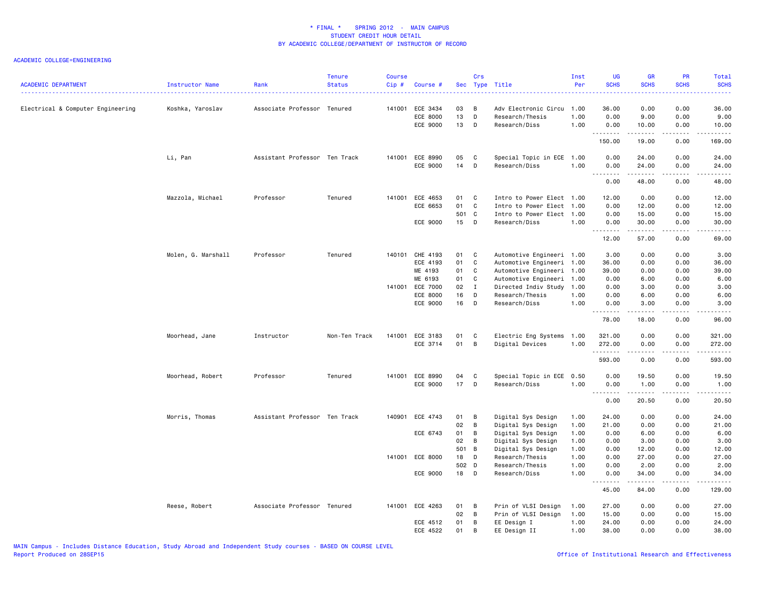| <b>ACADEMIC DEPARTMENT</b>        | Instructor Name    | Rank                          | <b>Tenure</b><br><b>Status</b> | <b>Course</b><br>Cip# | Course #        |        | Crs          | Sec Type Title            | Inst<br>Per | <b>UG</b><br><b>SCHS</b>                                                                                                                                                                                                                                                                                                                                                                                                                                                                       | <b>GR</b><br><b>SCHS</b>                                                                                                                                      | PR<br><b>SCHS</b>                   | <b>Total</b><br><b>SCHS</b>                 |
|-----------------------------------|--------------------|-------------------------------|--------------------------------|-----------------------|-----------------|--------|--------------|---------------------------|-------------|------------------------------------------------------------------------------------------------------------------------------------------------------------------------------------------------------------------------------------------------------------------------------------------------------------------------------------------------------------------------------------------------------------------------------------------------------------------------------------------------|---------------------------------------------------------------------------------------------------------------------------------------------------------------|-------------------------------------|---------------------------------------------|
|                                   |                    |                               |                                |                       |                 |        |              |                           |             |                                                                                                                                                                                                                                                                                                                                                                                                                                                                                                |                                                                                                                                                               |                                     |                                             |
| Electrical & Computer Engineering | Koshka, Yaroslav   | Associate Professor Tenured   |                                | 141001                | ECE 3434        | 03     | B            | Adv Electronic Circu      | 1.00        | 36.00                                                                                                                                                                                                                                                                                                                                                                                                                                                                                          | 0.00                                                                                                                                                          | 0.00                                | 36.00                                       |
|                                   |                    |                               |                                |                       | ECE 8000        | 13     | D            | Research/Thesis           | 1.00        | 0.00                                                                                                                                                                                                                                                                                                                                                                                                                                                                                           | 9.00                                                                                                                                                          | 0.00                                | 9.00                                        |
|                                   |                    |                               |                                |                       | ECE 9000        | 13     | D            | Research/Diss             | 1.00        | 0.00<br>.                                                                                                                                                                                                                                                                                                                                                                                                                                                                                      | 10.00                                                                                                                                                         | 0.00<br>$\sim$ $\sim$ $\sim$ $\sim$ | 10.00<br>.                                  |
|                                   |                    |                               |                                |                       |                 |        |              |                           |             | 150.00                                                                                                                                                                                                                                                                                                                                                                                                                                                                                         | 19.00                                                                                                                                                         | 0.00                                | 169.00                                      |
|                                   | Li, Pan            | Assistant Professor Ten Track |                                |                       | 141001 ECE 8990 | 05     | C            | Special Topic in ECE      | 1.00        | 0.00                                                                                                                                                                                                                                                                                                                                                                                                                                                                                           | 24.00                                                                                                                                                         | 0.00                                | 24.00                                       |
|                                   |                    |                               |                                |                       | ECE 9000        | 14     | D            | Research/Diss             | 1.00        | 0.00<br>$\omega$ is a $\omega$                                                                                                                                                                                                                                                                                                                                                                                                                                                                 | 24.00<br>.                                                                                                                                                    | 0.00<br>د د د د                     | 24.00<br>.                                  |
|                                   |                    |                               |                                |                       |                 |        |              |                           |             | 0.00                                                                                                                                                                                                                                                                                                                                                                                                                                                                                           | 48.00                                                                                                                                                         | 0.00                                | 48.00                                       |
|                                   | Mazzola, Michael   | Professor                     | Tenured                        | 141001                | ECE 4653        | 01     | C            | Intro to Power Elect 1.00 |             | 12.00                                                                                                                                                                                                                                                                                                                                                                                                                                                                                          | 0.00                                                                                                                                                          | 0.00                                | 12.00                                       |
|                                   |                    |                               |                                |                       | ECE 6653        | 01     | C            | Intro to Power Elect      | 1.00        | 0.00                                                                                                                                                                                                                                                                                                                                                                                                                                                                                           | 12.00                                                                                                                                                         | 0.00                                | 12.00                                       |
|                                   |                    |                               |                                |                       |                 | 501 C  |              | Intro to Power Elect 1.00 |             | 0.00                                                                                                                                                                                                                                                                                                                                                                                                                                                                                           | 15.00                                                                                                                                                         | 0.00                                | 15.00                                       |
|                                   |                    |                               |                                |                       | ECE 9000        | $15$ D |              | Research/Diss             | 1.00        | 0.00<br>.                                                                                                                                                                                                                                                                                                                                                                                                                                                                                      | 30.00<br>.                                                                                                                                                    | 0.00<br>.                           | 30.00<br>.                                  |
|                                   |                    |                               |                                |                       |                 |        |              |                           |             | 12.00                                                                                                                                                                                                                                                                                                                                                                                                                                                                                          | 57.00                                                                                                                                                         | 0.00                                | 69.00                                       |
|                                   | Molen, G. Marshall | Professor                     | Tenured                        | 140101                | CHE 4193        | 01     | C            | Automotive Engineeri 1.00 |             | 3.00                                                                                                                                                                                                                                                                                                                                                                                                                                                                                           | 0.00                                                                                                                                                          | 0.00                                | 3.00                                        |
|                                   |                    |                               |                                |                       | ECE 4193        | 01     | C            | Automotive Engineeri 1.00 |             | 36.00                                                                                                                                                                                                                                                                                                                                                                                                                                                                                          | 0.00                                                                                                                                                          | 0.00                                | 36.00                                       |
|                                   |                    |                               |                                |                       | ME 4193         | 01     | $\mathbf c$  | Automotive Engineeri 1.00 |             | 39.00                                                                                                                                                                                                                                                                                                                                                                                                                                                                                          | 0.00                                                                                                                                                          | 0.00                                | 39.00                                       |
|                                   |                    |                               |                                |                       | ME 6193         | 01     | C            | Automotive Engineeri      | 1.00        | 0.00                                                                                                                                                                                                                                                                                                                                                                                                                                                                                           | 6.00                                                                                                                                                          | 0.00                                | 6.00                                        |
|                                   |                    |                               |                                | 141001                | <b>ECE 7000</b> | 02     | $\mathbf{I}$ | Directed Indiv Study      | 1.00        | 0.00                                                                                                                                                                                                                                                                                                                                                                                                                                                                                           | 3.00                                                                                                                                                          | 0.00                                | 3.00                                        |
|                                   |                    |                               |                                |                       | ECE 8000        | 16     | D            | Research/Thesis           | 1.00        | 0.00                                                                                                                                                                                                                                                                                                                                                                                                                                                                                           | 6.00                                                                                                                                                          | 0.00                                | 6.00                                        |
|                                   |                    |                               |                                |                       | ECE 9000        | 16     | $\mathsf D$  | Research/Diss             | 1.00        | 0.00                                                                                                                                                                                                                                                                                                                                                                                                                                                                                           | 3.00                                                                                                                                                          | 0.00                                | 3.00                                        |
|                                   |                    |                               |                                |                       |                 |        |              |                           |             | .<br>78.00                                                                                                                                                                                                                                                                                                                                                                                                                                                                                     | .<br>18.00                                                                                                                                                    | $\sim$ - - -<br>0.00                | $\sim$ $\sim$ $\sim$ $\sim$ $\sim$<br>96.00 |
|                                   | Moorhead, Jane     | Instructor                    | Non-Ten Track                  | 141001                | ECE 3183        | 01     | C            | Electric Eng Systems      | 1.00        | 321.00                                                                                                                                                                                                                                                                                                                                                                                                                                                                                         | 0.00                                                                                                                                                          | 0.00                                | 321.00                                      |
|                                   |                    |                               |                                |                       | ECE 3714        | 01     | B            | Digital Devices           | 1.00        | 272.00                                                                                                                                                                                                                                                                                                                                                                                                                                                                                         | 0.00                                                                                                                                                          | 0.00                                | 272.00                                      |
|                                   |                    |                               |                                |                       |                 |        |              |                           |             | .<br>593.00                                                                                                                                                                                                                                                                                                                                                                                                                                                                                    | .<br>0.00                                                                                                                                                     | .<br>0.00                           | $\alpha$ is a single<br>593.00              |
|                                   | Moorhead, Robert   | Professor                     | Tenured                        |                       | 141001 ECE 8990 | 04     | C            | Special Topic in ECE      | 0.50        | 0.00                                                                                                                                                                                                                                                                                                                                                                                                                                                                                           | 19.50                                                                                                                                                         | 0.00                                | 19.50                                       |
|                                   |                    |                               |                                |                       | ECE 9000        | 17     | D            | Research/Diss             | 1.00        | 0.00<br>$\begin{array}{cccccccccccccc} \multicolumn{2}{c}{} & \multicolumn{2}{c}{} & \multicolumn{2}{c}{} & \multicolumn{2}{c}{} & \multicolumn{2}{c}{} & \multicolumn{2}{c}{} & \multicolumn{2}{c}{} & \multicolumn{2}{c}{} & \multicolumn{2}{c}{} & \multicolumn{2}{c}{} & \multicolumn{2}{c}{} & \multicolumn{2}{c}{} & \multicolumn{2}{c}{} & \multicolumn{2}{c}{} & \multicolumn{2}{c}{} & \multicolumn{2}{c}{} & \multicolumn{2}{c}{} & \multicolumn{2}{c}{} & \multicolumn{2}{c}{} & \$ | 1.00<br>. <b>.</b>                                                                                                                                            | 0.00<br>.                           | 1.00<br>.                                   |
|                                   |                    |                               |                                |                       |                 |        |              |                           |             | 0.00                                                                                                                                                                                                                                                                                                                                                                                                                                                                                           | 20.50                                                                                                                                                         | 0.00                                | 20.50                                       |
|                                   | Morris, Thomas     | Assistant Professor Ten Track |                                | 140901                | ECE 4743        | 01     | B            | Digital Sys Design        | 1.00        | 24.00                                                                                                                                                                                                                                                                                                                                                                                                                                                                                          | 0.00                                                                                                                                                          | 0.00                                | 24.00                                       |
|                                   |                    |                               |                                |                       |                 | 02     | В            | Digital Sys Design        | 1.00        | 21.00                                                                                                                                                                                                                                                                                                                                                                                                                                                                                          | 0.00                                                                                                                                                          | 0.00                                | 21.00                                       |
|                                   |                    |                               |                                |                       | ECE 6743        | 01     | B            | Digital Sys Design        | 1.00        | 0.00                                                                                                                                                                                                                                                                                                                                                                                                                                                                                           | 6.00                                                                                                                                                          | 0.00                                | 6.00                                        |
|                                   |                    |                               |                                |                       |                 | 02     | B            | Digital Sys Design        | 1.00        | 0.00                                                                                                                                                                                                                                                                                                                                                                                                                                                                                           | 3.00                                                                                                                                                          | 0.00                                | 3.00                                        |
|                                   |                    |                               |                                |                       |                 | 501 B  |              | Digital Sys Design        | 1.00        | 0.00                                                                                                                                                                                                                                                                                                                                                                                                                                                                                           | 12.00                                                                                                                                                         | 0.00                                | 12.00                                       |
|                                   |                    |                               |                                |                       | 141001 ECE 8000 | 18     | D            | Research/Thesis           | 1.00        | 0.00                                                                                                                                                                                                                                                                                                                                                                                                                                                                                           | 27.00                                                                                                                                                         | 0.00                                | 27.00                                       |
|                                   |                    |                               |                                |                       |                 | 502 D  |              | Research/Thesis           | 1.00        | 0.00                                                                                                                                                                                                                                                                                                                                                                                                                                                                                           | 2.00                                                                                                                                                          | 0.00                                | 2.00                                        |
|                                   |                    |                               |                                |                       | ECE 9000        | 18 D   |              | Research/Diss             | 1.00        | 0.00<br>.                                                                                                                                                                                                                                                                                                                                                                                                                                                                                      | 34.00<br>$\frac{1}{2} \left( \frac{1}{2} \right) \left( \frac{1}{2} \right) \left( \frac{1}{2} \right) \left( \frac{1}{2} \right) \left( \frac{1}{2} \right)$ | 0.00<br>.                           | 34.00<br>.                                  |
|                                   |                    |                               |                                |                       |                 |        |              |                           |             | 45.00                                                                                                                                                                                                                                                                                                                                                                                                                                                                                          | 84.00                                                                                                                                                         | 0.00                                | 129.00                                      |
|                                   | Reese, Robert      | Associate Professor Tenured   |                                |                       | 141001 ECE 4263 | 01     | B            | Prin of VLSI Design       | 1.00        | 27.00                                                                                                                                                                                                                                                                                                                                                                                                                                                                                          | 0.00                                                                                                                                                          | 0.00                                | 27.00                                       |
|                                   |                    |                               |                                |                       |                 | 02     | B            | Prin of VLSI Design       | 1.00        | 15.00                                                                                                                                                                                                                                                                                                                                                                                                                                                                                          | 0.00                                                                                                                                                          | 0.00                                | 15.00                                       |
|                                   |                    |                               |                                |                       | ECE 4512        | 01     | B            | EE Design I               | 1.00        | 24.00                                                                                                                                                                                                                                                                                                                                                                                                                                                                                          | 0.00                                                                                                                                                          | 0.00                                | 24.00                                       |
|                                   |                    |                               |                                |                       | ECE 4522        | 01     | B            | EE Design II              | 1.00        | 38.00                                                                                                                                                                                                                                                                                                                                                                                                                                                                                          | 0.00                                                                                                                                                          | 0.00                                | 38.00                                       |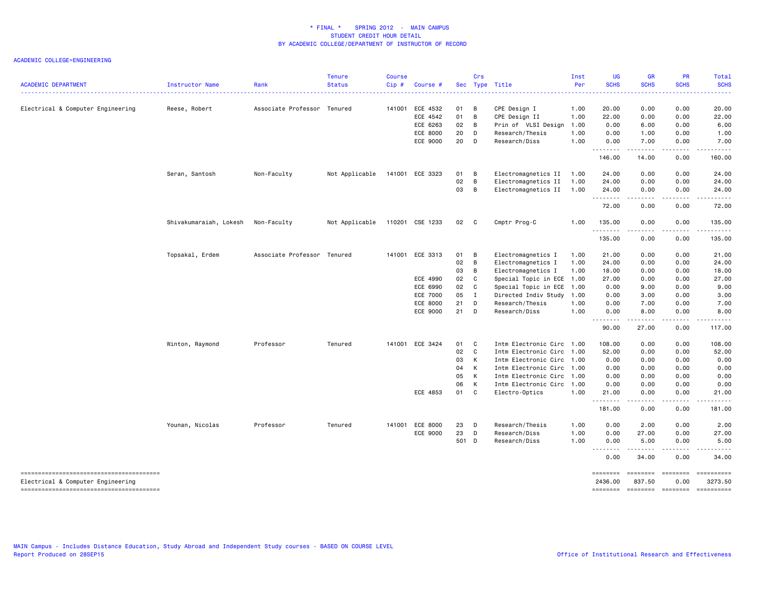| <b>ACADEMIC DEPARTMENT</b>        | Instructor Name        | Rank                        | Tenure<br><b>Status</b> | <b>Course</b><br>Cip# | Course #        |       | Crs            | Sec Type Title            | Inst<br>Per | <b>UG</b><br><b>SCHS</b><br>. <u>.</u>                                                                                                                        | <b>GR</b><br><b>SCHS</b>             | PR<br><b>SCHS</b>                                                                                                                                                                                                                                                                                                                                                                                                                                                                                                                                                                                                                                                                                                                                                                                                                                                                                                                                                                                                                                              | <b>Total</b><br><b>SCHS</b><br>.                                                           |
|-----------------------------------|------------------------|-----------------------------|-------------------------|-----------------------|-----------------|-------|----------------|---------------------------|-------------|---------------------------------------------------------------------------------------------------------------------------------------------------------------|--------------------------------------|----------------------------------------------------------------------------------------------------------------------------------------------------------------------------------------------------------------------------------------------------------------------------------------------------------------------------------------------------------------------------------------------------------------------------------------------------------------------------------------------------------------------------------------------------------------------------------------------------------------------------------------------------------------------------------------------------------------------------------------------------------------------------------------------------------------------------------------------------------------------------------------------------------------------------------------------------------------------------------------------------------------------------------------------------------------|--------------------------------------------------------------------------------------------|
| Electrical & Computer Engineering | Reese, Robert          | Associate Professor Tenured |                         | 141001                | ECE 4532        | 01    | B              | CPE Design I              | 1.00        | 20.00                                                                                                                                                         | 0.00                                 | 0.00                                                                                                                                                                                                                                                                                                                                                                                                                                                                                                                                                                                                                                                                                                                                                                                                                                                                                                                                                                                                                                                           | 20.00                                                                                      |
|                                   |                        |                             |                         |                       | ECE 4542        | 01    | B              | CPE Design II             | 1.00        | 22.00                                                                                                                                                         | 0.00                                 | 0.00                                                                                                                                                                                                                                                                                                                                                                                                                                                                                                                                                                                                                                                                                                                                                                                                                                                                                                                                                                                                                                                           | 22.00                                                                                      |
|                                   |                        |                             |                         |                       | ECE 6263        | 02    | B              | Prin of VLSI Design       | 1.00        | 0.00                                                                                                                                                          | 6.00                                 | 0.00                                                                                                                                                                                                                                                                                                                                                                                                                                                                                                                                                                                                                                                                                                                                                                                                                                                                                                                                                                                                                                                           | 6.00                                                                                       |
|                                   |                        |                             |                         |                       | ECE 8000        | 20    | D              | Research/Thesis           | 1.00        | 0.00                                                                                                                                                          | 1.00                                 | 0.00                                                                                                                                                                                                                                                                                                                                                                                                                                                                                                                                                                                                                                                                                                                                                                                                                                                                                                                                                                                                                                                           | 1.00                                                                                       |
|                                   |                        |                             |                         |                       | ECE 9000        | 20    | D              | Research/Diss             | 1.00        | 0.00<br>.                                                                                                                                                     | 7.00<br>$- - - - -$                  | 0.00<br>.                                                                                                                                                                                                                                                                                                                                                                                                                                                                                                                                                                                                                                                                                                                                                                                                                                                                                                                                                                                                                                                      | 7.00<br>.                                                                                  |
|                                   |                        |                             |                         |                       |                 |       |                |                           |             | 146.00                                                                                                                                                        | 14.00                                | 0.00                                                                                                                                                                                                                                                                                                                                                                                                                                                                                                                                                                                                                                                                                                                                                                                                                                                                                                                                                                                                                                                           | 160.00                                                                                     |
|                                   | Seran, Santosh         | Non-Faculty                 | Not Applicable          |                       | 141001 ECE 3323 | 01    | B              | Electromagnetics II       | 1.00        | 24.00                                                                                                                                                         | 0.00                                 | 0.00                                                                                                                                                                                                                                                                                                                                                                                                                                                                                                                                                                                                                                                                                                                                                                                                                                                                                                                                                                                                                                                           | 24.00                                                                                      |
|                                   |                        |                             |                         |                       |                 | 02    | B              | Electromagnetics II       | 1.00        | 24.00                                                                                                                                                         | 0.00                                 | 0.00                                                                                                                                                                                                                                                                                                                                                                                                                                                                                                                                                                                                                                                                                                                                                                                                                                                                                                                                                                                                                                                           | 24.00                                                                                      |
|                                   |                        |                             |                         |                       |                 | 03    | B              | Electromagnetics II       | 1.00        | 24.00<br>$\frac{1}{2} \left( \frac{1}{2} \right) \left( \frac{1}{2} \right) \left( \frac{1}{2} \right) \left( \frac{1}{2} \right) \left( \frac{1}{2} \right)$ | 0.00                                 | 0.00                                                                                                                                                                                                                                                                                                                                                                                                                                                                                                                                                                                                                                                                                                                                                                                                                                                                                                                                                                                                                                                           | 24.00                                                                                      |
|                                   |                        |                             |                         |                       |                 |       |                |                           |             | 72.00                                                                                                                                                         | 0.00                                 | 0.00                                                                                                                                                                                                                                                                                                                                                                                                                                                                                                                                                                                                                                                                                                                                                                                                                                                                                                                                                                                                                                                           | 72.00                                                                                      |
|                                   | Shivakumaraiah, Lokesh | Non-Faculty                 | Not Applicable          |                       | 110201 CSE 1233 | 02 C  |                | Cmptr Prog-C              | 1.00        | 135.00                                                                                                                                                        | 0.00                                 | 0.00                                                                                                                                                                                                                                                                                                                                                                                                                                                                                                                                                                                                                                                                                                                                                                                                                                                                                                                                                                                                                                                           | 135.00                                                                                     |
|                                   |                        |                             |                         |                       |                 |       |                |                           |             | .<br>135.00                                                                                                                                                   | 0.00                                 | .<br>0.00                                                                                                                                                                                                                                                                                                                                                                                                                                                                                                                                                                                                                                                                                                                                                                                                                                                                                                                                                                                                                                                      | $\mathbf{1} \cdot \mathbf{1} \cdot \mathbf{1} \cdot \mathbf{1} \cdot \mathbf{1}$<br>135.00 |
|                                   | Topsakal, Erdem        | Associate Professor Tenured |                         | 141001                | ECE 3313        | 01    | B              | Electromagnetics I        | 1.00        | 21.00                                                                                                                                                         | 0.00                                 | 0.00                                                                                                                                                                                                                                                                                                                                                                                                                                                                                                                                                                                                                                                                                                                                                                                                                                                                                                                                                                                                                                                           | 21.00                                                                                      |
|                                   |                        |                             |                         |                       |                 | 02    | B              | Electromagnetics I        | 1.00        | 24.00                                                                                                                                                         | 0.00                                 | 0.00                                                                                                                                                                                                                                                                                                                                                                                                                                                                                                                                                                                                                                                                                                                                                                                                                                                                                                                                                                                                                                                           | 24.00                                                                                      |
|                                   |                        |                             |                         |                       |                 | 03    | $\overline{B}$ | Electromagnetics I        | 1.00        | 18.00                                                                                                                                                         | 0.00                                 | 0.00                                                                                                                                                                                                                                                                                                                                                                                                                                                                                                                                                                                                                                                                                                                                                                                                                                                                                                                                                                                                                                                           | 18.00                                                                                      |
|                                   |                        |                             |                         |                       | ECE 4990        | 02    | C              | Special Topic in ECE      | 1.00        | 27.00                                                                                                                                                         | 0.00                                 | 0.00                                                                                                                                                                                                                                                                                                                                                                                                                                                                                                                                                                                                                                                                                                                                                                                                                                                                                                                                                                                                                                                           | 27.00                                                                                      |
|                                   |                        |                             |                         |                       | ECE 6990        | 02    | C              | Special Topic in ECE 1.00 |             | 0.00                                                                                                                                                          | 9.00                                 | 0.00                                                                                                                                                                                                                                                                                                                                                                                                                                                                                                                                                                                                                                                                                                                                                                                                                                                                                                                                                                                                                                                           | 9.00                                                                                       |
|                                   |                        |                             |                         |                       | <b>ECE 7000</b> | 05    | $\mathbf I$    | Directed Indiv Study      | 1.00        | 0.00                                                                                                                                                          | 3.00                                 | 0.00                                                                                                                                                                                                                                                                                                                                                                                                                                                                                                                                                                                                                                                                                                                                                                                                                                                                                                                                                                                                                                                           | 3.00                                                                                       |
|                                   |                        |                             |                         |                       | ECE 8000        | 21    | D              | Research/Thesis           | 1.00        | 0.00                                                                                                                                                          | 7.00                                 | 0.00                                                                                                                                                                                                                                                                                                                                                                                                                                                                                                                                                                                                                                                                                                                                                                                                                                                                                                                                                                                                                                                           | 7.00                                                                                       |
|                                   |                        |                             |                         |                       | ECE 9000        | 21    | D              | Research/Diss             | 1.00        | 0.00<br>-----                                                                                                                                                 | 8.00                                 | 0.00                                                                                                                                                                                                                                                                                                                                                                                                                                                                                                                                                                                                                                                                                                                                                                                                                                                                                                                                                                                                                                                           | 8.00                                                                                       |
|                                   |                        |                             |                         |                       |                 |       |                |                           |             | 90.00                                                                                                                                                         | 27.00                                | 0.00                                                                                                                                                                                                                                                                                                                                                                                                                                                                                                                                                                                                                                                                                                                                                                                                                                                                                                                                                                                                                                                           | 117.00                                                                                     |
|                                   | Winton, Raymond        | Professor                   | Tenured                 |                       | 141001 ECE 3424 | 01    | C              | Intm Electronic Circ 1.00 |             | 108.00                                                                                                                                                        | 0.00                                 | 0.00                                                                                                                                                                                                                                                                                                                                                                                                                                                                                                                                                                                                                                                                                                                                                                                                                                                                                                                                                                                                                                                           | 108.00                                                                                     |
|                                   |                        |                             |                         |                       |                 | 02    | C              | Intm Electronic Circ 1.00 |             | 52.00                                                                                                                                                         | 0.00                                 | 0.00                                                                                                                                                                                                                                                                                                                                                                                                                                                                                                                                                                                                                                                                                                                                                                                                                                                                                                                                                                                                                                                           | 52.00                                                                                      |
|                                   |                        |                             |                         |                       |                 | 03    | К              | Intm Electronic Circ 1.00 |             | 0.00                                                                                                                                                          | 0.00                                 | 0.00                                                                                                                                                                                                                                                                                                                                                                                                                                                                                                                                                                                                                                                                                                                                                                                                                                                                                                                                                                                                                                                           | 0.00                                                                                       |
|                                   |                        |                             |                         |                       |                 | 04    | К              | Intm Electronic Circ 1.00 |             | 0.00                                                                                                                                                          | 0.00                                 | 0.00                                                                                                                                                                                                                                                                                                                                                                                                                                                                                                                                                                                                                                                                                                                                                                                                                                                                                                                                                                                                                                                           | 0.00                                                                                       |
|                                   |                        |                             |                         |                       |                 | 05    | К              | Intm Electronic Circ 1.00 |             | 0.00                                                                                                                                                          | 0.00                                 | 0.00                                                                                                                                                                                                                                                                                                                                                                                                                                                                                                                                                                                                                                                                                                                                                                                                                                                                                                                                                                                                                                                           | 0.00                                                                                       |
|                                   |                        |                             |                         |                       |                 | 06    | K              | Intm Electronic Circ 1.00 |             | 0.00                                                                                                                                                          | 0.00                                 | 0.00                                                                                                                                                                                                                                                                                                                                                                                                                                                                                                                                                                                                                                                                                                                                                                                                                                                                                                                                                                                                                                                           | 0.00                                                                                       |
|                                   |                        |                             |                         |                       | ECE 4853        | 01 C  |                | Electro-Optics            | 1.00        | 21.00<br>.                                                                                                                                                    | 0.00<br>.                            | 0.00<br>.                                                                                                                                                                                                                                                                                                                                                                                                                                                                                                                                                                                                                                                                                                                                                                                                                                                                                                                                                                                                                                                      | 21.00<br>.                                                                                 |
|                                   |                        |                             |                         |                       |                 |       |                |                           |             | 181.00                                                                                                                                                        | 0.00                                 | 0.00                                                                                                                                                                                                                                                                                                                                                                                                                                                                                                                                                                                                                                                                                                                                                                                                                                                                                                                                                                                                                                                           | 181.00                                                                                     |
|                                   | Younan, Nicolas        | Professor                   | Tenured                 | 141001                | ECE 8000        | 23    | D              | Research/Thesis           | 1.00        | 0.00                                                                                                                                                          | 2.00                                 | 0.00                                                                                                                                                                                                                                                                                                                                                                                                                                                                                                                                                                                                                                                                                                                                                                                                                                                                                                                                                                                                                                                           | 2.00                                                                                       |
|                                   |                        |                             |                         |                       | ECE 9000        | 23    | D              | Research/Diss             | 1.00        | 0.00                                                                                                                                                          | 27.00                                | 0.00                                                                                                                                                                                                                                                                                                                                                                                                                                                                                                                                                                                                                                                                                                                                                                                                                                                                                                                                                                                                                                                           | 27.00                                                                                      |
|                                   |                        |                             |                         |                       |                 | 501 D |                | Research/Diss             | 1.00        | 0.00<br>.<br>$\sim$ $\sim$ $\sim$                                                                                                                             | 5.00                                 | 0.00                                                                                                                                                                                                                                                                                                                                                                                                                                                                                                                                                                                                                                                                                                                                                                                                                                                                                                                                                                                                                                                           | 5.00                                                                                       |
|                                   |                        |                             |                         |                       |                 |       |                |                           |             | 0.00                                                                                                                                                          | 34.00                                | 0.00                                                                                                                                                                                                                                                                                                                                                                                                                                                                                                                                                                                                                                                                                                                                                                                                                                                                                                                                                                                                                                                           | 34.00                                                                                      |
| Electrical & Computer Engineering |                        |                             |                         |                       |                 |       |                |                           |             | ========<br>2436.00<br><b>EDESSEDE</b>                                                                                                                        | ========<br>837.50<br>$= 1000000000$ | $\begin{array}{c} \multicolumn{3}{c} {\small \texttt{m}} = \multicolumn{3}{c} {\small \texttt{m}} = \multicolumn{3}{c} {\small \texttt{m}} = \multicolumn{3}{c} {\small \texttt{m}} = \multicolumn{3}{c} {\small \texttt{m}} = \multicolumn{3}{c} {\small \texttt{m}} = \multicolumn{3}{c} {\small \texttt{m}} = \multicolumn{3}{c} {\small \texttt{m}} = \multicolumn{3}{c} {\small \texttt{m}} = \multicolumn{3}{c} {\small \texttt{m}} = \multicolumn{3}{c} {\small \texttt{m}} = \multicolumn{3}{c} {\small \texttt{$<br>0.00<br>$\begin{array}{c} \multicolumn{3}{c} {\small \texttt{m}} = \multicolumn{3}{c} {\small \texttt{m}} = \multicolumn{3}{c} {\small \texttt{m}} = \multicolumn{3}{c} {\small \texttt{m}} = \multicolumn{3}{c} {\small \texttt{m}} = \multicolumn{3}{c} {\small \texttt{m}} = \multicolumn{3}{c} {\small \texttt{m}} = \multicolumn{3}{c} {\small \texttt{m}} = \multicolumn{3}{c} {\small \texttt{m}} = \multicolumn{3}{c} {\small \texttt{m}} = \multicolumn{3}{c} {\small \texttt{m}} = \multicolumn{3}{c} {\small \texttt{$ | ==========<br>3273.50<br>==========                                                        |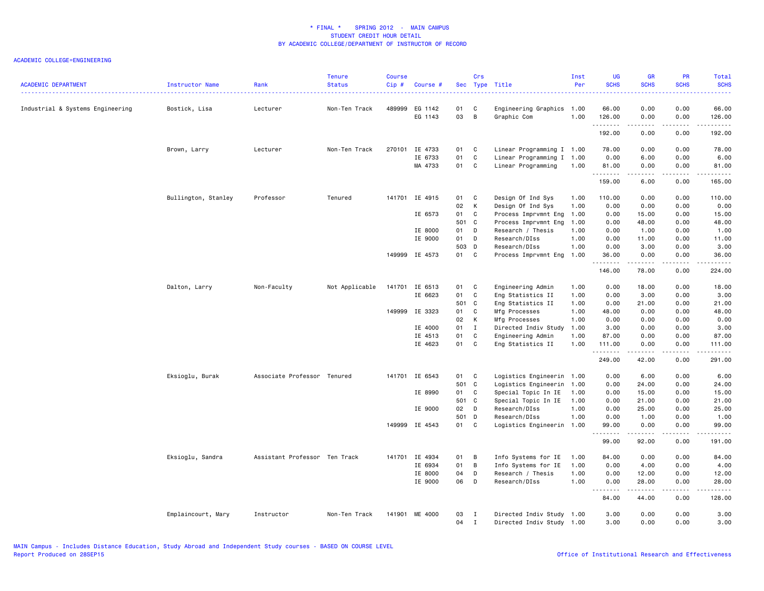| 489999<br>0.00<br>0.00<br>66.00<br>Industrial & Systems Engineering<br>EG 1142<br>01<br>C<br>Engineering Graphics 1.00<br>66.00<br>Bostick, Lisa<br>Lecturer<br>Non-Ten Track<br>03<br>B<br>EG 1143<br>Graphic Com<br>1.00<br>126.00<br>0.00<br>0.00<br>126.00<br>.<br>.<br>$\begin{array}{cccccccccc} \bullet & \bullet & \bullet & \bullet & \bullet & \bullet & \bullet & \bullet \end{array}$<br>.<br>192.00<br>0.00<br>0.00<br>192.00<br>Brown, Larry<br>Lecturer<br>Non-Ten Track<br>270101<br>IE 4733<br>01<br>C<br>Linear Programming I 1.00<br>78.00<br>0.00<br>0.00<br>78.00<br>IE 6733<br>01<br>$\mathbf c$<br>6.00<br>Linear Programming I 1.00<br>0.00<br>0.00<br>6.00<br>MA 4733<br>01<br>C<br>Linear Programming<br>1.00<br>81.00<br>0.00<br>0.00<br>81.00<br>.<br>.<br>$\begin{array}{cccccccccc} \bullet & \bullet & \bullet & \bullet & \bullet & \bullet & \bullet \end{array}$<br>.<br>159.00<br>6.00<br>0.00<br>165.00<br>IE 4915<br>Design Of Ind Sys<br>Bullington, Stanley<br>Professor<br>Tenured<br>141701<br>01<br>C<br>1.00<br>110.00<br>0.00<br>0.00<br>110.00<br>02<br>К<br>Design Of Ind Sys<br>1.00<br>0.00<br>0.00<br>0.00<br>0.00<br>IE 6573<br>01<br>C<br>Process Imprvmnt Eng<br>1.00<br>0.00<br>15.00<br>0.00<br>15.00<br>501 C<br>Process Imprvmnt Eng<br>48.00<br>48.00<br>1.00<br>0.00<br>0.00<br>01<br>D<br>1.00<br>IE 8000<br>Research / Thesis<br>1.00<br>0.00<br>1.00<br>0.00<br>IE 9000<br>01<br>D<br>Research/DIss<br>1.00<br>0.00<br>0.00<br>11.00<br>11.00<br>503 D<br>Research/DIss<br>1.00<br>0.00<br>3.00<br>0.00<br>3.00<br>149999 IE 4573<br>01<br>C <sub>c</sub><br>1.00<br>0.00<br>36.00<br>Process Imprvmnt Eng<br>36.00<br>0.00<br>.<br>.<br>.<br>.<br>146.00<br>78.00<br>0.00<br>224.00<br>Dalton, Larry<br>Non-Faculty<br>Not Applicable<br>141701 IE 6513<br>01<br>C<br>Engineering Admin<br>1.00<br>0.00<br>18.00<br>0.00<br>18.00<br>01<br>C<br>IE 6623<br>Eng Statistics II<br>1.00<br>0.00<br>3.00<br>0.00<br>3.00<br>501 C<br>Eng Statistics II<br>1.00<br>0.00<br>21.00<br>0.00<br>21.00<br>149999 IE 3323<br>01<br>C<br>Mfg Processes<br>1.00<br>0.00<br>48.00<br>48.00<br>0.00<br>02<br>K<br>Mfg Processes<br>1.00<br>0.00<br>0.00<br>0.00<br>0.00<br>01<br>3.00<br>IE 4000<br>$\mathbf{I}$<br>Directed Indiv Study<br>1.00<br>3.00<br>0.00<br>0.00<br>IE 4513<br>01<br>C<br>Engineering Admin<br>1.00<br>87.00<br>0.00<br>0.00<br>87.00<br>IE 4623<br>01<br>C<br>1.00<br>111.00<br>Eng Statistics II<br>111.00<br>0.00<br>0.00<br>.<br>.<br>.<br>$\frac{1}{2} \left( \frac{1}{2} \right) \left( \frac{1}{2} \right) \left( \frac{1}{2} \right) \left( \frac{1}{2} \right) \left( \frac{1}{2} \right)$<br>249.00<br>42.00<br>0.00<br>291.00<br>Logistics Engineerin 1.00<br>Eksioglu, Burak<br>Associate Professor Tenured<br>141701 IE 6543<br>01<br>C<br>0.00<br>6.00<br>0.00<br>6.00<br>501 C<br>Logistics Engineerin<br>1.00<br>0.00<br>24.00<br>0.00<br>24.00<br>01<br>C<br>Special Topic In IE<br>15.00<br>IE 8990<br>1.00<br>0.00<br>15.00<br>0.00<br>501 C<br>Special Topic In IE<br>21.00<br>1.00<br>0.00<br>21.00<br>0.00<br>IE 9000<br>02<br>D<br>Research/DIss<br>1.00<br>0.00<br>25.00<br>0.00<br>25.00<br>501 D<br>Research/DIss<br>1.00<br>0.00<br>1.00<br>0.00<br>1.00<br>149999 IE 4543<br>01<br>C<br>Logistics Engineerin<br>1.00<br>99.00<br>0.00<br>0.00<br>99.00<br>.<br>.<br>.<br>.<br>99.00<br>92.00<br>0.00<br>191.00<br>Eksioglu, Sandra<br>Assistant Professor Ten Track<br>141701 IE 4934<br>Info Systems for IE<br>0.00<br>84.00<br>01<br>B<br>1.00<br>84.00<br>0.00<br>IE 6934<br>01<br>B<br>Info Systems for IE<br>1.00<br>0.00<br>4.00<br>0.00<br>4.00<br>04<br>IE 8000<br>D<br>Research / Thesis<br>1.00<br>0.00<br>12.00<br>0.00<br>12.00<br>06<br>IE 9000<br>D<br>Research/DIss<br>1.00<br>0.00<br>28.00<br>0.00<br>28.00<br>.<br>.<br>.<br>.<br>128.00<br>84.00<br>44.00<br>0.00<br>141901 ME 4000<br>03<br>0.00<br>Emplaincourt, Mary<br>Instructor<br>Non-Ten Track<br>Directed Indiv Study 1.00<br>3.00<br>0.00<br>3.00<br>I<br>04<br>$\mathbf I$<br>Directed Indiv Study 1.00<br>3.00<br>0.00<br>0.00<br>3.00 | <b>ACADEMIC DEPARTMENT</b> | Instructor Name | Rank | <b>Tenure</b><br><b>Status</b> | <b>Course</b><br>Cip# | Course # | Crs | Sec Type Title | Inst<br>Per | <b>UG</b><br><b>SCHS</b> | <b>GR</b><br><b>SCHS</b> | PR<br><b>SCHS</b> | Total<br><b>SCHS</b><br>. |
|--------------------------------------------------------------------------------------------------------------------------------------------------------------------------------------------------------------------------------------------------------------------------------------------------------------------------------------------------------------------------------------------------------------------------------------------------------------------------------------------------------------------------------------------------------------------------------------------------------------------------------------------------------------------------------------------------------------------------------------------------------------------------------------------------------------------------------------------------------------------------------------------------------------------------------------------------------------------------------------------------------------------------------------------------------------------------------------------------------------------------------------------------------------------------------------------------------------------------------------------------------------------------------------------------------------------------------------------------------------------------------------------------------------------------------------------------------------------------------------------------------------------------------------------------------------------------------------------------------------------------------------------------------------------------------------------------------------------------------------------------------------------------------------------------------------------------------------------------------------------------------------------------------------------------------------------------------------------------------------------------------------------------------------------------------------------------------------------------------------------------------------------------------------------------------------------------------------------------------------------------------------------------------------------------------------------------------------------------------------------------------------------------------------------------------------------------------------------------------------------------------------------------------------------------------------------------------------------------------------------------------------------------------------------------------------------------------------------------------------------------------------------------------------------------------------------------------------------------------------------------------------------------------------------------------------------------------------------------------------------------------------------------------------------------------------------------------------------------------------------------------------------------------------------------------------------------------------------------------------------------------------------------------------------------------------------------------------------------------------------------------------------------------------------------------------------------------------------------------------------------------------------------------------------------------------------------------------------------------------------------------------------------------------------------------------------------------------------------------------------------------------------------------------------------------------------------------------------------------------------------------------------------------------------------------------------------------------------------------------------------------------------------------------------------------------------------------------------------------------------------|----------------------------|-----------------|------|--------------------------------|-----------------------|----------|-----|----------------|-------------|--------------------------|--------------------------|-------------------|---------------------------|
|                                                                                                                                                                                                                                                                                                                                                                                                                                                                                                                                                                                                                                                                                                                                                                                                                                                                                                                                                                                                                                                                                                                                                                                                                                                                                                                                                                                                                                                                                                                                                                                                                                                                                                                                                                                                                                                                                                                                                                                                                                                                                                                                                                                                                                                                                                                                                                                                                                                                                                                                                                                                                                                                                                                                                                                                                                                                                                                                                                                                                                                                                                                                                                                                                                                                                                                                                                                                                                                                                                                                                                                                                                                                                                                                                                                                                                                                                                                                                                                                                                                                                                                          |                            |                 |      |                                |                       |          |     |                |             |                          |                          |                   |                           |
|                                                                                                                                                                                                                                                                                                                                                                                                                                                                                                                                                                                                                                                                                                                                                                                                                                                                                                                                                                                                                                                                                                                                                                                                                                                                                                                                                                                                                                                                                                                                                                                                                                                                                                                                                                                                                                                                                                                                                                                                                                                                                                                                                                                                                                                                                                                                                                                                                                                                                                                                                                                                                                                                                                                                                                                                                                                                                                                                                                                                                                                                                                                                                                                                                                                                                                                                                                                                                                                                                                                                                                                                                                                                                                                                                                                                                                                                                                                                                                                                                                                                                                                          |                            |                 |      |                                |                       |          |     |                |             |                          |                          |                   |                           |
|                                                                                                                                                                                                                                                                                                                                                                                                                                                                                                                                                                                                                                                                                                                                                                                                                                                                                                                                                                                                                                                                                                                                                                                                                                                                                                                                                                                                                                                                                                                                                                                                                                                                                                                                                                                                                                                                                                                                                                                                                                                                                                                                                                                                                                                                                                                                                                                                                                                                                                                                                                                                                                                                                                                                                                                                                                                                                                                                                                                                                                                                                                                                                                                                                                                                                                                                                                                                                                                                                                                                                                                                                                                                                                                                                                                                                                                                                                                                                                                                                                                                                                                          |                            |                 |      |                                |                       |          |     |                |             |                          |                          |                   |                           |
|                                                                                                                                                                                                                                                                                                                                                                                                                                                                                                                                                                                                                                                                                                                                                                                                                                                                                                                                                                                                                                                                                                                                                                                                                                                                                                                                                                                                                                                                                                                                                                                                                                                                                                                                                                                                                                                                                                                                                                                                                                                                                                                                                                                                                                                                                                                                                                                                                                                                                                                                                                                                                                                                                                                                                                                                                                                                                                                                                                                                                                                                                                                                                                                                                                                                                                                                                                                                                                                                                                                                                                                                                                                                                                                                                                                                                                                                                                                                                                                                                                                                                                                          |                            |                 |      |                                |                       |          |     |                |             |                          |                          |                   |                           |
|                                                                                                                                                                                                                                                                                                                                                                                                                                                                                                                                                                                                                                                                                                                                                                                                                                                                                                                                                                                                                                                                                                                                                                                                                                                                                                                                                                                                                                                                                                                                                                                                                                                                                                                                                                                                                                                                                                                                                                                                                                                                                                                                                                                                                                                                                                                                                                                                                                                                                                                                                                                                                                                                                                                                                                                                                                                                                                                                                                                                                                                                                                                                                                                                                                                                                                                                                                                                                                                                                                                                                                                                                                                                                                                                                                                                                                                                                                                                                                                                                                                                                                                          |                            |                 |      |                                |                       |          |     |                |             |                          |                          |                   |                           |
|                                                                                                                                                                                                                                                                                                                                                                                                                                                                                                                                                                                                                                                                                                                                                                                                                                                                                                                                                                                                                                                                                                                                                                                                                                                                                                                                                                                                                                                                                                                                                                                                                                                                                                                                                                                                                                                                                                                                                                                                                                                                                                                                                                                                                                                                                                                                                                                                                                                                                                                                                                                                                                                                                                                                                                                                                                                                                                                                                                                                                                                                                                                                                                                                                                                                                                                                                                                                                                                                                                                                                                                                                                                                                                                                                                                                                                                                                                                                                                                                                                                                                                                          |                            |                 |      |                                |                       |          |     |                |             |                          |                          |                   |                           |
|                                                                                                                                                                                                                                                                                                                                                                                                                                                                                                                                                                                                                                                                                                                                                                                                                                                                                                                                                                                                                                                                                                                                                                                                                                                                                                                                                                                                                                                                                                                                                                                                                                                                                                                                                                                                                                                                                                                                                                                                                                                                                                                                                                                                                                                                                                                                                                                                                                                                                                                                                                                                                                                                                                                                                                                                                                                                                                                                                                                                                                                                                                                                                                                                                                                                                                                                                                                                                                                                                                                                                                                                                                                                                                                                                                                                                                                                                                                                                                                                                                                                                                                          |                            |                 |      |                                |                       |          |     |                |             |                          |                          |                   |                           |
|                                                                                                                                                                                                                                                                                                                                                                                                                                                                                                                                                                                                                                                                                                                                                                                                                                                                                                                                                                                                                                                                                                                                                                                                                                                                                                                                                                                                                                                                                                                                                                                                                                                                                                                                                                                                                                                                                                                                                                                                                                                                                                                                                                                                                                                                                                                                                                                                                                                                                                                                                                                                                                                                                                                                                                                                                                                                                                                                                                                                                                                                                                                                                                                                                                                                                                                                                                                                                                                                                                                                                                                                                                                                                                                                                                                                                                                                                                                                                                                                                                                                                                                          |                            |                 |      |                                |                       |          |     |                |             |                          |                          |                   |                           |
|                                                                                                                                                                                                                                                                                                                                                                                                                                                                                                                                                                                                                                                                                                                                                                                                                                                                                                                                                                                                                                                                                                                                                                                                                                                                                                                                                                                                                                                                                                                                                                                                                                                                                                                                                                                                                                                                                                                                                                                                                                                                                                                                                                                                                                                                                                                                                                                                                                                                                                                                                                                                                                                                                                                                                                                                                                                                                                                                                                                                                                                                                                                                                                                                                                                                                                                                                                                                                                                                                                                                                                                                                                                                                                                                                                                                                                                                                                                                                                                                                                                                                                                          |                            |                 |      |                                |                       |          |     |                |             |                          |                          |                   |                           |
|                                                                                                                                                                                                                                                                                                                                                                                                                                                                                                                                                                                                                                                                                                                                                                                                                                                                                                                                                                                                                                                                                                                                                                                                                                                                                                                                                                                                                                                                                                                                                                                                                                                                                                                                                                                                                                                                                                                                                                                                                                                                                                                                                                                                                                                                                                                                                                                                                                                                                                                                                                                                                                                                                                                                                                                                                                                                                                                                                                                                                                                                                                                                                                                                                                                                                                                                                                                                                                                                                                                                                                                                                                                                                                                                                                                                                                                                                                                                                                                                                                                                                                                          |                            |                 |      |                                |                       |          |     |                |             |                          |                          |                   |                           |
|                                                                                                                                                                                                                                                                                                                                                                                                                                                                                                                                                                                                                                                                                                                                                                                                                                                                                                                                                                                                                                                                                                                                                                                                                                                                                                                                                                                                                                                                                                                                                                                                                                                                                                                                                                                                                                                                                                                                                                                                                                                                                                                                                                                                                                                                                                                                                                                                                                                                                                                                                                                                                                                                                                                                                                                                                                                                                                                                                                                                                                                                                                                                                                                                                                                                                                                                                                                                                                                                                                                                                                                                                                                                                                                                                                                                                                                                                                                                                                                                                                                                                                                          |                            |                 |      |                                |                       |          |     |                |             |                          |                          |                   |                           |
|                                                                                                                                                                                                                                                                                                                                                                                                                                                                                                                                                                                                                                                                                                                                                                                                                                                                                                                                                                                                                                                                                                                                                                                                                                                                                                                                                                                                                                                                                                                                                                                                                                                                                                                                                                                                                                                                                                                                                                                                                                                                                                                                                                                                                                                                                                                                                                                                                                                                                                                                                                                                                                                                                                                                                                                                                                                                                                                                                                                                                                                                                                                                                                                                                                                                                                                                                                                                                                                                                                                                                                                                                                                                                                                                                                                                                                                                                                                                                                                                                                                                                                                          |                            |                 |      |                                |                       |          |     |                |             |                          |                          |                   |                           |
|                                                                                                                                                                                                                                                                                                                                                                                                                                                                                                                                                                                                                                                                                                                                                                                                                                                                                                                                                                                                                                                                                                                                                                                                                                                                                                                                                                                                                                                                                                                                                                                                                                                                                                                                                                                                                                                                                                                                                                                                                                                                                                                                                                                                                                                                                                                                                                                                                                                                                                                                                                                                                                                                                                                                                                                                                                                                                                                                                                                                                                                                                                                                                                                                                                                                                                                                                                                                                                                                                                                                                                                                                                                                                                                                                                                                                                                                                                                                                                                                                                                                                                                          |                            |                 |      |                                |                       |          |     |                |             |                          |                          |                   |                           |
|                                                                                                                                                                                                                                                                                                                                                                                                                                                                                                                                                                                                                                                                                                                                                                                                                                                                                                                                                                                                                                                                                                                                                                                                                                                                                                                                                                                                                                                                                                                                                                                                                                                                                                                                                                                                                                                                                                                                                                                                                                                                                                                                                                                                                                                                                                                                                                                                                                                                                                                                                                                                                                                                                                                                                                                                                                                                                                                                                                                                                                                                                                                                                                                                                                                                                                                                                                                                                                                                                                                                                                                                                                                                                                                                                                                                                                                                                                                                                                                                                                                                                                                          |                            |                 |      |                                |                       |          |     |                |             |                          |                          |                   |                           |
|                                                                                                                                                                                                                                                                                                                                                                                                                                                                                                                                                                                                                                                                                                                                                                                                                                                                                                                                                                                                                                                                                                                                                                                                                                                                                                                                                                                                                                                                                                                                                                                                                                                                                                                                                                                                                                                                                                                                                                                                                                                                                                                                                                                                                                                                                                                                                                                                                                                                                                                                                                                                                                                                                                                                                                                                                                                                                                                                                                                                                                                                                                                                                                                                                                                                                                                                                                                                                                                                                                                                                                                                                                                                                                                                                                                                                                                                                                                                                                                                                                                                                                                          |                            |                 |      |                                |                       |          |     |                |             |                          |                          |                   |                           |
|                                                                                                                                                                                                                                                                                                                                                                                                                                                                                                                                                                                                                                                                                                                                                                                                                                                                                                                                                                                                                                                                                                                                                                                                                                                                                                                                                                                                                                                                                                                                                                                                                                                                                                                                                                                                                                                                                                                                                                                                                                                                                                                                                                                                                                                                                                                                                                                                                                                                                                                                                                                                                                                                                                                                                                                                                                                                                                                                                                                                                                                                                                                                                                                                                                                                                                                                                                                                                                                                                                                                                                                                                                                                                                                                                                                                                                                                                                                                                                                                                                                                                                                          |                            |                 |      |                                |                       |          |     |                |             |                          |                          |                   |                           |
|                                                                                                                                                                                                                                                                                                                                                                                                                                                                                                                                                                                                                                                                                                                                                                                                                                                                                                                                                                                                                                                                                                                                                                                                                                                                                                                                                                                                                                                                                                                                                                                                                                                                                                                                                                                                                                                                                                                                                                                                                                                                                                                                                                                                                                                                                                                                                                                                                                                                                                                                                                                                                                                                                                                                                                                                                                                                                                                                                                                                                                                                                                                                                                                                                                                                                                                                                                                                                                                                                                                                                                                                                                                                                                                                                                                                                                                                                                                                                                                                                                                                                                                          |                            |                 |      |                                |                       |          |     |                |             |                          |                          |                   |                           |
|                                                                                                                                                                                                                                                                                                                                                                                                                                                                                                                                                                                                                                                                                                                                                                                                                                                                                                                                                                                                                                                                                                                                                                                                                                                                                                                                                                                                                                                                                                                                                                                                                                                                                                                                                                                                                                                                                                                                                                                                                                                                                                                                                                                                                                                                                                                                                                                                                                                                                                                                                                                                                                                                                                                                                                                                                                                                                                                                                                                                                                                                                                                                                                                                                                                                                                                                                                                                                                                                                                                                                                                                                                                                                                                                                                                                                                                                                                                                                                                                                                                                                                                          |                            |                 |      |                                |                       |          |     |                |             |                          |                          |                   |                           |
|                                                                                                                                                                                                                                                                                                                                                                                                                                                                                                                                                                                                                                                                                                                                                                                                                                                                                                                                                                                                                                                                                                                                                                                                                                                                                                                                                                                                                                                                                                                                                                                                                                                                                                                                                                                                                                                                                                                                                                                                                                                                                                                                                                                                                                                                                                                                                                                                                                                                                                                                                                                                                                                                                                                                                                                                                                                                                                                                                                                                                                                                                                                                                                                                                                                                                                                                                                                                                                                                                                                                                                                                                                                                                                                                                                                                                                                                                                                                                                                                                                                                                                                          |                            |                 |      |                                |                       |          |     |                |             |                          |                          |                   |                           |
|                                                                                                                                                                                                                                                                                                                                                                                                                                                                                                                                                                                                                                                                                                                                                                                                                                                                                                                                                                                                                                                                                                                                                                                                                                                                                                                                                                                                                                                                                                                                                                                                                                                                                                                                                                                                                                                                                                                                                                                                                                                                                                                                                                                                                                                                                                                                                                                                                                                                                                                                                                                                                                                                                                                                                                                                                                                                                                                                                                                                                                                                                                                                                                                                                                                                                                                                                                                                                                                                                                                                                                                                                                                                                                                                                                                                                                                                                                                                                                                                                                                                                                                          |                            |                 |      |                                |                       |          |     |                |             |                          |                          |                   |                           |
|                                                                                                                                                                                                                                                                                                                                                                                                                                                                                                                                                                                                                                                                                                                                                                                                                                                                                                                                                                                                                                                                                                                                                                                                                                                                                                                                                                                                                                                                                                                                                                                                                                                                                                                                                                                                                                                                                                                                                                                                                                                                                                                                                                                                                                                                                                                                                                                                                                                                                                                                                                                                                                                                                                                                                                                                                                                                                                                                                                                                                                                                                                                                                                                                                                                                                                                                                                                                                                                                                                                                                                                                                                                                                                                                                                                                                                                                                                                                                                                                                                                                                                                          |                            |                 |      |                                |                       |          |     |                |             |                          |                          |                   |                           |
|                                                                                                                                                                                                                                                                                                                                                                                                                                                                                                                                                                                                                                                                                                                                                                                                                                                                                                                                                                                                                                                                                                                                                                                                                                                                                                                                                                                                                                                                                                                                                                                                                                                                                                                                                                                                                                                                                                                                                                                                                                                                                                                                                                                                                                                                                                                                                                                                                                                                                                                                                                                                                                                                                                                                                                                                                                                                                                                                                                                                                                                                                                                                                                                                                                                                                                                                                                                                                                                                                                                                                                                                                                                                                                                                                                                                                                                                                                                                                                                                                                                                                                                          |                            |                 |      |                                |                       |          |     |                |             |                          |                          |                   |                           |
|                                                                                                                                                                                                                                                                                                                                                                                                                                                                                                                                                                                                                                                                                                                                                                                                                                                                                                                                                                                                                                                                                                                                                                                                                                                                                                                                                                                                                                                                                                                                                                                                                                                                                                                                                                                                                                                                                                                                                                                                                                                                                                                                                                                                                                                                                                                                                                                                                                                                                                                                                                                                                                                                                                                                                                                                                                                                                                                                                                                                                                                                                                                                                                                                                                                                                                                                                                                                                                                                                                                                                                                                                                                                                                                                                                                                                                                                                                                                                                                                                                                                                                                          |                            |                 |      |                                |                       |          |     |                |             |                          |                          |                   |                           |
|                                                                                                                                                                                                                                                                                                                                                                                                                                                                                                                                                                                                                                                                                                                                                                                                                                                                                                                                                                                                                                                                                                                                                                                                                                                                                                                                                                                                                                                                                                                                                                                                                                                                                                                                                                                                                                                                                                                                                                                                                                                                                                                                                                                                                                                                                                                                                                                                                                                                                                                                                                                                                                                                                                                                                                                                                                                                                                                                                                                                                                                                                                                                                                                                                                                                                                                                                                                                                                                                                                                                                                                                                                                                                                                                                                                                                                                                                                                                                                                                                                                                                                                          |                            |                 |      |                                |                       |          |     |                |             |                          |                          |                   |                           |
|                                                                                                                                                                                                                                                                                                                                                                                                                                                                                                                                                                                                                                                                                                                                                                                                                                                                                                                                                                                                                                                                                                                                                                                                                                                                                                                                                                                                                                                                                                                                                                                                                                                                                                                                                                                                                                                                                                                                                                                                                                                                                                                                                                                                                                                                                                                                                                                                                                                                                                                                                                                                                                                                                                                                                                                                                                                                                                                                                                                                                                                                                                                                                                                                                                                                                                                                                                                                                                                                                                                                                                                                                                                                                                                                                                                                                                                                                                                                                                                                                                                                                                                          |                            |                 |      |                                |                       |          |     |                |             |                          |                          |                   |                           |
|                                                                                                                                                                                                                                                                                                                                                                                                                                                                                                                                                                                                                                                                                                                                                                                                                                                                                                                                                                                                                                                                                                                                                                                                                                                                                                                                                                                                                                                                                                                                                                                                                                                                                                                                                                                                                                                                                                                                                                                                                                                                                                                                                                                                                                                                                                                                                                                                                                                                                                                                                                                                                                                                                                                                                                                                                                                                                                                                                                                                                                                                                                                                                                                                                                                                                                                                                                                                                                                                                                                                                                                                                                                                                                                                                                                                                                                                                                                                                                                                                                                                                                                          |                            |                 |      |                                |                       |          |     |                |             |                          |                          |                   |                           |
|                                                                                                                                                                                                                                                                                                                                                                                                                                                                                                                                                                                                                                                                                                                                                                                                                                                                                                                                                                                                                                                                                                                                                                                                                                                                                                                                                                                                                                                                                                                                                                                                                                                                                                                                                                                                                                                                                                                                                                                                                                                                                                                                                                                                                                                                                                                                                                                                                                                                                                                                                                                                                                                                                                                                                                                                                                                                                                                                                                                                                                                                                                                                                                                                                                                                                                                                                                                                                                                                                                                                                                                                                                                                                                                                                                                                                                                                                                                                                                                                                                                                                                                          |                            |                 |      |                                |                       |          |     |                |             |                          |                          |                   |                           |
|                                                                                                                                                                                                                                                                                                                                                                                                                                                                                                                                                                                                                                                                                                                                                                                                                                                                                                                                                                                                                                                                                                                                                                                                                                                                                                                                                                                                                                                                                                                                                                                                                                                                                                                                                                                                                                                                                                                                                                                                                                                                                                                                                                                                                                                                                                                                                                                                                                                                                                                                                                                                                                                                                                                                                                                                                                                                                                                                                                                                                                                                                                                                                                                                                                                                                                                                                                                                                                                                                                                                                                                                                                                                                                                                                                                                                                                                                                                                                                                                                                                                                                                          |                            |                 |      |                                |                       |          |     |                |             |                          |                          |                   |                           |
|                                                                                                                                                                                                                                                                                                                                                                                                                                                                                                                                                                                                                                                                                                                                                                                                                                                                                                                                                                                                                                                                                                                                                                                                                                                                                                                                                                                                                                                                                                                                                                                                                                                                                                                                                                                                                                                                                                                                                                                                                                                                                                                                                                                                                                                                                                                                                                                                                                                                                                                                                                                                                                                                                                                                                                                                                                                                                                                                                                                                                                                                                                                                                                                                                                                                                                                                                                                                                                                                                                                                                                                                                                                                                                                                                                                                                                                                                                                                                                                                                                                                                                                          |                            |                 |      |                                |                       |          |     |                |             |                          |                          |                   |                           |
|                                                                                                                                                                                                                                                                                                                                                                                                                                                                                                                                                                                                                                                                                                                                                                                                                                                                                                                                                                                                                                                                                                                                                                                                                                                                                                                                                                                                                                                                                                                                                                                                                                                                                                                                                                                                                                                                                                                                                                                                                                                                                                                                                                                                                                                                                                                                                                                                                                                                                                                                                                                                                                                                                                                                                                                                                                                                                                                                                                                                                                                                                                                                                                                                                                                                                                                                                                                                                                                                                                                                                                                                                                                                                                                                                                                                                                                                                                                                                                                                                                                                                                                          |                            |                 |      |                                |                       |          |     |                |             |                          |                          |                   |                           |
|                                                                                                                                                                                                                                                                                                                                                                                                                                                                                                                                                                                                                                                                                                                                                                                                                                                                                                                                                                                                                                                                                                                                                                                                                                                                                                                                                                                                                                                                                                                                                                                                                                                                                                                                                                                                                                                                                                                                                                                                                                                                                                                                                                                                                                                                                                                                                                                                                                                                                                                                                                                                                                                                                                                                                                                                                                                                                                                                                                                                                                                                                                                                                                                                                                                                                                                                                                                                                                                                                                                                                                                                                                                                                                                                                                                                                                                                                                                                                                                                                                                                                                                          |                            |                 |      |                                |                       |          |     |                |             |                          |                          |                   |                           |
|                                                                                                                                                                                                                                                                                                                                                                                                                                                                                                                                                                                                                                                                                                                                                                                                                                                                                                                                                                                                                                                                                                                                                                                                                                                                                                                                                                                                                                                                                                                                                                                                                                                                                                                                                                                                                                                                                                                                                                                                                                                                                                                                                                                                                                                                                                                                                                                                                                                                                                                                                                                                                                                                                                                                                                                                                                                                                                                                                                                                                                                                                                                                                                                                                                                                                                                                                                                                                                                                                                                                                                                                                                                                                                                                                                                                                                                                                                                                                                                                                                                                                                                          |                            |                 |      |                                |                       |          |     |                |             |                          |                          |                   |                           |
|                                                                                                                                                                                                                                                                                                                                                                                                                                                                                                                                                                                                                                                                                                                                                                                                                                                                                                                                                                                                                                                                                                                                                                                                                                                                                                                                                                                                                                                                                                                                                                                                                                                                                                                                                                                                                                                                                                                                                                                                                                                                                                                                                                                                                                                                                                                                                                                                                                                                                                                                                                                                                                                                                                                                                                                                                                                                                                                                                                                                                                                                                                                                                                                                                                                                                                                                                                                                                                                                                                                                                                                                                                                                                                                                                                                                                                                                                                                                                                                                                                                                                                                          |                            |                 |      |                                |                       |          |     |                |             |                          |                          |                   |                           |
|                                                                                                                                                                                                                                                                                                                                                                                                                                                                                                                                                                                                                                                                                                                                                                                                                                                                                                                                                                                                                                                                                                                                                                                                                                                                                                                                                                                                                                                                                                                                                                                                                                                                                                                                                                                                                                                                                                                                                                                                                                                                                                                                                                                                                                                                                                                                                                                                                                                                                                                                                                                                                                                                                                                                                                                                                                                                                                                                                                                                                                                                                                                                                                                                                                                                                                                                                                                                                                                                                                                                                                                                                                                                                                                                                                                                                                                                                                                                                                                                                                                                                                                          |                            |                 |      |                                |                       |          |     |                |             |                          |                          |                   |                           |
|                                                                                                                                                                                                                                                                                                                                                                                                                                                                                                                                                                                                                                                                                                                                                                                                                                                                                                                                                                                                                                                                                                                                                                                                                                                                                                                                                                                                                                                                                                                                                                                                                                                                                                                                                                                                                                                                                                                                                                                                                                                                                                                                                                                                                                                                                                                                                                                                                                                                                                                                                                                                                                                                                                                                                                                                                                                                                                                                                                                                                                                                                                                                                                                                                                                                                                                                                                                                                                                                                                                                                                                                                                                                                                                                                                                                                                                                                                                                                                                                                                                                                                                          |                            |                 |      |                                |                       |          |     |                |             |                          |                          |                   |                           |
|                                                                                                                                                                                                                                                                                                                                                                                                                                                                                                                                                                                                                                                                                                                                                                                                                                                                                                                                                                                                                                                                                                                                                                                                                                                                                                                                                                                                                                                                                                                                                                                                                                                                                                                                                                                                                                                                                                                                                                                                                                                                                                                                                                                                                                                                                                                                                                                                                                                                                                                                                                                                                                                                                                                                                                                                                                                                                                                                                                                                                                                                                                                                                                                                                                                                                                                                                                                                                                                                                                                                                                                                                                                                                                                                                                                                                                                                                                                                                                                                                                                                                                                          |                            |                 |      |                                |                       |          |     |                |             |                          |                          |                   |                           |
|                                                                                                                                                                                                                                                                                                                                                                                                                                                                                                                                                                                                                                                                                                                                                                                                                                                                                                                                                                                                                                                                                                                                                                                                                                                                                                                                                                                                                                                                                                                                                                                                                                                                                                                                                                                                                                                                                                                                                                                                                                                                                                                                                                                                                                                                                                                                                                                                                                                                                                                                                                                                                                                                                                                                                                                                                                                                                                                                                                                                                                                                                                                                                                                                                                                                                                                                                                                                                                                                                                                                                                                                                                                                                                                                                                                                                                                                                                                                                                                                                                                                                                                          |                            |                 |      |                                |                       |          |     |                |             |                          |                          |                   |                           |
|                                                                                                                                                                                                                                                                                                                                                                                                                                                                                                                                                                                                                                                                                                                                                                                                                                                                                                                                                                                                                                                                                                                                                                                                                                                                                                                                                                                                                                                                                                                                                                                                                                                                                                                                                                                                                                                                                                                                                                                                                                                                                                                                                                                                                                                                                                                                                                                                                                                                                                                                                                                                                                                                                                                                                                                                                                                                                                                                                                                                                                                                                                                                                                                                                                                                                                                                                                                                                                                                                                                                                                                                                                                                                                                                                                                                                                                                                                                                                                                                                                                                                                                          |                            |                 |      |                                |                       |          |     |                |             |                          |                          |                   |                           |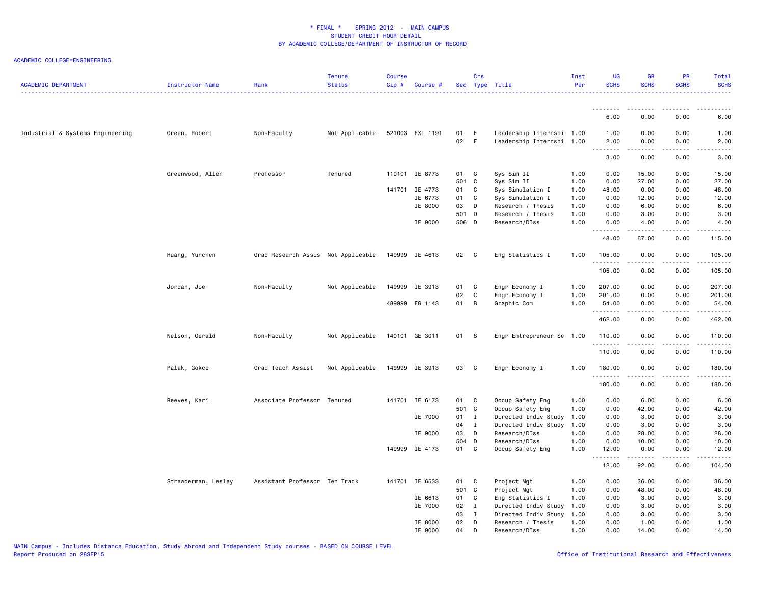| <b>ACADEMIC DEPARTMENT</b>       | Instructor Name     | Rank                               | <b>Tenure</b><br><b>Status</b> | <b>Course</b><br>Cip# | Course #        |          | Crs          | Sec Type Title                                         | Inst<br>Per | <b>UG</b><br><b>SCHS</b>                                                                                                                                                                                        | <b>GR</b><br><b>SCHS</b>                                                                                                                                     | <b>PR</b><br><b>SCHS</b> | Total<br><b>SCHS</b>                                                                                                                                         |
|----------------------------------|---------------------|------------------------------------|--------------------------------|-----------------------|-----------------|----------|--------------|--------------------------------------------------------|-------------|-----------------------------------------------------------------------------------------------------------------------------------------------------------------------------------------------------------------|--------------------------------------------------------------------------------------------------------------------------------------------------------------|--------------------------|--------------------------------------------------------------------------------------------------------------------------------------------------------------|
|                                  |                     |                                    |                                |                       |                 |          |              |                                                        |             |                                                                                                                                                                                                                 |                                                                                                                                                              |                          |                                                                                                                                                              |
|                                  |                     |                                    |                                |                       |                 |          |              |                                                        |             | 6.00                                                                                                                                                                                                            | 0.00                                                                                                                                                         | 0.00                     | 6.00                                                                                                                                                         |
| Industrial & Systems Engineering | Green, Robert       | Non-Faculty                        | Not Applicable                 |                       | 521003 EXL 1191 | 01<br>02 | E<br>E       | Leadership Internshi 1.00<br>Leadership Internshi 1.00 |             | 1.00<br>2.00                                                                                                                                                                                                    | 0.00<br>0.00                                                                                                                                                 | 0.00<br>0.00             | 1.00<br>2.00                                                                                                                                                 |
|                                  |                     |                                    |                                |                       |                 |          |              |                                                        |             | $\frac{1}{2} \left( \frac{1}{2} \right) \left( \frac{1}{2} \right) \left( \frac{1}{2} \right) \left( \frac{1}{2} \right) \left( \frac{1}{2} \right) \left( \frac{1}{2} \right)$<br>$\sim$ $\sim$ $\sim$<br>3.00 | -----<br>0.00                                                                                                                                                | .<br>0.00                | $\frac{1}{2} \left( \frac{1}{2} \right) \left( \frac{1}{2} \right) \left( \frac{1}{2} \right) \left( \frac{1}{2} \right) \left( \frac{1}{2} \right)$<br>3.00 |
|                                  | Greenwood, Allen    | Professor                          | Tenured                        | 110101                | IE 8773         | 01       | C            | Sys Sim II                                             | 1.00        | 0.00                                                                                                                                                                                                            | 15.00                                                                                                                                                        | 0.00                     | 15.00                                                                                                                                                        |
|                                  |                     |                                    |                                |                       |                 | 501      | C            | Sys Sim II                                             | 1.00        | 0.00                                                                                                                                                                                                            | 27.00                                                                                                                                                        | 0.00                     | 27.00                                                                                                                                                        |
|                                  |                     |                                    |                                |                       | 141701 IE 4773  | 01       | C            | Sys Simulation I                                       | 1.00        | 48.00                                                                                                                                                                                                           | 0.00                                                                                                                                                         | 0.00                     | 48.00                                                                                                                                                        |
|                                  |                     |                                    |                                |                       | IE 6773         | 01       | C            | Sys Simulation I                                       | 1.00        | 0.00                                                                                                                                                                                                            | 12.00                                                                                                                                                        | 0.00                     | 12.00                                                                                                                                                        |
|                                  |                     |                                    |                                |                       | IE 8000         | 03       | D            | Research / Thesis                                      | 1.00        | 0.00                                                                                                                                                                                                            | 6.00                                                                                                                                                         | 0.00                     | 6.00                                                                                                                                                         |
|                                  |                     |                                    |                                |                       |                 | 501      | D            | Research / Thesis                                      | 1.00        | 0.00                                                                                                                                                                                                            | 3.00                                                                                                                                                         | 0.00                     | 3.00                                                                                                                                                         |
|                                  |                     |                                    |                                |                       | IE 9000         | 506 D    |              | Research/DIss                                          | 1.00        | 0.00<br>.                                                                                                                                                                                                       | 4.00<br>$\frac{1}{2} \left( \frac{1}{2} \right) \left( \frac{1}{2} \right) \left( \frac{1}{2} \right) \left( \frac{1}{2} \right) \left( \frac{1}{2} \right)$ | 0.00<br>.                | 4.00<br>.                                                                                                                                                    |
|                                  |                     |                                    |                                |                       |                 |          |              |                                                        |             | 48.00                                                                                                                                                                                                           | 67.00                                                                                                                                                        | 0.00                     | 115.00                                                                                                                                                       |
|                                  | Huang, Yunchen      | Grad Research Assis Not Applicable |                                |                       | 149999 IE 4613  | 02       | C            | Eng Statistics I                                       | 1.00        | 105.00<br>.                                                                                                                                                                                                     | 0.00<br>$\frac{1}{2}$                                                                                                                                        | 0.00<br>.                | 105.00<br>.                                                                                                                                                  |
|                                  |                     |                                    |                                |                       |                 |          |              |                                                        |             | 105.00                                                                                                                                                                                                          | 0.00                                                                                                                                                         | 0.00                     | 105.00                                                                                                                                                       |
|                                  | Jordan, Joe         | Non-Faculty                        | Not Applicable                 |                       | 149999 IE 3913  | 01       | C            | Engr Economy I                                         | 1.00        | 207.00                                                                                                                                                                                                          | 0.00                                                                                                                                                         | 0.00                     | 207.00                                                                                                                                                       |
|                                  |                     |                                    |                                |                       |                 | 02       | C            | Engr Economy I                                         | 1.00        | 201.00                                                                                                                                                                                                          | 0.00                                                                                                                                                         | 0.00                     | 201.00                                                                                                                                                       |
|                                  |                     |                                    |                                |                       | 489999 EG 1143  | 01       | B            | Graphic Com                                            | 1.00        | 54.00<br>.                                                                                                                                                                                                      | 0.00<br>$\sim$ $\sim$ $\sim$ $\sim$                                                                                                                          | 0.00<br>$\sim$ - - -     | 54.00<br>.                                                                                                                                                   |
|                                  |                     |                                    |                                |                       |                 |          |              |                                                        |             | 462.00                                                                                                                                                                                                          | 0.00                                                                                                                                                         | 0.00                     | 462.00                                                                                                                                                       |
|                                  | Nelson, Gerald      | Non-Faculty                        | Not Applicable                 |                       | 140101 GE 3011  | 01 S     |              | Engr Entrepreneur Se 1.00                              |             | 110.00<br>.                                                                                                                                                                                                     | 0.00                                                                                                                                                         | 0.00                     | 110.00                                                                                                                                                       |
|                                  |                     |                                    |                                |                       |                 |          |              |                                                        |             | 110.00                                                                                                                                                                                                          | 0.00                                                                                                                                                         | 0.00                     | 110.00                                                                                                                                                       |
|                                  | Palak, Gokce        | Grad Teach Assist                  | Not Applicable                 |                       | 149999 IE 3913  | 03       | C            | Engr Economy I                                         | 1.00        | 180.00                                                                                                                                                                                                          | 0.00                                                                                                                                                         | 0.00                     | 180.00                                                                                                                                                       |
|                                  |                     |                                    |                                |                       |                 |          |              |                                                        |             | 180.00                                                                                                                                                                                                          | 0.00                                                                                                                                                         | 0.00                     | 180.00                                                                                                                                                       |
|                                  | Reeves, Kari        | Associate Professor Tenured        |                                |                       | 141701 IE 6173  | 01       | C            | Occup Safety Eng                                       | 1.00        | 0.00                                                                                                                                                                                                            | 6.00                                                                                                                                                         | 0.00                     | 6.00                                                                                                                                                         |
|                                  |                     |                                    |                                |                       |                 | 501      | $\mathbf{C}$ | Occup Safety Eng                                       | 1.00        | 0.00                                                                                                                                                                                                            | 42.00                                                                                                                                                        | 0.00                     | 42.00                                                                                                                                                        |
|                                  |                     |                                    |                                |                       | IE 7000         | 01       | $\mathbf{I}$ | Directed Indiv Study                                   | 1.00        | 0.00                                                                                                                                                                                                            | 3.00                                                                                                                                                         | 0.00                     | 3.00                                                                                                                                                         |
|                                  |                     |                                    |                                |                       |                 | 04       | $\mathbf{I}$ | Directed Indiv Study                                   | 1.00        | 0.00                                                                                                                                                                                                            | 3.00                                                                                                                                                         | 0.00                     | 3.00                                                                                                                                                         |
|                                  |                     |                                    |                                |                       | IE 9000         | 03       | D            | Research/DIss                                          | 1.00        | 0.00                                                                                                                                                                                                            | 28.00                                                                                                                                                        | 0.00                     | 28.00                                                                                                                                                        |
|                                  |                     |                                    |                                |                       |                 | 504 D    |              | Research/DIss                                          | 1.00        | 0.00                                                                                                                                                                                                            | 10.00                                                                                                                                                        | 0.00                     | 10.00                                                                                                                                                        |
|                                  |                     |                                    |                                |                       | 149999 IE 4173  | 01 C     |              | Occup Safety Eng                                       | 1.00        | 12.00<br>.                                                                                                                                                                                                      | 0.00<br>$\frac{1}{2} \left( \frac{1}{2} \right) \left( \frac{1}{2} \right) \left( \frac{1}{2} \right) \left( \frac{1}{2} \right) \left( \frac{1}{2} \right)$ | 0.00                     | 12.00<br>.                                                                                                                                                   |
|                                  |                     |                                    |                                |                       |                 |          |              |                                                        |             | 12.00                                                                                                                                                                                                           | 92.00                                                                                                                                                        | 0.00                     | 104.00                                                                                                                                                       |
|                                  | Strawderman, Lesley | Assistant Professor Ten Track      |                                |                       | 141701 IE 6533  | 01       | C            | Project Mgt                                            | 1.00        | 0.00                                                                                                                                                                                                            | 36.00                                                                                                                                                        | 0.00                     | 36.00                                                                                                                                                        |
|                                  |                     |                                    |                                |                       |                 | 501 C    |              | Project Mgt                                            | 1.00        | 0.00                                                                                                                                                                                                            | 48.00                                                                                                                                                        | 0.00                     | 48.00                                                                                                                                                        |
|                                  |                     |                                    |                                |                       | IE 6613         | 01       | C            | Eng Statistics I                                       | 1.00        | 0.00                                                                                                                                                                                                            | 3.00                                                                                                                                                         | 0.00                     | 3.00                                                                                                                                                         |
|                                  |                     |                                    |                                |                       | IE 7000         | 02       | $\mathbf{I}$ | Directed Indiv Study                                   | 1.00        | 0.00                                                                                                                                                                                                            | 3.00                                                                                                                                                         | 0.00                     | 3.00                                                                                                                                                         |
|                                  |                     |                                    |                                |                       |                 | 03       | $\mathbf{I}$ | Directed Indiv Study                                   | 1.00        | 0.00                                                                                                                                                                                                            | 3.00                                                                                                                                                         | 0.00                     | 3.00                                                                                                                                                         |
|                                  |                     |                                    |                                |                       | IE 8000         | 02       | D            | Research / Thesis                                      | 1.00        | 0.00                                                                                                                                                                                                            | 1.00                                                                                                                                                         | 0.00                     | 1.00                                                                                                                                                         |
|                                  |                     |                                    |                                |                       | IE 9000         | 04       | D            | Research/DIss                                          | 1.00        | 0.00                                                                                                                                                                                                            | 14.00                                                                                                                                                        | 0.00                     | 14.00                                                                                                                                                        |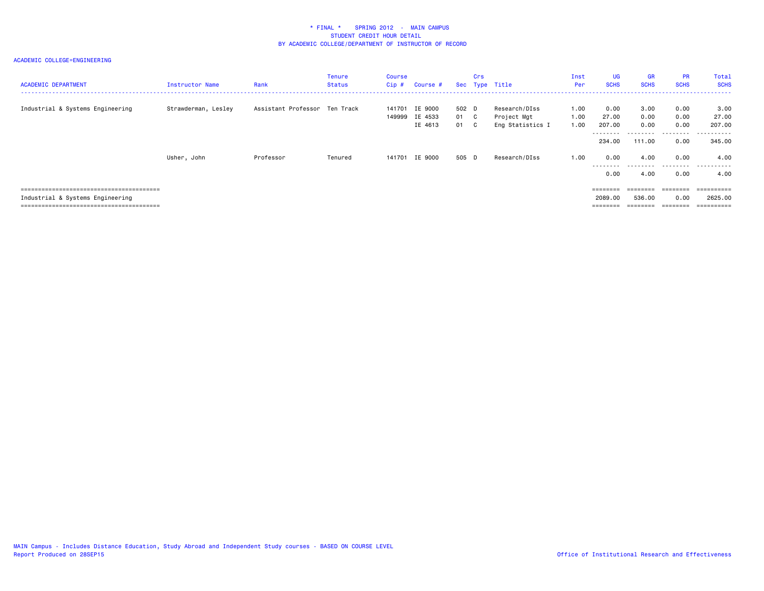| <b>ACADEMIC DEPARTMENT</b>       | Instructor Name     | Rank                          | Tenure<br>Status | Course<br>Cip# | Course #                             |                       | Crs | Sec Type Title                                   | Inst<br>Per          | <b>UG</b><br><b>SCHS</b>                       | <b>GR</b><br><b>SCHS</b>                    | <b>PR</b><br><b>SCHS</b>          | Total<br><b>SCHS</b>                   |
|----------------------------------|---------------------|-------------------------------|------------------|----------------|--------------------------------------|-----------------------|-----|--------------------------------------------------|----------------------|------------------------------------------------|---------------------------------------------|-----------------------------------|----------------------------------------|
| Industrial & Systems Engineering | Strawderman, Lesley | Assistant Professor Ten Track |                  | 141701         | IE 9000<br>149999 IE 4533<br>IE 4613 | 502 D<br>01 C<br>01 C |     | Research/DIss<br>Project Mgt<br>Eng Statistics I | 1.00<br>1.00<br>1.00 | 0.00<br>27.00<br>207.00<br>---------<br>234,00 | 3.00<br>0.00<br>0.00<br>---------<br>111.00 | 0.00<br>0.00<br>0.00<br>.<br>0.00 | 3.00<br>27.00<br>207.00<br>.<br>345,00 |
|                                  | Usher, John         | Professor                     | Tenured          | 141701         | IE 9000                              | 505 D                 |     | Research/DIss                                    | 1.00                 | 0.00<br>--------<br>0.00                       | 4.00<br>4.00                                | 0.00<br>.<br>0.00                 | 4.00<br>.<br>4.00                      |
| Industrial & Systems Engineering |                     |                               |                  |                |                                      |                       |     |                                                  |                      | $=$ = = = = = = =<br>2089.00<br>========       | ========<br>536.00<br>========              | ========<br>0.00                  | ==========<br>2625.00<br>==========    |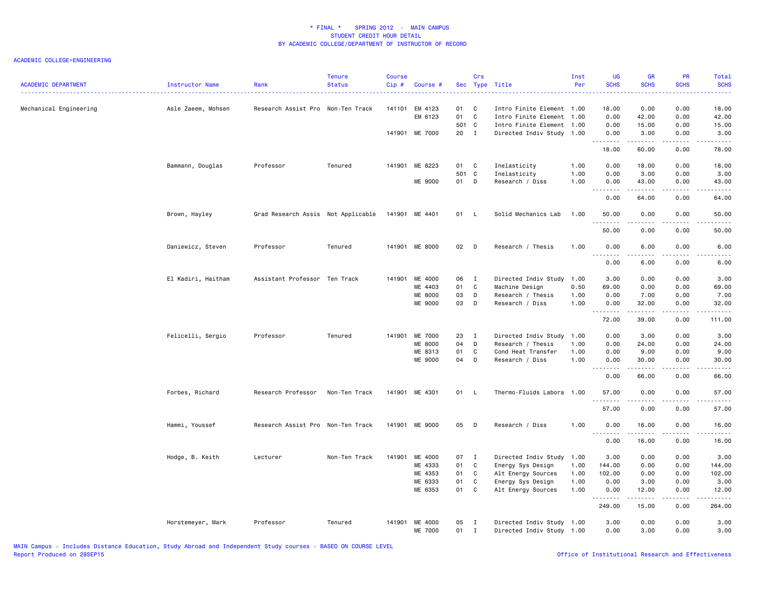| <b>ACADEMIC DEPARTMENT</b> | Instructor Name    | Rank                               | <b>Tenure</b><br><b>Status</b> | <b>Course</b><br>Cip# | Course #                  |               | Crs            | Sec Type Title                                         | Inst<br>Per | <b>UG</b><br><b>SCHS</b> | GR<br><b>SCHS</b>                         | PR<br><b>SCHS</b>                   | Total<br><b>SCHS</b>                        |
|----------------------------|--------------------|------------------------------------|--------------------------------|-----------------------|---------------------------|---------------|----------------|--------------------------------------------------------|-------------|--------------------------|-------------------------------------------|-------------------------------------|---------------------------------------------|
| Mechanical Engineering     | Asle Zaeem, Mohsen | Research Assist Pro Non-Ten Track  |                                |                       | 141101 EM 4123<br>EM 6123 | 01<br>01      | C<br>C         | Intro Finite Element 1.00<br>Intro Finite Element 1.00 |             | 18.00<br>0.00            | 0.00<br>42.00                             | 0.00<br>0.00                        | 18.00<br>42.00                              |
|                            |                    |                                    |                                |                       | 141901 ME 7000            | 501 C<br>20 I |                | Intro Finite Element 1.00<br>Directed Indiv Study 1.00 |             | 0.00<br>0.00             | 15.00<br>3.00                             | 0.00<br>0.00                        | 15.00<br>3.00                               |
|                            |                    |                                    |                                |                       |                           |               |                |                                                        |             | .<br>18.00               | $\sim$ $\sim$ $\sim$ $\sim$<br>60.00      | .<br>0.00                           | .<br>78.00                                  |
|                            | Bammann, Douglas   | Professor                          | Tenured                        |                       | 141901 ME 8223            | 01            | C <sub>1</sub> | Inelasticity                                           | 1.00        | 0.00                     | 18.00                                     | 0.00                                | 18.00                                       |
|                            |                    |                                    |                                |                       |                           | 501 C         |                | Inelasticity                                           | 1.00        | 0.00                     | 3.00                                      | 0.00                                | 3.00                                        |
|                            |                    |                                    |                                |                       | ME 9000                   | 01            | D              | Research / Diss                                        | 1.00        | 0.00<br>.                | 43.00                                     | 0.00<br>$  -$                       | 43.00<br>$\frac{1}{2}$                      |
|                            |                    |                                    |                                |                       |                           |               |                |                                                        |             | 0.00                     | 64.00                                     | 0.00                                | 64.00                                       |
|                            | Brown, Hayley      | Grad Research Assis Not Applicable |                                |                       | 141901 ME 4401            | 01 L          |                | Solid Mechanics Lab                                    | 1.00        | 50.00<br>.               | 0.00<br>.                                 | 0.00<br>$\frac{1}{2}$               | 50.00<br>$\sim$ $\sim$ $\sim$ $\sim$ $\sim$ |
|                            |                    |                                    |                                |                       |                           |               |                |                                                        |             | 50.00                    | 0.00                                      | 0.00                                | 50.00                                       |
|                            | Daniewicz, Steven  | Professor                          | Tenured                        |                       | 141901 ME 8000            | 02 D          |                | Research / Thesis                                      | 1.00        | 0.00<br>.                | 6.00<br>.                                 | 0.00<br>.                           | 6.00<br>-----                               |
|                            |                    |                                    |                                |                       |                           |               |                |                                                        |             | 0.00                     | 6.00                                      | 0.00                                | 6.00                                        |
|                            | El Kadiri, Haitham | Assistant Professor Ten Track      |                                |                       | 141901 ME 4000            | 06 I          |                | Directed Indiv Study                                   | 1.00        | 3.00                     | 0.00                                      | 0.00                                | 3.00                                        |
|                            |                    |                                    |                                |                       | ME 4403                   | 01            | C              | Machine Design                                         | 0.50        | 69.00                    | 0.00                                      | 0.00                                | 69.00                                       |
|                            |                    |                                    |                                |                       | ME 8000                   | 03            | D              | Research / Thesis                                      | 1.00        | 0.00                     | 7.00                                      | 0.00                                | 7.00                                        |
|                            |                    |                                    |                                |                       | ME 9000                   | 03            | D              | Research / Diss                                        | 1.00        | 0.00<br>.                | 32.00<br>.                                | 0.00<br>.                           | 32.00<br>.                                  |
|                            |                    |                                    |                                |                       |                           |               |                |                                                        |             | 72.00                    | 39.00                                     | 0.00                                | 111.00                                      |
|                            | Felicelli, Sergio  | Professor                          | Tenured                        | 141901                | ME 7000                   | 23            | $\mathbf{I}$   | Directed Indiv Study                                   | 1.00        | 0.00                     | 3.00                                      | 0.00                                | 3.00                                        |
|                            |                    |                                    |                                |                       | ME 8000                   | 04            | D              | Research / Thesis                                      | 1.00        | 0.00                     | 24.00                                     | 0.00                                | 24.00                                       |
|                            |                    |                                    |                                |                       | ME 8313                   | 01            | C              | Cond Heat Transfer                                     | 1.00        | 0.00                     | 9.00                                      | 0.00                                | 9.00                                        |
|                            |                    |                                    |                                |                       | ME 9000                   | 04            | D              | Research / Diss                                        | 1.00        | 0.00<br>.                | 30.00<br>$\omega$ is $\omega$ in $\omega$ | 0.00<br>$\sim$ $\sim$ $\sim$ $\sim$ | 30.00<br>د د د د د                          |
|                            |                    |                                    |                                |                       |                           |               |                |                                                        |             | 0.00                     | 66.00                                     | 0.00                                | 66.00                                       |
|                            | Forbes, Richard    | Research Professor                 | Non-Ten Track                  |                       | 141901 ME 4301            | 01            | - L            | Thermo-Fluids Labora                                   | 1.00        | 57.00<br>.               | 0.00                                      | 0.00                                | 57.00<br>$\frac{1}{2}$                      |
|                            |                    |                                    |                                |                       |                           |               |                |                                                        |             | 57.00                    | 0.00                                      | 0.00                                | 57.00                                       |
|                            | Hammi, Youssef     | Research Assist Pro Non-Ten Track  |                                |                       | 141901 ME 9000            | 05            | $\mathsf{D}$   | Research / Diss                                        | 1.00        | 0.00<br>.                | 16.00                                     | 0.00                                | 16.00                                       |
|                            |                    |                                    |                                |                       |                           |               |                |                                                        |             | 0.00                     | 16.00                                     | 0.00                                | 16.00                                       |
|                            | Hodge, B. Keith    | Lecturer                           | Non-Ten Track                  | 141901                | ME 4000                   | 07 I          |                | Directed Indiv Study                                   | 1.00        | 3.00                     | 0.00                                      | 0.00                                | 3.00                                        |
|                            |                    |                                    |                                |                       | ME 4333                   | 01            | C              | Energy Sys Design                                      | 1.00        | 144.00                   | 0.00                                      | 0.00                                | 144.00                                      |
|                            |                    |                                    |                                |                       | ME 4353                   | 01            | C              | Alt Energy Sources                                     | 1.00        | 102.00                   | 0.00                                      | 0.00                                | 102.00                                      |
|                            |                    |                                    |                                |                       | ME 6333                   | 01            | C              | Energy Sys Design                                      | 1.00        | 0.00                     | 3.00                                      | 0.00                                | 3.00                                        |
|                            |                    |                                    |                                |                       | ME 6353                   | 01            | C              | Alt Energy Sources                                     | 1.00        | 0.00<br>.                | 12.00<br>.                                | 0.00<br>.                           | 12.00<br><u>.</u>                           |
|                            |                    |                                    |                                |                       |                           |               |                |                                                        |             | 249.00                   | 15.00                                     | 0.00                                | 264.00                                      |
|                            | Horstemeyer, Mark  | Professor                          | Tenured                        |                       | 141901 ME 4000<br>ME 7000 | 05<br>01 I    | I              | Directed Indiv Study 1.00<br>Directed Indiv Study 1.00 |             | 3.00<br>0.00             | 0.00<br>3.00                              | 0.00<br>0.00                        | 3.00<br>3.00                                |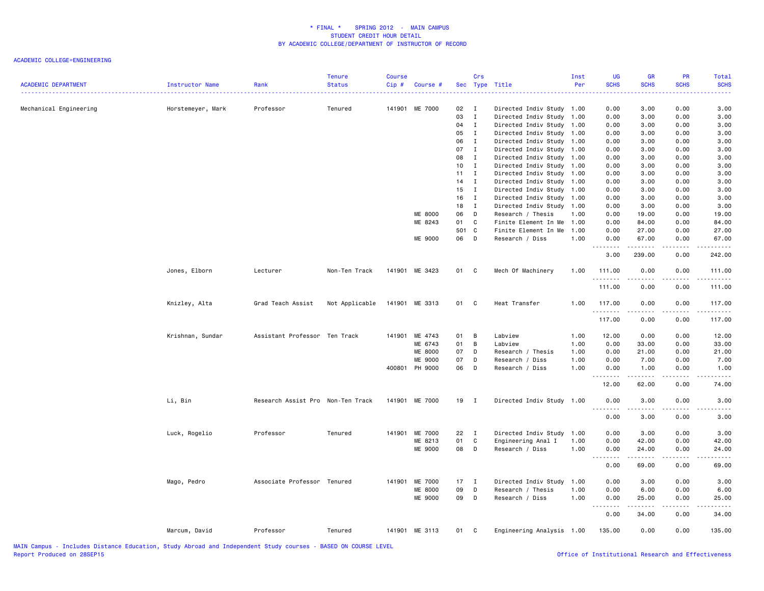| <b>ACADEMIC DEPARTMENT</b> | Instructor Name   | Rank                              | <b>Tenure</b><br><b>Status</b> | <b>Course</b><br>Cip# | Course #       |                 | Crs          | Sec Type Title            | Inst<br>Per | <b>UG</b><br><b>SCHS</b><br>$\frac{1}{2} \left( \frac{1}{2} \right) \left( \frac{1}{2} \right) \left( \frac{1}{2} \right)$ | <b>GR</b><br><b>SCHS</b>                                                                                                                             | <b>PR</b><br><b>SCHS</b>     | Total<br><b>SCHS</b><br>. |
|----------------------------|-------------------|-----------------------------------|--------------------------------|-----------------------|----------------|-----------------|--------------|---------------------------|-------------|----------------------------------------------------------------------------------------------------------------------------|------------------------------------------------------------------------------------------------------------------------------------------------------|------------------------------|---------------------------|
| Mechanical Engineering     | Horstemeyer, Mark | Professor                         | Tenured                        |                       | 141901 ME 7000 | 02 I            |              | Directed Indiv Study 1.00 |             | 0.00                                                                                                                       | 3.00                                                                                                                                                 | 0.00                         | 3.00                      |
|                            |                   |                                   |                                |                       |                | 03              | $\mathbf I$  | Directed Indiv Study 1.00 |             | 0.00                                                                                                                       | 3.00                                                                                                                                                 | 0.00                         | 3.00                      |
|                            |                   |                                   |                                |                       |                | 04              | $\mathbf{I}$ | Directed Indiv Study 1.00 |             | 0.00                                                                                                                       | 3.00                                                                                                                                                 | 0.00                         | 3.00                      |
|                            |                   |                                   |                                |                       |                | 05              | $\mathbf{I}$ | Directed Indiv Study 1.00 |             | 0.00                                                                                                                       | 3.00                                                                                                                                                 | 0.00                         | 3.00                      |
|                            |                   |                                   |                                |                       |                | 06              | $\mathbf{I}$ | Directed Indiv Study 1.00 |             | 0.00                                                                                                                       | 3.00                                                                                                                                                 | 0.00                         | 3.00                      |
|                            |                   |                                   |                                |                       |                | 07              | $\mathbf{I}$ | Directed Indiv Study 1.00 |             | 0.00                                                                                                                       | 3.00                                                                                                                                                 | 0.00                         | 3.00                      |
|                            |                   |                                   |                                |                       |                | 08              | $\mathbf{I}$ | Directed Indiv Study 1.00 |             | 0.00                                                                                                                       | 3.00                                                                                                                                                 | 0.00                         | 3.00                      |
|                            |                   |                                   |                                |                       |                | 10 <sub>1</sub> | $\mathbf{I}$ | Directed Indiv Study 1.00 |             | 0.00                                                                                                                       | 3.00                                                                                                                                                 | 0.00                         | 3.00                      |
|                            |                   |                                   |                                |                       |                | 11              | $\mathbf{I}$ | Directed Indiv Study 1.00 |             | 0.00                                                                                                                       | 3.00                                                                                                                                                 | 0.00                         | 3.00                      |
|                            |                   |                                   |                                |                       |                | $14$ I          |              | Directed Indiv Study 1.00 |             | 0.00                                                                                                                       | 3.00                                                                                                                                                 | 0.00                         | 3.00                      |
|                            |                   |                                   |                                |                       |                | $15$ I          |              | Directed Indiv Study 1.00 |             | 0.00                                                                                                                       | 3.00                                                                                                                                                 | 0.00                         | 3.00                      |
|                            |                   |                                   |                                |                       |                | 16 I            |              | Directed Indiv Study 1.00 |             | 0.00                                                                                                                       | 3.00                                                                                                                                                 | 0.00                         | 3.00                      |
|                            |                   |                                   |                                |                       |                | $18$ I          |              | Directed Indiv Study 1.00 |             | 0.00                                                                                                                       | 3.00                                                                                                                                                 | 0.00                         | 3.00                      |
|                            |                   |                                   |                                |                       | ME 8000        | 06              | D            | Research / Thesis         | 1.00        | 0.00                                                                                                                       | 19.00                                                                                                                                                | 0.00                         | 19.00                     |
|                            |                   |                                   |                                |                       | ME 8243        | 01              | C            | Finite Element In Me      | 1.00        | 0.00                                                                                                                       | 84.00                                                                                                                                                | 0.00                         | 84.00                     |
|                            |                   |                                   |                                |                       |                | 501 C           |              | Finite Element In Me      | 1.00        | 0.00                                                                                                                       | 27.00                                                                                                                                                | 0.00                         | 27.00                     |
|                            |                   |                                   |                                |                       | ME 9000        | 06 D            |              | Research / Diss           | 1.00        | 0.00<br>.                                                                                                                  | 67.00<br>.                                                                                                                                           | 0.00<br>.                    | 67.00<br>------           |
|                            |                   |                                   |                                |                       |                |                 |              |                           |             | 3.00                                                                                                                       | 239.00                                                                                                                                               | 0.00                         | 242.00                    |
|                            | Jones, Elborn     | Lecturer                          | Non-Ten Track                  |                       | 141901 ME 3423 | 01 C            |              | Mech Of Machinery         | 1.00        | 111.00<br>.                                                                                                                | 0.00<br>.                                                                                                                                            | 0.00<br>$   -$               | 111.00                    |
|                            |                   |                                   |                                |                       |                |                 |              |                           |             | 111.00                                                                                                                     | 0.00                                                                                                                                                 | 0.00                         | 111.00                    |
|                            | Knizley, Alta     | Grad Teach Assist                 | Not Applicable                 |                       | 141901 ME 3313 | 01 C            |              | Heat Transfer             | 1.00        | 117.00<br>.                                                                                                                | 0.00<br>.                                                                                                                                            | 0.00<br>.                    | 117.00<br>$\frac{1}{2}$   |
|                            |                   |                                   |                                |                       |                |                 |              |                           |             | 117.00                                                                                                                     | 0.00                                                                                                                                                 | 0.00                         | 117.00                    |
|                            | Krishnan, Sundar  | Assistant Professor Ten Track     |                                |                       | 141901 ME 4743 | 01              | B            | Labview                   | 1.00        | 12.00                                                                                                                      | 0.00                                                                                                                                                 | 0.00                         | 12.00                     |
|                            |                   |                                   |                                |                       | ME 6743        | 01              | B            | Labview                   | 1.00        | 0.00                                                                                                                       | 33.00                                                                                                                                                | 0.00                         | 33.00                     |
|                            |                   |                                   |                                |                       | <b>ME 8000</b> | 07              | D            | Research / Thesis         | 1.00        | 0.00                                                                                                                       | 21.00                                                                                                                                                | 0.00                         | 21.00                     |
|                            |                   |                                   |                                |                       | ME 9000        | 07              | D            | Research / Diss           | 1.00        | 0.00                                                                                                                       | 7.00                                                                                                                                                 | 0.00                         | 7.00                      |
|                            |                   |                                   |                                |                       | 400801 PH 9000 | 06              | D            | Research / Diss           | 1.00        | 0.00<br>.                                                                                                                  | 1.00<br>.                                                                                                                                            | 0.00<br>.                    | 1.00<br>.                 |
|                            |                   |                                   |                                |                       |                |                 |              |                           |             | 12.00                                                                                                                      | 62.00                                                                                                                                                | 0.00                         | 74.00                     |
|                            | Li, Bin           | Research Assist Pro Non-Ten Track |                                |                       | 141901 ME 7000 | 19 I            |              | Directed Indiv Study 1.00 |             | 0.00<br>.                                                                                                                  | 3.00                                                                                                                                                 | 0.00<br>$\sim$ $\sim$ $\sim$ | 3.00                      |
|                            |                   |                                   |                                |                       |                |                 |              |                           |             | 0.00                                                                                                                       | 3.00                                                                                                                                                 | 0.00                         | 3.00                      |
|                            | Luck, Rogelio     | Professor                         | Tenured                        |                       | 141901 ME 7000 | 22 I            |              | Directed Indiv Study 1.00 |             | 0.00                                                                                                                       | 3.00                                                                                                                                                 | 0.00                         | 3.00                      |
|                            |                   |                                   |                                |                       | ME 8213        | 01              | $\mathbf{C}$ | Engineering Anal I        | 1.00        | 0.00                                                                                                                       | 42.00                                                                                                                                                | 0.00                         | 42.00                     |
|                            |                   |                                   |                                |                       | ME 9000        | 08              | $\mathsf{D}$ | Research / Diss           | 1.00        | 0.00                                                                                                                       | 24.00                                                                                                                                                | 0.00                         | 24.00                     |
|                            |                   |                                   |                                |                       |                |                 |              |                           |             | .                                                                                                                          | $\frac{1}{2} \left( \frac{1}{2} \right) \left( \frac{1}{2} \right) \left( \frac{1}{2} \right) \left( \frac{1}{2} \right) \left( \frac{1}{2} \right)$ | .                            | ه د د د د .               |
|                            |                   |                                   |                                |                       |                |                 |              |                           |             | 0.00                                                                                                                       | 69.00                                                                                                                                                | 0.00                         | 69.00                     |
|                            | Mago, Pedro       | Associate Professor Tenured       |                                |                       | 141901 ME 7000 | $17$ I          |              | Directed Indiv Study      | 1.00        | 0.00                                                                                                                       | 3.00                                                                                                                                                 | 0.00                         | 3.00                      |
|                            |                   |                                   |                                |                       | <b>ME 8000</b> | 09              | D            | Research / Thesis         | 1.00        | 0.00                                                                                                                       | 6.00                                                                                                                                                 | 0.00                         | 6.00                      |
|                            |                   |                                   |                                |                       | ME 9000        | 09              | D            | Research / Diss           | 1.00        | 0.00<br>.                                                                                                                  | 25.00<br><u>.</u>                                                                                                                                    | 0.00<br>.                    | 25.00<br>.                |
|                            |                   |                                   |                                |                       |                |                 |              |                           |             | 0.00                                                                                                                       | 34.00                                                                                                                                                | 0.00                         | 34.00                     |
|                            | Marcum, David     | Professor                         | Tenured                        |                       | 141901 ME 3113 | 01 C            |              | Engineering Analysis 1.00 |             | 135.00                                                                                                                     | 0.00                                                                                                                                                 | 0.00                         | 135.00                    |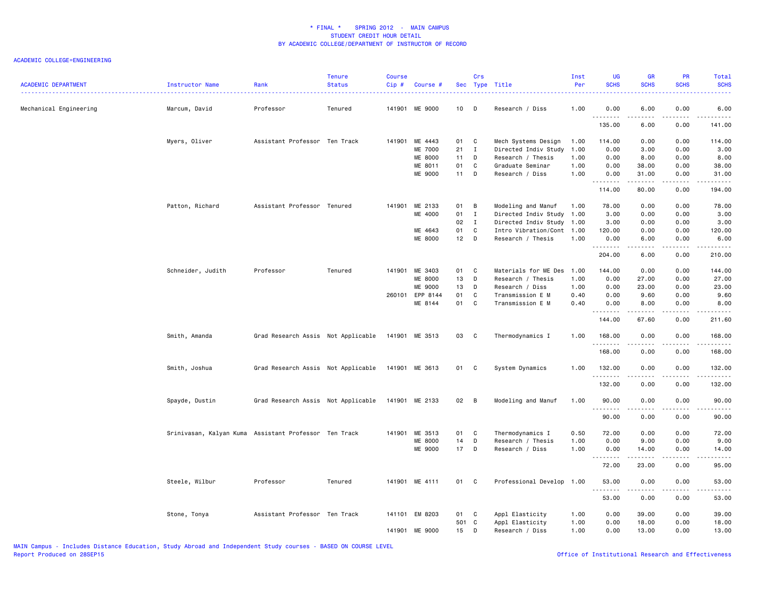| <b>ACADEMIC DEPARTMENT</b> | Instructor Name                                       | Rank                               | <b>Tenure</b><br><b>Status</b> | <b>Course</b><br>Cip# | Course #       |        | Crs          | Sec Type Title            | Inst<br>Per | <b>UG</b><br><b>SCHS</b> | <b>GR</b><br><b>SCHS</b> | PR<br><b>SCHS</b>     | <b>Total</b><br><b>SCHS</b> |
|----------------------------|-------------------------------------------------------|------------------------------------|--------------------------------|-----------------------|----------------|--------|--------------|---------------------------|-------------|--------------------------|--------------------------|-----------------------|-----------------------------|
| Mechanical Engineering     | Marcum, David                                         | Professor                          | Tenured                        |                       | 141901 ME 9000 | 10     | D D          | Research / Diss           | 1.00        | 0.00                     | 6.00                     | 0.00                  | 6.00                        |
|                            |                                                       |                                    |                                |                       |                |        |              |                           |             | .<br>135.00              | .<br>6.00                | د د د د<br>0.00       | .<br>141.00                 |
|                            | Myers, Oliver                                         | Assistant Professor Ten Track      |                                |                       | 141901 ME 4443 | 01     | C            | Mech Systems Design       | 1.00        | 114.00                   | 0.00                     | 0.00                  | 114.00                      |
|                            |                                                       |                                    |                                |                       | ME 7000        | 21     | $\mathbf{I}$ | Directed Indiv Study      | 1.00        | 0.00                     | 3.00                     | 0.00                  | 3.00                        |
|                            |                                                       |                                    |                                |                       | <b>ME 8000</b> | 11     | D            | Research / Thesis         | 1.00        | 0.00                     | 8.00                     | 0.00                  | 8.00                        |
|                            |                                                       |                                    |                                |                       | ME 8011        | 01     | C            | Graduate Seminar          | 1.00        | 0.00                     | 38.00                    | 0.00                  | 38.00                       |
|                            |                                                       |                                    |                                |                       | ME 9000        | 11 D   |              | Research / Diss           | 1.00        | 0.00<br>.                | 31.00<br>الداعات عامات   | 0.00<br>.             | 31.00<br>.                  |
|                            |                                                       |                                    |                                |                       |                |        |              |                           |             | 114.00                   | 80.00                    | 0.00                  | 194.00                      |
|                            | Patton, Richard                                       | Assistant Professor Tenured        |                                | 141901                | ME 2133        | 01     | B            | Modeling and Manuf        | 1.00        | 78.00                    | 0.00                     | 0.00                  | 78.00                       |
|                            |                                                       |                                    |                                |                       | ME 4000        | 01     | $\mathbf{I}$ | Directed Indiv Study      | 1.00        | 3.00                     | 0.00                     | 0.00                  | 3.00                        |
|                            |                                                       |                                    |                                |                       |                | 02     | $\mathbf{I}$ | Directed Indiv Study 1.00 |             | 3.00                     | 0.00                     | 0.00                  | 3.00                        |
|                            |                                                       |                                    |                                |                       | ME 4643        | 01     | C            | Intro Vibration/Cont      | 1.00        | 120.00                   | 0.00                     | 0.00                  | 120.00                      |
|                            |                                                       |                                    |                                |                       | ME 8000        | $12$ D |              | Research / Thesis         | 1.00        | 0.00                     | 6.00                     | 0.00                  | 6.00                        |
|                            |                                                       |                                    |                                |                       |                |        |              |                           |             | .<br>204.00              | 6.00                     | 0.00                  | .<br>210.00                 |
|                            |                                                       | Professor                          | Tenured                        | 141901                | ME 3403        | 01     | C            | Materials for ME Des      | 1.00        | 144.00                   | 0.00                     | 0.00                  | 144.00                      |
|                            | Schneider, Judith                                     |                                    |                                |                       | ME 8000        | 13     | D            |                           | 1.00        | 0.00                     | 27.00                    | 0.00                  |                             |
|                            |                                                       |                                    |                                |                       |                |        |              | Research / Thesis         |             |                          |                          |                       | 27.00                       |
|                            |                                                       |                                    |                                |                       | ME 9000        | 13     | D            | Research / Diss           | 1.00        | 0.00                     | 23.00                    | 0.00                  | 23.00                       |
|                            |                                                       |                                    |                                | 260101                | EPP 8144       | 01     | C            | Transmission E M          | 0.40        | 0.00                     | 9.60                     | 0.00                  | 9.60                        |
|                            |                                                       |                                    |                                |                       | ME 8144        | 01     | C            | Transmission E M          | 0.40        | 0.00<br>.                | 8.00<br>$- - - - -$      | 0.00<br>.             | 8.00<br><u>.</u>            |
|                            |                                                       |                                    |                                |                       |                |        |              |                           |             | 144.00                   | 67.60                    | 0.00                  | 211.60                      |
|                            | Smith, Amanda                                         | Grad Research Assis Not Applicable |                                |                       | 141901 ME 3513 | 03     | $\mathbf{C}$ | Thermodynamics I          | 1.00        | 168.00<br>.              | 0.00<br><b>.</b>         | 0.00<br>.             | 168.00<br>.                 |
|                            |                                                       |                                    |                                |                       |                |        |              |                           |             | 168.00                   | 0.00                     | 0.00                  | 168.00                      |
|                            | Smith, Joshua                                         | Grad Research Assis Not Applicable |                                |                       | 141901 ME 3613 | 01 C   |              | System Dynamics           | 1.00        | 132.00<br>.              | 0.00                     | 0.00<br>$\frac{1}{2}$ | 132.00<br>.                 |
|                            |                                                       |                                    |                                |                       |                |        |              |                           |             | 132.00                   | 0.00                     | 0.00                  | 132.00                      |
|                            | Spayde, Dustin                                        | Grad Research Assis Not Applicable |                                |                       | 141901 ME 2133 | 02 B   |              | Modeling and Manuf        | 1.00        | 90.00<br>.               | 0.00                     | 0.00                  | 90.00<br>.                  |
|                            |                                                       |                                    |                                |                       |                |        |              |                           |             | 90.00                    | 0.00                     | 0.00                  | 90.00                       |
|                            | Srinivasan, Kalyan Kuma Assistant Professor Ten Track |                                    |                                |                       | 141901 ME 3513 | 01     | C            | Thermodynamics I          | 0.50        | 72.00                    | 0.00                     | 0.00                  | 72.00                       |
|                            |                                                       |                                    |                                |                       | <b>ME 8000</b> | 14     | D            | Research / Thesis         | 1.00        | 0.00                     | 9.00                     | 0.00                  | 9.00                        |
|                            |                                                       |                                    |                                |                       | ME 9000        | $17$ D |              | Research / Diss           | 1.00        | 0.00                     | 14.00                    | 0.00                  | 14.00                       |
|                            |                                                       |                                    |                                |                       |                |        |              |                           |             | .<br>72.00               | .<br>23.00               | .<br>0.00             | .<br>95.00                  |
|                            | Steele, Wilbur                                        | Professor                          | Tenured                        |                       | 141901 ME 4111 | 01 C   |              | Professional Develop 1.00 |             | 53.00                    | 0.00                     | 0.00                  | 53.00<br>د د د د د          |
|                            |                                                       |                                    |                                |                       |                |        |              |                           |             | 53.00                    | 0.00                     | 0.00                  | 53.00                       |
|                            | Stone, Tonya                                          | Assistant Professor Ten Track      |                                |                       | 141101 EM 8203 | 01 C   |              | Appl Elasticity           | 1.00        | 0.00                     | 39.00                    | 0.00                  | 39.00                       |
|                            |                                                       |                                    |                                |                       |                | 501 C  |              | Appl Elasticity           | 1.00        | 0.00                     | 18.00                    | 0.00                  | 18.00                       |
|                            |                                                       |                                    |                                |                       | 141901 ME 9000 | 15 D   |              | Research / Diss           | 1.00        | 0.00                     | 13.00                    | 0.00                  | 13.00                       |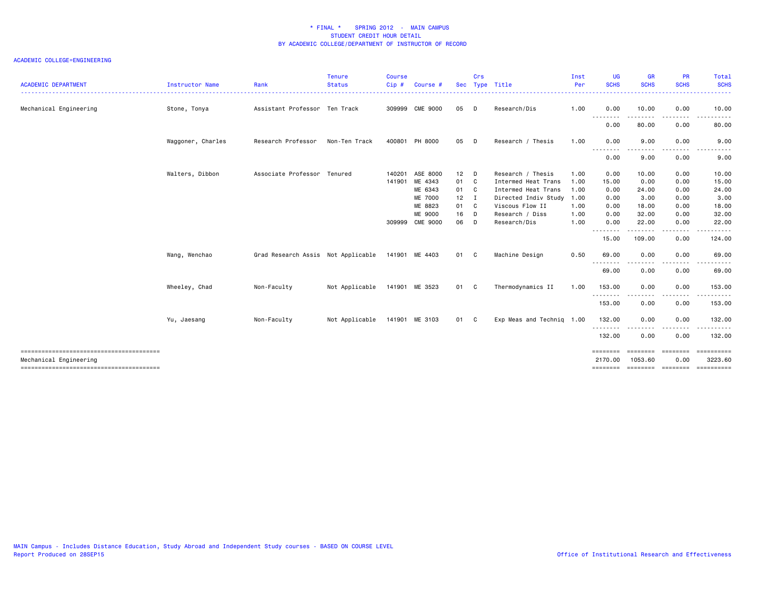| Mechanical Engineering<br>Assistant Professor Ten Track<br>309999 CME 9000<br>Stone, Tonya<br>Waggoner, Charles<br>Research Professor<br>Non-Ten Track<br>400801 PH 8000 | 05<br>$\Box$<br>05 |     | Research/Dis              | 1.00 | 0.00                |                            |                                              |                        |
|--------------------------------------------------------------------------------------------------------------------------------------------------------------------------|--------------------|-----|---------------------------|------|---------------------|----------------------------|----------------------------------------------|------------------------|
|                                                                                                                                                                          |                    |     |                           |      |                     | 10.00                      | 0.00                                         | 10.00                  |
|                                                                                                                                                                          |                    |     |                           |      | --------<br>0.00    | 80.00                      | 0.00                                         | 80.00                  |
|                                                                                                                                                                          |                    | D D | Research / Thesis         | 1.00 | 0.00                | 9.00                       | 0.00                                         | 9.00                   |
|                                                                                                                                                                          |                    |     |                           |      | .<br>0.00           | 9.00                       | 0.00                                         | 9.00                   |
| Walters, Dibbon<br>Associate Professor Tenured<br>140201<br>ASE 8000                                                                                                     | $12$ D             |     | Research / Thesis         | 1.00 | 0.00                | 10.00                      | 0.00                                         | 10.00                  |
| ME 4343<br>141901                                                                                                                                                        | 01<br>$\mathbf{C}$ |     | Intermed Heat Trans       | 1.00 | 15.00               | 0.00                       | 0.00                                         | 15.00                  |
| ME 6343                                                                                                                                                                  | 01                 | - C | Intermed Heat Trans       | 1.00 | 0.00                | 24.00                      | 0.00                                         | 24.00                  |
| ME 7000                                                                                                                                                                  | 12                 | - 1 | Directed Indiv Study      | 1.00 | 0.00                | 3.00                       | 0.00                                         | 3.00                   |
| ME 8823                                                                                                                                                                  | 01                 | C   | Viscous Flow II           | 1.00 | 0.00                | 18.00                      | 0.00                                         | 18.00                  |
| ME 9000                                                                                                                                                                  | 16                 | D   | Research / Diss           | 1.00 | 0.00                | 32.00                      | 0.00                                         | 32.00                  |
| 309999 CME 9000                                                                                                                                                          | 06                 | D   | Research/Dis              | 1.00 | 0.00<br>.           | 22.00                      | 0.00<br>.                                    | 22.00<br>.             |
|                                                                                                                                                                          |                    |     |                           |      | 15.00               | -----<br>109.00            | 0.00                                         | 124.00                 |
| Grad Research Assis Not Applicable 141901 ME 4403<br>Wang, Wenchao                                                                                                       | 01 C               |     | Machine Design            | 0.50 | 69.00               | 0.00                       | 0.00                                         | 69.00                  |
|                                                                                                                                                                          |                    |     |                           |      | .<br>69.00          | 0.00                       | ----<br>0.00                                 | 69.00                  |
| Wheeley, Chad<br>Non-Faculty<br>141901 ME 3523<br>Not Applicable                                                                                                         | 01 C               |     | Thermodynamics II         | 1.00 | 153.00              | 0.00                       | 0.00                                         | 153.00                 |
|                                                                                                                                                                          |                    |     |                           |      | .<br>153.00         | -----<br>0.00              | .<br>0.00                                    | . <b>.</b> .<br>153.00 |
| Non-Faculty<br>Not Applicable 141901 ME 3103<br>Yu, Jaesang                                                                                                              | 01 C               |     | Exp Meas and Technig 1.00 |      | 132.00              | 0.00                       | 0.00                                         | 132.00                 |
|                                                                                                                                                                          |                    |     |                           |      | .<br>132.00         | 0.00                       | ----<br>0.00                                 | 132.00                 |
| Mechanical Engineering                                                                                                                                                   |                    |     |                           |      | --------<br>2170.00 | <b>EBBEEBBE</b><br>1053.60 | <b>EEEEEEE</b><br>0.00<br>================== | 3223.60                |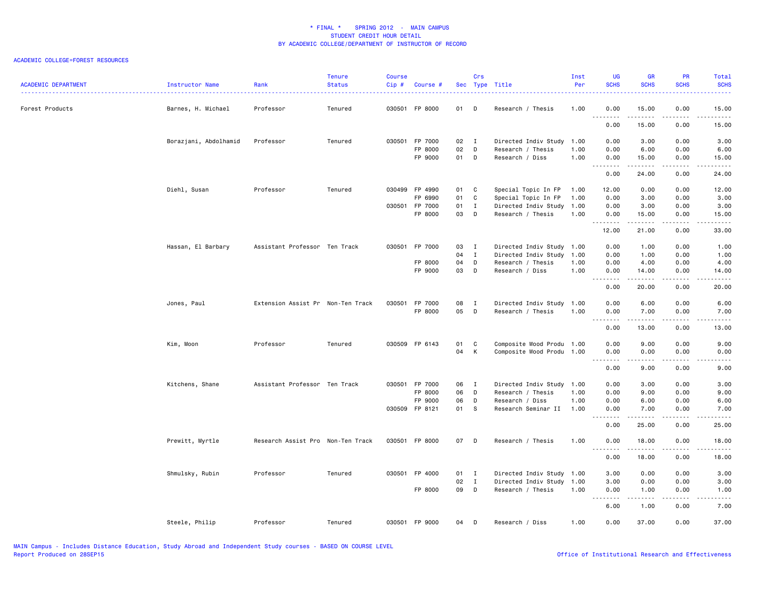| <b>ACADEMIC DEPARTMENT</b> | Instructor Name       | Rank                              | <b>Tenure</b><br><b>Status</b> | Course<br>Cip# | Course             |          | Crs            | Sec Type Title                       | Inst<br>Per  | <b>UG</b><br><b>SCHS</b> | <b>GR</b><br><b>SCHS</b>                                                                                                                                      | PR<br><b>SCHS</b>                   | Total<br><b>SCHS</b><br>.                                                                                                                                    |
|----------------------------|-----------------------|-----------------------------------|--------------------------------|----------------|--------------------|----------|----------------|--------------------------------------|--------------|--------------------------|---------------------------------------------------------------------------------------------------------------------------------------------------------------|-------------------------------------|--------------------------------------------------------------------------------------------------------------------------------------------------------------|
| Forest Products            | Barnes, H. Michael    | Professor                         | Tenured                        |                | 030501 FP 8000     | 01 D     |                | Research / Thesis                    | 1.00         | 0.00<br>.                | 15.00<br>.                                                                                                                                                    | 0.00<br>.                           | 15.00<br>.                                                                                                                                                   |
|                            |                       |                                   |                                |                |                    |          |                |                                      |              | 0.00                     | 15.00                                                                                                                                                         | 0.00                                | 15.00                                                                                                                                                        |
|                            | Borazjani, Abdolhamid | Professor                         | Tenured                        |                | 030501 FP 7000     | 02 I     |                | Directed Indiv Study                 | 1.00         | 0.00                     | 3.00                                                                                                                                                          | 0.00                                | 3.00                                                                                                                                                         |
|                            |                       |                                   |                                |                | FP 8000<br>FP 9000 | 02<br>01 | D<br>D         | Research / Thesis<br>Research / Diss | 1.00<br>1.00 | 0.00<br>0.00             | 6.00<br>15.00                                                                                                                                                 | 0.00<br>0.00                        | 6.00<br>15.00                                                                                                                                                |
|                            |                       |                                   |                                |                |                    |          |                |                                      |              | .<br>0.00                | $\frac{1}{2} \left( \frac{1}{2} \right) \left( \frac{1}{2} \right) \left( \frac{1}{2} \right) \left( \frac{1}{2} \right) \left( \frac{1}{2} \right)$          | .<br>0.00                           | د د د د د                                                                                                                                                    |
|                            |                       |                                   |                                |                |                    |          |                |                                      |              |                          | 24.00                                                                                                                                                         |                                     | 24.00                                                                                                                                                        |
|                            | Diehl, Susan          | Professor                         | Tenured                        |                | 030499 FP 4990     | 01 C     |                | Special Topic In FP                  | 1.00         | 12.00                    | 0.00                                                                                                                                                          | 0.00                                | 12.00                                                                                                                                                        |
|                            |                       |                                   |                                |                | FP 6990            | 01       | C              | Special Topic In FP                  | 1.00         | 0.00                     | 3.00                                                                                                                                                          | 0.00                                | 3.00                                                                                                                                                         |
|                            |                       |                                   |                                |                | 030501 FP 7000     | 01       | $\mathbf{I}$   | Directed Indiv Study                 | 1.00         | 0.00                     | 3.00                                                                                                                                                          | 0.00                                | 3.00                                                                                                                                                         |
|                            |                       |                                   |                                |                | FP 8000            | 03       | $\Box$         | Research / Thesis                    | 1.00         | 0.00<br>.                | 15.00<br>.                                                                                                                                                    | 0.00<br>.                           | 15.00<br>د د د د د                                                                                                                                           |
|                            |                       |                                   |                                |                |                    |          |                |                                      |              | 12.00                    | 21.00                                                                                                                                                         | 0.00                                | 33.00                                                                                                                                                        |
|                            | Hassan, El Barbary    | Assistant Professor Ten Track     |                                |                | 030501 FP 7000     | 03       | $\mathbf{I}$   | Directed Indiv Study                 | 1.00         | 0.00                     | 1.00                                                                                                                                                          | 0.00                                | 1.00                                                                                                                                                         |
|                            |                       |                                   |                                |                |                    | 04       | $\mathbf{I}$   | Directed Indiv Study                 | 1.00         | 0.00                     | 1.00                                                                                                                                                          | 0.00                                | 1.00                                                                                                                                                         |
|                            |                       |                                   |                                |                | FP 8000            | 04       | D              | Research / Thesis                    | 1.00         | 0.00                     | 4.00                                                                                                                                                          | 0.00                                | 4.00                                                                                                                                                         |
|                            |                       |                                   |                                |                | FP 9000            | 03       | $\mathsf{D}$   | Research / Diss                      | 1.00         | 0.00<br>.                | 14.00<br>. <u>.</u>                                                                                                                                           | 0.00<br>. <b>.</b>                  | 14.00<br>المتمام المتعاد                                                                                                                                     |
|                            |                       |                                   |                                |                |                    |          |                |                                      |              | 0.00                     | 20.00                                                                                                                                                         | 0.00                                | 20.00                                                                                                                                                        |
|                            | Jones, Paul           | Extension Assist Pr Non-Ten Track |                                |                | 030501 FP 7000     | 08       | $\blacksquare$ | Directed Indiv Study                 | 1.00         | 0.00                     | 6.00                                                                                                                                                          | 0.00                                | 6.00                                                                                                                                                         |
|                            |                       |                                   |                                |                | FP 8000            | 05       | $\mathsf{D}$   | Research / Thesis                    | 1.00         | 0.00                     | 7.00                                                                                                                                                          | 0.00                                | 7.00                                                                                                                                                         |
|                            |                       |                                   |                                |                |                    |          |                |                                      |              | .<br>0.00                | $\frac{1}{2} \left( \frac{1}{2} \right) \left( \frac{1}{2} \right) \left( \frac{1}{2} \right) \left( \frac{1}{2} \right) \left( \frac{1}{2} \right)$<br>13.00 | د د د د<br>0.00                     | .<br>13.00                                                                                                                                                   |
|                            | Kim, Moon             | Professor                         | Tenured                        |                | 030509 FP 6143     | 01       | C              | Composite Wood Produ 1.00            |              | 0.00                     | 9.00                                                                                                                                                          | 0.00                                | 9.00                                                                                                                                                         |
|                            |                       |                                   |                                |                |                    | 04       | K              | Composite Wood Produ 1.00            |              | 0.00                     | 0.00                                                                                                                                                          | 0.00                                | 0.00                                                                                                                                                         |
|                            |                       |                                   |                                |                |                    |          |                |                                      |              | 0.00                     | 9.00                                                                                                                                                          | 0.00                                | .<br>9.00                                                                                                                                                    |
|                            | Kitchens, Shane       | Assistant Professor Ten Track     |                                |                | 030501 FP 7000     | 06       | $\blacksquare$ | Directed Indiv Study 1.00            |              | 0.00                     | 3.00                                                                                                                                                          | 0.00                                | 3.00                                                                                                                                                         |
|                            |                       |                                   |                                |                | FP 8000            | 06       | D              | Research / Thesis                    | 1.00         | 0.00                     | 9.00                                                                                                                                                          | 0.00                                | 9.00                                                                                                                                                         |
|                            |                       |                                   |                                |                | FP 9000            | 06       | D              | Research / Diss                      | 1.00         | 0.00                     | 6.00                                                                                                                                                          | 0.00                                | 6.00                                                                                                                                                         |
|                            |                       |                                   |                                |                | 030509 FP 8121     | 01       | <b>S</b>       | Research Seminar II                  | 1.00         | 0.00                     | 7.00                                                                                                                                                          | 0.00                                | 7.00                                                                                                                                                         |
|                            |                       |                                   |                                |                |                    |          |                |                                      |              | .<br>0.00                | .<br>25.00                                                                                                                                                    | $\sim$ $\sim$ $\sim$ $\sim$<br>0.00 | -----<br>25.00                                                                                                                                               |
|                            | Prewitt, Myrtle       | Research Assist Pro Non-Ten Track |                                |                | 030501 FP 8000     | 07 D     |                | Research / Thesis                    | 1.00         | 0.00                     | 18.00<br><u>.</u>                                                                                                                                             | 0.00<br>.                           | 18.00<br>.                                                                                                                                                   |
|                            |                       |                                   |                                |                |                    |          |                |                                      |              | 0.00                     | 18.00                                                                                                                                                         | 0.00                                | 18.00                                                                                                                                                        |
|                            | Shmulsky, Rubin       | Professor                         | Tenured                        |                | 030501 FP 4000     | 01       | $\blacksquare$ | Directed Indiv Study                 | 1.00         | 3.00                     | 0.00                                                                                                                                                          | 0.00                                | 3.00                                                                                                                                                         |
|                            |                       |                                   |                                |                |                    | 02       | $\mathbf{I}$   | Directed Indiv Study 1.00            |              | 3.00                     | 0.00                                                                                                                                                          | 0.00                                | 3.00                                                                                                                                                         |
|                            |                       |                                   |                                |                | FP 8000            | 09 D     |                | Research / Thesis                    | 1.00         | 0.00                     | 1.00                                                                                                                                                          | 0.00                                | 1.00                                                                                                                                                         |
|                            |                       |                                   |                                |                |                    |          |                |                                      |              | <u>.</u><br>6.00         | .<br>1.00                                                                                                                                                     | .<br>0.00                           | $\frac{1}{2} \left( \frac{1}{2} \right) \left( \frac{1}{2} \right) \left( \frac{1}{2} \right) \left( \frac{1}{2} \right) \left( \frac{1}{2} \right)$<br>7.00 |
|                            | Steele, Philip        | Professor                         | Tenured                        |                | 030501 FP 9000     | 04       | D              | Research / Diss                      | 1.00         | 0.00                     | 37.00                                                                                                                                                         | 0.00                                | 37.00                                                                                                                                                        |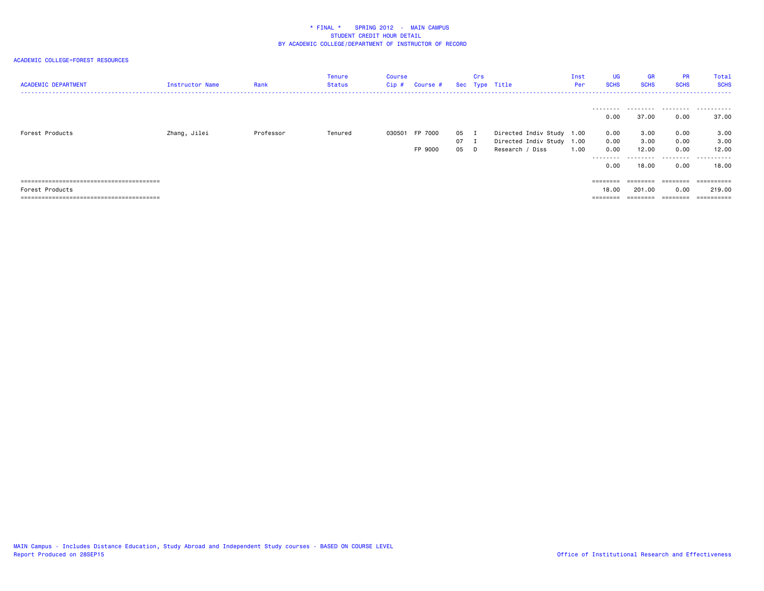| <b>ACADEMIC DEPARTMENT</b> | Instructor Name | Rank      | Tenure<br>Status | Course<br>Cip # | Course #       |              | Crs | Sec Type Title                               | Inst<br>Per | UG<br><b>SCHS</b> | <b>GR</b><br><b>SCHS</b> | <b>PR</b><br><b>SCHS</b> | Total<br><b>SCHS</b> |
|----------------------------|-----------------|-----------|------------------|-----------------|----------------|--------------|-----|----------------------------------------------|-------------|-------------------|--------------------------|--------------------------|----------------------|
| Forest Products            | Zhang, Jilei    | Professor | Tenured          |                 | 030501 FP 7000 | 05 I         |     | Directed Indiv Study 1.00                    |             | .<br>0.00<br>0.00 | 37.00<br>3.00            | 0.00<br>0.00             | <br>37.00<br>3.00    |
|                            |                 |           |                  |                 | FP 9000        | 07 I<br>05 D |     | Directed Indiv Study 1.00<br>Research / Diss | 1.00        | 0.00<br>0.00      | 3.00<br>12.00            | 0.00<br>0.00             | 3.00<br>12.00        |
|                            |                 |           |                  |                 |                |              |     |                                              |             | ---------<br>0.00 | .<br>18,00               | .<br>0.00                | .<br>18.00           |
|                            |                 |           |                  |                 |                |              |     |                                              |             | $=$ = = = = = = = | ========                 | ========                 | ==========           |
| Forest Products            |                 |           |                  |                 |                |              |     |                                              |             | 18.00             | 201.00                   | 0.00                     | 219.00               |
|                            |                 |           |                  |                 |                |              |     |                                              |             |                   |                          |                          | ==========           |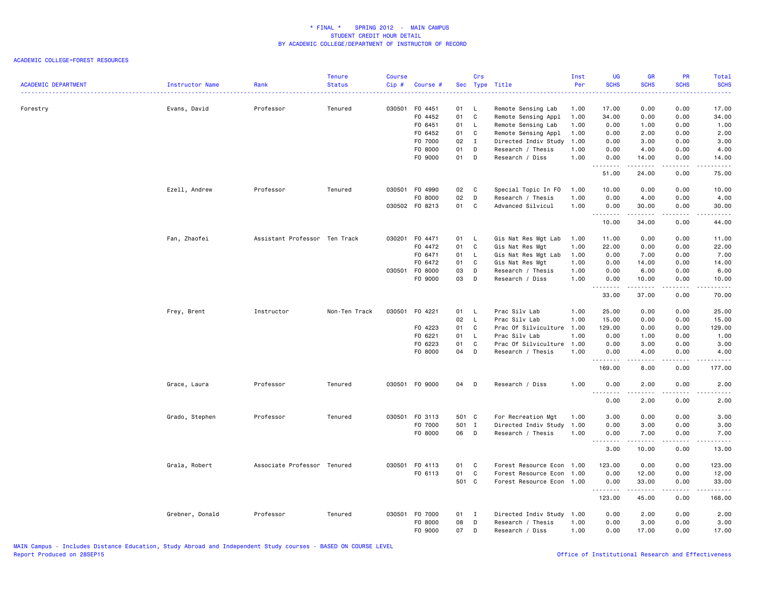| $\frac{1}{2} \left( \frac{1}{2} \right) \left( \frac{1}{2} \right) \left( \frac{1}{2} \right) \left( \frac{1}{2} \right)$<br>Forestry<br>Evans, David<br>Professor<br>Tenured<br>030501 F0 4451<br>01 L<br>Remote Sensing Lab<br>1.00<br>17.00<br>0.00<br>0.00<br>17.00<br>01<br>C<br>F0 4452<br>Remote Sensing Appl<br>1.00<br>34.00<br>0.00<br>0.00<br>34.00<br>F0 6451<br>01<br>0.00<br>0.00<br>L.<br>Remote Sensing Lab<br>1.00<br>1.00<br>1.00<br>01<br>2.00<br>F0 6452<br>C<br>Remote Sensing Appl<br>1.00<br>0.00<br>2.00<br>0.00<br>02<br>3.00<br>F0 7000<br>Ι.<br>Directed Indiv Study<br>1.00<br>0.00<br>3.00<br>0.00<br>F0 8000<br>01<br>0.00<br>0.00<br>D<br>Research / Thesis<br>1.00<br>4.00<br>4.00<br>01<br>F0 9000<br>D<br>Research / Diss<br>1.00<br>0.00<br>14.00<br>0.00<br>14.00<br>.<br>.<br>.<br>.<br>51.00<br>24.00<br>0.00<br>75.00<br>030501 F0 4990<br>Ezell, Andrew<br>Professor<br>Tenured<br>02<br>C<br>Special Topic In FO<br>1.00<br>10.00<br>0.00<br>0.00<br>10.00<br>F0 8000<br>02<br>D<br>Research / Thesis<br>1.00<br>0.00<br>4.00<br>0.00<br>4.00<br>030502 F0 8213<br>01<br>Advanced Silvicul<br>1.00<br>30.00<br>0.00<br>C<br>0.00<br>30.00<br>.<br>$- - -$<br>$    -$<br>10.00<br>34.00<br>0.00<br>44.00<br>Assistant Professor Ten Track<br>030201 F0 4471<br>01 L<br>11.00<br>0.00<br>0.00<br>11.00<br>Fan, Zhaofei<br>Gis Nat Res Mgt Lab<br>1.00<br>01<br>1.00<br>22.00<br>22.00<br>F0 4472<br>C<br>Gis Nat Res Mgt<br>0.00<br>0.00<br>01<br>F0 6471<br>L.<br>Gis Nat Res Mgt Lab<br>1.00<br>0.00<br>7.00<br>0.00<br>7.00<br>F0 6472<br>01<br>C<br>Gis Nat Res Mgt<br>1.00<br>0.00<br>14.00<br>0.00<br>14.00<br>03<br>030501 F0 8000<br>D<br>Research / Thesis<br>1.00<br>0.00<br>6.00<br>0.00<br>6.00<br>F0 9000<br>03<br>D<br>Research / Diss<br>1.00<br>0.00<br>10.00<br>0.00<br>10.00<br>.<br>.<br>.<br>.<br>33.00<br>37.00<br>0.00<br>70.00<br>Prac Silv Lab<br>Frey, Brent<br>Instructor<br>Non-Ten Track<br>030501 F0 4221<br>01 L<br>1.00<br>25.00<br>0.00<br>0.00<br>25.00<br>02<br>L<br>Prac Silv Lab<br>1.00<br>15.00<br>0.00<br>15.00<br>0.00<br>F0 4223<br>01<br>C<br>Prac Of Silviculture<br>1.00<br>129.00<br>0.00<br>0.00<br>129.00<br>01<br>Prac Silv Lab<br>1.00<br>F0 6221<br>L<br>0.00<br>1.00<br>0.00<br>1.00<br>01<br>F0 6223<br>C<br>Prac Of Silviculture<br>1.00<br>0.00<br>3.00<br>0.00<br>3.00<br>F0 8000<br>04<br>D<br>Research / Thesis<br>1.00<br>0.00<br>4.00<br>0.00<br>4.00<br><u>.</u><br>.<br>$- - - -$<br>.<br>169.00<br>8.00<br>0.00<br>177.00<br>Grace, Laura<br>Professor<br>Tenured<br>030501 F0 9000<br>04<br>$\mathsf{D}$<br>Research / Diss<br>1.00<br>0.00<br>2.00<br>0.00<br>2.00<br>.<br>.<br>$- - - - -$<br>$\frac{1}{2} \left( \frac{1}{2} \right) \left( \frac{1}{2} \right) \left( \frac{1}{2} \right) \left( \frac{1}{2} \right)$<br>0.00<br>2.00<br>2.00<br>0.00<br>Grado, Stephen<br>Professor<br>Tenured<br>030501 FO 3113<br>501 C<br>For Recreation Mgt<br>1.00<br>3.00<br>0.00<br>0.00<br>3.00<br>F0 7000<br>501 I<br>Directed Indiv Study<br>1.00<br>0.00<br>3.00<br>0.00<br>3.00<br>F0 8000<br>06<br>$\mathsf{D}$<br>Research / Thesis<br>1.00<br>0.00<br>7.00<br>0.00<br>7.00<br>.<br>$- - - - -$<br>$- - - -$<br>.<br>3.00<br>10.00<br>0.00<br>13.00<br>Grala, Robert<br>Associate Professor Tenured<br>030501 F0 4113<br>01<br>Forest Resource Econ 1.00<br>123.00<br>0.00<br>0.00<br>123.00<br>C<br>F0 6113<br>01<br>C<br>Forest Resource Econ 1.00<br>0.00<br>12.00<br>0.00<br>12.00<br>501 C<br>Forest Resource Econ 1.00<br>0.00<br>33.00<br>0.00<br>33.00<br>.<br>$\frac{1}{2} \left( \begin{array}{ccc} 1 & 0 & 0 & 0 & 0 \\ 0 & 0 & 0 & 0 & 0 \\ 0 & 0 & 0 & 0 & 0 \\ 0 & 0 & 0 & 0 & 0 \\ 0 & 0 & 0 & 0 & 0 \\ 0 & 0 & 0 & 0 & 0 \\ 0 & 0 & 0 & 0 & 0 \\ 0 & 0 & 0 & 0 & 0 \\ 0 & 0 & 0 & 0 & 0 \\ 0 & 0 & 0 & 0 & 0 \\ 0 & 0 & 0 & 0 & 0 \\ 0 & 0 & 0 & 0 & 0 \\ 0 & 0 & 0 & 0 & 0 \\ 0 & 0 & 0$<br>$\frac{1}{2}$<br>123.00<br>45.00<br>168.00<br>0.00<br>030501 F0 7000<br>0.00<br>0.00<br>Grebner, Donald<br>Professor<br>Tenured<br>01 I<br>Directed Indiv Study 1.00<br>2.00<br>2.00<br>08<br>0.00<br>0.00<br>F0 8000<br>D<br>Research / Thesis<br>1.00<br>3.00<br>3.00<br>F0 9000<br>07<br>D<br>1.00<br>0.00<br>17.00<br>0.00<br>17.00<br>Research / Diss | <b>ACADEMIC DEPARTMENT</b> | Instructor Name | Rank | <b>Tenure</b><br><b>Status</b> | <b>Course</b><br>Cip# | Course # | Crs | Sec Type Title | Inst<br>Per | UG<br><b>SCHS</b> | <b>GR</b><br><b>SCHS</b> | <b>PR</b><br><b>SCHS</b> | Total<br><b>SCHS</b> |
|----------------------------------------------------------------------------------------------------------------------------------------------------------------------------------------------------------------------------------------------------------------------------------------------------------------------------------------------------------------------------------------------------------------------------------------------------------------------------------------------------------------------------------------------------------------------------------------------------------------------------------------------------------------------------------------------------------------------------------------------------------------------------------------------------------------------------------------------------------------------------------------------------------------------------------------------------------------------------------------------------------------------------------------------------------------------------------------------------------------------------------------------------------------------------------------------------------------------------------------------------------------------------------------------------------------------------------------------------------------------------------------------------------------------------------------------------------------------------------------------------------------------------------------------------------------------------------------------------------------------------------------------------------------------------------------------------------------------------------------------------------------------------------------------------------------------------------------------------------------------------------------------------------------------------------------------------------------------------------------------------------------------------------------------------------------------------------------------------------------------------------------------------------------------------------------------------------------------------------------------------------------------------------------------------------------------------------------------------------------------------------------------------------------------------------------------------------------------------------------------------------------------------------------------------------------------------------------------------------------------------------------------------------------------------------------------------------------------------------------------------------------------------------------------------------------------------------------------------------------------------------------------------------------------------------------------------------------------------------------------------------------------------------------------------------------------------------------------------------------------------------------------------------------------------------------------------------------------------------------------------------------------------------------------------------------------------------------------------------------------------------------------------------------------------------------------------------------------------------------------------------------------------------------------------------------------------------------------------------------------------------------------------------------------------------------------------------------------------------------------------------------------------------------------------------------------------------------------------------------------------------------------------------------------------------------------------------------------------------------------------------------------------------------------------------------------------------------------------------------------------------------------------------------------------------------------------------------------------------------------------------------------------------|----------------------------|-----------------|------|--------------------------------|-----------------------|----------|-----|----------------|-------------|-------------------|--------------------------|--------------------------|----------------------|
|                                                                                                                                                                                                                                                                                                                                                                                                                                                                                                                                                                                                                                                                                                                                                                                                                                                                                                                                                                                                                                                                                                                                                                                                                                                                                                                                                                                                                                                                                                                                                                                                                                                                                                                                                                                                                                                                                                                                                                                                                                                                                                                                                                                                                                                                                                                                                                                                                                                                                                                                                                                                                                                                                                                                                                                                                                                                                                                                                                                                                                                                                                                                                                                                                                                                                                                                                                                                                                                                                                                                                                                                                                                                                                                                                                                                                                                                                                                                                                                                                                                                                                                                                                                                                                                                                  |                            |                 |      |                                |                       |          |     |                |             |                   |                          |                          |                      |
|                                                                                                                                                                                                                                                                                                                                                                                                                                                                                                                                                                                                                                                                                                                                                                                                                                                                                                                                                                                                                                                                                                                                                                                                                                                                                                                                                                                                                                                                                                                                                                                                                                                                                                                                                                                                                                                                                                                                                                                                                                                                                                                                                                                                                                                                                                                                                                                                                                                                                                                                                                                                                                                                                                                                                                                                                                                                                                                                                                                                                                                                                                                                                                                                                                                                                                                                                                                                                                                                                                                                                                                                                                                                                                                                                                                                                                                                                                                                                                                                                                                                                                                                                                                                                                                                                  |                            |                 |      |                                |                       |          |     |                |             |                   |                          |                          |                      |
|                                                                                                                                                                                                                                                                                                                                                                                                                                                                                                                                                                                                                                                                                                                                                                                                                                                                                                                                                                                                                                                                                                                                                                                                                                                                                                                                                                                                                                                                                                                                                                                                                                                                                                                                                                                                                                                                                                                                                                                                                                                                                                                                                                                                                                                                                                                                                                                                                                                                                                                                                                                                                                                                                                                                                                                                                                                                                                                                                                                                                                                                                                                                                                                                                                                                                                                                                                                                                                                                                                                                                                                                                                                                                                                                                                                                                                                                                                                                                                                                                                                                                                                                                                                                                                                                                  |                            |                 |      |                                |                       |          |     |                |             |                   |                          |                          |                      |
|                                                                                                                                                                                                                                                                                                                                                                                                                                                                                                                                                                                                                                                                                                                                                                                                                                                                                                                                                                                                                                                                                                                                                                                                                                                                                                                                                                                                                                                                                                                                                                                                                                                                                                                                                                                                                                                                                                                                                                                                                                                                                                                                                                                                                                                                                                                                                                                                                                                                                                                                                                                                                                                                                                                                                                                                                                                                                                                                                                                                                                                                                                                                                                                                                                                                                                                                                                                                                                                                                                                                                                                                                                                                                                                                                                                                                                                                                                                                                                                                                                                                                                                                                                                                                                                                                  |                            |                 |      |                                |                       |          |     |                |             |                   |                          |                          |                      |
|                                                                                                                                                                                                                                                                                                                                                                                                                                                                                                                                                                                                                                                                                                                                                                                                                                                                                                                                                                                                                                                                                                                                                                                                                                                                                                                                                                                                                                                                                                                                                                                                                                                                                                                                                                                                                                                                                                                                                                                                                                                                                                                                                                                                                                                                                                                                                                                                                                                                                                                                                                                                                                                                                                                                                                                                                                                                                                                                                                                                                                                                                                                                                                                                                                                                                                                                                                                                                                                                                                                                                                                                                                                                                                                                                                                                                                                                                                                                                                                                                                                                                                                                                                                                                                                                                  |                            |                 |      |                                |                       |          |     |                |             |                   |                          |                          |                      |
|                                                                                                                                                                                                                                                                                                                                                                                                                                                                                                                                                                                                                                                                                                                                                                                                                                                                                                                                                                                                                                                                                                                                                                                                                                                                                                                                                                                                                                                                                                                                                                                                                                                                                                                                                                                                                                                                                                                                                                                                                                                                                                                                                                                                                                                                                                                                                                                                                                                                                                                                                                                                                                                                                                                                                                                                                                                                                                                                                                                                                                                                                                                                                                                                                                                                                                                                                                                                                                                                                                                                                                                                                                                                                                                                                                                                                                                                                                                                                                                                                                                                                                                                                                                                                                                                                  |                            |                 |      |                                |                       |          |     |                |             |                   |                          |                          |                      |
|                                                                                                                                                                                                                                                                                                                                                                                                                                                                                                                                                                                                                                                                                                                                                                                                                                                                                                                                                                                                                                                                                                                                                                                                                                                                                                                                                                                                                                                                                                                                                                                                                                                                                                                                                                                                                                                                                                                                                                                                                                                                                                                                                                                                                                                                                                                                                                                                                                                                                                                                                                                                                                                                                                                                                                                                                                                                                                                                                                                                                                                                                                                                                                                                                                                                                                                                                                                                                                                                                                                                                                                                                                                                                                                                                                                                                                                                                                                                                                                                                                                                                                                                                                                                                                                                                  |                            |                 |      |                                |                       |          |     |                |             |                   |                          |                          |                      |
|                                                                                                                                                                                                                                                                                                                                                                                                                                                                                                                                                                                                                                                                                                                                                                                                                                                                                                                                                                                                                                                                                                                                                                                                                                                                                                                                                                                                                                                                                                                                                                                                                                                                                                                                                                                                                                                                                                                                                                                                                                                                                                                                                                                                                                                                                                                                                                                                                                                                                                                                                                                                                                                                                                                                                                                                                                                                                                                                                                                                                                                                                                                                                                                                                                                                                                                                                                                                                                                                                                                                                                                                                                                                                                                                                                                                                                                                                                                                                                                                                                                                                                                                                                                                                                                                                  |                            |                 |      |                                |                       |          |     |                |             |                   |                          |                          |                      |
|                                                                                                                                                                                                                                                                                                                                                                                                                                                                                                                                                                                                                                                                                                                                                                                                                                                                                                                                                                                                                                                                                                                                                                                                                                                                                                                                                                                                                                                                                                                                                                                                                                                                                                                                                                                                                                                                                                                                                                                                                                                                                                                                                                                                                                                                                                                                                                                                                                                                                                                                                                                                                                                                                                                                                                                                                                                                                                                                                                                                                                                                                                                                                                                                                                                                                                                                                                                                                                                                                                                                                                                                                                                                                                                                                                                                                                                                                                                                                                                                                                                                                                                                                                                                                                                                                  |                            |                 |      |                                |                       |          |     |                |             |                   |                          |                          |                      |
|                                                                                                                                                                                                                                                                                                                                                                                                                                                                                                                                                                                                                                                                                                                                                                                                                                                                                                                                                                                                                                                                                                                                                                                                                                                                                                                                                                                                                                                                                                                                                                                                                                                                                                                                                                                                                                                                                                                                                                                                                                                                                                                                                                                                                                                                                                                                                                                                                                                                                                                                                                                                                                                                                                                                                                                                                                                                                                                                                                                                                                                                                                                                                                                                                                                                                                                                                                                                                                                                                                                                                                                                                                                                                                                                                                                                                                                                                                                                                                                                                                                                                                                                                                                                                                                                                  |                            |                 |      |                                |                       |          |     |                |             |                   |                          |                          |                      |
|                                                                                                                                                                                                                                                                                                                                                                                                                                                                                                                                                                                                                                                                                                                                                                                                                                                                                                                                                                                                                                                                                                                                                                                                                                                                                                                                                                                                                                                                                                                                                                                                                                                                                                                                                                                                                                                                                                                                                                                                                                                                                                                                                                                                                                                                                                                                                                                                                                                                                                                                                                                                                                                                                                                                                                                                                                                                                                                                                                                                                                                                                                                                                                                                                                                                                                                                                                                                                                                                                                                                                                                                                                                                                                                                                                                                                                                                                                                                                                                                                                                                                                                                                                                                                                                                                  |                            |                 |      |                                |                       |          |     |                |             |                   |                          |                          |                      |
|                                                                                                                                                                                                                                                                                                                                                                                                                                                                                                                                                                                                                                                                                                                                                                                                                                                                                                                                                                                                                                                                                                                                                                                                                                                                                                                                                                                                                                                                                                                                                                                                                                                                                                                                                                                                                                                                                                                                                                                                                                                                                                                                                                                                                                                                                                                                                                                                                                                                                                                                                                                                                                                                                                                                                                                                                                                                                                                                                                                                                                                                                                                                                                                                                                                                                                                                                                                                                                                                                                                                                                                                                                                                                                                                                                                                                                                                                                                                                                                                                                                                                                                                                                                                                                                                                  |                            |                 |      |                                |                       |          |     |                |             |                   |                          |                          |                      |
|                                                                                                                                                                                                                                                                                                                                                                                                                                                                                                                                                                                                                                                                                                                                                                                                                                                                                                                                                                                                                                                                                                                                                                                                                                                                                                                                                                                                                                                                                                                                                                                                                                                                                                                                                                                                                                                                                                                                                                                                                                                                                                                                                                                                                                                                                                                                                                                                                                                                                                                                                                                                                                                                                                                                                                                                                                                                                                                                                                                                                                                                                                                                                                                                                                                                                                                                                                                                                                                                                                                                                                                                                                                                                                                                                                                                                                                                                                                                                                                                                                                                                                                                                                                                                                                                                  |                            |                 |      |                                |                       |          |     |                |             |                   |                          |                          |                      |
|                                                                                                                                                                                                                                                                                                                                                                                                                                                                                                                                                                                                                                                                                                                                                                                                                                                                                                                                                                                                                                                                                                                                                                                                                                                                                                                                                                                                                                                                                                                                                                                                                                                                                                                                                                                                                                                                                                                                                                                                                                                                                                                                                                                                                                                                                                                                                                                                                                                                                                                                                                                                                                                                                                                                                                                                                                                                                                                                                                                                                                                                                                                                                                                                                                                                                                                                                                                                                                                                                                                                                                                                                                                                                                                                                                                                                                                                                                                                                                                                                                                                                                                                                                                                                                                                                  |                            |                 |      |                                |                       |          |     |                |             |                   |                          |                          |                      |
|                                                                                                                                                                                                                                                                                                                                                                                                                                                                                                                                                                                                                                                                                                                                                                                                                                                                                                                                                                                                                                                                                                                                                                                                                                                                                                                                                                                                                                                                                                                                                                                                                                                                                                                                                                                                                                                                                                                                                                                                                                                                                                                                                                                                                                                                                                                                                                                                                                                                                                                                                                                                                                                                                                                                                                                                                                                                                                                                                                                                                                                                                                                                                                                                                                                                                                                                                                                                                                                                                                                                                                                                                                                                                                                                                                                                                                                                                                                                                                                                                                                                                                                                                                                                                                                                                  |                            |                 |      |                                |                       |          |     |                |             |                   |                          |                          |                      |
|                                                                                                                                                                                                                                                                                                                                                                                                                                                                                                                                                                                                                                                                                                                                                                                                                                                                                                                                                                                                                                                                                                                                                                                                                                                                                                                                                                                                                                                                                                                                                                                                                                                                                                                                                                                                                                                                                                                                                                                                                                                                                                                                                                                                                                                                                                                                                                                                                                                                                                                                                                                                                                                                                                                                                                                                                                                                                                                                                                                                                                                                                                                                                                                                                                                                                                                                                                                                                                                                                                                                                                                                                                                                                                                                                                                                                                                                                                                                                                                                                                                                                                                                                                                                                                                                                  |                            |                 |      |                                |                       |          |     |                |             |                   |                          |                          |                      |
|                                                                                                                                                                                                                                                                                                                                                                                                                                                                                                                                                                                                                                                                                                                                                                                                                                                                                                                                                                                                                                                                                                                                                                                                                                                                                                                                                                                                                                                                                                                                                                                                                                                                                                                                                                                                                                                                                                                                                                                                                                                                                                                                                                                                                                                                                                                                                                                                                                                                                                                                                                                                                                                                                                                                                                                                                                                                                                                                                                                                                                                                                                                                                                                                                                                                                                                                                                                                                                                                                                                                                                                                                                                                                                                                                                                                                                                                                                                                                                                                                                                                                                                                                                                                                                                                                  |                            |                 |      |                                |                       |          |     |                |             |                   |                          |                          |                      |
|                                                                                                                                                                                                                                                                                                                                                                                                                                                                                                                                                                                                                                                                                                                                                                                                                                                                                                                                                                                                                                                                                                                                                                                                                                                                                                                                                                                                                                                                                                                                                                                                                                                                                                                                                                                                                                                                                                                                                                                                                                                                                                                                                                                                                                                                                                                                                                                                                                                                                                                                                                                                                                                                                                                                                                                                                                                                                                                                                                                                                                                                                                                                                                                                                                                                                                                                                                                                                                                                                                                                                                                                                                                                                                                                                                                                                                                                                                                                                                                                                                                                                                                                                                                                                                                                                  |                            |                 |      |                                |                       |          |     |                |             |                   |                          |                          |                      |
|                                                                                                                                                                                                                                                                                                                                                                                                                                                                                                                                                                                                                                                                                                                                                                                                                                                                                                                                                                                                                                                                                                                                                                                                                                                                                                                                                                                                                                                                                                                                                                                                                                                                                                                                                                                                                                                                                                                                                                                                                                                                                                                                                                                                                                                                                                                                                                                                                                                                                                                                                                                                                                                                                                                                                                                                                                                                                                                                                                                                                                                                                                                                                                                                                                                                                                                                                                                                                                                                                                                                                                                                                                                                                                                                                                                                                                                                                                                                                                                                                                                                                                                                                                                                                                                                                  |                            |                 |      |                                |                       |          |     |                |             |                   |                          |                          |                      |
|                                                                                                                                                                                                                                                                                                                                                                                                                                                                                                                                                                                                                                                                                                                                                                                                                                                                                                                                                                                                                                                                                                                                                                                                                                                                                                                                                                                                                                                                                                                                                                                                                                                                                                                                                                                                                                                                                                                                                                                                                                                                                                                                                                                                                                                                                                                                                                                                                                                                                                                                                                                                                                                                                                                                                                                                                                                                                                                                                                                                                                                                                                                                                                                                                                                                                                                                                                                                                                                                                                                                                                                                                                                                                                                                                                                                                                                                                                                                                                                                                                                                                                                                                                                                                                                                                  |                            |                 |      |                                |                       |          |     |                |             |                   |                          |                          |                      |
|                                                                                                                                                                                                                                                                                                                                                                                                                                                                                                                                                                                                                                                                                                                                                                                                                                                                                                                                                                                                                                                                                                                                                                                                                                                                                                                                                                                                                                                                                                                                                                                                                                                                                                                                                                                                                                                                                                                                                                                                                                                                                                                                                                                                                                                                                                                                                                                                                                                                                                                                                                                                                                                                                                                                                                                                                                                                                                                                                                                                                                                                                                                                                                                                                                                                                                                                                                                                                                                                                                                                                                                                                                                                                                                                                                                                                                                                                                                                                                                                                                                                                                                                                                                                                                                                                  |                            |                 |      |                                |                       |          |     |                |             |                   |                          |                          |                      |
|                                                                                                                                                                                                                                                                                                                                                                                                                                                                                                                                                                                                                                                                                                                                                                                                                                                                                                                                                                                                                                                                                                                                                                                                                                                                                                                                                                                                                                                                                                                                                                                                                                                                                                                                                                                                                                                                                                                                                                                                                                                                                                                                                                                                                                                                                                                                                                                                                                                                                                                                                                                                                                                                                                                                                                                                                                                                                                                                                                                                                                                                                                                                                                                                                                                                                                                                                                                                                                                                                                                                                                                                                                                                                                                                                                                                                                                                                                                                                                                                                                                                                                                                                                                                                                                                                  |                            |                 |      |                                |                       |          |     |                |             |                   |                          |                          |                      |
|                                                                                                                                                                                                                                                                                                                                                                                                                                                                                                                                                                                                                                                                                                                                                                                                                                                                                                                                                                                                                                                                                                                                                                                                                                                                                                                                                                                                                                                                                                                                                                                                                                                                                                                                                                                                                                                                                                                                                                                                                                                                                                                                                                                                                                                                                                                                                                                                                                                                                                                                                                                                                                                                                                                                                                                                                                                                                                                                                                                                                                                                                                                                                                                                                                                                                                                                                                                                                                                                                                                                                                                                                                                                                                                                                                                                                                                                                                                                                                                                                                                                                                                                                                                                                                                                                  |                            |                 |      |                                |                       |          |     |                |             |                   |                          |                          |                      |
|                                                                                                                                                                                                                                                                                                                                                                                                                                                                                                                                                                                                                                                                                                                                                                                                                                                                                                                                                                                                                                                                                                                                                                                                                                                                                                                                                                                                                                                                                                                                                                                                                                                                                                                                                                                                                                                                                                                                                                                                                                                                                                                                                                                                                                                                                                                                                                                                                                                                                                                                                                                                                                                                                                                                                                                                                                                                                                                                                                                                                                                                                                                                                                                                                                                                                                                                                                                                                                                                                                                                                                                                                                                                                                                                                                                                                                                                                                                                                                                                                                                                                                                                                                                                                                                                                  |                            |                 |      |                                |                       |          |     |                |             |                   |                          |                          |                      |
|                                                                                                                                                                                                                                                                                                                                                                                                                                                                                                                                                                                                                                                                                                                                                                                                                                                                                                                                                                                                                                                                                                                                                                                                                                                                                                                                                                                                                                                                                                                                                                                                                                                                                                                                                                                                                                                                                                                                                                                                                                                                                                                                                                                                                                                                                                                                                                                                                                                                                                                                                                                                                                                                                                                                                                                                                                                                                                                                                                                                                                                                                                                                                                                                                                                                                                                                                                                                                                                                                                                                                                                                                                                                                                                                                                                                                                                                                                                                                                                                                                                                                                                                                                                                                                                                                  |                            |                 |      |                                |                       |          |     |                |             |                   |                          |                          |                      |
|                                                                                                                                                                                                                                                                                                                                                                                                                                                                                                                                                                                                                                                                                                                                                                                                                                                                                                                                                                                                                                                                                                                                                                                                                                                                                                                                                                                                                                                                                                                                                                                                                                                                                                                                                                                                                                                                                                                                                                                                                                                                                                                                                                                                                                                                                                                                                                                                                                                                                                                                                                                                                                                                                                                                                                                                                                                                                                                                                                                                                                                                                                                                                                                                                                                                                                                                                                                                                                                                                                                                                                                                                                                                                                                                                                                                                                                                                                                                                                                                                                                                                                                                                                                                                                                                                  |                            |                 |      |                                |                       |          |     |                |             |                   |                          |                          |                      |
|                                                                                                                                                                                                                                                                                                                                                                                                                                                                                                                                                                                                                                                                                                                                                                                                                                                                                                                                                                                                                                                                                                                                                                                                                                                                                                                                                                                                                                                                                                                                                                                                                                                                                                                                                                                                                                                                                                                                                                                                                                                                                                                                                                                                                                                                                                                                                                                                                                                                                                                                                                                                                                                                                                                                                                                                                                                                                                                                                                                                                                                                                                                                                                                                                                                                                                                                                                                                                                                                                                                                                                                                                                                                                                                                                                                                                                                                                                                                                                                                                                                                                                                                                                                                                                                                                  |                            |                 |      |                                |                       |          |     |                |             |                   |                          |                          |                      |
|                                                                                                                                                                                                                                                                                                                                                                                                                                                                                                                                                                                                                                                                                                                                                                                                                                                                                                                                                                                                                                                                                                                                                                                                                                                                                                                                                                                                                                                                                                                                                                                                                                                                                                                                                                                                                                                                                                                                                                                                                                                                                                                                                                                                                                                                                                                                                                                                                                                                                                                                                                                                                                                                                                                                                                                                                                                                                                                                                                                                                                                                                                                                                                                                                                                                                                                                                                                                                                                                                                                                                                                                                                                                                                                                                                                                                                                                                                                                                                                                                                                                                                                                                                                                                                                                                  |                            |                 |      |                                |                       |          |     |                |             |                   |                          |                          |                      |
|                                                                                                                                                                                                                                                                                                                                                                                                                                                                                                                                                                                                                                                                                                                                                                                                                                                                                                                                                                                                                                                                                                                                                                                                                                                                                                                                                                                                                                                                                                                                                                                                                                                                                                                                                                                                                                                                                                                                                                                                                                                                                                                                                                                                                                                                                                                                                                                                                                                                                                                                                                                                                                                                                                                                                                                                                                                                                                                                                                                                                                                                                                                                                                                                                                                                                                                                                                                                                                                                                                                                                                                                                                                                                                                                                                                                                                                                                                                                                                                                                                                                                                                                                                                                                                                                                  |                            |                 |      |                                |                       |          |     |                |             |                   |                          |                          |                      |
|                                                                                                                                                                                                                                                                                                                                                                                                                                                                                                                                                                                                                                                                                                                                                                                                                                                                                                                                                                                                                                                                                                                                                                                                                                                                                                                                                                                                                                                                                                                                                                                                                                                                                                                                                                                                                                                                                                                                                                                                                                                                                                                                                                                                                                                                                                                                                                                                                                                                                                                                                                                                                                                                                                                                                                                                                                                                                                                                                                                                                                                                                                                                                                                                                                                                                                                                                                                                                                                                                                                                                                                                                                                                                                                                                                                                                                                                                                                                                                                                                                                                                                                                                                                                                                                                                  |                            |                 |      |                                |                       |          |     |                |             |                   |                          |                          |                      |
|                                                                                                                                                                                                                                                                                                                                                                                                                                                                                                                                                                                                                                                                                                                                                                                                                                                                                                                                                                                                                                                                                                                                                                                                                                                                                                                                                                                                                                                                                                                                                                                                                                                                                                                                                                                                                                                                                                                                                                                                                                                                                                                                                                                                                                                                                                                                                                                                                                                                                                                                                                                                                                                                                                                                                                                                                                                                                                                                                                                                                                                                                                                                                                                                                                                                                                                                                                                                                                                                                                                                                                                                                                                                                                                                                                                                                                                                                                                                                                                                                                                                                                                                                                                                                                                                                  |                            |                 |      |                                |                       |          |     |                |             |                   |                          |                          |                      |
|                                                                                                                                                                                                                                                                                                                                                                                                                                                                                                                                                                                                                                                                                                                                                                                                                                                                                                                                                                                                                                                                                                                                                                                                                                                                                                                                                                                                                                                                                                                                                                                                                                                                                                                                                                                                                                                                                                                                                                                                                                                                                                                                                                                                                                                                                                                                                                                                                                                                                                                                                                                                                                                                                                                                                                                                                                                                                                                                                                                                                                                                                                                                                                                                                                                                                                                                                                                                                                                                                                                                                                                                                                                                                                                                                                                                                                                                                                                                                                                                                                                                                                                                                                                                                                                                                  |                            |                 |      |                                |                       |          |     |                |             |                   |                          |                          |                      |
|                                                                                                                                                                                                                                                                                                                                                                                                                                                                                                                                                                                                                                                                                                                                                                                                                                                                                                                                                                                                                                                                                                                                                                                                                                                                                                                                                                                                                                                                                                                                                                                                                                                                                                                                                                                                                                                                                                                                                                                                                                                                                                                                                                                                                                                                                                                                                                                                                                                                                                                                                                                                                                                                                                                                                                                                                                                                                                                                                                                                                                                                                                                                                                                                                                                                                                                                                                                                                                                                                                                                                                                                                                                                                                                                                                                                                                                                                                                                                                                                                                                                                                                                                                                                                                                                                  |                            |                 |      |                                |                       |          |     |                |             |                   |                          |                          |                      |
|                                                                                                                                                                                                                                                                                                                                                                                                                                                                                                                                                                                                                                                                                                                                                                                                                                                                                                                                                                                                                                                                                                                                                                                                                                                                                                                                                                                                                                                                                                                                                                                                                                                                                                                                                                                                                                                                                                                                                                                                                                                                                                                                                                                                                                                                                                                                                                                                                                                                                                                                                                                                                                                                                                                                                                                                                                                                                                                                                                                                                                                                                                                                                                                                                                                                                                                                                                                                                                                                                                                                                                                                                                                                                                                                                                                                                                                                                                                                                                                                                                                                                                                                                                                                                                                                                  |                            |                 |      |                                |                       |          |     |                |             |                   |                          |                          |                      |
|                                                                                                                                                                                                                                                                                                                                                                                                                                                                                                                                                                                                                                                                                                                                                                                                                                                                                                                                                                                                                                                                                                                                                                                                                                                                                                                                                                                                                                                                                                                                                                                                                                                                                                                                                                                                                                                                                                                                                                                                                                                                                                                                                                                                                                                                                                                                                                                                                                                                                                                                                                                                                                                                                                                                                                                                                                                                                                                                                                                                                                                                                                                                                                                                                                                                                                                                                                                                                                                                                                                                                                                                                                                                                                                                                                                                                                                                                                                                                                                                                                                                                                                                                                                                                                                                                  |                            |                 |      |                                |                       |          |     |                |             |                   |                          |                          |                      |
|                                                                                                                                                                                                                                                                                                                                                                                                                                                                                                                                                                                                                                                                                                                                                                                                                                                                                                                                                                                                                                                                                                                                                                                                                                                                                                                                                                                                                                                                                                                                                                                                                                                                                                                                                                                                                                                                                                                                                                                                                                                                                                                                                                                                                                                                                                                                                                                                                                                                                                                                                                                                                                                                                                                                                                                                                                                                                                                                                                                                                                                                                                                                                                                                                                                                                                                                                                                                                                                                                                                                                                                                                                                                                                                                                                                                                                                                                                                                                                                                                                                                                                                                                                                                                                                                                  |                            |                 |      |                                |                       |          |     |                |             |                   |                          |                          |                      |
|                                                                                                                                                                                                                                                                                                                                                                                                                                                                                                                                                                                                                                                                                                                                                                                                                                                                                                                                                                                                                                                                                                                                                                                                                                                                                                                                                                                                                                                                                                                                                                                                                                                                                                                                                                                                                                                                                                                                                                                                                                                                                                                                                                                                                                                                                                                                                                                                                                                                                                                                                                                                                                                                                                                                                                                                                                                                                                                                                                                                                                                                                                                                                                                                                                                                                                                                                                                                                                                                                                                                                                                                                                                                                                                                                                                                                                                                                                                                                                                                                                                                                                                                                                                                                                                                                  |                            |                 |      |                                |                       |          |     |                |             |                   |                          |                          |                      |
|                                                                                                                                                                                                                                                                                                                                                                                                                                                                                                                                                                                                                                                                                                                                                                                                                                                                                                                                                                                                                                                                                                                                                                                                                                                                                                                                                                                                                                                                                                                                                                                                                                                                                                                                                                                                                                                                                                                                                                                                                                                                                                                                                                                                                                                                                                                                                                                                                                                                                                                                                                                                                                                                                                                                                                                                                                                                                                                                                                                                                                                                                                                                                                                                                                                                                                                                                                                                                                                                                                                                                                                                                                                                                                                                                                                                                                                                                                                                                                                                                                                                                                                                                                                                                                                                                  |                            |                 |      |                                |                       |          |     |                |             |                   |                          |                          |                      |
|                                                                                                                                                                                                                                                                                                                                                                                                                                                                                                                                                                                                                                                                                                                                                                                                                                                                                                                                                                                                                                                                                                                                                                                                                                                                                                                                                                                                                                                                                                                                                                                                                                                                                                                                                                                                                                                                                                                                                                                                                                                                                                                                                                                                                                                                                                                                                                                                                                                                                                                                                                                                                                                                                                                                                                                                                                                                                                                                                                                                                                                                                                                                                                                                                                                                                                                                                                                                                                                                                                                                                                                                                                                                                                                                                                                                                                                                                                                                                                                                                                                                                                                                                                                                                                                                                  |                            |                 |      |                                |                       |          |     |                |             |                   |                          |                          |                      |
|                                                                                                                                                                                                                                                                                                                                                                                                                                                                                                                                                                                                                                                                                                                                                                                                                                                                                                                                                                                                                                                                                                                                                                                                                                                                                                                                                                                                                                                                                                                                                                                                                                                                                                                                                                                                                                                                                                                                                                                                                                                                                                                                                                                                                                                                                                                                                                                                                                                                                                                                                                                                                                                                                                                                                                                                                                                                                                                                                                                                                                                                                                                                                                                                                                                                                                                                                                                                                                                                                                                                                                                                                                                                                                                                                                                                                                                                                                                                                                                                                                                                                                                                                                                                                                                                                  |                            |                 |      |                                |                       |          |     |                |             |                   |                          |                          |                      |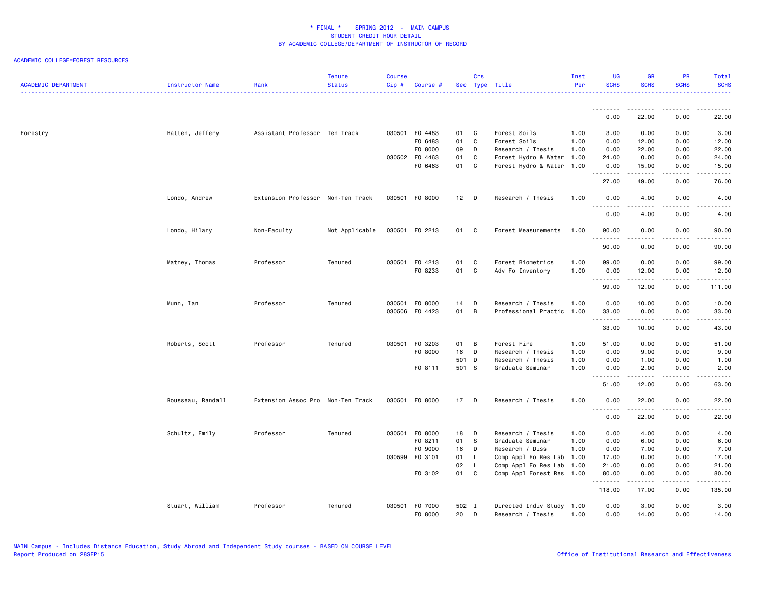| <b>ACADEMIC DEPARTMENT</b> | Instructor Name   | Rank                              | <b>Tenure</b><br><b>Status</b> | <b>Course</b><br>Cip# | Course #       |        | Crs            | Sec Type Title            | Inst<br>Per | UG<br><b>SCHS</b>                                                                                                                                                                                                                                                                                                                                                                                                                                                                               | <b>GR</b><br><b>SCHS</b> | <b>PR</b><br><b>SCHS</b>     | Total<br><b>SCHS</b>                                                                                                                                          |
|----------------------------|-------------------|-----------------------------------|--------------------------------|-----------------------|----------------|--------|----------------|---------------------------|-------------|-------------------------------------------------------------------------------------------------------------------------------------------------------------------------------------------------------------------------------------------------------------------------------------------------------------------------------------------------------------------------------------------------------------------------------------------------------------------------------------------------|--------------------------|------------------------------|---------------------------------------------------------------------------------------------------------------------------------------------------------------|
|                            |                   |                                   |                                |                       |                |        |                |                           |             |                                                                                                                                                                                                                                                                                                                                                                                                                                                                                                 |                          |                              | .                                                                                                                                                             |
|                            |                   |                                   |                                |                       |                |        |                |                           |             | <u>.</u><br>0.00                                                                                                                                                                                                                                                                                                                                                                                                                                                                                | <u>.</u><br>22.00        | <u>.</u><br>0.00             | .<br>22.00                                                                                                                                                    |
| Forestry                   | Hatten, Jeffery   | Assistant Professor Ten Track     |                                |                       | 030501 F0 4483 | 01     | $\mathbf{C}$   | Forest Soils              | 1.00        | 3.00                                                                                                                                                                                                                                                                                                                                                                                                                                                                                            | 0.00                     | 0.00                         | 3.00                                                                                                                                                          |
|                            |                   |                                   |                                |                       | F0 6483        | 01     | $\mathbf{C}$   | Forest Soils              | 1.00        | 0.00                                                                                                                                                                                                                                                                                                                                                                                                                                                                                            | 12.00                    | 0.00                         | 12.00                                                                                                                                                         |
|                            |                   |                                   |                                |                       | F0 8000        | 09     | D              | Research / Thesis         | 1.00        | 0.00                                                                                                                                                                                                                                                                                                                                                                                                                                                                                            | 22.00                    | 0.00                         | 22.00                                                                                                                                                         |
|                            |                   |                                   |                                |                       | 030502 F0 4463 | 01     | C              | Forest Hydro & Water      | 1.00        | 24.00                                                                                                                                                                                                                                                                                                                                                                                                                                                                                           | 0.00                     | 0.00                         | 24.00                                                                                                                                                         |
|                            |                   |                                   |                                |                       | F0 6463        | 01 C   |                | Forest Hydro & Water 1.00 |             | 0.00<br>.                                                                                                                                                                                                                                                                                                                                                                                                                                                                                       | 15.00                    | 0.00<br>د د د د              | 15.00<br>$\frac{1}{2} \left( \frac{1}{2} \right) \left( \frac{1}{2} \right) \left( \frac{1}{2} \right) \left( \frac{1}{2} \right) \left( \frac{1}{2} \right)$ |
|                            |                   |                                   |                                |                       |                |        |                |                           |             | 27.00                                                                                                                                                                                                                                                                                                                                                                                                                                                                                           | 49.00                    | 0.00                         | 76.00                                                                                                                                                         |
|                            | Londo, Andrew     | Extension Professor Non-Ten Track |                                |                       | 030501 F0 8000 | $12$ D |                | Research / Thesis         | 1.00        | 0.00<br>$- - -$<br>----                                                                                                                                                                                                                                                                                                                                                                                                                                                                         | 4.00                     | 0.00<br>.                    | 4.00<br>.                                                                                                                                                     |
|                            |                   |                                   |                                |                       |                |        |                |                           |             | 0.00                                                                                                                                                                                                                                                                                                                                                                                                                                                                                            | 4.00                     | 0.00                         | 4.00                                                                                                                                                          |
|                            | Londo, Hilary     | Non-Faculty                       | Not Applicable                 |                       | 030501 F0 2213 | 01 C   |                | Forest Measurements       | 1.00        | 90.00<br>--------                                                                                                                                                                                                                                                                                                                                                                                                                                                                               | 0.00<br>.                | 0.00<br>.                    | 90.00<br>.                                                                                                                                                    |
|                            |                   |                                   |                                |                       |                |        |                |                           |             | 90.00                                                                                                                                                                                                                                                                                                                                                                                                                                                                                           | 0.00                     | 0.00                         | 90.00                                                                                                                                                         |
|                            | Matney, Thomas    | Professor                         | Tenured                        |                       | 030501 F0 4213 | 01     | <b>C</b>       | Forest Biometrics         | 1.00        | 99.00                                                                                                                                                                                                                                                                                                                                                                                                                                                                                           | 0.00                     | 0.00                         | 99.00                                                                                                                                                         |
|                            |                   |                                   |                                |                       | F0 8233        | 01 C   |                | Adv Fo Inventory          | 1.00        | 0.00                                                                                                                                                                                                                                                                                                                                                                                                                                                                                            | 12.00                    | 0.00                         | 12.00                                                                                                                                                         |
|                            |                   |                                   |                                |                       |                |        |                |                           |             | .                                                                                                                                                                                                                                                                                                                                                                                                                                                                                               | .                        | .                            | .                                                                                                                                                             |
|                            |                   |                                   |                                |                       |                |        |                |                           |             | 99.00                                                                                                                                                                                                                                                                                                                                                                                                                                                                                           | 12.00                    | 0.00                         | 111.00                                                                                                                                                        |
|                            | Munn, Ian         | Professor                         | Tenured                        |                       | 030501 F0 8000 | 14     | D              | Research / Thesis         | 1.00        | 0.00                                                                                                                                                                                                                                                                                                                                                                                                                                                                                            | 10.00                    | 0.00                         | 10.00                                                                                                                                                         |
|                            |                   |                                   |                                |                       | 030506 F0 4423 | 01     | $\overline{B}$ | Professional Practic      | 1.00        | 33.00                                                                                                                                                                                                                                                                                                                                                                                                                                                                                           | 0.00                     | 0.00                         | 33.00                                                                                                                                                         |
|                            |                   |                                   |                                |                       |                |        |                |                           |             | .<br>33.00                                                                                                                                                                                                                                                                                                                                                                                                                                                                                      | .<br>10.00               | $\sim$ $\sim$ $\sim$<br>0.00 | .<br>43.00                                                                                                                                                    |
|                            | Roberts, Scott    | Professor                         | Tenured                        |                       | 030501 F0 3203 | 01     | B              | Forest Fire               | 1.00        | 51.00                                                                                                                                                                                                                                                                                                                                                                                                                                                                                           | 0.00                     | 0.00                         | 51.00                                                                                                                                                         |
|                            |                   |                                   |                                |                       | F0 8000        | 16     | D              | Research / Thesis         | 1.00        | 0.00                                                                                                                                                                                                                                                                                                                                                                                                                                                                                            | 9.00                     | 0.00                         | 9.00                                                                                                                                                          |
|                            |                   |                                   |                                |                       |                | 501 D  |                | Research / Thesis         | 1.00        | 0.00                                                                                                                                                                                                                                                                                                                                                                                                                                                                                            | 1.00                     | 0.00                         | 1.00                                                                                                                                                          |
|                            |                   |                                   |                                |                       | FO 8111        | 501 S  |                | Graduate Seminar          | 1.00        | 0.00                                                                                                                                                                                                                                                                                                                                                                                                                                                                                            | 2.00                     | 0.00                         | 2.00                                                                                                                                                          |
|                            |                   |                                   |                                |                       |                |        |                |                           |             | $\begin{array}{cccccccccccccc} \multicolumn{2}{c}{} & \multicolumn{2}{c}{} & \multicolumn{2}{c}{} & \multicolumn{2}{c}{} & \multicolumn{2}{c}{} & \multicolumn{2}{c}{} & \multicolumn{2}{c}{} & \multicolumn{2}{c}{} & \multicolumn{2}{c}{} & \multicolumn{2}{c}{} & \multicolumn{2}{c}{} & \multicolumn{2}{c}{} & \multicolumn{2}{c}{} & \multicolumn{2}{c}{} & \multicolumn{2}{c}{} & \multicolumn{2}{c}{} & \multicolumn{2}{c}{} & \multicolumn{2}{c}{} & \multicolumn{2}{c}{} & \$<br>51.00 | -----<br>12.00           | .<br>0.00                    | .<br>63.00                                                                                                                                                    |
|                            | Rousseau, Randall | Extension Assoc Pro Non-Ten Track |                                |                       | 030501 F0 8000 | 17 D   |                | Research / Thesis         | 1.00        | 0.00                                                                                                                                                                                                                                                                                                                                                                                                                                                                                            | 22.00                    | 0.00                         | 22.00                                                                                                                                                         |
|                            |                   |                                   |                                |                       |                |        |                |                           |             | 0.00                                                                                                                                                                                                                                                                                                                                                                                                                                                                                            | 22.00                    | .<br>0.00                    | .<br>22.00                                                                                                                                                    |
|                            | Schultz, Emily    | Professor                         | Tenured                        |                       | 030501 F0 8000 | 18     | $\Box$         | Research / Thesis         | 1.00        | 0.00                                                                                                                                                                                                                                                                                                                                                                                                                                                                                            | 4.00                     | 0.00                         | 4.00                                                                                                                                                          |
|                            |                   |                                   |                                |                       | F0 8211        | 01     | S.             | Graduate Seminar          | 1.00        | 0.00                                                                                                                                                                                                                                                                                                                                                                                                                                                                                            | 6.00                     | 0.00                         | 6.00                                                                                                                                                          |
|                            |                   |                                   |                                |                       | F0 9000        | 16     | D              | Research / Diss           | 1.00        | 0.00                                                                                                                                                                                                                                                                                                                                                                                                                                                                                            | 7.00                     | 0.00                         | 7.00                                                                                                                                                          |
|                            |                   |                                   |                                |                       | 030599 F0 3101 | 01     | L.             | Comp Appl Fo Res Lab 1.00 |             | 17.00                                                                                                                                                                                                                                                                                                                                                                                                                                                                                           | 0.00                     | 0.00                         | 17.00                                                                                                                                                         |
|                            |                   |                                   |                                |                       |                | 02     | L.             | Comp Appl Fo Res Lab      | 1.00        | 21.00                                                                                                                                                                                                                                                                                                                                                                                                                                                                                           | 0.00                     | 0.00                         | 21.00                                                                                                                                                         |
|                            |                   |                                   |                                |                       | F0 3102        | 01     | C              | Comp Appl Forest Res 1.00 |             | 80.00                                                                                                                                                                                                                                                                                                                                                                                                                                                                                           | 0.00<br>$-$ - - - - $-$  | 0.00<br>.                    | 80.00<br>.                                                                                                                                                    |
|                            |                   |                                   |                                |                       |                |        |                |                           |             | 118.00                                                                                                                                                                                                                                                                                                                                                                                                                                                                                          | 17.00                    | 0.00                         | 135.00                                                                                                                                                        |
|                            | Stuart, William   | Professor                         | Tenured                        |                       | 030501 F0 7000 | 502 I  |                | Directed Indiv Study 1.00 |             | 0.00                                                                                                                                                                                                                                                                                                                                                                                                                                                                                            | 3.00                     | 0.00                         | 3.00                                                                                                                                                          |
|                            |                   |                                   |                                |                       | F0 8000        | 20     | D              | Research / Thesis         | 1.00        | 0.00                                                                                                                                                                                                                                                                                                                                                                                                                                                                                            | 14.00                    | 0.00                         | 14.00                                                                                                                                                         |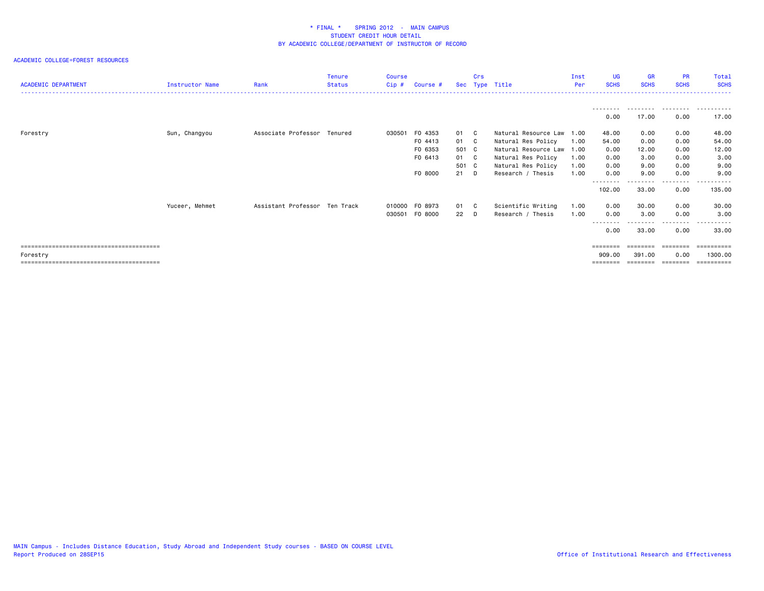| <b>ACADEMIC DEPARTMENT</b> | <b>Instructor Name</b> | Rank                          | <b>Tenure</b><br><b>Status</b> | Course<br>$Cip$ # | Course #       |       | Crs | Sec Type Title       | Inst<br><b>Per</b> | <b>UG</b><br><b>SCHS</b> | <b>GR</b><br><b>SCHS</b> | <b>PR</b><br><b>SCHS</b> | Total<br><b>SCHS</b> |
|----------------------------|------------------------|-------------------------------|--------------------------------|-------------------|----------------|-------|-----|----------------------|--------------------|--------------------------|--------------------------|--------------------------|----------------------|
|                            |                        |                               |                                |                   |                |       |     |                      |                    | 0.00                     | --------<br>17.00        | .<br>0.00                | 17.00                |
| Forestry                   | Sun, Changyou          | Associate Professor Tenured   |                                |                   | 030501 F0 4353 | 01 C  |     | Natural Resource Law | 1.00               | 48.00                    | 0.00                     | 0.00                     | 48.00                |
|                            |                        |                               |                                |                   | F0 4413        | 01 C  |     | Natural Res Policy   | 1.00               | 54.00                    | 0.00                     | 0.00                     | 54.00                |
|                            |                        |                               |                                |                   | F0 6353        | 501 C |     | Natural Resource Law | 1.00               | 0.00                     | 12.00                    | 0.00                     | 12.00                |
|                            |                        |                               |                                |                   | F0 6413        | 01 C  |     | Natural Res Policy   | 1.00               | 0.00                     | 3.00                     | 0.00                     | 3.00                 |
|                            |                        |                               |                                |                   |                | 501 C |     | Natural Res Policy   | 1.00               | 0.00                     | 9.00                     | 0.00                     | 9.00                 |
|                            |                        |                               |                                |                   | F0 8000        | 21    | D.  | Research / Thesis    | 1.00               | 0.00                     | 9.00                     | 0.00                     | 9.00                 |
|                            |                        |                               |                                |                   |                |       |     |                      |                    | --------<br>102.00       | --------<br>33.00        | .<br>0.00                | ----------<br>135.00 |
|                            | Yuceer, Mehmet         | Assistant Professor Ten Track |                                |                   | 010000 F0 8973 | 01 C  |     | Scientific Writing   | 1.00               | 0.00                     | 30.00                    | 0.00                     | 30.00                |
|                            |                        |                               |                                |                   | 030501 F0 8000 | 22 D  |     | Research / Thesis    | 1.00               | 0.00                     | 3.00                     | 0.00                     | 3.00                 |
|                            |                        |                               |                                |                   |                |       |     |                      |                    |                          |                          | - - - -                  |                      |
|                            |                        |                               |                                |                   |                |       |     |                      |                    | 0.00                     | 33.00                    | 0.00                     | 33.00                |
|                            |                        |                               |                                |                   |                |       |     |                      |                    | ========                 | ========                 | ========                 | -----------          |
| Forestry                   |                        |                               |                                |                   |                |       |     |                      |                    | 909.00                   | 391,00                   | 0.00                     | 1300.00              |
|                            |                        |                               |                                |                   |                |       |     |                      |                    | ========                 | ========                 | ========                 | ==========           |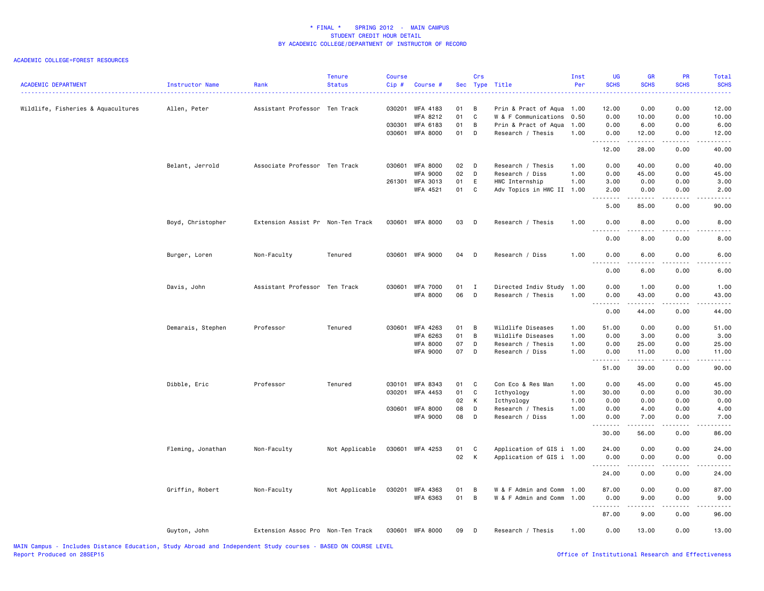| <b>ACADEMIC DEPARTMENT</b>         | Instructor Name   | Rank                              | <b>Tenure</b><br><b>Status</b> | Course<br>Cip# | Course #                           |          | Crs               | Sec Type Title                              | Inst<br>Per  | UG<br><b>SCHS</b>     | <b>GR</b><br><b>SCHS</b> | PR<br><b>SCHS</b>                   | Total<br><b>SCHS</b>                                                                                                                                         |
|------------------------------------|-------------------|-----------------------------------|--------------------------------|----------------|------------------------------------|----------|-------------------|---------------------------------------------|--------------|-----------------------|--------------------------|-------------------------------------|--------------------------------------------------------------------------------------------------------------------------------------------------------------|
| Wildlife, Fisheries & Aquacultures | Allen, Peter      | Assistant Professor Ten Track     |                                |                | 030201 WFA 4183                    | 01       | B                 | Prin & Pract of Aqua                        | 1.00         | 12.00                 | 0.00                     | 0.00                                | 12.00                                                                                                                                                        |
|                                    |                   |                                   |                                |                | WFA 8212                           | 01       | C                 | W & F Communications                        | 0.50         | 0.00                  | 10.00                    | 0.00                                | 10.00                                                                                                                                                        |
|                                    |                   |                                   |                                |                | 030301 WFA 6183                    | 01       | B                 | Prin & Pract of Aqua                        | 1.00         | 0.00                  | 6.00                     | 0.00                                | 6.00                                                                                                                                                         |
|                                    |                   |                                   |                                |                | 030601 WFA 8000                    | 01       | D                 | Research / Thesis                           | 1.00         | 0.00<br>.             | 12.00<br>.               | 0.00<br>.                           | 12.00<br>.                                                                                                                                                   |
|                                    |                   |                                   |                                |                |                                    |          |                   |                                             |              | 12.00                 | 28.00                    | 0.00                                | 40.00                                                                                                                                                        |
|                                    | Belant, Jerrold   | Associate Professor Ten Track     |                                | 030601         | <b>WFA 8000</b><br><b>WFA 9000</b> | 02<br>02 | $\mathsf{D}$<br>D | Research / Thesis<br>Research / Diss        | 1.00<br>1.00 | 0.00<br>0.00          | 40.00                    | 0.00<br>0.00                        | 40.00                                                                                                                                                        |
|                                    |                   |                                   |                                |                |                                    |          |                   |                                             |              |                       | 45.00                    |                                     | 45.00                                                                                                                                                        |
|                                    |                   |                                   |                                |                | 261301 WFA 3013<br>WFA 4521        | 01<br>01 | E<br>C            | HWC Internship<br>Adv Topics in HWC II 1.00 | 1.00         | 3.00<br>2.00          | 0.00<br>0.00             | 0.00<br>0.00                        | 3.00<br>2.00                                                                                                                                                 |
|                                    |                   |                                   |                                |                |                                    |          |                   |                                             |              | .                     |                          | $  -$                               | .                                                                                                                                                            |
|                                    |                   |                                   |                                |                |                                    |          |                   |                                             |              | 5.00                  | 85.00                    | 0.00                                | 90.00                                                                                                                                                        |
|                                    | Boyd, Christopher | Extension Assist Pr Non-Ten Track |                                |                | 030601 WFA 8000                    | 03       | D                 | Research / Thesis                           | 1.00         | 0.00                  | 8.00                     | 0.00                                | 8.00<br>د د د د                                                                                                                                              |
|                                    |                   |                                   |                                |                |                                    |          |                   |                                             |              | 0.00                  | 8.00                     | 0.00                                | 8.00                                                                                                                                                         |
|                                    | Burger, Loren     | Non-Faculty                       | Tenured                        |                | 030601 WFA 9000                    | 04       | D                 | Research / Diss                             | 1.00         | 0.00<br>$\frac{1}{2}$ | 6.00                     | 0.00<br>.                           | 6.00                                                                                                                                                         |
|                                    |                   |                                   |                                |                |                                    |          |                   |                                             |              | 0.00                  | . <u>.</u> .<br>6.00     | 0.00                                | . <u>.</u> .<br>6.00                                                                                                                                         |
|                                    | Davis, John       | Assistant Professor Ten Track     |                                | 030601         | <b>WFA 7000</b>                    | 01       | I                 | Directed Indiv Study                        | 1.00         | 0.00                  | 1.00                     | 0.00                                | 1.00                                                                                                                                                         |
|                                    |                   |                                   |                                |                | <b>WFA 8000</b>                    | 06       | D                 | Research / Thesis                           | 1.00         | 0.00<br>.             | 43.00<br>.               | 0.00<br>.                           | 43.00<br>المتمالين                                                                                                                                           |
|                                    |                   |                                   |                                |                |                                    |          |                   |                                             |              | 0.00                  | 44.00                    | 0.00                                | 44.00                                                                                                                                                        |
|                                    | Demarais, Stephen | Professor                         | Tenured                        | 030601         | WFA 4263                           | 01       | B                 | Wildlife Diseases                           | 1.00         | 51.00                 | 0.00                     | 0.00                                | 51.00                                                                                                                                                        |
|                                    |                   |                                   |                                |                | <b>WFA 6263</b>                    | 01       | B                 | Wildlife Diseases                           | 1.00         | 0.00                  | 3.00                     | 0.00                                | 3.00                                                                                                                                                         |
|                                    |                   |                                   |                                |                | <b>WFA 8000</b>                    | 07       | D                 | Research / Thesis                           | 1.00         | 0.00                  | 25.00                    | 0.00                                | 25.00                                                                                                                                                        |
|                                    |                   |                                   |                                |                | <b>WFA 9000</b>                    | 07       | D                 | Research / Diss                             | 1.00         | 0.00<br>.             | 11.00<br>.               | 0.00<br>.                           | 11.00<br>المتمالين                                                                                                                                           |
|                                    |                   |                                   |                                |                |                                    |          |                   |                                             |              | 51.00                 | 39.00                    | 0.00                                | 90.00                                                                                                                                                        |
|                                    | Dibble, Eric      | Professor                         | Tenured                        | 030101         | <b>WFA 8343</b>                    | 01       | C                 | Con Eco & Res Man                           | 1.00         | 0.00                  | 45.00                    | 0.00                                | 45.00                                                                                                                                                        |
|                                    |                   |                                   |                                | 030201         | <b>WFA 4453</b>                    | 01       | C                 | Icthyology                                  | 1.00         | 30.00                 | 0.00                     | 0.00                                | 30.00                                                                                                                                                        |
|                                    |                   |                                   |                                |                |                                    | 02       | к                 | Icthyology                                  | 1.00         | 0.00                  | 0.00                     | 0.00                                | 0.00                                                                                                                                                         |
|                                    |                   |                                   |                                | 030601         | <b>WFA 8000</b>                    | 08       | D                 | Research / Thesis                           | 1.00         | 0.00                  | 4.00                     | 0.00                                | 4.00                                                                                                                                                         |
|                                    |                   |                                   |                                |                | <b>WFA 9000</b>                    | 08       | D                 | Research / Diss                             | 1.00         | 0.00<br>.             | 7.00<br>.                | 0.00<br>.                           | 7.00<br>$\frac{1}{2} \left( \frac{1}{2} \right) \left( \frac{1}{2} \right) \left( \frac{1}{2} \right) \left( \frac{1}{2} \right) \left( \frac{1}{2} \right)$ |
|                                    |                   |                                   |                                |                |                                    |          |                   |                                             |              | 30.00                 | 56.00                    | 0.00                                | 86.00                                                                                                                                                        |
|                                    | Fleming, Jonathan | Non-Faculty                       | Not Applicable                 | 030601         | WFA 4253                           | 01       | C                 | Application of GIS i 1.00                   |              | 24.00                 | 0.00                     | 0.00                                | 24.00                                                                                                                                                        |
|                                    |                   |                                   |                                |                |                                    | 02       | K                 | Application of GIS i 1.00                   |              | 0.00<br>.             | 0.00<br>.                | 0.00<br>$\sim$ $\sim$ $\sim$ $\sim$ | 0.00<br>$\frac{1}{2} \left( \frac{1}{2} \right) \left( \frac{1}{2} \right) \left( \frac{1}{2} \right) \left( \frac{1}{2} \right) \left( \frac{1}{2} \right)$ |
|                                    |                   |                                   |                                |                |                                    |          |                   |                                             |              | 24.00                 | 0.00                     | 0.00                                | 24.00                                                                                                                                                        |
|                                    | Griffin, Robert   | Non-Faculty                       | Not Applicable                 |                | 030201 WFA 4363                    | 01       | В                 | W & F Admin and Comm                        | 1.00         | 87.00                 | 0.00                     | 0.00                                | 87.00                                                                                                                                                        |
|                                    |                   |                                   |                                |                | WFA 6363                           | 01       | B                 | W & F Admin and Comm                        | 1.00         | 0.00<br>.             | 9.00<br>.                | 0.00<br>$- - - -$                   | 9.00<br>.                                                                                                                                                    |
|                                    |                   |                                   |                                |                |                                    |          |                   |                                             |              | 87.00                 | 9.00                     | 0.00                                | 96.00                                                                                                                                                        |
|                                    | Guyton, John      | Extension Assoc Pro Non-Ten Track |                                |                | 030601 WFA 8000                    | 09       | D                 | Research / Thesis                           | 1.00         | 0.00                  | 13.00                    | 0.00                                | 13.00                                                                                                                                                        |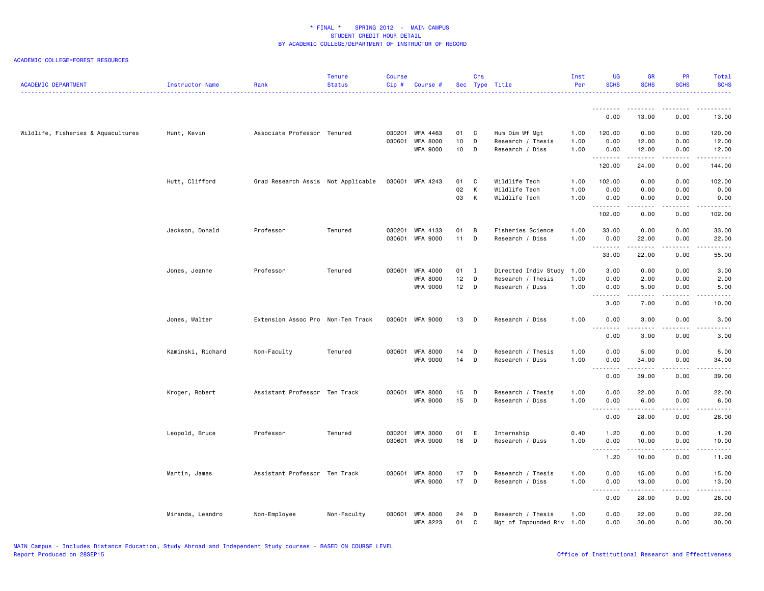| <b>ACADEMIC DEPARTMENT</b>         | Instructor Name   | Rank                               | <b>Tenure</b><br><b>Status</b> | <b>Course</b><br>$Cip$ # | Course #                    |          | Crs              | Sec Type Title                            | Inst<br>Per  | <b>UG</b><br><b>SCHS</b> | <b>GR</b><br><b>SCHS</b> | PR<br><b>SCHS</b>                   | Total<br><b>SCHS</b>                                                                                                                                          |
|------------------------------------|-------------------|------------------------------------|--------------------------------|--------------------------|-----------------------------|----------|------------------|-------------------------------------------|--------------|--------------------------|--------------------------|-------------------------------------|---------------------------------------------------------------------------------------------------------------------------------------------------------------|
|                                    |                   |                                    |                                |                          |                             |          |                  |                                           |              | <u>.</u><br>0.00         | 13.00                    | .<br>0.00                           | 13.00                                                                                                                                                         |
|                                    |                   |                                    |                                |                          |                             |          |                  |                                           |              |                          |                          |                                     |                                                                                                                                                               |
| Wildlife, Fisheries & Aquacultures | Hunt, Kevin       | Associate Professor Tenured        |                                | 030201<br>030601         | WFA 4463<br><b>WFA 8000</b> | 01<br>10 | C<br>D           | Hum Dim Wf Mgt<br>Research / Thesis       | 1.00<br>1.00 | 120.00<br>0.00           | 0.00<br>12.00            | 0.00<br>0.00                        | 120.00<br>12.00                                                                                                                                               |
|                                    |                   |                                    |                                |                          | WFA 9000                    | 10       | D                | Research / Diss                           | 1.00         | 0.00                     | 12.00                    | 0.00                                | 12.00                                                                                                                                                         |
|                                    |                   |                                    |                                |                          |                             |          |                  |                                           |              | .<br>120.00              | .<br>24.00               | .<br>0.00                           | .<br>144.00                                                                                                                                                   |
|                                    |                   |                                    |                                |                          |                             |          |                  |                                           |              |                          |                          |                                     |                                                                                                                                                               |
|                                    | Hutt, Clifford    | Grad Research Assis Not Applicable |                                |                          | 030601 WFA 4243             | 01       | C                | Wildlife Tech                             | 1.00         | 102.00                   | 0.00                     | 0.00                                | 102.00                                                                                                                                                        |
|                                    |                   |                                    |                                |                          |                             | 02<br>03 | K<br>K           | Wildlife Tech<br>Wildlife Tech            | 1.00<br>1.00 | 0.00<br>0.00             | 0.00<br>0.00             | 0.00<br>0.00                        | 0.00<br>0.00                                                                                                                                                  |
|                                    |                   |                                    |                                |                          |                             |          |                  |                                           |              | <u>.</u>                 |                          | .                                   | .                                                                                                                                                             |
|                                    |                   |                                    |                                |                          |                             |          |                  |                                           |              | 102.00                   | 0.00                     | 0.00                                | 102.00                                                                                                                                                        |
|                                    | Jackson, Donald   | Professor                          | Tenured                        | 030201                   | WFA 4133                    | 01       | В                | Fisheries Science                         | 1.00         | 33.00                    | 0.00                     | 0.00                                | 33.00                                                                                                                                                         |
|                                    |                   |                                    |                                | 030601                   | WFA 9000                    | 11       | D                | Research / Diss                           | 1.00         | 0.00                     | 22.00                    | 0.00                                | 22.00                                                                                                                                                         |
|                                    |                   |                                    |                                |                          |                             |          |                  |                                           |              | .<br>33.00               | المتمالين<br>22.00       | $- - - -$<br>0.00                   | $\sim$ $\sim$ $\sim$ $\sim$<br>55.00                                                                                                                          |
|                                    |                   | Professor                          | Tenured                        | 030601                   | WFA 4000                    | 01       | $\mathbf{I}$     |                                           | 1.00         | 3.00                     | 0.00                     | 0.00                                | 3.00                                                                                                                                                          |
|                                    | Jones, Jeanne     |                                    |                                |                          | WFA 8000                    | 12       | D                | Directed Indiv Study<br>Research / Thesis | 1.00         | 0.00                     | 2.00                     | 0.00                                | 2.00                                                                                                                                                          |
|                                    |                   |                                    |                                |                          | <b>WFA 9000</b>             | 12       | D                | Research / Diss                           | 1.00         | 0.00                     | 5.00                     | 0.00                                | 5.00                                                                                                                                                          |
|                                    |                   |                                    |                                |                          |                             |          |                  |                                           |              | .<br>3.00                | .<br>7.00                | الأعامات<br>0.00                    | .<br>10.00                                                                                                                                                    |
|                                    |                   |                                    |                                |                          |                             |          |                  |                                           |              |                          |                          |                                     |                                                                                                                                                               |
|                                    | Jones, Walter     | Extension Assoc Pro Non-Ten Track  |                                | 030601                   | WFA 9000                    | 13       | D                | Research / Diss                           | 1.00         | 0.00<br>.                | 3.00<br>د د د د          | 0.00                                | 3.00<br>.                                                                                                                                                     |
|                                    |                   |                                    |                                |                          |                             |          |                  |                                           |              | 0.00                     | 3.00                     | 0.00                                | 3.00                                                                                                                                                          |
|                                    | Kaminski, Richard | Non-Faculty                        | Tenured                        |                          | 030601 WFA 8000             | 14       | D                | Research / Thesis                         | 1.00         | 0.00                     | 5.00                     | 0.00                                | 5.00                                                                                                                                                          |
|                                    |                   |                                    |                                |                          | <b>WFA 9000</b>             | 14       | D                | Research / Diss                           | 1.00         | 0.00                     | 34.00                    | 0.00                                | 34.00                                                                                                                                                         |
|                                    |                   |                                    |                                |                          |                             |          |                  |                                           |              | .<br>0.00                | .<br>39.00               | .<br>0.00                           | .<br>39.00                                                                                                                                                    |
|                                    |                   |                                    |                                |                          |                             |          |                  |                                           |              |                          |                          |                                     |                                                                                                                                                               |
|                                    | Kroger, Robert    | Assistant Professor Ten Track      |                                | 030601                   | <b>WFA 8000</b>             | 15       | D                | Research / Thesis                         | 1.00<br>1.00 | 0.00                     | 22.00                    | 0.00                                | 22.00                                                                                                                                                         |
|                                    |                   |                                    |                                |                          | <b>WFA 9000</b>             | 15       | D                | Research / Diss                           |              | 0.00<br>.                | 6.00<br>. <b>.</b>       | 0.00<br>.                           | 6.00<br>$\frac{1}{2} \left( \frac{1}{2} \right) \left( \frac{1}{2} \right) \left( \frac{1}{2} \right) \left( \frac{1}{2} \right) \left( \frac{1}{2} \right)$  |
|                                    |                   |                                    |                                |                          |                             |          |                  |                                           |              | 0.00                     | 28.00                    | 0.00                                | 28.00                                                                                                                                                         |
|                                    | Leopold, Bruce    | Professor                          | Tenured                        |                          | 030201 WFA 3000             | 01       | E                | Internship                                | 0.40         | 1.20                     | 0.00                     | 0.00                                | 1.20                                                                                                                                                          |
|                                    |                   |                                    |                                | 030601                   | WFA 9000                    | 16       | D                | Research / Diss                           | 1.00         | 0.00                     | 10.00                    | 0.00                                | 10.00                                                                                                                                                         |
|                                    |                   |                                    |                                |                          |                             |          |                  |                                           |              | .<br>1.20                | .<br>10.00               | $\sim$ $\sim$ $\sim$ $\sim$<br>0.00 | $\frac{1}{2} \left( \frac{1}{2} \right) \left( \frac{1}{2} \right) \left( \frac{1}{2} \right) \left( \frac{1}{2} \right) \left( \frac{1}{2} \right)$<br>11.20 |
|                                    |                   |                                    |                                |                          |                             |          |                  |                                           |              |                          |                          |                                     |                                                                                                                                                               |
|                                    | Martin, James     | Assistant Professor Ten Track      |                                | 030601                   | <b>WFA 8000</b>             | 17       | D                | Research / Thesis                         | 1.00         | 0.00                     | 15.00                    | 0.00                                | 15.00                                                                                                                                                         |
|                                    |                   |                                    |                                |                          | <b>WFA 9000</b>             | 17       | D                | Research / Diss                           | 1.00         | 0.00<br><u>.</u>         | 13.00<br>.               | 0.00<br>.                           | 13.00<br>.                                                                                                                                                    |
|                                    |                   |                                    |                                |                          |                             |          |                  |                                           |              | 0.00                     | 28.00                    | 0.00                                | 28.00                                                                                                                                                         |
|                                    |                   |                                    |                                |                          |                             |          |                  |                                           |              |                          |                          |                                     |                                                                                                                                                               |
|                                    | Miranda, Leandro  | Non-Employee                       | Non-Faculty                    | 030601                   | WFA 8000<br>WFA 8223        | 24<br>01 | D<br>$\mathbf C$ | Research / Thesis<br>Mgt of Impounded Riv | 1.00<br>1.00 | 0.00<br>0.00             | 22.00<br>30.00           | 0.00<br>0.00                        | 22.00<br>30.00                                                                                                                                                |
|                                    |                   |                                    |                                |                          |                             |          |                  |                                           |              |                          |                          |                                     |                                                                                                                                                               |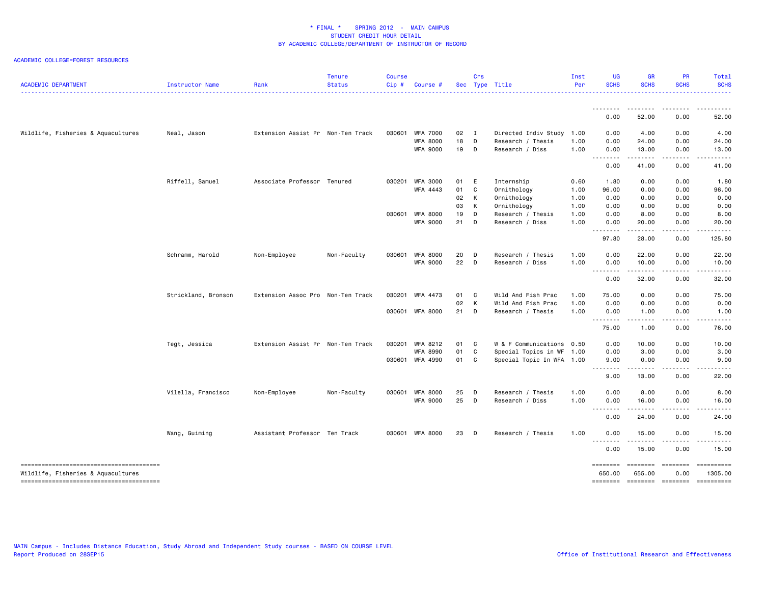| <b>ACADEMIC DEPARTMENT</b>         | Instructor Name     | Rank                              | <b>Tenure</b><br><b>Status</b> | <b>Course</b><br>Cip# | Course #                           |          | Crs          | Sec Type Title                       | Inst<br>Per  | <b>UG</b><br><b>SCHS</b> | <b>GR</b><br><b>SCHS</b>                                                                                                                                      | <b>PR</b><br><b>SCHS</b>            | Total<br><b>SCHS</b>                                                                                                                                          |
|------------------------------------|---------------------|-----------------------------------|--------------------------------|-----------------------|------------------------------------|----------|--------------|--------------------------------------|--------------|--------------------------|---------------------------------------------------------------------------------------------------------------------------------------------------------------|-------------------------------------|---------------------------------------------------------------------------------------------------------------------------------------------------------------|
|                                    |                     |                                   |                                |                       |                                    |          |              |                                      |              |                          | .                                                                                                                                                             | <u>.</u>                            |                                                                                                                                                               |
|                                    |                     |                                   |                                |                       |                                    |          |              |                                      |              | 0.00                     | 52.00                                                                                                                                                         | 0.00                                | 52.00                                                                                                                                                         |
| Wildlife, Fisheries & Aquacultures | Neal, Jason         | Extension Assist Pr Non-Ten Track |                                | 030601                | <b>WFA 7000</b>                    | 02       | $\mathbf{I}$ | Directed Indiv Study 1.00            |              | 0.00                     | 4.00                                                                                                                                                          | 0.00                                | 4.00                                                                                                                                                          |
|                                    |                     |                                   |                                |                       | <b>WFA 8000</b><br><b>WFA 9000</b> | 18<br>19 | D<br>D       | Research / Thesis<br>Research / Diss | 1.00<br>1.00 | 0.00<br>0.00             | 24.00<br>13.00                                                                                                                                                | 0.00<br>0.00                        | 24.00<br>13.00                                                                                                                                                |
|                                    |                     |                                   |                                |                       |                                    |          |              |                                      |              | 0.00                     | $\frac{1}{2} \left( \frac{1}{2} \right) \left( \frac{1}{2} \right) \left( \frac{1}{2} \right) \left( \frac{1}{2} \right) \left( \frac{1}{2} \right)$<br>41.00 | $\sim$ $\sim$ $\sim$ $\sim$<br>0.00 | $\frac{1}{2} \left( \frac{1}{2} \right) \left( \frac{1}{2} \right) \left( \frac{1}{2} \right) \left( \frac{1}{2} \right) \left( \frac{1}{2} \right)$<br>41.00 |
|                                    |                     |                                   |                                |                       |                                    |          |              |                                      |              |                          |                                                                                                                                                               |                                     |                                                                                                                                                               |
|                                    | Riffell, Samuel     | Associate Professor Tenured       |                                |                       | 030201 WFA 3000<br>WFA 4443        | 01<br>01 | E<br>C       | Internship<br>Ornithology            | 0.60<br>1.00 | 1.80<br>96.00            | 0.00<br>0.00                                                                                                                                                  | 0.00<br>0.00                        | 1.80<br>96.00                                                                                                                                                 |
|                                    |                     |                                   |                                |                       |                                    | 02       | K            | Ornithology                          | 1.00         | 0.00                     | 0.00                                                                                                                                                          | 0.00                                | 0.00                                                                                                                                                          |
|                                    |                     |                                   |                                |                       |                                    | 03       | K            | Ornithology                          | 1.00         | 0.00                     | 0.00                                                                                                                                                          | 0.00                                | 0.00                                                                                                                                                          |
|                                    |                     |                                   |                                |                       | 030601 WFA 8000                    | 19       | D            | Research / Thesis                    | 1.00         | 0.00                     | 8.00                                                                                                                                                          | 0.00                                | 8.00                                                                                                                                                          |
|                                    |                     |                                   |                                |                       | <b>WFA 9000</b>                    | 21       | D            | Research / Diss                      | 1.00         | 0.00<br>.                | 20.00<br>المستمالات                                                                                                                                           | 0.00<br>.                           | 20.00<br>.                                                                                                                                                    |
|                                    |                     |                                   |                                |                       |                                    |          |              |                                      |              | 97.80                    | 28.00                                                                                                                                                         | 0.00                                | 125.80                                                                                                                                                        |
|                                    | Schramm, Harold     | Non-Employee                      | Non-Faculty                    |                       | 030601 WFA 8000                    | 20       | D            | Research / Thesis                    | 1.00         | 0.00                     | 22.00                                                                                                                                                         | 0.00                                | 22.00                                                                                                                                                         |
|                                    |                     |                                   |                                |                       | <b>WFA 9000</b>                    | 22       | D            | Research / Diss                      | 1.00         | 0.00<br><b></b>          | 10.00<br>.                                                                                                                                                    | 0.00<br><u>.</u>                    | 10.00<br>. <u>.</u> .                                                                                                                                         |
|                                    |                     |                                   |                                |                       |                                    |          |              |                                      |              | 0.00                     | 32.00                                                                                                                                                         | 0.00                                | 32.00                                                                                                                                                         |
|                                    | Strickland, Bronson | Extension Assoc Pro Non-Ten Track |                                | 030201                | <b>WFA 4473</b>                    | 01       | C            | Wild And Fish Prac                   | 1.00         | 75.00                    | 0.00                                                                                                                                                          | 0.00                                | 75.00                                                                                                                                                         |
|                                    |                     |                                   |                                |                       |                                    | 02       | $\mathsf{K}$ | Wild And Fish Prac                   | 1.00         | 0.00                     | 0.00                                                                                                                                                          | 0.00                                | 0.00                                                                                                                                                          |
|                                    |                     |                                   |                                | 030601                | <b>WFA 8000</b>                    | 21       | D            | Research / Thesis                    | 1.00         | 0.00<br>.                | 1.00<br>-----                                                                                                                                                 | 0.00<br>.                           | 1.00<br>$\frac{1}{2}$                                                                                                                                         |
|                                    |                     |                                   |                                |                       |                                    |          |              |                                      |              | 75.00                    | 1.00                                                                                                                                                          | 0.00                                | 76.00                                                                                                                                                         |
|                                    | Tegt, Jessica       | Extension Assist Pr Non-Ten Track |                                |                       | 030201 WFA 8212                    | 01 C     |              | W & F Communications 0.50            |              | 0.00                     | 10.00                                                                                                                                                         | 0.00                                | 10.00                                                                                                                                                         |
|                                    |                     |                                   |                                |                       | <b>WFA 8990</b>                    | 01       | C.           | Special Topics in WF 1.00            |              | 0.00                     | 3.00                                                                                                                                                          | 0.00                                | 3.00                                                                                                                                                          |
|                                    |                     |                                   |                                |                       | 030601 WFA 4990                    | 01       | C.           | Special Topic In WFA 1.00            |              | 9.00                     | 0.00<br>$\frac{1}{2} \left( \frac{1}{2} \right) \left( \frac{1}{2} \right) \left( \frac{1}{2} \right) \left( \frac{1}{2} \right) \left( \frac{1}{2} \right)$  | 0.00<br>المتمالين                   | 9.00<br>$\frac{1}{2} \left( \frac{1}{2} \right) \left( \frac{1}{2} \right) \left( \frac{1}{2} \right) \left( \frac{1}{2} \right) \left( \frac{1}{2} \right)$  |
|                                    |                     |                                   |                                |                       |                                    |          |              |                                      |              | 9.00                     | 13.00                                                                                                                                                         | 0.00                                | 22.00                                                                                                                                                         |
|                                    | Vilella, Francisco  | Non-Employee                      | Non-Faculty                    | 030601                | <b>WFA 8000</b>                    | 25       | D            | Research / Thesis                    | 1.00         | 0.00                     | 8.00                                                                                                                                                          | 0.00                                | 8.00                                                                                                                                                          |
|                                    |                     |                                   |                                |                       | <b>WFA 9000</b>                    | 25       | D            | Research / Diss                      | 1.00         | 0.00<br>.                | 16.00                                                                                                                                                         | 0.00<br>. <b>.</b> .                | 16.00<br>.                                                                                                                                                    |
|                                    |                     |                                   |                                |                       |                                    |          |              |                                      |              | 0.00                     | 24.00                                                                                                                                                         | 0.00                                | 24.00                                                                                                                                                         |
|                                    | Wang, Guiming       | Assistant Professor Ten Track     |                                |                       | 030601 WFA 8000                    | 23       | D            | Research / Thesis                    | 1.00         | 0.00                     | 15.00                                                                                                                                                         | 0.00                                | 15.00                                                                                                                                                         |
|                                    |                     |                                   |                                |                       |                                    |          |              |                                      |              | .<br>0.00                | 15.00                                                                                                                                                         | .<br>0.00                           | .<br>15.00                                                                                                                                                    |
| Wildlife, Fisheries & Aquacultures |                     |                                   |                                |                       |                                    |          |              |                                      |              | ========<br>650.00       | ========<br>655.00                                                                                                                                            | essesses<br>0.00                    | ==========<br>1305.00                                                                                                                                         |
|                                    |                     |                                   |                                |                       |                                    |          |              |                                      |              |                          |                                                                                                                                                               |                                     | -------- ------- -------- ---------                                                                                                                           |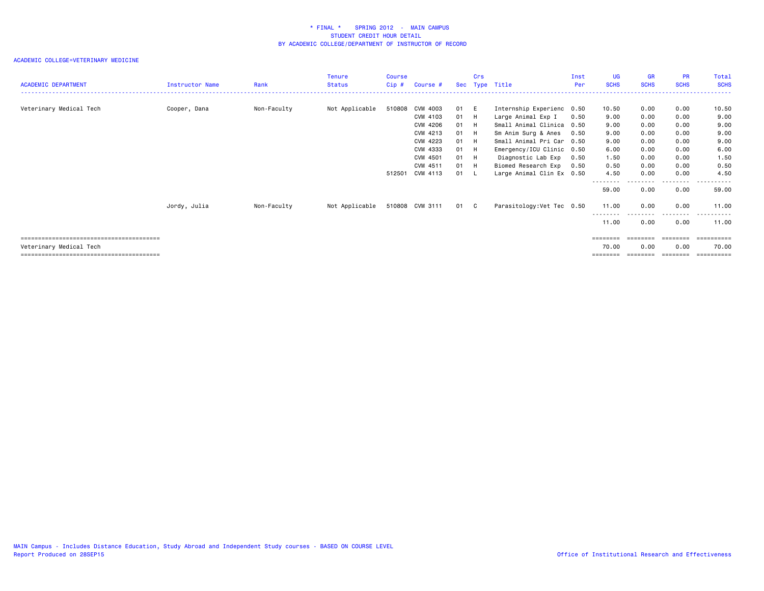| <b>ACADEMIC DEPARTMENT</b> | Instructor Name | Rank        | <b>Tenure</b><br><b>Status</b> | Course<br>$Cip$ # | Course #        |      | Crs  | Sec Type Title             | Inst<br>Per | <b>UG</b><br><b>SCHS</b> | <b>GR</b><br><b>SCHS</b> | <b>PR</b><br><b>SCHS</b> | Total<br><b>SCHS</b>  |
|----------------------------|-----------------|-------------|--------------------------------|-------------------|-----------------|------|------|----------------------------|-------------|--------------------------|--------------------------|--------------------------|-----------------------|
|                            |                 |             |                                |                   |                 |      |      |                            |             |                          |                          |                          |                       |
| Veterinary Medical Tech    | Cooper, Dana    | Non-Faculty | Not Applicable                 | 510808            | CVM 4003        | 01 E |      | Internship Experienc 0.50  |             | 10.50                    | 0.00                     | 0.00                     | 10.50                 |
|                            |                 |             |                                |                   | CVM 4103        | 01 H |      | Large Animal Exp I         | 0.50        | 9.00                     | 0.00                     | 0.00                     | 9.00                  |
|                            |                 |             |                                |                   | CVM 4206        | 01   |      | Small Animal Clinica 0.50  |             | 9.00                     | 0.00                     | 0.00                     | 9.00                  |
|                            |                 |             |                                |                   | CVM 4213        | 01   |      | Sm Anim Surg & Anes        | 0.50        | 9.00                     | 0.00                     | 0.00                     | 9.00                  |
|                            |                 |             |                                |                   | CVM 4223        | 01   |      | Small Animal Pri Car 0.50  |             | 9.00                     | 0.00                     | 0.00                     | 9.00                  |
|                            |                 |             |                                |                   | CVM 4333        | 01   |      | Emergency/ICU Clinic 0.50  |             | 6.00                     | 0.00                     | 0.00                     | 6.00                  |
|                            |                 |             |                                |                   | CVM 4501        | 01   | - H  | Diagnostic Lab Exp         | 0.50        | 1.50                     | 0.00                     | 0.00                     | 1.50                  |
|                            |                 |             |                                |                   | CVM 4511        | 01   |      | Biomed Research Exp        | 0.50        | 0.50                     | 0.00                     | 0.00                     | 0.50                  |
|                            |                 |             |                                |                   | 512501 CVM 4113 | 01 L |      | Large Animal Clin Ex 0.50  |             | 4.50                     | 0.00                     | 0.00                     | 4.50                  |
|                            |                 |             |                                |                   |                 |      |      |                            |             | 59.00                    | 0.00                     | .<br>0.00                | . <u>.</u> .<br>59.00 |
|                            | Jordy, Julia    | Non-Faculty | Not Applicable                 |                   | 510808 CVM 3111 |      | 01 C | Parasitology: Vet Tec 0.50 |             | 11.00                    | 0.00                     | 0.00                     | 11.00                 |
|                            |                 |             |                                |                   |                 |      |      |                            |             | 11.00                    | 0.00                     | 0.00                     | 11.00                 |
|                            |                 |             |                                |                   |                 |      |      |                            |             | ========                 | ========                 | ========                 | -----------           |
| Veterinary Medical Tech    |                 |             |                                |                   |                 |      |      |                            |             | 70.00                    | 0.00                     | 0.00                     | 70.00                 |
|                            |                 |             |                                |                   |                 |      |      |                            |             | ========                 | ========                 | ========                 | ==========            |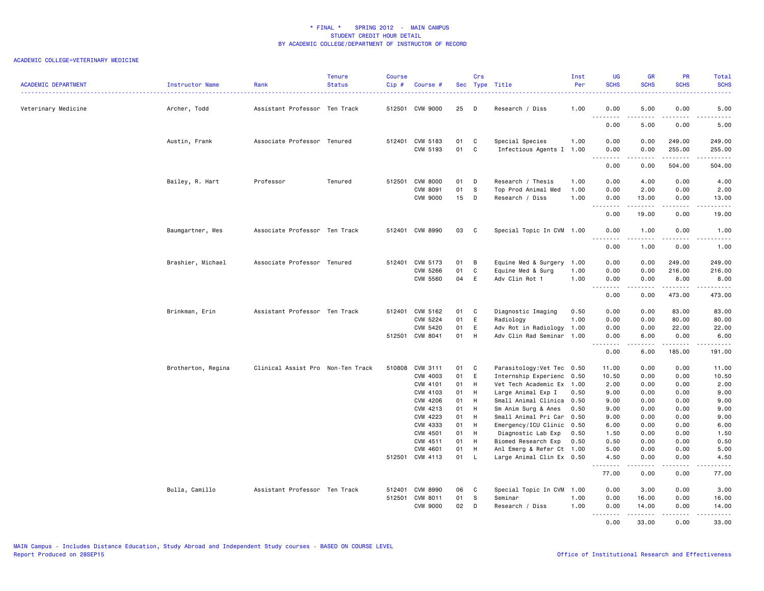| <b>ACADEMIC DEPARTMENT</b> | Instructor Name    | Rank                              | <b>Tenure</b><br><b>Status</b> | <b>Course</b><br>Cip# | Course #                    |            | Crs            | Sec Type Title                              | Inst<br>Per | UG<br><b>SCHS</b>            | <b>GR</b><br><b>SCHS</b> | PR<br><b>SCHS</b>                                                                                                                                            | Total<br><b>SCHS</b> |
|----------------------------|--------------------|-----------------------------------|--------------------------------|-----------------------|-----------------------------|------------|----------------|---------------------------------------------|-------------|------------------------------|--------------------------|--------------------------------------------------------------------------------------------------------------------------------------------------------------|----------------------|
| Veterinary Medicine        | Archer, Todd       | Assistant Professor Ten Track     |                                |                       | 512501 CVM 9000             | 25         | D              | Research / Diss                             | 1.00        | 0.00<br>$\sim$ $\sim$ $\sim$ | 5.00                     | 0.00<br>.                                                                                                                                                    | 5.00                 |
|                            |                    |                                   |                                |                       |                             |            |                |                                             |             | 0.00                         | 5.00                     | 0.00                                                                                                                                                         | 5.00                 |
|                            | Austin, Frank      | Associate Professor Tenured       |                                |                       | 512401 CVM 5183<br>CVM 5193 | 01<br>01 C | C              | Special Species<br>Infectious Agents I 1.00 | 1.00        | 0.00<br>0.00                 | 0.00<br>0.00             | 249.00<br>255.00                                                                                                                                             | 249.00<br>255.00     |
|                            |                    |                                   |                                |                       |                             |            |                |                                             |             | <u>.</u><br>0.00             | 0.00                     | .<br>504.00                                                                                                                                                  | 504.00               |
|                            |                    |                                   |                                |                       |                             |            |                |                                             |             |                              |                          |                                                                                                                                                              |                      |
|                            | Bailey, R. Hart    | Professor                         | Tenured                        |                       | 512501 CVM 8000             | 01         | D              | Research / Thesis                           | 1.00        | 0.00                         | 4.00                     | 0.00                                                                                                                                                         | 4.00                 |
|                            |                    |                                   |                                |                       | CVM 8091                    | 01         | s              | Top Prod Animal Med                         | 1.00        | 0.00                         | 2.00                     | 0.00                                                                                                                                                         | 2.00                 |
|                            |                    |                                   |                                |                       | <b>CVM 9000</b>             | 15         | $\mathsf{D}$   | Research / Diss                             | 1.00        | 0.00                         | 13.00<br>.               | 0.00<br>$\frac{1}{2} \left( \frac{1}{2} \right) \left( \frac{1}{2} \right) \left( \frac{1}{2} \right) \left( \frac{1}{2} \right) \left( \frac{1}{2} \right)$ | 13.00<br>.           |
|                            |                    |                                   |                                |                       |                             |            |                |                                             |             | 0.00                         | 19.00                    | 0.00                                                                                                                                                         | 19.00                |
|                            | Baumgartner, Wes   | Associate Professor Ten Track     |                                |                       | 512401 CVM 8990             | 03         | $\mathbf{C}$   | Special Topic In CVM 1.00                   |             | 0.00<br>. <i>.</i>           | 1.00<br>.                | 0.00<br>.                                                                                                                                                    | 1.00<br>$- - - - -$  |
|                            |                    |                                   |                                |                       |                             |            |                |                                             |             | 0.00                         | 1.00                     | 0.00                                                                                                                                                         | 1.00                 |
|                            | Brashier, Michael  | Associate Professor Tenured       |                                |                       | 512401 CVM 5173             | 01         | $\overline{B}$ | Equine Med & Surgery 1.00                   |             | 0.00                         | 0.00                     | 249.00                                                                                                                                                       | 249.00               |
|                            |                    |                                   |                                |                       | CVM 5266                    | 01         | C              | Equine Med & Surg                           | 1.00        | 0.00                         | 0.00                     | 216.00                                                                                                                                                       | 216.00               |
|                            |                    |                                   |                                |                       | CVM 5560                    | 04         | E              | Adv Clin Rot 1                              | 1.00        | 0.00                         | 0.00                     | 8.00                                                                                                                                                         | 8.00                 |
|                            |                    |                                   |                                |                       |                             |            |                |                                             |             | <u>.</u><br>0.00             | .<br>0.00                | .<br>473.00                                                                                                                                                  | .<br>473.00          |
|                            | Brinkman, Erin     | Assistant Professor Ten Track     |                                |                       | 512401 CVM 5162             | 01         | $\mathbf{C}$   | Diagnostic Imaging                          | 0.50        | 0.00                         | 0.00                     | 83.00                                                                                                                                                        | 83.00                |
|                            |                    |                                   |                                |                       | CVM 5224                    | 01         | E              | Radiology                                   | 1.00        | 0.00                         | 0.00                     | 80.00                                                                                                                                                        | 80.00                |
|                            |                    |                                   |                                |                       | CVM 5420                    | 01         | E              | Adv Rot in Radiology                        | 1.00        | 0.00                         | 0.00                     | 22.00                                                                                                                                                        | 22.00                |
|                            |                    |                                   |                                |                       | 512501 CVM 8041             | 01         | H              | Adv Clin Rad Seminar 1.00                   |             | 0.00<br>.                    | 6.00<br>.                | 0.00<br>.                                                                                                                                                    | 6.00<br>.            |
|                            |                    |                                   |                                |                       |                             |            |                |                                             |             | 0.00                         | 6.00                     | 185.00                                                                                                                                                       | 191.00               |
|                            | Brotherton, Regina | Clinical Assist Pro Non-Ten Track |                                |                       | 510808 CVM 3111             | 01         | C              | Parasitology: Vet Tec 0.50                  |             | 11.00                        | 0.00                     | 0.00                                                                                                                                                         | 11.00                |
|                            |                    |                                   |                                |                       | CVM 4003                    | 01         | E              | Internship Experienc                        | 0.50        | 10.50                        | 0.00                     | 0.00                                                                                                                                                         | 10.50                |
|                            |                    |                                   |                                |                       | CVM 4101                    | 01         | H              | Vet Tech Academic Ex                        | 1.00        | 2.00                         | 0.00                     | 0.00                                                                                                                                                         | 2.00                 |
|                            |                    |                                   |                                |                       | CVM 4103                    | 01         | H              | Large Animal Exp I                          | 0.50        | 9.00                         | 0.00                     | 0.00                                                                                                                                                         | 9.00                 |
|                            |                    |                                   |                                |                       | <b>CVM 4206</b>             | 01         | H              | Small Animal Clinica                        | 0.50        | 9.00                         | 0.00                     | 0.00                                                                                                                                                         | 9.00                 |
|                            |                    |                                   |                                |                       | CVM 4213                    | 01         | H              | Sm Anim Surg & Anes                         | 0.50        | 9.00                         | 0.00                     | 0.00                                                                                                                                                         | 9.00                 |
|                            |                    |                                   |                                |                       | CVM 4223                    | 01         | H              | Small Animal Pri Car                        | 0.50        | 9.00                         | 0.00                     | 0.00                                                                                                                                                         | 9.00                 |
|                            |                    |                                   |                                |                       | CVM 4333                    | 01         | H              | Emergency/ICU Clinic                        | 0.50        | 6.00                         | 0.00                     | 0.00                                                                                                                                                         | 6.00                 |
|                            |                    |                                   |                                |                       | CVM 4501                    | 01         | H              | Diagnostic Lab Exp                          | 0.50        | 1.50                         | 0.00                     | 0.00                                                                                                                                                         | 1.50                 |
|                            |                    |                                   |                                |                       | CVM 4511                    | 01         | H              | Biomed Research Exp                         | 0.50        | 0.50                         | 0.00                     | 0.00                                                                                                                                                         | 0.50                 |
|                            |                    |                                   |                                |                       | CVM 4601                    | 01         | H              | Anl Emerg & Refer Ct 1.00                   |             | 5.00                         | 0.00                     | 0.00                                                                                                                                                         | 5.00                 |
|                            |                    |                                   |                                |                       | 512501 CVM 4113             | 01         | $\mathsf{L}$   | Large Animal Clin Ex 0.50                   |             | 4.50<br><u>.</u>             | 0.00                     | 0.00<br>$\frac{1}{2}$                                                                                                                                        | 4.50<br>.            |
|                            |                    |                                   |                                |                       |                             |            |                |                                             |             | 77.00                        | 0.00                     | 0.00                                                                                                                                                         | 77.00                |
|                            | Bulla, Camillo     | Assistant Professor Ten Track     |                                |                       | 512401 CVM 8990             | 06         | C              | Special Topic In CVM 1.00                   |             | 0.00                         | 3.00                     | 0.00                                                                                                                                                         | 3.00                 |
|                            |                    |                                   |                                |                       | 512501 CVM 8011             | 01         | s              | Seminar                                     | 1.00        | 0.00                         | 16.00                    | 0.00                                                                                                                                                         | 16.00                |
|                            |                    |                                   |                                |                       | <b>CVM 9000</b>             | 02         | D              | Research / Diss                             | 1.00        | 0.00<br>.                    | 14.00                    | 0.00<br>.                                                                                                                                                    | 14.00<br>.           |
|                            |                    |                                   |                                |                       |                             |            |                |                                             |             | 0.00                         | 33.00                    | 0.00                                                                                                                                                         | 33.00                |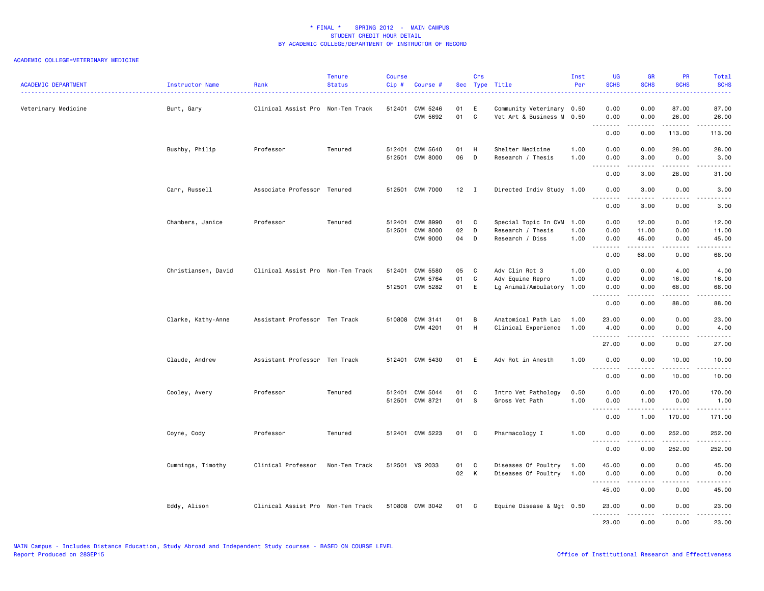| <b>ACADEMIC DEPARTMENT</b> | Instructor Name<br>. | Rank                              | <b>Tenure</b><br><b>Status</b> | <b>Course</b><br>Cip# | Course #                                              |                  | Crs               | Sec Type Title                                               | Inst<br>Per          | <b>UG</b><br><b>SCHS</b>    | <b>GR</b><br><b>SCHS</b> | PR<br><b>SCHS</b>             | Total<br><b>SCHS</b>                                                                                                                                          |
|----------------------------|----------------------|-----------------------------------|--------------------------------|-----------------------|-------------------------------------------------------|------------------|-------------------|--------------------------------------------------------------|----------------------|-----------------------------|--------------------------|-------------------------------|---------------------------------------------------------------------------------------------------------------------------------------------------------------|
| Veterinary Medicine        | Burt, Gary           | Clinical Assist Pro Non-Ten Track |                                |                       | 512401 CVM 5246<br>CVM 5692                           | 01<br>01         | E<br>$\mathbf c$  | Community Veterinary 0.50<br>Vet Art & Business M 0.50       |                      | 0.00<br>0.00                | 0.00<br>0.00             | 87.00<br>26.00                | 87.00<br>26.00                                                                                                                                                |
|                            |                      |                                   |                                |                       |                                                       |                  |                   |                                                              |                      | .<br>0.00                   | -----<br>0.00            | .<br>113.00                   | .<br>113.00                                                                                                                                                   |
|                            | Bushby, Philip       | Professor                         | Tenured                        |                       | 512401 CVM 5640<br>512501 CVM 8000                    | 01<br>06         | H<br>$\mathsf{D}$ | Shelter Medicine<br>Research / Thesis                        | 1.00<br>1.00         | 0.00<br>0.00                | 0.00<br>3.00             | 28,00<br>0.00                 | 28.00<br>3.00                                                                                                                                                 |
|                            |                      |                                   |                                |                       |                                                       |                  |                   |                                                              |                      | . <i>.</i><br>0.00          | .<br>3.00                | .<br>28.00                    | $\frac{1}{2} \left( \frac{1}{2} \right) \left( \frac{1}{2} \right) \left( \frac{1}{2} \right) \left( \frac{1}{2} \right) \left( \frac{1}{2} \right)$<br>31.00 |
|                            | Carr, Russell        | Associate Professor Tenured       |                                |                       | 512501 CVM 7000                                       | 12               | $\blacksquare$    | Directed Indiv Study 1.00                                    |                      | 0.00                        | 3.00                     | 0.00                          | 3.00                                                                                                                                                          |
|                            |                      |                                   |                                |                       |                                                       |                  |                   |                                                              |                      | .<br>0.00                   | -----<br>3.00            | .<br>0.00                     | 22222<br>3.00                                                                                                                                                 |
|                            | Chambers, Janice     | Professor                         | Tenured                        |                       | 512401 CVM 8990<br>512501 CVM 8000<br><b>CVM 9000</b> | 01 C<br>02<br>04 | D<br>D            | Special Topic In CVM<br>Research / Thesis<br>Research / Diss | 1.00<br>1.00<br>1.00 | 0.00<br>0.00<br>0.00        | 12.00<br>11.00<br>45.00  | 0.00<br>0.00<br>0.00          | 12.00<br>11.00<br>45.00                                                                                                                                       |
|                            |                      |                                   |                                |                       |                                                       |                  |                   |                                                              |                      | .<br>0.00                   | .<br>68.00               | .<br>0.00                     | د د د د د<br>68.00                                                                                                                                            |
|                            | Christiansen, David  | Clinical Assist Pro Non-Ten Track |                                |                       | 512401 CVM 5580<br>CVM 5764<br>512501 CVM 5282        | 05<br>01<br>01   | C<br>C<br>E       | Adv Clin Rot 3<br>Adv Equine Repro<br>Lg Animal/Ambulatory   | 1.00<br>1.00<br>1.00 | 0.00<br>0.00<br>0.00        | 0.00<br>0.00<br>0.00     | 4.00<br>16.00<br>68.00        | 4.00<br>16.00<br>68.00                                                                                                                                        |
|                            |                      |                                   |                                |                       |                                                       |                  |                   |                                                              |                      | .<br>0.00                   | .<br>0.00                | .<br>88.00                    | $\frac{1}{2} \left( \frac{1}{2} \right) \left( \frac{1}{2} \right) \left( \frac{1}{2} \right) \left( \frac{1}{2} \right) \left( \frac{1}{2} \right)$<br>88.00 |
|                            | Clarke, Kathy-Anne   | Assistant Professor Ten Track     |                                |                       | 510808 CVM 3141<br>CVM 4201                           | 01<br>01         | B<br>H            | Anatomical Path Lab<br>Clinical Experience                   | 1.00<br>1.00         | 23.00<br>4.00<br>. <i>.</i> | 0.00<br>0.00             | 0.00<br>0.00<br>$\frac{1}{2}$ | 23.00<br>4.00<br>-----                                                                                                                                        |
|                            |                      |                                   |                                |                       |                                                       |                  |                   |                                                              |                      | 27.00                       | 0.00                     | 0.00                          | 27.00                                                                                                                                                         |
|                            | Claude, Andrew       | Assistant Professor Ten Track     |                                |                       | 512401 CVM 5430                                       | 01               | E                 | Adv Rot in Anesth                                            | 1.00                 | 0.00<br>.                   | 0.00<br>-----            | 10.00<br>.                    | 10.00<br>.                                                                                                                                                    |
|                            |                      |                                   |                                |                       |                                                       |                  |                   |                                                              |                      | 0.00                        | 0.00                     | 10.00                         | 10.00                                                                                                                                                         |
|                            | Cooley, Avery        | Professor                         | Tenured                        |                       | 512401 CVM 5044<br>512501 CVM 8721                    | 01<br>01 S       | C                 | Intro Vet Pathology<br>Gross Vet Path                        | 0.50<br>1.00         | 0.00<br>0.00<br><b></b>     | 0.00<br>1.00<br>.        | 170.00<br>0.00<br>$- - - - -$ | 170.00<br>1.00<br>.                                                                                                                                           |
|                            |                      |                                   |                                |                       |                                                       |                  |                   |                                                              |                      | 0.00                        | 1.00                     | 170.00                        | 171.00                                                                                                                                                        |
|                            | Coyne, Cody          | Professor                         | Tenured                        |                       | 512401 CVM 5223                                       | 01               | $\mathbf{C}$      | Pharmacology I                                               | 1.00                 | 0.00<br>.                   | 0.00                     | 252.00                        | 252.00<br>المتمالي لماليا المالي                                                                                                                              |
|                            |                      |                                   |                                |                       |                                                       |                  |                   |                                                              |                      | 0.00                        | 0.00                     | 252.00                        | 252.00                                                                                                                                                        |
|                            | Cummings, Timothy    | Clinical Professor                | Non-Ten Track                  |                       | 512501 VS 2033                                        | 01<br>02 K       | $\mathbf{C}$      | Diseases Of Poultry<br>Diseases Of Poultry                   | 1.00<br>1.00         | 45.00<br>0.00<br><u>.</u>   | 0.00<br>0.00<br>.        | 0.00<br>0.00<br>$\frac{1}{2}$ | 45.00<br>0.00<br>$\frac{1}{2}$                                                                                                                                |
|                            |                      |                                   |                                |                       |                                                       |                  |                   |                                                              |                      | 45.00                       | 0.00                     | 0.00                          | 45.00                                                                                                                                                         |
|                            | Eddy, Alison         | Clinical Assist Pro Non-Ten Track |                                |                       | 510808 CVM 3042                                       | 01 C             |                   | Equine Disease & Mgt 0.50                                    |                      | 23.00                       | 0.00                     | 0.00<br>$\sim$ $\sim$ $\sim$  | 23.00<br>$\frac{1}{2} \left( \frac{1}{2} \right) \left( \frac{1}{2} \right) \left( \frac{1}{2} \right) \left( \frac{1}{2} \right) \left( \frac{1}{2} \right)$ |
|                            |                      |                                   |                                |                       |                                                       |                  |                   |                                                              |                      | 23.00                       | 0.00                     | 0.00                          | 23.00                                                                                                                                                         |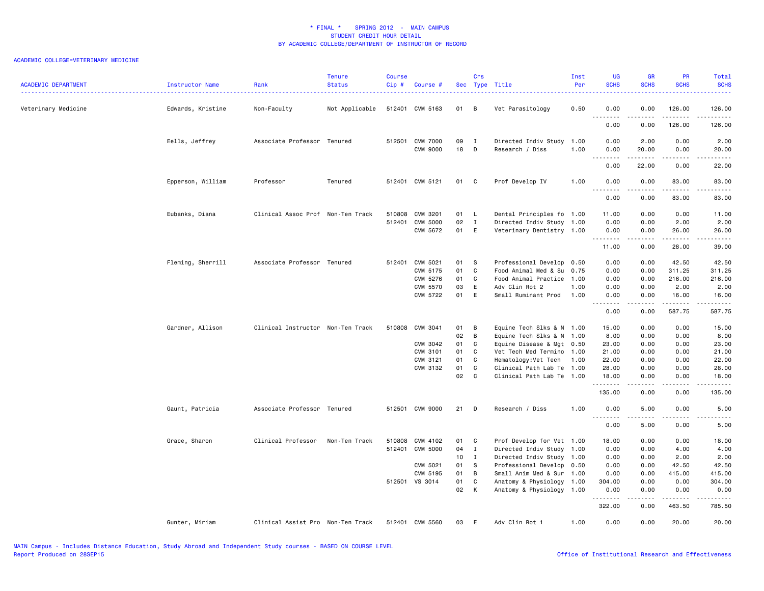| <b>ACADEMIC DEPARTMENT</b> | Instructor Name   | Rank                              | <b>Tenure</b><br><b>Status</b> | Course<br>Cip# | Course #        |                 | Crs            | Sec Type Title            | Inst<br>Per | UG<br><b>SCHS</b>  | <b>GR</b><br><b>SCHS</b> | <b>PR</b><br><b>SCHS</b> | Total<br><b>SCHS</b>    |
|----------------------------|-------------------|-----------------------------------|--------------------------------|----------------|-----------------|-----------------|----------------|---------------------------|-------------|--------------------|--------------------------|--------------------------|-------------------------|
| Veterinary Medicine        | Edwards, Kristine | Non-Faculty                       | Not Applicable                 |                | 512401 CVM 5163 | 01 B            |                | Vet Parasitology          | 0.50        | 0.00<br>$  -$<br>. | 0.00                     | 126.00<br>.              | 126.00<br>.             |
|                            |                   |                                   |                                |                |                 |                 |                |                           |             | 0.00               | 0.00                     | 126.00                   | 126.00                  |
|                            | Eells, Jeffrey    | Associate Professor Tenured       |                                |                | 512501 CVM 7000 | 09              | $\mathbf{I}$   | Directed Indiv Study      | 1.00        | 0.00               | 2.00                     | 0.00                     | 2.00                    |
|                            |                   |                                   |                                |                | <b>CVM 9000</b> | 18              | $\Box$         | Research / Diss           | 1.00        | 0.00<br>.          | 20.00                    | 0.00<br>.                | 20.00<br>.              |
|                            |                   |                                   |                                |                |                 |                 |                |                           |             | 0.00               | 22.00                    | 0.00                     | 22.00                   |
|                            | Epperson, William | Professor                         | Tenured                        |                | 512401 CVM 5121 | 01 C            |                | Prof Develop IV           | 1.00        | 0.00<br><u>.</u>   | 0.00<br>.                | 83.00<br>.               | 83.00<br>.              |
|                            |                   |                                   |                                |                |                 |                 |                |                           |             | 0.00               | 0.00                     | 83.00                    | 83.00                   |
|                            | Eubanks, Diana    | Clinical Assoc Prof Non-Ten Track |                                |                | 510808 CVM 3201 | 01 L            |                | Dental Principles fo 1.00 |             | 11.00              | 0.00                     | 0.00                     | 11.00                   |
|                            |                   |                                   |                                | 512401         | <b>CVM 5000</b> | 02              | $\mathbf{I}$   | Directed Indiv Study 1.00 |             | 0.00               | 0.00                     | 2.00                     | 2.00                    |
|                            |                   |                                   |                                |                | CVM 5672        | 01 E            |                | Veterinary Dentistry 1.00 |             | 0.00<br>.          | 0.00<br>.                | 26.00<br>.               | 26.00<br>.              |
|                            |                   |                                   |                                |                |                 |                 |                |                           |             | 11.00              | 0.00                     | 28.00                    | 39.00                   |
|                            | Fleming, Sherrill | Associate Professor Tenured       |                                |                | 512401 CVM 5021 | 01 S            |                | Professional Develop 0.50 |             | 0.00               | 0.00                     | 42.50                    | 42.50                   |
|                            |                   |                                   |                                |                | CVM 5175        | 01              | C.             | Food Animal Med & Su      | 0.75        | 0.00               | 0.00                     | 311.25                   | 311.25                  |
|                            |                   |                                   |                                |                | CVM 5276        | 01              | C              | Food Animal Practice 1.00 |             | 0.00               | 0.00                     | 216.00                   | 216.00                  |
|                            |                   |                                   |                                |                | CVM 5570        | 03              | E              | Adv Clin Rot 2            | 1.00        | 0.00               | 0.00                     | 2.00                     | 2.00                    |
|                            |                   |                                   |                                |                | CVM 5722        | 01              | E              | Small Ruminant Prod       | 1.00        | 0.00<br>.          | 0.00                     | 16.00<br>.               | 16.00<br>.              |
|                            |                   |                                   |                                |                |                 |                 |                |                           |             | 0.00               | 0.00                     | 587.75                   | 587.75                  |
|                            | Gardner, Allison  | Clinical Instructor Non-Ten Track |                                | 510808         | CVM 3041        | 01              | B              | Equine Tech Slks & N 1.00 |             | 15.00              | 0.00                     | 0.00                     | 15.00                   |
|                            |                   |                                   |                                |                |                 | 02              | $\overline{B}$ | Equine Tech Slks & N 1.00 |             | 8.00               | 0.00                     | 0.00                     | 8.00                    |
|                            |                   |                                   |                                |                | CVM 3042        | 01              | $\mathbf{C}$   | Equine Disease & Mgt 0.50 |             | 23.00              | 0.00                     | 0.00                     | 23.00                   |
|                            |                   |                                   |                                |                | CVM 3101        | 01              | C              | Vet Tech Med Termino 1.00 |             | 21.00              | 0.00                     | 0.00                     | 21.00                   |
|                            |                   |                                   |                                |                | CVM 3121        | 01              | C              | Hematology: Vet Tech 1.00 |             | 22.00              | 0.00                     | 0.00                     | 22.00                   |
|                            |                   |                                   |                                |                | CVM 3132        | 01              | C              | Clinical Path Lab Te 1.00 |             | 28.00              | 0.00                     | 0.00                     | 28.00                   |
|                            |                   |                                   |                                |                |                 | 02              | C              | Clinical Path Lab Te 1.00 |             | 18.00<br>.         | 0.00<br>.                | 0.00<br>.                | 18.00<br>.              |
|                            |                   |                                   |                                |                |                 |                 |                |                           |             | 135.00             | 0.00                     | 0.00                     | 135.00                  |
|                            | Gaunt, Patricia   | Associate Professor Tenured       |                                |                | 512501 CVM 9000 | 21              | $\Box$         | Research / Diss           | 1.00        | 0.00               | 5.00                     | 0.00                     | 5.00                    |
|                            |                   |                                   |                                |                |                 |                 |                |                           |             | .<br>0.00          | .<br>5.00                | .<br>0.00                | -----<br>5.00           |
|                            | Grace, Sharon     | Clinical Professor                | Non-Ten Track                  | 510808         | CVM 4102        | 01 C            |                | Prof Develop for Vet 1.00 |             | 18.00              | 0.00                     | 0.00                     | 18.00                   |
|                            |                   |                                   |                                | 512401         | CVM 5000        | 04              | $\mathbf{I}$   | Directed Indiv Study 1.00 |             | 0.00               | 0.00                     | 4.00                     | 4.00                    |
|                            |                   |                                   |                                |                |                 | 10 <sup>1</sup> | $\mathbf I$    | Directed Indiv Study 1.00 |             | 0.00               | 0.00                     | 2.00                     | 2.00                    |
|                            |                   |                                   |                                |                | CVM 5021        | 01 S            |                | Professional Develop 0.50 |             | 0.00               | 0.00                     | 42.50                    | 42.50                   |
|                            |                   |                                   |                                |                | CVM 5195        | 01              | B              | Small Anim Med & Sur 1.00 |             | 0.00               | 0.00                     | 415.00                   | 415.00                  |
|                            |                   |                                   |                                |                | 512501 VS 3014  | 01              | C              | Anatomy & Physiology 1.00 |             | 304.00             | 0.00                     | 0.00                     | 304.00                  |
|                            |                   |                                   |                                |                |                 | 02 K            |                | Anatomy & Physiology 1.00 |             | 0.00<br>.          | 0.00<br>$- - - - -$      | 0.00<br>$- - - - - - -$  | 0.00<br>$- - - - - - -$ |
|                            |                   |                                   |                                |                |                 |                 |                |                           |             | 322.00             | 0.00                     | 463.50                   | 785.50                  |
|                            | Gunter, Miriam    | Clinical Assist Pro Non-Ten Track |                                |                | 512401 CVM 5560 | 03              | E              | Adv Clin Rot 1            | 1.00        | 0.00               | 0.00                     | 20,00                    | 20.00                   |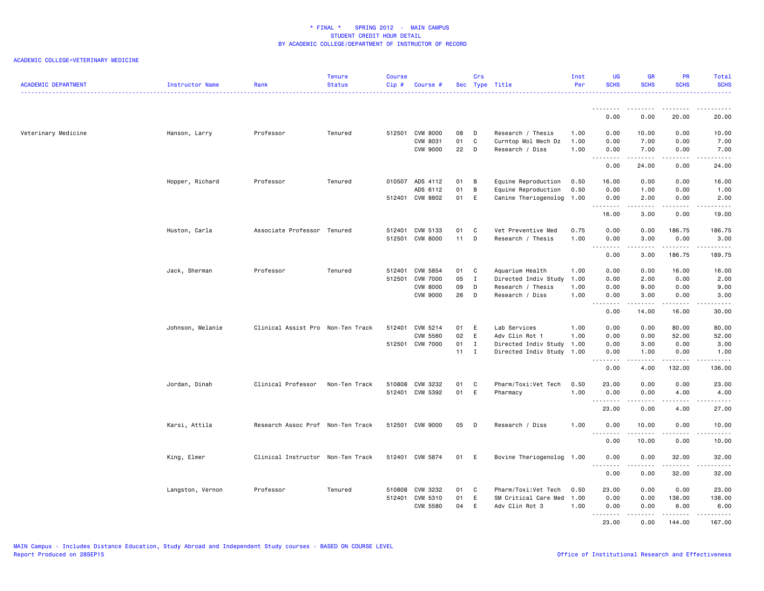| <b>ACADEMIC DEPARTMENT</b> | Instructor Name  | Rank                              | <b>Tenure</b><br><b>Status</b> | <b>Course</b><br>Cip# | Course #        |              | Crs            | Sec Type Title            | Inst<br>Per | <b>UG</b><br><b>SCHS</b> | <b>GR</b><br><b>SCHS</b> | <b>PR</b><br><b>SCHS</b>                                                                                                                                     | Total<br><b>SCHS</b>                                                                                                                                         |
|----------------------------|------------------|-----------------------------------|--------------------------------|-----------------------|-----------------|--------------|----------------|---------------------------|-------------|--------------------------|--------------------------|--------------------------------------------------------------------------------------------------------------------------------------------------------------|--------------------------------------------------------------------------------------------------------------------------------------------------------------|
|                            |                  |                                   |                                |                       |                 |              |                |                           |             |                          |                          |                                                                                                                                                              |                                                                                                                                                              |
|                            |                  |                                   |                                |                       |                 |              |                |                           |             | 0.00                     | 0.00                     | 20.00                                                                                                                                                        | 20.00                                                                                                                                                        |
| Veterinary Medicine        | Hanson, Larry    | Professor                         | Tenured                        |                       | 512501 CVM 8000 | 08           | D              | Research / Thesis         | 1.00        | 0.00                     | 10.00                    | 0.00                                                                                                                                                         | 10.00                                                                                                                                                        |
|                            |                  |                                   |                                |                       | CVM 8031        | 01           | C              | Curntop Mol Mech Dz       | 1.00        | 0.00                     | 7.00                     | 0.00                                                                                                                                                         | 7.00                                                                                                                                                         |
|                            |                  |                                   |                                |                       | CVM 9000        | 22 D         |                | Research / Diss           | 1.00        | 0.00<br>.                | 7.00<br>د د د د د        | 0.00<br>.                                                                                                                                                    | 7.00<br>$\sim$                                                                                                                                               |
|                            |                  |                                   |                                |                       |                 |              |                |                           |             | 0.00                     | 24.00                    | 0.00                                                                                                                                                         | 24.00                                                                                                                                                        |
|                            | Hopper, Richard  | Professor                         | Tenured                        |                       | 010507 ADS 4112 | 01           | $\overline{B}$ | Equine Reproduction       | 0.50        | 16.00                    | 0.00                     | 0.00                                                                                                                                                         | 16.00                                                                                                                                                        |
|                            |                  |                                   |                                |                       | ADS 6112        | 01           | $\overline{B}$ | Equine Reproduction       | 0.50        | 0.00                     | 1.00                     | 0.00                                                                                                                                                         | 1.00                                                                                                                                                         |
|                            |                  |                                   |                                |                       | 512401 CVM 8802 | 01           | E              | Canine Theriogenolog      | 1.00        | 0.00<br>. <b>.</b>       | 2.00<br>.                | 0.00<br>-----                                                                                                                                                | 2.00<br>$\sim$ $\sim$ $\sim$ $\sim$ $\sim$                                                                                                                   |
|                            |                  |                                   |                                |                       |                 |              |                |                           |             | 16.00                    | 3.00                     | 0.00                                                                                                                                                         | 19.00                                                                                                                                                        |
|                            | Huston, Carla    | Associate Professor Tenured       |                                |                       | 512401 CVM 5133 | 01           | C.             | Vet Preventive Med        | 0.75        | 0.00                     | 0.00                     | 186.75                                                                                                                                                       | 186.75                                                                                                                                                       |
|                            |                  |                                   |                                |                       | 512501 CVM 8000 | $11$ D       |                | Research / Thesis         | 1.00        | 0.00                     | 3.00                     | 0.00                                                                                                                                                         | 3.00                                                                                                                                                         |
|                            |                  |                                   |                                |                       |                 |              |                |                           |             | .                        | .                        |                                                                                                                                                              | ------                                                                                                                                                       |
|                            |                  |                                   |                                |                       |                 |              |                |                           |             | 0.00                     | 3.00                     | 186.75                                                                                                                                                       | 189.75                                                                                                                                                       |
|                            | Jack, Sherman    | Professor                         | Tenured                        |                       | 512401 CVM 5854 | 01           | <b>C</b>       | Aquarium Health           | 1.00        | 0.00                     | 0.00                     | 16.00                                                                                                                                                        | 16.00                                                                                                                                                        |
|                            |                  |                                   |                                |                       | 512501 CVM 7000 | 05           | $\mathbf{I}$   | Directed Indiv Study      | 1.00        | 0.00                     | 2.00                     | 0.00                                                                                                                                                         | 2.00                                                                                                                                                         |
|                            |                  |                                   |                                |                       | <b>CVM 8000</b> | 09           | D              | Research / Thesis         | 1.00        | 0.00                     | 9.00                     | 0.00                                                                                                                                                         | 9.00                                                                                                                                                         |
|                            |                  |                                   |                                |                       | <b>CVM 9000</b> | 26           | D              | Research / Diss           | 1.00        | 0.00<br>.                | 3.00<br>د د د د د        | 0.00<br>$\frac{1}{2} \left( \frac{1}{2} \right) \left( \frac{1}{2} \right) \left( \frac{1}{2} \right) \left( \frac{1}{2} \right) \left( \frac{1}{2} \right)$ | 3.00<br>$\frac{1}{2} \left( \frac{1}{2} \right) \left( \frac{1}{2} \right) \left( \frac{1}{2} \right) \left( \frac{1}{2} \right) \left( \frac{1}{2} \right)$ |
|                            |                  |                                   |                                |                       |                 |              |                |                           |             | 0.00                     | 14.00                    | 16.00                                                                                                                                                        | 30.00                                                                                                                                                        |
|                            | Johnson, Melanie | Clinical Assist Pro Non-Ten Track |                                |                       | 512401 CVM 5214 | 01           | E              | Lab Services              | 1.00        | 0.00                     | 0.00                     | 80.00                                                                                                                                                        | 80.00                                                                                                                                                        |
|                            |                  |                                   |                                |                       | <b>CVM 5560</b> | 02           | E              | Adv Clin Rot 1            | 1.00        | 0.00                     | 0.00                     | 52.00                                                                                                                                                        | 52.00                                                                                                                                                        |
|                            |                  |                                   |                                |                       | 512501 CVM 7000 | 01           | $\mathbf{I}$   | Directed Indiv Study      | 1.00        | 0.00                     | 3.00                     | 0.00                                                                                                                                                         | 3.00                                                                                                                                                         |
|                            |                  |                                   |                                |                       |                 | $11 \quad I$ |                | Directed Indiv Study 1.00 |             | 0.00<br><b></b>          | 1.00<br>$- - - - -$      | 0.00<br>.                                                                                                                                                    | 1.00<br>.                                                                                                                                                    |
|                            |                  |                                   |                                |                       |                 |              |                |                           |             | 0.00                     | 4.00                     | 132.00                                                                                                                                                       | 136.00                                                                                                                                                       |
|                            | Jordan, Dinah    | Clinical Professor                | Non-Ten Track                  |                       | 510808 CVM 3232 | 01           | C              | Pharm/Toxi:Vet Tech       | 0.50        | 23.00                    | 0.00                     | 0.00                                                                                                                                                         | 23.00                                                                                                                                                        |
|                            |                  |                                   |                                |                       | 512401 CVM 5392 | 01           | E              | Pharmacy                  | 1.00        | 0.00                     | 0.00                     | 4.00                                                                                                                                                         | 4.00                                                                                                                                                         |
|                            |                  |                                   |                                |                       |                 |              |                |                           |             | .                        | <b>.</b>                 | $\frac{1}{2} \left( \frac{1}{2} \right) \left( \frac{1}{2} \right) \left( \frac{1}{2} \right) \left( \frac{1}{2} \right) \left( \frac{1}{2} \right)$         | .                                                                                                                                                            |
|                            |                  |                                   |                                |                       |                 |              |                |                           |             | 23.00                    | 0.00                     | 4.00                                                                                                                                                         | 27.00                                                                                                                                                        |
|                            | Karsi, Attila    | Research Assoc Prof Non-Ten Track |                                |                       | 512501 CVM 9000 | 05 D         |                | Research / Diss           | 1.00        | 0.00<br>.                | 10.00<br><u>.</u>        | 0.00<br>.                                                                                                                                                    | 10.00<br>.                                                                                                                                                   |
|                            |                  |                                   |                                |                       |                 |              |                |                           |             | 0.00                     | 10.00                    | 0.00                                                                                                                                                         | 10.00                                                                                                                                                        |
|                            | King, Elmer      | Clinical Instructor Non-Ten Track |                                |                       | 512401 CVM 5874 | 01           | <b>E</b>       | Bovine Theriogenolog      | 1.00        | 0.00                     | 0.00                     | 32.00                                                                                                                                                        | 32.00                                                                                                                                                        |
|                            |                  |                                   |                                |                       |                 |              |                |                           |             | 0.00                     | 0.00                     | 32.00                                                                                                                                                        | -----<br>32.00                                                                                                                                               |
|                            |                  |                                   |                                |                       |                 |              |                |                           |             |                          |                          |                                                                                                                                                              |                                                                                                                                                              |
|                            | Langston, Vernon | Professor                         | Tenured                        |                       | 510808 CVM 3232 | 01           | C.             | Pharm/Toxi:Vet Tech       | 0.50        | 23.00                    | 0.00                     | 0.00                                                                                                                                                         | 23.00                                                                                                                                                        |
|                            |                  |                                   |                                |                       | 512401 CVM 5310 | 01           | E              | SM Critical Care Med      | 1.00        | 0.00                     | 0.00                     | 138.00                                                                                                                                                       | 138.00                                                                                                                                                       |
|                            |                  |                                   |                                |                       | CVM 5580        | 04           | E              | Adv Clin Rot 3            | 1.00        | 0.00<br>.                | 0.00                     | 6.00<br><u>.</u>                                                                                                                                             | 6.00<br>$- - - - -$                                                                                                                                          |
|                            |                  |                                   |                                |                       |                 |              |                |                           |             | 23.00                    | 0.00                     | 144.00                                                                                                                                                       | 167.00                                                                                                                                                       |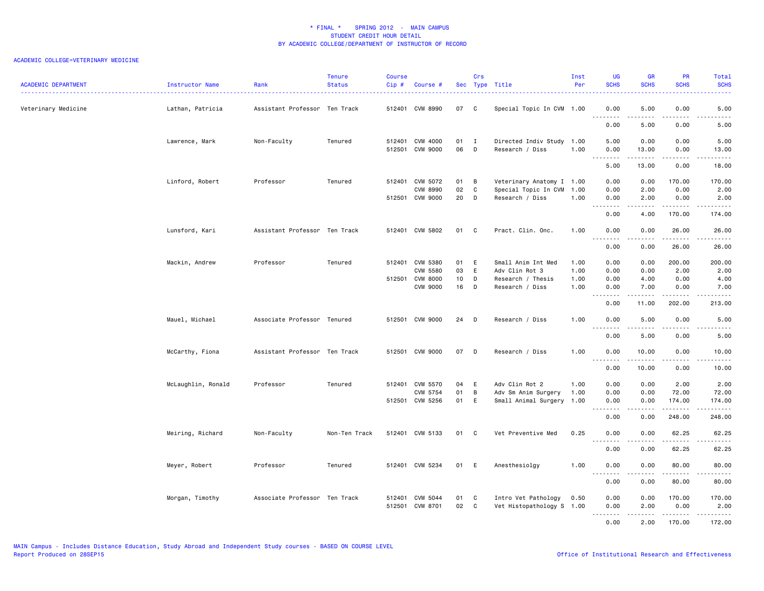| <b>ACADEMIC DEPARTMENT</b> | Instructor Name    | Rank                          | <b>Tenure</b><br><b>Status</b> | <b>Course</b><br>Cip# | Course #                           |              | Crs    | Sec Type Title                                   | Inst<br>Per                                                                                                                                                                                                                                                                                                                                                                                                                                                                                                                                                                                                                                                                                                                                                                                                                                                                                                                                                   | <b>UG</b><br><b>SCHS</b>            | <b>GR</b><br><b>SCHS</b> | PR<br><b>SCHS</b> | Total<br><b>SCHS</b>                                                                                                                                          |
|----------------------------|--------------------|-------------------------------|--------------------------------|-----------------------|------------------------------------|--------------|--------|--------------------------------------------------|---------------------------------------------------------------------------------------------------------------------------------------------------------------------------------------------------------------------------------------------------------------------------------------------------------------------------------------------------------------------------------------------------------------------------------------------------------------------------------------------------------------------------------------------------------------------------------------------------------------------------------------------------------------------------------------------------------------------------------------------------------------------------------------------------------------------------------------------------------------------------------------------------------------------------------------------------------------|-------------------------------------|--------------------------|-------------------|---------------------------------------------------------------------------------------------------------------------------------------------------------------|
| Veterinary Medicine        | Lathan, Patricia   | Assistant Professor Ten Track |                                |                       | 512401 CVM 8990                    | 07           | C      | Special Topic In CVM 1.00                        | 5.00<br>0.00<br>0.00<br>.<br><u>.</u><br>0.00<br>5.00<br>0.00<br>5.00<br>0.00<br>0.00<br>1.00<br>0.00<br>13.00<br>0.00<br>.<br>.<br>5.00<br>13.00<br>0.00<br>0.00<br>0.00<br>170.00<br>0.00<br>2.00<br>0.00<br>1.00<br>1.00<br>0.00<br>2.00<br>0.00<br>.<br>$- - - - -$<br>0.00<br>4.00<br>170.00<br>1.00<br>0.00<br>0.00<br>26.00<br>.<br>.<br>.<br>0.00<br>0.00<br>26.00<br>1.00<br>0.00<br>0.00<br>200.00<br>1.00<br>0.00<br>0.00<br>2.00<br>1.00<br>0.00<br>4.00<br>0.00<br>1.00<br>0.00<br>7.00<br>0.00<br>.<br>د د د د د<br>.<br>0.00<br>11.00<br>202.00<br>1.00<br>0.00<br>5.00<br>0.00<br>0.00<br>5.00<br>0.00<br>1.00<br>0.00<br>10.00<br>0.00<br>.<br>.<br>-----<br>0.00<br>10.00<br>0.00<br>1.00<br>0.00<br>0.00<br>2.00<br>1.00<br>0.00<br>0.00<br>72.00<br>0.00<br>0.00<br>174.00<br>.<br><u>.</u><br>.<br>0.00<br>0.00<br>248.00<br>0.25<br>0.00<br>0.00<br>62.25<br>.<br>.<br>.<br>0.00<br>62.25<br>0.00<br>1.00<br>0.00<br>0.00<br>80.00<br>. | 5.00<br>$\sim$ $\sim$ $\sim$ $\sim$ |                          |                   |                                                                                                                                                               |
|                            |                    |                               |                                |                       |                                    |              |        |                                                  |                                                                                                                                                                                                                                                                                                                                                                                                                                                                                                                                                                                                                                                                                                                                                                                                                                                                                                                                                               |                                     |                          |                   | 5.00                                                                                                                                                          |
|                            | Lawrence, Mark     | Non-Faculty                   | Tenured                        |                       | 512401 CVM 4000<br>512501 CVM 9000 | $01$ I<br>06 | D      | Directed Indiv Study 1.00<br>Research / Diss     |                                                                                                                                                                                                                                                                                                                                                                                                                                                                                                                                                                                                                                                                                                                                                                                                                                                                                                                                                               |                                     |                          |                   | 5.00<br>13.00                                                                                                                                                 |
|                            |                    |                               |                                |                       |                                    |              |        |                                                  |                                                                                                                                                                                                                                                                                                                                                                                                                                                                                                                                                                                                                                                                                                                                                                                                                                                                                                                                                               |                                     |                          |                   | د د د د د<br>18.00                                                                                                                                            |
|                            | Linford, Robert    | Professor                     | Tenured                        |                       | 512401 CVM 5072                    | 01           | B      | Veterinary Anatomy I 1.00                        |                                                                                                                                                                                                                                                                                                                                                                                                                                                                                                                                                                                                                                                                                                                                                                                                                                                                                                                                                               |                                     |                          |                   | 170.00                                                                                                                                                        |
|                            |                    |                               |                                |                       | <b>CVM 8990</b><br>512501 CVM 9000 | 02<br>20     | C<br>D | Special Topic In CVM<br>Research / Diss          |                                                                                                                                                                                                                                                                                                                                                                                                                                                                                                                                                                                                                                                                                                                                                                                                                                                                                                                                                               |                                     |                          |                   | 2.00<br>2.00<br>.                                                                                                                                             |
|                            |                    |                               |                                |                       |                                    |              |        |                                                  |                                                                                                                                                                                                                                                                                                                                                                                                                                                                                                                                                                                                                                                                                                                                                                                                                                                                                                                                                               |                                     |                          |                   | 174.00                                                                                                                                                        |
|                            | Lunsford, Kari     | Assistant Professor Ten Track |                                |                       | 512401 CVM 5802                    | 01 C         |        | Pract. Clin. Onc.                                |                                                                                                                                                                                                                                                                                                                                                                                                                                                                                                                                                                                                                                                                                                                                                                                                                                                                                                                                                               |                                     |                          |                   | 26.00<br>.                                                                                                                                                    |
|                            |                    |                               |                                |                       |                                    |              |        |                                                  |                                                                                                                                                                                                                                                                                                                                                                                                                                                                                                                                                                                                                                                                                                                                                                                                                                                                                                                                                               |                                     |                          |                   | 26.00                                                                                                                                                         |
|                            | Mackin, Andrew     | Professor                     | Tenured                        |                       | 512401 CVM 5380<br><b>CVM 5580</b> | 01 E<br>03   | E      | Small Anim Int Med<br>Adv Clin Rot 3             |                                                                                                                                                                                                                                                                                                                                                                                                                                                                                                                                                                                                                                                                                                                                                                                                                                                                                                                                                               |                                     |                          |                   | 200.00<br>2.00                                                                                                                                                |
|                            |                    |                               |                                |                       | 512501 CVM 8000                    | 10           | D      | Research / Thesis                                |                                                                                                                                                                                                                                                                                                                                                                                                                                                                                                                                                                                                                                                                                                                                                                                                                                                                                                                                                               |                                     |                          |                   | 4.00                                                                                                                                                          |
|                            |                    |                               |                                |                       | <b>CVM 9000</b>                    | 16           | D      | Research / Diss                                  |                                                                                                                                                                                                                                                                                                                                                                                                                                                                                                                                                                                                                                                                                                                                                                                                                                                                                                                                                               |                                     |                          |                   | 7.00<br>.                                                                                                                                                     |
|                            |                    |                               |                                |                       |                                    |              |        |                                                  |                                                                                                                                                                                                                                                                                                                                                                                                                                                                                                                                                                                                                                                                                                                                                                                                                                                                                                                                                               |                                     |                          |                   | 213.00                                                                                                                                                        |
|                            | Mauel, Michael     | Associate Professor Tenured   |                                |                       | 512501 CVM 9000                    | 24           | D      | Research / Diss                                  |                                                                                                                                                                                                                                                                                                                                                                                                                                                                                                                                                                                                                                                                                                                                                                                                                                                                                                                                                               |                                     |                          |                   | 5.00<br>.                                                                                                                                                     |
|                            |                    |                               |                                |                       |                                    |              |        |                                                  |                                                                                                                                                                                                                                                                                                                                                                                                                                                                                                                                                                                                                                                                                                                                                                                                                                                                                                                                                               |                                     |                          |                   | 5.00                                                                                                                                                          |
|                            | McCarthy, Fiona    | Assistant Professor Ten Track |                                |                       | 512501 CVM 9000                    | 07           | D      | Research / Diss                                  |                                                                                                                                                                                                                                                                                                                                                                                                                                                                                                                                                                                                                                                                                                                                                                                                                                                                                                                                                               |                                     |                          |                   | 10.00<br>.                                                                                                                                                    |
|                            |                    |                               |                                |                       |                                    |              |        |                                                  |                                                                                                                                                                                                                                                                                                                                                                                                                                                                                                                                                                                                                                                                                                                                                                                                                                                                                                                                                               |                                     |                          |                   | 10.00                                                                                                                                                         |
|                            | McLaughlin, Ronald | Professor                     | Tenured                        |                       | 512401 CVM 5570                    | 04           | E      | Adv Clin Rot 2                                   |                                                                                                                                                                                                                                                                                                                                                                                                                                                                                                                                                                                                                                                                                                                                                                                                                                                                                                                                                               |                                     |                          |                   | 2.00                                                                                                                                                          |
|                            |                    |                               |                                |                       | CVM 5754                           | 01           | B      | Adv Sm Anim Surgery                              |                                                                                                                                                                                                                                                                                                                                                                                                                                                                                                                                                                                                                                                                                                                                                                                                                                                                                                                                                               |                                     |                          |                   | 72.00                                                                                                                                                         |
|                            |                    |                               |                                |                       | 512501 CVM 5256                    | 01           | E      | Small Animal Surgery 1.00                        |                                                                                                                                                                                                                                                                                                                                                                                                                                                                                                                                                                                                                                                                                                                                                                                                                                                                                                                                                               |                                     |                          |                   | 174.00                                                                                                                                                        |
|                            |                    |                               |                                |                       |                                    |              |        |                                                  |                                                                                                                                                                                                                                                                                                                                                                                                                                                                                                                                                                                                                                                                                                                                                                                                                                                                                                                                                               |                                     |                          |                   | 248.00                                                                                                                                                        |
|                            | Meiring, Richard   | Non-Faculty                   | Non-Ten Track                  |                       | 512401 CVM 5133                    | 01           | C      | Vet Preventive Med                               |                                                                                                                                                                                                                                                                                                                                                                                                                                                                                                                                                                                                                                                                                                                                                                                                                                                                                                                                                               |                                     |                          |                   | 62.25<br>.                                                                                                                                                    |
|                            |                    |                               |                                |                       |                                    |              |        |                                                  |                                                                                                                                                                                                                                                                                                                                                                                                                                                                                                                                                                                                                                                                                                                                                                                                                                                                                                                                                               |                                     |                          |                   | 62.25                                                                                                                                                         |
|                            | Meyer, Robert      | Professor                     | Tenured                        |                       | 512401 CVM 5234                    | 01 E         |        | Anesthesiolgy                                    |                                                                                                                                                                                                                                                                                                                                                                                                                                                                                                                                                                                                                                                                                                                                                                                                                                                                                                                                                               |                                     |                          |                   | 80.00<br>$\frac{1}{2} \left( \frac{1}{2} \right) \left( \frac{1}{2} \right) \left( \frac{1}{2} \right) \left( \frac{1}{2} \right) \left( \frac{1}{2} \right)$ |
|                            |                    |                               |                                |                       |                                    |              |        |                                                  |                                                                                                                                                                                                                                                                                                                                                                                                                                                                                                                                                                                                                                                                                                                                                                                                                                                                                                                                                               | 0.00                                | 0.00                     | 80.00             | 80.00                                                                                                                                                         |
|                            | Morgan, Timothy    | Associate Professor Ten Track |                                |                       | 512401 CVM 5044<br>512501 CVM 8701 | 01<br>02 C   | C      | Intro Vet Pathology<br>Vet Histopathology S 1.00 | 0.50                                                                                                                                                                                                                                                                                                                                                                                                                                                                                                                                                                                                                                                                                                                                                                                                                                                                                                                                                          | 0.00<br>0.00                        | 0.00<br>2.00             | 170.00<br>0.00    | 170.00<br>2.00                                                                                                                                                |
|                            |                    |                               |                                |                       |                                    |              |        |                                                  |                                                                                                                                                                                                                                                                                                                                                                                                                                                                                                                                                                                                                                                                                                                                                                                                                                                                                                                                                               | <u>.</u><br>0.00                    | .<br>2.00                | .<br>170.00       | .<br>172.00                                                                                                                                                   |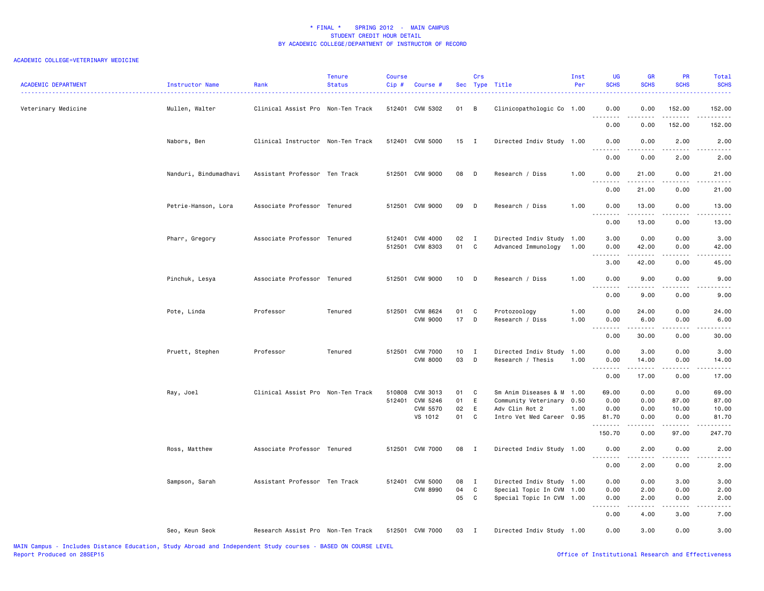| <b>ACADEMIC DEPARTMENT</b> | Instructor Name<br>.  | Rank                              | <b>Tenure</b><br><b>Status</b> | <b>Course</b><br>Cip# | Course #                    |               | Crs            | Sec Type Title                  | Inst<br>Per  | <b>UG</b><br><b>SCHS</b> | <b>GR</b><br><b>SCHS</b> | PR<br><b>SCHS</b>                                                                                                                                            | Total<br><b>SCHS</b>  |
|----------------------------|-----------------------|-----------------------------------|--------------------------------|-----------------------|-----------------------------|---------------|----------------|---------------------------------|--------------|--------------------------|--------------------------|--------------------------------------------------------------------------------------------------------------------------------------------------------------|-----------------------|
| Veterinary Medicine        | Mullen, Walter        | Clinical Assist Pro Non-Ten Track |                                |                       | 512401 CVM 5302             | 01 B          |                | Clinicopathologic Co 1.00       |              | 0.00<br>.                | 0.00                     | 152.00                                                                                                                                                       | 152.00<br>.           |
|                            |                       |                                   |                                |                       |                             |               |                |                                 |              | 0.00                     | 0.00                     | 152.00                                                                                                                                                       | 152.00                |
|                            | Nabors, Ben           | Clinical Instructor Non-Ten Track |                                |                       | 512401 CVM 5000             | $15$ I        |                | Directed Indiv Study 1.00       |              | 0.00<br>.                | 0.00                     | 2.00                                                                                                                                                         | 2.00                  |
|                            |                       |                                   |                                |                       |                             |               |                |                                 |              | 0.00                     | 0.00                     | 2.00                                                                                                                                                         | 2.00                  |
|                            | Nanduri, Bindumadhavi | Assistant Professor Ten Track     |                                |                       | 512501 CVM 9000             | 08 D          |                | Research / Diss                 | 1.00         | 0.00<br>.                | 21.00                    | 0.00                                                                                                                                                         | 21.00                 |
|                            |                       |                                   |                                |                       |                             |               |                |                                 |              | 0.00                     | 21.00                    | 0.00                                                                                                                                                         | 21.00                 |
|                            | Petrie-Hanson, Lora   | Associate Professor Tenured       |                                |                       | 512501 CVM 9000             | 09            | D              | Research / Diss                 | 1.00         | 0.00<br>.                | 13.00<br>.               | 0.00<br>.                                                                                                                                                    | 13.00<br>.            |
|                            |                       |                                   |                                |                       |                             |               |                |                                 |              | 0.00                     | 13.00                    | 0.00                                                                                                                                                         | 13.00                 |
|                            | Pharr, Gregory        | Associate Professor Tenured       |                                |                       | 512401 CVM 4000             | $02 \qquad I$ |                | Directed Indiv Study            | 1.00         | 3.00                     | 0.00                     | 0.00                                                                                                                                                         | 3.00                  |
|                            |                       |                                   |                                |                       | 512501 CVM 8303             | 01            | C              | Advanced Immunology             | 1.00         | 0.00<br>.                | 42.00                    | 0.00                                                                                                                                                         | 42.00                 |
|                            |                       |                                   |                                |                       |                             |               |                |                                 |              | 3.00                     | 42.00                    | 0.00                                                                                                                                                         | 45.00                 |
|                            | Pinchuk, Lesya        | Associate Professor Tenured       |                                |                       | 512501 CVM 9000             | 10            | D              | Research / Diss                 | 1.00         | 0.00<br>$\sim$ $\sim$ .  | 9.00                     | 0.00                                                                                                                                                         | 9.00                  |
|                            |                       |                                   |                                |                       |                             |               |                |                                 |              | 0.00                     | 9.00                     | 0.00                                                                                                                                                         | 9.00                  |
|                            | Pote, Linda           | Professor                         | Tenured                        |                       | 512501 CVM 8624<br>CVM 9000 | 01<br>17      | C<br>D         | Protozoology<br>Research / Diss | 1.00<br>1.00 | 0.00<br>0.00             | 24.00<br>6.00            | 0.00<br>0.00                                                                                                                                                 | 24.00<br>6.00         |
|                            |                       |                                   |                                |                       |                             |               |                |                                 |              | .                        |                          |                                                                                                                                                              |                       |
|                            |                       |                                   |                                |                       |                             |               |                |                                 |              | 0.00                     | 30.00                    | 0.00                                                                                                                                                         | 30.00                 |
|                            | Pruett, Stephen       | Professor                         | Tenured                        |                       | 512501 CVM 7000             | 10            | $\mathbf{I}$   | Directed Indiv Study 1.00       |              | 0.00                     | 3.00                     | 0.00                                                                                                                                                         | 3.00                  |
|                            |                       |                                   |                                |                       | <b>CVM 8000</b>             | 03            | D              | Research / Thesis               | 1.00         | 0.00<br>.                | 14.00<br>.               | 0.00<br>.                                                                                                                                                    | 14.00<br>.            |
|                            |                       |                                   |                                |                       |                             |               |                |                                 |              | 0.00                     | 17.00                    | 0.00                                                                                                                                                         | 17.00                 |
|                            | Ray, Joel             | Clinical Assist Pro Non-Ten Track |                                | 510808                | CVM 3013                    | 01            | C              | Sm Anim Diseases & M 1.00       |              | 69.00                    | 0.00                     | 0.00                                                                                                                                                         | 69.00                 |
|                            |                       |                                   |                                | 512401                | CVM 5246                    | 01            | E              | Community Veterinary 0.50       |              | 0.00                     | 0.00                     | 87.00                                                                                                                                                        | 87.00                 |
|                            |                       |                                   |                                |                       | CVM 5570                    | 02            | E              | Adv Clin Rot 2                  | 1.00         | 0.00                     | 0.00                     | 10.00                                                                                                                                                        | 10.00                 |
|                            |                       |                                   |                                |                       | VS 1012                     | 01            | C              | Intro Vet Med Career 0.95       |              | 81.70<br>.               | 0.00<br>.                | 0.00<br>$\frac{1}{2} \left( \frac{1}{2} \right) \left( \frac{1}{2} \right) \left( \frac{1}{2} \right) \left( \frac{1}{2} \right) \left( \frac{1}{2} \right)$ | 81.70<br>.            |
|                            |                       |                                   |                                |                       |                             |               |                |                                 |              | 150.70                   | 0.00                     | 97.00                                                                                                                                                        | 247.70                |
|                            | Ross, Matthew         | Associate Professor Tenured       |                                |                       | 512501 CVM 7000             | 08            | $\mathbf{I}$   | Directed Indiv Study 1.00       |              | 0.00<br><u>.</u>         | 2.00                     | 0.00                                                                                                                                                         | 2.00                  |
|                            |                       |                                   |                                |                       |                             |               |                |                                 |              | 0.00                     | 2.00                     | 0.00                                                                                                                                                         | 2.00                  |
|                            | Sampson, Sarah        | Assistant Professor Ten Track     |                                |                       | 512401 CVM 5000             | 08            | $\blacksquare$ | Directed Indiv Study 1.00       |              | 0.00                     | 0.00                     | 3.00                                                                                                                                                         | 3.00                  |
|                            |                       |                                   |                                |                       | <b>CVM 8990</b>             | 04            | C              | Special Topic In CVM 1.00       |              | 0.00                     | 2.00                     | 0.00                                                                                                                                                         | 2.00                  |
|                            |                       |                                   |                                |                       |                             | 05            | $\mathbf C$    | Special Topic In CVM 1.00       |              | 0.00<br>.                | 2.00<br>$- - - - -$      | 0.00<br>.                                                                                                                                                    | 2.00<br>$\frac{1}{2}$ |
|                            |                       |                                   |                                |                       |                             |               |                |                                 |              | 0.00                     | 4.00                     | 3.00                                                                                                                                                         | 7.00                  |
|                            | Seo, Keun Seok        | Research Assist Pro Non-Ten Track |                                |                       | 512501 CVM 7000             | 03 I          |                | Directed Indiv Study 1.00       |              | 0.00                     | 3.00                     | 0.00                                                                                                                                                         | 3.00                  |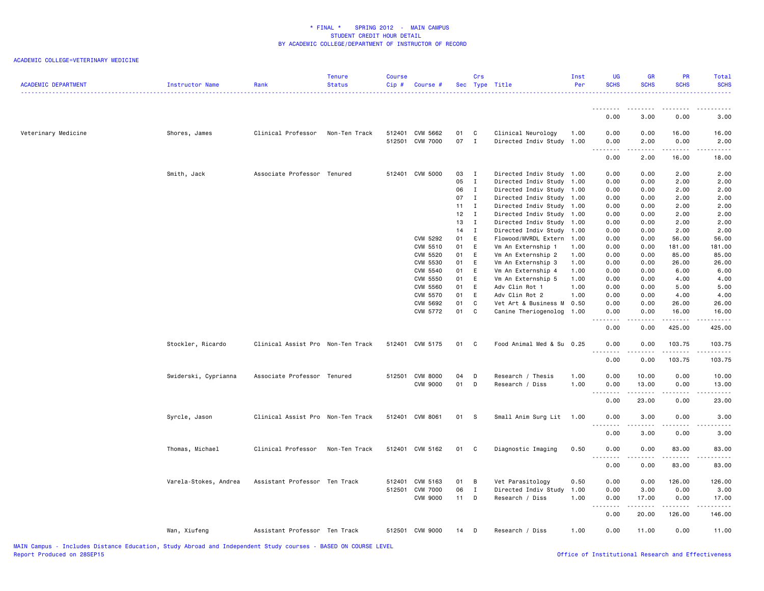| <b>ACADEMIC DEPARTMENT</b> | Instructor Name       | Rank                              | <b>Tenure</b><br><b>Status</b> | Course<br>Cip# | Course #        |        | Crs          | Sec Type Title            | Inst<br>Per | UG<br><b>SCHS</b>  | <b>GR</b><br><b>SCHS</b> | PR<br><b>SCHS</b> | Total<br><b>SCHS</b>                                                                                                                                         |
|----------------------------|-----------------------|-----------------------------------|--------------------------------|----------------|-----------------|--------|--------------|---------------------------|-------------|--------------------|--------------------------|-------------------|--------------------------------------------------------------------------------------------------------------------------------------------------------------|
|                            |                       |                                   |                                |                |                 |        |              |                           |             | <u>.</u><br>0.00   | 3.00                     | 0.00              | 3.00                                                                                                                                                         |
| Veterinary Medicine        | Shores, James         | Clinical Professor                | Non-Ten Track                  |                | 512401 CVM 5662 | 01     | C            | Clinical Neurology        | 1.00        | 0.00               | 0.00                     | 16.00             | 16.00                                                                                                                                                        |
|                            |                       |                                   |                                |                | 512501 CVM 7000 | 07 I   |              | Directed Indiv Study 1.00 |             | 0.00<br>---<br>.   | 2.00<br>-----            | 0.00<br>.         | 2.00<br>.                                                                                                                                                    |
|                            |                       |                                   |                                |                |                 |        |              |                           |             | 0.00               | 2.00                     | 16.00             | 18.00                                                                                                                                                        |
|                            | Smith, Jack           | Associate Professor Tenured       |                                |                | 512401 CVM 5000 | 03     | $\mathbf{I}$ | Directed Indiv Study 1.00 |             | 0.00               | 0.00                     | 2.00              | 2.00                                                                                                                                                         |
|                            |                       |                                   |                                |                |                 | 05     | $\mathbf I$  | Directed Indiv Study      | 1.00        | 0.00               | 0.00                     | 2.00              | 2.00                                                                                                                                                         |
|                            |                       |                                   |                                |                |                 | 06     | $\mathbf{I}$ | Directed Indiv Study 1.00 |             | 0.00               | 0.00                     | 2.00              | 2.00                                                                                                                                                         |
|                            |                       |                                   |                                |                |                 | 07     | $\mathbf{I}$ | Directed Indiv Study 1.00 |             | 0.00               | 0.00                     | 2.00              | 2.00                                                                                                                                                         |
|                            |                       |                                   |                                |                |                 | 11     | $\mathbf{I}$ | Directed Indiv Study 1.00 |             | 0.00               | 0.00                     | 2.00              | 2.00                                                                                                                                                         |
|                            |                       |                                   |                                |                |                 | 12     | $\mathbf{I}$ | Directed Indiv Study 1.00 |             | 0.00               | 0.00                     | 2.00              | 2.00                                                                                                                                                         |
|                            |                       |                                   |                                |                |                 | 13     | $\mathbf{I}$ | Directed Indiv Study 1.00 |             | 0.00               | 0.00                     | 2.00              | 2.00                                                                                                                                                         |
|                            |                       |                                   |                                |                |                 | 14     | $\mathbf{I}$ | Directed Indiv Study 1.00 |             | 0.00               | 0.00                     | 2.00              | 2.00                                                                                                                                                         |
|                            |                       |                                   |                                |                | CVM 5292        | 01     | E            | Flowood/MVRDL Extern      | 1.00        | 0.00               | 0.00                     | 56.00             | 56.00                                                                                                                                                        |
|                            |                       |                                   |                                |                | CVM 5510        | 01     | E            | Vm An Externship 1        | 1.00        | 0.00               | 0.00                     | 181.00            | 181.00                                                                                                                                                       |
|                            |                       |                                   |                                |                | CVM 5520        | 01     | E            | Vm An Externship 2        | 1.00        | 0.00               | 0.00                     | 85.00             | 85.00                                                                                                                                                        |
|                            |                       |                                   |                                |                | CVM 5530        | 01     | E            | Vm An Externship 3        | 1.00        | 0.00               | 0.00                     | 26.00             | 26.00                                                                                                                                                        |
|                            |                       |                                   |                                |                | CVM 5540        | 01     | E            | Vm An Externship 4        | 1.00        | 0.00               | 0.00                     | 6.00              | 6.00                                                                                                                                                         |
|                            |                       |                                   |                                |                | <b>CVM 5550</b> | 01     | E            | Vm An Externship 5        | 1.00        | 0.00               | 0.00                     | 4.00              | 4.00                                                                                                                                                         |
|                            |                       |                                   |                                |                | <b>CVM 5560</b> | 01     | E            | Adv Clin Rot 1            | 1.00        | 0.00               | 0.00                     | 5.00              | 5.00                                                                                                                                                         |
|                            |                       |                                   |                                |                | <b>CVM 5570</b> | 01     | E            | Adv Clin Rot 2            | 1.00        | 0.00               | 0.00                     | 4.00              | 4.00                                                                                                                                                         |
|                            |                       |                                   |                                |                | CVM 5692        | 01     | C            | Vet Art & Business M      | 0.50        | 0.00               | 0.00                     | 26.00             | 26.00                                                                                                                                                        |
|                            |                       |                                   |                                |                | CVM 5772        | 01     | C            | Canine Theriogenolog      | 1.00        | 0.00<br>.          | 0.00<br>.                | 16.00<br><u>.</u> | 16.00<br>.                                                                                                                                                   |
|                            |                       |                                   |                                |                |                 |        |              |                           |             | 0.00               | 0.00                     | 425.00            | 425.00                                                                                                                                                       |
|                            | Stockler, Ricardo     | Clinical Assist Pro Non-Ten Track |                                |                | 512401 CVM 5175 | 01     | $\mathbf{C}$ | Food Animal Med & Su 0.25 |             | 0.00<br>- - -<br>. | 0.00                     | 103.75            | 103.75<br>.                                                                                                                                                  |
|                            |                       |                                   |                                |                |                 |        |              |                           |             | 0.00               | 0.00                     | 103.75            | 103.75                                                                                                                                                       |
|                            | Swiderski, Cyprianna  | Associate Professor Tenured       |                                |                | 512501 CVM 8000 | 04     | $\mathsf{D}$ | Research / Thesis         | 1.00        | 0.00               | 10.00                    | 0.00              | 10.00                                                                                                                                                        |
|                            |                       |                                   |                                |                | <b>CVM 9000</b> | 01     | D            | Research / Diss           | 1.00        | 0.00               | 13.00                    | 0.00              | 13.00                                                                                                                                                        |
|                            |                       |                                   |                                |                |                 |        |              |                           |             |                    |                          |                   | .                                                                                                                                                            |
|                            |                       |                                   |                                |                |                 |        |              |                           |             | 0.00               | 23.00                    | 0.00              | 23.00                                                                                                                                                        |
|                            | Syrcle, Jason         | Clinical Assist Pro Non-Ten Track |                                |                | 512401 CVM 8061 | 01 S   |              | Small Anim Surg Lit       | 1.00        | 0.00<br>.          | 3.00<br>-----            | 0.00<br>.         | 3.00<br>$\frac{1}{2} \left( \frac{1}{2} \right) \left( \frac{1}{2} \right) \left( \frac{1}{2} \right) \left( \frac{1}{2} \right) \left( \frac{1}{2} \right)$ |
|                            |                       |                                   |                                |                |                 |        |              |                           |             | 0.00               | 3.00                     | 0.00              | 3.00                                                                                                                                                         |
|                            | Thomas, Michael       | Clinical Professor                | Non-Ten Track                  |                | 512401 CVM 5162 | 01 C   |              | Diagnostic Imaging        | 0.50        | 0.00<br>.          | 0.00<br>-----            | 83.00<br><u>.</u> | 83.00<br>.                                                                                                                                                   |
|                            |                       |                                   |                                |                |                 |        |              |                           |             | 0.00               | 0.00                     | 83.00             | 83.00                                                                                                                                                        |
|                            | Varela-Stokes, Andrea | Assistant Professor Ten Track     |                                | 512401         | CVM 5163        | 01     | B            | Vet Parasitology          | 0.50        | 0.00               | 0.00                     | 126.00            | 126.00                                                                                                                                                       |
|                            |                       |                                   |                                | 512501         | <b>CVM 7000</b> | 06     | $\mathbf{I}$ | Directed Indiv Study      | 1.00        | 0.00               | 3.00                     | 0.00              | 3.00                                                                                                                                                         |
|                            |                       |                                   |                                |                | <b>CVM 9000</b> | $11$ D |              | Research / Diss           | 1.00        | 0.00               | 17.00                    | 0.00              | 17.00                                                                                                                                                        |
|                            |                       |                                   |                                |                |                 |        |              |                           |             | $- - -$<br>.       | .                        | <u>.</u>          | .                                                                                                                                                            |
|                            |                       |                                   |                                |                |                 |        |              |                           |             | 0.00               | 20.00                    | 126.00            | 146.00                                                                                                                                                       |
|                            | Wan, Xiufeng          | Assistant Professor Ten Track     |                                |                | 512501 CVM 9000 | 14     | $\mathsf{D}$ | Research / Diss           | 1.00        | 0.00               | 11.00                    | 0.00              | 11.00                                                                                                                                                        |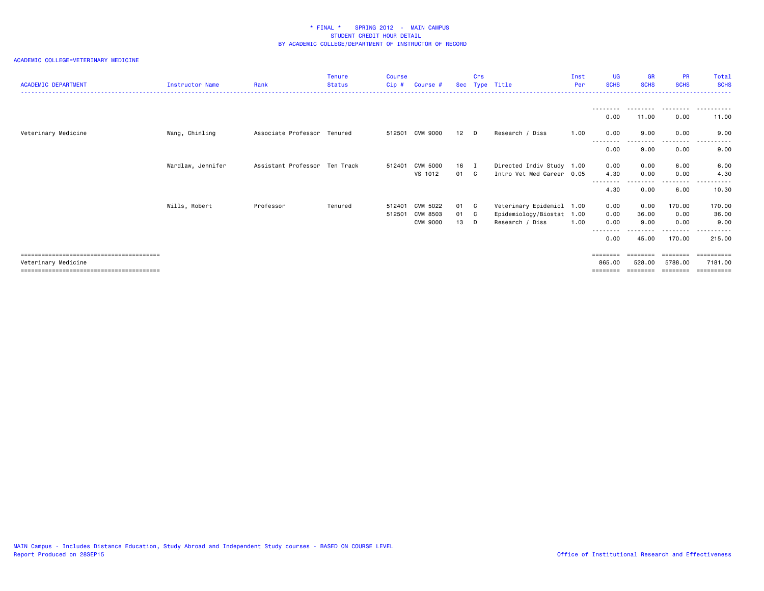| <b>ACADEMIC DEPARTMENT</b> | Instructor Name   | Rank                          | <b>Tenure</b><br><b>Status</b> | <b>Course</b><br>Cip# | Course #        | <b>Sec</b> | Crs | Type Title                | Inst<br>Per | <b>UG</b><br><b>SCHS</b> | <b>GR</b><br><b>SCHS</b> | <b>PR</b><br><b>SCHS</b> | Total<br><b>SCHS</b>                  |
|----------------------------|-------------------|-------------------------------|--------------------------------|-----------------------|-----------------|------------|-----|---------------------------|-------------|--------------------------|--------------------------|--------------------------|---------------------------------------|
|                            |                   |                               |                                |                       |                 |            |     |                           |             |                          |                          |                          |                                       |
|                            |                   |                               |                                |                       |                 |            |     |                           |             | 0.00                     | 11.00                    | 0.00                     | 11.00                                 |
| Veterinary Medicine        | Wang, Chinling    | Associate Professor Tenured   |                                | 512501                | CVM 9000        | $12$ D     |     | Research / Diss           | 1.00        | 0.00<br><u>.</u>         | 9.00                     | 0.00<br>.                | 9.00<br>. <b>.</b> .<br>$\frac{1}{2}$ |
|                            |                   |                               |                                |                       |                 |            |     |                           |             | 0.00                     | 9.00                     | 0.00                     | 9.00                                  |
|                            | Wardlaw, Jennifer | Assistant Professor Ten Track |                                | 512401                | <b>CVM 5000</b> | 16 I       |     | Directed Indiv Study 1.00 |             | 0.00                     | 0.00                     | 6.00                     | 6.00                                  |
|                            |                   |                               |                                |                       | VS 1012         | 01 C       |     | Intro Vet Med Career 0.05 |             | 4.30                     | 0.00                     | 0.00<br>-----            | 4.30                                  |
|                            |                   |                               |                                |                       |                 |            |     |                           |             | 4.30                     | 0.00                     | 6.00                     | 10.30                                 |
|                            | Wills, Robert     | Professor                     | Tenured                        | 512401                | CVM 5022        | 01 C       |     | Veterinary Epidemiol      | 1.00        | 0.00                     | 0.00                     | 170.00                   | 170.00                                |
|                            |                   |                               |                                | 512501                | CVM 8503        | 01 C       |     | Epidemiology/Biostat      | 1.00        | 0.00                     | 36.00                    | 0.00                     | 36.00                                 |
|                            |                   |                               |                                |                       | <b>CVM 9000</b> | 13         | D   | Research / Diss           | 1.00        | 0.00                     | 9.00                     | 0.00                     | 9.00                                  |
|                            |                   |                               |                                |                       |                 |            |     |                           |             |                          |                          |                          |                                       |
|                            |                   |                               |                                |                       |                 |            |     |                           |             | 0.00                     | 45.00                    | 170.00                   | 215,00                                |
|                            |                   |                               |                                |                       |                 |            |     |                           |             | ========                 |                          | ========                 | ==========                            |
| Veterinary Medicine        |                   |                               |                                |                       |                 |            |     |                           |             | 865.00                   | 528.00                   | 5788.00                  | 7181.00                               |
|                            |                   |                               |                                |                       |                 |            |     |                           |             | ========                 |                          | ========                 | ==========                            |